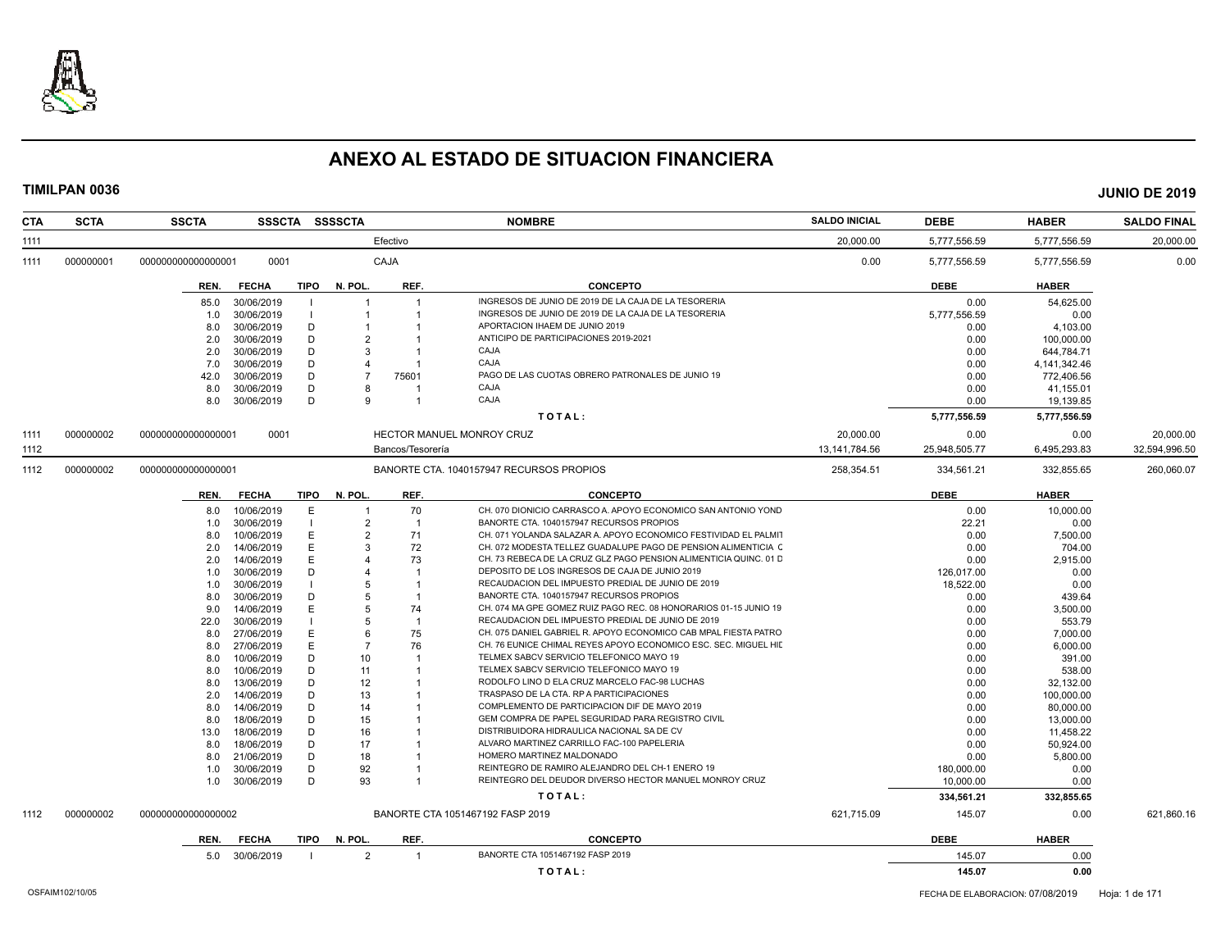

| <b>SCTA</b><br><b>CTA</b> | <b>SSCTA</b>       |              |             | SSSCTA SSSSCTA |                         | <b>NOMBRE</b>                                                     | <b>SALDO INICIAL</b> | <b>DEBE</b>   | <b>HABER</b> | <b>SALDO FINAL</b> |
|---------------------------|--------------------|--------------|-------------|----------------|-------------------------|-------------------------------------------------------------------|----------------------|---------------|--------------|--------------------|
| 1111                      |                    |              |             |                | Efectivo                |                                                                   | 20,000.00            | 5,777,556.59  | 5,777,556.59 | 20,000.00          |
| 1111<br>000000001         | 000000000000000001 | 0001         |             |                | CAJA                    |                                                                   | 0.00                 | 5,777,556.59  | 5,777,556.59 | 0.00               |
|                           | REN.               | <b>FECHA</b> | <b>TIPO</b> | N. POL         | REF.                    | <b>CONCEPTO</b>                                                   |                      | <b>DEBE</b>   | <b>HABER</b> |                    |
|                           | 85.0               | 30/06/2019   |             |                |                         | INGRESOS DE JUNIO DE 2019 DE LA CAJA DE LA TESORERIA              |                      | 0.00          | 54,625.00    |                    |
|                           | 1.0                | 30/06/2019   |             |                |                         | INGRESOS DE JUNIO DE 2019 DE LA CAJA DE LA TESORERIA              |                      | 5,777,556.59  | 0.00         |                    |
|                           | 8.0                | 30/06/2019   | D           |                |                         | APORTACION IHAEM DE JUNIO 2019                                    |                      | 0.00          | 4,103.00     |                    |
|                           | 2.0                | 30/06/2019   | D           | 2              |                         | ANTICIPO DE PARTICIPACIONES 2019-2021                             |                      | 0.00          | 100,000.00   |                    |
|                           | 2.0                | 30/06/2019   | D           | 3              |                         | CAJA                                                              |                      | 0.00          | 644,784.71   |                    |
|                           | 7.0                | 30/06/2019   | D           |                |                         | CAJA                                                              |                      | 0.00          | 4,141,342.46 |                    |
|                           | 42.0               | 30/06/2019   | D           | $\overline{7}$ | 75601                   | PAGO DE LAS CUOTAS OBRERO PATRONALES DE JUNIO 19                  |                      | 0.00          | 772,406.56   |                    |
|                           | 8.0                | 30/06/2019   | D           | 8              |                         | CAJA                                                              |                      | 0.00          | 41,155.01    |                    |
|                           | 8.0                | 30/06/2019   | D           | 9              |                         | CAJA                                                              |                      | 0.00          | 19,139.85    |                    |
|                           |                    |              |             |                |                         |                                                                   |                      |               |              |                    |
|                           |                    |              |             |                |                         | TOTAL:                                                            |                      | 5,777,556.59  | 5,777,556.59 |                    |
| 000000002<br>1111         | 00000000000000000  | 0001         |             |                |                         | <b>HECTOR MANUEL MONROY CRUZ</b>                                  | 20,000.00            | 0.00          | 0.00         | 20,000.00          |
| 1112                      |                    |              |             |                | Bancos/Tesorería        |                                                                   | 13, 141, 784. 56     | 25,948,505.77 | 6,495,293.83 | 32,594,996.50      |
| 000000002<br>1112         | 000000000000000001 |              |             |                |                         | BANORTE CTA, 1040157947 RECURSOS PROPIOS                          | 258.354.51           | 334.561.21    | 332.855.65   | 260,060.07         |
|                           | REN.               | <b>FECHA</b> | <b>TIPO</b> | N. POL.        | REF.                    | <b>CONCEPTO</b>                                                   |                      | <b>DEBE</b>   | <b>HABER</b> |                    |
|                           | 8.0                | 10/06/2019   | E           |                | 70                      | CH. 070 DIONICIO CARRASCO A. APOYO ECONOMICO SAN ANTONIO YOND     |                      | 0.00          | 10,000.00    |                    |
|                           | 1.0                | 30/06/2019   |             | $\overline{2}$ | $\overline{\mathbf{1}}$ | BANORTE CTA. 1040157947 RECURSOS PROPIOS                          |                      | 22.21         | 0.00         |                    |
|                           | 8.0                | 10/06/2019   | E           | 2              | 71                      | CH. 071 YOLANDA SALAZAR A. APOYO ECONOMICO FESTIVIDAD EL PALMIT   |                      | 0.00          | 7.500.00     |                    |
|                           | 2.0                | 14/06/2019   | E           | 3              | 72                      | CH. 072 MODESTA TELLEZ GUADALUPE PAGO DE PENSION ALIMENTICIA C    |                      | 0.00          | 704.00       |                    |
|                           | 2.0                | 14/06/2019   | E           |                | 73                      | CH. 73 REBECA DE LA CRUZ GLZ PAGO PENSION ALIMENTICIA QUINC. 01 D |                      | 0.00          | 2,915.00     |                    |
|                           | 1.0                | 30/06/2019   | D           | Δ              |                         | DEPOSITO DE LOS INGRESOS DE CAJA DE JUNIO 2019                    |                      | 126,017.00    | 0.00         |                    |
|                           | 1.0                | 30/06/2019   |             | 5              |                         | RECAUDACION DEL IMPUESTO PREDIAL DE JUNIO DE 2019                 |                      | 18,522.00     | 0.00         |                    |
|                           | 8.0                | 30/06/2019   | D           | 5              |                         | BANORTE CTA. 1040157947 RECURSOS PROPIOS                          |                      | 0.00          | 439.64       |                    |
|                           | 9.0                | 14/06/2019   | E           | 5              | 74                      | CH. 074 MA GPE GOMEZ RUIZ PAGO REC. 08 HONORARIOS 01-15 JUNIO 19  |                      | 0.00          | 3,500.00     |                    |
|                           | 22.0               | 30/06/2019   |             | 5              | -1                      | RECAUDACION DEL IMPUESTO PREDIAL DE JUNIO DE 2019                 |                      | 0.00          | 553.79       |                    |
|                           | 8.0                | 27/06/2019   | Е           | 6              | 75                      | CH. 075 DANIEL GABRIEL R. APOYO ECONOMICO CAB MPAL FIESTA PATRO   |                      | 0.00          | 7,000.00     |                    |
|                           | 8.0                | 27/06/2019   | E           | $\overline{7}$ | 76                      | CH. 76 EUNICE CHIMAL REYES APOYO ECONOMICO ESC. SEC. MIGUEL HIL   |                      | 0.00          | 6.000.00     |                    |
|                           | 8.0                | 10/06/2019   | D           | 10             |                         | TELMEX SABCV SERVICIO TELEFONICO MAYO 19                          |                      | 0.00          | 391.00       |                    |
|                           | 8.0                | 10/06/2019   | D           | 11             |                         | TELMEX SABCV SERVICIO TELEFONICO MAYO 19                          |                      | 0.00          | 538.00       |                    |
|                           | 8.0                | 13/06/2019   | D           | 12             |                         | RODOLFO LINO D ELA CRUZ MARCELO FAC-98 LUCHAS                     |                      | 0.00          | 32,132.00    |                    |
|                           | 2.0                | 14/06/2019   | D           | 13             |                         | TRASPASO DE LA CTA. RP A PARTICIPACIONES                          |                      | 0.00          | 100,000.00   |                    |
|                           | 8.0                | 14/06/2019   | D           | 14             |                         | COMPLEMENTO DE PARTICIPACION DIF DE MAYO 2019                     |                      | 0.00          | 80,000.00    |                    |
|                           | 8.0                | 18/06/2019   | D           | 15             |                         | GEM COMPRA DE PAPEL SEGURIDAD PARA REGISTRO CIVIL                 |                      | 0.00          | 13,000.00    |                    |
|                           | 13.0               | 18/06/2019   | D           | 16             |                         | DISTRIBUIDORA HIDRAULICA NACIONAL SA DE CV                        |                      | 0.00          | 11,458.22    |                    |
|                           | 8.0                | 18/06/2019   | D           | 17             |                         | ALVARO MARTINEZ CARRILLO FAC-100 PAPELERIA                        |                      | 0.00          | 50,924.00    |                    |
|                           | 8.0                | 21/06/2019   | D           | 18             |                         | HOMERO MARTINEZ MALDONADO                                         |                      | 0.00          | 5,800.00     |                    |
|                           | 1.0                | 30/06/2019   | D           | 92             |                         | REINTEGRO DE RAMIRO ALEJANDRO DEL CH-1 ENERO 19                   |                      | 180,000.00    | 0.00         |                    |
|                           | 1.0                | 30/06/2019   | D           | 93             |                         | REINTEGRO DEL DEUDOR DIVERSO HECTOR MANUEL MONROY CRUZ            |                      | 10,000.00     | 0.00         |                    |
|                           |                    |              |             |                |                         | TOTAL:                                                            |                      | 334,561.21    | 332.855.65   |                    |
| 000000002<br>1112         | 000000000000000002 |              |             |                |                         | BANORTE CTA 1051467192 FASP 2019                                  | 621,715.09           | 145.07        | 0.00         | 621,860.16         |
|                           | REN.               | <b>FECHA</b> | TIPO        | N. POL         | REF.                    | <b>CONCEPTO</b>                                                   |                      | <b>DEBE</b>   | <b>HABER</b> |                    |
|                           | 5.0                | 30/06/2019   |             | 2              | $\overline{1}$          | BANORTE CTA 1051467192 FASP 2019                                  |                      | 145.07        | 0.00         |                    |
|                           |                    |              |             |                |                         | TOTAL:                                                            |                      | 145.07        | 0.00         |                    |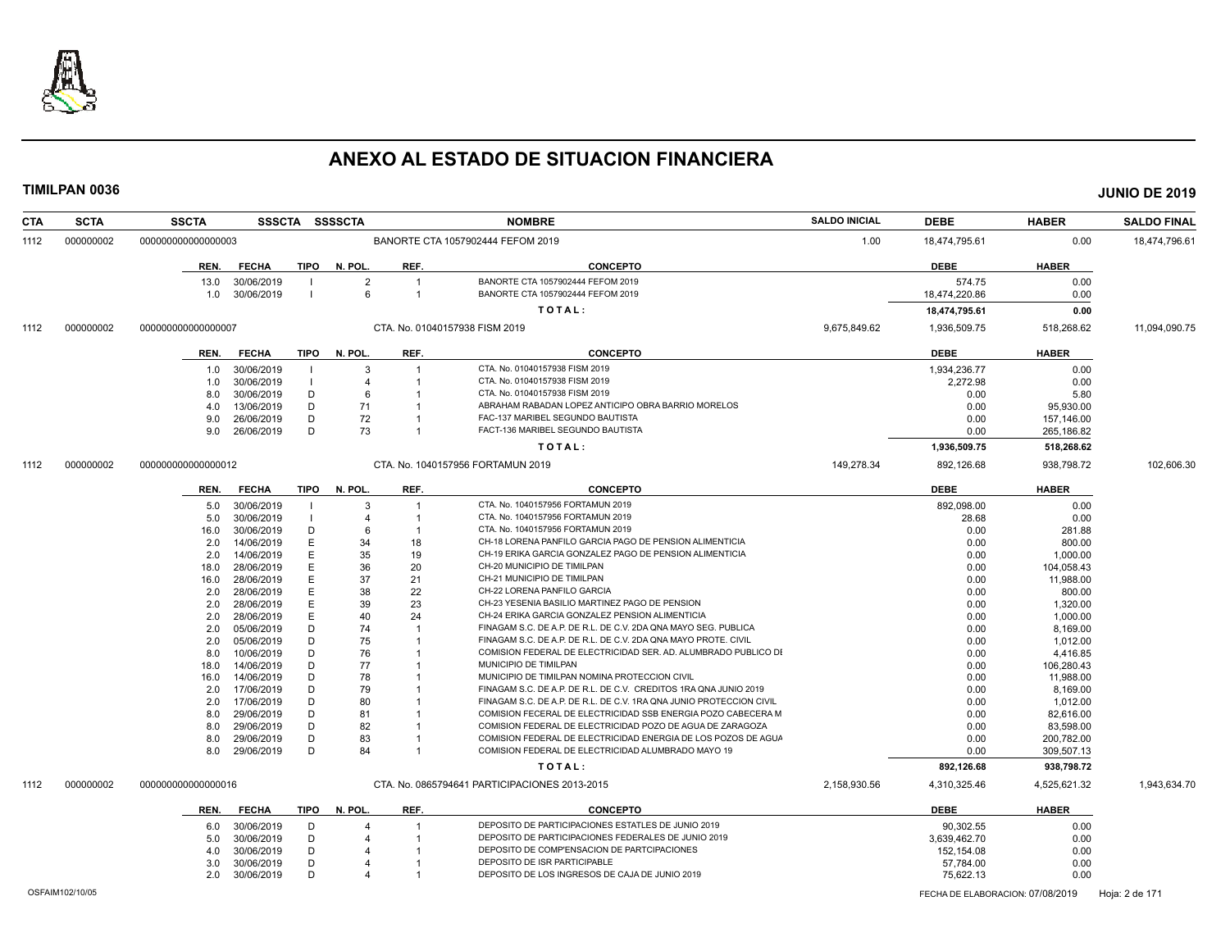

| <b>CTA</b> | <b>SCTA</b>     | <b>SSCTA</b>       |                          |      | SSSCTA SSSSCTA      |                      | <b>NOMBRE</b>                                                          | <b>SALDO INICIAL</b> | <b>DEBE</b>                      | <b>HABER</b> | <b>SALDO FINAL</b> |
|------------|-----------------|--------------------|--------------------------|------|---------------------|----------------------|------------------------------------------------------------------------|----------------------|----------------------------------|--------------|--------------------|
| 1112       | 000000002       | 000000000000000003 |                          |      |                     |                      | BANORTE CTA 1057902444 FEFOM 2019                                      | 1.00                 | 18,474,795.61                    | 0.00         | 18,474,796.61      |
|            |                 | REN.               | <b>FECHA</b>             | TIPO | N. POL.             | REF.                 | <b>CONCEPTO</b>                                                        |                      | <b>DEBE</b>                      | <b>HABER</b> |                    |
|            |                 | 13.0<br>1.0        | 30/06/2019<br>30/06/2019 |      | $\overline{2}$<br>6 | -1<br>$\overline{1}$ | BANORTE CTA 1057902444 FEFOM 2019<br>BANORTE CTA 1057902444 FEFOM 2019 |                      | 574.75<br>18,474,220.86          | 0.00<br>0.00 |                    |
|            |                 |                    |                          |      |                     |                      | TOTAL:                                                                 |                      | 18,474,795.61                    | 0.00         |                    |
|            |                 |                    |                          |      |                     |                      |                                                                        |                      |                                  |              |                    |
| 1112       | 000000002       | 000000000000000007 |                          |      |                     |                      | CTA, No. 01040157938 FISM 2019                                         | 9.675.849.62         | 1,936,509.75                     | 518,268.62   | 11,094,090.75      |
|            |                 | REN.               | <b>FECHA</b>             |      | TIPO N. POL.        | REF.                 | <b>CONCEPTO</b>                                                        |                      | <b>DEBE</b>                      | <b>HABER</b> |                    |
|            |                 | 1.0                | 30/06/2019               |      | 3                   | -1                   | CTA. No. 01040157938 FISM 2019                                         |                      | 1,934,236.77                     | 0.00         |                    |
|            |                 | 1.0                | 30/06/2019               |      | $\overline{4}$      |                      | CTA. No. 01040157938 FISM 2019                                         |                      | 2,272.98                         | 0.00         |                    |
|            |                 | 8.0                | 30/06/2019               | D    | 6                   | -1                   | CTA. No. 01040157938 FISM 2019                                         |                      | 0.00                             | 5.80         |                    |
|            |                 | 4.0                | 13/06/2019               | D    | 71                  | -1                   | ABRAHAM RABADAN LOPEZ ANTICIPO OBRA BARRIO MORELOS                     |                      | 0.00                             | 95.930.00    |                    |
|            |                 | 9.0                | 26/06/2019               | D    | 72                  | -1                   | FAC-137 MARIBEL SEGUNDO BAUTISTA                                       |                      | 0.00                             | 157,146.00   |                    |
|            |                 | 9.0                | 26/06/2019               | D    | 73                  | $\overline{1}$       | FACT-136 MARIBEL SEGUNDO BAUTISTA                                      |                      | 0.00                             | 265,186.82   |                    |
|            |                 |                    |                          |      |                     |                      | TOTAL:                                                                 |                      | 1,936,509.75                     | 518,268.62   |                    |
| 1112       | 000000002       | 000000000000000012 |                          |      |                     |                      | CTA, No. 1040157956 FORTAMUN 2019                                      | 149,278.34           | 892,126.68                       | 938,798.72   | 102,606.30         |
|            |                 | REN.               | <b>FECHA</b>             | TIPO | N. POL.             | REF.                 | <b>CONCEPTO</b>                                                        |                      | <b>DEBE</b>                      | <b>HABER</b> |                    |
|            |                 | 5.0                | 30/06/2019               |      | $\mathcal{B}$       | -1                   | CTA. No. 1040157956 FORTAMUN 2019                                      |                      | 892.098.00                       | 0.00         |                    |
|            |                 | 5.0                | 30/06/2019               |      | $\overline{4}$      | -1                   | CTA. No. 1040157956 FORTAMUN 2019                                      |                      | 28.68                            | 0.00         |                    |
|            |                 | 16.0               | 30/06/2019               | D    | 6                   |                      | CTA. No. 1040157956 FORTAMUN 2019                                      |                      | 0.00                             | 281.88       |                    |
|            |                 | 2.0                | 14/06/2019               | F    | 34                  | 18                   | CH-18 LORENA PANFILO GARCIA PAGO DE PENSION ALIMENTICIA                |                      | 0.00                             | 800.00       |                    |
|            |                 | 2.0                | 14/06/2019               | E    | 35                  | 19                   | CH-19 ERIKA GARCIA GONZALEZ PAGO DE PENSION ALIMENTICIA                |                      | 0.00                             | 1,000.00     |                    |
|            |                 | 18.0               | 28/06/2019               | Е    | 36                  | 20                   | CH-20 MUNICIPIO DE TIMILPAN                                            |                      | 0.00                             | 104,058.43   |                    |
|            |                 | 16.0               | 28/06/2019               | Е    | 37                  | 21                   | CH-21 MUNICIPIO DE TIMILPAN                                            |                      | 0.00                             | 11,988.00    |                    |
|            |                 | 2.0                | 28/06/2019               | Е    | 38                  | 22                   | CH-22 LORENA PANFILO GARCIA                                            |                      | 0.00                             | 800.00       |                    |
|            |                 | 2.0                | 28/06/2019               | Е    | 39                  | 23                   | CH-23 YESENIA BASILIO MARTINEZ PAGO DE PENSION                         |                      | 0.00                             | 1,320.00     |                    |
|            |                 | 2.0                | 28/06/2019               | E    | 40                  | 24                   | CH-24 ERIKA GARCIA GONZALEZ PENSION ALIMENTICIA                        |                      | 0.00                             | 1,000.00     |                    |
|            |                 | 2.0                | 05/06/2019               | D    | 74                  | -1                   | FINAGAM S.C. DE A.P. DE R.L. DE C.V. 2DA QNA MAYO SEG. PUBLICA         |                      | 0.00                             | 8.169.00     |                    |
|            |                 | 2.0                | 05/06/2019               | D    | 75                  |                      | FINAGAM S.C. DE A.P. DE R.L. DE C.V. 2DA QNA MAYO PROTE. CIVIL         |                      | 0.00                             | 1,012.00     |                    |
|            |                 | 8.0                | 10/06/2019               | D    | 76                  | -1                   | COMISION FEDERAL DE ELECTRICIDAD SER. AD. ALUMBRADO PUBLICO DI         |                      | 0.00                             | 4,416.85     |                    |
|            |                 | 18.0               | 14/06/2019               | D    | 77                  |                      | MUNICIPIO DE TIMILPAN                                                  |                      | 0.00                             | 106,280.43   |                    |
|            |                 | 16.0               | 14/06/2019               | D    | 78                  |                      | MUNICIPIO DE TIMILPAN NOMINA PROTECCION CIVIL                          |                      | 0.00                             | 11,988.00    |                    |
|            |                 | 2.0                | 17/06/2019               | D    | 79                  |                      | FINAGAM S.C. DE A.P. DE R.L. DE C.V. CREDITOS 1RA QNA JUNIO 2019       |                      | 0.00                             | 8,169.00     |                    |
|            |                 | 2.0                | 17/06/2019               | D    | 80                  |                      | FINAGAM S.C. DE A.P. DE R.L. DE C.V. 1RA QNA JUNIO PROTECCION CIVIL    |                      | 0.00                             | 1,012.00     |                    |
|            |                 | 8.0                | 29/06/2019               | D    | 81                  | -1                   | COMISION FECERAL DE ELECTRICIDAD SSB ENERGIA POZO CABECERA M           |                      | 0.00                             | 82.616.00    |                    |
|            |                 | 8.0                | 29/06/2019               | D    | 82                  |                      | COMISION FEDERAL DE ELECTRICIDAD POZO DE AGUA DE ZARAGOZA              |                      | 0.00                             | 83.598.00    |                    |
|            |                 | 8.0                | 29/06/2019               | D    | 83                  |                      | COMISION FEDERAL DE ELECTRICIDAD ENERGIA DE LOS POZOS DE AGUA          |                      | 0.00                             | 200,782.00   |                    |
|            |                 | 8.0                | 29/06/2019               | D    | 84                  | -1                   | COMISION FEDERAL DE ELECTRICIDAD ALUMBRADO MAYO 19                     |                      | 0.00                             | 309,507.13   |                    |
|            |                 |                    |                          |      |                     |                      | TOTAL:                                                                 |                      | 892,126.68                       | 938,798.72   |                    |
| 1112       | 000000002       | 000000000000000016 |                          |      |                     |                      | CTA. No. 0865794641 PARTICIPACIONES 2013-2015                          | 2,158,930.56         | 4,310,325.46                     | 4,525,621.32 | 1,943,634.70       |
|            |                 | REN.               | <b>FECHA</b>             | TIPO | N. POL.             | REF.                 | <b>CONCEPTO</b>                                                        |                      | <b>DEBE</b>                      | <b>HABER</b> |                    |
|            |                 | 6.0                | 30/06/2019               | D    |                     | -1                   | DEPOSITO DE PARTICIPACIONES ESTATLES DE JUNIO 2019                     |                      | 90,302.55                        | 0.00         |                    |
|            |                 | 5.0                | 30/06/2019               | D    |                     |                      | DEPOSITO DE PARTICIPACIONES FEDERALES DE JUNIO 2019                    |                      | 3,639,462.70                     | 0.00         |                    |
|            |                 | 4.0                | 30/06/2019               | D    |                     |                      | DEPOSITO DE COMP'ENSACION DE PARTCIPACIONES                            |                      | 152,154.08                       | 0.00         |                    |
|            |                 | 3.0                | 30/06/2019               | D    |                     |                      | DEPOSITO DE ISR PARTICIPABLE                                           |                      | 57,784.00                        | 0.00         |                    |
|            |                 | 2.0                | 30/06/2019               | Ð    |                     |                      | DEPOSITO DE LOS INGRESOS DE CAJA DE JUNIO 2019                         |                      | 75,622.13                        | 0.00         |                    |
|            | OSFAIM102/10/05 |                    |                          |      |                     |                      |                                                                        |                      | FECHA DE ELABORACION: 07/08/2019 |              | Hoja: 2 de 171     |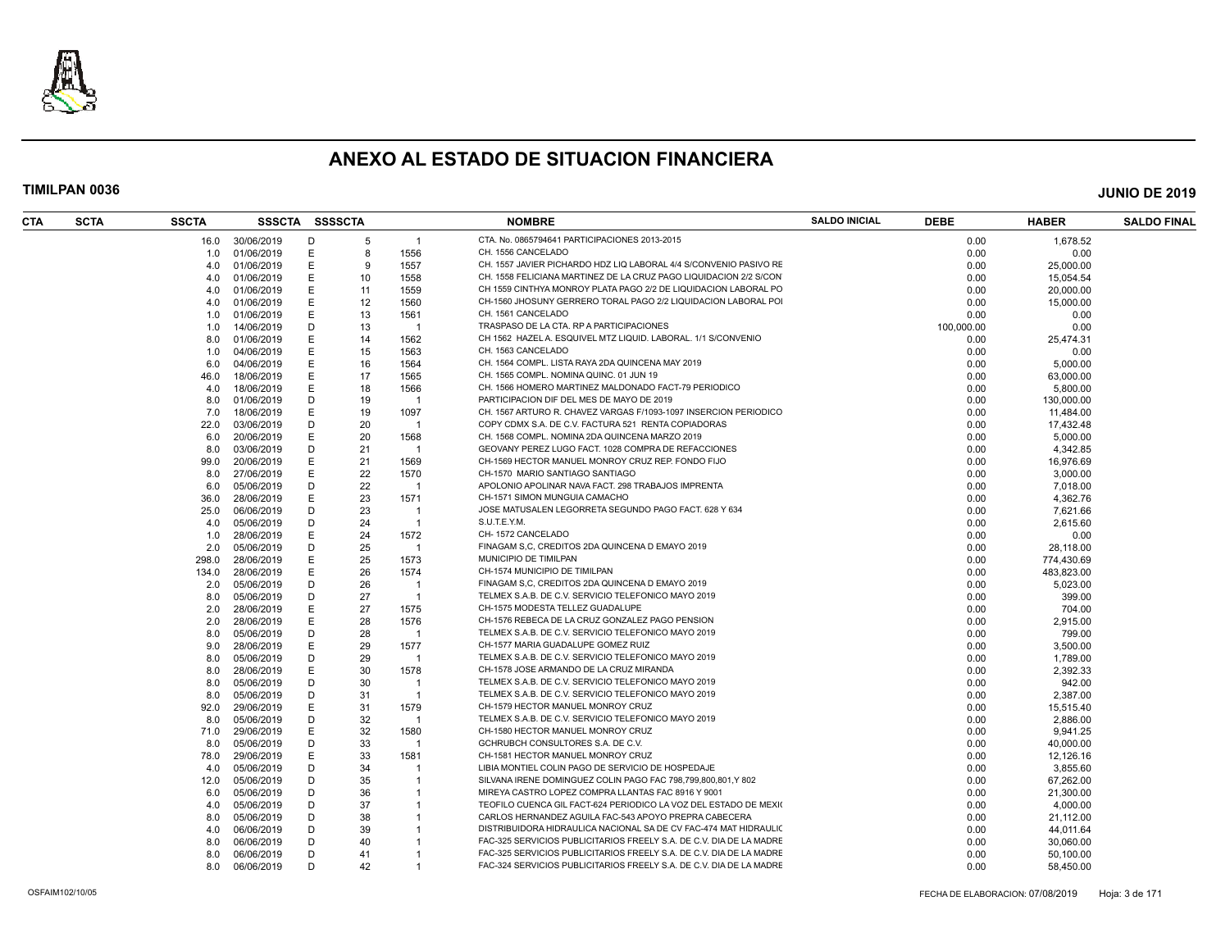

| CTA | <b>SCTA</b> | <b>SSCTA</b> | SSSCTA SSSSCTA |   |    |                | <b>NOMBRE</b>                                                       | <b>SALDO INICIAL</b> | <b>DEBE</b> | <b>HABER</b> | <b>SALDO FINAL</b> |
|-----|-------------|--------------|----------------|---|----|----------------|---------------------------------------------------------------------|----------------------|-------------|--------------|--------------------|
|     |             | 16.0         | 30/06/2019     | D | -5 | $\mathbf{1}$   | CTA. No. 0865794641 PARTICIPACIONES 2013-2015                       |                      | 0.00        | 1,678.52     |                    |
|     |             | 1.0          | 01/06/2019     | Ε | 8  | 1556           | CH. 1556 CANCELADO                                                  |                      | 0.00        | 0.00         |                    |
|     |             | 4.0          | 01/06/2019     | Е | -9 | 1557           | CH. 1557 JAVIER PICHARDO HDZ LIQ LABORAL 4/4 S/CONVENIO PASIVO RE   |                      | 0.00        | 25,000.00    |                    |
|     |             | 4.0          | 01/06/2019     | Е | 10 | 1558           | CH. 1558 FELICIANA MARTINEZ DE LA CRUZ PAGO LIQUIDACION 2/2 S/CON   |                      | 0.00        | 15,054.54    |                    |
|     |             | 4.0          | 01/06/2019     |   | 11 | 1559           | CH 1559 CINTHYA MONROY PLATA PAGO 2/2 DE LIQUIDACION LABORAL PO     |                      | 0.00        | 20,000.00    |                    |
|     |             | 4.0          | 01/06/2019     | Е | 12 | 1560           | CH-1560 JHOSUNY GERRERO TORAL PAGO 2/2 LIQUIDACION LABORAL PO       |                      | 0.00        | 15,000.00    |                    |
|     |             | 1.0          | 01/06/2019     | E | 13 | 1561           | CH. 1561 CANCELADO                                                  |                      | 0.00        | 0.00         |                    |
|     |             | 1.0          | 14/06/2019     | D | 13 | -1             | TRASPASO DE LA CTA. RP A PARTICIPACIONES                            |                      | 100,000.00  | 0.00         |                    |
|     |             | 8.0          | 01/06/2019     | Е | 14 | 1562           | CH 1562 HAZEL A. ESQUIVEL MTZ LIQUID. LABORAL. 1/1 S/CONVENIO       |                      | 0.00        | 25,474.31    |                    |
|     |             | 1.0          | 04/06/2019     |   | 15 | 1563           | CH. 1563 CANCELADO                                                  |                      | 0.00        | 0.00         |                    |
|     |             | 6.0          | 04/06/2019     | Ε | 16 | 1564           | CH. 1564 COMPL. LISTA RAYA 2DA QUINCENA MAY 2019                    |                      | 0.00        | 5,000.00     |                    |
|     |             | 46.0         | 18/06/2019     | F | 17 | 1565           | CH. 1565 COMPL. NOMINA QUINC. 01 JUN 19                             |                      | 0.00        | 63,000.00    |                    |
|     |             | 4.0          | 18/06/2019     | Е | 18 | 1566           | CH. 1566 HOMERO MARTINEZ MALDONADO FACT-79 PERIODICO                |                      | 0.00        | 5,800.00     |                    |
|     |             | 8.0          | 01/06/2019     | D | 19 | -1             | PARTICIPACION DIF DEL MES DE MAYO DE 2019                           |                      | 0.00        | 130,000.00   |                    |
|     |             | 7.0          | 18/06/2019     | Е | 19 | 1097           | CH. 1567 ARTURO R. CHAVEZ VARGAS F/1093-1097 INSERCION PERIODICO    |                      | 0.00        | 11,484.00    |                    |
|     |             | 22.0         | 03/06/2019     | D | 20 | $\overline{1}$ | COPY CDMX S.A. DE C.V. FACTURA 521 RENTA COPIADORAS                 |                      | 0.00        | 17,432.48    |                    |
|     |             | 6.0          | 20/06/2019     | Е | 20 | 1568           | CH. 1568 COMPL. NOMINA 2DA QUINCENA MARZO 2019                      |                      | 0.00        | 5,000.00     |                    |
|     |             | 8.0          | 03/06/2019     | D | 21 | $\overline{1}$ | GEOVANY PEREZ LUGO FACT. 1028 COMPRA DE REFACCIONES                 |                      | 0.00        | 4,342.85     |                    |
|     |             |              | 20/06/2019     | Ε | 21 | 1569           | CH-1569 HECTOR MANUEL MONROY CRUZ REP. FONDO FIJO                   |                      | 0.00        |              |                    |
|     |             | 99.0         |                |   |    |                | CH-1570 MARIO SANTIAGO SANTIAGO                                     |                      |             | 16,976.69    |                    |
|     |             | 8.0          | 27/06/2019     | Е | 22 | 1570           |                                                                     |                      | 0.00        | 3,000.00     |                    |
|     |             | 6.0          | 05/06/2019     | D | 22 | $\overline{1}$ | APOLONIO APOLINAR NAVA FACT. 298 TRABAJOS IMPRENTA                  |                      | 0.00        | 7,018.00     |                    |
|     |             | 36.0         | 28/06/2019     | E | 23 | 1571           | CH-1571 SIMON MUNGUIA CAMACHO                                       |                      | 0.00        | 4,362.76     |                    |
|     |             | 25.0         | 06/06/2019     | D | 23 | $\overline{1}$ | JOSE MATUSALEN LEGORRETA SEGUNDO PAGO FACT. 628 Y 634               |                      | 0.00        | 7,621.66     |                    |
|     |             | 4.0          | 05/06/2019     | D | 24 | $\mathbf{1}$   | S.U.T.E.Y.M.                                                        |                      | 0.00        | 2,615.60     |                    |
|     |             | 1.0          | 28/06/2019     | Е | 24 | 1572           | CH-1572 CANCELADO                                                   |                      | 0.00        | 0.00         |                    |
|     |             | 2.0          | 05/06/2019     | D | 25 | -1             | FINAGAM S.C. CREDITOS 2DA QUINCENA D EMAYO 2019                     |                      | 0.00        | 28,118.00    |                    |
|     |             | 298.0        | 28/06/2019     | Е | 25 | 1573           | MUNICIPIO DE TIMILPAN                                               |                      | 0.00        | 774,430.69   |                    |
|     |             | 134.0        | 28/06/2019     | Е | 26 | 1574           | CH-1574 MUNICIPIO DE TIMILPAN                                       |                      | 0.00        | 483.823.00   |                    |
|     |             | 2.0          | 05/06/2019     | D | 26 | $\overline{1}$ | FINAGAM S.C. CREDITOS 2DA QUINCENA D EMAYO 2019                     |                      | 0.00        | 5,023.00     |                    |
|     |             | 8.0          | 05/06/2019     | D | 27 | $\overline{1}$ | TELMEX S.A.B. DE C.V. SERVICIO TELEFONICO MAYO 2019                 |                      | 0.00        | 399.00       |                    |
|     |             | 2.0          | 28/06/2019     |   | 27 | 1575           | CH-1575 MODESTA TELLEZ GUADALUPE                                    |                      | 0.00        | 704.00       |                    |
|     |             | 2.0          | 28/06/2019     | Е | 28 | 1576           | CH-1576 REBECA DE LA CRUZ GONZALEZ PAGO PENSION                     |                      | 0.00        | 2,915.00     |                    |
|     |             | 8.0          | 05/06/2019     | D | 28 | $\overline{1}$ | TELMEX S.A.B. DE C.V. SERVICIO TELEFONICO MAYO 2019                 |                      | 0.00        | 799.00       |                    |
|     |             | 9.0          | 28/06/2019     | Е | 29 | 1577           | CH-1577 MARIA GUADALUPE GOMEZ RUIZ                                  |                      | 0.00        | 3,500.00     |                    |
|     |             | 8.0          | 05/06/2019     | D | 29 | $\overline{1}$ | TELMEX S.A.B. DE C.V. SERVICIO TELEFONICO MAYO 2019                 |                      | 0.00        | 1,789.00     |                    |
|     |             | 8.0          | 28/06/2019     | E | 30 | 1578           | CH-1578 JOSE ARMANDO DE LA CRUZ MIRANDA                             |                      | 0.00        | 2,392.33     |                    |
|     |             | 8.0          | 05/06/2019     | D | 30 | -1             | TELMEX S.A.B. DE C.V. SERVICIO TELEFONICO MAYO 2019                 |                      | 0.00        | 942.00       |                    |
|     |             | 8.0          | 05/06/2019     | D | 31 | $\overline{1}$ | TELMEX S.A.B. DE C.V. SERVICIO TELEFONICO MAYO 2019                 |                      | 0.00        | 2,387.00     |                    |
|     |             | 92.0         | 29/06/2019     |   | 31 | 1579           | CH-1579 HECTOR MANUEL MONROY CRUZ                                   |                      | 0.00        | 15,515.40    |                    |
|     |             | 8.0          | 05/06/2019     | D | 32 | -1             | TELMEX S.A.B. DE C.V. SERVICIO TELEFONICO MAYO 2019                 |                      | 0.00        | 2,886.00     |                    |
|     |             | 71.0         | 29/06/2019     | Е | 32 | 1580           | CH-1580 HECTOR MANUEL MONROY CRUZ                                   |                      | 0.00        | 9,941.25     |                    |
|     |             | 8.0          | 05/06/2019     | D | 33 | -1             | GCHRUBCH CONSULTORES S.A. DE C.V.                                   |                      | 0.00        | 40,000.00    |                    |
|     |             | 78.0         | 29/06/2019     | Е | 33 | 1581           | CH-1581 HECTOR MANUEL MONROY CRUZ                                   |                      | 0.00        | 12,126.16    |                    |
|     |             | 4.0          | 05/06/2019     | D | 34 | -1             | LIBIA MONTIEL COLIN PAGO DE SERVICIO DE HOSPEDAJE                   |                      | 0.00        | 3,855.60     |                    |
|     |             | 12.0         | 05/06/2019     | D | 35 | $\mathbf{1}$   | SILVANA IRENE DOMINGUEZ COLIN PAGO FAC 798,799,800,801,Y 802        |                      | 0.00        | 67,262.00    |                    |
|     |             | 6.0          | 05/06/2019     | D | 36 | $\overline{1}$ | MIREYA CASTRO LOPEZ COMPRA LLANTAS FAC 8916 Y 9001                  |                      | 0.00        | 21,300.00    |                    |
|     |             | 4.0          | 05/06/2019     | D | 37 |                | TEOFILO CUENCA GIL FACT-624 PERIODICO LA VOZ DEL ESTADO DE MEXIO    |                      | 0.00        | 4,000.00     |                    |
|     |             | 8.0          | 05/06/2019     | D | 38 | $\mathbf{1}$   | CARLOS HERNANDEZ AGUILA FAC-543 APOYO PREPRA CABECERA               |                      | 0.00        | 21,112.00    |                    |
|     |             | 4.0          | 06/06/2019     | D | 39 | $\mathbf{1}$   | DISTRIBUIDORA HIDRAULICA NACIONAL SA DE CV FAC-474 MAT HIDRAULIO    |                      | 0.00        | 44,011.64    |                    |
|     |             | 8.0          | 06/06/2019     | D | 40 |                | FAC-325 SERVICIOS PUBLICITARIOS FREELY S.A. DE C.V. DIA DE LA MADRE |                      | 0.00        | 30,060.00    |                    |
|     |             | 8.0          | 06/06/2019     | D | 41 | $\mathbf{1}$   | FAC-325 SERVICIOS PUBLICITARIOS FREELY S.A. DE C.V. DIA DE LA MADRE |                      | 0.00        | 50,100.00    |                    |
|     |             | 8.0          | 06/06/2019     | D | 42 |                | FAC-324 SERVICIOS PUBLICITARIOS FREELY S.A. DE C.V. DIA DE LA MADRE |                      | 0.00        | 58,450.00    |                    |
|     |             |              |                |   |    |                |                                                                     |                      |             |              |                    |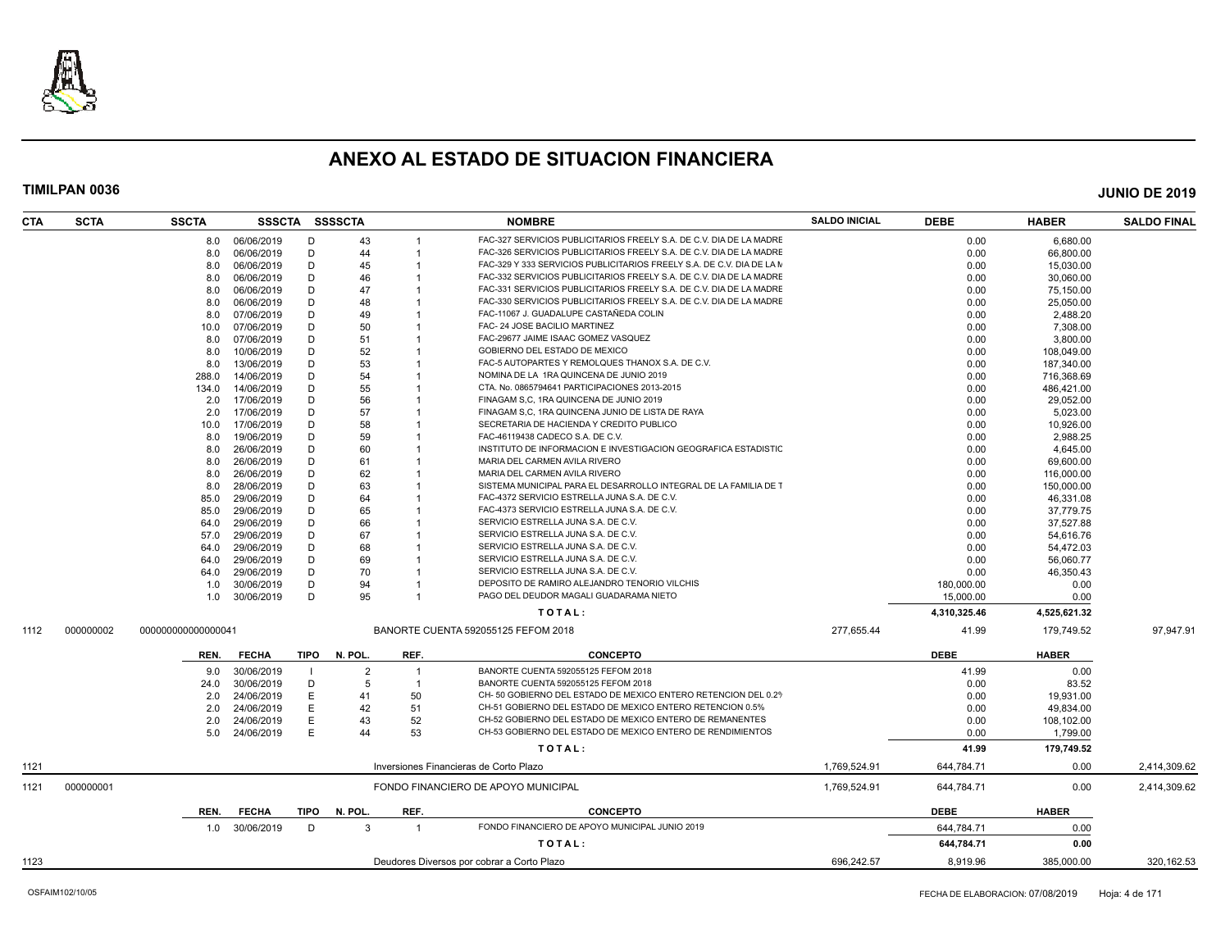

| <b>CTA</b> | <b>SCTA</b> | <b>SSCTA</b>       |                |      | SSSCTA SSSSCTA |                | <b>NOMBRE</b>                                                              | <b>SALDO INICIAL</b> | <b>DEBE</b>  | <b>HABER</b> | <b>SALDO FINAL</b> |
|------------|-------------|--------------------|----------------|------|----------------|----------------|----------------------------------------------------------------------------|----------------------|--------------|--------------|--------------------|
|            |             | 8.0                | 06/06/2019     | Ð    | 43             |                | FAC-327 SERVICIOS PUBLICITARIOS FREELY S.A. DE C.V. DIA DE LA MADRE        |                      | 0.00         | 6,680.00     |                    |
|            |             | 8.0                | 06/06/2019     | D    | 44             | $\overline{1}$ | FAC-326 SERVICIOS PUBLICITARIOS FREELY S.A. DE C.V. DIA DE LA MADRE        |                      | 0.00         | 66,800.00    |                    |
|            |             | 8.0                | 06/06/2019     | D    | 45             |                | FAC-329 Y 333 SERVICIOS PUBLICITARIOS FREELY S.A. DE C.V. DIA DE LA M      |                      | 0.00         | 15,030.00    |                    |
|            |             | 8.0                | 06/06/2019     | D    | 46             | -1             | FAC-332 SERVICIOS PUBLICITARIOS FREELY S.A. DE C.V. DIA DE LA MADRE        |                      | 0.00         | 30,060.00    |                    |
|            |             | 8.0                | 06/06/2019     | D    | 47             |                | FAC-331 SERVICIOS PUBLICITARIOS FREELY S.A. DE C.V. DIA DE LA MADRE        |                      | 0.00         | 75,150.00    |                    |
|            |             | 8.0                | 06/06/2019     | D    | 48             |                | FAC-330 SERVICIOS PUBLICITARIOS FREELY S.A. DE C.V. DIA DE LA MADRE        |                      | 0.00         | 25,050.00    |                    |
|            |             | 8.0                | 07/06/2019     | D    | 49             |                | FAC-11067 J. GUADALUPE CASTAÑEDA COLIN                                     |                      | 0.00         | 2,488.20     |                    |
|            |             | 10.0               | 07/06/2019     | D    | 50             |                | FAC- 24 JOSE BACILIO MARTINEZ                                              |                      | 0.00         | 7,308.00     |                    |
|            |             | 8.0                | 07/06/2019     | D    | 51             |                | FAC-29677 JAIME ISAAC GOMEZ VASQUEZ                                        |                      | 0.00         | 3,800.00     |                    |
|            |             | 8.0                | 10/06/2019     | D    | 52             |                | GOBIERNO DEL ESTADO DE MEXICO                                              |                      | 0.00         | 108,049.00   |                    |
|            |             | 8.0                | 13/06/2019     | D    | 53             |                | FAC-5 AUTOPARTES Y REMOLQUES THANOX S.A. DE C.V.                           |                      | 0.00         | 187,340.00   |                    |
|            |             | 288.0              | 14/06/2019     | D    | 54             |                | NOMINA DE LA 1RA QUINCENA DE JUNIO 2019                                    |                      | 0.00         | 716,368.69   |                    |
|            |             | 134.0              | 14/06/2019     | D    | 55             |                | CTA. No. 0865794641 PARTICIPACIONES 2013-2015                              |                      | 0.00         | 486,421.00   |                    |
|            |             | 2.0                | 17/06/2019     | D    | 56             |                | FINAGAM S.C. 1RA QUINCENA DE JUNIO 2019                                    |                      | 0.00         | 29.052.00    |                    |
|            |             | 2.0                | 17/06/2019     | D    | 57             |                | FINAGAM S,C, 1RA QUINCENA JUNIO DE LISTA DE RAYA                           |                      | 0.00         | 5,023.00     |                    |
|            |             | 10.0               | 17/06/2019     | D    | 58             |                | SECRETARIA DE HACIENDA Y CREDITO PUBLICO                                   |                      | 0.00         | 10,926.00    |                    |
|            |             | 8.0                | 19/06/2019     | D    | 59             |                | FAC-46119438 CADECO S.A. DE C.V.                                           |                      | 0.00         | 2,988.25     |                    |
|            |             | 8.0                | 26/06/2019     | D    | 60             |                | INSTITUTO DE INFORMACION E INVESTIGACION GEOGRAFICA ESTADISTIO             |                      | 0.00         | 4,645.00     |                    |
|            |             | 8.0                | 26/06/2019     | D    | 61             |                | MARIA DEL CARMEN AVILA RIVERO                                              |                      | 0.00         | 69,600.00    |                    |
|            |             | 8.0                | 26/06/2019     | D    | 62             |                | MARIA DEL CARMEN AVILA RIVERO                                              |                      | 0.00         | 116,000.00   |                    |
|            |             | 8.0                | 28/06/2019     | D    | 63             |                | SISTEMA MUNICIPAL PARA EL DESARROLLO INTEGRAL DE LA FAMILIA DE T           |                      | 0.00         | 150,000.00   |                    |
|            |             | 85.0               | 29/06/2019     | D    | 64             |                | FAC-4372 SERVICIO ESTRELLA JUNA S.A. DE C.V.                               |                      | 0.00         | 46,331.08    |                    |
|            |             | 85.0               | 29/06/2019     | D    | 65             |                | FAC-4373 SERVICIO ESTRELLA JUNA S.A. DE C.V.                               |                      | 0.00         | 37,779.75    |                    |
|            |             |                    | 29/06/2019     | D    | 66             |                | SERVICIO ESTRELLA JUNA S.A. DE C.V.                                        |                      | 0.00         |              |                    |
|            |             | 64.0               |                | D    | 67             |                | SERVICIO ESTRELLA JUNA S.A. DE C.V.                                        |                      |              | 37,527.88    |                    |
|            |             | 57.0               | 29/06/2019     | D    |                |                |                                                                            |                      | 0.00         | 54,616.76    |                    |
|            |             | 64.0               | 29/06/2019     |      | 68             |                | SERVICIO ESTRELLA JUNA S.A. DE C.V.<br>SERVICIO ESTRELLA JUNA S.A. DE C.V. |                      | 0.00         | 54,472.03    |                    |
|            |             | 64.0               | 29/06/2019     | D    | 69             | $\overline{1}$ |                                                                            |                      | 0.00         | 56,060.77    |                    |
|            |             | 64.0               | 29/06/2019     | D    | 70             |                | SERVICIO ESTRELLA JUNA S.A. DE C.V.                                        |                      | 0.00         | 46,350.43    |                    |
|            |             | 1.0                | 30/06/2019     | D    | 94             |                | DEPOSITO DE RAMIRO ALEJANDRO TENORIO VILCHIS                               |                      | 180,000.00   | 0.00         |                    |
|            |             | 1.0                | 30/06/2019     | D    | 95             |                | PAGO DEL DEUDOR MAGALI GUADARAMA NIETO                                     |                      | 15,000.00    | 0.00         |                    |
|            |             |                    |                |      |                |                | TOTAL:                                                                     |                      | 4,310,325.46 | 4,525,621.32 |                    |
| 1112       | 000000002   | 000000000000000041 |                |      |                |                | BANORTE CUENTA 592055125 FEFOM 2018                                        | 277,655.44           | 41.99        | 179,749.52   | 97,947.91          |
|            |             | REN.               | <b>FECHA</b>   | TIPO | N. POL.        | REF.           | <b>CONCEPTO</b>                                                            |                      | <b>DEBE</b>  | <b>HABER</b> |                    |
|            |             | 9.0                | 30/06/2019     |      | $\overline{2}$ |                | BANORTE CUENTA 592055125 FEFOM 2018                                        |                      | 41.99        | 0.00         |                    |
|            |             | 24.0               | 30/06/2019     | D    | -5             | $\overline{1}$ | BANORTE CUENTA 592055125 FEFOM 2018                                        |                      | 0.00         | 83.52        |                    |
|            |             | 2.0                | 24/06/2019     | E    | 41             | 50             | CH- 50 GOBIERNO DEL ESTADO DE MEXICO ENTERO RETENCION DEL 0.29             |                      | 0.00         | 19,931.00    |                    |
|            |             | 2.0                | 24/06/2019     | Ε    | 42             | 51             | CH-51 GOBIERNO DEL ESTADO DE MEXICO ENTERO RETENCION 0.5%                  |                      | 0.00         | 49,834.00    |                    |
|            |             | 2.0                | 24/06/2019     | E    | 43             | 52             | CH-52 GOBIERNO DEL ESTADO DE MEXICO ENTERO DE REMANENTES                   |                      | 0.00         | 108,102.00   |                    |
|            |             | 5.0                | 24/06/2019     | F    | 44             | 53             | CH-53 GOBIERNO DEL ESTADO DE MEXICO ENTERO DE RENDIMIENTOS                 |                      | 0.00         | 1,799.00     |                    |
|            |             |                    |                |      |                |                | TOTAL:                                                                     |                      | 41.99        | 179,749.52   |                    |
| 1121       |             |                    |                |      |                |                | Inversiones Financieras de Corto Plazo                                     | 1,769,524.91         | 644,784.71   | 0.00         | 2,414,309.62       |
| 1121       | 000000001   |                    |                |      |                |                | FONDO FINANCIERO DE APOYO MUNICIPAL                                        | 1,769,524.91         | 644,784.71   | 0.00         | 2,414,309.62       |
|            |             |                    |                |      |                |                |                                                                            |                      |              |              |                    |
|            |             | REN.               | <b>FECHA</b>   | TIPO | N. POL.        | REF.           | <b>CONCEPTO</b>                                                            |                      | <b>DEBE</b>  | <b>HABER</b> |                    |
|            |             |                    | 1.0 30/06/2019 | D    | 3              | $\overline{1}$ | FONDO FINANCIERO DE APOYO MUNICIPAL JUNIO 2019                             |                      | 644,784.71   | 0.00         |                    |
|            |             |                    |                |      |                |                | TOTAL:                                                                     |                      | 644,784.71   | 0.00         |                    |
| 1123       |             |                    |                |      |                |                | Deudores Diversos por cobrar a Corto Plazo                                 | 696.242.57           | 8.919.96     | 385.000.00   | 320.162.53         |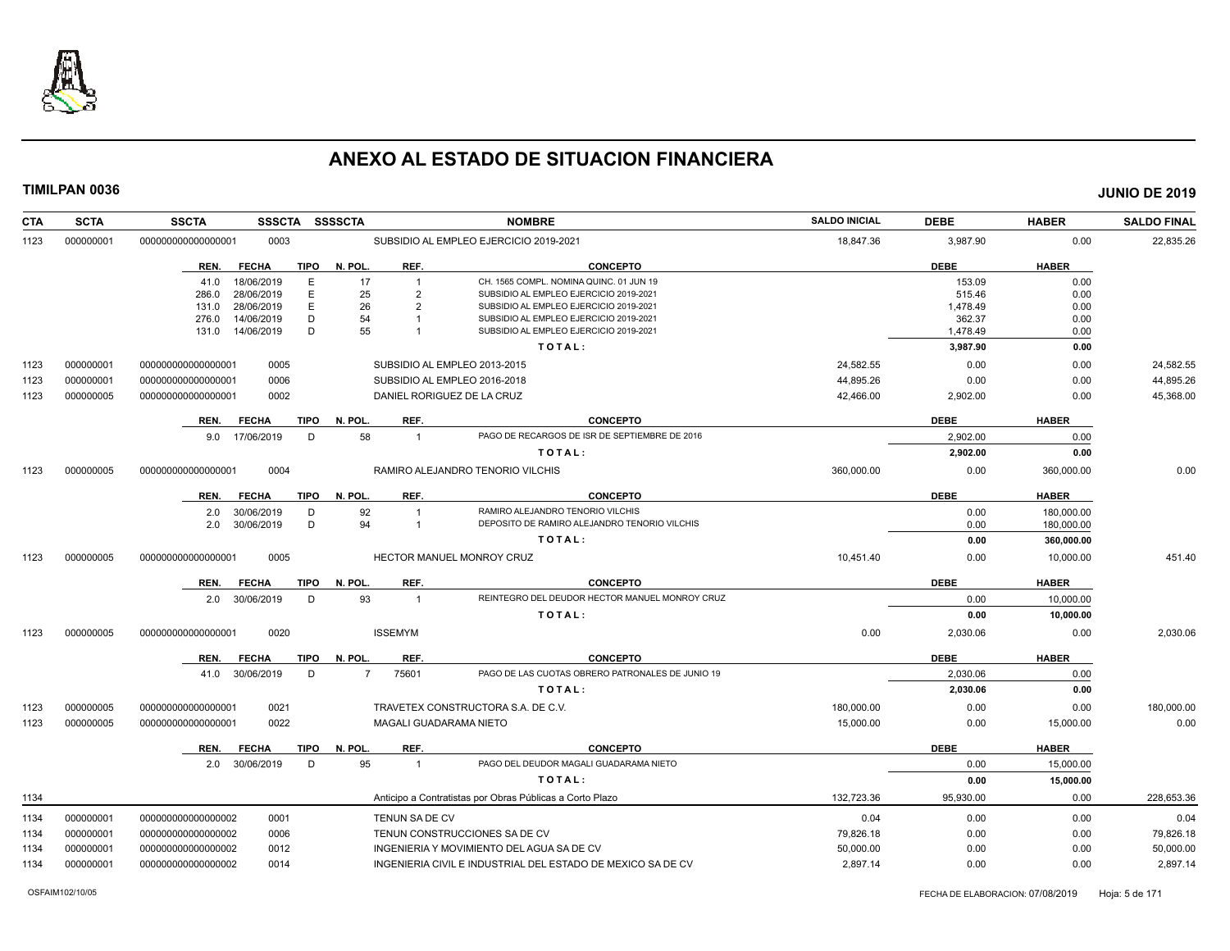

| <b>CTA</b> | <b>SCTA</b> | <b>SSCTA</b><br>SSSCTA SSSSCTA                       |                            | <b>NOMBRE</b>                                                                    | <b>SALDO INICIAL</b> | <b>DEBE</b>        | <b>HABER</b> | <b>SALDO FINAL</b> |
|------------|-------------|------------------------------------------------------|----------------------------|----------------------------------------------------------------------------------|----------------------|--------------------|--------------|--------------------|
| 1123       | 000000001   | 00000000000000001<br>0003                            |                            | SUBSIDIO AL EMPLEO EJERCICIO 2019-2021                                           | 18,847.36            | 3,987.90           | 0.00         | 22,835.26          |
|            |             | <b>FECHA</b><br><b>TIPO</b><br>REN.                  | N. POL.<br>REF.            | <b>CONCEPTO</b>                                                                  |                      | <b>DEBE</b>        | <b>HABER</b> |                    |
|            |             | E<br>18/06/2019<br>41.0                              | 17                         | CH. 1565 COMPL. NOMINA QUINC. 01 JUN 19                                          |                      | 153.09             | 0.00         |                    |
|            |             | 28/06/2019<br>E.<br>286.0                            | 25<br>$\overline{2}$       | SUBSIDIO AL EMPLEO EJERCICIO 2019-2021                                           |                      | 515.46             | 0.00         |                    |
|            |             | E<br>28/06/2019<br>131.0<br>D<br>14/06/2019<br>276.0 | 26<br>$\overline{2}$<br>54 | SUBSIDIO AL EMPLEO EJERCICIO 2019-2021<br>SUBSIDIO AL EMPLEO EJERCICIO 2019-2021 |                      | 1,478.49<br>362.37 | 0.00<br>0.00 |                    |
|            |             | D<br>14/06/2019<br>131.0                             | 55                         | SUBSIDIO AL EMPLEO EJERCICIO 2019-2021                                           |                      | 1,478.49           | 0.00         |                    |
|            |             |                                                      |                            | TOTAL:                                                                           |                      | 3,987.90           | 0.00         |                    |
| 1123       | 000000001   | 000000000000000001<br>0005                           |                            | SUBSIDIO AL EMPLEO 2013-2015                                                     | 24,582.55            | 0.00               | 0.00         | 24,582.55          |
| 1123       | 000000001   | 0006<br>000000000000000001                           |                            | SUBSIDIO AL EMPLEO 2016-2018                                                     | 44,895.26            | 0.00               | 0.00         | 44,895.26          |
| 1123       | 000000005   | 0002<br>000000000000000001                           | DANIEL RORIGUEZ DE LA CRUZ |                                                                                  | 42,466.00            | 2,902.00           | 0.00         | 45,368.00          |
|            |             | REN.<br><b>FECHA</b><br>TIPO                         | N. POL.<br>REF.            | <b>CONCEPTO</b>                                                                  |                      | <b>DEBE</b>        | <b>HABER</b> |                    |
|            |             | 9.0 17/06/2019<br>D                                  | 58<br>$\overline{1}$       | PAGO DE RECARGOS DE ISR DE SEPTIEMBRE DE 2016                                    |                      | 2.902.00           | 0.00         |                    |
|            |             |                                                      |                            | TOTAL:                                                                           |                      | 2,902.00           | 0.00         |                    |
| 1123       | 000000005   | 0004<br>000000000000000001                           |                            | RAMIRO ALEJANDRO TENORIO VILCHIS                                                 | 360,000.00           | 0.00               | 360,000.00   | 0.00               |
|            |             | <b>FECHA</b><br><b>TIPO</b><br>REN.                  | N. POL.<br>REF.            | <b>CONCEPTO</b>                                                                  |                      | <b>DEBE</b>        | <b>HABER</b> |                    |
|            |             | 30/06/2019<br>2.0<br>D                               | 92<br>$\overline{1}$       | RAMIRO ALEJANDRO TENORIO VILCHIS                                                 |                      | 0.00               | 180.000.00   |                    |
|            |             | D<br>2.0<br>30/06/2019                               | 94<br>$\overline{1}$       | DEPOSITO DE RAMIRO ALEJANDRO TENORIO VILCHIS                                     |                      | 0.00               | 180,000.00   |                    |
|            |             |                                                      |                            | TOTAL:                                                                           |                      | 0.00               | 360,000.00   |                    |
| 1123       | 000000005   | 000000000000000001<br>0005                           |                            | HECTOR MANUEL MONROY CRUZ                                                        | 10,451.40            | 0.00               | 10,000.00    | 451.40             |
|            |             | <b>FECHA</b><br><b>TIPO</b><br>REN.                  | REF.<br>N. POL.            | <b>CONCEPTO</b>                                                                  |                      | <b>DEBE</b>        | <b>HABER</b> |                    |
|            |             | 2.0 30/06/2019<br>D                                  | 93<br>$\overline{1}$       | REINTEGRO DEL DEUDOR HECTOR MANUEL MONROY CRUZ                                   |                      | 0.00               | 10.000.00    |                    |
|            |             |                                                      |                            | TOTAL:                                                                           |                      | 0.00               | 10,000.00    |                    |
| 1123       | 000000005   | 0020<br>000000000000000001                           | <b>ISSEMYM</b>             |                                                                                  | 0.00                 | 2,030.06           | 0.00         | 2,030.06           |
|            |             | REN.<br><b>FECHA</b><br>TIPO                         | N. POL.<br>REF.            | <b>CONCEPTO</b>                                                                  |                      | <b>DEBE</b>        | <b>HABER</b> |                    |
|            |             | 41.0 30/06/2019<br>D                                 | $\overline{7}$<br>75601    | PAGO DE LAS CUOTAS OBRERO PATRONALES DE JUNIO 19                                 |                      | 2.030.06           | 0.00         |                    |
|            |             |                                                      |                            | TOTAL:                                                                           |                      | 2,030.06           | 0.00         |                    |
| 1123       | 000000005   | 0021<br>000000000000000001                           |                            | TRAVETEX CONSTRUCTORA S.A. DE C.V.                                               | 180,000.00           | 0.00               | 0.00         | 180,000.00         |
| 1123       | 000000005   | 0022<br>000000000000000001                           | MAGALI GUADARAMA NIETO     |                                                                                  | 15,000.00            | 0.00               | 15,000.00    | 0.00               |
|            |             | REN.<br><b>FECHA</b><br>TIPO                         | N. POL.<br>REF.            | CONCEPTO                                                                         |                      | <b>DEBE</b>        | <b>HABER</b> |                    |
|            |             | 2.0 30/06/2019<br>D                                  | 95<br>$\overline{1}$       | PAGO DEL DEUDOR MAGALI GUADARAMA NIETO                                           |                      | 0.00               | 15,000.00    |                    |
|            |             |                                                      |                            | TOTAL:                                                                           |                      | 0.00               | 15,000.00    |                    |
| 1134       |             |                                                      |                            | Anticipo a Contratistas por Obras Públicas a Corto Plazo                         | 132.723.36           | 95,930.00          | 0.00         | 228,653.36         |
| 1134       | 000000001   | 0001<br>000000000000000002                           | <b>TENUN SA DE CV</b>      |                                                                                  | 0.04                 | 0.00               | 0.00         | 0.04               |
| 1134       | 000000001   | 0006<br>000000000000000002                           |                            | TENUN CONSTRUCCIONES SA DE CV                                                    | 79,826.18            | 0.00               | 0.00         | 79,826.18          |
| 1134       | 000000001   | 0012<br>000000000000000002                           |                            | INGENIERIA Y MOVIMIENTO DEL AGUA SA DE CV                                        | 50,000.00            | 0.00               | 0.00         | 50,000.00          |
| 1134       | 000000001   | 000000000000000002<br>0014                           |                            | INGENIERIA CIVIL E INDUSTRIAL DEL ESTADO DE MEXICO SA DE CV                      | 2.897.14             | 0.00               | 0.00         | 2,897.14           |
|            |             |                                                      |                            |                                                                                  |                      |                    |              |                    |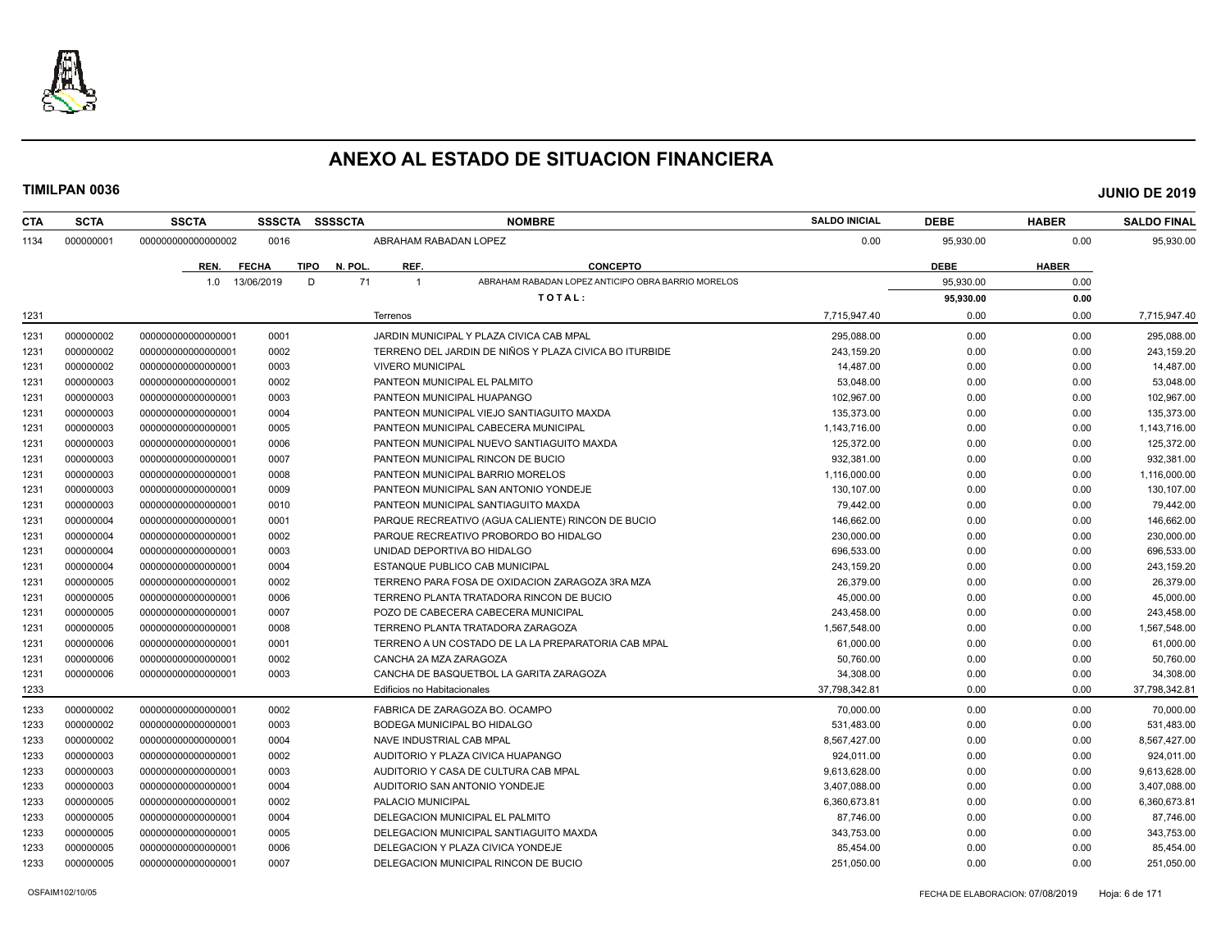

| 0.00<br>1134<br>000000001<br>00000000000000002<br>0016<br>ABRAHAM RABADAN LOPEZ<br>0.00<br>95,930.00<br>REF.<br><b>CONCEPTO</b><br><b>HABER</b><br>REN.<br><b>FECHA</b><br><b>TIPO</b><br>N. POL<br><b>DEBE</b><br>ABRAHAM RABADAN LOPEZ ANTICIPO OBRA BARRIO MORELOS<br>13/06/2019<br>D<br>71<br>95.930.00<br>0.00<br>1.0<br>$\overline{\mathbf{1}}$<br>TOTAL:<br>95,930.00<br>0.00<br>1231<br>7,715,947.40<br>0.00<br>0.00<br>Terrenos<br>0.00<br>000000002<br>0001<br>JARDIN MUNICIPAL Y PLAZA CIVICA CAB MPAL<br>295,088.00<br>0.00<br>1231<br>00000000000000001<br>TERRENO DEL JARDIN DE NIÑOS Y PLAZA CIVICA BO ITURBIDE<br>000000002<br>0002<br>243,159.20<br>1231<br>00000000000000001<br>0.00<br>0.00<br>14,487.00<br>1231<br>000000002<br>0003<br><b>VIVERO MUNICIPAL</b><br>0.00<br>0.00<br>00000000000000001<br>1231<br>000000003<br>00000000000000001<br>0002<br>PANTEON MUNICIPAL EL PALMITO<br>53,048.00<br>0.00<br>0.00<br>1231<br>000000003<br>0003<br>PANTEON MUNICIPAL HUAPANGO<br>102,967.00<br>0.00<br>00000000000000001<br>0.00<br>000000003<br>135,373.00<br>1231<br>00000000000000001<br>0004<br>PANTEON MUNICIPAL VIEJO SANTIAGUITO MAXDA<br>0.00<br>0.00<br>000000003<br>1231<br>00000000000000001<br>0005<br>PANTEON MUNICIPAL CABECERA MUNICIPAL<br>1,143,716.00<br>0.00<br>0.00<br>1231<br>000000003<br>0006<br>PANTEON MUNICIPAL NUEVO SANTIAGUITO MAXDA<br>125,372.00<br>0.00<br>0.00<br>00000000000000001<br>1231<br>000000003<br>932,381.00<br>00000000000000001<br>0007<br>PANTEON MUNICIPAL RINCON DE BUCIO<br>0.00<br>0.00<br>1231<br>000000003<br>00000000000000001<br>0008<br>PANTEON MUNICIPAL BARRIO MORELOS<br>1,116,000.00<br>0.00<br>0.00<br>1231<br>000000003<br>00000000000000001<br>0009<br>PANTEON MUNICIPAL SAN ANTONIO YONDEJE<br>130,107.00<br>0.00<br>0.00<br>1231<br>000000003<br>79,442.00<br>00000000000000001<br>0010<br>PANTEON MUNICIPAL SANTIAGUITO MAXDA<br>0.00<br>0.00<br>146,662.00<br>1231<br>000000004<br>0001<br>PARQUE RECREATIVO (AGUA CALIENTE) RINCON DE BUCIO<br>0.00<br>0.00<br>00000000000000001<br>1231<br>000000004<br>0002<br>230.000.00<br>00000000000000001<br>PARQUE RECREATIVO PROBORDO BO HIDALGO<br>0.00<br>0.00<br>1231<br>000000004<br>0003<br>UNIDAD DEPORTIVA BO HIDALGO<br>696.533.00<br>00000000000000001<br>0.00<br>0.00<br>1231<br>000000004<br>00000000000000001<br>0004<br>ESTANQUE PUBLICO CAB MUNICIPAL<br>243,159.20<br>0.00<br>0.00<br>1231<br>000000005<br>0002<br>TERRENO PARA FOSA DE OXIDACION ZARAGOZA 3RA MZA<br>26,379.00<br>0.00<br>0.00<br>00000000000000001<br>000000005<br>45,000.00<br>1231<br>00000000000000001<br>0006<br>TERRENO PLANTA TRATADORA RINCON DE BUCIO<br>0.00<br>0.00<br>1231<br>000000005<br>243,458.00<br>00000000000000001<br>0007<br>POZO DE CABECERA CABECERA MUNICIPAL<br>0.00<br>0.00<br>1231<br>000000005<br>0008<br>TERRENO PLANTA TRATADORA ZARAGOZA<br>1,567,548.00<br>0.00<br>0.00<br>00000000000000001<br>000000006<br>61,000.00<br>1231<br>00000000000000000<br>0001<br>TERRENO A UN COSTADO DE LA LA PREPARATORIA CAB MPAL<br>0.00<br>0.00<br>1231<br>000000006<br>00000000000000001<br>0002<br>CANCHA 2A MZA ZARAGOZA<br>50,760.00<br>0.00<br>0.00<br>1231<br>000000006<br>0003<br>CANCHA DE BASQUETBOL LA GARITA ZARAGOZA<br>34,308.00<br>0.00<br>0.00<br>000000000000000001<br>1233<br>37,798,342.81<br>0.00<br>Edificios no Habitacionales<br>0.00<br>1233<br>000000002<br>0002<br>0.00<br>0.00<br>00000000000000001<br>FABRICA DE ZARAGOZA BO. OCAMPO<br>70.000.00<br>1233<br>000000002<br>0003<br>BODEGA MUNICIPAL BO HIDALGO<br>531,483.00<br>0.00<br>0.00<br>00000000000000001<br>1233<br>000000002<br>0004<br>NAVE INDUSTRIAL CAB MPAL<br>8,567,427.00<br>0.00<br>00000000000000001<br>0.00<br>1233<br>000000003<br>00000000000000001<br>0002<br>0.00<br>0.00<br>AUDITORIO Y PLAZA CIVICA HUAPANGO<br>924,011.00<br>1233<br>000000003<br>00000000000000001<br>0003<br>AUDITORIO Y CASA DE CULTURA CAB MPAL<br>9.613.628.00<br>0.00<br>0.00<br>000000003<br>1233<br>00000000000000001<br>0004<br>AUDITORIO SAN ANTONIO YONDEJE<br>3,407,088.00<br>0.00<br>0.00<br>000000005<br>1233<br>00000000000000001<br>0002<br>PALACIO MUNICIPAL<br>6,360,673.81<br>0.00<br>0.00<br>1233<br>000000005<br>0004<br>DELEGACION MUNICIPAL EL PALMITO<br>87,746.00<br>0.00<br>00000000000000001<br>0.00<br>343,753.00<br>1233<br>000000005<br>00000000000000001<br>0005<br>DELEGACION MUNICIPAL SANTIAGUITO MAXDA<br>0.00<br>0.00<br>1233<br>000000005<br>00000000000000001<br>0006<br>DELEGACION Y PLAZA CIVICA YONDEJE<br>85,454.00<br>0.00<br>0.00<br>1233<br>000000005<br>0007<br>DELEGACION MUNICIPAL RINCON DE BUCIO<br>251,050.00<br>00000000000000001<br>0.00<br>0.00 | <b>CTA</b> | <b>SCTA</b> | <b>SSCTA</b> | <b>SSSCTA</b> | <b>SSSSCTA</b> | <b>NOMBRE</b> | <b>SALDO INICIAL</b> | <b>DEBE</b> | <b>HABER</b> | <b>SALDO FINAL</b> |
|----------------------------------------------------------------------------------------------------------------------------------------------------------------------------------------------------------------------------------------------------------------------------------------------------------------------------------------------------------------------------------------------------------------------------------------------------------------------------------------------------------------------------------------------------------------------------------------------------------------------------------------------------------------------------------------------------------------------------------------------------------------------------------------------------------------------------------------------------------------------------------------------------------------------------------------------------------------------------------------------------------------------------------------------------------------------------------------------------------------------------------------------------------------------------------------------------------------------------------------------------------------------------------------------------------------------------------------------------------------------------------------------------------------------------------------------------------------------------------------------------------------------------------------------------------------------------------------------------------------------------------------------------------------------------------------------------------------------------------------------------------------------------------------------------------------------------------------------------------------------------------------------------------------------------------------------------------------------------------------------------------------------------------------------------------------------------------------------------------------------------------------------------------------------------------------------------------------------------------------------------------------------------------------------------------------------------------------------------------------------------------------------------------------------------------------------------------------------------------------------------------------------------------------------------------------------------------------------------------------------------------------------------------------------------------------------------------------------------------------------------------------------------------------------------------------------------------------------------------------------------------------------------------------------------------------------------------------------------------------------------------------------------------------------------------------------------------------------------------------------------------------------------------------------------------------------------------------------------------------------------------------------------------------------------------------------------------------------------------------------------------------------------------------------------------------------------------------------------------------------------------------------------------------------------------------------------------------------------------------------------------------------------------------------------------------------------------------------------------------------------------------------------------------------------------------------------------------------------------------------------------------------------------------------------------------------------------------------------------------------------------------------------------------------------------------------------------------------------------------------------------------------------------------------------------------------------------------------------------------------------------------------------------------------------------------------------------------------------------------------------------------------------------------------------------------------------------------------------------------------------------------------------------------------------------------------------------------------------------------------------------------------------------------------------------------------------------------|------------|-------------|--------------|---------------|----------------|---------------|----------------------|-------------|--------------|--------------------|
|                                                                                                                                                                                                                                                                                                                                                                                                                                                                                                                                                                                                                                                                                                                                                                                                                                                                                                                                                                                                                                                                                                                                                                                                                                                                                                                                                                                                                                                                                                                                                                                                                                                                                                                                                                                                                                                                                                                                                                                                                                                                                                                                                                                                                                                                                                                                                                                                                                                                                                                                                                                                                                                                                                                                                                                                                                                                                                                                                                                                                                                                                                                                                                                                                                                                                                                                                                                                                                                                                                                                                                                                                                                                                                                                                                                                                                                                                                                                                                                                                                                                                                                                                                                                                                                                                                                                                                                                                                                                                                                                                                                                                                                                                                                |            |             |              |               |                |               |                      |             |              | 95,930.00          |
|                                                                                                                                                                                                                                                                                                                                                                                                                                                                                                                                                                                                                                                                                                                                                                                                                                                                                                                                                                                                                                                                                                                                                                                                                                                                                                                                                                                                                                                                                                                                                                                                                                                                                                                                                                                                                                                                                                                                                                                                                                                                                                                                                                                                                                                                                                                                                                                                                                                                                                                                                                                                                                                                                                                                                                                                                                                                                                                                                                                                                                                                                                                                                                                                                                                                                                                                                                                                                                                                                                                                                                                                                                                                                                                                                                                                                                                                                                                                                                                                                                                                                                                                                                                                                                                                                                                                                                                                                                                                                                                                                                                                                                                                                                                |            |             |              |               |                |               |                      |             |              |                    |
|                                                                                                                                                                                                                                                                                                                                                                                                                                                                                                                                                                                                                                                                                                                                                                                                                                                                                                                                                                                                                                                                                                                                                                                                                                                                                                                                                                                                                                                                                                                                                                                                                                                                                                                                                                                                                                                                                                                                                                                                                                                                                                                                                                                                                                                                                                                                                                                                                                                                                                                                                                                                                                                                                                                                                                                                                                                                                                                                                                                                                                                                                                                                                                                                                                                                                                                                                                                                                                                                                                                                                                                                                                                                                                                                                                                                                                                                                                                                                                                                                                                                                                                                                                                                                                                                                                                                                                                                                                                                                                                                                                                                                                                                                                                |            |             |              |               |                |               |                      |             |              |                    |
|                                                                                                                                                                                                                                                                                                                                                                                                                                                                                                                                                                                                                                                                                                                                                                                                                                                                                                                                                                                                                                                                                                                                                                                                                                                                                                                                                                                                                                                                                                                                                                                                                                                                                                                                                                                                                                                                                                                                                                                                                                                                                                                                                                                                                                                                                                                                                                                                                                                                                                                                                                                                                                                                                                                                                                                                                                                                                                                                                                                                                                                                                                                                                                                                                                                                                                                                                                                                                                                                                                                                                                                                                                                                                                                                                                                                                                                                                                                                                                                                                                                                                                                                                                                                                                                                                                                                                                                                                                                                                                                                                                                                                                                                                                                |            |             |              |               |                |               |                      |             |              |                    |
|                                                                                                                                                                                                                                                                                                                                                                                                                                                                                                                                                                                                                                                                                                                                                                                                                                                                                                                                                                                                                                                                                                                                                                                                                                                                                                                                                                                                                                                                                                                                                                                                                                                                                                                                                                                                                                                                                                                                                                                                                                                                                                                                                                                                                                                                                                                                                                                                                                                                                                                                                                                                                                                                                                                                                                                                                                                                                                                                                                                                                                                                                                                                                                                                                                                                                                                                                                                                                                                                                                                                                                                                                                                                                                                                                                                                                                                                                                                                                                                                                                                                                                                                                                                                                                                                                                                                                                                                                                                                                                                                                                                                                                                                                                                |            |             |              |               |                |               |                      |             |              | 7,715,947.40       |
|                                                                                                                                                                                                                                                                                                                                                                                                                                                                                                                                                                                                                                                                                                                                                                                                                                                                                                                                                                                                                                                                                                                                                                                                                                                                                                                                                                                                                                                                                                                                                                                                                                                                                                                                                                                                                                                                                                                                                                                                                                                                                                                                                                                                                                                                                                                                                                                                                                                                                                                                                                                                                                                                                                                                                                                                                                                                                                                                                                                                                                                                                                                                                                                                                                                                                                                                                                                                                                                                                                                                                                                                                                                                                                                                                                                                                                                                                                                                                                                                                                                                                                                                                                                                                                                                                                                                                                                                                                                                                                                                                                                                                                                                                                                |            |             |              |               |                |               |                      |             |              | 295,088.00         |
|                                                                                                                                                                                                                                                                                                                                                                                                                                                                                                                                                                                                                                                                                                                                                                                                                                                                                                                                                                                                                                                                                                                                                                                                                                                                                                                                                                                                                                                                                                                                                                                                                                                                                                                                                                                                                                                                                                                                                                                                                                                                                                                                                                                                                                                                                                                                                                                                                                                                                                                                                                                                                                                                                                                                                                                                                                                                                                                                                                                                                                                                                                                                                                                                                                                                                                                                                                                                                                                                                                                                                                                                                                                                                                                                                                                                                                                                                                                                                                                                                                                                                                                                                                                                                                                                                                                                                                                                                                                                                                                                                                                                                                                                                                                |            |             |              |               |                |               |                      |             |              | 243,159.20         |
|                                                                                                                                                                                                                                                                                                                                                                                                                                                                                                                                                                                                                                                                                                                                                                                                                                                                                                                                                                                                                                                                                                                                                                                                                                                                                                                                                                                                                                                                                                                                                                                                                                                                                                                                                                                                                                                                                                                                                                                                                                                                                                                                                                                                                                                                                                                                                                                                                                                                                                                                                                                                                                                                                                                                                                                                                                                                                                                                                                                                                                                                                                                                                                                                                                                                                                                                                                                                                                                                                                                                                                                                                                                                                                                                                                                                                                                                                                                                                                                                                                                                                                                                                                                                                                                                                                                                                                                                                                                                                                                                                                                                                                                                                                                |            |             |              |               |                |               |                      |             |              | 14,487.00          |
|                                                                                                                                                                                                                                                                                                                                                                                                                                                                                                                                                                                                                                                                                                                                                                                                                                                                                                                                                                                                                                                                                                                                                                                                                                                                                                                                                                                                                                                                                                                                                                                                                                                                                                                                                                                                                                                                                                                                                                                                                                                                                                                                                                                                                                                                                                                                                                                                                                                                                                                                                                                                                                                                                                                                                                                                                                                                                                                                                                                                                                                                                                                                                                                                                                                                                                                                                                                                                                                                                                                                                                                                                                                                                                                                                                                                                                                                                                                                                                                                                                                                                                                                                                                                                                                                                                                                                                                                                                                                                                                                                                                                                                                                                                                |            |             |              |               |                |               |                      |             |              | 53,048.00          |
|                                                                                                                                                                                                                                                                                                                                                                                                                                                                                                                                                                                                                                                                                                                                                                                                                                                                                                                                                                                                                                                                                                                                                                                                                                                                                                                                                                                                                                                                                                                                                                                                                                                                                                                                                                                                                                                                                                                                                                                                                                                                                                                                                                                                                                                                                                                                                                                                                                                                                                                                                                                                                                                                                                                                                                                                                                                                                                                                                                                                                                                                                                                                                                                                                                                                                                                                                                                                                                                                                                                                                                                                                                                                                                                                                                                                                                                                                                                                                                                                                                                                                                                                                                                                                                                                                                                                                                                                                                                                                                                                                                                                                                                                                                                |            |             |              |               |                |               |                      |             |              | 102,967.00         |
|                                                                                                                                                                                                                                                                                                                                                                                                                                                                                                                                                                                                                                                                                                                                                                                                                                                                                                                                                                                                                                                                                                                                                                                                                                                                                                                                                                                                                                                                                                                                                                                                                                                                                                                                                                                                                                                                                                                                                                                                                                                                                                                                                                                                                                                                                                                                                                                                                                                                                                                                                                                                                                                                                                                                                                                                                                                                                                                                                                                                                                                                                                                                                                                                                                                                                                                                                                                                                                                                                                                                                                                                                                                                                                                                                                                                                                                                                                                                                                                                                                                                                                                                                                                                                                                                                                                                                                                                                                                                                                                                                                                                                                                                                                                |            |             |              |               |                |               |                      |             |              | 135,373.00         |
|                                                                                                                                                                                                                                                                                                                                                                                                                                                                                                                                                                                                                                                                                                                                                                                                                                                                                                                                                                                                                                                                                                                                                                                                                                                                                                                                                                                                                                                                                                                                                                                                                                                                                                                                                                                                                                                                                                                                                                                                                                                                                                                                                                                                                                                                                                                                                                                                                                                                                                                                                                                                                                                                                                                                                                                                                                                                                                                                                                                                                                                                                                                                                                                                                                                                                                                                                                                                                                                                                                                                                                                                                                                                                                                                                                                                                                                                                                                                                                                                                                                                                                                                                                                                                                                                                                                                                                                                                                                                                                                                                                                                                                                                                                                |            |             |              |               |                |               |                      |             |              | 1,143,716.00       |
|                                                                                                                                                                                                                                                                                                                                                                                                                                                                                                                                                                                                                                                                                                                                                                                                                                                                                                                                                                                                                                                                                                                                                                                                                                                                                                                                                                                                                                                                                                                                                                                                                                                                                                                                                                                                                                                                                                                                                                                                                                                                                                                                                                                                                                                                                                                                                                                                                                                                                                                                                                                                                                                                                                                                                                                                                                                                                                                                                                                                                                                                                                                                                                                                                                                                                                                                                                                                                                                                                                                                                                                                                                                                                                                                                                                                                                                                                                                                                                                                                                                                                                                                                                                                                                                                                                                                                                                                                                                                                                                                                                                                                                                                                                                |            |             |              |               |                |               |                      |             |              | 125,372.00         |
|                                                                                                                                                                                                                                                                                                                                                                                                                                                                                                                                                                                                                                                                                                                                                                                                                                                                                                                                                                                                                                                                                                                                                                                                                                                                                                                                                                                                                                                                                                                                                                                                                                                                                                                                                                                                                                                                                                                                                                                                                                                                                                                                                                                                                                                                                                                                                                                                                                                                                                                                                                                                                                                                                                                                                                                                                                                                                                                                                                                                                                                                                                                                                                                                                                                                                                                                                                                                                                                                                                                                                                                                                                                                                                                                                                                                                                                                                                                                                                                                                                                                                                                                                                                                                                                                                                                                                                                                                                                                                                                                                                                                                                                                                                                |            |             |              |               |                |               |                      |             |              | 932,381.00         |
|                                                                                                                                                                                                                                                                                                                                                                                                                                                                                                                                                                                                                                                                                                                                                                                                                                                                                                                                                                                                                                                                                                                                                                                                                                                                                                                                                                                                                                                                                                                                                                                                                                                                                                                                                                                                                                                                                                                                                                                                                                                                                                                                                                                                                                                                                                                                                                                                                                                                                                                                                                                                                                                                                                                                                                                                                                                                                                                                                                                                                                                                                                                                                                                                                                                                                                                                                                                                                                                                                                                                                                                                                                                                                                                                                                                                                                                                                                                                                                                                                                                                                                                                                                                                                                                                                                                                                                                                                                                                                                                                                                                                                                                                                                                |            |             |              |               |                |               |                      |             |              | 1,116,000.00       |
|                                                                                                                                                                                                                                                                                                                                                                                                                                                                                                                                                                                                                                                                                                                                                                                                                                                                                                                                                                                                                                                                                                                                                                                                                                                                                                                                                                                                                                                                                                                                                                                                                                                                                                                                                                                                                                                                                                                                                                                                                                                                                                                                                                                                                                                                                                                                                                                                                                                                                                                                                                                                                                                                                                                                                                                                                                                                                                                                                                                                                                                                                                                                                                                                                                                                                                                                                                                                                                                                                                                                                                                                                                                                                                                                                                                                                                                                                                                                                                                                                                                                                                                                                                                                                                                                                                                                                                                                                                                                                                                                                                                                                                                                                                                |            |             |              |               |                |               |                      |             |              | 130,107.00         |
|                                                                                                                                                                                                                                                                                                                                                                                                                                                                                                                                                                                                                                                                                                                                                                                                                                                                                                                                                                                                                                                                                                                                                                                                                                                                                                                                                                                                                                                                                                                                                                                                                                                                                                                                                                                                                                                                                                                                                                                                                                                                                                                                                                                                                                                                                                                                                                                                                                                                                                                                                                                                                                                                                                                                                                                                                                                                                                                                                                                                                                                                                                                                                                                                                                                                                                                                                                                                                                                                                                                                                                                                                                                                                                                                                                                                                                                                                                                                                                                                                                                                                                                                                                                                                                                                                                                                                                                                                                                                                                                                                                                                                                                                                                                |            |             |              |               |                |               |                      |             |              | 79,442.00          |
|                                                                                                                                                                                                                                                                                                                                                                                                                                                                                                                                                                                                                                                                                                                                                                                                                                                                                                                                                                                                                                                                                                                                                                                                                                                                                                                                                                                                                                                                                                                                                                                                                                                                                                                                                                                                                                                                                                                                                                                                                                                                                                                                                                                                                                                                                                                                                                                                                                                                                                                                                                                                                                                                                                                                                                                                                                                                                                                                                                                                                                                                                                                                                                                                                                                                                                                                                                                                                                                                                                                                                                                                                                                                                                                                                                                                                                                                                                                                                                                                                                                                                                                                                                                                                                                                                                                                                                                                                                                                                                                                                                                                                                                                                                                |            |             |              |               |                |               |                      |             |              | 146,662.00         |
|                                                                                                                                                                                                                                                                                                                                                                                                                                                                                                                                                                                                                                                                                                                                                                                                                                                                                                                                                                                                                                                                                                                                                                                                                                                                                                                                                                                                                                                                                                                                                                                                                                                                                                                                                                                                                                                                                                                                                                                                                                                                                                                                                                                                                                                                                                                                                                                                                                                                                                                                                                                                                                                                                                                                                                                                                                                                                                                                                                                                                                                                                                                                                                                                                                                                                                                                                                                                                                                                                                                                                                                                                                                                                                                                                                                                                                                                                                                                                                                                                                                                                                                                                                                                                                                                                                                                                                                                                                                                                                                                                                                                                                                                                                                |            |             |              |               |                |               |                      |             |              | 230.000.00         |
|                                                                                                                                                                                                                                                                                                                                                                                                                                                                                                                                                                                                                                                                                                                                                                                                                                                                                                                                                                                                                                                                                                                                                                                                                                                                                                                                                                                                                                                                                                                                                                                                                                                                                                                                                                                                                                                                                                                                                                                                                                                                                                                                                                                                                                                                                                                                                                                                                                                                                                                                                                                                                                                                                                                                                                                                                                                                                                                                                                                                                                                                                                                                                                                                                                                                                                                                                                                                                                                                                                                                                                                                                                                                                                                                                                                                                                                                                                                                                                                                                                                                                                                                                                                                                                                                                                                                                                                                                                                                                                                                                                                                                                                                                                                |            |             |              |               |                |               |                      |             |              | 696,533.00         |
|                                                                                                                                                                                                                                                                                                                                                                                                                                                                                                                                                                                                                                                                                                                                                                                                                                                                                                                                                                                                                                                                                                                                                                                                                                                                                                                                                                                                                                                                                                                                                                                                                                                                                                                                                                                                                                                                                                                                                                                                                                                                                                                                                                                                                                                                                                                                                                                                                                                                                                                                                                                                                                                                                                                                                                                                                                                                                                                                                                                                                                                                                                                                                                                                                                                                                                                                                                                                                                                                                                                                                                                                                                                                                                                                                                                                                                                                                                                                                                                                                                                                                                                                                                                                                                                                                                                                                                                                                                                                                                                                                                                                                                                                                                                |            |             |              |               |                |               |                      |             |              | 243,159.20         |
|                                                                                                                                                                                                                                                                                                                                                                                                                                                                                                                                                                                                                                                                                                                                                                                                                                                                                                                                                                                                                                                                                                                                                                                                                                                                                                                                                                                                                                                                                                                                                                                                                                                                                                                                                                                                                                                                                                                                                                                                                                                                                                                                                                                                                                                                                                                                                                                                                                                                                                                                                                                                                                                                                                                                                                                                                                                                                                                                                                                                                                                                                                                                                                                                                                                                                                                                                                                                                                                                                                                                                                                                                                                                                                                                                                                                                                                                                                                                                                                                                                                                                                                                                                                                                                                                                                                                                                                                                                                                                                                                                                                                                                                                                                                |            |             |              |               |                |               |                      |             |              | 26,379.00          |
|                                                                                                                                                                                                                                                                                                                                                                                                                                                                                                                                                                                                                                                                                                                                                                                                                                                                                                                                                                                                                                                                                                                                                                                                                                                                                                                                                                                                                                                                                                                                                                                                                                                                                                                                                                                                                                                                                                                                                                                                                                                                                                                                                                                                                                                                                                                                                                                                                                                                                                                                                                                                                                                                                                                                                                                                                                                                                                                                                                                                                                                                                                                                                                                                                                                                                                                                                                                                                                                                                                                                                                                                                                                                                                                                                                                                                                                                                                                                                                                                                                                                                                                                                                                                                                                                                                                                                                                                                                                                                                                                                                                                                                                                                                                |            |             |              |               |                |               |                      |             |              | 45,000.00          |
|                                                                                                                                                                                                                                                                                                                                                                                                                                                                                                                                                                                                                                                                                                                                                                                                                                                                                                                                                                                                                                                                                                                                                                                                                                                                                                                                                                                                                                                                                                                                                                                                                                                                                                                                                                                                                                                                                                                                                                                                                                                                                                                                                                                                                                                                                                                                                                                                                                                                                                                                                                                                                                                                                                                                                                                                                                                                                                                                                                                                                                                                                                                                                                                                                                                                                                                                                                                                                                                                                                                                                                                                                                                                                                                                                                                                                                                                                                                                                                                                                                                                                                                                                                                                                                                                                                                                                                                                                                                                                                                                                                                                                                                                                                                |            |             |              |               |                |               |                      |             |              | 243,458.00         |
|                                                                                                                                                                                                                                                                                                                                                                                                                                                                                                                                                                                                                                                                                                                                                                                                                                                                                                                                                                                                                                                                                                                                                                                                                                                                                                                                                                                                                                                                                                                                                                                                                                                                                                                                                                                                                                                                                                                                                                                                                                                                                                                                                                                                                                                                                                                                                                                                                                                                                                                                                                                                                                                                                                                                                                                                                                                                                                                                                                                                                                                                                                                                                                                                                                                                                                                                                                                                                                                                                                                                                                                                                                                                                                                                                                                                                                                                                                                                                                                                                                                                                                                                                                                                                                                                                                                                                                                                                                                                                                                                                                                                                                                                                                                |            |             |              |               |                |               |                      |             |              | 1,567,548.00       |
|                                                                                                                                                                                                                                                                                                                                                                                                                                                                                                                                                                                                                                                                                                                                                                                                                                                                                                                                                                                                                                                                                                                                                                                                                                                                                                                                                                                                                                                                                                                                                                                                                                                                                                                                                                                                                                                                                                                                                                                                                                                                                                                                                                                                                                                                                                                                                                                                                                                                                                                                                                                                                                                                                                                                                                                                                                                                                                                                                                                                                                                                                                                                                                                                                                                                                                                                                                                                                                                                                                                                                                                                                                                                                                                                                                                                                                                                                                                                                                                                                                                                                                                                                                                                                                                                                                                                                                                                                                                                                                                                                                                                                                                                                                                |            |             |              |               |                |               |                      |             |              | 61,000.00          |
|                                                                                                                                                                                                                                                                                                                                                                                                                                                                                                                                                                                                                                                                                                                                                                                                                                                                                                                                                                                                                                                                                                                                                                                                                                                                                                                                                                                                                                                                                                                                                                                                                                                                                                                                                                                                                                                                                                                                                                                                                                                                                                                                                                                                                                                                                                                                                                                                                                                                                                                                                                                                                                                                                                                                                                                                                                                                                                                                                                                                                                                                                                                                                                                                                                                                                                                                                                                                                                                                                                                                                                                                                                                                                                                                                                                                                                                                                                                                                                                                                                                                                                                                                                                                                                                                                                                                                                                                                                                                                                                                                                                                                                                                                                                |            |             |              |               |                |               |                      |             |              | 50,760.00          |
|                                                                                                                                                                                                                                                                                                                                                                                                                                                                                                                                                                                                                                                                                                                                                                                                                                                                                                                                                                                                                                                                                                                                                                                                                                                                                                                                                                                                                                                                                                                                                                                                                                                                                                                                                                                                                                                                                                                                                                                                                                                                                                                                                                                                                                                                                                                                                                                                                                                                                                                                                                                                                                                                                                                                                                                                                                                                                                                                                                                                                                                                                                                                                                                                                                                                                                                                                                                                                                                                                                                                                                                                                                                                                                                                                                                                                                                                                                                                                                                                                                                                                                                                                                                                                                                                                                                                                                                                                                                                                                                                                                                                                                                                                                                |            |             |              |               |                |               |                      |             |              | 34,308.00          |
|                                                                                                                                                                                                                                                                                                                                                                                                                                                                                                                                                                                                                                                                                                                                                                                                                                                                                                                                                                                                                                                                                                                                                                                                                                                                                                                                                                                                                                                                                                                                                                                                                                                                                                                                                                                                                                                                                                                                                                                                                                                                                                                                                                                                                                                                                                                                                                                                                                                                                                                                                                                                                                                                                                                                                                                                                                                                                                                                                                                                                                                                                                                                                                                                                                                                                                                                                                                                                                                                                                                                                                                                                                                                                                                                                                                                                                                                                                                                                                                                                                                                                                                                                                                                                                                                                                                                                                                                                                                                                                                                                                                                                                                                                                                |            |             |              |               |                |               |                      |             |              | 37,798,342.81      |
|                                                                                                                                                                                                                                                                                                                                                                                                                                                                                                                                                                                                                                                                                                                                                                                                                                                                                                                                                                                                                                                                                                                                                                                                                                                                                                                                                                                                                                                                                                                                                                                                                                                                                                                                                                                                                                                                                                                                                                                                                                                                                                                                                                                                                                                                                                                                                                                                                                                                                                                                                                                                                                                                                                                                                                                                                                                                                                                                                                                                                                                                                                                                                                                                                                                                                                                                                                                                                                                                                                                                                                                                                                                                                                                                                                                                                                                                                                                                                                                                                                                                                                                                                                                                                                                                                                                                                                                                                                                                                                                                                                                                                                                                                                                |            |             |              |               |                |               |                      |             |              | 70.000.00          |
|                                                                                                                                                                                                                                                                                                                                                                                                                                                                                                                                                                                                                                                                                                                                                                                                                                                                                                                                                                                                                                                                                                                                                                                                                                                                                                                                                                                                                                                                                                                                                                                                                                                                                                                                                                                                                                                                                                                                                                                                                                                                                                                                                                                                                                                                                                                                                                                                                                                                                                                                                                                                                                                                                                                                                                                                                                                                                                                                                                                                                                                                                                                                                                                                                                                                                                                                                                                                                                                                                                                                                                                                                                                                                                                                                                                                                                                                                                                                                                                                                                                                                                                                                                                                                                                                                                                                                                                                                                                                                                                                                                                                                                                                                                                |            |             |              |               |                |               |                      |             |              | 531,483.00         |
|                                                                                                                                                                                                                                                                                                                                                                                                                                                                                                                                                                                                                                                                                                                                                                                                                                                                                                                                                                                                                                                                                                                                                                                                                                                                                                                                                                                                                                                                                                                                                                                                                                                                                                                                                                                                                                                                                                                                                                                                                                                                                                                                                                                                                                                                                                                                                                                                                                                                                                                                                                                                                                                                                                                                                                                                                                                                                                                                                                                                                                                                                                                                                                                                                                                                                                                                                                                                                                                                                                                                                                                                                                                                                                                                                                                                                                                                                                                                                                                                                                                                                                                                                                                                                                                                                                                                                                                                                                                                                                                                                                                                                                                                                                                |            |             |              |               |                |               |                      |             |              | 8,567,427.00       |
|                                                                                                                                                                                                                                                                                                                                                                                                                                                                                                                                                                                                                                                                                                                                                                                                                                                                                                                                                                                                                                                                                                                                                                                                                                                                                                                                                                                                                                                                                                                                                                                                                                                                                                                                                                                                                                                                                                                                                                                                                                                                                                                                                                                                                                                                                                                                                                                                                                                                                                                                                                                                                                                                                                                                                                                                                                                                                                                                                                                                                                                                                                                                                                                                                                                                                                                                                                                                                                                                                                                                                                                                                                                                                                                                                                                                                                                                                                                                                                                                                                                                                                                                                                                                                                                                                                                                                                                                                                                                                                                                                                                                                                                                                                                |            |             |              |               |                |               |                      |             |              | 924,011.00         |
|                                                                                                                                                                                                                                                                                                                                                                                                                                                                                                                                                                                                                                                                                                                                                                                                                                                                                                                                                                                                                                                                                                                                                                                                                                                                                                                                                                                                                                                                                                                                                                                                                                                                                                                                                                                                                                                                                                                                                                                                                                                                                                                                                                                                                                                                                                                                                                                                                                                                                                                                                                                                                                                                                                                                                                                                                                                                                                                                                                                                                                                                                                                                                                                                                                                                                                                                                                                                                                                                                                                                                                                                                                                                                                                                                                                                                                                                                                                                                                                                                                                                                                                                                                                                                                                                                                                                                                                                                                                                                                                                                                                                                                                                                                                |            |             |              |               |                |               |                      |             |              | 9,613,628.00       |
|                                                                                                                                                                                                                                                                                                                                                                                                                                                                                                                                                                                                                                                                                                                                                                                                                                                                                                                                                                                                                                                                                                                                                                                                                                                                                                                                                                                                                                                                                                                                                                                                                                                                                                                                                                                                                                                                                                                                                                                                                                                                                                                                                                                                                                                                                                                                                                                                                                                                                                                                                                                                                                                                                                                                                                                                                                                                                                                                                                                                                                                                                                                                                                                                                                                                                                                                                                                                                                                                                                                                                                                                                                                                                                                                                                                                                                                                                                                                                                                                                                                                                                                                                                                                                                                                                                                                                                                                                                                                                                                                                                                                                                                                                                                |            |             |              |               |                |               |                      |             |              | 3,407,088.00       |
|                                                                                                                                                                                                                                                                                                                                                                                                                                                                                                                                                                                                                                                                                                                                                                                                                                                                                                                                                                                                                                                                                                                                                                                                                                                                                                                                                                                                                                                                                                                                                                                                                                                                                                                                                                                                                                                                                                                                                                                                                                                                                                                                                                                                                                                                                                                                                                                                                                                                                                                                                                                                                                                                                                                                                                                                                                                                                                                                                                                                                                                                                                                                                                                                                                                                                                                                                                                                                                                                                                                                                                                                                                                                                                                                                                                                                                                                                                                                                                                                                                                                                                                                                                                                                                                                                                                                                                                                                                                                                                                                                                                                                                                                                                                |            |             |              |               |                |               |                      |             |              | 6,360,673.81       |
|                                                                                                                                                                                                                                                                                                                                                                                                                                                                                                                                                                                                                                                                                                                                                                                                                                                                                                                                                                                                                                                                                                                                                                                                                                                                                                                                                                                                                                                                                                                                                                                                                                                                                                                                                                                                                                                                                                                                                                                                                                                                                                                                                                                                                                                                                                                                                                                                                                                                                                                                                                                                                                                                                                                                                                                                                                                                                                                                                                                                                                                                                                                                                                                                                                                                                                                                                                                                                                                                                                                                                                                                                                                                                                                                                                                                                                                                                                                                                                                                                                                                                                                                                                                                                                                                                                                                                                                                                                                                                                                                                                                                                                                                                                                |            |             |              |               |                |               |                      |             |              | 87,746.00          |
|                                                                                                                                                                                                                                                                                                                                                                                                                                                                                                                                                                                                                                                                                                                                                                                                                                                                                                                                                                                                                                                                                                                                                                                                                                                                                                                                                                                                                                                                                                                                                                                                                                                                                                                                                                                                                                                                                                                                                                                                                                                                                                                                                                                                                                                                                                                                                                                                                                                                                                                                                                                                                                                                                                                                                                                                                                                                                                                                                                                                                                                                                                                                                                                                                                                                                                                                                                                                                                                                                                                                                                                                                                                                                                                                                                                                                                                                                                                                                                                                                                                                                                                                                                                                                                                                                                                                                                                                                                                                                                                                                                                                                                                                                                                |            |             |              |               |                |               |                      |             |              | 343,753.00         |
|                                                                                                                                                                                                                                                                                                                                                                                                                                                                                                                                                                                                                                                                                                                                                                                                                                                                                                                                                                                                                                                                                                                                                                                                                                                                                                                                                                                                                                                                                                                                                                                                                                                                                                                                                                                                                                                                                                                                                                                                                                                                                                                                                                                                                                                                                                                                                                                                                                                                                                                                                                                                                                                                                                                                                                                                                                                                                                                                                                                                                                                                                                                                                                                                                                                                                                                                                                                                                                                                                                                                                                                                                                                                                                                                                                                                                                                                                                                                                                                                                                                                                                                                                                                                                                                                                                                                                                                                                                                                                                                                                                                                                                                                                                                |            |             |              |               |                |               |                      |             |              | 85,454.00          |
|                                                                                                                                                                                                                                                                                                                                                                                                                                                                                                                                                                                                                                                                                                                                                                                                                                                                                                                                                                                                                                                                                                                                                                                                                                                                                                                                                                                                                                                                                                                                                                                                                                                                                                                                                                                                                                                                                                                                                                                                                                                                                                                                                                                                                                                                                                                                                                                                                                                                                                                                                                                                                                                                                                                                                                                                                                                                                                                                                                                                                                                                                                                                                                                                                                                                                                                                                                                                                                                                                                                                                                                                                                                                                                                                                                                                                                                                                                                                                                                                                                                                                                                                                                                                                                                                                                                                                                                                                                                                                                                                                                                                                                                                                                                |            |             |              |               |                |               |                      |             |              | 251,050.00         |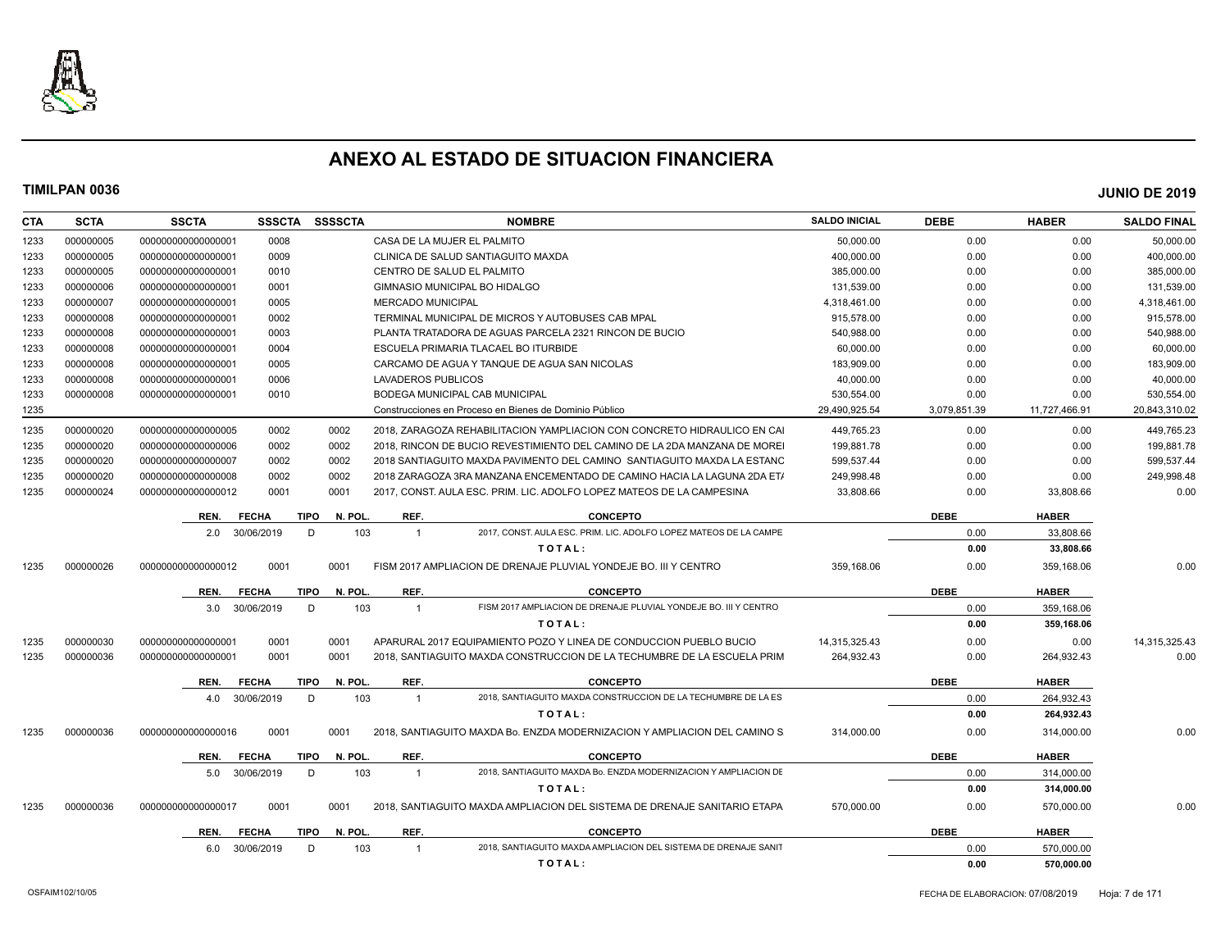

| <b>CTA</b> | <b>SCTA</b> | <b>SSCTA</b>       | <b>SSSCTA</b> | <b>SSSSCTA</b>         |                          | <b>NOMBRE</b>                                                                    | <b>SALDO INICIAL</b> | <b>DEBE</b>  | <b>HABER</b>  | <b>SALDO FINAL</b> |
|------------|-------------|--------------------|---------------|------------------------|--------------------------|----------------------------------------------------------------------------------|----------------------|--------------|---------------|--------------------|
| 1233       | 000000005   | 00000000000000001  | 0008          |                        |                          | CASA DE LA MUJER EL PALMITO                                                      | 50,000.00            | 0.00         | 0.00          | 50,000.00          |
| 1233       | 000000005   | 00000000000000001  | 0009          |                        |                          | CLINICA DE SALUD SANTIAGUITO MAXDA                                               | 400,000.00           | 0.00         | 0.00          | 400,000.00         |
| 1233       | 000000005   | 00000000000000001  | 0010          |                        |                          | CENTRO DE SALUD EL PALMITO                                                       | 385,000.00           | 0.00         | 0.00          | 385,000.00         |
| 1233       | 000000006   | 00000000000000001  | 0001          |                        |                          | GIMNASIO MUNICIPAL BO HIDALGO                                                    | 131,539.00           | 0.00         | 0.00          | 131,539.00         |
| 1233       | 000000007   | 00000000000000001  | 0005          |                        | <b>MERCADO MUNICIPAL</b> |                                                                                  | 4,318,461.00         | 0.00         | 0.00          | 4,318,461.00       |
| 1233       | 000000008   | 00000000000000001  | 0002          |                        |                          | TERMINAL MUNICIPAL DE MICROS Y AUTOBUSES CAB MPAL                                | 915,578.00           | 0.00         | 0.00          | 915,578.00         |
| 1233       | 000000008   | 00000000000000001  | 0003          |                        |                          | PLANTA TRATADORA DE AGUAS PARCELA 2321 RINCON DE BUCIO                           | 540.988.00           | 0.00         | 0.00          | 540.988.00         |
| 1233       | 000000008   | 00000000000000001  | 0004          |                        |                          | ESCUELA PRIMARIA TLACAEL BO ITURBIDE                                             | 60,000.00            | 0.00         | 0.00          | 60,000.00          |
| 1233       | 000000008   | 00000000000000001  | 0005          |                        |                          | CARCAMO DE AGUA Y TANQUE DE AGUA SAN NICOLAS                                     | 183.909.00           | 0.00         | 0.00          | 183,909.00         |
| 1233       | 000000008   | 00000000000000001  | 0006          |                        | LAVADEROS PUBLICOS       |                                                                                  | 40,000.00            | 0.00         | 0.00          | 40,000.00          |
| 1233       | 000000008   | 00000000000000001  | 0010          |                        |                          | BODEGA MUNICIPAL CAB MUNICIPAL                                                   | 530,554.00           | 0.00         | 0.00          | 530,554.00         |
| 1235       |             |                    |               |                        |                          | Construcciones en Proceso en Bienes de Dominio Público                           | 29,490,925.54        | 3,079,851.39 | 11,727,466.91 | 20,843,310.02      |
| 1235       | 000000020   | 000000000000000005 | 0002          | 0002                   |                          | 2018. ZARAGOZA REHABILITACION YAMPLIACION CON CONCRETO HIDRAULICO EN CAI         | 449,765.23           | 0.00         | 0.00          | 449,765.23         |
| 1235       | 000000020   | 000000000000000006 | 0002          | 0002                   |                          | 2018. RINCON DE BUCIO REVESTIMIENTO DEL CAMINO DE LA 2DA MANZANA DE MOREI        | 199,881.78           | 0.00         | 0.00          | 199,881.78         |
| 1235       | 000000020   | 00000000000000007  | 0002          | 0002                   |                          | 2018 SANTIAGUITO MAXDA PAVIMENTO DEL CAMINO SANTIAGUITO MAXDA LA ESTANC          | 599,537.44           | 0.00         | 0.00          | 599,537.44         |
| 1235       | 000000020   | 000000000000000008 | 0002          | 0002                   |                          | 2018 ZARAGOZA 3RA MANZANA ENCEMENTADO DE CAMINO HACIA LA LAGUNA 2DA ET/          | 249,998.48           | 0.00         | 0.00          | 249,998.48         |
| 1235       | 000000024   | 00000000000000012  | 0001          | 0001                   |                          | 2017, CONST. AULA ESC. PRIM. LIC. ADOLFO LOPEZ MATEOS DE LA CAMPESINA            | 33.808.66            | 0.00         | 33,808.66     | 0.00               |
|            |             | REN.               | <b>FECHA</b>  | <b>TIPO</b><br>N. POL. | REF.                     | <b>CONCEPTO</b>                                                                  |                      | <b>DEBE</b>  | <b>HABER</b>  |                    |
|            |             | 2.0                | 30/06/2019    | 103<br>D               | $\overline{1}$           | 2017, CONST. AULA ESC. PRIM. LIC. ADOLFO LOPEZ MATEOS DE LA CAMPE                |                      | 0.00         | 33,808.66     |                    |
|            |             |                    |               |                        |                          | TOTAL:                                                                           |                      | 0.00         | 33,808.66     |                    |
| 1235       | 000000026   | 00000000000000012  | 0001          | 0001                   |                          | FISM 2017 AMPLIACION DE DRENAJE PLUVIAL YONDEJE BO. III Y CENTRO                 | 359.168.06           | 0.00         | 359,168.06    | 0.00               |
|            |             | REN.               | <b>FECHA</b>  | <b>TIPO</b><br>N. POL. | REF.                     | <b>CONCEPTO</b>                                                                  |                      | <b>DEBE</b>  | <b>HABER</b>  |                    |
|            |             | 3.0                | 30/06/2019    | D<br>103               | $\mathbf{1}$             | FISM 2017 AMPLIACION DE DRENAJE PLUVIAL YONDEJE BO. III Y CENTRO                 |                      | 0.00         | 359,168.06    |                    |
|            |             |                    |               |                        |                          | TOTAL:                                                                           |                      | 0.00         | 359,168.06    |                    |
| 1235       | 000000030   | 00000000000000001  | 0001          | 0001                   |                          | APARURAL 2017 EQUIPAMIENTO POZO Y LINEA DE CONDUCCION PUEBLO BUCIO               | 14,315,325.43        | 0.00         | 0.00          | 14,315,325.43      |
| 1235       | 000000036   | 000000000000000001 | 0001          | 0001                   |                          | 2018, SANTIAGUITO MAXDA CONSTRUCCION DE LA TECHUMBRE DE LA ESCUELA PRIM          | 264,932.43           | 0.00         | 264,932.43    | 0.00               |
|            |             |                    |               |                        |                          |                                                                                  |                      | <b>DEBE</b>  |               |                    |
|            |             | REN.               | <b>FECHA</b>  | <b>TIPO</b><br>N. POL  | REF.                     | <b>CONCEPTO</b><br>2018, SANTIAGUITO MAXDA CONSTRUCCION DE LA TECHUMBRE DE LA ES |                      |              | <b>HABER</b>  |                    |
|            |             | 4.0                | 30/06/2019    | 103<br>D               | $\mathbf{1}$             |                                                                                  |                      | 0.00         | 264,932.43    |                    |
|            |             |                    |               |                        |                          | TOTAL:                                                                           |                      | 0.00         | 264,932.43    |                    |
| 1235       | 000000036   | 000000000000000016 | 0001          | 0001                   |                          | 2018. SANTIAGUITO MAXDA Bo. ENZDA MODERNIZACION Y AMPLIACION DEL CAMINO S.       | 314.000.00           | 0.00         | 314,000.00    | 0.00               |
|            |             | REN.               | <b>FECHA</b>  | N. POL.<br><b>TIPO</b> | REF.                     | <b>CONCEPTO</b>                                                                  |                      | <b>DEBE</b>  | <b>HABER</b>  |                    |
|            |             | 5.0                | 30/06/2019    | 103<br>D               | $\mathbf{1}$             | 2018. SANTIAGUITO MAXDA Bo. ENZDA MODERNIZACION Y AMPLIACION DE                  |                      | 0.00         | 314,000.00    |                    |
|            |             |                    |               |                        |                          | TOTAL:                                                                           |                      | 0.00         | 314,000.00    |                    |
| 1235       | 000000036   | 000000000000000017 | 0001          | 0001                   |                          | 2018. SANTIAGUITO MAXDA AMPLIACION DEL SISTEMA DE DRENAJE SANITARIO ETAPA        | 570.000.00           | 0.00         | 570.000.00    | 0.00               |
|            |             | REN.               | <b>FECHA</b>  | N. POL.<br>TIPO        | REF.                     | <b>CONCEPTO</b>                                                                  |                      | <b>DEBE</b>  | <b>HABER</b>  |                    |
|            |             | 6.0                | 30/06/2019    | D.<br>103              | $\mathbf{1}$             | 2018. SANTIAGUITO MAXDA AMPLIACION DEL SISTEMA DE DRENAJE SANIT                  |                      | 0.00         | 570.000.00    |                    |
|            |             |                    |               |                        |                          | TOTAL:                                                                           |                      | 0.00         | 570,000.00    |                    |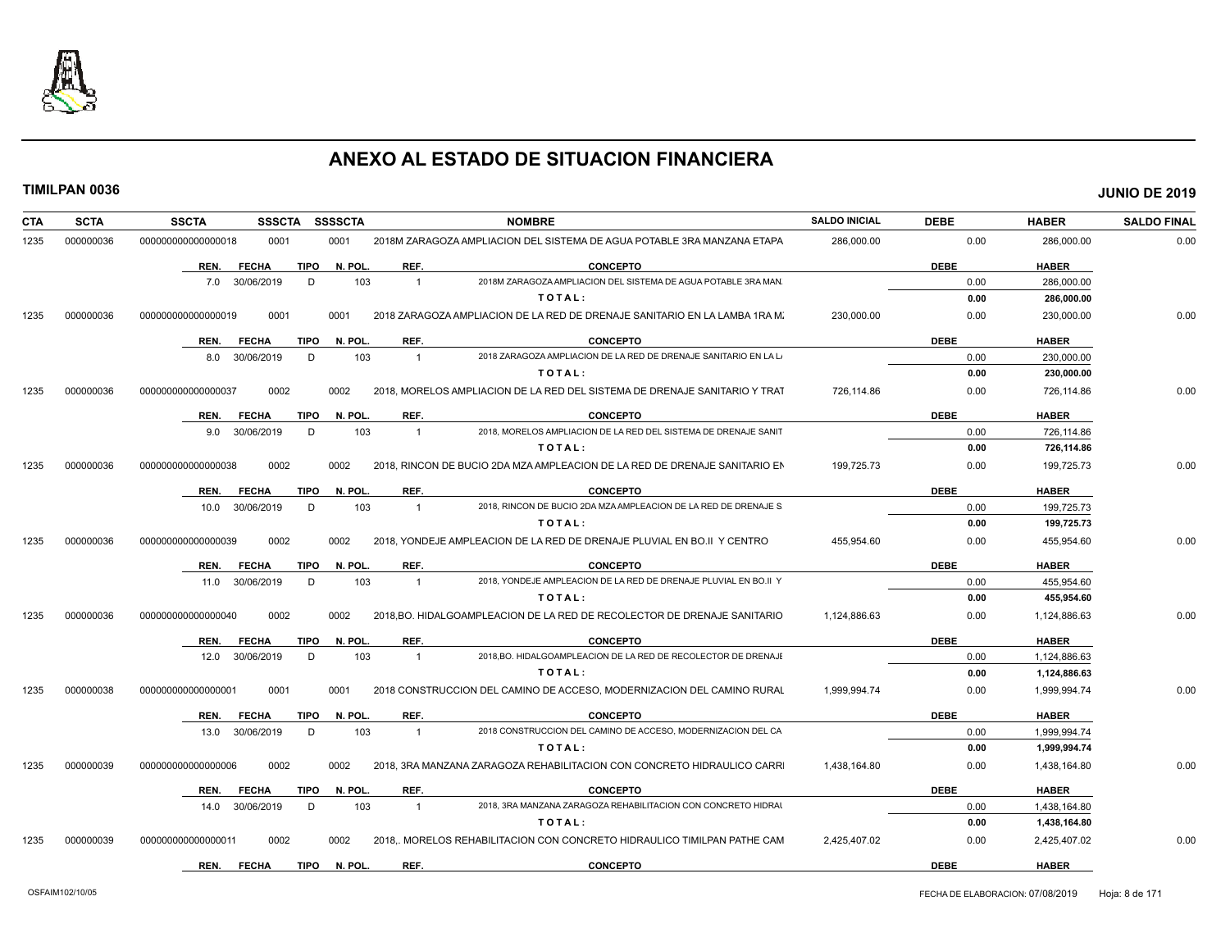

| CTA  | <b>SCTA</b> | <b>SSCTA</b><br><b>SSSCTA</b>       | <b>SSSSCTA</b> |                | <b>NOMBRE</b>                                                              | <b>SALDO INICIAL</b> | <b>DEBE</b> | <b>HABER</b> | <b>SALDO FINAL</b> |
|------|-------------|-------------------------------------|----------------|----------------|----------------------------------------------------------------------------|----------------------|-------------|--------------|--------------------|
| 1235 | 000000036   | 0001<br>000000000000000018          | 0001           |                | 2018M ZARAGOZA AMPLIACION DEL SISTEMA DE AGUA POTABLE 3RA MANZANA ETAPA    | 286,000.00           | 0.00        | 286,000.00   | 0.00               |
|      |             | <b>TIPO</b><br>REN.<br><b>FECHA</b> | N. POL.        | REF.           | <b>CONCEPTO</b>                                                            |                      | <b>DEBE</b> | <b>HABER</b> |                    |
|      |             | 7.0 30/06/2019<br>D                 | 103            | $\overline{1}$ | 2018M ZARAGOZA AMPLIACION DEL SISTEMA DE AGUA POTABLE 3RA MAN              |                      | 0.00        | 286,000.00   |                    |
|      |             |                                     |                |                | TOTAL:                                                                     |                      | 0.00        | 286,000.00   |                    |
| 1235 | 000000036   | 0001<br>000000000000000019          | 0001           |                | 2018 ZARAGOZA AMPLIACION DE LA RED DE DRENAJE SANITARIO EN LA LAMBA 1RA M. | 230.000.00           | 0.00        | 230,000.00   | 0.00               |
|      |             | TIPO<br>REN.<br><b>FECHA</b>        | N. POL.        | REF.           | <b>CONCEPTO</b>                                                            |                      | <b>DEBE</b> | <b>HABER</b> |                    |
|      |             | 8.0 30/06/2019<br>D                 | 103            | $\overline{1}$ | 2018 ZARAGOZA AMPLIACION DE LA RED DE DRENAJE SANITARIO EN LA L            |                      | 0.00        | 230,000.00   |                    |
|      |             |                                     |                |                | TOTAL:                                                                     |                      | 0.00        | 230,000.00   |                    |
| 1235 | 000000036   | 0002<br>000000000000000037          | 0002           |                | 2018. MORELOS AMPLIACION DE LA RED DEL SISTEMA DE DRENAJE SANITARIO Y TRAT | 726.114.86           | 0.00        | 726,114.86   | 0.00               |
|      |             | <b>TIPO</b><br>REN.<br><b>FECHA</b> | N. POL.        | REF.           | <b>CONCEPTO</b>                                                            |                      | <b>DEBE</b> | <b>HABER</b> |                    |
|      |             | 9.0 30/06/2019<br>D                 | 103            | $\overline{1}$ | 2018. MORELOS AMPLIACION DE LA RED DEL SISTEMA DE DRENAJE SANIT            |                      | 0.00        | 726,114.86   |                    |
|      |             |                                     |                |                | TOTAL:                                                                     |                      | 0.00        | 726,114.86   |                    |
| 1235 | 000000036   | 000000000000000038<br>0002          | 0002           |                | 2018. RINCON DE BUCIO 2DA MZA AMPLEACION DE LA RED DE DRENAJE SANITARIO EN | 199,725.73           | 0.00        | 199,725.73   | 0.00               |
|      |             | <b>FECHA</b><br><b>TIPO</b><br>REN. | N. POL.        | REF.           | <b>CONCEPTO</b>                                                            |                      | <b>DEBE</b> | <b>HABER</b> |                    |
|      |             | 30/06/2019<br>D<br>10.0             | 103            | $\overline{1}$ | 2018. RINCON DE BUCIO 2DA MZA AMPLEACION DE LA RED DE DRENAJE S            |                      | 0.00        | 199,725.73   |                    |
|      |             |                                     |                |                | TOTAL:                                                                     |                      | 0.00        | 199,725.73   |                    |
| 1235 | 000000036   | 0002<br>000000000000000039          | 0002           |                | 2018, YONDEJE AMPLEACION DE LA RED DE DRENAJE PLUVIAL EN BO.II Y CENTRO    | 455,954.60           | 0.00        | 455,954.60   | 0.00               |
|      |             | <b>FECHA</b><br><b>TIPO</b><br>REN. | N. POL.        | REF.           | <b>CONCEPTO</b>                                                            |                      | <b>DEBE</b> | <b>HABER</b> |                    |
|      |             | 11.0 30/06/2019<br>D                | 103            | $\overline{1}$ | 2018. YONDEJE AMPLEACION DE LA RED DE DRENAJE PLUVIAL EN BO.II Y           |                      | 0.00        | 455,954.60   |                    |
|      |             |                                     |                |                | TOTAL:                                                                     |                      | 0.00        | 455,954.60   |                    |
| 1235 | 000000036   | 0002<br>000000000000000040          | 0002           |                | 2018, BO. HIDALGOAMPLEACION DE LA RED DE RECOLECTOR DE DRENAJE SANITARIO   | 1,124,886.63         | 0.00        | 1,124,886.63 | 0.00               |
|      |             | <b>FECHA</b><br><b>TIPO</b><br>REN. | N. POL.        | REF.           | <b>CONCEPTO</b>                                                            |                      | <b>DEBE</b> | <b>HABER</b> |                    |
|      |             | 12.0 30/06/2019<br>D                | 103            | $\overline{1}$ | 2018.BO. HIDALGOAMPLEACION DE LA RED DE RECOLECTOR DE DRENAJI              |                      | 0.00        | 1,124,886.63 |                    |
|      |             |                                     |                |                | TOTAL:                                                                     |                      | 0.00        | 1,124,886.63 |                    |
| 1235 | 000000038   | 000000000000000001<br>0001          | 0001           |                | 2018 CONSTRUCCION DEL CAMINO DE ACCESO, MODERNIZACION DEL CAMINO RURAL     | 1.999.994.74         | 0.00        | 1,999,994.74 | 0.00               |
|      |             | <b>FECHA</b><br><b>TIPO</b><br>REN. | N. POL.        | REF.           | <b>CONCEPTO</b>                                                            |                      | <b>DEBE</b> | <b>HABER</b> |                    |
|      |             | 13.0 30/06/2019<br>D                | 103            | $\overline{1}$ | 2018 CONSTRUCCION DEL CAMINO DE ACCESO, MODERNIZACION DEL CA               |                      | 0.00        | 1,999,994.74 |                    |
|      |             |                                     |                |                | TOTAL:                                                                     |                      | 0.00        | 1,999,994.74 |                    |
| 1235 | 000000039   | 0002<br>000000000000000006          | 0002           |                | 2018, 3RA MANZANA ZARAGOZA REHABILITACION CON CONCRETO HIDRAULICO CARRI    | 1,438,164.80         | 0.00        | 1,438,164.80 | 0.00               |
|      |             | <b>FECHA</b><br><b>TIPO</b><br>REN. | N. POL.        | REF.           | <b>CONCEPTO</b>                                                            |                      | <b>DEBE</b> | <b>HABER</b> |                    |
|      |             | D<br>14.0 30/06/2019                | 103            | $\overline{1}$ | 2018, 3RA MANZANA ZARAGOZA REHABILITACION CON CONCRETO HIDRAI              |                      | 0.00        | 1,438,164.80 |                    |
|      |             |                                     |                |                | TOTAL:                                                                     |                      | 0.00        | 1,438,164.80 |                    |
| 1235 | 000000039   | 0002<br>000000000000000011          | 0002           |                | 2018. MORELOS REHABILITACION CON CONCRETO HIDRAULICO TIMILPAN PATHE CAM    | 2,425,407.02         | 0.00        | 2,425,407.02 | 0.00               |
|      |             | <b>FECHA</b><br><b>TIPO</b><br>REN. | N. POL.        | REF.           | <b>CONCEPTO</b>                                                            |                      | <b>DEBE</b> | <b>HABER</b> |                    |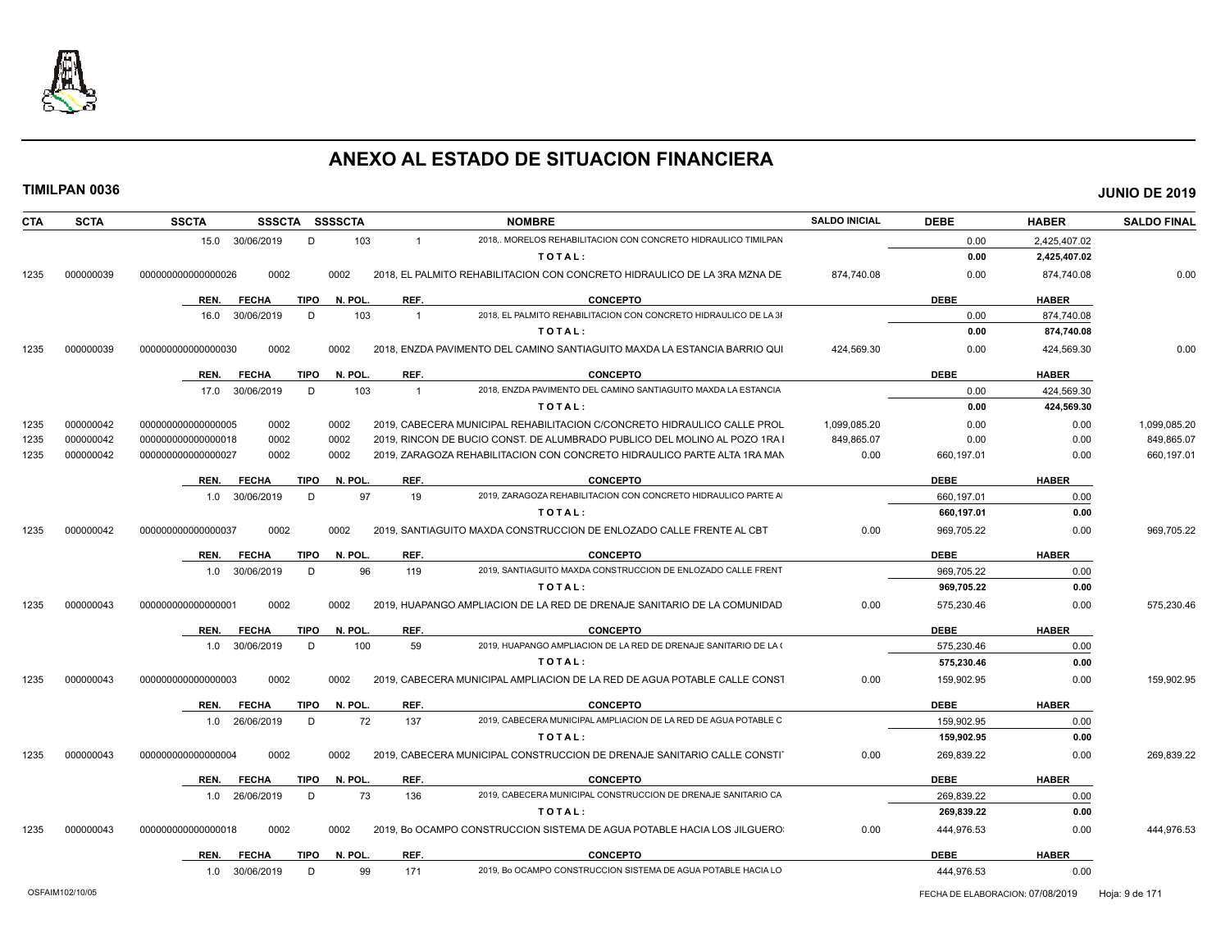

| CTA  | <b>SCTA</b> | <b>SSCTA</b><br><b>SSSCTA</b> | SSSSCTA                | <b>NOMBRE</b>                                                                    | <b>SALDO INICIAL</b> | <b>DEBE</b> | <b>HABER</b> | <b>SALDO FINAL</b> |
|------|-------------|-------------------------------|------------------------|----------------------------------------------------------------------------------|----------------------|-------------|--------------|--------------------|
|      |             | 30/06/2019<br>15.0            | D<br>103               | 2018. MORELOS REHABILITACION CON CONCRETO HIDRAULICO TIMILPAN<br>$\mathbf{1}$    |                      | 0.00        | 2,425,407.02 |                    |
|      |             |                               |                        | TOTAL:                                                                           |                      | 0.00        | 2,425,407.02 |                    |
| 1235 | 000000039   | 0002<br>000000000000000026    | 0002                   | 2018. EL PALMITO REHABILITACION CON CONCRETO HIDRAULICO DE LA 3RA MZNA DE        | 874.740.08           | 0.00        | 874.740.08   | 0.00               |
|      |             | REN.<br><b>FECHA</b>          | TIPO<br>N. POL.        | REF.<br><b>CONCEPTO</b>                                                          |                      | <b>DEBE</b> | <b>HABER</b> |                    |
|      |             | 30/06/2019<br>16.0            | D<br>103               | 2018, EL PALMITO REHABILITACION CON CONCRETO HIDRAULICO DE LA 31<br>$\mathbf{1}$ |                      | 0.00        | 874,740.08   |                    |
|      |             |                               |                        | TOTAL:                                                                           |                      | 0.00        | 874,740.08   |                    |
| 1235 | 000000039   | 0002<br>000000000000000030    | 0002                   | 2018, ENZDA PAVIMENTO DEL CAMINO SANTIAGUITO MAXDA LA ESTANCIA BARRIO QUI        | 424,569.30           | 0.00        | 424,569.30   | 0.00               |
|      |             | REN.<br><b>FECHA</b>          | N. POL<br><b>TIPO</b>  | REF.<br><b>CONCEPTO</b>                                                          |                      | <b>DEBE</b> | <b>HABER</b> |                    |
|      |             | 30/06/2019<br>17.0            | D<br>103               | 2018. ENZDA PAVIMENTO DEL CAMINO SANTIAGUITO MAXDA LA ESTANCIA<br>$\overline{1}$ |                      | 0.00        | 424,569.30   |                    |
|      |             |                               |                        | TOTAL:                                                                           |                      | 0.00        | 424,569.30   |                    |
| 1235 | 000000042   | 0002<br>000000000000000005    | 0002                   | 2019, CABECERA MUNICIPAL REHABILITACION C/CONCRETO HIDRAULICO CALLE PROL         | 1.099.085.20         | 0.00        | 0.00         | 1,099,085.20       |
| 1235 | 000000042   | 0002<br>000000000000000018    | 0002                   | 2019, RINCON DE BUCIO CONST. DE ALUMBRADO PUBLICO DEL MOLINO AL POZO 1RA I       | 849,865.07           | 0.00        | 0.00         | 849,865.07         |
| 1235 | 000000042   | 00000000000000027<br>0002     | 0002                   | 2019, ZARAGOZA REHABILITACION CON CONCRETO HIDRAULICO PARTE ALTA 1RA MAN         | 0.00                 | 660,197.01  | 0.00         | 660,197.01         |
|      |             | <b>FECHA</b><br>REN.          | <b>TIPO</b><br>N. POL. | REF.<br><b>CONCEPTO</b>                                                          |                      | <b>DEBE</b> | <b>HABER</b> |                    |
|      |             | 1.0 30/06/2019                | 97<br>D                | 19<br>2019, ZARAGOZA REHABILITACION CON CONCRETO HIDRAULICO PARTE A              |                      | 660,197.01  | 0.00         |                    |
|      |             |                               |                        | TOTAL:                                                                           |                      | 660,197.01  | 0.00         |                    |
| 1235 | 000000042   | 0002<br>000000000000000037    | 0002                   | 2019, SANTIAGUITO MAXDA CONSTRUCCION DE ENLOZADO CALLE FRENTE AL CBT             | 0.00                 | 969,705.22  | 0.00         | 969,705.22         |
|      |             | <b>FECHA</b><br>REN.          | N. POL.<br>TIPO        | REF.<br><b>CONCEPTO</b>                                                          |                      | <b>DEBE</b> | <b>HABER</b> |                    |
|      |             | 30/06/2019<br>1.0             | D<br>96                | 2019, SANTIAGUITO MAXDA CONSTRUCCION DE ENLOZADO CALLE FRENT<br>119              |                      | 969,705.22  | 0.00         |                    |
|      |             |                               |                        | TOTAL:                                                                           |                      | 969,705.22  | 0.00         |                    |
| 1235 | 000000043   | 0002<br>000000000000000001    | 0002                   | 2019, HUAPANGO AMPLIACION DE LA RED DE DRENAJE SANITARIO DE LA COMUNIDAD         | 0.00                 | 575,230.46  | 0.00         | 575,230.46         |
|      |             | REN.<br><b>FECHA</b>          | N. POL.<br>TIPO        | REF.<br><b>CONCEPTO</b>                                                          |                      | <b>DEBE</b> | <b>HABER</b> |                    |
|      |             | 30/06/2019<br>1.0             | 100<br>D               | 2019, HUAPANGO AMPLIACION DE LA RED DE DRENAJE SANITARIO DE LA (<br>59           |                      | 575,230.46  | 0.00         |                    |
|      |             |                               |                        | TOTAL:                                                                           |                      | 575,230.46  | 0.00         |                    |
| 1235 | 000000043   | 0002<br>000000000000000003    | 0002                   | 2019, CABECERA MUNICIPAL AMPLIACION DE LA RED DE AGUA POTABLE CALLE CONST        | 0.00                 | 159,902.95  | 0.00         | 159,902.95         |
|      |             | <b>FECHA</b><br>REN.          | <b>TIPO</b><br>N. POL. | REF.<br><b>CONCEPTO</b>                                                          |                      | <b>DEBE</b> | <b>HABER</b> |                    |
|      |             | 26/06/2019<br>1.0             | 72<br>D                | 2019. CABECERA MUNICIPAL AMPLIACION DE LA RED DE AGUA POTABLE C<br>137           |                      | 159,902.95  | 0.00         |                    |
|      |             |                               |                        | TOTAL:                                                                           |                      | 159,902.95  | 0.00         |                    |
| 1235 | 000000043   | 0002<br>000000000000000004    | 0002                   | 2019, CABECERA MUNICIPAL CONSTRUCCION DE DRENAJE SANITARIO CALLE CONSTI          | 0.00                 | 269,839.22  | 0.00         | 269,839.22         |
|      |             | <b>FECHA</b><br>REN.          | <b>TIPO</b><br>N. POL  | REF.<br><b>CONCEPTO</b>                                                          |                      | <b>DEBE</b> | <b>HABER</b> |                    |
|      |             | 26/06/2019<br>1.0             | D<br>73                | 2019. CABECERA MUNICIPAL CONSTRUCCION DE DRENAJE SANITARIO CA<br>136             |                      | 269.839.22  | 0.00         |                    |
|      |             |                               |                        | TOTAL:                                                                           |                      | 269,839.22  | 0.00         |                    |
| 1235 | 000000043   | 0002<br>000000000000000018    | 0002                   | 2019, Bo OCAMPO CONSTRUCCION SISTEMA DE AGUA POTABLE HACIA LOS JILGUERO          | 0.00                 | 444,976.53  | 0.00         | 444,976.53         |
|      |             | REN.<br><b>FECHA</b>          | N. POL.<br>TIPO        | REF.<br><b>CONCEPTO</b>                                                          |                      | <b>DEBE</b> | <b>HABER</b> |                    |
|      |             |                               |                        |                                                                                  |                      |             |              |                    |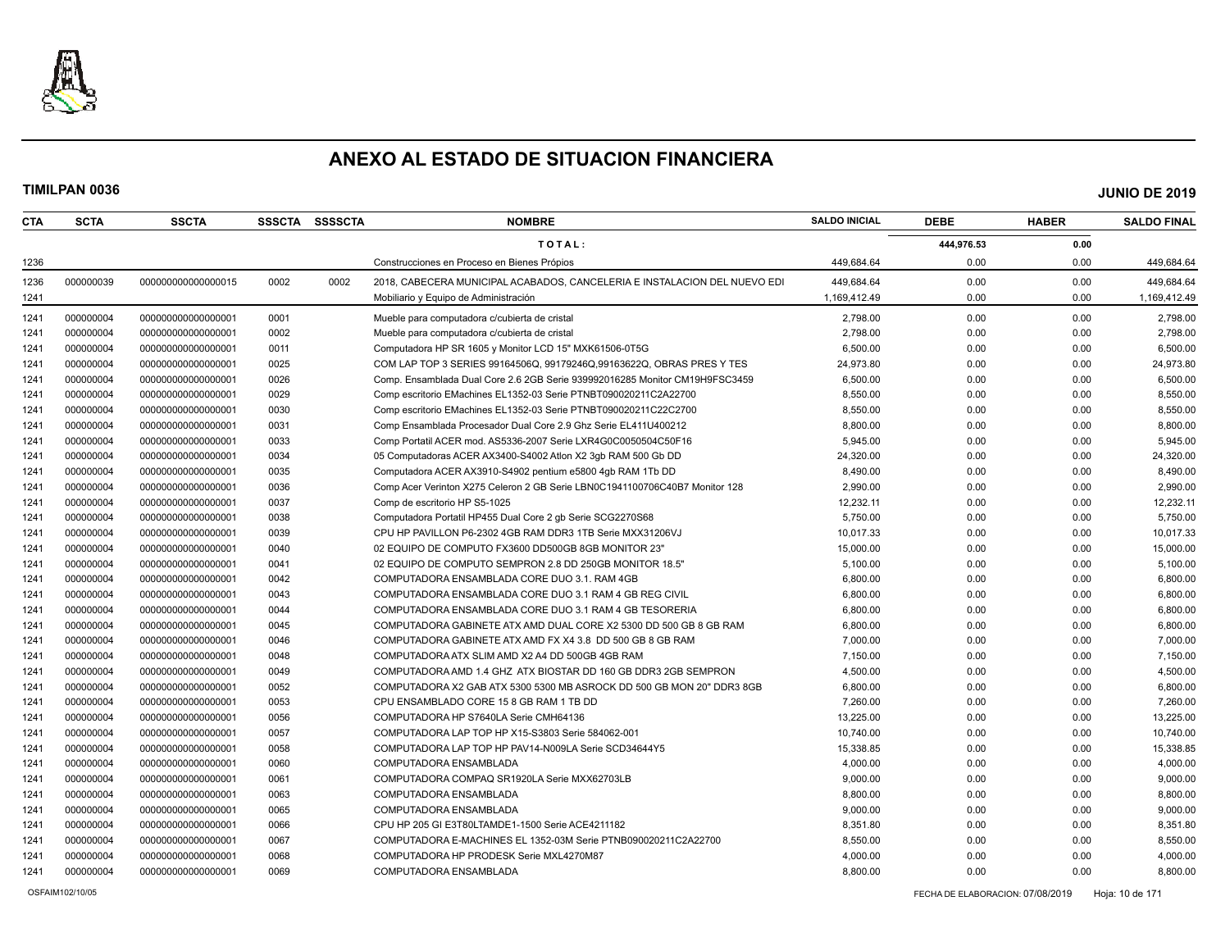

| TOTAL:<br>0.00<br>444,976.53<br>449,684.64<br>0.00<br>0.00<br>1236<br>Construcciones en Proceso en Bienes Própios<br>449,684.64<br>1236<br>000000039<br>0002<br>2018, CABECERA MUNICIPAL ACABADOS, CANCELERIA E INSTALACION DEL NUEVO EDI<br>449.684.64<br>0.00<br>0.00<br>449,684.64<br>000000000000000015<br>0002<br>0.00<br>0.00<br>1241<br>1.169.412.49<br>1,169,412.49<br>Mobiliario y Equipo de Administración<br>0001<br>2,798.00<br>0.00<br>2,798.00<br>1241<br>000000004<br>000000000000000001<br>Mueble para computadora c/cubierta de cristal<br>0.00<br>0002<br>2,798.00<br>0.00<br>2,798.00<br>1241<br>000000004<br>Mueble para computadora c/cubierta de cristal<br>0.00<br>000000000000000001<br>000000004<br>6,500.00<br>0.00<br>1241<br>000000000000000001<br>0011<br>Computadora HP SR 1605 y Monitor LCD 15" MXK61506-0T5G<br>0.00<br>6,500.00<br>000000004<br>1241<br>000000000000000001<br>0025<br>COM LAP TOP 3 SERIES 99164506Q, 99179246Q, 99163622Q, OBRAS PRES Y TES<br>24,973.80<br>0.00<br>0.00<br>24,973.80<br>1241<br>000000004<br>00000000000000001<br>0026<br>Comp. Ensamblada Dual Core 2.6 2GB Serie 939992016285 Monitor CM19H9FSC3459<br>6,500.00<br>0.00<br>0.00<br>6,500.00<br>0029<br>8,550.00<br>1241<br>000000004<br>000000000000000001<br>Comp escritorio EMachines EL1352-03 Serie PTNBT090020211C2A22700<br>0.00<br>0.00<br>8,550.00<br>1241<br>000000004<br>0030<br>Comp escritorio EMachines EL1352-03 Serie PTNBT090020211C22C2700<br>8,550.00<br>0.00<br>0.00<br>8,550.00<br>000000000000000001<br>000000004<br>8,800.00<br>0.00<br>8,800.00<br>1241<br>000000000000000001<br>0031<br>Comp Ensamblada Procesador Dual Core 2.9 Ghz Serie EL411U400212<br>0.00<br>000000004<br>1241<br>000000000000000001<br>0033<br>Comp Portatil ACER mod. AS5336-2007 Serie LXR4G0C0050504C50F16<br>5,945.00<br>0.00<br>0.00<br>5,945.00<br>1241<br>000000004<br>0034<br>0.00<br>0.00<br>000000000000000001<br>05 Computadoras ACER AX3400-S4002 Atlon X2 3qb RAM 500 Gb DD<br>24,320.00<br>24,320.00<br>000000004<br>0.00<br>1241<br>000000000000000001<br>0035<br>Computadora ACER AX3910-S4902 pentium e5800 4qb RAM 1Tb DD<br>8,490.00<br>0.00<br>8,490.00<br>1241<br>000000004<br>000000000000000001<br>0036<br>Comp Acer Verinton X275 Celeron 2 GB Serie LBN0C1941100706C40B7 Monitor 128<br>2,990.00<br>0.00<br>0.00<br>2,990.00<br>0037<br>12,232.11<br>1241<br>000000004<br>000000000000000001<br>Comp de escritorio HP S5-1025<br>12,232.11<br>0.00<br>0.00<br>1241<br>000000004<br>5,750.00<br>000000000000000001<br>0038<br>Computadora Portatil HP455 Dual Core 2 gb Serie SCG2270S68<br>0.00<br>0.00<br>5,750.00<br>1241<br>000000004<br>0039<br>CPU HP PAVILLON P6-2302 4GB RAM DDR3 1TB Serie MXX31206VJ<br>10.017.33<br>0.00<br>0.00<br>10,017.33<br>00000000000000001<br>1241<br>000000004<br>0040<br>15,000.00<br>0.00<br>0.00<br>15,000.00<br>000000000000000001<br>02 EQUIPO DE COMPUTO FX3600 DD500GB 8GB MONITOR 23"<br>000000004<br>0.00<br>0.00<br>1241<br>000000000000000001<br>0041<br>02 EQUIPO DE COMPUTO SEMPRON 2.8 DD 250GB MONITOR 18.5"<br>5,100.00<br>5,100.00<br>000000004<br>1241<br>000000000000000001<br>0042<br>COMPUTADORA ENSAMBLADA CORE DUO 3.1, RAM 4GB<br>6,800.00<br>0.00<br>0.00<br>6,800.00<br>000000004<br>0043<br>0.00<br>1241<br>000000000000000001<br>COMPUTADORA ENSAMBLADA CORE DUO 3.1 RAM 4 GB REG CIVIL<br>6,800.00<br>0.00<br>6,800.00<br>1241<br>000000004<br>0044<br>6,800.00<br>0.00<br>0.00<br>6,800.00<br>00000000000000001<br>COMPUTADORA ENSAMBLADA CORE DUO 3.1 RAM 4 GB TESORERIA<br>1241<br>000000004<br>0045<br>COMPUTADORA GABINETE ATX AMD DUAL CORE X2 5300 DD 500 GB 8 GB RAM<br>6.800.00<br>0.00<br>0.00<br>6,800.00<br>000000000000000001<br>1241<br>000000004<br>0046<br>COMPUTADORA GABINETE ATX AMD FX X4 3.8 DD 500 GB 8 GB RAM<br>7,000.00<br>0.00<br>0.00<br>7,000.00<br>00000000000000001<br>1241<br>000000004<br>0048<br>7,150.00<br>0.00<br>0.00<br>7,150.00<br>000000000000000001<br>COMPUTADORA ATX SLIM AMD X2 A4 DD 500GB 4GB RAM<br>1241<br>000000004<br>000000000000000001<br>0049<br>COMPUTADORA AMD 1.4 GHZ ATX BIOSTAR DD 160 GB DDR3 2GB SEMPRON<br>4,500.00<br>0.00<br>0.00<br>4,500.00<br>000000004<br>1241<br>00000000000000001<br>0052<br>COMPUTADORA X2 GAB ATX 5300 5300 MB ASROCK DD 500 GB MON 20" DDR3 8GB<br>6,800.00<br>0.00<br>0.00<br>6,800.00<br>000000004<br>0053<br>0.00<br>1241<br>000000000000000001<br>CPU ENSAMBLADO CORE 15 8 GB RAM 1 TB DD<br>7,260.00<br>0.00<br>7,260.00<br>13,225.00<br>1241<br>000000004<br>00000000000000001<br>0056<br>COMPUTADORA HP S7640LA Serie CMH64136<br>0.00<br>0.00<br>13,225.00<br>1241<br>000000004<br>0057<br>COMPUTADORA LAP TOP HP X15-S3803 Serie 584062-001<br>10,740.00<br>0.00<br>0.00<br>10,740.00<br>000000000000000001<br>000000004<br>0058<br>COMPUTADORA LAP TOP HP PAV14-N009LA Serie SCD34644Y5<br>15,338.85<br>0.00<br>0.00<br>15,338.85<br>1241<br>000000000000000001<br>1241<br>000000004<br>4,000.00<br>0.00<br>0.00<br>4,000.00<br>000000000000000001<br>0060<br>COMPUTADORA ENSAMBLADA<br>1241<br>000000004<br>00000000000000001<br>0061<br>COMPUTADORA COMPAQ SR1920LA Serie MXX62703LB<br>9,000.00<br>0.00<br>0.00<br>9,000.00<br>000000004<br>0.00<br>0.00<br>8,800.00<br>1241<br>000000000000000001<br>0063<br>COMPUTADORA ENSAMBLADA<br>8,800.00<br>1241<br>000000004<br>0065<br>9,000.00<br>0.00<br>0.00<br>9,000.00<br>000000000000000001<br>COMPUTADORA ENSAMBLADA<br>1241<br>000000004<br>00000000000000001<br>0066<br>8,351.80<br>0.00<br>0.00<br>8,351.80<br>CPU HP 205 GI E3T80LTAMDE1-1500 Serie ACE4211182<br>1241<br>000000004<br>0067<br>COMPUTADORA E-MACHINES EL 1352-03M Serie PTNB090020211C2A22700<br>8,550.00<br>0.00<br>0.00<br>8,550.00<br>000000000000000001<br>000000004<br>0068<br>0.00<br>0.00<br>1241<br>000000000000000001<br>COMPUTADORA HP PRODESK Serie MXL4270M87<br>4,000.00<br>4,000.00 | CTA  | <b>SCTA</b> | <b>SSCTA</b>      | <b>SSSCTA</b> | SSSSCTA | <b>NOMBRE</b>          | <b>SALDO INICIAL</b> | <b>DEBE</b> | <b>HABER</b> | <b>SALDO FINAL</b> |
|-------------------------------------------------------------------------------------------------------------------------------------------------------------------------------------------------------------------------------------------------------------------------------------------------------------------------------------------------------------------------------------------------------------------------------------------------------------------------------------------------------------------------------------------------------------------------------------------------------------------------------------------------------------------------------------------------------------------------------------------------------------------------------------------------------------------------------------------------------------------------------------------------------------------------------------------------------------------------------------------------------------------------------------------------------------------------------------------------------------------------------------------------------------------------------------------------------------------------------------------------------------------------------------------------------------------------------------------------------------------------------------------------------------------------------------------------------------------------------------------------------------------------------------------------------------------------------------------------------------------------------------------------------------------------------------------------------------------------------------------------------------------------------------------------------------------------------------------------------------------------------------------------------------------------------------------------------------------------------------------------------------------------------------------------------------------------------------------------------------------------------------------------------------------------------------------------------------------------------------------------------------------------------------------------------------------------------------------------------------------------------------------------------------------------------------------------------------------------------------------------------------------------------------------------------------------------------------------------------------------------------------------------------------------------------------------------------------------------------------------------------------------------------------------------------------------------------------------------------------------------------------------------------------------------------------------------------------------------------------------------------------------------------------------------------------------------------------------------------------------------------------------------------------------------------------------------------------------------------------------------------------------------------------------------------------------------------------------------------------------------------------------------------------------------------------------------------------------------------------------------------------------------------------------------------------------------------------------------------------------------------------------------------------------------------------------------------------------------------------------------------------------------------------------------------------------------------------------------------------------------------------------------------------------------------------------------------------------------------------------------------------------------------------------------------------------------------------------------------------------------------------------------------------------------------------------------------------------------------------------------------------------------------------------------------------------------------------------------------------------------------------------------------------------------------------------------------------------------------------------------------------------------------------------------------------------------------------------------------------------------------------------------------------------------------------------------------------------------------------------------------------------------------------------------------------------------------------------------------------------------------------------------------------------------------------------------------------------------------------------------------------------------------------------------------------------------------------------------------------------------------------------------------------------------------------------------------------------------------------------------------------------------------------------------------------------------------------------------------------------------------------------------------------------------------------------------------------------------------------------------------------------------------------------------------------------------------------------------------------------------------------------------------------------------------------------------------------------------------------------------------------------------------------------------------------------------------------------------------------------------------------------------------------------------------------------|------|-------------|-------------------|---------------|---------|------------------------|----------------------|-------------|--------------|--------------------|
|                                                                                                                                                                                                                                                                                                                                                                                                                                                                                                                                                                                                                                                                                                                                                                                                                                                                                                                                                                                                                                                                                                                                                                                                                                                                                                                                                                                                                                                                                                                                                                                                                                                                                                                                                                                                                                                                                                                                                                                                                                                                                                                                                                                                                                                                                                                                                                                                                                                                                                                                                                                                                                                                                                                                                                                                                                                                                                                                                                                                                                                                                                                                                                                                                                                                                                                                                                                                                                                                                                                                                                                                                                                                                                                                                                                                                                                                                                                                                                                                                                                                                                                                                                                                                                                                                                                                                                                                                                                                                                                                                                                                                                                                                                                                                                                                                                                                                                                                                                                                                                                                                                                                                                                                                                                                                                                                                                                                                                                                                                                                                                                                                                                                                                                                                                                                                                                                                                                                           |      |             |                   |               |         |                        |                      |             |              |                    |
|                                                                                                                                                                                                                                                                                                                                                                                                                                                                                                                                                                                                                                                                                                                                                                                                                                                                                                                                                                                                                                                                                                                                                                                                                                                                                                                                                                                                                                                                                                                                                                                                                                                                                                                                                                                                                                                                                                                                                                                                                                                                                                                                                                                                                                                                                                                                                                                                                                                                                                                                                                                                                                                                                                                                                                                                                                                                                                                                                                                                                                                                                                                                                                                                                                                                                                                                                                                                                                                                                                                                                                                                                                                                                                                                                                                                                                                                                                                                                                                                                                                                                                                                                                                                                                                                                                                                                                                                                                                                                                                                                                                                                                                                                                                                                                                                                                                                                                                                                                                                                                                                                                                                                                                                                                                                                                                                                                                                                                                                                                                                                                                                                                                                                                                                                                                                                                                                                                                                           |      |             |                   |               |         |                        |                      |             |              |                    |
|                                                                                                                                                                                                                                                                                                                                                                                                                                                                                                                                                                                                                                                                                                                                                                                                                                                                                                                                                                                                                                                                                                                                                                                                                                                                                                                                                                                                                                                                                                                                                                                                                                                                                                                                                                                                                                                                                                                                                                                                                                                                                                                                                                                                                                                                                                                                                                                                                                                                                                                                                                                                                                                                                                                                                                                                                                                                                                                                                                                                                                                                                                                                                                                                                                                                                                                                                                                                                                                                                                                                                                                                                                                                                                                                                                                                                                                                                                                                                                                                                                                                                                                                                                                                                                                                                                                                                                                                                                                                                                                                                                                                                                                                                                                                                                                                                                                                                                                                                                                                                                                                                                                                                                                                                                                                                                                                                                                                                                                                                                                                                                                                                                                                                                                                                                                                                                                                                                                                           |      |             |                   |               |         |                        |                      |             |              |                    |
|                                                                                                                                                                                                                                                                                                                                                                                                                                                                                                                                                                                                                                                                                                                                                                                                                                                                                                                                                                                                                                                                                                                                                                                                                                                                                                                                                                                                                                                                                                                                                                                                                                                                                                                                                                                                                                                                                                                                                                                                                                                                                                                                                                                                                                                                                                                                                                                                                                                                                                                                                                                                                                                                                                                                                                                                                                                                                                                                                                                                                                                                                                                                                                                                                                                                                                                                                                                                                                                                                                                                                                                                                                                                                                                                                                                                                                                                                                                                                                                                                                                                                                                                                                                                                                                                                                                                                                                                                                                                                                                                                                                                                                                                                                                                                                                                                                                                                                                                                                                                                                                                                                                                                                                                                                                                                                                                                                                                                                                                                                                                                                                                                                                                                                                                                                                                                                                                                                                                           |      |             |                   |               |         |                        |                      |             |              |                    |
|                                                                                                                                                                                                                                                                                                                                                                                                                                                                                                                                                                                                                                                                                                                                                                                                                                                                                                                                                                                                                                                                                                                                                                                                                                                                                                                                                                                                                                                                                                                                                                                                                                                                                                                                                                                                                                                                                                                                                                                                                                                                                                                                                                                                                                                                                                                                                                                                                                                                                                                                                                                                                                                                                                                                                                                                                                                                                                                                                                                                                                                                                                                                                                                                                                                                                                                                                                                                                                                                                                                                                                                                                                                                                                                                                                                                                                                                                                                                                                                                                                                                                                                                                                                                                                                                                                                                                                                                                                                                                                                                                                                                                                                                                                                                                                                                                                                                                                                                                                                                                                                                                                                                                                                                                                                                                                                                                                                                                                                                                                                                                                                                                                                                                                                                                                                                                                                                                                                                           |      |             |                   |               |         |                        |                      |             |              |                    |
|                                                                                                                                                                                                                                                                                                                                                                                                                                                                                                                                                                                                                                                                                                                                                                                                                                                                                                                                                                                                                                                                                                                                                                                                                                                                                                                                                                                                                                                                                                                                                                                                                                                                                                                                                                                                                                                                                                                                                                                                                                                                                                                                                                                                                                                                                                                                                                                                                                                                                                                                                                                                                                                                                                                                                                                                                                                                                                                                                                                                                                                                                                                                                                                                                                                                                                                                                                                                                                                                                                                                                                                                                                                                                                                                                                                                                                                                                                                                                                                                                                                                                                                                                                                                                                                                                                                                                                                                                                                                                                                                                                                                                                                                                                                                                                                                                                                                                                                                                                                                                                                                                                                                                                                                                                                                                                                                                                                                                                                                                                                                                                                                                                                                                                                                                                                                                                                                                                                                           |      |             |                   |               |         |                        |                      |             |              |                    |
|                                                                                                                                                                                                                                                                                                                                                                                                                                                                                                                                                                                                                                                                                                                                                                                                                                                                                                                                                                                                                                                                                                                                                                                                                                                                                                                                                                                                                                                                                                                                                                                                                                                                                                                                                                                                                                                                                                                                                                                                                                                                                                                                                                                                                                                                                                                                                                                                                                                                                                                                                                                                                                                                                                                                                                                                                                                                                                                                                                                                                                                                                                                                                                                                                                                                                                                                                                                                                                                                                                                                                                                                                                                                                                                                                                                                                                                                                                                                                                                                                                                                                                                                                                                                                                                                                                                                                                                                                                                                                                                                                                                                                                                                                                                                                                                                                                                                                                                                                                                                                                                                                                                                                                                                                                                                                                                                                                                                                                                                                                                                                                                                                                                                                                                                                                                                                                                                                                                                           |      |             |                   |               |         |                        |                      |             |              |                    |
|                                                                                                                                                                                                                                                                                                                                                                                                                                                                                                                                                                                                                                                                                                                                                                                                                                                                                                                                                                                                                                                                                                                                                                                                                                                                                                                                                                                                                                                                                                                                                                                                                                                                                                                                                                                                                                                                                                                                                                                                                                                                                                                                                                                                                                                                                                                                                                                                                                                                                                                                                                                                                                                                                                                                                                                                                                                                                                                                                                                                                                                                                                                                                                                                                                                                                                                                                                                                                                                                                                                                                                                                                                                                                                                                                                                                                                                                                                                                                                                                                                                                                                                                                                                                                                                                                                                                                                                                                                                                                                                                                                                                                                                                                                                                                                                                                                                                                                                                                                                                                                                                                                                                                                                                                                                                                                                                                                                                                                                                                                                                                                                                                                                                                                                                                                                                                                                                                                                                           |      |             |                   |               |         |                        |                      |             |              |                    |
|                                                                                                                                                                                                                                                                                                                                                                                                                                                                                                                                                                                                                                                                                                                                                                                                                                                                                                                                                                                                                                                                                                                                                                                                                                                                                                                                                                                                                                                                                                                                                                                                                                                                                                                                                                                                                                                                                                                                                                                                                                                                                                                                                                                                                                                                                                                                                                                                                                                                                                                                                                                                                                                                                                                                                                                                                                                                                                                                                                                                                                                                                                                                                                                                                                                                                                                                                                                                                                                                                                                                                                                                                                                                                                                                                                                                                                                                                                                                                                                                                                                                                                                                                                                                                                                                                                                                                                                                                                                                                                                                                                                                                                                                                                                                                                                                                                                                                                                                                                                                                                                                                                                                                                                                                                                                                                                                                                                                                                                                                                                                                                                                                                                                                                                                                                                                                                                                                                                                           |      |             |                   |               |         |                        |                      |             |              |                    |
|                                                                                                                                                                                                                                                                                                                                                                                                                                                                                                                                                                                                                                                                                                                                                                                                                                                                                                                                                                                                                                                                                                                                                                                                                                                                                                                                                                                                                                                                                                                                                                                                                                                                                                                                                                                                                                                                                                                                                                                                                                                                                                                                                                                                                                                                                                                                                                                                                                                                                                                                                                                                                                                                                                                                                                                                                                                                                                                                                                                                                                                                                                                                                                                                                                                                                                                                                                                                                                                                                                                                                                                                                                                                                                                                                                                                                                                                                                                                                                                                                                                                                                                                                                                                                                                                                                                                                                                                                                                                                                                                                                                                                                                                                                                                                                                                                                                                                                                                                                                                                                                                                                                                                                                                                                                                                                                                                                                                                                                                                                                                                                                                                                                                                                                                                                                                                                                                                                                                           |      |             |                   |               |         |                        |                      |             |              |                    |
|                                                                                                                                                                                                                                                                                                                                                                                                                                                                                                                                                                                                                                                                                                                                                                                                                                                                                                                                                                                                                                                                                                                                                                                                                                                                                                                                                                                                                                                                                                                                                                                                                                                                                                                                                                                                                                                                                                                                                                                                                                                                                                                                                                                                                                                                                                                                                                                                                                                                                                                                                                                                                                                                                                                                                                                                                                                                                                                                                                                                                                                                                                                                                                                                                                                                                                                                                                                                                                                                                                                                                                                                                                                                                                                                                                                                                                                                                                                                                                                                                                                                                                                                                                                                                                                                                                                                                                                                                                                                                                                                                                                                                                                                                                                                                                                                                                                                                                                                                                                                                                                                                                                                                                                                                                                                                                                                                                                                                                                                                                                                                                                                                                                                                                                                                                                                                                                                                                                                           |      |             |                   |               |         |                        |                      |             |              |                    |
|                                                                                                                                                                                                                                                                                                                                                                                                                                                                                                                                                                                                                                                                                                                                                                                                                                                                                                                                                                                                                                                                                                                                                                                                                                                                                                                                                                                                                                                                                                                                                                                                                                                                                                                                                                                                                                                                                                                                                                                                                                                                                                                                                                                                                                                                                                                                                                                                                                                                                                                                                                                                                                                                                                                                                                                                                                                                                                                                                                                                                                                                                                                                                                                                                                                                                                                                                                                                                                                                                                                                                                                                                                                                                                                                                                                                                                                                                                                                                                                                                                                                                                                                                                                                                                                                                                                                                                                                                                                                                                                                                                                                                                                                                                                                                                                                                                                                                                                                                                                                                                                                                                                                                                                                                                                                                                                                                                                                                                                                                                                                                                                                                                                                                                                                                                                                                                                                                                                                           |      |             |                   |               |         |                        |                      |             |              |                    |
|                                                                                                                                                                                                                                                                                                                                                                                                                                                                                                                                                                                                                                                                                                                                                                                                                                                                                                                                                                                                                                                                                                                                                                                                                                                                                                                                                                                                                                                                                                                                                                                                                                                                                                                                                                                                                                                                                                                                                                                                                                                                                                                                                                                                                                                                                                                                                                                                                                                                                                                                                                                                                                                                                                                                                                                                                                                                                                                                                                                                                                                                                                                                                                                                                                                                                                                                                                                                                                                                                                                                                                                                                                                                                                                                                                                                                                                                                                                                                                                                                                                                                                                                                                                                                                                                                                                                                                                                                                                                                                                                                                                                                                                                                                                                                                                                                                                                                                                                                                                                                                                                                                                                                                                                                                                                                                                                                                                                                                                                                                                                                                                                                                                                                                                                                                                                                                                                                                                                           |      |             |                   |               |         |                        |                      |             |              |                    |
|                                                                                                                                                                                                                                                                                                                                                                                                                                                                                                                                                                                                                                                                                                                                                                                                                                                                                                                                                                                                                                                                                                                                                                                                                                                                                                                                                                                                                                                                                                                                                                                                                                                                                                                                                                                                                                                                                                                                                                                                                                                                                                                                                                                                                                                                                                                                                                                                                                                                                                                                                                                                                                                                                                                                                                                                                                                                                                                                                                                                                                                                                                                                                                                                                                                                                                                                                                                                                                                                                                                                                                                                                                                                                                                                                                                                                                                                                                                                                                                                                                                                                                                                                                                                                                                                                                                                                                                                                                                                                                                                                                                                                                                                                                                                                                                                                                                                                                                                                                                                                                                                                                                                                                                                                                                                                                                                                                                                                                                                                                                                                                                                                                                                                                                                                                                                                                                                                                                                           |      |             |                   |               |         |                        |                      |             |              |                    |
|                                                                                                                                                                                                                                                                                                                                                                                                                                                                                                                                                                                                                                                                                                                                                                                                                                                                                                                                                                                                                                                                                                                                                                                                                                                                                                                                                                                                                                                                                                                                                                                                                                                                                                                                                                                                                                                                                                                                                                                                                                                                                                                                                                                                                                                                                                                                                                                                                                                                                                                                                                                                                                                                                                                                                                                                                                                                                                                                                                                                                                                                                                                                                                                                                                                                                                                                                                                                                                                                                                                                                                                                                                                                                                                                                                                                                                                                                                                                                                                                                                                                                                                                                                                                                                                                                                                                                                                                                                                                                                                                                                                                                                                                                                                                                                                                                                                                                                                                                                                                                                                                                                                                                                                                                                                                                                                                                                                                                                                                                                                                                                                                                                                                                                                                                                                                                                                                                                                                           |      |             |                   |               |         |                        |                      |             |              |                    |
|                                                                                                                                                                                                                                                                                                                                                                                                                                                                                                                                                                                                                                                                                                                                                                                                                                                                                                                                                                                                                                                                                                                                                                                                                                                                                                                                                                                                                                                                                                                                                                                                                                                                                                                                                                                                                                                                                                                                                                                                                                                                                                                                                                                                                                                                                                                                                                                                                                                                                                                                                                                                                                                                                                                                                                                                                                                                                                                                                                                                                                                                                                                                                                                                                                                                                                                                                                                                                                                                                                                                                                                                                                                                                                                                                                                                                                                                                                                                                                                                                                                                                                                                                                                                                                                                                                                                                                                                                                                                                                                                                                                                                                                                                                                                                                                                                                                                                                                                                                                                                                                                                                                                                                                                                                                                                                                                                                                                                                                                                                                                                                                                                                                                                                                                                                                                                                                                                                                                           |      |             |                   |               |         |                        |                      |             |              |                    |
|                                                                                                                                                                                                                                                                                                                                                                                                                                                                                                                                                                                                                                                                                                                                                                                                                                                                                                                                                                                                                                                                                                                                                                                                                                                                                                                                                                                                                                                                                                                                                                                                                                                                                                                                                                                                                                                                                                                                                                                                                                                                                                                                                                                                                                                                                                                                                                                                                                                                                                                                                                                                                                                                                                                                                                                                                                                                                                                                                                                                                                                                                                                                                                                                                                                                                                                                                                                                                                                                                                                                                                                                                                                                                                                                                                                                                                                                                                                                                                                                                                                                                                                                                                                                                                                                                                                                                                                                                                                                                                                                                                                                                                                                                                                                                                                                                                                                                                                                                                                                                                                                                                                                                                                                                                                                                                                                                                                                                                                                                                                                                                                                                                                                                                                                                                                                                                                                                                                                           |      |             |                   |               |         |                        |                      |             |              |                    |
|                                                                                                                                                                                                                                                                                                                                                                                                                                                                                                                                                                                                                                                                                                                                                                                                                                                                                                                                                                                                                                                                                                                                                                                                                                                                                                                                                                                                                                                                                                                                                                                                                                                                                                                                                                                                                                                                                                                                                                                                                                                                                                                                                                                                                                                                                                                                                                                                                                                                                                                                                                                                                                                                                                                                                                                                                                                                                                                                                                                                                                                                                                                                                                                                                                                                                                                                                                                                                                                                                                                                                                                                                                                                                                                                                                                                                                                                                                                                                                                                                                                                                                                                                                                                                                                                                                                                                                                                                                                                                                                                                                                                                                                                                                                                                                                                                                                                                                                                                                                                                                                                                                                                                                                                                                                                                                                                                                                                                                                                                                                                                                                                                                                                                                                                                                                                                                                                                                                                           |      |             |                   |               |         |                        |                      |             |              |                    |
|                                                                                                                                                                                                                                                                                                                                                                                                                                                                                                                                                                                                                                                                                                                                                                                                                                                                                                                                                                                                                                                                                                                                                                                                                                                                                                                                                                                                                                                                                                                                                                                                                                                                                                                                                                                                                                                                                                                                                                                                                                                                                                                                                                                                                                                                                                                                                                                                                                                                                                                                                                                                                                                                                                                                                                                                                                                                                                                                                                                                                                                                                                                                                                                                                                                                                                                                                                                                                                                                                                                                                                                                                                                                                                                                                                                                                                                                                                                                                                                                                                                                                                                                                                                                                                                                                                                                                                                                                                                                                                                                                                                                                                                                                                                                                                                                                                                                                                                                                                                                                                                                                                                                                                                                                                                                                                                                                                                                                                                                                                                                                                                                                                                                                                                                                                                                                                                                                                                                           |      |             |                   |               |         |                        |                      |             |              |                    |
|                                                                                                                                                                                                                                                                                                                                                                                                                                                                                                                                                                                                                                                                                                                                                                                                                                                                                                                                                                                                                                                                                                                                                                                                                                                                                                                                                                                                                                                                                                                                                                                                                                                                                                                                                                                                                                                                                                                                                                                                                                                                                                                                                                                                                                                                                                                                                                                                                                                                                                                                                                                                                                                                                                                                                                                                                                                                                                                                                                                                                                                                                                                                                                                                                                                                                                                                                                                                                                                                                                                                                                                                                                                                                                                                                                                                                                                                                                                                                                                                                                                                                                                                                                                                                                                                                                                                                                                                                                                                                                                                                                                                                                                                                                                                                                                                                                                                                                                                                                                                                                                                                                                                                                                                                                                                                                                                                                                                                                                                                                                                                                                                                                                                                                                                                                                                                                                                                                                                           |      |             |                   |               |         |                        |                      |             |              |                    |
|                                                                                                                                                                                                                                                                                                                                                                                                                                                                                                                                                                                                                                                                                                                                                                                                                                                                                                                                                                                                                                                                                                                                                                                                                                                                                                                                                                                                                                                                                                                                                                                                                                                                                                                                                                                                                                                                                                                                                                                                                                                                                                                                                                                                                                                                                                                                                                                                                                                                                                                                                                                                                                                                                                                                                                                                                                                                                                                                                                                                                                                                                                                                                                                                                                                                                                                                                                                                                                                                                                                                                                                                                                                                                                                                                                                                                                                                                                                                                                                                                                                                                                                                                                                                                                                                                                                                                                                                                                                                                                                                                                                                                                                                                                                                                                                                                                                                                                                                                                                                                                                                                                                                                                                                                                                                                                                                                                                                                                                                                                                                                                                                                                                                                                                                                                                                                                                                                                                                           |      |             |                   |               |         |                        |                      |             |              |                    |
|                                                                                                                                                                                                                                                                                                                                                                                                                                                                                                                                                                                                                                                                                                                                                                                                                                                                                                                                                                                                                                                                                                                                                                                                                                                                                                                                                                                                                                                                                                                                                                                                                                                                                                                                                                                                                                                                                                                                                                                                                                                                                                                                                                                                                                                                                                                                                                                                                                                                                                                                                                                                                                                                                                                                                                                                                                                                                                                                                                                                                                                                                                                                                                                                                                                                                                                                                                                                                                                                                                                                                                                                                                                                                                                                                                                                                                                                                                                                                                                                                                                                                                                                                                                                                                                                                                                                                                                                                                                                                                                                                                                                                                                                                                                                                                                                                                                                                                                                                                                                                                                                                                                                                                                                                                                                                                                                                                                                                                                                                                                                                                                                                                                                                                                                                                                                                                                                                                                                           |      |             |                   |               |         |                        |                      |             |              |                    |
|                                                                                                                                                                                                                                                                                                                                                                                                                                                                                                                                                                                                                                                                                                                                                                                                                                                                                                                                                                                                                                                                                                                                                                                                                                                                                                                                                                                                                                                                                                                                                                                                                                                                                                                                                                                                                                                                                                                                                                                                                                                                                                                                                                                                                                                                                                                                                                                                                                                                                                                                                                                                                                                                                                                                                                                                                                                                                                                                                                                                                                                                                                                                                                                                                                                                                                                                                                                                                                                                                                                                                                                                                                                                                                                                                                                                                                                                                                                                                                                                                                                                                                                                                                                                                                                                                                                                                                                                                                                                                                                                                                                                                                                                                                                                                                                                                                                                                                                                                                                                                                                                                                                                                                                                                                                                                                                                                                                                                                                                                                                                                                                                                                                                                                                                                                                                                                                                                                                                           |      |             |                   |               |         |                        |                      |             |              |                    |
|                                                                                                                                                                                                                                                                                                                                                                                                                                                                                                                                                                                                                                                                                                                                                                                                                                                                                                                                                                                                                                                                                                                                                                                                                                                                                                                                                                                                                                                                                                                                                                                                                                                                                                                                                                                                                                                                                                                                                                                                                                                                                                                                                                                                                                                                                                                                                                                                                                                                                                                                                                                                                                                                                                                                                                                                                                                                                                                                                                                                                                                                                                                                                                                                                                                                                                                                                                                                                                                                                                                                                                                                                                                                                                                                                                                                                                                                                                                                                                                                                                                                                                                                                                                                                                                                                                                                                                                                                                                                                                                                                                                                                                                                                                                                                                                                                                                                                                                                                                                                                                                                                                                                                                                                                                                                                                                                                                                                                                                                                                                                                                                                                                                                                                                                                                                                                                                                                                                                           |      |             |                   |               |         |                        |                      |             |              |                    |
|                                                                                                                                                                                                                                                                                                                                                                                                                                                                                                                                                                                                                                                                                                                                                                                                                                                                                                                                                                                                                                                                                                                                                                                                                                                                                                                                                                                                                                                                                                                                                                                                                                                                                                                                                                                                                                                                                                                                                                                                                                                                                                                                                                                                                                                                                                                                                                                                                                                                                                                                                                                                                                                                                                                                                                                                                                                                                                                                                                                                                                                                                                                                                                                                                                                                                                                                                                                                                                                                                                                                                                                                                                                                                                                                                                                                                                                                                                                                                                                                                                                                                                                                                                                                                                                                                                                                                                                                                                                                                                                                                                                                                                                                                                                                                                                                                                                                                                                                                                                                                                                                                                                                                                                                                                                                                                                                                                                                                                                                                                                                                                                                                                                                                                                                                                                                                                                                                                                                           |      |             |                   |               |         |                        |                      |             |              |                    |
|                                                                                                                                                                                                                                                                                                                                                                                                                                                                                                                                                                                                                                                                                                                                                                                                                                                                                                                                                                                                                                                                                                                                                                                                                                                                                                                                                                                                                                                                                                                                                                                                                                                                                                                                                                                                                                                                                                                                                                                                                                                                                                                                                                                                                                                                                                                                                                                                                                                                                                                                                                                                                                                                                                                                                                                                                                                                                                                                                                                                                                                                                                                                                                                                                                                                                                                                                                                                                                                                                                                                                                                                                                                                                                                                                                                                                                                                                                                                                                                                                                                                                                                                                                                                                                                                                                                                                                                                                                                                                                                                                                                                                                                                                                                                                                                                                                                                                                                                                                                                                                                                                                                                                                                                                                                                                                                                                                                                                                                                                                                                                                                                                                                                                                                                                                                                                                                                                                                                           |      |             |                   |               |         |                        |                      |             |              |                    |
|                                                                                                                                                                                                                                                                                                                                                                                                                                                                                                                                                                                                                                                                                                                                                                                                                                                                                                                                                                                                                                                                                                                                                                                                                                                                                                                                                                                                                                                                                                                                                                                                                                                                                                                                                                                                                                                                                                                                                                                                                                                                                                                                                                                                                                                                                                                                                                                                                                                                                                                                                                                                                                                                                                                                                                                                                                                                                                                                                                                                                                                                                                                                                                                                                                                                                                                                                                                                                                                                                                                                                                                                                                                                                                                                                                                                                                                                                                                                                                                                                                                                                                                                                                                                                                                                                                                                                                                                                                                                                                                                                                                                                                                                                                                                                                                                                                                                                                                                                                                                                                                                                                                                                                                                                                                                                                                                                                                                                                                                                                                                                                                                                                                                                                                                                                                                                                                                                                                                           |      |             |                   |               |         |                        |                      |             |              |                    |
|                                                                                                                                                                                                                                                                                                                                                                                                                                                                                                                                                                                                                                                                                                                                                                                                                                                                                                                                                                                                                                                                                                                                                                                                                                                                                                                                                                                                                                                                                                                                                                                                                                                                                                                                                                                                                                                                                                                                                                                                                                                                                                                                                                                                                                                                                                                                                                                                                                                                                                                                                                                                                                                                                                                                                                                                                                                                                                                                                                                                                                                                                                                                                                                                                                                                                                                                                                                                                                                                                                                                                                                                                                                                                                                                                                                                                                                                                                                                                                                                                                                                                                                                                                                                                                                                                                                                                                                                                                                                                                                                                                                                                                                                                                                                                                                                                                                                                                                                                                                                                                                                                                                                                                                                                                                                                                                                                                                                                                                                                                                                                                                                                                                                                                                                                                                                                                                                                                                                           |      |             |                   |               |         |                        |                      |             |              |                    |
|                                                                                                                                                                                                                                                                                                                                                                                                                                                                                                                                                                                                                                                                                                                                                                                                                                                                                                                                                                                                                                                                                                                                                                                                                                                                                                                                                                                                                                                                                                                                                                                                                                                                                                                                                                                                                                                                                                                                                                                                                                                                                                                                                                                                                                                                                                                                                                                                                                                                                                                                                                                                                                                                                                                                                                                                                                                                                                                                                                                                                                                                                                                                                                                                                                                                                                                                                                                                                                                                                                                                                                                                                                                                                                                                                                                                                                                                                                                                                                                                                                                                                                                                                                                                                                                                                                                                                                                                                                                                                                                                                                                                                                                                                                                                                                                                                                                                                                                                                                                                                                                                                                                                                                                                                                                                                                                                                                                                                                                                                                                                                                                                                                                                                                                                                                                                                                                                                                                                           |      |             |                   |               |         |                        |                      |             |              |                    |
|                                                                                                                                                                                                                                                                                                                                                                                                                                                                                                                                                                                                                                                                                                                                                                                                                                                                                                                                                                                                                                                                                                                                                                                                                                                                                                                                                                                                                                                                                                                                                                                                                                                                                                                                                                                                                                                                                                                                                                                                                                                                                                                                                                                                                                                                                                                                                                                                                                                                                                                                                                                                                                                                                                                                                                                                                                                                                                                                                                                                                                                                                                                                                                                                                                                                                                                                                                                                                                                                                                                                                                                                                                                                                                                                                                                                                                                                                                                                                                                                                                                                                                                                                                                                                                                                                                                                                                                                                                                                                                                                                                                                                                                                                                                                                                                                                                                                                                                                                                                                                                                                                                                                                                                                                                                                                                                                                                                                                                                                                                                                                                                                                                                                                                                                                                                                                                                                                                                                           |      |             |                   |               |         |                        |                      |             |              |                    |
|                                                                                                                                                                                                                                                                                                                                                                                                                                                                                                                                                                                                                                                                                                                                                                                                                                                                                                                                                                                                                                                                                                                                                                                                                                                                                                                                                                                                                                                                                                                                                                                                                                                                                                                                                                                                                                                                                                                                                                                                                                                                                                                                                                                                                                                                                                                                                                                                                                                                                                                                                                                                                                                                                                                                                                                                                                                                                                                                                                                                                                                                                                                                                                                                                                                                                                                                                                                                                                                                                                                                                                                                                                                                                                                                                                                                                                                                                                                                                                                                                                                                                                                                                                                                                                                                                                                                                                                                                                                                                                                                                                                                                                                                                                                                                                                                                                                                                                                                                                                                                                                                                                                                                                                                                                                                                                                                                                                                                                                                                                                                                                                                                                                                                                                                                                                                                                                                                                                                           |      |             |                   |               |         |                        |                      |             |              |                    |
|                                                                                                                                                                                                                                                                                                                                                                                                                                                                                                                                                                                                                                                                                                                                                                                                                                                                                                                                                                                                                                                                                                                                                                                                                                                                                                                                                                                                                                                                                                                                                                                                                                                                                                                                                                                                                                                                                                                                                                                                                                                                                                                                                                                                                                                                                                                                                                                                                                                                                                                                                                                                                                                                                                                                                                                                                                                                                                                                                                                                                                                                                                                                                                                                                                                                                                                                                                                                                                                                                                                                                                                                                                                                                                                                                                                                                                                                                                                                                                                                                                                                                                                                                                                                                                                                                                                                                                                                                                                                                                                                                                                                                                                                                                                                                                                                                                                                                                                                                                                                                                                                                                                                                                                                                                                                                                                                                                                                                                                                                                                                                                                                                                                                                                                                                                                                                                                                                                                                           |      |             |                   |               |         |                        |                      |             |              |                    |
|                                                                                                                                                                                                                                                                                                                                                                                                                                                                                                                                                                                                                                                                                                                                                                                                                                                                                                                                                                                                                                                                                                                                                                                                                                                                                                                                                                                                                                                                                                                                                                                                                                                                                                                                                                                                                                                                                                                                                                                                                                                                                                                                                                                                                                                                                                                                                                                                                                                                                                                                                                                                                                                                                                                                                                                                                                                                                                                                                                                                                                                                                                                                                                                                                                                                                                                                                                                                                                                                                                                                                                                                                                                                                                                                                                                                                                                                                                                                                                                                                                                                                                                                                                                                                                                                                                                                                                                                                                                                                                                                                                                                                                                                                                                                                                                                                                                                                                                                                                                                                                                                                                                                                                                                                                                                                                                                                                                                                                                                                                                                                                                                                                                                                                                                                                                                                                                                                                                                           |      |             |                   |               |         |                        |                      |             |              |                    |
|                                                                                                                                                                                                                                                                                                                                                                                                                                                                                                                                                                                                                                                                                                                                                                                                                                                                                                                                                                                                                                                                                                                                                                                                                                                                                                                                                                                                                                                                                                                                                                                                                                                                                                                                                                                                                                                                                                                                                                                                                                                                                                                                                                                                                                                                                                                                                                                                                                                                                                                                                                                                                                                                                                                                                                                                                                                                                                                                                                                                                                                                                                                                                                                                                                                                                                                                                                                                                                                                                                                                                                                                                                                                                                                                                                                                                                                                                                                                                                                                                                                                                                                                                                                                                                                                                                                                                                                                                                                                                                                                                                                                                                                                                                                                                                                                                                                                                                                                                                                                                                                                                                                                                                                                                                                                                                                                                                                                                                                                                                                                                                                                                                                                                                                                                                                                                                                                                                                                           |      |             |                   |               |         |                        |                      |             |              |                    |
|                                                                                                                                                                                                                                                                                                                                                                                                                                                                                                                                                                                                                                                                                                                                                                                                                                                                                                                                                                                                                                                                                                                                                                                                                                                                                                                                                                                                                                                                                                                                                                                                                                                                                                                                                                                                                                                                                                                                                                                                                                                                                                                                                                                                                                                                                                                                                                                                                                                                                                                                                                                                                                                                                                                                                                                                                                                                                                                                                                                                                                                                                                                                                                                                                                                                                                                                                                                                                                                                                                                                                                                                                                                                                                                                                                                                                                                                                                                                                                                                                                                                                                                                                                                                                                                                                                                                                                                                                                                                                                                                                                                                                                                                                                                                                                                                                                                                                                                                                                                                                                                                                                                                                                                                                                                                                                                                                                                                                                                                                                                                                                                                                                                                                                                                                                                                                                                                                                                                           |      |             |                   |               |         |                        |                      |             |              |                    |
|                                                                                                                                                                                                                                                                                                                                                                                                                                                                                                                                                                                                                                                                                                                                                                                                                                                                                                                                                                                                                                                                                                                                                                                                                                                                                                                                                                                                                                                                                                                                                                                                                                                                                                                                                                                                                                                                                                                                                                                                                                                                                                                                                                                                                                                                                                                                                                                                                                                                                                                                                                                                                                                                                                                                                                                                                                                                                                                                                                                                                                                                                                                                                                                                                                                                                                                                                                                                                                                                                                                                                                                                                                                                                                                                                                                                                                                                                                                                                                                                                                                                                                                                                                                                                                                                                                                                                                                                                                                                                                                                                                                                                                                                                                                                                                                                                                                                                                                                                                                                                                                                                                                                                                                                                                                                                                                                                                                                                                                                                                                                                                                                                                                                                                                                                                                                                                                                                                                                           |      |             |                   |               |         |                        |                      |             |              |                    |
|                                                                                                                                                                                                                                                                                                                                                                                                                                                                                                                                                                                                                                                                                                                                                                                                                                                                                                                                                                                                                                                                                                                                                                                                                                                                                                                                                                                                                                                                                                                                                                                                                                                                                                                                                                                                                                                                                                                                                                                                                                                                                                                                                                                                                                                                                                                                                                                                                                                                                                                                                                                                                                                                                                                                                                                                                                                                                                                                                                                                                                                                                                                                                                                                                                                                                                                                                                                                                                                                                                                                                                                                                                                                                                                                                                                                                                                                                                                                                                                                                                                                                                                                                                                                                                                                                                                                                                                                                                                                                                                                                                                                                                                                                                                                                                                                                                                                                                                                                                                                                                                                                                                                                                                                                                                                                                                                                                                                                                                                                                                                                                                                                                                                                                                                                                                                                                                                                                                                           |      |             |                   |               |         |                        |                      |             |              |                    |
|                                                                                                                                                                                                                                                                                                                                                                                                                                                                                                                                                                                                                                                                                                                                                                                                                                                                                                                                                                                                                                                                                                                                                                                                                                                                                                                                                                                                                                                                                                                                                                                                                                                                                                                                                                                                                                                                                                                                                                                                                                                                                                                                                                                                                                                                                                                                                                                                                                                                                                                                                                                                                                                                                                                                                                                                                                                                                                                                                                                                                                                                                                                                                                                                                                                                                                                                                                                                                                                                                                                                                                                                                                                                                                                                                                                                                                                                                                                                                                                                                                                                                                                                                                                                                                                                                                                                                                                                                                                                                                                                                                                                                                                                                                                                                                                                                                                                                                                                                                                                                                                                                                                                                                                                                                                                                                                                                                                                                                                                                                                                                                                                                                                                                                                                                                                                                                                                                                                                           |      |             |                   |               |         |                        |                      |             |              |                    |
|                                                                                                                                                                                                                                                                                                                                                                                                                                                                                                                                                                                                                                                                                                                                                                                                                                                                                                                                                                                                                                                                                                                                                                                                                                                                                                                                                                                                                                                                                                                                                                                                                                                                                                                                                                                                                                                                                                                                                                                                                                                                                                                                                                                                                                                                                                                                                                                                                                                                                                                                                                                                                                                                                                                                                                                                                                                                                                                                                                                                                                                                                                                                                                                                                                                                                                                                                                                                                                                                                                                                                                                                                                                                                                                                                                                                                                                                                                                                                                                                                                                                                                                                                                                                                                                                                                                                                                                                                                                                                                                                                                                                                                                                                                                                                                                                                                                                                                                                                                                                                                                                                                                                                                                                                                                                                                                                                                                                                                                                                                                                                                                                                                                                                                                                                                                                                                                                                                                                           |      |             |                   |               |         |                        |                      |             |              |                    |
|                                                                                                                                                                                                                                                                                                                                                                                                                                                                                                                                                                                                                                                                                                                                                                                                                                                                                                                                                                                                                                                                                                                                                                                                                                                                                                                                                                                                                                                                                                                                                                                                                                                                                                                                                                                                                                                                                                                                                                                                                                                                                                                                                                                                                                                                                                                                                                                                                                                                                                                                                                                                                                                                                                                                                                                                                                                                                                                                                                                                                                                                                                                                                                                                                                                                                                                                                                                                                                                                                                                                                                                                                                                                                                                                                                                                                                                                                                                                                                                                                                                                                                                                                                                                                                                                                                                                                                                                                                                                                                                                                                                                                                                                                                                                                                                                                                                                                                                                                                                                                                                                                                                                                                                                                                                                                                                                                                                                                                                                                                                                                                                                                                                                                                                                                                                                                                                                                                                                           |      |             |                   |               |         |                        |                      |             |              |                    |
|                                                                                                                                                                                                                                                                                                                                                                                                                                                                                                                                                                                                                                                                                                                                                                                                                                                                                                                                                                                                                                                                                                                                                                                                                                                                                                                                                                                                                                                                                                                                                                                                                                                                                                                                                                                                                                                                                                                                                                                                                                                                                                                                                                                                                                                                                                                                                                                                                                                                                                                                                                                                                                                                                                                                                                                                                                                                                                                                                                                                                                                                                                                                                                                                                                                                                                                                                                                                                                                                                                                                                                                                                                                                                                                                                                                                                                                                                                                                                                                                                                                                                                                                                                                                                                                                                                                                                                                                                                                                                                                                                                                                                                                                                                                                                                                                                                                                                                                                                                                                                                                                                                                                                                                                                                                                                                                                                                                                                                                                                                                                                                                                                                                                                                                                                                                                                                                                                                                                           |      |             |                   |               |         |                        |                      |             |              |                    |
|                                                                                                                                                                                                                                                                                                                                                                                                                                                                                                                                                                                                                                                                                                                                                                                                                                                                                                                                                                                                                                                                                                                                                                                                                                                                                                                                                                                                                                                                                                                                                                                                                                                                                                                                                                                                                                                                                                                                                                                                                                                                                                                                                                                                                                                                                                                                                                                                                                                                                                                                                                                                                                                                                                                                                                                                                                                                                                                                                                                                                                                                                                                                                                                                                                                                                                                                                                                                                                                                                                                                                                                                                                                                                                                                                                                                                                                                                                                                                                                                                                                                                                                                                                                                                                                                                                                                                                                                                                                                                                                                                                                                                                                                                                                                                                                                                                                                                                                                                                                                                                                                                                                                                                                                                                                                                                                                                                                                                                                                                                                                                                                                                                                                                                                                                                                                                                                                                                                                           | 1241 | 000000004   | 00000000000000001 | 0069          |         | COMPUTADORA ENSAMBLADA | 8,800.00             | 0.00        | 0.00         | 8,800.00           |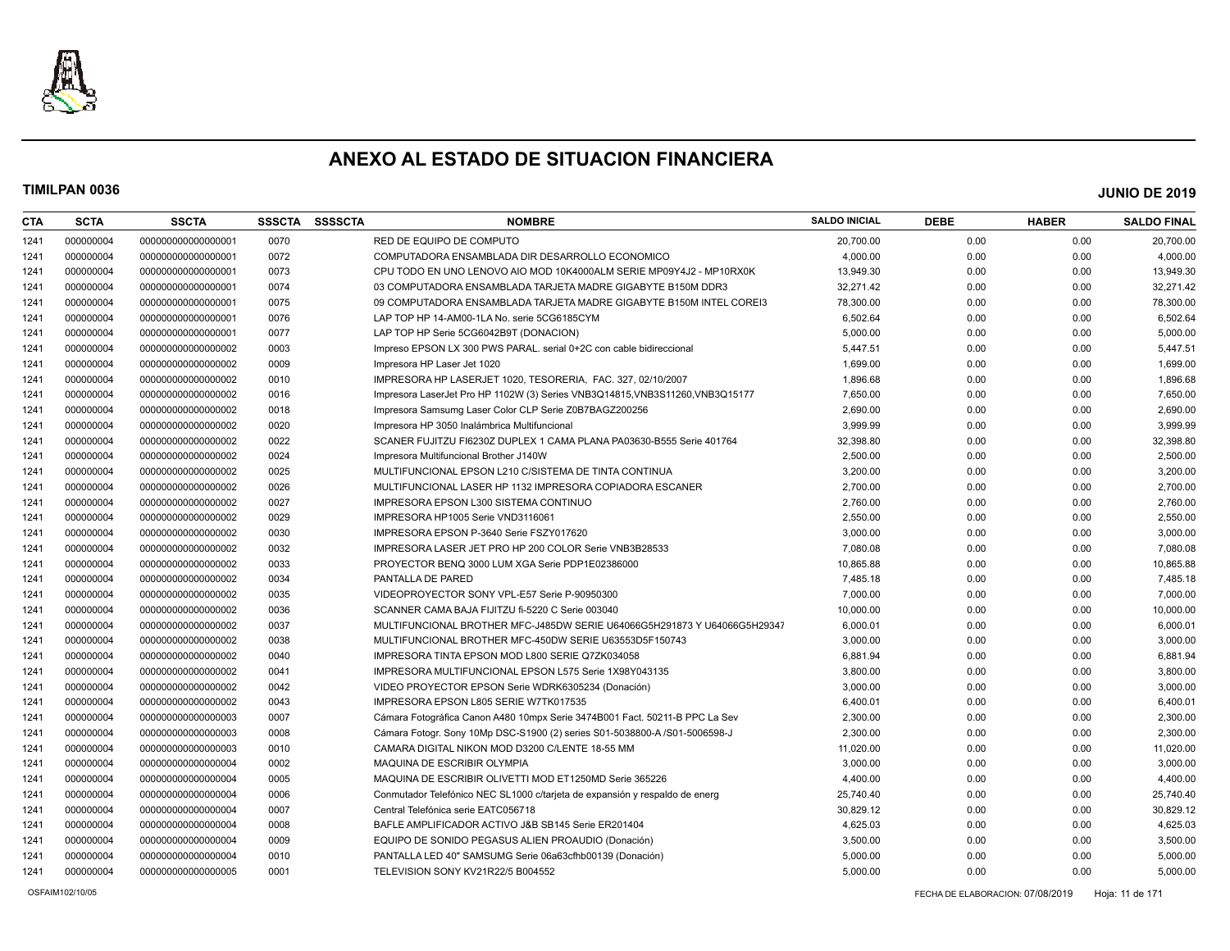

| <b>CTA</b> | <b>SCTA</b> | <b>SSCTA</b>       | <b>SSSCTA</b> | <b>SSSSCTA</b> | <b>NOMBRE</b>                                                                 | <b>SALDO INICIAL</b> | <b>DEBE</b> | <b>HABER</b> | <b>SALDO FINAL</b> |
|------------|-------------|--------------------|---------------|----------------|-------------------------------------------------------------------------------|----------------------|-------------|--------------|--------------------|
| 1241       | 000000004   | 00000000000000001  | 0070          |                | RED DE EQUIPO DE COMPUTO                                                      | 20,700.00            | 0.00        | 0.00         | 20,700.00          |
| 1241       | 000000004   | 00000000000000001  | 0072          |                | COMPUTADORA ENSAMBLADA DIR DESARROLLO ECONOMICO                               | 4,000.00             | 0.00        | 0.00         | 4,000.00           |
| 1241       | 000000004   | 00000000000000001  | 0073          |                | CPU TODO EN UNO LENOVO AIO MOD 10K4000ALM SERIE MP09Y4J2 - MP10RX0K           | 13,949.30            | 0.00        | 0.00         | 13,949.30          |
| 1241       | 000000004   | 00000000000000001  | 0074          |                | 03 COMPUTADORA ENSAMBLADA TARJETA MADRE GIGABYTE B150M DDR3                   | 32,271.42            | 0.00        | 0.00         | 32,271.42          |
| 1241       | 000000004   | 00000000000000001  | 0075          |                | 09 COMPUTADORA ENSAMBLADA TARJETA MADRE GIGABYTE B150M INTEL COREI3           | 78,300.00            | 0.00        | 0.00         | 78,300.00          |
| 1241       | 000000004   | 00000000000000001  | 0076          |                | LAP TOP HP 14-AM00-1LA No. serie 5CG6185CYM                                   | 6,502.64             | 0.00        | 0.00         | 6,502.64           |
| 1241       | 000000004   | 00000000000000001  | 0077          |                | LAP TOP HP Serie 5CG6042B9T (DONACION)                                        | 5,000.00             | 0.00        | 0.00         | 5,000.00           |
| 1241       | 000000004   | 00000000000000002  | 0003          |                | Impreso EPSON LX 300 PWS PARAL. serial 0+2C con cable bidireccional           | 5,447.51             | 0.00        | 0.00         | 5,447.51           |
| 1241       | 000000004   | 00000000000000002  | 0009          |                | Impresora HP Laser Jet 1020                                                   | 1,699.00             | 0.00        | 0.00         | 1,699.00           |
| 1241       | 000000004   | 00000000000000002  | 0010          |                | IMPRESORA HP LASERJET 1020, TESORERIA, FAC, 327, 02/10/2007                   | 1,896.68             | 0.00        | 0.00         | 1,896.68           |
| 1241       | 000000004   | 00000000000000002  | 0016          |                | Impresora LaserJet Pro HP 1102W (3) Series VNB3Q14815, VNB3S11260, VNB3Q15177 | 7,650.00             | 0.00        | 0.00         | 7,650.00           |
| 1241       | 000000004   | 00000000000000002  | 0018          |                | Impresora Samsumg Laser Color CLP Serie Z0B7BAGZ200256                        | 2,690.00             | 0.00        | 0.00         | 2,690.00           |
| 1241       | 000000004   | 00000000000000002  | 0020          |                | Impresora HP 3050 Inalámbrica Multifuncional                                  | 3,999.99             | 0.00        | 0.00         | 3,999.99           |
| 1241       | 000000004   | 00000000000000002  | 0022          |                | SCANER FUJITZU FI6230Z DUPLEX 1 CAMA PLANA PA03630-B555 Serie 401764          | 32,398.80            | 0.00        | 0.00         | 32,398.80          |
| 1241       | 000000004   | 00000000000000002  | 0024          |                | Impresora Multifuncional Brother J140W                                        | 2,500.00             | 0.00        | 0.00         | 2,500.00           |
| 1241       | 000000004   | 00000000000000002  | 0025          |                | MULTIFUNCIONAL EPSON L210 C/SISTEMA DE TINTA CONTINUA                         | 3,200.00             | 0.00        | 0.00         | 3,200.00           |
| 1241       | 000000004   | 00000000000000002  | 0026          |                | MULTIFUNCIONAL LASER HP 1132 IMPRESORA COPIADORA ESCANER                      | 2,700.00             | 0.00        | 0.00         | 2,700.00           |
| 1241       | 000000004   | 00000000000000002  | 0027          |                | IMPRESORA EPSON L300 SISTEMA CONTINUO                                         | 2,760.00             | 0.00        | 0.00         | 2,760.00           |
| 1241       | 000000004   | 00000000000000002  | 0029          |                | IMPRESORA HP1005 Serie VND3116061                                             | 2,550.00             | 0.00        | 0.00         | 2,550.00           |
| 1241       | 000000004   | 00000000000000002  | 0030          |                | IMPRESORA EPSON P-3640 Serie FSZY017620                                       | 3,000.00             | 0.00        | 0.00         | 3,000.00           |
| 1241       | 000000004   | 00000000000000002  | 0032          |                | IMPRESORA LASER JET PRO HP 200 COLOR Serie VNB3B28533                         | 7,080.08             | 0.00        | 0.00         | 7,080.08           |
| 1241       | 000000004   | 00000000000000002  | 0033          |                | PROYECTOR BENQ 3000 LUM XGA Serie PDP1E02386000                               | 10,865.88            | 0.00        | 0.00         | 10,865.88          |
| 1241       | 000000004   | 00000000000000002  | 0034          |                | PANTALLA DE PARED                                                             | 7,485.18             | 0.00        | 0.00         | 7,485.18           |
| 1241       | 000000004   | 00000000000000002  | 0035          |                | VIDEOPROYECTOR SONY VPL-E57 Serie P-90950300                                  | 7,000.00             | 0.00        | 0.00         | 7,000.00           |
| 1241       | 000000004   | 00000000000000002  | 0036          |                | SCANNER CAMA BAJA FIJITZU fi-5220 C Serie 003040                              | 10,000.00            | 0.00        | 0.00         | 10,000.00          |
| 1241       | 000000004   | 00000000000000002  | 0037          |                | MULTIFUNCIONAL BROTHER MFC-J485DW SERIE U64066G5H291873 Y U64066G5H29347      | 6,000.01             | 0.00        | 0.00         | 6,000.01           |
| 1241       | 000000004   | 00000000000000002  | 0038          |                | MULTIFUNCIONAL BROTHER MFC-450DW SERIE U63553D5F150743                        | 3,000.00             | 0.00        | 0.00         | 3,000.00           |
| 1241       | 000000004   | 00000000000000002  | 0040          |                | IMPRESORA TINTA EPSON MOD L800 SERIE Q7ZK034058                               | 6,881.94             | 0.00        | 0.00         | 6,881.94           |
| 1241       | 000000004   | 00000000000000002  | 0041          |                | IMPRESORA MULTIFUNCIONAL EPSON L575 Serie 1X98Y043135                         | 3,800.00             | 0.00        | 0.00         | 3,800.00           |
| 1241       | 000000004   | 00000000000000002  | 0042          |                | VIDEO PROYECTOR EPSON Serie WDRK6305234 (Donación)                            | 3,000.00             | 0.00        | 0.00         | 3,000.00           |
| 1241       | 000000004   | 00000000000000002  | 0043          |                | IMPRESORA EPSON L805 SERIE W7TK017535                                         | 6,400.01             | 0.00        | 0.00         | 6,400.01           |
| 1241       | 000000004   | 000000000000000003 | 0007          |                | Cámara Fotográfica Canon A480 10mpx Serie 3474B001 Fact. 50211-B PPC La Sev   | 2,300.00             | 0.00        | 0.00         | 2,300.00           |
| 1241       | 000000004   | 000000000000000003 | 0008          |                | Cámara Fotogr. Sony 10Mp DSC-S1900 (2) series S01-5038800-A /S01-5006598-J    | 2,300.00             | 0.00        | 0.00         | 2,300.00           |
| 1241       | 000000004   | 00000000000000003  | 0010          |                | CAMARA DIGITAL NIKON MOD D3200 C/LENTE 18-55 MM                               | 11,020.00            | 0.00        | 0.00         | 11,020.00          |
| 1241       | 000000004   | 000000000000000004 | 0002          |                | MAQUINA DE ESCRIBIR OLYMPIA                                                   | 3,000.00             | 0.00        | 0.00         | 3,000.00           |
| 1241       | 000000004   | 000000000000000004 | 0005          |                | MAQUINA DE ESCRIBIR OLIVETTI MOD ET1250MD Serie 365226                        | 4,400.00             | 0.00        | 0.00         | 4,400.00           |
| 1241       | 000000004   | 000000000000000004 | 0006          |                | Conmutador Telefónico NEC SL1000 c/tarjeta de expansión y respaldo de energ   | 25,740.40            | 0.00        | 0.00         | 25,740.40          |
| 1241       | 000000004   | 00000000000000004  | 0007          |                | Central Telefónica serie EATC056718                                           | 30,829.12            | 0.00        | 0.00         | 30,829.12          |
| 1241       | 000000004   | 00000000000000004  | 0008          |                | BAFLE AMPLIFICADOR ACTIVO J&B SB145 Serie ER201404                            | 4,625.03             | 0.00        | 0.00         | 4,625.03           |
| 1241       | 000000004   | 000000000000000004 | 0009          |                | EQUIPO DE SONIDO PEGASUS ALIEN PROAUDIO (Donación)                            | 3,500.00             | 0.00        | 0.00         | 3,500.00           |
| 1241       | 000000004   | 000000000000000004 | 0010          |                | PANTALLA LED 40" SAMSUMG Serie 06a63cfhb00139 (Donación)                      | 5,000.00             | 0.00        | 0.00         | 5,000.00           |
| 1241       | 000000004   | 00000000000000005  | 0001          |                | TELEVISION SONY KV21R22/5 B004552                                             | 5,000.00             | 0.00        | 0.00         | 5,000.00           |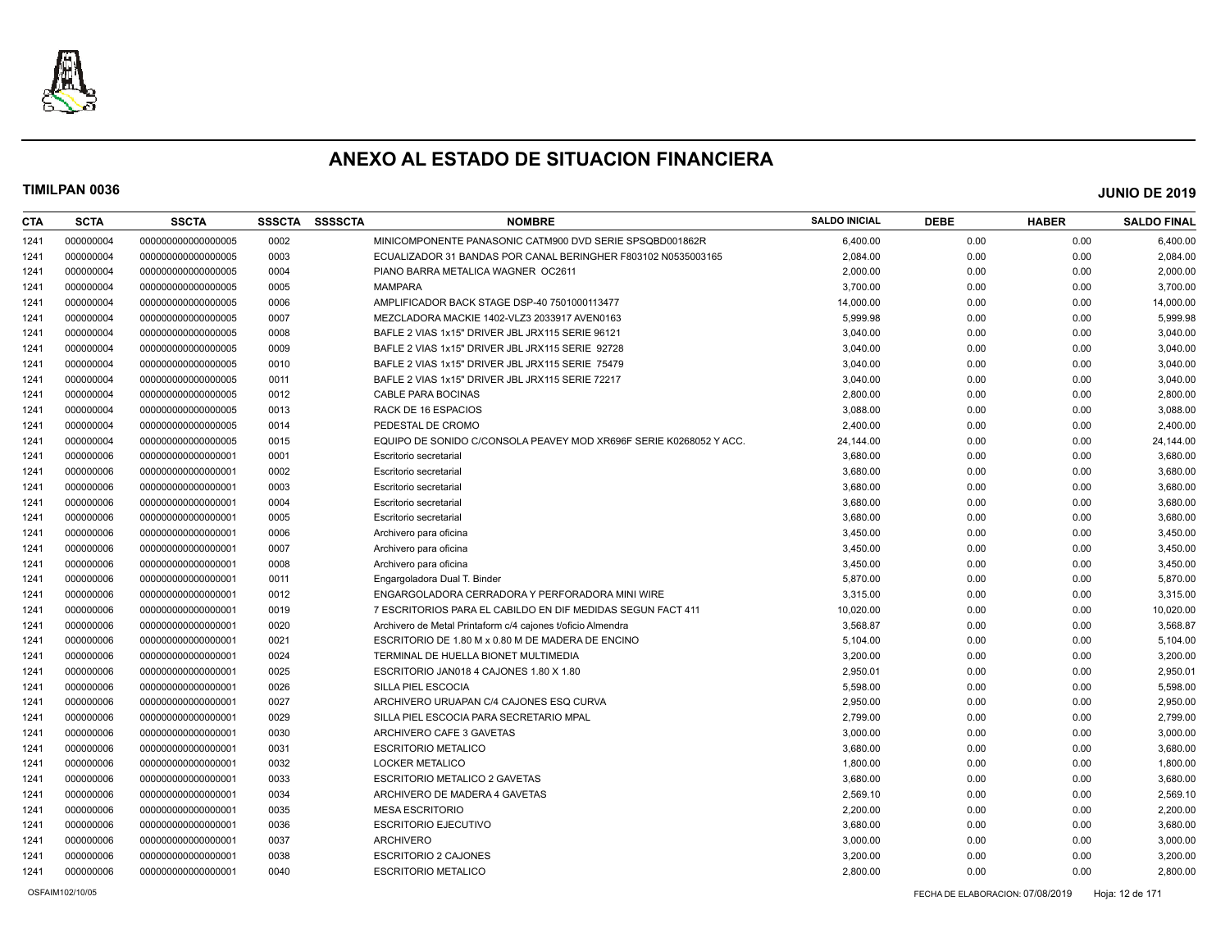

| <b>CTA</b> | <b>SCTA</b> | <b>SSCTA</b>       | <b>SSSCTA</b> | <b>SSSSCTA</b> | <b>NOMBRE</b>                                                      | <b>SALDO INICIAL</b> | <b>DEBE</b> | <b>HABER</b> | <b>SALDO FINAL</b> |
|------------|-------------|--------------------|---------------|----------------|--------------------------------------------------------------------|----------------------|-------------|--------------|--------------------|
| 1241       | 000000004   | 00000000000000005  | 0002          |                | MINICOMPONENTE PANASONIC CATM900 DVD SERIE SPSQBD001862R           | 6,400.00             | 0.00        | 0.00         | 6,400.00           |
| 1241       | 000000004   | 00000000000000005  | 0003          |                | ECUALIZADOR 31 BANDAS POR CANAL BERINGHER F803102 N0535003165      | 2,084.00             | 0.00        | 0.00         | 2,084.00           |
| 1241       | 000000004   | 00000000000000005  | 0004          |                | PIANO BARRA METALICA WAGNER OC2611                                 | 2,000.00             | 0.00        | 0.00         | 2,000.00           |
| 1241       | 000000004   | 00000000000000005  | 0005          |                | <b>MAMPARA</b>                                                     | 3,700.00             | 0.00        | 0.00         | 3,700.00           |
| 1241       | 000000004   | 00000000000000005  | 0006          |                | AMPLIFICADOR BACK STAGE DSP-40 7501000113477                       | 14,000.00            | 0.00        | 0.00         | 14,000.00          |
| 1241       | 000000004   | 00000000000000005  | 0007          |                | MEZCLADORA MACKIE 1402-VLZ3 2033917 AVEN0163                       | 5,999.98             | 0.00        | 0.00         | 5,999.98           |
| 1241       | 000000004   | 00000000000000005  | 0008          |                | BAFLE 2 VIAS 1x15" DRIVER JBL JRX115 SERIE 96121                   | 3,040.00             | 0.00        | 0.00         | 3,040.00           |
| 1241       | 000000004   | 00000000000000005  | 0009          |                | BAFLE 2 VIAS 1x15" DRIVER JBL JRX115 SERIE 92728                   | 3,040.00             | 0.00        | 0.00         | 3,040.00           |
| 1241       | 000000004   | 00000000000000005  | 0010          |                | BAFLE 2 VIAS 1x15" DRIVER JBL JRX115 SERIE 75479                   | 3,040.00             | 0.00        | 0.00         | 3,040.00           |
| 1241       | 000000004   | 00000000000000005  | 0011          |                | BAFLE 2 VIAS 1x15" DRIVER JBL JRX115 SERIE 72217                   | 3,040.00             | 0.00        | 0.00         | 3,040.00           |
| 1241       | 000000004   | 00000000000000005  | 0012          |                | <b>CABLE PARA BOCINAS</b>                                          | 2,800.00             | 0.00        | 0.00         | 2,800.00           |
| 1241       | 000000004   | 00000000000000005  | 0013          |                | RACK DE 16 ESPACIOS                                                | 3,088.00             | 0.00        | 0.00         | 3,088.00           |
| 1241       | 000000004   | 00000000000000005  | 0014          |                | PEDESTAL DE CROMO                                                  | 2,400.00             | 0.00        | 0.00         | 2,400.00           |
| 1241       | 000000004   | 00000000000000005  | 0015          |                | EQUIPO DE SONIDO C/CONSOLA PEAVEY MOD XR696F SERIE K0268052 Y ACC. | 24,144.00            | 0.00        | 0.00         | 24,144.00          |
| 1241       | 000000006   | 00000000000000001  | 0001          |                | Escritorio secretarial                                             | 3,680.00             | 0.00        | 0.00         | 3,680.00           |
| 1241       | 000000006   | 00000000000000001  | 0002          |                | Escritorio secretarial                                             | 3,680.00             | 0.00        | 0.00         | 3,680.00           |
| 1241       | 000000006   | 00000000000000001  | 0003          |                | Escritorio secretarial                                             | 3,680.00             | 0.00        | 0.00         | 3,680.00           |
| 1241       | 000000006   | 00000000000000001  | 0004          |                | Escritorio secretarial                                             | 3,680.00             | 0.00        | 0.00         | 3,680.00           |
| 1241       | 000000006   | 00000000000000001  | 0005          |                | Escritorio secretarial                                             | 3,680.00             | 0.00        | 0.00         | 3,680.00           |
| 1241       | 000000006   | 000000000000000001 | 0006          |                | Archivero para oficina                                             | 3,450.00             | 0.00        | 0.00         | 3,450.00           |
| 1241       | 000000006   | 00000000000000001  | 0007          |                | Archivero para oficina                                             | 3,450.00             | 0.00        | 0.00         | 3,450.00           |
| 1241       | 000000006   | 00000000000000001  | 0008          |                | Archivero para oficina                                             | 3,450.00             | 0.00        | 0.00         | 3,450.00           |
| 1241       | 000000006   | 00000000000000001  | 0011          |                | Engargoladora Dual T. Binder                                       | 5,870.00             | 0.00        | 0.00         | 5,870.00           |
| 1241       | 000000006   | 00000000000000001  | 0012          |                | ENGARGOLADORA CERRADORA Y PERFORADORA MINI WIRE                    | 3,315.00             | 0.00        | 0.00         | 3,315.00           |
| 1241       | 000000006   | 00000000000000001  | 0019          |                | 7 ESCRITORIOS PARA EL CABILDO EN DIF MEDIDAS SEGUN FACT 411        | 10,020.00            | 0.00        | 0.00         | 10,020.00          |
| 1241       | 000000006   | 00000000000000001  | 0020          |                | Archivero de Metal Printaform c/4 cajones t/oficio Almendra        | 3,568.87             | 0.00        | 0.00         | 3,568.87           |
| 1241       | 000000006   | 00000000000000001  | 0021          |                | ESCRITORIO DE 1.80 M x 0.80 M DE MADERA DE ENCINO                  | 5,104.00             | 0.00        | 0.00         | 5,104.00           |
| 1241       | 000000006   | 00000000000000001  | 0024          |                | TERMINAL DE HUELLA BIONET MULTIMEDIA                               | 3,200.00             | 0.00        | 0.00         | 3,200.00           |
| 1241       | 000000006   | 00000000000000001  | 0025          |                | ESCRITORIO JAN018 4 CAJONES 1.80 X 1.80                            | 2,950.01             | 0.00        | 0.00         | 2,950.01           |
| 1241       | 000000006   | 00000000000000001  | 0026          |                | SILLA PIEL ESCOCIA                                                 | 5,598.00             | 0.00        | 0.00         | 5,598.00           |
| 1241       | 000000006   | 00000000000000001  | 0027          |                | ARCHIVERO URUAPAN C/4 CAJONES ESQ CURVA                            | 2,950.00             | 0.00        | 0.00         | 2,950.00           |
| 1241       | 000000006   | 00000000000000001  | 0029          |                | SILLA PIEL ESCOCIA PARA SECRETARIO MPAL                            | 2,799.00             | 0.00        | 0.00         | 2,799.00           |
| 1241       | 000000006   | 00000000000000001  | 0030          |                | ARCHIVERO CAFE 3 GAVETAS                                           | 3,000.00             | 0.00        | 0.00         | 3,000.00           |
| 1241       | 000000006   | 00000000000000001  | 0031          |                | <b>ESCRITORIO METALICO</b>                                         | 3,680.00             | 0.00        | 0.00         | 3,680.00           |
| 1241       | 000000006   | 00000000000000001  | 0032          |                | <b>LOCKER METALICO</b>                                             | 1,800.00             | 0.00        | 0.00         | 1,800.00           |
| 1241       | 000000006   | 00000000000000001  | 0033          |                | <b>ESCRITORIO METALICO 2 GAVETAS</b>                               | 3,680.00             | 0.00        | 0.00         | 3,680.00           |
| 1241       | 000000006   | 00000000000000001  | 0034          |                | ARCHIVERO DE MADERA 4 GAVETAS                                      | 2,569.10             | 0.00        | 0.00         | 2,569.10           |
| 1241       | 000000006   | 00000000000000001  | 0035          |                | <b>MESA ESCRITORIO</b>                                             | 2,200.00             | 0.00        | 0.00         | 2,200.00           |
| 1241       | 000000006   | 00000000000000001  | 0036          |                | <b>ESCRITORIO EJECUTIVO</b>                                        | 3,680.00             | 0.00        | 0.00         | 3,680.00           |
| 1241       | 000000006   | 00000000000000001  | 0037          |                | <b>ARCHIVERO</b>                                                   | 3,000.00             | 0.00        | 0.00         | 3,000.00           |
| 1241       | 000000006   | 00000000000000001  | 0038          |                | <b>ESCRITORIO 2 CAJONES</b>                                        | 3,200.00             | 0.00        | 0.00         | 3,200.00           |
| 1241       | 000000006   | 00000000000000001  | 0040          |                | <b>ESCRITORIO METALICO</b>                                         | 2,800.00             | 0.00        | 0.00         | 2,800.00           |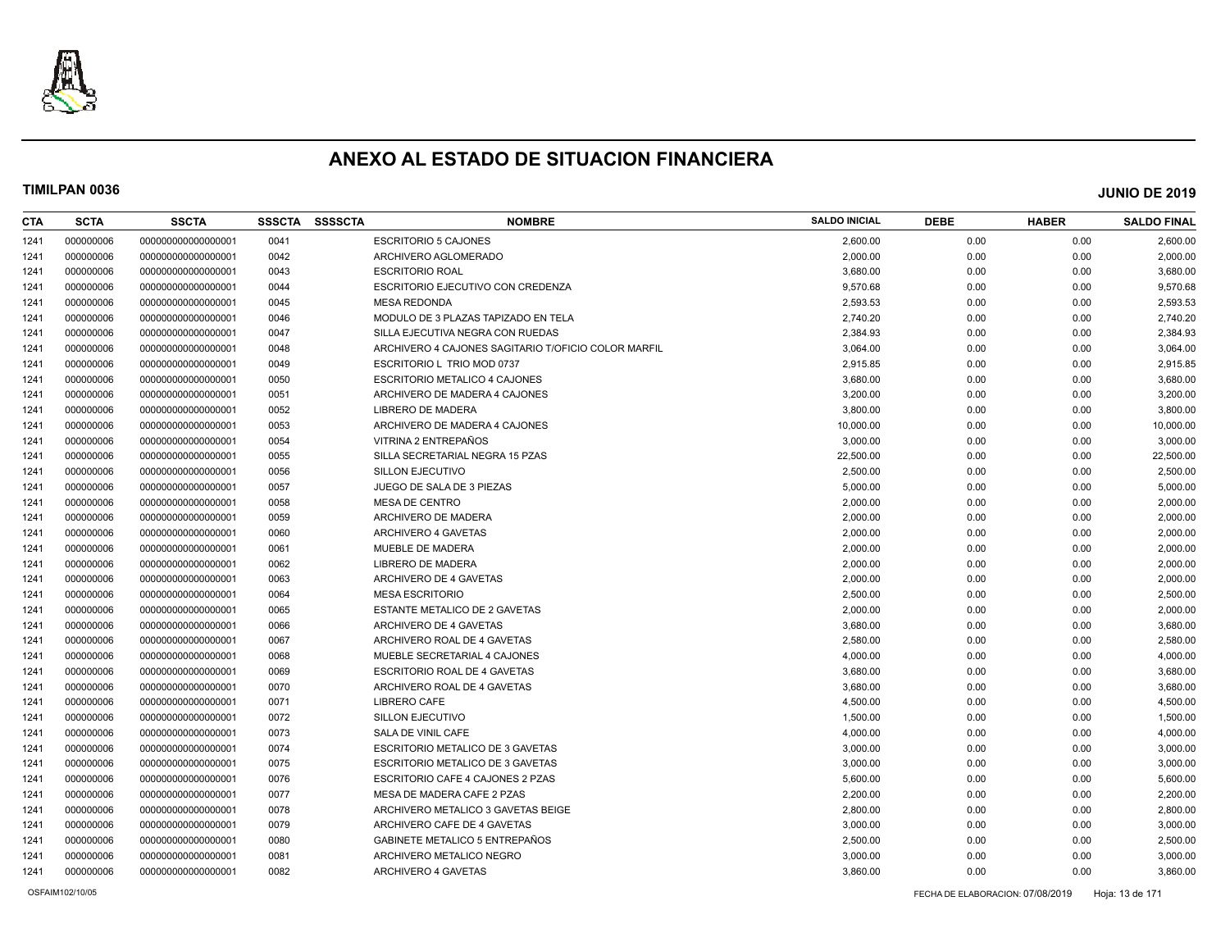

| CTA  | <b>SCTA</b> | <b>SSCTA</b>       | <b>SSSCTA</b> | <b>SSSSCTA</b> | <b>NOMBRE</b>                                       | <b>SALDO INICIAL</b> | <b>DEBE</b> | <b>HABER</b> | <b>SALDO FINAL</b> |
|------|-------------|--------------------|---------------|----------------|-----------------------------------------------------|----------------------|-------------|--------------|--------------------|
| 1241 | 000000006   | 00000000000000001  | 0041          |                | <b>ESCRITORIO 5 CAJONES</b>                         | 2.600.00             | 0.00        | 0.00         | 2,600.00           |
| 1241 | 000000006   | 00000000000000001  | 0042          |                | ARCHIVERO AGLOMERADO                                | 2,000.00             | 0.00        | 0.00         | 2,000.00           |
| 1241 | 000000006   | 00000000000000001  | 0043          |                | <b>ESCRITORIO ROAL</b>                              | 3,680.00             | 0.00        | 0.00         | 3,680.00           |
| 1241 | 000000006   | 00000000000000001  | 0044          |                | ESCRITORIO EJECUTIVO CON CREDENZA                   | 9,570.68             | 0.00        | 0.00         | 9,570.68           |
| 1241 | 000000006   | 00000000000000001  | 0045          |                | <b>MESA REDONDA</b>                                 | 2,593.53             | 0.00        | 0.00         | 2,593.53           |
| 1241 | 000000006   | 00000000000000001  | 0046          |                | MODULO DE 3 PLAZAS TAPIZADO EN TELA                 | 2,740.20             | 0.00        | 0.00         | 2,740.20           |
| 1241 | 000000006   | 00000000000000001  | 0047          |                | SILLA EJECUTIVA NEGRA CON RUEDAS                    | 2,384.93             | 0.00        | 0.00         | 2,384.93           |
| 1241 | 000000006   | 000000000000000001 | 0048          |                | ARCHIVERO 4 CAJONES SAGITARIO T/OFICIO COLOR MARFIL | 3,064.00             | 0.00        | 0.00         | 3,064.00           |
| 1241 | 000000006   | 00000000000000001  | 0049          |                | ESCRITORIO L TRIO MOD 0737                          | 2,915.85             | 0.00        | 0.00         | 2,915.85           |
| 1241 | 000000006   | 00000000000000001  | 0050          |                | ESCRITORIO METALICO 4 CAJONES                       | 3,680.00             | 0.00        | 0.00         | 3,680.00           |
| 1241 | 000000006   | 00000000000000001  | 0051          |                | ARCHIVERO DE MADERA 4 CAJONES                       | 3,200.00             | 0.00        | 0.00         | 3,200.00           |
| 1241 | 000000006   | 00000000000000001  | 0052          |                | LIBRERO DE MADERA                                   | 3,800.00             | 0.00        | 0.00         | 3,800.00           |
| 1241 | 000000006   | 000000000000000001 | 0053          |                | ARCHIVERO DE MADERA 4 CAJONES                       | 10,000.00            | 0.00        | 0.00         | 10,000.00          |
| 1241 | 000000006   | 00000000000000001  | 0054          |                | VITRINA 2 ENTREPAÑOS                                | 3.000.00             | 0.00        | 0.00         | 3,000.00           |
| 1241 | 000000006   | 00000000000000001  | 0055          |                | SILLA SECRETARIAL NEGRA 15 PZAS                     | 22,500.00            | 0.00        | 0.00         | 22,500.00          |
| 1241 | 000000006   | 00000000000000001  | 0056          |                | SILLON EJECUTIVO                                    | 2,500.00             | 0.00        | 0.00         | 2,500.00           |
| 1241 | 000000006   | 00000000000000001  | 0057          |                | JUEGO DE SALA DE 3 PIEZAS                           | 5,000.00             | 0.00        | 0.00         | 5,000.00           |
| 1241 | 000000006   | 000000000000000001 | 0058          |                | <b>MESA DE CENTRO</b>                               | 2,000.00             | 0.00        | 0.00         | 2,000.00           |
| 1241 | 000000006   | 00000000000000001  | 0059          |                | ARCHIVERO DE MADERA                                 | 2,000.00             | 0.00        | 0.00         | 2,000.00           |
| 1241 | 000000006   | 00000000000000001  | 0060          |                | ARCHIVERO 4 GAVETAS                                 | 2,000.00             | 0.00        | 0.00         | 2,000.00           |
| 1241 | 000000006   | 00000000000000001  | 0061          |                | MUEBLE DE MADERA                                    | 2,000.00             | 0.00        | 0.00         | 2,000.00           |
| 1241 | 000000006   | 00000000000000001  | 0062          |                | LIBRERO DE MADERA                                   | 2,000.00             | 0.00        | 0.00         | 2,000.00           |
| 1241 | 000000006   | 00000000000000001  | 0063          |                | ARCHIVERO DE 4 GAVETAS                              | 2,000.00             | 0.00        | 0.00         | 2,000.00           |
| 1241 | 000000006   | 00000000000000001  | 0064          |                | <b>MESA ESCRITORIO</b>                              | 2,500.00             | 0.00        | 0.00         | 2,500.00           |
| 1241 | 000000006   | 00000000000000001  | 0065          |                | <b>ESTANTE METALICO DE 2 GAVETAS</b>                | 2,000.00             | 0.00        | 0.00         | 2,000.00           |
| 1241 | 000000006   | 00000000000000001  | 0066          |                | ARCHIVERO DE 4 GAVETAS                              | 3,680.00             | 0.00        | 0.00         | 3,680.00           |
| 1241 | 000000006   | 00000000000000001  | 0067          |                | ARCHIVERO ROAL DE 4 GAVETAS                         | 2,580.00             | 0.00        | 0.00         | 2,580.00           |
| 1241 | 000000006   | 00000000000000001  | 0068          |                | MUEBLE SECRETARIAL 4 CAJONES                        | 4,000.00             | 0.00        | 0.00         | 4,000.00           |
| 1241 | 000000006   | 00000000000000001  | 0069          |                | ESCRITORIO ROAL DE 4 GAVETAS                        | 3,680.00             | 0.00        | 0.00         | 3,680.00           |
| 1241 | 000000006   | 00000000000000001  | 0070          |                | ARCHIVERO ROAL DE 4 GAVETAS                         | 3,680.00             | 0.00        | 0.00         | 3,680.00           |
| 1241 | 000000006   | 00000000000000001  | 0071          |                | <b>LIBRERO CAFE</b>                                 | 4,500.00             | 0.00        | 0.00         | 4,500.00           |
| 1241 | 000000006   | 00000000000000001  | 0072          |                | SILLON EJECUTIVO                                    | 1,500.00             | 0.00        | 0.00         | 1,500.00           |
| 1241 | 000000006   | 00000000000000001  | 0073          |                | SALA DE VINIL CAFE                                  | 4,000.00             | 0.00        | 0.00         | 4,000.00           |
| 1241 | 000000006   | 00000000000000001  | 0074          |                | ESCRITORIO METALICO DE 3 GAVETAS                    | 3,000.00             | 0.00        | 0.00         | 3,000.00           |
| 1241 | 000000006   | 00000000000000001  | 0075          |                | <b>ESCRITORIO METALICO DE 3 GAVETAS</b>             | 3,000.00             | 0.00        | 0.00         | 3,000.00           |
| 1241 | 000000006   | 00000000000000001  | 0076          |                | ESCRITORIO CAFE 4 CAJONES 2 PZAS                    | 5,600.00             | 0.00        | 0.00         | 5,600.00           |
| 1241 | 000000006   | 00000000000000001  | 0077          |                | MESA DE MADERA CAFE 2 PZAS                          | 2,200.00             | 0.00        | 0.00         | 2,200.00           |
| 1241 | 000000006   | 00000000000000001  | 0078          |                | ARCHIVERO METALICO 3 GAVETAS BEIGE                  | 2,800.00             | 0.00        | 0.00         | 2,800.00           |
| 1241 | 000000006   | 000000000000000001 | 0079          |                | ARCHIVERO CAFE DE 4 GAVETAS                         | 3,000.00             | 0.00        | 0.00         | 3,000.00           |
| 1241 | 000000006   | 000000000000000001 | 0080          |                | GABINETE METALICO 5 ENTREPAÑOS                      | 2,500.00             | 0.00        | 0.00         | 2,500.00           |
| 1241 | 000000006   | 00000000000000001  | 0081          |                | ARCHIVERO METALICO NEGRO                            | 3,000.00             | 0.00        | 0.00         | 3,000.00           |
| 1241 | 000000006   | 00000000000000001  | 0082          |                | ARCHIVERO 4 GAVETAS                                 | 3,860.00             | 0.00        | 0.00         | 3,860.00           |
|      |             |                    |               |                |                                                     |                      |             |              |                    |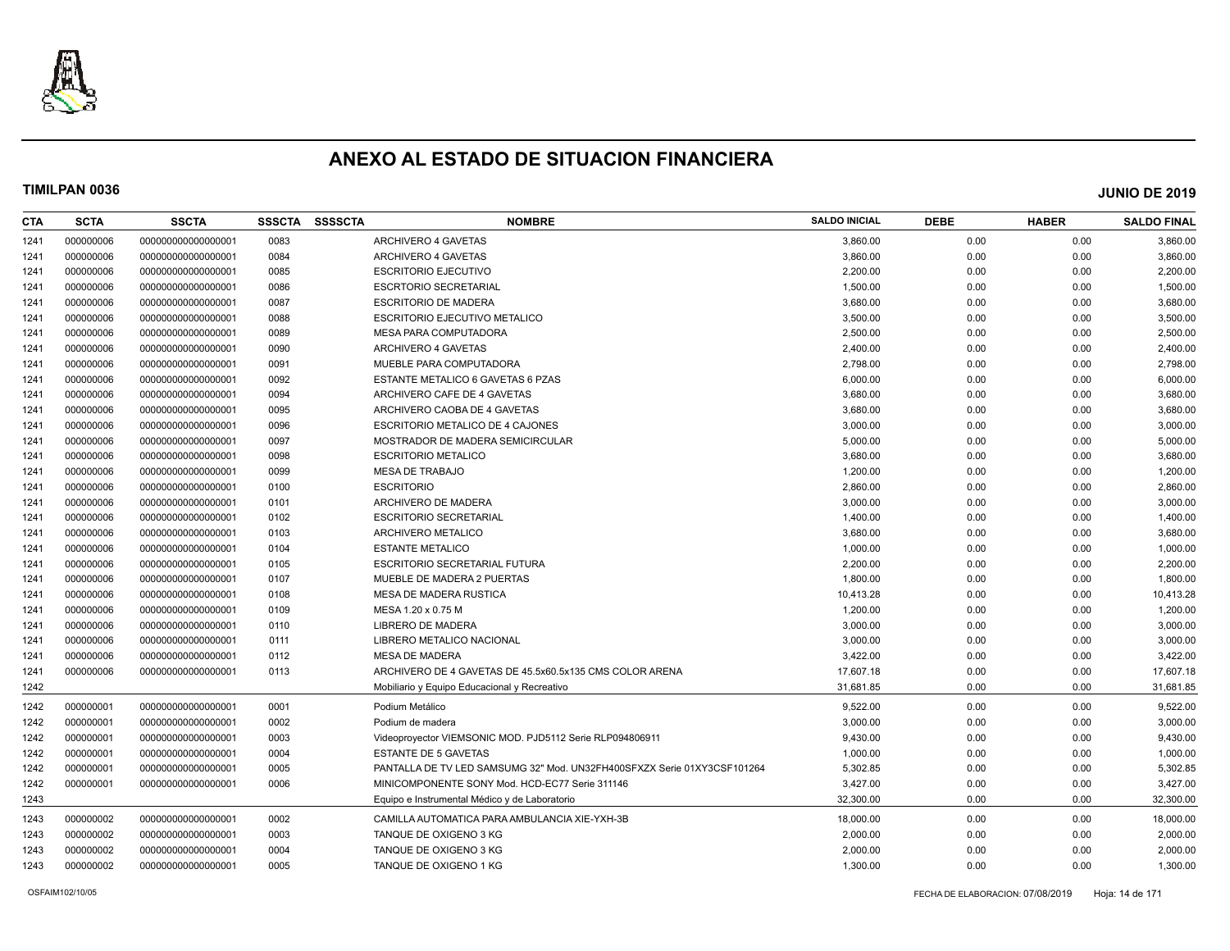

| CTA  | <b>SCTA</b> | <b>SSCTA</b>       | <b>SSSCTA</b> | <b>SSSSCTA</b> | <b>NOMBRE</b>                                                           | <b>SALDO INICIAL</b> | <b>DEBE</b> | <b>HABER</b> | <b>SALDO FINAL</b> |
|------|-------------|--------------------|---------------|----------------|-------------------------------------------------------------------------|----------------------|-------------|--------------|--------------------|
| 1241 | 000000006   | 000000000000000001 | 0083          |                | ARCHIVERO 4 GAVETAS                                                     | 3,860.00             | 0.00        | 0.00         | 3,860.00           |
| 1241 | 000000006   | 000000000000000001 | 0084          |                | ARCHIVERO 4 GAVETAS                                                     | 3,860.00             | 0.00        | 0.00         | 3,860.00           |
| 1241 | 000000006   | 000000000000000001 | 0085          |                | <b>ESCRITORIO EJECUTIVO</b>                                             | 2,200.00             | 0.00        | 0.00         | 2,200.00           |
| 1241 | 000000006   | 000000000000000001 | 0086          |                | <b>ESCRTORIO SECRETARIAL</b>                                            | 1,500.00             | 0.00        | 0.00         | 1,500.00           |
| 1241 | 000000006   | 000000000000000001 | 0087          |                | <b>ESCRITORIO DE MADERA</b>                                             | 3,680.00             | 0.00        | 0.00         | 3,680.00           |
| 1241 | 000000006   | 000000000000000001 | 0088          |                | <b>ESCRITORIO EJECUTIVO METALICO</b>                                    | 3,500.00             | 0.00        | 0.00         | 3,500.00           |
| 1241 | 000000006   | 000000000000000001 | 0089          |                | <b>MESA PARA COMPUTADORA</b>                                            | 2,500.00             | 0.00        | 0.00         | 2,500.00           |
| 1241 | 000000006   | 00000000000000001  | 0090          |                | ARCHIVERO 4 GAVETAS                                                     | 2,400.00             | 0.00        | 0.00         | 2,400.00           |
| 1241 | 000000006   | 000000000000000001 | 0091          |                | MUEBLE PARA COMPUTADORA                                                 | 2,798.00             | 0.00        | 0.00         | 2,798.00           |
| 1241 | 000000006   | 00000000000000001  | 0092          |                | ESTANTE METALICO 6 GAVETAS 6 PZAS                                       | 6,000.00             | 0.00        | 0.00         | 6,000.00           |
| 1241 | 000000006   | 000000000000000001 | 0094          |                | ARCHIVERO CAFE DE 4 GAVETAS                                             | 3,680.00             | 0.00        | 0.00         | 3,680.00           |
| 1241 | 000000006   | 000000000000000001 | 0095          |                | ARCHIVERO CAOBA DE 4 GAVETAS                                            | 3,680.00             | 0.00        | 0.00         | 3,680.00           |
| 1241 | 000000006   | 000000000000000001 | 0096          |                | ESCRITORIO METALICO DE 4 CAJONES                                        | 3,000.00             | 0.00        | 0.00         | 3,000.00           |
| 1241 | 000000006   | 000000000000000001 | 0097          |                | MOSTRADOR DE MADERA SEMICIRCULAR                                        | 5,000.00             | 0.00        | 0.00         | 5,000.00           |
| 1241 | 000000006   | 000000000000000001 | 0098          |                | <b>ESCRITORIO METALICO</b>                                              | 3,680.00             | 0.00        | 0.00         | 3,680.00           |
| 1241 | 000000006   | 000000000000000001 | 0099          |                | <b>MESA DE TRABAJO</b>                                                  | 1,200.00             | 0.00        | 0.00         | 1,200.00           |
| 1241 | 000000006   | 000000000000000001 | 0100          |                | <b>ESCRITORIO</b>                                                       | 2,860.00             | 0.00        | 0.00         | 2,860.00           |
| 1241 | 000000006   | 000000000000000001 | 0101          |                | ARCHIVERO DE MADERA                                                     | 3,000.00             | 0.00        | 0.00         | 3,000.00           |
| 1241 | 000000006   | 00000000000000001  | 0102          |                | <b>ESCRITORIO SECRETARIAL</b>                                           | 1,400.00             | 0.00        | 0.00         | 1,400.00           |
| 1241 | 000000006   | 000000000000000001 | 0103          |                | ARCHIVERO METALICO                                                      | 3,680.00             | 0.00        | 0.00         | 3,680.00           |
| 1241 | 000000006   | 000000000000000001 | 0104          |                | <b>ESTANTE METALICO</b>                                                 | 1,000.00             | 0.00        | 0.00         | 1,000.00           |
| 1241 | 000000006   | 000000000000000001 | 0105          |                | <b>ESCRITORIO SECRETARIAL FUTURA</b>                                    | 2,200.00             | 0.00        | 0.00         | 2,200.00           |
| 1241 | 000000006   | 00000000000000001  | 0107          |                | MUEBLE DE MADERA 2 PUERTAS                                              | 1,800.00             | 0.00        | 0.00         | 1,800.00           |
| 1241 | 000000006   | 000000000000000001 | 0108          |                | MESA DE MADERA RUSTICA                                                  | 10,413.28            | 0.00        | 0.00         | 10,413.28          |
| 1241 | 000000006   | 000000000000000001 | 0109          |                | MESA 1.20 x 0.75 M                                                      | 1,200.00             | 0.00        | 0.00         | 1,200.00           |
| 1241 | 000000006   | 000000000000000001 | 0110          |                | LIBRERO DE MADERA                                                       | 3,000.00             | 0.00        | 0.00         | 3,000.00           |
| 1241 | 000000006   | 000000000000000001 | 0111          |                | LIBRERO METALICO NACIONAL                                               | 3,000.00             | 0.00        | 0.00         | 3,000.00           |
| 1241 | 000000006   | 000000000000000001 | 0112          |                | <b>MESA DE MADERA</b>                                                   | 3,422.00             | 0.00        | 0.00         | 3,422.00           |
| 1241 | 000000006   | 000000000000000001 | 0113          |                | ARCHIVERO DE 4 GAVETAS DE 45.5x60.5x135 CMS COLOR ARENA                 | 17,607.18            | 0.00        | 0.00         | 17,607.18          |
| 1242 |             |                    |               |                | Mobiliario y Equipo Educacional y Recreativo                            | 31,681.85            | 0.00        | 0.00         | 31,681.85          |
| 1242 | 000000001   | 000000000000000001 | 0001          |                | Podium Metálico                                                         | 9,522.00             | 0.00        | 0.00         | 9,522.00           |
| 1242 | 000000001   | 000000000000000001 | 0002          |                | Podium de madera                                                        | 3.000.00             | 0.00        | 0.00         | 3,000.00           |
| 1242 | 000000001   | 000000000000000001 | 0003          |                | Videoproyector VIEMSONIC MOD. PJD5112 Serie RLP094806911                | 9,430.00             | 0.00        | 0.00         | 9,430.00           |
| 1242 | 000000001   | 000000000000000001 | 0004          |                | <b>ESTANTE DE 5 GAVETAS</b>                                             | 1,000.00             | 0.00        | 0.00         | 1,000.00           |
| 1242 | 000000001   | 000000000000000001 | 0005          |                | PANTALLA DE TV LED SAMSUMG 32" Mod. UN32FH400SFXZX Serie 01XY3CSF101264 | 5,302.85             | 0.00        | 0.00         | 5,302.85           |
| 1242 | 000000001   | 00000000000000001  | 0006          |                | MINICOMPONENTE SONY Mod. HCD-EC77 Serie 311146                          | 3,427.00             | 0.00        | 0.00         | 3,427.00           |
| 1243 |             |                    |               |                | Equipo e Instrumental Médico y de Laboratorio                           | 32,300.00            | 0.00        | 0.00         | 32,300.00          |
| 1243 | 000000002   | 000000000000000001 | 0002          |                | CAMILLA AUTOMATICA PARA AMBULANCIA XIE-YXH-3B                           | 18,000.00            | 0.00        | 0.00         | 18,000.00          |
| 1243 | 000000002   | 000000000000000001 | 0003          |                | TANQUE DE OXIGENO 3 KG                                                  | 2,000.00             | 0.00        | 0.00         | 2,000.00           |
| 1243 | 000000002   | 00000000000000001  | 0004          |                | TANQUE DE OXIGENO 3 KG                                                  | 2,000.00             | 0.00        | 0.00         | 2,000.00           |
| 1243 | 000000002   | 00000000000000001  | 0005          |                | TANQUE DE OXIGENO 1 KG                                                  | 1,300.00             | 0.00        | 0.00         | 1,300.00           |
|      |             |                    |               |                |                                                                         |                      |             |              |                    |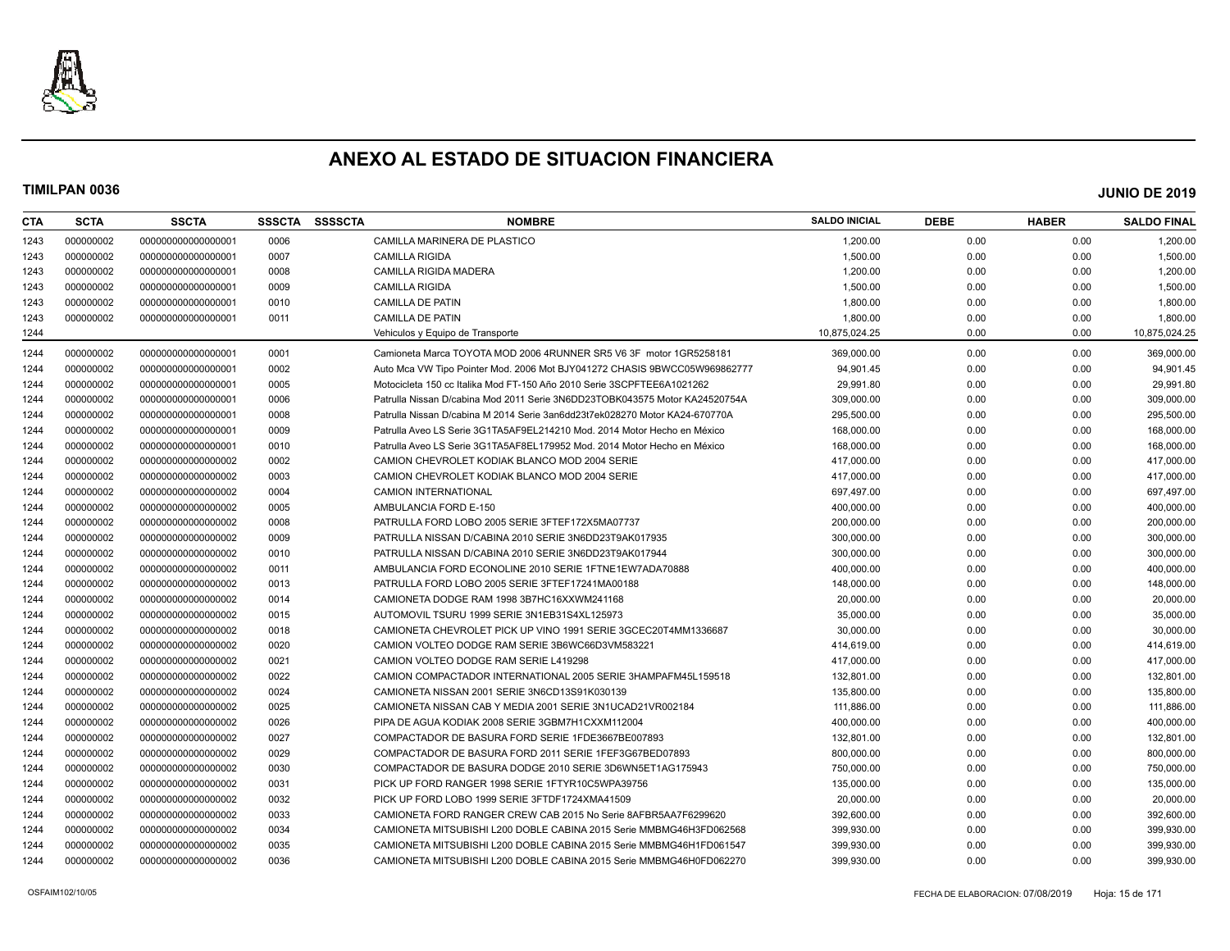

| CTA  | <b>SCTA</b> | <b>SSCTA</b>       | <b>SSSCTA</b> | <b>SSSSCTA</b> | <b>NOMBRE</b>                                                               | <b>SALDO INICIAL</b> | <b>DEBE</b> | <b>HABER</b> | <b>SALDO FINAL</b> |
|------|-------------|--------------------|---------------|----------------|-----------------------------------------------------------------------------|----------------------|-------------|--------------|--------------------|
| 1243 | 000000002   | 000000000000000001 | 0006          |                | CAMILLA MARINERA DE PLASTICO                                                | 1,200.00             | 0.00        | 0.00         | 1,200.00           |
| 1243 | 000000002   | 000000000000000001 | 0007          |                | <b>CAMILLA RIGIDA</b>                                                       | 1,500.00             | 0.00        | 0.00         | 1,500.00           |
| 1243 | 000000002   | 00000000000000001  | 0008          |                | <b>CAMILLA RIGIDA MADERA</b>                                                | 1,200.00             | 0.00        | 0.00         | 1,200.00           |
| 1243 | 000000002   | 000000000000000001 | 0009          |                | <b>CAMILLA RIGIDA</b>                                                       | 1,500.00             | 0.00        | 0.00         | 1,500.00           |
| 1243 | 000000002   | 00000000000000001  | 0010          |                | <b>CAMILLA DE PATIN</b>                                                     | 1,800.00             | 0.00        | 0.00         | 1,800.00           |
| 1243 | 000000002   | 00000000000000001  | 0011          |                | CAMILLA DE PATIN                                                            | 1,800.00             | 0.00        | 0.00         | 1,800.00           |
| 1244 |             |                    |               |                | Vehiculos y Equipo de Transporte                                            | 10,875,024.25        | 0.00        | 0.00         | 10,875,024.25      |
| 1244 | 000000002   | 000000000000000001 | 0001          |                | Camioneta Marca TOYOTA MOD 2006 4RUNNER SR5 V6 3F motor 1GR5258181          | 369,000.00           | 0.00        | 0.00         | 369,000.00         |
| 1244 | 000000002   | 000000000000000001 | 0002          |                | Auto Mca VW Tipo Pointer Mod. 2006 Mot BJY041272 CHASIS 9BWCC05W969862777   | 94.901.45            | 0.00        | 0.00         | 94,901.45          |
| 1244 | 000000002   | 000000000000000001 | 0005          |                | Motocicleta 150 cc Italika Mod FT-150 Año 2010 Serie 3SCPFTEE6A1021262      | 29,991.80            | 0.00        | 0.00         | 29,991.80          |
| 1244 | 000000002   | 00000000000000001  | 0006          |                | Patrulla Nissan D/cabina Mod 2011 Serie 3N6DD23TOBK043575 Motor KA24520754A | 309.000.00           | 0.00        | 0.00         | 309,000.00         |
| 1244 | 000000002   | 00000000000000001  | 0008          |                | Patrulla Nissan D/cabina M 2014 Serie 3an6dd23t7ek028270 Motor KA24-670770A | 295.500.00           | 0.00        | 0.00         | 295,500.00         |
| 1244 | 000000002   | 000000000000000001 | 0009          |                | Patrulla Aveo LS Serie 3G1TA5AF9EL214210 Mod. 2014 Motor Hecho en México    | 168,000.00           | 0.00        | 0.00         | 168,000.00         |
| 1244 | 000000002   | 000000000000000001 | 0010          |                | Patrulla Aveo LS Serie 3G1TA5AF8EL179952 Mod. 2014 Motor Hecho en México    | 168,000.00           | 0.00        | 0.00         | 168,000.00         |
| 1244 | 000000002   | 000000000000000002 | 0002          |                | CAMION CHEVROLET KODIAK BLANCO MOD 2004 SERIE                               | 417,000.00           | 0.00        | 0.00         | 417,000.00         |
| 1244 | 000000002   | 000000000000000002 | 0003          |                | CAMION CHEVROLET KODIAK BLANCO MOD 2004 SERIE                               | 417,000.00           | 0.00        | 0.00         | 417,000.00         |
| 1244 | 000000002   | 000000000000000002 | 0004          |                | <b>CAMION INTERNATIONAL</b>                                                 | 697.497.00           | 0.00        | 0.00         | 697,497.00         |
| 1244 | 000000002   | 000000000000000002 | 0005          |                | AMBULANCIA FORD E-150                                                       | 400,000.00           | 0.00        | 0.00         | 400,000.00         |
| 1244 | 000000002   | 000000000000000002 | 0008          |                | PATRULLA FORD LOBO 2005 SERIE 3FTEF172X5MA07737                             | 200,000.00           | 0.00        | 0.00         | 200,000.00         |
| 1244 | 000000002   | 000000000000000002 | 0009          |                | PATRULLA NISSAN D/CABINA 2010 SERIE 3N6DD23T9AK017935                       | 300,000.00           | 0.00        | 0.00         | 300,000.00         |
| 1244 | 000000002   | 000000000000000002 | 0010          |                | PATRULLA NISSAN D/CABINA 2010 SERIE 3N6DD23T9AK017944                       | 300,000.00           | 0.00        | 0.00         | 300,000.00         |
| 1244 | 000000002   | 000000000000000002 | 0011          |                | AMBULANCIA FORD ECONOLINE 2010 SERIE 1FTNE1EW7ADA70888                      | 400.000.00           | 0.00        | 0.00         | 400,000.00         |
| 1244 | 000000002   | 000000000000000002 | 0013          |                | PATRULLA FORD LOBO 2005 SERIE 3FTEF17241MA00188                             | 148,000.00           | 0.00        | 0.00         | 148,000.00         |
| 1244 | 000000002   | 00000000000000002  | 0014          |                | CAMIONETA DODGE RAM 1998 3B7HC16XXWM241168                                  | 20,000.00            | 0.00        | 0.00         | 20,000.00          |
| 1244 | 000000002   | 000000000000000002 | 0015          |                | AUTOMOVIL TSURU 1999 SERIE 3N1EB31S4XL125973                                | 35,000.00            | 0.00        | 0.00         | 35,000.00          |
| 1244 | 000000002   | 00000000000000002  | 0018          |                | CAMIONETA CHEVROLET PICK UP VINO 1991 SERIE 3GCEC20T4MM1336687              | 30,000.00            | 0.00        | 0.00         | 30,000.00          |
| 1244 | 000000002   | 000000000000000002 | 0020          |                | CAMION VOLTEO DODGE RAM SERIE 3B6WC66D3VM583221                             | 414.619.00           | 0.00        | 0.00         | 414,619.00         |
| 1244 | 000000002   | 000000000000000002 | 0021          |                | CAMION VOLTEO DODGE RAM SERIE L419298                                       | 417,000.00           | 0.00        | 0.00         | 417,000.00         |
| 1244 | 000000002   | 000000000000000002 | 0022          |                | CAMION COMPACTADOR INTERNATIONAL 2005 SERIE 3HAMPAFM45L159518               | 132,801.00           | 0.00        | 0.00         | 132,801.00         |
| 1244 | 000000002   | 000000000000000002 | 0024          |                | CAMIONETA NISSAN 2001 SERIE 3N6CD13S91K030139                               | 135,800.00           | 0.00        | 0.00         | 135,800.00         |
| 1244 | 000000002   | 000000000000000002 | 0025          |                | CAMIONETA NISSAN CAB Y MEDIA 2001 SERIE 3N1UCAD21VR002184                   | 111,886.00           | 0.00        | 0.00         | 111,886.00         |
| 1244 | 000000002   | 00000000000000002  | 0026          |                | PIPA DE AGUA KODIAK 2008 SERIE 3GBM7H1CXXM112004                            | 400,000.00           | 0.00        | 0.00         | 400,000.00         |
| 1244 | 000000002   | 000000000000000002 | 0027          |                | COMPACTADOR DE BASURA FORD SERIE 1FDE3667BE007893                           | 132,801.00           | 0.00        | 0.00         | 132,801.00         |
| 1244 | 000000002   | 00000000000000002  | 0029          |                | COMPACTADOR DE BASURA FORD 2011 SERIE 1FEF3G67BED07893                      | 800,000.00           | 0.00        | 0.00         | 800,000.00         |
| 1244 | 000000002   | 000000000000000002 | 0030          |                | COMPACTADOR DE BASURA DODGE 2010 SERIE 3D6WN5ET1AG175943                    | 750.000.00           | 0.00        | 0.00         | 750.000.00         |
| 1244 | 000000002   | 00000000000000002  | 0031          |                | PICK UP FORD RANGER 1998 SERIE 1FTYR10C5WPA39756                            | 135,000.00           | 0.00        | 0.00         | 135,000.00         |
| 1244 | 000000002   | 000000000000000002 | 0032          |                | PICK UP FORD LOBO 1999 SERIE 3FTDF1724XMA41509                              | 20,000.00            | 0.00        | 0.00         | 20,000.00          |
| 1244 | 000000002   | 000000000000000002 | 0033          |                | CAMIONETA FORD RANGER CREW CAB 2015 No Serie 8AFBR5AA7F6299620              | 392,600.00           | 0.00        | 0.00         | 392,600.00         |
| 1244 | 000000002   | 000000000000000002 | 0034          |                | CAMIONETA MITSUBISHI L200 DOBLE CABINA 2015 Serie MMBMG46H3FD062568         | 399,930.00           | 0.00        | 0.00         | 399,930.00         |
| 1244 | 000000002   | 00000000000000002  | 0035          |                | CAMIONETA MITSUBISHI L200 DOBLE CABINA 2015 Serie MMBMG46H1FD061547         | 399.930.00           | 0.00        | 0.00         | 399,930.00         |
| 1244 | 000000002   | 00000000000000002  | 0036          |                | CAMIONETA MITSUBISHI L200 DOBLE CABINA 2015 Serie MMBMG46H0FD062270         | 399.930.00           | 0.00        | 0.00         | 399.930.00         |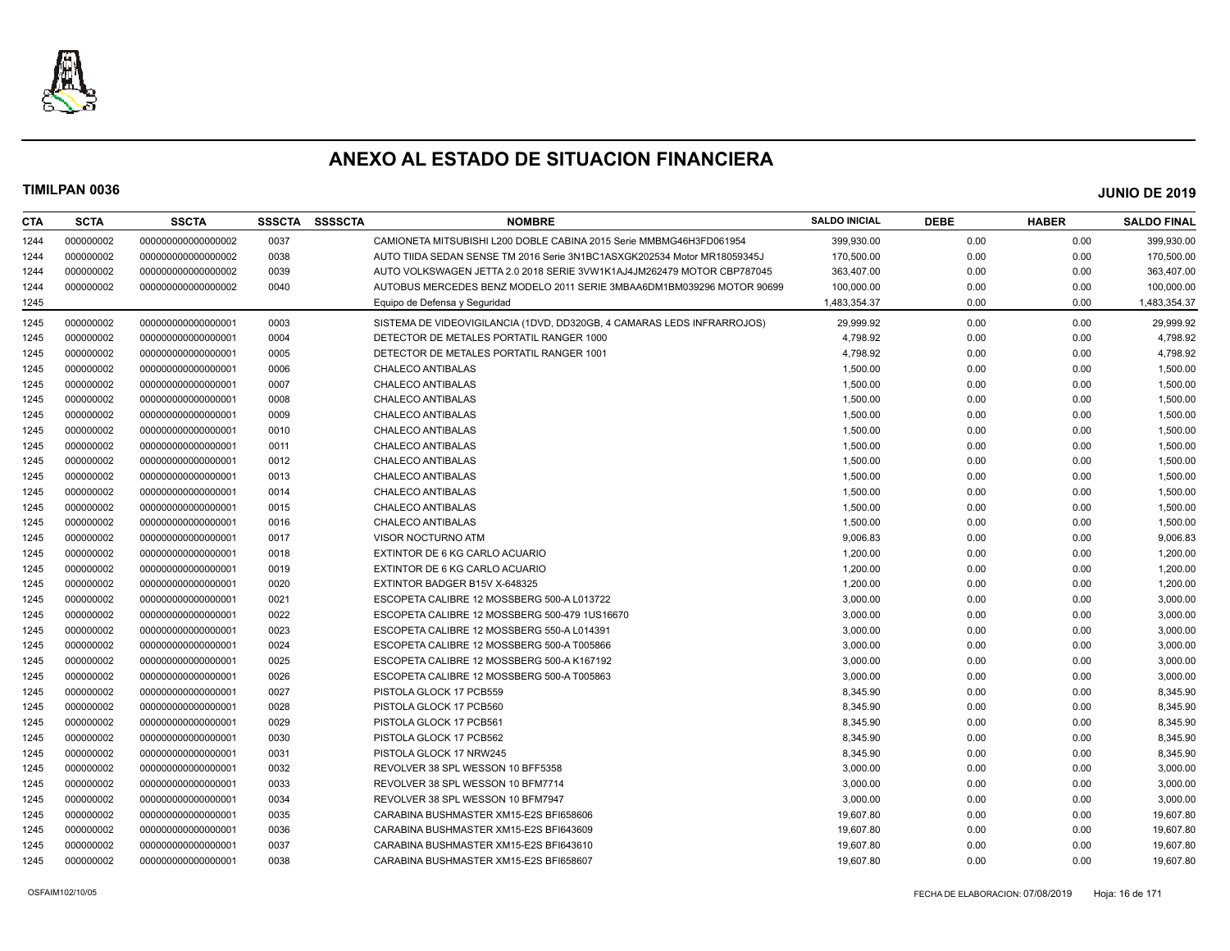

| CTA  | <b>SCTA</b> | <b>SSCTA</b>       | <b>SSSCTA</b> | <b>SSSSCTA</b> | <b>NOMBRE</b>                                                            | <b>SALDO INICIAL</b> | <b>DEBE</b> | <b>HABER</b> | <b>SALDO FINAL</b> |
|------|-------------|--------------------|---------------|----------------|--------------------------------------------------------------------------|----------------------|-------------|--------------|--------------------|
| 1244 | 000000002   | 00000000000000002  | 0037          |                | CAMIONETA MITSUBISHI L200 DOBLE CABINA 2015 Serie MMBMG46H3FD061954      | 399,930.00           | 0.00        | 0.00         | 399,930.00         |
| 1244 | 000000002   | 00000000000000002  | 0038          |                | AUTO TIIDA SEDAN SENSE TM 2016 Serie 3N1BC1ASXGK202534 Motor MR18059345J | 170,500.00           | 0.00        | 0.00         | 170,500.00         |
| 1244 | 000000002   | 00000000000000002  | 0039          |                | AUTO VOLKSWAGEN JETTA 2.0 2018 SERIE 3VW1K1AJ4JM262479 MOTOR CBP787045   | 363,407.00           | 0.00        | 0.00         | 363,407.00         |
| 1244 | 000000002   | 00000000000000002  | 0040          |                | AUTOBUS MERCEDES BENZ MODELO 2011 SERIE 3MBAA6DM1BM039296 MOTOR 90699    | 100,000.00           | 0.00        | 0.00         | 100,000.00         |
| 1245 |             |                    |               |                | Equipo de Defensa y Seguridad                                            | 1,483,354.37         | 0.00        | 0.00         | 1,483,354.37       |
| 1245 | 000000002   | 00000000000000001  | 0003          |                | SISTEMA DE VIDEOVIGILANCIA (1DVD, DD320GB, 4 CAMARAS LEDS INFRARROJOS)   | 29,999.92            | 0.00        | 0.00         | 29,999.92          |
| 1245 | 000000002   | 00000000000000001  | 0004          |                | DETECTOR DE METALES PORTATIL RANGER 1000                                 | 4,798.92             | 0.00        | 0.00         | 4,798.92           |
| 1245 | 000000002   | 00000000000000001  | 0005          |                | DETECTOR DE METALES PORTATIL RANGER 1001                                 | 4,798.92             | 0.00        | 0.00         | 4,798.92           |
| 1245 | 000000002   | 00000000000000001  | 0006          |                | <b>CHALECO ANTIBALAS</b>                                                 | 1,500.00             | 0.00        | 0.00         | 1,500.00           |
| 1245 | 000000002   | 000000000000000001 | 0007          |                | CHALECO ANTIBALAS                                                        | 1,500.00             | 0.00        | 0.00         | 1,500.00           |
| 1245 | 000000002   | 00000000000000001  | 0008          |                | CHALECO ANTIBALAS                                                        | 1,500.00             | 0.00        | 0.00         | 1,500.00           |
| 1245 | 000000002   | 00000000000000001  | 0009          |                | CHALECO ANTIBALAS                                                        | 1,500.00             | 0.00        | 0.00         | 1,500.00           |
| 1245 | 000000002   | 000000000000000001 | 0010          |                | CHALECO ANTIBALAS                                                        | 1,500.00             | 0.00        | 0.00         | 1,500.00           |
| 1245 | 000000002   | 00000000000000001  | 0011          |                | <b>CHALECO ANTIBALAS</b>                                                 | 1,500.00             | 0.00        | 0.00         | 1,500.00           |
| 1245 | 000000002   | 00000000000000001  | 0012          |                | CHALECO ANTIBALAS                                                        | 1,500.00             | 0.00        | 0.00         | 1,500.00           |
| 1245 | 000000002   | 00000000000000001  | 0013          |                | CHALECO ANTIBALAS                                                        | 1,500.00             | 0.00        | 0.00         | 1,500.00           |
| 1245 | 000000002   | 00000000000000001  | 0014          |                | <b>CHALECO ANTIBALAS</b>                                                 | 1,500.00             | 0.00        | 0.00         | 1,500.00           |
| 1245 | 000000002   | 000000000000000001 | 0015          |                | CHALECO ANTIBALAS                                                        | 1,500.00             | 0.00        | 0.00         | 1,500.00           |
| 1245 | 000000002   | 00000000000000001  | 0016          |                | CHALECO ANTIBALAS                                                        | 1,500.00             | 0.00        | 0.00         | 1,500.00           |
| 1245 | 000000002   | 00000000000000001  | 0017          |                | VISOR NOCTURNO ATM                                                       | 9,006.83             | 0.00        | 0.00         | 9,006.83           |
| 1245 | 000000002   | 000000000000000001 | 0018          |                | EXTINTOR DE 6 KG CARLO ACUARIO                                           | 1,200.00             | 0.00        | 0.00         | 1,200.00           |
| 1245 | 000000002   | 00000000000000001  | 0019          |                | EXTINTOR DE 6 KG CARLO ACUARIO                                           | 1,200.00             | 0.00        | 0.00         | 1,200.00           |
| 1245 | 000000002   | 00000000000000001  | 0020          |                | EXTINTOR BADGER B15V X-648325                                            | 1,200.00             | 0.00        | 0.00         | 1,200.00           |
| 1245 | 000000002   | 00000000000000001  | 0021          |                | ESCOPETA CALIBRE 12 MOSSBERG 500-A L013722                               | 3,000.00             | 0.00        | 0.00         | 3,000.00           |
| 1245 | 000000002   | 00000000000000001  | 0022          |                | ESCOPETA CALIBRE 12 MOSSBERG 500-479 1US16670                            | 3,000.00             | 0.00        | 0.00         | 3,000.00           |
| 1245 | 000000002   | 00000000000000001  | 0023          |                | ESCOPETA CALIBRE 12 MOSSBERG 550-A L014391                               | 3,000.00             | 0.00        | 0.00         | 3,000.00           |
| 1245 | 000000002   | 00000000000000001  | 0024          |                | ESCOPETA CALIBRE 12 MOSSBERG 500-A T005866                               | 3,000.00             | 0.00        | 0.00         | 3,000.00           |
| 1245 | 000000002   | 00000000000000001  | 0025          |                | ESCOPETA CALIBRE 12 MOSSBERG 500-A K167192                               | 3,000.00             | 0.00        | 0.00         | 3,000.00           |
| 1245 | 000000002   | 00000000000000001  | 0026          |                | ESCOPETA CALIBRE 12 MOSSBERG 500-A T005863                               | 3,000.00             | 0.00        | 0.00         | 3,000.00           |
| 1245 | 000000002   | 00000000000000001  | 0027          |                | PISTOLA GLOCK 17 PCB559                                                  | 8,345.90             | 0.00        | 0.00         | 8,345.90           |
| 1245 | 000000002   | 00000000000000001  | 0028          |                | PISTOLA GLOCK 17 PCB560                                                  | 8,345.90             | 0.00        | 0.00         | 8,345.90           |
| 1245 | 000000002   | 00000000000000001  | 0029          |                | PISTOLA GLOCK 17 PCB561                                                  | 8,345.90             | 0.00        | 0.00         | 8,345.90           |
| 1245 | 000000002   | 00000000000000001  | 0030          |                | PISTOLA GLOCK 17 PCB562                                                  | 8,345.90             | 0.00        | 0.00         | 8,345.90           |
| 1245 | 000000002   | 00000000000000001  | 0031          |                | PISTOLA GLOCK 17 NRW245                                                  | 8,345.90             | 0.00        | 0.00         | 8,345.90           |
| 1245 | 000000002   | 00000000000000001  | 0032          |                | REVOLVER 38 SPL WESSON 10 BFF5358                                        | 3,000.00             | 0.00        | 0.00         | 3,000.00           |
| 1245 | 000000002   | 00000000000000001  | 0033          |                | REVOLVER 38 SPL WESSON 10 BFM7714                                        | 3,000.00             | 0.00        | 0.00         | 3,000.00           |
| 1245 | 000000002   | 00000000000000001  | 0034          |                | REVOLVER 38 SPL WESSON 10 BFM7947                                        | 3,000.00             | 0.00        | 0.00         | 3,000.00           |
| 1245 | 000000002   | 00000000000000001  | 0035          |                | CARABINA BUSHMASTER XM15-E2S BFI658606                                   | 19,607.80            | 0.00        | 0.00         | 19,607.80          |
| 1245 | 000000002   | 00000000000000001  | 0036          |                | CARABINA BUSHMASTER XM15-E2S BFI643609                                   | 19,607.80            | 0.00        | 0.00         | 19,607.80          |
| 1245 | 000000002   | 000000000000000001 | 0037          |                | CARABINA BUSHMASTER XM15-E2S BFI643610                                   | 19,607.80            | 0.00        | 0.00         | 19,607.80          |
| 1245 | 000000002   | 00000000000000001  | 0038          |                | CARABINA BUSHMASTER XM15-E2S BFI658607                                   | 19,607.80            | 0.00        | 0.00         | 19,607.80          |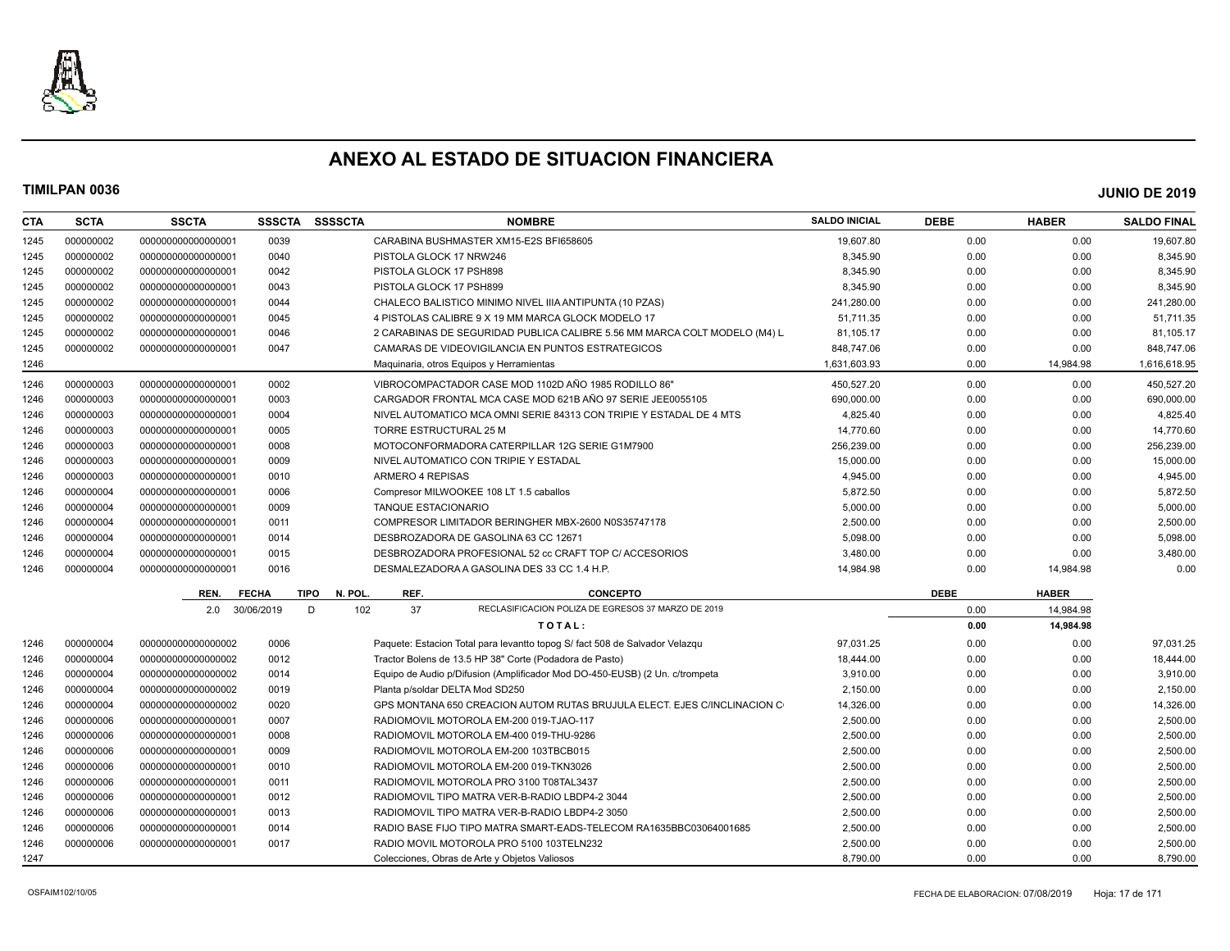

| <b>CTA</b> | <b>SCTA</b> | <b>SSCTA</b>       | <b>SSSCTA</b> | <b>SSSSCTA</b>        |                            | <b>NOMBRE</b>                                                               | <b>SALDO INICIAL</b> | <b>DEBE</b> | <b>HABER</b> | <b>SALDO FINAL</b> |
|------------|-------------|--------------------|---------------|-----------------------|----------------------------|-----------------------------------------------------------------------------|----------------------|-------------|--------------|--------------------|
| 1245       | 000000002   | 00000000000000000  | 0039          |                       |                            | CARABINA BUSHMASTER XM15-E2S BFI658605                                      | 19.607.80            | 0.00        | 0.00         | 19.607.80          |
| 1245       | 000000002   | 000000000000000001 | 0040          |                       | PISTOLA GLOCK 17 NRW246    |                                                                             | 8,345.90             | 0.00        | 0.00         | 8,345.90           |
| 1245       | 000000002   | 000000000000000001 | 0042          |                       | PISTOLA GLOCK 17 PSH898    |                                                                             | 8,345.90             | 0.00        | 0.00         | 8,345.90           |
| 1245       | 000000002   | 000000000000000001 | 0043          |                       | PISTOLA GLOCK 17 PSH899    |                                                                             | 8,345.90             | 0.00        | 0.00         | 8,345.90           |
| 1245       | 000000002   | 000000000000000001 | 0044          |                       |                            | CHALECO BALISTICO MINIMO NIVEL IIIA ANTIPUNTA (10 PZAS)                     | 241,280.00           | 0.00        | 0.00         | 241,280.00         |
| 1245       | 000000002   | 000000000000000001 | 0045          |                       |                            | 4 PISTOLAS CALIBRE 9 X 19 MM MARCA GLOCK MODELO 17                          | 51,711.35            | 0.00        | 0.00         | 51,711.35          |
| 1245       | 000000002   | 000000000000000001 | 0046          |                       |                            | 2 CARABINAS DE SEGURIDAD PUBLICA CALIBRE 5.56 MM MARCA COLT MODELO (M4) L   | 81,105.17            | 0.00        | 0.00         | 81,105.17          |
| 1245       | 000000002   | 000000000000000001 | 0047          |                       |                            | CAMARAS DE VIDEOVIGILANCIA EN PUNTOS ESTRATEGICOS                           | 848,747.06           | 0.00        | 0.00         | 848,747.06         |
| 1246       |             |                    |               |                       |                            | Maquinaria, otros Equipos y Herramientas                                    | 1,631,603.93         | 0.00        | 14,984.98    | 1,616,618.95       |
| 1246       | 000000003   | 000000000000000001 | 0002          |                       |                            | VIBROCOMPACTADOR CASE MOD 1102D AÑO 1985 RODILLO 86"                        | 450.527.20           | 0.00        | 0.00         | 450.527.20         |
| 1246       | 000000003   | 000000000000000001 | 0003          |                       |                            | CARGADOR FRONTAL MCA CASE MOD 621B ANO 97 SERIE JEE0055105                  | 690,000.00           | 0.00        | 0.00         | 690,000.00         |
| 1246       | 000000003   | 000000000000000001 | 0004          |                       |                            | NIVEL AUTOMATICO MCA OMNI SERIE 84313 CON TRIPIE Y ESTADAL DE 4 MTS         | 4,825.40             | 0.00        | 0.00         | 4,825.40           |
| 1246       | 000000003   | 000000000000000001 | 0005          |                       | TORRE ESTRUCTURAL 25 M     |                                                                             | 14,770.60            | 0.00        | 0.00         | 14,770.60          |
| 1246       | 000000003   | 000000000000000001 | 0008          |                       |                            | MOTOCONFORMADORA CATERPILLAR 12G SERIE G1M7900                              | 256,239.00           | 0.00        | 0.00         | 256,239.00         |
| 1246       | 000000003   | 000000000000000001 | 0009          |                       |                            | NIVEL AUTOMATICO CON TRIPIE Y ESTADAL                                       | 15,000.00            | 0.00        | 0.00         | 15,000.00          |
| 1246       | 000000003   | 000000000000000001 | 0010          |                       | ARMERO 4 REPISAS           |                                                                             | 4,945.00             | 0.00        | 0.00         | 4,945.00           |
| 1246       | 000000004   | 00000000000000001  | 0006          |                       |                            | Compresor MILWOOKEE 108 LT 1.5 caballos                                     | 5,872.50             | 0.00        | 0.00         | 5,872.50           |
| 1246       | 000000004   | 000000000000000001 | 0009          |                       | <b>TANQUE ESTACIONARIO</b> |                                                                             | 5,000.00             | 0.00        | 0.00         | 5,000.00           |
| 1246       | 000000004   | 000000000000000001 | 0011          |                       |                            | COMPRESOR LIMITADOR BERINGHER MBX-2600 N0S35747178                          | 2,500.00             | 0.00        | 0.00         | 2,500.00           |
| 1246       | 000000004   | 000000000000000001 | 0014          |                       |                            | DESBROZADORA DE GASOLINA 63 CC 12671                                        | 5.098.00             | 0.00        | 0.00         | 5,098.00           |
| 1246       | 000000004   | 000000000000000001 | 0015          |                       |                            | DESBROZADORA PROFESIONAL 52 cc CRAFT TOP C/ ACCESORIOS                      | 3,480.00             | 0.00        | 0.00         | 3,480.00           |
| 1246       | 000000004   | 000000000000000001 | 0016          |                       |                            | DESMALEZADORA A GASOLINA DES 33 CC 1.4 H.P.                                 | 14,984.98            | 0.00        | 14,984.98    | 0.00               |
|            |             | REN.               | <b>FECHA</b>  | <b>TIPO</b><br>N. POL | REF.                       | <b>CONCEPTO</b>                                                             |                      | <b>DEBE</b> | <b>HABER</b> |                    |
|            |             | 2.0                | 30/06/2019    | 102<br>D              | 37                         | RECLASIFICACION POLIZA DE EGRESOS 37 MARZO DE 2019                          |                      | 0.00        | 14.984.98    |                    |
|            |             |                    |               |                       |                            | TOTAL:                                                                      |                      | 0.00        | 14,984.98    |                    |
| 1246       | 000000004   | 000000000000000002 | 0006          |                       |                            | Paquete: Estacion Total para levantto topog S/ fact 508 de Salvador Velazqu | 97.031.25            | 0.00        | 0.00         | 97,031.25          |
| 1246       | 000000004   | 000000000000000002 | 0012          |                       |                            | Tractor Bolens de 13.5 HP 38" Corte (Podadora de Pasto)                     | 18,444.00            | 0.00        | 0.00         | 18,444.00          |
| 1246       | 000000004   | 000000000000000002 | 0014          |                       |                            | Equipo de Audio p/Difusion (Amplificador Mod DO-450-EUSB) (2 Un. c/trompeta | 3,910.00             | 0.00        | 0.00         | 3,910.00           |
| 1246       | 000000004   | 000000000000000002 | 0019          |                       |                            | Planta p/soldar DELTA Mod SD250                                             | 2,150.00             | 0.00        | 0.00         | 2,150.00           |
| 1246       | 000000004   | 000000000000000002 | 0020          |                       |                            | GPS MONTANA 650 CREACION AUTOM RUTAS BRUJULA ELECT. EJES C/INCLINACION C    | 14,326.00            | 0.00        | 0.00         | 14,326.00          |
| 1246       | 000000006   | 000000000000000001 | 0007          |                       |                            | RADIOMOVIL MOTOROLA EM-200 019-TJAO-117                                     | 2,500.00             | 0.00        | 0.00         | 2,500.00           |
| 1246       | 000000006   | 000000000000000001 | 0008          |                       |                            | RADIOMOVIL MOTOROLA EM-400 019-THU-9286                                     | 2,500.00             | 0.00        | 0.00         | 2,500.00           |
| 1246       | 000000006   | 000000000000000001 | 0009          |                       |                            | RADIOMOVIL MOTOROLA EM-200 103TBCB015                                       | 2,500.00             | 0.00        | 0.00         | 2,500.00           |
| 1246       | 000000006   | 000000000000000001 | 0010          |                       |                            | RADIOMOVIL MOTOROLA EM-200 019-TKN3026                                      | 2,500.00             | 0.00        | 0.00         | 2,500.00           |
| 1246       | 000000006   | 000000000000000001 | 0011          |                       |                            | RADIOMOVIL MOTOROLA PRO 3100 T08TAL3437                                     | 2,500.00             | 0.00        | 0.00         | 2,500.00           |
| 1246       | 000000006   | 000000000000000001 | 0012          |                       |                            | RADIOMOVIL TIPO MATRA VER-B-RADIO LBDP4-2 3044                              | 2,500.00             | 0.00        | 0.00         | 2,500.00           |
| 1246       | 000000006   | 000000000000000001 | 0013          |                       |                            | RADIOMOVIL TIPO MATRA VER-B-RADIO LBDP4-2 3050                              | 2,500.00             | 0.00        | 0.00         | 2,500.00           |
| 1246       | 000000006   | 000000000000000001 | 0014          |                       |                            | RADIO BASE FIJO TIPO MATRA SMART-EADS-TELECOM RA1635BBC03064001685          | 2,500.00             | 0.00        | 0.00         | 2,500.00           |
| 1246       | 000000006   | 000000000000000001 | 0017          |                       |                            | RADIO MOVIL MOTOROLA PRO 5100 103TELN232                                    | 2,500.00             | 0.00        | 0.00         | 2,500.00           |
| 1247       |             |                    |               |                       |                            | Colecciones, Obras de Arte y Objetos Valiosos                               | 8,790.00             | 0.00        | 0.00         | 8,790.00           |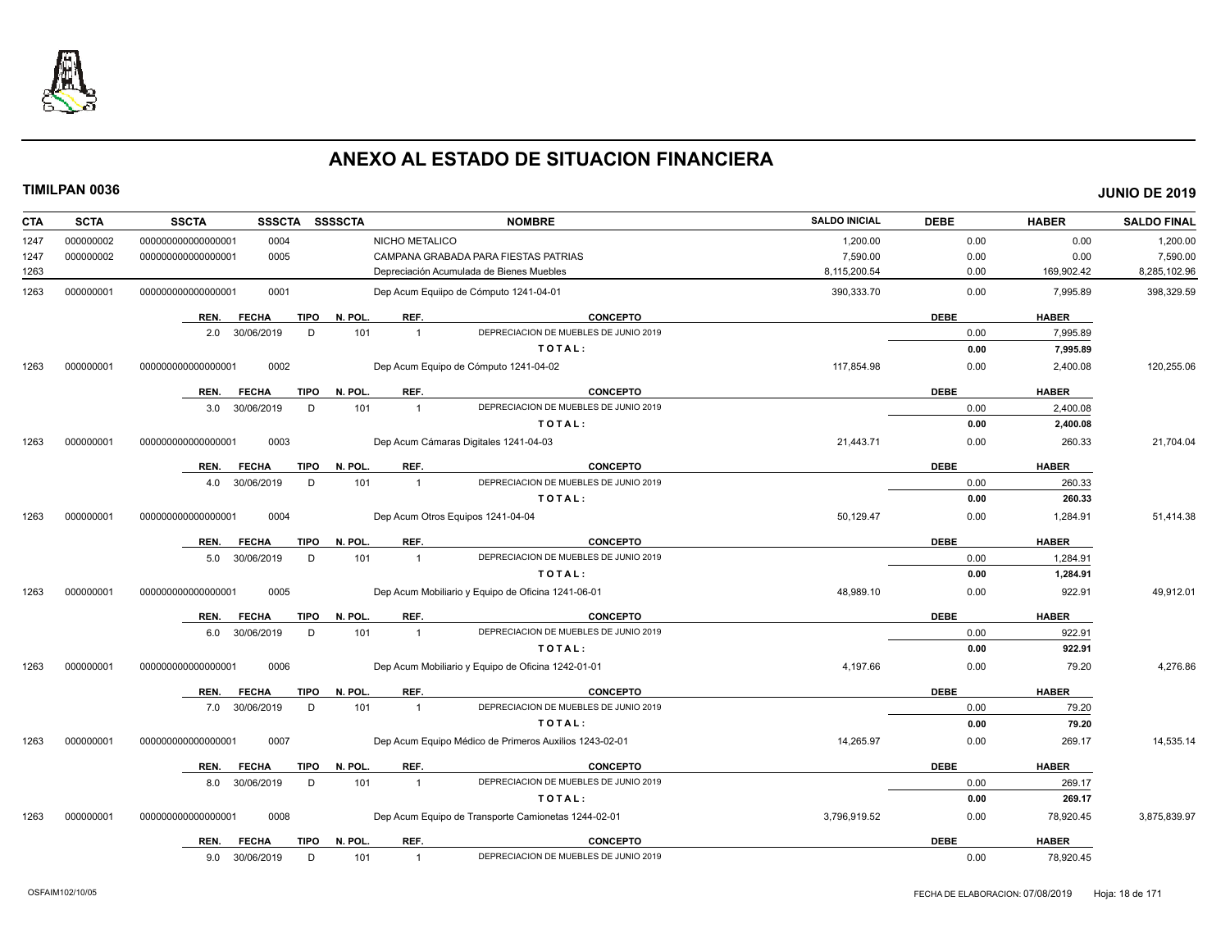

| <b>CTA</b> | <b>SCTA</b> | <b>SSCTA</b>       | <b>SSSCTA</b>               | <b>SSSSCTA</b>         |                | <b>NOMBRE</b>                                          | <b>SALDO INICIAL</b> | <b>DEBE</b> | <b>HABER</b> | <b>SALDO FINAL</b> |
|------------|-------------|--------------------|-----------------------------|------------------------|----------------|--------------------------------------------------------|----------------------|-------------|--------------|--------------------|
| 1247       | 000000002   | 00000000000000001  | 0004                        |                        | NICHO METALICO |                                                        | 1,200.00             | 0.00        | 0.00         | 1,200.00           |
| 1247       | 000000002   | 00000000000000001  | 0005                        |                        |                | CAMPANA GRABADA PARA FIESTAS PATRIAS                   | 7,590.00             | 0.00        | 0.00         | 7,590.00           |
| 1263       |             |                    |                             |                        |                | Depreciación Acumulada de Bienes Muebles               | 8,115,200.54         | 0.00        | 169,902.42   | 8,285,102.96       |
| 1263       | 000000001   | 000000000000000001 | 0001                        |                        |                | Dep Acum Equiipo de Cómputo 1241-04-01                 | 390,333.70           | 0.00        | 7.995.89     | 398,329.59         |
|            |             | REN.               | <b>FECHA</b>                | N. POL.<br><b>TIPO</b> | REF.           | <b>CONCEPTO</b>                                        |                      | <b>DEBE</b> | <b>HABER</b> |                    |
|            |             | 2.0 30/06/2019     |                             | D<br>101               | $\overline{1}$ | DEPRECIACION DE MUEBLES DE JUNIO 2019                  |                      | 0.00        | 7,995.89     |                    |
|            |             |                    |                             |                        |                | TOTAL:                                                 |                      | 0.00        | 7,995.89     |                    |
| 1263       | 000000001   | 00000000000000001  | 0002                        |                        |                | Dep Acum Equipo de Cómputo 1241-04-02                  | 117,854.98           | 0.00        | 2,400.08     | 120,255.06         |
|            |             | REN.               | <b>FECHA</b>                | <b>TIPO</b><br>N. POL. | REF.           | <b>CONCEPTO</b>                                        |                      | <b>DEBE</b> | <b>HABER</b> |                    |
|            |             | 3.0                | 30/06/2019                  | 101<br>D               | $\overline{1}$ | DEPRECIACION DE MUEBLES DE JUNIO 2019                  |                      | 0.00        | 2,400.08     |                    |
|            |             |                    |                             |                        |                | TOTAL:                                                 |                      | 0.00        | 2,400.08     |                    |
| 1263       | 000000001   | 000000000000000001 | 0003                        |                        |                | Dep Acum Cámaras Digitales 1241-04-03                  | 21,443.71            | 0.00        | 260.33       | 21,704.04          |
|            |             |                    |                             |                        |                |                                                        |                      |             |              |                    |
|            |             | REN.               | <b>FECHA</b>                | N. POL.<br><b>TIPO</b> | REF.           | <b>CONCEPTO</b>                                        |                      | <b>DEBE</b> | <b>HABER</b> |                    |
|            |             | 4.0                | 30/06/2019                  | 101<br>D               | $\overline{1}$ | DEPRECIACION DE MUEBLES DE JUNIO 2019                  |                      | 0.00        | 260.33       |                    |
|            |             |                    |                             |                        |                | TOTAL:                                                 |                      | 0.00        | 260.33       |                    |
| 1263       | 000000001   | 00000000000000001  | 0004                        |                        |                | Dep Acum Otros Equipos 1241-04-04                      | 50,129.47            | 0.00        | 1,284.91     | 51,414.38          |
|            |             | REN.               | <b>FECHA</b>                | <b>TIPO</b><br>N. POL. | REF.           | <b>CONCEPTO</b>                                        |                      | <b>DEBE</b> | <b>HABER</b> |                    |
|            |             | 5.0                | 30/06/2019                  | D<br>101               | $\overline{1}$ | DEPRECIACION DE MUEBLES DE JUNIO 2019                  |                      | 0.00        | 1,284.91     |                    |
|            |             |                    |                             |                        |                | TOTAL:                                                 |                      | 0.00        | 1,284.91     |                    |
| 1263       | 000000001   | 000000000000000001 | 0005                        |                        |                | Dep Acum Mobiliario y Equipo de Oficina 1241-06-01     | 48,989.10            | 0.00        | 922.91       | 49,912.01          |
|            |             | REN.               | <b>FECHA</b><br><b>TIPO</b> | N. POL.                | REF.           | <b>CONCEPTO</b>                                        |                      | <b>DEBE</b> | <b>HABER</b> |                    |
|            |             | 6.0                | 30/06/2019                  | 101<br>D               | $\overline{1}$ | DEPRECIACION DE MUEBLES DE JUNIO 2019                  |                      | 0.00        | 922.91       |                    |
|            |             |                    |                             |                        |                | TOTAL:                                                 |                      | 0.00        | 922.91       |                    |
| 1263       | 000000001   | 00000000000000001  | 0006                        |                        |                | Dep Acum Mobiliario y Equipo de Oficina 1242-01-01     | 4,197.66             | 0.00        | 79.20        | 4,276.86           |
|            |             | REN.               | <b>FECHA</b><br>TIPO        | N. POL.                | REF.           | <b>CONCEPTO</b>                                        |                      | <b>DEBE</b> | <b>HABER</b> |                    |
|            |             | 7.0                | 30/06/2019                  | D<br>101               | $\overline{1}$ | DEPRECIACION DE MUEBLES DE JUNIO 2019                  |                      | 0.00        | 79.20        |                    |
|            |             |                    |                             |                        |                | TOTAL:                                                 |                      | 0.00        | 79.20        |                    |
| 1263       | 000000001   | 000000000000000001 | 0007                        |                        |                | Dep Acum Equipo Médico de Primeros Auxilios 1243-02-01 | 14,265.97            | 0.00        | 269.17       | 14,535.14          |
|            |             | REN.               | <b>FECHA</b><br><b>TIPO</b> | N. POL.                | REF.           | CONCEPTO                                               |                      | <b>DEBE</b> | <b>HABER</b> |                    |
|            |             | 8.0                | 30/06/2019                  | 101<br>D               | $\overline{1}$ | DEPRECIACION DE MUEBLES DE JUNIO 2019                  |                      | 0.00        | 269.17       |                    |
|            |             |                    |                             |                        |                | TOTAL:                                                 |                      | 0.00        | 269.17       |                    |
| 1263       | 000000001   | 000000000000000001 | 0008                        |                        |                | Dep Acum Equipo de Transporte Camionetas 1244-02-01    | 3,796,919.52         | 0.00        | 78,920.45    | 3,875,839.97       |
|            |             | REN.               | <b>FECHA</b>                | N. POL.<br><b>TIPO</b> | REF.           | <b>CONCEPTO</b>                                        |                      | <b>DEBE</b> | <b>HABER</b> |                    |
|            |             | 9.0                | 30/06/2019                  | D<br>101               | $\mathbf{1}$   | DEPRECIACION DE MUEBLES DE JUNIO 2019                  |                      | 0.00        | 78,920.45    |                    |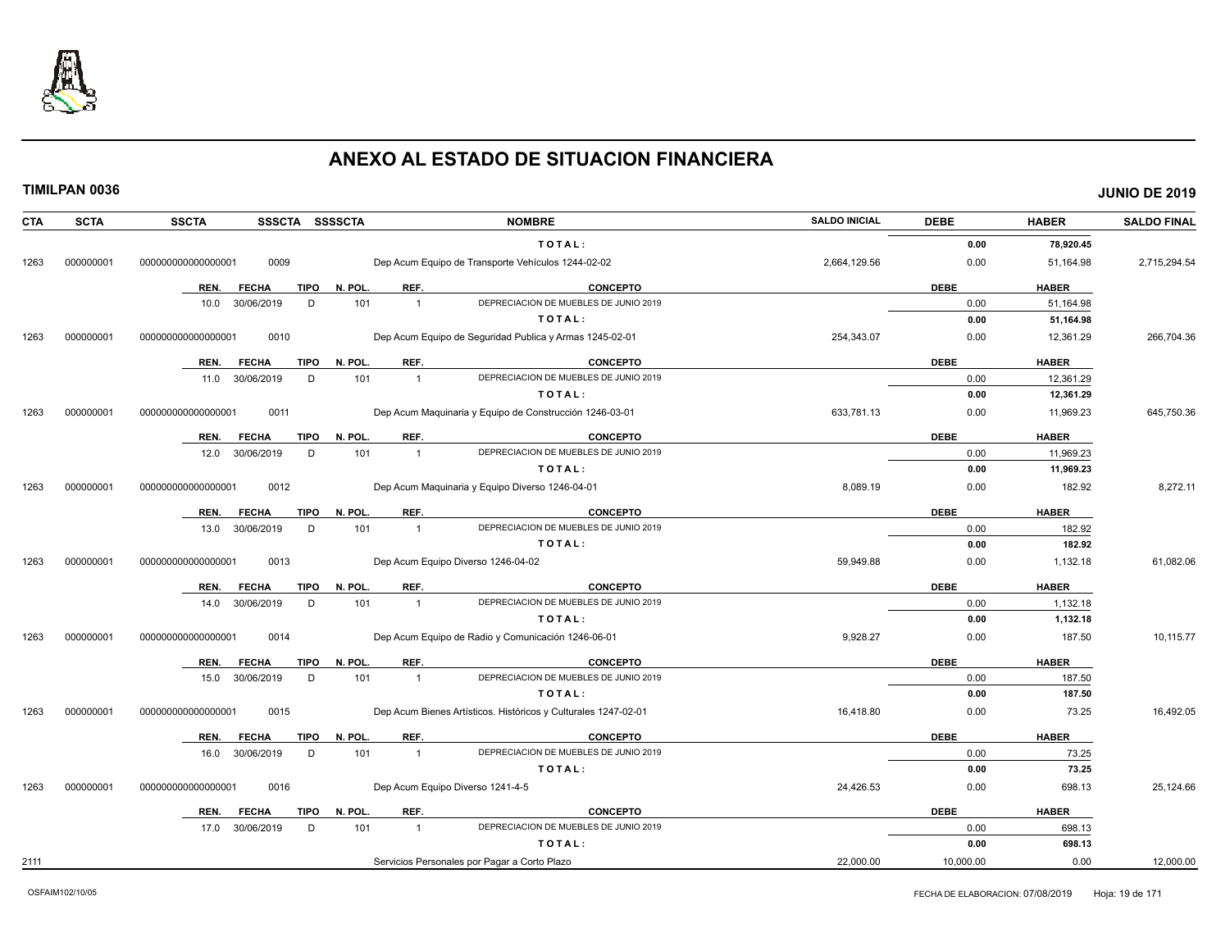

| <b>CTA</b> | <b>SCTA</b> | <b>SSCTA</b><br>SSSCTA SSSSCTA      |                       | <b>NOMBRE</b>                                                  | <b>SALDO INICIAL</b> | <b>DEBE</b> | <b>HABER</b> | <b>SALDO FINAL</b> |
|------------|-------------|-------------------------------------|-----------------------|----------------------------------------------------------------|----------------------|-------------|--------------|--------------------|
|            |             |                                     |                       | TOTAL:                                                         |                      | 0.00        | 78,920.45    |                    |
| 1263       | 000000001   | 0009<br>000000000000000001          |                       | Dep Acum Equipo de Transporte Vehículos 1244-02-02             | 2,664,129.56         | 0.00        | 51,164.98    | 2,715,294.54       |
|            |             | <b>FECHA</b><br><b>TIPO</b><br>REN. | REF.<br>N. POL.       | <b>CONCEPTO</b>                                                |                      | <b>DEBE</b> | <b>HABER</b> |                    |
|            |             | 30/06/2019<br>D<br>10.0             | 101<br>$\overline{1}$ | DEPRECIACION DE MUEBLES DE JUNIO 2019                          |                      | 0.00        | 51,164.98    |                    |
|            |             |                                     |                       | TOTAL:                                                         |                      | 0.00        | 51,164.98    |                    |
| 1263       | 000000001   | 0010<br>000000000000000001          |                       | Dep Acum Equipo de Sequridad Publica y Armas 1245-02-01        | 254,343.07           | 0.00        | 12,361.29    | 266,704.36         |
|            |             |                                     |                       |                                                                |                      |             |              |                    |
|            |             | REN.<br><b>FECHA</b><br><b>TIPO</b> | REF.<br>N. POL.       | <b>CONCEPTO</b>                                                |                      | <b>DEBE</b> | <b>HABER</b> |                    |
|            |             | 30/06/2019<br>D<br>11.0             | 101<br>$\overline{1}$ | DEPRECIACION DE MUEBLES DE JUNIO 2019                          |                      | 0.00        | 12,361.29    |                    |
|            |             |                                     |                       | TOTAL:                                                         |                      | 0.00        | 12,361.29    |                    |
| 1263       | 000000001   | 0011<br>000000000000000001          |                       | Dep Acum Maquinaria y Equipo de Construcción 1246-03-01        | 633,781.13           | 0.00        | 11,969.23    | 645,750.36         |
|            |             | REN.<br><b>FECHA</b><br><b>TIPO</b> | REF.<br>N. POL.       | <b>CONCEPTO</b>                                                |                      | <b>DEBE</b> | <b>HABER</b> |                    |
|            |             | 30/06/2019<br>12.0<br>D             | 101<br>$\overline{1}$ | DEPRECIACION DE MUEBLES DE JUNIO 2019                          |                      | 0.00        | 11,969.23    |                    |
|            |             |                                     |                       | TOTAL:                                                         |                      | 0.00        | 11,969.23    |                    |
| 1263       | 000000001   | 0012<br>000000000000000001          |                       | Dep Acum Maquinaria y Equipo Diverso 1246-04-01                | 8,089.19             | 0.00        | 182.92       | 8,272.11           |
|            |             | <b>FECHA</b><br><b>TIPO</b><br>REN. | REF.<br>N. POL.       | <b>CONCEPTO</b>                                                |                      | <b>DEBE</b> | <b>HABER</b> |                    |
|            |             | 13.0<br>30/06/2019<br>D             | 101<br>$\overline{1}$ | DEPRECIACION DE MUEBLES DE JUNIO 2019                          |                      | 0.00        | 182.92       |                    |
|            |             |                                     |                       | TOTAL:                                                         |                      | 0.00        | 182.92       |                    |
| 1263       | 000000001   | 0013<br>000000000000000001          |                       | Dep Acum Equipo Diverso 1246-04-02                             | 59.949.88            | 0.00        | 1,132.18     | 61,082.06          |
|            |             |                                     |                       |                                                                |                      |             |              |                    |
|            |             | <b>FECHA</b><br><b>TIPO</b><br>REN. | N. POL.<br>REF.       | <b>CONCEPTO</b>                                                |                      | <b>DEBE</b> | <b>HABER</b> |                    |
|            |             | 30/06/2019<br>D<br>14.0             | 101<br>$\overline{1}$ | DEPRECIACION DE MUEBLES DE JUNIO 2019                          |                      | 0.00        | 1,132.18     |                    |
|            |             |                                     |                       | TOTAL:                                                         |                      | 0.00        | 1,132.18     |                    |
| 1263       | 000000001   | 0014<br>000000000000000001          |                       | Dep Acum Equipo de Radio y Comunicación 1246-06-01             | 9,928.27             | 0.00        | 187.50       | 10,115.77          |
|            |             | <b>FECHA</b><br><b>TIPO</b><br>REN. | N. POL.<br>REF.       | <b>CONCEPTO</b>                                                |                      | <b>DEBE</b> | <b>HABER</b> |                    |
|            |             | D<br>30/06/2019<br>15.0             | 101<br>$\overline{1}$ | DEPRECIACION DE MUEBLES DE JUNIO 2019                          |                      | 0.00        | 187.50       |                    |
|            |             |                                     |                       | TOTAL:                                                         |                      | 0.00        | 187.50       |                    |
| 1263       | 000000001   | 0015<br>000000000000000001          |                       | Dep Acum Bienes Artísticos. Históricos y Culturales 1247-02-01 | 16,418.80            | 0.00        | 73.25        | 16,492.05          |
|            |             | <b>FECHA</b><br><b>TIPO</b><br>REN. | N. POL<br>REF.        | CONCEPTO                                                       |                      | <b>DEBE</b> | <b>HABER</b> |                    |
|            |             | 30/06/2019<br>D<br>16.0             | 101<br>$\overline{1}$ | DEPRECIACION DE MUEBLES DE JUNIO 2019                          |                      | 0.00        | 73.25        |                    |
|            |             |                                     |                       | TOTAL:                                                         |                      | 0.00        | 73.25        |                    |
| 1263       | 000000001   | 0016<br>00000000000000000           |                       | Dep Acum Equipo Diverso 1241-4-5                               | 24,426.53            | 0.00        | 698.13       | 25,124.66          |
|            |             | <b>TIPO</b><br>REN.<br><b>FECHA</b> | REF.<br>N. POL.       | <b>CONCEPTO</b>                                                |                      | <b>DEBE</b> | <b>HABER</b> |                    |
|            |             | 17.0 30/06/2019<br>D                | 101<br>$\overline{1}$ | DEPRECIACION DE MUEBLES DE JUNIO 2019                          |                      | 0.00        | 698.13       |                    |
|            |             |                                     |                       | TOTAL:                                                         |                      | 0.00        | 698.13       |                    |
| 2111       |             |                                     |                       | Servicios Personales por Pagar a Corto Plazo                   | 22,000.00            | 10,000.00   | 0.00         | 12,000.00          |
|            |             |                                     |                       |                                                                |                      |             |              |                    |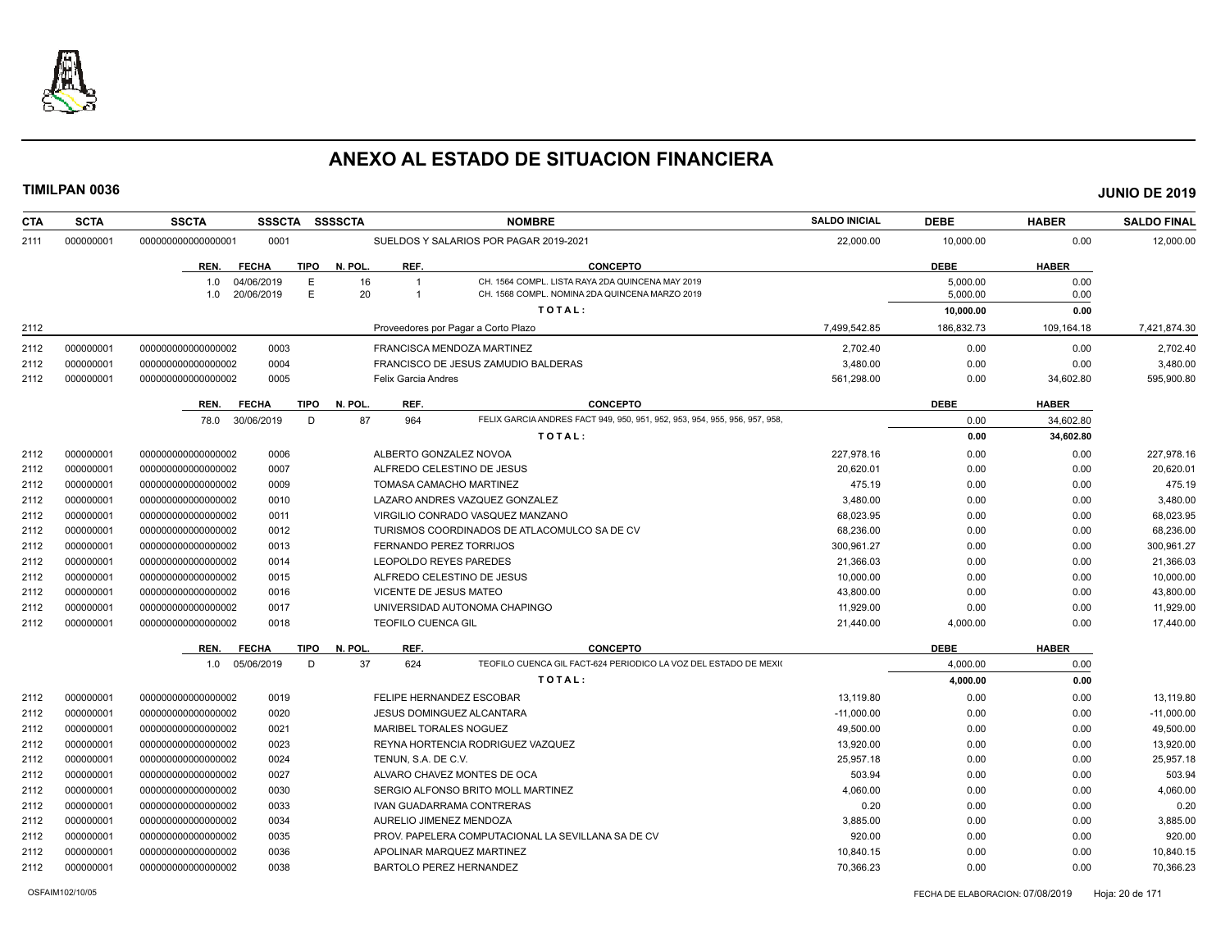

| <b>CTA</b> | <b>SCTA</b> | <b>SSCTA</b><br><b>SSSCTA</b>          | <b>SSSSCTA</b>         |                                     | <b>NOMBRE</b>                                                                                      | <b>SALDO INICIAL</b> | <b>DEBE</b>          | <b>HABER</b> | <b>SALDO FINAL</b> |
|------------|-------------|----------------------------------------|------------------------|-------------------------------------|----------------------------------------------------------------------------------------------------|----------------------|----------------------|--------------|--------------------|
| 2111       | 000000001   | 000000000000000001<br>0001             |                        |                                     | SUELDOS Y SALARIOS POR PAGAR 2019-2021                                                             | 22.000.00            | 10.000.00            | 0.00         | 12.000.00          |
|            |             | <b>FECHA</b><br>REN.                   | <b>TIPO</b><br>N. POL. | REF.                                | <b>CONCEPTO</b>                                                                                    |                      | <b>DEBE</b>          | <b>HABER</b> |                    |
|            |             | 1.0<br>04/06/2019<br>20/06/2019<br>1.0 | E<br>16<br>E<br>20     | $\overline{1}$<br>$\overline{1}$    | CH. 1564 COMPL. LISTA RAYA 2DA QUINCENA MAY 2019<br>CH. 1568 COMPL. NOMINA 2DA QUINCENA MARZO 2019 |                      | 5,000.00<br>5.000.00 | 0.00<br>0.00 |                    |
|            |             |                                        |                        |                                     | TOTAL:                                                                                             |                      | 10,000.00            | 0.00         |                    |
| 2112       |             |                                        |                        | Proveedores por Pagar a Corto Plazo |                                                                                                    | 7,499,542.85         | 186,832.73           | 109,164.18   | 7,421,874.30       |
| 2112       | 000000001   | 000000000000000002<br>0003             |                        | FRANCISCA MENDOZA MARTINEZ          |                                                                                                    | 2.702.40             | 0.00                 | 0.00         | 2.702.40           |
| 2112       | 000000001   | 0004<br>00000000000000002              |                        |                                     | FRANCISCO DE JESUS ZAMUDIO BALDERAS                                                                | 3,480.00             | 0.00                 | 0.00         | 3,480.00           |
| 2112       | 000000001   | 0005<br>000000000000000002             |                        | <b>Felix Garcia Andres</b>          |                                                                                                    | 561,298.00           | 0.00                 | 34,602.80    | 595,900.80         |
|            |             | <b>FECHA</b><br>REN.                   | <b>TIPO</b><br>N. POL. | REF.                                | <b>CONCEPTO</b>                                                                                    |                      | <b>DEBE</b>          | <b>HABER</b> |                    |
|            |             | 30/06/2019<br>78.0                     | 87<br>D                | 964                                 | FELIX GARCIA ANDRES FACT 949, 950, 951, 952, 953, 954, 955, 956, 957, 958,                         |                      | 0.00                 | 34,602.80    |                    |
|            |             |                                        |                        |                                     | TOTAL:                                                                                             |                      | 0.00                 | 34,602.80    |                    |
| 2112       | 000000001   | 00000000000000002<br>0006              |                        | ALBERTO GONZALEZ NOVOA              |                                                                                                    | 227.978.16           | 0.00                 | 0.00         | 227,978.16         |
| 2112       | 000000001   | 0007<br>00000000000000002              |                        | ALFREDO CELESTINO DE JESUS          |                                                                                                    | 20,620.01            | 0.00                 | 0.00         | 20,620.01          |
| 2112       | 000000001   | 00000000000000002<br>0009              |                        | TOMASA CAMACHO MARTINEZ             |                                                                                                    | 475.19               | 0.00                 | 0.00         | 475.19             |
| 2112       | 000000001   | 00000000000000002<br>0010              |                        |                                     | LAZARO ANDRES VAZQUEZ GONZALEZ                                                                     | 3,480.00             | 0.00                 | 0.00         | 3,480.00           |
| 2112       | 000000001   | 00000000000000002<br>0011              |                        |                                     | VIRGILIO CONRADO VASQUEZ MANZANO                                                                   | 68,023.95            | 0.00                 | 0.00         | 68,023.95          |
| 2112       | 000000001   | 00000000000000002<br>0012              |                        |                                     | TURISMOS COORDINADOS DE ATLACOMULCO SA DE CV                                                       | 68,236.00            | 0.00                 | 0.00         | 68,236.00          |
| 2112       | 000000001   | 00000000000000002<br>0013              |                        | <b>FERNANDO PEREZ TORRIJOS</b>      |                                                                                                    | 300.961.27           | 0.00                 | 0.00         | 300,961.27         |
| 2112       | 000000001   | 00000000000000002<br>0014              |                        | LEOPOLDO REYES PAREDES              |                                                                                                    | 21.366.03            | 0.00                 | 0.00         | 21,366.03          |
| 2112       | 000000001   | 00000000000000002<br>0015              |                        | ALFREDO CELESTINO DE JESUS          |                                                                                                    | 10,000.00            | 0.00                 | 0.00         | 10,000.00          |
| 2112       | 000000001   | 000000000000000002<br>0016             |                        | VICENTE DE JESUS MATEO              |                                                                                                    | 43,800.00            | 0.00                 | 0.00         | 43,800.00          |
| 2112       | 000000001   | 0017<br>00000000000000002              |                        |                                     | UNIVERSIDAD AUTONOMA CHAPINGO                                                                      | 11,929.00            | 0.00                 | 0.00         | 11,929.00          |
| 2112       | 000000001   | 00000000000000002<br>0018              |                        | <b>TEOFILO CUENCA GIL</b>           |                                                                                                    | 21,440.00            | 4,000.00             | 0.00         | 17,440.00          |
|            |             | REN.<br><b>FECHA</b>                   | N. POL.<br><b>TIPO</b> | REF.                                | <b>CONCEPTO</b>                                                                                    |                      | <b>DEBE</b>          | <b>HABER</b> |                    |
|            |             | 1.0 05/06/2019                         | 37<br>D                | 624                                 | TEOFILO CUENCA GIL FACT-624 PERIODICO LA VOZ DEL ESTADO DE MEXIO                                   |                      | 4,000.00             | 0.00         |                    |
|            |             |                                        |                        |                                     | TOTAL:                                                                                             |                      | 4,000.00             | 0.00         |                    |
| 2112       | 000000001   | 0019<br>00000000000000002              |                        | FELIPE HERNANDEZ ESCOBAR            |                                                                                                    | 13,119.80            | 0.00                 | 0.00         | 13,119.80          |
| 2112       | 000000001   | 0020<br>00000000000000002              |                        | JESUS DOMINGUEZ ALCANTARA           |                                                                                                    | $-11,000.00$         | 0.00                 | 0.00         | $-11,000.00$       |
| 2112       | 000000001   | 00000000000000002<br>0021              |                        | <b>MARIBEL TORALES NOGUEZ</b>       |                                                                                                    | 49,500.00            | 0.00                 | 0.00         | 49,500.00          |
| 2112       | 000000001   | 0023<br>00000000000000002              |                        |                                     | REYNA HORTENCIA RODRIGUEZ VAZQUEZ                                                                  | 13,920.00            | 0.00                 | 0.00         | 13,920.00          |
| 2112       | 000000001   | 0024<br>00000000000000002              |                        | TENUN, S.A. DE C.V.                 |                                                                                                    | 25.957.18            | 0.00                 | 0.00         | 25.957.18          |
| 2112       | 000000001   | 0027<br>00000000000000002              |                        | ALVARO CHAVEZ MONTES DE OCA         |                                                                                                    | 503.94               | 0.00                 | 0.00         | 503.94             |
| 2112       | 000000001   | 00000000000000002<br>0030              |                        |                                     | SERGIO ALFONSO BRITO MOLL MARTINEZ                                                                 | 4,060.00             | 0.00                 | 0.00         | 4,060.00           |
| 2112       | 000000001   | 00000000000000002<br>0033              |                        | IVAN GUADARRAMA CONTRERAS           |                                                                                                    | 0.20                 | 0.00                 | 0.00         | 0.20               |
| 2112       | 000000001   | 00000000000000002<br>0034              |                        | AURELIO JIMENEZ MENDOZA             |                                                                                                    | 3,885.00             | 0.00                 | 0.00         | 3,885.00           |
|            | 000000001   | 00000000000000002<br>0035              |                        |                                     | PROV. PAPELERA COMPUTACIONAL LA SEVILLANA SA DE CV                                                 | 920.00               | 0.00                 | 0.00         | 920.00             |
| 2112       |             |                                        |                        |                                     |                                                                                                    |                      |                      |              |                    |
| 2112       | 000000001   | 00000000000000002<br>0036              |                        | APOLINAR MARQUEZ MARTINEZ           |                                                                                                    | 10,840.15            | 0.00                 | 0.00         | 10,840.15          |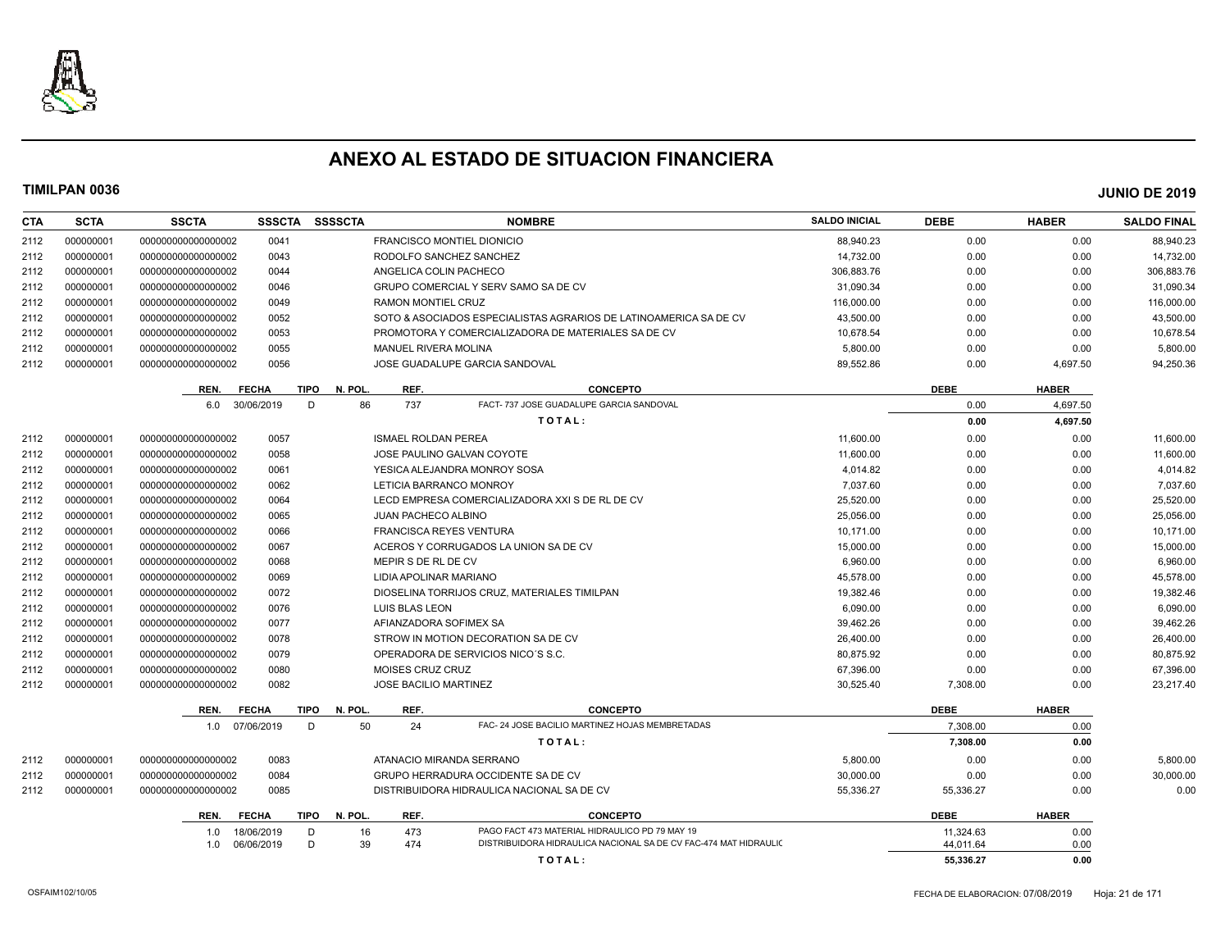

| <b>CTA</b> | <b>SCTA</b> | <b>SSCTA</b>       | <b>SSSCTA</b>        | <b>SSSSCTA</b>  |                                   | <b>NOMBRE</b>                                                     | <b>SALDO INICIAL</b> | <b>DEBE</b> | <b>HABER</b> | <b>SALDO FINAL</b> |
|------------|-------------|--------------------|----------------------|-----------------|-----------------------------------|-------------------------------------------------------------------|----------------------|-------------|--------------|--------------------|
| 2112       | 000000001   | 00000000000000002  | 0041                 |                 | <b>FRANCISCO MONTIEL DIONICIO</b> |                                                                   | 88.940.23            | 0.00        | 0.00         | 88.940.23          |
| 2112       | 000000001   | 00000000000000002  | 0043                 |                 | RODOLFO SANCHEZ SANCHEZ           |                                                                   | 14,732.00            | 0.00        | 0.00         | 14,732.00          |
| 2112       | 000000001   | 00000000000000002  | 0044                 |                 | ANGELICA COLIN PACHECO            |                                                                   | 306.883.76           | 0.00        | 0.00         | 306,883.76         |
| 2112       | 000000001   | 00000000000000002  | 0046                 |                 |                                   | GRUPO COMERCIAL Y SERV SAMO SA DE CV                              | 31.090.34            | 0.00        | 0.00         | 31,090.34          |
| 2112       | 000000001   | 00000000000000002  | 0049                 |                 | RAMON MONTIEL CRUZ                |                                                                   | 116,000.00           | 0.00        | 0.00         | 116,000.00         |
| 2112       | 000000001   | 00000000000000002  | 0052                 |                 |                                   | SOTO & ASOCIADOS ESPECIALISTAS AGRARIOS DE LATINOAMERICA SA DE CV | 43,500.00            | 0.00        | 0.00         | 43,500.00          |
| 2112       | 000000001   | 00000000000000002  | 0053                 |                 |                                   | PROMOTORA Y COMERCIALIZADORA DE MATERIALES SA DE CV               | 10,678.54            | 0.00        | 0.00         | 10,678.54          |
| 2112       | 000000001   | 00000000000000002  | 0055                 |                 | <b>MANUEL RIVERA MOLINA</b>       |                                                                   | 5,800.00             | 0.00        | 0.00         | 5,800.00           |
| 2112       | 000000001   | 00000000000000002  | 0056                 |                 |                                   | JOSE GUADALUPE GARCIA SANDOVAL                                    | 89,552.86            | 0.00        | 4,697.50     | 94,250.36          |
|            |             | REN.               | <b>FECHA</b>         | N. POL.<br>TIPO | REF.                              | <b>CONCEPTO</b>                                                   |                      | <b>DEBE</b> | <b>HABER</b> |                    |
|            |             | 6.0                | 30/06/2019           | 86<br>D         | 737                               | FACT- 737 JOSE GUADALUPE GARCIA SANDOVAL                          |                      | 0.00        | 4,697.50     |                    |
|            |             |                    |                      |                 |                                   | TOTAL:                                                            |                      | 0.00        | 4,697.50     |                    |
| 2112       | 000000001   | 00000000000000002  | 0057                 |                 | <b>ISMAEL ROLDAN PEREA</b>        |                                                                   | 11,600.00            | 0.00        | 0.00         | 11,600.00          |
| 2112       | 000000001   | 00000000000000002  | 0058                 |                 |                                   | JOSE PAULINO GALVAN COYOTE                                        | 11,600.00            | 0.00        | 0.00         | 11,600.00          |
| 2112       | 000000001   | 00000000000000002  | 0061                 |                 |                                   | YESICA ALEJANDRA MONROY SOSA                                      | 4,014.82             | 0.00        | 0.00         | 4,014.82           |
| 2112       | 000000001   | 00000000000000002  | 0062                 |                 | LETICIA BARRANCO MONROY           |                                                                   | 7,037.60             | 0.00        | 0.00         | 7,037.60           |
| 2112       | 000000001   | 00000000000000002  | 0064                 |                 |                                   | LECD EMPRESA COMERCIALIZADORA XXI S DE RL DE CV                   | 25,520.00            | 0.00        | 0.00         | 25,520.00          |
| 2112       | 000000001   | 00000000000000002  | 0065                 |                 | <b>JUAN PACHECO ALBINO</b>        |                                                                   | 25,056.00            | 0.00        | 0.00         | 25,056.00          |
| 2112       | 000000001   | 00000000000000002  | 0066                 |                 | <b>FRANCISCA REYES VENTURA</b>    |                                                                   | 10,171.00            | 0.00        | 0.00         | 10,171.00          |
| 2112       | 000000001   | 00000000000000002  | 0067                 |                 |                                   | ACEROS Y CORRUGADOS LA UNION SA DE CV                             | 15,000.00            | 0.00        | 0.00         | 15,000.00          |
| 2112       | 000000001   | 00000000000000002  | 0068                 |                 | MEPIR S DE RL DE CV               |                                                                   | 6,960.00             | 0.00        | 0.00         | 6,960.00           |
| 2112       | 000000001   | 00000000000000002  | 0069                 |                 | LIDIA APOLINAR MARIANO            |                                                                   | 45,578.00            | 0.00        | 0.00         | 45,578.00          |
| 2112       | 000000001   | 00000000000000002  | 0072                 |                 |                                   | DIOSELINA TORRIJOS CRUZ, MATERIALES TIMILPAN                      | 19,382.46            | 0.00        | 0.00         | 19,382.46          |
| 2112       | 000000001   | 00000000000000002  | 0076                 |                 | LUIS BLAS LEON                    |                                                                   | 6.090.00             | 0.00        | 0.00         | 6,090.00           |
| 2112       | 000000001   | 00000000000000002  | 0077                 |                 | AFIANZADORA SOFIMEX SA            |                                                                   | 39,462.26            | 0.00        | 0.00         | 39,462.26          |
| 2112       | 000000001   | 00000000000000002  | 0078                 |                 |                                   | STROW IN MOTION DECORATION SA DE CV                               | 26,400.00            | 0.00        | 0.00         | 26,400.00          |
| 2112       | 000000001   | 000000000000000002 | 0079                 |                 |                                   | OPERADORA DE SERVICIOS NICO'S S.C.                                | 80.875.92            | 0.00        | 0.00         | 80,875.92          |
| 2112       | 000000001   | 00000000000000002  | 0080                 |                 | MOISES CRUZ CRUZ                  |                                                                   | 67,396.00            | 0.00        | 0.00         | 67,396.00          |
| 2112       | 000000001   | 00000000000000002  | 0082                 |                 | <b>JOSE BACILIO MARTINEZ</b>      |                                                                   | 30,525.40            | 7,308.00    | 0.00         | 23,217.40          |
|            |             | REN.               | <b>FECHA</b>         | TIPO<br>N. POL. | REF.                              | <b>CONCEPTO</b>                                                   |                      | <b>DEBE</b> | <b>HABER</b> |                    |
|            |             | 1.0                | 07/06/2019           | 50<br>D         | 24                                | FAC- 24 JOSE BACILIO MARTINEZ HOJAS MEMBRETADAS                   |                      | 7.308.00    | 0.00         |                    |
|            |             |                    |                      |                 |                                   | TOTAL:                                                            |                      | 7,308.00    | 0.00         |                    |
| 2112       | 000000001   | 00000000000000002  | 0083                 |                 | ATANACIO MIRANDA SERRANO          |                                                                   | 5,800.00             | 0.00        | 0.00         | 5,800.00           |
| 2112       | 000000001   | 00000000000000002  | 0084                 |                 |                                   | GRUPO HERRADURA OCCIDENTE SA DE CV                                | 30,000.00            | 0.00        | 0.00         | 30,000.00          |
| 2112       | 000000001   | 00000000000000002  | 0085                 |                 |                                   | DISTRIBUIDORA HIDRAULICA NACIONAL SA DE CV                        | 55,336.27            | 55,336.27   | 0.00         | 0.00               |
|            |             | REN.               | <b>FECHA</b><br>TIPO | N. POL.         | REF.                              | <b>CONCEPTO</b>                                                   |                      | <b>DEBE</b> | <b>HABER</b> |                    |
|            |             | 1.0                | 18/06/2019           | D<br>16         | 473                               | PAGO FACT 473 MATERIAL HIDRAULICO PD 79 MAY 19                    |                      | 11,324.63   | 0.00         |                    |
|            |             | 1.0                | 06/06/2019           | 39<br>D         | 474                               | DISTRIBUIDORA HIDRAULICA NACIONAL SA DE CV FAC-474 MAT HIDRAULIC  |                      | 44.011.64   | 0.00         |                    |
|            |             |                    |                      |                 |                                   | TOTAL:                                                            |                      | 55.336.27   | 0.00         |                    |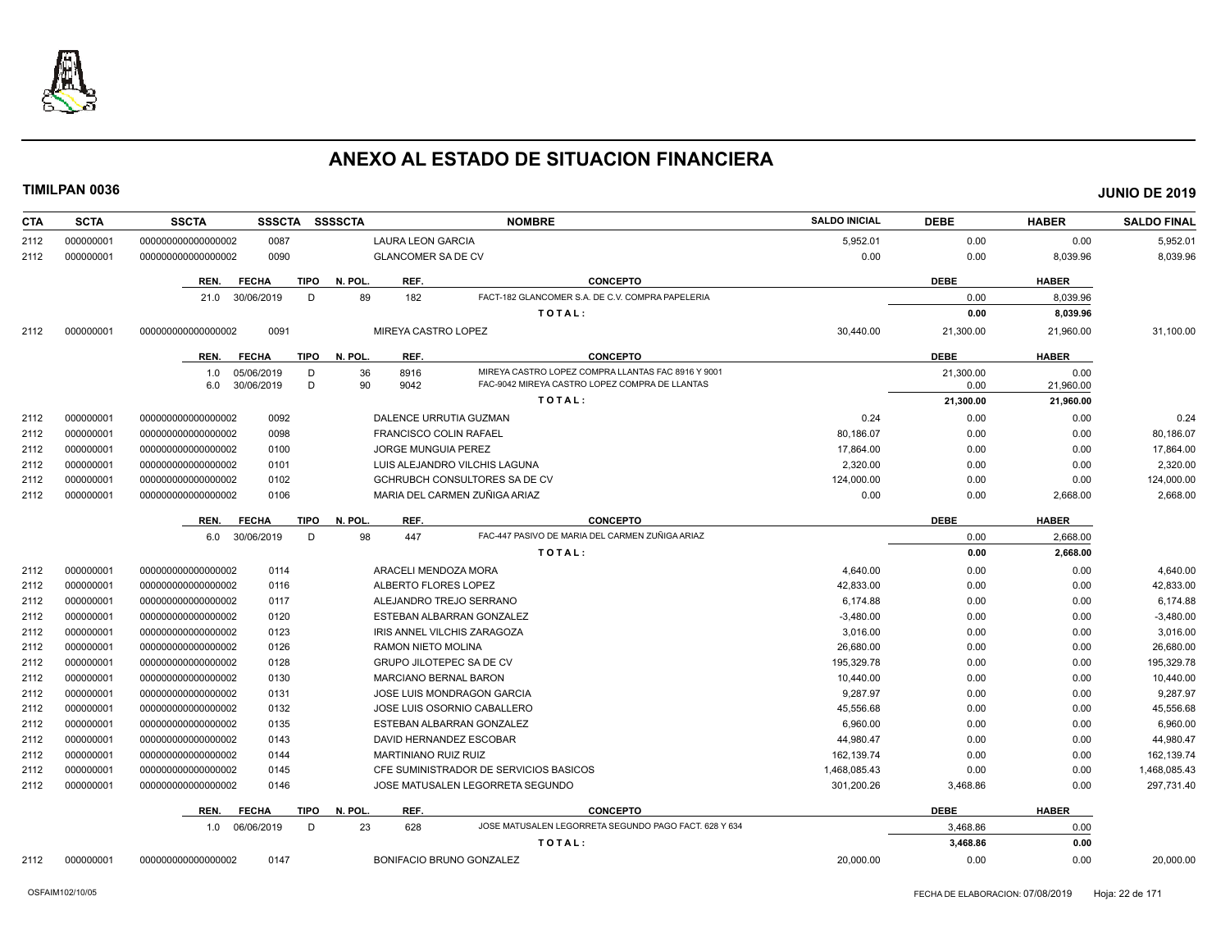

| 5,952.01<br>0.00<br>0.00<br>5,952.01<br>000000001<br>00000000000000002<br>0087<br><b>LAURA LEON GARCIA</b><br>2112<br>0090<br>0.00<br>0.00<br>8,039.96<br>2112<br>000000001<br>00000000000000002<br><b>GLANCOMER SA DE CV</b><br>8,039.96<br><b>CONCEPTO</b><br><b>DEBE</b><br>REN.<br><b>FECHA</b><br><b>TIPO</b><br>N. POL.<br>REF.<br><b>HABER</b><br>FACT-182 GLANCOMER S.A. DE C.V. COMPRA PAPELERIA<br>89<br>182<br>30/06/2019<br>D<br>0.00<br>8,039.96<br>21.0<br>TOTAL:<br>0.00<br>8,039.96<br>0091<br>MIREYA CASTRO LOPEZ<br>30,440.00<br>31,100.00<br>2112<br>000000001<br>000000000000000002<br>21,300.00<br>21,960.00<br>N. POL.<br>REF.<br><b>CONCEPTO</b><br><b>DEBE</b><br><b>HABER</b><br>REN.<br><b>FECHA</b><br><b>TIPO</b><br>05/06/2019<br>36<br>8916<br>MIREYA CASTRO LOPEZ COMPRA LLANTAS FAC 8916 Y 9001<br>D<br>21.300.00<br>0.00<br>1.0<br>30/06/2019<br>D<br>90<br>9042<br>FAC-9042 MIREYA CASTRO LOPEZ COMPRA DE LLANTAS<br>21,960.00<br>6.0<br>0.00<br>TOTAL:<br>21,300.00<br>21,960.00<br>0092<br>000000001<br>00000000000000002<br>DALENCE URRUTIA GUZMAN<br>0.24<br>0.00<br>0.00<br>0.24<br>2112<br>000000001<br>000000000000000002<br>0098<br>80.186.07<br>0.00<br>0.00<br>80,186.07<br>2112<br><b>FRANCISCO COLIN RAFAEL</b><br>000000001<br>0100<br>JORGE MUNGUIA PEREZ<br>17.864.00<br>0.00<br>2112<br>000000000000000002<br>0.00<br>17,864.00<br>000000001<br>2,320.00<br>0.00<br>2,320.00<br>2112<br>000000000000000002<br>0101<br>LUIS ALEJANDRO VILCHIS LAGUNA<br>0.00<br>124,000.00<br>000000001<br>000000000000000002<br>0102<br><b>GCHRUBCH CONSULTORES SA DE CV</b><br>0.00<br>0.00<br>124,000.00<br>2112<br>MARIA DEL CARMEN ZUÑIGA ARIAZ<br>2112<br>000000001<br>00000000000000002<br>0106<br>0.00<br>0.00<br>2,668.00<br>2,668.00<br><b>FECHA</b><br><b>TIPO</b><br>N. POL.<br>REF.<br><b>CONCEPTO</b><br><b>DEBE</b><br><b>HABER</b><br>REN.<br>98<br>FAC-447 PASIVO DE MARIA DEL CARMEN ZUÑIGA ARIAZ<br>6.0 30/06/2019<br>447<br>D<br>0.00<br>2.668.00<br>2,668.00<br>TOTAL:<br>0.00<br>000000001<br>0114<br>ARACELI MENDOZA MORA<br>4,640.00<br>0.00<br>0.00<br>000000000000000002<br>4,640.00<br>2112<br>42.833.00<br>0116<br>ALBERTO FLORES LOPEZ<br>0.00<br>0.00<br>42.833.00<br>2112<br>000000001<br>00000000000000002<br>000000001<br>00000000000000002<br>0117<br>ALEJANDRO TREJO SERRANO<br>6,174.88<br>0.00<br>0.00<br>2112<br>000000001<br>0120<br>0.00<br>2112<br>00000000000000002<br>ESTEBAN ALBARRAN GONZALEZ<br>$-3,480.00$<br>0.00<br>$-3,480.00$<br>000000001<br>0123<br>2112<br>00000000000000002<br>IRIS ANNEL VILCHIS ZARAGOZA<br>3,016.00<br>0.00<br>0.00<br>3,016.00<br>000000001<br>0126<br><b>RAMON NIETO MOLINA</b><br>26,680.00<br>0.00<br>0.00<br>26,680.00<br>2112<br>000000000000000002<br>2112<br>000000001<br>0128<br>195.329.78<br>0.00<br>0.00<br>195,329.78<br>000000000000000002<br><b>GRUPO JILOTEPEC SA DE CV</b><br>000000001<br>0130<br>10,440.00<br>0.00<br>10,440.00<br>2112<br>000000000000000002<br><b>MARCIANO BERNAL BARON</b><br>0.00<br>000000001<br>0131<br>9,287.97<br>9,287.97<br>2112<br>000000000000000002<br><b>JOSE LUIS MONDRAGON GARCIA</b><br>0.00<br>0.00<br>000000001<br>0132<br>45,556.68<br>0.00<br>0.00<br>45,556.68<br>2112<br>000000000000000002<br>JOSE LUIS OSORNIO CABALLERO<br>000000001<br>2112<br>00000000000000002<br>0135<br>ESTEBAN ALBARRAN GONZALEZ<br>6,960.00<br>0.00<br>0.00<br>6,960.00<br>000000001<br>0143<br>44.980.47<br>0.00<br>44,980.47<br>2112<br>000000000000000002<br>DAVID HERNANDEZ ESCOBAR<br>0.00<br>000000001<br>000000000000000002<br>0144<br><b>MARTINIANO RUIZ RUIZ</b><br>162,139.74<br>0.00<br>0.00<br>162,139.74<br>2112<br>0145<br>1,468,085.43<br>1,468,085.43<br>2112<br>000000001<br>000000000000000002<br>CFE SUMINISTRADOR DE SERVICIOS BASICOS<br>0.00<br>0.00<br>297,731.40<br>2112<br>000000001<br>00000000000000002<br>0146<br>JOSE MATUSALEN LEGORRETA SEGUNDO<br>301,200.26<br>3,468.86<br>0.00<br>N. POL<br>REF.<br><b>CONCEPTO</b><br><b>DEBE</b><br><b>HABER</b><br>REN.<br><b>FECHA</b><br><b>TIPO</b><br>23<br>JOSE MATUSALEN LEGORRETA SEGUNDO PAGO FACT. 628 Y 634<br>3.468.86<br>1.0 06/06/2019<br>D<br>628<br>0.00<br>3,468.86<br>0.00<br>TOTAL:<br>BONIFACIO BRUNO GONZALEZ<br>20,000.00<br>00000000000000002<br>0147<br>0.00<br>0.00<br>20,000.00<br>2112<br>000000001 | <b>CTA</b> | <b>SCTA</b> | <b>SSSCTA</b><br><b>SSCTA</b> | <b>SSSSCTA</b><br><b>NOMBRE</b> | <b>SALDO INICIAL</b> | <b>DEBE</b> | <b>HABER</b> | <b>SALDO FINAL</b> |
|---------------------------------------------------------------------------------------------------------------------------------------------------------------------------------------------------------------------------------------------------------------------------------------------------------------------------------------------------------------------------------------------------------------------------------------------------------------------------------------------------------------------------------------------------------------------------------------------------------------------------------------------------------------------------------------------------------------------------------------------------------------------------------------------------------------------------------------------------------------------------------------------------------------------------------------------------------------------------------------------------------------------------------------------------------------------------------------------------------------------------------------------------------------------------------------------------------------------------------------------------------------------------------------------------------------------------------------------------------------------------------------------------------------------------------------------------------------------------------------------------------------------------------------------------------------------------------------------------------------------------------------------------------------------------------------------------------------------------------------------------------------------------------------------------------------------------------------------------------------------------------------------------------------------------------------------------------------------------------------------------------------------------------------------------------------------------------------------------------------------------------------------------------------------------------------------------------------------------------------------------------------------------------------------------------------------------------------------------------------------------------------------------------------------------------------------------------------------------------------------------------------------------------------------------------------------------------------------------------------------------------------------------------------------------------------------------------------------------------------------------------------------------------------------------------------------------------------------------------------------------------------------------------------------------------------------------------------------------------------------------------------------------------------------------------------------------------------------------------------------------------------------------------------------------------------------------------------------------------------------------------------------------------------------------------------------------------------------------------------------------------------------------------------------------------------------------------------------------------------------------------------------------------------------------------------------------------------------------------------------------------------------------------------------------------------------------------------------------------------------------------------------------------------------------------------------------------------------------------------------------------------------------------------------------------------------------------------------------------------------------------------------------------------------------------------------------------------------------------------------------------------------------------------------------------------------------------------------------------------------------------------------------------------------------------------------------------------------------|------------|-------------|-------------------------------|---------------------------------|----------------------|-------------|--------------|--------------------|
|                                                                                                                                                                                                                                                                                                                                                                                                                                                                                                                                                                                                                                                                                                                                                                                                                                                                                                                                                                                                                                                                                                                                                                                                                                                                                                                                                                                                                                                                                                                                                                                                                                                                                                                                                                                                                                                                                                                                                                                                                                                                                                                                                                                                                                                                                                                                                                                                                                                                                                                                                                                                                                                                                                                                                                                                                                                                                                                                                                                                                                                                                                                                                                                                                                                                                                                                                                                                                                                                                                                                                                                                                                                                                                                                                                                                                                                                                                                                                                                                                                                                                                                                                                                                                                                                                                                                                   |            |             |                               |                                 |                      |             |              |                    |
|                                                                                                                                                                                                                                                                                                                                                                                                                                                                                                                                                                                                                                                                                                                                                                                                                                                                                                                                                                                                                                                                                                                                                                                                                                                                                                                                                                                                                                                                                                                                                                                                                                                                                                                                                                                                                                                                                                                                                                                                                                                                                                                                                                                                                                                                                                                                                                                                                                                                                                                                                                                                                                                                                                                                                                                                                                                                                                                                                                                                                                                                                                                                                                                                                                                                                                                                                                                                                                                                                                                                                                                                                                                                                                                                                                                                                                                                                                                                                                                                                                                                                                                                                                                                                                                                                                                                                   |            |             |                               |                                 |                      |             |              |                    |
|                                                                                                                                                                                                                                                                                                                                                                                                                                                                                                                                                                                                                                                                                                                                                                                                                                                                                                                                                                                                                                                                                                                                                                                                                                                                                                                                                                                                                                                                                                                                                                                                                                                                                                                                                                                                                                                                                                                                                                                                                                                                                                                                                                                                                                                                                                                                                                                                                                                                                                                                                                                                                                                                                                                                                                                                                                                                                                                                                                                                                                                                                                                                                                                                                                                                                                                                                                                                                                                                                                                                                                                                                                                                                                                                                                                                                                                                                                                                                                                                                                                                                                                                                                                                                                                                                                                                                   |            |             |                               |                                 |                      |             |              |                    |
|                                                                                                                                                                                                                                                                                                                                                                                                                                                                                                                                                                                                                                                                                                                                                                                                                                                                                                                                                                                                                                                                                                                                                                                                                                                                                                                                                                                                                                                                                                                                                                                                                                                                                                                                                                                                                                                                                                                                                                                                                                                                                                                                                                                                                                                                                                                                                                                                                                                                                                                                                                                                                                                                                                                                                                                                                                                                                                                                                                                                                                                                                                                                                                                                                                                                                                                                                                                                                                                                                                                                                                                                                                                                                                                                                                                                                                                                                                                                                                                                                                                                                                                                                                                                                                                                                                                                                   |            |             |                               |                                 |                      |             |              |                    |
|                                                                                                                                                                                                                                                                                                                                                                                                                                                                                                                                                                                                                                                                                                                                                                                                                                                                                                                                                                                                                                                                                                                                                                                                                                                                                                                                                                                                                                                                                                                                                                                                                                                                                                                                                                                                                                                                                                                                                                                                                                                                                                                                                                                                                                                                                                                                                                                                                                                                                                                                                                                                                                                                                                                                                                                                                                                                                                                                                                                                                                                                                                                                                                                                                                                                                                                                                                                                                                                                                                                                                                                                                                                                                                                                                                                                                                                                                                                                                                                                                                                                                                                                                                                                                                                                                                                                                   |            |             |                               |                                 |                      |             |              |                    |
|                                                                                                                                                                                                                                                                                                                                                                                                                                                                                                                                                                                                                                                                                                                                                                                                                                                                                                                                                                                                                                                                                                                                                                                                                                                                                                                                                                                                                                                                                                                                                                                                                                                                                                                                                                                                                                                                                                                                                                                                                                                                                                                                                                                                                                                                                                                                                                                                                                                                                                                                                                                                                                                                                                                                                                                                                                                                                                                                                                                                                                                                                                                                                                                                                                                                                                                                                                                                                                                                                                                                                                                                                                                                                                                                                                                                                                                                                                                                                                                                                                                                                                                                                                                                                                                                                                                                                   |            |             |                               |                                 |                      |             |              |                    |
|                                                                                                                                                                                                                                                                                                                                                                                                                                                                                                                                                                                                                                                                                                                                                                                                                                                                                                                                                                                                                                                                                                                                                                                                                                                                                                                                                                                                                                                                                                                                                                                                                                                                                                                                                                                                                                                                                                                                                                                                                                                                                                                                                                                                                                                                                                                                                                                                                                                                                                                                                                                                                                                                                                                                                                                                                                                                                                                                                                                                                                                                                                                                                                                                                                                                                                                                                                                                                                                                                                                                                                                                                                                                                                                                                                                                                                                                                                                                                                                                                                                                                                                                                                                                                                                                                                                                                   |            |             |                               |                                 |                      |             |              |                    |
|                                                                                                                                                                                                                                                                                                                                                                                                                                                                                                                                                                                                                                                                                                                                                                                                                                                                                                                                                                                                                                                                                                                                                                                                                                                                                                                                                                                                                                                                                                                                                                                                                                                                                                                                                                                                                                                                                                                                                                                                                                                                                                                                                                                                                                                                                                                                                                                                                                                                                                                                                                                                                                                                                                                                                                                                                                                                                                                                                                                                                                                                                                                                                                                                                                                                                                                                                                                                                                                                                                                                                                                                                                                                                                                                                                                                                                                                                                                                                                                                                                                                                                                                                                                                                                                                                                                                                   |            |             |                               |                                 |                      |             |              |                    |
|                                                                                                                                                                                                                                                                                                                                                                                                                                                                                                                                                                                                                                                                                                                                                                                                                                                                                                                                                                                                                                                                                                                                                                                                                                                                                                                                                                                                                                                                                                                                                                                                                                                                                                                                                                                                                                                                                                                                                                                                                                                                                                                                                                                                                                                                                                                                                                                                                                                                                                                                                                                                                                                                                                                                                                                                                                                                                                                                                                                                                                                                                                                                                                                                                                                                                                                                                                                                                                                                                                                                                                                                                                                                                                                                                                                                                                                                                                                                                                                                                                                                                                                                                                                                                                                                                                                                                   |            |             |                               |                                 |                      |             |              |                    |
|                                                                                                                                                                                                                                                                                                                                                                                                                                                                                                                                                                                                                                                                                                                                                                                                                                                                                                                                                                                                                                                                                                                                                                                                                                                                                                                                                                                                                                                                                                                                                                                                                                                                                                                                                                                                                                                                                                                                                                                                                                                                                                                                                                                                                                                                                                                                                                                                                                                                                                                                                                                                                                                                                                                                                                                                                                                                                                                                                                                                                                                                                                                                                                                                                                                                                                                                                                                                                                                                                                                                                                                                                                                                                                                                                                                                                                                                                                                                                                                                                                                                                                                                                                                                                                                                                                                                                   |            |             |                               |                                 |                      |             |              |                    |
|                                                                                                                                                                                                                                                                                                                                                                                                                                                                                                                                                                                                                                                                                                                                                                                                                                                                                                                                                                                                                                                                                                                                                                                                                                                                                                                                                                                                                                                                                                                                                                                                                                                                                                                                                                                                                                                                                                                                                                                                                                                                                                                                                                                                                                                                                                                                                                                                                                                                                                                                                                                                                                                                                                                                                                                                                                                                                                                                                                                                                                                                                                                                                                                                                                                                                                                                                                                                                                                                                                                                                                                                                                                                                                                                                                                                                                                                                                                                                                                                                                                                                                                                                                                                                                                                                                                                                   |            |             |                               |                                 |                      |             |              |                    |
|                                                                                                                                                                                                                                                                                                                                                                                                                                                                                                                                                                                                                                                                                                                                                                                                                                                                                                                                                                                                                                                                                                                                                                                                                                                                                                                                                                                                                                                                                                                                                                                                                                                                                                                                                                                                                                                                                                                                                                                                                                                                                                                                                                                                                                                                                                                                                                                                                                                                                                                                                                                                                                                                                                                                                                                                                                                                                                                                                                                                                                                                                                                                                                                                                                                                                                                                                                                                                                                                                                                                                                                                                                                                                                                                                                                                                                                                                                                                                                                                                                                                                                                                                                                                                                                                                                                                                   |            |             |                               |                                 |                      |             |              |                    |
|                                                                                                                                                                                                                                                                                                                                                                                                                                                                                                                                                                                                                                                                                                                                                                                                                                                                                                                                                                                                                                                                                                                                                                                                                                                                                                                                                                                                                                                                                                                                                                                                                                                                                                                                                                                                                                                                                                                                                                                                                                                                                                                                                                                                                                                                                                                                                                                                                                                                                                                                                                                                                                                                                                                                                                                                                                                                                                                                                                                                                                                                                                                                                                                                                                                                                                                                                                                                                                                                                                                                                                                                                                                                                                                                                                                                                                                                                                                                                                                                                                                                                                                                                                                                                                                                                                                                                   |            |             |                               |                                 |                      |             |              |                    |
|                                                                                                                                                                                                                                                                                                                                                                                                                                                                                                                                                                                                                                                                                                                                                                                                                                                                                                                                                                                                                                                                                                                                                                                                                                                                                                                                                                                                                                                                                                                                                                                                                                                                                                                                                                                                                                                                                                                                                                                                                                                                                                                                                                                                                                                                                                                                                                                                                                                                                                                                                                                                                                                                                                                                                                                                                                                                                                                                                                                                                                                                                                                                                                                                                                                                                                                                                                                                                                                                                                                                                                                                                                                                                                                                                                                                                                                                                                                                                                                                                                                                                                                                                                                                                                                                                                                                                   |            |             |                               |                                 |                      |             |              |                    |
|                                                                                                                                                                                                                                                                                                                                                                                                                                                                                                                                                                                                                                                                                                                                                                                                                                                                                                                                                                                                                                                                                                                                                                                                                                                                                                                                                                                                                                                                                                                                                                                                                                                                                                                                                                                                                                                                                                                                                                                                                                                                                                                                                                                                                                                                                                                                                                                                                                                                                                                                                                                                                                                                                                                                                                                                                                                                                                                                                                                                                                                                                                                                                                                                                                                                                                                                                                                                                                                                                                                                                                                                                                                                                                                                                                                                                                                                                                                                                                                                                                                                                                                                                                                                                                                                                                                                                   |            |             |                               |                                 |                      |             |              |                    |
|                                                                                                                                                                                                                                                                                                                                                                                                                                                                                                                                                                                                                                                                                                                                                                                                                                                                                                                                                                                                                                                                                                                                                                                                                                                                                                                                                                                                                                                                                                                                                                                                                                                                                                                                                                                                                                                                                                                                                                                                                                                                                                                                                                                                                                                                                                                                                                                                                                                                                                                                                                                                                                                                                                                                                                                                                                                                                                                                                                                                                                                                                                                                                                                                                                                                                                                                                                                                                                                                                                                                                                                                                                                                                                                                                                                                                                                                                                                                                                                                                                                                                                                                                                                                                                                                                                                                                   |            |             |                               |                                 |                      |             |              |                    |
|                                                                                                                                                                                                                                                                                                                                                                                                                                                                                                                                                                                                                                                                                                                                                                                                                                                                                                                                                                                                                                                                                                                                                                                                                                                                                                                                                                                                                                                                                                                                                                                                                                                                                                                                                                                                                                                                                                                                                                                                                                                                                                                                                                                                                                                                                                                                                                                                                                                                                                                                                                                                                                                                                                                                                                                                                                                                                                                                                                                                                                                                                                                                                                                                                                                                                                                                                                                                                                                                                                                                                                                                                                                                                                                                                                                                                                                                                                                                                                                                                                                                                                                                                                                                                                                                                                                                                   |            |             |                               |                                 |                      |             |              |                    |
|                                                                                                                                                                                                                                                                                                                                                                                                                                                                                                                                                                                                                                                                                                                                                                                                                                                                                                                                                                                                                                                                                                                                                                                                                                                                                                                                                                                                                                                                                                                                                                                                                                                                                                                                                                                                                                                                                                                                                                                                                                                                                                                                                                                                                                                                                                                                                                                                                                                                                                                                                                                                                                                                                                                                                                                                                                                                                                                                                                                                                                                                                                                                                                                                                                                                                                                                                                                                                                                                                                                                                                                                                                                                                                                                                                                                                                                                                                                                                                                                                                                                                                                                                                                                                                                                                                                                                   |            |             |                               |                                 |                      |             |              |                    |
|                                                                                                                                                                                                                                                                                                                                                                                                                                                                                                                                                                                                                                                                                                                                                                                                                                                                                                                                                                                                                                                                                                                                                                                                                                                                                                                                                                                                                                                                                                                                                                                                                                                                                                                                                                                                                                                                                                                                                                                                                                                                                                                                                                                                                                                                                                                                                                                                                                                                                                                                                                                                                                                                                                                                                                                                                                                                                                                                                                                                                                                                                                                                                                                                                                                                                                                                                                                                                                                                                                                                                                                                                                                                                                                                                                                                                                                                                                                                                                                                                                                                                                                                                                                                                                                                                                                                                   |            |             |                               |                                 |                      |             |              |                    |
|                                                                                                                                                                                                                                                                                                                                                                                                                                                                                                                                                                                                                                                                                                                                                                                                                                                                                                                                                                                                                                                                                                                                                                                                                                                                                                                                                                                                                                                                                                                                                                                                                                                                                                                                                                                                                                                                                                                                                                                                                                                                                                                                                                                                                                                                                                                                                                                                                                                                                                                                                                                                                                                                                                                                                                                                                                                                                                                                                                                                                                                                                                                                                                                                                                                                                                                                                                                                                                                                                                                                                                                                                                                                                                                                                                                                                                                                                                                                                                                                                                                                                                                                                                                                                                                                                                                                                   |            |             |                               |                                 |                      |             |              |                    |
|                                                                                                                                                                                                                                                                                                                                                                                                                                                                                                                                                                                                                                                                                                                                                                                                                                                                                                                                                                                                                                                                                                                                                                                                                                                                                                                                                                                                                                                                                                                                                                                                                                                                                                                                                                                                                                                                                                                                                                                                                                                                                                                                                                                                                                                                                                                                                                                                                                                                                                                                                                                                                                                                                                                                                                                                                                                                                                                                                                                                                                                                                                                                                                                                                                                                                                                                                                                                                                                                                                                                                                                                                                                                                                                                                                                                                                                                                                                                                                                                                                                                                                                                                                                                                                                                                                                                                   |            |             |                               |                                 |                      |             |              |                    |
|                                                                                                                                                                                                                                                                                                                                                                                                                                                                                                                                                                                                                                                                                                                                                                                                                                                                                                                                                                                                                                                                                                                                                                                                                                                                                                                                                                                                                                                                                                                                                                                                                                                                                                                                                                                                                                                                                                                                                                                                                                                                                                                                                                                                                                                                                                                                                                                                                                                                                                                                                                                                                                                                                                                                                                                                                                                                                                                                                                                                                                                                                                                                                                                                                                                                                                                                                                                                                                                                                                                                                                                                                                                                                                                                                                                                                                                                                                                                                                                                                                                                                                                                                                                                                                                                                                                                                   |            |             |                               |                                 |                      |             |              |                    |
|                                                                                                                                                                                                                                                                                                                                                                                                                                                                                                                                                                                                                                                                                                                                                                                                                                                                                                                                                                                                                                                                                                                                                                                                                                                                                                                                                                                                                                                                                                                                                                                                                                                                                                                                                                                                                                                                                                                                                                                                                                                                                                                                                                                                                                                                                                                                                                                                                                                                                                                                                                                                                                                                                                                                                                                                                                                                                                                                                                                                                                                                                                                                                                                                                                                                                                                                                                                                                                                                                                                                                                                                                                                                                                                                                                                                                                                                                                                                                                                                                                                                                                                                                                                                                                                                                                                                                   |            |             |                               |                                 |                      |             |              | 6,174.88           |
|                                                                                                                                                                                                                                                                                                                                                                                                                                                                                                                                                                                                                                                                                                                                                                                                                                                                                                                                                                                                                                                                                                                                                                                                                                                                                                                                                                                                                                                                                                                                                                                                                                                                                                                                                                                                                                                                                                                                                                                                                                                                                                                                                                                                                                                                                                                                                                                                                                                                                                                                                                                                                                                                                                                                                                                                                                                                                                                                                                                                                                                                                                                                                                                                                                                                                                                                                                                                                                                                                                                                                                                                                                                                                                                                                                                                                                                                                                                                                                                                                                                                                                                                                                                                                                                                                                                                                   |            |             |                               |                                 |                      |             |              |                    |
|                                                                                                                                                                                                                                                                                                                                                                                                                                                                                                                                                                                                                                                                                                                                                                                                                                                                                                                                                                                                                                                                                                                                                                                                                                                                                                                                                                                                                                                                                                                                                                                                                                                                                                                                                                                                                                                                                                                                                                                                                                                                                                                                                                                                                                                                                                                                                                                                                                                                                                                                                                                                                                                                                                                                                                                                                                                                                                                                                                                                                                                                                                                                                                                                                                                                                                                                                                                                                                                                                                                                                                                                                                                                                                                                                                                                                                                                                                                                                                                                                                                                                                                                                                                                                                                                                                                                                   |            |             |                               |                                 |                      |             |              |                    |
|                                                                                                                                                                                                                                                                                                                                                                                                                                                                                                                                                                                                                                                                                                                                                                                                                                                                                                                                                                                                                                                                                                                                                                                                                                                                                                                                                                                                                                                                                                                                                                                                                                                                                                                                                                                                                                                                                                                                                                                                                                                                                                                                                                                                                                                                                                                                                                                                                                                                                                                                                                                                                                                                                                                                                                                                                                                                                                                                                                                                                                                                                                                                                                                                                                                                                                                                                                                                                                                                                                                                                                                                                                                                                                                                                                                                                                                                                                                                                                                                                                                                                                                                                                                                                                                                                                                                                   |            |             |                               |                                 |                      |             |              |                    |
|                                                                                                                                                                                                                                                                                                                                                                                                                                                                                                                                                                                                                                                                                                                                                                                                                                                                                                                                                                                                                                                                                                                                                                                                                                                                                                                                                                                                                                                                                                                                                                                                                                                                                                                                                                                                                                                                                                                                                                                                                                                                                                                                                                                                                                                                                                                                                                                                                                                                                                                                                                                                                                                                                                                                                                                                                                                                                                                                                                                                                                                                                                                                                                                                                                                                                                                                                                                                                                                                                                                                                                                                                                                                                                                                                                                                                                                                                                                                                                                                                                                                                                                                                                                                                                                                                                                                                   |            |             |                               |                                 |                      |             |              |                    |
|                                                                                                                                                                                                                                                                                                                                                                                                                                                                                                                                                                                                                                                                                                                                                                                                                                                                                                                                                                                                                                                                                                                                                                                                                                                                                                                                                                                                                                                                                                                                                                                                                                                                                                                                                                                                                                                                                                                                                                                                                                                                                                                                                                                                                                                                                                                                                                                                                                                                                                                                                                                                                                                                                                                                                                                                                                                                                                                                                                                                                                                                                                                                                                                                                                                                                                                                                                                                                                                                                                                                                                                                                                                                                                                                                                                                                                                                                                                                                                                                                                                                                                                                                                                                                                                                                                                                                   |            |             |                               |                                 |                      |             |              |                    |
|                                                                                                                                                                                                                                                                                                                                                                                                                                                                                                                                                                                                                                                                                                                                                                                                                                                                                                                                                                                                                                                                                                                                                                                                                                                                                                                                                                                                                                                                                                                                                                                                                                                                                                                                                                                                                                                                                                                                                                                                                                                                                                                                                                                                                                                                                                                                                                                                                                                                                                                                                                                                                                                                                                                                                                                                                                                                                                                                                                                                                                                                                                                                                                                                                                                                                                                                                                                                                                                                                                                                                                                                                                                                                                                                                                                                                                                                                                                                                                                                                                                                                                                                                                                                                                                                                                                                                   |            |             |                               |                                 |                      |             |              |                    |
|                                                                                                                                                                                                                                                                                                                                                                                                                                                                                                                                                                                                                                                                                                                                                                                                                                                                                                                                                                                                                                                                                                                                                                                                                                                                                                                                                                                                                                                                                                                                                                                                                                                                                                                                                                                                                                                                                                                                                                                                                                                                                                                                                                                                                                                                                                                                                                                                                                                                                                                                                                                                                                                                                                                                                                                                                                                                                                                                                                                                                                                                                                                                                                                                                                                                                                                                                                                                                                                                                                                                                                                                                                                                                                                                                                                                                                                                                                                                                                                                                                                                                                                                                                                                                                                                                                                                                   |            |             |                               |                                 |                      |             |              |                    |
|                                                                                                                                                                                                                                                                                                                                                                                                                                                                                                                                                                                                                                                                                                                                                                                                                                                                                                                                                                                                                                                                                                                                                                                                                                                                                                                                                                                                                                                                                                                                                                                                                                                                                                                                                                                                                                                                                                                                                                                                                                                                                                                                                                                                                                                                                                                                                                                                                                                                                                                                                                                                                                                                                                                                                                                                                                                                                                                                                                                                                                                                                                                                                                                                                                                                                                                                                                                                                                                                                                                                                                                                                                                                                                                                                                                                                                                                                                                                                                                                                                                                                                                                                                                                                                                                                                                                                   |            |             |                               |                                 |                      |             |              |                    |
|                                                                                                                                                                                                                                                                                                                                                                                                                                                                                                                                                                                                                                                                                                                                                                                                                                                                                                                                                                                                                                                                                                                                                                                                                                                                                                                                                                                                                                                                                                                                                                                                                                                                                                                                                                                                                                                                                                                                                                                                                                                                                                                                                                                                                                                                                                                                                                                                                                                                                                                                                                                                                                                                                                                                                                                                                                                                                                                                                                                                                                                                                                                                                                                                                                                                                                                                                                                                                                                                                                                                                                                                                                                                                                                                                                                                                                                                                                                                                                                                                                                                                                                                                                                                                                                                                                                                                   |            |             |                               |                                 |                      |             |              |                    |
|                                                                                                                                                                                                                                                                                                                                                                                                                                                                                                                                                                                                                                                                                                                                                                                                                                                                                                                                                                                                                                                                                                                                                                                                                                                                                                                                                                                                                                                                                                                                                                                                                                                                                                                                                                                                                                                                                                                                                                                                                                                                                                                                                                                                                                                                                                                                                                                                                                                                                                                                                                                                                                                                                                                                                                                                                                                                                                                                                                                                                                                                                                                                                                                                                                                                                                                                                                                                                                                                                                                                                                                                                                                                                                                                                                                                                                                                                                                                                                                                                                                                                                                                                                                                                                                                                                                                                   |            |             |                               |                                 |                      |             |              |                    |
|                                                                                                                                                                                                                                                                                                                                                                                                                                                                                                                                                                                                                                                                                                                                                                                                                                                                                                                                                                                                                                                                                                                                                                                                                                                                                                                                                                                                                                                                                                                                                                                                                                                                                                                                                                                                                                                                                                                                                                                                                                                                                                                                                                                                                                                                                                                                                                                                                                                                                                                                                                                                                                                                                                                                                                                                                                                                                                                                                                                                                                                                                                                                                                                                                                                                                                                                                                                                                                                                                                                                                                                                                                                                                                                                                                                                                                                                                                                                                                                                                                                                                                                                                                                                                                                                                                                                                   |            |             |                               |                                 |                      |             |              |                    |
|                                                                                                                                                                                                                                                                                                                                                                                                                                                                                                                                                                                                                                                                                                                                                                                                                                                                                                                                                                                                                                                                                                                                                                                                                                                                                                                                                                                                                                                                                                                                                                                                                                                                                                                                                                                                                                                                                                                                                                                                                                                                                                                                                                                                                                                                                                                                                                                                                                                                                                                                                                                                                                                                                                                                                                                                                                                                                                                                                                                                                                                                                                                                                                                                                                                                                                                                                                                                                                                                                                                                                                                                                                                                                                                                                                                                                                                                                                                                                                                                                                                                                                                                                                                                                                                                                                                                                   |            |             |                               |                                 |                      |             |              |                    |
|                                                                                                                                                                                                                                                                                                                                                                                                                                                                                                                                                                                                                                                                                                                                                                                                                                                                                                                                                                                                                                                                                                                                                                                                                                                                                                                                                                                                                                                                                                                                                                                                                                                                                                                                                                                                                                                                                                                                                                                                                                                                                                                                                                                                                                                                                                                                                                                                                                                                                                                                                                                                                                                                                                                                                                                                                                                                                                                                                                                                                                                                                                                                                                                                                                                                                                                                                                                                                                                                                                                                                                                                                                                                                                                                                                                                                                                                                                                                                                                                                                                                                                                                                                                                                                                                                                                                                   |            |             |                               |                                 |                      |             |              |                    |
|                                                                                                                                                                                                                                                                                                                                                                                                                                                                                                                                                                                                                                                                                                                                                                                                                                                                                                                                                                                                                                                                                                                                                                                                                                                                                                                                                                                                                                                                                                                                                                                                                                                                                                                                                                                                                                                                                                                                                                                                                                                                                                                                                                                                                                                                                                                                                                                                                                                                                                                                                                                                                                                                                                                                                                                                                                                                                                                                                                                                                                                                                                                                                                                                                                                                                                                                                                                                                                                                                                                                                                                                                                                                                                                                                                                                                                                                                                                                                                                                                                                                                                                                                                                                                                                                                                                                                   |            |             |                               |                                 |                      |             |              |                    |
|                                                                                                                                                                                                                                                                                                                                                                                                                                                                                                                                                                                                                                                                                                                                                                                                                                                                                                                                                                                                                                                                                                                                                                                                                                                                                                                                                                                                                                                                                                                                                                                                                                                                                                                                                                                                                                                                                                                                                                                                                                                                                                                                                                                                                                                                                                                                                                                                                                                                                                                                                                                                                                                                                                                                                                                                                                                                                                                                                                                                                                                                                                                                                                                                                                                                                                                                                                                                                                                                                                                                                                                                                                                                                                                                                                                                                                                                                                                                                                                                                                                                                                                                                                                                                                                                                                                                                   |            |             |                               |                                 |                      |             |              |                    |
|                                                                                                                                                                                                                                                                                                                                                                                                                                                                                                                                                                                                                                                                                                                                                                                                                                                                                                                                                                                                                                                                                                                                                                                                                                                                                                                                                                                                                                                                                                                                                                                                                                                                                                                                                                                                                                                                                                                                                                                                                                                                                                                                                                                                                                                                                                                                                                                                                                                                                                                                                                                                                                                                                                                                                                                                                                                                                                                                                                                                                                                                                                                                                                                                                                                                                                                                                                                                                                                                                                                                                                                                                                                                                                                                                                                                                                                                                                                                                                                                                                                                                                                                                                                                                                                                                                                                                   |            |             |                               |                                 |                      |             |              |                    |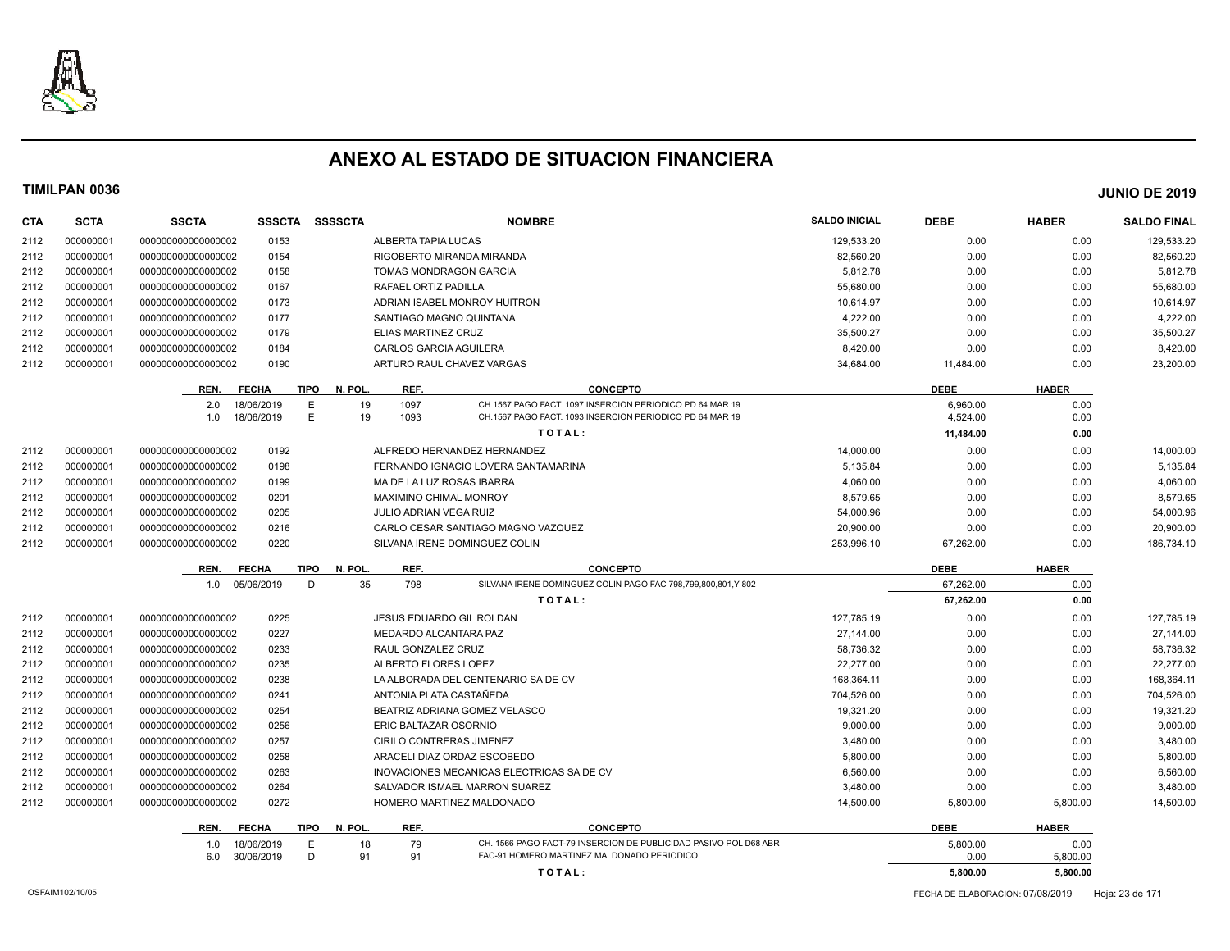

| <b>CTA</b> | <b>SCTA</b> | <b>SSCTA</b>       | <b>SSSCTA</b>            | <b>SSSSCTA</b>         |                               | <b>NOMBRE</b>                                                                                                  | <b>SALDO INICIAL</b> | <b>DEBE</b>            | <b>HABER</b>     | <b>SALDO FINAL</b> |
|------------|-------------|--------------------|--------------------------|------------------------|-------------------------------|----------------------------------------------------------------------------------------------------------------|----------------------|------------------------|------------------|--------------------|
| 2112       | 000000001   | 00000000000000002  | 0153                     |                        | ALBERTA TAPIA LUCAS           |                                                                                                                | 129,533.20           | 0.00                   | 0.00             | 129,533.20         |
| 2112       | 000000001   | 000000000000000002 | 0154                     |                        | RIGOBERTO MIRANDA MIRANDA     |                                                                                                                | 82.560.20            | 0.00                   | 0.00             | 82.560.20          |
| 2112       | 000000001   | 000000000000000002 | 0158                     |                        | <b>TOMAS MONDRAGON GARCIA</b> |                                                                                                                | 5,812.78             | 0.00                   | 0.00             | 5,812.78           |
| 2112       | 000000001   | 000000000000000002 | 0167                     |                        | RAFAEL ORTIZ PADILLA          |                                                                                                                | 55,680.00            | 0.00                   | 0.00             | 55,680.00          |
| 2112       | 000000001   | 00000000000000002  | 0173                     |                        | ADRIAN ISABEL MONROY HUITRON  |                                                                                                                | 10,614.97            | 0.00                   | 0.00             | 10,614.97          |
| 2112       | 000000001   | 000000000000000002 | 0177                     |                        | SANTIAGO MAGNO QUINTANA       |                                                                                                                | 4.222.00             | 0.00                   | 0.00             | 4,222.00           |
| 2112       | 000000001   | 000000000000000002 | 0179                     |                        | ELIAS MARTINEZ CRUZ           |                                                                                                                | 35,500.27            | 0.00                   | 0.00             | 35,500.27          |
| 2112       | 000000001   | 000000000000000002 | 0184                     |                        | CARLOS GARCIA AGUILERA        |                                                                                                                | 8,420.00             | 0.00                   | 0.00             | 8,420.00           |
| 2112       | 000000001   | 00000000000000002  | 0190                     |                        | ARTURO RAUL CHAVEZ VARGAS     |                                                                                                                | 34,684.00            | 11,484.00              | 0.00             | 23,200.00          |
|            |             | REN.               | <b>FECHA</b>             | <b>TIPO</b><br>N. POL. | REF.                          | <b>CONCEPTO</b>                                                                                                |                      | <b>DEBE</b>            | <b>HABER</b>     |                    |
|            |             | 2.0                | 18/06/2019               | E<br>19                | 1097                          | CH.1567 PAGO FACT, 1097 INSERCION PERIODICO PD 64 MAR 19                                                       |                      | 6.960.00               | 0.00             |                    |
|            |             | 1.0                | 18/06/2019               | E<br>19                | 1093                          | CH.1567 PAGO FACT, 1093 INSERCION PERIODICO PD 64 MAR 19                                                       |                      | 4.524.00               | 0.00             |                    |
|            |             |                    |                          |                        |                               | TOTAL:                                                                                                         |                      | 11,484.00              | 0.00             |                    |
| 2112       | 000000001   | 000000000000000002 | 0192                     |                        | ALFREDO HERNANDEZ HERNANDEZ   |                                                                                                                | 14,000.00            | 0.00                   | 0.00             | 14,000.00          |
| 2112       | 000000001   | 000000000000000002 | 0198                     |                        |                               | FERNANDO IGNACIO LOVERA SANTAMARINA                                                                            | 5,135.84             | 0.00                   | 0.00             | 5,135.84           |
| 2112       | 000000001   | 000000000000000002 | 0199                     |                        | MA DE LA LUZ ROSAS IBARRA     |                                                                                                                | 4,060.00             | 0.00                   | 0.00             | 4,060.00           |
| 2112       | 000000001   | 00000000000000002  | 0201                     |                        | <b>MAXIMINO CHIMAL MONROY</b> |                                                                                                                | 8,579.65             | 0.00                   | 0.00             | 8,579.65           |
| 2112       | 000000001   | 000000000000000002 | 0205                     |                        | JULIO ADRIAN VEGA RUIZ        |                                                                                                                | 54,000.96            | 0.00                   | 0.00             | 54,000.96          |
| 2112       | 000000001   | 000000000000000002 | 0216                     |                        |                               | CARLO CESAR SANTIAGO MAGNO VAZQUEZ                                                                             | 20,900.00            | 0.00                   | 0.00             | 20,900.00          |
| 2112       | 000000001   | 00000000000000002  | 0220                     |                        | SILVANA IRENE DOMINGUEZ COLIN |                                                                                                                | 253,996.10           | 67,262.00              | 0.00             | 186,734.10         |
|            |             |                    |                          |                        |                               |                                                                                                                |                      |                        |                  |                    |
|            |             | REN.               | <b>FECHA</b>             | <b>TIPO</b><br>N. POL  | REF.                          | <b>CONCEPTO</b><br>SILVANA IRENE DOMINGUEZ COLIN PAGO FAC 798,799,800,801.Y 802                                |                      | <b>DEBE</b>            | <b>HABER</b>     |                    |
|            |             | 1.0                | 05/06/2019               | 35<br>D                | 798                           | TOTAL:                                                                                                         |                      | 67,262.00<br>67,262.00 | 0.00<br>0.00     |                    |
| 2112       | 000000001   | 000000000000000002 | 0225                     |                        | JESUS EDUARDO GIL ROLDAN      |                                                                                                                | 127,785.19           | 0.00                   | 0.00             | 127,785.19         |
| 2112       | 000000001   | 000000000000000002 | 0227                     |                        | MEDARDO ALCANTARA PAZ         |                                                                                                                | 27,144.00            | 0.00                   | 0.00             | 27,144.00          |
| 2112       | 000000001   | 00000000000000002  | 0233                     |                        | RAUL GONZALEZ CRUZ            |                                                                                                                | 58,736.32            | 0.00                   | 0.00             | 58,736.32          |
| 2112       | 000000001   | 000000000000000002 | 0235                     |                        | ALBERTO FLORES LOPEZ          |                                                                                                                | 22,277.00            | 0.00                   | 0.00             | 22,277.00          |
| 2112       | 000000001   | 000000000000000002 | 0238                     |                        |                               | LA ALBORADA DEL CENTENARIO SA DE CV                                                                            | 168,364.11           | 0.00                   | 0.00             | 168,364.11         |
| 2112       | 000000001   | 00000000000000002  | 0241                     |                        | ANTONIA PLATA CASTAÑEDA       |                                                                                                                | 704,526.00           | 0.00                   | 0.00             | 704,526.00         |
| 2112       | 000000001   | 00000000000000002  | 0254                     |                        | BEATRIZ ADRIANA GOMEZ VELASCO |                                                                                                                | 19,321.20            | 0.00                   | 0.00             | 19,321.20          |
| 2112       | 000000001   | 000000000000000002 | 0256                     |                        | ERIC BALTAZAR OSORNIO         |                                                                                                                | 9,000.00             | 0.00                   | 0.00             | 9,000.00           |
| 2112       | 000000001   | 000000000000000002 | 0257                     |                        | CIRILO CONTRERAS JIMENEZ      |                                                                                                                | 3,480.00             | 0.00                   | 0.00             | 3,480.00           |
| 2112       | 000000001   | 000000000000000002 | 0258                     |                        | ARACELI DIAZ ORDAZ ESCOBEDO   |                                                                                                                | 5,800.00             | 0.00                   | 0.00             | 5,800.00           |
| 2112       | 000000001   | 00000000000000002  | 0263                     |                        |                               | INOVACIONES MECANICAS ELECTRICAS SA DE CV                                                                      | 6,560.00             | 0.00                   | 0.00             | 6,560.00           |
| 2112       | 000000001   | 00000000000000002  | 0264                     |                        |                               | SALVADOR ISMAEL MARRON SUAREZ                                                                                  | 3,480.00             | 0.00                   | 0.00             | 3,480.00           |
| 2112       | 000000001   | 000000000000000002 | 0272                     |                        | HOMERO MARTINEZ MALDONADO     |                                                                                                                | 14,500.00            | 5,800.00               | 5,800.00         | 14,500.00          |
|            |             |                    |                          |                        |                               |                                                                                                                |                      |                        |                  |                    |
|            |             | REN.               | <b>FECHA</b>             | <b>TIPO</b><br>N. POL. | REF.                          | <b>CONCEPTO</b>                                                                                                |                      | <b>DEBE</b>            | <b>HABER</b>     |                    |
|            |             | 1.0<br>6.0         | 18/06/2019<br>30/06/2019 | 18<br>Е<br>D<br>91     | 79<br>91                      | CH. 1566 PAGO FACT-79 INSERCION DE PUBLICIDAD PASIVO POL D68 ABR<br>FAC-91 HOMERO MARTINEZ MALDONADO PERIODICO |                      | 5,800.00<br>0.00       | 0.00<br>5,800.00 |                    |
|            |             |                    |                          |                        |                               | TOTAL:                                                                                                         |                      | 5.800.00               | 5,800.00         |                    |
|            |             |                    |                          |                        |                               |                                                                                                                |                      |                        |                  |                    |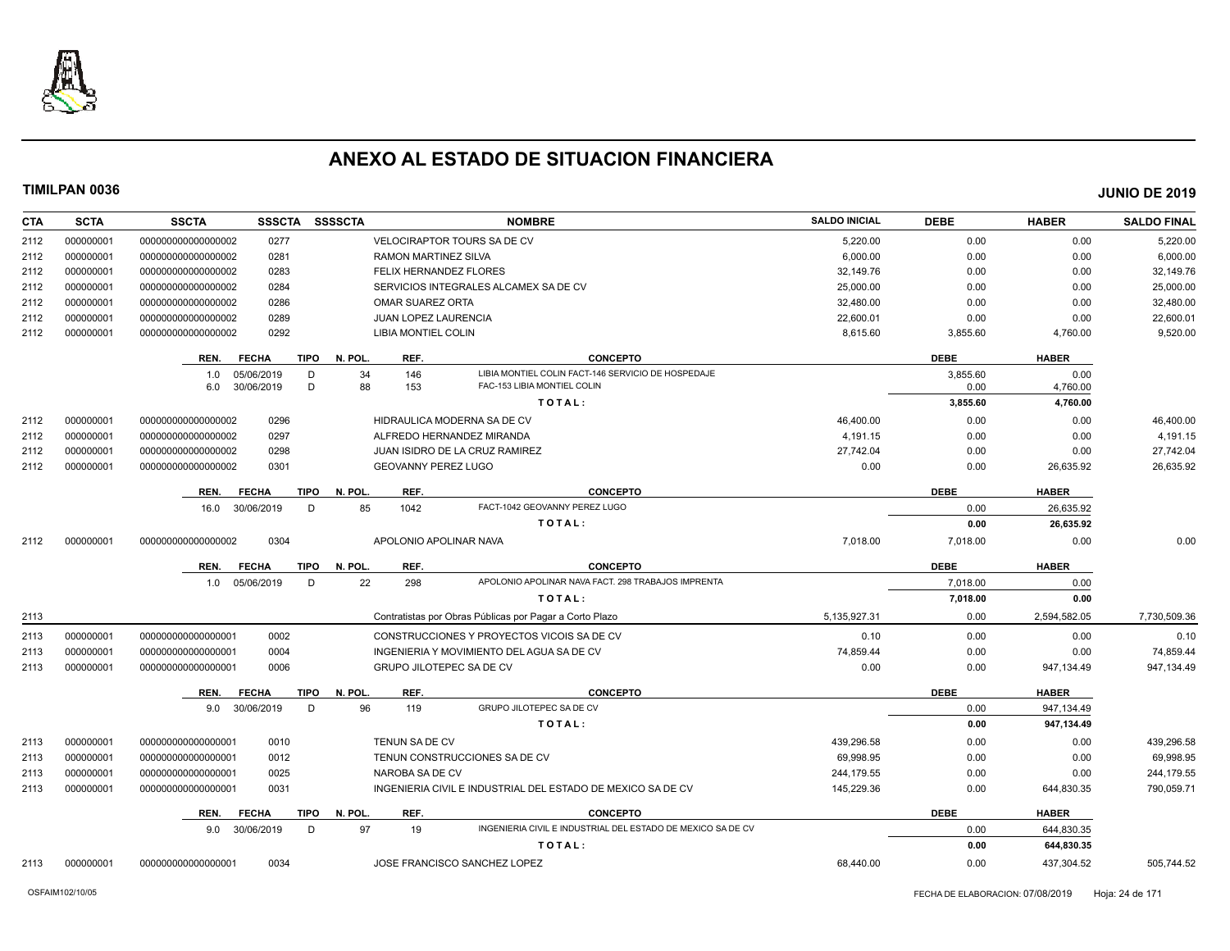

| <b>CTA</b> | <b>SCTA</b> | <b>SSCTA</b><br><b>SSSCTA</b> | <b>SSSSCTA</b>                 | <b>NOMBRE</b>                                               | <b>SALDO INICIAL</b> | <b>DEBE</b> | <b>HABER</b> | <b>SALDO FINAL</b> |
|------------|-------------|-------------------------------|--------------------------------|-------------------------------------------------------------|----------------------|-------------|--------------|--------------------|
| 2112       | 000000001   | 0277<br>000000000000000002    |                                | <b>VELOCIRAPTOR TOURS SA DE CV</b>                          | 5,220.00             | 0.00        | 0.00         | 5,220.00           |
| 2112       | 000000001   | 0281<br>00000000000000002     | <b>RAMON MARTINEZ SILVA</b>    |                                                             | 6,000.00             | 0.00        | 0.00         | 6,000.00           |
| 2112       | 000000001   | 000000000000000002<br>0283    |                                | FELIX HERNANDEZ FLORES                                      | 32,149.76            | 0.00        | 0.00         | 32,149.76          |
| 2112       | 000000001   | 000000000000000002<br>0284    |                                | SERVICIOS INTEGRALES ALCAMEX SA DE CV                       | 25,000.00            | 0.00        | 0.00         | 25,000.00          |
| 2112       | 000000001   | 000000000000000002<br>0286    | <b>OMAR SUAREZ ORTA</b>        |                                                             | 32,480.00            | 0.00        | 0.00         | 32,480.00          |
| 2112       | 000000001   | 000000000000000002<br>0289    | JUAN LOPEZ LAURENCIA           |                                                             | 22,600.01            | 0.00        | 0.00         | 22,600.01          |
| 2112       | 000000001   | 000000000000000002<br>0292    | LIBIA MONTIEL COLIN            |                                                             | 8,615.60             | 3,855.60    | 4,760.00     | 9,520.00           |
|            |             | <b>FECHA</b><br>REN.          | <b>TIPO</b><br>N. POL.<br>REF. | <b>CONCEPTO</b>                                             |                      | <b>DEBE</b> | <b>HABER</b> |                    |
|            |             | 05/06/2019<br>1.0             | 34<br>146<br>D                 | LIBIA MONTIEL COLIN FACT-146 SERVICIO DE HOSPEDAJE          |                      | 3,855.60    | 0.00         |                    |
|            |             | 30/06/2019<br>6.0             | D<br>88<br>153                 | FAC-153 LIBIA MONTIEL COLIN                                 |                      | 0.00        | 4,760.00     |                    |
|            |             |                               |                                | TOTAL:                                                      |                      | 3,855.60    | 4,760.00     |                    |
| 2112       | 000000001   | 0296<br>000000000000000002    |                                | HIDRAULICA MODERNA SA DE CV                                 | 46,400.00            | 0.00        | 0.00         | 46,400.00          |
| 2112       | 000000001   | 0297<br>00000000000000002     |                                | ALFREDO HERNANDEZ MIRANDA                                   | 4.191.15             | 0.00        | 0.00         | 4,191.15           |
| 2112       | 000000001   | 0298<br>000000000000000002    |                                | <b>JUAN ISIDRO DE LA CRUZ RAMIREZ</b>                       | 27,742.04            | 0.00        | 0.00         | 27,742.04          |
| 2112       | 000000001   | 000000000000000002<br>0301    | <b>GEOVANNY PEREZ LUGO</b>     |                                                             | 0.00                 | 0.00        | 26,635.92    | 26,635.92          |
|            |             | <b>FECHA</b><br>REN.          | <b>TIPO</b><br>N. POL.<br>REF. | <b>CONCEPTO</b>                                             |                      | <b>DEBE</b> | <b>HABER</b> |                    |
|            |             | 30/06/2019<br>16.0            | D<br>85<br>1042                | FACT-1042 GEOVANNY PEREZ LUGO                               |                      | 0.00        | 26,635.92    |                    |
|            |             |                               |                                | TOTAL:                                                      |                      | 0.00        | 26,635.92    |                    |
| 2112       | 000000001   | 0304<br>000000000000000002    |                                | APOLONIO APOLINAR NAVA                                      | 7,018.00             | 7,018.00    | 0.00         | 0.00               |
|            |             | <b>FECHA</b><br>REN.          | TIPO<br>N. POL.<br>REF.        | <b>CONCEPTO</b>                                             |                      | <b>DEBE</b> | <b>HABER</b> |                    |
|            |             | 1.0 05/06/2019                | D<br>22<br>298                 | APOLONIO APOLINAR NAVA FACT. 298 TRABAJOS IMPRENTA          |                      | 7,018.00    | 0.00         |                    |
|            |             |                               |                                | TOTAL:                                                      |                      | 7,018.00    | 0.00         |                    |
| 2113       |             |                               |                                | Contratistas por Obras Públicas por Pagar a Corto Plazo     | 5,135,927.31         | 0.00        | 2,594,582.05 | 7,730,509.36       |
| 2113       | 000000001   | 0002<br>000000000000000001    |                                | CONSTRUCCIONES Y PROYECTOS VICOIS SA DE CV                  | 0.10                 | 0.00        | 0.00         | 0.10               |
| 2113       | 000000001   | 000000000000000001<br>0004    |                                | INGENIERIA Y MOVIMIENTO DEL AGUA SA DE CV                   | 74,859.44            | 0.00        | 0.00         | 74,859.44          |
| 2113       | 000000001   | 000000000000000001<br>0006    |                                | GRUPO JILOTEPEC SA DE CV                                    | 0.00                 | 0.00        | 947,134.49   | 947,134.49         |
|            |             | <b>FECHA</b><br>REN.          | <b>TIPO</b><br>N. POL.<br>REF. | <b>CONCEPTO</b>                                             |                      | <b>DEBE</b> | <b>HABER</b> |                    |
|            |             | 9.0 30/06/2019                | 96<br>D<br>119                 | GRUPO JILOTEPEC SA DE CV                                    |                      | 0.00        | 947,134.49   |                    |
|            |             |                               |                                | TOTAL:                                                      |                      | 0.00        | 947,134.49   |                    |
| 2113       | 000000001   | 000000000000000001<br>0010    | <b>TENUN SA DE CV</b>          |                                                             | 439.296.58           | 0.00        | 0.00         | 439,296.58         |
| 2113       | 000000001   | 0012<br>000000000000000001    |                                | TENUN CONSTRUCCIONES SA DE CV                               | 69,998.95            | 0.00        | 0.00         | 69,998.95          |
| 2113       | 000000001   | 000000000000000001<br>0025    | NAROBA SA DE CV                |                                                             | 244,179.55           | 0.00        | 0.00         | 244,179.55         |
| 2113       | 000000001   | 0031<br>000000000000000001    |                                | INGENIERIA CIVIL E INDUSTRIAL DEL ESTADO DE MEXICO SA DE CV | 145,229.36           | 0.00        | 644,830.35   | 790,059.71         |
|            |             | REN.<br><b>FECHA</b>          | N. POL.<br>REF.<br>TIPO        | <b>CONCEPTO</b>                                             |                      | <b>DEBE</b> | <b>HABER</b> |                    |
|            |             | 9.0 30/06/2019                | 97<br>D<br>19                  | INGENIERIA CIVIL E INDUSTRIAL DEL ESTADO DE MEXICO SA DE CV |                      | 0.00        | 644,830.35   |                    |
|            |             |                               |                                | TOTAL:                                                      |                      | 0.00        | 644,830.35   |                    |
| 2113       | 000000001   | 00000000000000001<br>0034     |                                | JOSE FRANCISCO SANCHEZ LOPEZ                                | 68,440.00            | 0.00        | 437,304.52   | 505,744.52         |
|            |             |                               |                                |                                                             |                      |             |              |                    |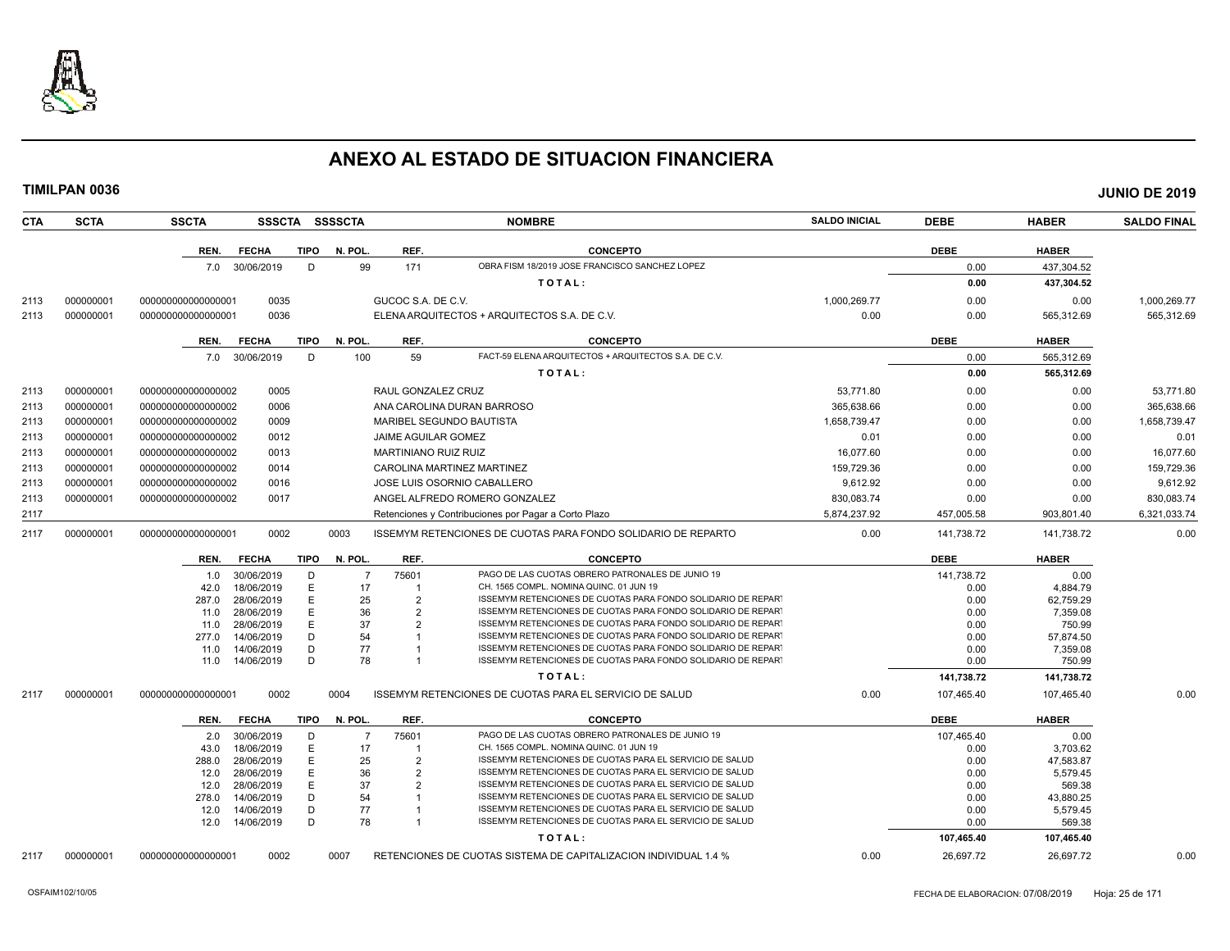

| <b>CTA</b> | <b>SCTA</b> | <b>SSCTA</b>       |                          |        | SSSCTA SSSSCTA |                             | <b>NOMBRE</b>                                                                                                                | <b>SALDO INICIAL</b> | <b>DEBE</b>  | <b>HABER</b>          | <b>SALDO FINAL</b> |
|------------|-------------|--------------------|--------------------------|--------|----------------|-----------------------------|------------------------------------------------------------------------------------------------------------------------------|----------------------|--------------|-----------------------|--------------------|
|            |             | REN.               | <b>FECHA</b>             | TIPO   | N. POL.        | REF.                        | <b>CONCEPTO</b>                                                                                                              |                      | <b>DEBE</b>  | <b>HABER</b>          |                    |
|            |             |                    | 7.0 30/06/2019           | D      | 99             | 171                         | OBRA FISM 18/2019 JOSE FRANCISCO SANCHEZ LOPEZ                                                                               |                      | 0.00         | 437,304.52            |                    |
|            |             |                    |                          |        |                |                             | TOTAL:                                                                                                                       |                      | 0.00         | 437,304.52            |                    |
| 2113       | 000000001   | 000000000000000001 | 0035                     |        |                | GUCOC S.A. DE C.V.          |                                                                                                                              | 1,000,269.77         | 0.00         | 0.00                  | 1,000,269.77       |
| 2113       | 000000001   | 000000000000000001 | 0036                     |        |                |                             | ELENA ARQUITECTOS + ARQUITECTOS S.A. DE C.V.                                                                                 | 0.00                 | 0.00         | 565,312.69            | 565,312.69         |
|            |             |                    |                          |        |                |                             |                                                                                                                              |                      |              |                       |                    |
|            |             | REN.               | <b>FECHA</b>             | TIPO   | N. POL.        | REF.                        | <b>CONCEPTO</b>                                                                                                              |                      | <b>DEBE</b>  | <b>HABER</b>          |                    |
|            |             |                    | 7.0 30/06/2019           | D      | 100            | 59                          | FACT-59 ELENA ARQUITECTOS + ARQUITECTOS S.A. DE C.V.                                                                         |                      | 0.00         | 565,312.69            |                    |
|            |             |                    |                          |        |                |                             | TOTAL:                                                                                                                       |                      | 0.00         | 565,312.69            |                    |
| 2113       | 000000001   | 00000000000000002  | 0005                     |        |                | RAUL GONZALEZ CRUZ          |                                                                                                                              | 53.771.80            | 0.00         | 0.00                  | 53,771.80          |
| 2113       | 000000001   | 00000000000000002  | 0006                     |        |                |                             | ANA CAROLINA DURAN BARROSO                                                                                                   | 365,638.66           | 0.00         | 0.00                  | 365,638.66         |
| 2113       | 000000001   | 00000000000000002  | 0009                     |        |                |                             | MARIBEL SEGUNDO BAUTISTA                                                                                                     | 1,658,739.47         | 0.00         | 0.00                  | 1,658,739.47       |
|            |             |                    |                          |        |                |                             |                                                                                                                              |                      |              |                       |                    |
| 2113       | 000000001   | 00000000000000002  | 0012                     |        |                | JAIME AGUILAR GOMEZ         |                                                                                                                              | 0.01                 | 0.00         | 0.00                  | 0.01               |
| 2113       | 000000001   | 00000000000000002  | 0013                     |        |                | <b>MARTINIANO RUIZ RUIZ</b> |                                                                                                                              | 16,077.60            | 0.00         | 0.00                  | 16,077.60          |
| 2113       | 000000001   | 000000000000000002 | 0014                     |        |                |                             | CAROLINA MARTINEZ MARTINEZ                                                                                                   | 159,729.36           | 0.00         | 0.00                  | 159,729.36         |
| 2113       | 000000001   | 00000000000000002  | 0016                     |        |                |                             | JOSE LUIS OSORNIO CABALLERO                                                                                                  | 9,612.92             | 0.00         | 0.00                  | 9,612.92           |
| 2113       | 000000001   | 00000000000000002  | 0017                     |        |                |                             | ANGEL ALFREDO ROMERO GONZALEZ                                                                                                | 830,083.74           | 0.00         | 0.00                  | 830,083.74         |
| 2117       |             |                    |                          |        |                |                             | Retenciones y Contribuciones por Pagar a Corto Plazo                                                                         | 5,874,237.92         | 457,005.58   | 903,801.40            | 6,321,033.74       |
| 2117       | 000000001   | 000000000000000001 | 0002                     |        | 0003           |                             | ISSEMYM RETENCIONES DE CUOTAS PARA FONDO SOLIDARIO DE REPARTO                                                                | 0.00                 | 141,738.72   | 141,738.72            | 0.00               |
|            |             | REN.               | <b>FECHA</b>             | TIPO   | N. POL.        | REF.                        | <b>CONCEPTO</b>                                                                                                              |                      | <b>DEBE</b>  | <b>HABER</b>          |                    |
|            |             | 1.0                | 30/06/2019               | D      | -7             | 75601                       | PAGO DE LAS CUOTAS OBRERO PATRONALES DE JUNIO 19                                                                             |                      | 141,738.72   | 0.00                  |                    |
|            |             | 42.0               | 18/06/2019               | E      | 17             | $\overline{1}$              | CH. 1565 COMPL. NOMINA QUINC. 01 JUN 19                                                                                      |                      | 0.00         | 4.884.79              |                    |
|            |             | 287.0              | 28/06/2019               | E<br>E | 25<br>36       | 2                           | ISSEMYM RETENCIONES DE CUOTAS PARA FONDO SOLIDARIO DE REPART<br>ISSEMYM RETENCIONES DE CUOTAS PARA FONDO SOLIDARIO DE REPART |                      | 0.00<br>0.00 | 62.759.29             |                    |
|            |             | 11.0<br>11.0       | 28/06/2019<br>28/06/2019 | E      | 37             | 2<br>2                      | ISSEMYM RETENCIONES DE CUOTAS PARA FONDO SOLIDARIO DE REPART                                                                 |                      | 0.00         | 7,359.08<br>750.99    |                    |
|            |             | 277.0              | 14/06/2019               | D      | 54             |                             | ISSEMYM RETENCIONES DE CUOTAS PARA FONDO SOLIDARIO DE REPART                                                                 |                      | 0.00         | 57,874.50             |                    |
|            |             | 11.0               | 14/06/2019               | D      | 77             |                             | ISSEMYM RETENCIONES DE CUOTAS PARA FONDO SOLIDARIO DE REPART                                                                 |                      | 0.00         | 7,359.08              |                    |
|            |             | 11.0               | 14/06/2019               | D      | 78             | $\mathbf{1}$                | ISSEMYM RETENCIONES DE CUOTAS PARA FONDO SOLIDARIO DE REPART                                                                 |                      | 0.00         | 750.99                |                    |
|            |             |                    |                          |        |                |                             | TOTAL:                                                                                                                       |                      | 141,738.72   | 141,738.72            |                    |
| 2117       | 000000001   | 000000000000000001 | 0002                     |        | 0004           |                             | ISSEMYM RETENCIONES DE CUOTAS PARA EL SERVICIO DE SALUD                                                                      | 0.00                 | 107,465.40   | 107,465.40            | 0.00               |
|            |             | REN.               | <b>FECHA</b>             | TIPO   | N. POL.        | REF.                        | <b>CONCEPTO</b>                                                                                                              |                      | <b>DEBE</b>  | <b>HABER</b>          |                    |
|            |             | 2.0                | 30/06/2019               | D      | $\overline{7}$ | 75601                       | PAGO DE LAS CUOTAS OBRERO PATRONALES DE JUNIO 19                                                                             |                      | 107,465.40   | 0.00                  |                    |
|            |             | 43.0               | 18/06/2019               | E      | 17             | -1                          | CH. 1565 COMPL. NOMINA QUINC. 01 JUN 19                                                                                      |                      | 0.00         | 3,703.62              |                    |
|            |             | 288.0              | 28/06/2019               | E      | 25             | $\overline{2}$              | ISSEMYM RETENCIONES DE CUOTAS PARA EL SERVICIO DE SALUD                                                                      |                      | 0.00         | 47,583.87             |                    |
|            |             | 12.0               | 28/06/2019               | E      | 36             | $\overline{2}$              | ISSEMYM RETENCIONES DE CUOTAS PARA EL SERVICIO DE SALUD                                                                      |                      | 0.00         | 5,579.45              |                    |
|            |             | 12.0<br>278.0      | 28/06/2019<br>14/06/2019 | E<br>D | 37<br>54       | $\overline{2}$              | ISSEMYM RETENCIONES DE CUOTAS PARA EL SERVICIO DE SALUD<br>ISSEMYM RETENCIONES DE CUOTAS PARA EL SERVICIO DE SALUD           |                      | 0.00<br>0.00 | 569.38                |                    |
|            |             | 12.0               | 14/06/2019               | D      | 77             | -1                          | ISSEMYM RETENCIONES DE CUOTAS PARA EL SERVICIO DE SALUD                                                                      |                      | 0.00         | 43,880.25<br>5,579.45 |                    |
|            |             | 12.0               | 14/06/2019               | D      | 78             | $\mathbf{1}$                | ISSEMYM RETENCIONES DE CUOTAS PARA EL SERVICIO DE SALUD                                                                      |                      | 0.00         | 569.38                |                    |
|            |             |                    |                          |        |                |                             | TOTAL:                                                                                                                       |                      | 107,465.40   | 107,465.40            |                    |
| 2117       | 000000001   | 00000000000000001  | 0002                     |        | 0007           |                             |                                                                                                                              | 0.00                 | 26,697.72    | 26,697.72             | 0.00               |
|            |             |                    |                          |        |                |                             | RETENCIONES DE CUOTAS SISTEMA DE CAPITALIZACION INDIVIDUAL 1.4 %                                                             |                      |              |                       |                    |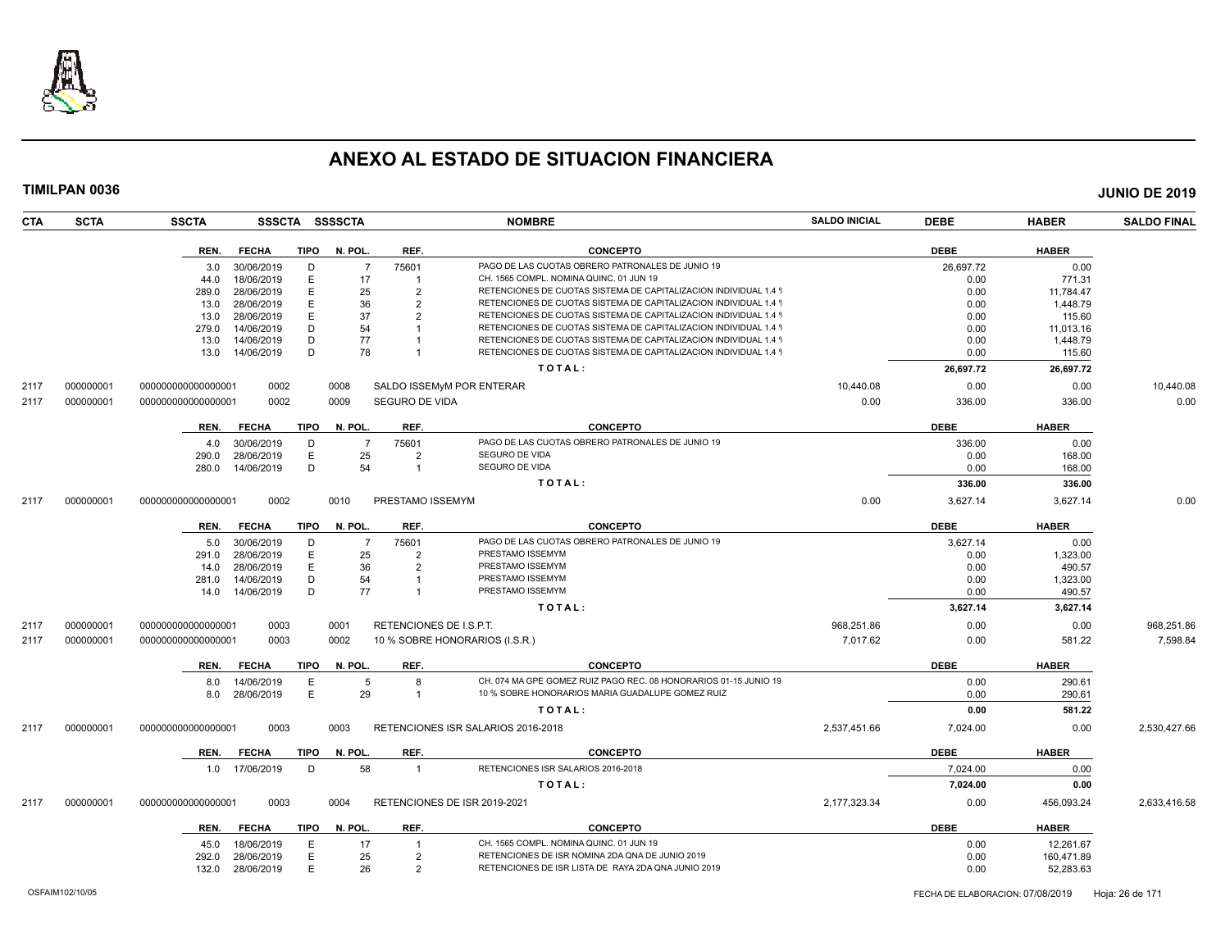

| CTA  | <b>SCTA</b> | <b>SSCTA</b>         |             | SSSCTA SSSSCTA |                         | <b>NOMBRE</b>                                                    | <b>SALDO INICIAL</b> | <b>DEBE</b> | <b>HABER</b> | <b>SALDO FINAL</b> |
|------|-------------|----------------------|-------------|----------------|-------------------------|------------------------------------------------------------------|----------------------|-------------|--------------|--------------------|
|      |             | <b>FECHA</b><br>REN. | <b>TIPO</b> | N. POL.        | REF.                    | <b>CONCEPTO</b>                                                  |                      | <b>DEBE</b> | <b>HABER</b> |                    |
|      |             | 30/06/2019<br>3.0    | D           | $\overline{7}$ | 75601                   | PAGO DE LAS CUOTAS OBRERO PATRONALES DE JUNIO 19                 |                      | 26,697.72   | 0.00         |                    |
|      |             | 18/06/2019<br>44.0   | E           | 17             |                         | CH. 1565 COMPL. NOMINA QUINC. 01 JUN 19                          |                      | 0.00        | 771.31       |                    |
|      |             | 28/06/2019<br>289.0  | E           | 25             | $\mathcal{P}$           | RETENCIONES DE CUOTAS SISTEMA DE CAPITALIZACION INDIVIDUAL 1.4 9 |                      | 0.00        | 11,784.47    |                    |
|      |             | 28/06/2019<br>13.0   | E           | 36             | $\overline{2}$          | RETENCIONES DE CUOTAS SISTEMA DE CAPITALIZACION INDIVIDUAL 1.4 9 |                      | 0.00        | 1,448.79     |                    |
|      |             | 28/06/2019<br>13.0   | E           | 37             | $\mathcal{P}$           | RETENCIONES DE CUOTAS SISTEMA DE CAPITALIZACION INDIVIDUAL 1.4 9 |                      | 0.00        | 115.60       |                    |
|      |             | 14/06/2019<br>279.0  | D           | 54             |                         | RETENCIONES DE CUOTAS SISTEMA DE CAPITALIZACION INDIVIDUAL 1.4 9 |                      | 0.00        | 11,013.16    |                    |
|      |             | 14/06/2019<br>13.0   | D           | 77             |                         | RETENCIONES DE CUOTAS SISTEMA DE CAPITALIZACION INDIVIDUAL 1.4 9 |                      | 0.00        | 1,448.79     |                    |
|      |             | 14/06/2019<br>13.0   | D           | 78             |                         | RETENCIONES DE CUOTAS SISTEMA DE CAPITALIZACION INDIVIDUAL 1.4 9 |                      | 0.00        | 115.60       |                    |
|      |             |                      |             |                |                         | TOTAL:                                                           |                      | 26,697.72   | 26,697.72    |                    |
| 2117 | 000000001   | 000000000000000001   | 0002        | 0008           |                         | SALDO ISSEMyM POR ENTERAR                                        | 10,440.08            | 0.00        | 0.00         | 10,440.08          |
| 2117 | 000000001   | 000000000000000001   | 0002        | 0009           | SEGURO DE VIDA          |                                                                  | 0.00                 | 336.00      | 336.00       | 0.00               |
|      |             | <b>FECHA</b><br>REN. | <b>TIPO</b> | N. POL.        | REF.                    | CONCEPTO                                                         |                      | <b>DEBE</b> | <b>HABER</b> |                    |
|      |             | 30/06/2019<br>4.0    | D           | $\overline{7}$ | 75601                   | PAGO DE LAS CUOTAS OBRERO PATRONALES DE JUNIO 19                 |                      | 336.00      | 0.00         |                    |
|      |             | 28/06/2019<br>290.0  | E           | 25             | $\overline{2}$          | SEGURO DE VIDA                                                   |                      | 0.00        | 168.00       |                    |
|      |             | 280.0<br>14/06/2019  | D           | 54             | $\overline{1}$          | SEGURO DE VIDA                                                   |                      | 0.00        | 168.00       |                    |
|      |             |                      |             |                |                         | TOTAL:                                                           |                      | 336.00      | 336.00       |                    |
| 2117 | 000000001   | 000000000000000001   | 0002        | 0010           | PRESTAMO ISSEMYM        |                                                                  | 0.00                 | 3,627.14    | 3,627.14     | 0.00               |
|      |             | <b>FECHA</b><br>REN. | <b>TIPO</b> | N. POL.        | REF.                    | <b>CONCEPTO</b>                                                  |                      | <b>DEBE</b> | <b>HABER</b> |                    |
|      |             | 30/06/2019<br>5.0    | D           | $\overline{7}$ | 75601                   | PAGO DE LAS CUOTAS OBRERO PATRONALES DE JUNIO 19                 |                      | 3,627.14    | 0.00         |                    |
|      |             | 28/06/2019<br>291.0  | E           | 25             | $\overline{2}$          | PRESTAMO ISSEMYM                                                 |                      | 0.00        | 1,323.00     |                    |
|      |             | 28/06/2019<br>14.0   | E           | 36             | $\mathcal{P}$           | PRESTAMO ISSEMYM                                                 |                      | 0.00        | 490.57       |                    |
|      |             | 14/06/2019<br>281.0  | D           | 54             |                         | PRESTAMO ISSEMYM                                                 |                      | 0.00        | 1,323.00     |                    |
|      |             | 14.0  14/06/2019     | D           | 77             |                         | PRESTAMO ISSEMYM                                                 |                      | 0.00        | 490.57       |                    |
|      |             |                      |             |                |                         | TOTAL:                                                           |                      | 3,627.14    | 3,627.14     |                    |
| 2117 | 000000001   | 000000000000000001   | 0003        | 0001           | RETENCIONES DE I.S.P.T. |                                                                  | 968,251.86           | 0.00        | 0.00         | 968,251.86         |
| 2117 | 000000001   | 000000000000000001   | 0003        | 0002           |                         | 10 % SOBRE HONORARIOS (I.S.R.)                                   | 7,017.62             | 0.00        | 581.22       | 7,598.84           |
|      |             | REN.<br><b>FECHA</b> | TIPO        | N. POL.        | REF.                    | <b>CONCEPTO</b>                                                  |                      | <b>DEBE</b> | <b>HABER</b> |                    |
|      |             | 14/06/2019<br>8.0    | E           | 5              | $\mathsf{R}$            | CH. 074 MA GPE GOMEZ RUIZ PAGO REC. 08 HONORARIOS 01-15 JUNIO 19 |                      | 0.00        | 290.61       |                    |
|      |             | 28/06/2019<br>8.0    | E           | 29             | $\overline{1}$          | 10 % SOBRE HONORARIOS MARIA GUADALUPE GOMEZ RUIZ                 |                      | 0.00        | 290.61       |                    |
|      |             |                      |             |                |                         | TOTAL:                                                           |                      | 0.00        | 581.22       |                    |
| 2117 | 000000001   | 00000000000000000    | 0003        | 0003           |                         | RETENCIONES ISR SALARIOS 2016-2018                               | 2,537,451.66         | 7,024.00    | 0.00         | 2,530,427.66       |
|      |             | <b>FECHA</b><br>REN. | <b>TIPO</b> | N. POL.        | REF.                    | <b>CONCEPTO</b>                                                  |                      | <b>DEBE</b> | <b>HABER</b> |                    |
|      |             | 1.0 17/06/2019       | D           | 58             | $\overline{1}$          | RETENCIONES ISR SALARIOS 2016-2018                               |                      | 7,024.00    | 0.00         |                    |
|      |             |                      |             |                |                         | TOTAL:                                                           |                      | 7,024.00    | 0.00         |                    |
| 2117 | 000000001   | 00000000000000000    | 0003        | 0004           |                         | RETENCIONES DE ISR 2019-2021                                     | 2,177,323.34         | 0.00        | 456,093.24   | 2,633,416.58       |
|      |             | <b>FECHA</b><br>REN. | TIPO        | N. POL.        | REF.                    | <b>CONCEPTO</b>                                                  |                      | <b>DEBE</b> | <b>HABER</b> |                    |
|      |             | 18/06/2019<br>45.0   | E           | 17             |                         | CH. 1565 COMPL. NOMINA QUINC. 01 JUN 19                          |                      | 0.00        | 12,261.67    |                    |
|      |             | 28/06/2019<br>292.0  | E           | 25             | $\overline{2}$          | RETENCIONES DE ISR NOMINA 2DA QNA DE JUNIO 2019                  |                      | 0.00        | 160,471.89   |                    |
|      |             | 132.0<br>28/06/2019  | E           | 26             | $\mathcal{P}$           | RETENCIONES DE ISR LISTA DE RAYA 2DA QNA JUNIO 2019              |                      | 0.00        | 52,283.63    |                    |
|      |             |                      |             |                |                         |                                                                  |                      |             |              |                    |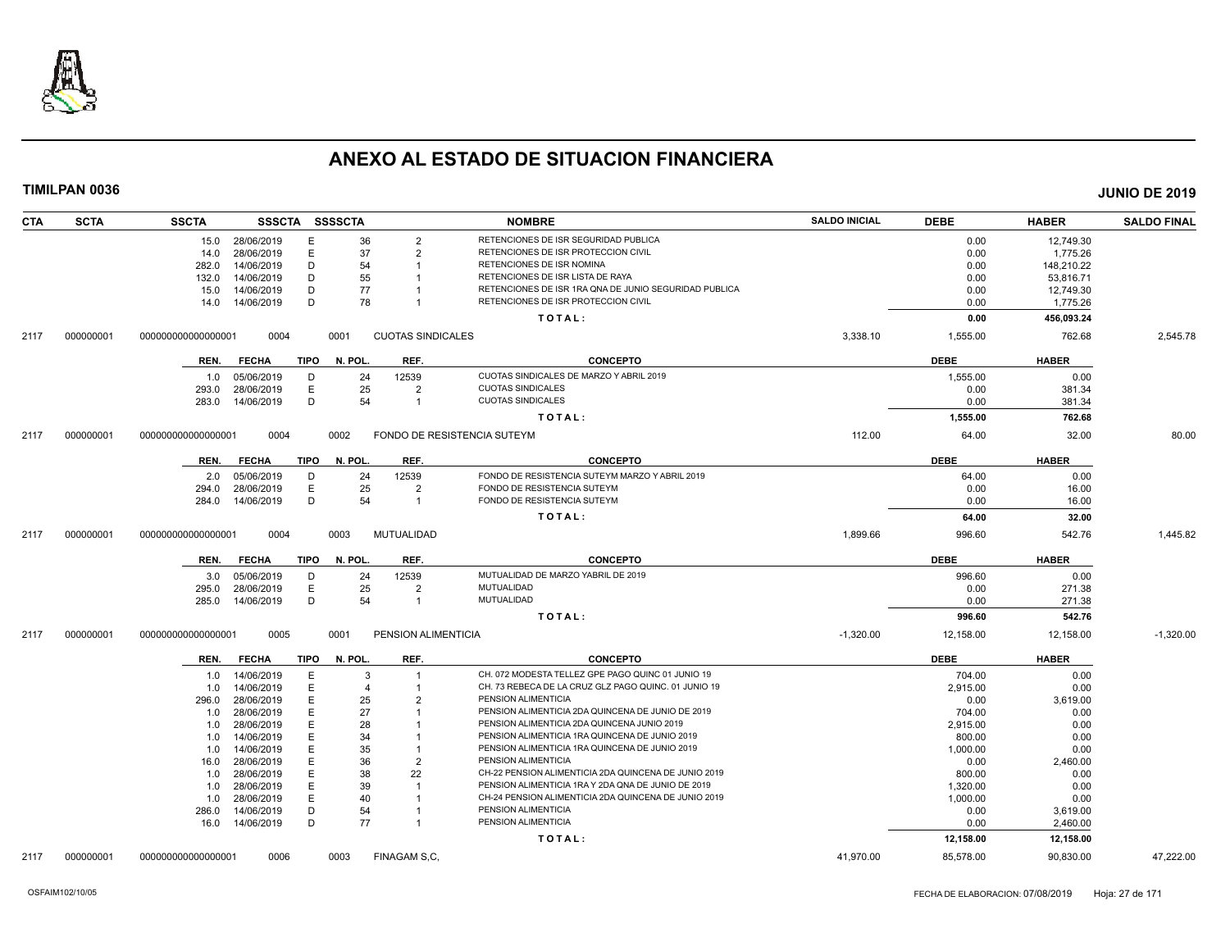

| <b>CTA</b> | <b>SCTA</b> | SSSCTA SSSSCTA<br><b>SSCTA</b>      |         |                          | <b>NOMBRE</b>                                         | <b>SALDO INICIAL</b> | <b>DEBE</b> | <b>HABER</b> | <b>SALDO FINAL</b> |
|------------|-------------|-------------------------------------|---------|--------------------------|-------------------------------------------------------|----------------------|-------------|--------------|--------------------|
|            |             | 15.0 28/06/2019<br>Е                | 36      | $\overline{2}$           | RETENCIONES DE ISR SEGURIDAD PUBLICA                  |                      | 0.00        | 12,749.30    |                    |
|            |             | 28/06/2019<br>E<br>14.0             | 37      | $\overline{2}$           | RETENCIONES DE ISR PROTECCION CIVIL                   |                      | 0.00        | 1,775.26     |                    |
|            |             | 282.0<br>14/06/2019<br>D            | 54      |                          | RETENCIONES DE ISR NOMINA                             |                      | 0.00        | 148,210.22   |                    |
|            |             | 14/06/2019<br>D<br>132.0            | 55      |                          | RETENCIONES DE ISR LISTA DE RAYA                      |                      | 0.00        | 53,816.71    |                    |
|            |             | 14/06/2019<br>D<br>15.0             | 77      |                          | RETENCIONES DE ISR 1RA QNA DE JUNIO SEGURIDAD PUBLICA |                      | 0.00        | 12,749.30    |                    |
|            |             | D<br>14/06/2019<br>14.0             | 78      |                          | RETENCIONES DE ISR PROTECCION CIVIL                   |                      | 0.00        | 1,775.26     |                    |
|            |             |                                     |         |                          | TOTAL:                                                |                      | 0.00        | 456,093.24   |                    |
| 2117       | 000000001   | 000000000000000001<br>0004          | 0001    | <b>CUOTAS SINDICALES</b> |                                                       | 3,338.10             | 1,555.00    | 762.68       | 2,545.78           |
|            |             | <b>FECHA</b><br>TIPO<br>REN.        | N. POL. | REF.                     | <b>CONCEPTO</b>                                       |                      | <b>DEBE</b> | <b>HABER</b> |                    |
|            |             | 05/06/2019<br>D<br>1.0              | 24      | 12539                    | CUOTAS SINDICALES DE MARZO Y ABRIL 2019               |                      | 1,555.00    | 0.00         |                    |
|            |             | E<br>28/06/2019<br>293.0            | 25      | $\overline{2}$           | <b>CUOTAS SINDICALES</b>                              |                      | 0.00        | 381.34       |                    |
|            |             | 14/06/2019<br>D<br>283.0            | 54      | $\overline{\mathbf{1}}$  | <b>CUOTAS SINDICALES</b>                              |                      | 0.00        | 381.34       |                    |
|            |             |                                     |         |                          | TOTAL:                                                |                      | 1,555.00    | 762.68       |                    |
| 2117       | 000000001   | 0004<br>000000000000000001          | 0002    |                          | FONDO DE RESISTENCIA SUTEYM                           | 112.00               | 64.00       | 32.00        | 80.00              |
|            |             | <b>TIPO</b><br>REN.<br><b>FECHA</b> | N. POL. | REF.                     | <b>CONCEPTO</b>                                       |                      | <b>DEBE</b> | <b>HABER</b> |                    |
|            |             | 05/06/2019<br>D<br>2.0              | 24      | 12539                    | FONDO DE RESISTENCIA SUTEYM MARZO Y ABRIL 2019        |                      | 64.00       | 0.00         |                    |
|            |             | Ε<br>28/06/2019<br>294.0            | 25      | $\overline{2}$           | FONDO DE RESISTENCIA SUTEYM                           |                      | 0.00        | 16.00        |                    |
|            |             | 14/06/2019<br>D<br>284.0            | 54      | $\overline{1}$           | FONDO DE RESISTENCIA SUTEYM                           |                      | 0.00        | 16.00        |                    |
|            |             |                                     |         |                          | TOTAL:                                                |                      | 64.00       | 32.00        |                    |
| 2117       | 000000001   | 0004<br>000000000000000001          | 0003    | MUTUALIDAD               |                                                       | 1,899.66             | 996.60      | 542.76       | 1,445.82           |
|            |             | <b>FECHA</b><br>TIPO<br>REN.        | N. POL. | REF.                     | <b>CONCEPTO</b>                                       |                      | <b>DEBE</b> | <b>HABER</b> |                    |
|            |             | 05/06/2019<br>D<br>3.0              | 24      | 12539                    | MUTUALIDAD DE MARZO YABRIL DE 2019                    |                      | 996.60      | 0.00         |                    |
|            |             | E<br>28/06/2019<br>295.0            | 25      | $\overline{2}$           | MUTUALIDAD                                            |                      | 0.00        | 271.38       |                    |
|            |             | D<br>14/06/2019<br>285.0            | 54      | $\overline{\mathbf{1}}$  | MUTUALIDAD                                            |                      | 0.00        | 271.38       |                    |
|            |             |                                     |         |                          | TOTAL:                                                |                      | 996.60      | 542.76       |                    |
| 2117       | 000000001   | 000000000000000001<br>0005          | 0001    | PENSION ALIMENTICIA      |                                                       | $-1,320.00$          | 12,158.00   | 12,158.00    | $-1.320.00$        |
|            |             | <b>FECHA</b><br>TIPO<br>REN.        | N. POL. | REF.                     | <b>CONCEPTO</b>                                       |                      | <b>DEBE</b> | <b>HABER</b> |                    |
|            |             | 1.0 14/06/2019<br>E                 | 3       | $\overline{1}$           | CH. 072 MODESTA TELLEZ GPE PAGO QUINC 01 JUNIO 19     |                      | 704.00      | 0.00         |                    |
|            |             | E<br>14/06/2019<br>1.0              | 4       | -1                       | CH. 73 REBECA DE LA CRUZ GLZ PAGO QUINC. 01 JUNIO 19  |                      | 2,915.00    | 0.00         |                    |
|            |             | 28/06/2019<br>E<br>296.0            | 25      | $\overline{2}$           | PENSION ALIMENTICIA                                   |                      | 0.00        | 3,619.00     |                    |
|            |             | E<br>28/06/2019<br>1.0              | 27      |                          | PENSION ALIMENTICIA 2DA QUINCENA DE JUNIO DE 2019     |                      | 704.00      | 0.00         |                    |
|            |             | 28/06/2019<br>E<br>1.0              | 28      |                          | PENSION ALIMENTICIA 2DA QUINCENA JUNIO 2019           |                      | 2,915.00    | 0.00         |                    |
|            |             | 14/06/2019<br>Е<br>1.0              | 34      |                          | PENSION ALIMENTICIA 1RA QUINCENA DE JUNIO 2019        |                      | 800.00      | 0.00         |                    |
|            |             | 14/06/2019<br>E<br>1.0              | 35      |                          | PENSION ALIMENTICIA 1RA QUINCENA DE JUNIO 2019        |                      | 1,000.00    | 0.00         |                    |
|            |             | 28/06/2019<br>E<br>16.0             | 36      | $\overline{2}$           | PENSION ALIMENTICIA                                   |                      | 0.00        | 2,460.00     |                    |
|            |             | 28/06/2019<br>Е<br>1.0              | 38      | 22                       | CH-22 PENSION ALIMENTICIA 2DA QUINCENA DE JUNIO 2019  |                      | 800.00      | 0.00         |                    |
|            |             | 28/06/2019<br>E<br>1.0              | 39      |                          | PENSION ALIMENTICIA 1RA Y 2DA QNA DE JUNIO DE 2019    |                      | 1,320.00    | 0.00         |                    |
|            |             | 28/06/2019<br>E<br>1.0              | 40      |                          | CH-24 PENSION ALIMENTICIA 2DA QUINCENA DE JUNIO 2019  |                      | 1,000.00    | 0.00         |                    |
|            |             | 14/06/2019<br>D<br>286.0            | 54      |                          | PENSION ALIMENTICIA                                   |                      | 0.00        | 3,619.00     |                    |
|            |             | D<br>16.0  14/06/2019               | 77      | $\overline{1}$           | PENSION ALIMENTICIA                                   |                      | 0.00        | 2,460.00     |                    |
|            |             |                                     |         |                          | TOTAL:                                                |                      | 12,158.00   | 12,158.00    |                    |
| 2117       | 000000001   | 0006<br>000000000000000001          | 0003    | FINAGAM S.C.             |                                                       | 41,970.00            | 85,578.00   | 90,830.00    | 47.222.00          |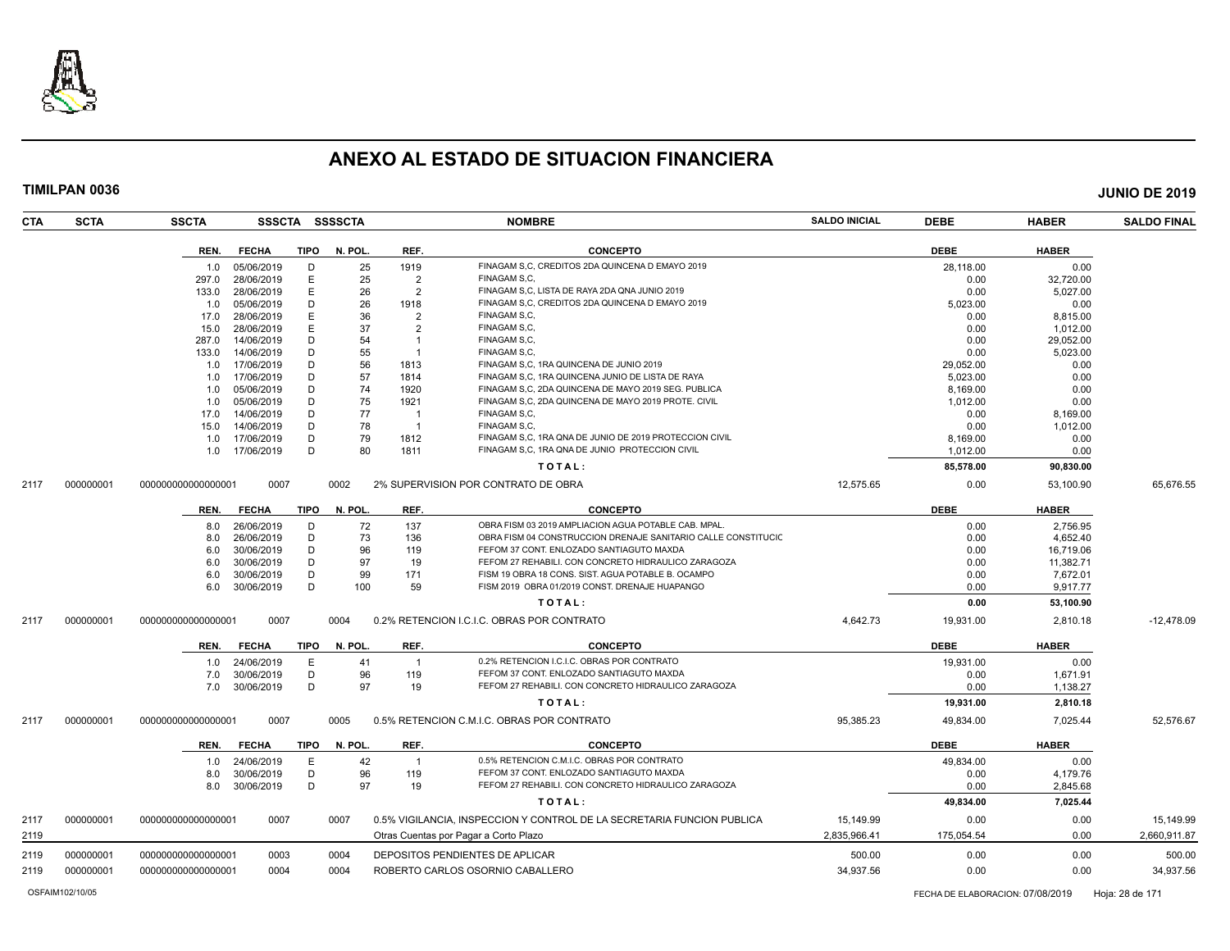

| CTA          | <b>SCTA</b> | <b>SSCTA</b>       |                          |             | SSSCTA SSSSCTA |                | <b>NOMBRE</b>                                                                                                   | <b>SALDO INICIAL</b>      | <b>DEBE</b>        | <b>HABER</b>     | <b>SALDO FINAL</b>        |
|--------------|-------------|--------------------|--------------------------|-------------|----------------|----------------|-----------------------------------------------------------------------------------------------------------------|---------------------------|--------------------|------------------|---------------------------|
|              |             | REN.               | <b>FECHA</b>             | TIPO        | N. POL.        | REF.           | <b>CONCEPTO</b>                                                                                                 |                           | <b>DEBE</b>        | <b>HABER</b>     |                           |
|              |             | 1.0                | 05/06/2019               | D           | 25             | 1919           | FINAGAM S.C. CREDITOS 2DA QUINCENA D EMAYO 2019                                                                 |                           | 28,118.00          | 0.00             |                           |
|              |             | 297.0              | 28/06/2019               | Ε           | 25             | $\overline{2}$ | FINAGAM S.C.                                                                                                    |                           | 0.00               | 32,720.00        |                           |
|              |             | 133.0              | 28/06/2019               | E           | 26             | $\overline{2}$ | FINAGAM S,C, LISTA DE RAYA 2DA QNA JUNIO 2019                                                                   |                           | 0.00               | 5,027.00         |                           |
|              |             | 1.0                | 05/06/2019               | D           | 26             | 1918           | FINAGAM S,C, CREDITOS 2DA QUINCENA D EMAYO 2019                                                                 |                           | 5,023.00           | 0.00             |                           |
|              |             | 17.0               | 28/06/2019               | E           | 36             | $\overline{2}$ | FINAGAM S.C.                                                                                                    |                           | 0.00               | 8,815.00         |                           |
|              |             | 15.0               | 28/06/2019               | E           | 37             | $\overline{2}$ | FINAGAM S.C.                                                                                                    |                           | 0.00               | 1,012.00         |                           |
|              |             | 287.0              | 14/06/2019               | D           | 54             | $\overline{1}$ | FINAGAM S.C.                                                                                                    |                           | 0.00               | 29,052.00        |                           |
|              |             | 133.0              | 14/06/2019               | D           | 55             |                | FINAGAM S.C.                                                                                                    |                           | 0.00               | 5,023.00         |                           |
|              |             | 1.0                | 17/06/2019               | D           | 56             | 1813           | FINAGAM S.C. 1RA QUINCENA DE JUNIO 2019                                                                         |                           | 29,052.00          | 0.00             |                           |
|              |             | 1.0                | 17/06/2019               | D           | 57             | 1814           | FINAGAM S.C. 1RA QUINCENA JUNIO DE LISTA DE RAYA                                                                |                           | 5,023.00           | 0.00             |                           |
|              |             | 1.0                | 05/06/2019               | D           | 74             | 1920           | FINAGAM S.C. 2DA QUINCENA DE MAYO 2019 SEG. PUBLICA                                                             |                           | 8,169.00           | 0.00             |                           |
|              |             | 1.0                | 05/06/2019               | D           | 75             | 1921           | FINAGAM S,C, 2DA QUINCENA DE MAYO 2019 PROTE. CIVIL                                                             |                           | 1,012.00           | 0.00             |                           |
|              |             | 17.0               | 14/06/2019               | D           | 77             | -1             | FINAGAM S.C.                                                                                                    |                           | 0.00               | 8,169.00         |                           |
|              |             | 15.0               | 14/06/2019               | D           | 78             | $\overline{1}$ | FINAGAM S.C.                                                                                                    |                           | 0.00               | 1,012.00         |                           |
|              |             | 1.0                | 17/06/2019               | D           | 79             | 1812           | FINAGAM S,C, 1RA QNA DE JUNIO DE 2019 PROTECCION CIVIL                                                          |                           | 8,169.00           | 0.00             |                           |
|              |             | 1.0                | 17/06/2019               | D           | 80             | 1811           | FINAGAM S.C. 1RA QNA DE JUNIO PROTECCION CIVIL                                                                  |                           | 1,012.00           | 0.00             |                           |
|              |             |                    |                          |             |                |                | TOTAL:                                                                                                          |                           | 85,578.00          | 90,830.00        |                           |
| 2117         | 000000001   | 000000000000000001 | 0007                     |             | 0002           |                | 2% SUPERVISION POR CONTRATO DE OBRA                                                                             | 12,575.65                 | 0.00               | 53,100.90        | 65,676.55                 |
|              |             | REN.               | <b>FECHA</b>             | <b>TIPO</b> | N. POL         | REF.           | <b>CONCEPTO</b>                                                                                                 |                           | <b>DEBE</b>        | <b>HABER</b>     |                           |
|              |             | 8.0                | 26/06/2019               | D           | 72             | 137            | OBRA FISM 03 2019 AMPLIACION AGUA POTABLE CAB. MPAL.                                                            |                           | 0.00               | 2.756.95         |                           |
|              |             | 8.0                | 26/06/2019               | D           | 73             | 136            | OBRA FISM 04 CONSTRUCCION DRENAJE SANITARIO CALLE CONSTITUCIO                                                   |                           | 0.00               | 4,652.40         |                           |
|              |             | 6.0                | 30/06/2019               | D           | 96             | 119            | FEFOM 37 CONT. ENLOZADO SANTIAGUTO MAXDA                                                                        |                           | 0.00               | 16,719.06        |                           |
|              |             | 6.0                | 30/06/2019               | D           | 97             | 19             | FEFOM 27 REHABILI. CON CONCRETO HIDRAULICO ZARAGOZA                                                             |                           | 0.00               | 11,382.71        |                           |
|              |             | 6.0                | 30/06/2019               | D           | 99             | 171            | FISM 19 OBRA 18 CONS. SIST. AGUA POTABLE B. OCAMPO                                                              |                           | 0.00               | 7,672.01         |                           |
|              |             | 6.0                | 30/06/2019               | D           | 100            | 59             | FISM 2019 OBRA 01/2019 CONST. DRENAJE HUAPANGO                                                                  |                           | 0.00               | 9,917.77         |                           |
|              |             |                    |                          |             |                |                | TOTAL:                                                                                                          |                           | 0.00               | 53,100.90        |                           |
| 2117         | 000000001   | 000000000000000001 | 0007                     |             | 0004           |                | 0.2% RETENCION I.C.I.C. OBRAS POR CONTRATO                                                                      | 4,642.73                  | 19,931.00          | 2,810.18         | $-12,478.09$              |
|              |             | REN.               | <b>FECHA</b>             | <b>TIPO</b> | N. POL         | REF.           | <b>CONCEPTO</b>                                                                                                 |                           | <b>DEBE</b>        | <b>HABER</b>     |                           |
|              |             | 1.0                | 24/06/2019               | E           | 41             | $\overline{1}$ | 0.2% RETENCION I.C.I.C. OBRAS POR CONTRATO                                                                      |                           | 19,931.00          | 0.00             |                           |
|              |             | 7.0                | 30/06/2019               | D           | 96             | 119            | FEFOM 37 CONT. ENLOZADO SANTIAGUTO MAXDA                                                                        |                           | 0.00               | 1,671.91         |                           |
|              |             | 7.0                | 30/06/2019               | D           | 97             | 19             | FEFOM 27 REHABILI. CON CONCRETO HIDRAULICO ZARAGOZA                                                             |                           | 0.00               | 1,138.27         |                           |
|              |             |                    |                          |             |                |                | TOTAL:                                                                                                          |                           | 19,931.00          | 2,810.18         |                           |
| 2117         | 000000001   | 000000000000000001 | 0007                     |             | 0005           |                | 0.5% RETENCION C.M.I.C. OBRAS POR CONTRATO                                                                      | 95,385.23                 | 49,834.00          | 7,025.44         | 52,576.67                 |
|              |             | REN.               | <b>FECHA</b>             | TIPO        | N. POL.        | REF.           | <b>CONCEPTO</b>                                                                                                 |                           | <b>DEBE</b>        | <b>HABER</b>     |                           |
|              |             |                    |                          |             |                | $\overline{1}$ | 0.5% RETENCION C.M.I.C. OBRAS POR CONTRATO                                                                      |                           |                    |                  |                           |
|              |             | 1.0<br>8.0         | 24/06/2019<br>30/06/2019 | E<br>D      | 42<br>96       | 119            | FEFOM 37 CONT. ENLOZADO SANTIAGUTO MAXDA                                                                        |                           | 49,834.00<br>0.00  | 0.00<br>4,179.76 |                           |
|              |             |                    |                          | D           | 97             | 19             | FEFOM 27 REHABILI, CON CONCRETO HIDRAULICO ZARAGOZA                                                             |                           | 0.00               |                  |                           |
|              |             | 8.0                | 30/06/2019               |             |                |                |                                                                                                                 |                           |                    | 2,845.68         |                           |
|              |             |                    |                          |             |                |                | TOTAL:                                                                                                          |                           | 49,834.00          | 7,025.44         |                           |
| 2117<br>2119 | 000000001   | 000000000000000001 | 0007                     |             | 0007           |                | 0.5% VIGILANCIA, INSPECCION Y CONTROL DE LA SECRETARIA FUNCION PUBLICA<br>Otras Cuentas por Pagar a Corto Plazo | 15,149.99<br>2,835,966.41 | 0.00<br>175,054.54 | 0.00<br>0.00     | 15,149.99<br>2,660,911.87 |
|              |             |                    | 0003                     |             | 0004           |                |                                                                                                                 |                           | 0.00               |                  | 500.00                    |
| 2119         | 000000001   | 000000000000000001 |                          |             |                |                | DEPOSITOS PENDIENTES DE APLICAR                                                                                 | 500.00                    |                    | 0.00             |                           |
| 2119         | 000000001   | 000000000000000001 | 0004                     |             | 0004           |                | ROBERTO CARLOS OSORNIO CABALLERO                                                                                | 34,937.56                 | 0.00               | 0.00             | 34,937.56                 |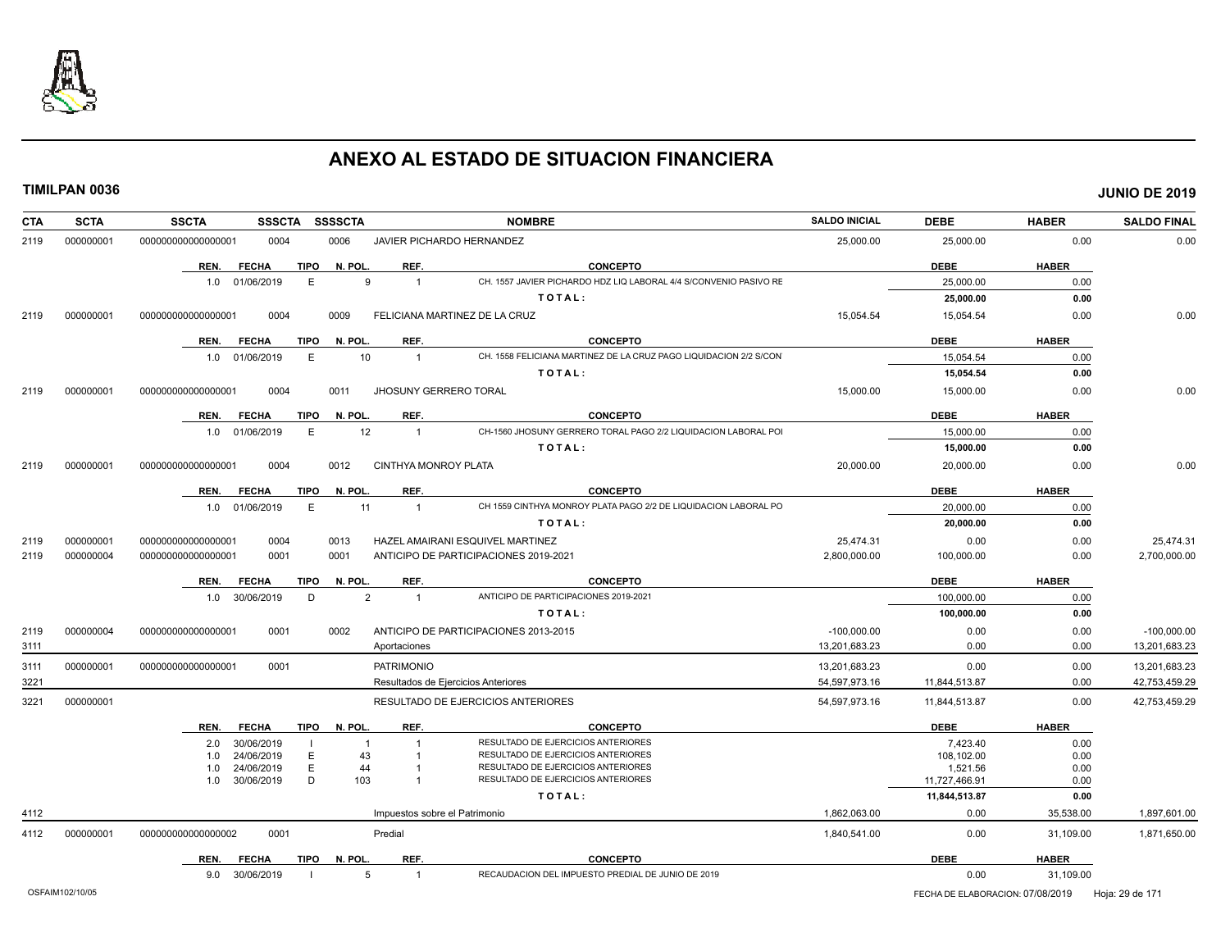

| <b>SCTA</b><br><b>CTA</b> | <b>SSCTA</b>       |      | <b>SSSCTA</b>  |             | <b>SSSSCTA</b> |                      | <b>NOMBRE</b>                                                     | <b>SALDO INICIAL</b>                             | <b>DEBE</b>   | <b>HABER</b> | <b>SALDO FINAL</b> |
|---------------------------|--------------------|------|----------------|-------------|----------------|----------------------|-------------------------------------------------------------------|--------------------------------------------------|---------------|--------------|--------------------|
| 000000001<br>2119         | 000000000000000001 |      | 0004           |             | 0006           |                      | JAVIER PICHARDO HERNANDEZ                                         | 25,000.00                                        | 25,000.00     | 0.00         | 0.00               |
|                           |                    | REN. | <b>FECHA</b>   | <b>TIPO</b> | N. POL.        | REF.                 | <b>CONCEPTO</b>                                                   |                                                  | <b>DEBE</b>   | <b>HABER</b> |                    |
|                           |                    |      | 1.0 01/06/2019 | E           | 9              | $\overline{1}$       | CH. 1557 JAVIER PICHARDO HDZ LIQ LABORAL 4/4 S/CONVENIO PASIVO RE |                                                  | 25,000.00     | 0.00         |                    |
|                           |                    |      |                |             |                |                      | TOTAL:                                                            |                                                  | 25,000.00     | 0.00         |                    |
| 000000001<br>2119         | 000000000000000001 |      | 0004           |             | 0009           |                      | FELICIANA MARTINEZ DE LA CRUZ                                     | 15,054.54                                        | 15,054.54     | 0.00         | 0.00               |
|                           |                    | REN. | <b>FECHA</b>   | <b>TIPO</b> | N. POL.        | REF.                 | <b>CONCEPTO</b>                                                   |                                                  | <b>DEBE</b>   | <b>HABER</b> |                    |
|                           |                    |      | 1.0 01/06/2019 | E           | 10             | $\overline{1}$       | CH. 1558 FELICIANA MARTINEZ DE LA CRUZ PAGO LIQUIDACION 2/2 S/CON |                                                  | 15,054.54     | 0.00         |                    |
|                           |                    |      |                |             |                |                      | TOTAL:                                                            |                                                  | 15,054.54     | 0.00         |                    |
| 000000001<br>2119         | 00000000000000001  |      | 0004           |             | 0011           |                      | <b>JHOSUNY GERRERO TORAL</b>                                      | 15,000.00                                        | 15,000.00     | 0.00         | 0.00               |
|                           |                    | REN. | <b>FECHA</b>   | TIPO        | N. POL.        | REF.                 | <b>CONCEPTO</b>                                                   |                                                  | <b>DEBE</b>   | <b>HABER</b> |                    |
|                           |                    |      | 1.0 01/06/2019 | E           | 12             | $\overline{1}$       | CH-1560 JHOSUNY GERRERO TORAL PAGO 2/2 LIQUIDACION LABORAL POI    |                                                  | 15,000.00     | 0.00         |                    |
|                           |                    |      |                |             |                |                      | TOTAL:                                                            |                                                  | 15,000.00     | 0.00         |                    |
| 000000001<br>2119         | 000000000000000001 |      | 0004           |             | 0012           | CINTHYA MONROY PLATA |                                                                   | 20,000.00                                        | 20,000.00     | 0.00         | 0.00               |
|                           |                    | REN. | <b>FECHA</b>   | <b>TIPO</b> | N. POL.        | REF.                 | <b>CONCEPTO</b>                                                   |                                                  | <b>DEBE</b>   | <b>HABER</b> |                    |
|                           |                    |      | 1.0 01/06/2019 | E           | 11             | $\overline{1}$       | CH 1559 CINTHYA MONROY PLATA PAGO 2/2 DE LIQUIDACION LABORAL PO   |                                                  | 20,000.00     | 0.00         |                    |
|                           |                    |      |                |             |                |                      | TOTAL:                                                            |                                                  | 20,000.00     | 0.00         |                    |
| 000000001<br>2119         | 000000000000000001 |      | 0004           |             | 0013           |                      | HAZEL AMAIRANI ESQUIVEL MARTINEZ                                  | 25,474.31                                        | 0.00          | 0.00         | 25,474.31          |
| 2119<br>000000004         | 000000000000000001 |      | 0001           |             | 0001           |                      | ANTICIPO DE PARTICIPACIONES 2019-2021                             | 2,800,000.00                                     | 100,000.00    | 0.00         | 2,700,000.00       |
|                           |                    | REN. | <b>FECHA</b>   | TIPO        | N. POL.        | REF.                 | <b>CONCEPTO</b>                                                   |                                                  | <b>DEBE</b>   | <b>HABER</b> |                    |
|                           |                    |      | 1.0 30/06/2019 | D           | $\overline{2}$ | $\overline{1}$       | ANTICIPO DE PARTICIPACIONES 2019-2021                             |                                                  | 100.000.00    | 0.00         |                    |
|                           |                    |      |                |             |                |                      | TOTAL:                                                            |                                                  | 100,000.00    | 0.00         |                    |
| 000000004<br>2119         | 000000000000000001 |      | 0001           |             | 0002           |                      | ANTICIPO DE PARTICIPACIONES 2013-2015                             | $-100.000.00$                                    | 0.00          | 0.00         | $-100.000.00$      |
| 3111                      |                    |      |                |             |                | Aportaciones         |                                                                   | 13,201,683.23                                    | 0.00          | 0.00         | 13,201,683.23      |
| 000000001<br>3111         | 000000000000000001 |      | 0001           |             |                | <b>PATRIMONIO</b>    |                                                                   | 13,201,683.23                                    | 0.00          | 0.00         | 13,201,683.23      |
| 3221                      |                    |      |                |             |                |                      | Resultados de Ejercicios Anteriores                               | 54,597,973.16                                    | 11.844.513.87 | 0.00         | 42,753,459.29      |
| 000000001<br>3221         |                    |      |                |             |                |                      | RESULTADO DE EJERCICIOS ANTERIORES                                | 54,597,973.16                                    | 11,844,513.87 | 0.00         | 42,753,459.29      |
|                           |                    | REN. | <b>FECHA</b>   |             | TIPO N. POL.   | REF.                 | <b>CONCEPTO</b>                                                   |                                                  | <b>DEBE</b>   | <b>HABER</b> |                    |
|                           |                    | 2.0  | 30/06/2019     |             | $\mathbf 1$    |                      | RESULTADO DE EJERCICIOS ANTERIORES                                |                                                  | 7.423.40      | 0.00         |                    |
|                           |                    | 1.0  | 24/06/2019     | E           | 43             |                      | RESULTADO DE EJERCICIOS ANTERIORES                                |                                                  | 108,102.00    | 0.00         |                    |
|                           |                    | 1.0  | 24/06/2019     | E           | 44             |                      | RESULTADO DE EJERCICIOS ANTERIORES                                |                                                  | 1,521.56      | 0.00         |                    |
|                           |                    | 1.0  | 30/06/2019     | D           | 103            |                      | RESULTADO DE EJERCICIOS ANTERIORES                                |                                                  | 11,727,466.91 | 0.00         |                    |
|                           |                    |      |                |             |                |                      | TOTAL:                                                            |                                                  | 11,844,513.87 | 0.00         |                    |
| 4112                      |                    |      |                |             |                |                      | Impuestos sobre el Patrimonio                                     | 1,862,063.00                                     | 0.00          | 35,538.00    | 1,897,601.00       |
| 4112<br>000000001         | 000000000000000002 |      | 0001           |             |                | Predial              |                                                                   | 1,840,541.00                                     | 0.00          | 31,109.00    | 1,871,650.00       |
|                           |                    | REN. | <b>FECHA</b>   | TIPO        | N. POL.        | REF.                 | <b>CONCEPTO</b>                                                   |                                                  | <b>DEBE</b>   | <b>HABER</b> |                    |
|                           |                    |      | 9.0 30/06/2019 |             | 5              | $\overline{1}$       | RECAUDACION DEL IMPUESTO PREDIAL DE JUNIO DE 2019                 |                                                  | 0.00          | 31,109.00    |                    |
| OSFAIM102/10/05           |                    |      |                |             |                |                      |                                                                   | FECHA DE ELABORACION: 07/08/2019 Hoja: 29 de 171 |               |              |                    |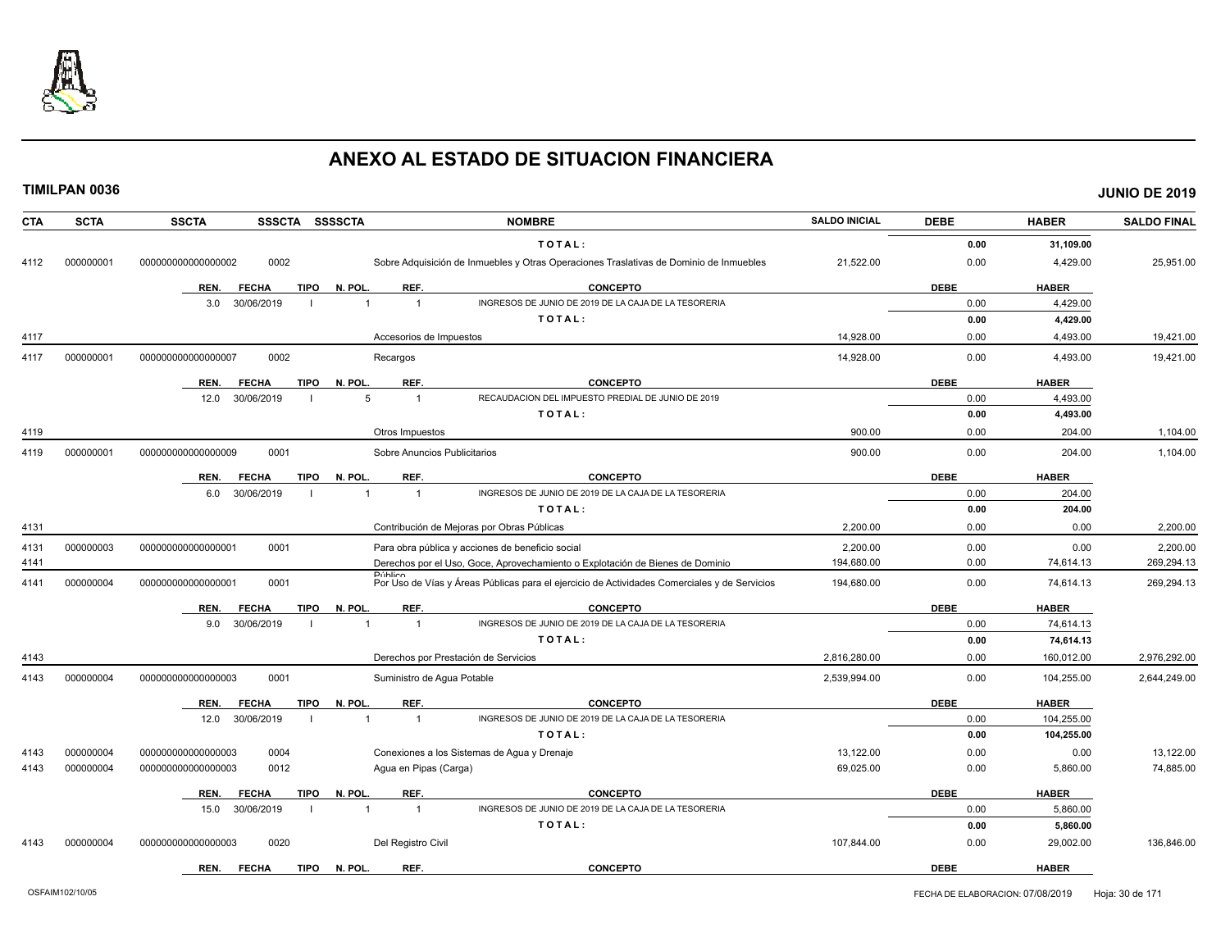

| <b>CTA</b> | <b>SCTA</b> | <b>SSCTA</b><br>SSSCTA SSSSCTA      |                                      | <b>NOMBRE</b>                                                                                | <b>SALDO INICIAL</b> | <b>DEBE</b> | <b>HABER</b> | <b>SALDO FINAL</b> |
|------------|-------------|-------------------------------------|--------------------------------------|----------------------------------------------------------------------------------------------|----------------------|-------------|--------------|--------------------|
|            |             |                                     |                                      | TOTAL:                                                                                       |                      | 0.00        | 31,109.00    |                    |
| 4112       | 000000001   | 0002<br>000000000000000002          |                                      | Sobre Adquisición de Inmuebles y Otras Operaciones Traslativas de Dominio de Inmuebles       | 21,522.00            | 0.00        | 4,429.00     | 25,951.00          |
|            |             | <b>TIPO</b><br>REN.<br><b>FECHA</b> | N. POL.<br>REF.                      | <b>CONCEPTO</b>                                                                              |                      | <b>DEBE</b> | <b>HABER</b> |                    |
|            |             | 30/06/2019<br>3.0                   | $\overline{1}$                       | INGRESOS DE JUNIO DE 2019 DE LA CAJA DE LA TESORERIA                                         |                      | 0.00        | 4,429.00     |                    |
|            |             |                                     |                                      | TOTAL:                                                                                       |                      | 0.00        | 4,429.00     |                    |
| 4117       |             |                                     | Accesorios de Impuestos              |                                                                                              | 14,928.00            | 0.00        | 4,493.00     | 19,421.00          |
| 4117       | 000000001   | 0002<br>00000000000000007           | Recargos                             |                                                                                              | 14,928.00            | 0.00        | 4,493.00     | 19,421.00          |
|            |             | <b>FECHA</b><br><b>TIPO</b><br>REN. | N. POL.<br>REF.                      | <b>CONCEPTO</b>                                                                              |                      | <b>DEBE</b> | <b>HABER</b> |                    |
|            |             | 30/06/2019<br>12.0                  | 5<br>$\overline{1}$                  | RECAUDACION DEL IMPUESTO PREDIAL DE JUNIO DE 2019                                            |                      | 0.00        | 4.493.00     |                    |
|            |             |                                     |                                      | TOTAL:                                                                                       |                      | 0.00        | 4,493.00     |                    |
| 4119       |             |                                     | Otros Impuestos                      |                                                                                              | 900.00               | 0.00        | 204.00       | 1,104.00           |
| 4119       | 000000001   | 000000000000000009<br>0001          | Sobre Anuncios Publicitarios         |                                                                                              | 900.00               | 0.00        | 204.00       | 1,104.00           |
|            |             | <b>FECHA</b><br><b>TIPO</b><br>REN. | REF.<br>N. POL.                      | <b>CONCEPTO</b>                                                                              |                      | <b>DEBE</b> | <b>HABER</b> |                    |
|            |             | 6.0<br>30/06/2019                   | $\overline{1}$<br>$\overline{1}$     | INGRESOS DE JUNIO DE 2019 DE LA CAJA DE LA TESORERIA                                         |                      | 0.00        | 204.00       |                    |
|            |             |                                     |                                      | TOTAL:                                                                                       |                      | 0.00        | 204.00       |                    |
| 4131       |             |                                     |                                      | Contribución de Mejoras por Obras Públicas                                                   | 2,200.00             | 0.00        | 0.00         | 2,200.00           |
| 4131       | 000000003   | 0001<br>00000000000000001           |                                      | Para obra pública y acciones de beneficio social                                             | 2.200.00             | 0.00        | 0.00         | 2.200.00           |
| 4141       |             |                                     |                                      | Derechos por el Uso, Goce, Aprovechamiento o Explotación de Bienes de Dominio                | 194,680.00           | 0.00        | 74,614.13    | 269,294.13         |
| 4141       | 000000004   | 0001<br>000000000000000001          | <b>Público</b>                       | Por Uso de Vías y Áreas Públicas para el ejercicio de Actividades Comerciales y de Servicios | 194,680.00           | 0.00        | 74,614.13    | 269,294.13         |
|            |             | <b>FECHA</b><br>TIPO<br>REN.        | N. POL.<br>REF.                      | <b>CONCEPTO</b>                                                                              |                      | <b>DEBE</b> | <b>HABER</b> |                    |
|            |             | 30/06/2019<br>9.0                   | $\overline{1}$                       | INGRESOS DE JUNIO DE 2019 DE LA CAJA DE LA TESORERIA                                         |                      | 0.00        | 74,614.13    |                    |
|            |             |                                     |                                      | TOTAL:                                                                                       |                      | 0.00        | 74,614.13    |                    |
| 4143       |             |                                     | Derechos por Prestación de Servicios |                                                                                              | 2,816,280.00         | 0.00        | 160,012.00   | 2,976,292.00       |
| 4143       | 000000004   | 0001<br>00000000000000003           | Suministro de Aqua Potable           |                                                                                              | 2,539,994.00         | 0.00        | 104,255.00   | 2,644,249.00       |
|            |             | <b>FECHA</b><br><b>TIPO</b><br>REN. | N. POL.<br>REF.                      | <b>CONCEPTO</b>                                                                              |                      | <b>DEBE</b> | <b>HABER</b> |                    |
|            |             | 30/06/2019<br>12.0                  | $\overline{1}$<br>$\overline{1}$     | INGRESOS DE JUNIO DE 2019 DE LA CAJA DE LA TESORERIA                                         |                      | 0.00        | 104,255.00   |                    |
|            |             |                                     |                                      | TOTAL:                                                                                       |                      | 0.00        | 104,255.00   |                    |
| 4143       | 000000004   | 0004<br>000000000000000003          |                                      | Conexiones a los Sistemas de Agua y Drenaje                                                  | 13,122.00            | 0.00        | 0.00         | 13,122.00          |
| 4143       | 000000004   | 0012<br>00000000000000003           | Agua en Pipas (Carga)                |                                                                                              | 69,025.00            | 0.00        | 5,860.00     | 74,885.00          |
|            |             | <b>FECHA</b><br><b>TIPO</b><br>REN. | N. POL.<br>REF.                      | <b>CONCEPTO</b>                                                                              |                      | <b>DEBE</b> | <b>HABER</b> |                    |
|            |             | 30/06/2019<br>15.0                  | $\overline{1}$<br>$\overline{1}$     | INGRESOS DE JUNIO DE 2019 DE LA CAJA DE LA TESORERIA                                         |                      | 0.00        | 5,860.00     |                    |
|            |             |                                     |                                      | TOTAL:                                                                                       |                      | 0.00        | 5,860.00     |                    |
| 4143       | 000000004   | 0020<br>000000000000000003          | Del Registro Civil                   |                                                                                              | 107,844.00           | 0.00        | 29,002.00    | 136,846.00         |
|            |             | <b>FECHA</b><br><b>TIPO</b><br>REN. | REF.<br>N. POL.                      | <b>CONCEPTO</b>                                                                              |                      | <b>DEBE</b> | <b>HABER</b> |                    |
|            |             |                                     |                                      |                                                                                              |                      |             |              |                    |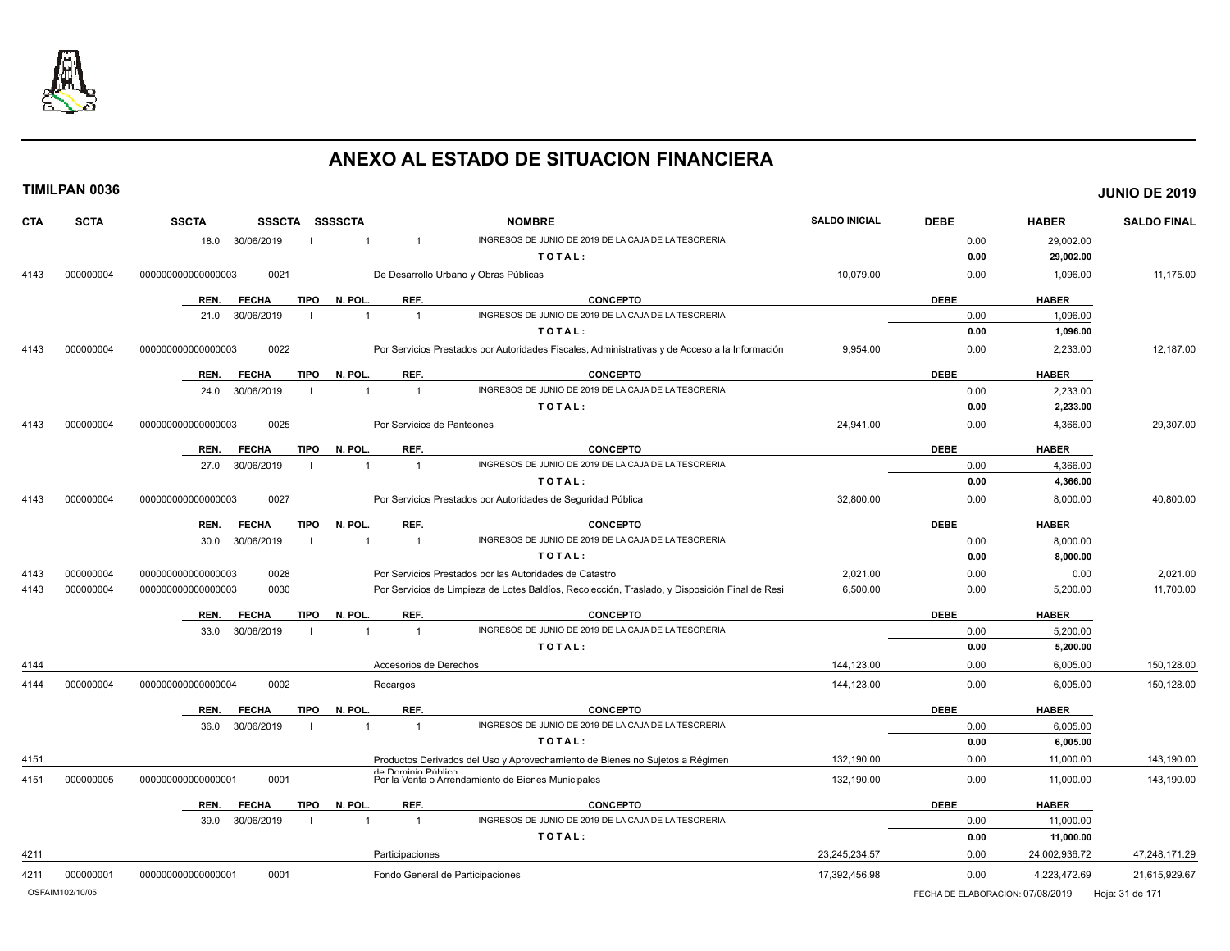

| <b>CTA</b> | <b>SCTA</b>     | <b>SSCTA</b><br><b>SSSCTA</b>       | SSSSCTA                          | <b>NOMBRE</b>                                                                                  | <b>SALDO INICIAL</b> | <b>DEBE</b>     | <b>HABER</b>  | <b>SALDO FINAL</b> |
|------------|-----------------|-------------------------------------|----------------------------------|------------------------------------------------------------------------------------------------|----------------------|-----------------|---------------|--------------------|
|            |                 | 18.0 30/06/2019                     | $\mathbf{1}$<br>$\mathbf{1}$     | INGRESOS DE JUNIO DE 2019 DE LA CAJA DE LA TESORERIA                                           |                      | 0.00            | 29,002.00     |                    |
|            |                 |                                     |                                  | TOTAL:                                                                                         |                      | 0.00            | 29,002.00     |                    |
| 4143       | 000000004       | 0021<br>000000000000000003          |                                  | De Desarrollo Urbano y Obras Públicas                                                          | 10,079.00            | 0.00            | 1,096.00      | 11,175.00          |
|            |                 | REN.<br><b>FECHA</b><br><b>TIPO</b> | N. POL.<br>REF.                  | <b>CONCEPTO</b>                                                                                |                      | <b>DEBE</b>     | <b>HABER</b>  |                    |
|            |                 | 30/06/2019<br>21.0                  | $\overline{1}$<br>$\overline{1}$ | INGRESOS DE JUNIO DE 2019 DE LA CAJA DE LA TESORERIA                                           |                      | 0.00            | 1,096.00      |                    |
|            |                 |                                     |                                  | TOTAL:                                                                                         |                      | 0.00            | 1,096.00      |                    |
| 4143       | 000000004       | 0022<br>000000000000000003          |                                  | Por Servicios Prestados por Autoridades Fiscales, Administrativas y de Acceso a la Información | 9,954.00             | 0.00            | 2,233.00      | 12,187.00          |
|            |                 | <b>TIPO</b><br>REN.<br><b>FECHA</b> | N. POL.<br>REF.                  | <b>CONCEPTO</b>                                                                                |                      | <b>DEBE</b>     | <b>HABER</b>  |                    |
|            |                 | 30/06/2019<br>24.0                  | $\overline{1}$<br>$\overline{1}$ | INGRESOS DE JUNIO DE 2019 DE LA CAJA DE LA TESORERIA                                           |                      | 0.00            | 2,233.00      |                    |
|            |                 |                                     |                                  | TOTAL:                                                                                         |                      | 0.00            | 2,233.00      |                    |
| 4143       | 000000004       | 000000000000000003<br>0025          | Por Servicios de Panteones       |                                                                                                | 24,941.00            | 0.00            | 4,366.00      | 29,307.00          |
|            |                 | <b>TIPO</b><br>REN.<br><b>FECHA</b> | N. POL.<br>REF.                  | <b>CONCEPTO</b>                                                                                |                      | <b>DEBE</b>     | <b>HABER</b>  |                    |
|            |                 | 27.0<br>30/06/2019                  | $\overline{1}$<br>$\mathbf{1}$   | INGRESOS DE JUNIO DE 2019 DE LA CAJA DE LA TESORERIA                                           |                      | 0.00            | 4,366.00      |                    |
|            |                 |                                     |                                  | TOTAL:                                                                                         |                      | 0.00            | 4,366.00      |                    |
| 4143       | 000000004       | 00000000000000003<br>0027           |                                  | Por Servicios Prestados por Autoridades de Seguridad Pública                                   | 32,800.00            | 0.00            | 8,000.00      | 40,800.00          |
|            |                 | REN.<br><b>TIPO</b><br><b>FECHA</b> | REF.<br>N. POL                   | <b>CONCEPTO</b>                                                                                |                      | <b>DEBE</b>     | <b>HABER</b>  |                    |
|            |                 | 30/06/2019<br>30.0                  | $\overline{1}$<br>$\overline{1}$ | INGRESOS DE JUNIO DE 2019 DE LA CAJA DE LA TESORERIA                                           |                      | 0.00            | 8,000.00      |                    |
|            |                 |                                     |                                  | TOTAL:                                                                                         |                      | 0.00            | 8,000.00      |                    |
| 4143       | 000000004       | 000000000000000003<br>0028          |                                  | Por Servicios Prestados por las Autoridades de Catastro                                        | 2,021.00             | 0.00            | 0.00          | 2,021.00           |
| 4143       | 000000004       | 00000000000000003<br>0030           |                                  | Por Servicios de Limpieza de Lotes Baldíos, Recolección, Traslado, y Disposición Final de Resi | 6,500.00             | 0.00            | 5,200.00      | 11,700.00          |
|            |                 | <b>FECHA</b><br><b>TIPO</b><br>REN. | N. POL.<br>REF.                  | <b>CONCEPTO</b>                                                                                |                      | <b>DEBE</b>     | <b>HABER</b>  |                    |
|            |                 | 30/06/2019<br>33.0                  | $\overline{1}$<br>$\overline{1}$ | INGRESOS DE JUNIO DE 2019 DE LA CAJA DE LA TESORERIA                                           |                      | 0.00            | 5,200.00      |                    |
|            |                 |                                     |                                  | TOTAL:                                                                                         |                      | 0.00            | 5,200.00      |                    |
| 4144       |                 |                                     | Accesorios de Derechos           |                                                                                                | 144.123.00           | 0.00            | 6,005.00      | 150,128.00         |
| 4144       | 000000004       | 00000000000000004<br>0002           | Recargos                         |                                                                                                | 144,123.00           | 0.00            | 6,005.00      | 150,128.00         |
|            |                 | <b>TIPO</b><br>REN.<br><b>FECHA</b> | N. POL.<br>REF.                  | <b>CONCEPTO</b>                                                                                |                      | <b>DEBE</b>     | <b>HABER</b>  |                    |
|            |                 | 30/06/2019<br>36.0                  | $\overline{1}$<br>$\overline{1}$ | INGRESOS DE JUNIO DE 2019 DE LA CAJA DE LA TESORERIA                                           |                      | 0.00            | 6,005.00      |                    |
|            |                 |                                     |                                  | TOTAL:                                                                                         |                      | 0.00            | 6,005.00      |                    |
| 4151       |                 |                                     |                                  | Productos Derivados del Uso y Aprovechamiento de Bienes no Sujetos a Régimen                   | 132,190.00           | 0.00            | 11,000.00     | 143,190.00         |
| 4151       | 000000005       | 00000000000000001<br>0001           | de Dominio Público               | Por la Venta o Arrendamiento de Bienes Municipales                                             | 132,190.00           | 0.00            | 11,000.00     | 143,190.00         |
|            |                 | REN.<br><b>FECHA</b><br><b>TIPO</b> | N. POL<br>REF.                   | <b>CONCEPTO</b>                                                                                |                      | <b>DEBE</b>     | <b>HABER</b>  |                    |
|            |                 | 39.0<br>30/06/2019                  | $\overline{1}$                   | INGRESOS DE JUNIO DE 2019 DE LA CAJA DE LA TESORERIA                                           |                      | 0.00            | 11,000.00     |                    |
|            |                 |                                     |                                  | TOTAL:                                                                                         |                      | 0.00            | 11,000.00     |                    |
| 4211       |                 |                                     | Participaciones                  |                                                                                                | 23,245,234.57        | 0.00            | 24,002,936.72 | 47,248,171.29      |
| 4211       | 000000001       | 00000000000000001<br>0001           | Fondo General de Participaciones |                                                                                                | 17,392,456.98        | 0.00            | 4,223,472.69  | 21,615,929.67      |
|            | OSFAIM102/10/05 |                                     |                                  | FECHA DE ELABORACION: 07/08/2019                                                               |                      | Hoja: 31 de 171 |               |                    |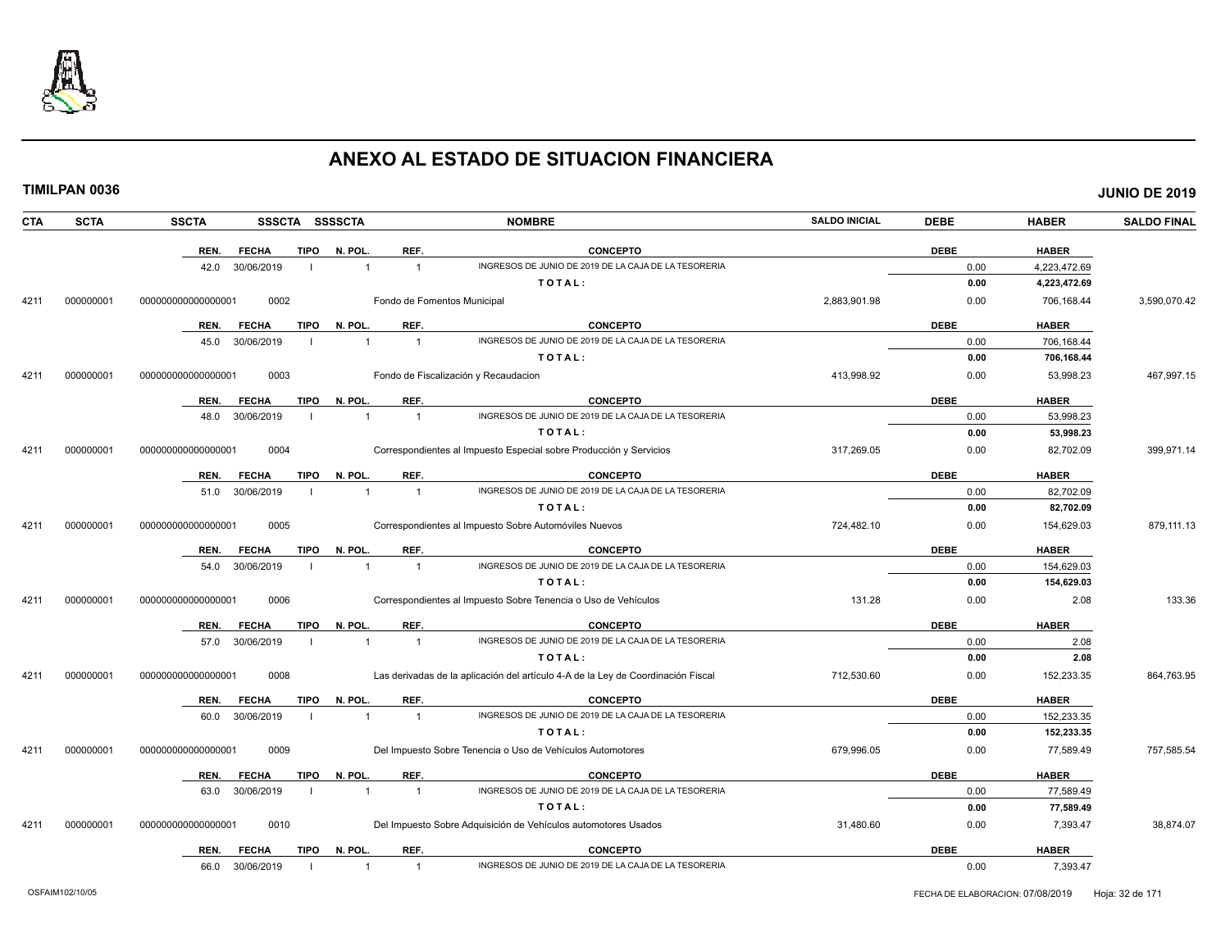

|--|

| CTA  | <b>SCTA</b> | <b>SSCTA</b><br>SSSCTA SSSSCTA       |                                  | <b>NOMBRE</b>                                                                    | <b>SALDO INICIAL</b> | <b>DEBE</b> | <b>HABER</b> | <b>SALDO FINAL</b> |
|------|-------------|--------------------------------------|----------------------------------|----------------------------------------------------------------------------------|----------------------|-------------|--------------|--------------------|
|      |             | REN.<br><b>TIPO</b><br><b>FECHA</b>  | REF.<br>N. POL.                  | <b>CONCEPTO</b>                                                                  |                      | <b>DEBE</b> | <b>HABER</b> |                    |
|      |             | 30/06/2019<br>42.0                   | $\overline{1}$                   | INGRESOS DE JUNIO DE 2019 DE LA CAJA DE LA TESORERIA                             |                      | 0.00        | 4,223,472.69 |                    |
|      |             |                                      |                                  | TOTAL:                                                                           |                      | 0.00        | 4,223,472.69 |                    |
| 4211 | 000000001   | 0002<br>000000000000000001           |                                  | Fondo de Fomentos Municipal                                                      | 2,883,901.98         | 0.00        | 706,168.44   | 3,590,070.42       |
|      |             | REN.<br><b>FECHA</b>                 | REF.<br>TIPO N. POL.             | <b>CONCEPTO</b>                                                                  |                      | <b>DEBE</b> | <b>HABER</b> |                    |
|      |             | 45.0<br>30/06/2019                   | $\overline{1}$<br>$\overline{1}$ | INGRESOS DE JUNIO DE 2019 DE LA CAJA DE LA TESORERIA                             |                      | 0.00        | 706,168.44   |                    |
|      |             |                                      |                                  | TOTAL:                                                                           |                      | 0.00        | 706,168.44   |                    |
| 4211 | 000000001   | 0003<br>000000000000000001           |                                  | Fondo de Fiscalización y Recaudacion                                             | 413,998.92           | 0.00        | 53,998.23    | 467,997.15         |
|      |             | <b>FECHA</b><br><b>TIPO</b><br>REN.  | REF.<br>N. POL.                  | <b>CONCEPTO</b>                                                                  |                      | <b>DEBE</b> | <b>HABER</b> |                    |
|      |             | 30/06/2019<br>48.0                   | $\overline{1}$<br>$\overline{1}$ | INGRESOS DE JUNIO DE 2019 DE LA CAJA DE LA TESORERIA                             |                      | 0.00        | 53,998.23    |                    |
|      |             |                                      |                                  | TOTAL:                                                                           |                      | 0.00        | 53,998.23    |                    |
| 4211 | 000000001   | 00000000000000001<br>0004            |                                  | Correspondientes al Impuesto Especial sobre Producción y Servicios               | 317,269.05           | 0.00        | 82,702.09    | 399,971.14         |
|      |             | <b>TIPO</b><br>REN.<br><b>FECHA</b>  | N. POL.<br>REF.                  | <b>CONCEPTO</b>                                                                  |                      | <b>DEBE</b> | <b>HABER</b> |                    |
|      |             | 30/06/2019<br>51.0                   | $\overline{1}$<br>$\overline{1}$ | INGRESOS DE JUNIO DE 2019 DE LA CAJA DE LA TESORERIA                             |                      | 0.00        | 82,702.09    |                    |
|      |             |                                      |                                  | TOTAL:                                                                           |                      | 0.00        | 82,702.09    |                    |
| 4211 | 000000001   | 0005<br>000000000000000001           |                                  | Correspondientes al Impuesto Sobre Automóviles Nuevos                            | 724,482.10           | 0.00        | 154,629.03   | 879,111.13         |
|      |             | <b>FECHA</b><br>REN.                 | REF.<br>TIPO N. POL.             | <b>CONCEPTO</b>                                                                  |                      | <b>DEBE</b> | <b>HABER</b> |                    |
|      |             | 30/06/2019<br>54.0                   | $\mathbf{1}$<br>$\overline{1}$   | INGRESOS DE JUNIO DE 2019 DE LA CAJA DE LA TESORERIA                             |                      | 0.00        | 154,629.03   |                    |
|      |             |                                      |                                  | TOTAL:                                                                           |                      | 0.00        | 154,629.03   |                    |
| 4211 | 000000001   | 0006<br>000000000000000001           |                                  | Correspondientes al Impuesto Sobre Tenencia o Uso de Vehículos                   | 131.28               | 0.00        | 2.08         | 133.36             |
|      |             | <b>TIPO</b><br>REN.<br><b>FECHA</b>  | REF.<br>N. POL.                  | <b>CONCEPTO</b>                                                                  |                      | <b>DEBE</b> | <b>HABER</b> |                    |
|      |             | 30/06/2019<br>57.0                   | $\overline{1}$<br>$\overline{1}$ | INGRESOS DE JUNIO DE 2019 DE LA CAJA DE LA TESORERIA                             |                      | 0.00        | 2.08         |                    |
|      |             |                                      |                                  | TOTAL:                                                                           |                      | 0.00        | 2.08         |                    |
| 4211 | 000000001   | 0008<br>000000000000000001           |                                  | Las derivadas de la aplicación del artículo 4-A de la Ley de Coordinación Fiscal | 712,530.60           | 0.00        | 152,233.35   | 864,763.95         |
|      |             | <b>TIPO</b><br>REN.<br><b>FECHA</b>  | N. POL.<br>REF.                  | <b>CONCEPTO</b>                                                                  |                      | <b>DEBE</b> | <b>HABER</b> |                    |
|      |             | 30/06/2019<br>60.0<br>$\blacksquare$ | $\overline{1}$<br>$\overline{1}$ | INGRESOS DE JUNIO DE 2019 DE LA CAJA DE LA TESORERIA                             |                      | 0.00        | 152,233.35   |                    |
|      |             |                                      |                                  | TOTAL:                                                                           |                      | 0.00        | 152,233.35   |                    |
| 4211 | 000000001   | 0009<br>000000000000000001           |                                  | Del Impuesto Sobre Tenencia o Uso de Vehículos Automotores                       | 679,996.05           | 0.00        | 77,589.49    | 757,585.54         |
|      |             | <b>TIPO</b><br>REN.<br><b>FECHA</b>  | N. POL.<br>REF.                  | <b>CONCEPTO</b>                                                                  |                      | <b>DEBE</b> | <b>HABER</b> |                    |
|      |             | 30/06/2019<br>63.0<br>- 1            | $\overline{1}$<br>$\overline{1}$ | INGRESOS DE JUNIO DE 2019 DE LA CAJA DE LA TESORERIA                             |                      | 0.00        | 77,589.49    |                    |
|      |             |                                      |                                  | TOTAL:                                                                           |                      | 0.00        | 77,589.49    |                    |
| 4211 | 000000001   | 0010<br>000000000000000001           |                                  | Del Impuesto Sobre Adquisición de Vehículos automotores Usados                   | 31,480.60            | 0.00        | 7,393.47     | 38,874.07          |
|      |             | REN.<br><b>FECHA</b>                 | TIPO N. POL.<br>REF.             | <b>CONCEPTO</b>                                                                  |                      | <b>DEBE</b> | <b>HABER</b> |                    |
|      |             | 66.0<br>30/06/2019                   | $\overline{1}$<br>$\mathbf{1}$   | INGRESOS DE JUNIO DE 2019 DE LA CAJA DE LA TESORERIA                             |                      | 0.00        | 7,393.47     |                    |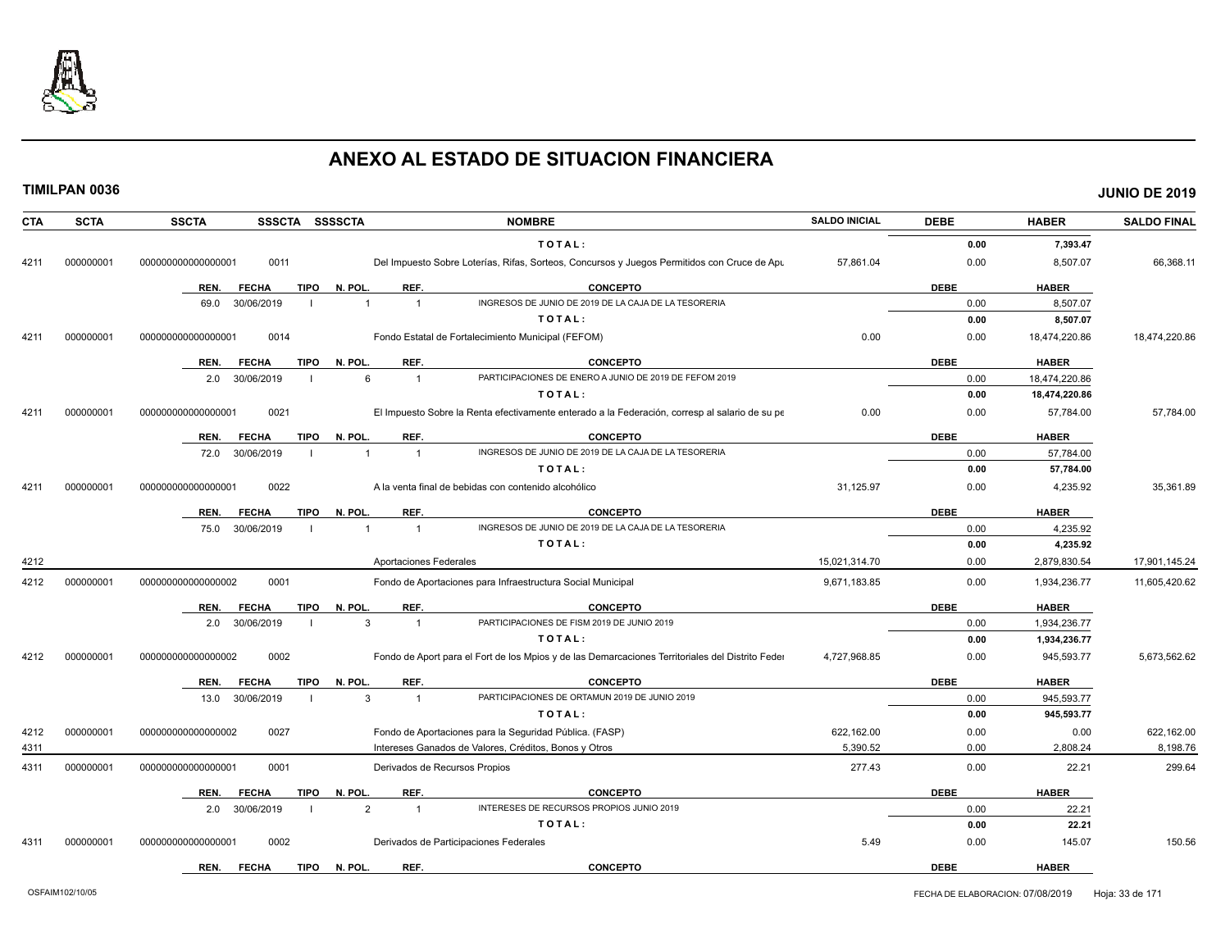

| <b>CTA</b> | <b>SCTA</b> | <b>SSCTA</b>                                                        | SSSCTA SSSSCTA              |                | <b>NOMBRE</b>                                                                                    | <b>SALDO INICIAL</b> | <b>DEBE</b> | <b>HABER</b>  | <b>SALDO FINAL</b> |
|------------|-------------|---------------------------------------------------------------------|-----------------------------|----------------|--------------------------------------------------------------------------------------------------|----------------------|-------------|---------------|--------------------|
|            |             |                                                                     |                             |                | TOTAL:                                                                                           |                      | 0.00        | 7.393.47      |                    |
| 4211       | 000000001   | 00000000000000000                                                   | 0011                        |                | Del Impuesto Sobre Loterías, Rifas, Sorteos, Concursos y Juegos Permitidos con Cruce de Apu      | 57,861.04            | 0.00        | 8,507.07      | 66,368.11          |
|            |             | REN.                                                                | <b>TIPO</b><br><b>FECHA</b> | N. POL.        | REF.<br><b>CONCEPTO</b>                                                                          |                      | <b>DEBE</b> | <b>HABER</b>  |                    |
|            |             | 69.0                                                                | 30/06/2019                  | $\overline{1}$ | INGRESOS DE JUNIO DE 2019 DE LA CAJA DE LA TESORERIA<br>$\overline{1}$                           |                      | 0.00        | 8,507.07      |                    |
|            |             |                                                                     |                             |                | TOTAL:                                                                                           |                      | 0.00        | 8,507.07      |                    |
| 4211       | 000000001   | 000000000000000001                                                  | 0014                        |                | Fondo Estatal de Fortalecimiento Municipal (FEFOM)                                               | 0.00                 | 0.00        | 18,474,220.86 | 18,474,220.86      |
|            |             | REN.                                                                | <b>TIPO</b><br><b>FECHA</b> | N. POL         | REF.<br><b>CONCEPTO</b>                                                                          |                      | <b>DEBE</b> | <b>HABER</b>  |                    |
|            |             | 2.0                                                                 | 30/06/2019                  | 6              | PARTICIPACIONES DE ENERO A JUNIO DE 2019 DE FEFOM 2019<br>$\overline{1}$                         |                      | 0.00        | 18,474,220.86 |                    |
|            |             |                                                                     |                             |                | TOTAL:                                                                                           |                      | 0.00        | 18,474,220.86 |                    |
| 4211       | 000000001   | 00000000000000000                                                   | 0021                        |                | El Impuesto Sobre la Renta efectivamente enterado a la Federación, corresp al salario de su pe   | 0.00                 | 0.00        | 57,784.00     | 57,784.00          |
|            |             | REN.                                                                | <b>FECHA</b><br><b>TIPO</b> | N. POL         | <b>CONCEPTO</b><br>REF.                                                                          |                      | <b>DEBE</b> | <b>HABER</b>  |                    |
|            |             | 72.0                                                                | 30/06/2019                  | 1              | INGRESOS DE JUNIO DE 2019 DE LA CAJA DE LA TESORERIA<br>$\overline{1}$                           |                      | 0.00        | 57,784.00     |                    |
|            |             |                                                                     |                             |                | TOTAL:                                                                                           |                      | 0.00        | 57,784.00     |                    |
| 4211       | 000000001   | 00000000000000000                                                   | 0022                        |                | A la venta final de bebidas con contenido alcohólico                                             | 31,125.97            | 0.00        | 4,235.92      | 35,361.89          |
|            |             | REN.                                                                | <b>FECHA</b><br>TIPO        | N. POL.        | REF.<br><b>CONCEPTO</b>                                                                          |                      | <b>DEBE</b> | <b>HABER</b>  |                    |
|            |             | 75.0                                                                | 30/06/2019                  |                | INGRESOS DE JUNIO DE 2019 DE LA CAJA DE LA TESORERIA<br>$\overline{1}$                           |                      | 0.00        | 4,235.92      |                    |
|            |             |                                                                     |                             |                | TOTAL:                                                                                           |                      | 0.00        | 4,235.92      |                    |
| 4212       |             |                                                                     |                             |                | Aportaciones Federales                                                                           | 15,021,314.70        | 0.00        | 2,879,830.54  | 17,901,145.24      |
| 4212       | 000000001   | 00000000000000002                                                   | 0001                        |                | Fondo de Aportaciones para Infraestructura Social Municipal                                      | 9,671,183.85         | 0.00        | 1,934,236.77  | 11,605,420.62      |
|            |             | REN.                                                                | <b>FECHA</b><br>TIPO        | N. POL         | REF.<br><b>CONCEPTO</b>                                                                          |                      | <b>DEBE</b> | <b>HABER</b>  |                    |
|            |             | 2.0                                                                 | 30/06/2019                  | 3              | PARTICIPACIONES DE FISM 2019 DE JUNIO 2019<br>$\overline{1}$                                     |                      | 0.00        | 1,934,236.77  |                    |
|            |             |                                                                     |                             |                | TOTAL:                                                                                           |                      | 0.00        | 1,934,236.77  |                    |
| 4212       | 000000001   | 00000000000000002                                                   | 0002                        |                | Fondo de Aport para el Fort de los Mpios y de las Demarcaciones Territoriales del Distrito Feder | 4,727,968.85         | 0.00        | 945,593.77    | 5,673,562.62       |
|            |             | REN.                                                                | <b>FECHA</b><br>TIPO        | N. POL.        | REF.<br><b>CONCEPTO</b>                                                                          |                      | <b>DEBE</b> | <b>HABER</b>  |                    |
|            |             | 13.0                                                                | 30/06/2019                  | 3              | PARTICIPACIONES DE ORTAMUN 2019 DE JUNIO 2019<br>$\overline{1}$                                  |                      | 0.00        | 945,593.77    |                    |
|            |             |                                                                     |                             |                | TOTAL:                                                                                           |                      | 0.00        | 945,593.77    |                    |
| 4212       | 000000001   | 000000000000000002                                                  | 0027                        |                | Fondo de Aportaciones para la Seguridad Pública. (FASP)                                          | 622,162.00           | 0.00        | 0.00          | 622,162.00         |
| 4311       |             |                                                                     |                             |                | Intereses Ganados de Valores, Créditos, Bonos y Otros                                            | 5,390.52             | 0.00        | 2,808.24      | 8,198.76           |
| 4311       | 000000001   | 000000000000000001                                                  | 0001                        |                | Derivados de Recursos Propios                                                                    | 277.43               | 0.00        | 22.21         | 299.64             |
|            |             | REN.                                                                | <b>FECHA</b><br>TIPO        | N. POL         | REF.<br><b>CONCEPTO</b>                                                                          |                      | <b>DEBE</b> | <b>HABER</b>  |                    |
|            |             | 2.0                                                                 | 30/06/2019                  | $\overline{2}$ | INTERESES DE RECURSOS PROPIOS JUNIO 2019<br>$\overline{1}$                                       |                      | 0.00        | 22.21         |                    |
|            |             |                                                                     |                             |                | TOTAL:                                                                                           |                      | 0.00        | 22.21         |                    |
| 4311       | 000000001   | Derivados de Participaciones Federales<br>00000000000000000<br>0002 |                             |                |                                                                                                  |                      | 0.00        | 145.07        | 150.56             |
|            |             | REN.                                                                | <b>FECHA</b><br><b>TIPO</b> | N. POL         | <b>CONCEPTO</b><br>REF.                                                                          |                      | <b>DEBE</b> | <b>HABER</b>  |                    |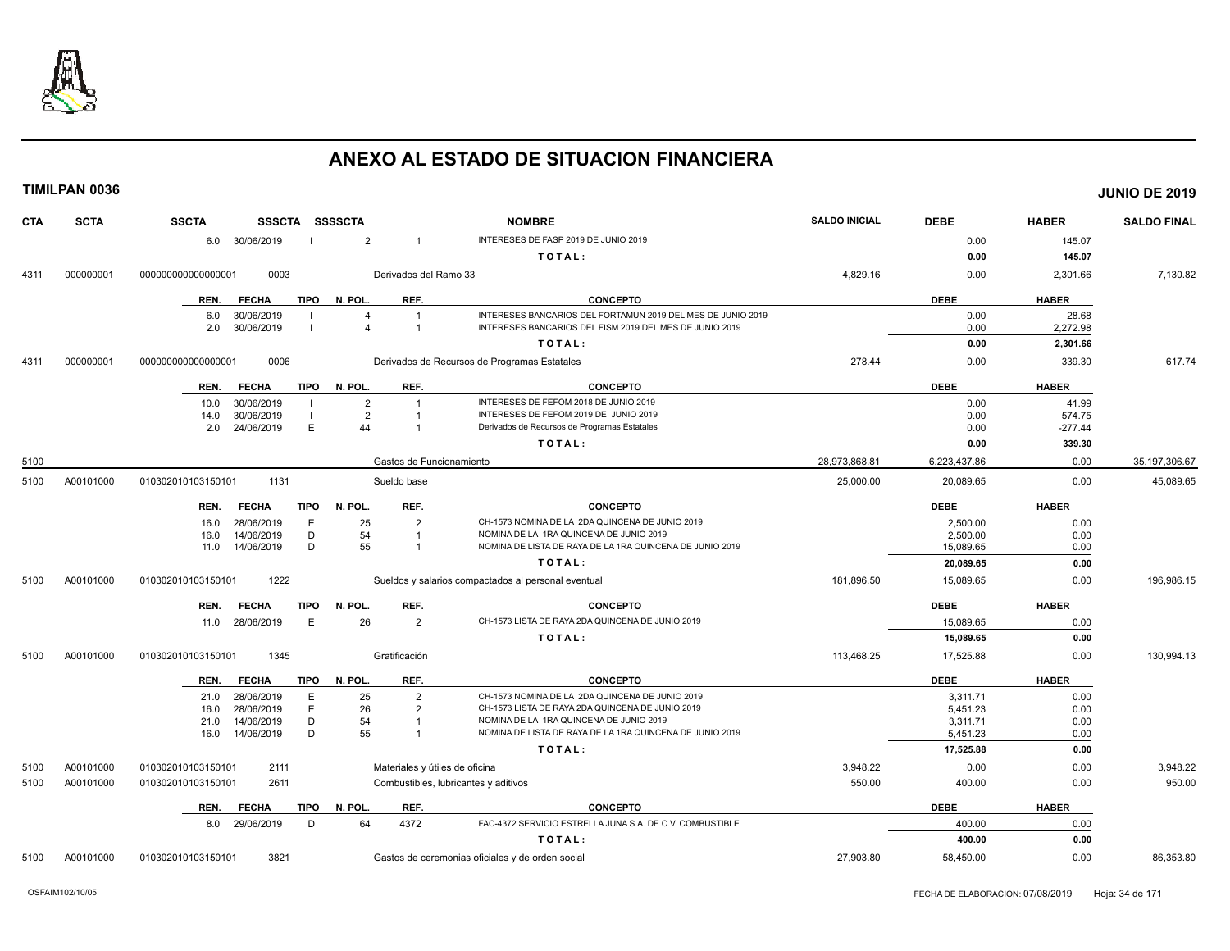

| <b>SCTA</b><br><b>CTA</b> | <b>SSCTA</b><br>SSSCTA SSSSCTA      |                                  | <b>NOMBRE</b>                                               | <b>SALDO INICIAL</b> | <b>DEBE</b>  | <b>HABER</b> | <b>SALDO FINAL</b> |
|---------------------------|-------------------------------------|----------------------------------|-------------------------------------------------------------|----------------------|--------------|--------------|--------------------|
|                           | 6.0 30/06/2019                      | $\overline{2}$<br>$\overline{1}$ | INTERESES DE FASP 2019 DE JUNIO 2019                        |                      | 0.00         | 145.07       |                    |
|                           |                                     |                                  | TOTAL:                                                      |                      | 0.00         | 145.07       |                    |
| 000000001<br>4311         | 00000000000000001<br>0003           | Derivados del Ramo 33            |                                                             | 4,829.16             | 0.00         | 2,301.66     | 7,130.82           |
|                           | <b>TIPO</b><br>REN.<br><b>FECHA</b> | N. POL.<br>REF.                  | <b>CONCEPTO</b>                                             |                      | <b>DEBE</b>  | <b>HABER</b> |                    |
|                           | 30/06/2019<br>6.0                   |                                  | INTERESES BANCARIOS DEL FORTAMUN 2019 DEL MES DE JUNIO 2019 |                      | 0.00         | 28.68        |                    |
|                           | 30/06/2019<br>2.0                   | $\overline{1}$                   | INTERESES BANCARIOS DEL FISM 2019 DEL MES DE JUNIO 2019     |                      | 0.00         | 2,272.98     |                    |
|                           |                                     |                                  | TOTAL:                                                      |                      | 0.00         | 2,301.66     |                    |
| 000000001<br>4311         | 0006<br>000000000000000001          |                                  | Derivados de Recursos de Programas Estatales                | 278.44               | 0.00         | 339.30       | 617.74             |
|                           | <b>FECHA</b><br><b>TIPO</b><br>REN. | REF.<br>N. POL.                  | <b>CONCEPTO</b>                                             |                      | <b>DEBE</b>  | <b>HABER</b> |                    |
|                           | 30/06/2019<br>10.0                  | $\overline{2}$                   | INTERESES DE FEFOM 2018 DE JUNIO 2019                       |                      | 0.00         | 41.99        |                    |
|                           | 30/06/2019<br>14.0                  | $\overline{2}$                   | INTERESES DE FEFOM 2019 DE JUNIO 2019                       |                      | 0.00         | 574.75       |                    |
|                           | E<br>24/06/2019<br>2.0              | 44<br>-1                         | Derivados de Recursos de Programas Estatales                |                      | 0.00         | $-277.44$    |                    |
|                           |                                     |                                  | TOTAL:                                                      |                      | 0.00         | 339.30       |                    |
| 5100                      |                                     | Gastos de Funcionamiento         |                                                             | 28,973,868.81        | 6,223,437.86 | 0.00         | 35, 197, 306.67    |
| A00101000<br>5100         | 1131<br>010302010103150101          | Sueldo base                      |                                                             | 25,000.00            | 20,089.65    | 0.00         | 45,089.65          |
|                           | <b>FECHA</b><br>TIPO<br>REN.        | N. POL.<br>REF.                  | <b>CONCEPTO</b>                                             |                      | <b>DEBE</b>  | <b>HABER</b> |                    |
|                           | 28/06/2019<br>E<br>16.0             | 25<br>$\mathcal{P}$              | CH-1573 NOMINA DE LA 2DA QUINCENA DE JUNIO 2019             |                      | 2.500.00     | 0.00         |                    |
|                           | D<br>14/06/2019<br>16.0             | 54                               | NOMINA DE LA 1RA QUINCENA DE JUNIO 2019                     |                      | 2,500.00     | 0.00         |                    |
|                           | 14/06/2019<br>D<br>11.0             | 55                               | NOMINA DE LISTA DE RAYA DE LA 1RA QUINCENA DE JUNIO 2019    |                      | 15,089.65    | 0.00         |                    |
|                           |                                     |                                  | TOTAL:                                                      |                      | 20,089.65    | 0.00         |                    |
| A00101000<br>5100         | 1222<br>010302010103150101          |                                  | Sueldos y salarios compactados al personal eventual         | 181,896.50           | 15,089.65    | 0.00         | 196,986.15         |
|                           | <b>TIPO</b><br>REN.<br><b>FECHA</b> | N. POL.<br>REF.                  | <b>CONCEPTO</b>                                             |                      | <b>DEBE</b>  | <b>HABER</b> |                    |
|                           | 28/06/2019<br>E<br>11.0             | 26<br>$\overline{2}$             | CH-1573 LISTA DE RAYA 2DA QUINCENA DE JUNIO 2019            |                      | 15.089.65    | 0.00         |                    |
|                           |                                     |                                  | TOTAL:                                                      |                      | 15,089.65    | 0.00         |                    |
| A00101000<br>5100         | 010302010103150101<br>1345          | Gratificación                    |                                                             | 113,468.25           | 17,525.88    | 0.00         | 130,994.13         |
|                           | <b>TIPO</b><br><b>FECHA</b><br>REN. | N. POL.<br>REF.                  | <b>CONCEPTO</b>                                             |                      | <b>DEBE</b>  | <b>HABER</b> |                    |
|                           | 28/06/2019<br>E<br>21.0             | 25<br>$\overline{2}$             | CH-1573 NOMINA DE LA 2DA QUINCENA DE JUNIO 2019             |                      | 3,311.71     | 0.00         |                    |
|                           | E<br>28/06/2019<br>16.0             | 26<br>$\overline{2}$             | CH-1573 LISTA DE RAYA 2DA QUINCENA DE JUNIO 2019            |                      | 5,451.23     | 0.00         |                    |
|                           | D<br>14/06/2019<br>21.0             | 54<br>-1                         | NOMINA DE LA 1RA QUINCENA DE JUNIO 2019                     |                      | 3,311.71     | 0.00         |                    |
|                           | D<br>16.0<br>14/06/2019             | 55                               | NOMINA DE LISTA DE RAYA DE LA 1RA QUINCENA DE JUNIO 2019    |                      | 5,451.23     | 0.00         |                    |
|                           |                                     |                                  | TOTAL:                                                      |                      | 17,525.88    | 0.00         |                    |
| A00101000<br>5100         | 2111<br>010302010103150101          | Materiales y útiles de oficina   |                                                             | 3,948.22             | 0.00         | 0.00         | 3,948.22           |
| A00101000<br>5100         | 010302010103150101<br>2611          |                                  | Combustibles, lubricantes y aditivos                        | 550.00               | 400.00       | 0.00         | 950.00             |
|                           | <b>FECHA</b><br>TIPO<br>REN.        | REF.<br>N. POL.                  | <b>CONCEPTO</b>                                             |                      | <b>DEBE</b>  | <b>HABER</b> |                    |
|                           | 8.0 29/06/2019<br>D                 | 64<br>4372                       | FAC-4372 SERVICIO ESTRELLA JUNA S.A. DE C.V. COMBUSTIBLE    |                      | 400.00       | 0.00         |                    |
|                           |                                     |                                  | TOTAL:                                                      |                      | 400.00       | 0.00         |                    |
| 5100<br>A00101000         | 010302010103150101<br>3821          |                                  | Gastos de ceremonias oficiales y de orden social            | 27,903.80            | 58,450.00    | 0.00         | 86,353.80          |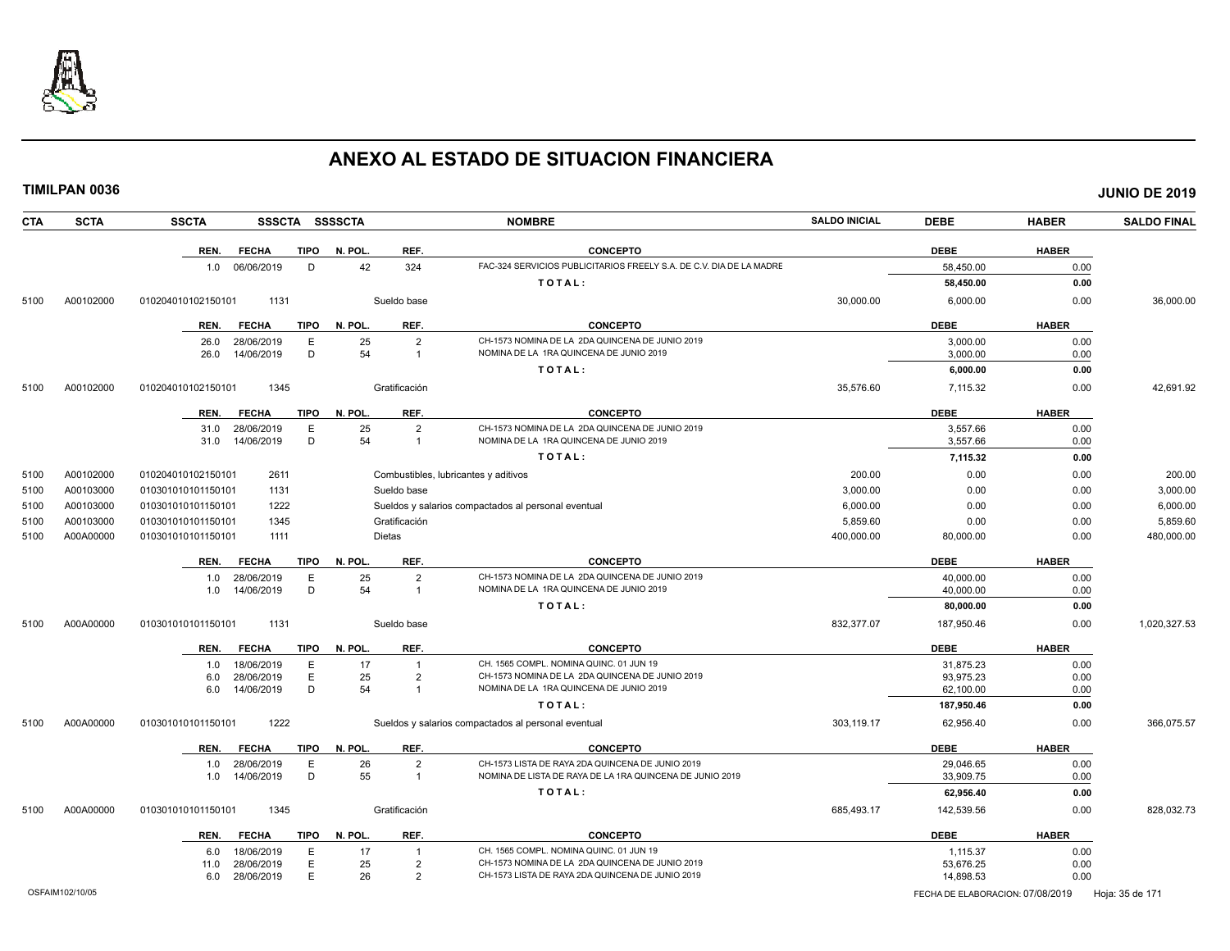

| <b>CTA</b> | <b>SCTA</b> | <b>SSCTA</b><br><b>SSSCTA</b>                      | <b>SSSSCTA</b> |                                      | <b>NOMBRE</b>                                                                                                | <b>SALDO INICIAL</b> | <b>DEBE</b>            | <b>HABER</b> | <b>SALDO FINAL</b> |
|------------|-------------|----------------------------------------------------|----------------|--------------------------------------|--------------------------------------------------------------------------------------------------------------|----------------------|------------------------|--------------|--------------------|
|            |             | <b>FECHA</b><br><b>TIPO</b><br>REN.                | N. POL.        | REF.                                 | <b>CONCEPTO</b>                                                                                              |                      | <b>DEBE</b>            | <b>HABER</b> |                    |
|            |             | 1.0 06/06/2019<br>D                                | 42             | 324                                  | FAC-324 SERVICIOS PUBLICITARIOS FREELY S.A. DE C.V. DIA DE LA MADRE                                          |                      | 58,450.00              | 0.00         |                    |
|            |             |                                                    |                |                                      | TOTAL:                                                                                                       |                      | 58,450.00              | 0.00         |                    |
| 5100       | A00102000   | 010204010102150101<br>1131                         | Sueldo base    |                                      |                                                                                                              | 30,000.00            | 6,000.00               | 0.00         | 36,000.00          |
|            |             | <b>FECHA</b><br>REN.                               | TIPO N. POL.   | REF.                                 | <b>CONCEPTO</b>                                                                                              |                      | <b>DEBE</b>            | <b>HABER</b> |                    |
|            |             | 28/06/2019<br>E<br>26.0                            | 25             | $\overline{2}$                       | CH-1573 NOMINA DE LA 2DA QUINCENA DE JUNIO 2019                                                              |                      | 3,000.00               | 0.00         |                    |
|            |             | D<br>14/06/2019<br>26.0                            | 54             | $\overline{1}$                       | NOMINA DE LA 1RA QUINCENA DE JUNIO 2019                                                                      |                      | 3,000.00               | 0.00         |                    |
|            |             |                                                    |                |                                      | TOTAL:                                                                                                       |                      | 6,000.00               | 0.00         |                    |
| 5100       | A00102000   | 1345<br>010204010102150101                         | Gratificación  |                                      |                                                                                                              | 35,576.60            | 7,115.32               | 0.00         | 42.691.92          |
|            |             | <b>FECHA</b><br>TIPO<br>REN.                       | N. POL.        | REF.                                 | <b>CONCEPTO</b>                                                                                              |                      | <b>DEBE</b>            | <b>HABER</b> |                    |
|            |             | 28/06/2019<br>E<br>31.0                            | 25             | $\overline{2}$                       | CH-1573 NOMINA DE LA 2DA QUINCENA DE JUNIO 2019                                                              |                      | 3,557.66               | 0.00         |                    |
|            |             | D<br>14/06/2019<br>31.0                            | 54             | $\overline{1}$                       | NOMINA DE LA 1RA QUINCENA DE JUNIO 2019                                                                      |                      | 3.557.66               | 0.00         |                    |
|            |             |                                                    |                |                                      | TOTAL:                                                                                                       |                      | 7,115.32               | 0.00         |                    |
| 5100       | A00102000   | 010204010102150101<br>2611                         |                | Combustibles, lubricantes y aditivos |                                                                                                              | 200.00               | 0.00                   | 0.00         | 200.00             |
| 5100       | A00103000   | 1131<br>010301010101150101                         |                | Sueldo base                          |                                                                                                              | 3,000.00             | 0.00                   | 0.00         | 3,000.00           |
| 5100       | A00103000   | 1222<br>010301010101150101                         |                |                                      | Sueldos y salarios compactados al personal eventual                                                          | 6,000.00             | 0.00                   | 0.00         | 6,000.00           |
| 5100       | A00103000   | 1345<br>010301010101150101                         |                | Gratificación                        |                                                                                                              | 5,859.60             | 0.00                   | 0.00         | 5,859.60           |
| 5100       | A00A00000   | 010301010101150101<br>1111                         | <b>Dietas</b>  |                                      |                                                                                                              | 400,000.00           | 80,000.00              | 0.00         | 480,000.00         |
|            |             | <b>TIPO</b><br>REN.<br><b>FECHA</b>                | N. POL.        | REF.                                 | <b>CONCEPTO</b>                                                                                              |                      | <b>DEBE</b>            | <b>HABER</b> |                    |
|            |             | 28/06/2019<br>Ε<br>1.0                             | 25             | $\overline{2}$                       | CH-1573 NOMINA DE LA 2DA QUINCENA DE JUNIO 2019                                                              |                      | 40,000.00              | 0.00         |                    |
|            |             | 1.0 14/06/2019<br>D                                | 54             | $\overline{1}$                       | NOMINA DE LA 1RA QUINCENA DE JUNIO 2019                                                                      |                      | 40,000.00              | 0.00         |                    |
|            |             |                                                    |                |                                      | TOTAL:                                                                                                       |                      | 80.000.00              | 0.00         |                    |
| 5100       | A00A00000   | 1131<br>010301010101150101                         |                | Sueldo base                          |                                                                                                              | 832,377.07           | 187,950.46             | 0.00         | 1,020,327.53       |
|            |             | <b>FECHA</b><br><b>TIPO</b><br>REN.                | N. POL.        | REF.                                 | <b>CONCEPTO</b>                                                                                              |                      | <b>DEBE</b>            | <b>HABER</b> |                    |
|            |             | 18/06/2019<br>E<br>1.0                             | 17             | $\mathbf{1}$                         | CH. 1565 COMPL. NOMINA QUINC. 01 JUN 19                                                                      |                      | 31.875.23              | 0.00         |                    |
|            |             | E<br>6.0<br>28/06/2019<br>14/06/2019<br>D<br>6.0   | 25<br>54       | $\overline{2}$<br>$\overline{1}$     | CH-1573 NOMINA DE LA 2DA QUINCENA DE JUNIO 2019<br>NOMINA DE LA 1RA QUINCENA DE JUNIO 2019                   |                      | 93,975.23<br>62,100.00 | 0.00         |                    |
|            |             |                                                    |                |                                      | TOTAL:                                                                                                       |                      | 187,950.46             | 0.00<br>0.00 |                    |
| 5100       | A00A00000   | 1222<br>010301010101150101                         |                |                                      | Sueldos y salarios compactados al personal eventual                                                          | 303,119.17           | 62,956.40              | 0.00         | 366,075.57         |
|            |             |                                                    |                |                                      |                                                                                                              |                      |                        |              |                    |
|            |             | <b>FECHA</b><br><b>TIPO</b><br>REN.                | N. POL.        | REF.                                 | <b>CONCEPTO</b>                                                                                              |                      | <b>DEBE</b>            | <b>HABER</b> |                    |
|            |             | E<br>28/06/2019<br>1.0<br>D<br>14/06/2019<br>1.0   | 26<br>55       | $\overline{2}$<br>$\mathbf{1}$       | CH-1573 LISTA DE RAYA 2DA QUINCENA DE JUNIO 2019<br>NOMINA DE LISTA DE RAYA DE LA 1RA QUINCENA DE JUNIO 2019 |                      | 29,046.65<br>33,909.75 | 0.00<br>0.00 |                    |
|            |             |                                                    |                |                                      | TOTAL:                                                                                                       |                      | 62,956.40              | 0.00         |                    |
| 5100       | A00A00000   | 010301010101150101<br>1345                         | Gratificación  |                                      |                                                                                                              | 685,493.17           | 142,539.56             | 0.00         | 828,032.73         |
|            |             |                                                    |                |                                      |                                                                                                              |                      |                        |              |                    |
|            |             | <b>FECHA</b><br>TIPO<br>REN.                       | N. POL.        | REF.                                 | <b>CONCEPTO</b>                                                                                              |                      | <b>DEBE</b>            | <b>HABER</b> |                    |
|            |             | 18/06/2019<br>E.<br>6.0<br>E<br>28/06/2019<br>11.0 | 17<br>25       | $\overline{1}$<br>$\overline{2}$     | CH. 1565 COMPL. NOMINA QUINC. 01 JUN 19<br>CH-1573 NOMINA DE LA 2DA QUINCENA DE JUNIO 2019                   |                      | 1,115.37<br>53,676.25  | 0.00<br>0.00 |                    |
|            |             | E<br>28/06/2019<br>6.0                             | 26             | $\overline{2}$                       | CH-1573 LISTA DE RAYA 2DA QUINCENA DE JUNIO 2019                                                             |                      | 14,898.53              | 0.00         |                    |
|            |             |                                                    |                |                                      |                                                                                                              |                      |                        |              |                    |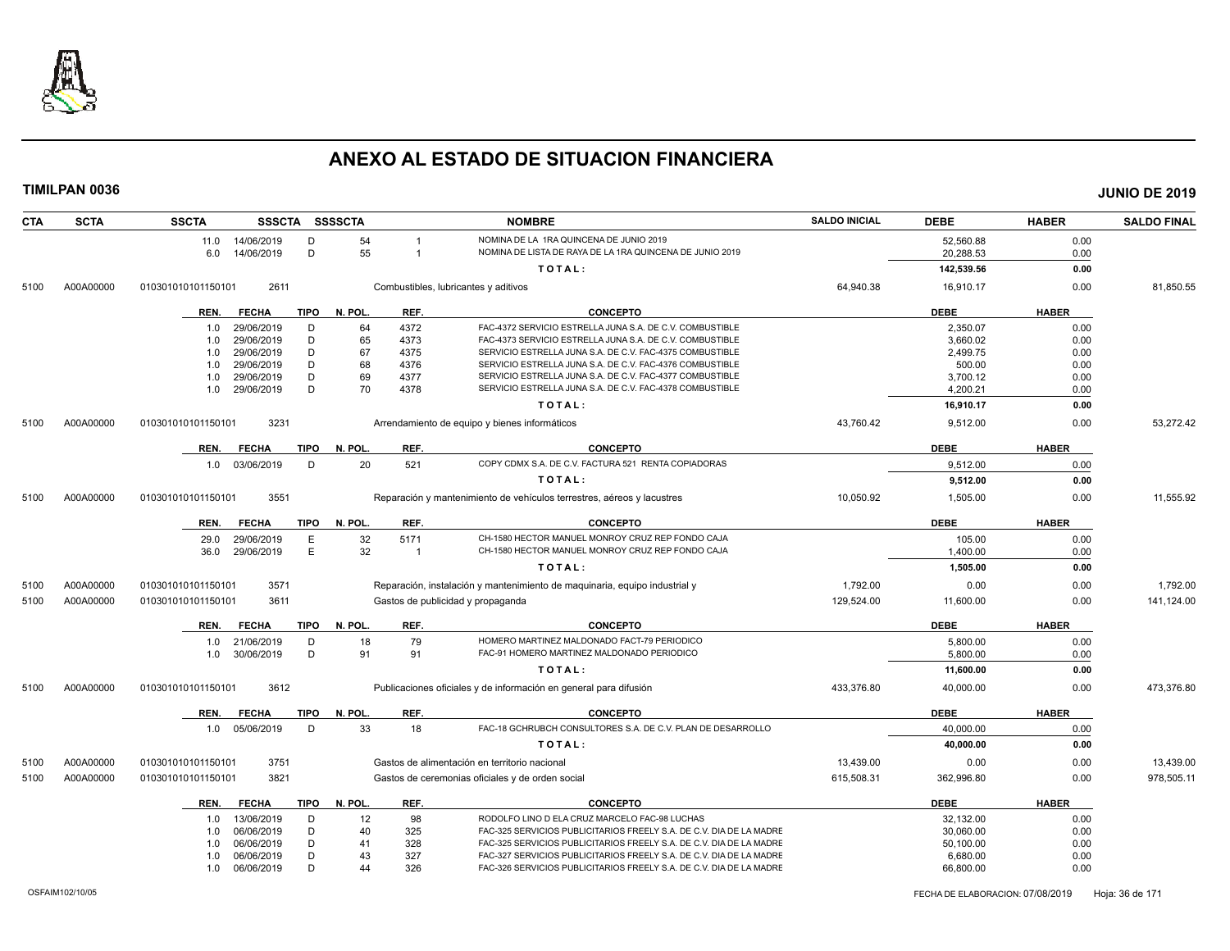

| <b>CTA</b> | <b>SCTA</b> | <b>SSCTA</b>                                                                   | SSSCTA SSSSCTA                    |         |                                                                            | <b>NOMBRE</b>                                                          | <b>SALDO INICIAL</b> | <b>DEBE</b> | <b>HABER</b> | <b>SALDO FINAL</b> |
|------------|-------------|--------------------------------------------------------------------------------|-----------------------------------|---------|----------------------------------------------------------------------------|------------------------------------------------------------------------|----------------------|-------------|--------------|--------------------|
|            |             | 11.0 14/06/2019                                                                | D                                 | 54      | -1                                                                         | NOMINA DE LA 1RA QUINCENA DE JUNIO 2019                                |                      | 52.560.88   | 0.00         |                    |
|            |             | 6.0<br>14/06/2019                                                              | D                                 | 55      | -1                                                                         | NOMINA DE LISTA DE RAYA DE LA 1RA QUINCENA DE JUNIO 2019               |                      | 20,288.53   | 0.00         |                    |
|            |             |                                                                                |                                   |         |                                                                            | TOTAL:                                                                 |                      | 142,539.56  | 0.00         |                    |
| 5100       | A00A00000   | 2611<br>Combustibles, lubricantes y aditivos<br>010301010101150101             |                                   |         |                                                                            |                                                                        | 64,940.38            | 16,910.17   | 0.00         | 81,850.55          |
|            |             | REN.<br><b>FECHA</b>                                                           | <b>TIPO</b>                       | N. POL. | REF.                                                                       | <b>CONCEPTO</b>                                                        |                      | <b>DEBE</b> | <b>HABER</b> |                    |
|            |             | 29/06/2019<br>1.0                                                              | D                                 | 64      | 4372                                                                       | FAC-4372 SERVICIO ESTRELLA JUNA S.A. DE C.V. COMBUSTIBLE               |                      | 2,350.07    | 0.00         |                    |
|            |             | 29/06/2019<br>1.0                                                              | D                                 | 65      | 4373                                                                       | FAC-4373 SERVICIO ESTRELLA JUNA S.A. DE C.V. COMBUSTIBLE               |                      | 3,660.02    | 0.00         |                    |
|            |             | 29/06/2019<br>1.0                                                              | D                                 | 67      | 4375                                                                       | SERVICIO ESTRELLA JUNA S.A. DE C.V. FAC-4375 COMBUSTIBLE               |                      | 2.499.75    | 0.00         |                    |
|            |             | 29/06/2019<br>1.0                                                              | D                                 | 68      | 4376                                                                       | SERVICIO ESTRELLA JUNA S.A. DE C.V. FAC-4376 COMBUSTIBLE               |                      | 500.00      | 0.00         |                    |
|            |             | 29/06/2019<br>1.0                                                              | D                                 | 69      | 4377                                                                       | SERVICIO ESTRELLA JUNA S.A. DE C.V. FAC-4377 COMBUSTIBLE               |                      | 3,700.12    | 0.00         |                    |
|            |             | 1.0<br>29/06/2019                                                              | D                                 | 70      | 4378                                                                       | SERVICIO ESTRELLA JUNA S.A. DE C.V. FAC-4378 COMBUSTIBLE               |                      | 4,200.21    | 0.00         |                    |
|            |             |                                                                                |                                   |         |                                                                            | TOTAL:                                                                 |                      | 16,910.17   | 0.00         |                    |
| 5100       | A00A00000   | 010301010101150101<br>3231                                                     |                                   |         |                                                                            | Arrendamiento de equipo y bienes informáticos                          | 43,760.42            | 9,512.00    | 0.00         | 53,272.42          |
|            |             | <b>FECHA</b><br>REN.                                                           | <b>TIPO</b>                       | N. POL. | REF.                                                                       | CONCEPTO                                                               |                      | <b>DEBE</b> | <b>HABER</b> |                    |
|            |             | 1.0 03/06/2019                                                                 | D                                 | 20      | 521                                                                        | COPY CDMX S.A. DE C.V. FACTURA 521 RENTA COPIADORAS                    |                      | 9,512.00    | 0.00         |                    |
|            |             |                                                                                |                                   |         |                                                                            | TOTAL:                                                                 |                      | 9,512.00    | 0.00         |                    |
| 5100       | A00A00000   | 3551<br>010301010101150101                                                     |                                   |         |                                                                            | Reparación y mantenimiento de vehículos terrestres, aéreos y lacustres | 10,050.92            | 1,505.00    | 0.00         | 11,555.92          |
|            |             | <b>FECHA</b><br>REN.                                                           | <b>TIPO</b>                       | N. POL. | REF.                                                                       | <b>CONCEPTO</b>                                                        |                      | <b>DEBE</b> | <b>HABER</b> |                    |
|            |             | 29/06/2019<br>29.0                                                             | E                                 | 32      | 5171                                                                       | CH-1580 HECTOR MANUEL MONROY CRUZ REP FONDO CAJA                       |                      | 105.00      | 0.00         |                    |
|            |             | 29/06/2019<br>36.0                                                             | E                                 | 32      | $\overline{1}$                                                             | CH-1580 HECTOR MANUEL MONROY CRUZ REP FONDO CAJA                       |                      | 1,400.00    | 0.00         |                    |
|            |             |                                                                                |                                   |         |                                                                            | TOTAL:                                                                 |                      | 1,505.00    | 0.00         |                    |
| 5100       | A00A00000   | 3571<br>010301010101150101                                                     |                                   |         | Reparación, instalación y mantenimiento de maguinaria, equipo industrial y |                                                                        | 1,792.00             | 0.00        | 0.00         | 1,792.00           |
| 5100       | A00A00000   | 010301010101150101<br>3611                                                     | Gastos de publicidad y propaganda |         |                                                                            |                                                                        | 129,524.00           | 11,600.00   | 0.00         | 141,124.00         |
|            |             | <b>FECHA</b><br>REN.                                                           | <b>TIPO</b>                       | N. POL. | REF.                                                                       | <b>CONCEPTO</b>                                                        |                      | <b>DEBE</b> | <b>HABER</b> |                    |
|            |             | 21/06/2019<br>1.0                                                              | D                                 | 18      | 79                                                                         | HOMERO MARTINEZ MALDONADO FACT-79 PERIODICO                            |                      | 5.800.00    | 0.00         |                    |
|            |             | 30/06/2019<br>1.0                                                              | D                                 | 91      | 91                                                                         | FAC-91 HOMERO MARTINEZ MALDONADO PERIODICO                             |                      | 5,800.00    | 0.00         |                    |
|            |             |                                                                                |                                   |         |                                                                            | TOTAL:                                                                 |                      | 11,600.00   | 0.00         |                    |
| 5100       | A00A00000   | 010301010101150101<br>3612                                                     |                                   |         |                                                                            | Publicaciones oficiales y de información en general para difusión      | 433,376.80           | 40,000.00   | 0.00         | 473,376.80         |
|            |             | <b>FECHA</b><br>REN.                                                           | <b>TIPO</b>                       | N. POL. | REF.                                                                       | <b>CONCEPTO</b>                                                        |                      | <b>DEBE</b> | <b>HABER</b> |                    |
|            |             | 05/06/2019<br>1.0                                                              | D                                 | 33      | 18                                                                         | FAC-18 GCHRUBCH CONSULTORES S.A. DE C.V. PLAN DE DESARROLLO            |                      | 40,000.00   | 0.00         |                    |
|            |             |                                                                                |                                   |         |                                                                            | TOTAL:                                                                 |                      | 40.000.00   | 0.00         |                    |
| 5100       | A00A00000   | 3751<br>010301010101150101                                                     |                                   |         | Gastos de alimentación en territorio nacional                              |                                                                        | 13.439.00            | 0.00        | 0.00         | 13,439.00          |
| 5100       | A00A00000   | 3821<br>010301010101150101<br>Gastos de ceremonias oficiales y de orden social |                                   |         |                                                                            | 615.508.31                                                             | 362,996.80           | 0.00        | 978,505.11   |                    |
|            |             | REN.<br><b>FECHA</b>                                                           | <b>TIPO</b>                       | N. POL. | REF.                                                                       | <b>CONCEPTO</b>                                                        |                      | <b>DEBE</b> | <b>HABER</b> |                    |
|            |             | 13/06/2019<br>1.0                                                              | D                                 | 12      | 98                                                                         | RODOLFO LINO D ELA CRUZ MARCELO FAC-98 LUCHAS                          |                      | 32,132.00   | 0.00         |                    |
|            |             | 06/06/2019<br>1.0                                                              | D                                 | 40      | 325                                                                        | FAC-325 SERVICIOS PUBLICITARIOS FREELY S.A. DE C.V. DIA DE LA MADRE    |                      | 30.060.00   | 0.00         |                    |
|            |             |                                                                                | D                                 | 41      | 328                                                                        | FAC-325 SERVICIOS PUBLICITARIOS FREELY S.A. DE C.V. DIA DE LA MADRE    |                      | 50,100.00   | 0.00         |                    |
|            |             | 06/06/2019<br>1.0                                                              |                                   |         |                                                                            |                                                                        |                      |             |              |                    |
|            |             | 06/06/2019<br>1.0                                                              | D                                 | 43      | 327                                                                        | FAC-327 SERVICIOS PUBLICITARIOS FREELY S.A. DE C.V. DIA DE LA MADRE    |                      | 6,680.00    | 0.00         |                    |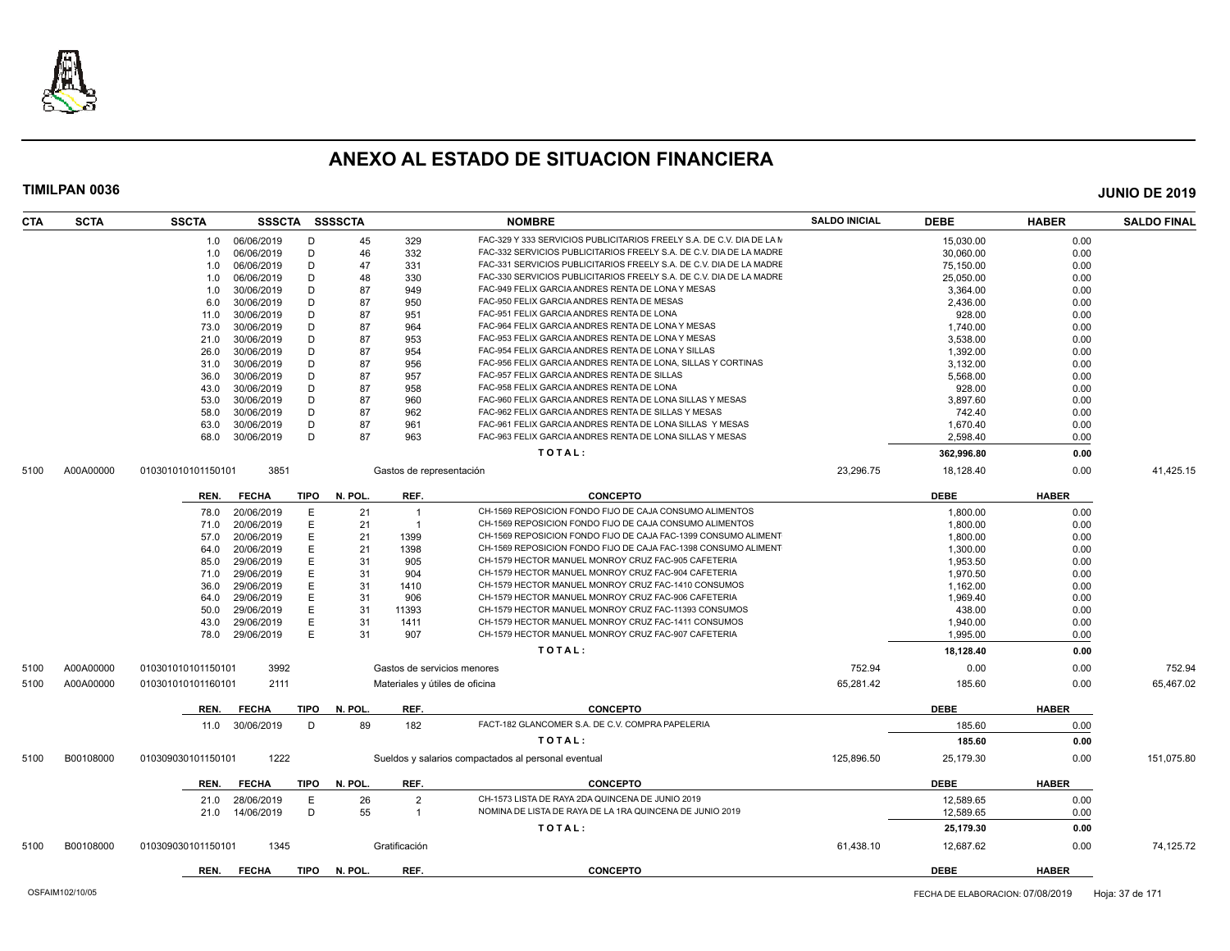

| <b>SCTA</b><br><b>CTA</b> | <b>SSCTA</b>       | <b>SSSCTA</b> |             | <b>SSSSCTA</b> |                          | <b>NOMBRE</b>                                                         | <b>SALDO INICIAL</b> | <b>DEBE</b> | <b>HABER</b> | <b>SALDO FINAL</b> |
|---------------------------|--------------------|---------------|-------------|----------------|--------------------------|-----------------------------------------------------------------------|----------------------|-------------|--------------|--------------------|
|                           | 1.0                | 06/06/2019    | D           | 45             | 329                      | FAC-329 Y 333 SERVICIOS PUBLICITARIOS FREELY S.A. DE C.V. DIA DE LA M |                      | 15,030.00   | 0.00         |                    |
|                           | 1.0                | 06/06/2019    | D           | 46             | 332                      | FAC-332 SERVICIOS PUBLICITARIOS FREELY S.A. DE C.V. DIA DE LA MADRE   |                      | 30,060.00   | 0.00         |                    |
|                           | 1.0                | 06/06/2019    | D           | 47             | 331                      | FAC-331 SERVICIOS PUBLICITARIOS FREELY S.A. DE C.V. DIA DE LA MADRE   |                      | 75,150.00   | 0.00         |                    |
|                           | 1.0                | 06/06/2019    | D           | 48             | 330                      | FAC-330 SERVICIOS PUBLICITARIOS FREELY S.A. DE C.V. DIA DE LA MADRE   |                      | 25,050.00   | 0.00         |                    |
|                           | 1.0                | 30/06/2019    | D           | 87             | 949                      | FAC-949 FELIX GARCIA ANDRES RENTA DE LONA Y MESAS                     |                      | 3,364.00    | 0.00         |                    |
|                           | 6.0                | 30/06/2019    | D           | 87             | 950                      | FAC-950 FELIX GARCIA ANDRES RENTA DE MESAS                            |                      | 2.436.00    | 0.00         |                    |
|                           | 11.0               | 30/06/2019    | D           | 87             | 951                      | FAC-951 FELIX GARCIA ANDRES RENTA DE LONA                             |                      | 928.00      | 0.00         |                    |
|                           | 73.0               | 30/06/2019    | D           | 87             | 964                      | FAC-964 FELIX GARCIA ANDRES RENTA DE LONA Y MESAS                     |                      | 1.740.00    | 0.00         |                    |
|                           | 21.0               | 30/06/2019    | D           | 87             | 953                      | FAC-953 FELIX GARCIA ANDRES RENTA DE LONA Y MESAS                     |                      | 3,538.00    | 0.00         |                    |
|                           | 26.0               | 30/06/2019    | D           | 87             | 954                      | FAC-954 FELIX GARCIA ANDRES RENTA DE LONA Y SILLAS                    |                      | 1,392.00    | 0.00         |                    |
|                           | 31.0               | 30/06/2019    | D           | 87             | 956                      | FAC-956 FELIX GARCIA ANDRES RENTA DE LONA, SILLAS Y CORTINAS          |                      | 3,132.00    | 0.00         |                    |
|                           | 36.0               | 30/06/2019    | D           | 87             | 957                      | FAC-957 FELIX GARCIA ANDRES RENTA DE SILLAS                           |                      | 5,568.00    | 0.00         |                    |
|                           | 43.0               | 30/06/2019    | D           | 87             | 958                      | FAC-958 FELIX GARCIA ANDRES RENTA DE LONA                             |                      | 928.00      | 0.00         |                    |
|                           | 53.0               | 30/06/2019    | D           | 87             | 960                      | FAC-960 FELIX GARCIA ANDRES RENTA DE LONA SILLAS Y MESAS              |                      | 3,897.60    | 0.00         |                    |
|                           | 58.0               | 30/06/2019    | D           | 87             | 962                      | FAC-962 FELIX GARCIA ANDRES RENTA DE SILLAS Y MESAS                   |                      | 742.40      | 0.00         |                    |
|                           | 63.0               | 30/06/2019    | D           | 87             | 961                      | FAC-961 FELIX GARCIA ANDRES RENTA DE LONA SILLAS Y MESAS              |                      | 1,670.40    | 0.00         |                    |
|                           | 68.0               | 30/06/2019    | D           | 87             | 963                      | FAC-963 FELIX GARCIA ANDRES RENTA DE LONA SILLAS Y MESAS              |                      | 2.598.40    | 0.00         |                    |
|                           |                    |               |             |                |                          | TOTAL:                                                                |                      | 362,996.80  | 0.00         |                    |
| A00A00000<br>5100         | 010301010101150101 | 3851          |             |                | Gastos de representación |                                                                       | 23,296.75            | 18,128.40   | 0.00         | 41,425.15          |
|                           | REN.               | <b>FECHA</b>  | <b>TIPO</b> | N. POL.        | REF.                     | <b>CONCEPTO</b>                                                       |                      | <b>DEBE</b> | <b>HABER</b> |                    |
|                           | 78.0               | 20/06/2019    | E           | 21             | $\overline{1}$           | CH-1569 REPOSICION FONDO FIJO DE CAJA CONSUMO ALIMENTOS               |                      | 1,800.00    | 0.00         |                    |
|                           | 71.0               | 20/06/2019    | E           | 21             | -1                       | CH-1569 REPOSICION FONDO FIJO DE CAJA CONSUMO ALIMENTOS               |                      | 1,800.00    | 0.00         |                    |
|                           | 57.0               | 20/06/2019    | E           | 21             | 1399                     | CH-1569 REPOSICION FONDO FIJO DE CAJA FAC-1399 CONSUMO ALIMENT        |                      | 1,800.00    | 0.00         |                    |
|                           | 64.0               | 20/06/2019    | E           | 21             | 1398                     | CH-1569 REPOSICION FONDO FIJO DE CAJA FAC-1398 CONSUMO ALIMENT        |                      | 1.300.00    | 0.00         |                    |
|                           | 85.0               | 29/06/2019    | E           | 31             | 905                      | CH-1579 HECTOR MANUEL MONROY CRUZ FAC-905 CAFETERIA                   |                      | 1,953.50    | 0.00         |                    |
|                           | 71.0               | 29/06/2019    | E           | 31             | 904                      | CH-1579 HECTOR MANUEL MONROY CRUZ FAC-904 CAFETERIA                   |                      | 1.970.50    | 0.00         |                    |
|                           | 36.0               | 29/06/2019    | Е           | 31             | 1410                     | CH-1579 HECTOR MANUEL MONROY CRUZ FAC-1410 CONSUMOS                   |                      | 1,162.00    | 0.00         |                    |
|                           | 64.0               | 29/06/2019    | E           | 31             | 906                      | CH-1579 HECTOR MANUEL MONROY CRUZ FAC-906 CAFETERIA                   |                      | 1,969.40    | 0.00         |                    |
|                           | 50.0               | 29/06/2019    | E           | 31             | 11393                    | CH-1579 HECTOR MANUEL MONROY CRUZ FAC-11393 CONSUMOS                  |                      | 438.00      | 0.00         |                    |
|                           | 43.0               | 29/06/2019    | E           | 31             | 1411                     | CH-1579 HECTOR MANUEL MONROY CRUZ FAC-1411 CONSUMOS                   |                      | 1,940.00    | 0.00         |                    |
|                           | 78.0               | 29/06/2019    | E           | 31             | 907                      | CH-1579 HECTOR MANUEL MONROY CRUZ FAC-907 CAFETERIA                   |                      | 1,995.00    | 0.00         |                    |
|                           |                    |               |             |                |                          | TOTAL:                                                                |                      | 18,128.40   | 0.00         |                    |
| A00A00000<br>5100         | 010301010101150101 | 3992          |             |                |                          | Gastos de servicios menores                                           | 752.94               | 0.00        | 0.00         | 752.94             |
| A00A00000<br>5100         | 010301010101160101 | 2111          |             |                |                          | Materiales y útiles de oficina                                        | 65,281.42            | 185.60      | 0.00         | 65,467.02          |
|                           | REN.               | <b>FECHA</b>  | TIPO        | N. POL.        | REF.                     | <b>CONCEPTO</b>                                                       |                      | <b>DEBE</b> | <b>HABER</b> |                    |
|                           | 11.0               | 30/06/2019    | D           | 89             | 182                      | FACT-182 GLANCOMER S.A. DE C.V. COMPRA PAPELERIA                      |                      | 185.60      | 0.00         |                    |
|                           |                    |               |             |                |                          | TOTAL:                                                                |                      | 185.60      | 0.00         |                    |
| B00108000<br>5100         | 010309030101150101 | 1222          |             |                |                          | Sueldos y salarios compactados al personal eventual                   | 125,896.50           | 25,179.30   | 0.00         | 151,075.80         |
|                           | REN.               | <b>FECHA</b>  | <b>TIPO</b> | N. POL.        | REF.                     | <b>CONCEPTO</b>                                                       |                      | <b>DEBE</b> | <b>HABER</b> |                    |
|                           | 21.0               | 28/06/2019    | E           | 26             | $\overline{2}$           | CH-1573 LISTA DE RAYA 2DA QUINCENA DE JUNIO 2019                      |                      | 12,589.65   | 0.00         |                    |
|                           | 21.0               | 14/06/2019    | D           | 55             | $\overline{1}$           | NOMINA DE LISTA DE RAYA DE LA 1RA QUINCENA DE JUNIO 2019              |                      | 12.589.65   | 0.00         |                    |
|                           |                    |               |             |                |                          |                                                                       |                      |             |              |                    |
|                           |                    |               |             |                |                          | TOTAL:                                                                |                      | 25,179.30   | 0.00         |                    |
| B00108000<br>5100         | 010309030101150101 | 1345          |             |                | Gratificación            |                                                                       | 61,438.10            | 12,687.62   | 0.00         | 74,125.72          |
|                           | REN.               | <b>FECHA</b>  | TIPO        | N. POL.        | REF.                     | <b>CONCEPTO</b>                                                       |                      | <b>DEBE</b> | <b>HABER</b> |                    |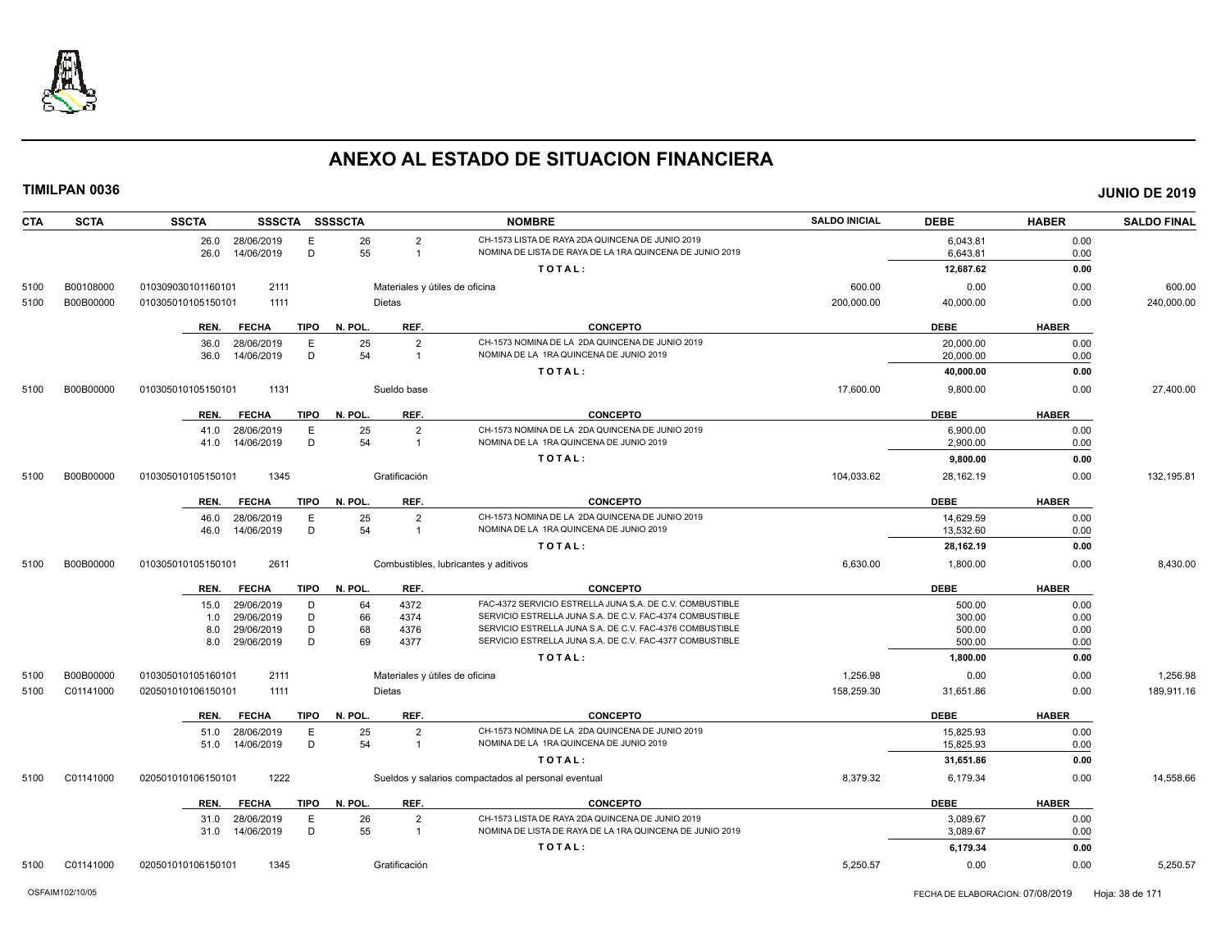

| <b>CTA</b>   | <b>SCTA</b>            | <b>SSCTA</b><br>SSSCTA SSSSCTA                           |                                                 | <b>NOMBRE</b>                                                                                                        | <b>SALDO INICIAL</b>   | <b>DEBE</b>            | <b>HABER</b> | <b>SALDO FINAL</b>     |
|--------------|------------------------|----------------------------------------------------------|-------------------------------------------------|----------------------------------------------------------------------------------------------------------------------|------------------------|------------------------|--------------|------------------------|
|              |                        | 26.0 28/06/2019<br>Е<br>D<br>14/06/2019<br>26.0          | 26<br>$\overline{2}$<br>55<br>$\overline{1}$    | CH-1573 LISTA DE RAYA 2DA QUINCENA DE JUNIO 2019<br>NOMINA DE LISTA DE RAYA DE LA 1RA QUINCENA DE JUNIO 2019         |                        | 6,043.81<br>6,643.81   | 0.00<br>0.00 |                        |
|              |                        |                                                          |                                                 | TOTAL:                                                                                                               |                        | 12,687.62              | 0.00         |                        |
| 5100         | B00108000              | 2111<br>010309030101160101                               | Materiales y útiles de oficina                  |                                                                                                                      | 600.00                 | 0.00                   | 0.00         | 600.00                 |
| 5100         | B00B00000              | 010305010105150101<br>1111                               | <b>Dietas</b>                                   |                                                                                                                      | 200,000.00             | 40,000.00              | 0.00         | 240,000.00             |
|              |                        |                                                          |                                                 |                                                                                                                      |                        |                        |              |                        |
|              |                        | <b>FECHA</b><br><b>TIPO</b><br>REN.                      | N. POL.<br>REF.                                 | <b>CONCEPTO</b>                                                                                                      |                        | <b>DEBE</b>            | <b>HABER</b> |                        |
|              |                        | 36.0<br>28/06/2019<br>Е<br>D<br>36.0<br>14/06/2019       | 25<br>$\overline{2}$<br>54<br>$\overline{1}$    | CH-1573 NOMINA DE LA 2DA QUINCENA DE JUNIO 2019<br>NOMINA DE LA 1RA QUINCENA DE JUNIO 2019                           |                        | 20,000.00<br>20,000.00 | 0.00<br>0.00 |                        |
|              |                        |                                                          |                                                 | TOTAL:                                                                                                               |                        | 40,000.00              | 0.00         |                        |
| 5100         | B00B00000              | 010305010105150101<br>1131                               | Sueldo base                                     |                                                                                                                      | 17,600.00              | 9,800.00               | 0.00         | 27,400.00              |
|              |                        |                                                          |                                                 |                                                                                                                      |                        |                        |              |                        |
|              |                        | <b>FECHA</b><br>TIPO<br>REN.                             | REF.<br>N. POL.                                 | <b>CONCEPTO</b>                                                                                                      |                        | <b>DEBE</b>            | <b>HABER</b> |                        |
|              |                        | 28/06/2019<br>E<br>41.0                                  | 25<br>$\overline{2}$                            | CH-1573 NOMINA DE LA 2DA QUINCENA DE JUNIO 2019                                                                      |                        | 6,900.00               | 0.00         |                        |
|              |                        | D<br>14/06/2019<br>41.0                                  | 54<br>$\overline{1}$                            | NOMINA DE LA 1RA QUINCENA DE JUNIO 2019                                                                              |                        | 2.900.00               | 0.00         |                        |
|              |                        |                                                          |                                                 | TOTAL:                                                                                                               |                        | 9,800.00               | 0.00         |                        |
| 5100         | B00B00000              | 010305010105150101<br>1345                               | Gratificación                                   |                                                                                                                      | 104,033.62             | 28,162.19              | 0.00         | 132,195.81             |
|              |                        | <b>FECHA</b><br><b>TIPO</b><br>REN.                      | REF.<br>N. POL.                                 | <b>CONCEPTO</b>                                                                                                      |                        | <b>DEBE</b>            | <b>HABER</b> |                        |
|              |                        | 28/06/2019<br>Ε<br>46.0                                  | 25<br>$\overline{2}$                            | CH-1573 NOMINA DE LA 2DA QUINCENA DE JUNIO 2019                                                                      |                        | 14,629.59              | 0.00         |                        |
|              |                        | D<br>46.0<br>14/06/2019                                  | 54<br>$\overline{1}$                            | NOMINA DE LA 1RA QUINCENA DE JUNIO 2019                                                                              |                        | 13,532.60              | 0.00         |                        |
|              |                        |                                                          |                                                 | TOTAL:                                                                                                               |                        | 28,162.19              | 0.00         |                        |
| 5100         | B00B00000              | 2611<br>010305010105150101                               |                                                 | Combustibles, lubricantes y aditivos                                                                                 | 6,630.00               | 1,800.00               | 0.00         | 8,430.00               |
|              |                        | <b>FECHA</b><br>TIPO<br>REN.                             | REF.<br>N. POL.                                 | <b>CONCEPTO</b>                                                                                                      |                        | <b>DEBE</b>            | <b>HABER</b> |                        |
|              |                        | 29/06/2019<br>D<br>15.0                                  | 64<br>4372                                      | FAC-4372 SERVICIO ESTRELLA JUNA S.A. DE C.V. COMBUSTIBLE                                                             |                        | 500.00                 | 0.00         |                        |
|              |                        | D<br>29/06/2019<br>1.0                                   | 66<br>4374                                      | SERVICIO ESTRELLA JUNA S.A. DE C.V. FAC-4374 COMBUSTIBLE                                                             |                        | 300.00                 | 0.00         |                        |
|              |                        | D<br>29/06/2019<br>8.0                                   | 68<br>4376                                      | SERVICIO ESTRELLA JUNA S.A. DE C.V. FAC-4376 COMBUSTIBLE<br>SERVICIO ESTRELLA JUNA S.A. DE C.V. FAC-4377 COMBUSTIBLE |                        | 500.00                 | 0.00         |                        |
|              |                        | D<br>29/06/2019<br>8.0                                   | 69<br>4377                                      | TOTAL:                                                                                                               |                        | 500.00                 | 0.00<br>0.00 |                        |
|              |                        |                                                          |                                                 |                                                                                                                      |                        | 1,800.00               |              |                        |
| 5100<br>5100 | B00B00000<br>C01141000 | 010305010105160101<br>2111<br>1111<br>020501010106150101 | Materiales y útiles de oficina<br><b>Dietas</b> |                                                                                                                      | 1,256.98<br>158,259.30 | 0.00<br>31,651.86      | 0.00<br>0.00 | 1,256.98<br>189,911.16 |
|              |                        |                                                          |                                                 |                                                                                                                      |                        |                        |              |                        |
|              |                        | <b>TIPO</b><br>REN.<br><b>FECHA</b>                      | REF.<br>N. POL.                                 | <b>CONCEPTO</b>                                                                                                      |                        | <b>DEBE</b>            | <b>HABER</b> |                        |
|              |                        | 28/06/2019<br>Ε<br>51.0                                  | 25<br>$\overline{2}$                            | CH-1573 NOMINA DE LA 2DA QUINCENA DE JUNIO 2019                                                                      |                        | 15,825.93              | 0.00         |                        |
|              |                        | D<br>14/06/2019<br>51.0                                  | 54<br>$\overline{1}$                            | NOMINA DE LA 1RA QUINCENA DE JUNIO 2019                                                                              |                        | 15.825.93              | 0.00         |                        |
|              |                        |                                                          |                                                 | TOTAL:                                                                                                               |                        | 31,651.86              | 0.00         |                        |
| 5100         | C01141000              | 1222<br>020501010106150101                               |                                                 | Sueldos y salarios compactados al personal eventual                                                                  | 8,379.32               | 6,179.34               | 0.00         | 14,558.66              |
|              |                        | <b>FECHA</b><br><b>TIPO</b><br>REN.                      | REF.<br>N. POL.                                 | <b>CONCEPTO</b>                                                                                                      |                        | <b>DEBE</b>            | <b>HABER</b> |                        |
|              |                        | 28/06/2019<br>Ε<br>31.0                                  | $\overline{2}$<br>26                            | CH-1573 LISTA DE RAYA 2DA QUINCENA DE JUNIO 2019                                                                     |                        | 3,089.67               | 0.00         |                        |
|              |                        | D<br>14/06/2019<br>31.0                                  | 55<br>$\overline{1}$                            | NOMINA DE LISTA DE RAYA DE LA 1RA QUINCENA DE JUNIO 2019                                                             |                        | 3,089.67               | 0.00         |                        |
|              |                        |                                                          |                                                 | TOTAL:                                                                                                               |                        | 6,179.34               | 0.00         |                        |
| 5100         | C01141000              | 020501010106150101<br>1345                               | Gratificación                                   |                                                                                                                      | 5,250.57               | 0.00                   | 0.00         | 5,250.57               |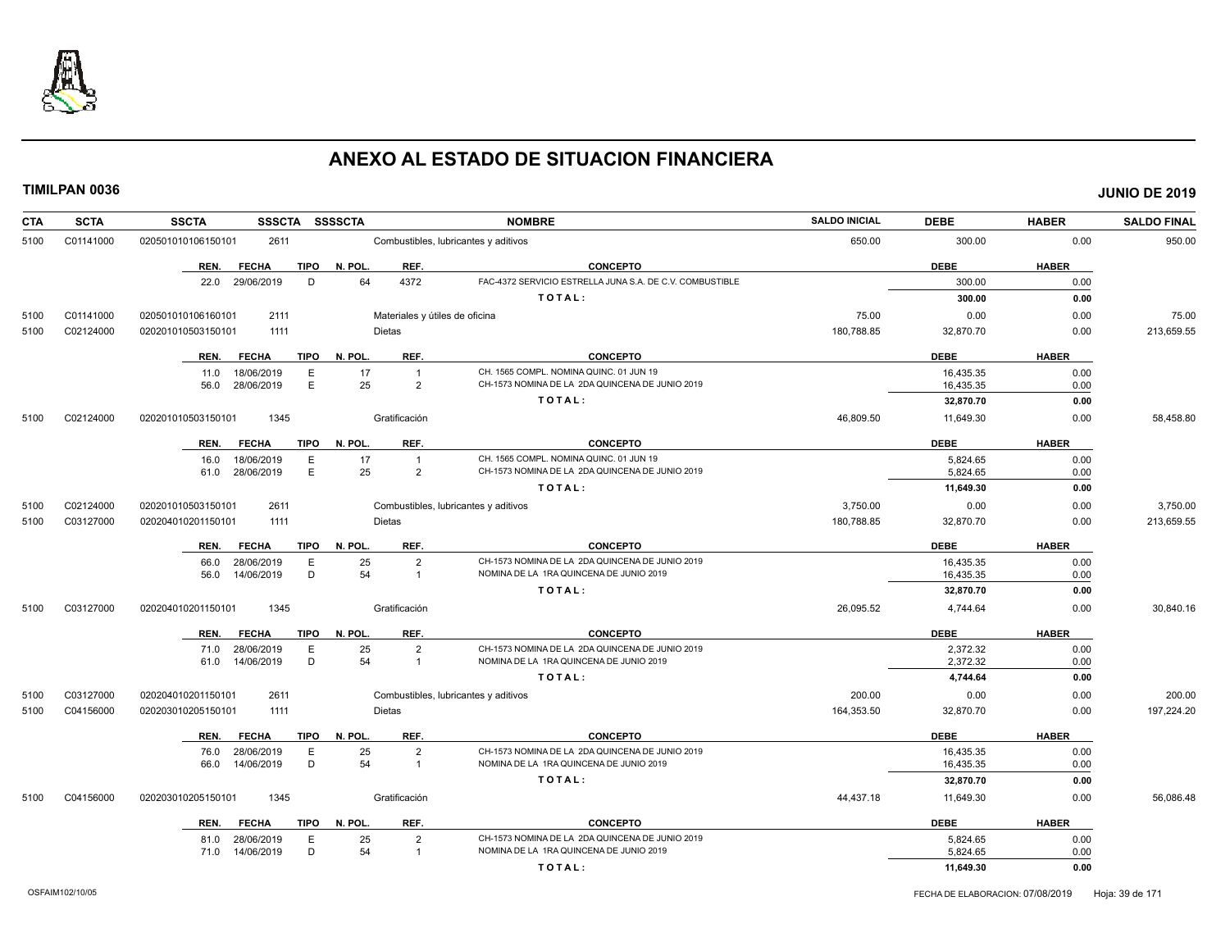

| <b>CTA</b> | <b>SCTA</b> | <b>SSSCTA</b><br><b>SSCTA</b>       | <b>SSSSCTA</b>                 | <b>NOMBRE</b>                                            | <b>SALDO INICIAL</b> | <b>DEBE</b> | <b>HABER</b> | <b>SALDO FINAL</b> |
|------------|-------------|-------------------------------------|--------------------------------|----------------------------------------------------------|----------------------|-------------|--------------|--------------------|
| 5100       | C01141000   | 020501010106150101<br>2611          |                                | Combustibles, lubricantes y aditivos                     | 650.00               | 300.00      | 0.00         | 950.00             |
|            |             | <b>FECHA</b><br><b>TIPO</b><br>REN. | N. POL.<br>REF.                | <b>CONCEPTO</b>                                          |                      | <b>DEBE</b> | <b>HABER</b> |                    |
|            |             | 29/06/2019<br>D<br>22.0             | 64<br>4372                     | FAC-4372 SERVICIO ESTRELLA JUNA S.A. DE C.V. COMBUSTIBLE |                      | 300.00      | 0.00         |                    |
|            |             |                                     |                                | TOTAL:                                                   |                      | 300.00      | 0.00         |                    |
| 5100       | C01141000   | 020501010106160101<br>2111          | Materiales y útiles de oficina |                                                          | 75.00                | 0.00        | 0.00         | 75.00              |
| 5100       | C02124000   | 1111<br>020201010503150101          | <b>Dietas</b>                  |                                                          | 180,788.85           | 32,870.70   | 0.00         | 213,659.55         |
|            |             | REN.<br><b>FECHA</b><br><b>TIPO</b> | N. POL.<br>REF.                | <b>CONCEPTO</b>                                          |                      | <b>DEBE</b> | <b>HABER</b> |                    |
|            |             | 18/06/2019<br>E<br>11.0             | 17<br>$\overline{1}$           | CH. 1565 COMPL. NOMINA QUINC. 01 JUN 19                  |                      | 16.435.35   | 0.00         |                    |
|            |             | E<br>28/06/2019<br>56.0             | 25<br>$\overline{2}$           | CH-1573 NOMINA DE LA 2DA QUINCENA DE JUNIO 2019          |                      | 16,435.35   | 0.00         |                    |
|            |             |                                     |                                | TOTAL:                                                   |                      | 32,870.70   | 0.00         |                    |
| 5100       | C02124000   | 020201010503150101<br>1345          | Gratificación                  |                                                          | 46,809.50            | 11,649.30   | 0.00         | 58,458.80          |
|            |             | REN.<br><b>FECHA</b><br><b>TIPO</b> | N. POL.<br>REF.                | <b>CONCEPTO</b>                                          |                      | <b>DEBE</b> | <b>HABER</b> |                    |
|            |             | 18/06/2019<br>Ε<br>16.0             | 17<br>$\overline{1}$           | CH. 1565 COMPL. NOMINA QUINC. 01 JUN 19                  |                      | 5,824.65    | 0.00         |                    |
|            |             | E<br>61.0 28/06/2019                | 25<br>$\overline{2}$           | CH-1573 NOMINA DE LA 2DA QUINCENA DE JUNIO 2019          |                      | 5,824.65    | 0.00         |                    |
|            |             |                                     |                                | TOTAL:                                                   |                      | 11,649.30   | 0.00         |                    |
| 5100       | C02124000   | 020201010503150101<br>2611          |                                | Combustibles, lubricantes y aditivos                     | 3,750.00             | 0.00        | 0.00         | 3,750.00           |
| 5100       | C03127000   | 020204010201150101<br>1111          | Dietas                         |                                                          | 180,788.85           | 32,870.70   | 0.00         | 213,659.55         |
|            |             | <b>TIPO</b><br>REN.<br><b>FECHA</b> | N. POL.<br>REF.                | <b>CONCEPTO</b>                                          |                      | <b>DEBE</b> | <b>HABER</b> |                    |
|            |             | Ε<br>66.0<br>28/06/2019             | 25<br>$\overline{2}$           | CH-1573 NOMINA DE LA 2DA QUINCENA DE JUNIO 2019          |                      | 16,435.35   | 0.00         |                    |
|            |             | D<br>14/06/2019<br>56.0             | 54<br>$\overline{1}$           | NOMINA DE LA 1RA QUINCENA DE JUNIO 2019                  |                      | 16,435.35   | 0.00         |                    |
|            |             |                                     |                                | TOTAL:                                                   |                      | 32,870.70   | 0.00         |                    |
| 5100       | C03127000   | 1345<br>020204010201150101          | Gratificación                  |                                                          | 26,095.52            | 4,744.64    | 0.00         | 30,840.16          |
|            |             | REN.<br><b>FECHA</b><br><b>TIPO</b> | N. POL.<br>REF.                | <b>CONCEPTO</b>                                          |                      | <b>DEBE</b> | <b>HABER</b> |                    |
|            |             | 28/06/2019<br>Ε<br>71.0             | 25<br>$\overline{2}$           | CH-1573 NOMINA DE LA 2DA QUINCENA DE JUNIO 2019          |                      | 2,372.32    | 0.00         |                    |
|            |             | D<br>14/06/2019<br>61.0             | 54<br>$\overline{1}$           | NOMINA DE LA 1RA QUINCENA DE JUNIO 2019                  |                      | 2,372.32    | 0.00         |                    |
|            |             |                                     |                                | TOTAL:                                                   |                      | 4,744.64    | 0.00         |                    |
| 5100       | C03127000   | 020204010201150101<br>2611          |                                | Combustibles, lubricantes y aditivos                     | 200.00               | 0.00        | 0.00         | 200.00             |
| 5100       | C04156000   | 020203010205150101<br>1111          | <b>Dietas</b>                  |                                                          | 164,353.50           | 32,870.70   | 0.00         | 197,224.20         |
|            |             | REN.<br><b>FECHA</b><br>TIPO        | N. POL.<br>REF.                | <b>CONCEPTO</b>                                          |                      | <b>DEBE</b> | <b>HABER</b> |                    |
|            |             | 28/06/2019<br>E<br>76.0             | 25<br>$\overline{2}$           | CH-1573 NOMINA DE LA 2DA QUINCENA DE JUNIO 2019          |                      | 16.435.35   | 0.00         |                    |
|            |             | D<br>14/06/2019<br>66.0             | 54<br>$\overline{1}$           | NOMINA DE LA 1RA QUINCENA DE JUNIO 2019                  |                      | 16,435.35   | 0.00         |                    |
|            |             |                                     |                                | TOTAL:                                                   |                      | 32,870.70   | 0.00         |                    |
| 5100       | C04156000   | 020203010205150101<br>1345          | Gratificación                  |                                                          | 44,437.18            | 11,649.30   | 0.00         | 56,086.48          |
|            |             | <b>FECHA</b><br><b>TIPO</b><br>REN. | N. POL.<br>REF.                | <b>CONCEPTO</b>                                          |                      | <b>DEBE</b> | <b>HABER</b> |                    |
|            |             | 28/06/2019<br>E<br>81.0             | 25<br>$\overline{2}$           | CH-1573 NOMINA DE LA 2DA QUINCENA DE JUNIO 2019          |                      | 5,824.65    | 0.00         |                    |
|            |             | 71.0 14/06/2019<br>D                | 54<br>$\overline{1}$           | NOMINA DE LA 1RA QUINCENA DE JUNIO 2019                  |                      | 5,824.65    | 0.00         |                    |
|            |             |                                     |                                | TOTAL:                                                   |                      | 11,649.30   | 0.00         |                    |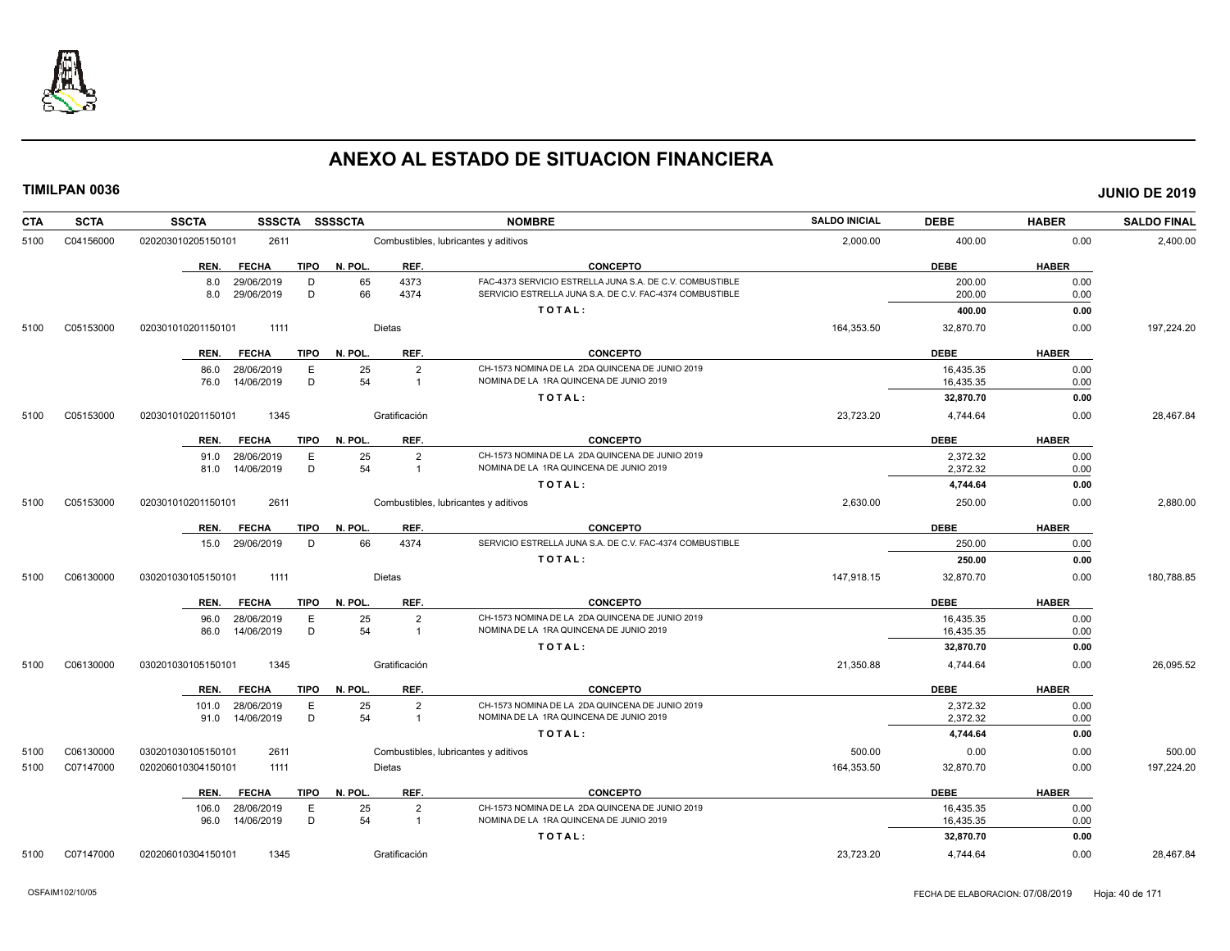

| <b>CTA</b> | <b>SCTA</b> | <b>SSCTA</b><br><b>SSSCTA</b>                    | <b>SSSSCTA</b>           | <b>NOMBRE</b>                                                                                                        | <b>SALDO INICIAL</b> | <b>DEBE</b>      | <b>HABER</b> | <b>SALDO FINAL</b> |
|------------|-------------|--------------------------------------------------|--------------------------|----------------------------------------------------------------------------------------------------------------------|----------------------|------------------|--------------|--------------------|
| 5100       | C04156000   | 2611<br>020203010205150101                       |                          | Combustibles, lubricantes y aditivos                                                                                 | 2,000.00             | 400.00           | 0.00         | 2,400.00           |
|            |             | <b>FECHA</b><br><b>TIPO</b><br>REN.              | N. POL.<br>REF.          | <b>CONCEPTO</b>                                                                                                      |                      | <b>DEBE</b>      | <b>HABER</b> |                    |
|            |             | 8.0<br>29/06/2019<br>D<br>29/06/2019<br>D<br>8.0 | 4373<br>65<br>66<br>4374 | FAC-4373 SERVICIO ESTRELLA JUNA S.A. DE C.V. COMBUSTIBLE<br>SERVICIO ESTRELLA JUNA S.A. DE C.V. FAC-4374 COMBUSTIBLE |                      | 200.00<br>200.00 | 0.00<br>0.00 |                    |
|            |             |                                                  |                          | TOTAL:                                                                                                               |                      | 400.00           | 0.00         |                    |
| 5100       | C05153000   | 1111<br>020301010201150101                       | Dietas                   |                                                                                                                      | 164,353.50           | 32,870.70        | 0.00         | 197,224.20         |
|            |             | <b>FECHA</b><br><b>TIPO</b><br>REN.              | REF.<br>N. POL.          | <b>CONCEPTO</b>                                                                                                      |                      | <b>DEBE</b>      | <b>HABER</b> |                    |
|            |             | 28/06/2019<br>E<br>86.0                          | 25<br>$\overline{2}$     | CH-1573 NOMINA DE LA 2DA QUINCENA DE JUNIO 2019                                                                      |                      | 16,435.35        | 0.00         |                    |
|            |             | D<br>76.0<br>14/06/2019                          | 54<br>$\overline{1}$     | NOMINA DE LA 1RA QUINCENA DE JUNIO 2019                                                                              |                      | 16,435.35        | 0.00         |                    |
|            |             |                                                  |                          | TOTAL:                                                                                                               |                      | 32,870.70        | 0.00         |                    |
| 5100       | C05153000   | 1345<br>020301010201150101                       | Gratificación            |                                                                                                                      | 23,723.20            | 4,744.64         | 0.00         | 28,467.84          |
|            |             | <b>FECHA</b><br><b>TIPO</b><br>REN.              | N. POL.<br>REF.          | <b>CONCEPTO</b>                                                                                                      |                      | <b>DEBE</b>      | <b>HABER</b> |                    |
|            |             | 91.0 28/06/2019<br>E                             | 25<br>$\overline{2}$     | CH-1573 NOMINA DE LA 2DA QUINCENA DE JUNIO 2019                                                                      |                      | 2,372.32         | 0.00         |                    |
|            |             | D<br>14/06/2019<br>81.0                          | 54<br>$\overline{1}$     | NOMINA DE LA 1RA QUINCENA DE JUNIO 2019                                                                              |                      | 2,372.32         | 0.00         |                    |
|            |             |                                                  |                          | TOTAL:                                                                                                               |                      | 4,744.64         | 0.00         |                    |
| 5100       | C05153000   | 2611<br>020301010201150101                       |                          | Combustibles, lubricantes y aditivos                                                                                 | 2,630.00             | 250.00           | 0.00         | 2,880.00           |
|            |             | <b>FECHA</b><br><b>TIPO</b><br>REN.              | N. POL.<br>REF.          | <b>CONCEPTO</b>                                                                                                      |                      | <b>DEBE</b>      | <b>HABER</b> |                    |
|            |             | 15.0 29/06/2019<br>D                             | 66<br>4374               | SERVICIO ESTRELLA JUNA S.A. DE C.V. FAC-4374 COMBUSTIBLE                                                             |                      | 250.00           | 0.00         |                    |
|            |             |                                                  |                          | TOTAL:                                                                                                               |                      | 250.00           | 0.00         |                    |
| 5100       | C06130000   | 030201030105150101<br>1111                       | Dietas                   |                                                                                                                      | 147,918.15           | 32,870.70        | 0.00         | 180,788.85         |
|            |             | <b>FECHA</b><br>REN.                             | TIPO N. POL.<br>REF.     | <b>CONCEPTO</b>                                                                                                      |                      | <b>DEBE</b>      | <b>HABER</b> |                    |
|            |             | E<br>28/06/2019<br>96.0                          | $\overline{2}$<br>25     | CH-1573 NOMINA DE LA 2DA QUINCENA DE JUNIO 2019                                                                      |                      | 16,435.35        | 0.00         |                    |
|            |             | D<br>14/06/2019<br>86.0                          | 54<br>$\overline{1}$     | NOMINA DE LA 1RA QUINCENA DE JUNIO 2019                                                                              |                      | 16,435.35        | 0.00         |                    |
|            |             |                                                  |                          | TOTAL:                                                                                                               |                      | 32,870.70        | 0.00         |                    |
| 5100       | C06130000   | 030201030105150101<br>1345                       | Gratificación            |                                                                                                                      | 21,350.88            | 4,744.64         | 0.00         | 26,095.52          |
|            |             | <b>FECHA</b><br>REN.                             | TIPO N. POL.<br>REF.     | <b>CONCEPTO</b>                                                                                                      |                      | <b>DEBE</b>      | <b>HABER</b> |                    |
|            |             | 101.0 28/06/2019<br>E                            | 25<br>$\overline{2}$     | CH-1573 NOMINA DE LA 2DA QUINCENA DE JUNIO 2019                                                                      |                      | 2,372.32         | 0.00         |                    |
|            |             | D<br>91.0 14/06/2019                             | 54<br>$\overline{1}$     | NOMINA DE LA 1RA QUINCENA DE JUNIO 2019                                                                              |                      | 2,372.32         | 0.00         |                    |
|            |             |                                                  |                          | TOTAL:                                                                                                               |                      | 4,744.64         | 0.00         |                    |
| 5100       | C06130000   | 030201030105150101<br>2611                       |                          | Combustibles, lubricantes y aditivos                                                                                 | 500.00               | 0.00             | 0.00         | 500.00             |
| 5100       | C07147000   | 020206010304150101<br>1111                       | Dietas                   |                                                                                                                      | 164,353.50           | 32,870.70        | 0.00         | 197,224.20         |
|            |             | <b>FECHA</b><br>TIPO<br>REN.                     | REF.<br>N. POL.          | <b>CONCEPTO</b>                                                                                                      |                      | <b>DEBE</b>      | <b>HABER</b> |                    |
|            |             | 28/06/2019<br>Е<br>106.0                         | 25<br>$\overline{2}$     | CH-1573 NOMINA DE LA 2DA QUINCENA DE JUNIO 2019                                                                      |                      | 16,435.35        | 0.00         |                    |
|            |             | D<br>96.0 14/06/2019                             | 54<br>$\overline{1}$     | NOMINA DE LA 1RA QUINCENA DE JUNIO 2019                                                                              |                      | 16,435.35        | 0.00         |                    |
|            |             |                                                  |                          | TOTAL:                                                                                                               |                      | 32,870.70        | 0.00         |                    |
| 5100       | C07147000   | 1345<br>020206010304150101                       | Gratificación            |                                                                                                                      | 23.723.20            | 4.744.64         | 0.00         | 28.467.84          |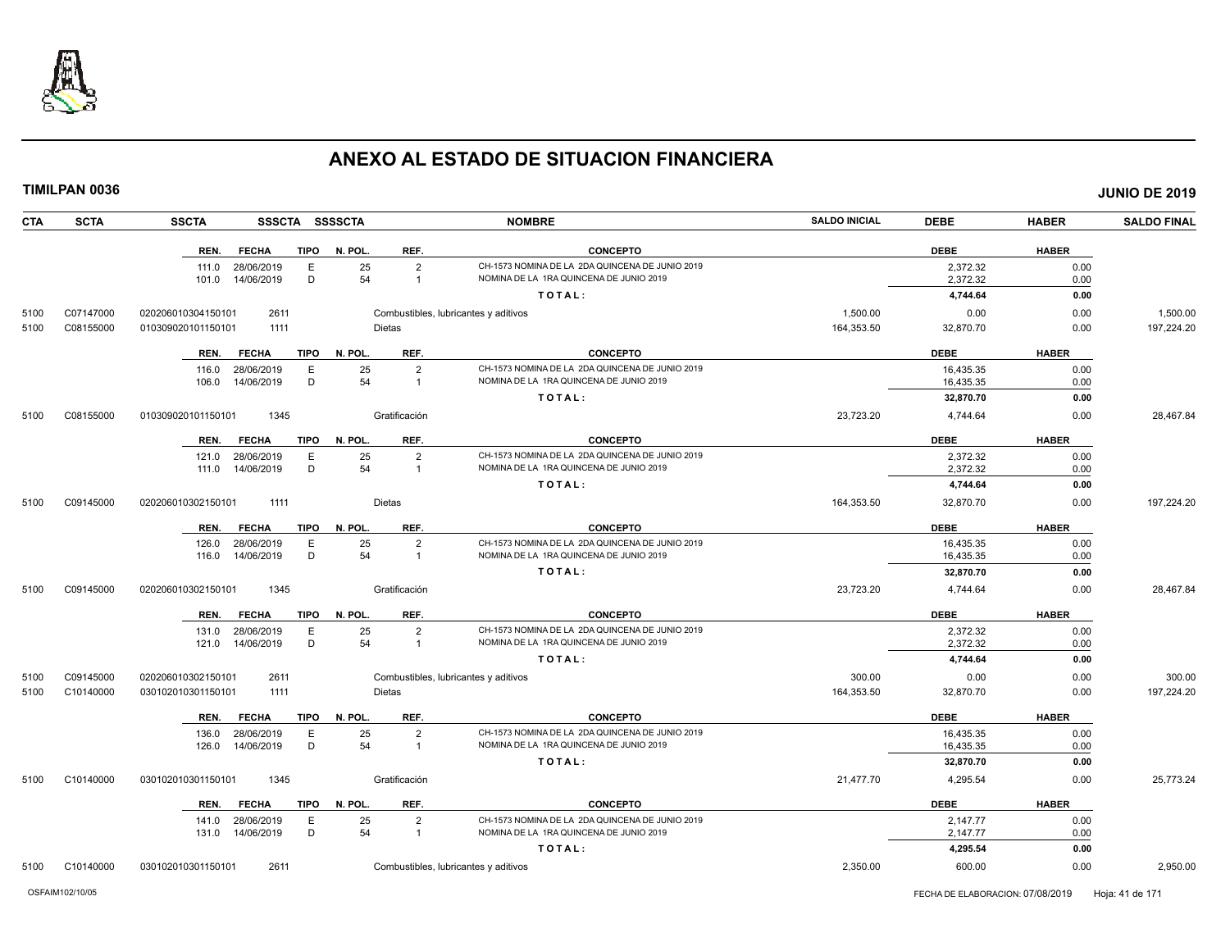

**CTA SCTA SSCTA SSSCTA SSSSCTA NOMBRE SALDO INICIAL DEBE HABER SALDO FINAL TIMILPAN 0036 JUNIO DE 2019 REN. FECHA TIPO N. POL. REF. CONCEPTO DEBE HABER** 111.0 28/06/2019 E 25 2 CH-1573 NOMINA DE LA 2DA QUINCENA DE JUNIO 2019<br>101.0 14/06/2019 D 54 1 NOMINA DE LA 1RA QUINCENA DE JUNIO 2019 2019 2019 2020 2,372.32 2000 101.0 101.0 101.0 14/06/2019 NOMINA DE JUNIO 2019 **T O T A L : 4,744.64 0.00** 5100 C07147000 020206010304150101 2611 Combustibles, lubricantes y aditivos 1,500.00 0.00 0.00 1,500.00 5100 C08155000 010309020101150101 1111 Dietas 164,353.50 32,870.70 0.00 197,224.20 **REN. FECHA TIPO N. POL. REF. CONCEPTO DEBE HABER** 116.0 28/06/2019 E 25 2 CH-1573 NOMINA DE LA 2DA QUINCENA DE JUNIO 2019<br>106.0 14/06/2019 D 54 1 NOMINA DE LA 1RA QUINCENA DE JUNIO 2019 16,435.35 16,435.35 0.00 106.0 14/06/2019 D 54 1 NOMINA DE LA 1RA QUINCENA DE JUNIO 2019 16,435.35 0.00 **T O T A L : 32,870.70 0.00** 5100 C08155000 010309020101150101 1345 Gratificación 23,723.20 4,744.64 0.00 28,467.84 **REN. FECHA TIPO N. POL. REF. CONCEPTO DEBE HABER** 121.0 28/06/2019 E 25 2 CH-1573 NOMINA DE LA 2DA QUINCENA DE JUNIO 2019 2,372.32 0.00 111.0 14/06/2019 D 54 1 NOMINA DE LA 1RA QUINCENA DE JUNIO 2019 2,372.32 0.00 **T O T A L : 4,744.64 0.00** 5100 C09145000 020206010302150101 1111 Dietas 164,353.50 32,870.70 0.00 197,224.20 **REN. FECHA TIPO N. POL. REF. CONCEPTO DEBE HABER** 126.0 28/06/2019 E 25 2 CH-1573 NOMINA DE LA 2DA QUINCENA DE JUNIO 2019 16,435.35 0.00 116.0 14/06/2019 D 54 1 NOMINA DE LA 1RA QUINCENA DE JUNIO 2019 16,435.35 0.00 **T O T A L : 32,870.70 0.00** 5100 C09145000 020206010302150101 1345 Gratificación 23,723.20 4,744.64 0.00 28,467.84 **REN. FECHA TIPO N. POL. REF. CONCEPTO DEBE HABER** 131.0 28/06/2019 E 25 2 CH-1573 NOMINA DE LA 2DA QUINCENA DE JUNIO 2019 2,372.32 0.00 121.0 14/06/2019 D 54 1 NOMINA DE LA 1RA QUINCENA DE JUNIO 2019 2,372.32 0.00 **T O T A L : 4,744.64 0.00** 5100 C09145000 020206010302150101 2611 Combustibles, lubricantes y aditivos 300.00 0.00 0.00 300.00 5100 C10140000 030102010301150101 1111 Dietas 164,353.50 32,870.70 0.00 197,224.20 **REN. FECHA TIPO N. POL. REF. CONCEPTO DEBE HABER** 136.0 28/06/2019 E 25 2 CH-1573 NOMINA DE LA 2DA QUINCENA DE JUNIO 2019 16,435.35 0.00 126.0 14/06/2019 D 54 1 NOMINA DE LA 1RA QUINCENA DE JUNIO 2019 16,435.35 0.00 **T O T A L : 32,870.70 0.00** 5100 C10140000 030102010301150101 1345 Gratificación 21,477.70 4,295.54 0.00 25,773.24 **REN. FECHA TIPO N. POL. REF. CONCEPTO DEBE HABER** 141.0 28/06/2019 E 25 2 CH-1573 NOMINA DE LA 2DA QUINCENA DE JUNIO 2019 2,147.77 2010 131.0 14/06/2019 D 54 1 NOMINA DE LA 1RA QUINCENA DE JUNIO 2019 2,147.77 0.00 **T O T A L : 4,295.54 0.00**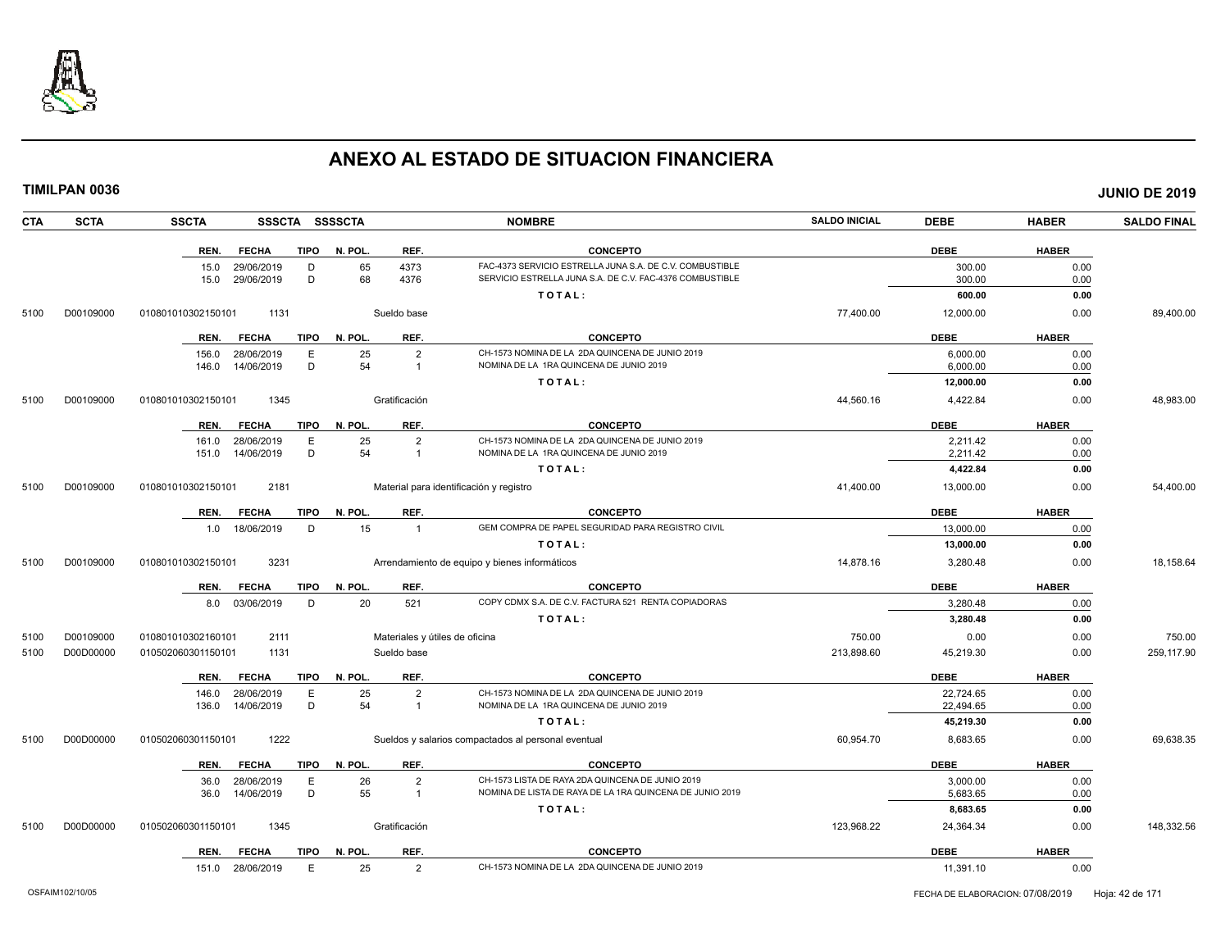

| <b>TIMILPAN 0036</b>                                                                                                                                                                                                                       |              | <b>JUNIO DE 2019</b> |
|--------------------------------------------------------------------------------------------------------------------------------------------------------------------------------------------------------------------------------------------|--------------|----------------------|
| <b>SALDO INICIAL</b><br><b>SSCTA</b><br>SSSCTA SSSSCTA<br><b>NOMBRE</b><br><b>DEBE</b><br><b>SCTA</b><br>CTA                                                                                                                               | <b>HABER</b> | <b>SALDO FINAL</b>   |
| <b>DEBE</b><br>REN.<br><b>FECHA</b><br><b>TIPO</b><br>N. POL.<br>REF.<br><b>CONCEPTO</b>                                                                                                                                                   | <b>HABER</b> |                      |
| 65<br>4373<br>FAC-4373 SERVICIO ESTRELLA JUNA S.A. DE C.V. COMBUSTIBLE<br>300.00<br>15.0<br>29/06/2019<br>D<br>68<br>15.0 29/06/2019<br>D<br>4376<br>SERVICIO ESTRELLA JUNA S.A. DE C.V. FAC-4376 COMBUSTIBLE<br>300.00                    | 0.00<br>0.00 |                      |
| TOTAL:<br>600.00                                                                                                                                                                                                                           | 0.00         |                      |
| 1131<br>Sueldo base<br>77,400.00<br>12,000.00<br>5100<br>D00109000<br>010801010302150101                                                                                                                                                   | 0.00         | 89,400.00            |
| REN.<br><b>FECHA</b><br><b>TIPO</b><br>N. POL.<br>REF.<br><b>CONCEPTO</b><br><b>DEBE</b>                                                                                                                                                   | <b>HABER</b> |                      |
| CH-1573 NOMINA DE LA 2DA QUINCENA DE JUNIO 2019<br>E<br>25<br>$\overline{2}$<br>156.0<br>28/06/2019<br>6,000.00                                                                                                                            | 0.00         |                      |
| NOMINA DE LA 1RA QUINCENA DE JUNIO 2019<br>14/06/2019<br>D<br>54<br>6,000.00<br>146.0<br>$\mathbf{1}$                                                                                                                                      | 0.00         |                      |
| TOTAL:<br>12,000.00                                                                                                                                                                                                                        | 0.00         |                      |
| D00109000<br>010801010302150101<br>1345<br>Gratificación<br>44,560.16<br>4,422.84<br>5100                                                                                                                                                  | 0.00         | 48,983.00            |
| <b>DEBE</b><br>TIPO<br>N. POL.<br>REF.<br><b>CONCEPTO</b><br>REN.<br><b>FECHA</b>                                                                                                                                                          | <b>HABER</b> |                      |
| $\mathsf E$<br>25<br>$\overline{2}$<br>CH-1573 NOMINA DE LA 2DA QUINCENA DE JUNIO 2019<br>28/06/2019<br>2,211.42<br>161.0                                                                                                                  | 0.00         |                      |
| D<br>54<br>151.0 14/06/2019<br>NOMINA DE LA 1RA QUINCENA DE JUNIO 2019<br>2,211.42<br>$\mathbf{1}$                                                                                                                                         | 0.00         |                      |
| TOTAL:<br>4,422.84                                                                                                                                                                                                                         | 0.00         |                      |
| 2181<br>41,400.00<br>5100<br>D00109000<br>010801010302150101<br>Material para identificación y registro<br>13,000.00                                                                                                                       | 0.00         | 54,400.00            |
| <b>CONCEPTO</b><br><b>TIPO</b><br>N. POL.<br>REF.<br><b>DEBE</b><br>REN.<br><b>FECHA</b>                                                                                                                                                   | <b>HABER</b> |                      |
| 15<br>GEM COMPRA DE PAPEL SEGURIDAD PARA REGISTRO CIVIL<br>1.0 18/06/2019<br>D<br>$\overline{1}$<br>13,000.00                                                                                                                              | 0.00         |                      |
| TOTAL:<br>13,000.00                                                                                                                                                                                                                        | 0.00         |                      |
| 3231<br>14,878.16<br>3,280.48<br>5100<br>D00109000<br>010801010302150101<br>Arrendamiento de equipo y bienes informáticos                                                                                                                  | 0.00         | 18,158.64            |
| <b>FECHA</b><br><b>TIPO</b><br>N. POL.<br>REF.<br><b>CONCEPTO</b><br><b>DEBE</b><br>REN.                                                                                                                                                   | <b>HABER</b> |                      |
| COPY CDMX S.A. DE C.V. FACTURA 521 RENTA COPIADORAS<br>8.0 03/06/2019<br>D<br>20<br>521<br>3.280.48                                                                                                                                        | 0.00         |                      |
| TOTAL:<br>3,280.48                                                                                                                                                                                                                         | 0.00         |                      |
| 5100<br>D00109000<br>010801010302160101<br>2111<br>Materiales y útiles de oficina<br>750.00<br>0.00                                                                                                                                        | 0.00         | 750.00               |
| Sueldo base<br>5100<br>D00D00000<br>010502060301150101<br>1131<br>213,898.60<br>45,219.30                                                                                                                                                  | 0.00         | 259,117.90           |
| <b>TIPO</b><br>N. POL.<br>REF.<br><b>CONCEPTO</b><br><b>DEBE</b><br>REN.<br><b>FECHA</b>                                                                                                                                                   | <b>HABER</b> |                      |
| CH-1573 NOMINA DE LA 2DA QUINCENA DE JUNIO 2019<br>$\overline{2}$<br>28/06/2019<br>Ε<br>25<br>22,724.65<br>146.0                                                                                                                           | 0.00         |                      |
| 54<br>D<br>NOMINA DE LA 1RA QUINCENA DE JUNIO 2019<br>14/06/2019<br>22,494.65<br>136.0<br>$\mathbf{1}$                                                                                                                                     | 0.00         |                      |
| TOTAL:<br>45,219.30                                                                                                                                                                                                                        | 0.00         |                      |
| D00D00000<br>1222<br>60,954.70<br>8,683.65<br>5100<br>010502060301150101<br>Sueldos y salarios compactados al personal eventual                                                                                                            | 0.00         | 69.638.35            |
| <b>DEBE</b><br><b>FECHA</b><br><b>TIPO</b><br>N. POL.<br>REF.<br><b>CONCEPTO</b><br>REN.                                                                                                                                                   | <b>HABER</b> |                      |
| CH-1573 LISTA DE RAYA 2DA QUINCENA DE JUNIO 2019<br>26<br>$\overline{2}$<br>28/06/2019<br>E<br>3,000.00<br>36.0<br>NOMINA DE LISTA DE RAYA DE LA 1RA QUINCENA DE JUNIO 2019<br>55<br>D<br>36.0<br>14/06/2019<br>$\overline{1}$<br>5,683.65 | 0.00<br>0.00 |                      |
| TOTAL:<br>8,683.65                                                                                                                                                                                                                         | 0.00         |                      |
| 123.968.22<br>D00D00000<br>010502060301150101<br>1345<br>Gratificación<br>24,364.34<br>5100                                                                                                                                                | 0.00         | 148.332.56           |
| N. POL.<br>REF.<br><b>DEBE</b><br>REN.<br><b>FECHA</b><br>TIPO<br><b>CONCEPTO</b>                                                                                                                                                          | <b>HABER</b> |                      |
| CH-1573 NOMINA DE LA 2DA QUINCENA DE JUNIO 2019<br>151.0 28/06/2019<br>E<br>25<br>$\overline{2}$<br>11,391.10                                                                                                                              | 0.00         |                      |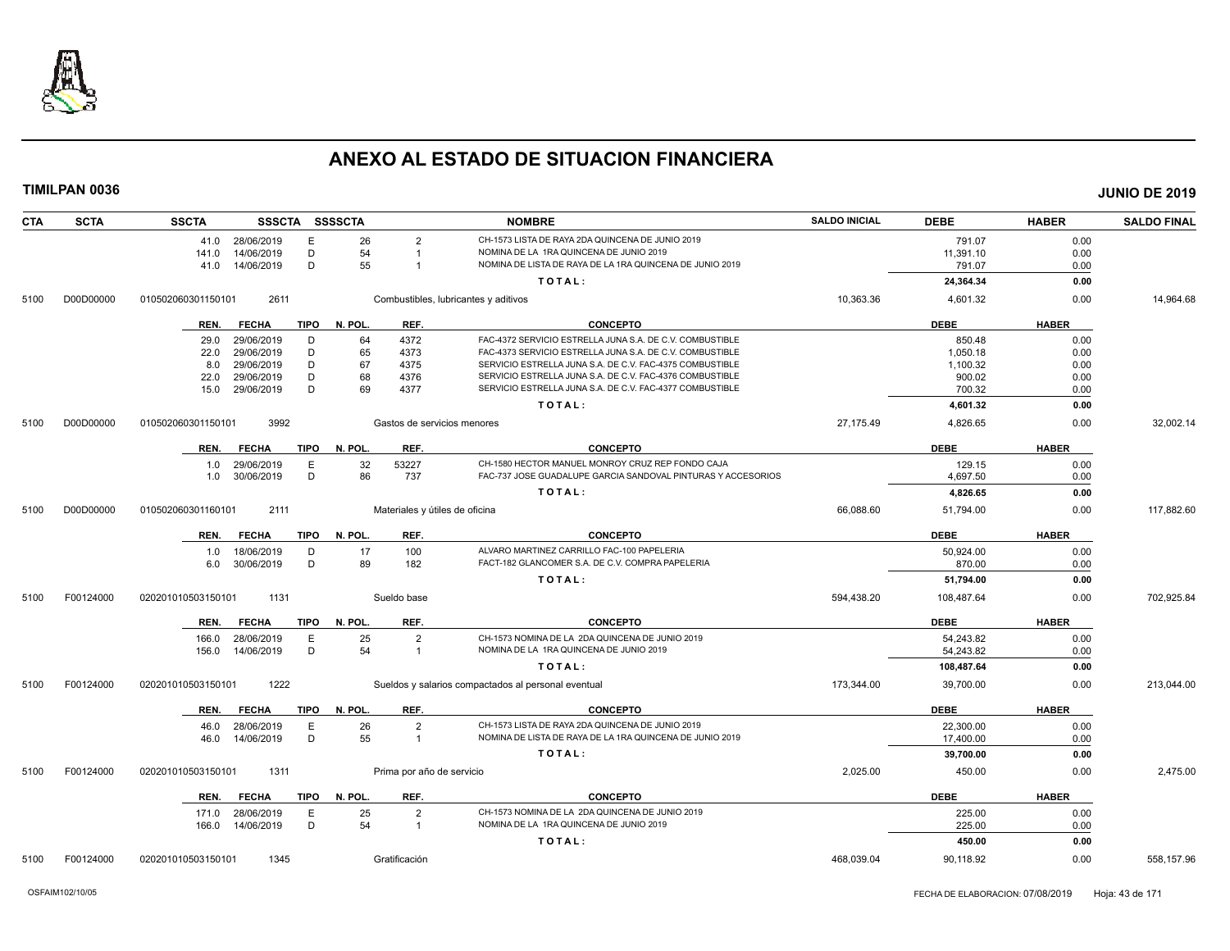

| <b>CTA</b> | <b>SCTA</b> | <b>SSCTA</b>       |                 |      | SSSCTA SSSSCTA |                           | <b>NOMBRE</b>                                                                                                    | <b>SALDO INICIAL</b> | <b>DEBE</b> | <b>HABER</b> | <b>SALDO FINAL</b> |
|------------|-------------|--------------------|-----------------|------|----------------|---------------------------|------------------------------------------------------------------------------------------------------------------|----------------------|-------------|--------------|--------------------|
|            |             |                    | 41.0 28/06/2019 | E    | 26             | $\overline{2}$            | CH-1573 LISTA DE RAYA 2DA QUINCENA DE JUNIO 2019                                                                 |                      | 791.07      | 0.00         |                    |
|            |             | 141.0              | 14/06/2019      | D    | 54             | $\overline{1}$            | NOMINA DE LA 1RA QUINCENA DE JUNIO 2019                                                                          |                      | 11,391.10   | 0.00         |                    |
|            |             |                    | 41.0 14/06/2019 | D    | 55             | $\overline{1}$            | NOMINA DE LISTA DE RAYA DE LA 1RA QUINCENA DE JUNIO 2019                                                         |                      | 791.07      | 0.00         |                    |
|            |             |                    |                 |      |                |                           | TOTAL:                                                                                                           |                      | 24,364.34   | 0.00         |                    |
| 5100       | D00D00000   | 010502060301150101 | 2611            |      |                |                           | Combustibles, lubricantes y aditivos                                                                             | 10,363.36            | 4,601.32    | 0.00         | 14,964.68          |
|            |             | REN.               | <b>FECHA</b>    | TIPO | N. POL.        | REF.                      | <b>CONCEPTO</b>                                                                                                  |                      | <b>DEBE</b> | <b>HABER</b> |                    |
|            |             | 29.0               | 29/06/2019      | D    | 64             | 4372                      | FAC-4372 SERVICIO ESTRELLA JUNA S.A. DE C.V. COMBUSTIBLE                                                         |                      | 850.48      | 0.00         |                    |
|            |             | 22.0               | 29/06/2019      | D    | 65             | 4373                      | FAC-4373 SERVICIO ESTRELLA JUNA S.A. DE C.V. COMBUSTIBLE                                                         |                      | 1,050.18    | 0.00         |                    |
|            |             | 8.0                | 29/06/2019      | D    | 67             | 4375                      | SERVICIO ESTRELLA JUNA S.A. DE C.V. FAC-4375 COMBUSTIBLE                                                         |                      | 1,100.32    | 0.00         |                    |
|            |             | 22.0               | 29/06/2019      | D    | 68             | 4376                      | SERVICIO ESTRELLA JUNA S.A. DE C.V. FAC-4376 COMBUSTIBLE                                                         |                      | 900.02      | 0.00         |                    |
|            |             | 15.0               | 29/06/2019      | D    | 69             | 4377                      | SERVICIO ESTRELLA JUNA S.A. DE C.V. FAC-4377 COMBUSTIBLE                                                         |                      | 700.32      | 0.00         |                    |
|            |             |                    |                 |      |                |                           | TOTAL:                                                                                                           |                      | 4,601.32    | 0.00         |                    |
| 5100       | D00D00000   | 010502060301150101 | 3992            |      |                |                           | Gastos de servicios menores                                                                                      | 27,175.49            | 4,826.65    | 0.00         | 32,002.14          |
|            |             |                    |                 |      |                |                           |                                                                                                                  |                      |             |              |                    |
|            |             | REN.               | <b>FECHA</b>    | TIPO | N. POL.        | REF.                      | <b>CONCEPTO</b>                                                                                                  |                      | <b>DEBE</b> | <b>HABER</b> |                    |
|            |             | 1.0                | 29/06/2019      | Ε    | 32             | 53227                     | CH-1580 HECTOR MANUEL MONROY CRUZ REP FONDO CAJA<br>FAC-737 JOSE GUADALUPE GARCIA SANDOVAL PINTURAS Y ACCESORIOS |                      | 129.15      | 0.00         |                    |
|            |             | 1.0                | 30/06/2019      | D    | 86             | 737                       |                                                                                                                  |                      | 4.697.50    | 0.00         |                    |
|            |             |                    |                 |      |                |                           | TOTAL:                                                                                                           |                      | 4,826.65    | 0.00         |                    |
| 5100       | D00D00000   | 010502060301160101 | 2111            |      |                |                           | Materiales y útiles de oficina                                                                                   | 66,088.60            | 51,794.00   | 0.00         | 117,882.60         |
|            |             | REN.               | <b>FECHA</b>    | TIPO | N. POL.        | REF.                      | <b>CONCEPTO</b>                                                                                                  |                      | <b>DEBE</b> | <b>HABER</b> |                    |
|            |             | 1.0                | 18/06/2019      | D    | 17             | 100                       | ALVARO MARTINEZ CARRILLO FAC-100 PAPELERIA                                                                       |                      | 50,924.00   | 0.00         |                    |
|            |             | 6.0                | 30/06/2019      | D    | 89             | 182                       | FACT-182 GLANCOMER S.A. DE C.V. COMPRA PAPELERIA                                                                 |                      | 870.00      | 0.00         |                    |
|            |             |                    |                 |      |                |                           | TOTAL:                                                                                                           |                      | 51,794.00   | 0.00         |                    |
| 5100       | F00124000   | 020201010503150101 | 1131            |      |                | Sueldo base               |                                                                                                                  | 594,438.20           | 108,487.64  | 0.00         | 702,925.84         |
|            |             | REN.               | <b>FECHA</b>    | TIPO | N. POL.        | REF.                      | <b>CONCEPTO</b>                                                                                                  |                      | <b>DEBE</b> | <b>HABER</b> |                    |
|            |             | 166.0              | 28/06/2019      | Е    | 25             | $\overline{2}$            | CH-1573 NOMINA DE LA 2DA QUINCENA DE JUNIO 2019                                                                  |                      | 54,243.82   | 0.00         |                    |
|            |             | 156.0              | 14/06/2019      | D    | 54             | $\overline{1}$            | NOMINA DE LA 1RA QUINCENA DE JUNIO 2019                                                                          |                      | 54,243.82   | 0.00         |                    |
|            |             |                    |                 |      |                |                           | TOTAL:                                                                                                           |                      | 108,487.64  | 0.00         |                    |
| 5100       | F00124000   | 020201010503150101 | 1222            |      |                |                           | Sueldos y salarios compactados al personal eventual                                                              | 173,344.00           | 39,700.00   | 0.00         | 213,044.00         |
|            |             | REN.               | <b>FECHA</b>    | TIPO | N. POL.        | REF.                      | <b>CONCEPTO</b>                                                                                                  |                      | <b>DEBE</b> | <b>HABER</b> |                    |
|            |             | 46.0               | 28/06/2019      | Е    | 26             | $\overline{2}$            | CH-1573 LISTA DE RAYA 2DA QUINCENA DE JUNIO 2019                                                                 |                      | 22,300.00   | 0.00         |                    |
|            |             | 46.0               | 14/06/2019      | D    | 55             | $\overline{1}$            | NOMINA DE LISTA DE RAYA DE LA 1RA QUINCENA DE JUNIO 2019                                                         |                      | 17,400.00   | 0.00         |                    |
|            |             |                    |                 |      |                |                           | TOTAL:                                                                                                           |                      | 39,700.00   | 0.00         |                    |
|            |             |                    |                 |      |                |                           |                                                                                                                  |                      |             |              |                    |
| 5100       | F00124000   | 020201010503150101 | 1311            |      |                | Prima por año de servicio |                                                                                                                  | 2,025.00             | 450.00      | 0.00         | 2,475.00           |
|            |             | REN.               | <b>FECHA</b>    | TIPO | N. POL.        | REF.                      | <b>CONCEPTO</b>                                                                                                  |                      | <b>DEBE</b> | <b>HABER</b> |                    |
|            |             | 171.0              | 28/06/2019      | Ε    | 25             | $\overline{2}$            | CH-1573 NOMINA DE LA 2DA QUINCENA DE JUNIO 2019                                                                  |                      | 225.00      | 0.00         |                    |
|            |             | 166.0              | 14/06/2019      | D    | 54             | $\overline{1}$            | NOMINA DE LA 1RA QUINCENA DE JUNIO 2019                                                                          |                      | 225.00      | 0.00         |                    |
|            |             |                    |                 |      |                |                           | TOTAL:                                                                                                           |                      | 450.00      | 0.00         |                    |
| 5100       | F00124000   | 020201010503150101 | 1345            |      |                | Gratificación             |                                                                                                                  | 468,039.04           | 90,118.92   | 0.00         | 558,157.96         |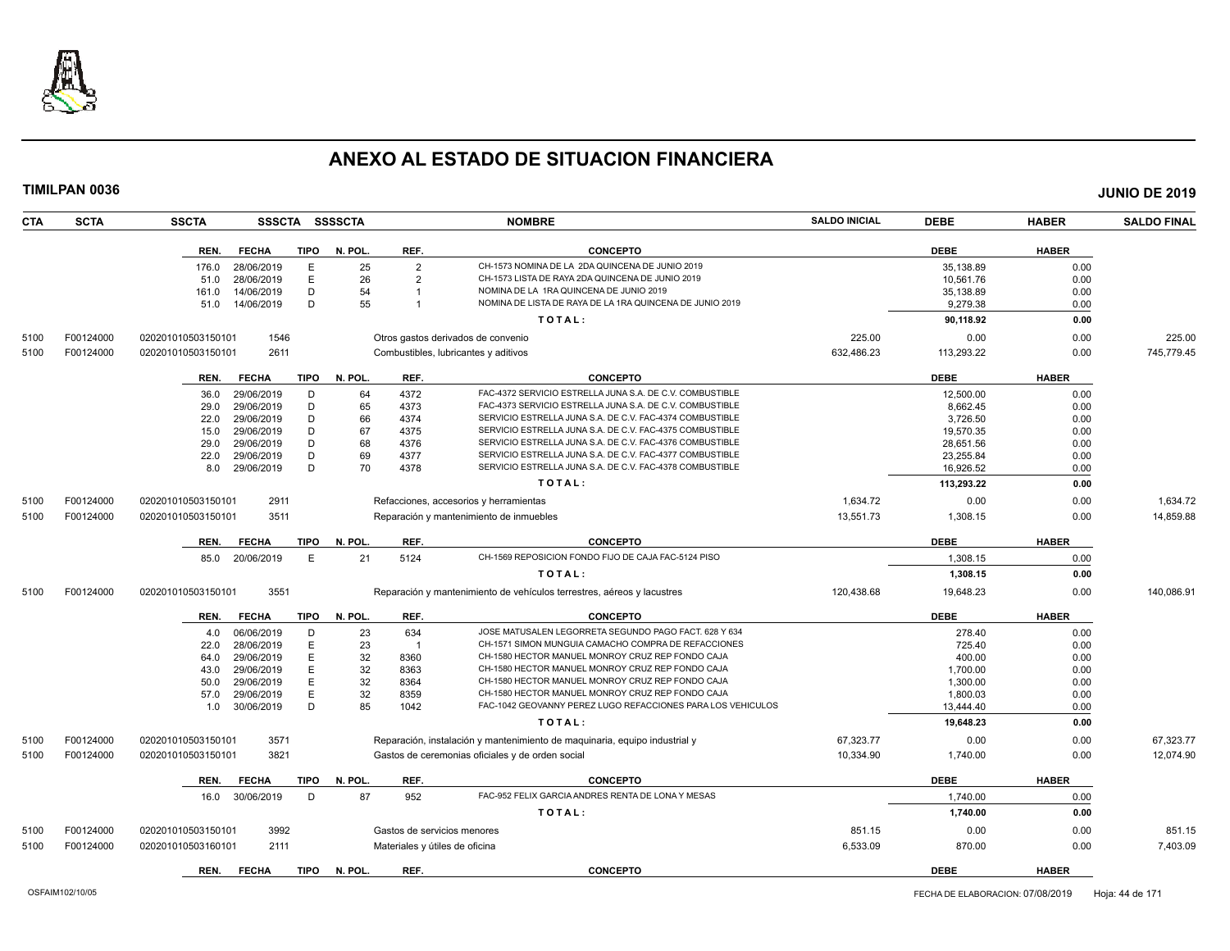

| <b>CTA</b> | <b>SCTA</b> | <b>SSCTA</b>       |              |             | SSSCTA SSSSCTA |                | <b>NOMBRE</b>                                                              | <b>SALDO INICIAL</b> | <b>DEBE</b> | <b>HABER</b> | <b>SALDO FINAL</b> |
|------------|-------------|--------------------|--------------|-------------|----------------|----------------|----------------------------------------------------------------------------|----------------------|-------------|--------------|--------------------|
|            |             | REN.               | <b>FECHA</b> | <b>TIPO</b> | N. POL.        | REF.           | <b>CONCEPTO</b>                                                            |                      | <b>DEBE</b> | <b>HABER</b> |                    |
|            |             | 176.0              | 28/06/2019   | E           | 25             | $\overline{2}$ | CH-1573 NOMINA DE LA 2DA QUINCENA DE JUNIO 2019                            |                      | 35,138.89   | 0.00         |                    |
|            |             | 51.0               | 28/06/2019   | E           | 26             | $\overline{2}$ | CH-1573 LISTA DE RAYA 2DA QUINCENA DE JUNIO 2019                           |                      | 10,561.76   | 0.00         |                    |
|            |             | 161.0              | 14/06/2019   | D           | 54             | -1             | NOMINA DE LA 1RA QUINCENA DE JUNIO 2019                                    |                      | 35.138.89   | 0.00         |                    |
|            |             | 51.0               | 14/06/2019   | D           | 55             |                | NOMINA DE LISTA DE RAYA DE LA 1RA QUINCENA DE JUNIO 2019                   |                      | 9,279.38    | 0.00         |                    |
|            |             |                    |              |             |                |                | TOTAL:                                                                     |                      | 90,118.92   | 0.00         |                    |
|            | F00124000   |                    | 1546         |             |                |                |                                                                            | 225.00               | 0.00        | 0.00         | 225.00             |
| 5100       |             | 020201010503150101 |              |             |                |                | Otros gastos derivados de convenio                                         |                      |             |              |                    |
| 5100       | F00124000   | 020201010503150101 | 2611         |             |                |                | Combustibles, lubricantes y aditivos                                       | 632,486.23           | 113,293.22  | 0.00         | 745,779.45         |
|            |             | REN.               | <b>FECHA</b> | <b>TIPO</b> | N. POL.        | REF.           | <b>CONCEPTO</b>                                                            |                      | <b>DEBE</b> | <b>HABER</b> |                    |
|            |             | 36.0               | 29/06/2019   | D           | 64             | 4372           | FAC-4372 SERVICIO ESTRELLA JUNA S.A. DE C.V. COMBUSTIBLE                   |                      | 12,500.00   | 0.00         |                    |
|            |             | 29.0               | 29/06/2019   | D           | 65             | 4373           | FAC-4373 SERVICIO ESTRELLA JUNA S.A. DE C.V. COMBUSTIBLE                   |                      | 8,662.45    | 0.00         |                    |
|            |             | 22.0               | 29/06/2019   | D           | 66             | 4374           | SERVICIO ESTRELLA JUNA S.A. DE C.V. FAC-4374 COMBUSTIBLE                   |                      | 3,726.50    | 0.00         |                    |
|            |             | 15.0               | 29/06/2019   | D           | 67             | 4375           | SERVICIO ESTRELLA JUNA S.A. DE C.V. FAC-4375 COMBUSTIBLE                   |                      | 19,570.35   | 0.00         |                    |
|            |             | 29.0               | 29/06/2019   | D           | 68             | 4376           | SERVICIO ESTRELLA JUNA S.A. DE C.V. FAC-4376 COMBUSTIBLE                   |                      | 28,651.56   | 0.00         |                    |
|            |             | 22.0               | 29/06/2019   | D           | 69             | 4377           | SERVICIO ESTRELLA JUNA S.A. DE C.V. FAC-4377 COMBUSTIBLE                   |                      | 23,255.84   | 0.00         |                    |
|            |             | 8.0                | 29/06/2019   | D           | 70             | 4378           | SERVICIO ESTRELLA JUNA S.A. DE C.V. FAC-4378 COMBUSTIBLE                   |                      | 16,926.52   | 0.00         |                    |
|            |             |                    |              |             |                |                | TOTAL:                                                                     |                      | 113,293.22  | 0.00         |                    |
| 5100       | F00124000   | 020201010503150101 | 2911         |             |                |                | Refacciones, accesorios y herramientas                                     | 1,634.72             | 0.00        | 0.00         | 1,634.72           |
| 5100       | F00124000   | 020201010503150101 | 3511         |             |                |                | Reparación y mantenimiento de inmuebles                                    | 13,551.73            | 1,308.15    | 0.00         | 14,859.88          |
|            |             |                    |              |             |                |                |                                                                            |                      |             |              |                    |
|            |             | REN.               | <b>FECHA</b> | TIPO        | N. POL.        | REF.           | <b>CONCEPTO</b>                                                            |                      | <b>DEBE</b> | <b>HABER</b> |                    |
|            |             | 85.0               | 20/06/2019   | E           | 21             | 5124           | CH-1569 REPOSICION FONDO FIJO DE CAJA FAC-5124 PISO                        |                      | 1,308.15    | 0.00         |                    |
|            |             |                    |              |             |                |                | TOTAL:                                                                     |                      | 1,308.15    | 0.00         |                    |
| 5100       | F00124000   | 020201010503150101 | 3551         |             |                |                | Reparación y mantenimiento de vehículos terrestres, aéreos y lacustres     | 120,438.68           | 19,648.23   | 0.00         | 140,086.91         |
|            |             | REN.               | <b>FECHA</b> | TIPO        | N. POL.        | REF.           | <b>CONCEPTO</b>                                                            |                      | <b>DEBE</b> | <b>HABER</b> |                    |
|            |             | 4.0                | 06/06/2019   | D           | 23             | 634            | JOSE MATUSALEN LEGORRETA SEGUNDO PAGO FACT. 628 Y 634                      |                      | 278.40      | 0.00         |                    |
|            |             | 22.0               | 28/06/2019   | E           | 23             |                | CH-1571 SIMON MUNGUIA CAMACHO COMPRA DE REFACCIONES                        |                      | 725.40      | 0.00         |                    |
|            |             | 64.0               | 29/06/2019   | E           | 32             | 8360           | CH-1580 HECTOR MANUEL MONROY CRUZ REP FONDO CAJA                           |                      | 400.00      | 0.00         |                    |
|            |             | 43.0               | 29/06/2019   | E           | 32             | 8363           | CH-1580 HECTOR MANUEL MONROY CRUZ REP FONDO CAJA                           |                      | 1,700.00    | 0.00         |                    |
|            |             | 50.0               | 29/06/2019   | E           | 32             | 8364           | CH-1580 HECTOR MANUEL MONROY CRUZ REP FONDO CAJA                           |                      | 1.300.00    | 0.00         |                    |
|            |             | 57.0               | 29/06/2019   | E           | 32             | 8359           | CH-1580 HECTOR MANUEL MONROY CRUZ REP FONDO CAJA                           |                      | 1,800.03    | 0.00         |                    |
|            |             | 1.0                | 30/06/2019   | D           | 85             | 1042           | FAC-1042 GEOVANNY PEREZ LUGO REFACCIONES PARA LOS VEHICULOS                |                      | 13.444.40   | 0.00         |                    |
|            |             |                    |              |             |                |                | TOTAL:                                                                     |                      | 19,648.23   | 0.00         |                    |
| 5100       | F00124000   | 020201010503150101 | 3571         |             |                |                | Reparación, instalación y mantenimiento de maquinaria, equipo industrial y | 67,323.77            | 0.00        | 0.00         | 67,323.77          |
| 5100       | F00124000   | 020201010503150101 | 3821         |             |                |                | Gastos de ceremonias oficiales y de orden social                           | 10,334.90            | 1,740.00    | 0.00         | 12.074.90          |
|            |             |                    |              |             |                |                |                                                                            |                      |             |              |                    |
|            |             | REN.               | <b>FECHA</b> | <b>TIPO</b> | N. POL.        | REF.           | <b>CONCEPTO</b>                                                            |                      | <b>DEBE</b> | <b>HABER</b> |                    |
|            |             | 16.0               | 30/06/2019   | D           | 87             | 952            | FAC-952 FELIX GARCIA ANDRES RENTA DE LONA Y MESAS                          |                      | 1,740.00    | 0.00         |                    |
|            |             |                    |              |             |                |                | TOTAL:                                                                     |                      | 1,740.00    | 0.00         |                    |
| 5100       | F00124000   | 020201010503150101 | 3992         |             |                |                | Gastos de servicios menores                                                | 851.15               | 0.00        | 0.00         | 851.15             |
| 5100       | F00124000   | 020201010503160101 | 2111         |             |                |                | Materiales y útiles de oficina                                             | 6,533.09             | 870.00      | 0.00         | 7,403.09           |
|            |             | REN.               | <b>FECHA</b> | <b>TIPO</b> | N. POL.        | REF.           | <b>CONCEPTO</b>                                                            |                      | <b>DEBE</b> | <b>HABER</b> |                    |
|            |             |                    |              |             |                |                |                                                                            |                      |             |              |                    |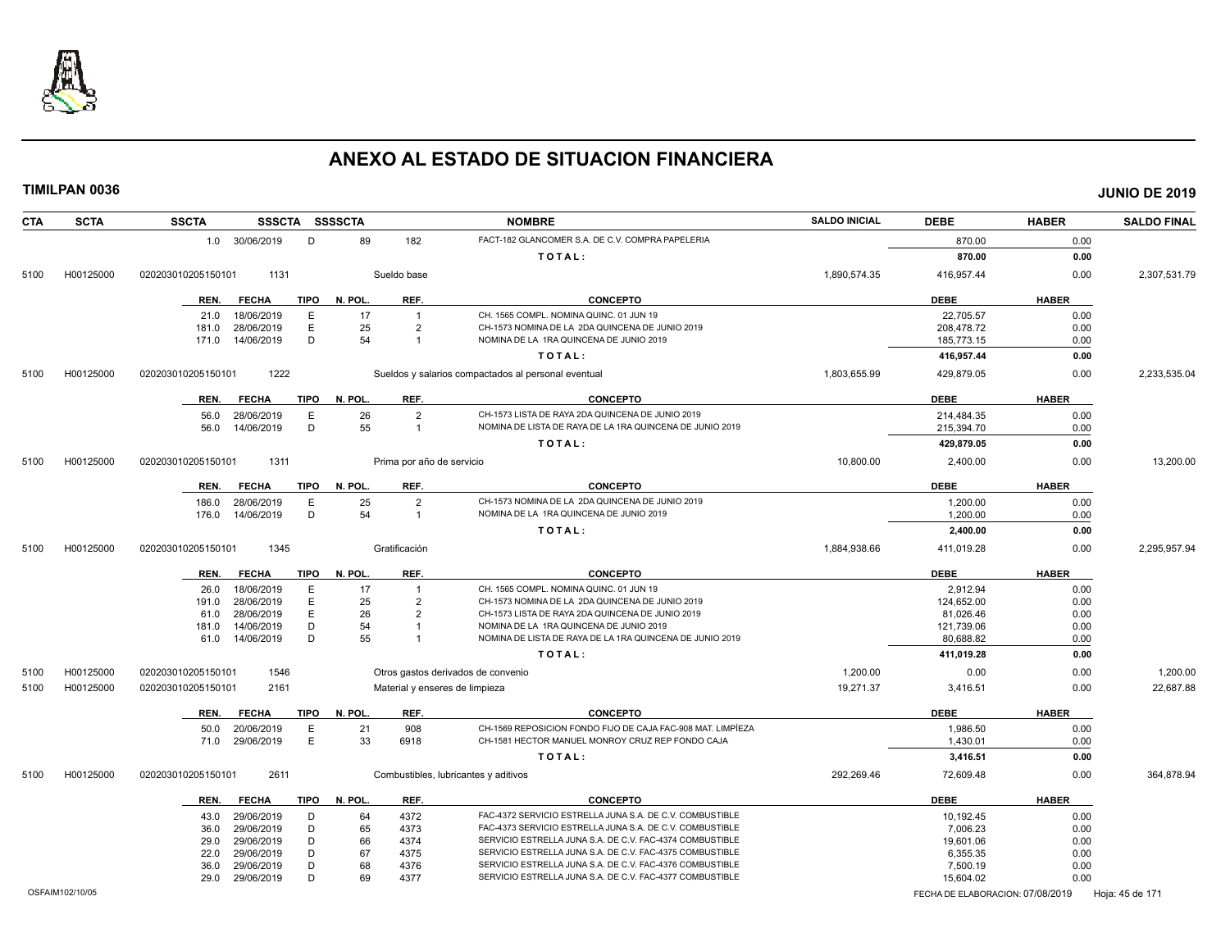

| <b>CTA</b><br><b>SCTA</b> | <b>SSCTA</b><br>SSSCTA SSSSCTA      |                                | <b>NOMBRE</b>                                               | <b>SALDO INICIAL</b> | <b>DEBE</b>                      | <b>HABER</b> | <b>SALDO FINAL</b> |
|---------------------------|-------------------------------------|--------------------------------|-------------------------------------------------------------|----------------------|----------------------------------|--------------|--------------------|
|                           | 1.0 30/06/2019<br>D                 | 89<br>182                      | FACT-182 GLANCOMER S.A. DE C.V. COMPRA PAPELERIA            |                      | 870.00                           | 0.00         |                    |
|                           |                                     |                                | TOTAL:                                                      |                      | 870.00                           | 0.00         |                    |
| H00125000<br>5100         | 020203010205150101<br>1131          | Sueldo base                    |                                                             | 1,890,574.35         | 416,957.44                       | 0.00         | 2,307,531.79       |
|                           | REN.<br><b>FECHA</b><br><b>TIPO</b> | N. POL.<br>REF.                | <b>CONCEPTO</b>                                             |                      | <b>DEBE</b>                      | <b>HABER</b> |                    |
|                           | Ε<br>18/06/2019<br>21.0             | 17<br>$\overline{1}$           | CH. 1565 COMPL. NOMINA QUINC. 01 JUN 19                     |                      | 22,705.57                        | 0.00         |                    |
|                           | E<br>28/06/2019<br>181.0            | 25<br>$\overline{2}$           | CH-1573 NOMINA DE LA 2DA QUINCENA DE JUNIO 2019             |                      | 208,478.72                       | 0.00         |                    |
|                           | D<br>14/06/2019<br>171.0            | 54<br>-1                       | NOMINA DE LA 1RA QUINCENA DE JUNIO 2019                     |                      | 185,773.15                       | 0.00         |                    |
|                           |                                     |                                | TOTAL:                                                      |                      | 416,957.44                       | 0.00         |                    |
| 5100<br>H00125000         | 1222<br>020203010205150101          |                                | Sueldos y salarios compactados al personal eventual         | 1,803,655.99         | 429,879.05                       | 0.00         | 2,233,535.04       |
|                           | <b>FECHA</b><br><b>TIPO</b><br>REN. | N. POL.<br>REF.                | <b>CONCEPTO</b>                                             |                      | <b>DEBE</b>                      | <b>HABER</b> |                    |
|                           | Ε<br>56.0<br>28/06/2019             | 26<br>$\overline{2}$           | CH-1573 LISTA DE RAYA 2DA QUINCENA DE JUNIO 2019            |                      | 214,484.35                       | 0.00         |                    |
|                           | 14/06/2019<br>D<br>56.0             | 55<br>$\overline{1}$           | NOMINA DE LISTA DE RAYA DE LA 1RA QUINCENA DE JUNIO 2019    |                      | 215,394.70                       | 0.00         |                    |
|                           |                                     |                                | TOTAL:                                                      |                      | 429,879.05                       | 0.00         |                    |
|                           |                                     |                                |                                                             |                      |                                  |              |                    |
| 5100<br>H00125000         | 1311<br>020203010205150101          | Prima por año de servicio      |                                                             | 10,800.00            | 2,400.00                         | 0.00         | 13,200.00          |
|                           | <b>FECHA</b><br>TIPO<br>REN.        | N. POL.<br>REF.                | <b>CONCEPTO</b>                                             |                      | <b>DEBE</b>                      | <b>HABER</b> |                    |
|                           | 28/06/2019<br>E<br>186.0            | 25<br>$\overline{2}$           | CH-1573 NOMINA DE LA 2DA QUINCENA DE JUNIO 2019             |                      | 1.200.00                         | 0.00         |                    |
|                           | D<br>14/06/2019<br>176.0            | 54<br>$\overline{1}$           | NOMINA DE LA 1RA QUINCENA DE JUNIO 2019                     |                      | 1,200.00                         | 0.00         |                    |
|                           |                                     |                                | TOTAL:                                                      |                      | 2,400.00                         | 0.00         |                    |
| H00125000<br>5100         | 1345<br>020203010205150101          | Gratificación                  |                                                             | 1,884,938.66         | 411,019.28                       | 0.00         | 2,295,957.94       |
|                           | REN.<br><b>FECHA</b><br><b>TIPO</b> | N. POL.<br>REF.                | <b>CONCEPTO</b>                                             |                      | <b>DEBE</b>                      | <b>HABER</b> |                    |
|                           | 18/06/2019<br>Ε<br>26.0             | 17<br>-1                       | CH. 1565 COMPL. NOMINA QUINC. 01 JUN 19                     |                      | 2.912.94                         | 0.00         |                    |
|                           | E<br>28/06/2019<br>191.0            | 25<br>2                        | CH-1573 NOMINA DE LA 2DA QUINCENA DE JUNIO 2019             |                      | 124,652.00                       | 0.00         |                    |
|                           | E<br>28/06/2019<br>61.0             | 26<br>$\overline{2}$           | CH-1573 LISTA DE RAYA 2DA QUINCENA DE JUNIO 2019            |                      | 81,026.46                        | 0.00         |                    |
|                           | D<br>14/06/2019<br>181.0            | 54<br>-1                       | NOMINA DE LA 1RA QUINCENA DE JUNIO 2019                     |                      | 121,739.06                       | 0.00         |                    |
|                           | D<br>61.0<br>14/06/2019             | 55                             | NOMINA DE LISTA DE RAYA DE LA 1RA QUINCENA DE JUNIO 2019    |                      | 80,688.82                        | 0.00         |                    |
|                           |                                     |                                | TOTAL:                                                      |                      | 411,019.28                       | 0.00         |                    |
| H00125000<br>5100         | 1546<br>020203010205150101          |                                | Otros gastos derivados de convenio                          | 1.200.00             | 0.00                             | 0.00         | 1.200.00           |
| 5100<br>H00125000         | 2161<br>020203010205150101          | Material y enseres de limpieza |                                                             | 19,271.37            | 3,416.51                         | 0.00         | 22,687.88          |
|                           | <b>TIPO</b><br>REN.<br><b>FECHA</b> | N. POL.<br>REF.                | <b>CONCEPTO</b>                                             |                      | <b>DEBE</b>                      | <b>HABER</b> |                    |
|                           | 50.0<br>20/06/2019<br>E             | 908<br>21                      | CH-1569 REPOSICION FONDO FIJO DE CAJA FAC-908 MAT. LIMPÍEZA |                      | 1.986.50                         | 0.00         |                    |
|                           | E<br>29/06/2019<br>71.0             | 33<br>6918                     | CH-1581 HECTOR MANUEL MONROY CRUZ REP FONDO CAJA            |                      | 1.430.01                         | 0.00         |                    |
|                           |                                     |                                | TOTAL:                                                      |                      | 3,416.51                         | 0.00         |                    |
| H00125000<br>5100         | 2611<br>020203010205150101          |                                | Combustibles, lubricantes y aditivos                        | 292,269.46           | 72,609.48                        | 0.00         | 364,878.94         |
|                           | REN.<br><b>FECHA</b><br><b>TIPO</b> | N. POL.<br>REF.                | <b>CONCEPTO</b>                                             |                      | <b>DEBE</b>                      | <b>HABER</b> |                    |
|                           | 43.0<br>29/06/2019<br>D             | 64<br>4372                     | FAC-4372 SERVICIO ESTRELLA JUNA S.A. DE C.V. COMBUSTIBLE    |                      | 10,192.45                        | 0.00         |                    |
|                           | D<br>36.0<br>29/06/2019             | 65<br>4373                     | FAC-4373 SERVICIO ESTRELLA JUNA S.A. DE C.V. COMBUSTIBLE    |                      | 7,006.23                         | 0.00         |                    |
|                           | 29/06/2019<br>D<br>29.0             | 66<br>4374                     | SERVICIO ESTRELLA JUNA S.A. DE C.V. FAC-4374 COMBUSTIBLE    |                      | 19.601.06                        | 0.00         |                    |
|                           | D<br>29/06/2019<br>22.0             | 67<br>4375                     | SERVICIO ESTRELLA JUNA S.A. DE C.V. FAC-4375 COMBUSTIBLE    |                      | 6,355.35                         | 0.00         |                    |
|                           | 29/06/2019<br>D<br>36.0             | 68<br>4376                     | SERVICIO ESTRELLA JUNA S.A. DE C.V. FAC-4376 COMBUSTIBLE    |                      | 7,500.19                         | 0.00         |                    |
|                           | D<br>29/06/2019<br>29.0             | 69<br>4377                     | SERVICIO ESTRELLA JUNA S.A. DE C.V. FAC-4377 COMBUSTIBLE    |                      | 15,604.02                        | 0.00         |                    |
| OSFAIM102/10/05           |                                     |                                |                                                             |                      | FECHA DE ELABORACION: 07/08/2019 |              | Hoja: 45 de 171    |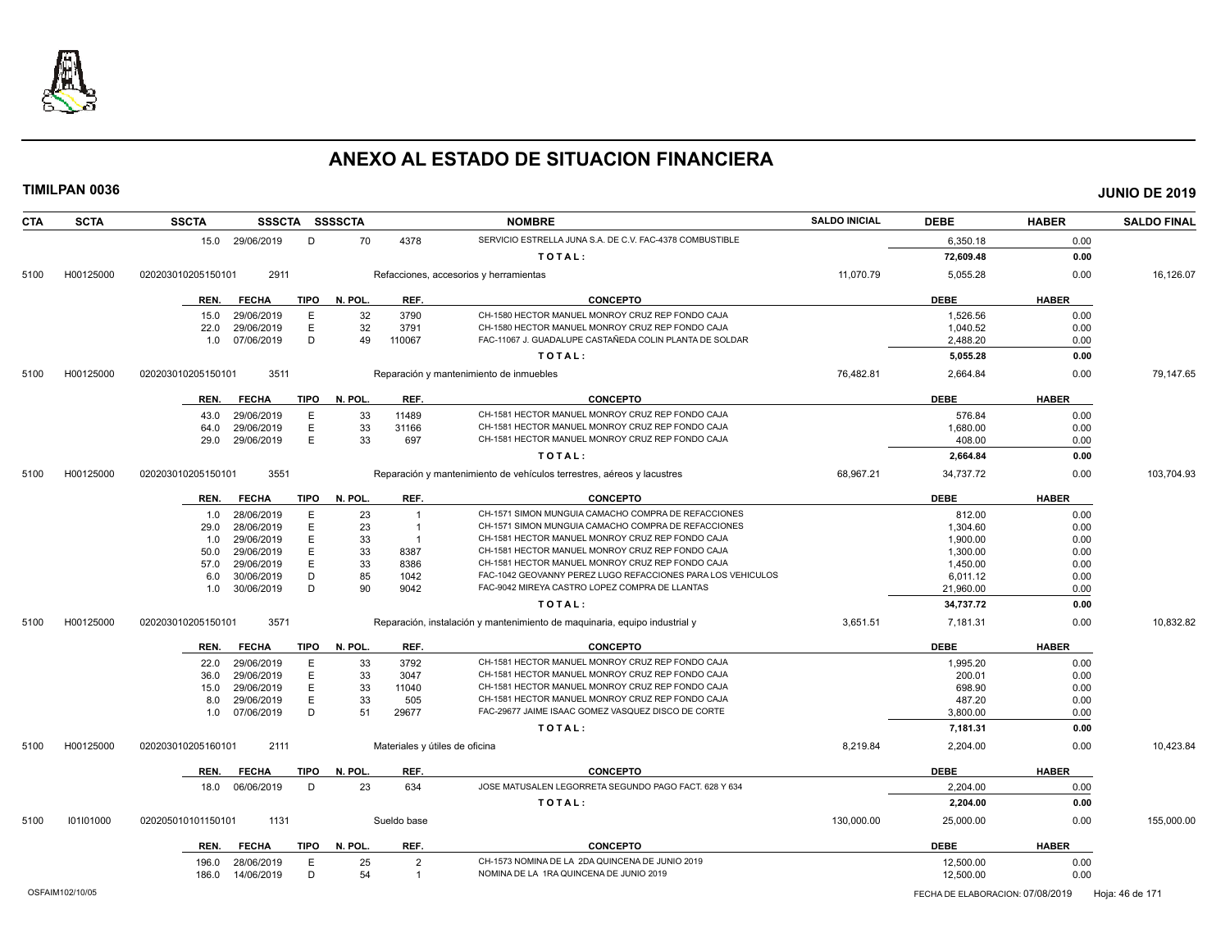

| <b>CTA</b> | <b>SCTA</b> | <b>SSCTA</b>       |                          |             | SSSCTA SSSSCTA |                | <b>NOMBRE</b>                                                              | <b>SALDO INICIAL</b> | <b>DEBE</b>        | <b>HABER</b> | <b>SALDO FINAL</b> |
|------------|-------------|--------------------|--------------------------|-------------|----------------|----------------|----------------------------------------------------------------------------|----------------------|--------------------|--------------|--------------------|
|            |             |                    | 15.0 29/06/2019          | D           | 70             | 4378           | SERVICIO ESTRELLA JUNA S.A. DE C.V. FAC-4378 COMBUSTIBLE                   |                      | 6.350.18           | 0.00         |                    |
|            |             |                    |                          |             |                |                | TOTAL:                                                                     |                      | 72,609.48          | 0.00         |                    |
| 5100       | H00125000   | 020203010205150101 | 2911                     |             |                |                | Refacciones, accesorios y herramientas                                     | 11,070.79            | 5,055.28           | 0.00         | 16,126.07          |
|            |             | REN.               | <b>FECHA</b>             | <b>TIPO</b> | N. POL         | REF.           | <b>CONCEPTO</b>                                                            |                      | <b>DEBE</b>        | <b>HABER</b> |                    |
|            |             | 15.0               | 29/06/2019               | E           | 32             | 3790           | CH-1580 HECTOR MANUEL MONROY CRUZ REP FONDO CAJA                           |                      | 1,526.56           | 0.00         |                    |
|            |             | 22.0               | 29/06/2019               | E           | 32             | 3791           | CH-1580 HECTOR MANUEL MONROY CRUZ REP FONDO CAJA                           |                      | 1,040.52           | 0.00         |                    |
|            |             | 1.0                | 07/06/2019               | D           | 49             | 110067         | FAC-11067 J. GUADALUPE CASTAÑEDA COLIN PLANTA DE SOLDAR                    |                      | 2,488.20           | 0.00         |                    |
|            |             |                    |                          |             |                |                | TOTAL:                                                                     |                      | 5,055.28           | 0.00         |                    |
| 5100       | H00125000   | 020203010205150101 | 3511                     |             |                |                | Reparación y mantenimiento de inmuebles                                    | 76,482.81            | 2,664.84           | 0.00         | 79,147.65          |
|            |             | REN.               | <b>FECHA</b>             | TIPO        | N. POL         | REF.           | <b>CONCEPTO</b>                                                            |                      | <b>DEBE</b>        | <b>HABER</b> |                    |
|            |             |                    |                          |             |                |                | CH-1581 HECTOR MANUEL MONROY CRUZ REP FONDO CAJA                           |                      |                    |              |                    |
|            |             | 43.0<br>64.0       | 29/06/2019<br>29/06/2019 | Е<br>E      | 33<br>33       | 11489<br>31166 | CH-1581 HECTOR MANUEL MONROY CRUZ REP FONDO CAJA                           |                      | 576.84<br>1,680.00 | 0.00<br>0.00 |                    |
|            |             | 29.0               | 29/06/2019               | E           | 33             | 697            | CH-1581 HECTOR MANUEL MONROY CRUZ REP FONDO CAJA                           |                      | 408.00             | 0.00         |                    |
|            |             |                    |                          |             |                |                | TOTAL:                                                                     |                      | 2,664.84           | 0.00         |                    |
|            |             |                    |                          |             |                |                |                                                                            |                      |                    |              |                    |
| 5100       | H00125000   | 020203010205150101 | 3551                     |             |                |                | Reparación y mantenimiento de vehículos terrestres, aéreos y lacustres     | 68,967.21            | 34,737.72          | 0.00         | 103,704.93         |
|            |             | REN.               | <b>FECHA</b>             | <b>TIPO</b> | N. POL         | REF.           | <b>CONCEPTO</b>                                                            |                      | <b>DEBE</b>        | <b>HABER</b> |                    |
|            |             | 1.0                | 28/06/2019               | E           | 23             | -1             | CH-1571 SIMON MUNGUIA CAMACHO COMPRA DE REFACCIONES                        |                      | 812.00             | 0.00         |                    |
|            |             | 29.0               | 28/06/2019               | E           | 23             | -1             | CH-1571 SIMON MUNGUIA CAMACHO COMPRA DE REFACCIONES                        |                      | 1,304.60           | 0.00         |                    |
|            |             | 1.0                | 29/06/2019               | Ε           | 33             | - 1            | CH-1581 HECTOR MANUEL MONROY CRUZ REP FONDO CAJA                           |                      | 1,900.00           | 0.00         |                    |
|            |             | 50.0               | 29/06/2019               | E           | 33             | 8387           | CH-1581 HECTOR MANUEL MONROY CRUZ REP FONDO CAJA                           |                      | 1,300.00           | 0.00         |                    |
|            |             | 57.0               | 29/06/2019               | E           | 33             | 8386           | CH-1581 HECTOR MANUEL MONROY CRUZ REP FONDO CAJA                           |                      | 1,450.00           | 0.00         |                    |
|            |             | 6.0                | 30/06/2019               | D           | 85             | 1042           | FAC-1042 GEOVANNY PEREZ LUGO REFACCIONES PARA LOS VEHICULOS                |                      | 6,011.12           | 0.00         |                    |
|            |             | 1.0                | 30/06/2019               | D           | 90             | 9042           | FAC-9042 MIREYA CASTRO LOPEZ COMPRA DE LLANTAS                             |                      | 21,960.00          | 0.00         |                    |
|            |             |                    |                          |             |                |                | TOTAL:                                                                     |                      | 34,737.72          | 0.00         |                    |
| 5100       | H00125000   | 020203010205150101 | 3571                     |             |                |                | Reparación, instalación y mantenimiento de maquinaria, equipo industrial y | 3,651.51             | 7,181.31           | 0.00         | 10,832.82          |
|            |             | REN.               | <b>FECHA</b>             | <b>TIPO</b> | N. POL         | REF.           | <b>CONCEPTO</b>                                                            |                      | <b>DEBE</b>        | <b>HABER</b> |                    |
|            |             | 22.0               | 29/06/2019               | Е           | 33             | 3792           | CH-1581 HECTOR MANUEL MONROY CRUZ REP FONDO CAJA                           |                      | 1,995.20           | 0.00         |                    |
|            |             | 36.0               | 29/06/2019               | Ε           | 33             | 3047           | CH-1581 HECTOR MANUEL MONROY CRUZ REP FONDO CAJA                           |                      | 200.01             | 0.00         |                    |
|            |             | 15.0               | 29/06/2019               | E           | 33             | 11040          | CH-1581 HECTOR MANUEL MONROY CRUZ REP FONDO CAJA                           |                      | 698.90             | 0.00         |                    |
|            |             | 8.0                | 29/06/2019               | E           | 33             | 505            | CH-1581 HECTOR MANUEL MONROY CRUZ REP FONDO CAJA                           |                      | 487.20             | 0.00         |                    |
|            |             | 1.0                | 07/06/2019               | D           | 51             | 29677          | FAC-29677 JAIME ISAAC GOMEZ VASQUEZ DISCO DE CORTE                         |                      | 3,800.00           | 0.00         |                    |
|            |             |                    |                          |             |                |                | TOTAL:                                                                     |                      | 7,181.31           | 0.00         |                    |
| 5100       | H00125000   | 020203010205160101 | 2111                     |             |                |                | Materiales y útiles de oficina                                             | 8,219.84             | 2,204.00           | 0.00         | 10,423.84          |
|            |             | REN.               | <b>FECHA</b>             | <b>TIPO</b> | N. POL         | REF.           | <b>CONCEPTO</b>                                                            |                      | <b>DEBE</b>        | <b>HABER</b> |                    |
|            |             | 18.0               | 06/06/2019               | D           | 23             | 634            | JOSE MATUSALEN LEGORRETA SEGUNDO PAGO FACT. 628 Y 634                      |                      | 2,204.00           | 0.00         |                    |
|            |             |                    |                          |             |                |                | TOTAL:                                                                     |                      | 2,204.00           | 0.00         |                    |
| 5100       | 101101000   | 020205010101150101 | 1131                     |             |                | Sueldo base    |                                                                            | 130,000.00           | 25,000.00          | 0.00         | 155,000.00         |
|            |             | REN.               | <b>FECHA</b>             | <b>TIPO</b> | N. POL.        | REF.           | <b>CONCEPTO</b>                                                            |                      | <b>DEBE</b>        | <b>HABER</b> |                    |
|            |             | 196.0              | 28/06/2019               | E           | 25             | $\overline{2}$ | CH-1573 NOMINA DE LA 2DA QUINCENA DE JUNIO 2019                            |                      | 12,500.00          | 0.00         |                    |
|            |             | 186.0              | 14/06/2019               | D           | 54             | $\overline{1}$ | NOMINA DE LA 1RA QUINCENA DE JUNIO 2019                                    |                      | 12,500.00          | 0.00         |                    |
|            |             |                    |                          |             |                |                |                                                                            |                      |                    |              |                    |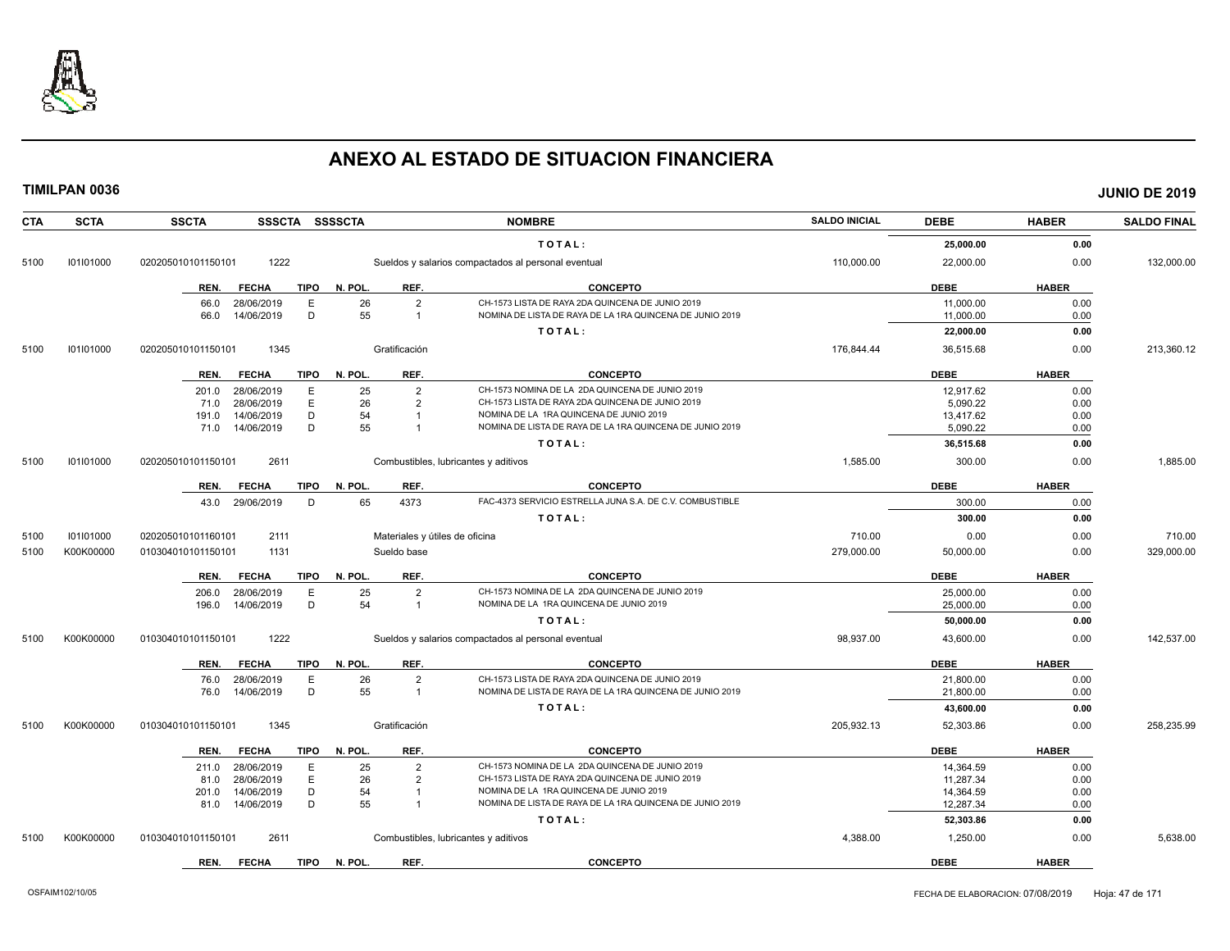

| <b>CTA</b> | <b>SCTA</b> | <b>SSCTA</b><br>SSSCTA SSSSCTA                 |                                              | <b>NOMBRE</b>                                            | <b>SALDO INICIAL</b> | <b>DEBE</b>            | <b>HABER</b> | <b>SALDO FINAL</b> |
|------------|-------------|------------------------------------------------|----------------------------------------------|----------------------------------------------------------|----------------------|------------------------|--------------|--------------------|
|            |             |                                                |                                              | TOTAL:                                                   |                      | 25,000.00              | 0.00         |                    |
| 5100       | 101101000   | 1222<br>020205010101150101                     |                                              | Sueldos y salarios compactados al personal eventual      | 110,000.00           | 22,000.00              | 0.00         | 132,000.00         |
|            |             | <b>TIPO</b><br><b>FECHA</b><br>REN.            | REF.<br>N. POL.                              | <b>CONCEPTO</b>                                          |                      | <b>DEBE</b>            | <b>HABER</b> |                    |
|            |             | E<br>66.0<br>28/06/2019                        | $\overline{2}$<br>26                         | CH-1573 LISTA DE RAYA 2DA QUINCENA DE JUNIO 2019         |                      | 11,000.00              | 0.00         |                    |
|            |             | D<br>14/06/2019<br>66.0                        | 55<br>$\overline{1}$                         | NOMINA DE LISTA DE RAYA DE LA 1RA QUINCENA DE JUNIO 2019 |                      | 11,000.00              | 0.00         |                    |
|            |             |                                                |                                              | TOTAL:                                                   |                      | 22,000.00              | 0.00         |                    |
| 5100       | 101101000   | 1345<br>020205010101150101                     | Gratificación                                |                                                          | 176,844.44           | 36,515.68              | 0.00         | 213,360.12         |
|            |             | FECHA<br>TIPO<br>REN.                          | REF.<br>N. POL.                              | <b>CONCEPTO</b>                                          |                      | <b>DEBE</b>            | <b>HABER</b> |                    |
|            |             | 28/06/2019<br>E<br>201.0                       | 25<br>$\overline{2}$                         | CH-1573 NOMINA DE LA 2DA QUINCENA DE JUNIO 2019          |                      | 12.917.62              | 0.00         |                    |
|            |             | E<br>28/06/2019<br>71.0                        | 26<br>$\overline{2}$                         | CH-1573 LISTA DE RAYA 2DA QUINCENA DE JUNIO 2019         |                      | 5,090.22               | 0.00         |                    |
|            |             | 14/06/2019<br>D<br>191.0                       | 54                                           | NOMINA DE LA 1RA QUINCENA DE JUNIO 2019                  |                      | 13,417.62              | 0.00         |                    |
|            |             | D<br>71.0 14/06/2019                           | 55                                           | NOMINA DE LISTA DE RAYA DE LA 1RA QUINCENA DE JUNIO 2019 |                      | 5,090.22               | 0.00         |                    |
|            |             |                                                |                                              | TOTAL:                                                   |                      | 36,515.68              | 0.00         |                    |
| 5100       | 101101000   | 2611<br>020205010101150101                     |                                              | Combustibles, lubricantes y aditivos                     | 1,585.00             | 300.00                 | 0.00         | 1,885.00           |
|            |             | <b>TIPO</b><br>REN.<br><b>FECHA</b>            | N. POL.<br>REF.                              | <b>CONCEPTO</b>                                          |                      | <b>DEBE</b>            | <b>HABER</b> |                    |
|            |             | 29/06/2019<br>D<br>43.0                        | 65<br>4373                                   | FAC-4373 SERVICIO ESTRELLA JUNA S.A. DE C.V. COMBUSTIBLE |                      | 300.00                 | 0.00         |                    |
|            |             |                                                |                                              | TOTAL:                                                   |                      | 300.00                 | 0.00         |                    |
| 5100       | 101101000   | 020205010101160101<br>2111                     | Materiales y útiles de oficina               |                                                          | 710.00               | 0.00                   | 0.00         | 710.00             |
| 5100       | K00K00000   | 1131<br>010304010101150101                     | Sueldo base                                  |                                                          | 279.000.00           | 50,000.00              | 0.00         | 329,000.00         |
|            |             | <b>TIPO</b><br>REN.<br><b>FECHA</b>            | N. POL.<br>REF.                              | <b>CONCEPTO</b>                                          |                      | <b>DEBE</b>            | <b>HABER</b> |                    |
|            |             | E<br>28/06/2019<br>206.0                       | 25<br>$\overline{2}$                         | CH-1573 NOMINA DE LA 2DA QUINCENA DE JUNIO 2019          |                      | 25,000.00              | 0.00         |                    |
|            |             | 14/06/2019<br>D<br>196.0                       | 54<br>$\overline{1}$                         | NOMINA DE LA 1RA QUINCENA DE JUNIO 2019                  |                      | 25,000.00              | 0.00         |                    |
|            |             |                                                |                                              | TOTAL:                                                   |                      | 50,000.00              | 0.00         |                    |
| 5100       | K00K00000   | 1222<br>010304010101150101                     |                                              | Sueldos y salarios compactados al personal eventual      | 98,937.00            | 43,600.00              | 0.00         | 142,537.00         |
|            |             | <b>FECHA</b><br><b>TIPO</b><br>REN.            | REF.<br>N. POL.                              | <b>CONCEPTO</b>                                          |                      | <b>DEBE</b>            | <b>HABER</b> |                    |
|            |             | Ε<br>28/06/2019<br>76.0                        | 26<br>$\overline{2}$                         | CH-1573 LISTA DE RAYA 2DA QUINCENA DE JUNIO 2019         |                      | 21,800.00              | 0.00         |                    |
|            |             | D<br>76.0<br>14/06/2019                        | 55<br>$\overline{1}$                         | NOMINA DE LISTA DE RAYA DE LA 1RA QUINCENA DE JUNIO 2019 |                      | 21,800.00              | 0.00         |                    |
|            |             |                                                |                                              | TOTAL:                                                   |                      | 43,600.00              | 0.00         |                    |
| 5100       | K00K00000   | 1345<br>010304010101150101                     | Gratificación                                |                                                          | 205,932.13           | 52,303.86              | 0.00         | 258,235.99         |
|            |             | <b>TIPO</b><br>REN.<br><b>FECHA</b>            | REF.<br>N. POL.                              | CONCEPTO                                                 |                      | <b>DEBE</b>            | <b>HABER</b> |                    |
|            |             |                                                |                                              | CH-1573 NOMINA DE LA 2DA QUINCENA DE JUNIO 2019          |                      |                        |              |                    |
|            |             | 28/06/2019<br>E<br>211.0<br>E                  | 25<br>$\overline{2}$<br>26<br>$\overline{2}$ | CH-1573 LISTA DE RAYA 2DA QUINCENA DE JUNIO 2019         |                      | 14,364.59              | 0.00         |                    |
|            |             | 28/06/2019<br>81.0<br>D                        | 54<br>$\overline{1}$                         | NOMINA DE LA 1RA QUINCENA DE JUNIO 2019                  |                      | 11,287.34              | 0.00         |                    |
|            |             | 14/06/2019<br>201.0<br>D<br>14/06/2019<br>81.0 | 55                                           | NOMINA DE LISTA DE RAYA DE LA 1RA QUINCENA DE JUNIO 2019 |                      | 14,364.59<br>12,287.34 | 0.00<br>0.00 |                    |
|            |             |                                                |                                              |                                                          |                      |                        |              |                    |
| 5100       | K00K00000   | 2611<br>010304010101150101                     |                                              | TOTAL:<br>Combustibles, lubricantes y aditivos           | 4,388.00             | 52,303.86<br>1,250.00  | 0.00<br>0.00 | 5,638.00           |
|            |             |                                                |                                              |                                                          |                      |                        |              |                    |
|            |             | REN.<br><b>FECHA</b><br><b>TIPO</b>            | N. POL.<br>REF.                              | <b>CONCEPTO</b>                                          |                      | <b>DEBE</b>            | <b>HABER</b> |                    |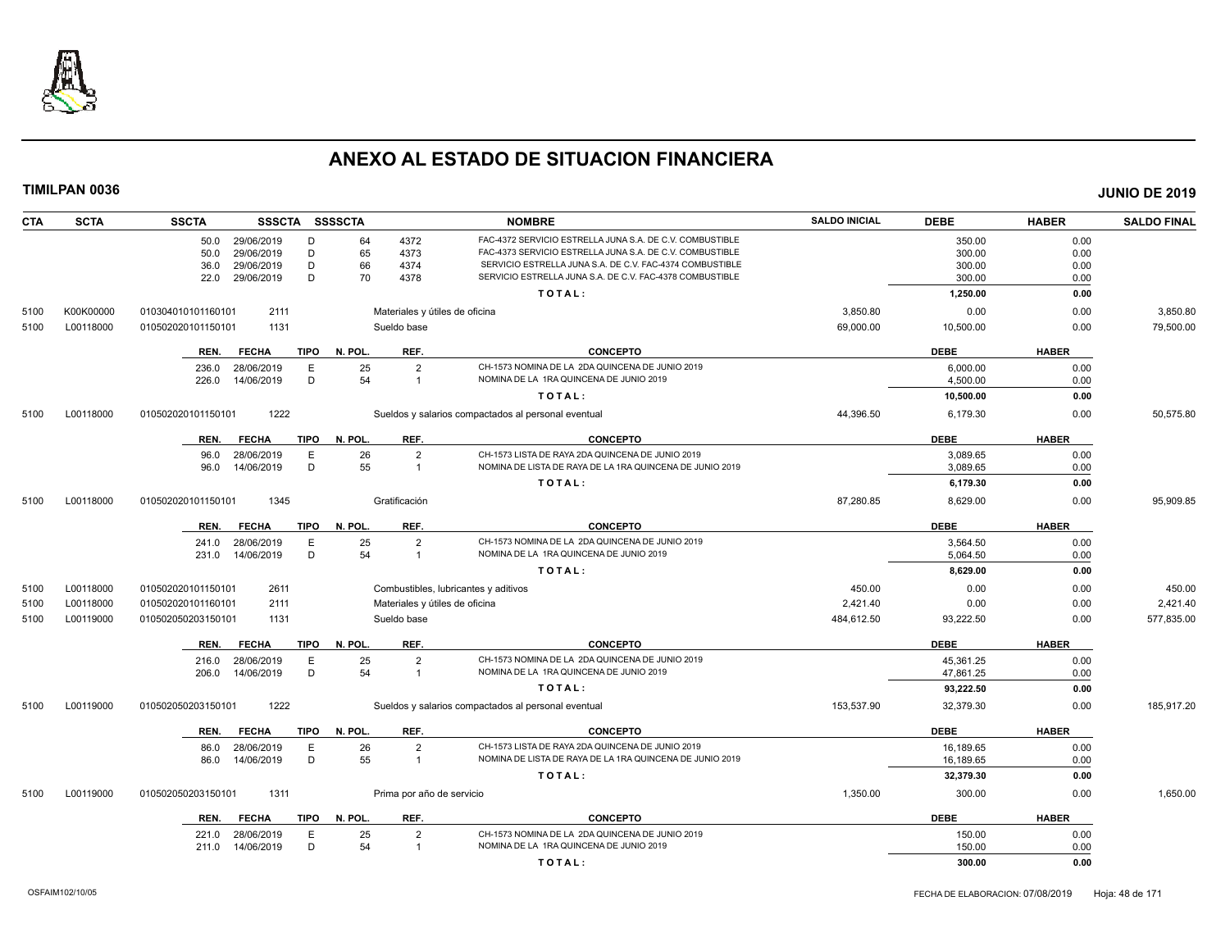

| <b>CTA</b> | <b>SCTA</b> | <b>SSCTA</b><br><b>SSSCTA</b>       | SSSSCTA                        | <b>NOMBRE</b>                                                                                                        | <b>SALDO INICIAL</b> | <b>DEBE</b>      | <b>HABER</b> | <b>SALDO FINAL</b> |
|------------|-------------|-------------------------------------|--------------------------------|----------------------------------------------------------------------------------------------------------------------|----------------------|------------------|--------------|--------------------|
|            |             | 29/06/2019<br>D<br>50.0             | 4372<br>64                     | FAC-4372 SERVICIO ESTRELLA JUNA S.A. DE C.V. COMBUSTIBLE                                                             |                      | 350.00           | 0.00         |                    |
|            |             | 29/06/2019<br>D<br>50.0             | 65<br>4373                     | FAC-4373 SERVICIO ESTRELLA JUNA S.A. DE C.V. COMBUSTIBLE                                                             |                      | 300.00           | 0.00         |                    |
|            |             | D<br>29/06/2019<br>36.0<br>D        | 66<br>4374<br>70<br>4378       | SERVICIO ESTRELLA JUNA S.A. DE C.V. FAC-4374 COMBUSTIBLE<br>SERVICIO ESTRELLA JUNA S.A. DE C.V. FAC-4378 COMBUSTIBLE |                      | 300.00<br>300.00 | 0.00         |                    |
|            |             | 29/06/2019<br>22.0                  |                                | TOTAL:                                                                                                               |                      | 1,250.00         | 0.00<br>0.00 |                    |
|            |             |                                     |                                |                                                                                                                      |                      |                  |              |                    |
| 5100       | K00K00000   | 2111<br>010304010101160101          | Materiales y útiles de oficina |                                                                                                                      | 3,850.80             | 0.00             | 0.00         | 3,850.80           |
| 5100       | L00118000   | 1131<br>010502020101150101          | Sueldo base                    |                                                                                                                      | 69,000.00            | 10,500.00        | 0.00         | 79,500.00          |
|            |             | <b>FECHA</b><br><b>TIPO</b><br>REN. | N. POL.<br>REF.                | <b>CONCEPTO</b>                                                                                                      |                      | <b>DEBE</b>      | <b>HABER</b> |                    |
|            |             | E<br>28/06/2019<br>236.0            | 25<br>$\overline{2}$           | CH-1573 NOMINA DE LA 2DA QUINCENA DE JUNIO 2019                                                                      |                      | 6,000.00         | 0.00         |                    |
|            |             | D<br>226.0<br>14/06/2019            | 54<br>$\overline{1}$           | NOMINA DE LA 1RA QUINCENA DE JUNIO 2019                                                                              |                      | 4.500.00         | 0.00         |                    |
|            |             |                                     |                                | TOTAL:                                                                                                               |                      | 10,500.00        | 0.00         |                    |
| 5100       | L00118000   | 1222<br>010502020101150101          |                                | Sueldos y salarios compactados al personal eventual                                                                  | 44,396.50            | 6,179.30         | 0.00         | 50,575.80          |
|            |             | <b>FECHA</b><br><b>TIPO</b><br>REN. | N. POL.<br>REF.                | <b>CONCEPTO</b>                                                                                                      |                      | <b>DEBE</b>      | <b>HABER</b> |                    |
|            |             | 28/06/2019<br>E<br>96.0             | 26<br>$\overline{2}$           | CH-1573 LISTA DE RAYA 2DA QUINCENA DE JUNIO 2019                                                                     |                      | 3,089.65         | 0.00         |                    |
|            |             | D<br>14/06/2019<br>96.0             | 55<br>$\overline{1}$           | NOMINA DE LISTA DE RAYA DE LA 1RA QUINCENA DE JUNIO 2019                                                             |                      | 3,089.65         | 0.00         |                    |
|            |             |                                     |                                | TOTAL:                                                                                                               |                      | 6,179.30         | 0.00         |                    |
| 5100       | L00118000   | 1345<br>010502020101150101          | Gratificación                  |                                                                                                                      | 87,280.85            | 8,629.00         | 0.00         | 95.909.85          |
|            |             | <b>FECHA</b><br>REN.<br><b>TIPO</b> | N. POL.<br>REF.                | <b>CONCEPTO</b>                                                                                                      |                      | <b>DEBE</b>      | <b>HABER</b> |                    |
|            |             | 28/06/2019<br>Ε                     | 25<br>$\overline{2}$           | CH-1573 NOMINA DE LA 2DA QUINCENA DE JUNIO 2019                                                                      |                      | 3,564.50         | 0.00         |                    |
|            |             | 241.0<br>D<br>14/06/2019<br>231.0   | 54<br>$\overline{1}$           | NOMINA DE LA 1RA QUINCENA DE JUNIO 2019                                                                              |                      | 5,064.50         | 0.00         |                    |
|            |             |                                     |                                | TOTAL:                                                                                                               |                      | 8,629.00         | 0.00         |                    |
| 5100       | L00118000   | 2611<br>010502020101150101          |                                | Combustibles, lubricantes y aditivos                                                                                 | 450.00               | 0.00             | 0.00         | 450.00             |
| 5100       | L00118000   | 2111<br>010502020101160101          | Materiales y útiles de oficina |                                                                                                                      | 2,421.40             | 0.00             | 0.00         | 2,421.40           |
| 5100       | L00119000   | 1131<br>010502050203150101          | Sueldo base                    |                                                                                                                      | 484,612.50           | 93,222.50        | 0.00         | 577,835.00         |
|            |             | <b>FECHA</b><br><b>TIPO</b><br>REN. | N. POL.<br>REF.                | <b>CONCEPTO</b>                                                                                                      |                      | <b>DEBE</b>      | <b>HABER</b> |                    |
|            |             | 28/06/2019<br>E<br>216.0            | 25<br>$\overline{2}$           | CH-1573 NOMINA DE LA 2DA QUINCENA DE JUNIO 2019                                                                      |                      | 45,361.25        | 0.00         |                    |
|            |             | D<br>14/06/2019<br>206.0            | 54<br>$\overline{1}$           | NOMINA DE LA 1RA QUINCENA DE JUNIO 2019                                                                              |                      | 47,861.25        | 0.00         |                    |
|            |             |                                     |                                | TOTAL:                                                                                                               |                      | 93,222.50        | 0.00         |                    |
| 5100       | L00119000   | 1222<br>010502050203150101          |                                | Sueldos y salarios compactados al personal eventual                                                                  | 153,537.90           | 32,379.30        | 0.00         | 185,917.20         |
|            |             | <b>FECHA</b><br><b>TIPO</b><br>REN. | N. POL.<br>REF.                | <b>CONCEPTO</b>                                                                                                      |                      | <b>DEBE</b>      | <b>HABER</b> |                    |
|            |             | E<br>28/06/2019<br>86.0             | 26<br>$\overline{2}$           | CH-1573 LISTA DE RAYA 2DA QUINCENA DE JUNIO 2019                                                                     |                      | 16,189.65        | 0.00         |                    |
|            |             | D<br>14/06/2019<br>86.0             | 55<br>$\overline{1}$           | NOMINA DE LISTA DE RAYA DE LA 1RA QUINCENA DE JUNIO 2019                                                             |                      | 16,189.65        | 0.00         |                    |
|            |             |                                     |                                | TOTAL:                                                                                                               |                      | 32,379.30        | 0.00         |                    |
| 5100       | L00119000   | 1311<br>010502050203150101          | Prima por año de servicio      |                                                                                                                      | 1,350.00             | 300.00           | 0.00         | 1,650.00           |
|            |             | <b>FECHA</b><br><b>TIPO</b><br>REN. | N. POL.<br>REF.                | <b>CONCEPTO</b>                                                                                                      |                      | <b>DEBE</b>      | <b>HABER</b> |                    |
|            |             | 28/06/2019<br>Ε<br>221.0            | 25<br>$\overline{2}$           | CH-1573 NOMINA DE LA 2DA QUINCENA DE JUNIO 2019                                                                      |                      | 150.00           | 0.00         |                    |
|            |             | D<br>14/06/2019<br>211.0            | 54<br>$\overline{1}$           | NOMINA DE LA 1RA QUINCENA DE JUNIO 2019                                                                              |                      | 150.00           | 0.00         |                    |
|            |             |                                     |                                | TOTAL:                                                                                                               |                      | 300.00           | 0.00         |                    |
|            |             |                                     |                                |                                                                                                                      |                      |                  |              |                    |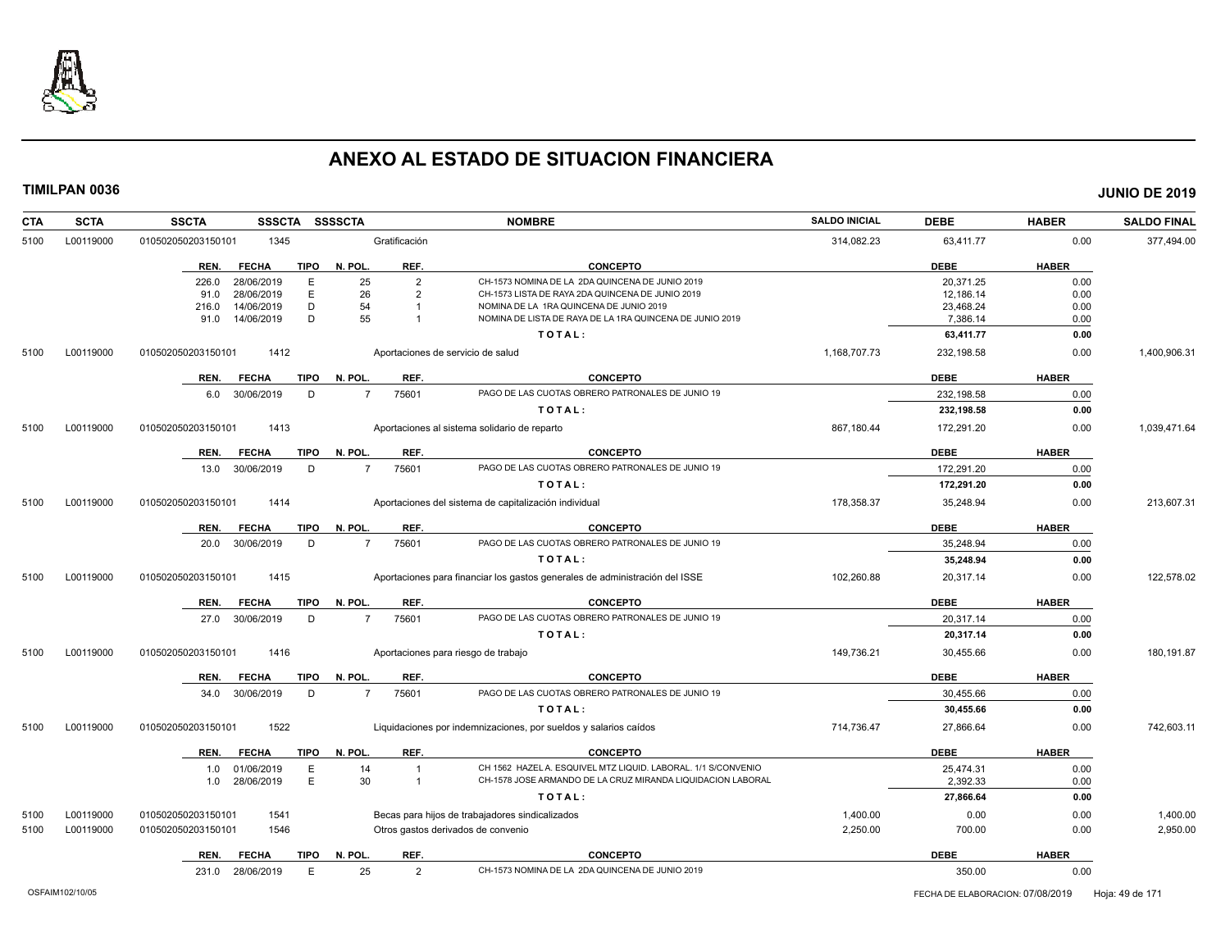

| <b>CTA</b> | <b>SCTA</b> | <b>SSCTA</b><br><b>SSSCTA</b>       | <b>SSSSCTA</b>           | <b>NOMBRE</b>                                                               | <b>SALDO INICIAL</b> | <b>DEBE</b> | <b>HABER</b> | <b>SALDO FINAL</b> |
|------------|-------------|-------------------------------------|--------------------------|-----------------------------------------------------------------------------|----------------------|-------------|--------------|--------------------|
| 5100       | L00119000   | 1345<br>010502050203150101          | Gratificación            |                                                                             | 314,082.23           | 63,411.77   | 0.00         | 377,494.00         |
|            |             | <b>TIPO</b><br>REN.<br><b>FECHA</b> | REF.<br>N. POL           | <b>CONCEPTO</b>                                                             |                      | <b>DEBE</b> | <b>HABER</b> |                    |
|            |             | 28/06/2019<br>E<br>226.0            | 25<br>$\overline{2}$     | CH-1573 NOMINA DE LA 2DA QUINCENA DE JUNIO 2019                             |                      | 20,371.25   | 0.00         |                    |
|            |             | 28/06/2019<br>E<br>91.0             | 26<br>$\overline{2}$     | CH-1573 LISTA DE RAYA 2DA QUINCENA DE JUNIO 2019                            |                      | 12,186.14   | 0.00         |                    |
|            |             | D<br>216.0<br>14/06/2019            | 54                       | NOMINA DE LA 1RA QUINCENA DE JUNIO 2019                                     |                      | 23,468.24   | 0.00         |                    |
|            |             | D<br>91.0<br>14/06/2019             | 55                       | NOMINA DE LISTA DE RAYA DE LA 1RA QUINCENA DE JUNIO 2019                    |                      | 7,386.14    | 0.00         |                    |
|            |             |                                     |                          | TOTAL:                                                                      |                      | 63,411.77   | 0.00         |                    |
| 5100       | L00119000   | 010502050203150101<br>1412          |                          | Aportaciones de servicio de salud                                           | 1,168,707.73         | 232,198.58  | 0.00         | 1,400,906.31       |
|            |             | <b>TIPO</b><br>REN.<br><b>FECHA</b> | N. POL.<br>REF.          | <b>CONCEPTO</b>                                                             |                      | <b>DEBE</b> | <b>HABER</b> |                    |
|            |             | 30/06/2019<br>D<br>6.0              | 75601<br>$\overline{7}$  | PAGO DE LAS CUOTAS OBRERO PATRONALES DE JUNIO 19                            |                      | 232.198.58  | 0.00         |                    |
|            |             |                                     |                          | TOTAL:                                                                      |                      | 232,198.58  | 0.00         |                    |
| 5100       | L00119000   | 1413<br>010502050203150101          |                          | Aportaciones al sistema solidario de reparto                                | 867,180.44           | 172,291.20  | 0.00         | 1,039,471.64       |
|            |             | REN.<br><b>FECHA</b><br><b>TIPO</b> | REF.<br>N. POL.          | <b>CONCEPTO</b>                                                             |                      | <b>DEBE</b> | <b>HABER</b> |                    |
|            |             | 30/06/2019<br>D<br>13.0             | 75601<br>$\overline{7}$  | PAGO DE LAS CUOTAS OBRERO PATRONALES DE JUNIO 19                            |                      | 172,291.20  | 0.00         |                    |
|            |             |                                     |                          | TOTAL:                                                                      |                      | 172,291.20  | 0.00         |                    |
| 5100       | L00119000   | 010502050203150101<br>1414          |                          | Aportaciones del sistema de capitalización individual                       | 178,358.37           | 35,248.94   | 0.00         | 213,607.31         |
|            |             | <b>FECHA</b><br><b>TIPO</b><br>REN. | REF.<br>N. POL.          | <b>CONCEPTO</b>                                                             |                      | <b>DEBE</b> | <b>HABER</b> |                    |
|            |             | 20.0 30/06/2019<br>D                | 75601<br>$7\overline{ }$ | PAGO DE LAS CUOTAS OBRERO PATRONALES DE JUNIO 19                            |                      | 35,248.94   | 0.00         |                    |
|            |             |                                     |                          | TOTAL:                                                                      |                      | 35,248.94   | 0.00         |                    |
| 5100       | L00119000   | 010502050203150101<br>1415          |                          | Aportaciones para financiar los gastos generales de administración del ISSE | 102,260.88           | 20,317.14   | 0.00         | 122,578.02         |
|            |             | <b>TIPO</b><br>REN.<br><b>FECHA</b> | N. POL<br>REF.           | <b>CONCEPTO</b>                                                             |                      | <b>DEBE</b> | <b>HABER</b> |                    |
|            |             | 27.0 30/06/2019<br>D                | 75601<br>$\overline{7}$  | PAGO DE LAS CUOTAS OBRERO PATRONALES DE JUNIO 19                            |                      | 20,317.14   | 0.00         |                    |
|            |             |                                     |                          | TOTAL:                                                                      |                      | 20,317.14   | 0.00         |                    |
| 5100       | L00119000   | 010502050203150101<br>1416          |                          |                                                                             | 149,736.21           | 30,455.66   | 0.00         | 180,191.87         |
|            |             |                                     |                          | Aportaciones para riesgo de trabajo                                         |                      |             |              |                    |
|            |             | <b>TIPO</b><br>REN.<br><b>FECHA</b> | N. POL<br>REF.           | <b>CONCEPTO</b>                                                             |                      | <b>DEBE</b> | <b>HABER</b> |                    |
|            |             | D<br>34.0<br>30/06/2019             | 75601<br>$\overline{7}$  | PAGO DE LAS CUOTAS OBRERO PATRONALES DE JUNIO 19                            |                      | 30,455.66   | 0.00         |                    |
|            |             |                                     |                          | TOTAL:                                                                      |                      | 30,455.66   | 0.00         |                    |
| 5100       | L00119000   | 1522<br>010502050203150101          |                          | Liquidaciones por indemnizaciones, por sueldos y salarios caídos            | 714,736.47           | 27,866.64   | 0.00         | 742,603.11         |
|            |             | <b>FECHA</b><br><b>TIPO</b><br>REN. | REF.<br>N. POL.          | <b>CONCEPTO</b>                                                             |                      | <b>DEBE</b> | <b>HABER</b> |                    |
|            |             | 01/06/2019<br>E<br>1.0              | 14                       | CH 1562 HAZEL A. ESQUIVEL MTZ LIQUID. LABORAL. 1/1 S/CONVENIO               |                      | 25,474.31   | 0.00         |                    |
|            |             | E<br>28/06/2019<br>1.0              | 30<br>$\overline{1}$     | CH-1578 JOSE ARMANDO DE LA CRUZ MIRANDA LIQUIDACION LABORAL                 |                      | 2,392.33    | 0.00         |                    |
|            |             |                                     |                          | TOTAL:                                                                      |                      | 27,866.64   | 0.00         |                    |
| 5100       | L00119000   | 010502050203150101<br>1541          |                          | Becas para hijos de trabajadores sindicalizados                             | 1,400.00             | 0.00        | 0.00         | 1,400.00           |
| 5100       | L00119000   | 010502050203150101<br>1546          |                          | Otros gastos derivados de convenio                                          | 2,250.00             | 700.00      | 0.00         | 2,950.00           |
|            |             | <b>TIPO</b><br>REN.<br><b>FECHA</b> | REF.<br>N. POL           | <b>CONCEPTO</b>                                                             |                      | <b>DEBE</b> | <b>HABER</b> |                    |
|            |             | E<br>231.0 28/06/2019               | 25<br>$\overline{2}$     | CH-1573 NOMINA DE LA 2DA QUINCENA DE JUNIO 2019                             |                      | 350.00      | 0.00         |                    |
|            |             |                                     |                          |                                                                             |                      |             |              |                    |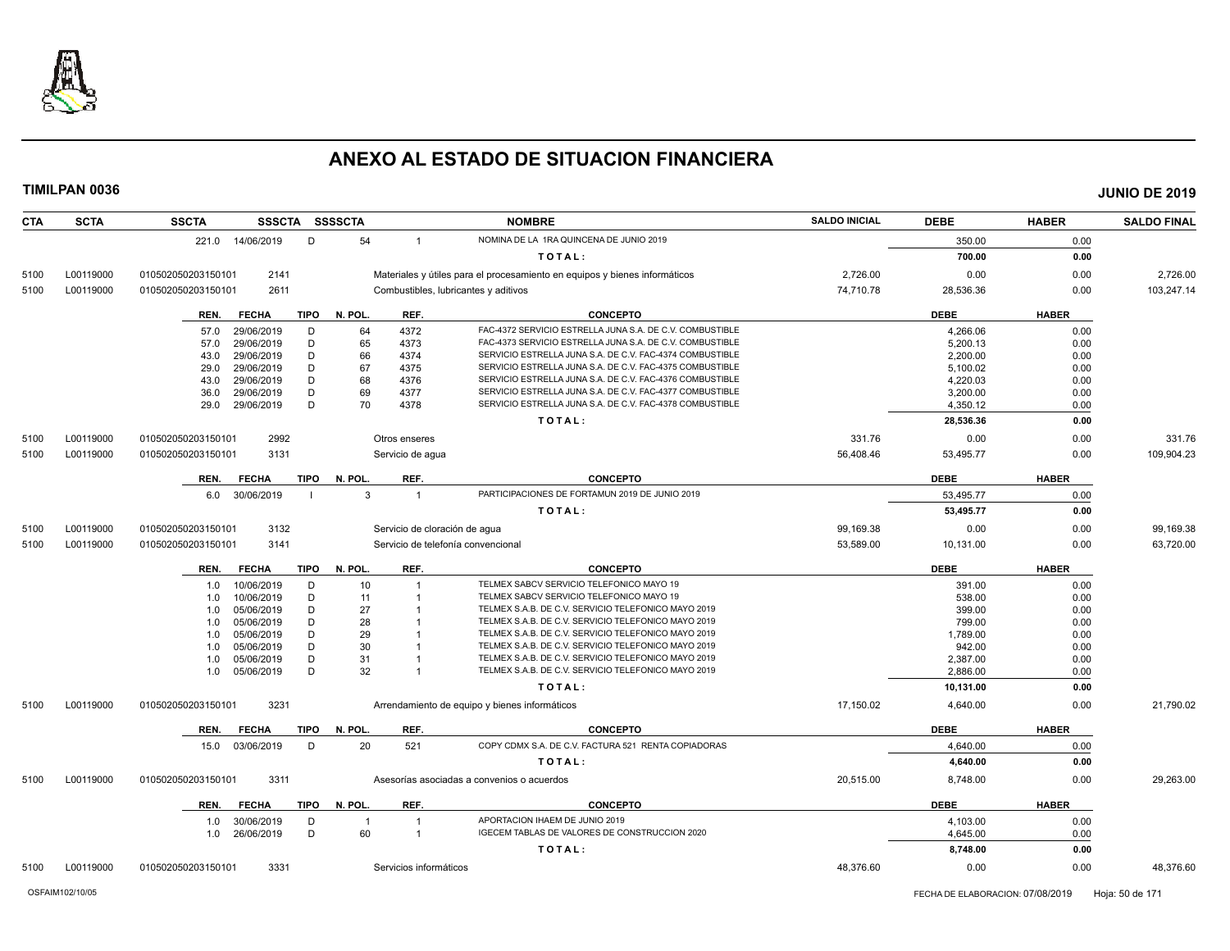

**CTA SCTA SSCTA SSSCTA SSSSCTA NOMBRE SALDO INICIAL DEBE HABER SALDO FINAL TIMILPAN 0036 JUNIO DE 2019** 221.0 14/06/2019 D 54 1 NOMINA DE LA 1RA QUINCENA DE JUNIO 2019 S50.00 350.00 0.00 **T O T A L : 700.00 0.00** 5100 L00119000 010502050203150101 2141 Materiales y útiles para el procesamiento en equipos y bienes informáticos 2,726.00 0.00 0.00 2,726.00 5100 L00119000 010502050203150101 2611 Combustibles, lubricantes y aditivos 74,710.78 28,536.36 0.00 103,247.14 **REN. FECHA TIPO N. POL. REF. CONCEPTO DEBE HABER** 57.0 29/06/2019 D 64 4372 FAC-4372 SERVICIO ESTRELLA JUNA S.A. DE C.V. COMBUSTIBLE<br>57.0 29/06/2019 D 65 4373 FAC-4373 SERVICIO ESTRELLA JUNA S.A. DE C.V. COMBUSTIBLE COMBUSTIBLE 5,200.13 5,200.13 57.0 29/06/2019 D 65 4373 FAC-4373 SERVICIO ESTRELLA JUNA S.A. DE C.V. COMBUSTIBLE 5,200.13 0.00 43.0 29/06/2019 D 66 4374 SERVICIO ESTRELLA JUNA S.A. DE C.V. FAC-4374 COMBUSTIBLE 2,200.00 0.00 29.0 29/06/2019 D 67 4375 SERVICIO ESTRELLA JUNA S.A. DE C.V. FAC-4375 COMBUSTIBLE 5,100.02 5,100.02 0.00 43.0 29/06/2019 D 68 4376 SERVICIO ESTRELLA JUNA S.A. DE C.V. FAC-4376 COMBUSTIBLE 4,220.03 4,220.03 0.00 36.0 29/06/2019 D 69 4377 SERVICIO ESTRELLA JUNA S.A. DE C.V. FAC-4377 COMBUSTIBLE 3,200.00 3,200.00 0.00 29.0 29/06/2019 D 70 4378 SERVICIO ESTRELLA JUNA S.A. DE C.V. FAC-4378 COMBUSTIBLE 4,350.12 4,350.12 0.00 **T O T A L : 28,536.36 0.00** 5100 L00119000 010502050203150101 2992 Otros enseres 331.76 0.00 0.00 331.76 5100 L00119000 010502050203150101 3131 Servicio de agua 56,408.46 53,495.77 0.00 109,904.23 **REN. FECHA TIPO N. POL. REF. CONCEPTO DEBE HABER** 6.0 30/06/2019 I 3 1 PARTICIPACIONES DE FORTAMUN 2019 DE JUNIO 2019 **53,495.77** 53,495.77 0.00 **T O T A L : 53,495.77 0.00** 5100 L00119000 010502050203150101 3132 Servicio de cloración de agua 99,169.38 0.00 99,169.38 5100 L00119000 010502050203150101 3141 Servicio de telefonía convencional 53,589.00 10,131.00 0.00 63,720.00 **REN. FECHA TIPO N. POL. REF. CONCEPTO DEBE HABER** 1.0 10/06/2019 D 10 1 TELMEX SABCV SERVICIO TELEFONICO MAYO 19 391.00 391.00 0.00 1.0 10/06/2019 D 11 1 TELMEX SABCV SERVICIO TELEFONICO MAYO 19<br>1.0 05/06/2019 D 27 1 TELMEX S.A.B. DE C.V. SERVICIO TELEFONICO MAYO 2019 1999.00 399.00 0.00 1.0 05/06/2019 D 27 1 TELMEX S.A.B. DE C.V. SERVICIO TELEFONICO MAYO 2019 399.00 399.00 0.00 1.0 05/06/2019 D 28 1 TELMEX S.A.B. DE C.V. SERVICIO TELEFONICO MAYO 2019<br>1.0 05/06/2019 D 29 1 TELMEX S.A.B. DE C.V. SERVICIO TELEFONICO MAYO 2019 1 1.789.00 1.789.00 0.00 1.0 05/06/2019 D 29 1 TELMEX S.A.B. DE C.V. SERVICIO TELEFONICO MAYO 2019 1,789.00 1.0 05/06/2019 D 30 1 TELMEX S.A.B. DE C.V. SERVICIO TELEFONICO MAYO 2019<br>1.0 05/06/2019 D 31 1 TELMEX S.A.B. DE C.V. SERVICIO TELEFONICO MAYO 2019 2.387.00 2.387.00 0.00 1.0 05/06/2019 D 31 1 TELMEX S.A.B. DE C.V. SERVICIO TELEFONICO MAYO 2019 25/37.00 2,387.00 0.00 1.0 05/06/2019 D 32 1 TELMEX S.A.B. DE C.V. SERVICIO TELEFONICO MAYO 2019 2,886.00 0.00 **T O T A L : 10,131.00 0.00** 5100 L00119000 010502050203150101 3231 Arrendamiento de equipo y bienes informáticos 17,150.02 4,640.00 0.00 21,790.02 **REN. FECHA TIPO N. POL. REF. CONCEPTO DEBE HABER** 15.0 03/06/2019 D 20 521 COPY CDMX S.A. DE C.V. FACTURA 521 RENTA COPIADORAS 4,640.00 4,640.00 0.00 **T O T A L : 4,640.00 0.00** 5100 L00119000 010502050203150101 3311 Asesorías asociadas a convenios o acuerdos 20,515.00 8,748.00 0.00 29,263.00 **REN. FECHA TIPO N. POL. REF. CONCEPTO DEBE HABER** 1.0 30/06/2019 D 1 1 APORTACION IHAEM DE JUNIO 2019 10:00 10:00 10:00 10:00 10:00 10:00 10:00 10:00 10:00 10:0 1.0 26/06/2019 D 60 1 IGECEM TABLAS DE VALORES DE CONSTRUCCION 2020 4,645.00 0.00 **T O T A L : 8,748.00 0.00**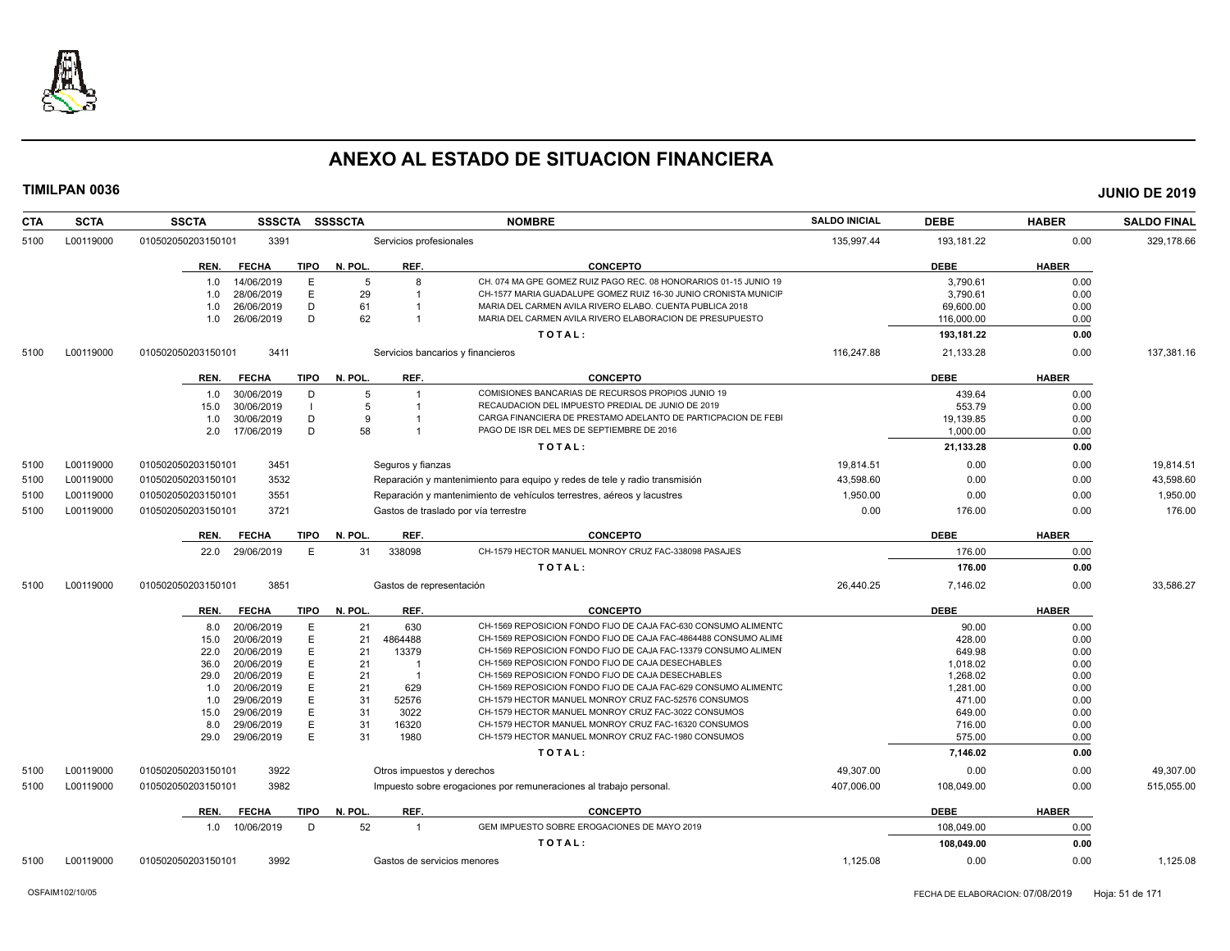

| <b>CTA</b> | <b>SCTA</b> | <b>SSCTA</b><br><b>SSSCTA</b>       | <b>SSSSCTA</b> |                            | <b>NOMBRE</b>                                                              | <b>SALDO INICIAL</b> | <b>DEBE</b> | <b>HABER</b> | <b>SALDO FINAL</b> |
|------------|-------------|-------------------------------------|----------------|----------------------------|----------------------------------------------------------------------------|----------------------|-------------|--------------|--------------------|
| 5100       | L00119000   | 010502050203150101<br>3391          |                | Servicios profesionales    |                                                                            | 135,997.44           | 193,181.22  | 0.00         | 329,178.66         |
|            |             | <b>FECHA</b><br>TIPO<br>REN.        | N. POL.        | REF.                       | <b>CONCEPTO</b>                                                            |                      | <b>DEBE</b> | <b>HABER</b> |                    |
|            |             | 14/06/2019<br>E<br>1.0              | 5              | 8                          | CH. 074 MA GPE GOMEZ RUIZ PAGO REC. 08 HONORARIOS 01-15 JUNIO 19           |                      | 3.790.61    | 0.00         |                    |
|            |             | 28/06/2019<br>E<br>1.0              | 29             |                            | CH-1577 MARIA GUADALUPE GOMEZ RUIZ 16-30 JUNIO CRONISTA MUNICIF            |                      | 3,790.61    | 0.00         |                    |
|            |             | D<br>1.0<br>26/06/2019              | 61             |                            | MARIA DEL CARMEN AVILA RIVERO ELABO. CUENTA PUBLICA 2018                   |                      | 69,600.00   | 0.00         |                    |
|            |             | D<br>26/06/2019<br>1.0              | 62             |                            | MARIA DEL CARMEN AVILA RIVERO ELABORACION DE PRESUPUESTO                   |                      | 116,000.00  | 0.00         |                    |
|            |             |                                     |                |                            | TOTAL:                                                                     |                      | 193,181.22  | 0.00         |                    |
| 5100       | L00119000   | 010502050203150101<br>3411          |                |                            | Servicios bancarios y financieros                                          | 116,247.88           | 21,133.28   | 0.00         | 137,381.16         |
|            |             | <b>FECHA</b><br>TIPO<br>REN.        | N. POL.        | REF.                       | <b>CONCEPTO</b>                                                            |                      | <b>DEBE</b> | <b>HABER</b> |                    |
|            |             | 30/06/2019<br>D<br>1.0              | 5              | $\mathbf{1}$               | COMISIONES BANCARIAS DE RECURSOS PROPIOS JUNIO 19                          |                      | 439.64      | 0.00         |                    |
|            |             | 30/06/2019<br>15.0                  | 5              | -1                         | RECAUDACION DEL IMPUESTO PREDIAL DE JUNIO DE 2019                          |                      | 553.79      | 0.00         |                    |
|            |             | 30/06/2019<br>D<br>1.0              | 9              |                            | CARGA FINANCIERA DE PRESTAMO ADELANTO DE PARTICPACION DE FEBI              |                      | 19,139.85   | 0.00         |                    |
|            |             | D<br>17/06/2019<br>2.0              | 58             |                            | PAGO DE ISR DEL MES DE SEPTIEMBRE DE 2016                                  |                      | 1,000.00    | 0.00         |                    |
|            |             |                                     |                |                            | TOTAL:                                                                     |                      | 21,133.28   | 0.00         |                    |
| 5100       | L00119000   | 3451<br>010502050203150101          |                | Seguros y fianzas          |                                                                            | 19,814.51            | 0.00        | 0.00         | 19,814.51          |
| 5100       | L00119000   | 3532<br>010502050203150101          |                |                            | Reparación y mantenimiento para equipo y redes de tele y radio transmisión | 43.598.60            | 0.00        | 0.00         | 43,598.60          |
| 5100       | L00119000   | 010502050203150101<br>3551          |                |                            | Reparación y mantenimiento de vehículos terrestres, aéreos y lacustres     | 1,950.00             | 0.00        | 0.00         | 1,950.00           |
| 5100       | L00119000   | 010502050203150101<br>3721          |                |                            | Gastos de traslado por vía terrestre                                       | 0.00                 | 176.00      | 0.00         | 176.00             |
|            |             | <b>TIPO</b><br>REN.<br><b>FECHA</b> | N. POL.        | REF.                       | <b>CONCEPTO</b>                                                            |                      | <b>DEBE</b> | <b>HABER</b> |                    |
|            |             | 29/06/2019<br>E<br>22.0             | 31             | 338098                     | CH-1579 HECTOR MANUEL MONROY CRUZ FAC-338098 PASAJES                       |                      | 176.00      | 0.00         |                    |
|            |             |                                     |                |                            | TOTAL:                                                                     |                      | 176.00      | 0.00         |                    |
| 5100       | L00119000   | 3851<br>010502050203150101          |                | Gastos de representación   |                                                                            | 26.440.25            | 7.146.02    | 0.00         | 33.586.27          |
|            |             | <b>FECHA</b><br><b>TIPO</b><br>REN. | N. POL.        | REF.                       | <b>CONCEPTO</b>                                                            |                      | <b>DEBE</b> | <b>HABER</b> |                    |
|            |             | 20/06/2019<br>E<br>8.0              | 21             | 630                        | CH-1569 REPOSICION FONDO FIJO DE CAJA FAC-630 CONSUMO ALIMENTO             |                      | 90.00       | 0.00         |                    |
|            |             | 20/06/2019<br>E<br>15.0             | 21             | 4864488                    | CH-1569 REPOSICION FONDO FIJO DE CAJA FAC-4864488 CONSUMO ALIME            |                      | 428.00      | 0.00         |                    |
|            |             | E<br>22.0<br>20/06/2019             | 21             | 13379                      | CH-1569 REPOSICION FONDO FIJO DE CAJA FAC-13379 CONSUMO ALIMEN             |                      | 649.98      | 0.00         |                    |
|            |             | 36.0<br>20/06/2019<br>E             | 21             | $\overline{\mathbf{1}}$    | CH-1569 REPOSICION FONDO FIJO DE CAJA DESECHABLES                          |                      | 1.018.02    | 0.00         |                    |
|            |             | E<br>29.0<br>20/06/2019             | 21             | -1                         | CH-1569 REPOSICION FONDO FIJO DE CAJA DESECHABLES                          |                      | 1,268.02    | 0.00         |                    |
|            |             | 20/06/2019<br>E<br>1.0              | 21             | 629                        | CH-1569 REPOSICION FONDO FIJO DE CAJA FAC-629 CONSUMO ALIMENTC             |                      | 1,281.00    | 0.00         |                    |
|            |             | 29/06/2019<br>E<br>1.0              | 31             | 52576                      | CH-1579 HECTOR MANUEL MONROY CRUZ FAC-52576 CONSUMOS                       |                      | 471.00      | 0.00         |                    |
|            |             | E<br>29/06/2019<br>15.0             | 31             | 3022                       | CH-1579 HECTOR MANUEL MONROY CRUZ FAC-3022 CONSUMOS                        |                      | 649.00      | 0.00         |                    |
|            |             | 29/06/2019<br>Е<br>8.0              | 31             | 16320                      | CH-1579 HECTOR MANUEL MONROY CRUZ FAC-16320 CONSUMOS                       |                      | 716.00      | 0.00         |                    |
|            |             | E<br>29.0<br>29/06/2019             | 31             | 1980                       | CH-1579 HECTOR MANUEL MONROY CRUZ FAC-1980 CONSUMOS                        |                      | 575.00      | 0.00         |                    |
|            |             |                                     |                |                            | TOTAL:                                                                     |                      | 7,146.02    | 0.00         |                    |
| 5100       | L00119000   | 010502050203150101<br>3922          |                | Otros impuestos y derechos |                                                                            | 49.307.00            | 0.00        | 0.00         | 49.307.00          |
| 5100       | L00119000   | 3982<br>010502050203150101          |                |                            | Impuesto sobre erogaciones por remuneraciones al trabajo personal.         | 407.006.00           | 108,049.00  | 0.00         | 515,055.00         |
|            |             | <b>FECHA</b><br><b>TIPO</b><br>REN. | N. POL.        | REF.                       | <b>CONCEPTO</b>                                                            |                      | <b>DEBE</b> | <b>HABER</b> |                    |
|            |             | 1.0 10/06/2019<br>D                 | 52             | $\overline{1}$             | GEM IMPUESTO SOBRE EROGACIONES DE MAYO 2019                                |                      | 108.049.00  | 0.00         |                    |
|            |             |                                     |                |                            | TOTAL:                                                                     |                      | 108,049.00  | 0.00         |                    |
| 5100       | L00119000   | 3992<br>010502050203150101          |                |                            | Gastos de servicios menores                                                | 1,125.08             | 0.00        | 0.00         | 1,125.08           |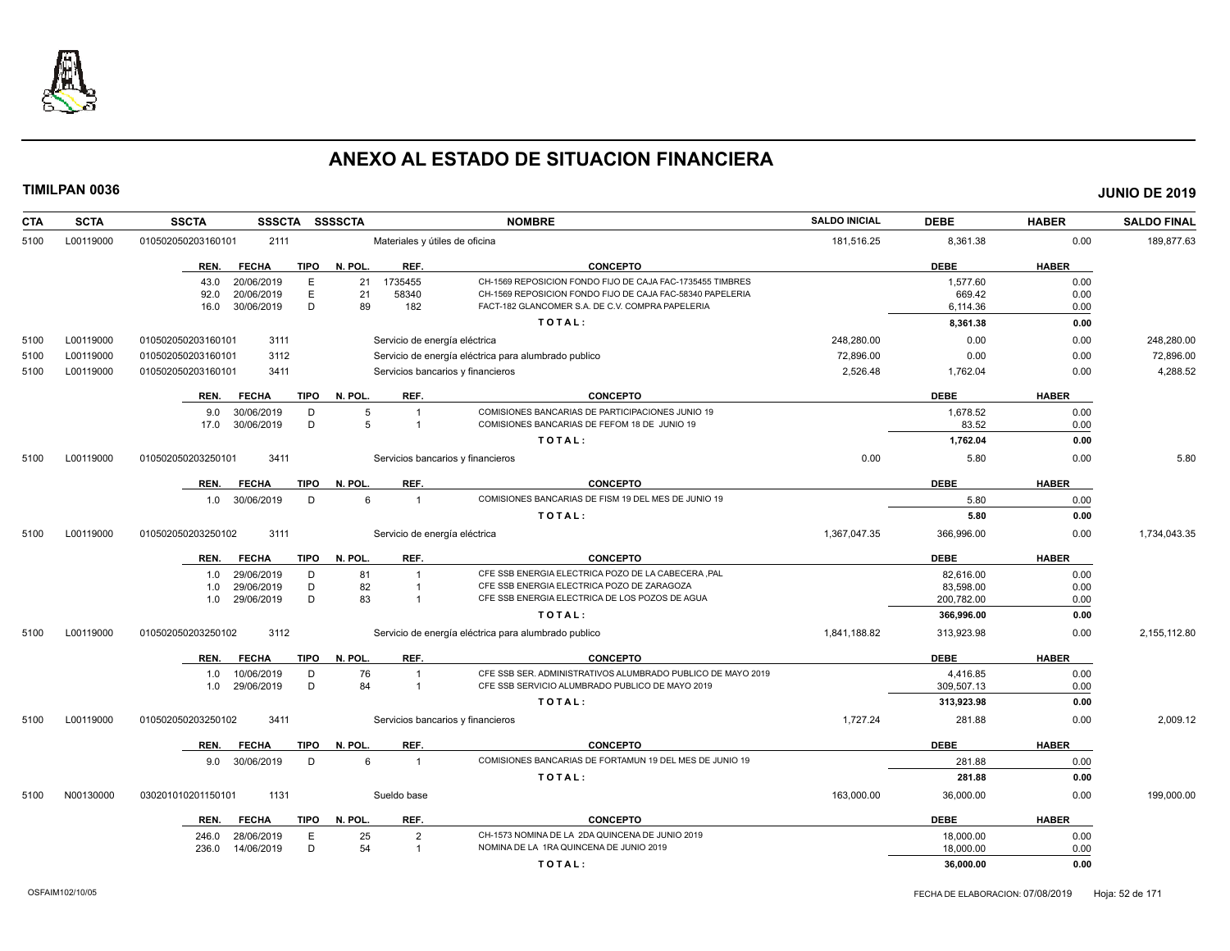

| <b>CTA</b><br><b>SCTA</b> | <b>SSCTA</b>       | <b>SSSCTA</b>  |             | <b>SSSSCTA</b><br><b>NOMBRE</b> |                | <b>SALDO INICIAL</b>                                                                                          | <b>DEBE</b>  | <b>HABER</b>       | <b>SALDO FINAL</b> |              |
|---------------------------|--------------------|----------------|-------------|---------------------------------|----------------|---------------------------------------------------------------------------------------------------------------|--------------|--------------------|--------------------|--------------|
| L00119000<br>5100         | 010502050203160101 | 2111           |             |                                 |                | Materiales y útiles de oficina                                                                                | 181,516.25   | 8,361.38           | 0.00               | 189,877.63   |
|                           | REN.               | <b>FECHA</b>   | <b>TIPO</b> | N. POL.                         | REF.           | CONCEPTO                                                                                                      |              | <b>DEBE</b>        | <b>HABER</b>       |              |
|                           | 43.0               | 20/06/2019     | Ε           | 21                              | 1735455        | CH-1569 REPOSICION FONDO FIJO DE CAJA FAC-1735455 TIMBRES                                                     |              | 1,577.60           | 0.00               |              |
|                           | 92.0               | 20/06/2019     | Ε<br>D      | 21<br>89                        | 58340<br>182   | CH-1569 REPOSICION FONDO FIJO DE CAJA FAC-58340 PAPELERIA<br>FACT-182 GLANCOMER S.A. DE C.V. COMPRA PAPELERIA |              | 669.42<br>6,114.36 | 0.00               |              |
|                           | 16.0               | 30/06/2019     |             |                                 |                | TOTAL:                                                                                                        |              | 8,361.38           | 0.00<br>0.00       |              |
|                           |                    |                |             |                                 |                |                                                                                                               |              |                    |                    |              |
| L00119000<br>5100         | 010502050203160101 | 3111           |             |                                 |                | Servicio de energía eléctrica                                                                                 | 248.280.00   | 0.00               | 0.00               | 248,280.00   |
| L00119000<br>5100         | 010502050203160101 | 3112           |             |                                 |                | Servicio de energía eléctrica para alumbrado publico                                                          | 72,896.00    | 0.00               | 0.00               | 72,896.00    |
| L00119000<br>5100         | 010502050203160101 | 3411           |             |                                 |                | Servicios bancarios y financieros                                                                             | 2,526.48     | 1,762.04           | 0.00               | 4,288.52     |
|                           | REN.               | <b>FECHA</b>   | TIPO        | N. POL.                         | REF.           | <b>CONCEPTO</b>                                                                                               |              | <b>DEBE</b>        | <b>HABER</b>       |              |
|                           | 9.0                | 30/06/2019     | D           | 5                               | $\overline{1}$ | COMISIONES BANCARIAS DE PARTICIPACIONES JUNIO 19                                                              |              | 1,678.52           | 0.00               |              |
|                           | 17.0               | 30/06/2019     | D           | 5                               | $\overline{1}$ | COMISIONES BANCARIAS DE FEFOM 18 DE JUNIO 19                                                                  |              | 83.52              | 0.00               |              |
|                           |                    |                |             |                                 |                | TOTAL:                                                                                                        |              | 1,762.04           | 0.00               |              |
| 5100<br>L00119000         | 010502050203250101 | 3411           |             |                                 |                | Servicios bancarios y financieros                                                                             | 0.00         | 5.80               | 0.00               | 5.80         |
|                           | REN.               | <b>FECHA</b>   | <b>TIPO</b> | N. POL.                         | REF.           | <b>CONCEPTO</b>                                                                                               |              | <b>DEBE</b>        | <b>HABER</b>       |              |
|                           |                    | 1.0 30/06/2019 | D           | 6                               | $\overline{1}$ | COMISIONES BANCARIAS DE FISM 19 DEL MES DE JUNIO 19                                                           |              | 5.80               | 0.00               |              |
|                           |                    |                |             |                                 |                | TOTAL:                                                                                                        |              | 5.80               | 0.00               |              |
| L00119000<br>5100         | 010502050203250102 | 3111           |             |                                 |                | Servicio de energía eléctrica                                                                                 | 1,367,047.35 | 366,996.00         | 0.00               | 1,734,043.35 |
|                           | REN.               | <b>FECHA</b>   | <b>TIPO</b> | N. POL.                         | REF.           | <b>CONCEPTO</b>                                                                                               |              | <b>DEBE</b>        | <b>HABER</b>       |              |
|                           | 1.0                | 29/06/2019     | D           | 81                              | $\overline{1}$ | CFE SSB ENERGIA ELECTRICA POZO DE LA CABECERA ,PAL                                                            |              | 82,616.00          | 0.00               |              |
|                           | 1.0                | 29/06/2019     | D           | 82                              | $\overline{1}$ | CFE SSB ENERGIA ELECTRICA POZO DE ZARAGOZA                                                                    |              | 83,598.00          | 0.00               |              |
|                           | 1.0                | 29/06/2019     | D           | 83                              | $\overline{1}$ | CFE SSB ENERGIA ELECTRICA DE LOS POZOS DE AGUA                                                                |              | 200,782.00         | 0.00               |              |
|                           |                    |                |             |                                 |                | TOTAL:                                                                                                        |              | 366,996.00         | 0.00               |              |
| 5100<br>L00119000         | 010502050203250102 | 3112           |             |                                 |                | Servicio de energía eléctrica para alumbrado publico                                                          | 1,841,188.82 | 313,923.98         | 0.00               | 2,155,112.80 |
|                           | REN.               | <b>FECHA</b>   | <b>TIPO</b> | N. POL.                         | REF.           | CONCEPTO                                                                                                      |              | <b>DEBE</b>        | <b>HABER</b>       |              |
|                           | 1.0                | 10/06/2019     | D           | 76                              | $\overline{1}$ | CFE SSB SER. ADMINISTRATIVOS ALUMBRADO PUBLICO DE MAYO 2019                                                   |              | 4,416.85           | 0.00               |              |
|                           | 1.0                | 29/06/2019     | D           | 84                              | $\overline{1}$ | CFE SSB SERVICIO ALUMBRADO PUBLICO DE MAYO 2019                                                               |              | 309,507.13         | 0.00               |              |
|                           |                    |                |             |                                 |                | TOTAL:                                                                                                        |              | 313,923.98         | 0.00               |              |
| 5100<br>L00119000         | 010502050203250102 | 3411           |             |                                 |                | Servicios bancarios y financieros                                                                             | 1,727.24     | 281.88             | 0.00               | 2,009.12     |
|                           | REN.               | <b>FECHA</b>   | <b>TIPO</b> | N. POL.                         | REF.           | <b>CONCEPTO</b>                                                                                               |              | <b>DEBE</b>        | <b>HABER</b>       |              |
|                           |                    | 9.0 30/06/2019 | D           | 6                               | $\overline{1}$ | COMISIONES BANCARIAS DE FORTAMUN 19 DEL MES DE JUNIO 19                                                       |              | 281.88             | 0.00               |              |
|                           |                    |                |             |                                 |                | TOTAL:                                                                                                        |              | 281.88             | 0.00               |              |
| N00130000<br>5100         | 030201010201150101 | 1131           |             |                                 | Sueldo base    |                                                                                                               | 163,000.00   | 36,000.00          | 0.00               | 199,000.00   |
|                           | REN.               | <b>FECHA</b>   | TIPO        | N. POL.                         | REF.           | <b>CONCEPTO</b>                                                                                               |              | <b>DEBE</b>        | <b>HABER</b>       |              |
|                           | 246.0              | 28/06/2019     | E           | 25                              | $\overline{2}$ | CH-1573 NOMINA DE LA 2DA QUINCENA DE JUNIO 2019                                                               |              | 18.000.00          | 0.00               |              |
|                           | 236.0              | 14/06/2019     | D           | 54                              | $\overline{1}$ | NOMINA DE LA 1RA QUINCENA DE JUNIO 2019                                                                       |              | 18,000.00          | 0.00               |              |
|                           |                    |                |             |                                 |                | TOTAL:                                                                                                        |              | 36,000.00          | 0.00               |              |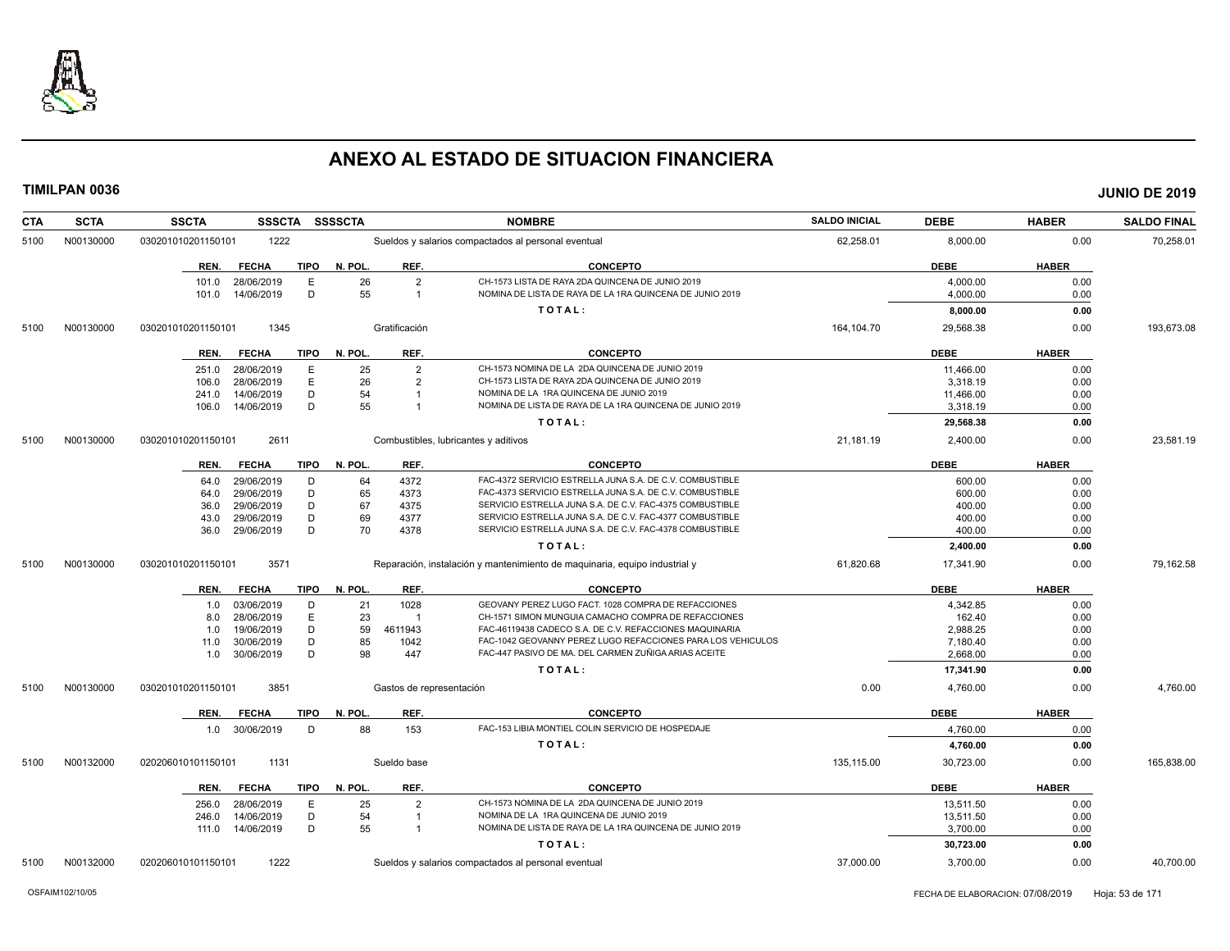

| CTA  | <b>SCTA</b> | <b>SSCTA</b><br>SSSCTA                               | <b>SSSSCTA</b>                               | <b>SALDO INICIAL</b><br><b>NOMBRE</b>                                                                        |            | <b>DEBE</b>          | <b>HABER</b> | <b>SALDO FINAL</b> |
|------|-------------|------------------------------------------------------|----------------------------------------------|--------------------------------------------------------------------------------------------------------------|------------|----------------------|--------------|--------------------|
| 5100 | N00130000   | 1222<br>030201010201150101                           |                                              | Sueldos y salarios compactados al personal eventual                                                          | 62,258.01  | 8,000.00             | 0.00         | 70,258.01          |
|      |             | <b>TIPO</b><br>REN.<br><b>FECHA</b>                  | N. POL.<br>REF.                              | <b>CONCEPTO</b>                                                                                              |            | <b>DEBE</b>          | <b>HABER</b> |                    |
|      |             | 28/06/2019<br>Е<br>101.0<br>D<br>14/06/2019<br>101.0 | 26<br>$\overline{2}$<br>55<br>$\overline{1}$ | CH-1573 LISTA DE RAYA 2DA QUINCENA DE JUNIO 2019<br>NOMINA DE LISTA DE RAYA DE LA 1RA QUINCENA DE JUNIO 2019 |            | 4,000.00<br>4,000.00 | 0.00<br>0.00 |                    |
|      |             |                                                      |                                              | TOTAL:                                                                                                       |            | 8,000.00             | 0.00         |                    |
| 5100 | N00130000   | 1345<br>030201010201150101                           | Gratificación                                |                                                                                                              | 164,104.70 | 29,568.38            | 0.00         | 193,673.08         |
|      |             | <b>FECHA</b><br><b>TIPO</b><br>REN.                  | N. POL<br>REF.                               | <b>CONCEPTO</b>                                                                                              |            | <b>DEBE</b>          | <b>HABER</b> |                    |
|      |             | E<br>28/06/2019<br>251.0                             | $\overline{2}$<br>25                         | CH-1573 NOMINA DE LA 2DA QUINCENA DE JUNIO 2019                                                              |            | 11.466.00            | 0.00         |                    |
|      |             | E<br>28/06/2019<br>106.0                             | 26<br>$\overline{2}$                         | CH-1573 LISTA DE RAYA 2DA QUINCENA DE JUNIO 2019                                                             |            | 3,318.19             | 0.00         |                    |
|      |             | 14/06/2019<br>D<br>241.0                             | 54                                           | NOMINA DE LA 1RA QUINCENA DE JUNIO 2019                                                                      |            | 11,466.00            | 0.00         |                    |
|      |             | D<br>14/06/2019<br>106.0                             | 55<br>$\overline{1}$                         | NOMINA DE LISTA DE RAYA DE LA 1RA QUINCENA DE JUNIO 2019                                                     |            | 3,318.19             | 0.00         |                    |
|      |             |                                                      |                                              | TOTAL:                                                                                                       |            | 29,568.38            | 0.00         |                    |
| 5100 | N00130000   | 2611<br>030201010201150101                           |                                              | Combustibles, lubricantes y aditivos                                                                         | 21,181.19  | 2,400.00             | 0.00         | 23,581.19          |
|      |             | <b>FECHA</b><br>TIPO<br>REN.                         | REF.<br>N. POL.                              | <b>CONCEPTO</b>                                                                                              |            | <b>DEBE</b>          | <b>HABER</b> |                    |
|      |             | 29/06/2019<br>D<br>64.0                              | 4372<br>64                                   | FAC-4372 SERVICIO ESTRELLA JUNA S.A. DE C.V. COMBUSTIBLE                                                     |            | 600.00               | 0.00         |                    |
|      |             | D<br>29/06/2019<br>64.0                              | 65<br>4373                                   | FAC-4373 SERVICIO ESTRELLA JUNA S.A. DE C.V. COMBUSTIBLE                                                     |            | 600.00               | 0.00         |                    |
|      |             | D<br>29/06/2019<br>36.0                              | 67<br>4375                                   | SERVICIO ESTRELLA JUNA S.A. DE C.V. FAC-4375 COMBUSTIBLE                                                     |            | 400.00               | 0.00         |                    |
|      |             | 29/06/2019<br>D<br>43.0                              | 69<br>4377                                   | SERVICIO ESTRELLA JUNA S.A. DE C.V. FAC-4377 COMBUSTIBLE                                                     |            | 400.00               | 0.00         |                    |
|      |             | D<br>29/06/2019<br>36.0                              | 70<br>4378                                   | SERVICIO ESTRELLA JUNA S.A. DE C.V. FAC-4378 COMBUSTIBLE                                                     |            | 400.00               | 0.00         |                    |
|      |             |                                                      |                                              | TOTAL:                                                                                                       |            | 2,400.00             | 0.00         |                    |
| 5100 | N00130000   | 3571<br>030201010201150101                           |                                              | Reparación, instalación y mantenimiento de maquinaria, equipo industrial y                                   | 61,820.68  | 17,341.90            | 0.00         | 79,162.58          |
|      |             | <b>FECHA</b><br>TIPO<br>REN.                         | N. POL.<br>REF.                              | <b>CONCEPTO</b>                                                                                              |            | <b>DEBE</b>          | <b>HABER</b> |                    |
|      |             | 03/06/2019<br>D<br>1.0                               | 1028<br>21                                   | GEOVANY PEREZ LUGO FACT. 1028 COMPRA DE REFACCIONES                                                          |            | 4,342.85             | 0.00         |                    |
|      |             | E<br>28/06/2019<br>8.0                               | 23<br>$\overline{1}$                         | CH-1571 SIMON MUNGUIA CAMACHO COMPRA DE REFACCIONES                                                          |            | 162.40               | 0.00         |                    |
|      |             | D<br>19/06/2019<br>1.0                               | 59<br>4611943                                | FAC-46119438 CADECO S.A. DE C.V. REFACCIONES MAQUINARIA                                                      |            | 2,988.25             | 0.00         |                    |
|      |             | 30/06/2019<br>D<br>11.0                              | 85<br>1042                                   | FAC-1042 GEOVANNY PEREZ LUGO REFACCIONES PARA LOS VEHICULOS                                                  |            | 7.180.40             | 0.00         |                    |
|      |             | D<br>1.0 30/06/2019                                  | 98<br>447                                    | FAC-447 PASIVO DE MA. DEL CARMEN ZUÑIGA ARIAS ACEITE                                                         |            | 2,668.00             | 0.00         |                    |
|      |             |                                                      |                                              | TOTAL:                                                                                                       |            | 17,341.90            | 0.00         |                    |
| 5100 | N00130000   | 030201010201150101<br>3851                           | Gastos de representación                     |                                                                                                              | 0.00       | 4,760.00             | 0.00         | 4,760.00           |
|      |             | <b>TIPO</b><br>REN.<br><b>FECHA</b>                  | N. POL<br>REF.                               | <b>CONCEPTO</b>                                                                                              |            | <b>DEBE</b>          | <b>HABER</b> |                    |
|      |             | 1.0 30/06/2019<br>D                                  | 88<br>153                                    | FAC-153 LIBIA MONTIEL COLIN SERVICIO DE HOSPEDAJE                                                            |            | 4,760.00             | 0.00         |                    |
|      |             |                                                      |                                              | TOTAL:                                                                                                       |            | 4,760.00             | 0.00         |                    |
| 5100 | N00132000   | 1131<br>020206010101150101                           | Sueldo base                                  |                                                                                                              | 135,115.00 | 30,723.00            | 0.00         | 165,838.00         |
|      |             | <b>FECHA</b><br><b>TIPO</b><br>REN.                  | REF.<br>N. POL                               | <b>CONCEPTO</b>                                                                                              |            | <b>DEBE</b>          | <b>HABER</b> |                    |
|      |             | 28/06/2019<br>E<br>256.0                             | 25<br>$\overline{2}$                         | CH-1573 NOMINA DE LA 2DA QUINCENA DE JUNIO 2019                                                              |            | 13,511.50            | 0.00         |                    |
|      |             | 14/06/2019<br>D<br>246.0                             | 54                                           | NOMINA DE LA 1RA QUINCENA DE JUNIO 2019                                                                      |            | 13,511.50            | 0.00         |                    |
|      |             | 111.0  14/06/2019<br>D                               | 55<br>$\overline{1}$                         | NOMINA DE LISTA DE RAYA DE LA 1RA QUINCENA DE JUNIO 2019                                                     |            | 3,700.00             | 0.00         |                    |
|      |             |                                                      |                                              | TOTAL:                                                                                                       |            | 30,723.00            | 0.00         |                    |
| 5100 | N00132000   | 1222<br>020206010101150101                           |                                              | Sueldos y salarios compactados al personal eventual                                                          | 37,000.00  | 3,700.00             | 0.00         | 40,700.00          |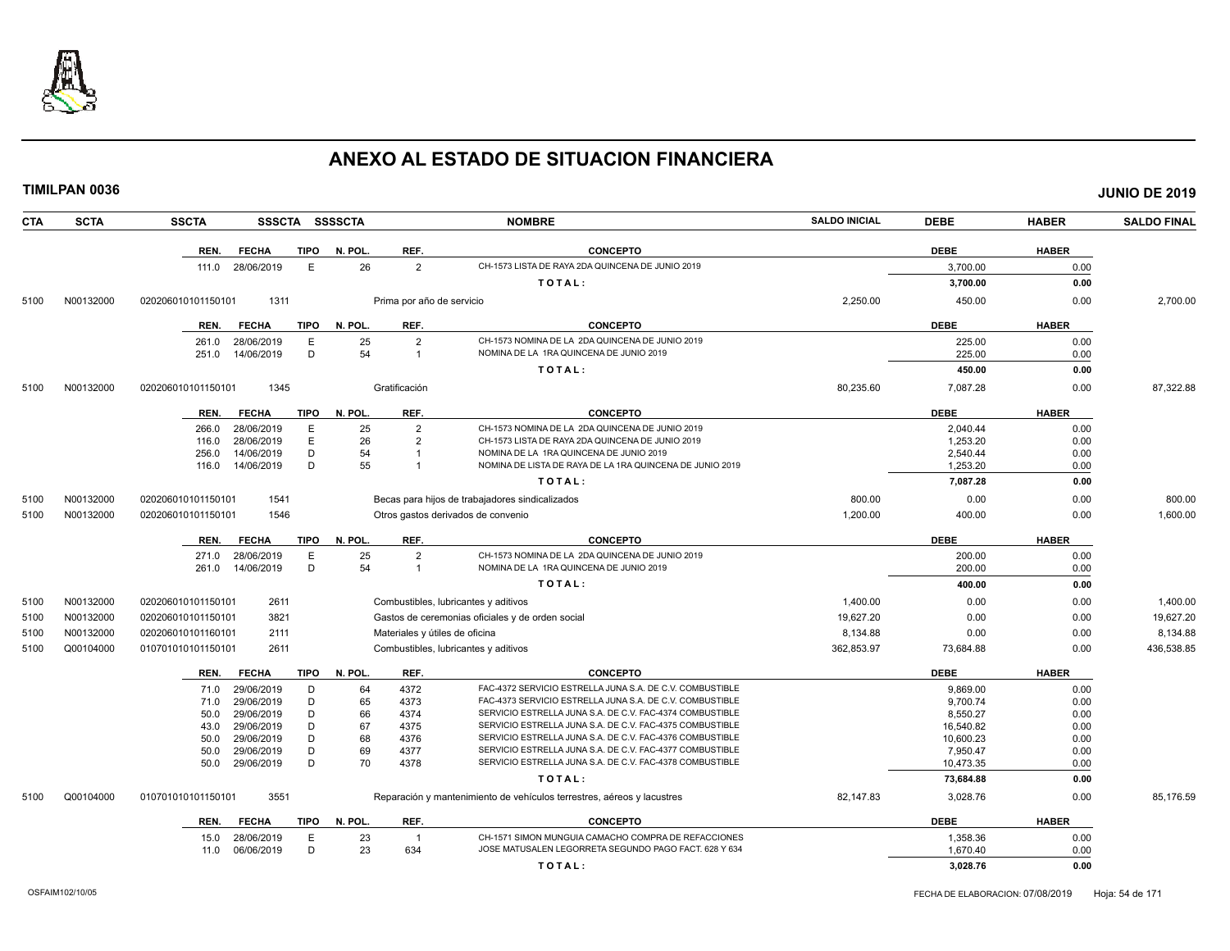

**TIMILPAN 0036 JUNIO DE 2019**

**CTA SCTA SSCTA SSSCTA SSSSCTA NOMBRE SALDO INICIAL DEBE HABER SALDO FINAL REN. FECHA TIPO N. POL. REF. CONCEPTO DEBE HABER** 111.0 28/06/2019 E 26 2 CH-1573 LISTA DE RAYA 2DA QUINCENA DE JUNIO 2019 3,700.00 0.00 **T O T A L : 3,700.00 0.00** 5100 N00132000 020206010101150101 1311 Prima por año de servicio 2,250.00 450.00 0.00 2,700.00 **REN. FECHA TIPO N. POL. REF. CONCEPTO DEBE HABER** 261.0 28/06/2019 E 25 2 CH-1573 NOMINA DE LA 2DA QUINCENA DE JUNIO 2019<br>251.0 14/06/2019 D 54 1 NOMINA DE LA 1RA QUINCENA DE JUNIO 2019 2019 225.00 225.00 0.00 251.0 14/06/2019 D 54 1 NOMINA DE LA 1RA QUINCENA DE JUNIO 2019 225.00 0.00 **T O T A L : 450.00 0.00** 5100 N00132000 020206010101150101 1345 Gratificación 80,235.60 7,087.28 0.00 87,322.88 **REN. FECHA TIPO N. POL. REF. CONCEPTO DEBE HABER** 266.0 28/06/2019 E 25 2 CH-1573 NOMINA DE LA 2DA QUINCENA DE JUNIO 2019 2,040.44 0.00 116.0 28/06/2019 E 26 2 CH-1573 LISTA DE RAYA 2DA QUINCENA DE JUNIO 2019 1,253.20 0.00 256.0 14/06/2019 D 54 1 NOMINA DE LA 1RA QUINCENA DE JUNIO 2019<br>116.0 14/06/2019 D 55 1 NOMINA DE LISTA DE RAYA DE LA 1RA QUINCENA DE JUNIO 2019 1 1253.20 1.253.20 0.00 116.0 14/06/2019 D 55 1 NOMINA DE LISTA DE RAYA DE LA 1RA QUINCENA DE JUNIO 2019 1,253.20 1,253.20 0.00 **T O T A L : 7,087.28 0.00** 5100 N00132000 020206010101150101 1541 Becas para hijos de trabajadores sindicalizados 800.00 0.00 0.00 800.00 5100 N00132000 020206010101150101 1546 Otros gastos derivados de convenio 1,200.00 400.00 0.00 1,600.00 **REN. FECHA TIPO N. POL. REF. CONCEPTO DEBE HABER** 271.0 28/06/2019 E 25 2 CH-1573 NOMINA DE LA 2DA QUINCENA DE JUNIO 2019<br>261.0 14/06/2019 D 54 1 NOMINA DE LA 1RA QUINCENA DE JUNIO 2019 2019 2010 2019 200.00 0.00 261.0 14/06/2019 D 54 1 NOMINA DE LA 1RA QUINCENA DE JUNIO 2019 200.00 0.00 **T O T A L : 400.00 0.00** 5100 N00132000 020206010101150101 2611 Combustibles, lubricantes y aditivos 1,400.00 0.00 0.00 1,400.00 5100 N00132000 020206010101150101 3821 Gastos de ceremonias oficiales y de orden social 19,627.20 0.00 0.00 19,627.20 5100 N00132000 020206010101160101 2111 Materiales y útiles de oficina 8,134.88 0.00 8,134.88 5100 Q00104000 010701010101150101 2611 Combustibles, lubricantes y aditivos 362,853.97 73,684.88 0.00 436,538.85 **REN. FECHA TIPO N. POL. REF. CONCEPTO DEBE HABER** 71.0 29/06/2019 D 64 4372 FAC-4372 SERVICIO ESTRELLA JUNA S.A. DE C.V. COMBUSTIBLE 9,869.00 9,869.00 0.00 71.0 29/06/2019 D 65 4373 FAC-4373 SERVICIO ESTRELLA JUNA S.A. DE C.V. COMBUSTIBLE 9,700.74 0.00 50.0 29/06/2019 D 66 4374 SERVICIO ESTRELLA JUNA S.A. DE C.V. FAC-4374 COMBUSTIBLE 8,550.27 8,550.27 0.00 43.0 29/06/2019 D 67 4375 SERVICIO ESTRELLA JUNA S.A. DE C.V. FAC-4375 COMBUSTIBLE 16,540.82 0.00 50.0 29/06/2019 D 68 4376 SERVICIO ESTRELLA JUNA S.A. DE C.V. FAC-4376 COMBUSTIBLE 10,600.23 0.00 50.0 29/06/2019 D 69 4377 SERVICIO ESTRELLA JUNA S.A. DE C.V. FAC-4377 COMBUSTIBLE 7,950.47 0.00 50.0 29/06/2019 D 70 4378 SERVICIO ESTRELLA JUNA S.A. DE C.V. FAC-4378 COMBUSTIBLE 10,473.35 0.00 **T O T A L : 73,684.88 0.00** 5100 Q00104000 010701010101150101 3551 Reparación y mantenimiento de vehículos terrestres, aéreos y lacustres 82,147.83 3,028.76 0.00 85,176.59

| REN. | <b>FECHA</b> | <b>TIPO</b> | N. POL. | <b>REF</b> | <b>CONCEPTO</b>                                     | <b>DEBE</b> | <b>HABER</b>     |
|------|--------------|-------------|---------|------------|-----------------------------------------------------|-------------|------------------|
| 15.0 | 28/06/2019   |             | دے      |            | 1571 SIMON MUNGUIA CAMACHO COMPRA DE REFACCIONES    | ,358.36     | 0.0C             |
|      | 06/06/2019   |             | つつ      | 634        | E MATUSALEN LEGORRETA SEGUNDO PAGO FACT. 628 Y 634- | .670.40     | 0.0 <sup>6</sup> |
|      |              |             |         |            | TOTAL                                               | 3.028.76    | 0.00             |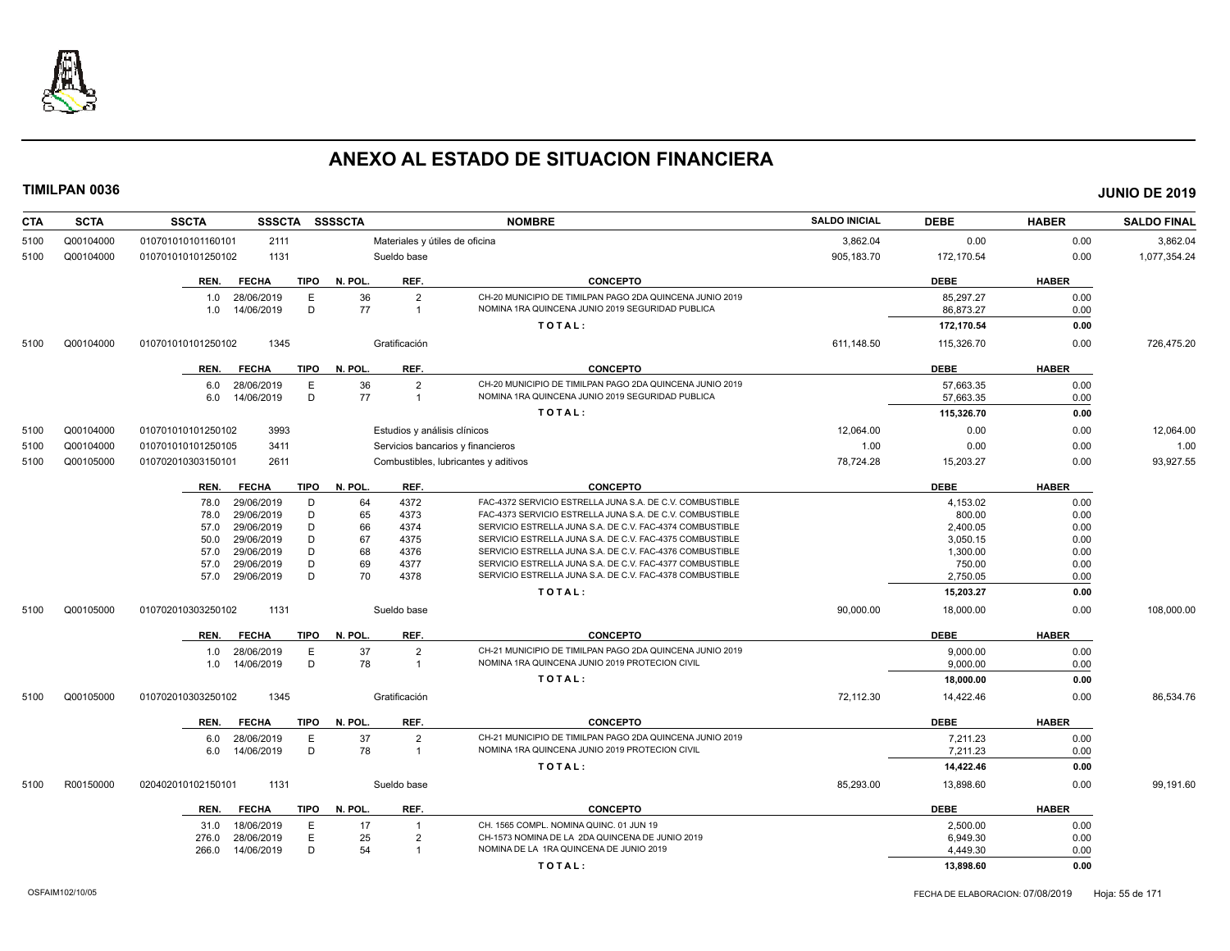

| <b>CTA</b> | <b>SCTA</b> | <b>SSCTA</b>         | <b>SSSCTA</b> | <b>SSSSCTA</b> |                              | <b>NOMBRE</b>                                            | <b>SALDO INICIAL</b> | <b>DEBE</b> | <b>HABER</b> | <b>SALDO FINAL</b> |
|------------|-------------|----------------------|---------------|----------------|------------------------------|----------------------------------------------------------|----------------------|-------------|--------------|--------------------|
| 5100       | Q00104000   | 010701010101160101   | 2111          |                |                              | Materiales y útiles de oficina                           | 3,862.04             | 0.00        | 0.00         | 3,862.04           |
| 5100       | Q00104000   | 010701010101250102   | 1131          |                | Sueldo base                  |                                                          | 905,183.70           | 172,170.54  | 0.00         | 1,077,354.24       |
|            |             | REN.<br><b>FECHA</b> | <b>TIPO</b>   | N. POL.        | REF.                         | <b>CONCEPTO</b>                                          |                      | <b>DEBE</b> | <b>HABER</b> |                    |
|            |             | 28/06/2019<br>1.0    | E             | 36             | $\overline{2}$               | CH-20 MUNICIPIO DE TIMILPAN PAGO 2DA QUINCENA JUNIO 2019 |                      | 85,297.27   | 0.00         |                    |
|            |             | 14/06/2019<br>1.0    | D             | 77             | $\overline{1}$               | NOMINA 1RA QUINCENA JUNIO 2019 SEGURIDAD PUBLICA         |                      | 86,873.27   | 0.00         |                    |
|            |             |                      |               |                |                              | TOTAL:                                                   |                      | 172,170.54  | 0.00         |                    |
|            |             |                      | 1345          |                | Gratificación                |                                                          |                      |             | 0.00         | 726,475.20         |
| 5100       | Q00104000   | 010701010101250102   |               |                |                              |                                                          | 611,148.50           | 115,326.70  |              |                    |
|            |             | REN.<br><b>FECHA</b> | <b>TIPO</b>   | N. POL         | REF.                         | <b>CONCEPTO</b>                                          |                      | <b>DEBE</b> | <b>HABER</b> |                    |
|            |             | 28/06/2019<br>6.0    | E             | 36             | $\overline{2}$               | CH-20 MUNICIPIO DE TIMILPAN PAGO 2DA QUINCENA JUNIO 2019 |                      | 57,663.35   | 0.00         |                    |
|            |             | 14/06/2019<br>6.0    | D             | 77             | $\overline{1}$               | NOMINA 1RA QUINCENA JUNIO 2019 SEGURIDAD PUBLICA         |                      | 57,663.35   | 0.00         |                    |
|            |             |                      |               |                |                              | TOTAL:                                                   |                      | 115,326.70  | 0.00         |                    |
| 5100       | Q00104000   | 010701010101250102   | 3993          |                | Estudios y análisis clínicos |                                                          | 12,064.00            | 0.00        | 0.00         | 12,064.00          |
| 5100       | Q00104000   | 010701010101250105   | 3411          |                |                              | Servicios bancarios y financieros                        | 1.00                 | 0.00        | 0.00         | 1.00               |
| 5100       | Q00105000   | 010702010303150101   | 2611          |                |                              | Combustibles, lubricantes y aditivos                     | 78,724.28            | 15,203.27   | 0.00         | 93,927.55          |
|            |             | REN.<br><b>FECHA</b> | <b>TIPO</b>   | N. POL.        | REF.                         | <b>CONCEPTO</b>                                          |                      | <b>DEBE</b> | <b>HABER</b> |                    |
|            |             | 29/06/2019<br>78.0   | D             | 64             | 4372                         | FAC-4372 SERVICIO ESTRELLA JUNA S.A. DE C.V. COMBUSTIBLE |                      | 4,153.02    | 0.00         |                    |
|            |             | 29/06/2019<br>78.0   | D             | 65             | 4373                         | FAC-4373 SERVICIO ESTRELLA JUNA S.A. DE C.V. COMBUSTIBLE |                      | 800.00      | 0.00         |                    |
|            |             | 29/06/2019<br>57.0   | D             | 66             | 4374                         | SERVICIO ESTRELLA JUNA S.A. DE C.V. FAC-4374 COMBUSTIBLE |                      | 2,400.05    | 0.00         |                    |
|            |             | 29/06/2019<br>50.0   | D             | 67             | 4375                         | SERVICIO ESTRELLA JUNA S.A. DE C.V. FAC-4375 COMBUSTIBLE |                      | 3,050.15    | 0.00         |                    |
|            |             | 29/06/2019<br>57.0   | D             | 68             | 4376                         | SERVICIO ESTRELLA JUNA S.A. DE C.V. FAC-4376 COMBUSTIBLE |                      | 1,300.00    | 0.00         |                    |
|            |             | 57.0<br>29/06/2019   | D             | 69             | 4377                         | SERVICIO ESTRELLA JUNA S.A. DE C.V. FAC-4377 COMBUSTIBLE |                      | 750.00      | 0.00         |                    |
|            |             | 29/06/2019<br>57.0   | D             | 70             | 4378                         | SERVICIO ESTRELLA JUNA S.A. DE C.V. FAC-4378 COMBUSTIBLE |                      | 2,750.05    | 0.00         |                    |
|            |             |                      |               |                |                              | TOTAL:                                                   |                      | 15,203.27   | 0.00         |                    |
| 5100       | Q00105000   | 010702010303250102   | 1131          |                | Sueldo base                  |                                                          | 90,000.00            | 18,000.00   | 0.00         | 108,000.00         |
|            |             | REN.<br><b>FECHA</b> | <b>TIPO</b>   | N. POL         | REF.                         | <b>CONCEPTO</b>                                          |                      | <b>DEBE</b> | <b>HABER</b> |                    |
|            |             | 28/06/2019<br>1.0    | E             | 37             | $\overline{2}$               | CH-21 MUNICIPIO DE TIMILPAN PAGO 2DA QUINCENA JUNIO 2019 |                      | 9.000.00    | 0.00         |                    |
|            |             | 14/06/2019<br>1.0    | D             | 78             | $\overline{1}$               | NOMINA 1RA QUINCENA JUNIO 2019 PROTECION CIVIL           |                      | 9.000.00    | 0.00         |                    |
|            |             |                      |               |                |                              | TOTAL:                                                   |                      | 18,000.00   | 0.00         |                    |
| 5100       | Q00105000   | 010702010303250102   | 1345          |                | Gratificación                |                                                          | 72,112.30            | 14,422.46   | 0.00         | 86,534.76          |
|            |             | <b>FECHA</b><br>REN. | <b>TIPO</b>   | N. POL         | REF.                         | <b>CONCEPTO</b>                                          |                      | <b>DEBE</b> | <b>HABER</b> |                    |
|            |             | 28/06/2019<br>6.0    | E             | 37             | $\overline{2}$               | CH-21 MUNICIPIO DE TIMILPAN PAGO 2DA QUINCENA JUNIO 2019 |                      | 7.211.23    | 0.00         |                    |
|            |             | 14/06/2019<br>6.0    | D             | 78             | $\overline{1}$               | NOMINA 1RA QUINCENA JUNIO 2019 PROTECION CIVIL           |                      | 7,211.23    | 0.00         |                    |
|            |             |                      |               |                |                              | TOTAL:                                                   |                      | 14,422.46   | 0.00         |                    |
| 5100       | R00150000   | 020402010102150101   | 1131          |                | Sueldo base                  |                                                          | 85,293.00            | 13,898.60   | 0.00         | 99,191.60          |
|            |             | REN.<br><b>FECHA</b> | <b>TIPO</b>   | N. POL.        | REF.                         | <b>CONCEPTO</b>                                          |                      | <b>DEBE</b> | <b>HABER</b> |                    |
|            |             | 18/06/2019<br>31.0   | E             | 17             | $\overline{1}$               | CH. 1565 COMPL. NOMINA QUINC. 01 JUN 19                  |                      | 2,500.00    | 0.00         |                    |
|            |             | 28/06/2019<br>276.0  | E             | 25             | $\overline{2}$               | CH-1573 NOMINA DE LA 2DA QUINCENA DE JUNIO 2019          |                      | 6.949.30    | 0.00         |                    |
|            |             | 266.0<br>14/06/2019  | D             | 54             | $\overline{1}$               | NOMINA DE LA 1RA QUINCENA DE JUNIO 2019                  |                      | 4,449.30    | 0.00         |                    |
|            |             |                      |               |                |                              | TOTAL:                                                   |                      | 13,898.60   | 0.00         |                    |
|            |             |                      |               |                |                              |                                                          |                      |             |              |                    |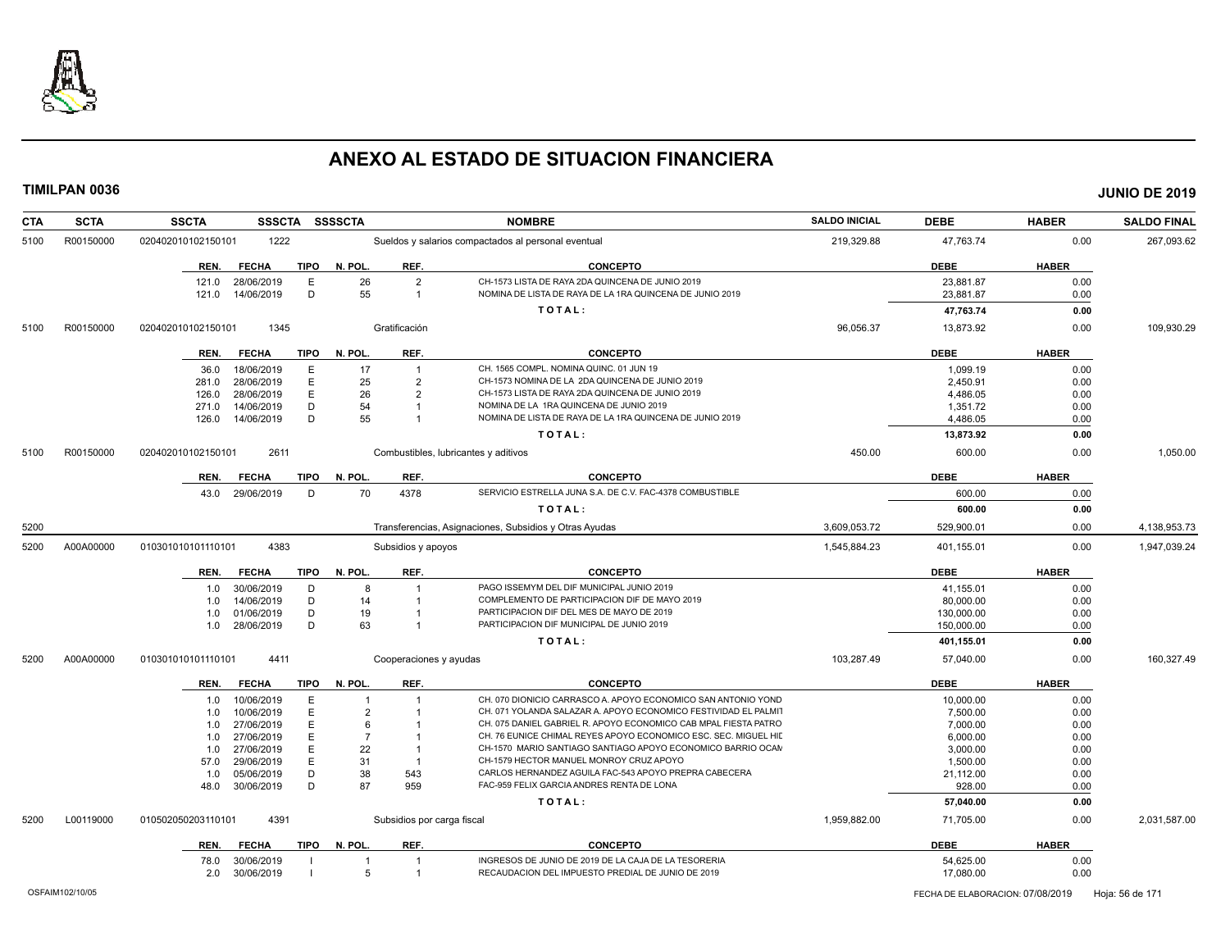

| <b>CTA</b> | <b>SCTA</b> | <b>SSCTA</b>         | <b>SSSCTA</b> | <b>SSSSCTA</b> |                            | <b>NOMBRE</b>                                                   | <b>SALDO INICIAL</b> | <b>DEBE</b> | <b>HABER</b> | <b>SALDO FINAL</b> |
|------------|-------------|----------------------|---------------|----------------|----------------------------|-----------------------------------------------------------------|----------------------|-------------|--------------|--------------------|
| 5100       | R00150000   | 020402010102150101   | 1222          |                |                            | Sueldos y salarios compactados al personal eventual             | 219,329.88           | 47,763.74   | 0.00         | 267,093.62         |
|            |             | REN.<br><b>FECHA</b> | <b>TIPO</b>   | N. POL         | REF.                       | <b>CONCEPTO</b>                                                 |                      | <b>DEBE</b> | <b>HABER</b> |                    |
|            |             | 28/06/2019<br>121.0  | E             | 26             | $\overline{2}$             | CH-1573 LISTA DE RAYA 2DA QUINCENA DE JUNIO 2019                |                      | 23,881.87   | 0.00         |                    |
|            |             | 14/06/2019<br>121.0  | D             | 55             | $\overline{1}$             | NOMINA DE LISTA DE RAYA DE LA 1RA QUINCENA DE JUNIO 2019        |                      | 23,881.87   | 0.00         |                    |
|            |             |                      |               |                |                            | TOTAL:                                                          |                      | 47,763.74   | 0.00         |                    |
| 5100       | R00150000   | 020402010102150101   | 1345          |                | Gratificación              |                                                                 | 96,056.37            | 13,873.92   | 0.00         | 109,930.29         |
|            |             | <b>FECHA</b><br>REN. | TIPO          | N. POL.        | REF.                       | <b>CONCEPTO</b>                                                 |                      | <b>DEBE</b> | <b>HABER</b> |                    |
|            |             | 18/06/2019<br>36.0   | E             | 17             | $\overline{1}$             | CH. 1565 COMPL. NOMINA QUINC, 01 JUN 19                         |                      | 1,099.19    | 0.00         |                    |
|            |             | 28/06/2019<br>281.0  | E             | 25             | $\overline{2}$             | CH-1573 NOMINA DE LA 2DA QUINCENA DE JUNIO 2019                 |                      | 2.450.91    | 0.00         |                    |
|            |             | 28/06/2019<br>126.0  | E             | 26             | $\overline{2}$             | CH-1573 LISTA DE RAYA 2DA QUINCENA DE JUNIO 2019                |                      | 4,486.05    | 0.00         |                    |
|            |             | 14/06/2019<br>271.0  | D             | 54             | $\overline{1}$             | NOMINA DE LA 1RA QUINCENA DE JUNIO 2019                         |                      | 1,351.72    | 0.00         |                    |
|            |             | 14/06/2019<br>126.0  | D             | 55             | $\overline{1}$             | NOMINA DE LISTA DE RAYA DE LA 1RA QUINCENA DE JUNIO 2019        |                      | 4,486.05    | 0.00         |                    |
|            |             |                      |               |                |                            | TOTAL:                                                          |                      | 13,873.92   | 0.00         |                    |
| 5100       | R00150000   | 020402010102150101   | 2611          |                |                            | Combustibles, lubricantes y aditivos                            | 450.00               | 600.00      | 0.00         | 1,050.00           |
|            |             | REN.<br><b>FECHA</b> | <b>TIPO</b>   | N. POL.        | REF.                       | <b>CONCEPTO</b>                                                 |                      | <b>DEBE</b> | <b>HABER</b> |                    |
|            |             | 29/06/2019<br>43.0   | D             | 70             | 4378                       | SERVICIO ESTRELLA JUNA S.A. DE C.V. FAC-4378 COMBUSTIBLE        |                      | 600.00      | 0.00         |                    |
|            |             |                      |               |                |                            | TOTAL:                                                          |                      | 600.00      | 0.00         |                    |
| 5200       |             |                      |               |                |                            | Transferencias, Asignaciones, Subsidios y Otras Ayudas          | 3,609,053.72         | 529,900.01  | 0.00         | 4,138,953.73       |
| 5200       | A00A00000   | 010301010101110101   | 4383          |                | Subsidios y apoyos         |                                                                 | 1,545,884.23         | 401,155.01  | 0.00         | 1,947,039.24       |
|            |             | <b>FECHA</b><br>REN. | <b>TIPO</b>   | N. POL.        | REF.                       | <b>CONCEPTO</b>                                                 |                      | <b>DEBE</b> | <b>HABER</b> |                    |
|            |             | 30/06/2019<br>1.0    | D             | 8              | $\overline{1}$             | PAGO ISSEMYM DEL DIF MUNICIPAL JUNIO 2019                       |                      | 41,155.01   | 0.00         |                    |
|            |             | 14/06/2019<br>1.0    | D             | 14             | $\overline{1}$             | COMPLEMENTO DE PARTICIPACION DIF DE MAYO 2019                   |                      | 80,000.00   | 0.00         |                    |
|            |             | 01/06/2019<br>1.0    | D             | 19             | -1                         | PARTICIPACION DIF DEL MES DE MAYO DE 2019                       |                      | 130,000.00  | 0.00         |                    |
|            |             | 1.0<br>28/06/2019    | D             | 63             | $\overline{1}$             | PARTICIPACION DIF MUNICIPAL DE JUNIO 2019                       |                      | 150,000.00  | 0.00         |                    |
|            |             |                      |               |                |                            | TOTAL:                                                          |                      | 401,155.01  | 0.00         |                    |
| 5200       | A00A00000   | 010301010101110101   | 4411          |                | Cooperaciones y ayudas     |                                                                 | 103,287.49           | 57,040.00   | 0.00         | 160,327.49         |
|            |             | <b>FECHA</b><br>REN. | <b>TIPO</b>   | N. POL.        | REF.                       | <b>CONCEPTO</b>                                                 |                      | <b>DEBE</b> | <b>HABER</b> |                    |
|            |             | 10/06/2019<br>1.0    | E             |                | -1                         | CH. 070 DIONICIO CARRASCO A. APOYO ECONOMICO SAN ANTONIO YOND   |                      | 10,000.00   | 0.00         |                    |
|            |             | 10/06/2019<br>1.0    | E             | $\overline{2}$ |                            | CH. 071 YOLANDA SALAZAR A. APOYO ECONOMICO FESTIVIDAD EL PALMIT |                      | 7,500.00    | 0.00         |                    |
|            |             | 27/06/2019<br>1.0    | E             | 6              |                            | CH. 075 DANIEL GABRIEL R. APOYO ECONOMICO CAB MPAL FIESTA PATRO |                      | 7,000.00    | 0.00         |                    |
|            |             | 27/06/2019<br>1.0    | Е             | $\overline{7}$ |                            | CH. 76 EUNICE CHIMAL REYES APOYO ECONOMICO ESC. SEC. MIGUEL HID |                      | 6.000.00    | 0.00         |                    |
|            |             | 27/06/2019<br>1.0    | E             | 22             | $\overline{1}$             | CH-1570 MARIO SANTIAGO SANTIAGO APOYO ECONOMICO BARRIO OCAN     |                      | 3,000.00    | 0.00         |                    |
|            |             | 29/06/2019<br>57.0   | E             | 31             | $\overline{1}$             | CH-1579 HECTOR MANUEL MONROY CRUZ APOYO                         |                      | 1,500.00    | 0.00         |                    |
|            |             | 1.0<br>05/06/2019    | D             | 38             | 543                        | CARLOS HERNANDEZ AGUILA FAC-543 APOYO PREPRA CABECERA           |                      | 21,112.00   | 0.00         |                    |
|            |             | 48.0<br>30/06/2019   | D             | 87             | 959                        | FAC-959 FELIX GARCIA ANDRES RENTA DE LONA                       |                      | 928.00      | 0.00         |                    |
|            |             |                      |               |                |                            | TOTAL:                                                          |                      | 57,040.00   | 0.00         |                    |
| 5200       | L00119000   | 010502050203110101   | 4391          |                | Subsidios por carga fiscal |                                                                 | 1.959.882.00         | 71,705.00   | 0.00         | 2,031,587.00       |
|            |             | <b>FECHA</b><br>REN. | TIPO          | N. POL.        | REF.                       | <b>CONCEPTO</b>                                                 |                      | <b>DEBE</b> | <b>HABER</b> |                    |
|            |             | 30/06/2019<br>78.0   |               |                |                            | INGRESOS DE JUNIO DE 2019 DE LA CAJA DE LA TESORERIA            |                      | 54,625.00   | 0.00         |                    |
|            |             | 30/06/2019<br>2.0    |               | -5             | $\overline{1}$             | RECAUDACION DEL IMPUESTO PREDIAL DE JUNIO DE 2019               |                      | 17,080.00   | 0.00         |                    |
|            |             |                      |               |                |                            |                                                                 |                      |             |              |                    |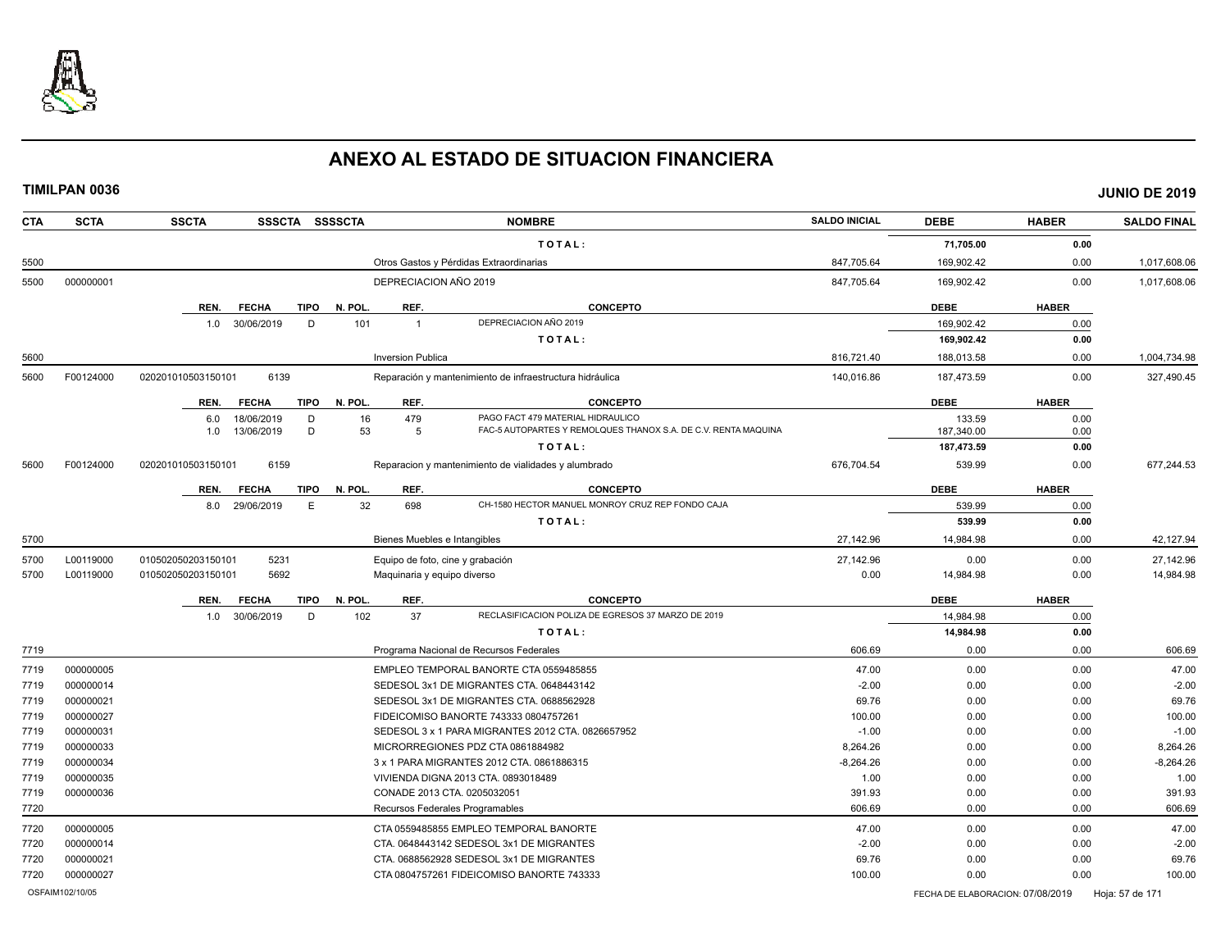

| <b>SALDO FINAL</b> | <b>HABER</b> | <b>DEBE</b>                      | <b>SALDO INICIAL</b> | <b>NOMBRE</b>                                                       | <b>SSCTA</b><br>SSSCTA SSSSCTA                 | <b>SCTA</b> | <b>CTA</b>      |
|--------------------|--------------|----------------------------------|----------------------|---------------------------------------------------------------------|------------------------------------------------|-------------|-----------------|
|                    | 0.00         | 71,705.00                        |                      | TOTAL:                                                              |                                                |             |                 |
| 1,017,608.06       | 0.00         | 169,902.42                       | 847,705.64           | Otros Gastos y Pérdidas Extraordinarias                             |                                                |             | 5500            |
| 1,017,608.06       | 0.00         | 169,902.42                       | 847,705.64           | DEPRECIACION AÑO 2019                                               |                                                | 000000001   | 5500            |
|                    | <b>HABER</b> | <b>DEBE</b>                      |                      | REF.<br><b>CONCEPTO</b>                                             | REN.<br><b>TIPO</b><br>N. POL<br><b>FECHA</b>  |             |                 |
|                    | 0.00         | 169.902.42                       |                      | DEPRECIACION AÑO 2019<br>$\overline{1}$                             | 30/06/2019<br>D<br>101<br>1.0                  |             |                 |
|                    | 0.00         | 169,902.42                       |                      | TOTAL:                                                              |                                                |             |                 |
| 1,004,734.98       | 0.00         | 188,013.58                       | 816,721.40           | <b>Inversion Publica</b>                                            |                                                |             | 5600            |
| 327,490.45         | 0.00         | 187,473.59                       | 140,016.86           | Reparación y mantenimiento de infraestructura hidráulica            | 020201010503150101<br>6139                     | F00124000   | 5600            |
|                    | <b>HABER</b> | <b>DEBE</b>                      |                      | REF.<br><b>CONCEPTO</b>                                             | <b>TIPO</b><br>N. POL.<br>REN.<br><b>FECHA</b> |             |                 |
|                    | 0.00         | 133.59                           |                      | PAGO FACT 479 MATERIAL HIDRAULICO<br>479                            | 18/06/2019<br>D<br>6.0                         |             |                 |
|                    | 0.00         | 187,340.00                       |                      | FAC-5 AUTOPARTES Y REMOLQUES THANOX S.A. DE C.V. RENTA MAQUINA<br>5 | 13/06/2019<br>D<br>1.0                         |             |                 |
|                    | 0.00         | 187,473.59                       |                      | TOTAL:                                                              |                                                |             |                 |
| 677.244.53         | 0.00         | 539.99                           | 676,704.54           | Reparacion y mantenimiento de vialidades y alumbrado                | 6159<br>020201010503150101                     | F00124000   | 5600            |
|                    | <b>HABER</b> | <b>DEBE</b>                      |                      | REF.<br><b>CONCEPTO</b>                                             | <b>FECHA</b><br><b>TIPO</b><br>N. POL.<br>REN. |             |                 |
|                    | 0.00         | 539.99                           |                      | 698<br>CH-1580 HECTOR MANUEL MONROY CRUZ REP FONDO CAJA             | E<br>8.0<br>29/06/2019                         |             |                 |
|                    | 0.00         | 539.99                           |                      | TOTAL:                                                              |                                                |             |                 |
| 42,127.94          | 0.00         | 14,984.98                        | 27,142.96            | Bienes Muebles e Intangibles                                        |                                                |             | 5700            |
| 27.142.96          | 0.00         | 0.00                             | 27.142.96            | Equipo de foto, cine y grabación                                    | 5231<br>010502050203150101                     | L00119000   | 5700            |
| 14,984.98          | 0.00         | 14,984.98                        | 0.00                 | Maquinaria y equipo diverso                                         | 5692<br>010502050203150101                     | L00119000   | 5700            |
|                    | <b>HABER</b> | <b>DEBE</b>                      |                      | REF.<br><b>CONCEPTO</b>                                             | N. POL<br>REN.<br><b>FECHA</b><br>TIPO         |             |                 |
|                    | 0.00         | 14,984.98                        |                      | RECLASIFICACION POLIZA DE EGRESOS 37 MARZO DE 2019<br>37            | 30/06/2019<br>D<br>102<br>1.0                  |             |                 |
|                    | 0.00         | 14,984.98                        |                      | TOTAL:                                                              |                                                |             |                 |
| 606.69             | 0.00         | 0.00                             | 606.69               | Programa Nacional de Recursos Federales                             |                                                |             | 7719            |
| 47.00              | 0.00         | 0.00                             | 47.00                | EMPLEO TEMPORAL BANORTE CTA 0559485855                              |                                                | 000000005   | 7719            |
|                    | 0.00         | 0.00                             | $-2.00$              | SEDESOL 3x1 DE MIGRANTES CTA. 0648443142                            |                                                | 000000014   | 7719            |
|                    | 0.00         | 0.00                             | 69.76                | SEDESOL 3x1 DE MIGRANTES CTA. 0688562928                            |                                                | 000000021   | 7719            |
| 100.00             | 0.00         | 0.00                             | 100.00               | FIDEICOMISO BANORTE 743333 0804757261                               |                                                | 000000027   | 7719            |
|                    | 0.00         | 0.00                             | $-1.00$              | SEDESOL 3 x 1 PARA MIGRANTES 2012 CTA. 0826657952                   |                                                | 000000031   | 7719            |
| 8,264.26           | 0.00         | 0.00                             | 8.264.26             | MICRORREGIONES PDZ CTA 0861884982                                   |                                                | 000000033   | 7719            |
| $-8,264.26$        | 0.00         | 0.00                             | $-8,264.26$          | 3 x 1 PARA MIGRANTES 2012 CTA. 0861886315                           |                                                | 000000034   | 7719            |
|                    | 0.00         | 0.00                             | 1.00                 | VIVIENDA DIGNA 2013 CTA. 0893018489                                 |                                                | 000000035   | 7719            |
| 391.93             | 0.00         | 0.00                             | 391.93               | CONADE 2013 CTA. 0205032051                                         |                                                | 000000036   | 7719            |
| 606.69             | 0.00         | 0.00                             | 606.69               | Recursos Federales Programables                                     |                                                |             | 7720            |
| 47.00              | 0.00         | 0.00                             | 47.00                | CTA 0559485855 EMPLEO TEMPORAL BANORTE                              |                                                | 000000005   | 7720            |
|                    | 0.00         | 0.00                             | $-2.00$              | CTA. 0648443142 SEDESOL 3x1 DE MIGRANTES                            |                                                | 000000014   | 7720            |
|                    | 0.00         | 0.00                             | 69.76                | CTA. 0688562928 SEDESOL 3x1 DE MIGRANTES                            |                                                | 000000021   | 7720            |
| 100.00             | 0.00         | 0.00                             | 100.00               | CTA 0804757261 FIDEICOMISO BANORTE 743333                           |                                                | 000000027   | 7720            |
| Hoja: 57 de 171    |              | FECHA DE ELABORACION: 07/08/2019 |                      |                                                                     |                                                |             | OSFAIM102/10/05 |
|                    |              |                                  |                      |                                                                     |                                                |             |                 |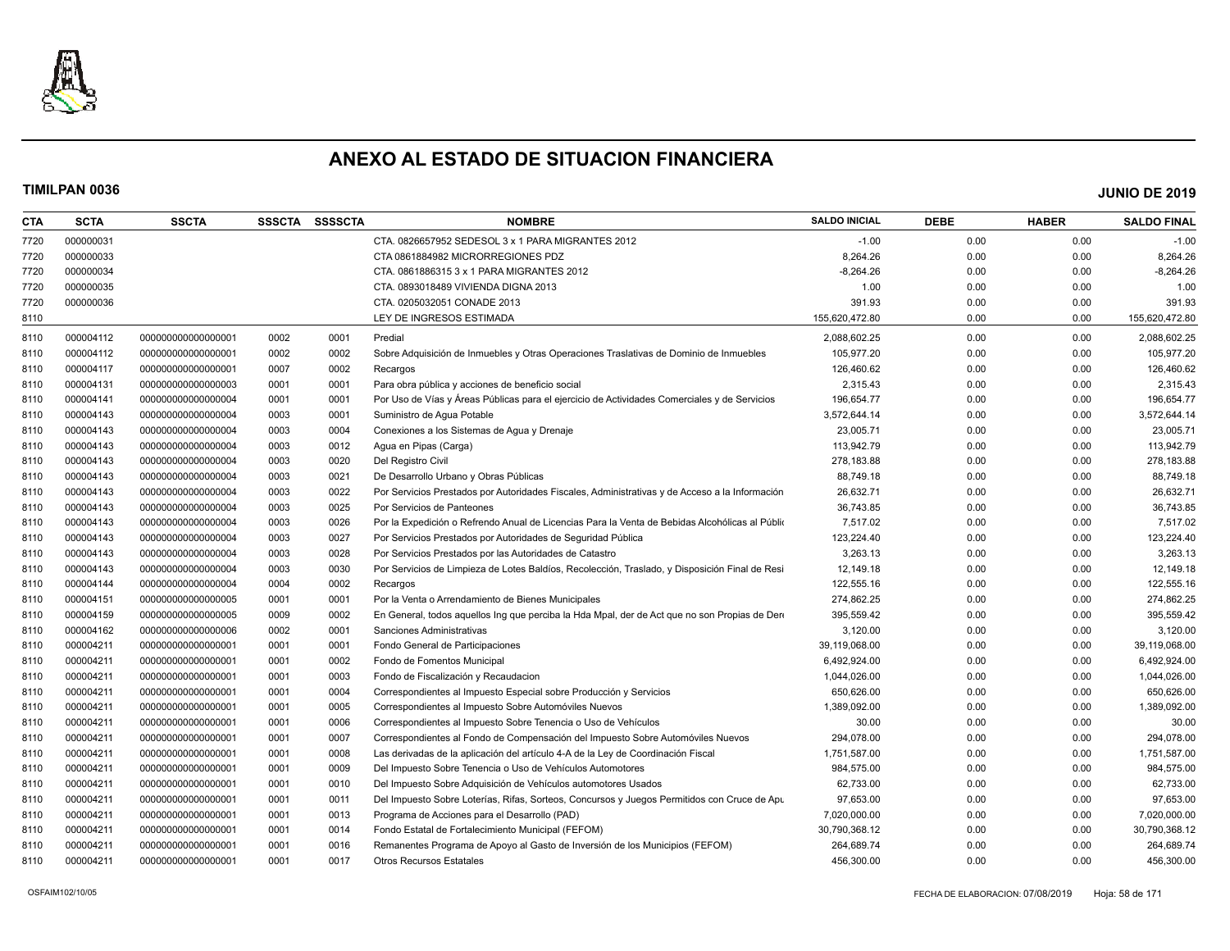

| <b>CTA</b> | <b>SCTA</b> | <b>SSCTA</b>       |      | SSSCTA SSSSCTA | <b>NOMBRE</b>                                                                                  | <b>SALDO INICIAL</b> | <b>DEBE</b> | <b>HABER</b> | <b>SALDO FINAL</b> |
|------------|-------------|--------------------|------|----------------|------------------------------------------------------------------------------------------------|----------------------|-------------|--------------|--------------------|
| 7720       | 000000031   |                    |      |                | CTA. 0826657952 SEDESOL 3 x 1 PARA MIGRANTES 2012                                              | $-1.00$              | 0.00        | 0.00         | $-1.00$            |
| 7720       | 000000033   |                    |      |                | CTA 0861884982 MICRORREGIONES PDZ                                                              | 8,264.26             | 0.00        | 0.00         | 8,264.26           |
| 7720       | 000000034   |                    |      |                | CTA. 0861886315 3 x 1 PARA MIGRANTES 2012                                                      | $-8,264.26$          | 0.00        | 0.00         | $-8,264.26$        |
| 7720       | 000000035   |                    |      |                | CTA. 0893018489 VIVIENDA DIGNA 2013                                                            | 1.00                 | 0.00        | 0.00         | 1.00               |
| 7720       | 000000036   |                    |      |                | CTA. 0205032051 CONADE 2013                                                                    | 391.93               | 0.00        | 0.00         | 391.93             |
| 8110       |             |                    |      |                | LEY DE INGRESOS ESTIMADA                                                                       | 155,620,472.80       | 0.00        | 0.00         | 155,620,472.80     |
| 8110       | 000004112   | 00000000000000001  | 0002 | 0001           | Predial                                                                                        | 2,088,602.25         | 0.00        | 0.00         | 2,088,602.25       |
| 8110       | 000004112   | 00000000000000001  | 0002 | 0002           | Sobre Adquisición de Inmuebles y Otras Operaciones Traslativas de Dominio de Inmuebles         | 105,977.20           | 0.00        | 0.00         | 105,977.20         |
| 8110       | 000004117   | 00000000000000001  | 0007 | 0002           | Recargos                                                                                       | 126,460.62           | 0.00        | 0.00         | 126,460.62         |
| 8110       | 000004131   | 00000000000000003  | 0001 | 0001           | Para obra pública y acciones de beneficio social                                               | 2,315.43             | 0.00        | 0.00         | 2,315.43           |
| 8110       | 000004141   | 00000000000000004  | 0001 | 0001           | Por Uso de Vías y Áreas Públicas para el ejercicio de Actividades Comerciales y de Servicios   | 196,654.77           | 0.00        | 0.00         | 196,654.77         |
| 8110       | 000004143   | 00000000000000004  | 0003 | 0001           | Suministro de Agua Potable                                                                     | 3,572,644.14         | 0.00        | 0.00         | 3,572,644.14       |
| 8110       | 000004143   | 00000000000000004  | 0003 | 0004           | Conexiones a los Sistemas de Agua y Drenaje                                                    | 23,005.71            | 0.00        | 0.00         | 23,005.71          |
| 8110       | 000004143   | 00000000000000004  | 0003 | 0012           | Agua en Pipas (Carga)                                                                          | 113,942.79           | 0.00        | 0.00         | 113,942.79         |
| 8110       | 000004143   | 00000000000000004  | 0003 | 0020           | Del Registro Civil                                                                             | 278,183.88           | 0.00        | 0.00         | 278,183.88         |
| 8110       | 000004143   | 00000000000000004  | 0003 | 0021           | De Desarrollo Urbano y Obras Públicas                                                          | 88,749.18            | 0.00        | 0.00         | 88,749.18          |
| 8110       | 000004143   | 00000000000000004  | 0003 | 0022           | Por Servicios Prestados por Autoridades Fiscales, Administrativas y de Acceso a la Información | 26,632.71            | 0.00        | 0.00         | 26,632.71          |
| 8110       | 000004143   | 00000000000000004  | 0003 | 0025           | Por Servicios de Panteones                                                                     | 36,743.85            | 0.00        | 0.00         | 36,743.85          |
| 8110       | 000004143   | 00000000000000004  | 0003 | 0026           | Por la Expedición o Refrendo Anual de Licencias Para la Venta de Bebidas Alcohólicas al Públio | 7.517.02             | 0.00        | 0.00         | 7,517.02           |
| 8110       | 000004143   | 00000000000000004  | 0003 | 0027           | Por Servicios Prestados por Autoridades de Seguridad Pública                                   | 123,224.40           | 0.00        | 0.00         | 123,224.40         |
| 8110       | 000004143   | 00000000000000004  | 0003 | 0028           | Por Servicios Prestados por las Autoridades de Catastro                                        | 3,263.13             | 0.00        | 0.00         | 3,263.13           |
| 8110       | 000004143   | 00000000000000004  | 0003 | 0030           | Por Servicios de Limpieza de Lotes Baldíos, Recolección, Traslado, y Disposición Final de Resi | 12,149.18            | 0.00        | 0.00         | 12,149.18          |
| 8110       | 000004144   | 00000000000000004  | 0004 | 0002           | Recargos                                                                                       | 122,555.16           | 0.00        | 0.00         | 122,555.16         |
| 8110       | 000004151   | 00000000000000005  | 0001 | 0001           | Por la Venta o Arrendamiento de Bienes Municipales                                             | 274,862.25           | 0.00        | 0.00         | 274,862.25         |
| 8110       | 000004159   | 00000000000000005  | 0009 | 0002           | En General, todos aquellos Ing que perciba la Hda Mpal, der de Act que no son Propias de Dere  | 395,559.42           | 0.00        | 0.00         | 395,559.42         |
| 8110       | 000004162   | 000000000000000006 | 0002 | 0001           | Sanciones Administrativas                                                                      | 3,120.00             | 0.00        | 0.00         | 3,120.00           |
| 8110       | 000004211   | 00000000000000001  | 0001 | 0001           | Fondo General de Participaciones                                                               | 39,119,068.00        | 0.00        | 0.00         | 39,119,068.00      |
| 8110       | 000004211   | 00000000000000001  | 0001 | 0002           | Fondo de Fomentos Municipal                                                                    | 6,492,924.00         | 0.00        | 0.00         | 6,492,924.00       |
| 8110       | 000004211   | 00000000000000001  | 0001 | 0003           | Fondo de Fiscalización y Recaudacion                                                           | 1,044,026.00         | 0.00        | 0.00         | 1,044,026.00       |
| 8110       | 000004211   | 00000000000000001  | 0001 | 0004           | Correspondientes al Impuesto Especial sobre Producción y Servicios                             | 650,626.00           | 0.00        | 0.00         | 650,626.00         |
| 8110       | 000004211   | 00000000000000001  | 0001 | 0005           | Correspondientes al Impuesto Sobre Automóviles Nuevos                                          | 1,389,092.00         | 0.00        | 0.00         | 1,389,092.00       |
| 8110       | 000004211   | 00000000000000001  | 0001 | 0006           | Correspondientes al Impuesto Sobre Tenencia o Uso de Vehículos                                 | 30.00                | 0.00        | 0.00         | 30.00              |
| 8110       | 000004211   | 00000000000000001  | 0001 | 0007           | Correspondientes al Fondo de Compensación del Impuesto Sobre Automóviles Nuevos                | 294.078.00           | 0.00        | 0.00         | 294,078.00         |
| 8110       | 000004211   | 00000000000000001  | 0001 | 0008           | Las derivadas de la aplicación del artículo 4-A de la Ley de Coordinación Fiscal               | 1,751,587.00         | 0.00        | 0.00         | 1,751,587.00       |
| 8110       | 000004211   | 00000000000000001  | 0001 | 0009           | Del Impuesto Sobre Tenencia o Uso de Vehículos Automotores                                     | 984,575.00           | 0.00        | 0.00         | 984,575.00         |
| 8110       | 000004211   | 00000000000000001  | 0001 | 0010           | Del Impuesto Sobre Adquisición de Vehículos automotores Usados                                 | 62,733.00            | 0.00        | 0.00         | 62,733.00          |
| 8110       | 000004211   | 00000000000000001  | 0001 | 0011           | Del Impuesto Sobre Loterías, Rifas, Sorteos, Concursos y Juegos Permitidos con Cruce de Apu    | 97,653.00            | 0.00        | 0.00         | 97,653.00          |
| 8110       | 000004211   | 00000000000000001  | 0001 | 0013           | Programa de Acciones para el Desarrollo (PAD)                                                  | 7,020,000.00         | 0.00        | 0.00         | 7,020,000.00       |
| 8110       | 000004211   | 00000000000000001  | 0001 | 0014           | Fondo Estatal de Fortalecimiento Municipal (FEFOM)                                             | 30,790,368.12        | 0.00        | 0.00         | 30,790,368.12      |
| 8110       | 000004211   | 00000000000000001  | 0001 | 0016           | Remanentes Programa de Apoyo al Gasto de Inversión de los Municipios (FEFOM)                   | 264,689.74           | 0.00        | 0.00         | 264,689.74         |
| 8110       | 000004211   | 00000000000000001  | 0001 | 0017           | <b>Otros Recursos Estatales</b>                                                                | 456,300.00           | 0.00        | 0.00         | 456,300.00         |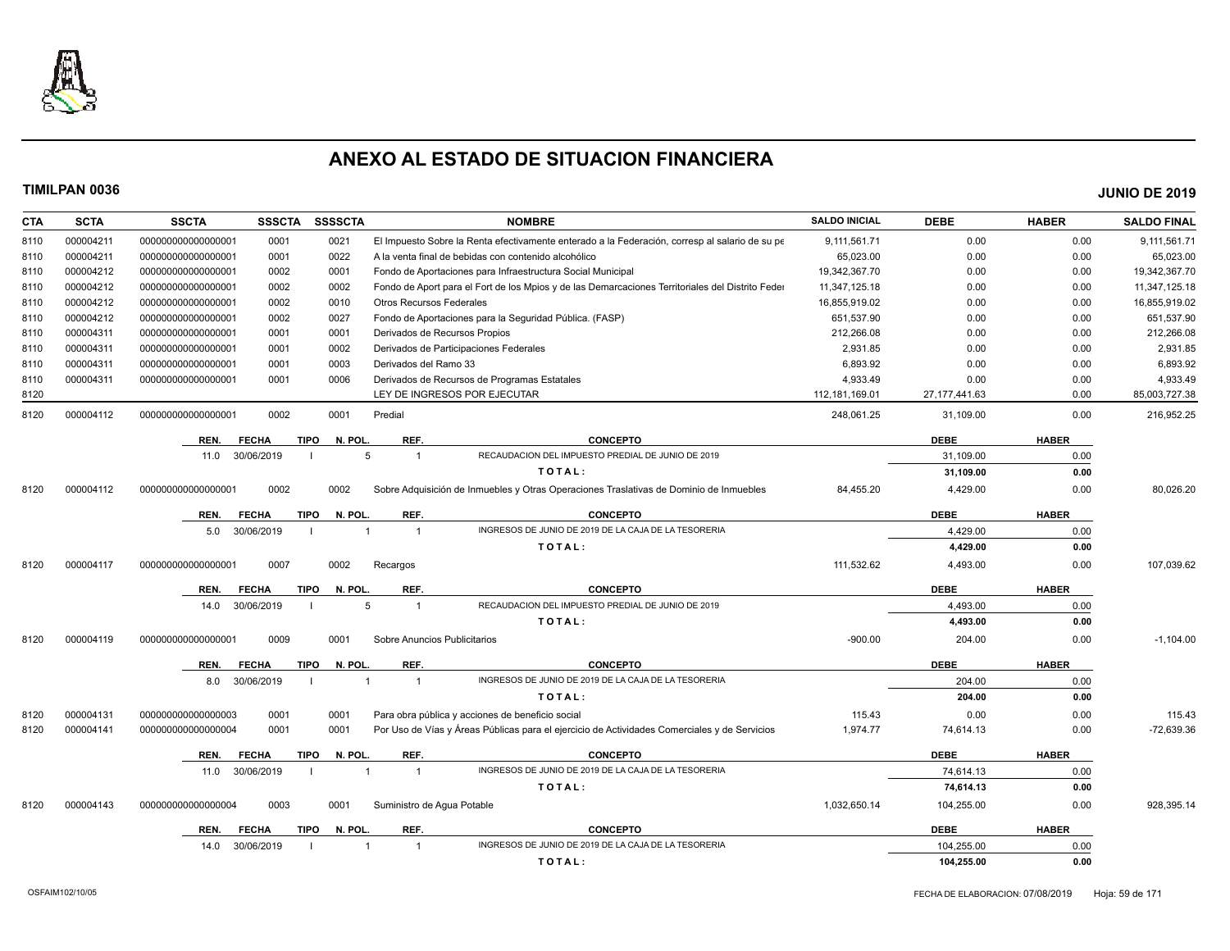

| CTA  | <b>SCTA</b> | <b>SSCTA</b>       | <b>SSSCTA</b> | <b>SSSSCTA</b>         | <b>NOMBRE</b>                                                                                    | <b>SALDO INICIAL</b> | <b>DEBE</b>     | <b>HABER</b> | <b>SALDO FINAL</b> |
|------|-------------|--------------------|---------------|------------------------|--------------------------------------------------------------------------------------------------|----------------------|-----------------|--------------|--------------------|
| 8110 | 000004211   | 00000000000000001  | 0001          | 0021                   | El Impuesto Sobre la Renta efectivamente enterado a la Federación, corresp al salario de su pe   | 9,111,561.71         | 0.00            | 0.00         | 9,111,561.71       |
| 8110 | 000004211   | 00000000000000001  | 0001          | 0022                   | A la venta final de bebidas con contenido alcohólico                                             | 65,023.00            | 0.00            | 0.00         | 65,023.00          |
| 8110 | 000004212   | 00000000000000001  | 0002          | 0001                   | Fondo de Aportaciones para Infraestructura Social Municipal                                      | 19,342,367.70        | 0.00            | 0.00         | 19,342,367.70      |
| 8110 | 000004212   | 00000000000000001  | 0002          | 0002                   | Fondo de Aport para el Fort de los Mpios y de las Demarcaciones Territoriales del Distrito Feder | 11,347,125.18        | 0.00            | 0.00         | 11,347,125.18      |
| 8110 | 000004212   | 00000000000000001  | 0002          | 0010                   | <b>Otros Recursos Federales</b>                                                                  | 16,855,919.02        | 0.00            | 0.00         | 16,855,919.02      |
| 8110 | 000004212   | 00000000000000001  | 0002          | 0027                   | Fondo de Aportaciones para la Seguridad Pública. (FASP)                                          | 651,537.90           | 0.00            | 0.00         | 651,537.90         |
| 8110 | 000004311   | 00000000000000001  | 0001          | 0001                   | Derivados de Recursos Propios                                                                    | 212,266.08           | 0.00            | 0.00         | 212,266.08         |
| 8110 | 000004311   | 00000000000000001  | 0001          | 0002                   | Derivados de Participaciones Federales                                                           | 2,931.85             | 0.00            | 0.00         | 2,931.85           |
| 8110 | 000004311   | 00000000000000001  | 0001          | 0003                   | Derivados del Ramo 33                                                                            | 6,893.92             | 0.00            | 0.00         | 6,893.92           |
| 8110 | 000004311   | 00000000000000001  | 0001          | 0006                   | Derivados de Recursos de Programas Estatales                                                     | 4,933.49             | 0.00            | 0.00         | 4,933.49           |
| 8120 |             |                    |               |                        | LEY DE INGRESOS POR EJECUTAR                                                                     | 112, 181, 169.01     | 27, 177, 441.63 | 0.00         | 85,003,727.38      |
| 8120 | 000004112   | 00000000000000001  | 0002          | 0001                   | Predial                                                                                          | 248,061.25           | 31,109.00       | 0.00         | 216,952.25         |
|      |             | REN.               | <b>FECHA</b>  | N. POL.<br><b>TIPO</b> | REF.<br><b>CONCEPTO</b>                                                                          |                      | <b>DEBE</b>     | <b>HABER</b> |                    |
|      |             | 11.0               | 30/06/2019    | 5                      | RECAUDACION DEL IMPUESTO PREDIAL DE JUNIO DE 2019<br>$\mathbf{1}$                                |                      | 31.109.00       | 0.00         |                    |
|      |             |                    |               |                        | TOTAL:                                                                                           |                      | 31,109.00       | 0.00         |                    |
| 8120 | 000004112   | 00000000000000000  | 0002          | 0002                   | Sobre Adquisición de Inmuebles y Otras Operaciones Traslativas de Dominio de Inmuebles           | 84,455.20            | 4,429.00        | 0.00         | 80,026.20          |
|      |             |                    |               |                        |                                                                                                  |                      |                 |              |                    |
|      |             | REN.               | <b>FECHA</b>  | N. POL.<br><b>TIPO</b> | REF.<br><b>CONCEPTO</b>                                                                          |                      | <b>DEBE</b>     | <b>HABER</b> |                    |
|      |             | 5.0                | 30/06/2019    |                        | INGRESOS DE JUNIO DE 2019 DE LA CAJA DE LA TESORERIA<br>$\overline{1}$                           |                      | 4.429.00        | 0.00         |                    |
|      |             |                    |               |                        | TOTAL:                                                                                           |                      | 4,429.00        | 0.00         |                    |
| 8120 | 000004117   | 00000000000000000  | 0007          | 0002                   | Recargos                                                                                         | 111,532.62           | 4,493.00        | 0.00         | 107,039.62         |
|      |             | REN.               | <b>FECHA</b>  | <b>TIPO</b><br>N. POL. | REF.<br><b>CONCEPTO</b>                                                                          |                      | <b>DEBE</b>     | <b>HABER</b> |                    |
|      |             | 14.0               | 30/06/2019    | 5                      | RECAUDACION DEL IMPUESTO PREDIAL DE JUNIO DE 2019<br>$\overline{1}$                              |                      | 4,493.00        | 0.00         |                    |
|      |             |                    |               |                        | TOTAL:                                                                                           |                      | 4,493.00        | 0.00         |                    |
| 8120 | 000004119   | 00000000000000000  | 0009          | 0001                   | Sobre Anuncios Publicitarios                                                                     | $-900.00$            | 204.00          | 0.00         | $-1,104.00$        |
|      |             | REN.               | <b>FECHA</b>  | N. POL.<br><b>TIPO</b> | REF.<br><b>CONCEPTO</b>                                                                          |                      | <b>DEBE</b>     | <b>HABER</b> |                    |
|      |             | 8.0                | 30/06/2019    | $\overline{1}$         | INGRESOS DE JUNIO DE 2019 DE LA CAJA DE LA TESORERIA<br>$\overline{1}$                           |                      | 204.00          | 0.00         |                    |
|      |             |                    |               |                        | TOTAL:                                                                                           |                      | 204.00          | 0.00         |                    |
| 8120 | 000004131   | 00000000000000003  | 0001          | 0001                   | Para obra pública y acciones de beneficio social                                                 | 115.43               | 0.00            | 0.00         | 115.43             |
| 8120 | 000004141   | 000000000000000004 | 0001          | 0001                   | Por Uso de Vías y Áreas Públicas para el ejercicio de Actividades Comerciales y de Servicios     | 1,974.77             | 74,614.13       | 0.00         | -72,639.36         |
|      |             |                    |               |                        |                                                                                                  |                      |                 |              |                    |
|      |             | REN.               | <b>FECHA</b>  | <b>TIPO</b><br>N. POL. | REF.<br><b>CONCEPTO</b>                                                                          |                      | <b>DEBE</b>     | <b>HABER</b> |                    |
|      |             | 11.0               | 30/06/2019    | $\overline{1}$         | INGRESOS DE JUNIO DE 2019 DE LA CAJA DE LA TESORERIA<br>$\mathbf{1}$                             |                      | 74.614.13       | 0.00         |                    |
|      |             |                    |               |                        | TOTAL:                                                                                           |                      | 74,614.13       | 0.00         |                    |
| 8120 | 000004143   | 000000000000000004 | 0003          | 0001                   | Suministro de Agua Potable                                                                       | 1,032,650.14         | 104,255.00      | 0.00         | 928,395.14         |
|      |             | REN.               | <b>FECHA</b>  | N. POL.<br><b>TIPO</b> | REF.<br><b>CONCEPTO</b>                                                                          |                      | <b>DEBE</b>     | <b>HABER</b> |                    |
|      |             | 14.0               | 30/06/2019    |                        | INGRESOS DE JUNIO DE 2019 DE LA CAJA DE LA TESORERIA<br>$\overline{1}$                           |                      | 104.255.00      | 0.00         |                    |
|      |             |                    |               |                        | TOTAL:                                                                                           |                      | 104,255.00      | 0.00         |                    |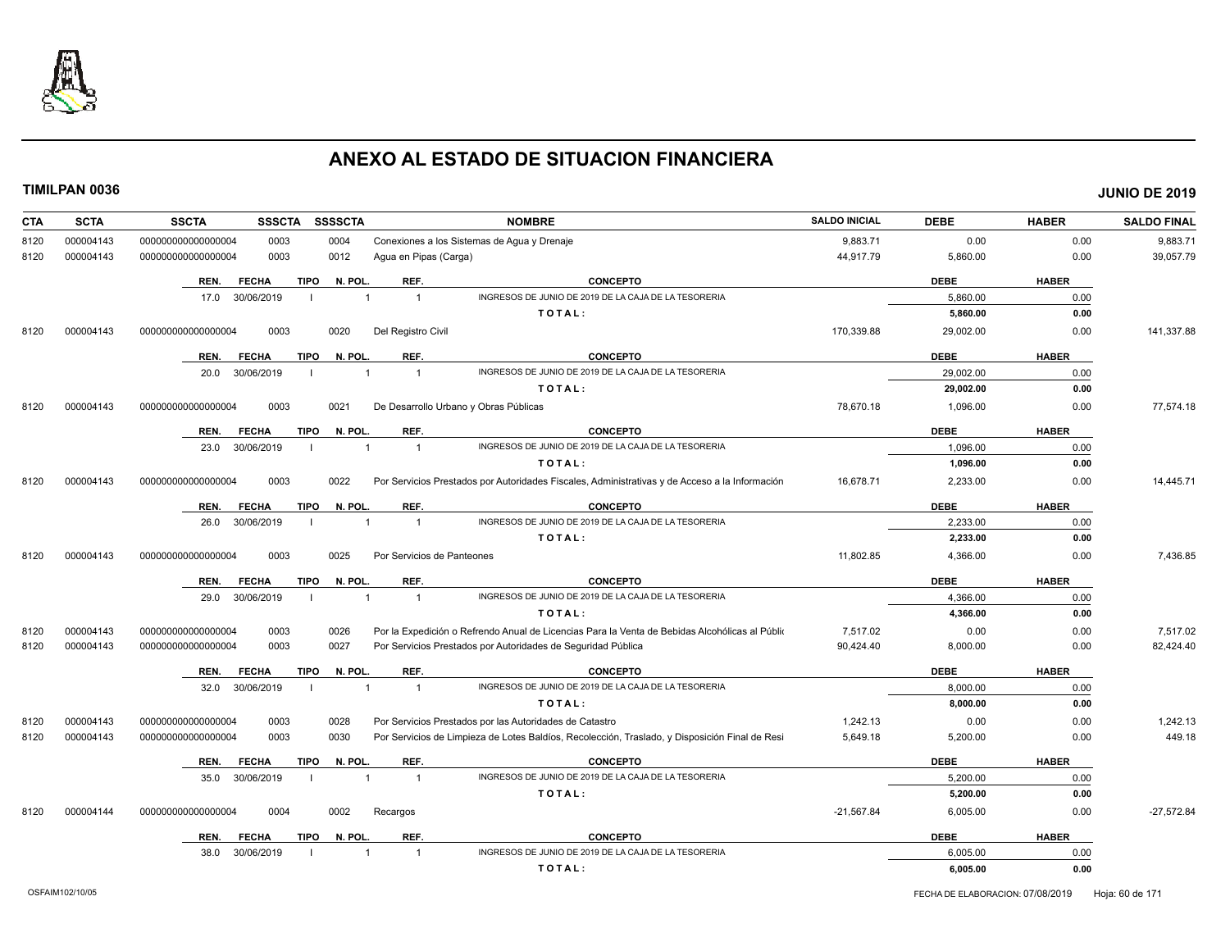

| <b>CTA</b> | <b>SCTA</b> | <b>SSCTA</b><br><b>SSSCTA</b><br><b>SSSSCTA</b><br><b>NOMBRE</b>                                                                     | <b>SALDO INICIAL</b> | <b>DEBE</b> | <b>HABER</b> | <b>SALDO FINAL</b> |
|------------|-------------|--------------------------------------------------------------------------------------------------------------------------------------|----------------------|-------------|--------------|--------------------|
| 8120       | 000004143   | 0003<br>0004<br>Conexiones a los Sistemas de Agua y Drenaje<br>00000000000000004                                                     | 9,883.71             | 0.00        | 0.00         | 9,883.71           |
| 8120       | 000004143   | 0003<br>0012<br>Agua en Pipas (Carga)<br>00000000000000004                                                                           | 44,917.79            | 5,860.00    | 0.00         | 39,057.79          |
|            |             | <b>CONCEPTO</b><br><b>FECHA</b><br><b>TIPO</b><br>N. POL.<br>REF.<br>REN.                                                            |                      | <b>DEBE</b> | <b>HABER</b> |                    |
|            |             | INGRESOS DE JUNIO DE 2019 DE LA CAJA DE LA TESORERIA<br>30/06/2019<br>$\overline{1}$<br>$\overline{1}$<br>17.0                       |                      | 5.860.00    | 0.00         |                    |
|            |             | TOTAL:                                                                                                                               |                      | 5,860.00    | 0.00         |                    |
| 8120       | 000004143   | 000000000000000004<br>0003<br>0020<br>Del Registro Civil                                                                             | 170,339.88           | 29,002.00   | 0.00         | 141,337.88         |
|            |             | N. POL.<br>REF.<br><b>CONCEPTO</b><br>REN.<br><b>FECHA</b><br><b>TIPO</b>                                                            |                      | <b>DEBE</b> | <b>HABER</b> |                    |
|            |             | 30/06/2019<br>INGRESOS DE JUNIO DE 2019 DE LA CAJA DE LA TESORERIA<br>20.0<br>$\overline{1}$<br>$\overline{1}$                       |                      | 29,002.00   | 0.00         |                    |
|            |             | TOTAL:                                                                                                                               |                      | 29,002.00   | 0.00         |                    |
| 8120       | 000004143   | 000000000000000004<br>0003<br>0021<br>De Desarrollo Urbano y Obras Públicas                                                          | 78,670.18            | 1,096.00    | 0.00         | 77,574.18          |
|            |             | REF.<br><b>TIPO</b><br>N. POL.<br><b>CONCEPTO</b><br><b>FECHA</b><br>REN.                                                            |                      | <b>DEBE</b> | <b>HABER</b> |                    |
|            |             | INGRESOS DE JUNIO DE 2019 DE LA CAJA DE LA TESORERIA<br>30/06/2019<br>23.0<br>$\overline{1}$<br>-1                                   |                      | 1,096.00    | 0.00         |                    |
|            |             | TOTAL:                                                                                                                               |                      | 1,096.00    | 0.00         |                    |
| 8120       | 000004143   | 0003<br>Por Servicios Prestados por Autoridades Fiscales, Administrativas y de Acceso a la Información<br>000000000000000004<br>0022 | 16,678.71            | 2,233.00    | 0.00         | 14,445.71          |
|            |             | <b>TIPO</b><br>N. POL.<br>REF.<br><b>CONCEPTO</b><br><b>FECHA</b><br>REN.                                                            |                      | <b>DEBE</b> | <b>HABER</b> |                    |
|            |             | INGRESOS DE JUNIO DE 2019 DE LA CAJA DE LA TESORERIA<br>30/06/2019<br>26.0<br>$\overline{1}$<br>$\mathbf{1}$                         |                      | 2,233.00    | 0.00         |                    |
|            |             | TOTAL:                                                                                                                               |                      | 2,233.00    | 0.00         |                    |
| 8120       | 000004143   | 0003<br>0025<br>Por Servicios de Panteones<br>000000000000000004                                                                     | 11,802.85            | 4,366.00    | 0.00         | 7,436.85           |
|            |             | REF.<br><b>TIPO</b><br>N. POL.<br><b>CONCEPTO</b><br>REN.<br><b>FECHA</b>                                                            |                      | <b>DEBE</b> | <b>HABER</b> |                    |
|            |             | INGRESOS DE JUNIO DE 2019 DE LA CAJA DE LA TESORERIA<br>30/06/2019<br>$\overline{1}$<br>29.0<br>$\mathbf 1$                          |                      | 4,366.00    | 0.00         |                    |
|            |             | TOTAL:                                                                                                                               |                      | 4,366.00    | 0.00         |                    |
| 8120       | 000004143   | Por la Expedición o Refrendo Anual de Licencias Para la Venta de Bebidas Alcohólicas al Públio<br>000000000000000004<br>0003<br>0026 | 7,517.02             | 0.00        | 0.00         | 7,517.02           |
| 8120       | 000004143   | 0003<br>0027<br>Por Servicios Prestados por Autoridades de Seguridad Pública<br>00000000000000004                                    | 90,424.40            | 8,000.00    | 0.00         | 82,424.40          |
|            |             | <b>TIPO</b><br>N. POL.<br>REF.<br><b>CONCEPTO</b><br>REN.<br><b>FECHA</b>                                                            |                      | <b>DEBE</b> | <b>HABER</b> |                    |
|            |             | INGRESOS DE JUNIO DE 2019 DE LA CAJA DE LA TESORERIA<br>32.0<br>30/06/2019<br>$\overline{1}$<br>$\overline{1}$<br>$\blacksquare$     |                      | 8,000.00    | 0.00         |                    |
|            |             | TOTAL:                                                                                                                               |                      | 8.000.00    | 0.00         |                    |
| 8120       | 000004143   | 00000000000000004<br>0003<br>0028<br>Por Servicios Prestados por las Autoridades de Catastro                                         | 1,242.13             | 0.00        | 0.00         | 1,242.13           |
| 8120       | 000004143   | 00000000000000004<br>0003<br>0030<br>Por Servicios de Limpieza de Lotes Baldíos, Recolección, Traslado, y Disposición Final de Resi  | 5,649.18             | 5,200.00    | 0.00         | 449.18             |
|            |             | REF.<br><b>FECHA</b><br><b>TIPO</b><br>N. POL.<br><b>CONCEPTO</b><br>REN.                                                            |                      | <b>DEBE</b> | <b>HABER</b> |                    |
|            |             | INGRESOS DE JUNIO DE 2019 DE LA CAJA DE LA TESORERIA<br>30/06/2019<br>35.0<br>$\overline{1}$<br>$\overline{1}$                       |                      | 5,200.00    | 0.00         |                    |
|            |             | TOTAL:                                                                                                                               |                      | 5,200.00    | 0.00         |                    |
| 8120       | 000004144   | 00000000000000004<br>0004<br>0002<br>Recargos                                                                                        | $-21,567.84$         | 6,005.00    | 0.00         | $-27,572.84$       |
|            |             | N. POL.<br>REF.<br><b>CONCEPTO</b><br><b>TIPO</b><br>REN.<br><b>FECHA</b>                                                            |                      | <b>DEBE</b> | <b>HABER</b> |                    |
|            |             | INGRESOS DE JUNIO DE 2019 DE LA CAJA DE LA TESORERIA<br>30/06/2019<br>38.0<br>$\overline{1}$<br>-1                                   |                      | 6,005.00    | 0.00         |                    |
|            |             | TOTAL:                                                                                                                               |                      | 6,005.00    | 0.00         |                    |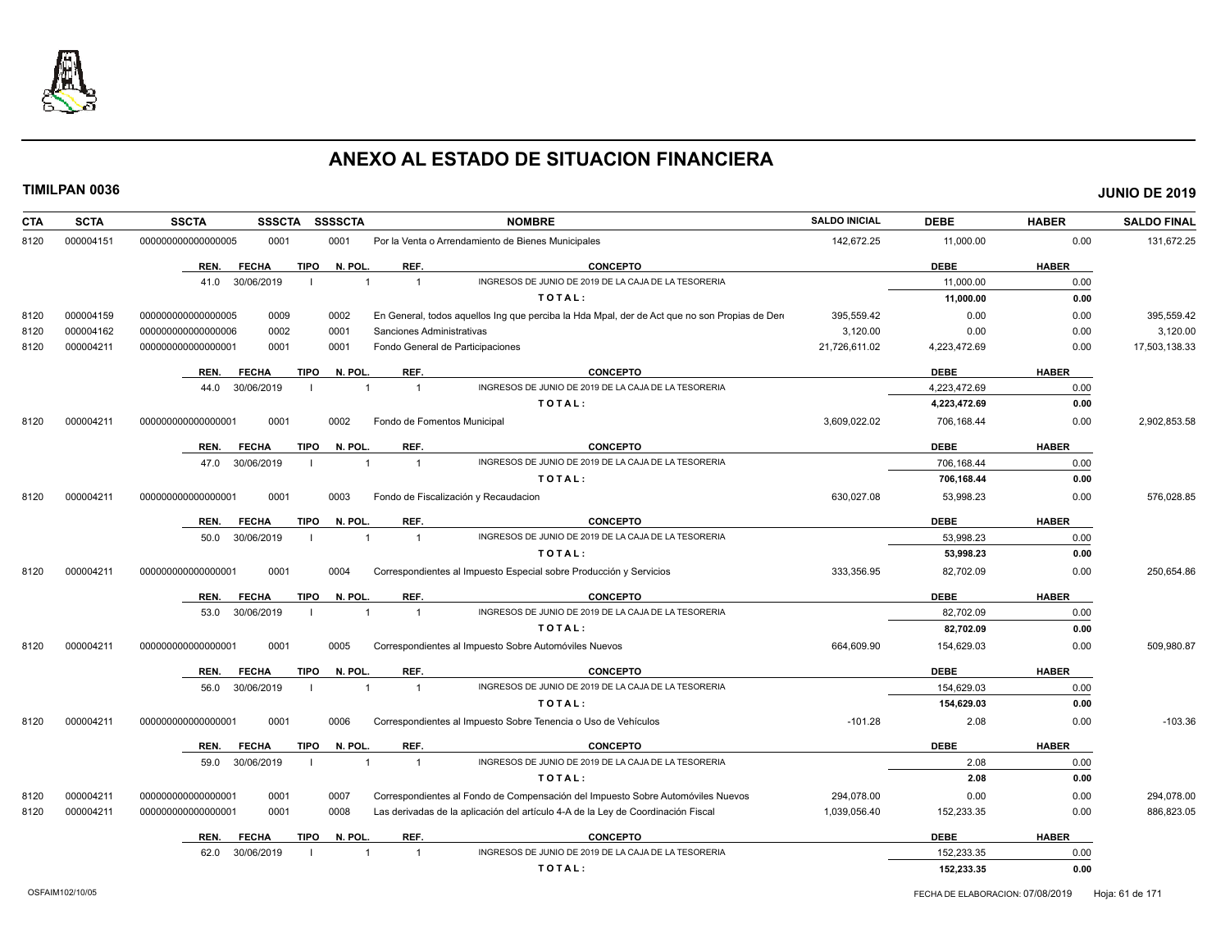

| <b>SCTA</b><br><b>CTA</b> | <b>SSCTA</b><br><b>SSSCTA</b>       | SSSSCTA        | <b>NOMBRE</b>                                                                                | <b>SALDO INICIAL</b> | <b>DEBE</b>  | <b>HABER</b> | <b>SALDO FINAL</b> |
|---------------------------|-------------------------------------|----------------|----------------------------------------------------------------------------------------------|----------------------|--------------|--------------|--------------------|
| 000004151<br>8120         | 0001<br>000000000000000005          | 0001           | Por la Venta o Arrendamiento de Bienes Municipales                                           | 142.672.25           | 11,000.00    | 0.00         | 131,672.25         |
|                           | <b>FECHA</b><br><b>TIPO</b><br>REN. | N. POL.        | <b>CONCEPTO</b><br>REF.                                                                      |                      | <b>DEBE</b>  | <b>HABER</b> |                    |
|                           | 41.0 30/06/2019<br>-1               |                | INGRESOS DE JUNIO DE 2019 DE LA CAJA DE LA TESORERIA<br>$\overline{1}$                       |                      | 11,000.00    | 0.00         |                    |
|                           |                                     |                | TOTAL:                                                                                       |                      | 11,000.00    | 0.00         |                    |
| 000004159<br>8120         | 0009<br>000000000000000005          | 0002           | En General, todos aquellos Ing que perciba la Hda Mpal, der de Act que no son Propias de Der | 395,559.42           | 0.00         | 0.00         | 395,559.42         |
| 000004162<br>8120         | 0002<br>000000000000000006          | 0001           | Sanciones Administrativas                                                                    | 3,120.00             | 0.00         | 0.00         | 3,120.00           |
| 8120<br>000004211         | 000000000000000001<br>0001          | 0001           | Fondo General de Participaciones                                                             | 21,726,611.02        | 4,223,472.69 | 0.00         | 17,503,138.33      |
|                           | <b>FECHA</b><br><b>TIPO</b><br>REN. | N. POL.        | REF.<br><b>CONCEPTO</b>                                                                      |                      | <b>DEBE</b>  | <b>HABER</b> |                    |
|                           | 30/06/2019<br>44.0                  |                | INGRESOS DE JUNIO DE 2019 DE LA CAJA DE LA TESORERIA<br>$\overline{1}$                       |                      | 4,223,472.69 | 0.00         |                    |
|                           |                                     |                | TOTAL:                                                                                       |                      | 4,223,472.69 | 0.00         |                    |
| 8120<br>000004211         | 0001<br>00000000000000001           | 0002           | Fondo de Fomentos Municipal                                                                  | 3,609,022.02         | 706,168.44   | 0.00         | 2,902,853.58       |
|                           | <b>FECHA</b><br><b>TIPO</b><br>REN. | N. POL.        | REF.<br><b>CONCEPTO</b>                                                                      |                      | <b>DEBE</b>  | <b>HABER</b> |                    |
|                           | 30/06/2019<br>47.0                  |                | INGRESOS DE JUNIO DE 2019 DE LA CAJA DE LA TESORERIA<br>$\overline{1}$                       |                      | 706,168.44   | 0.00         |                    |
|                           |                                     |                | TOTAL:                                                                                       |                      | 706,168.44   | 0.00         |                    |
| 8120<br>000004211         | 0001<br>000000000000000001          | 0003           | Fondo de Fiscalización y Recaudacion                                                         | 630,027.08           | 53,998.23    | 0.00         | 576,028.85         |
|                           | <b>TIPO</b><br>REN.<br><b>FECHA</b> | N. POL.        | <b>CONCEPTO</b><br>REF.                                                                      |                      | <b>DEBE</b>  | <b>HABER</b> |                    |
|                           | 50.0<br>30/06/2019<br>-1            | $\overline{1}$ | INGRESOS DE JUNIO DE 2019 DE LA CAJA DE LA TESORERIA<br>$\overline{1}$                       |                      | 53,998.23    | 0.00         |                    |
|                           |                                     |                | TOTAL:                                                                                       |                      | 53,998.23    | 0.00         |                    |
| 000004211<br>8120         | 000000000000000001<br>0001          | 0004           | Correspondientes al Impuesto Especial sobre Producción y Servicios                           | 333,356.95           | 82,702.09    | 0.00         | 250,654.86         |
|                           | <b>FECHA</b><br><b>TIPO</b><br>REN. | N. POL.        | REF.<br>CONCEPTO                                                                             |                      | <b>DEBE</b>  | <b>HABER</b> |                    |
|                           | 30/06/2019<br>53.0                  |                | INGRESOS DE JUNIO DE 2019 DE LA CAJA DE LA TESORERIA<br>$\overline{1}$                       |                      | 82.702.09    | 0.00         |                    |
|                           |                                     |                | TOTAL:                                                                                       |                      | 82,702.09    | 0.00         |                    |
| 000004211<br>8120         | 00000000000000001<br>0001           | 0005           | Correspondientes al Impuesto Sobre Automóviles Nuevos                                        | 664,609.90           | 154,629.03   | 0.00         | 509,980.87         |
|                           | <b>FECHA</b><br><b>TIPO</b><br>REN. | N. POL.        | REF.<br><b>CONCEPTO</b>                                                                      |                      | <b>DEBE</b>  | <b>HABER</b> |                    |
|                           | 30/06/2019<br>56.0                  | $\overline{1}$ | INGRESOS DE JUNIO DE 2019 DE LA CAJA DE LA TESORERIA<br>$\overline{1}$                       |                      | 154,629.03   | 0.00         |                    |
|                           |                                     |                | TOTAL:                                                                                       |                      | 154,629.03   | 0.00         |                    |
| 8120<br>000004211         | 0001<br>000000000000000001          | 0006           | Correspondientes al Impuesto Sobre Tenencia o Uso de Vehículos                               | $-101.28$            | 2.08         | 0.00         | $-103.36$          |
|                           | <b>FECHA</b><br><b>TIPO</b><br>REN. | N. POL.        | REF.<br><b>CONCEPTO</b>                                                                      |                      | <b>DEBE</b>  | <b>HABER</b> |                    |
|                           | 30/06/2019<br>59.0                  |                | INGRESOS DE JUNIO DE 2019 DE LA CAJA DE LA TESORERIA<br>$\overline{1}$                       |                      | 2.08         | 0.00         |                    |
|                           |                                     |                | TOTAL:                                                                                       |                      | 2.08         | 0.00         |                    |
| 000004211<br>8120         | 000000000000000001<br>0001          | 0007           | Correspondientes al Fondo de Compensación del Impuesto Sobre Automóviles Nuevos              | 294,078.00           | 0.00         | 0.00         | 294,078.00         |
| 8120<br>000004211         | 0001<br>000000000000000001          | 0008           | Las derivadas de la aplicación del artículo 4-A de la Ley de Coordinación Fiscal             | 1,039,056.40         | 152,233.35   | 0.00         | 886,823.05         |
|                           | <b>FECHA</b><br><b>TIPO</b><br>REN. | N. POL.        | REF.<br><b>CONCEPTO</b>                                                                      |                      | <b>DEBE</b>  | <b>HABER</b> |                    |
|                           | 30/06/2019<br>62.0                  |                | INGRESOS DE JUNIO DE 2019 DE LA CAJA DE LA TESORERIA<br>$\overline{1}$                       |                      | 152.233.35   | 0.00         |                    |
|                           |                                     |                | TOTAL:                                                                                       |                      | 152,233.35   | 0.00         |                    |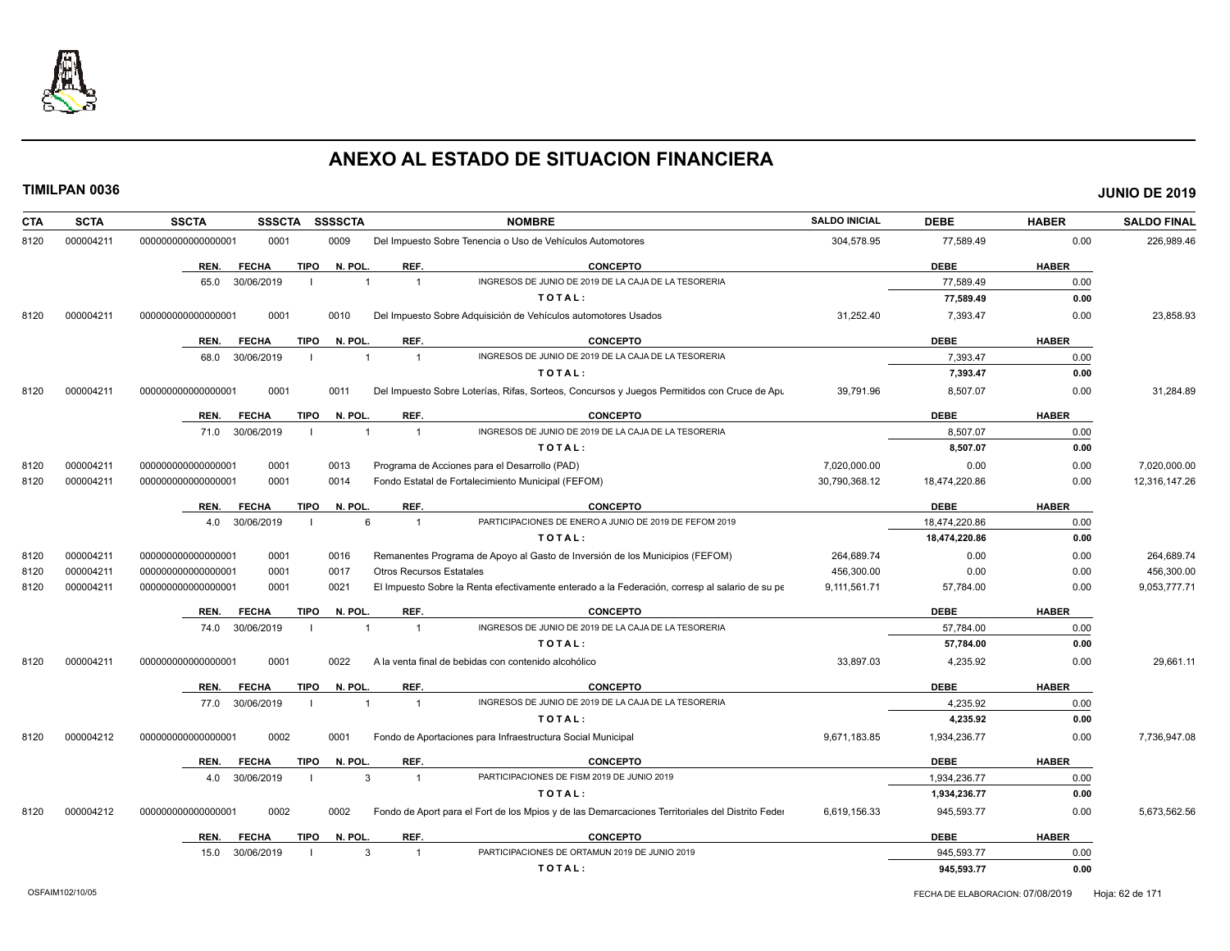

| <b>CTA</b> | <b>SCTA</b> | <b>SSCTA</b>       | <b>SSSCTA</b> | <b>SSSSCTA</b>         |                | <b>NOMBRE</b>                                                                                    | <b>SALDO INICIAL</b> | <b>DEBE</b>   | <b>HABER</b> | <b>SALDO FINAL</b> |
|------------|-------------|--------------------|---------------|------------------------|----------------|--------------------------------------------------------------------------------------------------|----------------------|---------------|--------------|--------------------|
| 8120       | 000004211   | 00000000000000001  | 0001          | 0009                   |                | Del Impuesto Sobre Tenencia o Uso de Vehículos Automotores                                       | 304,578.95           | 77,589.49     | 0.00         | 226,989.46         |
|            |             | REN.               | <b>FECHA</b>  | <b>TIPO</b><br>N. POL. |                | REF.<br><b>CONCEPTO</b>                                                                          |                      | <b>DEBE</b>   | <b>HABER</b> |                    |
|            |             | 65.0               | 30/06/2019    |                        |                | INGRESOS DE JUNIO DE 2019 DE LA CAJA DE LA TESORERIA<br>$\overline{1}$                           |                      | 77,589.49     | 0.00         |                    |
|            |             |                    |               |                        |                | TOTAL:                                                                                           |                      | 77,589.49     | 0.00         |                    |
| 8120       | 000004211   | 000000000000000001 | 0001          | 0010                   |                | Del Impuesto Sobre Adquisición de Vehículos automotores Usados                                   | 31,252.40            | 7,393.47      | 0.00         | 23,858.93          |
|            |             | REN.               | <b>FECHA</b>  | <b>TIPO</b>            | N. POL.        | REF.<br>CONCEPTO                                                                                 |                      | <b>DEBE</b>   | <b>HABER</b> |                    |
|            |             | 68.0               | 30/06/2019    |                        |                | INGRESOS DE JUNIO DE 2019 DE LA CAJA DE LA TESORERIA<br>$\overline{1}$                           |                      | 7.393.47      | 0.00         |                    |
|            |             |                    |               |                        |                | TOTAL:                                                                                           |                      | 7,393.47      | 0.00         |                    |
| 8120       | 000004211   | 00000000000000000  | 0001          | 0011                   |                | Del Impuesto Sobre Loterías, Rifas, Sorteos, Concursos y Juegos Permitidos con Cruce de Apu      | 39,791.96            | 8,507.07      | 0.00         | 31,284.89          |
|            |             | REN.               | <b>FECHA</b>  | <b>TIPO</b><br>N. POL. |                | REF.<br><b>CONCEPTO</b>                                                                          |                      | <b>DEBE</b>   | <b>HABER</b> |                    |
|            |             | 71.0               | 30/06/2019    |                        | $\overline{1}$ | INGRESOS DE JUNIO DE 2019 DE LA CAJA DE LA TESORERIA<br>$\overline{1}$                           |                      | 8,507.07      | 0.00         |                    |
|            |             |                    |               |                        |                | TOTAL:                                                                                           |                      | 8,507.07      | 0.00         |                    |
| 8120       | 000004211   | 000000000000000001 | 0001          | 0013                   |                | Programa de Acciones para el Desarrollo (PAD)                                                    | 7,020,000.00         | 0.00          | 0.00         | 7,020,000.00       |
| 8120       | 000004211   | 000000000000000001 | 0001          | 0014                   |                | Fondo Estatal de Fortalecimiento Municipal (FEFOM)                                               | 30,790,368.12        | 18,474,220.86 | 0.00         | 12,316,147.26      |
|            |             | REN.               | <b>FECHA</b>  | <b>TIPO</b>            | N. POL.        | REF.<br><b>CONCEPTO</b>                                                                          |                      | <b>DEBE</b>   | <b>HABER</b> |                    |
|            |             | 4.0                | 30/06/2019    | - 1                    | 6              | PARTICIPACIONES DE ENERO A JUNIO DE 2019 DE FEFOM 2019<br>$\overline{1}$                         |                      | 18,474,220.86 | 0.00         |                    |
|            |             |                    |               |                        |                | TOTAL:                                                                                           |                      | 18,474,220.86 | 0.00         |                    |
| 8120       | 000004211   | 000000000000000001 | 0001          | 0016                   |                | Remanentes Programa de Apoyo al Gasto de Inversión de los Municipios (FEFOM)                     | 264,689.74           | 0.00          | 0.00         | 264,689.74         |
| 8120       | 000004211   | 00000000000000001  | 0001          | 0017                   |                | <b>Otros Recursos Estatales</b>                                                                  | 456,300.00           | 0.00          | 0.00         | 456,300.00         |
| 8120       | 000004211   | 000000000000000001 | 0001          | 0021                   |                | El Impuesto Sobre la Renta efectivamente enterado a la Federación, corresp al salario de su pe   | 9,111,561.71         | 57,784.00     | 0.00         | 9,053,777.71       |
|            |             | REN.               | <b>FECHA</b>  | <b>TIPO</b><br>N. POL. |                | REF.<br><b>CONCEPTO</b>                                                                          |                      | <b>DEBE</b>   | <b>HABER</b> |                    |
|            |             | 74.0               | 30/06/2019    |                        |                | INGRESOS DE JUNIO DE 2019 DE LA CAJA DE LA TESORERIA<br>$\overline{1}$                           |                      | 57,784.00     | 0.00         |                    |
|            |             |                    |               |                        |                | TOTAL:                                                                                           |                      | 57,784.00     | 0.00         |                    |
| 8120       | 000004211   | 00000000000000001  | 0001          | 0022                   |                | A la venta final de bebidas con contenido alcohólico                                             | 33,897.03            | 4,235.92      | 0.00         | 29,661.11          |
|            |             | REN.               | <b>FECHA</b>  | <b>TIPO</b>            | N. POL.        | <b>CONCEPTO</b><br>REF.                                                                          |                      | <b>DEBE</b>   | <b>HABER</b> |                    |
|            |             | 77.0               | 30/06/2019    | -1                     | $\overline{1}$ | INGRESOS DE JUNIO DE 2019 DE LA CAJA DE LA TESORERIA<br>$\overline{1}$                           |                      | 4.235.92      | 0.00         |                    |
|            |             |                    |               |                        |                | TOTAL:                                                                                           |                      | 4,235.92      | 0.00         |                    |
| 8120       | 000004212   | 00000000000000001  | 0002          | 0001                   |                | Fondo de Aportaciones para Infraestructura Social Municipal                                      | 9,671,183.85         | 1,934,236.77  | 0.00         | 7,736,947.08       |
|            |             | REN.               | <b>FECHA</b>  | <b>TIPO</b>            | N. POL.        | REF.<br><b>CONCEPTO</b>                                                                          |                      | <b>DEBE</b>   | <b>HABER</b> |                    |
|            |             | 4.0                | 30/06/2019    |                        | 3              | PARTICIPACIONES DE FISM 2019 DE JUNIO 2019<br>$\overline{1}$                                     |                      | 1.934.236.77  | 0.00         |                    |
|            |             |                    |               |                        |                | TOTAL:                                                                                           |                      | 1,934,236.77  | 0.00         |                    |
| 8120       | 000004212   | 00000000000000000  | 0002          | 0002                   |                | Fondo de Aport para el Fort de los Mpios y de las Demarcaciones Territoriales del Distrito Feder | 6,619,156.33         | 945,593.77    | 0.00         | 5,673,562.56       |
|            |             | REN.               | <b>FECHA</b>  | <b>TIPO</b>            | N. POL.        | REF.<br><b>CONCEPTO</b>                                                                          |                      | <b>DEBE</b>   | <b>HABER</b> |                    |
|            |             | 15.0               | 30/06/2019    |                        | 3              | PARTICIPACIONES DE ORTAMUN 2019 DE JUNIO 2019<br>-1                                              |                      | 945,593.77    | 0.00         |                    |
|            |             |                    |               |                        |                | TOTAL:                                                                                           |                      | 945,593.77    | 0.00         |                    |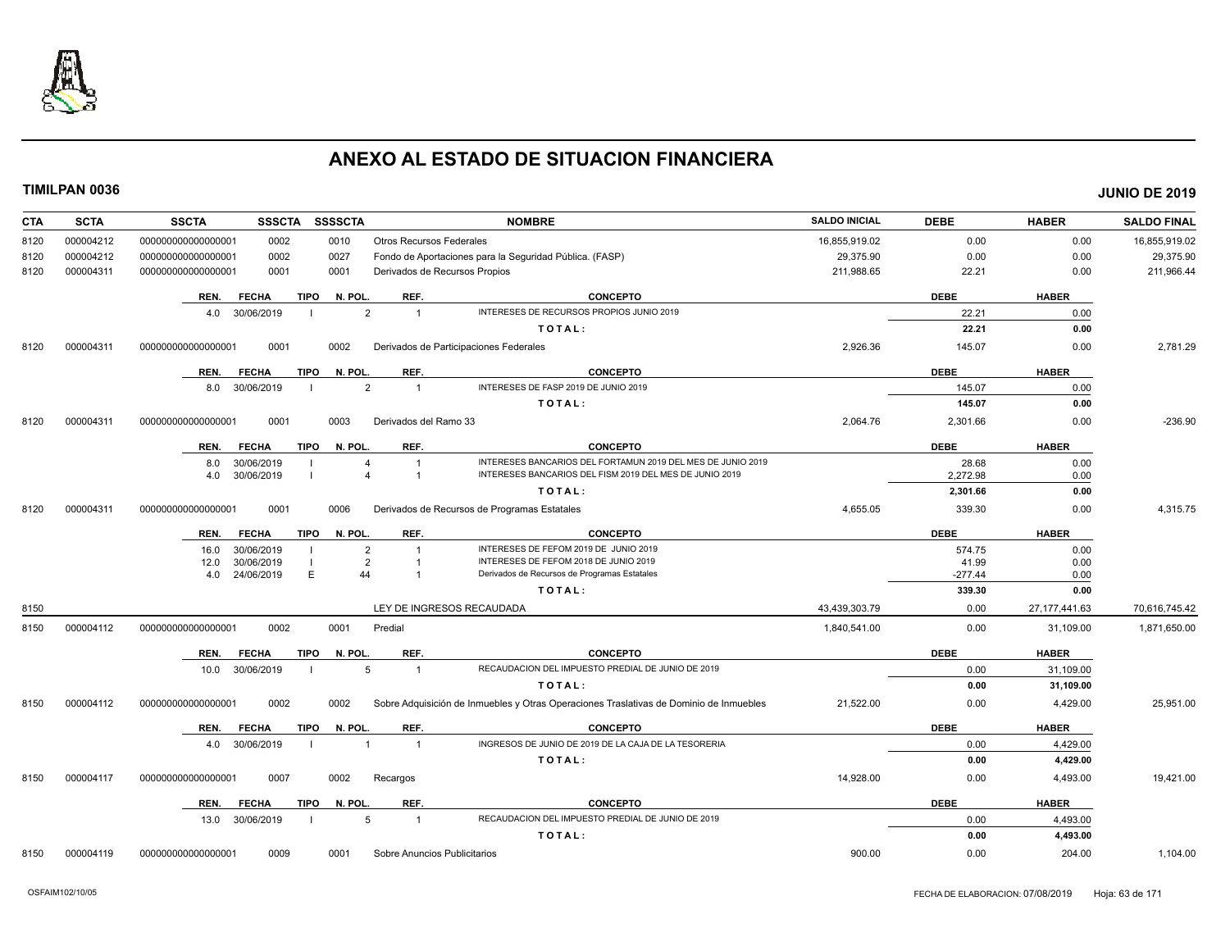

| <b>CTA</b><br><b>SCTA</b> | <b>SSCTA</b><br><b>SSSSCTA</b><br><b>SSSCTA</b><br><b>NOMBRE</b>                                                             | <b>SALDO INICIAL</b> | <b>DEBE</b> | <b>HABER</b>    | <b>SALDO FINAL</b> |
|---------------------------|------------------------------------------------------------------------------------------------------------------------------|----------------------|-------------|-----------------|--------------------|
| 000004212<br>8120         | 000000000000000001<br>0002<br>0010<br><b>Otros Recursos Federales</b>                                                        | 16,855,919.02        | 0.00        | 0.00            | 16,855,919.02      |
| 000004212<br>8120         | 0027<br>Fondo de Aportaciones para la Seguridad Pública. (FASP)<br>000000000000000001<br>0002                                | 29,375.90            | 0.00        | 0.00            | 29,375.90          |
| 000004311<br>8120         | Derivados de Recursos Propios<br>000000000000000001<br>0001<br>0001                                                          | 211,988.65           | 22.21       | 0.00            | 211,966.44         |
|                           | REF.<br><b>CONCEPTO</b><br><b>FECHA</b><br>TIPO<br>N. POL.<br>REN.                                                           |                      | <b>DEBE</b> | <b>HABER</b>    |                    |
|                           | INTERESES DE RECURSOS PROPIOS JUNIO 2019<br>$\overline{2}$<br>$\overline{1}$<br>4.0<br>30/06/2019                            |                      | 22.21       | 0.00            |                    |
|                           | TOTAL:                                                                                                                       |                      | 22.21       | 0.00            |                    |
| 000004311<br>8120         | 000000000000000001<br>0001<br>0002<br>Derivados de Participaciones Federales                                                 | 2,926.36             | 145.07      | 0.00            | 2,781.29           |
|                           | <b>TIPO</b><br>N. POL.<br>REF.<br><b>CONCEPTO</b><br>REN.<br><b>FECHA</b>                                                    |                      | <b>DEBE</b> | <b>HABER</b>    |                    |
|                           | INTERESES DE FASP 2019 DE JUNIO 2019<br>8.0 30/06/2019<br>$\overline{2}$<br>$\overline{1}$                                   |                      | 145.07      | 0.00            |                    |
|                           | TOTAL:                                                                                                                       |                      | 145.07      | 0.00            |                    |
| 8120<br>000004311         | 0001<br>0003<br>Derivados del Ramo 33<br>000000000000000001                                                                  | 2,064.76             | 2,301.66    | 0.00            | $-236.90$          |
|                           | <b>TIPO</b><br>REF.<br><b>CONCEPTO</b><br>REN.<br><b>FECHA</b><br>N. POL.                                                    |                      | <b>DEBE</b> | <b>HABER</b>    |                    |
|                           | INTERESES BANCARIOS DEL FORTAMUN 2019 DEL MES DE JUNIO 2019<br>30/06/2019<br>8.0<br>$\overline{\mathbf{1}}$<br>4             |                      | 28.68       | 0.00            |                    |
|                           | INTERESES BANCARIOS DEL FISM 2019 DEL MES DE JUNIO 2019<br>30/06/2019<br>$\overline{1}$<br>4.0                               |                      | 2.272.98    | 0.00            |                    |
|                           | TOTAL:                                                                                                                       |                      | 2,301.66    | 0.00            |                    |
| 8120<br>000004311         | 0001<br>0006<br>Derivados de Recursos de Programas Estatales<br>000000000000000001                                           | 4,655.05             | 339.30      | 0.00            | 4,315.75           |
|                           | REF.<br><b>FECHA</b><br>TIPO<br>N. POL.<br><b>CONCEPTO</b><br>REN.                                                           |                      | <b>DEBE</b> | <b>HABER</b>    |                    |
|                           | INTERESES DE FEFOM 2019 DE JUNIO 2019<br>30/06/2019<br>$\overline{2}$<br>16.0                                                |                      | 574.75      | 0.00            |                    |
|                           | INTERESES DE FEFOM 2018 DE JUNIO 2019<br>30/06/2019<br>$\overline{2}$<br>12.0                                                |                      | 41.99       | 0.00            |                    |
|                           | E<br>24/06/2019<br>44<br>Derivados de Recursos de Programas Estatales<br>4.0                                                 |                      | $-277.44$   | 0.00            |                    |
|                           | TOTAL:                                                                                                                       |                      | 339.30      | 0.00            |                    |
| 8150                      | LEY DE INGRESOS RECAUDADA                                                                                                    | 43,439,303.79        | 0.00        | 27, 177, 441.63 | 70,616,745.42      |
| 000004112<br>8150         | 0002<br>0001<br>Predial<br>000000000000000001                                                                                | 1,840,541.00         | 0.00        | 31,109.00       | 1,871,650.00       |
|                           | REF.<br><b>CONCEPTO</b><br><b>FECHA</b><br>TIPO<br>N. POL.<br>REN.                                                           |                      | <b>DEBE</b> | <b>HABER</b>    |                    |
|                           | RECAUDACION DEL IMPUESTO PREDIAL DE JUNIO DE 2019<br>10.0 30/06/2019<br>5<br>$\overline{1}$                                  |                      | 0.00        | 31,109.00       |                    |
|                           | TOTAL:                                                                                                                       |                      | 0.00        | 31,109.00       |                    |
| 000004112<br>8150         | 0002<br>0002<br>Sobre Adquisición de Inmuebles y Otras Operaciones Traslativas de Dominio de Inmuebles<br>000000000000000001 | 21,522.00            | 0.00        | 4,429.00        | 25,951.00          |
|                           | N. POL.<br>REF.<br><b>CONCEPTO</b><br>REN.<br><b>FECHA</b><br><b>TIPO</b>                                                    |                      | <b>DEBE</b> | <b>HABER</b>    |                    |
|                           | INGRESOS DE JUNIO DE 2019 DE LA CAJA DE LA TESORERIA<br>30/06/2019<br>$\overline{1}$<br>$\overline{1}$<br>4.0                |                      | 0.00        | 4,429.00        |                    |
|                           | TOTAL:                                                                                                                       |                      | 0.00        | 4,429.00        |                    |
| 8150<br>000004117         | 000000000000000001<br>0007<br>0002<br>Recargos                                                                               | 14,928.00            | 0.00        | 4,493.00        | 19,421.00          |
|                           | REF.<br><b>TIPO</b><br>N. POL.<br><b>CONCEPTO</b><br>REN.<br><b>FECHA</b>                                                    |                      | <b>DEBE</b> | <b>HABER</b>    |                    |
|                           | RECAUDACION DEL IMPUESTO PREDIAL DE JUNIO DE 2019<br>13.0 30/06/2019<br>5<br>$\overline{1}$                                  |                      | 0.00        | 4,493.00        |                    |
|                           | TOTAL:                                                                                                                       |                      | 0.00        | 4,493.00        |                    |
| 000004119<br>8150         | 0009<br>0001<br>Sobre Anuncios Publicitarios<br>000000000000000001                                                           | 900.00               | 0.00        | 204.00          | 1,104.00           |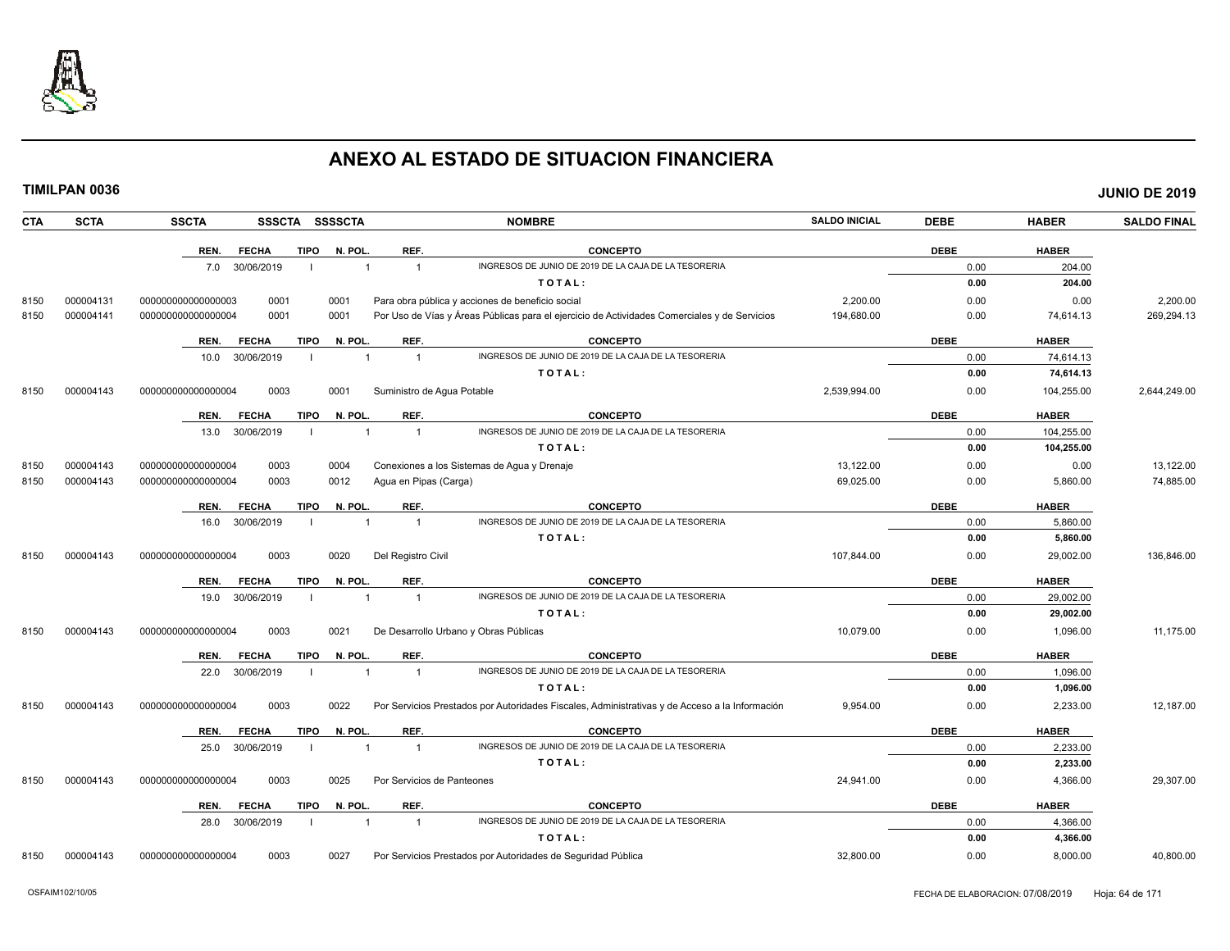

| <b>CTA</b> | <b>SCTA</b> | <b>SSCTA</b>       |              |             | SSSCTA SSSSCTA |                            | <b>NOMBRE</b>                                                                                  | <b>SALDO INICIAL</b> | <b>DEBE</b> | <b>HABER</b> | <b>SALDO FINAL</b> |
|------------|-------------|--------------------|--------------|-------------|----------------|----------------------------|------------------------------------------------------------------------------------------------|----------------------|-------------|--------------|--------------------|
|            |             | REN.               | <b>FECHA</b> | <b>TIPO</b> | N. POL.        | REF.                       | <b>CONCEPTO</b>                                                                                |                      | <b>DEBE</b> | <b>HABER</b> |                    |
|            |             | 7.0                | 30/06/2019   |             | $\overline{1}$ | $\overline{1}$             | INGRESOS DE JUNIO DE 2019 DE LA CAJA DE LA TESORERIA                                           |                      | 0.00        | 204.00       |                    |
|            |             |                    |              |             |                |                            | TOTAL:                                                                                         |                      | 0.00        | 204.00       |                    |
| 8150       | 000004131   | 000000000000000003 | 0001         |             | 0001           |                            | Para obra pública y acciones de beneficio social                                               | 2,200.00             | 0.00        | 0.00         | 2,200.00           |
| 8150       | 000004141   | 000000000000000004 | 0001         |             | 0001           |                            | Por Uso de Vías y Áreas Públicas para el ejercicio de Actividades Comerciales y de Servicios   | 194,680.00           | 0.00        | 74,614.13    | 269,294.13         |
|            |             | REN.               | <b>FECHA</b> | <b>TIPO</b> | N. POL.        | REF.                       | <b>CONCEPTO</b>                                                                                |                      | <b>DEBE</b> | <b>HABER</b> |                    |
|            |             | 10.0               | 30/06/2019   |             | $\overline{1}$ | $\overline{1}$             | INGRESOS DE JUNIO DE 2019 DE LA CAJA DE LA TESORERIA                                           |                      | 0.00        | 74,614.13    |                    |
|            |             |                    |              |             |                |                            | TOTAL:                                                                                         |                      | 0.00        | 74,614.13    |                    |
| 8150       | 000004143   | 00000000000000004  | 0003         |             | 0001           | Suministro de Agua Potable |                                                                                                | 2,539,994.00         | 0.00        | 104,255.00   | 2,644,249.00       |
|            |             | REN.               | <b>FECHA</b> | <b>TIPO</b> | N. POL.        | REF.                       | <b>CONCEPTO</b>                                                                                |                      | <b>DEBE</b> | <b>HABER</b> |                    |
|            |             | 13.0               | 30/06/2019   |             |                | $\overline{1}$             | INGRESOS DE JUNIO DE 2019 DE LA CAJA DE LA TESORERIA                                           |                      | 0.00        | 104,255.00   |                    |
|            |             |                    |              |             |                |                            | TOTAL:                                                                                         |                      | 0.00        | 104,255.00   |                    |
| 8150       | 000004143   | 00000000000000004  | 0003         |             | 0004           |                            | Conexiones a los Sistemas de Agua y Drenaje                                                    | 13,122.00            | 0.00        | 0.00         | 13,122.00          |
| 8150       | 000004143   | 000000000000000004 | 0003         |             | 0012           | Agua en Pipas (Carga)      |                                                                                                | 69,025.00            | 0.00        | 5,860.00     | 74,885.00          |
|            |             | REN.               | <b>FECHA</b> | <b>TIPO</b> | N. POL.        | REF.                       | <b>CONCEPTO</b>                                                                                |                      | <b>DEBE</b> | <b>HABER</b> |                    |
|            |             | 16.0               | 30/06/2019   |             |                |                            | INGRESOS DE JUNIO DE 2019 DE LA CAJA DE LA TESORERIA                                           |                      | 0.00        | 5,860.00     |                    |
|            |             |                    |              |             |                |                            | TOTAL:                                                                                         |                      | 0.00        | 5,860.00     |                    |
| 8150       | 000004143   | 00000000000000004  | 0003         |             | 0020           | Del Registro Civil         |                                                                                                | 107,844.00           | 0.00        | 29,002.00    | 136,846.00         |
|            |             | REN.               | <b>FECHA</b> | <b>TIPO</b> | N. POL         | REF.                       | <b>CONCEPTO</b>                                                                                |                      | <b>DEBE</b> | <b>HABER</b> |                    |
|            |             | 19.0               | 30/06/2019   |             | $\overline{1}$ | $\overline{1}$             | INGRESOS DE JUNIO DE 2019 DE LA CAJA DE LA TESORERIA                                           |                      | 0.00        | 29,002.00    |                    |
|            |             |                    |              |             |                |                            | TOTAL:                                                                                         |                      | 0.00        | 29,002.00    |                    |
| 8150       | 000004143   | 00000000000000004  | 0003         |             | 0021           |                            | De Desarrollo Urbano y Obras Públicas                                                          | 10,079.00            | 0.00        | 1,096.00     | 11,175.00          |
|            |             | REN.               | <b>FECHA</b> | <b>TIPO</b> | N. POL.        | REF.                       | <b>CONCEPTO</b>                                                                                |                      | <b>DEBE</b> | <b>HABER</b> |                    |
|            |             | 22.0               | 30/06/2019   |             | $\mathbf{1}$   | $\overline{1}$             | INGRESOS DE JUNIO DE 2019 DE LA CAJA DE LA TESORERIA                                           |                      | 0.00        | 1,096.00     |                    |
|            |             |                    |              |             |                |                            | TOTAL:                                                                                         |                      | 0.00        | 1,096.00     |                    |
| 8150       | 000004143   | 000000000000000004 | 0003         |             | 0022           |                            | Por Servicios Prestados por Autoridades Fiscales, Administrativas y de Acceso a la Información | 9,954.00             | 0.00        | 2,233.00     | 12,187.00          |
|            |             | REN.               | <b>FECHA</b> | <b>TIPO</b> | N. POL.        | REF.                       | <b>CONCEPTO</b>                                                                                |                      | <b>DEBE</b> | <b>HABER</b> |                    |
|            |             | 25.0               | 30/06/2019   |             | $\overline{1}$ | $\overline{1}$             | INGRESOS DE JUNIO DE 2019 DE LA CAJA DE LA TESORERIA                                           |                      | 0.00        | 2,233.00     |                    |
|            |             |                    |              |             |                |                            | TOTAL:                                                                                         |                      | 0.00        | 2,233.00     |                    |
| 8150       | 000004143   | 00000000000000004  | 0003         |             | 0025           | Por Servicios de Panteones |                                                                                                | 24,941.00            | 0.00        | 4,366.00     | 29,307.00          |
|            |             | REN.               | <b>FECHA</b> | <b>TIPO</b> | N. POL.        | REF.                       | <b>CONCEPTO</b>                                                                                |                      | <b>DEBE</b> | <b>HABER</b> |                    |
|            |             | 28.0               | 30/06/2019   |             | 1              | $\overline{1}$             | INGRESOS DE JUNIO DE 2019 DE LA CAJA DE LA TESORERIA                                           |                      | 0.00        | 4,366.00     |                    |
|            |             |                    |              |             |                |                            | TOTAL:                                                                                         |                      | 0.00        | 4,366.00     |                    |
| 8150       | 000004143   | 00000000000000004  | 0003         |             | 0027           |                            | Por Servicios Prestados por Autoridades de Seguridad Pública                                   | 32.800.00            | 0.00        | 8.000.00     | 40.800.00          |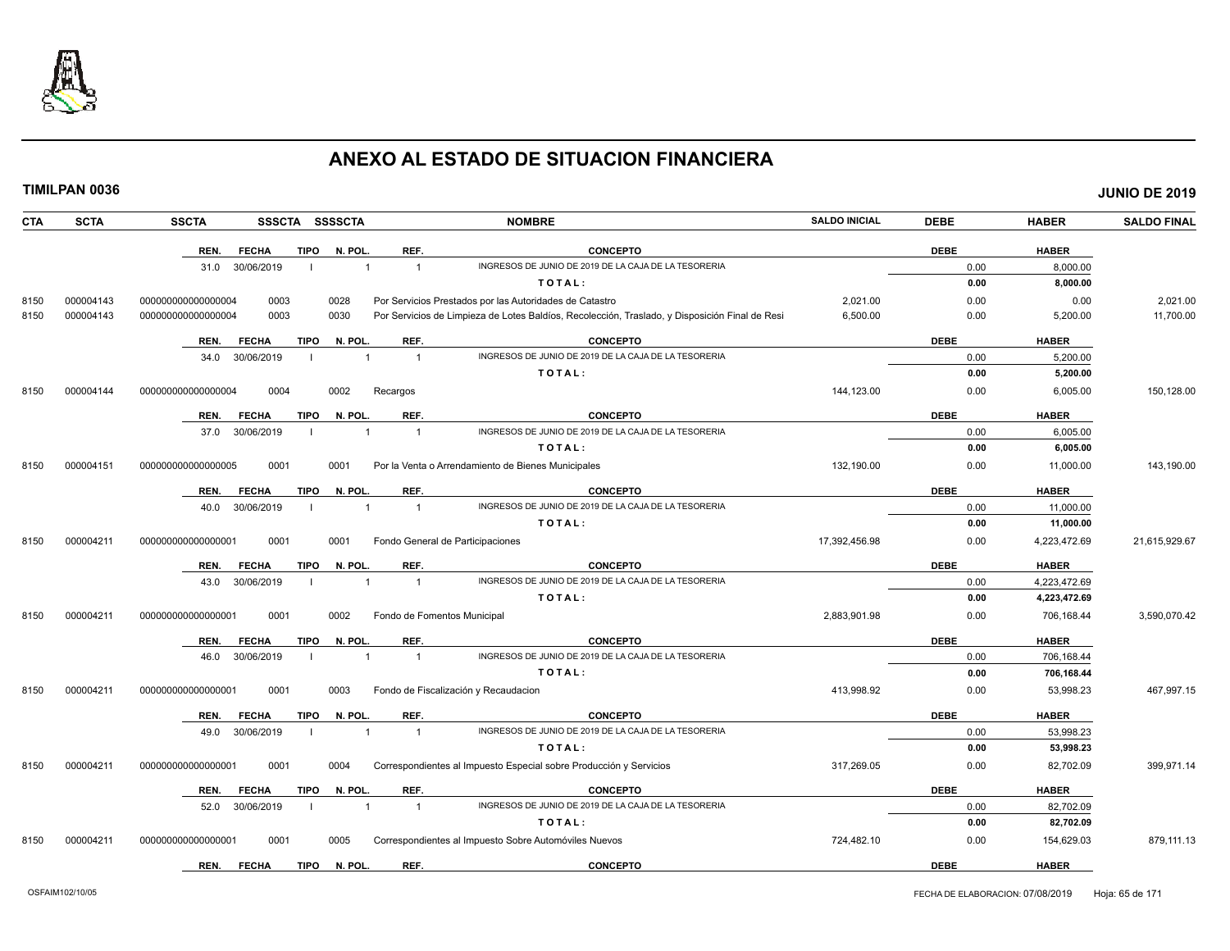

| <b>CTA</b> | <b>SCTA</b> | <b>SSCTA</b>       |              |             | SSSCTA SSSSCTA |                | <b>NOMBRE</b>                                                                                  | <b>SALDO INICIAL</b> | <b>DEBE</b> | <b>HABER</b> | <b>SALDO FINAL</b> |
|------------|-------------|--------------------|--------------|-------------|----------------|----------------|------------------------------------------------------------------------------------------------|----------------------|-------------|--------------|--------------------|
|            |             | REN.               | <b>FECHA</b> | <b>TIPO</b> | N. POL.        | REF.           | <b>CONCEPTO</b>                                                                                |                      | <b>DEBE</b> | <b>HABER</b> |                    |
|            |             | 31.0               | 30/06/2019   |             | $\overline{1}$ | $\overline{1}$ | INGRESOS DE JUNIO DE 2019 DE LA CAJA DE LA TESORERIA                                           |                      | 0.00        | 8.000.00     |                    |
|            |             |                    |              |             |                |                | TOTAL:                                                                                         |                      | 0.00        | 8.000.00     |                    |
| 8150       | 000004143   | 000000000000000004 | 0003         |             | 0028           |                | Por Servicios Prestados por las Autoridades de Catastro                                        | 2,021.00             | 0.00        | 0.00         | 2,021.00           |
| 8150       | 000004143   | 000000000000000004 | 0003         |             | 0030           |                | Por Servicios de Limpieza de Lotes Baldíos, Recolección, Traslado, y Disposición Final de Resi | 6,500.00             | 0.00        | 5,200.00     | 11,700.00          |
|            |             | REN.               | <b>FECHA</b> | <b>TIPO</b> | N. POL         | REF.           | <b>CONCEPTO</b>                                                                                |                      | <b>DEBE</b> | <b>HABER</b> |                    |
|            |             | 34.0               | 30/06/2019   |             |                | $\overline{1}$ | INGRESOS DE JUNIO DE 2019 DE LA CAJA DE LA TESORERIA                                           |                      | 0.00        | 5,200.00     |                    |
|            |             |                    |              |             |                |                | TOTAL:                                                                                         |                      | 0.00        | 5,200.00     |                    |
| 8150       | 000004144   | 000000000000000004 | 0004         |             | 0002           | Recargos       |                                                                                                | 144,123.00           | 0.00        | 6,005.00     | 150,128.00         |
|            |             | REN.               | <b>FECHA</b> | <b>TIPO</b> | N. POL         | REF.           | <b>CONCEPTO</b>                                                                                |                      | <b>DEBE</b> | <b>HABER</b> |                    |
|            |             | 37.0               | 30/06/2019   |             | $\overline{1}$ | $\overline{1}$ | INGRESOS DE JUNIO DE 2019 DE LA CAJA DE LA TESORERIA                                           |                      | 0.00        | 6,005.00     |                    |
|            |             |                    |              |             |                |                | TOTAL:                                                                                         |                      | 0.00        | 6.005.00     |                    |
| 8150       | 000004151   | 000000000000000005 | 0001         |             | 0001           |                | Por la Venta o Arrendamiento de Bienes Municipales                                             | 132.190.00           | 0.00        | 11,000.00    | 143,190.00         |
|            |             | REN.               | <b>FECHA</b> | <b>TIPO</b> | N. POL         | REF.           | <b>CONCEPTO</b>                                                                                |                      | <b>DEBE</b> | <b>HABER</b> |                    |
|            |             | 40.0               | 30/06/2019   |             | $\mathbf{1}$   | $\overline{1}$ | INGRESOS DE JUNIO DE 2019 DE LA CAJA DE LA TESORERIA                                           |                      | 0.00        | 11,000.00    |                    |
|            |             |                    |              |             |                |                | TOTAL:                                                                                         |                      | 0.00        | 11,000.00    |                    |
| 8150       | 000004211   | 00000000000000000  | 0001         |             | 0001           |                | Fondo General de Participaciones                                                               | 17,392,456.98        | 0.00        | 4,223,472.69 | 21,615,929.67      |
|            |             | REN.               | <b>FECHA</b> | <b>TIPO</b> | N. POL         | REF.           | <b>CONCEPTO</b>                                                                                |                      | <b>DEBE</b> | <b>HABER</b> |                    |
|            |             | 43.0               | 30/06/2019   |             |                | $\overline{1}$ | INGRESOS DE JUNIO DE 2019 DE LA CAJA DE LA TESORERIA                                           |                      | 0.00        | 4.223.472.69 |                    |
|            |             |                    |              |             |                |                | TOTAL:                                                                                         |                      | 0.00        | 4,223,472.69 |                    |
| 8150       | 000004211   | 000000000000000001 | 0001         |             | 0002           |                | Fondo de Fomentos Municipal                                                                    | 2.883.901.98         | 0.00        | 706.168.44   | 3,590,070.42       |
|            |             | REN.               | <b>FECHA</b> | <b>TIPO</b> | N. POL         | REF.           | <b>CONCEPTO</b>                                                                                |                      | <b>DEBE</b> | <b>HABER</b> |                    |
|            |             | 46.0               | 30/06/2019   |             | $\mathbf{1}$   | $\overline{1}$ | INGRESOS DE JUNIO DE 2019 DE LA CAJA DE LA TESORERIA                                           |                      | 0.00        | 706,168.44   |                    |
|            |             |                    |              |             |                |                | TOTAL:                                                                                         |                      | 0.00        | 706,168.44   |                    |
| 8150       | 000004211   | 000000000000000001 | 0001         |             | 0003           |                | Fondo de Fiscalización y Recaudacion                                                           | 413,998.92           | 0.00        | 53,998.23    | 467,997.15         |
|            |             | REN.               | <b>FECHA</b> | <b>TIPO</b> | N. POL         | REF.           | <b>CONCEPTO</b>                                                                                |                      | <b>DEBE</b> | <b>HABER</b> |                    |
|            |             | 49.0               | 30/06/2019   | - 1         | $\overline{1}$ | $\overline{1}$ | INGRESOS DE JUNIO DE 2019 DE LA CAJA DE LA TESORERIA                                           |                      | 0.00        | 53,998.23    |                    |
|            |             |                    |              |             |                |                | TOTAL:                                                                                         |                      | 0.00        | 53,998.23    |                    |
| 8150       | 000004211   | 000000000000000001 | 0001         |             | 0004           |                | Correspondientes al Impuesto Especial sobre Producción y Servicios                             | 317,269.05           | 0.00        | 82,702.09    | 399,971.14         |
|            |             | REN.               | <b>FECHA</b> | <b>TIPO</b> | N. POL         | REF.           | <b>CONCEPTO</b>                                                                                |                      | <b>DEBE</b> | <b>HABER</b> |                    |
|            |             | 52.0               | 30/06/2019   |             | $\overline{1}$ | $\overline{1}$ | INGRESOS DE JUNIO DE 2019 DE LA CAJA DE LA TESORERIA                                           |                      | 0.00        | 82,702.09    |                    |
|            |             |                    |              |             |                |                | TOTAL:                                                                                         |                      | 0.00        | 82,702.09    |                    |
| 8150       | 000004211   | 00000000000000000  | 0001         |             | 0005           |                | Correspondientes al Impuesto Sobre Automóviles Nuevos                                          | 724,482.10           | 0.00        | 154,629.03   | 879,111.13         |
|            |             | REN.               | <b>FECHA</b> | <b>TIPO</b> | N. POL         | REF.           | <b>CONCEPTO</b>                                                                                |                      | <b>DEBE</b> | <b>HABER</b> |                    |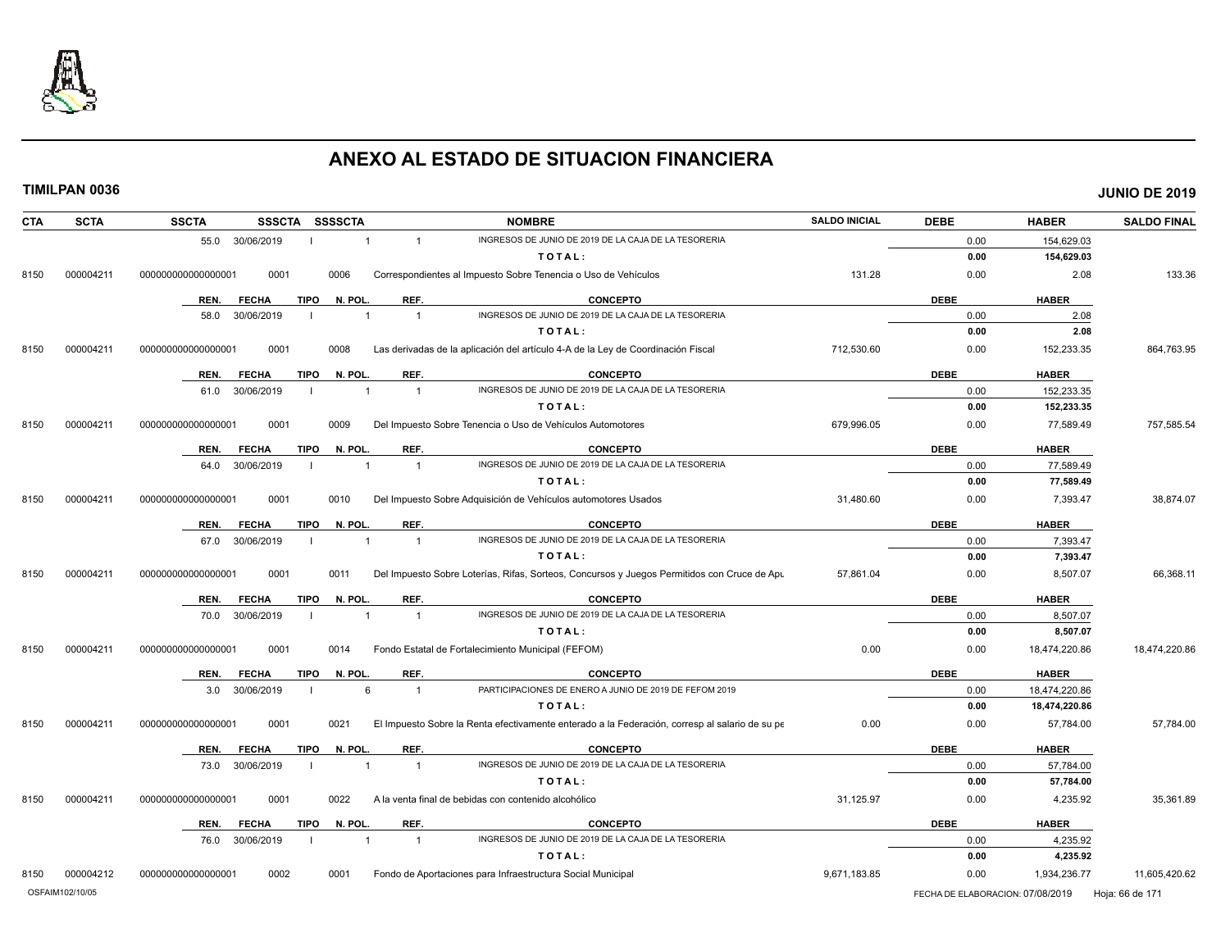

|--|

| <b>CTA</b><br><b>SCTA</b> | <b>SSCTA</b><br><b>SSSCTA</b><br>SSSSCTA<br><b>NOMBRE</b>                                                                           | <b>SALDO INICIAL</b> | <b>DEBE</b> | <b>HABER</b>  | <b>SALDO FINAL</b> |
|---------------------------|-------------------------------------------------------------------------------------------------------------------------------------|----------------------|-------------|---------------|--------------------|
|                           | INGRESOS DE JUNIO DE 2019 DE LA CAJA DE LA TESORERIA<br>55.0 30/06/2019<br>$\overline{1}$<br>$\overline{1}$                         |                      | 0.00        | 154,629.03    |                    |
|                           | TOTAL:                                                                                                                              |                      | 0.00        | 154,629.03    |                    |
| 8150<br>000004211         | 000000000000000001<br>0001<br>Correspondientes al Impuesto Sobre Tenencia o Uso de Vehículos<br>0006                                | 131.28               | 0.00        | 2.08          | 133.36             |
|                           | N. POL.<br>REF.<br><b>CONCEPTO</b><br>REN.<br><b>FECHA</b><br>TIPO                                                                  |                      | <b>DEBE</b> | <b>HABER</b>  |                    |
|                           | INGRESOS DE JUNIO DE 2019 DE LA CAJA DE LA TESORERIA<br>58.0<br>30/06/2019<br>$\overline{1}$<br>$\overline{1}$                      |                      | 0.00        | 2.08          |                    |
|                           | TOTAL:                                                                                                                              |                      | 0.00        | 2.08          |                    |
| 8150<br>000004211         | 0001<br>Las derivadas de la aplicación del artículo 4-A de la Ley de Coordinación Fiscal<br>000000000000000001<br>0008              | 712,530.60           | 0.00        | 152,233.35    | 864,763.95         |
|                           | <b>FECHA</b><br><b>TIPO</b><br>N. POL.<br>REF.<br><b>CONCEPTO</b><br>REN.                                                           |                      | <b>DEBE</b> | <b>HABER</b>  |                    |
|                           | INGRESOS DE JUNIO DE 2019 DE LA CAJA DE LA TESORERIA<br>61.0 30/06/2019<br>$\overline{1}$                                           |                      | 0.00        | 152,233.35    |                    |
|                           | TOTAL:                                                                                                                              |                      | 0.00        | 152,233.35    |                    |
| 8150<br>000004211         | 0001<br>000000000000000001<br>0009<br>Del Impuesto Sobre Tenencia o Uso de Vehículos Automotores                                    | 679,996.05           | 0.00        | 77,589.49     | 757,585.54         |
|                           | N. POL.<br>REF.<br><b>CONCEPTO</b><br>REN.<br><b>FECHA</b><br><b>TIPO</b>                                                           |                      | <b>DEBE</b> | <b>HABER</b>  |                    |
|                           | INGRESOS DE JUNIO DE 2019 DE LA CAJA DE LA TESORERIA<br>30/06/2019<br>$\overline{1}$<br>64.0                                        |                      | 0.00        | 77,589.49     |                    |
|                           | TOTAL:                                                                                                                              |                      | 0.00        | 77,589.49     |                    |
| 8150<br>000004211         | 0001<br>Del Impuesto Sobre Adquisición de Vehículos automotores Usados<br>000000000000000001<br>0010                                | 31,480.60            | 0.00        | 7,393.47      | 38,874.07          |
|                           | N. POL.<br>REF.<br><b>CONCEPTO</b><br><b>FECHA</b><br>TIPO<br>REN.                                                                  |                      | <b>DEBE</b> | <b>HABER</b>  |                    |
|                           | INGRESOS DE JUNIO DE 2019 DE LA CAJA DE LA TESORERIA<br>30/06/2019<br>67.0<br>$\mathbf{1}$                                          |                      | 0.00        | 7,393.47      |                    |
|                           | TOTAL:                                                                                                                              |                      | 0.00        | 7,393.47      |                    |
| 8150<br>000004211         | 0001<br>000000000000000001<br>0011<br>Del Impuesto Sobre Loterías, Rifas, Sorteos, Concursos y Juegos Permitidos con Cruce de Apu   | 57,861.04            | 0.00        | 8,507.07      | 66,368.11          |
|                           | N. POL.<br>REF.<br><b>FECHA</b><br><b>TIPO</b><br><b>CONCEPTO</b><br>REN.                                                           |                      | <b>DEBE</b> | <b>HABER</b>  |                    |
|                           | INGRESOS DE JUNIO DE 2019 DE LA CAJA DE LA TESORERIA<br>70.0 30/06/2019<br>$\overline{1}$<br>$\overline{1}$                         |                      | 0.00        | 8,507.07      |                    |
|                           | TOTAL:                                                                                                                              |                      | 0.00        | 8,507.07      |                    |
| 8150<br>000004211         | 000000000000000001<br>0001<br>0014<br>Fondo Estatal de Fortalecimiento Municipal (FEFOM)                                            | 0.00                 | 0.00        | 18,474,220.86 | 18,474,220.86      |
|                           | <b>FECHA</b><br><b>TIPO</b><br>N. POL.<br>REF.<br><b>CONCEPTO</b><br>REN.                                                           |                      | <b>DEBE</b> | <b>HABER</b>  |                    |
|                           | 30/06/2019<br>PARTICIPACIONES DE ENERO A JUNIO DE 2019 DE FEFOM 2019<br>6<br>$\overline{1}$<br>3.0                                  |                      | 0.00        | 18,474,220.86 |                    |
|                           | TOTAL:                                                                                                                              |                      | 0.00        | 18,474,220.86 |                    |
| 000004211<br>8150         | 00000000000000001<br>0001<br>0021<br>El Impuesto Sobre la Renta efectivamente enterado a la Federación, corresp al salario de su pe | 0.00                 | 0.00        | 57,784.00     | 57,784.00          |
|                           | N. POL.<br>REF.<br><b>CONCEPTO</b><br><b>FECHA</b><br>TIPO<br>REN.                                                                  |                      | <b>DEBE</b> | <b>HABER</b>  |                    |
|                           | INGRESOS DE JUNIO DE 2019 DE LA CAJA DE LA TESORERIA<br>30/06/2019<br>$\overline{1}$<br>73.0<br>$\mathbf{1}$                        |                      | 0.00        | 57,784.00     |                    |
|                           | TOTAL:                                                                                                                              |                      | 0.00        | 57,784.00     |                    |
| 000004211<br>8150         | 00000000000000001<br>0001<br>0022<br>A la venta final de bebidas con contenido alcohólico                                           | 31,125.97            | 0.00        | 4,235.92      | 35,361.89          |
|                           | REF.<br>N. POL.<br><b>CONCEPTO</b><br>REN.<br><b>FECHA</b><br>TIPO                                                                  |                      | <b>DEBE</b> | <b>HABER</b>  |                    |
|                           | INGRESOS DE JUNIO DE 2019 DE LA CAJA DE LA TESORERIA<br>30/06/2019<br>76.0<br>$\mathbf{1}$                                          |                      | 0.00        | 4,235.92      |                    |
|                           | TOTAL:                                                                                                                              |                      | 0.00        | 4,235.92      |                    |
| 000004212<br>8150         | Fondo de Aportaciones para Infraestructura Social Municipal<br>000000000000000001<br>0002<br>0001                                   | 9,671,183.85         | 0.00        | 1,934,236.77  | 11,605,420.62      |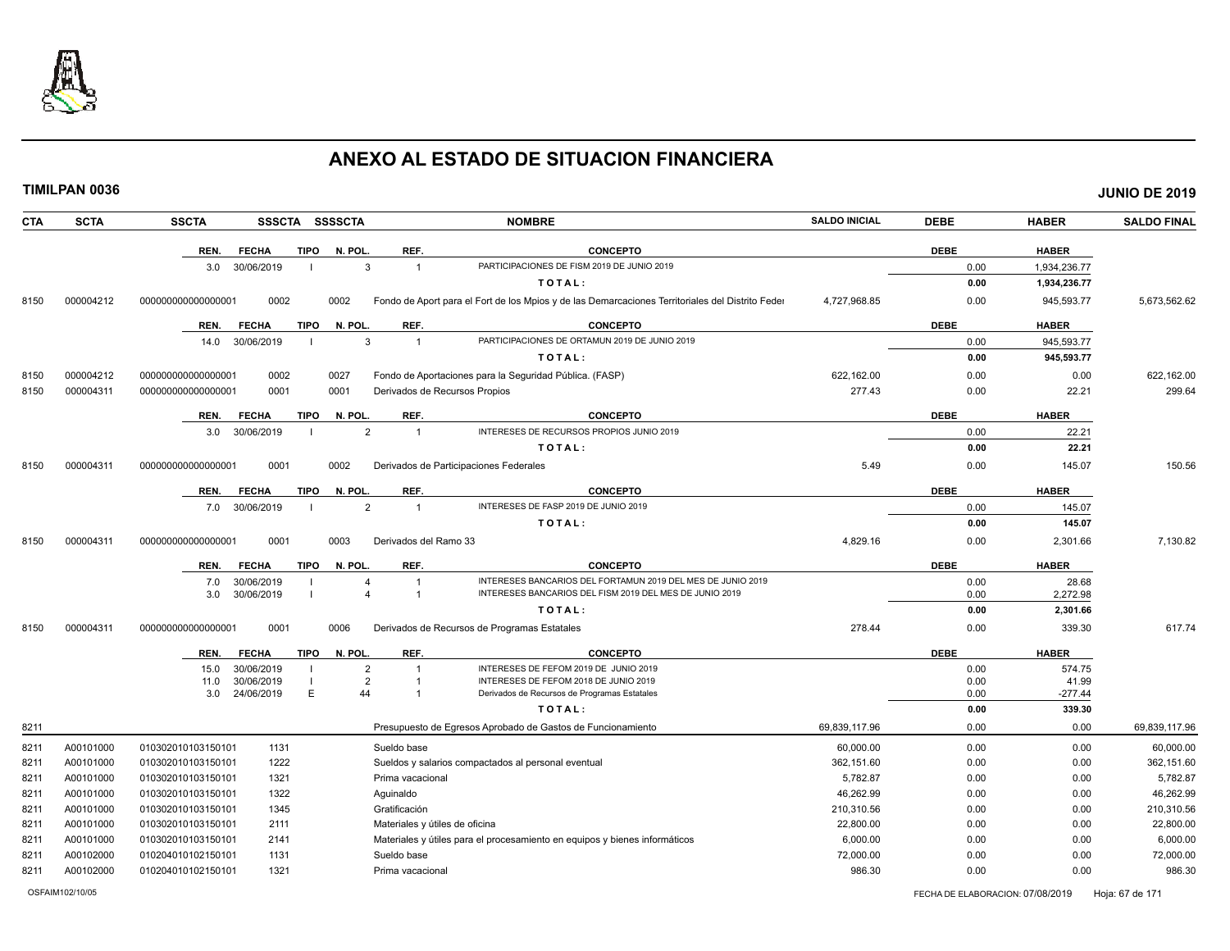

|--|

| <b>CTA</b> | <b>SCTA</b> | <b>SSCTA</b>       | <b>SSSCTA</b> |             | <b>SSSSCTA</b> |                                  | <b>NOMBRE</b>                                                                                    | <b>SALDO INICIAL</b> | <b>DEBE</b>  | <b>HABER</b> | <b>SALDO FINAL</b> |
|------------|-------------|--------------------|---------------|-------------|----------------|----------------------------------|--------------------------------------------------------------------------------------------------|----------------------|--------------|--------------|--------------------|
|            |             | REN.               | <b>FECHA</b>  | <b>TIPO</b> | N. POL         | REF.                             | <b>CONCEPTO</b>                                                                                  |                      | <b>DEBE</b>  | <b>HABER</b> |                    |
|            |             | 3.0                | 30/06/2019    |             |                | 3<br>$\overline{1}$              | PARTICIPACIONES DE FISM 2019 DE JUNIO 2019                                                       |                      | 0.00         | 1,934,236.77 |                    |
|            |             |                    |               |             |                |                                  | TOTAL:                                                                                           |                      | 0.00         | 1,934,236.77 |                    |
| 8150       | 000004212   | 00000000000000000  | 0002          |             | 0002           |                                  | Fondo de Aport para el Fort de los Mpios y de las Demarcaciones Territoriales del Distrito Feder | 4,727,968.85         | 0.00         | 945.593.77   | 5,673,562.62       |
|            |             | REN.               | <b>FECHA</b>  | <b>TIPO</b> | N. POL         | REF.                             | <b>CONCEPTO</b>                                                                                  |                      | <b>DEBE</b>  | <b>HABER</b> |                    |
|            |             | 14.0               | 30/06/2019    |             |                | 3<br>$\overline{1}$              | PARTICIPACIONES DE ORTAMUN 2019 DE JUNIO 2019                                                    |                      | 0.00         | 945,593.77   |                    |
|            |             |                    |               |             |                |                                  | TOTAL:                                                                                           |                      | 0.00         | 945,593.77   |                    |
| 8150       | 000004212   | 00000000000000000  | 0002          |             | 0027           |                                  | Fondo de Aportaciones para la Seguridad Pública. (FASP)                                          | 622.162.00           | 0.00         | 0.00         | 622.162.00         |
| 8150       | 000004311   | 00000000000000000  | 0001          |             | 0001           |                                  | Derivados de Recursos Propios                                                                    | 277.43               | 0.00         | 22.21        | 299.64             |
|            |             | REN.               | <b>FECHA</b>  | <b>TIPO</b> | N. POL         | REF.                             | <b>CONCEPTO</b>                                                                                  |                      | <b>DEBE</b>  | <b>HABER</b> |                    |
|            |             | 3.0                | 30/06/2019    |             |                | $\overline{2}$<br>$\overline{1}$ | INTERESES DE RECURSOS PROPIOS JUNIO 2019                                                         |                      | 0.00         | 22.21        |                    |
|            |             |                    |               |             |                |                                  | TOTAL:                                                                                           |                      | 0.00         | 22.21        |                    |
| 8150       | 000004311   | 00000000000000000  | 0001          |             | 0002           |                                  | Derivados de Participaciones Federales                                                           | 5.49                 | 0.00         | 145.07       | 150.56             |
|            |             | REN.               | <b>FECHA</b>  | <b>TIPO</b> | N. POL         | REF.                             | <b>CONCEPTO</b>                                                                                  |                      | <b>DEBE</b>  | <b>HABER</b> |                    |
|            |             | 7.0                | 30/06/2019    |             |                | $\overline{2}$<br>$\overline{1}$ | INTERESES DE FASP 2019 DE JUNIO 2019                                                             |                      | 0.00         | 145.07       |                    |
|            |             |                    |               |             |                |                                  | TOTAL:                                                                                           |                      | 0.00         | 145.07       |                    |
| 8150       | 000004311   | 00000000000000000  | 0001          |             | 0003           | Derivados del Ramo 33            |                                                                                                  | 4,829.16             | 0.00         | 2,301.66     | 7,130.82           |
|            |             | REN.               | <b>FECHA</b>  | <b>TIPO</b> | N. POL         | REF.                             | <b>CONCEPTO</b>                                                                                  |                      | <b>DEBE</b>  | <b>HABER</b> |                    |
|            |             | 7.0                | 30/06/2019    |             |                |                                  | INTERESES BANCARIOS DEL FORTAMUN 2019 DEL MES DE JUNIO 2019                                      |                      | 0.00         | 28.68        |                    |
|            |             | 3.0                | 30/06/2019    |             | $\overline{4}$ | $\mathbf{1}$                     | INTERESES BANCARIOS DEL FISM 2019 DEL MES DE JUNIO 2019                                          |                      | 0.00         | 2,272.98     |                    |
|            |             |                    |               |             |                |                                  | TOTAL:                                                                                           |                      | 0.00         | 2,301.66     |                    |
| 8150       | 000004311   | 00000000000000000  | 0001          |             | 0006           |                                  | Derivados de Recursos de Programas Estatales                                                     | 278.44               | 0.00         | 339.30       | 617.74             |
|            |             | REN.               | <b>FECHA</b>  | <b>TIPO</b> | N. POL         | REF.                             | <b>CONCEPTO</b>                                                                                  |                      | <b>DEBE</b>  | <b>HABER</b> |                    |
|            |             | 15.0               | 30/06/2019    |             | $\overline{2}$ |                                  | INTERESES DE FEFOM 2019 DE JUNIO 2019                                                            |                      | 0.00         | 574.75       |                    |
|            |             | 11.0               | 30/06/2019    | E           | 44             | $\overline{2}$                   | INTERESES DE FEFOM 2018 DE JUNIO 2019<br>Derivados de Recursos de Programas Estatales            |                      | 0.00         | 41.99        |                    |
|            |             | 3.0                | 24/06/2019    |             |                |                                  | TOTAL:                                                                                           |                      | 0.00<br>0.00 | $-277.44$    |                    |
|            |             |                    |               |             |                |                                  |                                                                                                  |                      |              | 339.30       |                    |
| 8211       |             |                    |               |             |                |                                  | Presupuesto de Egresos Aprobado de Gastos de Funcionamiento                                      | 69,839,117.96        | 0.00         | 0.00         | 69,839,117.96      |
| 8211       | A00101000   | 010302010103150101 | 1131          |             |                | Sueldo base                      |                                                                                                  | 60,000.00            | 0.00         | 0.00         | 60,000.00          |
| 8211       | A00101000   | 010302010103150101 | 1222          |             |                |                                  | Sueldos y salarios compactados al personal eventual                                              | 362.151.60           | 0.00         | 0.00         | 362,151.60         |
| 8211       | A00101000   | 010302010103150101 | 1321          |             |                | Prima vacacional                 |                                                                                                  | 5,782.87             | 0.00         | 0.00         | 5,782.87           |
| 8211       | A00101000   | 010302010103150101 | 1322          |             |                | Aguinaldo                        |                                                                                                  | 46,262.99            | 0.00         | 0.00         | 46,262.99          |
| 8211       | A00101000   | 010302010103150101 | 1345          |             |                | Gratificación                    |                                                                                                  | 210,310.56           | 0.00         | 0.00         | 210,310.56         |
| 8211       | A00101000   | 010302010103150101 | 2111          |             |                | Materiales y útiles de oficina   |                                                                                                  | 22,800.00            | 0.00         | 0.00         | 22,800.00          |
| 8211       | A00101000   | 010302010103150101 | 2141          |             |                |                                  | Materiales y útiles para el procesamiento en equipos y bienes informáticos                       | 6.000.00             | 0.00         | 0.00         | 6,000.00           |
| 8211       | A00102000   | 010204010102150101 | 1131          |             |                | Sueldo base                      |                                                                                                  | 72,000.00            | 0.00         | 0.00         | 72,000.00          |
| 8211       | A00102000   | 010204010102150101 | 1321          |             |                | Prima vacacional                 |                                                                                                  | 986.30               | 0.00         | 0.00         | 986.30             |

OSFAIM102/10/05 FECHA DE ELABORACION: 07/08/2019 Hoja: 67 de 171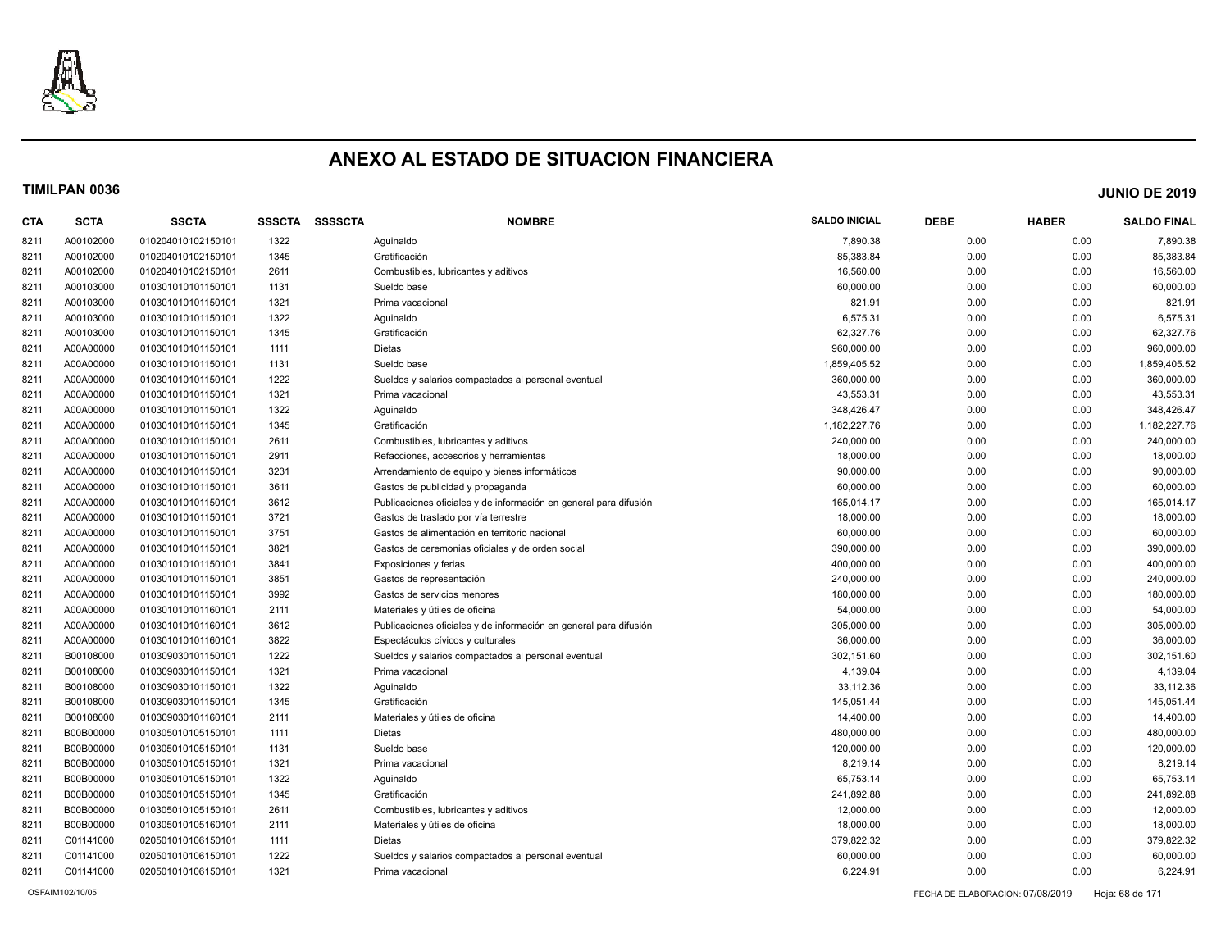

| CTA  | <b>SCTA</b> | <b>SSCTA</b>       | <b>SSSCTA</b> | <b>SSSSCTA</b> | <b>NOMBRE</b>                                                     | <b>SALDO INICIAL</b> | <b>DEBE</b> | <b>HABER</b> | <b>SALDO FINAL</b> |
|------|-------------|--------------------|---------------|----------------|-------------------------------------------------------------------|----------------------|-------------|--------------|--------------------|
| 8211 | A00102000   | 010204010102150101 | 1322          |                | Aquinaldo                                                         | 7,890.38             | 0.00        | 0.00         | 7,890.38           |
| 8211 | A00102000   | 010204010102150101 | 1345          |                | Gratificación                                                     | 85,383.84            | 0.00        | 0.00         | 85,383.84          |
| 8211 | A00102000   | 010204010102150101 | 2611          |                | Combustibles, lubricantes y aditivos                              | 16,560.00            | 0.00        | 0.00         | 16,560.00          |
| 8211 | A00103000   | 010301010101150101 | 1131          |                | Sueldo base                                                       | 60,000.00            | 0.00        | 0.00         | 60,000.00          |
| 8211 | A00103000   | 010301010101150101 | 1321          |                | Prima vacacional                                                  | 821.91               | 0.00        | 0.00         | 821.91             |
| 8211 | A00103000   | 010301010101150101 | 1322          |                | Aguinaldo                                                         | 6,575.31             | 0.00        | 0.00         | 6,575.31           |
| 8211 | A00103000   | 010301010101150101 | 1345          |                | Gratificación                                                     | 62,327.76            | 0.00        | 0.00         | 62,327.76          |
| 8211 | A00A00000   | 010301010101150101 | 1111          |                | <b>Dietas</b>                                                     | 960,000.00           | 0.00        | 0.00         | 960,000.00         |
| 8211 | A00A00000   | 010301010101150101 | 1131          |                | Sueldo base                                                       | 1,859,405.52         | 0.00        | 0.00         | 1,859,405.52       |
| 8211 | A00A00000   | 010301010101150101 | 1222          |                | Sueldos y salarios compactados al personal eventual               | 360,000.00           | 0.00        | 0.00         | 360,000.00         |
| 8211 | A00A00000   | 010301010101150101 | 1321          |                | Prima vacacional                                                  | 43,553.31            | 0.00        | 0.00         | 43,553.31          |
| 8211 | A00A00000   | 010301010101150101 | 1322          |                | Aguinaldo                                                         | 348,426.47           | 0.00        | 0.00         | 348,426.47         |
| 8211 | A00A00000   | 010301010101150101 | 1345          |                | Gratificación                                                     | 1,182,227.76         | 0.00        | 0.00         | 1,182,227.76       |
| 8211 | A00A00000   | 010301010101150101 | 2611          |                | Combustibles, lubricantes y aditivos                              | 240.000.00           | 0.00        | 0.00         | 240,000.00         |
| 8211 | A00A00000   | 010301010101150101 | 2911          |                | Refacciones, accesorios y herramientas                            | 18,000.00            | 0.00        | 0.00         | 18,000.00          |
| 8211 | A00A00000   | 010301010101150101 | 3231          |                | Arrendamiento de equipo y bienes informáticos                     | 90,000.00            | 0.00        | 0.00         | 90,000.00          |
| 8211 | A00A00000   | 010301010101150101 | 3611          |                | Gastos de publicidad y propaganda                                 | 60,000.00            | 0.00        | 0.00         | 60,000.00          |
| 8211 | A00A00000   | 010301010101150101 | 3612          |                | Publicaciones oficiales y de información en general para difusión | 165,014.17           | 0.00        | 0.00         | 165,014.17         |
| 8211 | A00A00000   | 010301010101150101 | 3721          |                | Gastos de traslado por vía terrestre                              | 18,000.00            | 0.00        | 0.00         | 18,000.00          |
| 8211 | A00A00000   | 010301010101150101 | 3751          |                | Gastos de alimentación en territorio nacional                     | 60,000.00            | 0.00        | 0.00         | 60,000.00          |
| 8211 | A00A00000   | 010301010101150101 | 3821          |                | Gastos de ceremonias oficiales y de orden social                  | 390,000.00           | 0.00        | 0.00         | 390,000.00         |
| 8211 | A00A00000   | 010301010101150101 | 3841          |                | Exposiciones y ferias                                             | 400,000.00           | 0.00        | 0.00         | 400,000.00         |
| 8211 | A00A00000   | 010301010101150101 | 3851          |                | Gastos de representación                                          | 240,000.00           | 0.00        | 0.00         | 240,000.00         |
| 8211 | A00A00000   | 010301010101150101 | 3992          |                | Gastos de servicios menores                                       | 180,000.00           | 0.00        | 0.00         | 180,000.00         |
| 8211 | A00A00000   | 010301010101160101 | 2111          |                | Materiales y útiles de oficina                                    | 54,000.00            | 0.00        | 0.00         | 54,000.00          |
| 8211 | A00A00000   | 010301010101160101 | 3612          |                | Publicaciones oficiales y de información en general para difusión | 305,000.00           | 0.00        | 0.00         | 305,000.00         |
| 8211 | A00A00000   | 010301010101160101 | 3822          |                | Espectáculos cívicos y culturales                                 | 36,000.00            | 0.00        | 0.00         | 36,000.00          |
| 8211 | B00108000   | 010309030101150101 | 1222          |                | Sueldos y salarios compactados al personal eventual               | 302,151.60           | 0.00        | 0.00         | 302,151.60         |
| 8211 | B00108000   | 010309030101150101 | 1321          |                | Prima vacacional                                                  | 4,139.04             | 0.00        | 0.00         | 4,139.04           |
| 8211 | B00108000   | 010309030101150101 | 1322          |                | Aguinaldo                                                         | 33,112.36            | 0.00        | 0.00         | 33,112.36          |
| 8211 | B00108000   | 010309030101150101 | 1345          |                | Gratificación                                                     | 145,051.44           | 0.00        | 0.00         | 145,051.44         |
| 8211 | B00108000   | 010309030101160101 | 2111          |                | Materiales y útiles de oficina                                    | 14,400.00            | 0.00        | 0.00         | 14,400.00          |
| 8211 | B00B00000   | 010305010105150101 | 1111          |                | Dietas                                                            | 480,000.00           | 0.00        | 0.00         | 480,000.00         |
| 8211 | B00B00000   | 010305010105150101 | 1131          |                | Sueldo base                                                       | 120,000.00           | 0.00        | 0.00         | 120,000.00         |
| 8211 | B00B00000   | 010305010105150101 | 1321          |                | Prima vacacional                                                  | 8,219.14             | 0.00        | 0.00         | 8,219.14           |
| 8211 | B00B00000   | 010305010105150101 | 1322          |                | Aguinaldo                                                         | 65,753.14            | 0.00        | 0.00         | 65,753.14          |
| 8211 | B00B00000   | 010305010105150101 | 1345          |                | Gratificación                                                     | 241,892.88           | 0.00        | 0.00         | 241,892.88         |
| 8211 | B00B00000   | 010305010105150101 | 2611          |                | Combustibles, lubricantes y aditivos                              | 12,000.00            | 0.00        | 0.00         | 12,000.00          |
| 8211 | B00B00000   | 010305010105160101 | 2111          |                | Materiales y útiles de oficina                                    | 18,000.00            | 0.00        | 0.00         | 18,000.00          |
| 8211 | C01141000   | 020501010106150101 | 1111          |                | Dietas                                                            | 379,822.32           | 0.00        | 0.00         | 379,822.32         |
| 8211 | C01141000   | 020501010106150101 | 1222          |                | Sueldos y salarios compactados al personal eventual               | 60,000.00            | 0.00        | 0.00         | 60,000.00          |
| 8211 | C01141000   | 020501010106150101 | 1321          |                | Prima vacacional                                                  | 6,224.91             | 0.00        | 0.00         | 6,224.91           |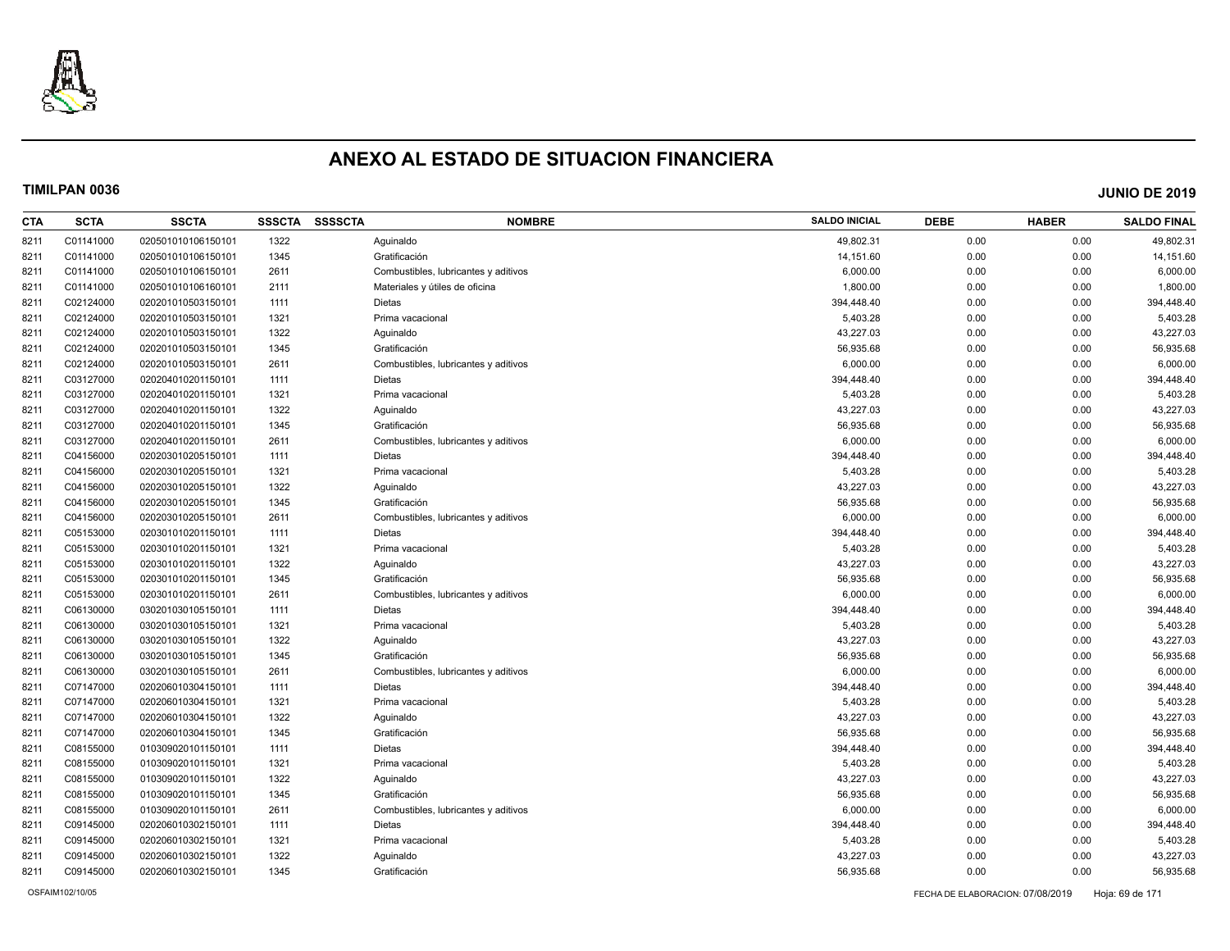

| CTA  | <b>SCTA</b> | <b>SSCTA</b>       | <b>SSSCTA</b> | <b>SSSSCTA</b> | <b>NOMBRE</b>                        | <b>SALDO INICIAL</b> | <b>DEBE</b> | <b>HABER</b> | <b>SALDO FINAL</b> |
|------|-------------|--------------------|---------------|----------------|--------------------------------------|----------------------|-------------|--------------|--------------------|
| 8211 | C01141000   | 020501010106150101 | 1322          |                | Aquinaldo                            | 49.802.31            | 0.00        | 0.00         | 49,802.31          |
| 8211 | C01141000   | 020501010106150101 | 1345          |                | Gratificación                        | 14,151.60            | 0.00        | 0.00         | 14,151.60          |
| 8211 | C01141000   | 020501010106150101 | 2611          |                | Combustibles, lubricantes y aditivos | 6,000.00             | 0.00        | 0.00         | 6,000.00           |
| 8211 | C01141000   | 020501010106160101 | 2111          |                | Materiales y útiles de oficina       | 1,800.00             | 0.00        | 0.00         | 1,800.00           |
| 8211 | C02124000   | 020201010503150101 | 1111          |                | <b>Dietas</b>                        | 394,448.40           | 0.00        | 0.00         | 394,448.40         |
| 8211 | C02124000   | 020201010503150101 | 1321          |                | Prima vacacional                     | 5,403.28             | 0.00        | 0.00         | 5,403.28           |
| 8211 | C02124000   | 020201010503150101 | 1322          |                | Aguinaldo                            | 43,227.03            | 0.00        | 0.00         | 43,227.03          |
| 8211 | C02124000   | 020201010503150101 | 1345          |                | Gratificación                        | 56,935.68            | 0.00        | 0.00         | 56,935.68          |
| 8211 | C02124000   | 020201010503150101 | 2611          |                | Combustibles, lubricantes y aditivos | 6,000.00             | 0.00        | 0.00         | 6,000.00           |
| 8211 | C03127000   | 020204010201150101 | 1111          |                | <b>Dietas</b>                        | 394,448.40           | 0.00        | 0.00         | 394,448.40         |
| 8211 | C03127000   | 020204010201150101 | 1321          |                | Prima vacacional                     | 5,403.28             | 0.00        | 0.00         | 5,403.28           |
| 8211 | C03127000   | 020204010201150101 | 1322          |                | Aguinaldo                            | 43,227.03            | 0.00        | 0.00         | 43,227.03          |
| 8211 | C03127000   | 020204010201150101 | 1345          |                | Gratificación                        | 56,935.68            | 0.00        | 0.00         | 56,935.68          |
| 8211 | C03127000   | 020204010201150101 | 2611          |                | Combustibles, lubricantes y aditivos | 6,000.00             | 0.00        | 0.00         | 6,000.00           |
| 8211 | C04156000   | 020203010205150101 | 1111          |                | <b>Dietas</b>                        | 394,448.40           | 0.00        | 0.00         | 394,448.40         |
| 8211 | C04156000   | 020203010205150101 | 1321          |                | Prima vacacional                     | 5,403.28             | 0.00        | 0.00         | 5,403.28           |
| 8211 | C04156000   | 020203010205150101 | 1322          |                | Aquinaldo                            | 43,227.03            | 0.00        | 0.00         | 43,227.03          |
| 8211 | C04156000   | 020203010205150101 | 1345          |                | Gratificación                        | 56,935.68            | 0.00        | 0.00         | 56,935.68          |
| 8211 | C04156000   | 020203010205150101 | 2611          |                | Combustibles, lubricantes y aditivos | 6,000.00             | 0.00        | 0.00         | 6,000.00           |
| 8211 | C05153000   | 020301010201150101 | 1111          |                | <b>Dietas</b>                        | 394,448.40           | 0.00        | 0.00         | 394,448.40         |
| 8211 | C05153000   | 020301010201150101 | 1321          |                | Prima vacacional                     | 5,403.28             | 0.00        | 0.00         | 5,403.28           |
| 8211 | C05153000   | 020301010201150101 | 1322          |                | Aguinaldo                            | 43,227.03            | 0.00        | 0.00         | 43,227.03          |
| 8211 | C05153000   | 020301010201150101 | 1345          |                | Gratificación                        | 56,935.68            | 0.00        | 0.00         | 56,935.68          |
| 8211 | C05153000   | 020301010201150101 | 2611          |                | Combustibles, lubricantes y aditivos | 6,000.00             | 0.00        | 0.00         | 6,000.00           |
| 8211 | C06130000   | 030201030105150101 | 1111          |                | <b>Dietas</b>                        | 394,448.40           | 0.00        | 0.00         | 394,448.40         |
| 8211 | C06130000   | 030201030105150101 | 1321          |                | Prima vacacional                     | 5,403.28             | 0.00        | 0.00         | 5,403.28           |
| 8211 | C06130000   | 030201030105150101 | 1322          |                | Aguinaldo                            | 43,227.03            | 0.00        | 0.00         | 43,227.03          |
| 8211 | C06130000   | 030201030105150101 | 1345          |                | Gratificación                        | 56,935.68            | 0.00        | 0.00         | 56,935.68          |
| 8211 | C06130000   | 030201030105150101 | 2611          |                | Combustibles, lubricantes y aditivos | 6,000.00             | 0.00        | 0.00         | 6,000.00           |
| 8211 | C07147000   | 020206010304150101 | 1111          |                | Dietas                               | 394,448.40           | 0.00        | 0.00         | 394,448.40         |
| 8211 | C07147000   | 020206010304150101 | 1321          |                | Prima vacacional                     | 5,403.28             | 0.00        | 0.00         | 5,403.28           |
| 8211 | C07147000   | 020206010304150101 | 1322          |                | Aquinaldo                            | 43,227.03            | 0.00        | 0.00         | 43,227.03          |
| 8211 | C07147000   | 020206010304150101 | 1345          |                | Gratificación                        | 56,935.68            | 0.00        | 0.00         | 56,935.68          |
| 8211 | C08155000   | 010309020101150101 | 1111          |                | Dietas                               | 394,448.40           | 0.00        | 0.00         | 394,448.40         |
| 8211 | C08155000   | 010309020101150101 | 1321          |                | Prima vacacional                     | 5,403.28             | 0.00        | 0.00         | 5,403.28           |
| 8211 | C08155000   | 010309020101150101 | 1322          |                | Aguinaldo                            | 43,227.03            | 0.00        | 0.00         | 43,227.03          |
| 8211 | C08155000   | 010309020101150101 | 1345          |                | Gratificación                        | 56,935.68            | 0.00        | 0.00         | 56,935.68          |
| 8211 | C08155000   | 010309020101150101 | 2611          |                | Combustibles, lubricantes y aditivos | 6,000.00             | 0.00        | 0.00         | 6,000.00           |
| 8211 | C09145000   | 020206010302150101 | 1111          |                | <b>Dietas</b>                        | 394,448.40           | 0.00        | 0.00         | 394,448.40         |
| 8211 | C09145000   | 020206010302150101 | 1321          |                | Prima vacacional                     | 5,403.28             | 0.00        | 0.00         | 5,403.28           |
| 8211 | C09145000   | 020206010302150101 | 1322          |                | Aguinaldo                            | 43,227.03            | 0.00        | 0.00         | 43,227.03          |
| 8211 | C09145000   | 020206010302150101 | 1345          |                | Gratificación                        | 56,935.68            | 0.00        | 0.00         | 56,935.68          |
|      |             |                    |               |                |                                      |                      |             |              |                    |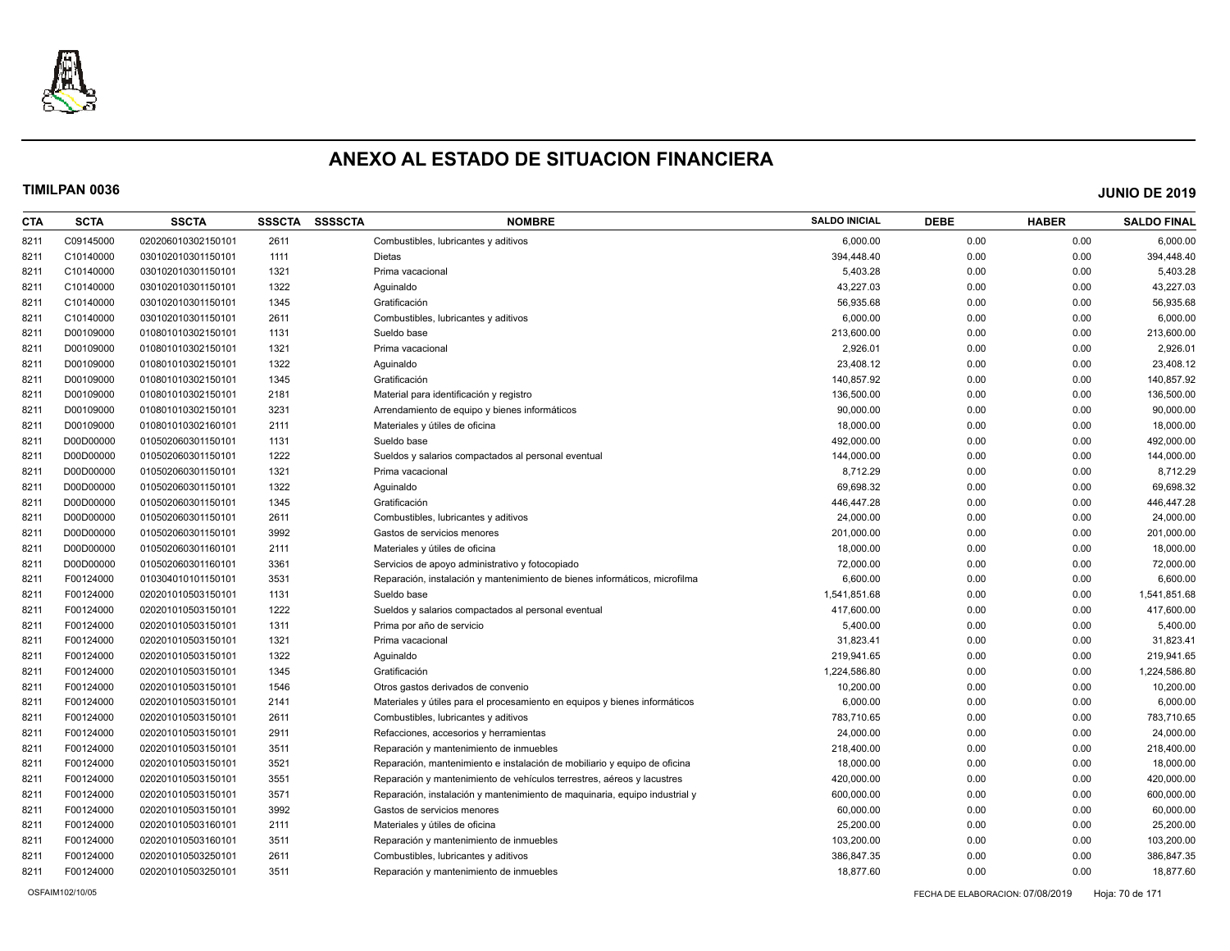

| CTA  | <b>SCTA</b> | <b>SSCTA</b>       | <b>SSSCTA</b> | <b>SSSSCTA</b> | <b>NOMBRE</b>                                                              | <b>SALDO INICIAL</b> | <b>DEBE</b> | <b>HABER</b> | <b>SALDO FINAL</b> |
|------|-------------|--------------------|---------------|----------------|----------------------------------------------------------------------------|----------------------|-------------|--------------|--------------------|
| 8211 | C09145000   | 020206010302150101 | 2611          |                | Combustibles, lubricantes y aditivos                                       | 6,000.00             | 0.00        | 0.00         | 6,000.00           |
| 8211 | C10140000   | 030102010301150101 | 1111          |                | Dietas                                                                     | 394,448.40           | 0.00        | 0.00         | 394,448.40         |
| 8211 | C10140000   | 030102010301150101 | 1321          |                | Prima vacacional                                                           | 5,403.28             | 0.00        | 0.00         | 5,403.28           |
| 8211 | C10140000   | 030102010301150101 | 1322          |                | Aguinaldo                                                                  | 43,227.03            | 0.00        | 0.00         | 43,227.03          |
| 8211 | C10140000   | 030102010301150101 | 1345          |                | Gratificación                                                              | 56,935.68            | 0.00        | 0.00         | 56,935.68          |
| 8211 | C10140000   | 030102010301150101 | 2611          |                | Combustibles, lubricantes y aditivos                                       | 6,000.00             | 0.00        | 0.00         | 6,000.00           |
| 8211 | D00109000   | 010801010302150101 | 1131          |                | Sueldo base                                                                | 213,600.00           | 0.00        | 0.00         | 213,600.00         |
| 8211 | D00109000   | 010801010302150101 | 1321          |                | Prima vacacional                                                           | 2,926.01             | 0.00        | 0.00         | 2,926.01           |
| 8211 | D00109000   | 010801010302150101 | 1322          |                | Aquinaldo                                                                  | 23,408.12            | 0.00        | 0.00         | 23,408.12          |
| 8211 | D00109000   | 010801010302150101 | 1345          |                | Gratificación                                                              | 140,857.92           | 0.00        | 0.00         | 140,857.92         |
| 8211 | D00109000   | 010801010302150101 | 2181          |                | Material para identificación y registro                                    | 136,500.00           | 0.00        | 0.00         | 136,500.00         |
| 8211 | D00109000   | 010801010302150101 | 3231          |                | Arrendamiento de equipo y bienes informáticos                              | 90,000.00            | 0.00        | 0.00         | 90,000.00          |
| 8211 | D00109000   | 010801010302160101 | 2111          |                | Materiales y útiles de oficina                                             | 18,000.00            | 0.00        | 0.00         | 18,000.00          |
| 8211 | D00D00000   | 010502060301150101 | 1131          |                | Sueldo base                                                                | 492,000.00           | 0.00        | 0.00         | 492,000.00         |
| 8211 | D00D00000   | 010502060301150101 | 1222          |                | Sueldos y salarios compactados al personal eventual                        | 144,000.00           | 0.00        | 0.00         | 144,000.00         |
| 8211 | D00D00000   | 010502060301150101 | 1321          |                | Prima vacacional                                                           | 8,712.29             | 0.00        | 0.00         | 8,712.29           |
| 8211 | D00D00000   | 010502060301150101 | 1322          |                | Aquinaldo                                                                  | 69.698.32            | 0.00        | 0.00         | 69,698.32          |
| 8211 | D00D00000   | 010502060301150101 | 1345          |                | Gratificación                                                              | 446,447.28           | 0.00        | 0.00         | 446,447.28         |
| 8211 | D00D00000   | 010502060301150101 | 2611          |                | Combustibles, lubricantes y aditivos                                       | 24,000.00            | 0.00        | 0.00         | 24,000.00          |
| 8211 | D00D00000   | 010502060301150101 | 3992          |                | Gastos de servicios menores                                                | 201,000.00           | 0.00        | 0.00         | 201,000.00         |
| 8211 | D00D00000   | 010502060301160101 | 2111          |                | Materiales y útiles de oficina                                             | 18,000.00            | 0.00        | 0.00         | 18,000.00          |
| 8211 | D00D00000   | 010502060301160101 | 3361          |                | Servicios de apoyo administrativo y fotocopiado                            | 72,000.00            | 0.00        | 0.00         | 72,000.00          |
| 8211 | F00124000   | 010304010101150101 | 3531          |                | Reparación, instalación y mantenimiento de bienes informáticos, microfilma | 6,600.00             | 0.00        | 0.00         | 6,600.00           |
| 8211 | F00124000   | 020201010503150101 | 1131          |                | Sueldo base                                                                | 1,541,851.68         | 0.00        | 0.00         | 1,541,851.68       |
| 8211 | F00124000   | 020201010503150101 | 1222          |                | Sueldos y salarios compactados al personal eventual                        | 417,600.00           | 0.00        | 0.00         | 417,600.00         |
| 8211 | F00124000   | 020201010503150101 | 1311          |                | Prima por año de servicio                                                  | 5,400.00             | 0.00        | 0.00         | 5,400.00           |
| 8211 | F00124000   | 020201010503150101 | 1321          |                | Prima vacacional                                                           | 31,823.41            | 0.00        | 0.00         | 31,823.41          |
| 8211 | F00124000   | 020201010503150101 | 1322          |                | Aguinaldo                                                                  | 219,941.65           | 0.00        | 0.00         | 219,941.65         |
| 8211 | F00124000   | 020201010503150101 | 1345          |                | Gratificación                                                              | 1,224,586.80         | 0.00        | 0.00         | 1,224,586.80       |
| 8211 | F00124000   | 020201010503150101 | 1546          |                | Otros gastos derivados de convenio                                         | 10,200.00            | 0.00        | 0.00         | 10,200.00          |
| 8211 | F00124000   | 020201010503150101 | 2141          |                | Materiales y útiles para el procesamiento en equipos y bienes informáticos | 6,000.00             | 0.00        | 0.00         | 6,000.00           |
| 8211 | F00124000   | 020201010503150101 | 2611          |                | Combustibles, lubricantes y aditivos                                       | 783,710.65           | 0.00        | 0.00         | 783,710.65         |
| 8211 | F00124000   | 020201010503150101 | 2911          |                | Refacciones, accesorios y herramientas                                     | 24,000.00            | 0.00        | 0.00         | 24,000.00          |
| 8211 | F00124000   | 020201010503150101 | 3511          |                | Reparación y mantenimiento de inmuebles                                    | 218,400.00           | 0.00        | 0.00         | 218,400.00         |
| 8211 | F00124000   | 020201010503150101 | 3521          |                | Reparación, mantenimiento e instalación de mobiliario y equipo de oficina  | 18,000.00            | 0.00        | 0.00         | 18,000.00          |
| 8211 | F00124000   | 020201010503150101 | 3551          |                | Reparación y mantenimiento de vehículos terrestres, aéreos y lacustres     | 420,000.00           | 0.00        | 0.00         | 420,000.00         |
| 8211 | F00124000   | 020201010503150101 | 3571          |                | Reparación, instalación y mantenimiento de maquinaria, equipo industrial y | 600,000.00           | 0.00        | 0.00         | 600,000.00         |
| 8211 | F00124000   | 020201010503150101 | 3992          |                | Gastos de servicios menores                                                | 60,000.00            | 0.00        | 0.00         | 60,000.00          |
| 8211 | F00124000   | 020201010503160101 | 2111          |                | Materiales y útiles de oficina                                             | 25,200.00            | 0.00        | 0.00         | 25,200.00          |
| 8211 | F00124000   | 020201010503160101 | 3511          |                | Reparación y mantenimiento de inmuebles                                    | 103,200.00           | 0.00        | 0.00         | 103,200.00         |
| 8211 | F00124000   | 020201010503250101 | 2611          |                | Combustibles, lubricantes y aditivos                                       | 386,847.35           | 0.00        | 0.00         | 386,847.35         |
| 8211 | F00124000   | 020201010503250101 | 3511          |                | Reparación y mantenimiento de inmuebles                                    | 18.877.60            | 0.00        | 0.00         | 18,877.60          |
|      |             |                    |               |                |                                                                            |                      |             |              |                    |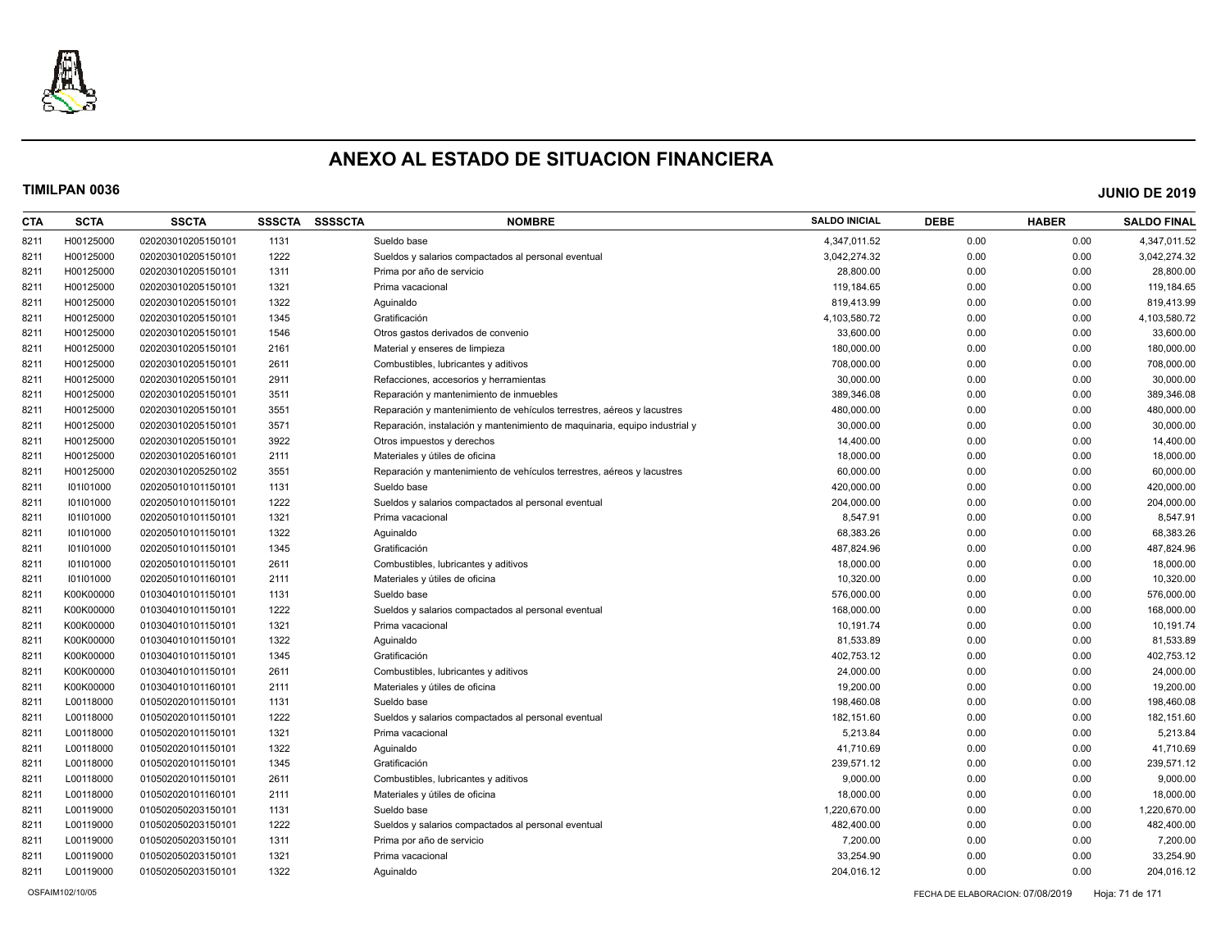

| CTA  | <b>SCTA</b> | <b>SSCTA</b>       | <b>SSSCTA</b> | <b>SSSSCTA</b> | <b>NOMBRE</b>                                                              | <b>SALDO INICIAL</b> | <b>DEBE</b> | <b>HABER</b> | <b>SALDO FINAL</b> |
|------|-------------|--------------------|---------------|----------------|----------------------------------------------------------------------------|----------------------|-------------|--------------|--------------------|
| 8211 | H00125000   | 020203010205150101 | 1131          |                | Sueldo base                                                                | 4,347,011.52         | 0.00        | 0.00         | 4,347,011.52       |
| 8211 | H00125000   | 020203010205150101 | 1222          |                | Sueldos y salarios compactados al personal eventual                        | 3,042,274.32         | 0.00        | 0.00         | 3,042,274.32       |
| 8211 | H00125000   | 020203010205150101 | 1311          |                | Prima por año de servicio                                                  | 28,800.00            | 0.00        | 0.00         | 28,800.00          |
| 8211 | H00125000   | 020203010205150101 | 1321          |                | Prima vacacional                                                           | 119,184.65           | 0.00        | 0.00         | 119,184.65         |
| 8211 | H00125000   | 020203010205150101 | 1322          |                | Aguinaldo                                                                  | 819,413.99           | 0.00        | 0.00         | 819,413.99         |
| 8211 | H00125000   | 020203010205150101 | 1345          |                | Gratificación                                                              | 4,103,580.72         | 0.00        | 0.00         | 4,103,580.72       |
| 8211 | H00125000   | 020203010205150101 | 1546          |                | Otros gastos derivados de convenio                                         | 33,600.00            | 0.00        | 0.00         | 33,600.00          |
| 8211 | H00125000   | 020203010205150101 | 2161          |                | Material y enseres de limpieza                                             | 180,000.00           | 0.00        | 0.00         | 180,000.00         |
| 8211 | H00125000   | 020203010205150101 | 2611          |                | Combustibles, lubricantes y aditivos                                       | 708,000.00           | 0.00        | 0.00         | 708,000.00         |
| 8211 | H00125000   | 020203010205150101 | 2911          |                | Refacciones, accesorios y herramientas                                     | 30,000.00            | 0.00        | 0.00         | 30,000.00          |
| 8211 | H00125000   | 020203010205150101 | 3511          |                | Reparación y mantenimiento de inmuebles                                    | 389,346.08           | 0.00        | 0.00         | 389,346.08         |
| 8211 | H00125000   | 020203010205150101 | 3551          |                | Reparación y mantenimiento de vehículos terrestres, aéreos y lacustres     | 480,000.00           | 0.00        | 0.00         | 480,000.00         |
| 8211 | H00125000   | 020203010205150101 | 3571          |                | Reparación, instalación y mantenimiento de maguinaria, equipo industrial y | 30,000.00            | 0.00        | 0.00         | 30,000.00          |
| 8211 | H00125000   | 020203010205150101 | 3922          |                | Otros impuestos y derechos                                                 | 14,400.00            | 0.00        | 0.00         | 14,400.00          |
| 8211 | H00125000   | 020203010205160101 | 2111          |                | Materiales y útiles de oficina                                             | 18,000.00            | 0.00        | 0.00         | 18,000.00          |
| 8211 | H00125000   | 020203010205250102 | 3551          |                | Reparación y mantenimiento de vehículos terrestres, aéreos y lacustres     | 60,000.00            | 0.00        | 0.00         | 60,000.00          |
| 8211 | 101101000   | 020205010101150101 | 1131          |                | Sueldo base                                                                | 420,000.00           | 0.00        | 0.00         | 420,000.00         |
| 8211 | 101101000   | 020205010101150101 | 1222          |                | Sueldos y salarios compactados al personal eventual                        | 204,000.00           | 0.00        | 0.00         | 204,000.00         |
| 8211 | 101101000   | 020205010101150101 | 1321          |                | Prima vacacional                                                           | 8,547.91             | 0.00        | 0.00         | 8,547.91           |
| 8211 | 101101000   | 020205010101150101 | 1322          |                | Aguinaldo                                                                  | 68,383.26            | 0.00        | 0.00         | 68,383.26          |
| 8211 | 101101000   | 020205010101150101 | 1345          |                | Gratificación                                                              | 487,824.96           | 0.00        | 0.00         | 487,824.96         |
| 8211 | 101101000   | 020205010101150101 | 2611          |                | Combustibles, lubricantes y aditivos                                       | 18,000.00            | 0.00        | 0.00         | 18,000.00          |
| 8211 | 101101000   | 020205010101160101 | 2111          |                | Materiales y útiles de oficina                                             | 10,320.00            | 0.00        | 0.00         | 10,320.00          |
| 8211 | K00K00000   | 010304010101150101 | 1131          |                | Sueldo base                                                                | 576,000.00           | 0.00        | 0.00         | 576,000.00         |
| 8211 | K00K00000   | 010304010101150101 | 1222          |                | Sueldos y salarios compactados al personal eventual                        | 168,000.00           | 0.00        | 0.00         | 168,000.00         |
| 8211 | K00K00000   | 010304010101150101 | 1321          |                | Prima vacacional                                                           | 10,191.74            | 0.00        | 0.00         | 10,191.74          |
| 8211 | K00K00000   | 010304010101150101 | 1322          |                | Aguinaldo                                                                  | 81,533.89            | 0.00        | 0.00         | 81,533.89          |
| 8211 | K00K00000   | 010304010101150101 | 1345          |                | Gratificación                                                              | 402,753.12           | 0.00        | 0.00         | 402,753.12         |
| 8211 | K00K00000   | 010304010101150101 | 2611          |                | Combustibles, lubricantes y aditivos                                       | 24,000.00            | 0.00        | 0.00         | 24,000.00          |
| 8211 | K00K00000   | 010304010101160101 | 2111          |                | Materiales y útiles de oficina                                             | 19,200.00            | 0.00        | 0.00         | 19,200.00          |
| 8211 | L00118000   | 010502020101150101 | 1131          |                | Sueldo base                                                                | 198,460.08           | 0.00        | 0.00         | 198,460.08         |
| 8211 | L00118000   | 010502020101150101 | 1222          |                | Sueldos y salarios compactados al personal eventual                        | 182,151.60           | 0.00        | 0.00         | 182,151.60         |
| 8211 | L00118000   | 010502020101150101 | 1321          |                | Prima vacacional                                                           | 5,213.84             | 0.00        | 0.00         | 5,213.84           |
| 8211 | L00118000   | 010502020101150101 | 1322          |                | Aguinaldo                                                                  | 41,710.69            | 0.00        | 0.00         | 41,710.69          |
| 8211 | L00118000   | 010502020101150101 | 1345          |                | Gratificación                                                              | 239,571.12           | 0.00        | 0.00         | 239,571.12         |
| 8211 | L00118000   | 010502020101150101 | 2611          |                | Combustibles, lubricantes y aditivos                                       | 9,000.00             | 0.00        | 0.00         | 9,000.00           |
| 8211 | L00118000   | 010502020101160101 | 2111          |                | Materiales y útiles de oficina                                             | 18,000.00            | 0.00        | 0.00         | 18,000.00          |
| 8211 | L00119000   | 010502050203150101 | 1131          |                | Sueldo base                                                                | 1,220,670.00         | 0.00        | 0.00         | 1,220,670.00       |
| 8211 | L00119000   | 010502050203150101 | 1222          |                | Sueldos y salarios compactados al personal eventual                        | 482,400.00           | 0.00        | 0.00         | 482,400.00         |
| 8211 | L00119000   | 010502050203150101 | 1311          |                | Prima por año de servicio                                                  | 7,200.00             | 0.00        | 0.00         | 7,200.00           |
| 8211 | L00119000   | 010502050203150101 | 1321          |                | Prima vacacional                                                           | 33,254.90            | 0.00        | 0.00         | 33,254.90          |
| 8211 | L00119000   | 010502050203150101 | 1322          |                | Aquinaldo                                                                  | 204,016.12           | 0.00        | 0.00         | 204,016.12         |
|      |             |                    |               |                |                                                                            |                      |             |              |                    |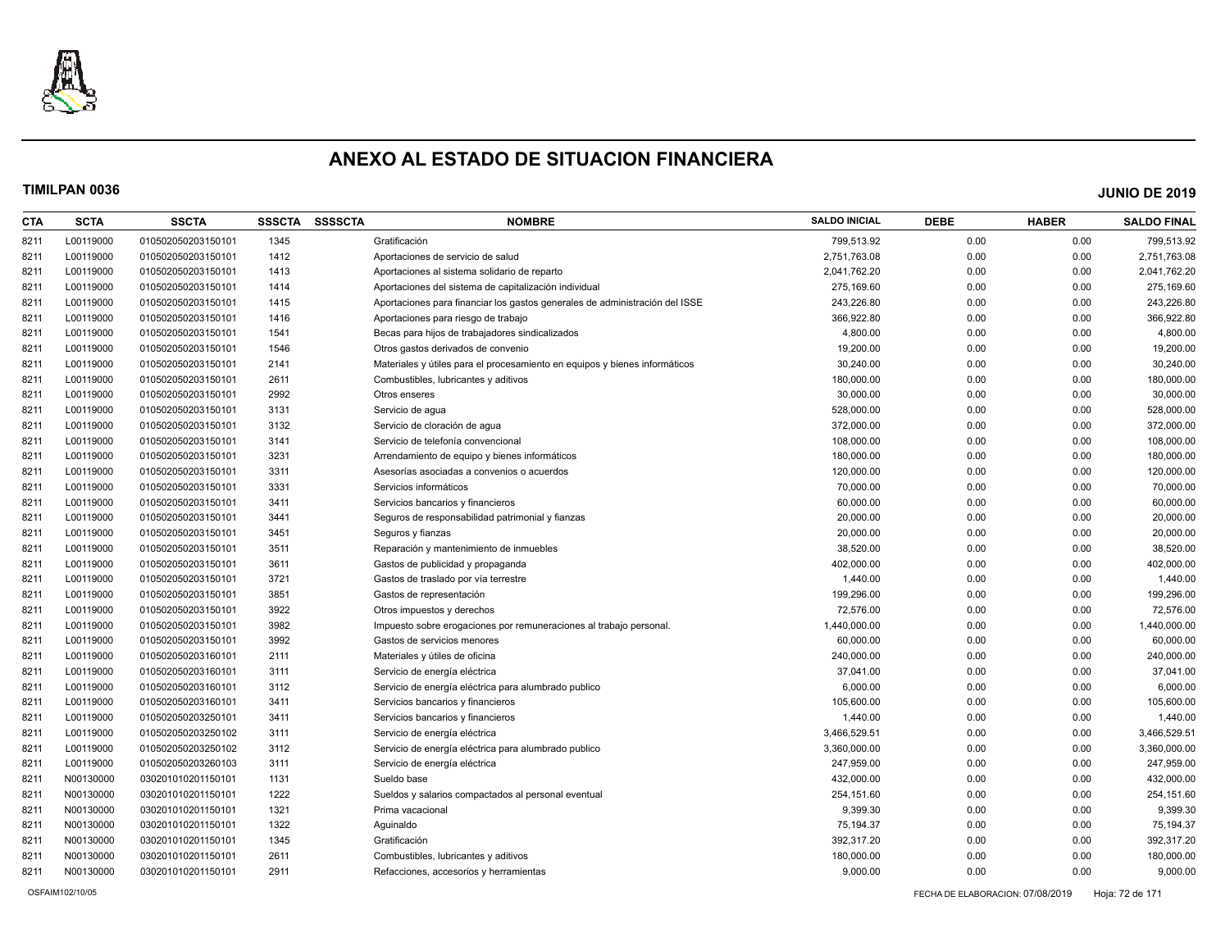

| <b>CTA</b> | <b>SCTA</b> | <b>SSCTA</b>       | <b>SSSCTA</b> | <b>SSSSCTA</b> | <b>NOMBRE</b>                                                               | <b>SALDO INICIAL</b> | <b>DEBE</b> | <b>HABER</b> | <b>SALDO FINAL</b> |
|------------|-------------|--------------------|---------------|----------------|-----------------------------------------------------------------------------|----------------------|-------------|--------------|--------------------|
| 8211       | L00119000   | 010502050203150101 | 1345          |                | Gratificación                                                               | 799,513.92           | 0.00        | 0.00         | 799,513.92         |
| 8211       | L00119000   | 010502050203150101 | 1412          |                | Aportaciones de servicio de salud                                           | 2,751,763.08         | 0.00        | 0.00         | 2,751,763.08       |
| 8211       | L00119000   | 010502050203150101 | 1413          |                | Aportaciones al sistema solidario de reparto                                | 2,041,762.20         | 0.00        | 0.00         | 2,041,762.20       |
| 8211       | L00119000   | 010502050203150101 | 1414          |                | Aportaciones del sistema de capitalización individual                       | 275,169.60           | 0.00        | 0.00         | 275,169.60         |
| 8211       | L00119000   | 010502050203150101 | 1415          |                | Aportaciones para financiar los gastos generales de administración del ISSE | 243,226.80           | 0.00        | 0.00         | 243,226.80         |
| 8211       | L00119000   | 010502050203150101 | 1416          |                | Aportaciones para riesgo de trabajo                                         | 366,922.80           | 0.00        | 0.00         | 366,922.80         |
| 8211       | L00119000   | 010502050203150101 | 1541          |                | Becas para hijos de trabajadores sindicalizados                             | 4,800.00             | 0.00        | 0.00         | 4,800.00           |
| 8211       | L00119000   | 010502050203150101 | 1546          |                | Otros gastos derivados de convenio                                          | 19,200.00            | 0.00        | 0.00         | 19,200.00          |
| 8211       | L00119000   | 010502050203150101 | 2141          |                | Materiales y útiles para el procesamiento en equipos y bienes informáticos  | 30,240.00            | 0.00        | 0.00         | 30,240.00          |
| 8211       | L00119000   | 010502050203150101 | 2611          |                | Combustibles, lubricantes y aditivos                                        | 180,000.00           | 0.00        | 0.00         | 180,000.00         |
| 8211       | L00119000   | 010502050203150101 | 2992          |                | Otros enseres                                                               | 30,000.00            | 0.00        | 0.00         | 30,000.00          |
| 8211       | L00119000   | 010502050203150101 | 3131          |                | Servicio de agua                                                            | 528,000.00           | 0.00        | 0.00         | 528,000.00         |
| 8211       | L00119000   | 010502050203150101 | 3132          |                | Servicio de cloración de agua                                               | 372,000.00           | 0.00        | 0.00         | 372,000.00         |
| 8211       | L00119000   | 010502050203150101 | 3141          |                | Servicio de telefonía convencional                                          | 108,000.00           | 0.00        | 0.00         | 108,000.00         |
| 8211       | L00119000   | 010502050203150101 | 3231          |                | Arrendamiento de equipo y bienes informáticos                               | 180,000.00           | 0.00        | 0.00         | 180,000.00         |
| 8211       | L00119000   | 010502050203150101 | 3311          |                | Asesorías asociadas a convenios o acuerdos                                  | 120,000.00           | 0.00        | 0.00         | 120,000.00         |
| 8211       | L00119000   | 010502050203150101 | 3331          |                | Servicios informáticos                                                      | 70,000.00            | 0.00        | 0.00         | 70,000.00          |
| 8211       | L00119000   | 010502050203150101 | 3411          |                | Servicios bancarios y financieros                                           | 60,000.00            | 0.00        | 0.00         | 60,000.00          |
| 8211       | L00119000   | 010502050203150101 | 3441          |                | Seguros de responsabilidad patrimonial y fianzas                            | 20,000.00            | 0.00        | 0.00         | 20,000.00          |
| 8211       | L00119000   | 010502050203150101 | 3451          |                | Seguros y fianzas                                                           | 20,000.00            | 0.00        | 0.00         | 20,000.00          |
| 8211       | L00119000   | 010502050203150101 | 3511          |                | Reparación y mantenimiento de inmuebles                                     | 38,520.00            | 0.00        | 0.00         | 38,520.00          |
| 8211       | L00119000   | 010502050203150101 | 3611          |                | Gastos de publicidad y propaganda                                           | 402,000.00           | 0.00        | 0.00         | 402,000.00         |
| 8211       | L00119000   | 010502050203150101 | 3721          |                | Gastos de traslado por vía terrestre                                        | 1,440.00             | 0.00        | 0.00         | 1,440.00           |
| 8211       | L00119000   | 010502050203150101 | 3851          |                | Gastos de representación                                                    | 199,296.00           | 0.00        | 0.00         | 199,296.00         |
| 8211       | L00119000   | 010502050203150101 | 3922          |                | Otros impuestos y derechos                                                  | 72,576.00            | 0.00        | 0.00         | 72,576.00          |
| 8211       | L00119000   | 010502050203150101 | 3982          |                | Impuesto sobre erogaciones por remuneraciones al trabajo personal.          | 1,440,000.00         | 0.00        | 0.00         | 1,440,000.00       |
| 8211       | L00119000   | 010502050203150101 | 3992          |                | Gastos de servicios menores                                                 | 60,000.00            | 0.00        | 0.00         | 60,000.00          |
| 8211       | L00119000   | 010502050203160101 | 2111          |                | Materiales y útiles de oficina                                              | 240,000.00           | 0.00        | 0.00         | 240,000.00         |
| 8211       | L00119000   | 010502050203160101 | 3111          |                | Servicio de energía eléctrica                                               | 37,041.00            | 0.00        | 0.00         | 37,041.00          |
| 8211       | L00119000   | 010502050203160101 | 3112          |                | Servicio de energía eléctrica para alumbrado publico                        | 6,000.00             | 0.00        | 0.00         | 6,000.00           |
| 8211       | L00119000   | 010502050203160101 | 3411          |                | Servicios bancarios y financieros                                           | 105,600.00           | 0.00        | 0.00         | 105,600.00         |
| 8211       | L00119000   | 010502050203250101 | 3411          |                | Servicios bancarios y financieros                                           | 1,440.00             | 0.00        | 0.00         | 1,440.00           |
| 8211       | L00119000   | 010502050203250102 | 3111          |                | Servicio de energía eléctrica                                               | 3,466,529.51         | 0.00        | 0.00         | 3,466,529.51       |
| 8211       | L00119000   | 010502050203250102 | 3112          |                | Servicio de energía eléctrica para alumbrado publico                        | 3,360,000.00         | 0.00        | 0.00         | 3,360,000.00       |
| 8211       | L00119000   | 010502050203260103 | 3111          |                | Servicio de energía eléctrica                                               | 247,959.00           | 0.00        | 0.00         | 247,959.00         |
| 8211       | N00130000   | 030201010201150101 | 1131          |                | Sueldo base                                                                 | 432,000.00           | 0.00        | 0.00         | 432,000.00         |
| 8211       | N00130000   | 030201010201150101 | 1222          |                | Sueldos y salarios compactados al personal eventual                         | 254,151.60           | 0.00        | 0.00         | 254,151.60         |
| 8211       | N00130000   | 030201010201150101 | 1321          |                | Prima vacacional                                                            | 9,399.30             | 0.00        | 0.00         | 9,399.30           |
| 8211       | N00130000   | 030201010201150101 | 1322          |                | Aguinaldo                                                                   | 75,194.37            | 0.00        | 0.00         | 75,194.37          |
| 8211       | N00130000   | 030201010201150101 | 1345          |                | Gratificación                                                               | 392,317.20           | 0.00        | 0.00         | 392,317.20         |
| 8211       | N00130000   | 030201010201150101 | 2611          |                | Combustibles, lubricantes y aditivos                                        | 180,000.00           | 0.00        | 0.00         | 180,000.00         |
| 8211       | N00130000   | 030201010201150101 | 2911          |                | Refacciones, accesorios y herramientas                                      | 9,000.00             | 0.00        | 0.00         | 9,000.00           |
|            |             |                    |               |                |                                                                             |                      |             |              |                    |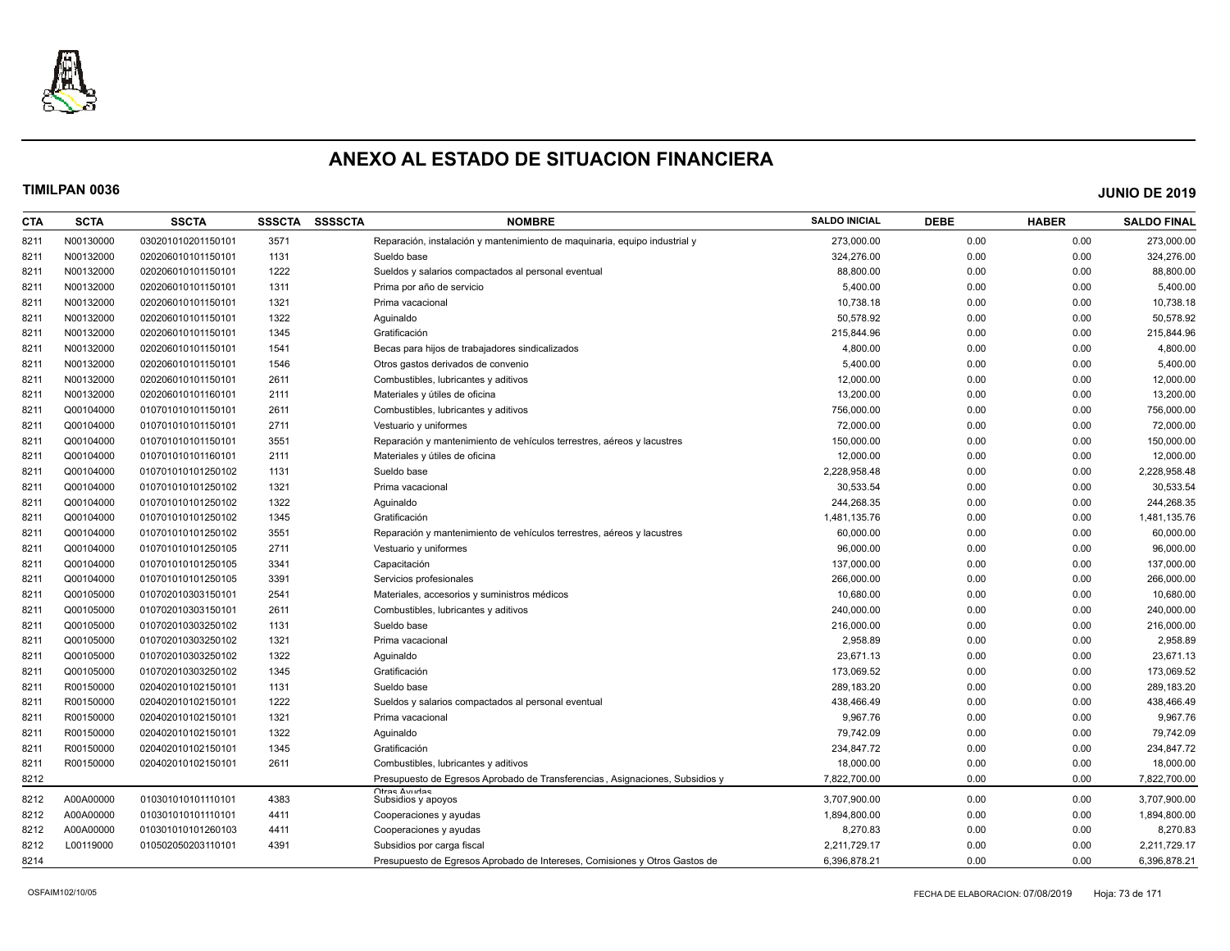

| <b>CTA</b> | <b>SCTA</b> | <b>SSCTA</b>       | <b>SSSCTA</b> | <b>SSSSCTA</b> | <b>NOMBRE</b>                                                                | <b>SALDO INICIAL</b> | <b>DEBE</b> | <b>HABER</b> | <b>SALDO FINAL</b> |
|------------|-------------|--------------------|---------------|----------------|------------------------------------------------------------------------------|----------------------|-------------|--------------|--------------------|
| 8211       | N00130000   | 030201010201150101 | 3571          |                | Reparación, instalación y mantenimiento de maguinaria, equipo industrial y   | 273,000.00           | 0.00        | 0.00         | 273,000.00         |
| 8211       | N00132000   | 020206010101150101 | 1131          |                | Sueldo base                                                                  | 324,276.00           | 0.00        | 0.00         | 324,276.00         |
| 8211       | N00132000   | 020206010101150101 | 1222          |                | Sueldos y salarios compactados al personal eventual                          | 88.800.00            | 0.00        | 0.00         | 88,800.00          |
| 8211       | N00132000   | 020206010101150101 | 1311          |                | Prima por año de servicio                                                    | 5,400.00             | 0.00        | 0.00         | 5,400.00           |
| 8211       | N00132000   | 020206010101150101 | 1321          |                | Prima vacacional                                                             | 10,738.18            | 0.00        | 0.00         | 10,738.18          |
| 8211       | N00132000   | 020206010101150101 | 1322          |                | Aguinaldo                                                                    | 50,578.92            | 0.00        | 0.00         | 50,578.92          |
| 8211       | N00132000   | 020206010101150101 | 1345          |                | Gratificación                                                                | 215,844.96           | 0.00        | 0.00         | 215,844.96         |
| 8211       | N00132000   | 020206010101150101 | 1541          |                | Becas para hijos de trabajadores sindicalizados                              | 4,800.00             | 0.00        | 0.00         | 4,800.00           |
| 8211       | N00132000   | 020206010101150101 | 1546          |                | Otros gastos derivados de convenio                                           | 5,400.00             | 0.00        | 0.00         | 5,400.00           |
| 8211       | N00132000   | 020206010101150101 | 2611          |                | Combustibles, lubricantes y aditivos                                         | 12,000.00            | 0.00        | 0.00         | 12,000.00          |
| 8211       | N00132000   | 020206010101160101 | 2111          |                | Materiales y útiles de oficina                                               | 13,200.00            | 0.00        | 0.00         | 13,200.00          |
| 8211       | Q00104000   | 010701010101150101 | 2611          |                | Combustibles, lubricantes y aditivos                                         | 756,000.00           | 0.00        | 0.00         | 756,000.00         |
| 8211       | Q00104000   | 010701010101150101 | 2711          |                | Vestuario y uniformes                                                        | 72,000.00            | 0.00        | 0.00         | 72,000.00          |
| 8211       | Q00104000   | 010701010101150101 | 3551          |                | Reparación y mantenimiento de vehículos terrestres, aéreos y lacustres       | 150,000.00           | 0.00        | 0.00         | 150,000.00         |
| 8211       | Q00104000   | 010701010101160101 | 2111          |                | Materiales y útiles de oficina                                               | 12,000.00            | 0.00        | 0.00         | 12,000.00          |
| 8211       | Q00104000   | 010701010101250102 | 1131          |                | Sueldo base                                                                  | 2,228,958.48         | 0.00        | 0.00         | 2,228,958.48       |
| 8211       | Q00104000   | 010701010101250102 | 1321          |                | Prima vacacional                                                             | 30.533.54            | 0.00        | 0.00         | 30,533.54          |
| 8211       | Q00104000   | 010701010101250102 | 1322          |                | Aguinaldo                                                                    | 244.268.35           | 0.00        | 0.00         | 244,268.35         |
| 8211       | Q00104000   | 010701010101250102 | 1345          |                | Gratificación                                                                | 1,481,135.76         | 0.00        | 0.00         | 1,481,135.76       |
| 8211       | Q00104000   | 010701010101250102 | 3551          |                | Reparación y mantenimiento de vehículos terrestres, aéreos y lacustres       | 60,000.00            | 0.00        | 0.00         | 60,000.00          |
| 8211       | Q00104000   | 010701010101250105 | 2711          |                | Vestuario y uniformes                                                        | 96,000.00            | 0.00        | 0.00         | 96,000.00          |
| 8211       | Q00104000   | 010701010101250105 | 3341          |                | Capacitación                                                                 | 137,000.00           | 0.00        | 0.00         | 137,000.00         |
| 8211       | Q00104000   | 010701010101250105 | 3391          |                | Servicios profesionales                                                      | 266,000.00           | 0.00        | 0.00         | 266,000.00         |
| 8211       | Q00105000   | 010702010303150101 | 2541          |                | Materiales, accesorios y suministros médicos                                 | 10,680.00            | 0.00        | 0.00         | 10,680.00          |
| 8211       | Q00105000   | 010702010303150101 | 2611          |                | Combustibles, lubricantes y aditivos                                         | 240,000.00           | 0.00        | 0.00         | 240,000.00         |
| 8211       | Q00105000   | 010702010303250102 | 1131          |                | Sueldo base                                                                  | 216,000.00           | 0.00        | 0.00         | 216,000.00         |
| 8211       | Q00105000   | 010702010303250102 | 1321          |                | Prima vacacional                                                             | 2,958.89             | 0.00        | 0.00         | 2,958.89           |
| 8211       | Q00105000   | 010702010303250102 | 1322          |                | Aguinaldo                                                                    | 23,671.13            | 0.00        | 0.00         | 23,671.13          |
| 8211       | Q00105000   | 010702010303250102 | 1345          |                | Gratificación                                                                | 173,069.52           | 0.00        | 0.00         | 173,069.52         |
| 8211       | R00150000   | 020402010102150101 | 1131          |                | Sueldo base                                                                  | 289,183.20           | 0.00        | 0.00         | 289,183.20         |
| 8211       | R00150000   | 020402010102150101 | 1222          |                | Sueldos y salarios compactados al personal eventual                          | 438,466.49           | 0.00        | 0.00         | 438,466.49         |
| 8211       | R00150000   | 020402010102150101 | 1321          |                | Prima vacacional                                                             | 9,967.76             | 0.00        | 0.00         | 9,967.76           |
| 8211       | R00150000   | 020402010102150101 | 1322          |                | Aguinaldo                                                                    | 79,742.09            | 0.00        | 0.00         | 79,742.09          |
| 8211       | R00150000   | 020402010102150101 | 1345          |                | Gratificación                                                                | 234,847.72           | 0.00        | 0.00         | 234,847.72         |
| 8211       | R00150000   | 020402010102150101 | 2611          |                | Combustibles, lubricantes y aditivos                                         | 18,000.00            | 0.00        | 0.00         | 18,000.00          |
| 8212       |             |                    |               |                | Presupuesto de Egresos Aprobado de Transferencias, Asignaciones, Subsidios y | 7.822.700.00         | 0.00        | 0.00         | 7,822,700.00       |
| 8212       | A00A00000   | 010301010101110101 | 4383          |                | Ofras Avudas<br>Subsidios y apoyos                                           | 3.707.900.00         | 0.00        | 0.00         | 3,707,900.00       |
| 8212       | A00A00000   | 010301010101110101 | 4411          |                | Cooperaciones y ayudas                                                       | 1,894,800.00         | 0.00        | 0.00         | 1,894,800.00       |
| 8212       | A00A00000   | 010301010101260103 | 4411          |                | Cooperaciones y ayudas                                                       | 8,270.83             | 0.00        | 0.00         | 8,270.83           |
| 8212       | L00119000   | 010502050203110101 | 4391          |                | Subsidios por carga fisca                                                    | 2,211,729.17         | 0.00        | 0.00         | 2,211,729.17       |
| 8214       |             |                    |               |                | Presupuesto de Egresos Aprobado de Intereses, Comisiones y Otros Gastos de   | 6,396,878.21         | 0.00        | 0.00         | 6,396,878.21       |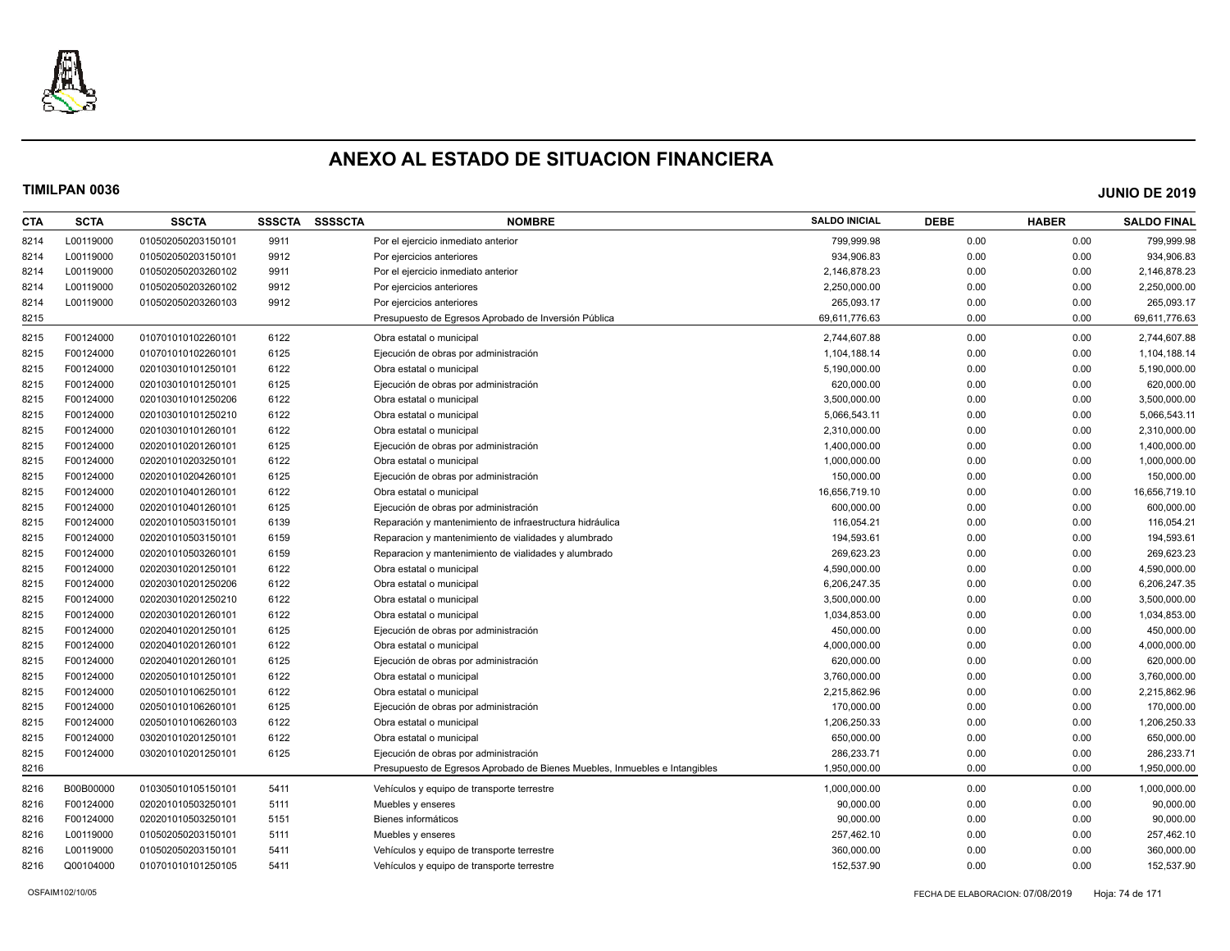

| <b>CTA</b> | <b>SCTA</b> | <b>SSCTA</b>       | <b>SSSCTA</b> | <b>SSSSCTA</b> | <b>NOMBRE</b>                                                              | <b>SALDO INICIAL</b> | <b>DEBE</b> | <b>HABER</b> | <b>SALDO FINAL</b> |
|------------|-------------|--------------------|---------------|----------------|----------------------------------------------------------------------------|----------------------|-------------|--------------|--------------------|
| 8214       | L00119000   | 010502050203150101 | 9911          |                | Por el ejercicio inmediato anterior                                        | 799,999.98           | 0.00        | 0.00         | 799,999.98         |
| 8214       | L00119000   | 010502050203150101 | 9912          |                | Por ejercicios anteriores                                                  | 934,906.83           | 0.00        | 0.00         | 934,906.83         |
| 8214       | L00119000   | 010502050203260102 | 9911          |                | Por el ejercicio inmediato anterior                                        | 2,146,878.23         | 0.00        | 0.00         | 2,146,878.23       |
| 8214       | L00119000   | 010502050203260102 | 9912          |                | Por ejercicios anteriores                                                  | 2,250,000.00         | 0.00        | 0.00         | 2,250,000.00       |
| 8214       | L00119000   | 010502050203260103 | 9912          |                | Por ejercicios anteriores                                                  | 265,093.17           | 0.00        | 0.00         | 265,093.17         |
| 8215       |             |                    |               |                | Presupuesto de Egresos Aprobado de Inversión Pública                       | 69,611,776.63        | 0.00        | 0.00         | 69,611,776.63      |
| 8215       | F00124000   | 010701010102260101 | 6122          |                | Obra estatal o municipal                                                   | 2,744,607.88         | 0.00        | 0.00         | 2,744,607.88       |
| 8215       | F00124000   | 010701010102260101 | 6125          |                | Ejecución de obras por administración                                      | 1,104,188.14         | 0.00        | 0.00         | 1,104,188.14       |
| 8215       | F00124000   | 020103010101250101 | 6122          |                | Obra estatal o municipal                                                   | 5,190,000.00         | 0.00        | 0.00         | 5,190,000.00       |
| 8215       | F00124000   | 020103010101250101 | 6125          |                | Ejecución de obras por administración                                      | 620,000.00           | 0.00        | 0.00         | 620,000.00         |
| 8215       | F00124000   | 020103010101250206 | 6122          |                | Obra estatal o municipal                                                   | 3,500,000.00         | 0.00        | 0.00         | 3,500,000.00       |
| 8215       | F00124000   | 020103010101250210 | 6122          |                | Obra estatal o municipal                                                   | 5,066,543.11         | 0.00        | 0.00         | 5,066,543.11       |
| 8215       | F00124000   | 020103010101260101 | 6122          |                | Obra estatal o municipal                                                   | 2,310,000.00         | 0.00        | 0.00         | 2,310,000.00       |
| 8215       | F00124000   | 020201010201260101 | 6125          |                | Ejecución de obras por administración                                      | 1,400,000.00         | 0.00        | 0.00         | 1,400,000.00       |
| 8215       | F00124000   | 020201010203250101 | 6122          |                | Obra estatal o municipal                                                   | 1,000,000.00         | 0.00        | 0.00         | 1,000,000.00       |
| 8215       | F00124000   | 020201010204260101 | 6125          |                | Ejecución de obras por administración                                      | 150,000.00           | 0.00        | 0.00         | 150,000.00         |
| 8215       | F00124000   | 020201010401260101 | 6122          |                | Obra estatal o municipal                                                   | 16,656,719.10        | 0.00        | 0.00         | 16,656,719.10      |
| 8215       | F00124000   | 020201010401260101 | 6125          |                | Ejecución de obras por administración                                      | 600,000.00           | 0.00        | 0.00         | 600,000.00         |
| 8215       | F00124000   | 020201010503150101 | 6139          |                | Reparación y mantenimiento de infraestructura hidráulica                   | 116,054.21           | 0.00        | 0.00         | 116,054.21         |
| 8215       | F00124000   | 020201010503150101 | 6159          |                | Reparacion y mantenimiento de vialidades y alumbrado                       | 194,593.61           | 0.00        | 0.00         | 194,593.61         |
| 8215       | F00124000   | 020201010503260101 | 6159          |                | Reparacion y mantenimiento de vialidades y alumbrado                       | 269,623.23           | 0.00        | 0.00         | 269,623.23         |
| 8215       | F00124000   | 020203010201250101 | 6122          |                | Obra estatal o municipal                                                   | 4,590,000.00         | 0.00        | 0.00         | 4,590,000.00       |
| 8215       | F00124000   | 020203010201250206 | 6122          |                | Obra estatal o municipal                                                   | 6,206,247.35         | 0.00        | 0.00         | 6,206,247.35       |
| 8215       | F00124000   | 020203010201250210 | 6122          |                | Obra estatal o municipal                                                   | 3,500,000.00         | 0.00        | 0.00         | 3,500,000.00       |
| 8215       | F00124000   | 020203010201260101 | 6122          |                | Obra estatal o municipal                                                   | 1,034,853.00         | 0.00        | 0.00         | 1,034,853.00       |
| 8215       | F00124000   | 020204010201250101 | 6125          |                | Ejecución de obras por administración                                      | 450,000.00           | 0.00        | 0.00         | 450,000.00         |
| 8215       | F00124000   | 020204010201260101 | 6122          |                | Obra estatal o municipal                                                   | 4,000,000.00         | 0.00        | 0.00         | 4,000,000.00       |
| 8215       | F00124000   | 020204010201260101 | 6125          |                | Ejecución de obras por administración                                      | 620,000.00           | 0.00        | 0.00         | 620,000.00         |
| 8215       | F00124000   | 020205010101250101 | 6122          |                | Obra estatal o municipal                                                   | 3,760,000.00         | 0.00        | 0.00         | 3,760,000.00       |
| 8215       | F00124000   | 020501010106250101 | 6122          |                | Obra estatal o municipal                                                   | 2,215,862.96         | 0.00        | 0.00         | 2,215,862.96       |
| 8215       | F00124000   | 020501010106260101 | 6125          |                | Ejecución de obras por administración                                      | 170,000.00           | 0.00        | 0.00         | 170,000.00         |
| 8215       | F00124000   | 020501010106260103 | 6122          |                | Obra estatal o municipal                                                   | 1,206,250.33         | 0.00        | 0.00         | 1,206,250.33       |
| 8215       | F00124000   | 030201010201250101 | 6122          |                | Obra estatal o municipal                                                   | 650,000.00           | 0.00        | 0.00         | 650,000.00         |
| 8215       | F00124000   | 030201010201250101 | 6125          |                | Ejecución de obras por administración                                      | 286,233.71           | 0.00        | 0.00         | 286,233.71         |
| 8216       |             |                    |               |                | Presupuesto de Egresos Aprobado de Bienes Muebles, Inmuebles e Intangibles | 1,950,000.00         | 0.00        | 0.00         | 1,950,000.00       |
| 8216       | B00B00000   | 010305010105150101 | 5411          |                | Vehículos y equipo de transporte terrestre                                 | 1,000,000.00         | 0.00        | 0.00         | 1,000,000.00       |
| 8216       | F00124000   | 020201010503250101 | 5111          |                | Muebles y enseres                                                          | 90,000.00            | 0.00        | 0.00         | 90,000.00          |
| 8216       | F00124000   | 020201010503250101 | 5151          |                | Bienes informáticos                                                        | 90,000.00            | 0.00        | 0.00         | 90,000.00          |
| 8216       | L00119000   | 010502050203150101 | 5111          |                | Muebles y enseres                                                          | 257,462.10           | 0.00        | 0.00         | 257,462.10         |
| 8216       | L00119000   | 010502050203150101 | 5411          |                | Vehículos y equipo de transporte terrestre                                 | 360,000.00           | 0.00        | 0.00         | 360,000.00         |
| 8216       | Q00104000   | 010701010101250105 | 5411          |                | Vehículos y equipo de transporte terrestre                                 | 152,537.90           | 0.00        | 0.00         | 152,537.90         |
|            |             |                    |               |                |                                                                            |                      |             |              |                    |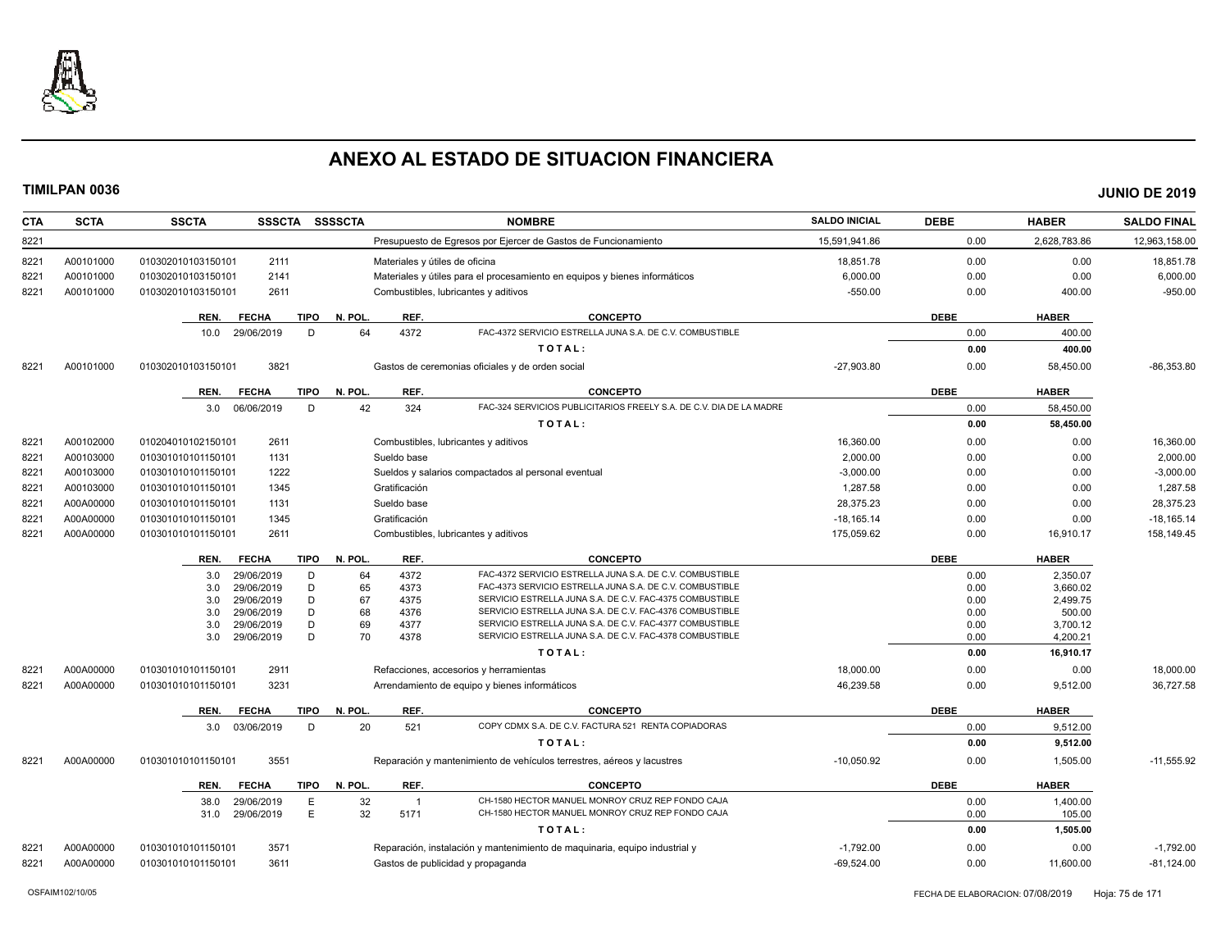

| <b>CTA</b> | <b>SCTA</b> | <b>SSCTA</b><br>SSSCTA SSSSCTA                   |                                | <b>NOMBRE</b>                                                                                                        | <b>SALDO INICIAL</b> | <b>DEBE</b>  | <b>HABER</b>       | <b>SALDO FINAL</b> |
|------------|-------------|--------------------------------------------------|--------------------------------|----------------------------------------------------------------------------------------------------------------------|----------------------|--------------|--------------------|--------------------|
| 8221       |             |                                                  |                                | Presupuesto de Egresos por Ejercer de Gastos de Funcionamiento                                                       | 15,591,941.86        | 0.00         | 2,628,783.86       | 12,963,158.00      |
| 8221       | A00101000   | 010302010103150101<br>2111                       | Materiales y útiles de oficina |                                                                                                                      | 18,851.78            | 0.00         | 0.00               | 18,851.78          |
| 822'       | A00101000   | 2141<br>010302010103150101                       |                                | Materiales y útiles para el procesamiento en equipos y bienes informáticos                                           | 6,000.00             | 0.00         | 0.00               | 6,000.00           |
| 8221       | A00101000   | 010302010103150101<br>2611                       |                                | Combustibles, lubricantes y aditivos                                                                                 | $-550.00$            | 0.00         | 400.00             | $-950.00$          |
|            |             | <b>FECHA</b><br>TIPO<br>REN.                     | N. POL.<br>REF.                | <b>CONCEPTO</b>                                                                                                      |                      | <b>DEBE</b>  | <b>HABER</b>       |                    |
|            |             | 10.0 29/06/2019<br>D                             | 64<br>4372                     | FAC-4372 SERVICIO ESTRELLA JUNA S.A. DE C.V. COMBUSTIBLE                                                             |                      | 0.00         | 400.00             |                    |
|            |             |                                                  |                                | TOTAL:                                                                                                               |                      | 0.00         | 400.00             |                    |
| 8221       | A00101000   | 3821<br>010302010103150101                       |                                | Gastos de ceremonias oficiales y de orden social                                                                     | $-27,903.80$         | 0.00         | 58,450.00          | $-86,353.80$       |
|            |             |                                                  |                                |                                                                                                                      |                      |              |                    |                    |
|            |             | TIPO<br>REN.<br><b>FECHA</b>                     | REF.<br>N. POL.                | <b>CONCEPTO</b>                                                                                                      |                      | <b>DEBE</b>  | <b>HABER</b>       |                    |
|            |             | 3.0 06/06/2019<br>D                              | 42<br>324                      | FAC-324 SERVICIOS PUBLICITARIOS FREELY S.A. DE C.V. DIA DE LA MADRE                                                  |                      | 0.00         | 58,450.00          |                    |
|            |             |                                                  |                                | TOTAL:                                                                                                               |                      | 0.00         | 58,450.00          |                    |
| 8221       | A00102000   | 2611<br>010204010102150101                       |                                | Combustibles, lubricantes y aditivos                                                                                 | 16,360.00            | 0.00         | 0.00               | 16,360.00          |
| 8221       | A00103000   | 1131<br>010301010101150101                       | Sueldo base                    |                                                                                                                      | 2,000.00             | 0.00         | 0.00               | 2,000.00           |
| 8221       | A00103000   | 1222<br>010301010101150101                       |                                | Sueldos y salarios compactados al personal eventual                                                                  | $-3,000.00$          | 0.00         | 0.00               | $-3,000.00$        |
| 8221       | A00103000   | 1345<br>010301010101150101                       | Gratificación                  |                                                                                                                      | 1,287.58             | 0.00         | 0.00               | 1,287.58           |
| 8221       | A00A00000   | 1131<br>010301010101150101                       | Sueldo base                    |                                                                                                                      | 28.375.23            | 0.00         | 0.00               | 28,375.23          |
| 8221       | A00A00000   | 010301010101150101<br>1345                       | Gratificación                  |                                                                                                                      | $-18,165.14$         | 0.00         | 0.00               | $-18,165.14$       |
| 8221       | A00A00000   | 010301010101150101<br>2611                       |                                | Combustibles, lubricantes y aditivos                                                                                 | 175,059.62           | 0.00         | 16,910.17          | 158,149.45         |
|            |             | <b>FECHA</b><br><b>TIPO</b><br>REN.              | REF.<br>N. POL.                | <b>CONCEPTO</b>                                                                                                      |                      | <b>DEBE</b>  | <b>HABER</b>       |                    |
|            |             | 29/06/2019<br>D<br>3.0                           | 4372<br>64                     | FAC-4372 SERVICIO ESTRELLA JUNA S.A. DE C.V. COMBUSTIBLE                                                             |                      | 0.00         | 2,350.07           |                    |
|            |             | 29/06/2019<br>D<br>3.0                           | 65<br>4373                     | FAC-4373 SERVICIO ESTRELLA JUNA S.A. DE C.V. COMBUSTIBLE                                                             |                      | 0.00         | 3,660.02           |                    |
|            |             | 29/06/2019<br>D<br>3.0                           | 67<br>4375                     | SERVICIO ESTRELLA JUNA S.A. DE C.V. FAC-4375 COMBUSTIBLE<br>SERVICIO ESTRELLA JUNA S.A. DE C.V. FAC-4376 COMBUSTIBLE |                      | 0.00         | 2,499.75           |                    |
|            |             | D<br>3.0<br>29/06/2019<br>D<br>3.0<br>29/06/2019 | 68<br>4376<br>69<br>4377       | SERVICIO ESTRELLA JUNA S.A. DE C.V. FAC-4377 COMBUSTIBLE                                                             |                      | 0.00<br>0.00 | 500.00<br>3,700.12 |                    |
|            |             | D<br>29/06/2019<br>3.0                           | 70<br>4378                     | SERVICIO ESTRELLA JUNA S.A. DE C.V. FAC-4378 COMBUSTIBLE                                                             |                      | 0.00         | 4,200.21           |                    |
|            |             |                                                  |                                | TOTAL:                                                                                                               |                      | 0.00         | 16,910.17          |                    |
| 8221       | A00A00000   | 2911<br>010301010101150101                       |                                | Refacciones, accesorios y herramientas                                                                               | 18,000.00            | 0.00         | 0.00               | 18,000.00          |
| 8221       | A00A00000   | 3231<br>010301010101150101                       |                                | Arrendamiento de equipo y bienes informáticos                                                                        | 46,239.58            | 0.00         | 9,512.00           | 36,727.58          |
|            |             | REN.                                             | N. POL.<br>REF.                | <b>CONCEPTO</b>                                                                                                      |                      | <b>DEBE</b>  | <b>HABER</b>       |                    |
|            |             | <b>FECHA</b><br>TIPO                             |                                | COPY CDMX S.A. DE C.V. FACTURA 521 RENTA COPIADORAS                                                                  |                      |              |                    |                    |
|            |             | 03/06/2019<br>D<br>3.0                           | 20<br>521                      | TOTAL:                                                                                                               |                      | 0.00         | 9,512.00           |                    |
|            |             |                                                  |                                |                                                                                                                      |                      | 0.00         | 9,512.00           |                    |
| 8221       | A00A00000   | 3551<br>010301010101150101                       |                                | Reparación y mantenimiento de vehículos terrestres, aéreos y lacustres                                               | $-10.050.92$         | 0.00         | 1,505.00           | $-11.555.92$       |
|            |             | REN.<br><b>FECHA</b><br>TIPO                     | N. POL.<br>REF.                | <b>CONCEPTO</b>                                                                                                      |                      | <b>DEBE</b>  | <b>HABER</b>       |                    |
|            |             | 29/06/2019<br>E<br>38.0                          | 32<br>$\overline{1}$           | CH-1580 HECTOR MANUEL MONROY CRUZ REP FONDO CAJA                                                                     |                      | 0.00         | 1,400.00           |                    |
|            |             | E<br>29/06/2019<br>31.0                          | 32<br>5171                     | CH-1580 HECTOR MANUEL MONROY CRUZ REP FONDO CAJA                                                                     |                      | 0.00         | 105.00             |                    |
|            |             |                                                  |                                | TOTAL:                                                                                                               |                      | 0.00         | 1,505.00           |                    |
| 8221       | A00A00000   | 3571<br>010301010101150101                       |                                | Reparación, instalación y mantenimiento de maquinaria, equipo industrial y                                           | $-1,792.00$          | 0.00         | 0.00               | $-1,792.00$        |
| 8221       | A00A00000   | 3611<br>010301010101150101                       |                                | Gastos de publicidad y propaganda                                                                                    | $-69,524.00$         | 0.00         | 11,600.00          | $-81,124.00$       |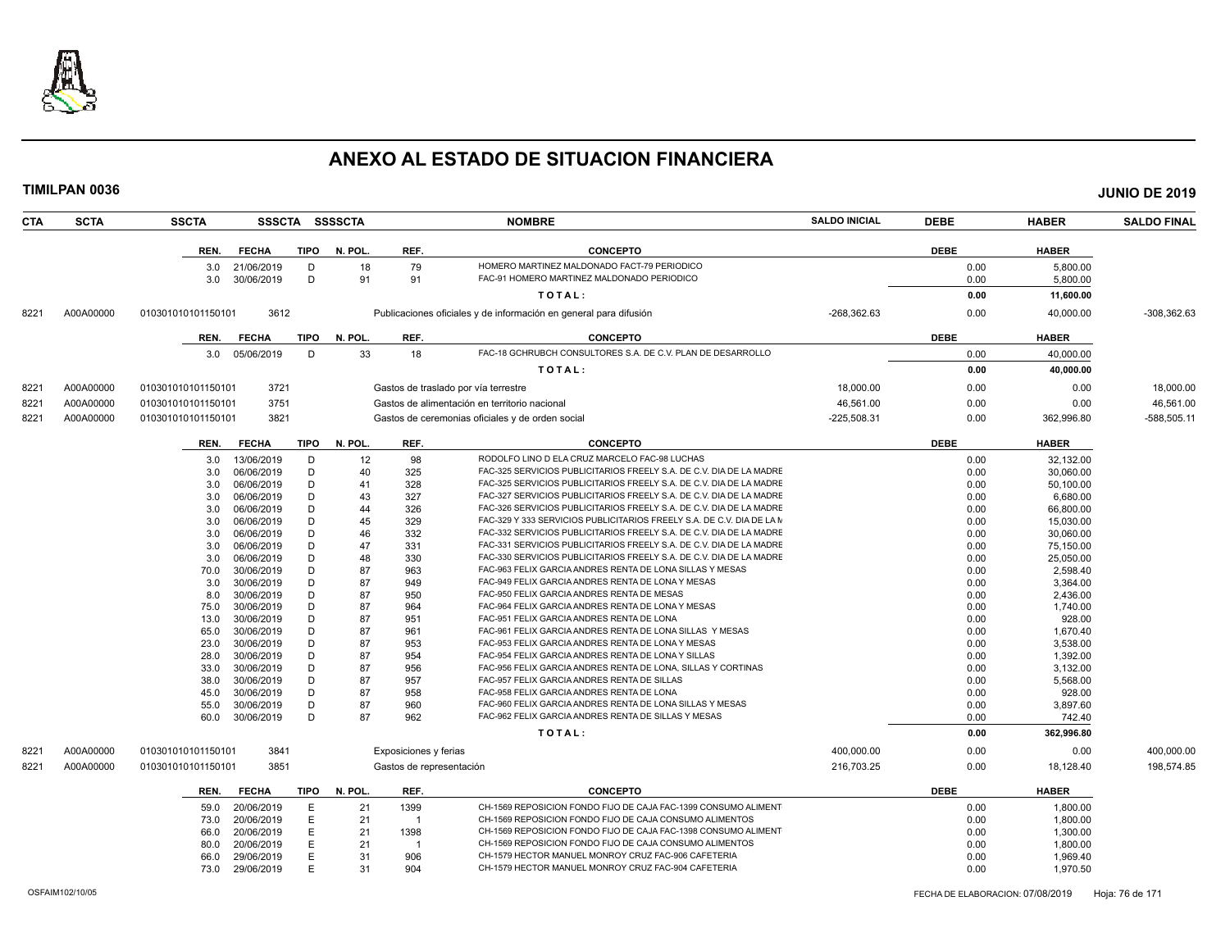

| <b>CTA</b> | <b>SCTA</b> | <b>SSCTA</b>       |                          |        | SSSCTA SSSSCTA |                          | <b>NOMBRE</b>                                                                                                  | <b>SALDO INICIAL</b> | <b>DEBE</b>  | <b>HABER</b>       | <b>SALDO FINAL</b> |
|------------|-------------|--------------------|--------------------------|--------|----------------|--------------------------|----------------------------------------------------------------------------------------------------------------|----------------------|--------------|--------------------|--------------------|
|            |             | REN.               | <b>FECHA</b>             | TIPO   | N. POL.        | REF.                     | <b>CONCEPTO</b>                                                                                                |                      | <b>DEBE</b>  | <b>HABER</b>       |                    |
|            |             | 3.0                | 21/06/2019               | D      | 18             | 79                       | HOMERO MARTINEZ MALDONADO FACT-79 PERIODICO                                                                    |                      | 0.00         | 5.800.00           |                    |
|            |             | 3.0                | 30/06/2019               | D      | 91             | 91                       | FAC-91 HOMERO MARTINEZ MALDONADO PERIODICO                                                                     |                      | 0.00         | 5,800.00           |                    |
|            |             |                    |                          |        |                |                          | TOTAL:                                                                                                         |                      | 0.00         |                    |                    |
|            |             |                    |                          |        |                |                          |                                                                                                                |                      |              | 11,600.00          |                    |
| 8221       | A00A00000   | 010301010101150101 | 3612                     |        |                |                          | Publicaciones oficiales y de información en general para difusión                                              | $-268,362.63$        | 0.00         | 40,000.00          | $-308,362.63$      |
|            |             | REN.               | <b>FECHA</b>             | TIPO   | N. POL.        | REF.                     | <b>CONCEPTO</b>                                                                                                |                      | <b>DEBE</b>  | <b>HABER</b>       |                    |
|            |             | 3.0                | 05/06/2019               | D      | 33             | 18                       | FAC-18 GCHRUBCH CONSULTORES S.A. DE C.V. PLAN DE DESARROLLO                                                    |                      | 0.00         | 40,000.00          |                    |
|            |             |                    |                          |        |                |                          | TOTAL:                                                                                                         |                      | 0.00         | 40,000.00          |                    |
| 8221       | A00A00000   | 010301010101150101 | 3721                     |        |                |                          | Gastos de traslado por vía terrestre                                                                           | 18,000.00            | 0.00         | 0.00               | 18,000.00          |
| 8221       | A00A00000   | 010301010101150101 | 3751                     |        |                |                          | Gastos de alimentación en territorio nacional                                                                  | 46.561.00            | 0.00         | 0.00               | 46,561.00          |
|            | A00A00000   |                    | 3821                     |        |                |                          |                                                                                                                | $-225,508.31$        | 0.00         |                    | -588,505.11        |
| 8221       |             | 010301010101150101 |                          |        |                |                          | Gastos de ceremonias oficiales y de orden social                                                               |                      |              | 362,996.80         |                    |
|            |             | REN.               | <b>FECHA</b>             | TIPO   | N. POL.        | REF.                     | <b>CONCEPTO</b>                                                                                                |                      | <b>DEBE</b>  | <b>HABER</b>       |                    |
|            |             | 3.0                | 13/06/2019               | D      | 12             | 98                       | RODOLFO LINO D ELA CRUZ MARCELO FAC-98 LUCHAS                                                                  |                      | 0.00         | 32.132.00          |                    |
|            |             | 3.0                | 06/06/2019               | D      | 40             | 325                      | FAC-325 SERVICIOS PUBLICITARIOS FREELY S.A. DE C.V. DIA DE LA MADRE                                            |                      | 0.00         | 30,060.00          |                    |
|            |             | 3.0                | 06/06/2019               | D      | 41             | 328                      | FAC-325 SERVICIOS PUBLICITARIOS FREELY S.A. DE C.V. DIA DE LA MADRE                                            |                      | 0.00         | 50,100.00          |                    |
|            |             | 3.0                | 06/06/2019               | D      | 43             | 327                      | FAC-327 SERVICIOS PUBLICITARIOS FREELY S.A. DE C.V. DIA DE LA MADRE                                            |                      | 0.00         | 6,680.00           |                    |
|            |             | 3.0                | 06/06/2019               | D      | 44             | 326                      | FAC-326 SERVICIOS PUBLICITARIOS FREELY S.A. DE C.V. DIA DE LA MADRE                                            |                      | 0.00         | 66,800.00          |                    |
|            |             | 3.0                | 06/06/2019               | D      | 45             | 329                      | FAC-329 Y 333 SERVICIOS PUBLICITARIOS FREELY S.A. DE C.V. DIA DE LA M                                          |                      | 0.00         | 15,030.00          |                    |
|            |             | 3.0                | 06/06/2019               | D      | 46             | 332                      | FAC-332 SERVICIOS PUBLICITARIOS FREELY S.A. DE C.V. DIA DE LA MADRE                                            |                      | 0.00         | 30,060.00          |                    |
|            |             | 3.0                | 06/06/2019               | D      | 47             | 331                      | FAC-331 SERVICIOS PUBLICITARIOS FREELY S.A. DE C.V. DIA DE LA MADRE                                            |                      | 0.00         | 75,150.00          |                    |
|            |             | 3.0                | 06/06/2019               | D      | 48             | 330                      | FAC-330 SERVICIOS PUBLICITARIOS FREELY S.A. DE C.V. DIA DE LA MADRE                                            |                      | 0.00         | 25,050.00          |                    |
|            |             | 70.0               | 30/06/2019               | D      | 87             | 963                      | FAC-963 FELIX GARCIA ANDRES RENTA DE LONA SILLAS Y MESAS                                                       |                      | 0.00         | 2,598.40           |                    |
|            |             | 3.0                | 30/06/2019               | D      | 87             | 949                      | FAC-949 FELIX GARCIA ANDRES RENTA DE LONA Y MESAS                                                              |                      | 0.00         | 3,364.00           |                    |
|            |             | 8.0                | 30/06/2019               | D      | 87             | 950                      | FAC-950 FELIX GARCIA ANDRES RENTA DE MESAS                                                                     |                      | 0.00         | 2,436.00           |                    |
|            |             | 75.0               | 30/06/2019<br>30/06/2019 | D<br>D | 87<br>87       | 964<br>951               | FAC-964 FELIX GARCIA ANDRES RENTA DE LONA Y MESAS<br>FAC-951 FELIX GARCIA ANDRES RENTA DE LONA                 |                      | 0.00<br>0.00 | 1,740.00           |                    |
|            |             | 13.0<br>65.0       | 30/06/2019               | D      | 87             | 961                      | FAC-961 FELIX GARCIA ANDRES RENTA DE LONA SILLAS Y MESAS                                                       |                      | 0.00         | 928.00<br>1.670.40 |                    |
|            |             | 23.0               | 30/06/2019               | D      | 87             | 953                      | FAC-953 FELIX GARCIA ANDRES RENTA DE LONA Y MESAS                                                              |                      | 0.00         | 3,538.00           |                    |
|            |             | 28.0               | 30/06/2019               | D      | 87             | 954                      | FAC-954 FELIX GARCIA ANDRES RENTA DE LONA Y SILLAS                                                             |                      | 0.00         | 1,392.00           |                    |
|            |             | 33.0               | 30/06/2019               | D      | 87             | 956                      | FAC-956 FELIX GARCIA ANDRES RENTA DE LONA, SILLAS Y CORTINAS                                                   |                      | 0.00         | 3,132.00           |                    |
|            |             | 38.0               | 30/06/2019               | D      | 87             | 957                      | FAC-957 FELIX GARCIA ANDRES RENTA DE SILLAS                                                                    |                      | 0.00         | 5,568.00           |                    |
|            |             | 45.0               | 30/06/2019               | D      | 87             | 958                      | FAC-958 FELIX GARCIA ANDRES RENTA DE LONA                                                                      |                      | 0.00         | 928.00             |                    |
|            |             | 55.0               | 30/06/2019               | D      | 87             | 960                      | FAC-960 FELIX GARCIA ANDRES RENTA DE LONA SILLAS Y MESAS                                                       |                      | 0.00         | 3,897.60           |                    |
|            |             | 60.0               | 30/06/2019               | D      | 87             | 962                      | FAC-962 FELIX GARCIA ANDRES RENTA DE SILLAS Y MESAS                                                            |                      | 0.00         | 742.40             |                    |
|            |             |                    |                          |        |                |                          | TOTAL:                                                                                                         |                      | 0.00         | 362,996.80         |                    |
| 8221       | A00A00000   | 010301010101150101 | 3841                     |        |                | Exposiciones y ferias    |                                                                                                                | 400,000.00           | 0.00         | 0.00               | 400,000.00         |
| 8221       | A00A00000   | 010301010101150101 | 3851                     |        |                | Gastos de representación |                                                                                                                | 216,703.25           | 0.00         | 18,128.40          | 198,574.85         |
|            |             |                    |                          |        |                |                          |                                                                                                                |                      |              |                    |                    |
|            |             | REN.               | <b>FECHA</b>             | TIPO   | N. POL.        | REF.                     | <b>CONCEPTO</b>                                                                                                |                      | <b>DEBE</b>  | <b>HABER</b>       |                    |
|            |             | 59.0               | 20/06/2019               | Е      | 21             | 1399                     | CH-1569 REPOSICION FONDO FIJO DE CAJA FAC-1399 CONSUMO ALIMENT                                                 |                      | 0.00         | 1,800.00           |                    |
|            |             | 73.0               | 20/06/2019               | E      | 21             | $\mathbf{1}$             | CH-1569 REPOSICION FONDO FIJO DE CAJA CONSUMO ALIMENTOS                                                        |                      | 0.00         | 1,800.00           |                    |
|            |             | 66.0               | 20/06/2019               | E      | 21             | 1398                     | CH-1569 REPOSICION FONDO FIJO DE CAJA FAC-1398 CONSUMO ALIMENT                                                 |                      | 0.00         | 1,300.00           |                    |
|            |             | 80.0               | 20/06/2019               | E      | 21             |                          | CH-1569 REPOSICION FONDO FIJO DE CAJA CONSUMO ALIMENTOS<br>CH-1579 HECTOR MANUEL MONROY CRUZ FAC-906 CAFETERIA |                      | 0.00         | 1,800.00           |                    |
|            |             | 66.0               | 29/06/2019               | E<br>E | 31<br>31       | 906<br>904               | CH-1579 HECTOR MANUEL MONROY CRUZ FAC-904 CAFETERIA                                                            |                      | 0.00         | 1,969.40           |                    |
|            |             | 73.0               | 29/06/2019               |        |                |                          |                                                                                                                |                      | 0.00         | 1,970.50           |                    |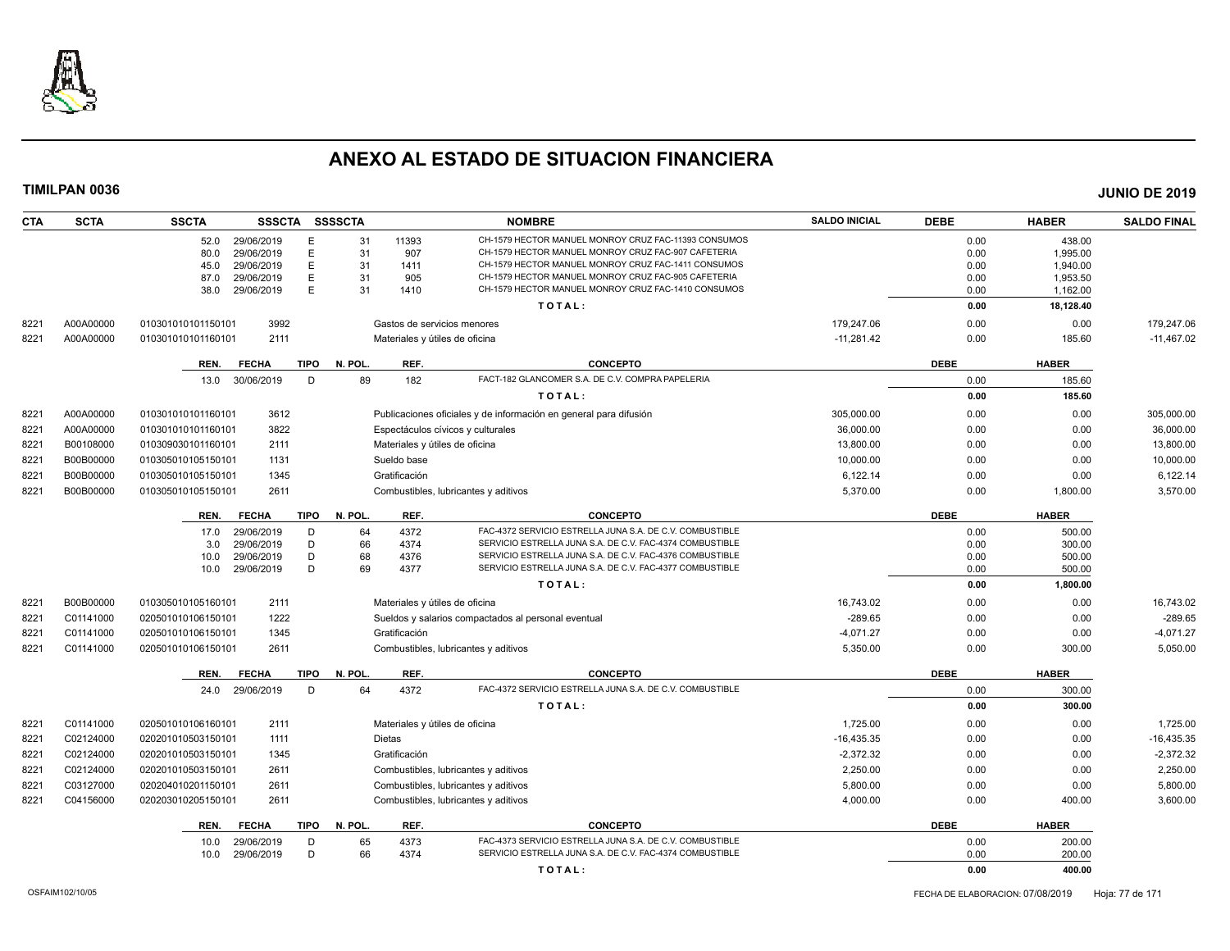

| <b>CTA</b> | <b>SCTA</b> | <b>SSCTA</b>       | SSSCTA SSSSCTA  |             |              |                                | <b>NOMBRE</b>                                                                                              | <b>SALDO INICIAL</b> | <b>DEBE</b>  | <b>HABER</b>          | <b>SALDO FINAL</b> |
|------------|-------------|--------------------|-----------------|-------------|--------------|--------------------------------|------------------------------------------------------------------------------------------------------------|----------------------|--------------|-----------------------|--------------------|
|            |             | 52.0               | 29/06/2019      | E           | 31           | 11393                          | CH-1579 HECTOR MANUEL MONROY CRUZ FAC-11393 CONSUMOS                                                       |                      | 0.00         | 438.00                |                    |
|            |             | 80.0               | 29/06/2019      | E           | 31           | 907                            | CH-1579 HECTOR MANUEL MONROY CRUZ FAC-907 CAFETERIA                                                        |                      | 0.00         | 1.995.00              |                    |
|            |             | 45.0               | 29/06/2019      | E           | 31           | 1411                           | CH-1579 HECTOR MANUEL MONROY CRUZ FAC-1411 CONSUMOS                                                        |                      | 0.00         | 1,940.00              |                    |
|            |             | 87.0               | 29/06/2019      | E.<br>E     | 31<br>31     | 905<br>1410                    | CH-1579 HECTOR MANUEL MONROY CRUZ FAC-905 CAFETERIA<br>CH-1579 HECTOR MANUEL MONROY CRUZ FAC-1410 CONSUMOS |                      | 0.00         | 1,953.50              |                    |
|            |             | 38.0               | 29/06/2019      |             |              |                                | TOTAL:                                                                                                     |                      | 0.00<br>0.00 | 1,162.00<br>18,128.40 |                    |
| 8221       | A00A00000   | 010301010101150101 | 3992            |             |              |                                | Gastos de servicios menores                                                                                | 179,247.06           | 0.00         | 0.00                  | 179,247.06         |
| 8221       | A00A00000   | 010301010101160101 | 2111            |             |              |                                | Materiales y útiles de oficina                                                                             | $-11,281.42$         | 0.00         | 185.60                | $-11,467.02$       |
|            |             | REN.               | <b>FECHA</b>    |             | TIPO N. POL. | REF.                           | <b>CONCEPTO</b>                                                                                            |                      | <b>DEBE</b>  | <b>HABER</b>          |                    |
|            |             |                    | 13.0 30/06/2019 | D           | 89           | 182                            | FACT-182 GLANCOMER S.A. DE C.V. COMPRA PAPELERIA                                                           |                      | 0.00         | 185.60                |                    |
|            |             |                    |                 |             |              |                                | TOTAL:                                                                                                     |                      | 0.00         | 185.60                |                    |
| 8221       | A00A00000   | 010301010101160101 | 3612            |             |              |                                | Publicaciones oficiales y de información en general para difusión                                          | 305,000.00           | 0.00         | 0.00                  | 305,000.00         |
| 8221       | A00A00000   | 010301010101160101 | 3822            |             |              |                                | Espectáculos cívicos y culturales                                                                          | 36,000.00            | 0.00         | 0.00                  | 36,000.00          |
| 8221       | B00108000   | 010309030101160101 | 2111            |             |              | Materiales y útiles de oficina |                                                                                                            | 13,800.00            | 0.00         | 0.00                  | 13,800.00          |
| 8221       | B00B00000   | 010305010105150101 | 1131            |             |              | Sueldo base                    |                                                                                                            | 10,000.00            | 0.00         | 0.00                  | 10,000.00          |
| 8221       | B00B00000   | 010305010105150101 | 1345            |             |              | Gratificación                  |                                                                                                            | 6,122.14             | 0.00         | 0.00                  | 6,122.14           |
| 8221       | B00B00000   | 010305010105150101 | 2611            |             |              |                                | Combustibles, lubricantes y aditivos                                                                       | 5,370.00             | 0.00         | 1,800.00              | 3,570.00           |
|            |             | REN.               | <b>FECHA</b>    | <b>TIPO</b> | N. POL.      | REF.                           | <b>CONCEPTO</b>                                                                                            |                      | <b>DEBE</b>  | <b>HABER</b>          |                    |
|            |             | 17.0               | 29/06/2019      | D           | 64           | 4372                           | FAC-4372 SERVICIO ESTRELLA JUNA S.A. DE C.V. COMBUSTIBLE                                                   |                      | 0.00         | 500.00                |                    |
|            |             | 3.0                | 29/06/2019      | D           | 66           | 4374                           | SERVICIO ESTRELLA JUNA S.A. DE C.V. FAC-4374 COMBUSTIBLE                                                   |                      | 0.00         | 300.00                |                    |
|            |             | 10.0               | 29/06/2019      | D           | 68           | 4376                           | SERVICIO ESTRELLA JUNA S.A. DE C.V. FAC-4376 COMBUSTIBLE                                                   |                      | 0.00         | 500.00                |                    |
|            |             | 10.0               | 29/06/2019      | D           | 69           | 4377                           | SERVICIO ESTRELLA JUNA S.A. DE C.V. FAC-4377 COMBUSTIBLE                                                   |                      | 0.00         | 500.00                |                    |
|            |             |                    |                 |             |              |                                | TOTAL:                                                                                                     |                      | 0.00         | 1,800.00              |                    |
| 8221       | B00B00000   | 010305010105160101 | 2111            |             |              | Materiales y útiles de oficina |                                                                                                            | 16.743.02            | 0.00         | 0.00                  | 16,743.02          |
| 8221       | C01141000   | 020501010106150101 | 1222            |             |              |                                | Sueldos y salarios compactados al personal eventual                                                        | $-289.65$            | 0.00         | 0.00                  | $-289.65$          |
| 822'       | C01141000   | 020501010106150101 | 1345            |             |              | Gratificación                  |                                                                                                            | $-4.071.27$          | 0.00         | 0.00                  | $-4,071.27$        |
| 8221       | C01141000   | 020501010106150101 | 2611            |             |              |                                | Combustibles, lubricantes y aditivos                                                                       | 5,350.00             | 0.00         | 300.00                | 5,050.00           |
|            |             | REN.               | <b>FECHA</b>    | <b>TIPO</b> | N. POL.      | REF.                           | <b>CONCEPTO</b>                                                                                            |                      | <b>DEBE</b>  | <b>HABER</b>          |                    |
|            |             | 24.0               | 29/06/2019      | D           | 64           | 4372                           | FAC-4372 SERVICIO ESTRELLA JUNA S.A. DE C.V. COMBUSTIBLE                                                   |                      | 0.00         | 300.00                |                    |
|            |             |                    |                 |             |              |                                | TOTAL:                                                                                                     |                      | 0.00         | 300.00                |                    |
| 8221       | C01141000   | 020501010106160101 | 2111            |             |              |                                | Materiales y útiles de oficina                                                                             | 1,725.00             | 0.00         | 0.00                  | 1,725.00           |
| 8221       | C02124000   | 020201010503150101 | 1111            |             |              | Dietas                         |                                                                                                            | $-16,435.35$         | 0.00         | 0.00                  | $-16,435.35$       |
| 8221       | C02124000   | 020201010503150101 | 1345            |             |              | Gratificación                  |                                                                                                            | $-2,372.32$          | 0.00         | 0.00                  | $-2,372.32$        |
| 8221       | C02124000   | 020201010503150101 | 2611            |             |              |                                | Combustibles, lubricantes y aditivos                                                                       | 2,250.00             | 0.00         | 0.00                  | 2,250.00           |
| 8221       | C03127000   | 020204010201150101 | 2611            |             |              |                                | Combustibles, lubricantes y aditivos                                                                       | 5,800.00             | 0.00         | 0.00                  | 5,800.00           |
| 8221       | C04156000   | 020203010205150101 | 2611            |             |              |                                | Combustibles, lubricantes y aditivos                                                                       | 4,000.00             | 0.00         | 400.00                | 3,600.00           |
|            |             | REN.               | <b>FECHA</b>    | <b>TIPO</b> | N. POL.      | REF.                           | <b>CONCEPTO</b>                                                                                            |                      | <b>DEBE</b>  | <b>HABER</b>          |                    |
|            |             | 10.0               | 29/06/2019      | D           | 65           | 4373                           | FAC-4373 SERVICIO ESTRELLA JUNA S.A. DE C.V. COMBUSTIBLE                                                   |                      | 0.00         | 200.00                |                    |
|            |             | 10.0               | 29/06/2019      | D           | 66           | 4374                           | SERVICIO ESTRELLA JUNA S.A. DE C.V. FAC-4374 COMBUSTIBLE                                                   |                      | 0.00         | 200.00                |                    |
|            |             |                    |                 |             |              |                                | TOTAL:                                                                                                     |                      | 0.00         | 400.00                |                    |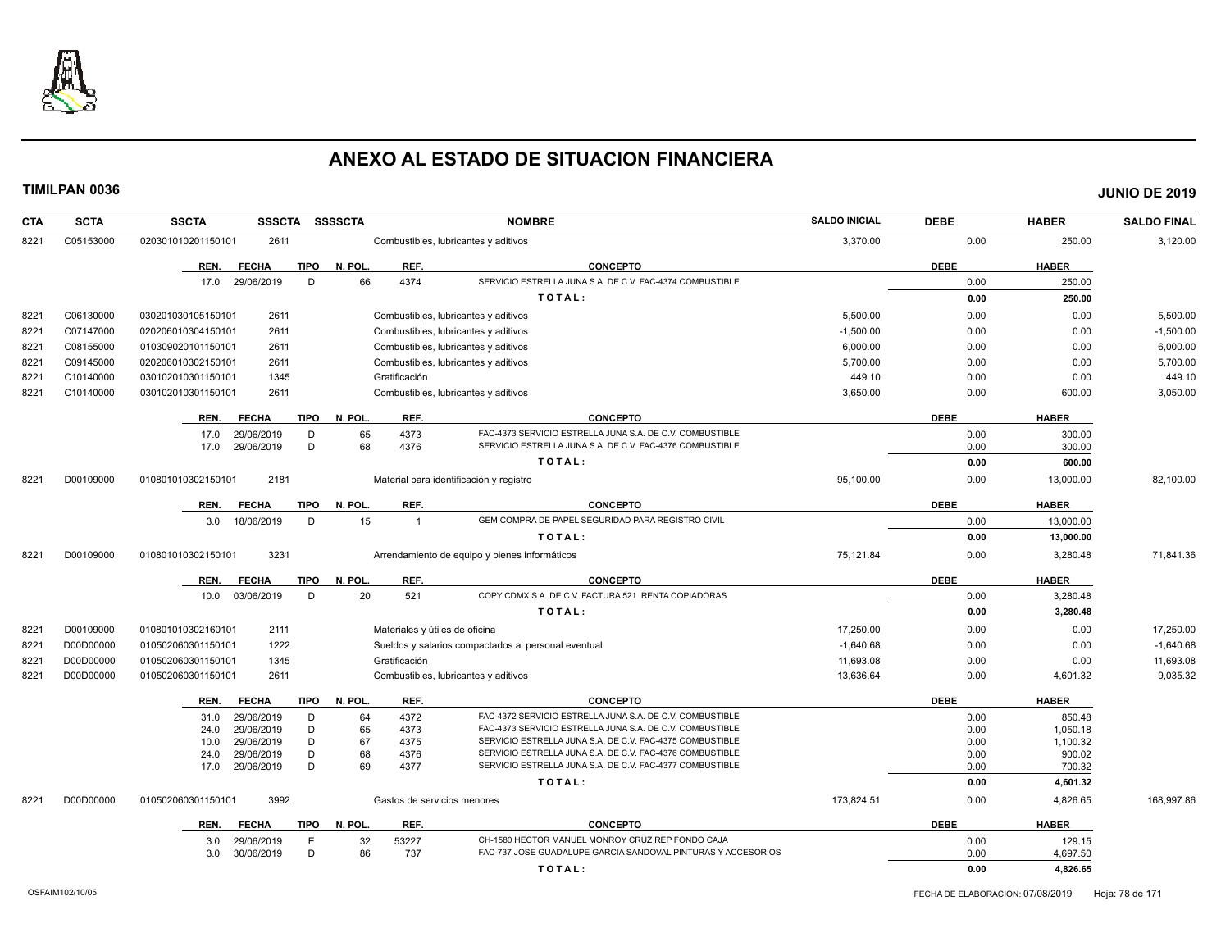

| CTA  | <b>SCTA</b> | <b>SSCTA</b><br><b>SSSCTA</b>                      | <b>SSSSCTA</b> | <b>NOMBRE</b>                                                                                                                        | <b>SALDO INICIAL</b> | <b>DEBE</b>  | <b>HABER</b>       | <b>SALDO FINAL</b> |
|------|-------------|----------------------------------------------------|----------------|--------------------------------------------------------------------------------------------------------------------------------------|----------------------|--------------|--------------------|--------------------|
| 8221 | C05153000   | 2611<br>020301010201150101                         |                | Combustibles, lubricantes y aditivos                                                                                                 | 3,370.00             | 0.00         | 250.00             | 3,120.00           |
|      |             | <b>TIPO</b><br>REN.<br><b>FECHA</b>                | N. POL.        | REF.<br><b>CONCEPTO</b>                                                                                                              |                      | <b>DEBE</b>  | <b>HABER</b>       |                    |
|      |             | D<br>17.0<br>29/06/2019                            | 66             | 4374<br>SERVICIO ESTRELLA JUNA S.A. DE C.V. FAC-4374 COMBUSTIBLE                                                                     |                      | 0.00         | 250.00             |                    |
|      |             |                                                    |                | TOTAL:                                                                                                                               |                      | 0.00         | 250.00             |                    |
| 8221 | C06130000   | 2611<br>030201030105150101                         |                | Combustibles, lubricantes y aditivos                                                                                                 | 5,500.00             | 0.00         | 0.00               | 5,500.00           |
| 8221 | C07147000   | 2611<br>020206010304150101                         |                | Combustibles, lubricantes y aditivos                                                                                                 | $-1.500.00$          | 0.00         | 0.00               | $-1,500.00$        |
| 8221 | C08155000   | 2611<br>010309020101150101                         |                | Combustibles, lubricantes y aditivos                                                                                                 | 6,000.00             | 0.00         | 0.00               | 6,000.00           |
| 8221 | C09145000   | 020206010302150101<br>2611                         |                | Combustibles, lubricantes y aditivos                                                                                                 | 5,700.00             | 0.00         | 0.00               | 5,700.00           |
| 8221 | C10140000   | 1345<br>030102010301150101                         | Gratificación  |                                                                                                                                      | 449.10               | 0.00         | 0.00               | 449.10             |
| 8221 | C10140000   | 2611<br>030102010301150101                         |                | Combustibles, lubricantes y aditivos                                                                                                 | 3,650.00             | 0.00         | 600.00             | 3,050.00           |
|      |             | <b>FECHA</b><br><b>TIPO</b><br>REN.                | N. POL.        | REF.<br><b>CONCEPTO</b>                                                                                                              |                      | <b>DEBE</b>  | <b>HABER</b>       |                    |
|      |             | 29/06/2019<br>D<br>17.0                            | 65             | 4373<br>FAC-4373 SERVICIO ESTRELLA JUNA S.A. DE C.V. COMBUSTIBLE                                                                     |                      | 0.00         | 300.00             |                    |
|      |             | 29/06/2019<br>D<br>17.0                            | 68             | SERVICIO ESTRELLA JUNA S.A. DE C.V. FAC-4376 COMBUSTIBLE<br>4376                                                                     |                      | 0.00         | 300.00             |                    |
|      |             |                                                    |                | TOTAL:                                                                                                                               |                      | 0.00         | 600.00             |                    |
| 8221 | D00109000   | 2181<br>010801010302150101                         |                | Material para identificación y registro                                                                                              | 95,100.00            | 0.00         | 13,000.00          | 82,100.00          |
|      |             | <b>FECHA</b><br>TIPO<br>REN.                       | N. POL.        | REF.<br><b>CONCEPTO</b>                                                                                                              |                      | <b>DEBE</b>  | <b>HABER</b>       |                    |
|      |             | 18/06/2019<br>D<br>3.0                             | 15             | GEM COMPRA DE PAPEL SEGURIDAD PARA REGISTRO CIVIL<br>$\overline{1}$                                                                  |                      | 0.00         | 13,000.00          |                    |
|      |             |                                                    |                | TOTAL:                                                                                                                               |                      | 0.00         | 13,000.00          |                    |
| 8221 | D00109000   | 3231<br>010801010302150101                         |                | Arrendamiento de equipo y bienes informáticos                                                                                        | 75,121.84            | 0.00         | 3,280.48           | 71,841.36          |
|      |             | <b>FECHA</b><br><b>TIPO</b><br>REN.                | N. POL.        | REF.<br><b>CONCEPTO</b>                                                                                                              |                      | <b>DEBE</b>  | <b>HABER</b>       |                    |
|      |             | 03/06/2019<br>D<br>10.0                            | 20             | 521<br>COPY CDMX S.A. DE C.V. FACTURA 521 RENTA COPIADORAS                                                                           |                      | 0.00         | 3,280.48           |                    |
|      |             |                                                    |                | TOTAL:                                                                                                                               |                      | 0.00         | 3,280.48           |                    |
| 8221 | D00109000   | 2111<br>010801010302160101                         |                | Materiales y útiles de oficina                                                                                                       | 17,250.00            | 0.00         | 0.00               | 17,250.00          |
| 8221 | D00D00000   | 1222<br>010502060301150101                         |                | Sueldos y salarios compactados al personal eventual                                                                                  | $-1,640.68$          | 0.00         | 0.00               | $-1,640.68$        |
| 8221 | D00D00000   | 1345<br>010502060301150101                         | Gratificación  |                                                                                                                                      | 11,693.08            | 0.00         | 0.00               | 11,693.08          |
| 8221 | D00D00000   | 2611<br>010502060301150101                         |                | Combustibles, lubricantes y aditivos                                                                                                 | 13,636.64            | 0.00         | 4,601.32           | 9,035.32           |
|      |             | REN.<br><b>FECHA</b>                               | TIPO N. POL.   | REF.<br><b>CONCEPTO</b>                                                                                                              |                      | <b>DEBE</b>  | <b>HABER</b>       |                    |
|      |             | 29/06/2019<br>D<br>31.0                            | 64             | 4372<br>FAC-4372 SERVICIO ESTRELLA JUNA S.A. DE C.V. COMBUSTIBLE                                                                     |                      | 0.00         | 850.48             |                    |
|      |             | 29/06/2019<br>D<br>24.0                            | 65             | 4373<br>FAC-4373 SERVICIO ESTRELLA JUNA S.A. DE C.V. COMBUSTIBLE                                                                     |                      | 0.00         | 1,050.18           |                    |
|      |             | D<br>29/06/2019<br>10.0<br>D<br>29/06/2019<br>24.0 | 67<br>68       | 4375<br>SERVICIO ESTRELLA JUNA S.A. DE C.V. FAC-4375 COMBUSTIBLE<br>SERVICIO ESTRELLA JUNA S.A. DE C.V. FAC-4376 COMBUSTIBLE<br>4376 |                      | 0.00<br>0.00 | 1,100.32<br>900.02 |                    |
|      |             | D<br>17.0<br>29/06/2019                            | 69             | SERVICIO ESTRELLA JUNA S.A. DE C.V. FAC-4377 COMBUSTIBLE<br>4377                                                                     |                      | 0.00         | 700.32             |                    |
|      |             |                                                    |                | TOTAL:                                                                                                                               |                      | 0.00         | 4,601.32           |                    |
| 8221 | D00D00000   | 3992<br>010502060301150101                         |                | Gastos de servicios menores                                                                                                          | 173,824.51           | 0.00         | 4,826.65           | 168,997.86         |
|      |             | <b>FECHA</b><br><b>TIPO</b><br>REN.                | N. POL.        | REF.<br><b>CONCEPTO</b>                                                                                                              |                      | <b>DEBE</b>  | <b>HABER</b>       |                    |
|      |             | 29/06/2019<br>E                                    | 32             | 53227<br>CH-1580 HECTOR MANUEL MONROY CRUZ REP FONDO CAJA                                                                            |                      | 0.00         | 129.15             |                    |
|      |             | 3.0<br>D<br>3.0<br>30/06/2019                      | 86             | FAC-737 JOSE GUADALUPE GARCIA SANDOVAL PINTURAS Y ACCESORIOS<br>737                                                                  |                      | 0.00         | 4,697.50           |                    |
|      |             |                                                    |                | TOTAL:                                                                                                                               |                      | 0.00         | 4,826.65           |                    |
|      |             |                                                    |                |                                                                                                                                      |                      |              |                    |                    |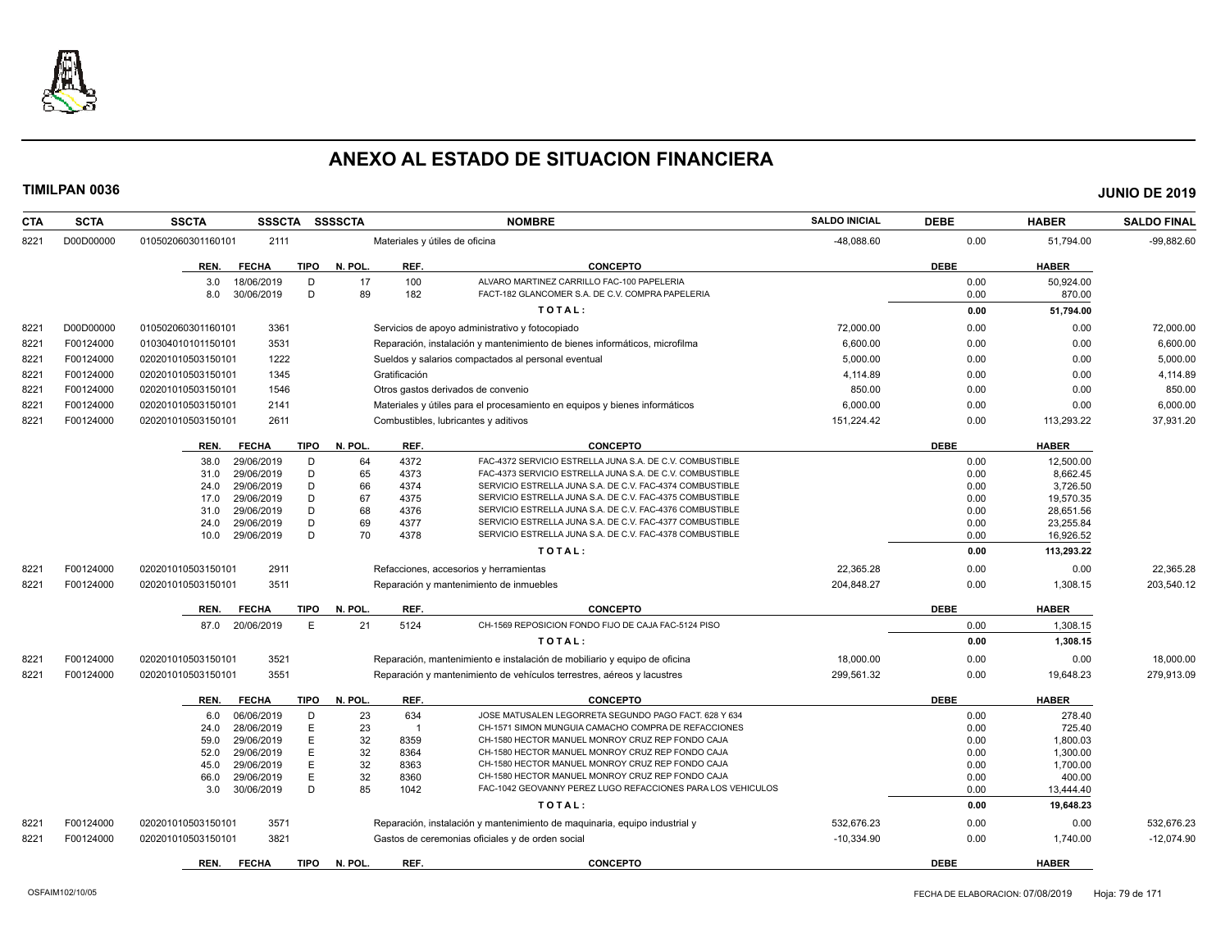

| <b>CTA</b> | <b>SCTA</b> | <b>SSCTA</b>       | <b>SSSCTA</b>            | <b>SSSSCTA</b>         |               | <b>NOMBRE</b>                                                               | <b>SALDO INICIAL</b> | <b>DEBE</b>  | <b>HABER</b>          | <b>SALDO FINAL</b> |
|------------|-------------|--------------------|--------------------------|------------------------|---------------|-----------------------------------------------------------------------------|----------------------|--------------|-----------------------|--------------------|
| 8221       | D00D00000   | 010502060301160101 | 2111                     |                        |               | Materiales y útiles de oficina                                              | -48,088.60           | 0.00         | 51,794.00             | $-99,882.60$       |
|            |             | REN.               | <b>FECHA</b>             | TIPO<br>N. POL.        | REF.          | <b>CONCEPTO</b>                                                             |                      | <b>DEBE</b>  | <b>HABER</b>          |                    |
|            |             | 3.0                | 18/06/2019               | 17<br>D                | 100           | ALVARO MARTINEZ CARRILLO FAC-100 PAPELERIA                                  |                      | 0.00         | 50,924.00             |                    |
|            |             | 8.0                | 30/06/2019               | D<br>89                | 182           | FACT-182 GLANCOMER S.A. DE C.V. COMPRA PAPELERIA                            |                      | 0.00         | 870.00                |                    |
|            |             |                    |                          |                        |               | TOTAL:                                                                      |                      | 0.00         | 51,794.00             |                    |
| 8221       | D00D00000   | 010502060301160101 | 3361                     |                        |               | Servicios de apoyo administrativo y fotocopiado                             | 72,000.00            | 0.00         | 0.00                  | 72,000.00          |
| 8221       | F00124000   | 010304010101150101 | 3531                     |                        |               | Reparación, instalación y mantenimiento de bienes informáticos, microfilma  | 6,600.00             | 0.00         | 0.00                  | 6,600.00           |
| 8221       | F00124000   | 020201010503150101 | 1222                     |                        |               | Sueldos y salarios compactados al personal eventual                         | 5,000.00             | 0.00         | 0.00                  | 5,000.00           |
| 8221       | F00124000   | 020201010503150101 | 1345                     |                        | Gratificación |                                                                             | 4,114.89             | 0.00         | 0.00                  | 4,114.89           |
| 8221       | F00124000   | 020201010503150101 | 1546                     |                        |               | Otros gastos derivados de convenio                                          | 850.00               | 0.00         | 0.00                  | 850.00             |
| 8221       | F00124000   | 020201010503150101 | 2141                     |                        |               | Materiales y útiles para el procesamiento en equipos y bienes informáticos  | 6,000.00             | 0.00         | 0.00                  | 6,000.00           |
| 8221       | F00124000   | 020201010503150101 | 2611                     |                        |               | Combustibles, lubricantes y aditivos                                        | 151,224.42           | 0.00         | 113,293.22            | 37,931.20          |
|            |             |                    |                          |                        |               |                                                                             |                      |              |                       |                    |
|            |             | REN.               | <b>FECHA</b>             | <b>TIPO</b><br>N. POL. | REF.          | <b>CONCEPTO</b><br>FAC-4372 SERVICIO ESTRELLA JUNA S.A. DE C.V. COMBUSTIBLE |                      | <b>DEBE</b>  | <b>HABER</b>          |                    |
|            |             | 38.0<br>31.0       | 29/06/2019<br>29/06/2019 | 64<br>D<br>D<br>65     | 4372<br>4373  | FAC-4373 SERVICIO ESTRELLA JUNA S.A. DE C.V. COMBUSTIBLE                    |                      | 0.00<br>0.00 | 12,500.00<br>8.662.45 |                    |
|            |             | 24.0               | 29/06/2019               | 66<br>D                | 4374          | SERVICIO ESTRELLA JUNA S.A. DE C.V. FAC-4374 COMBUSTIBLE                    |                      | 0.00         | 3,726.50              |                    |
|            |             | 17.0               | 29/06/2019               | D<br>67                | 4375          | SERVICIO ESTRELLA JUNA S.A. DE C.V. FAC-4375 COMBUSTIBLE                    |                      | 0.00         | 19,570.35             |                    |
|            |             | 31.0               | 29/06/2019               | 68<br>D                | 4376          | SERVICIO ESTRELLA JUNA S.A. DE C.V. FAC-4376 COMBUSTIBLE                    |                      | 0.00         | 28,651.56             |                    |
|            |             | 24.0               | 29/06/2019               | 69<br>D                | 4377          | SERVICIO ESTRELLA JUNA S.A. DE C.V. FAC-4377 COMBUSTIBLE                    |                      | 0.00         | 23,255.84             |                    |
|            |             | 10.0               | 29/06/2019               | D<br>70                | 4378          | SERVICIO ESTRELLA JUNA S.A. DE C.V. FAC-4378 COMBUSTIBLE                    |                      | 0.00         | 16,926.52             |                    |
|            |             |                    |                          |                        |               | TOTAL:                                                                      |                      | 0.00         | 113,293.22            |                    |
| 8221       | F00124000   | 020201010503150101 | 2911                     |                        |               | Refacciones, accesorios y herramientas                                      | 22,365.28            | 0.00         | 0.00                  | 22,365.28          |
| 8221       | F00124000   | 020201010503150101 | 3511                     |                        |               | Reparación y mantenimiento de inmuebles                                     | 204.848.27           | 0.00         | 1,308.15              | 203,540.12         |
|            |             | REN.               | <b>FECHA</b>             | <b>TIPO</b><br>N. POL. | REF.          | <b>CONCEPTO</b>                                                             |                      | <b>DEBE</b>  | <b>HABER</b>          |                    |
|            |             |                    | 87.0 20/06/2019          | E<br>21                | 5124          | CH-1569 REPOSICION FONDO FIJO DE CAJA FAC-5124 PISO                         |                      | 0.00         | 1,308.15              |                    |
|            |             |                    |                          |                        |               | TOTAL:                                                                      |                      | 0.00         | 1,308.15              |                    |
| 8221       | F00124000   | 020201010503150101 | 3521                     |                        |               | Reparación, mantenimiento e instalación de mobiliario y equipo de oficina   | 18,000.00            | 0.00         | 0.00                  | 18,000.00          |
| 8221       | F00124000   | 020201010503150101 | 3551                     |                        |               | Reparación y mantenimiento de vehículos terrestres, aéreos y lacustres      | 299.561.32           | 0.00         | 19.648.23             | 279.913.09         |
|            |             | REN.               | <b>FECHA</b>             | TIPO<br>N. POL.        | REF.          | <b>CONCEPTO</b>                                                             |                      | <b>DEBE</b>  | <b>HABER</b>          |                    |
|            |             | 6.0                | 06/06/2019               | 23<br>D                | 634           | JOSE MATUSALEN LEGORRETA SEGUNDO PAGO FACT. 628 Y 634                       |                      | 0.00         | 278.40                |                    |
|            |             | 24.0               | 28/06/2019               | E<br>23                | $\mathbf{1}$  | CH-1571 SIMON MUNGUIA CAMACHO COMPRA DE REFACCIONES                         |                      | 0.00         | 725.40                |                    |
|            |             | 59.0               | 29/06/2019               | E<br>32                | 8359          | CH-1580 HECTOR MANUEL MONROY CRUZ REP FONDO CAJA                            |                      | 0.00         | 1,800.03              |                    |
|            |             | 52.0               | 29/06/2019               | E<br>32                | 8364          | CH-1580 HECTOR MANUEL MONROY CRUZ REP FONDO CAJA                            |                      | 0.00         | 1,300.00              |                    |
|            |             | 45.0               | 29/06/2019               | E<br>32                | 8363          | CH-1580 HECTOR MANUEL MONROY CRUZ REP FONDO CAJA                            |                      | 0.00         | 1,700.00              |                    |
|            |             | 66.0               | 29/06/2019               | E<br>32                | 8360          | CH-1580 HECTOR MANUEL MONROY CRUZ REP FONDO CAJA                            |                      | 0.00         | 400.00                |                    |
|            |             | 3.0                | 30/06/2019               | 85<br>D                | 1042          | FAC-1042 GEOVANNY PEREZ LUGO REFACCIONES PARA LOS VEHICULOS                 |                      | 0.00         | 13,444.40             |                    |
|            |             |                    |                          |                        |               | TOTAL:                                                                      |                      | 0.00         | 19,648.23             |                    |
| 8221       | F00124000   | 020201010503150101 | 3571                     |                        |               | Reparación, instalación y mantenimiento de maquinaria, equipo industrial y  | 532,676.23           | 0.00         | 0.00                  | 532,676.23         |
| 8221       | F00124000   | 020201010503150101 | 3821                     |                        |               | Gastos de ceremonias oficiales y de orden social                            | $-10,334.90$         | 0.00         | 1,740.00              | $-12,074.90$       |
|            |             | REN.               | <b>FECHA</b>             | <b>TIPO</b><br>N. POL. | REF.          | <b>CONCEPTO</b>                                                             |                      | <b>DEBE</b>  | <b>HABER</b>          |                    |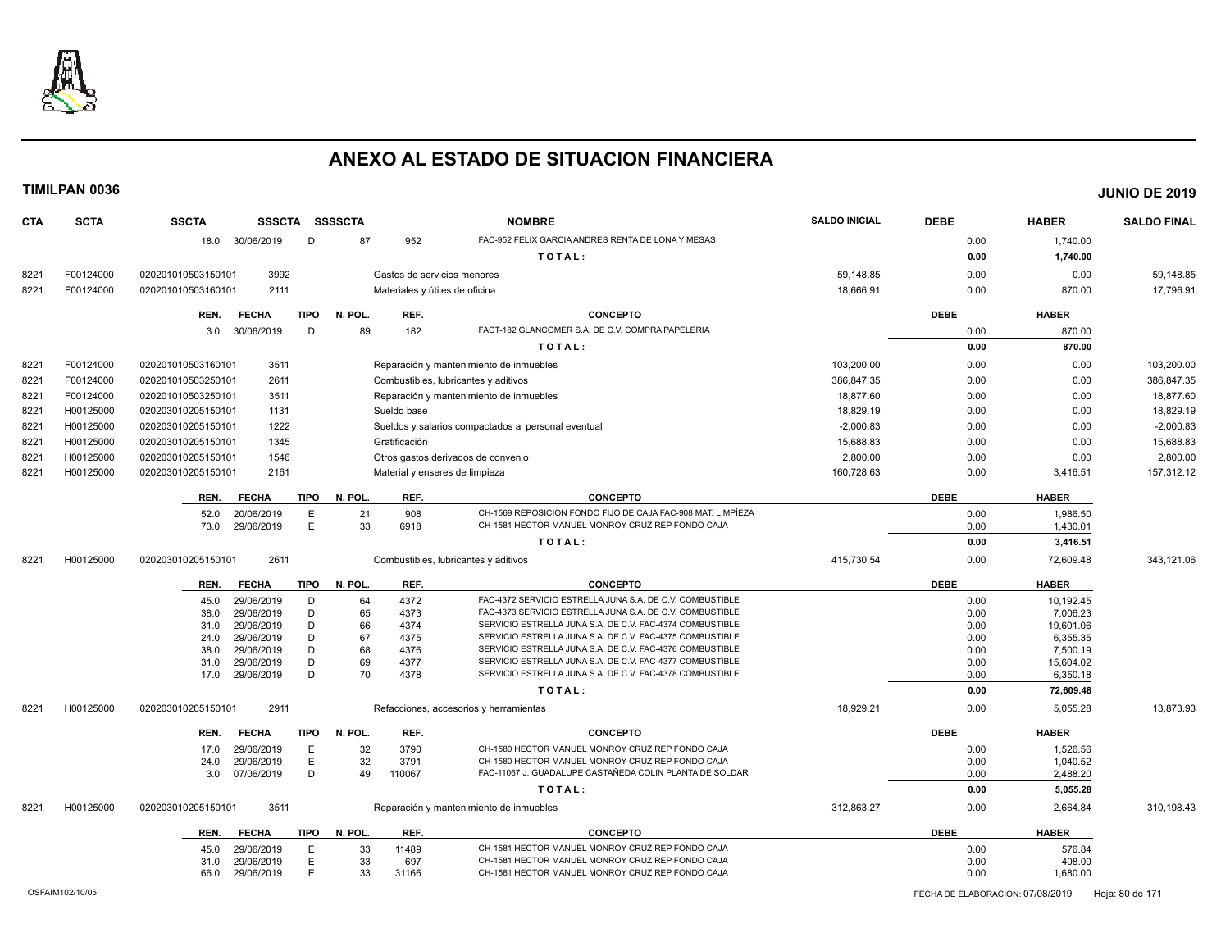

| <b>SCTA</b> | <b>SSCTA</b>                                     |                                                                                                                                                                                               |                                                                                                                                                                                                                                                                                                                                                                                                                     |                                                                                                                                                             | <b>NOMBRE</b>                                                                                                       | <b>SALDO INICIAL</b>                                                                                                                                                                                                                                                                                                                                                                                                                                                                                                                                                                                                                                                                                                                                                                                                                                                                                                                                                                                                     | <b>DEBE</b>                                        | <b>HABER</b>                                                                                                               | <b>SALDO FINAL</b>                                                                                                                                             |
|-------------|--------------------------------------------------|-----------------------------------------------------------------------------------------------------------------------------------------------------------------------------------------------|---------------------------------------------------------------------------------------------------------------------------------------------------------------------------------------------------------------------------------------------------------------------------------------------------------------------------------------------------------------------------------------------------------------------|-------------------------------------------------------------------------------------------------------------------------------------------------------------|---------------------------------------------------------------------------------------------------------------------|--------------------------------------------------------------------------------------------------------------------------------------------------------------------------------------------------------------------------------------------------------------------------------------------------------------------------------------------------------------------------------------------------------------------------------------------------------------------------------------------------------------------------------------------------------------------------------------------------------------------------------------------------------------------------------------------------------------------------------------------------------------------------------------------------------------------------------------------------------------------------------------------------------------------------------------------------------------------------------------------------------------------------|----------------------------------------------------|----------------------------------------------------------------------------------------------------------------------------|----------------------------------------------------------------------------------------------------------------------------------------------------------------|
|             |                                                  | D                                                                                                                                                                                             | 87                                                                                                                                                                                                                                                                                                                                                                                                                  | 952                                                                                                                                                         | FAC-952 FELIX GARCIA ANDRES RENTA DE LONA Y MESAS                                                                   |                                                                                                                                                                                                                                                                                                                                                                                                                                                                                                                                                                                                                                                                                                                                                                                                                                                                                                                                                                                                                          | 0.00                                               | 1,740.00                                                                                                                   |                                                                                                                                                                |
|             |                                                  |                                                                                                                                                                                               |                                                                                                                                                                                                                                                                                                                                                                                                                     |                                                                                                                                                             | TOTAL:                                                                                                              |                                                                                                                                                                                                                                                                                                                                                                                                                                                                                                                                                                                                                                                                                                                                                                                                                                                                                                                                                                                                                          | 0.00                                               | 1,740.00                                                                                                                   |                                                                                                                                                                |
| F00124000   | 020201010503150101                               |                                                                                                                                                                                               |                                                                                                                                                                                                                                                                                                                                                                                                                     |                                                                                                                                                             |                                                                                                                     | 59.148.85                                                                                                                                                                                                                                                                                                                                                                                                                                                                                                                                                                                                                                                                                                                                                                                                                                                                                                                                                                                                                | 0.00                                               | 0.00                                                                                                                       | 59,148.85                                                                                                                                                      |
| F00124000   | 020201010503160101                               |                                                                                                                                                                                               |                                                                                                                                                                                                                                                                                                                                                                                                                     |                                                                                                                                                             |                                                                                                                     | 18,666.91                                                                                                                                                                                                                                                                                                                                                                                                                                                                                                                                                                                                                                                                                                                                                                                                                                                                                                                                                                                                                | 0.00                                               | 870.00                                                                                                                     | 17,796.91                                                                                                                                                      |
|             |                                                  |                                                                                                                                                                                               |                                                                                                                                                                                                                                                                                                                                                                                                                     |                                                                                                                                                             |                                                                                                                     |                                                                                                                                                                                                                                                                                                                                                                                                                                                                                                                                                                                                                                                                                                                                                                                                                                                                                                                                                                                                                          |                                                    |                                                                                                                            |                                                                                                                                                                |
|             |                                                  |                                                                                                                                                                                               |                                                                                                                                                                                                                                                                                                                                                                                                                     |                                                                                                                                                             |                                                                                                                     |                                                                                                                                                                                                                                                                                                                                                                                                                                                                                                                                                                                                                                                                                                                                                                                                                                                                                                                                                                                                                          |                                                    |                                                                                                                            |                                                                                                                                                                |
|             |                                                  |                                                                                                                                                                                               |                                                                                                                                                                                                                                                                                                                                                                                                                     |                                                                                                                                                             |                                                                                                                     |                                                                                                                                                                                                                                                                                                                                                                                                                                                                                                                                                                                                                                                                                                                                                                                                                                                                                                                                                                                                                          |                                                    |                                                                                                                            |                                                                                                                                                                |
|             |                                                  |                                                                                                                                                                                               |                                                                                                                                                                                                                                                                                                                                                                                                                     |                                                                                                                                                             |                                                                                                                     |                                                                                                                                                                                                                                                                                                                                                                                                                                                                                                                                                                                                                                                                                                                                                                                                                                                                                                                                                                                                                          |                                                    |                                                                                                                            |                                                                                                                                                                |
|             |                                                  |                                                                                                                                                                                               |                                                                                                                                                                                                                                                                                                                                                                                                                     |                                                                                                                                                             |                                                                                                                     |                                                                                                                                                                                                                                                                                                                                                                                                                                                                                                                                                                                                                                                                                                                                                                                                                                                                                                                                                                                                                          |                                                    |                                                                                                                            | 103.200.00                                                                                                                                                     |
|             |                                                  |                                                                                                                                                                                               |                                                                                                                                                                                                                                                                                                                                                                                                                     |                                                                                                                                                             |                                                                                                                     |                                                                                                                                                                                                                                                                                                                                                                                                                                                                                                                                                                                                                                                                                                                                                                                                                                                                                                                                                                                                                          |                                                    |                                                                                                                            | 386,847.35                                                                                                                                                     |
|             |                                                  |                                                                                                                                                                                               |                                                                                                                                                                                                                                                                                                                                                                                                                     |                                                                                                                                                             |                                                                                                                     |                                                                                                                                                                                                                                                                                                                                                                                                                                                                                                                                                                                                                                                                                                                                                                                                                                                                                                                                                                                                                          |                                                    |                                                                                                                            | 18,877.60                                                                                                                                                      |
|             | 020203010205150101                               |                                                                                                                                                                                               |                                                                                                                                                                                                                                                                                                                                                                                                                     |                                                                                                                                                             |                                                                                                                     |                                                                                                                                                                                                                                                                                                                                                                                                                                                                                                                                                                                                                                                                                                                                                                                                                                                                                                                                                                                                                          | 0.00                                               | 0.00                                                                                                                       | 18,829.19                                                                                                                                                      |
| H00125000   | 020203010205150101                               |                                                                                                                                                                                               |                                                                                                                                                                                                                                                                                                                                                                                                                     |                                                                                                                                                             |                                                                                                                     | $-2.000.83$                                                                                                                                                                                                                                                                                                                                                                                                                                                                                                                                                                                                                                                                                                                                                                                                                                                                                                                                                                                                              | 0.00                                               | 0.00                                                                                                                       | $-2,000.83$                                                                                                                                                    |
| H00125000   | 020203010205150101                               |                                                                                                                                                                                               |                                                                                                                                                                                                                                                                                                                                                                                                                     |                                                                                                                                                             |                                                                                                                     | 15,688.83                                                                                                                                                                                                                                                                                                                                                                                                                                                                                                                                                                                                                                                                                                                                                                                                                                                                                                                                                                                                                | 0.00                                               | 0.00                                                                                                                       | 15,688.83                                                                                                                                                      |
| H00125000   | 020203010205150101                               |                                                                                                                                                                                               |                                                                                                                                                                                                                                                                                                                                                                                                                     |                                                                                                                                                             |                                                                                                                     | 2,800.00                                                                                                                                                                                                                                                                                                                                                                                                                                                                                                                                                                                                                                                                                                                                                                                                                                                                                                                                                                                                                 | 0.00                                               | 0.00                                                                                                                       | 2,800.00                                                                                                                                                       |
| H00125000   | 020203010205150101                               |                                                                                                                                                                                               |                                                                                                                                                                                                                                                                                                                                                                                                                     |                                                                                                                                                             |                                                                                                                     | 160,728.63                                                                                                                                                                                                                                                                                                                                                                                                                                                                                                                                                                                                                                                                                                                                                                                                                                                                                                                                                                                                               | 0.00                                               | 3,416.51                                                                                                                   | 157,312.12                                                                                                                                                     |
|             | <b>FECHA</b><br>REN.                             |                                                                                                                                                                                               | N. POL.                                                                                                                                                                                                                                                                                                                                                                                                             | REF.                                                                                                                                                        | <b>CONCEPTO</b>                                                                                                     |                                                                                                                                                                                                                                                                                                                                                                                                                                                                                                                                                                                                                                                                                                                                                                                                                                                                                                                                                                                                                          | <b>DEBE</b>                                        | <b>HABER</b>                                                                                                               |                                                                                                                                                                |
|             | 52.0                                             | E                                                                                                                                                                                             | 21                                                                                                                                                                                                                                                                                                                                                                                                                  | 908                                                                                                                                                         | CH-1569 REPOSICION FONDO FIJO DE CAJA FAC-908 MAT. LIMPÍEZA                                                         |                                                                                                                                                                                                                                                                                                                                                                                                                                                                                                                                                                                                                                                                                                                                                                                                                                                                                                                                                                                                                          | 0.00                                               | 1,986.50                                                                                                                   |                                                                                                                                                                |
|             |                                                  |                                                                                                                                                                                               |                                                                                                                                                                                                                                                                                                                                                                                                                     |                                                                                                                                                             |                                                                                                                     |                                                                                                                                                                                                                                                                                                                                                                                                                                                                                                                                                                                                                                                                                                                                                                                                                                                                                                                                                                                                                          | 0.00                                               | 1,430.01                                                                                                                   |                                                                                                                                                                |
|             |                                                  |                                                                                                                                                                                               |                                                                                                                                                                                                                                                                                                                                                                                                                     |                                                                                                                                                             | TOTAL:                                                                                                              |                                                                                                                                                                                                                                                                                                                                                                                                                                                                                                                                                                                                                                                                                                                                                                                                                                                                                                                                                                                                                          | 0.00                                               | 3,416.51                                                                                                                   |                                                                                                                                                                |
| H00125000   | 020203010205150101                               |                                                                                                                                                                                               |                                                                                                                                                                                                                                                                                                                                                                                                                     |                                                                                                                                                             |                                                                                                                     | 415,730.54                                                                                                                                                                                                                                                                                                                                                                                                                                                                                                                                                                                                                                                                                                                                                                                                                                                                                                                                                                                                               | 0.00                                               | 72,609.48                                                                                                                  | 343,121.06                                                                                                                                                     |
|             | <b>FECHA</b><br>REN.                             |                                                                                                                                                                                               | N. POL.                                                                                                                                                                                                                                                                                                                                                                                                             | REF.                                                                                                                                                        | <b>CONCEPTO</b>                                                                                                     |                                                                                                                                                                                                                                                                                                                                                                                                                                                                                                                                                                                                                                                                                                                                                                                                                                                                                                                                                                                                                          | <b>DEBE</b>                                        | <b>HABER</b>                                                                                                               |                                                                                                                                                                |
|             | 45.0                                             | D                                                                                                                                                                                             | 64                                                                                                                                                                                                                                                                                                                                                                                                                  | 4372                                                                                                                                                        | FAC-4372 SERVICIO ESTRELLA JUNA S.A. DE C.V. COMBUSTIBLE                                                            |                                                                                                                                                                                                                                                                                                                                                                                                                                                                                                                                                                                                                                                                                                                                                                                                                                                                                                                                                                                                                          | 0.00                                               | 10,192.45                                                                                                                  |                                                                                                                                                                |
|             | 38.0                                             | D                                                                                                                                                                                             |                                                                                                                                                                                                                                                                                                                                                                                                                     | 4373                                                                                                                                                        |                                                                                                                     |                                                                                                                                                                                                                                                                                                                                                                                                                                                                                                                                                                                                                                                                                                                                                                                                                                                                                                                                                                                                                          | 0.00                                               | 7,006.23                                                                                                                   |                                                                                                                                                                |
|             |                                                  |                                                                                                                                                                                               |                                                                                                                                                                                                                                                                                                                                                                                                                     |                                                                                                                                                             |                                                                                                                     |                                                                                                                                                                                                                                                                                                                                                                                                                                                                                                                                                                                                                                                                                                                                                                                                                                                                                                                                                                                                                          |                                                    |                                                                                                                            |                                                                                                                                                                |
|             |                                                  |                                                                                                                                                                                               |                                                                                                                                                                                                                                                                                                                                                                                                                     |                                                                                                                                                             |                                                                                                                     |                                                                                                                                                                                                                                                                                                                                                                                                                                                                                                                                                                                                                                                                                                                                                                                                                                                                                                                                                                                                                          |                                                    |                                                                                                                            |                                                                                                                                                                |
|             |                                                  |                                                                                                                                                                                               |                                                                                                                                                                                                                                                                                                                                                                                                                     |                                                                                                                                                             |                                                                                                                     |                                                                                                                                                                                                                                                                                                                                                                                                                                                                                                                                                                                                                                                                                                                                                                                                                                                                                                                                                                                                                          |                                                    |                                                                                                                            |                                                                                                                                                                |
|             |                                                  |                                                                                                                                                                                               |                                                                                                                                                                                                                                                                                                                                                                                                                     |                                                                                                                                                             |                                                                                                                     |                                                                                                                                                                                                                                                                                                                                                                                                                                                                                                                                                                                                                                                                                                                                                                                                                                                                                                                                                                                                                          |                                                    |                                                                                                                            |                                                                                                                                                                |
|             |                                                  |                                                                                                                                                                                               |                                                                                                                                                                                                                                                                                                                                                                                                                     |                                                                                                                                                             | TOTAL:                                                                                                              |                                                                                                                                                                                                                                                                                                                                                                                                                                                                                                                                                                                                                                                                                                                                                                                                                                                                                                                                                                                                                          | 0.00                                               | 72,609.48                                                                                                                  |                                                                                                                                                                |
| H00125000   | 020203010205150101                               |                                                                                                                                                                                               |                                                                                                                                                                                                                                                                                                                                                                                                                     |                                                                                                                                                             |                                                                                                                     | 18,929.21                                                                                                                                                                                                                                                                                                                                                                                                                                                                                                                                                                                                                                                                                                                                                                                                                                                                                                                                                                                                                | 0.00                                               | 5,055.28                                                                                                                   | 13,873.93                                                                                                                                                      |
|             |                                                  |                                                                                                                                                                                               |                                                                                                                                                                                                                                                                                                                                                                                                                     |                                                                                                                                                             | <b>CONCEPTO</b>                                                                                                     |                                                                                                                                                                                                                                                                                                                                                                                                                                                                                                                                                                                                                                                                                                                                                                                                                                                                                                                                                                                                                          |                                                    |                                                                                                                            |                                                                                                                                                                |
|             |                                                  |                                                                                                                                                                                               |                                                                                                                                                                                                                                                                                                                                                                                                                     |                                                                                                                                                             |                                                                                                                     |                                                                                                                                                                                                                                                                                                                                                                                                                                                                                                                                                                                                                                                                                                                                                                                                                                                                                                                                                                                                                          |                                                    |                                                                                                                            |                                                                                                                                                                |
|             |                                                  |                                                                                                                                                                                               |                                                                                                                                                                                                                                                                                                                                                                                                                     |                                                                                                                                                             | CH-1580 HECTOR MANUEL MONROY CRUZ REP FONDO CAJA                                                                    |                                                                                                                                                                                                                                                                                                                                                                                                                                                                                                                                                                                                                                                                                                                                                                                                                                                                                                                                                                                                                          |                                                    |                                                                                                                            |                                                                                                                                                                |
|             | 3.0                                              | D                                                                                                                                                                                             | 49                                                                                                                                                                                                                                                                                                                                                                                                                  | 110067                                                                                                                                                      | FAC-11067 J. GUADALUPE CASTAÑEDA COLIN PLANTA DE SOLDAR                                                             |                                                                                                                                                                                                                                                                                                                                                                                                                                                                                                                                                                                                                                                                                                                                                                                                                                                                                                                                                                                                                          | 0.00                                               | 2,488.20                                                                                                                   |                                                                                                                                                                |
|             |                                                  |                                                                                                                                                                                               |                                                                                                                                                                                                                                                                                                                                                                                                                     |                                                                                                                                                             | TOTAL:                                                                                                              |                                                                                                                                                                                                                                                                                                                                                                                                                                                                                                                                                                                                                                                                                                                                                                                                                                                                                                                                                                                                                          | 0.00                                               | 5,055.28                                                                                                                   |                                                                                                                                                                |
| H00125000   | 020203010205150101                               |                                                                                                                                                                                               |                                                                                                                                                                                                                                                                                                                                                                                                                     |                                                                                                                                                             |                                                                                                                     | 312,863.27                                                                                                                                                                                                                                                                                                                                                                                                                                                                                                                                                                                                                                                                                                                                                                                                                                                                                                                                                                                                               | 0.00                                               | 2,664.84                                                                                                                   | 310,198.43                                                                                                                                                     |
|             | <b>FECHA</b><br>REN.                             |                                                                                                                                                                                               | N. POL.                                                                                                                                                                                                                                                                                                                                                                                                             | REF.                                                                                                                                                        | <b>CONCEPTO</b>                                                                                                     |                                                                                                                                                                                                                                                                                                                                                                                                                                                                                                                                                                                                                                                                                                                                                                                                                                                                                                                                                                                                                          | <b>DEBE</b>                                        | <b>HABER</b>                                                                                                               |                                                                                                                                                                |
|             |                                                  | E                                                                                                                                                                                             |                                                                                                                                                                                                                                                                                                                                                                                                                     | 11489                                                                                                                                                       | CH-1581 HECTOR MANUEL MONROY CRUZ REP FONDO CAJA                                                                    |                                                                                                                                                                                                                                                                                                                                                                                                                                                                                                                                                                                                                                                                                                                                                                                                                                                                                                                                                                                                                          | 0.00                                               | 576.84                                                                                                                     |                                                                                                                                                                |
|             | 31.0                                             | E                                                                                                                                                                                             | 33                                                                                                                                                                                                                                                                                                                                                                                                                  | 697                                                                                                                                                         | CH-1581 HECTOR MANUEL MONROY CRUZ REP FONDO CAJA                                                                    |                                                                                                                                                                                                                                                                                                                                                                                                                                                                                                                                                                                                                                                                                                                                                                                                                                                                                                                                                                                                                          | 0.00                                               | 408.00                                                                                                                     |                                                                                                                                                                |
|             | 66.0                                             | E                                                                                                                                                                                             | 33                                                                                                                                                                                                                                                                                                                                                                                                                  | 31166                                                                                                                                                       | CH-1581 HECTOR MANUEL MONROY CRUZ REP FONDO CAJA                                                                    |                                                                                                                                                                                                                                                                                                                                                                                                                                                                                                                                                                                                                                                                                                                                                                                                                                                                                                                                                                                                                          | 0.00                                               | 1,680.00                                                                                                                   |                                                                                                                                                                |
|             | F00124000<br>F00124000<br>F00124000<br>H00125000 | REN.<br><b>FECHA</b><br>3.0<br>020201010503160101<br>020201010503250101<br>020201010503250101<br>73.0<br>31.0<br>24.0<br>38.0<br>31.0<br>17.0<br>REN.<br><b>FECHA</b><br>17.0<br>24.0<br>45.0 | 18.0 30/06/2019<br>3992<br>2111<br>D<br>30/06/2019<br>3511<br>2611<br>3511<br>1131<br>1222<br>1345<br>1546<br>2161<br><b>TIPO</b><br>20/06/2019<br>E<br>29/06/2019<br>2611<br>29/06/2019<br>29/06/2019<br>D<br>29/06/2019<br>29/06/2019<br>D<br>29/06/2019<br>D<br>29/06/2019<br>D<br>D<br>29/06/2019<br>2911<br>29/06/2019<br>Ε<br>29/06/2019<br>Ε<br>07/06/2019<br>3511<br>29/06/2019<br>29/06/2019<br>29/06/2019 | SSSCTA SSSSCTA<br><b>TIPO</b><br>N. POL.<br>89<br>33<br><b>TIPO</b><br>65<br>66<br>67<br>68<br>69<br>70<br><b>TIPO</b><br>N. POL.<br>32<br>32<br>TIPO<br>33 | REF.<br>182<br>Sueldo base<br>Gratificación<br>6918<br>4374<br>4375<br>4376<br>4377<br>4378<br>REF.<br>3790<br>3791 | Gastos de servicios menores<br>Materiales y útiles de oficina<br><b>CONCEPTO</b><br>FACT-182 GLANCOMER S.A. DE C.V. COMPRA PAPELERIA<br>TOTAL:<br>Reparación y mantenimiento de inmuebles<br>Combustibles, lubricantes y aditivos<br>Reparación y mantenimiento de inmuebles<br>Sueldos y salarios compactados al personal eventual<br>Otros gastos derivados de convenio<br>Material y enseres de limpieza<br>CH-1581 HECTOR MANUEL MONROY CRUZ REP FONDO CAJA<br>Combustibles, lubricantes y aditivos<br>FAC-4373 SERVICIO ESTRELLA JUNA S.A. DE C.V. COMBUSTIBLE<br>SERVICIO ESTRELLA JUNA S.A. DE C.V. FAC-4374 COMBUSTIBLE<br>SERVICIO ESTRELLA JUNA S.A. DE C.V. FAC-4375 COMBUSTIBLE<br>SERVICIO ESTRELLA JUNA S.A. DE C.V. FAC-4376 COMBUSTIBLE<br>SERVICIO ESTRELLA JUNA S.A. DE C.V. FAC-4377 COMBUSTIBLE<br>SERVICIO ESTRELLA JUNA S.A. DE C.V. FAC-4378 COMBUSTIBLE<br>Refacciones, accesorios y herramientas<br>CH-1580 HECTOR MANUEL MONROY CRUZ REP FONDO CAJA<br>Reparación y mantenimiento de inmuebles | 103.200.00<br>386.847.35<br>18.877.60<br>18,829.19 | <b>DEBE</b><br>0.00<br>0.00<br>0.00<br>0.00<br>0.00<br>0.00<br>0.00<br>0.00<br>0.00<br>0.00<br><b>DEBE</b><br>0.00<br>0.00 | <b>HABER</b><br>870.00<br>870.00<br>0.00<br>0.00<br>0.00<br>19,601.06<br>6,355.35<br>7,500.19<br>15,604.02<br>6,350.18<br><b>HABER</b><br>1,526.56<br>1,040.52 |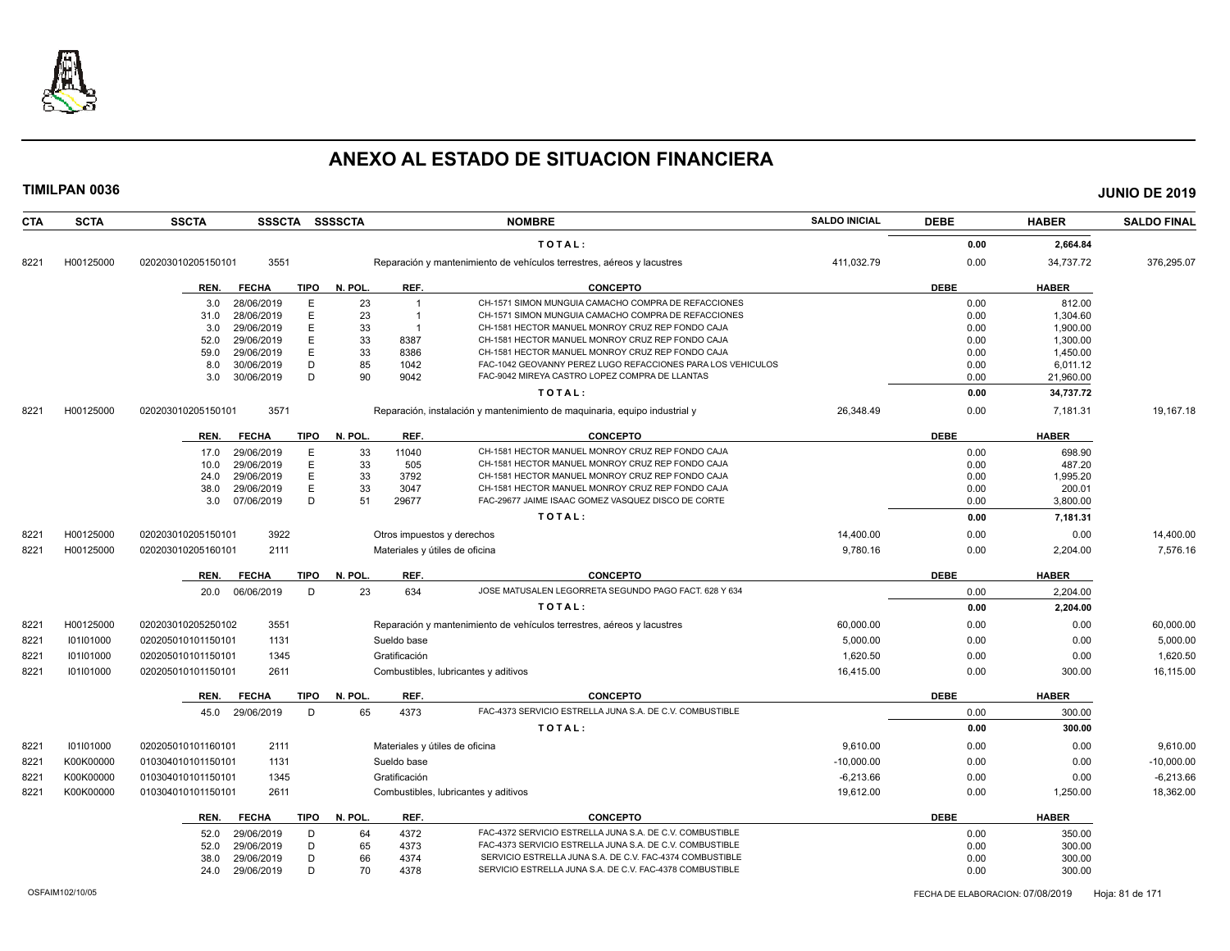

| <b>CTA</b>    | <b>SCTA</b> | <b>SSCTA</b>       |                          |             | SSSCTA SSSSCTA |                         | <b>NOMBRE</b>                                                              | <b>SALDO INICIAL</b> | <b>DEBE</b>  | <b>HABER</b>     | <b>SALDO FINAL</b> |
|---------------|-------------|--------------------|--------------------------|-------------|----------------|-------------------------|----------------------------------------------------------------------------|----------------------|--------------|------------------|--------------------|
|               |             |                    |                          |             |                |                         | TOTAL:                                                                     |                      | 0.00         | 2,664.84         |                    |
| 8221          | H00125000   | 020203010205150101 | 3551                     |             |                |                         | Reparación y mantenimiento de vehículos terrestres, aéreos y lacustres     | 411,032.79           | 0.00         | 34,737.72        | 376,295.07         |
|               |             | REN.               | <b>FECHA</b>             | TIPO        | N. POL.        | REF.                    | <b>CONCEPTO</b>                                                            |                      | <b>DEBE</b>  | <b>HABER</b>     |                    |
|               |             | 3.0                | 28/06/2019               | E           | 23             | $\overline{1}$          | CH-1571 SIMON MUNGUIA CAMACHO COMPRA DE REFACCIONES                        |                      | 0.00         | 812.00           |                    |
|               |             | 31.0               | 28/06/2019               | E           | 23             | $\overline{1}$          | CH-1571 SIMON MUNGUIA CAMACHO COMPRA DE REFACCIONES                        |                      | 0.00         | 1,304.60         |                    |
|               |             | 3.0                | 29/06/2019               | Ε           | 33             | $\overline{\mathbf{1}}$ | CH-1581 HECTOR MANUEL MONROY CRUZ REP FONDO CAJA                           |                      | 0.00         | 1,900.00         |                    |
|               |             | 52.0               | 29/06/2019               | E           | 33             | 8387                    | CH-1581 HECTOR MANUEL MONROY CRUZ REP FONDO CAJA                           |                      | 0.00         | 1,300.00         |                    |
|               |             | 59.0               | 29/06/2019               | E           | 33             | 8386                    | CH-1581 HECTOR MANUEL MONROY CRUZ REP FONDO CAJA                           |                      | 0.00         | 1,450.00         |                    |
|               |             | 8.0                | 30/06/2019               | D           | 85             | 1042                    | FAC-1042 GEOVANNY PEREZ LUGO REFACCIONES PARA LOS VEHICULOS                |                      | 0.00         | 6,011.12         |                    |
|               |             | 3.0                | 30/06/2019               | D           | 90             | 9042                    | FAC-9042 MIREYA CASTRO LOPEZ COMPRA DE LLANTAS                             |                      | 0.00         | 21,960.00        |                    |
|               |             |                    |                          |             |                |                         | TOTAL:                                                                     |                      | 0.00         | 34,737.72        |                    |
| 8221          | H00125000   | 020203010205150101 | 3571                     |             |                |                         | Reparación, instalación y mantenimiento de maquinaria, equipo industrial y | 26.348.49            | 0.00         | 7.181.31         | 19.167.18          |
|               |             | REN.               | <b>FECHA</b>             | <b>TIPO</b> | N. POL.        | REF.                    | <b>CONCEPTO</b>                                                            |                      | <b>DEBE</b>  | <b>HABER</b>     |                    |
|               |             | 17.0               | 29/06/2019               | E           | 33             | 11040                   | CH-1581 HECTOR MANUEL MONROY CRUZ REP FONDO CAJA                           |                      | 0.00         | 698.90           |                    |
|               |             | 10.0               | 29/06/2019               | E           | 33             | 505                     | CH-1581 HECTOR MANUEL MONROY CRUZ REP FONDO CAJA                           |                      | 0.00         | 487.20           |                    |
|               |             | 24.0               | 29/06/2019               | E           | 33             | 3792                    | CH-1581 HECTOR MANUEL MONROY CRUZ REP FONDO CAJA                           |                      | 0.00         | 1,995.20         |                    |
|               |             | 38.0               | 29/06/2019               | E           | 33             | 3047                    | CH-1581 HECTOR MANUEL MONROY CRUZ REP FONDO CAJA                           |                      | 0.00         | 200.01           |                    |
|               |             | 3.0                | 07/06/2019               | D           | 51             | 29677                   | FAC-29677 JAIME ISAAC GOMEZ VASQUEZ DISCO DE CORTE                         |                      | 0.00         | 3,800.00         |                    |
|               |             |                    |                          |             |                |                         | TOTAL:                                                                     |                      | 0.00         | 7,181.31         |                    |
| $822 -$       | H00125000   | 020203010205150101 | 3922                     |             |                |                         | Otros impuestos y derechos                                                 | 14.400.00            | 0.00         | 0.00             | 14,400.00          |
| 8221          | H00125000   | 020203010205160101 | 2111                     |             |                |                         | Materiales y útiles de oficina                                             | 9,780.16             | 0.00         | 2,204.00         | 7,576.16           |
|               |             | REN.               | <b>FECHA</b>             | <b>TIPO</b> | N. POL.        | REF.                    | <b>CONCEPTO</b>                                                            |                      | <b>DEBE</b>  | <b>HABER</b>     |                    |
|               |             | 20.0               | 06/06/2019               | D           | 23             | 634                     | JOSE MATUSALEN LEGORRETA SEGUNDO PAGO FACT. 628 Y 634                      |                      | 0.00         | 2,204.00         |                    |
|               |             |                    |                          |             |                |                         | TOTAL:                                                                     |                      | 0.00         | 2,204.00         |                    |
| 8221          | H00125000   | 020203010205250102 | 3551                     |             |                |                         | Reparación y mantenimiento de vehículos terrestres, aéreos y lacustres     | 60,000.00            | 0.00         | 0.00             | 60,000.00          |
| 8221          | 101101000   | 020205010101150101 | 1131                     |             |                | Sueldo base             |                                                                            | 5,000.00             | 0.00         | 0.00             | 5,000.00           |
| 8221          | 101101000   | 020205010101150101 | 1345                     |             |                | Gratificación           |                                                                            | 1,620.50             | 0.00         | 0.00             | 1,620.50           |
| 8221          | 101101000   | 020205010101150101 | 2611                     |             |                |                         | Combustibles, lubricantes y aditivos                                       | 16,415.00            | 0.00         | 300.00           | 16,115.00          |
|               |             | REN.               | <b>FECHA</b>             | <b>TIPO</b> | N. POL.        | REF.                    | <b>CONCEPTO</b>                                                            |                      | <b>DEBE</b>  | <b>HABER</b>     |                    |
|               |             | 45.0               | 29/06/2019               | D           | 65             | 4373                    | FAC-4373 SERVICIO ESTRELLA JUNA S.A. DE C.V. COMBUSTIBLE                   |                      | 0.00         | 300.00           |                    |
|               |             |                    |                          |             |                |                         | TOTAL:                                                                     |                      | 0.00         | 300.00           |                    |
| 8221          | 101101000   | 020205010101160101 | 2111                     |             |                |                         | Materiales y útiles de oficina                                             | 9,610.00             | 0.00         | 0.00             | 9,610.00           |
| 8221          | K00K00000   | 010304010101150101 | 1131                     |             |                | Sueldo base             |                                                                            | $-10,000.00$         | 0.00         | 0.00             | $-10,000.00$       |
| $822^{\circ}$ | K00K00000   | 010304010101150101 | 1345                     |             |                | Gratificación           |                                                                            | $-6,213.66$          | 0.00         | 0.00             | $-6,213.66$        |
| 8221          | K00K00000   | 010304010101150101 | 2611                     |             |                |                         | Combustibles, lubricantes y aditivos                                       | 19,612.00            | 0.00         | 1,250.00         | 18,362.00          |
|               |             | REN.               | <b>FECHA</b>             | <b>TIPO</b> | N. POL.        | REF.                    | <b>CONCEPTO</b>                                                            |                      | <b>DEBE</b>  | <b>HABER</b>     |                    |
|               |             |                    |                          |             |                |                         | FAC-4372 SERVICIO ESTRELLA JUNA S.A. DE C.V. COMBUSTIBLE                   |                      |              |                  |                    |
|               |             | 52.0<br>52.0       | 29/06/2019<br>29/06/2019 | D<br>D      | 64<br>65       | 4372<br>4373            | FAC-4373 SERVICIO ESTRELLA JUNA S.A. DE C.V. COMBUSTIBLE                   |                      | 0.00<br>0.00 | 350.00<br>300.00 |                    |
|               |             | 38.0               | 29/06/2019               | D           | 66             | 4374                    | SERVICIO ESTRELLA JUNA S.A. DE C.V. FAC-4374 COMBUSTIBLE                   |                      | 0.00         | 300.00           |                    |
|               |             | 24.0               | 29/06/2019               | D           | 70             | 4378                    | SERVICIO ESTRELLA JUNA S.A. DE C.V. FAC-4378 COMBUSTIBLE                   |                      | 0.00         | 300.00           |                    |
|               |             |                    |                          |             |                |                         |                                                                            |                      |              |                  |                    |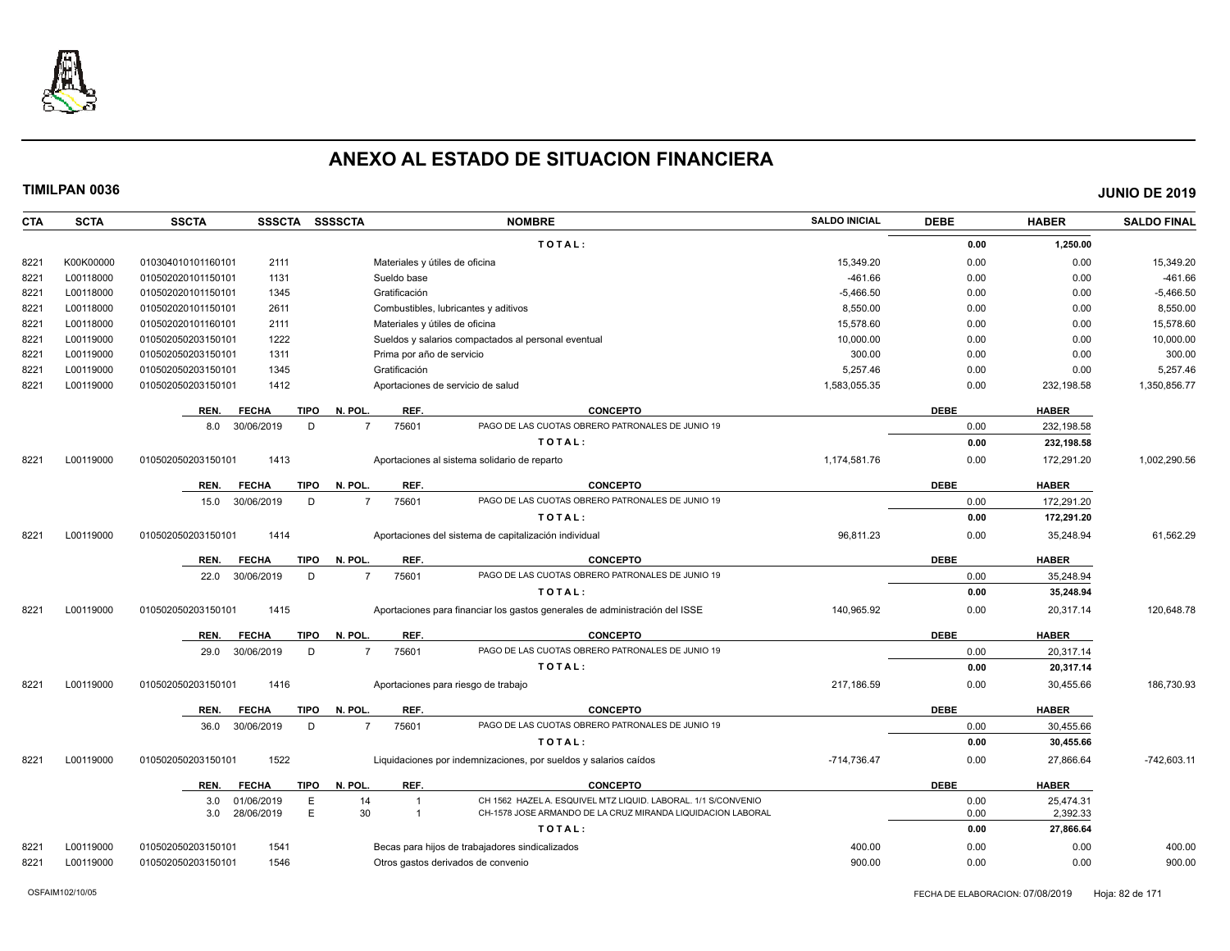

| <b>CTA</b> | <b>SCTA</b> | <b>SSCTA</b><br>SSSCTA SSSSCTA      | <b>NOMBRE</b>                                                                         | <b>SALDO INICIAL</b> | <b>DEBE</b> | <b>HABER</b> | <b>SALDO FINAL</b> |
|------------|-------------|-------------------------------------|---------------------------------------------------------------------------------------|----------------------|-------------|--------------|--------------------|
|            |             |                                     | TOTAL:                                                                                |                      | 0.00        | 1,250.00     |                    |
| 8221       | K00K00000   | 2111<br>010304010101160101          | Materiales y útiles de oficina                                                        | 15,349.20            | 0.00        | 0.00         | 15,349.20          |
| 8221       | L00118000   | 010502020101150101<br>1131          | Sueldo base                                                                           | $-461.66$            | 0.00        | 0.00         | $-461.66$          |
| 8221       | L00118000   | 010502020101150101<br>1345          | Gratificación                                                                         | $-5,466.50$          | 0.00        | 0.00         | $-5,466.50$        |
| 8221       | L00118000   | 010502020101150101<br>2611          | Combustibles, lubricantes y aditivos                                                  | 8,550.00             | 0.00        | 0.00         | 8,550.00           |
| 8221       | L00118000   | 010502020101160101<br>2111          | Materiales y útiles de oficina                                                        | 15,578.60            | 0.00        | 0.00         | 15,578.60          |
| 8221       | L00119000   | 1222<br>010502050203150101          | Sueldos y salarios compactados al personal eventual                                   | 10,000.00            | 0.00        | 0.00         | 10,000.00          |
| 8221       | L00119000   | 010502050203150101<br>1311          | Prima por año de servicio                                                             | 300.00               | 0.00        | 0.00         | 300.00             |
| 8221       | L00119000   | 1345<br>010502050203150101          | Gratificación                                                                         | 5,257.46             | 0.00        | 0.00         | 5,257.46           |
| 8221       | L00119000   | 1412<br>010502050203150101          | Aportaciones de servicio de salud                                                     | 1,583,055.35         | 0.00        | 232,198.58   | 1,350,856.77       |
|            |             | <b>TIPO</b><br>REN.<br><b>FECHA</b> | REF.<br>N. POL.<br><b>CONCEPTO</b>                                                    |                      | <b>DEBE</b> | <b>HABER</b> |                    |
|            |             | 30/06/2019<br>D<br>8.0              | 75601<br>PAGO DE LAS CUOTAS OBRERO PATRONALES DE JUNIO 19<br>$\overline{7}$           |                      | 0.00        | 232,198.58   |                    |
|            |             |                                     | TOTAL:                                                                                |                      | 0.00        | 232,198.58   |                    |
| 8221       | L00119000   | 1413<br>010502050203150101          | Aportaciones al sistema solidario de reparto                                          | 1,174,581.76         | 0.00        | 172,291.20   | 1,002,290.56       |
|            |             | <b>TIPO</b><br>REN.<br><b>FECHA</b> | N. POL<br>REF.<br><b>CONCEPTO</b>                                                     |                      | <b>DEBE</b> | <b>HABER</b> |                    |
|            |             | 30/06/2019<br>D<br>15.0             | 75601<br>PAGO DE LAS CUOTAS OBRERO PATRONALES DE JUNIO 19<br>$\overline{7}$           |                      | 0.00        | 172,291.20   |                    |
|            |             |                                     | TOTAL:                                                                                |                      | 0.00        | 172,291.20   |                    |
| 8221       | L00119000   | 1414<br>010502050203150101          | Aportaciones del sistema de capitalización individual                                 | 96.811.23            | 0.00        | 35.248.94    | 61.562.29          |
|            |             | <b>TIPO</b><br>REN.<br><b>FECHA</b> | N. POL<br>REF.<br><b>CONCEPTO</b>                                                     |                      | <b>DEBE</b> | <b>HABER</b> |                    |
|            |             | 30/06/2019<br>D<br>22.0             | 75601<br>PAGO DE LAS CUOTAS OBRERO PATRONALES DE JUNIO 19<br>$\overline{7}$           |                      | 0.00        | 35.248.94    |                    |
|            |             |                                     | TOTAL:                                                                                |                      | 0.00        | 35,248.94    |                    |
| 8221       | L00119000   | 1415<br>010502050203150101          | Aportaciones para financiar los gastos generales de administración del ISSE           | 140.965.92           | 0.00        | 20,317.14    | 120,648.78         |
|            |             | REN.<br><b>FECHA</b><br><b>TIPO</b> | REF.<br>N. POL<br><b>CONCEPTO</b>                                                     |                      | <b>DEBE</b> | <b>HABER</b> |                    |
|            |             | 30/06/2019<br>D<br>29.0             | 75601<br>PAGO DE LAS CUOTAS OBRERO PATRONALES DE JUNIO 19<br>$\overline{7}$           |                      | 0.00        | 20,317.14    |                    |
|            |             |                                     | TOTAL:                                                                                |                      | 0.00        | 20,317.14    |                    |
| 8221       | L00119000   | 1416<br>010502050203150101          | Aportaciones para riesgo de trabajo                                                   | 217,186.59           | 0.00        | 30,455.66    | 186,730.93         |
|            |             | <b>TIPO</b><br>REN.<br><b>FECHA</b> | REF.<br>N. POL<br><b>CONCEPTO</b>                                                     |                      | <b>DEBE</b> | <b>HABER</b> |                    |
|            |             | 30/06/2019<br>D<br>36.0             | PAGO DE LAS CUOTAS OBRERO PATRONALES DE JUNIO 19<br>75601<br>$\overline{7}$           |                      | 0.00        | 30,455.66    |                    |
|            |             |                                     | TOTAL:                                                                                |                      | 0.00        | 30,455.66    |                    |
| 8221       | L00119000   | 1522<br>010502050203150101          | Liquidaciones por indemnizaciones, por sueldos y salarios caídos                      | $-714,736.47$        | 0.00        | 27,866.64    | $-742,603.11$      |
|            |             | <b>TIPO</b><br>REN.<br><b>FECHA</b> | REF.<br>N. POL.<br><b>CONCEPTO</b>                                                    |                      | <b>DEBE</b> | <b>HABER</b> |                    |
|            |             | E<br>3.0<br>01/06/2019              | CH 1562 HAZEL A. ESQUIVEL MTZ LIQUID. LABORAL. 1/1 S/CONVENIO<br>14<br>$\overline{1}$ |                      | 0.00        | 25,474.31    |                    |
|            |             | E.<br>28/06/2019<br>3.0             | 30<br>CH-1578 JOSE ARMANDO DE LA CRUZ MIRANDA LIQUIDACION LABORAL<br>$\overline{1}$   |                      | 0.00        | 2,392.33     |                    |
|            |             |                                     | TOTAL:                                                                                |                      | 0.00        | 27,866.64    |                    |
| 8221       | L00119000   | 1541<br>010502050203150101          | Becas para hijos de trabajadores sindicalizados                                       | 400.00               | 0.00        | 0.00         | 400.00             |
| 8221       | L00119000   | 010502050203150101<br>1546          | Otros gastos derivados de convenio                                                    | 900.00               | 0.00        | 0.00         | 900.00             |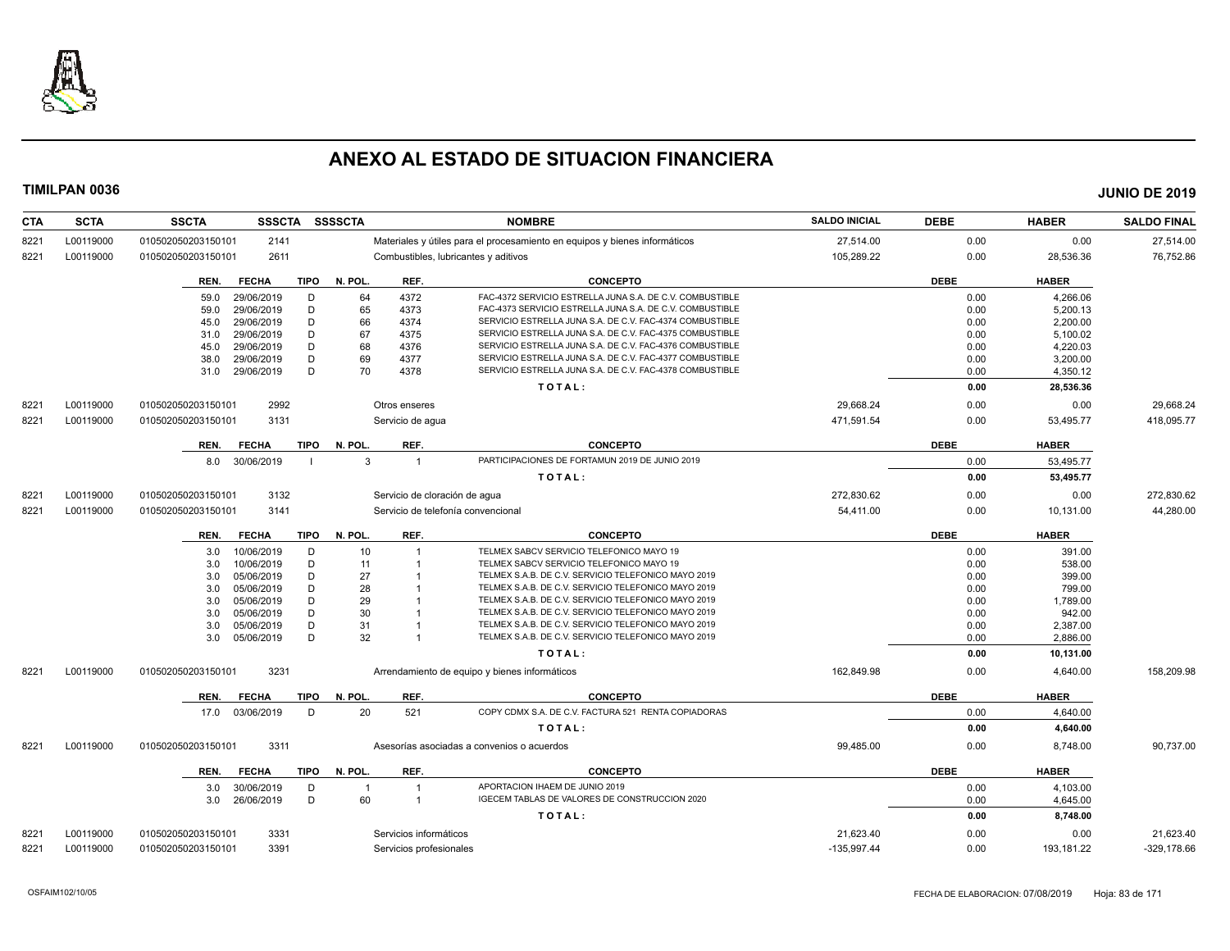

| <b>CTA</b> | <b>SCTA</b> | <b>SSCTA</b><br><b>SSSCTA</b>       | <b>SSSSCTA</b>                       | <b>NOMBRE</b>                                                              | <b>SALDO INICIAL</b> | <b>DEBE</b> | <b>HABER</b> | <b>SALDO FINAL</b> |
|------------|-------------|-------------------------------------|--------------------------------------|----------------------------------------------------------------------------|----------------------|-------------|--------------|--------------------|
| 8221       | L00119000   | 010502050203150101<br>2141          |                                      | Materiales y útiles para el procesamiento en equipos y bienes informáticos | 27,514.00            | 0.00        | 0.00         | 27.514.00          |
| 8221       | L00119000   | 2611<br>010502050203150101          | Combustibles, lubricantes y aditivos |                                                                            | 105,289.22           | 0.00        | 28,536.36    | 76,752.86          |
|            |             | <b>FECHA</b><br><b>TIPO</b><br>REN. | REF.<br>N. POL                       | <b>CONCEPTO</b>                                                            |                      | <b>DEBE</b> | <b>HABER</b> |                    |
|            |             | D<br>59.0<br>29/06/2019             | 64<br>4372                           | FAC-4372 SERVICIO ESTRELLA JUNA S.A. DE C.V. COMBUSTIBLE                   |                      | 0.00        | 4,266.06     |                    |
|            |             | D<br>29/06/2019<br>59.0             | 65<br>4373                           | FAC-4373 SERVICIO ESTRELLA JUNA S.A. DE C.V. COMBUSTIBLE                   |                      | 0.00        | 5,200.13     |                    |
|            |             | D<br>29/06/2019<br>45.0             | 66<br>4374                           | SERVICIO ESTRELLA JUNA S.A. DE C.V. FAC-4374 COMBUSTIBLE                   |                      | 0.00        | 2,200.00     |                    |
|            |             | D<br>29/06/2019<br>31.0             | 67<br>4375                           | SERVICIO ESTRELLA JUNA S.A. DE C.V. FAC-4375 COMBUSTIBLE                   |                      | 0.00        | 5,100.02     |                    |
|            |             | D<br>29/06/2019<br>45.0             | 68<br>4376                           | SERVICIO ESTRELLA JUNA S.A. DE C.V. FAC-4376 COMBUSTIBLE                   |                      | 0.00        | 4,220.03     |                    |
|            |             | D<br>29/06/2019<br>38.0             | 69<br>4377                           | SERVICIO ESTRELLA JUNA S.A. DE C.V. FAC-4377 COMBUSTIBLE                   |                      | 0.00        | 3,200.00     |                    |
|            |             | D<br>29/06/2019<br>31.0             | 70<br>4378                           | SERVICIO ESTRELLA JUNA S.A. DE C.V. FAC-4378 COMBUSTIBLE                   |                      | 0.00        | 4,350.12     |                    |
|            |             |                                     |                                      | TOTAL:                                                                     |                      | 0.00        | 28,536.36    |                    |
| 8221       | L00119000   | 2992<br>010502050203150101          | Otros enseres                        |                                                                            | 29,668.24            | 0.00        | 0.00         | 29,668.24          |
| 8221       | L00119000   | 010502050203150101<br>3131          | Servicio de aqua                     |                                                                            | 471,591.54           | 0.00        | 53,495.77    | 418,095.77         |
|            |             | <b>TIPO</b><br>REN.<br><b>FECHA</b> | N. POL.<br>REF.                      | <b>CONCEPTO</b>                                                            |                      | <b>DEBE</b> | <b>HABER</b> |                    |
|            |             | 30/06/2019<br>8.0                   | -3<br>$\overline{1}$                 | PARTICIPACIONES DE FORTAMUN 2019 DE JUNIO 2019                             |                      | 0.00        | 53,495.77    |                    |
|            |             |                                     |                                      | TOTAL:                                                                     |                      | 0.00        | 53,495.77    |                    |
| 8221       | L00119000   | 3132<br>010502050203150101          | Servicio de cloración de agua        |                                                                            | 272,830.62           | 0.00        | 0.00         | 272,830.62         |
| 8221       | L00119000   | 010502050203150101<br>3141          | Servicio de telefonía convencional   |                                                                            | 54,411.00            | 0.00        | 10,131.00    | 44,280.00          |
|            |             | <b>TIPO</b><br><b>FECHA</b><br>REN. | N. POL.<br>REF.                      | <b>CONCEPTO</b>                                                            |                      | <b>DEBE</b> | <b>HABER</b> |                    |
|            |             | 10/06/2019<br>D<br>3.0              | 10<br>$\overline{1}$                 | TELMEX SABCV SERVICIO TELEFONICO MAYO 19                                   |                      | 0.00        | 391.00       |                    |
|            |             | D<br>10/06/2019<br>3.0              | 11                                   | TELMEX SABCV SERVICIO TELEFONICO MAYO 19                                   |                      | 0.00        | 538.00       |                    |
|            |             | D<br>05/06/2019<br>3.0              | 27                                   | TELMEX S.A.B. DE C.V. SERVICIO TELEFONICO MAYO 2019                        |                      | 0.00        | 399.00       |                    |
|            |             | D<br>05/06/2019<br>3.0              | 28                                   | TELMEX S.A.B. DE C.V. SERVICIO TELEFONICO MAYO 2019                        |                      | 0.00        | 799.00       |                    |
|            |             | D<br>05/06/2019<br>3.0              | 29                                   | TELMEX S.A.B. DE C.V. SERVICIO TELEFONICO MAYO 2019                        |                      | 0.00        | 1,789.00     |                    |
|            |             | D<br>05/06/2019<br>3.0              | 30                                   | TELMEX S.A.B. DE C.V. SERVICIO TELEFONICO MAYO 2019                        |                      | 0.00        | 942.00       |                    |
|            |             | 05/06/2019<br>D<br>3.0              | 31                                   | TELMEX S.A.B. DE C.V. SERVICIO TELEFONICO MAYO 2019                        |                      | 0.00        | 2,387.00     |                    |
|            |             | D<br>05/06/2019<br>3.0              | 32<br>$\overline{1}$                 | TELMEX S.A.B. DE C.V. SERVICIO TELEFONICO MAYO 2019                        |                      | 0.00        | 2,886.00     |                    |
|            |             |                                     |                                      | TOTAL:                                                                     |                      | 0.00        | 10,131.00    |                    |
| 8221       | L00119000   | 3231<br>010502050203150101          |                                      | Arrendamiento de equipo y bienes informáticos                              | 162,849.98           | 0.00        | 4,640.00     | 158,209.98         |
|            |             | <b>FECHA</b><br><b>TIPO</b><br>REN. | N. POL<br>REF.                       | <b>CONCEPTO</b>                                                            |                      | <b>DEBE</b> | <b>HABER</b> |                    |
|            |             | 03/06/2019<br>D<br>17.0             | 20<br>521                            | COPY CDMX S.A. DE C.V. FACTURA 521 RENTA COPIADORAS                        |                      | 0.00        | 4,640.00     |                    |
|            |             |                                     |                                      | TOTAL:                                                                     |                      | 0.00        | 4,640.00     |                    |
| 8221       | L00119000   | 3311<br>010502050203150101          |                                      | Asesorías asociadas a convenios o acuerdos                                 | 99.485.00            | 0.00        | 8,748.00     | 90,737.00          |
|            |             | <b>FECHA</b><br>TIPO<br>REN.        | N. POL.<br>REF.                      | <b>CONCEPTO</b>                                                            |                      | <b>DEBE</b> | <b>HABER</b> |                    |
|            |             | 30/06/2019<br>D<br>3.0              | -1                                   | APORTACION IHAEM DE JUNIO 2019                                             |                      | 0.00        | 4,103.00     |                    |
|            |             | 26/06/2019<br>D<br>3.0              | 60<br>$\overline{1}$                 | IGECEM TABLAS DE VALORES DE CONSTRUCCION 2020                              |                      | 0.00        | 4,645.00     |                    |
|            |             |                                     |                                      | TOTAL:                                                                     |                      | 0.00        | 8,748.00     |                    |
| 8221       | L00119000   | 3331<br>010502050203150101          | Servicios informáticos               |                                                                            | 21,623.40            | 0.00        | 0.00         | 21,623.40          |
| 8221       | L00119000   | 010502050203150101<br>3391          | Servicios profesionales              |                                                                            | $-135,997.44$        | 0.00        | 193,181.22   | $-329,178.66$      |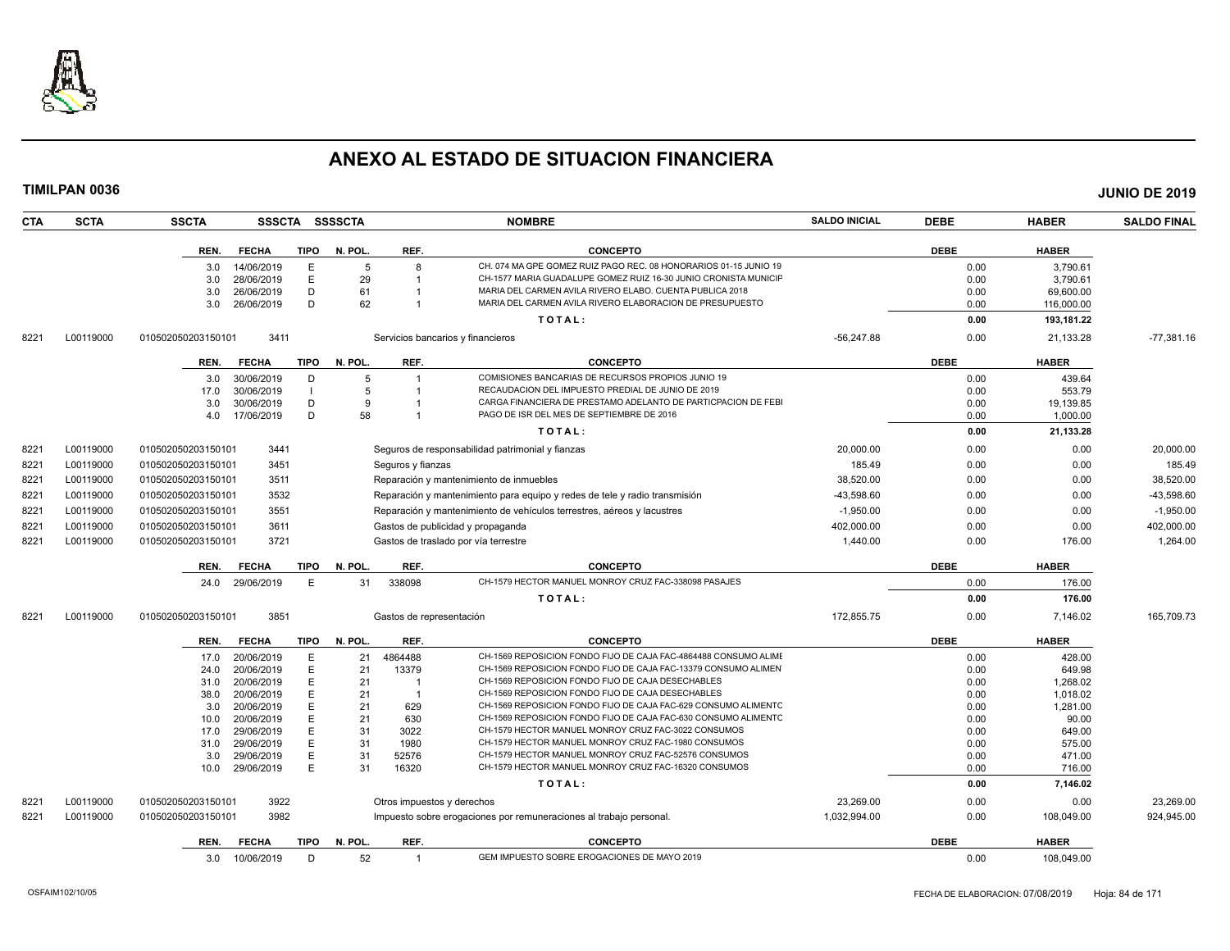

**TIMILPAN 0036 JUNIO DE 2019**

| <b>SCTA</b><br>CTA | <b>SSCTA</b>       | <b>SSSCTA</b>            |                | <b>SSSSCTA</b> |                            | <b>NOMBRE</b>                                                                                                         | <b>SALDO INICIAL</b> | <b>DEBE</b>  | <b>HABER</b>    | <b>SALDO FINAL</b> |
|--------------------|--------------------|--------------------------|----------------|----------------|----------------------------|-----------------------------------------------------------------------------------------------------------------------|----------------------|--------------|-----------------|--------------------|
|                    | REN.               | <b>FECHA</b>             | <b>TIPO</b>    | N. POL.        | REF.                       | <b>CONCEPTO</b>                                                                                                       |                      | <b>DEBE</b>  | <b>HABER</b>    |                    |
|                    | 3.0                | 14/06/2019               | E              | 5              | 8                          | CH. 074 MA GPE GOMEZ RUIZ PAGO REC. 08 HONORARIOS 01-15 JUNIO 19                                                      |                      | 0.00         | 3,790.61        |                    |
|                    | 3.0                | 28/06/2019               | E              | 29             | -1                         | CH-1577 MARIA GUADALUPE GOMEZ RUIZ 16-30 JUNIO CRONISTA MUNICIF                                                       |                      | 0.00         | 3,790.61        |                    |
|                    | 3.0                | 26/06/2019               | D              | 61             |                            | MARIA DEL CARMEN AVILA RIVERO ELABO. CUENTA PUBLICA 2018                                                              |                      | 0.00         | 69,600.00       |                    |
|                    | 3.0                | 26/06/2019               | D              | 62             |                            | MARIA DEL CARMEN AVILA RIVERO ELABORACION DE PRESUPUESTO                                                              |                      | 0.00         | 116,000.00      |                    |
|                    |                    |                          |                |                |                            | TOTAL:                                                                                                                |                      | 0.00         | 193,181.22      |                    |
| L00119000<br>8221  | 010502050203150101 | 3411                     |                |                |                            | Servicios bancarios y financieros                                                                                     | $-56.247.88$         | 0.00         | 21,133.28       | $-77,381.16$       |
|                    | REN.               | <b>FECHA</b>             | <b>TIPO</b>    | N. POL.        | REF.                       | <b>CONCEPTO</b>                                                                                                       |                      | <b>DEBE</b>  | <b>HABER</b>    |                    |
|                    | 3.0                | 30/06/2019               | D              | 5              | -1                         | COMISIONES BANCARIAS DE RECURSOS PROPIOS JUNIO 19                                                                     |                      | 0.00         | 439.64          |                    |
|                    | 17.0               | 30/06/2019               | $\blacksquare$ | 5              | $\overline{1}$             | RECAUDACION DEL IMPUESTO PREDIAL DE JUNIO DE 2019                                                                     |                      | 0.00         | 553.79          |                    |
|                    | 3.0                | 30/06/2019               | D              | 9              |                            | CARGA FINANCIERA DE PRESTAMO ADELANTO DE PARTICPACION DE FEBI                                                         |                      | 0.00         | 19,139.85       |                    |
|                    | 4.0                | 17/06/2019               | D              | 58             |                            | PAGO DE ISR DEL MES DE SEPTIEMBRE DE 2016                                                                             |                      | 0.00         | 1,000.00        |                    |
|                    |                    |                          |                |                |                            | TOTAL:                                                                                                                |                      | 0.00         | 21,133.28       |                    |
| 8221<br>L00119000  | 010502050203150101 | 3441                     |                |                |                            | Seguros de responsabilidad patrimonial y fianzas                                                                      | 20.000.00            | 0.00         | 0.00            | 20,000.00          |
| L00119000<br>8221  | 010502050203150101 | 3451                     |                |                | Seguros y fianzas          |                                                                                                                       | 185.49               | 0.00         | 0.00            | 185.49             |
| 8221<br>L00119000  | 010502050203150101 | 3511                     |                |                |                            | Reparación y mantenimiento de inmuebles                                                                               | 38.520.00            | 0.00         | 0.00            | 38,520.00          |
| 8221<br>L00119000  | 010502050203150101 | 3532                     |                |                |                            | Reparación y mantenimiento para equipo y redes de tele y radio transmisión                                            | 43.598.60            | 0.00         | 0.00            | $-43,598.60$       |
| 8221<br>L00119000  | 010502050203150101 | 3551                     |                |                |                            | Reparación y mantenimiento de vehículos terrestres, aéreos y lacustres                                                | $-1,950.00$          | 0.00         | 0.00            | $-1,950.00$        |
| 8221<br>L00119000  | 010502050203150101 | 3611                     |                |                |                            | Gastos de publicidad y propaganda                                                                                     | 402,000.00           | 0.00         | 0.00            | 402,000.00         |
| 8221<br>L00119000  | 010502050203150101 | 3721                     |                |                |                            | Gastos de traslado por vía terrestre                                                                                  | 1,440.00             | 0.00         | 176.00          | 1,264.00           |
|                    | REN.               | <b>FECHA</b>             | <b>TIPO</b>    | N. POL.        | REF.                       | <b>CONCEPTO</b>                                                                                                       |                      | <b>DEBE</b>  | <b>HABER</b>    |                    |
|                    | 24.0               | 29/06/2019               | E              | 31             | 338098                     | CH-1579 HECTOR MANUEL MONROY CRUZ FAC-338098 PASAJES                                                                  |                      | 0.00         | 176.00          |                    |
|                    |                    |                          |                |                |                            | TOTAL:                                                                                                                |                      | 0.00         | 176.00          |                    |
| L00119000<br>8221  | 010502050203150101 | 3851                     |                |                | Gastos de representación   |                                                                                                                       | 172,855.75           | 0.00         | 7,146.02        | 165,709.73         |
|                    | REN.               | <b>FECHA</b>             | TIPO           | N. POL.        | REF.                       | <b>CONCEPTO</b>                                                                                                       |                      | <b>DEBE</b>  | <b>HABER</b>    |                    |
|                    | 17.0               | 20/06/2019               | E              | 21             | 4864488                    | CH-1569 REPOSICION FONDO FIJO DE CAJA FAC-4864488 CONSUMO ALIME                                                       |                      | 0.00         | 428.00          |                    |
|                    | 24.0               | 20/06/2019               | E              | 21             | 13379                      | CH-1569 REPOSICION FONDO FIJO DE CAJA FAC-13379 CONSUMO ALIMEN                                                        |                      | 0.00         | 649.98          |                    |
|                    | 31.0               | 20/06/2019               | E              | 21             | - 1                        | CH-1569 REPOSICION FONDO FIJO DE CAJA DESECHABLES                                                                     |                      | 0.00         | 1,268.02        |                    |
|                    | 38.0               | 20/06/2019               | E              | 21             | $\overline{1}$             | CH-1569 REPOSICION FONDO FIJO DE CAJA DESECHABLES                                                                     |                      | 0.00         | 1,018.02        |                    |
|                    | 3.0                | 20/06/2019               | E              | 21             | 629                        | CH-1569 REPOSICION FONDO FIJO DE CAJA FAC-629 CONSUMO ALIMENTC                                                        |                      | 0.00         | 1,281.00        |                    |
|                    | 10.0<br>17.0       | 20/06/2019<br>29/06/2019 | E<br>E         | 21<br>31       | 630<br>3022                | CH-1569 REPOSICION FONDO FIJO DE CAJA FAC-630 CONSUMO ALIMENTC<br>CH-1579 HECTOR MANUEL MONROY CRUZ FAC-3022 CONSUMOS |                      | 0.00<br>0.00 | 90.00<br>649.00 |                    |
|                    | 31.0               | 29/06/2019               | E              | 31             | 1980                       | CH-1579 HECTOR MANUEL MONROY CRUZ FAC-1980 CONSUMOS                                                                   |                      | 0.00         | 575.00          |                    |
|                    | 3.0                | 29/06/2019               | E              | 31             | 52576                      | CH-1579 HECTOR MANUEL MONROY CRUZ FAC-52576 CONSUMOS                                                                  |                      | 0.00         | 471.00          |                    |
|                    | 10.0               | 29/06/2019               | E              | 31             | 16320                      | CH-1579 HECTOR MANUEL MONROY CRUZ FAC-16320 CONSUMOS                                                                  |                      | 0.00         | 716.00          |                    |
|                    |                    |                          |                |                |                            | TOTAL:                                                                                                                |                      | 0.00         | 7,146.02        |                    |
| L00119000<br>8221  | 010502050203150101 | 3922                     |                |                | Otros impuestos y derechos |                                                                                                                       | 23.269.00            | 0.00         | 0.00            | 23.269.00          |
| 8221<br>L00119000  | 010502050203150101 | 3982                     |                |                |                            | Impuesto sobre erogaciones por remuneraciones al trabajo personal                                                     | 1,032,994.00         | 0.00         | 108,049.00      | 924,945.00         |
|                    | REN.               | <b>FECHA</b>             | TIPO           | N. POL.        | REF.                       | <b>CONCEPTO</b>                                                                                                       |                      | <b>DEBE</b>  | <b>HABER</b>    |                    |

3.0 10/06/2019 D 52 1 GEM IMPUESTO SOBRE EROGACIONES DE MAYO 2019 0.00 0.00 108,049.00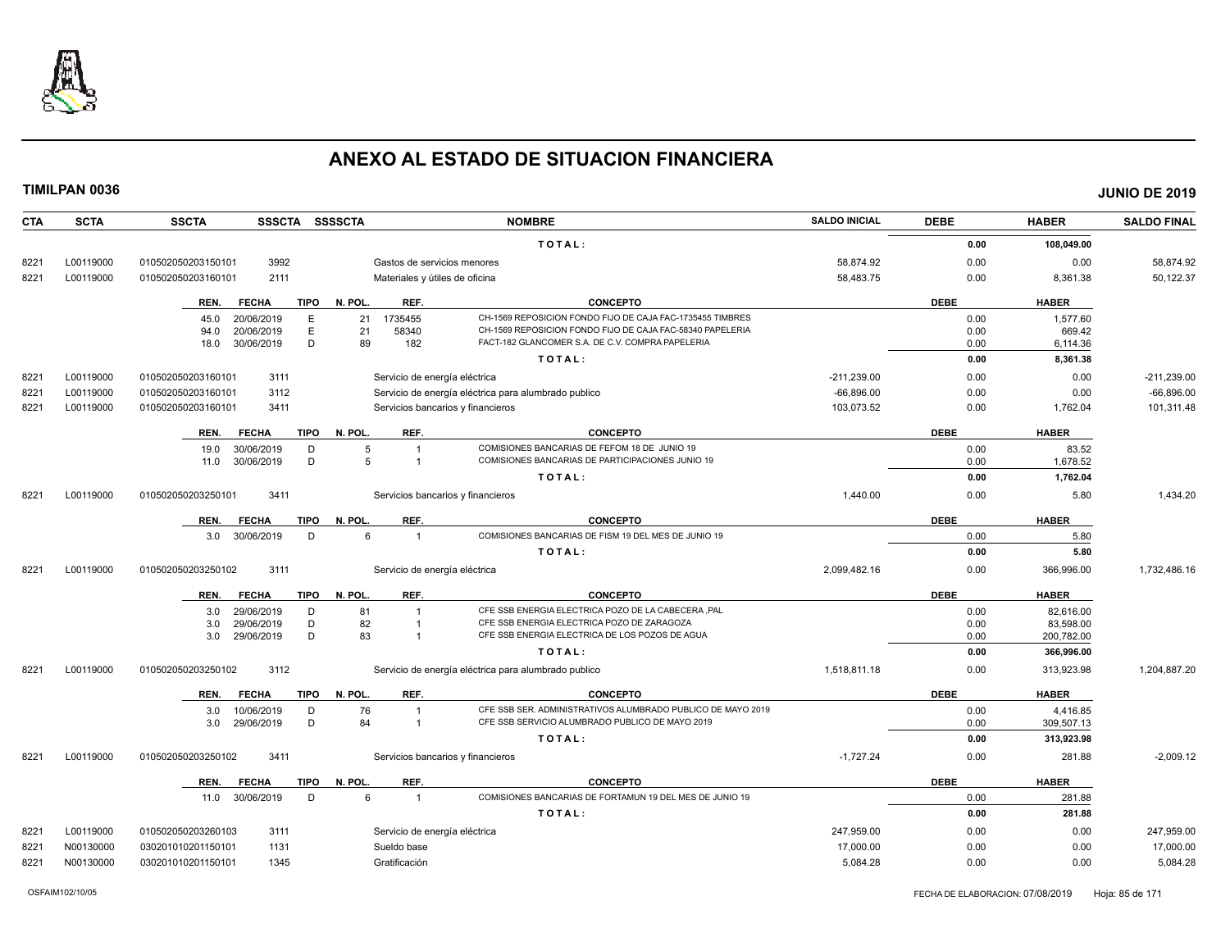

| <b>CTA</b> | <b>SCTA</b> | <b>SSCTA</b><br>SSSCTA SSSSCTA      |                                   | <b>NOMBRE</b>                                               | <b>SALDO INICIAL</b> | <b>DEBE</b> | <b>HABER</b> | <b>SALDO FINAL</b> |
|------------|-------------|-------------------------------------|-----------------------------------|-------------------------------------------------------------|----------------------|-------------|--------------|--------------------|
|            |             |                                     |                                   | TOTAL:                                                      |                      | 0.00        | 108,049.00   |                    |
| 8221       | L00119000   | 010502050203150101<br>3992          | Gastos de servicios menores       |                                                             | 58.874.92            | 0.00        | 0.00         | 58,874.92          |
| 8221       | L00119000   | 010502050203160101<br>2111          | Materiales y útiles de oficina    |                                                             | 58,483.75            | 0.00        | 8,361.38     | 50,122.37          |
|            |             | <b>FECHA</b><br><b>TIPO</b><br>REN. | N. POL.<br>REF.                   | <b>CONCEPTO</b>                                             |                      | <b>DEBE</b> | <b>HABER</b> |                    |
|            |             | 20/06/2019<br>E<br>45.0             | 21<br>1735455                     | CH-1569 REPOSICION FONDO FIJO DE CAJA FAC-1735455 TIMBRES   |                      | 0.00        | 1.577.60     |                    |
|            |             | Ε<br>20/06/2019<br>94.0             | 21<br>58340                       | CH-1569 REPOSICION FONDO FIJO DE CAJA FAC-58340 PAPELERIA   |                      | 0.00        | 669.42       |                    |
|            |             | D<br>18.0<br>30/06/2019             | 89<br>182                         | FACT-182 GLANCOMER S.A. DE C.V. COMPRA PAPELERIA            |                      | 0.00        | 6,114.36     |                    |
|            |             |                                     |                                   | TOTAL:                                                      |                      | 0.00        | 8,361.38     |                    |
| 8221       | L00119000   | 010502050203160101<br>3111          | Servicio de energía eléctrica     |                                                             | $-211,239.00$        | 0.00        | 0.00         | $-211,239.00$      |
| 8221       | L00119000   | 010502050203160101<br>3112          |                                   | Servicio de energía eléctrica para alumbrado publico        | $-66,896.00$         | 0.00        | 0.00         | $-66,896.00$       |
| 8221       | L00119000   | 3411<br>010502050203160101          | Servicios bancarios y financieros |                                                             | 103,073.52           | 0.00        | 1,762.04     | 101,311.48         |
|            |             | <b>TIPO</b><br>REN.<br><b>FECHA</b> | N. POL.<br>REF.                   | <b>CONCEPTO</b>                                             |                      | <b>DEBE</b> | <b>HABER</b> |                    |
|            |             | 19.0<br>30/06/2019<br>D             | 5<br>$\overline{1}$               | COMISIONES BANCARIAS DE FEFOM 18 DE JUNIO 19                |                      | 0.00        | 83.52        |                    |
|            |             | D<br>30/06/2019<br>11.0             | 5<br>$\overline{1}$               | COMISIONES BANCARIAS DE PARTICIPACIONES JUNIO 19            |                      | 0.00        | 1,678.52     |                    |
|            |             |                                     |                                   | TOTAL:                                                      |                      | 0.00        | 1,762.04     |                    |
| 8221       | L00119000   | 010502050203250101<br>3411          | Servicios bancarios y financieros |                                                             | 1,440.00             | 0.00        | 5.80         | 1,434.20           |
|            |             | <b>FECHA</b><br><b>TIPO</b><br>REN. | REF.<br>N. POL.                   | <b>CONCEPTO</b>                                             |                      | <b>DEBE</b> | <b>HABER</b> |                    |
|            |             | 3.0 30/06/2019<br>D                 | 6<br>$\overline{1}$               | COMISIONES BANCARIAS DE FISM 19 DEL MES DE JUNIO 19         |                      | 0.00        | 5.80         |                    |
|            |             |                                     |                                   | TOTAL:                                                      |                      | 0.00        | 5.80         |                    |
| 8221       | L00119000   | 3111<br>010502050203250102          | Servicio de energía eléctrica     |                                                             | 2,099,482.16         | 0.00        | 366,996.00   | 1,732,486.16       |
|            |             | <b>FECHA</b><br><b>TIPO</b><br>REN. | REF.<br>N. POL.                   | <b>CONCEPTO</b>                                             |                      | <b>DEBE</b> | <b>HABER</b> |                    |
|            |             | 29/06/2019<br>D                     | 81<br>$\overline{1}$              | CFE SSB ENERGIA ELECTRICA POZO DE LA CABECERA .PAL          |                      | 0.00        | 82.616.00    |                    |
|            |             | 3.0<br>D<br>29/06/2019<br>3.0       | 82<br>$\overline{1}$              | CFE SSB ENERGIA ELECTRICA POZO DE ZARAGOZA                  |                      | 0.00        | 83.598.00    |                    |
|            |             | D<br>3.0<br>29/06/2019              | 83<br>$\overline{1}$              | CFE SSB ENERGIA ELECTRICA DE LOS POZOS DE AGUA              |                      | 0.00        | 200,782.00   |                    |
|            |             |                                     |                                   | TOTAL:                                                      |                      | 0.00        | 366,996.00   |                    |
| 8221       | L00119000   | 010502050203250102<br>3112          |                                   | Servicio de energía eléctrica para alumbrado publico        | 1,518,811.18         | 0.00        | 313,923.98   | 1,204,887.20       |
|            |             | <b>FECHA</b><br><b>TIPO</b><br>REN. | REF.<br>N. POL.                   | <b>CONCEPTO</b>                                             |                      | <b>DEBE</b> | <b>HABER</b> |                    |
|            |             | 10/06/2019<br>D<br>3.0              | 76<br>$\overline{\mathbf{1}}$     | CFE SSB SER. ADMINISTRATIVOS ALUMBRADO PUBLICO DE MAYO 2019 |                      | 0.00        | 4,416.85     |                    |
|            |             | D<br>29/06/2019<br>3.0              | 84<br>$\overline{1}$              | CFE SSB SERVICIO ALUMBRADO PUBLICO DE MAYO 2019             |                      | 0.00        | 309,507.13   |                    |
|            |             |                                     |                                   | TOTAL:                                                      |                      | 0.00        | 313,923.98   |                    |
| 8221       | L00119000   | 3411<br>010502050203250102          | Servicios bancarios y financieros |                                                             | $-1,727.24$          | 0.00        | 281.88       | $-2,009.12$        |
|            |             | <b>FECHA</b><br><b>TIPO</b><br>REN. | REF.<br>N. POL.                   | <b>CONCEPTO</b>                                             |                      | <b>DEBE</b> | <b>HABER</b> |                    |
|            |             | D<br>11.0 30/06/2019                | 6<br>$\overline{1}$               | COMISIONES BANCARIAS DE FORTAMUN 19 DEL MES DE JUNIO 19     |                      | 0.00        | 281.88       |                    |
|            |             |                                     |                                   | TOTAL:                                                      |                      | 0.00        | 281.88       |                    |
| 8221       | L00119000   | 010502050203260103<br>3111          | Servicio de energía eléctrica     |                                                             | 247,959.00           | 0.00        | 0.00         | 247,959.00         |
| 8221       | N00130000   | 1131<br>030201010201150101          | Sueldo base                       |                                                             | 17.000.00            | 0.00        | 0.00         | 17,000.00          |
| 8221       | N00130000   | 030201010201150101<br>1345          | Gratificación                     |                                                             | 5,084.28             | 0.00        | 0.00         | 5,084.28           |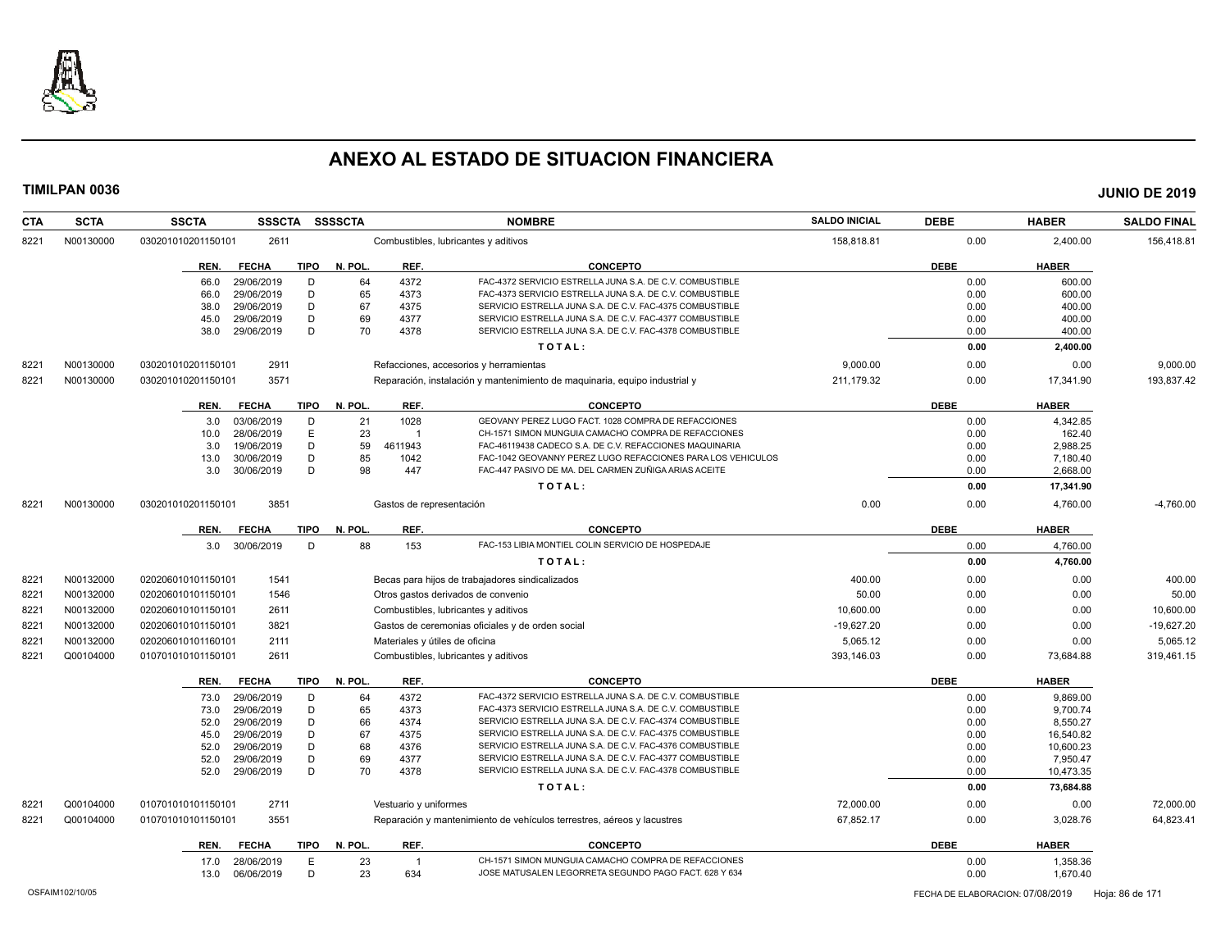

| <b>CTA</b> | <b>SCTA</b> | <b>SSCTA</b>         | <b>SSSCTA</b> | <b>SSSSCTA</b> |                          | <b>NOMBRE</b>                                                              | <b>SALDO INICIAL</b> | <b>DEBE</b> | <b>HABER</b> | <b>SALDO FINAL</b> |
|------------|-------------|----------------------|---------------|----------------|--------------------------|----------------------------------------------------------------------------|----------------------|-------------|--------------|--------------------|
| 8221       | N00130000   | 030201010201150101   | 2611          |                |                          | Combustibles, lubricantes y aditivos                                       | 158,818.81           | 0.00        | 2,400.00     | 156,418.81         |
|            |             | REN.<br><b>FECHA</b> | <b>TIPO</b>   | N. POL.        | REF.                     | <b>CONCEPTO</b>                                                            |                      | <b>DEBE</b> | <b>HABER</b> |                    |
|            |             | 29/06/2019<br>66.0   | D             | 64             | 4372                     | FAC-4372 SERVICIO ESTRELLA JUNA S.A. DE C.V. COMBUSTIBLE                   |                      | 0.00        | 600.00       |                    |
|            |             | 29/06/2019<br>66.0   | D             | 65             | 4373                     | FAC-4373 SERVICIO ESTRELLA JUNA S.A. DE C.V. COMBUSTIBLE                   |                      | 0.00        | 600.00       |                    |
|            |             | 29/06/2019<br>38.0   | D             | 67             | 4375                     | SERVICIO ESTRELLA JUNA S.A. DE C.V. FAC-4375 COMBUSTIBLE                   |                      | 0.00        | 400.00       |                    |
|            |             | 29/06/2019<br>45.0   | D             | 69             | 4377                     | SERVICIO ESTRELLA JUNA S.A. DE C.V. FAC-4377 COMBUSTIBLE                   |                      | 0.00        | 400.00       |                    |
|            |             | 38.0<br>29/06/2019   | D             | 70             | 4378                     | SERVICIO ESTRELLA JUNA S.A. DE C.V. FAC-4378 COMBUSTIBLE                   |                      | 0.00        | 400.00       |                    |
|            |             |                      |               |                |                          | TOTAL:                                                                     |                      | 0.00        | 2,400.00     |                    |
| 8221       | N00130000   | 030201010201150101   | 2911          |                |                          | Refacciones, accesorios y herramientas                                     | 9,000.00             | 0.00        | 0.00         | 9,000.00           |
| 8221       | N00130000   | 030201010201150101   | 3571          |                |                          | Reparación, instalación y mantenimiento de maquinaria, equipo industrial y | 211,179.32           | 0.00        | 17,341.90    | 193,837.42         |
|            |             | REN.<br><b>FECHA</b> | <b>TIPO</b>   | N. POL.        | REF.                     | <b>CONCEPTO</b>                                                            |                      | <b>DEBE</b> | <b>HABER</b> |                    |
|            |             | 03/06/2019<br>3.0    | D             | 21             | 1028                     | GEOVANY PEREZ LUGO FACT. 1028 COMPRA DE REFACCIONES                        |                      | 0.00        | 4,342.85     |                    |
|            |             | 28/06/2019<br>10.0   | E             | 23             |                          | CH-1571 SIMON MUNGUIA CAMACHO COMPRA DE REFACCIONES                        |                      | 0.00        | 162.40       |                    |
|            |             | 19/06/2019<br>3.0    | D             | 59             | 4611943                  | FAC-46119438 CADECO S.A. DE C.V. REFACCIONES MAQUINARIA                    |                      | 0.00        | 2,988.25     |                    |
|            |             | 30/06/2019<br>13.0   | D             | 85             | 1042                     | FAC-1042 GEOVANNY PEREZ LUGO REFACCIONES PARA LOS VEHICULOS                |                      | 0.00        | 7.180.40     |                    |
|            |             | 3.0<br>30/06/2019    | D             | 98             | 447                      | FAC-447 PASIVO DE MA. DEL CARMEN ZUÑIGA ARIAS ACEITE                       |                      | 0.00        | 2,668.00     |                    |
|            |             |                      |               |                |                          | TOTAL:                                                                     |                      | 0.00        | 17,341.90    |                    |
| 8221       | N00130000   | 030201010201150101   | 3851          |                | Gastos de representación |                                                                            | 0.00                 | 0.00        | 4,760.00     | $-4,760.00$        |
|            |             | <b>FECHA</b><br>REN. | <b>TIPO</b>   | N. POL.        | REF.                     | <b>CONCEPTO</b>                                                            |                      | <b>DEBE</b> | <b>HABER</b> |                    |
|            |             | 3.0 30/06/2019       | D             | 88             | 153                      | FAC-153 LIBIA MONTIEL COLIN SERVICIO DE HOSPEDAJE                          |                      | 0.00        | 4,760.00     |                    |
|            |             |                      |               |                |                          | TOTAL:                                                                     |                      | 0.00        | 4,760.00     |                    |
| 8221       | N00132000   | 020206010101150101   | 1541          |                |                          | Becas para hijos de trabajadores sindicalizados                            | 400.00               | 0.00        | 0.00         | 400.00             |
| 8221       | N00132000   | 020206010101150101   | 1546          |                |                          | Otros gastos derivados de convenio                                         | 50.00                | 0.00        | 0.00         | 50.00              |
| 8221       | N00132000   | 020206010101150101   | 2611          |                |                          | Combustibles, lubricantes y aditivos                                       | 10,600.00            | 0.00        | 0.00         | 10,600.00          |
| 8221       | N00132000   | 020206010101150101   | 3821          |                |                          | Gastos de ceremonias oficiales y de orden social                           | $-19,627.20$         | 0.00        | 0.00         | $-19,627.20$       |
| 8221       | N00132000   | 020206010101160101   | 2111          |                |                          | Materiales y útiles de oficina                                             | 5,065.12             | 0.00        | 0.00         | 5,065.12           |
| 8221       | Q00104000   | 010701010101150101   | 2611          |                |                          | Combustibles, lubricantes y aditivos                                       | 393,146.03           | 0.00        | 73,684.88    | 319,461.15         |
|            |             | <b>FECHA</b><br>REN. | <b>TIPO</b>   | N. POL.        | REF.                     | <b>CONCEPTO</b>                                                            |                      | <b>DEBE</b> | <b>HABER</b> |                    |
|            |             | 29/06/2019<br>73.0   | D             | 64             | 4372                     | FAC-4372 SERVICIO ESTRELLA JUNA S.A. DE C.V. COMBUSTIBLE                   |                      | 0.00        | 9.869.00     |                    |
|            |             | 29/06/2019<br>73.0   | D             | 65             | 4373                     | FAC-4373 SERVICIO ESTRELLA JUNA S.A. DE C.V. COMBUSTIBLE                   |                      | 0.00        | 9.700.74     |                    |
|            |             | 29/06/2019<br>52.0   | D             | 66             | 4374                     | SERVICIO ESTRELLA JUNA S.A. DE C.V. FAC-4374 COMBUSTIBLE                   |                      | 0.00        | 8,550.27     |                    |
|            |             | 29/06/2019<br>45.0   | D             | 67             | 4375                     | SERVICIO ESTRELLA JUNA S.A. DE C.V. FAC-4375 COMBUSTIBLE                   |                      | 0.00        | 16,540.82    |                    |
|            |             | 52.0<br>29/06/2019   | D             | 68             | 4376                     | SERVICIO ESTRELLA JUNA S.A. DE C.V. FAC-4376 COMBUSTIBLE                   |                      | 0.00        | 10,600.23    |                    |
|            |             | 52.0<br>29/06/2019   | D             | 69             | 4377                     | SERVICIO ESTRELLA JUNA S.A. DE C.V. FAC-4377 COMBUSTIBLE                   |                      | 0.00        | 7,950.47     |                    |
|            |             | 52.0<br>29/06/2019   | D             | 70             | 4378                     | SERVICIO ESTRELLA JUNA S.A. DE C.V. FAC-4378 COMBUSTIBLE                   |                      | 0.00        | 10,473.35    |                    |
|            |             |                      |               |                |                          | TOTAL:                                                                     |                      | 0.00        | 73,684.88    |                    |
| 822'       | Q00104000   | 010701010101150101   | 2711          |                | Vestuario y uniformes    |                                                                            | 72.000.00            | 0.00        | 0.00         | 72.000.00          |
| 8221       | Q00104000   | 010701010101150101   | 3551          |                |                          | Reparación y mantenimiento de vehículos terrestres, aéreos y lacustres     | 67,852.17            | 0.00        | 3,028.76     | 64,823.41          |
|            |             | REN.<br><b>FECHA</b> | <b>TIPO</b>   | N. POL.        | REF.                     | <b>CONCEPTO</b>                                                            |                      | <b>DEBE</b> | <b>HABER</b> |                    |
|            |             | 28/06/2019<br>17.0   | E             | 23             |                          | CH-1571 SIMON MUNGUIA CAMACHO COMPRA DE REFACCIONES                        |                      | 0.00        | 1,358.36     |                    |
|            |             | 06/06/2019<br>13.0   | D             | 23             | 634                      | JOSE MATUSALEN LEGORRETA SEGUNDO PAGO FACT. 628 Y 634                      |                      | 0.00        | 1,670.40     |                    |
|            |             |                      |               |                |                          |                                                                            |                      |             |              |                    |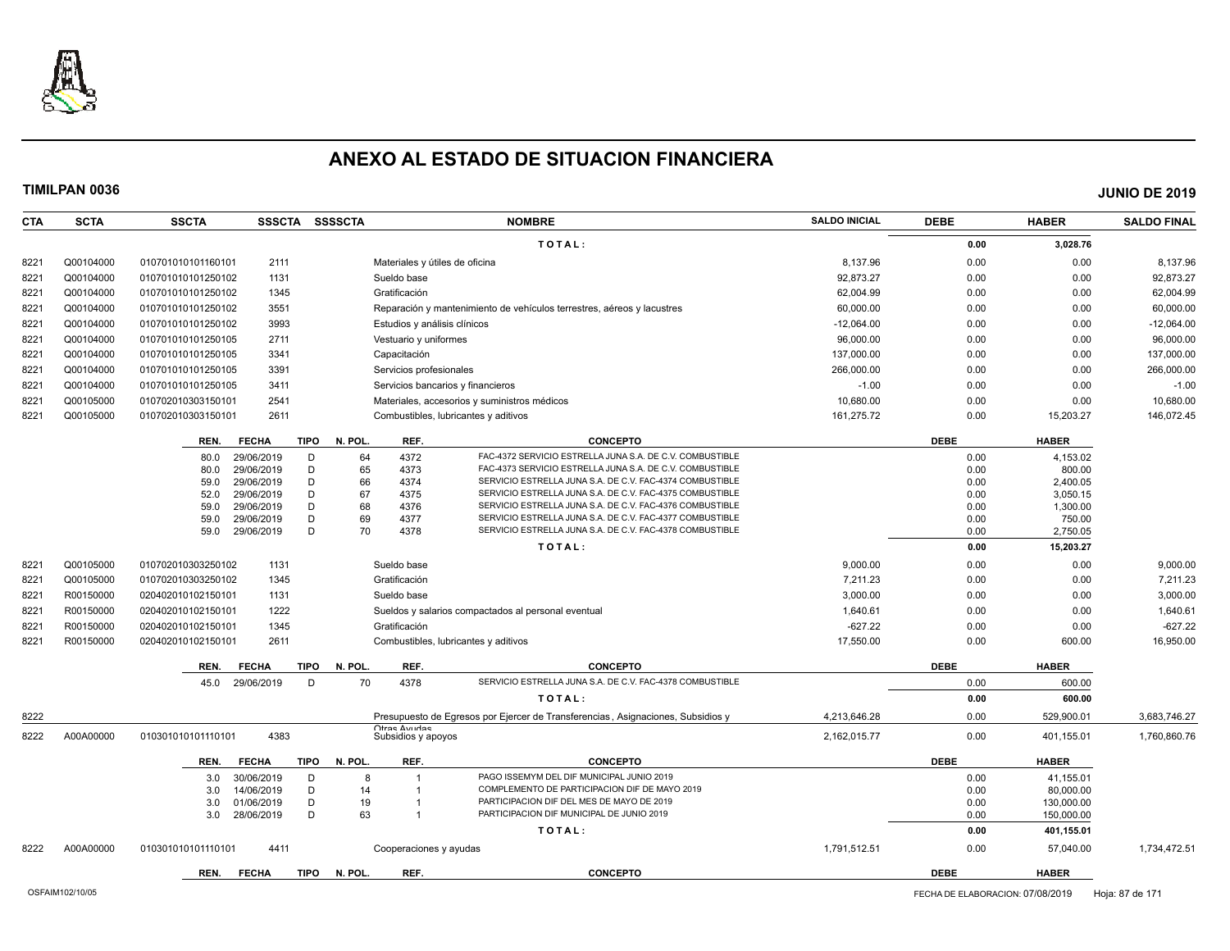

**CTA SCTA SSCTA SSSCTA SSSSCTA NOMBRE SALDO INICIAL DEBE HABER SALDO FINAL**

**TIMILPAN 0036 JUNIO DE 2019**

**T O T A L : 0.00 3,028.76** 8221 Q00104000 0107010101160101 2111 Materiales y útiles de oficina and a control de controllar en el segundo de controllar en el segundo de el segundo de el segundo de el segundo de el segundo de el segundo de el segundo 8221 Q00104000 010701010101250102 1131 Sueldo base 92,873.27 0.00 0.00 92,873.27 8221 Q00104000 010701010101250102 1345 Gratificación 62,004.99 0.00 0.00 62,004.99 8221 Q00104000 010701010101250102 3551 Reparación y mantenimiento de vehículos terrestres, aéreos y lacustres 60,000.00 0.00 0.00 60,000.00 8221 Q00104000 010701010101250102 3993 Estudios y análisis clínicos -12,064.00 0.00 0.00 -12,064.00 8221 Q00104000 010701010101250105 2711 Vestuario y uniformes external extension of the extension or the extension or the extension or the extendio or the extension of the extendio or the extendio or the extendio or the ext 8221 Q00104000 010701010101250105 3341 Capacitación 137,000.00 0.00 0.00 137,000.00 8221 Q00104000 010701010101250105 3391 Servicios profesionales 266,000.00 0.00 0.00 266,000.00 8221 Q00104000 0107010101250105 3411 Servicios bancarios y financieros -1.00 -1.00 0.00 0.00 0.00 -1.00 0.00 -1.00 8221 Q00105000 010702010303150101 2541 Materiales, accesorios y suministros médicos 10,680.00 0.00 0.00 10,680.00 8221 Q00105000 010702010303150101 2611 Combustibles, lubricantes y aditivos 161,275.72 0.00 15,203.27 146,072.45 **REN. FECHA TIPO N. POL. REF. CONCEPTO DEBE HABER** 80.0 29/06/2019 D 64 4372 FAC-4372 SERVICIO ESTRELLA JUNA S.A. DE C.V. COMBUSTIBLE 0.00 4,153.02 80.0 29/06/2019 D 65 4373 FAC-4373 SERVICIO ESTRELLA JUNA S.A. DE C.V. COMBUSTIBLE 0.00 00 800.00 800.00 59.0 29/06/2019 D 66 4374 SERVICIO ESTRELLA JUNA S.A. DE C.V. FAC-4374 COMBUSTIBLE 0.00 0 2,400.05 52.0 29/06/2019 D 67 4375 SERVICIO ESTRELLA JUNA S.A. DE C.V. FAC-4375 COMBUSTIBLE 0.00 0 3,050.15 59.0 29/06/2019 D 68 4376 SERVICIO ESTRELLA JUNA S.A. DE C.V. FAC-4376 COMBUSTIBLE 0.00 0 1,300.00 1,300.00 59.0 29/06/2019 D 69 4377 SERVICIO ESTRELLA JUNA S.A. DE C.V. FAC-4377 COMBUSTIBLE 0.00 750.00 59.0 29/06/2019 D 70 4378 SERVICIO ESTRELLA JUNA S.A. DE C.V. FAC-4378 COMBUSTIBLE 0.00 2,750.05 **T O T A L** : 0.00 **15,203.27 10.00 15,203.27** 8221 Q00105000 010702010303250102 1131 Sueldo base 9,000.00 9,000.00 9,000.00 8221 Q00105000 010702010303250102 1345 Gratificación 7,211.23 0.00 0.00 7,211.23 8221 R00150000 020402010102150101 1131 Sueldo base 3,000.00 0.00 0.00 3,000.00 8221 R00150000 020402010102150101 1222 Sueldos y salarios compactados al personal eventual 1,640.61 1,640.61 0.00 0.00 0.00 1,640.61 8221 R00150000 020402010102150101 1345 Gratificación -627.22 0.00 0.00 -627.22 8221 R00150000 020402010102150101 2611 Combustibles, lubricantes y aditivos 17,550.00 0.00 600.00 16,950.00 **REN. FECHA TIPO N. POL. REF. CONCEPTO DEBE HABER** 45.0 29/06/2019 D 70 4378 SERVICIO ESTRELLA JUNA S.A. DE C.V. FAC-4378 COMBUSTIBLE **COMBUSTIBLE** 0.00 600.00 600.00 **T O T A L :** 0.00 600.00 600.00 600.00 600.00 600.00 600.00 600.00 600.00 600.00 600.00 600.00 600.00 600.00 600.00 600.00 600.00 600.00 600.00 600.00 600.00 600.00 600.00 600.00 600.00 600.00 600.00 600.00 600.00 600.00 8222 Presupuesto de Egresos por Ejercer de Transferencias , Asignaciones, Subsidios y Otras Ayudas<br>Subsidios y apoyos 4,213,646.28 0.00 529,900.01 3,683,746.27 8222 A00A00000 010301010101110101 4383 Subsidios y apoyos 2,162,015.77 0.00 401,155.01 1,760,860.76 **REN. FECHA TIPO N. POL. REF. CONCEPTO DEBE HABER** 3.0 30/06/2019 D 8 1 PAGO ISSEMYM DEL DIF MUNICIPAL JUNIO 2019 0.00 41.155.01 3.0 14/06/2019 D 14 1 COMPLEMENTO DE PARTICIPACION DIF DE MAYO 2019<br>3.0 01/06/2019 D 19 1 PARTICIPACION DIF DEL MES DE MAYO DE 2019 3.0 01/06/2019 D 19 1 PARTICIPACION DIF DEL MES DE MAYO DE 2019 3.0 28/06/2019 D 63 1 PARTICIPACION DIF MUNICIPAL DE JUNIO 2019 0.00 150,000.00

8222 A00A00000 010301010101110101 4411 Cooperaciones y ayudas 1,791,512.51 0.00 57,040.00 1,734,472.51

**T O T A L : 0.00 401,155.01**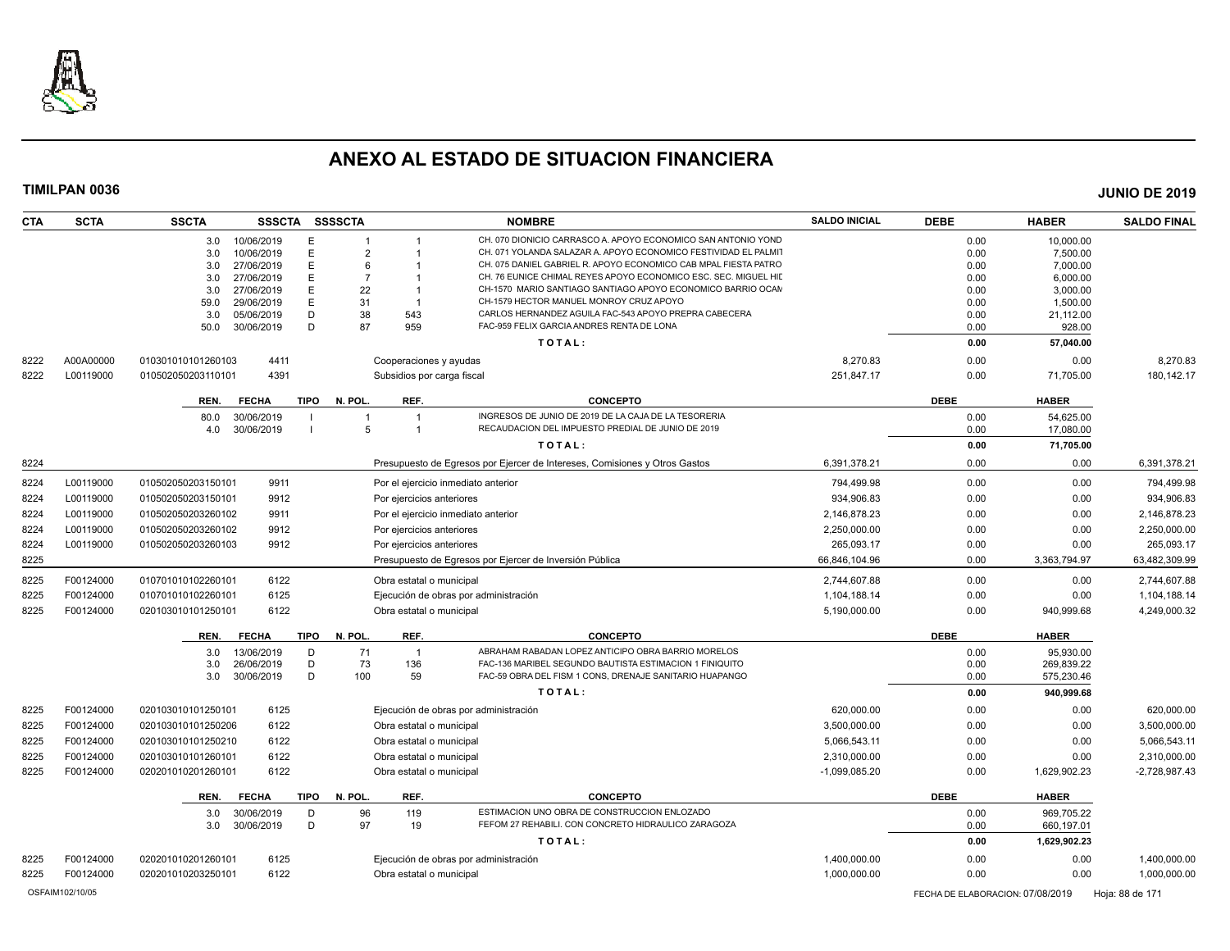

| <b>CTA</b> | <b>SCTA</b> | <b>SSCTA</b>                           | SSSCTA SSSSCTA                 |                                       | <b>NOMBRE</b>                                                                                                                  | <b>SALDO INICIAL</b> | <b>DEBE</b>  | <b>HABER</b>         | <b>SALDO FINAL</b> |
|------------|-------------|----------------------------------------|--------------------------------|---------------------------------------|--------------------------------------------------------------------------------------------------------------------------------|----------------------|--------------|----------------------|--------------------|
|            |             | 10/06/2019<br>3.0                      | E<br>1                         |                                       | CH. 070 DIONICIO CARRASCO A, APOYO ECONOMICO SAN ANTONIO YOND                                                                  |                      | 0.00         | 10,000.00            |                    |
|            |             | 10/06/2019<br>3.0                      | E<br>$\overline{2}$            |                                       | CH. 071 YOLANDA SALAZAR A. APOYO ECONOMICO FESTIVIDAD EL PALMIT                                                                |                      | 0.00         | 7,500.00             |                    |
|            |             | 3.0<br>27/06/2019                      | E<br>6                         |                                       | CH. 075 DANIEL GABRIEL R. APOYO ECONOMICO CAB MPAL FIESTA PATRO                                                                |                      | 0.00         | 7,000.00             |                    |
|            |             | 27/06/2019<br>3.0<br>27/06/2019<br>3.0 | E<br>$\overline{7}$<br>E<br>22 | - 1                                   | CH. 76 EUNICE CHIMAL REYES APOYO ECONOMICO ESC. SEC. MIGUEL HII<br>CH-1570 MARIO SANTIAGO SANTIAGO APOYO ECONOMICO BARRIO OCAN |                      | 0.00<br>0.00 | 6,000.00             |                    |
|            |             | 59.0<br>29/06/2019                     | E<br>31                        |                                       | CH-1579 HECTOR MANUEL MONROY CRUZ APOYO                                                                                        |                      | 0.00         | 3,000.00<br>1,500.00 |                    |
|            |             | 3.0<br>05/06/2019                      | 38<br>D                        | 543                                   | CARLOS HERNANDEZ AGUILA FAC-543 APOYO PREPRA CABECERA                                                                          |                      | 0.00         | 21,112.00            |                    |
|            |             | 30/06/2019<br>50.0                     | D<br>87                        | 959                                   | FAC-959 FELIX GARCIA ANDRES RENTA DE LONA                                                                                      |                      | 0.00         | 928.00               |                    |
|            |             |                                        |                                |                                       | TOTAL:                                                                                                                         |                      | 0.00         | 57,040.00            |                    |
| 8222       | A00A00000   | 4411<br>010301010101260103             |                                | Cooperaciones y ayudas                |                                                                                                                                | 8,270.83             | 0.00         | 0.00                 | 8,270.83           |
| 8222       | L00119000   | 4391<br>010502050203110101             |                                | Subsidios por carga fiscal            |                                                                                                                                | 251,847.17           | 0.00         | 71,705.00            | 180, 142. 17       |
|            |             | <b>FECHA</b><br>REN.                   | TIPO N. POL.                   | REF.                                  | <b>CONCEPTO</b>                                                                                                                |                      | <b>DEBE</b>  | <b>HABER</b>         |                    |
|            |             | 30/06/2019<br>80.0                     |                                | $\overline{1}$                        | INGRESOS DE JUNIO DE 2019 DE LA CAJA DE LA TESORERIA                                                                           |                      | 0.00         | 54.625.00            |                    |
|            |             | 30/06/2019<br>4.0                      | 5                              | $\overline{1}$                        | RECAUDACION DEL IMPUESTO PREDIAL DE JUNIO DE 2019                                                                              |                      | 0.00         | 17,080.00            |                    |
|            |             |                                        |                                |                                       | TOTAL:                                                                                                                         |                      | 0.00         | 71,705.00            |                    |
| 8224       |             |                                        |                                |                                       | Presupuesto de Egresos por Ejercer de Intereses, Comisiones y Otros Gastos                                                     | 6,391,378.21         | 0.00         | 0.00                 | 6,391,378.21       |
| 8224       | L00119000   | 9911<br>010502050203150101             |                                | Por el ejercicio inmediato anterior   |                                                                                                                                | 794.499.98           | 0.00         | 0.00                 | 794,499.98         |
| 8224       | L00119000   | 9912<br>010502050203150101             |                                | Por ejercicios anteriores             |                                                                                                                                | 934,906.83           | 0.00         | 0.00                 | 934,906.83         |
| 8224       | L00119000   | 010502050203260102<br>9911             |                                | Por el ejercicio inmediato anterior   |                                                                                                                                | 2,146,878.23         | 0.00         | 0.00                 | 2,146,878.23       |
| 8224       | L00119000   | 9912<br>010502050203260102             |                                | Por ejercicios anteriores             |                                                                                                                                | 2,250,000.00         | 0.00         | 0.00                 | 2,250,000.00       |
| 8224       | L00119000   | 9912<br>010502050203260103             |                                | Por ejercicios anteriores             |                                                                                                                                | 265.093.17           | 0.00         | 0.00                 | 265.093.17         |
| 8225       |             |                                        |                                |                                       | Presupuesto de Egresos por Ejercer de Inversión Pública                                                                        | 66,846,104.96        | 0.00         | 3,363,794.97         | 63,482,309.99      |
| 8225       | F00124000   | 6122<br>010701010102260101             |                                | Obra estatal o municipal              |                                                                                                                                | 2,744,607.88         | 0.00         | 0.00                 | 2,744,607.88       |
| 8225       | F00124000   | 6125<br>010701010102260101             |                                | Ejecución de obras por administración |                                                                                                                                | 1,104,188.14         | 0.00         | 0.00                 | 1,104,188.14       |
| 8225       | F00124000   | 6122<br>020103010101250101             |                                | Obra estatal o municipal              |                                                                                                                                | 5,190,000.00         | 0.00         | 940.999.68           | 4,249,000.32       |
|            |             | <b>FECHA</b><br>REN.                   | TIPO<br>N. POL.                | REF.                                  | <b>CONCEPTO</b>                                                                                                                |                      | <b>DEBE</b>  | <b>HABER</b>         |                    |
|            |             | 13/06/2019<br>3.0                      | 71<br>D                        | $\overline{1}$                        | ABRAHAM RABADAN LOPEZ ANTICIPO OBRA BARRIO MORELOS                                                                             |                      | 0.00         | 95,930.00            |                    |
|            |             | 26/06/2019<br>3.0                      | 73<br>D                        | 136                                   | FAC-136 MARIBEL SEGUNDO BAUTISTA ESTIMACION 1 FINIQUITO                                                                        |                      | 0.00         | 269,839.22           |                    |
|            |             | 3.0<br>30/06/2019                      | D<br>100                       | 59                                    | FAC-59 OBRA DEL FISM 1 CONS, DRENAJE SANITARIO HUAPANGO                                                                        |                      | 0.00         | 575,230.46           |                    |
|            |             |                                        |                                |                                       | TOTAL:                                                                                                                         |                      | 0.00         | 940,999.68           |                    |
| 8225       | F00124000   | 020103010101250101<br>6125             |                                | Ejecución de obras por administración |                                                                                                                                | 620,000.00           | 0.00         | 0.00                 | 620,000.00         |
| 8225       | F00124000   | 6122<br>020103010101250206             |                                | Obra estatal o municipal              |                                                                                                                                | 3,500,000.00         | 0.00         | 0.00                 | 3,500,000.00       |
| 8225       | F00124000   | 6122<br>020103010101250210             |                                | Obra estatal o municipal              |                                                                                                                                | 5,066,543.11         | 0.00         | 0.00                 | 5,066,543.11       |
| 8225       | F00124000   | 6122<br>020103010101260101             |                                | Obra estatal o municipal              |                                                                                                                                | 2,310,000.00         | 0.00         | 0.00                 | 2,310,000.00       |
| 8225       | F00124000   | 6122<br>020201010201260101             |                                | Obra estatal o municipal              |                                                                                                                                | $-1.099.085.20$      | 0.00         | 1,629,902.23         | $-2.728.987.43$    |
|            |             | REN.<br><b>FECHA</b>                   | <b>TIPO</b><br>N. POL.         | REF.                                  | <b>CONCEPTO</b>                                                                                                                |                      | <b>DEBE</b>  | <b>HABER</b>         |                    |
|            |             | 30/06/2019<br>3.0                      | 96<br>D                        | 119                                   | ESTIMACION UNO OBRA DE CONSTRUCCION ENLOZADO                                                                                   |                      | 0.00         | 969,705.22           |                    |
|            |             | 3.0<br>30/06/2019                      | D<br>97                        | 19                                    | FEFOM 27 REHABILI. CON CONCRETO HIDRAULICO ZARAGOZA                                                                            |                      | 0.00         | 660,197.01           |                    |
|            |             |                                        |                                |                                       | TOTAL:                                                                                                                         |                      | 0.00         | 1,629,902.23         |                    |
| 8225       | F00124000   | 6125<br>020201010201260101             |                                | Ejecución de obras por administración |                                                                                                                                | 1,400,000.00         | 0.00         | 0.00                 | 1,400,000.00       |
| 8225       | F00124000   | 6122<br>020201010203250101             |                                | Obra estatal o municipal              |                                                                                                                                | 1,000,000.00         | 0.00         | 0.00                 | 1,000,000.00       |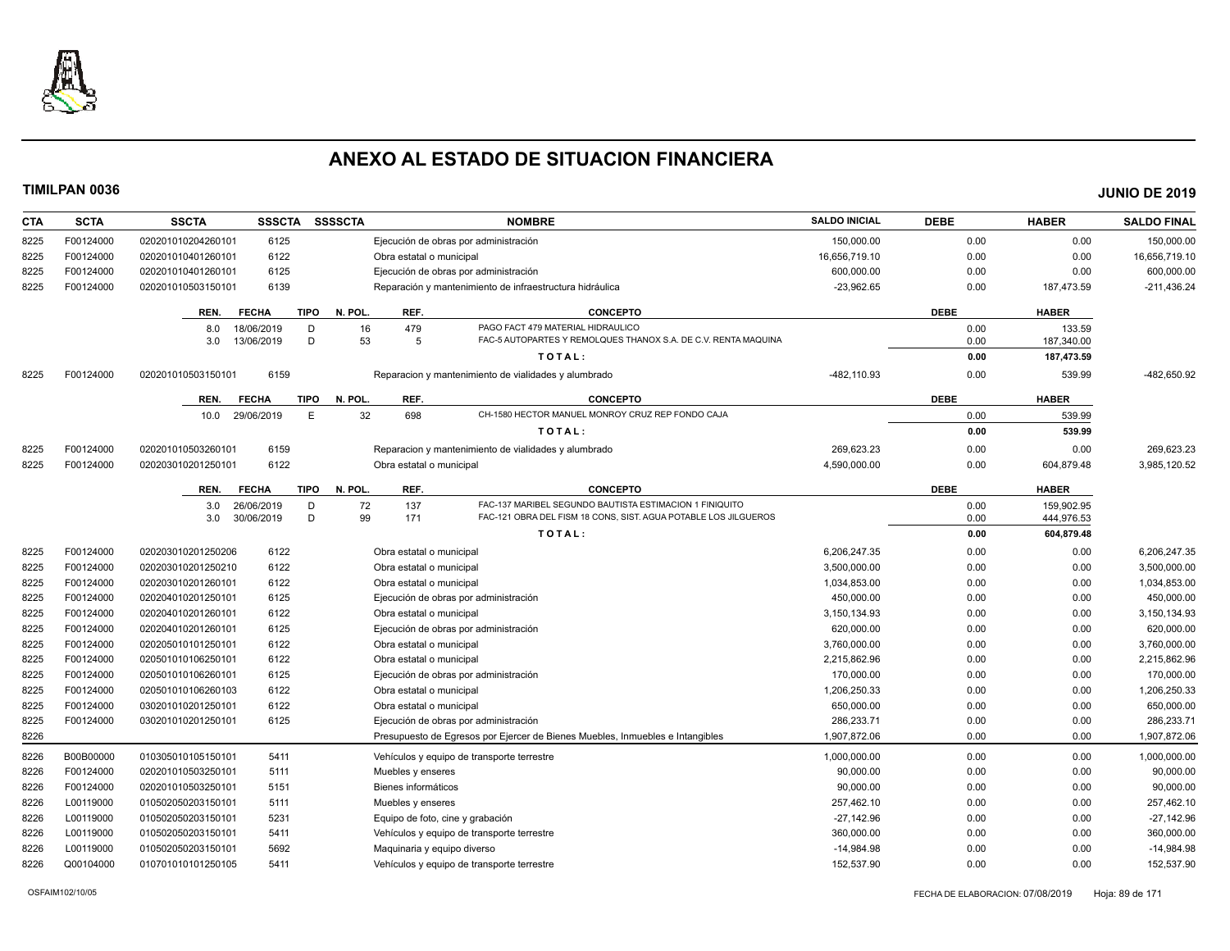

| CTA  | <b>SCTA</b> | <b>SSCTA</b><br><b>SSSCTA</b> |             | <b>SSSSCTA</b> |                             | <b>NOMBRE</b>                                                                 | <b>SALDO INICIAL</b> | <b>DEBE</b> | <b>HABER</b> | <b>SALDO FINAL</b> |
|------|-------------|-------------------------------|-------------|----------------|-----------------------------|-------------------------------------------------------------------------------|----------------------|-------------|--------------|--------------------|
| 8225 | F00124000   | 6125<br>020201010204260101    |             |                |                             | Ejecución de obras por administración                                         | 150,000.00           | 0.00        | 0.00         | 150,000.00         |
| 8225 | F00124000   | 6122<br>020201010401260101    |             |                | Obra estatal o municipal    |                                                                               | 16,656,719.10        | 0.00        | 0.00         | 16,656,719.10      |
| 8225 | F00124000   | 6125<br>020201010401260101    |             |                |                             | Ejecución de obras por administración                                         | 600,000.00           | 0.00        | 0.00         | 600,000.00         |
| 8225 | F00124000   | 6139<br>020201010503150101    |             |                |                             | Reparación y mantenimiento de infraestructura hidráulica                      | $-23,962.65$         | 0.00        | 187,473.59   | $-211,436.24$      |
|      |             | REN.<br><b>FECHA</b>          | <b>TIPO</b> | N. POL.        | REF.                        | <b>CONCEPTO</b>                                                               |                      | <b>DEBE</b> | <b>HABER</b> |                    |
|      |             | 18/06/2019<br>8.0             | D           | 16             | 479                         | PAGO FACT 479 MATERIAL HIDRAULICO                                             |                      | 0.00        | 133.59       |                    |
|      |             | 3.0<br>13/06/2019             | D           | 53             | 5                           | FAC-5 AUTOPARTES Y REMOLQUES THANOX S.A. DE C.V. RENTA MAQUINA                |                      | 0.00        | 187,340.00   |                    |
|      |             |                               |             |                |                             | TOTAL:                                                                        |                      | 0.00        | 187,473.59   |                    |
| 8225 | F00124000   | 6159<br>020201010503150101    |             |                |                             | Reparacion y mantenimiento de vialidades y alumbrado                          | -482,110.93          | 0.00        | 539.99       | -482,650.92        |
|      |             | REN.<br><b>FECHA</b>          | TIPO        | N. POL.        | REF.                        | <b>CONCEPTO</b>                                                               |                      | <b>DEBE</b> | <b>HABER</b> |                    |
|      |             | 29/06/2019<br>10.0            | E           | 32             | 698                         | CH-1580 HECTOR MANUEL MONROY CRUZ REP FONDO CAJA                              |                      | 0.00        | 539.99       |                    |
|      |             |                               |             |                |                             | TOTAL:                                                                        |                      | 0.00        | 539.99       |                    |
| 8225 | F00124000   | 6159<br>020201010503260101    |             |                |                             | Reparacion y mantenimiento de vialidades y alumbrado                          | 269,623.23           | 0.00        | 0.00         | 269,623.23         |
| 8225 | F00124000   | 6122<br>020203010201250101    |             |                | Obra estatal o municipal    |                                                                               | 4.590.000.00         | 0.00        | 604.879.48   | 3.985.120.52       |
|      |             | REN.<br><b>FECHA</b>          | <b>TIPO</b> | N. POL.        | REF.                        | <b>CONCEPTO</b>                                                               |                      | <b>DEBE</b> | <b>HABER</b> |                    |
|      |             | 26/06/2019<br>3.0             | D           | 72             | 137                         | FAC-137 MARIBEL SEGUNDO BAUTISTA ESTIMACION 1 FINIQUITO                       |                      | 0.00        | 159,902.95   |                    |
|      |             | 3.0<br>30/06/2019             | D           | 99             | 171                         | FAC-121 OBRA DEL FISM 18 CONS, SIST. AGUA POTABLE LOS JILGUEROS               |                      | 0.00        | 444,976.53   |                    |
|      |             |                               |             |                |                             | TOTAL:                                                                        |                      | 0.00        | 604,879.48   |                    |
| 8225 | F00124000   | 6122<br>020203010201250206    |             |                | Obra estatal o municipal    |                                                                               | 6,206,247.35         | 0.00        | 0.00         | 6,206,247.35       |
| 8225 | F00124000   | 6122<br>020203010201250210    |             |                | Obra estatal o municipal    |                                                                               | 3,500,000.00         | 0.00        | 0.00         | 3,500,000.00       |
| 8225 | F00124000   | 6122<br>020203010201260101    |             |                | Obra estatal o municipal    |                                                                               | 1,034,853.00         | 0.00        | 0.00         | 1,034,853.00       |
| 8225 | F00124000   | 6125<br>020204010201250101    |             |                |                             | Ejecución de obras por administración                                         | 450,000.00           | 0.00        | 0.00         | 450,000.00         |
| 8225 | F00124000   | 020204010201260101<br>6122    |             |                | Obra estatal o municipal    |                                                                               | 3,150,134.93         | 0.00        | 0.00         | 3,150,134.93       |
| 8225 | F00124000   | 6125<br>020204010201260101    |             |                |                             | Ejecución de obras por administración                                         | 620,000.00           | 0.00        | 0.00         | 620,000.00         |
| 8225 | F00124000   | 6122<br>020205010101250101    |             |                | Obra estatal o municipal    |                                                                               | 3,760,000.00         | 0.00        | 0.00         | 3,760,000.00       |
| 8225 | F00124000   | 6122<br>020501010106250101    |             |                | Obra estatal o municipal    |                                                                               | 2,215,862.96         | 0.00        | 0.00         | 2,215,862.96       |
| 8225 | F00124000   | 020501010106260101<br>6125    |             |                |                             | Ejecución de obras por administración                                         | 170,000.00           | 0.00        | 0.00         | 170,000.00         |
| 8225 | F00124000   | 6122<br>020501010106260103    |             |                | Obra estatal o municipal    |                                                                               | 1,206,250.33         | 0.00        | 0.00         | 1,206,250.33       |
| 8225 | F00124000   | 6122<br>030201010201250101    |             |                | Obra estatal o municipal    |                                                                               | 650,000.00           | 0.00        | 0.00         | 650,000.00         |
| 8225 | F00124000   | 6125<br>030201010201250101    |             |                |                             | Ejecución de obras por administración                                         | 286.233.71           | 0.00        | 0.00         | 286.233.71         |
| 8226 |             |                               |             |                |                             | Presupuesto de Egresos por Ejercer de Bienes Muebles, Inmuebles e Intangibles | 1,907,872.06         | 0.00        | 0.00         | 1,907,872.06       |
| 8226 | B00B00000   | 5411<br>010305010105150101    |             |                |                             | Vehículos y equipo de transporte terrestre                                    | 1,000,000.00         | 0.00        | 0.00         | 1,000,000.00       |
| 8226 | F00124000   | 020201010503250101<br>5111    |             |                | Muebles y enseres           |                                                                               | 90,000.00            | 0.00        | 0.00         | 90,000.00          |
| 8226 | F00124000   | 5151<br>020201010503250101    |             |                | Bienes informáticos         |                                                                               | 90.000.00            | 0.00        | 0.00         | 90,000.00          |
| 8226 | L00119000   | 010502050203150101<br>5111    |             |                | Muebles y enseres           |                                                                               | 257,462.10           | 0.00        | 0.00         | 257,462.10         |
| 8226 | L00119000   | 5231<br>010502050203150101    |             |                |                             | Equipo de foto, cine y grabación                                              | $-27.142.96$         | 0.00        | 0.00         | $-27,142.96$       |
| 8226 | L00119000   | 010502050203150101<br>5411    |             |                |                             | Vehículos y equipo de transporte terrestre                                    | 360,000.00           | 0.00        | 0.00         | 360,000.00         |
| 8226 | L00119000   | 5692<br>010502050203150101    |             |                | Maguinaria y equipo diverso |                                                                               | $-14.984.98$         | 0.00        | 0.00         | $-14,984.98$       |
| 8226 | Q00104000   | 010701010101250105<br>5411    |             |                |                             | Vehículos y equipo de transporte terrestre                                    | 152,537.90           | 0.00        | 0.00         | 152,537.90         |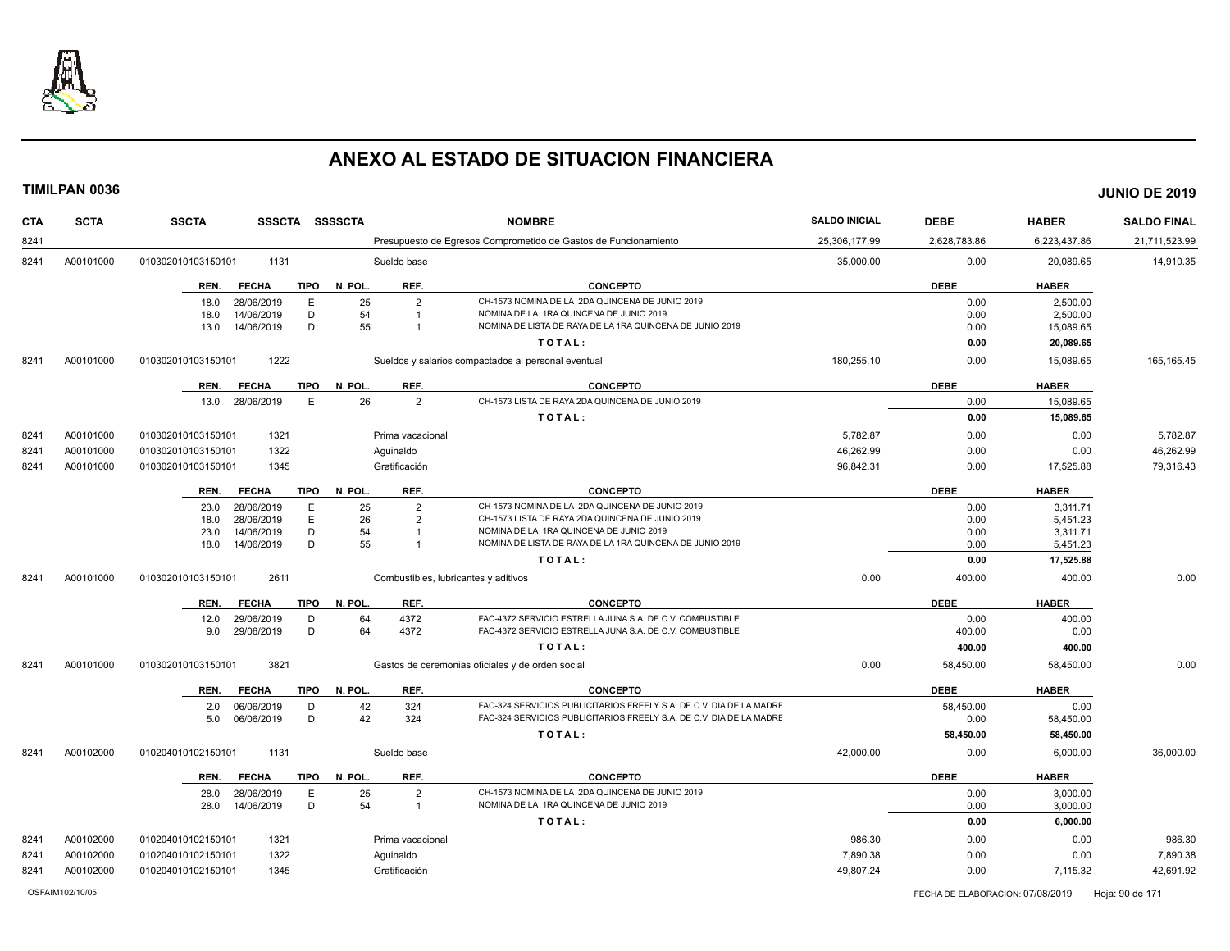

| <b>CTA</b> | <b>SCTA</b> | <b>SSCTA</b><br>SSSCTA SSSSCTA      |                      | <b>NOMBRE</b>                                                       | <b>SALDO INICIAL</b> | <b>DEBE</b>  | <b>HABER</b> | <b>SALDO FINAL</b> |
|------------|-------------|-------------------------------------|----------------------|---------------------------------------------------------------------|----------------------|--------------|--------------|--------------------|
| 8241       |             |                                     |                      | Presupuesto de Egresos Comprometido de Gastos de Funcionamiento     | 25,306,177.99        | 2,628,783.86 | 6,223,437.86 | 21,711,523.99      |
| 8241       | A00101000   | 010302010103150101<br>1131          | Sueldo base          |                                                                     | 35,000.00            | 0.00         | 20,089.65    | 14,910.35          |
|            |             | <b>FECHA</b><br>TIPO<br>REN.        | N. POL.<br>REF.      | <b>CONCEPTO</b>                                                     |                      | <b>DEBE</b>  | <b>HABER</b> |                    |
|            |             | 28/06/2019<br>E<br>18.0             | 25<br>$\overline{2}$ | CH-1573 NOMINA DE LA 2DA QUINCENA DE JUNIO 2019                     |                      | 0.00         | 2,500.00     |                    |
|            |             | D<br>14/06/2019<br>18.0             | 54<br>$\overline{1}$ | NOMINA DE LA 1RA QUINCENA DE JUNIO 2019                             |                      | 0.00         | 2,500.00     |                    |
|            |             | D<br>14/06/2019<br>13.0             | 55<br>$\overline{1}$ | NOMINA DE LISTA DE RAYA DE LA 1RA QUINCENA DE JUNIO 2019            |                      | 0.00         | 15,089.65    |                    |
|            |             |                                     |                      | TOTAL:                                                              |                      | 0.00         | 20,089.65    |                    |
| 8241       | A00101000   | 1222<br>010302010103150101          |                      | Sueldos y salarios compactados al personal eventual                 | 180,255.10           | 0.00         | 15,089.65    | 165, 165. 45       |
|            |             | <b>TIPO</b><br>REN.<br><b>FECHA</b> | N. POL.<br>REF.      | <b>CONCEPTO</b>                                                     |                      | <b>DEBE</b>  | <b>HABER</b> |                    |
|            |             | 13.0 28/06/2019<br>E                | 26<br>$\overline{2}$ | CH-1573 LISTA DE RAYA 2DA QUINCENA DE JUNIO 2019                    |                      | 0.00         | 15,089.65    |                    |
|            |             |                                     |                      | TOTAL:                                                              |                      | 0.00         | 15,089.65    |                    |
| 8241       | A00101000   | 1321<br>010302010103150101          | Prima vacacional     |                                                                     | 5,782.87             | 0.00         | 0.00         | 5,782.87           |
| 8241       | A00101000   | 1322<br>010302010103150101          | Aquinaldo            |                                                                     | 46,262.99            | 0.00         | 0.00         | 46,262.99          |
| 8241       | A00101000   | 1345<br>010302010103150101          | Gratificación        |                                                                     | 96,842.31            | 0.00         | 17,525.88    | 79,316.43          |
|            |             | <b>FECHA</b><br><b>TIPO</b><br>REN. | N. POL.<br>REF.      | <b>CONCEPTO</b>                                                     |                      | <b>DEBE</b>  | <b>HABER</b> |                    |
|            |             | 28/06/2019<br>E<br>23.0             | 25<br>$\overline{2}$ | CH-1573 NOMINA DE LA 2DA QUINCENA DE JUNIO 2019                     |                      | 0.00         | 3,311.71     |                    |
|            |             | E<br>28/06/2019<br>18.0             | 26<br>$\overline{2}$ | CH-1573 LISTA DE RAYA 2DA QUINCENA DE JUNIO 2019                    |                      | 0.00         | 5.451.23     |                    |
|            |             | D<br>14/06/2019<br>23.0             | 54<br>$\overline{1}$ | NOMINA DE LA 1RA QUINCENA DE JUNIO 2019                             |                      | 0.00         | 3,311.71     |                    |
|            |             | 14/06/2019<br>D<br>18.0             | 55<br>$\overline{1}$ | NOMINA DE LISTA DE RAYA DE LA 1RA QUINCENA DE JUNIO 2019            |                      | 0.00         | 5,451.23     |                    |
|            |             |                                     |                      | TOTAL:                                                              |                      | 0.00         | 17,525.88    |                    |
| 8241       | A00101000   | 2611<br>010302010103150101          |                      | Combustibles, lubricantes y aditivos                                | 0.00                 | 400.00       | 400.00       | 0.00               |
|            |             | REN.<br><b>FECHA</b><br>TIPO        | N. POL.<br>REF.      | <b>CONCEPTO</b>                                                     |                      | <b>DEBE</b>  | <b>HABER</b> |                    |
|            |             | 29/06/2019<br>D<br>12.0             | 64<br>4372           | FAC-4372 SERVICIO ESTRELLA JUNA S.A. DE C.V. COMBUSTIBLE            |                      | 0.00         | 400.00       |                    |
|            |             | D<br>29/06/2019<br>9.0              | 64<br>4372           | FAC-4372 SERVICIO ESTRELLA JUNA S.A. DE C.V. COMBUSTIBLE            |                      | 400.00       | 0.00         |                    |
|            |             |                                     |                      | TOTAL:                                                              |                      | 400.00       | 400.00       |                    |
| 8241       | A00101000   | 3821<br>010302010103150101          |                      | Gastos de ceremonias oficiales y de orden social                    | 0.00                 | 58,450.00    | 58,450.00    | 0.00               |
|            |             | REN.<br><b>FECHA</b><br>TIPO        | N. POL.<br>REF.      | <b>CONCEPTO</b>                                                     |                      | <b>DEBE</b>  | <b>HABER</b> |                    |
|            |             | 06/06/2019<br>D<br>2.0              | 42<br>324            | FAC-324 SERVICIOS PUBLICITARIOS FREELY S.A. DE C.V. DIA DE LA MADRE |                      | 58,450.00    | 0.00         |                    |
|            |             | D<br>06/06/2019<br>5.0              | 42<br>324            | FAC-324 SERVICIOS PUBLICITARIOS FREELY S.A. DE C.V. DIA DE LA MADRE |                      | 0.00         | 58,450.00    |                    |
|            |             |                                     |                      | TOTAL:                                                              |                      | 58,450.00    | 58,450.00    |                    |
| 8241       | A00102000   | 1131<br>010204010102150101          | Sueldo base          |                                                                     | 42.000.00            | 0.00         | 6.000.00     | 36.000.00          |
|            |             | <b>TIPO</b><br>REN.<br><b>FECHA</b> | N. POL.<br>REF.      | <b>CONCEPTO</b>                                                     |                      | <b>DEBE</b>  | <b>HABER</b> |                    |
|            |             | 28/06/2019<br>E<br>28.0             | 25<br>$\overline{2}$ | CH-1573 NOMINA DE LA 2DA QUINCENA DE JUNIO 2019                     |                      | 0.00         | 3,000.00     |                    |
|            |             | D<br>28.0<br>14/06/2019             | 54<br>$\overline{1}$ | NOMINA DE LA 1RA QUINCENA DE JUNIO 2019                             |                      | 0.00         | 3,000.00     |                    |
|            |             |                                     |                      | TOTAL:                                                              |                      | 0.00         | 6,000.00     |                    |
| 8241       | A00102000   | 1321<br>010204010102150101          | Prima vacacional     |                                                                     | 986.30               | 0.00         | 0.00         | 986.30             |
| 8241       | A00102000   | 1322<br>010204010102150101          | Aguinaldo            |                                                                     | 7,890.38             | 0.00         | 0.00         | 7,890.38           |
| 8241       | A00102000   | 010204010102150101<br>1345          | Gratificación        |                                                                     | 49,807.24            | 0.00         | 7,115.32     | 42,691.92          |
|            |             |                                     |                      |                                                                     |                      |              |              |                    |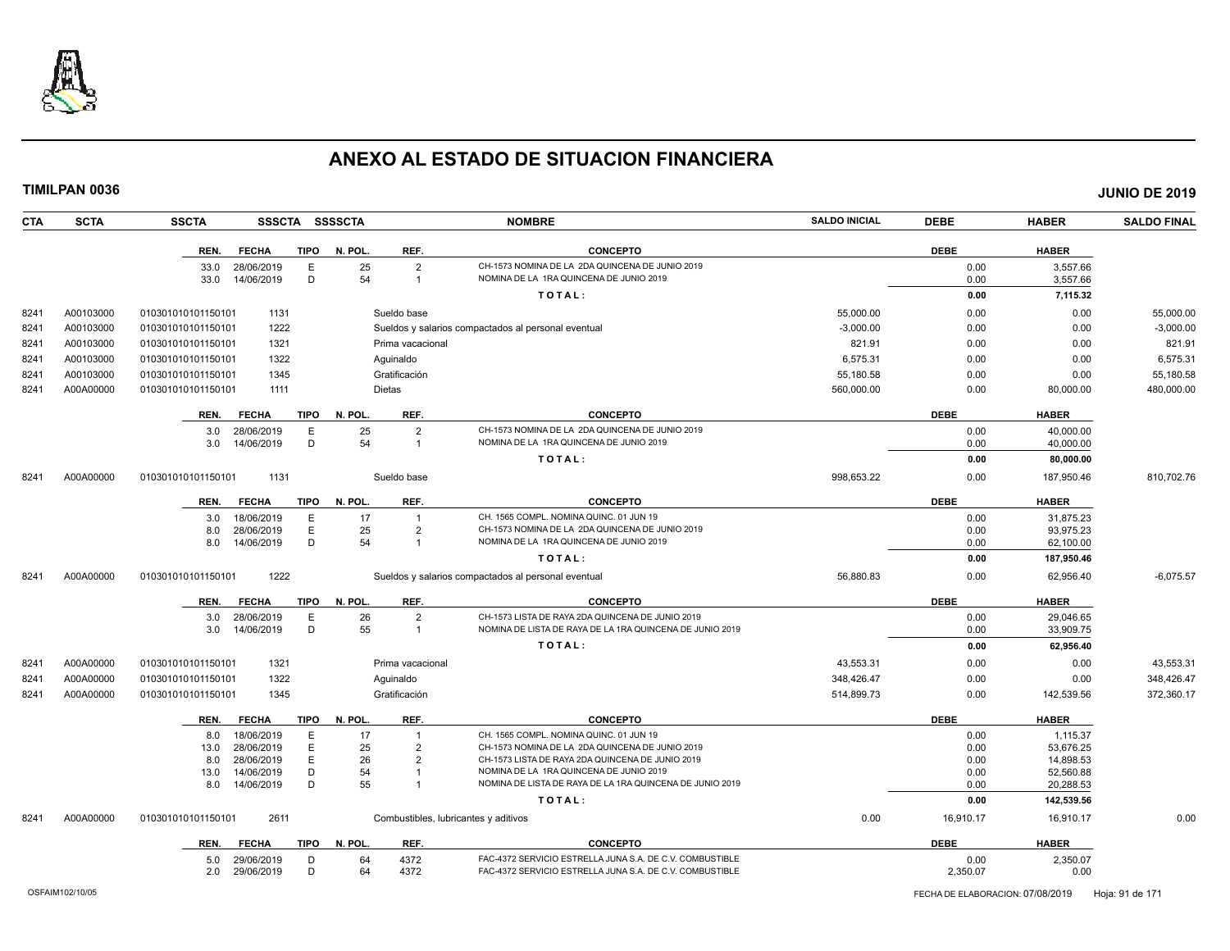

| <b>CTA</b> | <b>SCTA</b> | <b>SSCTA</b>                            |             | SSSCTA SSSSCTA |                                  | <b>NOMBRE</b>                                                                               | <b>SALDO INICIAL</b> | <b>DEBE</b>  | <b>HABER</b>           | <b>SALDO FINAL</b> |
|------------|-------------|-----------------------------------------|-------------|----------------|----------------------------------|---------------------------------------------------------------------------------------------|----------------------|--------------|------------------------|--------------------|
|            |             | <b>FECHA</b><br>REN.                    | <b>TIPO</b> | N. POL.        | REF.                             | <b>CONCEPTO</b>                                                                             |                      | <b>DEBE</b>  | <b>HABER</b>           |                    |
|            |             | 33.0<br>28/06/2019                      | Е           | 25             | $\mathcal{P}$                    | CH-1573 NOMINA DE LA 2DA QUINCENA DE JUNIO 2019                                             |                      | 0.00         | 3,557.66               |                    |
|            |             | 14/06/2019<br>33.0                      | D           | 54             | $\overline{1}$                   | NOMINA DE LA 1RA QUINCENA DE JUNIO 2019                                                     |                      | 0.00         | 3,557.66               |                    |
|            |             |                                         |             |                |                                  | TOTAL:                                                                                      |                      | 0.00         | 7,115.32               |                    |
| 8241       | A00103000   | 1131<br>010301010101150101              |             |                | Sueldo base                      |                                                                                             | 55,000.00            | 0.00         | 0.00                   | 55,000.00          |
| 8241       | A00103000   | 1222<br>010301010101150101              |             |                |                                  | Sueldos y salarios compactados al personal eventual                                         | $-3.000.00$          | 0.00         | 0.00                   | $-3,000.00$        |
| 8241       | A00103000   | 1321<br>010301010101150101              |             |                | Prima vacacional                 |                                                                                             | 821.91               | 0.00         | 0.00                   | 821.91             |
| 8241       | A00103000   | 010301010101150101<br>1322              |             |                | Aguinaldo                        |                                                                                             | 6,575.31             | 0.00         | 0.00                   | 6,575.31           |
| 8241       | A00103000   | 1345<br>010301010101150101              |             |                | Gratificación                    |                                                                                             | 55,180.58            | 0.00         | 0.00                   | 55,180.58          |
| 8241       | A00A00000   | 010301010101150101<br>1111              |             |                | Dietas                           |                                                                                             | 560,000.00           | 0.00         | 80,000.00              | 480,000.00         |
|            |             | REN.<br><b>FECHA</b>                    | <b>TIPO</b> | N. POL.        | REF.                             | <b>CONCEPTO</b>                                                                             |                      | <b>DEBE</b>  | <b>HABER</b>           |                    |
|            |             | 28/06/2019<br>3.0                       | E           | 25             | $\overline{2}$                   | CH-1573 NOMINA DE LA 2DA QUINCENA DE JUNIO 2019                                             |                      | 0.00         | 40,000.00              |                    |
|            |             | 3.0<br>14/06/2019                       | D           | 54             | $\overline{1}$                   | NOMINA DE LA 1RA QUINCENA DE JUNIO 2019                                                     |                      | 0.00         | 40,000.00              |                    |
|            |             |                                         |             |                |                                  | TOTAL:                                                                                      |                      | 0.00         | 80,000.00              |                    |
| 8241       | A00A00000   | 1131<br>010301010101150101              |             |                | Sueldo base                      |                                                                                             | 998,653.22           | 0.00         | 187,950.46             | 810,702.76         |
|            |             | REN.<br><b>FECHA</b>                    | TIPO        | N. POL.        | REF.                             | <b>CONCEPTO</b>                                                                             |                      | <b>DEBE</b>  | <b>HABER</b>           |                    |
|            |             | 18/06/2019<br>3.0                       | E           | 17             | $\overline{1}$                   | CH. 1565 COMPL. NOMINA QUINC. 01 JUN 19                                                     |                      | 0.00         | 31,875.23              |                    |
|            |             | 28/06/2019<br>8.0                       | Ε           | 25             | $\overline{2}$                   | CH-1573 NOMINA DE LA 2DA QUINCENA DE JUNIO 2019                                             |                      | 0.00         | 93,975.23              |                    |
|            |             | 14/06/2019<br>8.0                       | D           | 54             | $\overline{1}$                   | NOMINA DE LA 1RA QUINCENA DE JUNIO 2019                                                     |                      | 0.00         | 62,100.00              |                    |
|            |             |                                         |             |                |                                  | TOTAL:                                                                                      |                      | 0.00         | 187,950.46             |                    |
| 8241       | A00A00000   | 1222<br>010301010101150101              |             |                |                                  | Sueldos y salarios compactados al personal eventual                                         | 56,880.83            | 0.00         | 62,956.40              | $-6,075.57$        |
|            |             | <b>FECHA</b><br>REN.                    | <b>TIPO</b> | N. POL.        | REF.                             | <b>CONCEPTO</b>                                                                             |                      | <b>DEBE</b>  | <b>HABER</b>           |                    |
|            |             | 28/06/2019<br>3.0                       | E           | 26             | $\overline{2}$                   | CH-1573 LISTA DE RAYA 2DA QUINCENA DE JUNIO 2019                                            |                      | 0.00         | 29.046.65              |                    |
|            |             | 3.0<br>14/06/2019                       | D           | 55             | $\overline{1}$                   | NOMINA DE LISTA DE RAYA DE LA 1RA QUINCENA DE JUNIO 2019                                    |                      | 0.00         | 33,909.75              |                    |
|            |             |                                         |             |                |                                  | TOTAL:                                                                                      |                      | 0.00         | 62,956.40              |                    |
| 8241       | A00A00000   | 1321<br>010301010101150101              |             |                | Prima vacacional                 |                                                                                             | 43,553.31            | 0.00         | 0.00                   | 43,553.31          |
| 8241       | A00A00000   | 1322<br>010301010101150101              |             |                | Aguinaldo                        |                                                                                             | 348,426.47           | 0.00         | 0.00                   | 348,426.47         |
| 8241       | A00A00000   | 1345<br>010301010101150101              |             |                | Gratificación                    |                                                                                             | 514,899.73           | 0.00         | 142,539.56             | 372,360.17         |
|            |             | <b>FECHA</b><br>REN.                    | TIPO        | N. POL.        | REF.                             | <b>CONCEPTO</b>                                                                             |                      | <b>DEBE</b>  | <b>HABER</b>           |                    |
|            |             | 18/06/2019<br>8.0                       | E           | 17             | $\overline{1}$                   | CH. 1565 COMPL. NOMINA QUINC, 01 JUN 19                                                     |                      | 0.00         | 1,115.37               |                    |
|            |             | 13.0<br>28/06/2019                      | E           | 25             | $\overline{2}$                   | CH-1573 NOMINA DE LA 2DA QUINCENA DE JUNIO 2019                                             |                      | 0.00         | 53,676.25              |                    |
|            |             | 28/06/2019<br>8.0                       | E<br>D      | 26<br>54       | $\overline{2}$<br>$\overline{1}$ | CH-1573 LISTA DE RAYA 2DA QUINCENA DE JUNIO 2019<br>NOMINA DE LA 1RA QUINCENA DE JUNIO 2019 |                      | 0.00<br>0.00 | 14.898.53<br>52,560.88 |                    |
|            |             | 14/06/2019<br>13.0<br>14/06/2019<br>8.0 | D           | 55             | $\overline{1}$                   | NOMINA DE LISTA DE RAYA DE LA 1RA QUINCENA DE JUNIO 2019                                    |                      | 0.00         | 20,288.53              |                    |
|            |             |                                         |             |                |                                  | TOTAL:                                                                                      |                      | 0.00         | 142,539.56             |                    |
| 8241       | A00A00000   | 2611<br>010301010101150101              |             |                |                                  | Combustibles, lubricantes y aditivos                                                        | 0.00                 | 16,910.17    | 16.910.17              | 0.00               |
|            |             |                                         |             |                |                                  |                                                                                             |                      |              |                        |                    |
|            |             | <b>FECHA</b><br>REN.                    | <b>TIPO</b> | N. POL.        | REF.                             | <b>CONCEPTO</b>                                                                             |                      | <b>DEBE</b>  | <b>HABER</b>           |                    |
|            |             | 29/06/2019<br>5.0                       | D           | 64             | 4372                             | FAC-4372 SERVICIO ESTRELLA JUNA S.A. DE C.V. COMBUSTIBLE                                    |                      | 0.00         | 2,350.07               |                    |
|            |             | 2.0<br>29/06/2019                       | D           | 64             | 4372                             | FAC-4372 SERVICIO ESTRELLA JUNA S.A. DE C.V. COMBUSTIBLE                                    |                      | 2,350.07     | 0.00                   |                    |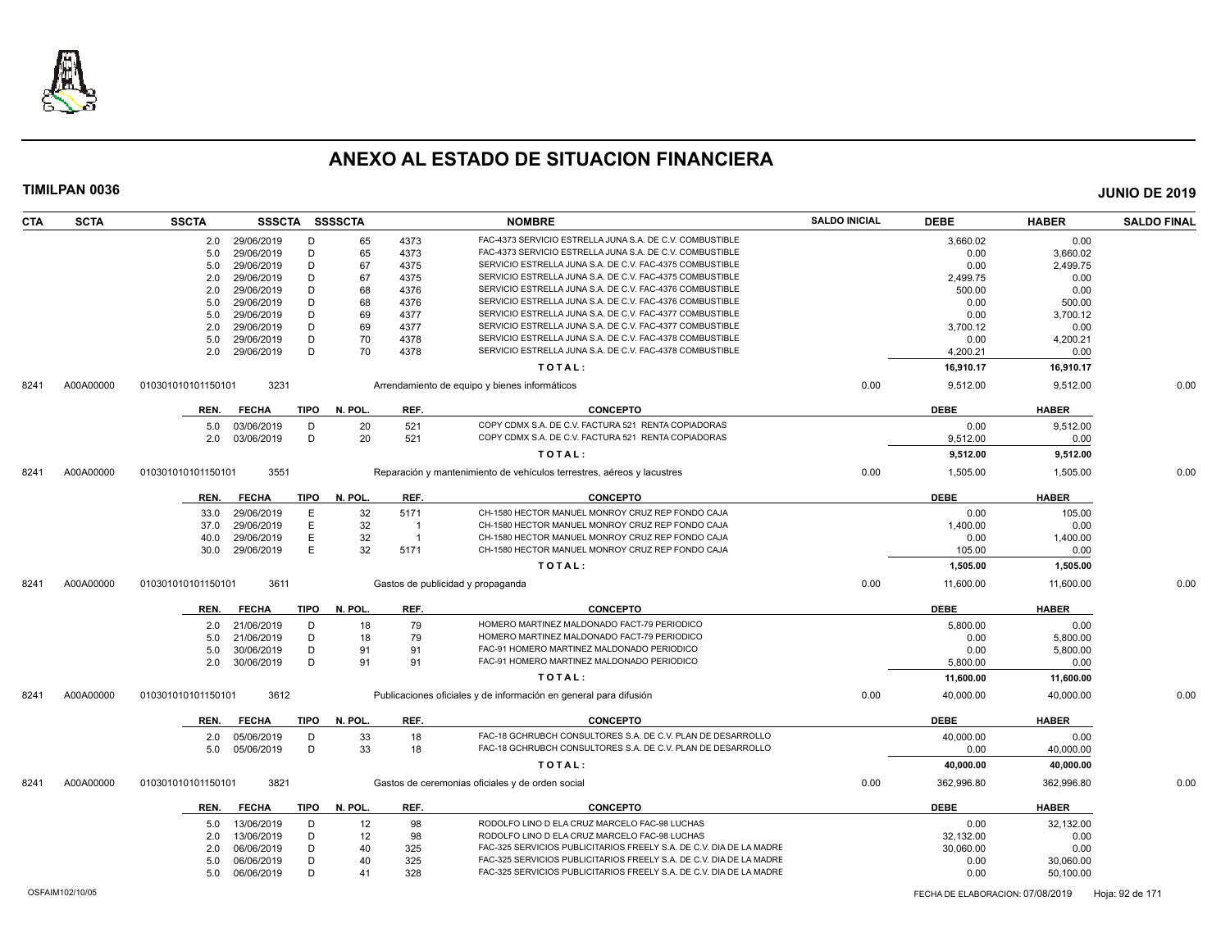

| <b>CTA</b> | <b>SCTA</b> | <b>SSCTA</b>       |                          |             | SSSCTA SSSSCTA |                | <b>NOMBRE</b>                                                          | <b>SALDO INICIAL</b> | <b>DEBE</b>       | <b>HABER</b> | <b>SALDO FINAL</b> |
|------------|-------------|--------------------|--------------------------|-------------|----------------|----------------|------------------------------------------------------------------------|----------------------|-------------------|--------------|--------------------|
|            |             | 2.0                | 29/06/2019               | Ð           | 65             | 4373           | FAC-4373 SERVICIO ESTRELLA JUNA S.A. DE C.V. COMBUSTIBLE               |                      | 3,660.02          | 0.00         |                    |
|            |             | 5.0                | 29/06/2019               | D           | 65             | 4373           | FAC-4373 SERVICIO ESTRELLA JUNA S.A. DE C.V. COMBUSTIBLE               |                      | 0.00              | 3.660.02     |                    |
|            |             | 5.0                | 29/06/2019               | D           | 67             | 4375           | SERVICIO ESTRELLA JUNA S.A. DE C.V. FAC-4375 COMBUSTIBLE               |                      | 0.00              | 2,499.75     |                    |
|            |             | 2.0                | 29/06/2019               | D           | 67             | 4375           | SERVICIO ESTRELLA JUNA S.A. DE C.V. FAC-4375 COMBUSTIBLE               |                      | 2,499.75          | 0.00         |                    |
|            |             | 2.0                | 29/06/2019               | D           | 68             | 4376           | SERVICIO ESTRELLA JUNA S.A. DE C.V. FAC-4376 COMBUSTIBLE               |                      | 500.00            | 0.00         |                    |
|            |             | 5.0                | 29/06/2019               | D           | 68             | 4376           | SERVICIO ESTRELLA JUNA S.A. DE C.V. FAC-4376 COMBUSTIBLE               |                      | 0.00              | 500.00       |                    |
|            |             | 5.0                | 29/06/2019               | D           | 69             | 4377           | SERVICIO ESTRELLA JUNA S.A. DE C.V. FAC-4377 COMBUSTIBLE               |                      | 0.00              | 3,700.12     |                    |
|            |             | 2.0                | 29/06/2019               | D           | 69             | 4377           | SERVICIO ESTRELLA JUNA S.A. DE C.V. FAC-4377 COMBUSTIBLE               |                      | 3,700.12          | 0.00         |                    |
|            |             | 5.0                | 29/06/2019               | D           | 70             | 4378           | SERVICIO ESTRELLA JUNA S.A. DE C.V. FAC-4378 COMBUSTIBLE               |                      | 0.00              | 4,200.21     |                    |
|            |             | 2.0                | 29/06/2019               | D           | 70             | 4378           | SERVICIO ESTRELLA JUNA S.A. DE C.V. FAC-4378 COMBUSTIBLE               |                      | 4,200.21          | 0.00         |                    |
|            |             |                    |                          |             |                |                | TOTAL:                                                                 |                      | 16,910.17         | 16,910.17    |                    |
| 8241       | A00A00000   | 010301010101150101 | 3231                     |             |                |                | Arrendamiento de equipo y bienes informáticos                          | 0.00                 | 9,512.00          | 9,512.00     | 0.00               |
|            |             |                    |                          |             |                |                |                                                                        |                      |                   |              |                    |
|            |             | REN.               | <b>FECHA</b>             | TIPO        | N. POL.        | REF.           | <b>CONCEPTO</b>                                                        |                      | <b>DEBE</b>       | <b>HABER</b> |                    |
|            |             | 5.0                | 03/06/2019               | D           | 20             | 521            | COPY CDMX S.A. DE C.V. FACTURA 521 RENTA COPIADORAS                    |                      | 0.00              | 9,512.00     |                    |
|            |             | 2.0                | 03/06/2019               | D           | 20             | 521            | COPY CDMX S.A. DE C.V. FACTURA 521 RENTA COPIADORAS                    |                      | 9,512.00          | 0.00         |                    |
|            |             |                    |                          |             |                |                | TOTAL:                                                                 |                      | 9,512.00          | 9,512.00     |                    |
| 8241       | A00A00000   | 010301010101150101 | 3551                     |             |                |                | Reparación y mantenimiento de vehículos terrestres, aéreos y lacustres | 0.00                 | 1,505.00          | 1,505.00     | 0.00               |
|            |             | REN.               | <b>FECHA</b>             | <b>TIPO</b> | N. POL.        | REF.           | <b>CONCEPTO</b>                                                        |                      | <b>DEBE</b>       | <b>HABER</b> |                    |
|            |             | 33.0               | 29/06/2019               | Ε           | 32             | 5171           | CH-1580 HECTOR MANUEL MONROY CRUZ REP FONDO CAJA                       |                      | 0.00              | 105.00       |                    |
|            |             | 37.0               | 29/06/2019               | Ε           | 32             | $\overline{1}$ | CH-1580 HECTOR MANUEL MONROY CRUZ REP FONDO CAJA                       |                      | 1,400.00          | 0.00         |                    |
|            |             | 40.0               | 29/06/2019               | E           | 32             | $\overline{1}$ | CH-1580 HECTOR MANUEL MONROY CRUZ REP FONDO CAJA                       |                      | 0.00              | 1,400.00     |                    |
|            |             | 30.0               | 29/06/2019               | E           | 32             | 5171           | CH-1580 HECTOR MANUEL MONROY CRUZ REP FONDO CAJA                       |                      | 105.00            | 0.00         |                    |
|            |             |                    |                          |             |                |                | TOTAL:                                                                 |                      | 1,505.00          | 1,505.00     |                    |
|            |             |                    |                          |             |                |                |                                                                        |                      |                   |              | 0.00               |
| 8241       | A00A00000   | 010301010101150101 | 3611                     |             |                |                | Gastos de publicidad y propaganda                                      | 0.00                 | 11,600.00         | 11,600.00    |                    |
|            |             | REN.               | <b>FECHA</b>             | <b>TIPO</b> | N. POL.        | REF.           | <b>CONCEPTO</b>                                                        |                      | <b>DEBE</b>       | <b>HABER</b> |                    |
|            |             | 2.0                | 21/06/2019               | D           | 18             | 79             | HOMERO MARTINEZ MALDONADO FACT-79 PERIODICO                            |                      | 5,800.00          | 0.00         |                    |
|            |             | 5.0                | 21/06/2019               | D           | 18             | 79             | HOMERO MARTINEZ MALDONADO FACT-79 PERIODICO                            |                      | 0.00              | 5,800.00     |                    |
|            |             | 5.0                | 30/06/2019               | D           | 91             | 91             | FAC-91 HOMERO MARTINEZ MALDONADO PERIODICO                             |                      | 0.00              | 5,800.00     |                    |
|            |             | 2.0                | 30/06/2019               | D           | 91             | 91             | FAC-91 HOMERO MARTINEZ MALDONADO PERIODICO                             |                      | 5,800.00          | 0.00         |                    |
|            |             |                    |                          |             |                |                | TOTAL:                                                                 |                      | 11,600.00         | 11,600.00    |                    |
| 8241       | A00A00000   | 010301010101150101 | 3612                     |             |                |                | Publicaciones oficiales y de información en general para difusión      | 0.00                 | 40,000.00         | 40,000.00    | 0.00               |
|            |             | REN.               | <b>FECHA</b>             | <b>TIPO</b> | N. POL.        | REF.           | <b>CONCEPTO</b>                                                        |                      | <b>DEBE</b>       | <b>HABER</b> |                    |
|            |             |                    |                          | D           |                | 18             | FAC-18 GCHRUBCH CONSULTORES S.A. DE C.V. PLAN DE DESARROLLO            |                      |                   | 0.00         |                    |
|            |             | 2.0<br>5.0         | 05/06/2019<br>05/06/2019 | D           | 33<br>33       | 18             | FAC-18 GCHRUBCH CONSULTORES S.A. DE C.V. PLAN DE DESARROLLO            |                      | 40,000.00<br>0.00 | 40,000.00    |                    |
|            |             |                    |                          |             |                |                | TOTAL:                                                                 |                      | 40,000.00         | 40,000.00    |                    |
| 8241       | A00A00000   | 010301010101150101 | 3821                     |             |                |                | Gastos de ceremonias oficiales y de orden social                       | 0.00                 | 362,996.80        | 362,996.80   | 0.00               |
|            |             | REN.               | <b>FECHA</b>             | <b>TIPO</b> | N. POL.        | REF.           | <b>CONCEPTO</b>                                                        |                      | <b>DEBE</b>       | <b>HABER</b> |                    |
|            |             |                    | 13/06/2019               | D           | 12             | 98             | RODOLFO LINO D ELA CRUZ MARCELO FAC-98 LUCHAS                          |                      | 0.00              | 32,132.00    |                    |
|            |             | 5.0                |                          | D           |                |                | RODOLFO LINO D ELA CRUZ MARCELO FAC-98 LUCHAS                          |                      |                   |              |                    |
|            |             | 2.0                | 13/06/2019               |             | 12             | 98             |                                                                        |                      | 32,132.00         | 0.00         |                    |
|            |             | 2.0                | 06/06/2019               | D           | 40             | 325            | FAC-325 SERVICIOS PUBLICITARIOS FREELY S.A. DE C.V. DIA DE LA MADRE    |                      | 30,060.00         | 0.00         |                    |
|            |             | 5.0                | 06/06/2019               | D           | 40             | 325            | FAC-325 SERVICIOS PUBLICITARIOS FREELY S.A. DE C.V. DIA DE LA MADRE    |                      | 0.00              | 30,060.00    |                    |
|            |             | 5.0                | 06/06/2019               | D           | 41             | 328            | FAC-325 SERVICIOS PUBLICITARIOS FREELY S.A. DE C.V. DIA DE LA MADRE    |                      | 0.00              | 50,100.00    |                    |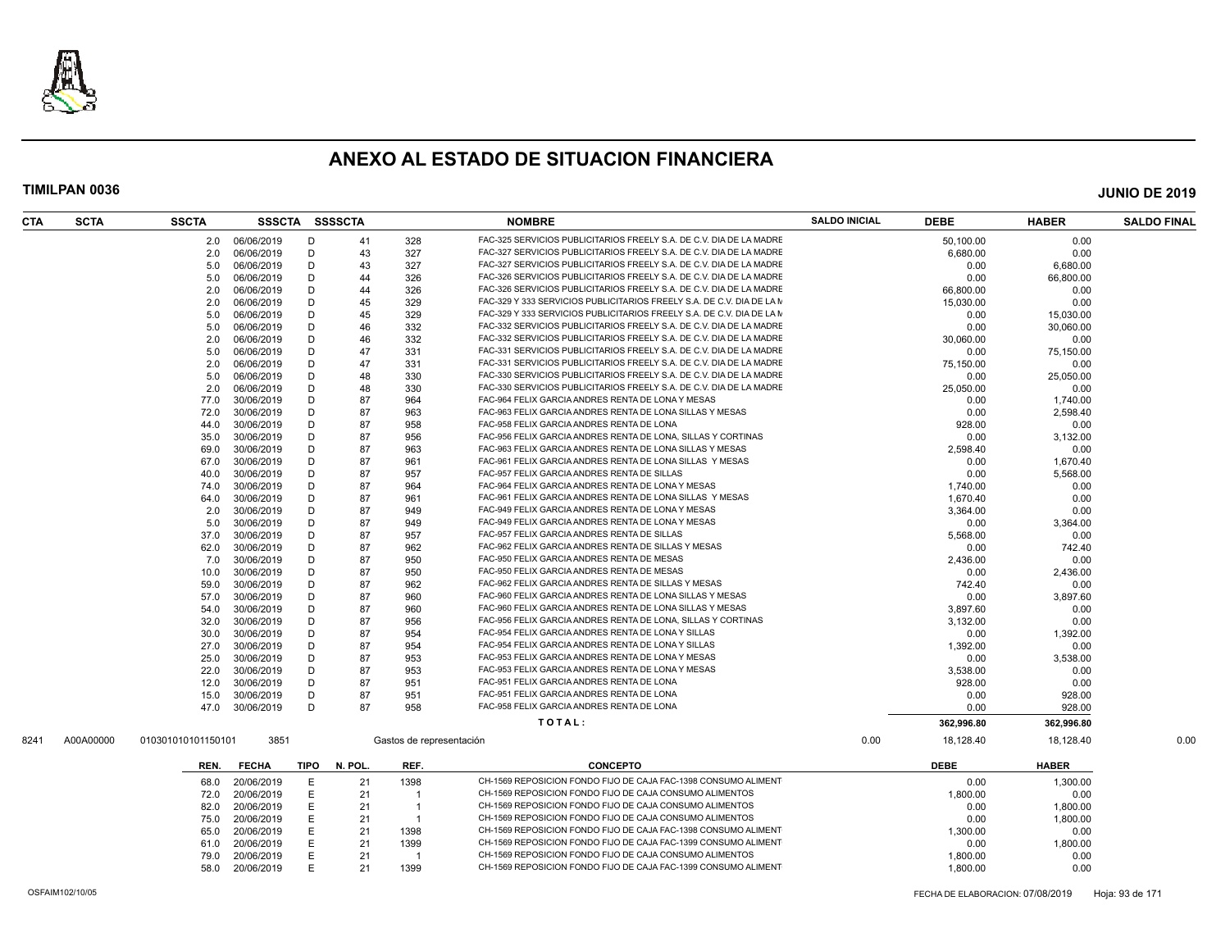

| 06/06/2019<br>328<br>FAC-325 SERVICIOS PUBLICITARIOS FREELY S.A. DE C.V. DIA DE LA MADRE<br>50.100.00<br>0.00<br>2.0<br>D<br>41<br>06/06/2019<br>D<br>43<br>327<br>FAC-327 SERVICIOS PUBLICITARIOS FREELY S.A. DE C.V. DIA DE LA MADRE<br>0.00<br>2.0<br>6,680.00<br>43<br>327<br>FAC-327 SERVICIOS PUBLICITARIOS FREELY S.A. DE C.V. DIA DE LA MADRE<br>06/06/2019<br>D<br>6,680.00<br>5.0<br>0.00<br>326<br>FAC-326 SERVICIOS PUBLICITARIOS FREELY S.A. DE C.V. DIA DE LA MADRE<br>5.0<br>06/06/2019<br>D<br>44<br>0.00<br>66,800.00<br>FAC-326 SERVICIOS PUBLICITARIOS FREELY S.A. DE C.V. DIA DE LA MADRE<br>06/06/2019<br>D<br>44<br>326<br>2.0<br>66,800.00<br>0.00<br>FAC-329 Y 333 SERVICIOS PUBLICITARIOS FREELY S.A. DE C.V. DIA DE LA M<br>06/06/2019<br>D<br>45<br>329<br>2.0<br>15,030.00<br>0.00<br>FAC-329 Y 333 SERVICIOS PUBLICITARIOS FREELY S.A. DE C.V. DIA DE LA M<br>06/06/2019<br>D<br>45<br>329<br>5.0<br>0.00<br>15,030.00<br>FAC-332 SERVICIOS PUBLICITARIOS FREELY S.A. DE C.V. DIA DE LA MADRE<br>06/06/2019<br>D<br>46<br>332<br>5.0<br>0.00<br>30.060.00<br>46<br>332<br>FAC-332 SERVICIOS PUBLICITARIOS FREELY S.A. DE C.V. DIA DE LA MADRE<br>2.0<br>06/06/2019<br>D<br>30,060.00<br>0.00<br>FAC-331 SERVICIOS PUBLICITARIOS FREELY S.A. DE C.V. DIA DE LA MADRE<br>06/06/2019<br>D<br>47<br>331<br>5.0<br>0.00<br>75,150.00<br>47<br>FAC-331 SERVICIOS PUBLICITARIOS FREELY S.A. DE C.V. DIA DE LA MADRE<br>2.0<br>06/06/2019<br>D<br>331<br>75.150.00<br>0.00<br>48<br>FAC-330 SERVICIOS PUBLICITARIOS FREELY S.A. DE C.V. DIA DE LA MADRE<br>5.0<br>06/06/2019<br>D<br>330<br>0.00<br>25,050.00<br>06/06/2019<br>D<br>48<br>330<br>FAC-330 SERVICIOS PUBLICITARIOS FREELY S.A. DE C.V. DIA DE LA MADRE<br>2.0<br>25.050.00<br>0.00<br>87<br>30/06/2019<br>D<br>964<br>FAC-964 FELIX GARCIA ANDRES RENTA DE LONA Y MESAS<br>77.0<br>0.00<br>1,740.00<br>30/06/2019<br>D<br>87<br>963<br>FAC-963 FELIX GARCIA ANDRES RENTA DE LONA SILLAS Y MESAS<br>0.00<br>2,598.40<br>72.0<br>30/06/2019<br>D<br>87<br>958<br>FAC-958 FELIX GARCIA ANDRES RENTA DE LONA<br>928.00<br>0.00<br>44.0<br>30/06/2019<br>87<br>956<br>FAC-956 FELIX GARCIA ANDRES RENTA DE LONA, SILLAS Y CORTINAS<br>3,132.00<br>35.0<br>Ð<br>0.00<br>30/06/2019<br>D<br>87<br>963<br>FAC-963 FELIX GARCIA ANDRES RENTA DE LONA SILLAS Y MESAS<br>69.0<br>2,598.40<br>0.00<br>30/06/2019<br>D<br>87<br>961<br>FAC-961 FELIX GARCIA ANDRES RENTA DE LONA SILLAS Y MESAS<br>0.00<br>67.0<br>1,670.40<br>FAC-957 FELIX GARCIA ANDRES RENTA DE SILLAS<br>30/06/2019<br>D<br>87<br>957<br>0.00<br>5,568.00<br>40.0<br>FAC-964 FELIX GARCIA ANDRES RENTA DE LONA Y MESAS<br>87<br>964<br>30/06/2019<br>D<br>74.0<br>1,740.00<br>0.00<br>FAC-961 FELIX GARCIA ANDRES RENTA DE LONA SILLAS Y MESAS<br>30/06/2019<br>D<br>87<br>961<br>0.00<br>64.0<br>1,670.40<br>FAC-949 FELIX GARCIA ANDRES RENTA DE LONA Y MESAS<br>30/06/2019<br>D<br>87<br>949<br>2.0<br>3,364.00<br>0.00<br>FAC-949 FELIX GARCIA ANDRES RENTA DE LONA Y MESAS<br>30/06/2019<br>D<br>87<br>5.0<br>949<br>0.00<br>3,364.00<br>87<br>957<br>FAC-957 FELIX GARCIA ANDRES RENTA DE SILLAS<br>37.0<br>30/06/2019<br>D<br>5,568.00<br>0.00<br>87<br>962<br>FAC-962 FELIX GARCIA ANDRES RENTA DE SILLAS Y MESAS<br>30/06/2019<br>D<br>742.40<br>62.0<br>0.00<br>D<br>87<br>950<br>FAC-950 FELIX GARCIA ANDRES RENTA DE MESAS<br>7.0<br>30/06/2019<br>2,436.00<br>0.00<br>FAC-950 FELIX GARCIA ANDRES RENTA DE MESAS<br>10.0<br>30/06/2019<br>D<br>87<br>950<br>0.00<br>2,436.00<br>30/06/2019<br>D<br>87<br>962<br>FAC-962 FELIX GARCIA ANDRES RENTA DE SILLAS Y MESAS<br>59.0<br>742.40<br>0.00<br>30/06/2019<br>D<br>87<br>960<br>FAC-960 FELIX GARCIA ANDRES RENTA DE LONA SILLAS Y MESAS<br>0.00<br>3,897.60<br>57.0<br>30/06/2019<br>D<br>87<br>960<br>FAC-960 FELIX GARCIA ANDRES RENTA DE LONA SILLAS Y MESAS<br>3,897.60<br>0.00<br>54.0<br>87<br>30/06/2019<br>D<br>956<br>FAC-956 FELIX GARCIA ANDRES RENTA DE LONA, SILLAS Y CORTINAS<br>3,132.00<br>0.00<br>32.0<br>30/06/2019<br>D<br>87<br>954<br>FAC-954 FELIX GARCIA ANDRES RENTA DE LONA Y SILLAS<br>30.0<br>0.00<br>1,392.00<br>30/06/2019<br>D<br>87<br>954<br>FAC-954 FELIX GARCIA ANDRES RENTA DE LONA Y SILLAS<br>1,392.00<br>0.00<br>27.0<br>87<br>FAC-953 FELIX GARCIA ANDRES RENTA DE LONA Y MESAS<br>30/06/2019<br>D<br>953<br>3,538.00<br>25.0<br>0.00<br>FAC-953 FELIX GARCIA ANDRES RENTA DE LONA Y MESAS<br>30/06/2019<br>D<br>87<br>953<br>3,538.00<br>0.00<br>22.0<br>FAC-951 FELIX GARCIA ANDRES RENTA DE LONA<br>87<br>951<br>12.0<br>30/06/2019<br>D<br>928.00<br>0.00<br>FAC-951 FELIX GARCIA ANDRES RENTA DE LONA<br>30/06/2019<br>D<br>87<br>951<br>928.00<br>15.0<br>0.00<br>FAC-958 FELIX GARCIA ANDRES RENTA DE LONA<br>30/06/2019<br>D<br>87<br>958<br>47.0<br>0.00<br>928.00<br>TOTAL:<br>362,996.80<br>362,996.80<br>A00A00000<br>3851<br>0.00<br>18,128.40<br>18,128.40<br>010301010101150101<br>Gastos de representación<br><b>DEBE</b><br><b>FECHA</b><br><b>TIPO</b><br>N. POL<br>REF.<br><b>CONCEPTO</b><br><b>HABER</b><br>REN.<br>20/06/2019<br>Е<br>21<br>1398<br>CH-1569 REPOSICION FONDO FIJO DE CAJA FAC-1398 CONSUMO ALIMENT<br>0.00<br>1,300.00<br>68.0<br>CH-1569 REPOSICION FONDO FIJO DE CAJA CONSUMO ALIMENTOS<br>20/06/2019<br>E<br>21<br>1,800.00<br>0.00<br>72.0<br>-1<br>CH-1569 REPOSICION FONDO FIJO DE CAJA CONSUMO ALIMENTOS<br>20/06/2019<br>Ε<br>21<br>82.0<br>-1<br>0.00<br>1,800.00<br>CH-1569 REPOSICION FONDO FIJO DE CAJA CONSUMO ALIMENTOS<br>20/06/2019<br>Е<br>0.00<br>1,800.00<br>75.0<br>21<br>$\overline{1}$<br>CH-1569 REPOSICION FONDO FIJO DE CAJA FAC-1398 CONSUMO ALIMENT<br>20/06/2019<br>Е<br>21<br>1398<br>1,300.00<br>65.0<br>0.00<br>Е<br>CH-1569 REPOSICION FONDO FIJO DE CAJA FAC-1399 CONSUMO ALIMENT<br>20/06/2019<br>21<br>1399<br>0.00<br>1,800.00<br>61.0<br>CH-1569 REPOSICION FONDO FIJO DE CAJA CONSUMO ALIMENTOS<br>0.00<br>20/06/2019<br>Е<br>21<br>1,800.00<br>79.0<br>-1<br>20/06/2019<br>Е<br>1399<br>CH-1569 REPOSICION FONDO FIJO DE CAJA FAC-1399 CONSUMO ALIMENT<br>58.0<br>21<br>1.800.00<br>0.00<br>FECHA DE ELABORACION: 07/08/2019<br>Hoja: 93 de 171 | <b>SCTA</b><br><b>CTA</b> | <b>SSCTA</b> | SSSCTA | <b>SSSSCTA</b> | <b>NOMBRE</b> | <b>SALDO INICIAL</b> | <b>DEBE</b> | <b>HABER</b> | <b>SALDO FINAL</b> |
|-------------------------------------------------------------------------------------------------------------------------------------------------------------------------------------------------------------------------------------------------------------------------------------------------------------------------------------------------------------------------------------------------------------------------------------------------------------------------------------------------------------------------------------------------------------------------------------------------------------------------------------------------------------------------------------------------------------------------------------------------------------------------------------------------------------------------------------------------------------------------------------------------------------------------------------------------------------------------------------------------------------------------------------------------------------------------------------------------------------------------------------------------------------------------------------------------------------------------------------------------------------------------------------------------------------------------------------------------------------------------------------------------------------------------------------------------------------------------------------------------------------------------------------------------------------------------------------------------------------------------------------------------------------------------------------------------------------------------------------------------------------------------------------------------------------------------------------------------------------------------------------------------------------------------------------------------------------------------------------------------------------------------------------------------------------------------------------------------------------------------------------------------------------------------------------------------------------------------------------------------------------------------------------------------------------------------------------------------------------------------------------------------------------------------------------------------------------------------------------------------------------------------------------------------------------------------------------------------------------------------------------------------------------------------------------------------------------------------------------------------------------------------------------------------------------------------------------------------------------------------------------------------------------------------------------------------------------------------------------------------------------------------------------------------------------------------------------------------------------------------------------------------------------------------------------------------------------------------------------------------------------------------------------------------------------------------------------------------------------------------------------------------------------------------------------------------------------------------------------------------------------------------------------------------------------------------------------------------------------------------------------------------------------------------------------------------------------------------------------------------------------------------------------------------------------------------------------------------------------------------------------------------------------------------------------------------------------------------------------------------------------------------------------------------------------------------------------------------------------------------------------------------------------------------------------------------------------------------------------------------------------------------------------------------------------------------------------------------------------------------------------------------------------------------------------------------------------------------------------------------------------------------------------------------------------------------------------------------------------------------------------------------------------------------------------------------------------------------------------------------------------------------------------------------------------------------------------------------------------------------------------------------------------------------------------------------------------------------------------------------------------------------------------------------------------------------------------------------------------------------------------------------------------------------------------------------------------------------------------------------------------------------------------------------------------------------------------------------------------------------------------------------------------------------------------------------------------------------------------------------------------------------------------------------------------------------------------------------------------------------------------------------------------------------------------------------------------------------------------------------------------------------------------------------------------------------------------------------------------------------------------------------------------------------------------------------------------------------------------------------------------------------------------------------------------------------------------------------------------------------------------------------------------------------------|---------------------------|--------------|--------|----------------|---------------|----------------------|-------------|--------------|--------------------|
|                                                                                                                                                                                                                                                                                                                                                                                                                                                                                                                                                                                                                                                                                                                                                                                                                                                                                                                                                                                                                                                                                                                                                                                                                                                                                                                                                                                                                                                                                                                                                                                                                                                                                                                                                                                                                                                                                                                                                                                                                                                                                                                                                                                                                                                                                                                                                                                                                                                                                                                                                                                                                                                                                                                                                                                                                                                                                                                                                                                                                                                                                                                                                                                                                                                                                                                                                                                                                                                                                                                                                                                                                                                                                                                                                                                                                                                                                                                                                                                                                                                                                                                                                                                                                                                                                                                                                                                                                                                                                                                                                                                                                                                                                                                                                                                                                                                                                                                                                                                                                                                                                                                                                                                                                                                                                                                                                                                                                                                                                                                                                                                                                                                                                                                                                                                                                                                                                                                                                                                                                                                                                                                                                                               |                           |              |        |                |               |                      |             |              |                    |
|                                                                                                                                                                                                                                                                                                                                                                                                                                                                                                                                                                                                                                                                                                                                                                                                                                                                                                                                                                                                                                                                                                                                                                                                                                                                                                                                                                                                                                                                                                                                                                                                                                                                                                                                                                                                                                                                                                                                                                                                                                                                                                                                                                                                                                                                                                                                                                                                                                                                                                                                                                                                                                                                                                                                                                                                                                                                                                                                                                                                                                                                                                                                                                                                                                                                                                                                                                                                                                                                                                                                                                                                                                                                                                                                                                                                                                                                                                                                                                                                                                                                                                                                                                                                                                                                                                                                                                                                                                                                                                                                                                                                                                                                                                                                                                                                                                                                                                                                                                                                                                                                                                                                                                                                                                                                                                                                                                                                                                                                                                                                                                                                                                                                                                                                                                                                                                                                                                                                                                                                                                                                                                                                                                               |                           |              |        |                |               |                      |             |              |                    |
|                                                                                                                                                                                                                                                                                                                                                                                                                                                                                                                                                                                                                                                                                                                                                                                                                                                                                                                                                                                                                                                                                                                                                                                                                                                                                                                                                                                                                                                                                                                                                                                                                                                                                                                                                                                                                                                                                                                                                                                                                                                                                                                                                                                                                                                                                                                                                                                                                                                                                                                                                                                                                                                                                                                                                                                                                                                                                                                                                                                                                                                                                                                                                                                                                                                                                                                                                                                                                                                                                                                                                                                                                                                                                                                                                                                                                                                                                                                                                                                                                                                                                                                                                                                                                                                                                                                                                                                                                                                                                                                                                                                                                                                                                                                                                                                                                                                                                                                                                                                                                                                                                                                                                                                                                                                                                                                                                                                                                                                                                                                                                                                                                                                                                                                                                                                                                                                                                                                                                                                                                                                                                                                                                                               |                           |              |        |                |               |                      |             |              |                    |
|                                                                                                                                                                                                                                                                                                                                                                                                                                                                                                                                                                                                                                                                                                                                                                                                                                                                                                                                                                                                                                                                                                                                                                                                                                                                                                                                                                                                                                                                                                                                                                                                                                                                                                                                                                                                                                                                                                                                                                                                                                                                                                                                                                                                                                                                                                                                                                                                                                                                                                                                                                                                                                                                                                                                                                                                                                                                                                                                                                                                                                                                                                                                                                                                                                                                                                                                                                                                                                                                                                                                                                                                                                                                                                                                                                                                                                                                                                                                                                                                                                                                                                                                                                                                                                                                                                                                                                                                                                                                                                                                                                                                                                                                                                                                                                                                                                                                                                                                                                                                                                                                                                                                                                                                                                                                                                                                                                                                                                                                                                                                                                                                                                                                                                                                                                                                                                                                                                                                                                                                                                                                                                                                                                               |                           |              |        |                |               |                      |             |              |                    |
|                                                                                                                                                                                                                                                                                                                                                                                                                                                                                                                                                                                                                                                                                                                                                                                                                                                                                                                                                                                                                                                                                                                                                                                                                                                                                                                                                                                                                                                                                                                                                                                                                                                                                                                                                                                                                                                                                                                                                                                                                                                                                                                                                                                                                                                                                                                                                                                                                                                                                                                                                                                                                                                                                                                                                                                                                                                                                                                                                                                                                                                                                                                                                                                                                                                                                                                                                                                                                                                                                                                                                                                                                                                                                                                                                                                                                                                                                                                                                                                                                                                                                                                                                                                                                                                                                                                                                                                                                                                                                                                                                                                                                                                                                                                                                                                                                                                                                                                                                                                                                                                                                                                                                                                                                                                                                                                                                                                                                                                                                                                                                                                                                                                                                                                                                                                                                                                                                                                                                                                                                                                                                                                                                                               |                           |              |        |                |               |                      |             |              |                    |
|                                                                                                                                                                                                                                                                                                                                                                                                                                                                                                                                                                                                                                                                                                                                                                                                                                                                                                                                                                                                                                                                                                                                                                                                                                                                                                                                                                                                                                                                                                                                                                                                                                                                                                                                                                                                                                                                                                                                                                                                                                                                                                                                                                                                                                                                                                                                                                                                                                                                                                                                                                                                                                                                                                                                                                                                                                                                                                                                                                                                                                                                                                                                                                                                                                                                                                                                                                                                                                                                                                                                                                                                                                                                                                                                                                                                                                                                                                                                                                                                                                                                                                                                                                                                                                                                                                                                                                                                                                                                                                                                                                                                                                                                                                                                                                                                                                                                                                                                                                                                                                                                                                                                                                                                                                                                                                                                                                                                                                                                                                                                                                                                                                                                                                                                                                                                                                                                                                                                                                                                                                                                                                                                                                               |                           |              |        |                |               |                      |             |              |                    |
|                                                                                                                                                                                                                                                                                                                                                                                                                                                                                                                                                                                                                                                                                                                                                                                                                                                                                                                                                                                                                                                                                                                                                                                                                                                                                                                                                                                                                                                                                                                                                                                                                                                                                                                                                                                                                                                                                                                                                                                                                                                                                                                                                                                                                                                                                                                                                                                                                                                                                                                                                                                                                                                                                                                                                                                                                                                                                                                                                                                                                                                                                                                                                                                                                                                                                                                                                                                                                                                                                                                                                                                                                                                                                                                                                                                                                                                                                                                                                                                                                                                                                                                                                                                                                                                                                                                                                                                                                                                                                                                                                                                                                                                                                                                                                                                                                                                                                                                                                                                                                                                                                                                                                                                                                                                                                                                                                                                                                                                                                                                                                                                                                                                                                                                                                                                                                                                                                                                                                                                                                                                                                                                                                                               |                           |              |        |                |               |                      |             |              |                    |
|                                                                                                                                                                                                                                                                                                                                                                                                                                                                                                                                                                                                                                                                                                                                                                                                                                                                                                                                                                                                                                                                                                                                                                                                                                                                                                                                                                                                                                                                                                                                                                                                                                                                                                                                                                                                                                                                                                                                                                                                                                                                                                                                                                                                                                                                                                                                                                                                                                                                                                                                                                                                                                                                                                                                                                                                                                                                                                                                                                                                                                                                                                                                                                                                                                                                                                                                                                                                                                                                                                                                                                                                                                                                                                                                                                                                                                                                                                                                                                                                                                                                                                                                                                                                                                                                                                                                                                                                                                                                                                                                                                                                                                                                                                                                                                                                                                                                                                                                                                                                                                                                                                                                                                                                                                                                                                                                                                                                                                                                                                                                                                                                                                                                                                                                                                                                                                                                                                                                                                                                                                                                                                                                                                               |                           |              |        |                |               |                      |             |              |                    |
|                                                                                                                                                                                                                                                                                                                                                                                                                                                                                                                                                                                                                                                                                                                                                                                                                                                                                                                                                                                                                                                                                                                                                                                                                                                                                                                                                                                                                                                                                                                                                                                                                                                                                                                                                                                                                                                                                                                                                                                                                                                                                                                                                                                                                                                                                                                                                                                                                                                                                                                                                                                                                                                                                                                                                                                                                                                                                                                                                                                                                                                                                                                                                                                                                                                                                                                                                                                                                                                                                                                                                                                                                                                                                                                                                                                                                                                                                                                                                                                                                                                                                                                                                                                                                                                                                                                                                                                                                                                                                                                                                                                                                                                                                                                                                                                                                                                                                                                                                                                                                                                                                                                                                                                                                                                                                                                                                                                                                                                                                                                                                                                                                                                                                                                                                                                                                                                                                                                                                                                                                                                                                                                                                                               |                           |              |        |                |               |                      |             |              |                    |
|                                                                                                                                                                                                                                                                                                                                                                                                                                                                                                                                                                                                                                                                                                                                                                                                                                                                                                                                                                                                                                                                                                                                                                                                                                                                                                                                                                                                                                                                                                                                                                                                                                                                                                                                                                                                                                                                                                                                                                                                                                                                                                                                                                                                                                                                                                                                                                                                                                                                                                                                                                                                                                                                                                                                                                                                                                                                                                                                                                                                                                                                                                                                                                                                                                                                                                                                                                                                                                                                                                                                                                                                                                                                                                                                                                                                                                                                                                                                                                                                                                                                                                                                                                                                                                                                                                                                                                                                                                                                                                                                                                                                                                                                                                                                                                                                                                                                                                                                                                                                                                                                                                                                                                                                                                                                                                                                                                                                                                                                                                                                                                                                                                                                                                                                                                                                                                                                                                                                                                                                                                                                                                                                                                               |                           |              |        |                |               |                      |             |              |                    |
|                                                                                                                                                                                                                                                                                                                                                                                                                                                                                                                                                                                                                                                                                                                                                                                                                                                                                                                                                                                                                                                                                                                                                                                                                                                                                                                                                                                                                                                                                                                                                                                                                                                                                                                                                                                                                                                                                                                                                                                                                                                                                                                                                                                                                                                                                                                                                                                                                                                                                                                                                                                                                                                                                                                                                                                                                                                                                                                                                                                                                                                                                                                                                                                                                                                                                                                                                                                                                                                                                                                                                                                                                                                                                                                                                                                                                                                                                                                                                                                                                                                                                                                                                                                                                                                                                                                                                                                                                                                                                                                                                                                                                                                                                                                                                                                                                                                                                                                                                                                                                                                                                                                                                                                                                                                                                                                                                                                                                                                                                                                                                                                                                                                                                                                                                                                                                                                                                                                                                                                                                                                                                                                                                                               |                           |              |        |                |               |                      |             |              |                    |
|                                                                                                                                                                                                                                                                                                                                                                                                                                                                                                                                                                                                                                                                                                                                                                                                                                                                                                                                                                                                                                                                                                                                                                                                                                                                                                                                                                                                                                                                                                                                                                                                                                                                                                                                                                                                                                                                                                                                                                                                                                                                                                                                                                                                                                                                                                                                                                                                                                                                                                                                                                                                                                                                                                                                                                                                                                                                                                                                                                                                                                                                                                                                                                                                                                                                                                                                                                                                                                                                                                                                                                                                                                                                                                                                                                                                                                                                                                                                                                                                                                                                                                                                                                                                                                                                                                                                                                                                                                                                                                                                                                                                                                                                                                                                                                                                                                                                                                                                                                                                                                                                                                                                                                                                                                                                                                                                                                                                                                                                                                                                                                                                                                                                                                                                                                                                                                                                                                                                                                                                                                                                                                                                                                               |                           |              |        |                |               |                      |             |              |                    |
|                                                                                                                                                                                                                                                                                                                                                                                                                                                                                                                                                                                                                                                                                                                                                                                                                                                                                                                                                                                                                                                                                                                                                                                                                                                                                                                                                                                                                                                                                                                                                                                                                                                                                                                                                                                                                                                                                                                                                                                                                                                                                                                                                                                                                                                                                                                                                                                                                                                                                                                                                                                                                                                                                                                                                                                                                                                                                                                                                                                                                                                                                                                                                                                                                                                                                                                                                                                                                                                                                                                                                                                                                                                                                                                                                                                                                                                                                                                                                                                                                                                                                                                                                                                                                                                                                                                                                                                                                                                                                                                                                                                                                                                                                                                                                                                                                                                                                                                                                                                                                                                                                                                                                                                                                                                                                                                                                                                                                                                                                                                                                                                                                                                                                                                                                                                                                                                                                                                                                                                                                                                                                                                                                                               |                           |              |        |                |               |                      |             |              |                    |
|                                                                                                                                                                                                                                                                                                                                                                                                                                                                                                                                                                                                                                                                                                                                                                                                                                                                                                                                                                                                                                                                                                                                                                                                                                                                                                                                                                                                                                                                                                                                                                                                                                                                                                                                                                                                                                                                                                                                                                                                                                                                                                                                                                                                                                                                                                                                                                                                                                                                                                                                                                                                                                                                                                                                                                                                                                                                                                                                                                                                                                                                                                                                                                                                                                                                                                                                                                                                                                                                                                                                                                                                                                                                                                                                                                                                                                                                                                                                                                                                                                                                                                                                                                                                                                                                                                                                                                                                                                                                                                                                                                                                                                                                                                                                                                                                                                                                                                                                                                                                                                                                                                                                                                                                                                                                                                                                                                                                                                                                                                                                                                                                                                                                                                                                                                                                                                                                                                                                                                                                                                                                                                                                                                               |                           |              |        |                |               |                      |             |              |                    |
|                                                                                                                                                                                                                                                                                                                                                                                                                                                                                                                                                                                                                                                                                                                                                                                                                                                                                                                                                                                                                                                                                                                                                                                                                                                                                                                                                                                                                                                                                                                                                                                                                                                                                                                                                                                                                                                                                                                                                                                                                                                                                                                                                                                                                                                                                                                                                                                                                                                                                                                                                                                                                                                                                                                                                                                                                                                                                                                                                                                                                                                                                                                                                                                                                                                                                                                                                                                                                                                                                                                                                                                                                                                                                                                                                                                                                                                                                                                                                                                                                                                                                                                                                                                                                                                                                                                                                                                                                                                                                                                                                                                                                                                                                                                                                                                                                                                                                                                                                                                                                                                                                                                                                                                                                                                                                                                                                                                                                                                                                                                                                                                                                                                                                                                                                                                                                                                                                                                                                                                                                                                                                                                                                                               |                           |              |        |                |               |                      |             |              |                    |
|                                                                                                                                                                                                                                                                                                                                                                                                                                                                                                                                                                                                                                                                                                                                                                                                                                                                                                                                                                                                                                                                                                                                                                                                                                                                                                                                                                                                                                                                                                                                                                                                                                                                                                                                                                                                                                                                                                                                                                                                                                                                                                                                                                                                                                                                                                                                                                                                                                                                                                                                                                                                                                                                                                                                                                                                                                                                                                                                                                                                                                                                                                                                                                                                                                                                                                                                                                                                                                                                                                                                                                                                                                                                                                                                                                                                                                                                                                                                                                                                                                                                                                                                                                                                                                                                                                                                                                                                                                                                                                                                                                                                                                                                                                                                                                                                                                                                                                                                                                                                                                                                                                                                                                                                                                                                                                                                                                                                                                                                                                                                                                                                                                                                                                                                                                                                                                                                                                                                                                                                                                                                                                                                                                               |                           |              |        |                |               |                      |             |              |                    |
|                                                                                                                                                                                                                                                                                                                                                                                                                                                                                                                                                                                                                                                                                                                                                                                                                                                                                                                                                                                                                                                                                                                                                                                                                                                                                                                                                                                                                                                                                                                                                                                                                                                                                                                                                                                                                                                                                                                                                                                                                                                                                                                                                                                                                                                                                                                                                                                                                                                                                                                                                                                                                                                                                                                                                                                                                                                                                                                                                                                                                                                                                                                                                                                                                                                                                                                                                                                                                                                                                                                                                                                                                                                                                                                                                                                                                                                                                                                                                                                                                                                                                                                                                                                                                                                                                                                                                                                                                                                                                                                                                                                                                                                                                                                                                                                                                                                                                                                                                                                                                                                                                                                                                                                                                                                                                                                                                                                                                                                                                                                                                                                                                                                                                                                                                                                                                                                                                                                                                                                                                                                                                                                                                                               |                           |              |        |                |               |                      |             |              |                    |
|                                                                                                                                                                                                                                                                                                                                                                                                                                                                                                                                                                                                                                                                                                                                                                                                                                                                                                                                                                                                                                                                                                                                                                                                                                                                                                                                                                                                                                                                                                                                                                                                                                                                                                                                                                                                                                                                                                                                                                                                                                                                                                                                                                                                                                                                                                                                                                                                                                                                                                                                                                                                                                                                                                                                                                                                                                                                                                                                                                                                                                                                                                                                                                                                                                                                                                                                                                                                                                                                                                                                                                                                                                                                                                                                                                                                                                                                                                                                                                                                                                                                                                                                                                                                                                                                                                                                                                                                                                                                                                                                                                                                                                                                                                                                                                                                                                                                                                                                                                                                                                                                                                                                                                                                                                                                                                                                                                                                                                                                                                                                                                                                                                                                                                                                                                                                                                                                                                                                                                                                                                                                                                                                                                               |                           |              |        |                |               |                      |             |              |                    |
|                                                                                                                                                                                                                                                                                                                                                                                                                                                                                                                                                                                                                                                                                                                                                                                                                                                                                                                                                                                                                                                                                                                                                                                                                                                                                                                                                                                                                                                                                                                                                                                                                                                                                                                                                                                                                                                                                                                                                                                                                                                                                                                                                                                                                                                                                                                                                                                                                                                                                                                                                                                                                                                                                                                                                                                                                                                                                                                                                                                                                                                                                                                                                                                                                                                                                                                                                                                                                                                                                                                                                                                                                                                                                                                                                                                                                                                                                                                                                                                                                                                                                                                                                                                                                                                                                                                                                                                                                                                                                                                                                                                                                                                                                                                                                                                                                                                                                                                                                                                                                                                                                                                                                                                                                                                                                                                                                                                                                                                                                                                                                                                                                                                                                                                                                                                                                                                                                                                                                                                                                                                                                                                                                                               |                           |              |        |                |               |                      |             |              |                    |
|                                                                                                                                                                                                                                                                                                                                                                                                                                                                                                                                                                                                                                                                                                                                                                                                                                                                                                                                                                                                                                                                                                                                                                                                                                                                                                                                                                                                                                                                                                                                                                                                                                                                                                                                                                                                                                                                                                                                                                                                                                                                                                                                                                                                                                                                                                                                                                                                                                                                                                                                                                                                                                                                                                                                                                                                                                                                                                                                                                                                                                                                                                                                                                                                                                                                                                                                                                                                                                                                                                                                                                                                                                                                                                                                                                                                                                                                                                                                                                                                                                                                                                                                                                                                                                                                                                                                                                                                                                                                                                                                                                                                                                                                                                                                                                                                                                                                                                                                                                                                                                                                                                                                                                                                                                                                                                                                                                                                                                                                                                                                                                                                                                                                                                                                                                                                                                                                                                                                                                                                                                                                                                                                                                               |                           |              |        |                |               |                      |             |              |                    |
|                                                                                                                                                                                                                                                                                                                                                                                                                                                                                                                                                                                                                                                                                                                                                                                                                                                                                                                                                                                                                                                                                                                                                                                                                                                                                                                                                                                                                                                                                                                                                                                                                                                                                                                                                                                                                                                                                                                                                                                                                                                                                                                                                                                                                                                                                                                                                                                                                                                                                                                                                                                                                                                                                                                                                                                                                                                                                                                                                                                                                                                                                                                                                                                                                                                                                                                                                                                                                                                                                                                                                                                                                                                                                                                                                                                                                                                                                                                                                                                                                                                                                                                                                                                                                                                                                                                                                                                                                                                                                                                                                                                                                                                                                                                                                                                                                                                                                                                                                                                                                                                                                                                                                                                                                                                                                                                                                                                                                                                                                                                                                                                                                                                                                                                                                                                                                                                                                                                                                                                                                                                                                                                                                                               |                           |              |        |                |               |                      |             |              |                    |
|                                                                                                                                                                                                                                                                                                                                                                                                                                                                                                                                                                                                                                                                                                                                                                                                                                                                                                                                                                                                                                                                                                                                                                                                                                                                                                                                                                                                                                                                                                                                                                                                                                                                                                                                                                                                                                                                                                                                                                                                                                                                                                                                                                                                                                                                                                                                                                                                                                                                                                                                                                                                                                                                                                                                                                                                                                                                                                                                                                                                                                                                                                                                                                                                                                                                                                                                                                                                                                                                                                                                                                                                                                                                                                                                                                                                                                                                                                                                                                                                                                                                                                                                                                                                                                                                                                                                                                                                                                                                                                                                                                                                                                                                                                                                                                                                                                                                                                                                                                                                                                                                                                                                                                                                                                                                                                                                                                                                                                                                                                                                                                                                                                                                                                                                                                                                                                                                                                                                                                                                                                                                                                                                                                               |                           |              |        |                |               |                      |             |              |                    |
|                                                                                                                                                                                                                                                                                                                                                                                                                                                                                                                                                                                                                                                                                                                                                                                                                                                                                                                                                                                                                                                                                                                                                                                                                                                                                                                                                                                                                                                                                                                                                                                                                                                                                                                                                                                                                                                                                                                                                                                                                                                                                                                                                                                                                                                                                                                                                                                                                                                                                                                                                                                                                                                                                                                                                                                                                                                                                                                                                                                                                                                                                                                                                                                                                                                                                                                                                                                                                                                                                                                                                                                                                                                                                                                                                                                                                                                                                                                                                                                                                                                                                                                                                                                                                                                                                                                                                                                                                                                                                                                                                                                                                                                                                                                                                                                                                                                                                                                                                                                                                                                                                                                                                                                                                                                                                                                                                                                                                                                                                                                                                                                                                                                                                                                                                                                                                                                                                                                                                                                                                                                                                                                                                                               |                           |              |        |                |               |                      |             |              |                    |
|                                                                                                                                                                                                                                                                                                                                                                                                                                                                                                                                                                                                                                                                                                                                                                                                                                                                                                                                                                                                                                                                                                                                                                                                                                                                                                                                                                                                                                                                                                                                                                                                                                                                                                                                                                                                                                                                                                                                                                                                                                                                                                                                                                                                                                                                                                                                                                                                                                                                                                                                                                                                                                                                                                                                                                                                                                                                                                                                                                                                                                                                                                                                                                                                                                                                                                                                                                                                                                                                                                                                                                                                                                                                                                                                                                                                                                                                                                                                                                                                                                                                                                                                                                                                                                                                                                                                                                                                                                                                                                                                                                                                                                                                                                                                                                                                                                                                                                                                                                                                                                                                                                                                                                                                                                                                                                                                                                                                                                                                                                                                                                                                                                                                                                                                                                                                                                                                                                                                                                                                                                                                                                                                                                               |                           |              |        |                |               |                      |             |              |                    |
|                                                                                                                                                                                                                                                                                                                                                                                                                                                                                                                                                                                                                                                                                                                                                                                                                                                                                                                                                                                                                                                                                                                                                                                                                                                                                                                                                                                                                                                                                                                                                                                                                                                                                                                                                                                                                                                                                                                                                                                                                                                                                                                                                                                                                                                                                                                                                                                                                                                                                                                                                                                                                                                                                                                                                                                                                                                                                                                                                                                                                                                                                                                                                                                                                                                                                                                                                                                                                                                                                                                                                                                                                                                                                                                                                                                                                                                                                                                                                                                                                                                                                                                                                                                                                                                                                                                                                                                                                                                                                                                                                                                                                                                                                                                                                                                                                                                                                                                                                                                                                                                                                                                                                                                                                                                                                                                                                                                                                                                                                                                                                                                                                                                                                                                                                                                                                                                                                                                                                                                                                                                                                                                                                                               |                           |              |        |                |               |                      |             |              |                    |
|                                                                                                                                                                                                                                                                                                                                                                                                                                                                                                                                                                                                                                                                                                                                                                                                                                                                                                                                                                                                                                                                                                                                                                                                                                                                                                                                                                                                                                                                                                                                                                                                                                                                                                                                                                                                                                                                                                                                                                                                                                                                                                                                                                                                                                                                                                                                                                                                                                                                                                                                                                                                                                                                                                                                                                                                                                                                                                                                                                                                                                                                                                                                                                                                                                                                                                                                                                                                                                                                                                                                                                                                                                                                                                                                                                                                                                                                                                                                                                                                                                                                                                                                                                                                                                                                                                                                                                                                                                                                                                                                                                                                                                                                                                                                                                                                                                                                                                                                                                                                                                                                                                                                                                                                                                                                                                                                                                                                                                                                                                                                                                                                                                                                                                                                                                                                                                                                                                                                                                                                                                                                                                                                                                               |                           |              |        |                |               |                      |             |              |                    |
|                                                                                                                                                                                                                                                                                                                                                                                                                                                                                                                                                                                                                                                                                                                                                                                                                                                                                                                                                                                                                                                                                                                                                                                                                                                                                                                                                                                                                                                                                                                                                                                                                                                                                                                                                                                                                                                                                                                                                                                                                                                                                                                                                                                                                                                                                                                                                                                                                                                                                                                                                                                                                                                                                                                                                                                                                                                                                                                                                                                                                                                                                                                                                                                                                                                                                                                                                                                                                                                                                                                                                                                                                                                                                                                                                                                                                                                                                                                                                                                                                                                                                                                                                                                                                                                                                                                                                                                                                                                                                                                                                                                                                                                                                                                                                                                                                                                                                                                                                                                                                                                                                                                                                                                                                                                                                                                                                                                                                                                                                                                                                                                                                                                                                                                                                                                                                                                                                                                                                                                                                                                                                                                                                                               |                           |              |        |                |               |                      |             |              |                    |
|                                                                                                                                                                                                                                                                                                                                                                                                                                                                                                                                                                                                                                                                                                                                                                                                                                                                                                                                                                                                                                                                                                                                                                                                                                                                                                                                                                                                                                                                                                                                                                                                                                                                                                                                                                                                                                                                                                                                                                                                                                                                                                                                                                                                                                                                                                                                                                                                                                                                                                                                                                                                                                                                                                                                                                                                                                                                                                                                                                                                                                                                                                                                                                                                                                                                                                                                                                                                                                                                                                                                                                                                                                                                                                                                                                                                                                                                                                                                                                                                                                                                                                                                                                                                                                                                                                                                                                                                                                                                                                                                                                                                                                                                                                                                                                                                                                                                                                                                                                                                                                                                                                                                                                                                                                                                                                                                                                                                                                                                                                                                                                                                                                                                                                                                                                                                                                                                                                                                                                                                                                                                                                                                                                               |                           |              |        |                |               |                      |             |              |                    |
|                                                                                                                                                                                                                                                                                                                                                                                                                                                                                                                                                                                                                                                                                                                                                                                                                                                                                                                                                                                                                                                                                                                                                                                                                                                                                                                                                                                                                                                                                                                                                                                                                                                                                                                                                                                                                                                                                                                                                                                                                                                                                                                                                                                                                                                                                                                                                                                                                                                                                                                                                                                                                                                                                                                                                                                                                                                                                                                                                                                                                                                                                                                                                                                                                                                                                                                                                                                                                                                                                                                                                                                                                                                                                                                                                                                                                                                                                                                                                                                                                                                                                                                                                                                                                                                                                                                                                                                                                                                                                                                                                                                                                                                                                                                                                                                                                                                                                                                                                                                                                                                                                                                                                                                                                                                                                                                                                                                                                                                                                                                                                                                                                                                                                                                                                                                                                                                                                                                                                                                                                                                                                                                                                                               |                           |              |        |                |               |                      |             |              |                    |
|                                                                                                                                                                                                                                                                                                                                                                                                                                                                                                                                                                                                                                                                                                                                                                                                                                                                                                                                                                                                                                                                                                                                                                                                                                                                                                                                                                                                                                                                                                                                                                                                                                                                                                                                                                                                                                                                                                                                                                                                                                                                                                                                                                                                                                                                                                                                                                                                                                                                                                                                                                                                                                                                                                                                                                                                                                                                                                                                                                                                                                                                                                                                                                                                                                                                                                                                                                                                                                                                                                                                                                                                                                                                                                                                                                                                                                                                                                                                                                                                                                                                                                                                                                                                                                                                                                                                                                                                                                                                                                                                                                                                                                                                                                                                                                                                                                                                                                                                                                                                                                                                                                                                                                                                                                                                                                                                                                                                                                                                                                                                                                                                                                                                                                                                                                                                                                                                                                                                                                                                                                                                                                                                                                               |                           |              |        |                |               |                      |             |              |                    |
|                                                                                                                                                                                                                                                                                                                                                                                                                                                                                                                                                                                                                                                                                                                                                                                                                                                                                                                                                                                                                                                                                                                                                                                                                                                                                                                                                                                                                                                                                                                                                                                                                                                                                                                                                                                                                                                                                                                                                                                                                                                                                                                                                                                                                                                                                                                                                                                                                                                                                                                                                                                                                                                                                                                                                                                                                                                                                                                                                                                                                                                                                                                                                                                                                                                                                                                                                                                                                                                                                                                                                                                                                                                                                                                                                                                                                                                                                                                                                                                                                                                                                                                                                                                                                                                                                                                                                                                                                                                                                                                                                                                                                                                                                                                                                                                                                                                                                                                                                                                                                                                                                                                                                                                                                                                                                                                                                                                                                                                                                                                                                                                                                                                                                                                                                                                                                                                                                                                                                                                                                                                                                                                                                                               |                           |              |        |                |               |                      |             |              |                    |
|                                                                                                                                                                                                                                                                                                                                                                                                                                                                                                                                                                                                                                                                                                                                                                                                                                                                                                                                                                                                                                                                                                                                                                                                                                                                                                                                                                                                                                                                                                                                                                                                                                                                                                                                                                                                                                                                                                                                                                                                                                                                                                                                                                                                                                                                                                                                                                                                                                                                                                                                                                                                                                                                                                                                                                                                                                                                                                                                                                                                                                                                                                                                                                                                                                                                                                                                                                                                                                                                                                                                                                                                                                                                                                                                                                                                                                                                                                                                                                                                                                                                                                                                                                                                                                                                                                                                                                                                                                                                                                                                                                                                                                                                                                                                                                                                                                                                                                                                                                                                                                                                                                                                                                                                                                                                                                                                                                                                                                                                                                                                                                                                                                                                                                                                                                                                                                                                                                                                                                                                                                                                                                                                                                               |                           |              |        |                |               |                      |             |              |                    |
|                                                                                                                                                                                                                                                                                                                                                                                                                                                                                                                                                                                                                                                                                                                                                                                                                                                                                                                                                                                                                                                                                                                                                                                                                                                                                                                                                                                                                                                                                                                                                                                                                                                                                                                                                                                                                                                                                                                                                                                                                                                                                                                                                                                                                                                                                                                                                                                                                                                                                                                                                                                                                                                                                                                                                                                                                                                                                                                                                                                                                                                                                                                                                                                                                                                                                                                                                                                                                                                                                                                                                                                                                                                                                                                                                                                                                                                                                                                                                                                                                                                                                                                                                                                                                                                                                                                                                                                                                                                                                                                                                                                                                                                                                                                                                                                                                                                                                                                                                                                                                                                                                                                                                                                                                                                                                                                                                                                                                                                                                                                                                                                                                                                                                                                                                                                                                                                                                                                                                                                                                                                                                                                                                                               |                           |              |        |                |               |                      |             |              |                    |
|                                                                                                                                                                                                                                                                                                                                                                                                                                                                                                                                                                                                                                                                                                                                                                                                                                                                                                                                                                                                                                                                                                                                                                                                                                                                                                                                                                                                                                                                                                                                                                                                                                                                                                                                                                                                                                                                                                                                                                                                                                                                                                                                                                                                                                                                                                                                                                                                                                                                                                                                                                                                                                                                                                                                                                                                                                                                                                                                                                                                                                                                                                                                                                                                                                                                                                                                                                                                                                                                                                                                                                                                                                                                                                                                                                                                                                                                                                                                                                                                                                                                                                                                                                                                                                                                                                                                                                                                                                                                                                                                                                                                                                                                                                                                                                                                                                                                                                                                                                                                                                                                                                                                                                                                                                                                                                                                                                                                                                                                                                                                                                                                                                                                                                                                                                                                                                                                                                                                                                                                                                                                                                                                                                               |                           |              |        |                |               |                      |             |              |                    |
|                                                                                                                                                                                                                                                                                                                                                                                                                                                                                                                                                                                                                                                                                                                                                                                                                                                                                                                                                                                                                                                                                                                                                                                                                                                                                                                                                                                                                                                                                                                                                                                                                                                                                                                                                                                                                                                                                                                                                                                                                                                                                                                                                                                                                                                                                                                                                                                                                                                                                                                                                                                                                                                                                                                                                                                                                                                                                                                                                                                                                                                                                                                                                                                                                                                                                                                                                                                                                                                                                                                                                                                                                                                                                                                                                                                                                                                                                                                                                                                                                                                                                                                                                                                                                                                                                                                                                                                                                                                                                                                                                                                                                                                                                                                                                                                                                                                                                                                                                                                                                                                                                                                                                                                                                                                                                                                                                                                                                                                                                                                                                                                                                                                                                                                                                                                                                                                                                                                                                                                                                                                                                                                                                                               |                           |              |        |                |               |                      |             |              |                    |
|                                                                                                                                                                                                                                                                                                                                                                                                                                                                                                                                                                                                                                                                                                                                                                                                                                                                                                                                                                                                                                                                                                                                                                                                                                                                                                                                                                                                                                                                                                                                                                                                                                                                                                                                                                                                                                                                                                                                                                                                                                                                                                                                                                                                                                                                                                                                                                                                                                                                                                                                                                                                                                                                                                                                                                                                                                                                                                                                                                                                                                                                                                                                                                                                                                                                                                                                                                                                                                                                                                                                                                                                                                                                                                                                                                                                                                                                                                                                                                                                                                                                                                                                                                                                                                                                                                                                                                                                                                                                                                                                                                                                                                                                                                                                                                                                                                                                                                                                                                                                                                                                                                                                                                                                                                                                                                                                                                                                                                                                                                                                                                                                                                                                                                                                                                                                                                                                                                                                                                                                                                                                                                                                                                               |                           |              |        |                |               |                      |             |              |                    |
|                                                                                                                                                                                                                                                                                                                                                                                                                                                                                                                                                                                                                                                                                                                                                                                                                                                                                                                                                                                                                                                                                                                                                                                                                                                                                                                                                                                                                                                                                                                                                                                                                                                                                                                                                                                                                                                                                                                                                                                                                                                                                                                                                                                                                                                                                                                                                                                                                                                                                                                                                                                                                                                                                                                                                                                                                                                                                                                                                                                                                                                                                                                                                                                                                                                                                                                                                                                                                                                                                                                                                                                                                                                                                                                                                                                                                                                                                                                                                                                                                                                                                                                                                                                                                                                                                                                                                                                                                                                                                                                                                                                                                                                                                                                                                                                                                                                                                                                                                                                                                                                                                                                                                                                                                                                                                                                                                                                                                                                                                                                                                                                                                                                                                                                                                                                                                                                                                                                                                                                                                                                                                                                                                                               |                           |              |        |                |               |                      |             |              |                    |
|                                                                                                                                                                                                                                                                                                                                                                                                                                                                                                                                                                                                                                                                                                                                                                                                                                                                                                                                                                                                                                                                                                                                                                                                                                                                                                                                                                                                                                                                                                                                                                                                                                                                                                                                                                                                                                                                                                                                                                                                                                                                                                                                                                                                                                                                                                                                                                                                                                                                                                                                                                                                                                                                                                                                                                                                                                                                                                                                                                                                                                                                                                                                                                                                                                                                                                                                                                                                                                                                                                                                                                                                                                                                                                                                                                                                                                                                                                                                                                                                                                                                                                                                                                                                                                                                                                                                                                                                                                                                                                                                                                                                                                                                                                                                                                                                                                                                                                                                                                                                                                                                                                                                                                                                                                                                                                                                                                                                                                                                                                                                                                                                                                                                                                                                                                                                                                                                                                                                                                                                                                                                                                                                                                               |                           |              |        |                |               |                      |             |              |                    |
|                                                                                                                                                                                                                                                                                                                                                                                                                                                                                                                                                                                                                                                                                                                                                                                                                                                                                                                                                                                                                                                                                                                                                                                                                                                                                                                                                                                                                                                                                                                                                                                                                                                                                                                                                                                                                                                                                                                                                                                                                                                                                                                                                                                                                                                                                                                                                                                                                                                                                                                                                                                                                                                                                                                                                                                                                                                                                                                                                                                                                                                                                                                                                                                                                                                                                                                                                                                                                                                                                                                                                                                                                                                                                                                                                                                                                                                                                                                                                                                                                                                                                                                                                                                                                                                                                                                                                                                                                                                                                                                                                                                                                                                                                                                                                                                                                                                                                                                                                                                                                                                                                                                                                                                                                                                                                                                                                                                                                                                                                                                                                                                                                                                                                                                                                                                                                                                                                                                                                                                                                                                                                                                                                                               |                           |              |        |                |               |                      |             |              |                    |
|                                                                                                                                                                                                                                                                                                                                                                                                                                                                                                                                                                                                                                                                                                                                                                                                                                                                                                                                                                                                                                                                                                                                                                                                                                                                                                                                                                                                                                                                                                                                                                                                                                                                                                                                                                                                                                                                                                                                                                                                                                                                                                                                                                                                                                                                                                                                                                                                                                                                                                                                                                                                                                                                                                                                                                                                                                                                                                                                                                                                                                                                                                                                                                                                                                                                                                                                                                                                                                                                                                                                                                                                                                                                                                                                                                                                                                                                                                                                                                                                                                                                                                                                                                                                                                                                                                                                                                                                                                                                                                                                                                                                                                                                                                                                                                                                                                                                                                                                                                                                                                                                                                                                                                                                                                                                                                                                                                                                                                                                                                                                                                                                                                                                                                                                                                                                                                                                                                                                                                                                                                                                                                                                                                               |                           |              |        |                |               |                      |             |              |                    |
|                                                                                                                                                                                                                                                                                                                                                                                                                                                                                                                                                                                                                                                                                                                                                                                                                                                                                                                                                                                                                                                                                                                                                                                                                                                                                                                                                                                                                                                                                                                                                                                                                                                                                                                                                                                                                                                                                                                                                                                                                                                                                                                                                                                                                                                                                                                                                                                                                                                                                                                                                                                                                                                                                                                                                                                                                                                                                                                                                                                                                                                                                                                                                                                                                                                                                                                                                                                                                                                                                                                                                                                                                                                                                                                                                                                                                                                                                                                                                                                                                                                                                                                                                                                                                                                                                                                                                                                                                                                                                                                                                                                                                                                                                                                                                                                                                                                                                                                                                                                                                                                                                                                                                                                                                                                                                                                                                                                                                                                                                                                                                                                                                                                                                                                                                                                                                                                                                                                                                                                                                                                                                                                                                                               |                           |              |        |                |               |                      |             |              |                    |
|                                                                                                                                                                                                                                                                                                                                                                                                                                                                                                                                                                                                                                                                                                                                                                                                                                                                                                                                                                                                                                                                                                                                                                                                                                                                                                                                                                                                                                                                                                                                                                                                                                                                                                                                                                                                                                                                                                                                                                                                                                                                                                                                                                                                                                                                                                                                                                                                                                                                                                                                                                                                                                                                                                                                                                                                                                                                                                                                                                                                                                                                                                                                                                                                                                                                                                                                                                                                                                                                                                                                                                                                                                                                                                                                                                                                                                                                                                                                                                                                                                                                                                                                                                                                                                                                                                                                                                                                                                                                                                                                                                                                                                                                                                                                                                                                                                                                                                                                                                                                                                                                                                                                                                                                                                                                                                                                                                                                                                                                                                                                                                                                                                                                                                                                                                                                                                                                                                                                                                                                                                                                                                                                                                               | 8241                      |              |        |                |               |                      |             |              | 0.00               |
|                                                                                                                                                                                                                                                                                                                                                                                                                                                                                                                                                                                                                                                                                                                                                                                                                                                                                                                                                                                                                                                                                                                                                                                                                                                                                                                                                                                                                                                                                                                                                                                                                                                                                                                                                                                                                                                                                                                                                                                                                                                                                                                                                                                                                                                                                                                                                                                                                                                                                                                                                                                                                                                                                                                                                                                                                                                                                                                                                                                                                                                                                                                                                                                                                                                                                                                                                                                                                                                                                                                                                                                                                                                                                                                                                                                                                                                                                                                                                                                                                                                                                                                                                                                                                                                                                                                                                                                                                                                                                                                                                                                                                                                                                                                                                                                                                                                                                                                                                                                                                                                                                                                                                                                                                                                                                                                                                                                                                                                                                                                                                                                                                                                                                                                                                                                                                                                                                                                                                                                                                                                                                                                                                                               |                           |              |        |                |               |                      |             |              |                    |
|                                                                                                                                                                                                                                                                                                                                                                                                                                                                                                                                                                                                                                                                                                                                                                                                                                                                                                                                                                                                                                                                                                                                                                                                                                                                                                                                                                                                                                                                                                                                                                                                                                                                                                                                                                                                                                                                                                                                                                                                                                                                                                                                                                                                                                                                                                                                                                                                                                                                                                                                                                                                                                                                                                                                                                                                                                                                                                                                                                                                                                                                                                                                                                                                                                                                                                                                                                                                                                                                                                                                                                                                                                                                                                                                                                                                                                                                                                                                                                                                                                                                                                                                                                                                                                                                                                                                                                                                                                                                                                                                                                                                                                                                                                                                                                                                                                                                                                                                                                                                                                                                                                                                                                                                                                                                                                                                                                                                                                                                                                                                                                                                                                                                                                                                                                                                                                                                                                                                                                                                                                                                                                                                                                               |                           |              |        |                |               |                      |             |              |                    |
|                                                                                                                                                                                                                                                                                                                                                                                                                                                                                                                                                                                                                                                                                                                                                                                                                                                                                                                                                                                                                                                                                                                                                                                                                                                                                                                                                                                                                                                                                                                                                                                                                                                                                                                                                                                                                                                                                                                                                                                                                                                                                                                                                                                                                                                                                                                                                                                                                                                                                                                                                                                                                                                                                                                                                                                                                                                                                                                                                                                                                                                                                                                                                                                                                                                                                                                                                                                                                                                                                                                                                                                                                                                                                                                                                                                                                                                                                                                                                                                                                                                                                                                                                                                                                                                                                                                                                                                                                                                                                                                                                                                                                                                                                                                                                                                                                                                                                                                                                                                                                                                                                                                                                                                                                                                                                                                                                                                                                                                                                                                                                                                                                                                                                                                                                                                                                                                                                                                                                                                                                                                                                                                                                                               |                           |              |        |                |               |                      |             |              |                    |
|                                                                                                                                                                                                                                                                                                                                                                                                                                                                                                                                                                                                                                                                                                                                                                                                                                                                                                                                                                                                                                                                                                                                                                                                                                                                                                                                                                                                                                                                                                                                                                                                                                                                                                                                                                                                                                                                                                                                                                                                                                                                                                                                                                                                                                                                                                                                                                                                                                                                                                                                                                                                                                                                                                                                                                                                                                                                                                                                                                                                                                                                                                                                                                                                                                                                                                                                                                                                                                                                                                                                                                                                                                                                                                                                                                                                                                                                                                                                                                                                                                                                                                                                                                                                                                                                                                                                                                                                                                                                                                                                                                                                                                                                                                                                                                                                                                                                                                                                                                                                                                                                                                                                                                                                                                                                                                                                                                                                                                                                                                                                                                                                                                                                                                                                                                                                                                                                                                                                                                                                                                                                                                                                                                               |                           |              |        |                |               |                      |             |              |                    |
|                                                                                                                                                                                                                                                                                                                                                                                                                                                                                                                                                                                                                                                                                                                                                                                                                                                                                                                                                                                                                                                                                                                                                                                                                                                                                                                                                                                                                                                                                                                                                                                                                                                                                                                                                                                                                                                                                                                                                                                                                                                                                                                                                                                                                                                                                                                                                                                                                                                                                                                                                                                                                                                                                                                                                                                                                                                                                                                                                                                                                                                                                                                                                                                                                                                                                                                                                                                                                                                                                                                                                                                                                                                                                                                                                                                                                                                                                                                                                                                                                                                                                                                                                                                                                                                                                                                                                                                                                                                                                                                                                                                                                                                                                                                                                                                                                                                                                                                                                                                                                                                                                                                                                                                                                                                                                                                                                                                                                                                                                                                                                                                                                                                                                                                                                                                                                                                                                                                                                                                                                                                                                                                                                                               |                           |              |        |                |               |                      |             |              |                    |
|                                                                                                                                                                                                                                                                                                                                                                                                                                                                                                                                                                                                                                                                                                                                                                                                                                                                                                                                                                                                                                                                                                                                                                                                                                                                                                                                                                                                                                                                                                                                                                                                                                                                                                                                                                                                                                                                                                                                                                                                                                                                                                                                                                                                                                                                                                                                                                                                                                                                                                                                                                                                                                                                                                                                                                                                                                                                                                                                                                                                                                                                                                                                                                                                                                                                                                                                                                                                                                                                                                                                                                                                                                                                                                                                                                                                                                                                                                                                                                                                                                                                                                                                                                                                                                                                                                                                                                                                                                                                                                                                                                                                                                                                                                                                                                                                                                                                                                                                                                                                                                                                                                                                                                                                                                                                                                                                                                                                                                                                                                                                                                                                                                                                                                                                                                                                                                                                                                                                                                                                                                                                                                                                                                               |                           |              |        |                |               |                      |             |              |                    |
|                                                                                                                                                                                                                                                                                                                                                                                                                                                                                                                                                                                                                                                                                                                                                                                                                                                                                                                                                                                                                                                                                                                                                                                                                                                                                                                                                                                                                                                                                                                                                                                                                                                                                                                                                                                                                                                                                                                                                                                                                                                                                                                                                                                                                                                                                                                                                                                                                                                                                                                                                                                                                                                                                                                                                                                                                                                                                                                                                                                                                                                                                                                                                                                                                                                                                                                                                                                                                                                                                                                                                                                                                                                                                                                                                                                                                                                                                                                                                                                                                                                                                                                                                                                                                                                                                                                                                                                                                                                                                                                                                                                                                                                                                                                                                                                                                                                                                                                                                                                                                                                                                                                                                                                                                                                                                                                                                                                                                                                                                                                                                                                                                                                                                                                                                                                                                                                                                                                                                                                                                                                                                                                                                                               |                           |              |        |                |               |                      |             |              |                    |
|                                                                                                                                                                                                                                                                                                                                                                                                                                                                                                                                                                                                                                                                                                                                                                                                                                                                                                                                                                                                                                                                                                                                                                                                                                                                                                                                                                                                                                                                                                                                                                                                                                                                                                                                                                                                                                                                                                                                                                                                                                                                                                                                                                                                                                                                                                                                                                                                                                                                                                                                                                                                                                                                                                                                                                                                                                                                                                                                                                                                                                                                                                                                                                                                                                                                                                                                                                                                                                                                                                                                                                                                                                                                                                                                                                                                                                                                                                                                                                                                                                                                                                                                                                                                                                                                                                                                                                                                                                                                                                                                                                                                                                                                                                                                                                                                                                                                                                                                                                                                                                                                                                                                                                                                                                                                                                                                                                                                                                                                                                                                                                                                                                                                                                                                                                                                                                                                                                                                                                                                                                                                                                                                                                               |                           |              |        |                |               |                      |             |              |                    |
|                                                                                                                                                                                                                                                                                                                                                                                                                                                                                                                                                                                                                                                                                                                                                                                                                                                                                                                                                                                                                                                                                                                                                                                                                                                                                                                                                                                                                                                                                                                                                                                                                                                                                                                                                                                                                                                                                                                                                                                                                                                                                                                                                                                                                                                                                                                                                                                                                                                                                                                                                                                                                                                                                                                                                                                                                                                                                                                                                                                                                                                                                                                                                                                                                                                                                                                                                                                                                                                                                                                                                                                                                                                                                                                                                                                                                                                                                                                                                                                                                                                                                                                                                                                                                                                                                                                                                                                                                                                                                                                                                                                                                                                                                                                                                                                                                                                                                                                                                                                                                                                                                                                                                                                                                                                                                                                                                                                                                                                                                                                                                                                                                                                                                                                                                                                                                                                                                                                                                                                                                                                                                                                                                                               |                           |              |        |                |               |                      |             |              |                    |
|                                                                                                                                                                                                                                                                                                                                                                                                                                                                                                                                                                                                                                                                                                                                                                                                                                                                                                                                                                                                                                                                                                                                                                                                                                                                                                                                                                                                                                                                                                                                                                                                                                                                                                                                                                                                                                                                                                                                                                                                                                                                                                                                                                                                                                                                                                                                                                                                                                                                                                                                                                                                                                                                                                                                                                                                                                                                                                                                                                                                                                                                                                                                                                                                                                                                                                                                                                                                                                                                                                                                                                                                                                                                                                                                                                                                                                                                                                                                                                                                                                                                                                                                                                                                                                                                                                                                                                                                                                                                                                                                                                                                                                                                                                                                                                                                                                                                                                                                                                                                                                                                                                                                                                                                                                                                                                                                                                                                                                                                                                                                                                                                                                                                                                                                                                                                                                                                                                                                                                                                                                                                                                                                                                               |                           |              |        |                |               |                      |             |              |                    |
|                                                                                                                                                                                                                                                                                                                                                                                                                                                                                                                                                                                                                                                                                                                                                                                                                                                                                                                                                                                                                                                                                                                                                                                                                                                                                                                                                                                                                                                                                                                                                                                                                                                                                                                                                                                                                                                                                                                                                                                                                                                                                                                                                                                                                                                                                                                                                                                                                                                                                                                                                                                                                                                                                                                                                                                                                                                                                                                                                                                                                                                                                                                                                                                                                                                                                                                                                                                                                                                                                                                                                                                                                                                                                                                                                                                                                                                                                                                                                                                                                                                                                                                                                                                                                                                                                                                                                                                                                                                                                                                                                                                                                                                                                                                                                                                                                                                                                                                                                                                                                                                                                                                                                                                                                                                                                                                                                                                                                                                                                                                                                                                                                                                                                                                                                                                                                                                                                                                                                                                                                                                                                                                                                                               | OSFAIM102/10/05           |              |        |                |               |                      |             |              |                    |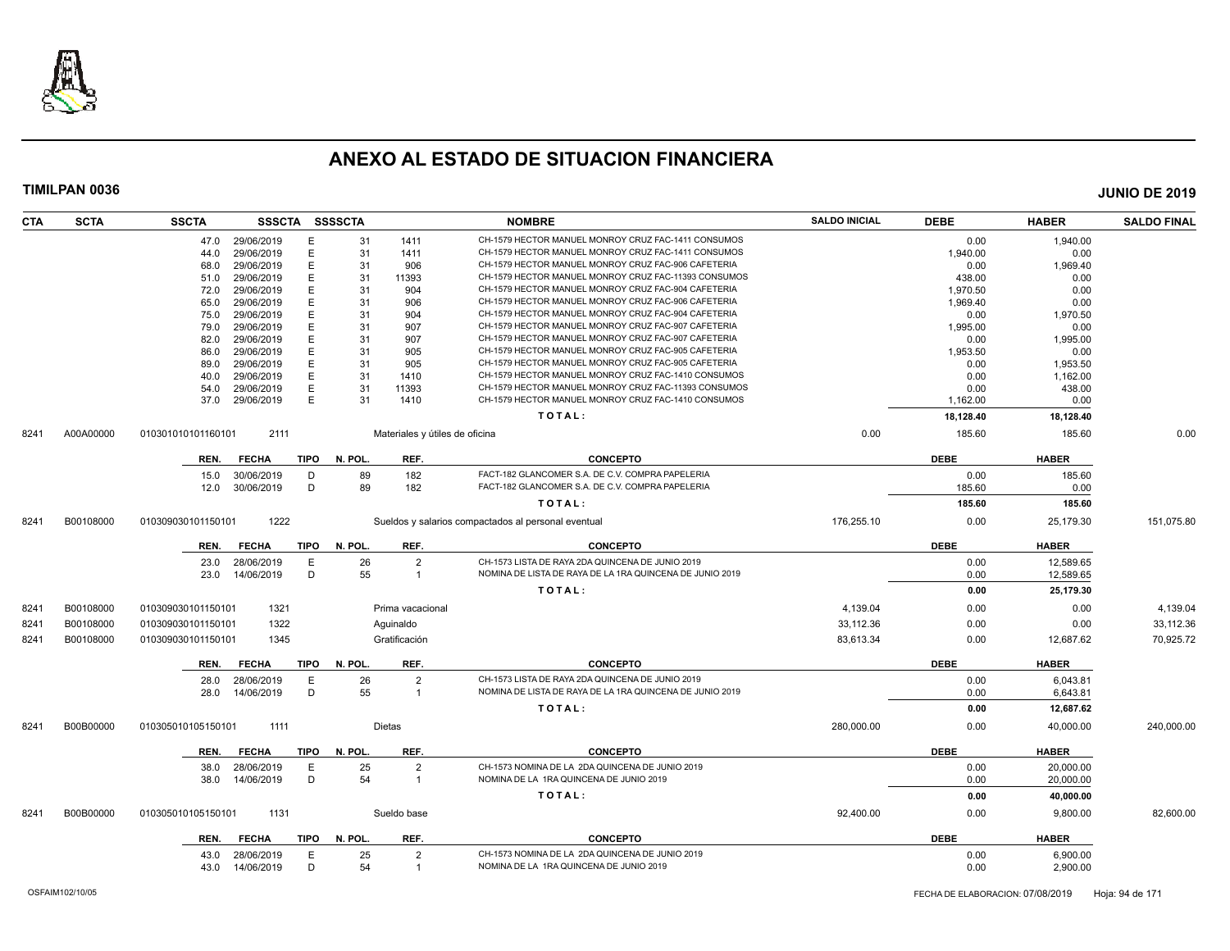

| CTA  | <b>SCTA</b> | <b>SSCTA</b>       | <b>SSSCTA</b>   |             | <b>SSSSCTA</b> |                                | <b>NOMBRE</b>                                            | <b>SALDO INICIAL</b> | <b>DEBE</b> | <b>HABER</b> | <b>SALDO FINAL</b> |
|------|-------------|--------------------|-----------------|-------------|----------------|--------------------------------|----------------------------------------------------------|----------------------|-------------|--------------|--------------------|
|      |             |                    | 47.0 29/06/2019 | E           | 31             | 1411                           | CH-1579 HECTOR MANUEL MONROY CRUZ FAC-1411 CONSUMOS      |                      | 0.00        | 1,940.00     |                    |
|      |             | 44.0               | 29/06/2019      | E           | 31             | 1411                           | CH-1579 HECTOR MANUEL MONROY CRUZ FAC-1411 CONSUMOS      |                      | 1,940.00    | 0.00         |                    |
|      |             | 68.0               | 29/06/2019      | E           | 31             | 906                            | CH-1579 HECTOR MANUEL MONROY CRUZ FAC-906 CAFETERIA      |                      | 0.00        | 1,969.40     |                    |
|      |             | 51.0               | 29/06/2019      | E           | 31             | 11393                          | CH-1579 HECTOR MANUEL MONROY CRUZ FAC-11393 CONSUMOS     |                      | 438.00      | 0.00         |                    |
|      |             | 72.0               | 29/06/2019      | E           | 31             | 904                            | CH-1579 HECTOR MANUEL MONROY CRUZ FAC-904 CAFETERIA      |                      | 1.970.50    | 0.00         |                    |
|      |             | 65.0               | 29/06/2019      | E           | 31             | 906                            | CH-1579 HECTOR MANUEL MONROY CRUZ FAC-906 CAFETERIA      |                      | 1,969.40    | 0.00         |                    |
|      |             | 75.0               | 29/06/2019      | E           | 31             | 904                            | CH-1579 HECTOR MANUEL MONROY CRUZ FAC-904 CAFETERIA      |                      | 0.00        | 1,970.50     |                    |
|      |             | 79.0               | 29/06/2019      | E           | 31             | 907                            | CH-1579 HECTOR MANUEL MONROY CRUZ FAC-907 CAFETERIA      |                      | 1.995.00    | 0.00         |                    |
|      |             | 82.0               | 29/06/2019      | E           | 31             | 907                            | CH-1579 HECTOR MANUEL MONROY CRUZ FAC-907 CAFETERIA      |                      | 0.00        | 1,995.00     |                    |
|      |             | 86.0               | 29/06/2019      | E           | 31             | 905                            | CH-1579 HECTOR MANUEL MONROY CRUZ FAC-905 CAFETERIA      |                      | 1,953.50    | 0.00         |                    |
|      |             | 89.0               | 29/06/2019      | E           | 31             | 905                            | CH-1579 HECTOR MANUEL MONROY CRUZ FAC-905 CAFETERIA      |                      | 0.00        | 1,953.50     |                    |
|      |             | 40.0               | 29/06/2019      | E           | 31             | 1410                           | CH-1579 HECTOR MANUEL MONROY CRUZ FAC-1410 CONSUMOS      |                      | 0.00        | 1,162.00     |                    |
|      |             | 54.0               | 29/06/2019      | E           | 31             | 11393                          | CH-1579 HECTOR MANUEL MONROY CRUZ FAC-11393 CONSUMOS     |                      | 0.00        | 438.00       |                    |
|      |             | 37.0               | 29/06/2019      | E           | 31             | 1410                           | CH-1579 HECTOR MANUEL MONROY CRUZ FAC-1410 CONSUMOS      |                      | 1,162.00    | 0.00         |                    |
|      |             |                    |                 |             |                |                                | TOTAL:                                                   |                      | 18,128.40   | 18,128.40    |                    |
| 8241 | A00A00000   | 010301010101160101 | 2111            |             |                | Materiales y útiles de oficina |                                                          | 0.00                 | 185.60      | 185.60       | 0.00               |
|      |             | REN.               | <b>FECHA</b>    | <b>TIPO</b> | N. POL.        | REF.                           | <b>CONCEPTO</b>                                          |                      | <b>DEBE</b> | <b>HABER</b> |                    |
|      |             | 15.0               | 30/06/2019      | D           | 89             | 182                            | FACT-182 GLANCOMER S.A. DE C.V. COMPRA PAPELERIA         |                      | 0.00        | 185.60       |                    |
|      |             | 12.0               | 30/06/2019      | D           | 89             | 182                            | FACT-182 GLANCOMER S.A. DE C.V. COMPRA PAPELERIA         |                      | 185.60      | 0.00         |                    |
|      |             |                    |                 |             |                |                                | TOTAL:                                                   |                      | 185.60      | 185.60       |                    |
| 8241 | B00108000   | 010309030101150101 | 1222            |             |                |                                | Sueldos y salarios compactados al personal eventual      | 176,255.10           | 0.00        | 25,179.30    | 151,075.80         |
|      |             | REN.               | <b>FECHA</b>    | <b>TIPO</b> | N. POL.        | REF.                           | <b>CONCEPTO</b>                                          |                      | <b>DEBE</b> | <b>HABER</b> |                    |
|      |             | 23.0               | 28/06/2019      | E           | 26             | 2                              | CH-1573 LISTA DE RAYA 2DA QUINCENA DE JUNIO 2019         |                      | 0.00        | 12,589.65    |                    |
|      |             | 23.0               | 14/06/2019      | D           | 55             | $\mathbf{1}$                   | NOMINA DE LISTA DE RAYA DE LA 1RA QUINCENA DE JUNIO 2019 |                      | 0.00        | 12,589.65    |                    |
|      |             |                    |                 |             |                |                                | TOTAL:                                                   |                      | 0.00        | 25,179.30    |                    |
| 8241 | B00108000   | 010309030101150101 | 1321            |             |                | Prima vacacional               |                                                          | 4,139.04             | 0.00        | 0.00         | 4,139.04           |
| 8241 | B00108000   | 010309030101150101 | 1322            |             |                | Aguinaldo                      |                                                          | 33,112.36            | 0.00        | 0.00         | 33,112.36          |
| 8241 | B00108000   | 010309030101150101 | 1345            |             |                | Gratificación                  |                                                          | 83,613.34            | 0.00        | 12,687.62    | 70,925.72          |
|      |             | REN.               | <b>FECHA</b>    | <b>TIPO</b> | N. POL.        | REF.                           | <b>CONCEPTO</b>                                          |                      | <b>DEBE</b> | <b>HABER</b> |                    |
|      |             | 28.0               | 28/06/2019      | E           | 26             | $\overline{2}$                 | CH-1573 LISTA DE RAYA 2DA QUINCENA DE JUNIO 2019         |                      | 0.00        | 6,043.81     |                    |
|      |             | 28.0               | 14/06/2019      | D           | 55             | $\mathbf{1}$                   | NOMINA DE LISTA DE RAYA DE LA 1RA QUINCENA DE JUNIO 2019 |                      | 0.00        | 6,643.81     |                    |
|      |             |                    |                 |             |                |                                | TOTAL:                                                   |                      | 0.00        | 12,687.62    |                    |
| 8241 | B00B00000   | 010305010105150101 | 1111            |             |                | Dietas                         |                                                          | 280,000.00           | 0.00        | 40,000.00    | 240,000.00         |
|      |             | REN.               | <b>FECHA</b>    | <b>TIPO</b> | N. POL.        | REF.                           | <b>CONCEPTO</b>                                          |                      | <b>DEBE</b> | <b>HABER</b> |                    |
|      |             | 38.0               | 28/06/2019      | E           | 25             | $\overline{2}$                 | CH-1573 NOMINA DE LA 2DA QUINCENA DE JUNIO 2019          |                      | 0.00        | 20,000.00    |                    |
|      |             | 38.0               | 14/06/2019      | D           | 54             | $\mathbf{1}$                   | NOMINA DE LA 1RA QUINCENA DE JUNIO 2019                  |                      | 0.00        | 20,000.00    |                    |
|      |             |                    |                 |             |                |                                | TOTAL:                                                   |                      | 0.00        | 40,000.00    |                    |
|      |             |                    |                 |             |                |                                |                                                          |                      |             |              |                    |
| 8241 | B00B00000   | 010305010105150101 | 1131            |             |                | Sueldo base                    |                                                          | 92,400.00            | 0.00        | 9,800.00     | 82,600.00          |
|      |             | REN.               | <b>FECHA</b>    | <b>TIPO</b> | N. POL.        | REF.                           | <b>CONCEPTO</b>                                          |                      | <b>DEBE</b> | <b>HABER</b> |                    |
|      |             | 43.0               | 28/06/2019      | E           | 25             | $\overline{2}$                 | CH-1573 NOMINA DE LA 2DA QUINCENA DE JUNIO 2019          |                      | 0.00        | 6.900.00     |                    |
|      |             | 43.0               | 14/06/2019      | D           | 54             | $\overline{1}$                 | NOMINA DE LA 1RA QUINCENA DE JUNIO 2019                  |                      | 0.00        | 2,900.00     |                    |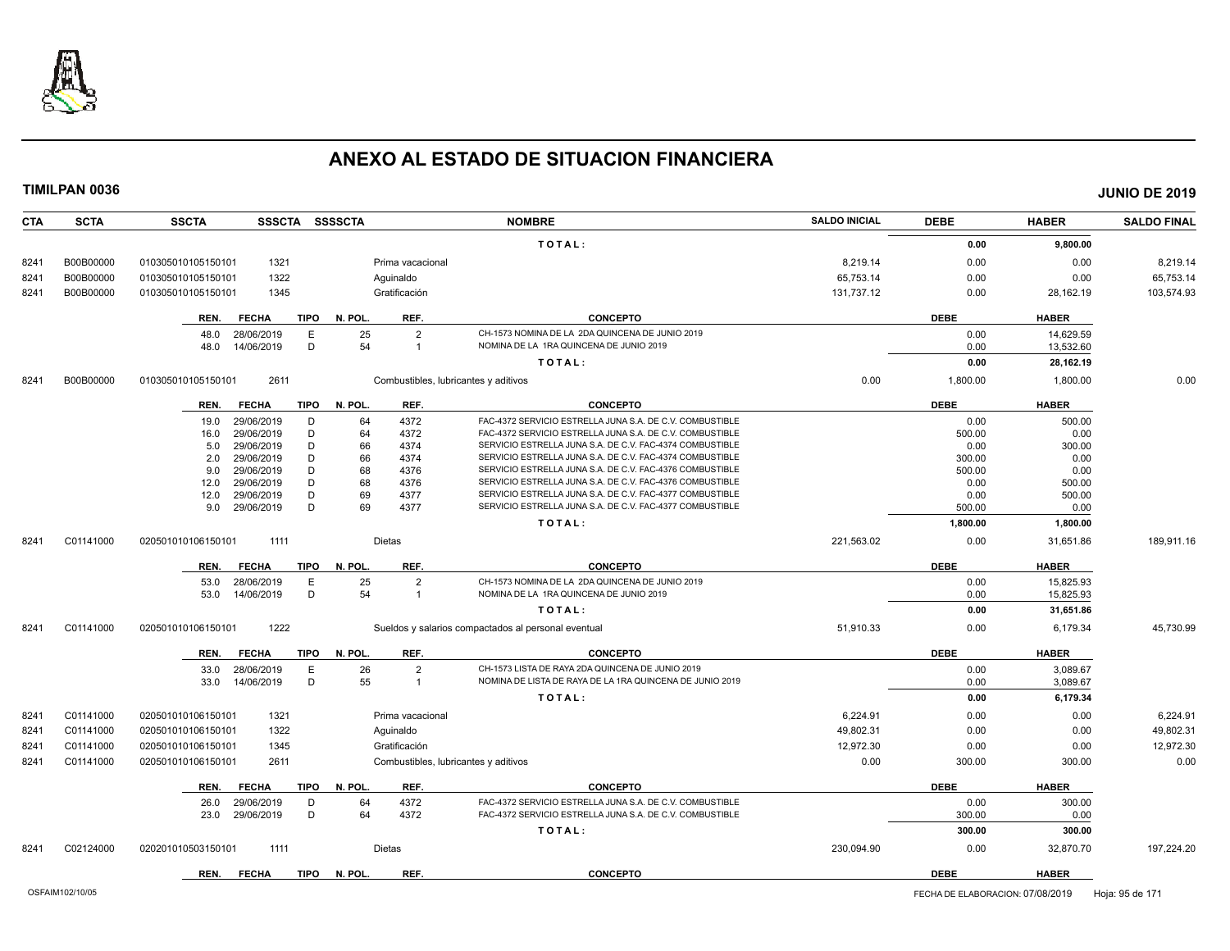

| CTA  | <b>SCTA</b> | <b>SSCTA</b><br><b>SSSCTA</b> |             | <b>SSSSCTA</b> |                  | <b>NOMBRE</b>                                            | <b>SALDO INICIAL</b> | <b>DEBE</b> | <b>HABER</b> | <b>SALDO FINAL</b> |
|------|-------------|-------------------------------|-------------|----------------|------------------|----------------------------------------------------------|----------------------|-------------|--------------|--------------------|
|      |             |                               |             |                |                  | TOTAL:                                                   |                      | 0.00        | 9,800.00     |                    |
| 8241 | B00B00000   | 010305010105150101<br>1321    |             |                | Prima vacacional |                                                          | 8,219.14             | 0.00        | 0.00         | 8,219.14           |
| 8241 | B00B00000   | 1322<br>010305010105150101    |             |                | Aguinaldo        |                                                          | 65,753.14            | 0.00        | 0.00         | 65,753.14          |
| 8241 | B00B00000   | 010305010105150101<br>1345    |             |                | Gratificación    |                                                          | 131,737.12           | 0.00        | 28,162.19    | 103,574.93         |
|      |             |                               |             |                |                  |                                                          |                      |             |              |                    |
|      |             | <b>FECHA</b><br>REN.          | TIPO        | N. POL.        | REF.             | <b>CONCEPTO</b>                                          |                      | <b>DEBE</b> | <b>HABER</b> |                    |
|      |             | 28/06/2019<br>48.0            | E           | 25             | $\overline{2}$   | CH-1573 NOMINA DE LA 2DA QUINCENA DE JUNIO 2019          |                      | 0.00        | 14,629.59    |                    |
|      |             | 48.0<br>14/06/2019            | D           | 54             | $\mathbf{1}$     | NOMINA DE LA 1RA QUINCENA DE JUNIO 2019                  |                      | 0.00        | 13,532.60    |                    |
|      |             |                               |             |                |                  | TOTAL:                                                   |                      | 0.00        | 28,162.19    |                    |
| 8241 | B00B00000   | 2611<br>010305010105150101    |             |                |                  | Combustibles, lubricantes y aditivos                     | 0.00                 | 1,800.00    | 1,800.00     | 0.00               |
|      |             | REN.<br><b>FECHA</b>          | <b>TIPO</b> | N. POL.        | REF.             | <b>CONCEPTO</b>                                          |                      | <b>DEBE</b> | <b>HABER</b> |                    |
|      |             | 29/06/2019<br>19.0            | D           | 64             | 4372             | FAC-4372 SERVICIO ESTRELLA JUNA S.A. DE C.V. COMBUSTIBLE |                      | 0.00        | 500.00       |                    |
|      |             | 29/06/2019<br>16.0            | D           | 64             | 4372             | FAC-4372 SERVICIO ESTRELLA JUNA S.A. DE C.V. COMBUSTIBLE |                      | 500.00      | 0.00         |                    |
|      |             | 29/06/2019<br>5.0             | D           | 66             | 4374             | SERVICIO ESTRELLA JUNA S.A. DE C.V. FAC-4374 COMBUSTIBLE |                      | 0.00        | 300.00       |                    |
|      |             | 29/06/2019<br>2.0             | D           | 66             | 4374             | SERVICIO ESTRELLA JUNA S.A. DE C.V. FAC-4374 COMBUSTIBLE |                      | 300.00      | 0.00         |                    |
|      |             | 29/06/2019<br>9.0             | D           | 68             | 4376             | SERVICIO ESTRELLA JUNA S.A. DE C.V. FAC-4376 COMBUSTIBLE |                      | 500.00      | 0.00         |                    |
|      |             | 29/06/2019<br>12.0            | D           | 68             | 4376             | SERVICIO ESTRELLA JUNA S.A. DE C.V. FAC-4376 COMBUSTIBLE |                      | 0.00        | 500.00       |                    |
|      |             | 29/06/2019<br>12.0            | D           | 69             | 4377             | SERVICIO ESTRELLA JUNA S.A. DE C.V. FAC-4377 COMBUSTIBLE |                      | 0.00        | 500.00       |                    |
|      |             | 29/06/2019<br>9.0             | D           | 69             | 4377             | SERVICIO ESTRELLA JUNA S.A. DE C.V. FAC-4377 COMBUSTIBLE |                      | 500.00      | 0.00         |                    |
|      |             |                               |             |                |                  | TOTAL:                                                   |                      | 1,800.00    | 1,800.00     |                    |
| 8241 | C01141000   | 1111<br>020501010106150101    |             |                | Dietas           |                                                          | 221,563.02           | 0.00        | 31,651.86    | 189,911.16         |
|      |             | <b>FECHA</b><br>REN.          | <b>TIPO</b> | N. POL.        | REF.             | <b>CONCEPTO</b>                                          |                      | <b>DEBE</b> | <b>HABER</b> |                    |
|      |             | 28/06/2019<br>53.0            | E           | 25             | $\overline{2}$   | CH-1573 NOMINA DE LA 2DA QUINCENA DE JUNIO 2019          |                      | 0.00        | 15.825.93    |                    |
|      |             | 53.0<br>14/06/2019            | D           | 54             | $\overline{1}$   | NOMINA DE LA 1RA QUINCENA DE JUNIO 2019                  |                      | 0.00        | 15,825.93    |                    |
|      |             |                               |             |                |                  | TOTAL:                                                   |                      | 0.00        | 31,651.86    |                    |
| 8241 | C01141000   | 1222<br>020501010106150101    |             |                |                  | Sueldos y salarios compactados al personal eventual      | 51,910.33            | 0.00        | 6,179.34     | 45,730.99          |
|      |             | REN.<br><b>FECHA</b>          | <b>TIPO</b> | N. POL.        | REF.             | <b>CONCEPTO</b>                                          |                      | <b>DEBE</b> | <b>HABER</b> |                    |
|      |             | 28/06/2019<br>33.0            | E           | 26             | $\overline{2}$   | CH-1573 LISTA DE RAYA 2DA QUINCENA DE JUNIO 2019         |                      | 0.00        | 3.089.67     |                    |
|      |             | 14/06/2019<br>33.0            | D           | 55             | $\mathbf{1}$     | NOMINA DE LISTA DE RAYA DE LA 1RA QUINCENA DE JUNIO 2019 |                      | 0.00        | 3,089.67     |                    |
|      |             |                               |             |                |                  | TOTAL:                                                   |                      | 0.00        | 6,179.34     |                    |
| 8241 | C01141000   | 1321<br>020501010106150101    |             |                | Prima vacacional |                                                          | 6,224.91             | 0.00        | 0.00         | 6,224.91           |
| 8241 | C01141000   | 1322<br>020501010106150101    |             |                | Aguinaldo        |                                                          | 49,802.31            | 0.00        | 0.00         | 49,802.31          |
| 8241 | C01141000   | 1345<br>020501010106150101    |             |                | Gratificación    |                                                          | 12,972.30            | 0.00        | 0.00         | 12,972.30          |
| 8241 | C01141000   | 020501010106150101<br>2611    |             |                |                  | Combustibles, lubricantes y aditivos                     | 0.00                 | 300.00      | 300.00       | 0.00               |
|      |             |                               |             |                |                  |                                                          |                      |             |              |                    |
|      |             | REN.<br><b>FECHA</b>          | <b>TIPO</b> | N. POL.        | REF.             | <b>CONCEPTO</b>                                          |                      | <b>DEBE</b> | <b>HABER</b> |                    |
|      |             | 29/06/2019<br>26.0            | D           | 64             | 4372             | FAC-4372 SERVICIO ESTRELLA JUNA S.A. DE C.V. COMBUSTIBLE |                      | 0.00        | 300.00       |                    |
|      |             | 29/06/2019<br>23.0            | D           | 64             | 4372             | FAC-4372 SERVICIO ESTRELLA JUNA S.A. DE C.V. COMBUSTIBLE |                      | 300.00      | 0.00         |                    |
|      |             |                               |             |                |                  | TOTAL:                                                   |                      | 300.00      | 300.00       |                    |
| 8241 | C02124000   | 1111<br>020201010503150101    |             |                | Dietas           |                                                          | 230,094.90           | 0.00        | 32,870.70    | 197,224.20         |
|      |             | REN.<br><b>FECHA</b>          | <b>TIPO</b> | N. POL.        | REF.             | <b>CONCEPTO</b>                                          |                      | <b>DEBE</b> | <b>HABER</b> |                    |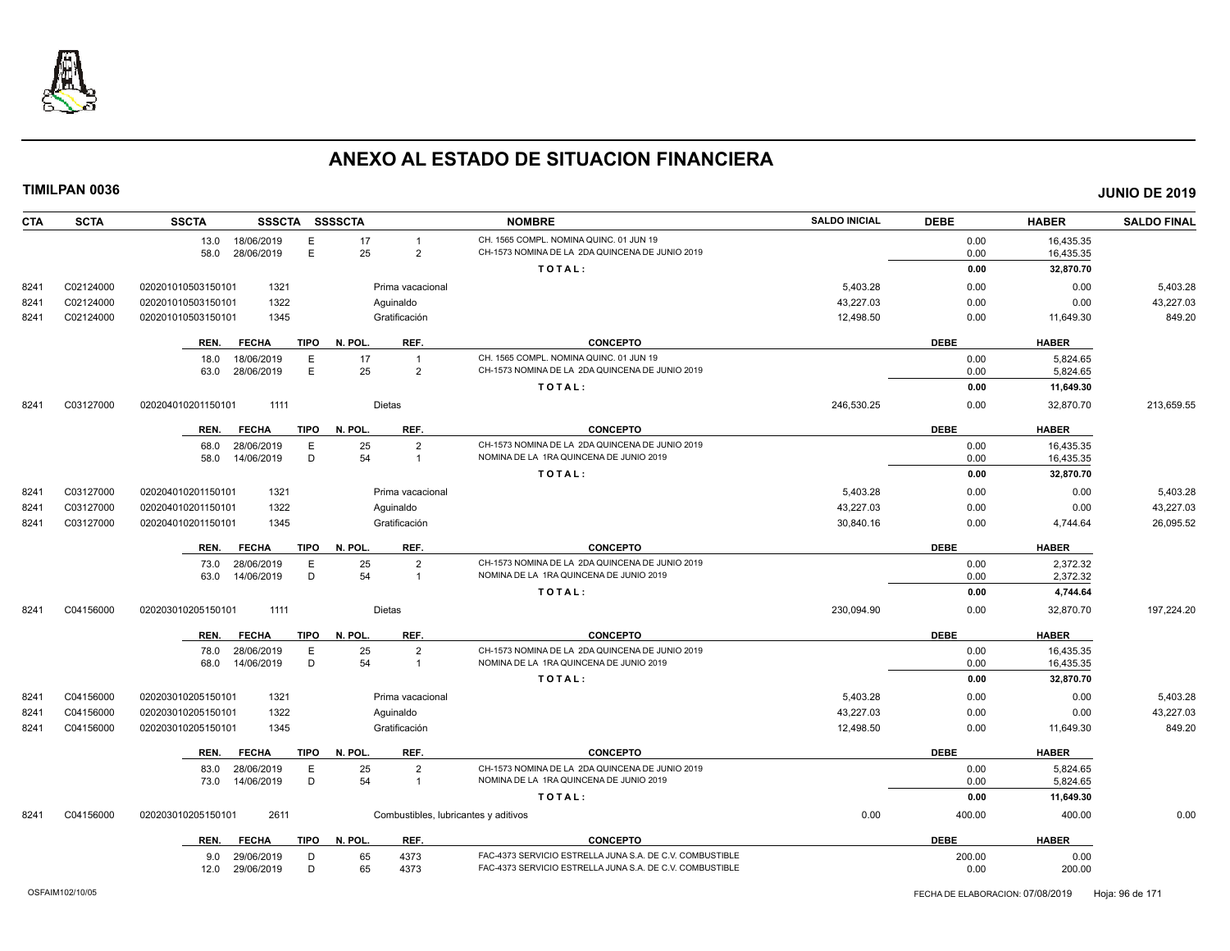

| <b>CTA</b> | <b>SCTA</b> | <b>SSCTA</b><br>SSSCTA SSSSCTA      |                                      | <b>NOMBRE</b>                                                                              | <b>SALDO INICIAL</b> | <b>DEBE</b> | <b>HABER</b> | <b>SALDO FINAL</b> |
|------------|-------------|-------------------------------------|--------------------------------------|--------------------------------------------------------------------------------------------|----------------------|-------------|--------------|--------------------|
|            |             | 13.0 18/06/2019<br>Ε                | 17<br>$\overline{1}$                 | CH. 1565 COMPL. NOMINA QUINC. 01 JUN 19                                                    |                      | 0.00        | 16,435.35    |                    |
|            |             | E<br>58.0 28/06/2019                | 25<br>$\overline{2}$                 | CH-1573 NOMINA DE LA 2DA QUINCENA DE JUNIO 2019                                            |                      | 0.00        | 16,435.35    |                    |
|            |             |                                     |                                      | TOTAL:                                                                                     |                      | 0.00        | 32,870.70    |                    |
| 8241       | C02124000   | 020201010503150101<br>1321          | Prima vacacional                     |                                                                                            | 5,403.28             | 0.00        | 0.00         | 5,403.28           |
| 8241       | C02124000   | 1322<br>020201010503150101          | Aguinaldo                            |                                                                                            | 43,227.03            | 0.00        | 0.00         | 43,227.03          |
| 8241       | C02124000   | 020201010503150101<br>1345          | Gratificación                        |                                                                                            | 12,498.50            | 0.00        | 11,649.30    | 849.20             |
|            |             |                                     |                                      |                                                                                            |                      |             |              |                    |
|            |             | <b>FECHA</b><br>TIPO<br>REN.        | N. POL.<br>REF.                      | <b>CONCEPTO</b>                                                                            |                      | <b>DEBE</b> | <b>HABER</b> |                    |
|            |             | 18/06/2019<br>18.0<br>Е             | 17<br>$\overline{1}$                 | CH. 1565 COMPL. NOMINA QUINC. 01 JUN 19<br>CH-1573 NOMINA DE LA 2DA QUINCENA DE JUNIO 2019 |                      | 0.00        | 5.824.65     |                    |
|            |             | E<br>28/06/2019<br>63.0             | 25<br>$\overline{2}$                 |                                                                                            |                      | 0.00        | 5,824.65     |                    |
|            |             |                                     |                                      | TOTAL:                                                                                     |                      | 0.00        | 11,649.30    |                    |
| 8241       | C03127000   | 020204010201150101<br>1111          | <b>Dietas</b>                        |                                                                                            | 246,530.25           | 0.00        | 32,870.70    | 213,659.55         |
|            |             | <b>FECHA</b><br><b>TIPO</b><br>REN. | REF.<br>N. POL.                      | <b>CONCEPTO</b>                                                                            |                      | <b>DEBE</b> | <b>HABER</b> |                    |
|            |             | 68.0<br>28/06/2019<br>E             | 25<br>$\overline{2}$                 | CH-1573 NOMINA DE LA 2DA QUINCENA DE JUNIO 2019                                            |                      | 0.00        | 16,435.35    |                    |
|            |             | D<br>14/06/2019<br>58.0             | 54<br>$\overline{1}$                 | NOMINA DE LA 1RA QUINCENA DE JUNIO 2019                                                    |                      | 0.00        | 16,435.35    |                    |
|            |             |                                     |                                      | TOTAL:                                                                                     |                      | 0.00        | 32,870.70    |                    |
| 8241       | C03127000   | 1321<br>020204010201150101          | Prima vacacional                     |                                                                                            | 5,403.28             | 0.00        | 0.00         | 5,403.28           |
| 8241       | C03127000   | 1322<br>020204010201150101          | Aquinaldo                            |                                                                                            | 43,227.03            | 0.00        | 0.00         | 43,227.03          |
| 8241       | C03127000   | 020204010201150101<br>1345          | Gratificación                        |                                                                                            | 30,840.16            | 0.00        | 4,744.64     | 26,095.52          |
|            |             | <b>FECHA</b><br><b>TIPO</b><br>REN. | N. POL.<br>REF.                      | <b>CONCEPTO</b>                                                                            |                      | <b>DEBE</b> | <b>HABER</b> |                    |
|            |             | 28/06/2019<br>E<br>73.0             | $\overline{2}$<br>25                 | CH-1573 NOMINA DE LA 2DA QUINCENA DE JUNIO 2019                                            |                      | 0.00        | 2,372.32     |                    |
|            |             | D<br>63.0 14/06/2019                | 54<br>$\overline{1}$                 | NOMINA DE LA 1RA QUINCENA DE JUNIO 2019                                                    |                      | 0.00        | 2,372.32     |                    |
|            |             |                                     |                                      | TOTAL:                                                                                     |                      | 0.00        | 4,744.64     |                    |
| 8241       | C04156000   | 020203010205150101<br>1111          | Dietas                               |                                                                                            | 230,094.90           | 0.00        | 32,870.70    | 197,224.20         |
|            |             |                                     |                                      |                                                                                            |                      |             |              |                    |
|            |             | <b>FECHA</b><br><b>TIPO</b><br>REN. | REF.<br>N. POL.                      | <b>CONCEPTO</b>                                                                            |                      | <b>DEBE</b> | <b>HABER</b> |                    |
|            |             | 78.0<br>28/06/2019<br>Е             | 25<br>$\overline{2}$                 | CH-1573 NOMINA DE LA 2DA QUINCENA DE JUNIO 2019                                            |                      | 0.00        | 16,435.35    |                    |
|            |             | D<br>14/06/2019<br>68.0             | 54<br>$\overline{1}$                 | NOMINA DE LA 1RA QUINCENA DE JUNIO 2019                                                    |                      | 0.00        | 16,435.35    |                    |
|            |             |                                     |                                      | TOTAL:                                                                                     |                      | 0.00        | 32,870.70    |                    |
| 8241       | C04156000   | 020203010205150101<br>1321          | Prima vacacional                     |                                                                                            | 5,403.28             | 0.00        | 0.00         | 5,403.28           |
| 8241       | C04156000   | 1322<br>020203010205150101          | Aquinaldo                            |                                                                                            | 43,227.03            | 0.00        | 0.00         | 43,227.03          |
| 8241       | C04156000   | 020203010205150101<br>1345          | Gratificación                        |                                                                                            | 12,498.50            | 0.00        | 11,649.30    | 849.20             |
|            |             | REN.<br><b>FECHA</b><br>TIPO        | N. POL.<br>REF.                      | <b>CONCEPTO</b>                                                                            |                      | <b>DEBE</b> | <b>HABER</b> |                    |
|            |             | 28/06/2019<br>E<br>83.0             | 25<br>$\overline{2}$                 | CH-1573 NOMINA DE LA 2DA QUINCENA DE JUNIO 2019                                            |                      | 0.00        | 5,824.65     |                    |
|            |             | D<br>73.0 14/06/2019                | 54<br>$\overline{1}$                 | NOMINA DE LA 1RA QUINCENA DE JUNIO 2019                                                    |                      | 0.00        | 5,824.65     |                    |
|            |             |                                     |                                      | TOTAL:                                                                                     |                      | 0.00        | 11,649.30    |                    |
| 8241       | C04156000   | 2611<br>020203010205150101          | Combustibles, lubricantes y aditivos |                                                                                            | 0.00                 | 400.00      | 400.00       | 0.00               |
|            |             | <b>FECHA</b><br>TIPO<br>REN.        | N. POL.<br>REF.                      | <b>CONCEPTO</b>                                                                            |                      | <b>DEBE</b> | <b>HABER</b> |                    |
|            |             | 29/06/2019<br>D<br>9.0              | 65<br>4373                           | FAC-4373 SERVICIO ESTRELLA JUNA S.A. DE C.V. COMBUSTIBLE                                   |                      | 200.00      | 0.00         |                    |
|            |             | D<br>12.0<br>29/06/2019             | 65<br>4373                           | FAC-4373 SERVICIO ESTRELLA JUNA S.A. DE C.V. COMBUSTIBLE                                   |                      | 0.00        | 200.00       |                    |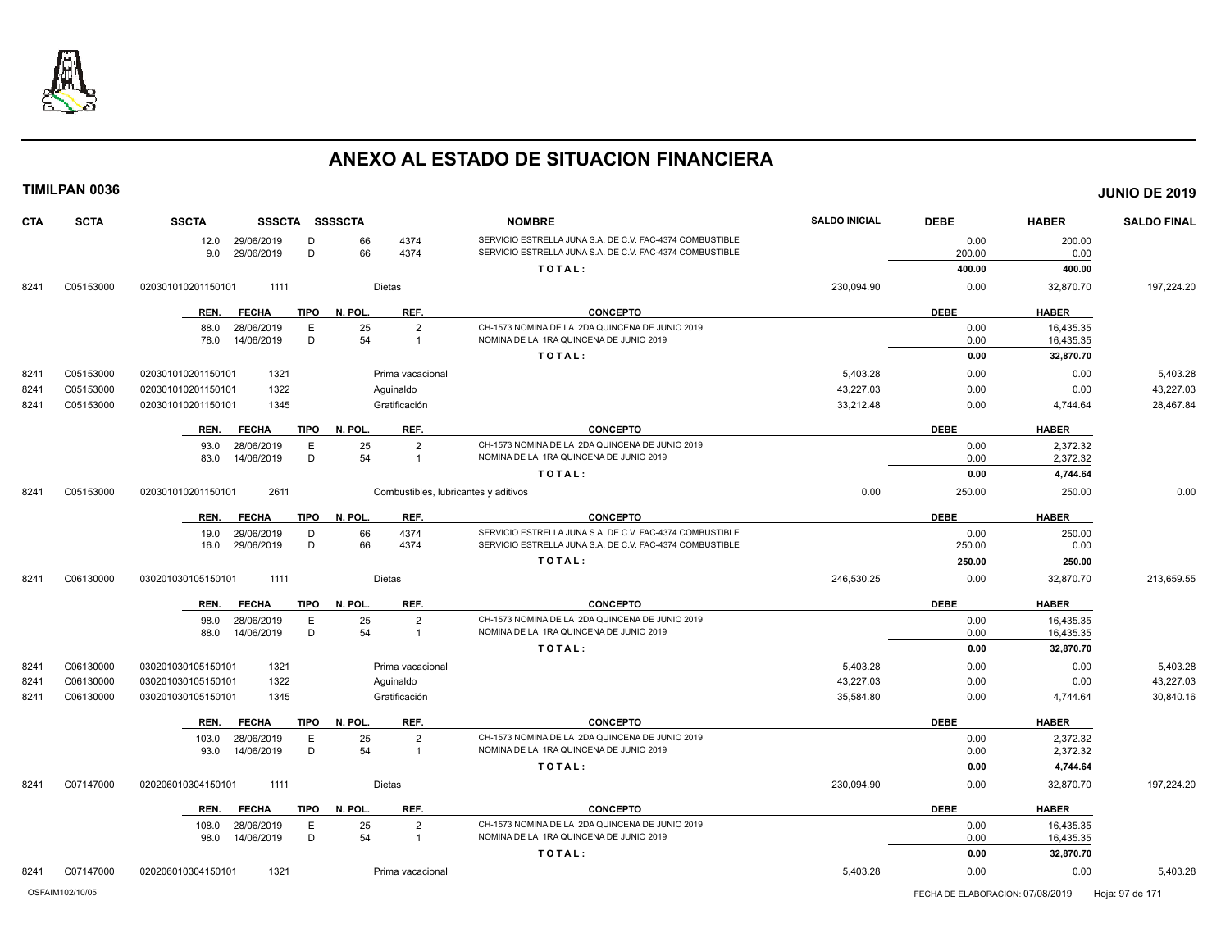

| <b>CTA</b><br><b>SCTA</b> | <b>SSCTA</b>       |                 | <b>SSSCTA</b> | SSSSCTA     |               |                  | <b>NOMBRE</b>                                            | <b>SALDO INICIAL</b> | <b>DEBE</b> | <b>HABER</b> | <b>SALDO FINAL</b> |
|---------------------------|--------------------|-----------------|---------------|-------------|---------------|------------------|----------------------------------------------------------|----------------------|-------------|--------------|--------------------|
|                           |                    | 12.0 29/06/2019 |               | D           | 66            | 4374             | SERVICIO ESTRELLA JUNA S.A. DE C.V. FAC-4374 COMBUSTIBLE |                      | 0.00        | 200.00       |                    |
|                           |                    | 9.0             | 29/06/2019    | D           | 66            | 4374             | SERVICIO ESTRELLA JUNA S.A. DE C.V. FAC-4374 COMBUSTIBLE |                      | 200.00      | 0.00         |                    |
|                           |                    |                 |               |             |               |                  | TOTAL:                                                   |                      | 400.00      | 400.00       |                    |
| C05153000<br>8241         | 020301010201150101 |                 | 1111          |             | Dietas        |                  |                                                          | 230,094.90           | 0.00        | 32,870.70    | 197,224.20         |
|                           |                    | REN.            | <b>FECHA</b>  | <b>TIPO</b> | N. POL.       | REF.             | <b>CONCEPTO</b>                                          |                      | <b>DEBE</b> | <b>HABER</b> |                    |
|                           |                    | 88.0            | 28/06/2019    | E           | 25            | $\overline{2}$   | CH-1573 NOMINA DE LA 2DA QUINCENA DE JUNIO 2019          |                      | 0.00        | 16,435.35    |                    |
|                           |                    | 78.0            | 14/06/2019    | D           | 54            | $\overline{1}$   | NOMINA DE LA 1RA QUINCENA DE JUNIO 2019                  |                      | 0.00        | 16,435.35    |                    |
|                           |                    |                 |               |             |               |                  | TOTAL:                                                   |                      | 0.00        | 32,870.70    |                    |
| C05153000<br>8241         | 020301010201150101 |                 | 1321          |             |               | Prima vacacional |                                                          | 5,403.28             | 0.00        | 0.00         | 5,403.28           |
| 8241<br>C05153000         | 020301010201150101 |                 | 1322          |             | Aguinaldo     |                  |                                                          | 43,227.03            | 0.00        | 0.00         | 43,227.03          |
| 8241<br>C05153000         | 020301010201150101 |                 | 1345          |             | Gratificación |                  |                                                          | 33,212.48            | 0.00        | 4,744.64     | 28,467.84          |
|                           |                    | REN.            | <b>FECHA</b>  | <b>TIPO</b> | N. POL.       | REF.             | <b>CONCEPTO</b>                                          |                      | <b>DEBE</b> | <b>HABER</b> |                    |
|                           |                    | 93.0            | 28/06/2019    | E           | 25            | $\overline{2}$   | CH-1573 NOMINA DE LA 2DA QUINCENA DE JUNIO 2019          |                      | 0.00        | 2,372.32     |                    |
|                           |                    | 83.0            | 14/06/2019    | D           | 54            | $\overline{1}$   | NOMINA DE LA 1RA QUINCENA DE JUNIO 2019                  |                      | 0.00        | 2,372.32     |                    |
|                           |                    |                 |               |             |               |                  | TOTAL:                                                   |                      | 0.00        | 4,744.64     |                    |
| C05153000<br>8241         | 020301010201150101 |                 | 2611          |             |               |                  | Combustibles, lubricantes y aditivos                     | 0.00                 | 250.00      | 250.00       | 0.00               |
|                           |                    | REN.            | <b>FECHA</b>  | <b>TIPO</b> | N. POL.       | REF.             | <b>CONCEPTO</b>                                          |                      | <b>DEBE</b> | <b>HABER</b> |                    |
|                           |                    | 19.0            | 29/06/2019    | D           | 66            | 4374             | SERVICIO ESTRELLA JUNA S.A. DE C.V. FAC-4374 COMBUSTIBLE |                      | 0.00        | 250.00       |                    |
|                           |                    | 16.0            | 29/06/2019    | D           | 66            | 4374             | SERVICIO ESTRELLA JUNA S.A. DE C.V. FAC-4374 COMBUSTIBLE |                      | 250.00      | 0.00         |                    |
|                           |                    |                 |               |             |               |                  | TOTAL:                                                   |                      | 250.00      | 250.00       |                    |
| C06130000<br>8241         | 030201030105150101 |                 | 1111          |             | Dietas        |                  |                                                          | 246,530.25           | 0.00        | 32,870.70    | 213,659.55         |
|                           |                    | REN.            | <b>FECHA</b>  | TIPO        | N. POL.       | REF.             | <b>CONCEPTO</b>                                          |                      | <b>DEBE</b> | <b>HABER</b> |                    |
|                           |                    | 98.0            | 28/06/2019    | E           | 25            | $\overline{2}$   | CH-1573 NOMINA DE LA 2DA QUINCENA DE JUNIO 2019          |                      | 0.00        | 16,435.35    |                    |
|                           |                    | 88.0            | 14/06/2019    | D           | 54            | $\overline{1}$   | NOMINA DE LA 1RA QUINCENA DE JUNIO 2019                  |                      | 0.00        | 16,435.35    |                    |
|                           |                    |                 |               |             |               |                  | TOTAL:                                                   |                      | 0.00        | 32,870.70    |                    |
| C06130000<br>8241         | 030201030105150101 |                 | 1321          |             |               | Prima vacacional |                                                          | 5,403.28             | 0.00        | 0.00         | 5,403.28           |
| C06130000<br>8241         | 030201030105150101 |                 | 1322          |             | Aguinaldo     |                  |                                                          | 43,227.03            | 0.00        | 0.00         | 43,227.03          |
| C06130000<br>8241         | 030201030105150101 |                 | 1345          |             | Gratificación |                  |                                                          | 35,584.80            | 0.00        | 4,744.64     | 30,840.16          |
|                           |                    | REN.            | <b>FECHA</b>  | TIPO        | N. POL.       | REF.             | <b>CONCEPTO</b>                                          |                      | <b>DEBE</b> | <b>HABER</b> |                    |
|                           |                    | 103.0           | 28/06/2019    | E           | 25            | $\overline{2}$   | CH-1573 NOMINA DE LA 2DA QUINCENA DE JUNIO 2019          |                      | 0.00        | 2,372.32     |                    |
|                           |                    | 93.0            | 14/06/2019    | D           | 54            | $\overline{1}$   | NOMINA DE LA 1RA QUINCENA DE JUNIO 2019                  |                      | 0.00        | 2,372.32     |                    |
|                           |                    |                 |               |             |               |                  | TOTAL:                                                   |                      | 0.00        | 4,744.64     |                    |
| C07147000<br>8241         | 020206010304150101 |                 | 1111          |             | Dietas        |                  |                                                          | 230,094.90           | 0.00        | 32,870.70    | 197,224.20         |
|                           |                    | REN.            | <b>FECHA</b>  | TIPO        | N. POL.       | REF.             | <b>CONCEPTO</b>                                          |                      | <b>DEBE</b> | <b>HABER</b> |                    |
|                           |                    | 108.0           | 28/06/2019    | E           | 25            | $\overline{2}$   | CH-1573 NOMINA DE LA 2DA QUINCENA DE JUNIO 2019          |                      | 0.00        | 16,435.35    |                    |
|                           |                    | 98.0            | 14/06/2019    | D           | 54            | $\overline{1}$   | NOMINA DE LA 1RA QUINCENA DE JUNIO 2019                  |                      | 0.00        | 16,435.35    |                    |
|                           |                    |                 |               |             |               |                  | TOTAL:                                                   |                      | 0.00        | 32,870.70    |                    |
| 8241<br>C07147000         | 020206010304150101 |                 | 1321          |             |               | Prima vacacional |                                                          | 5.403.28             | 0.00        | 0.00         | 5,403.28           |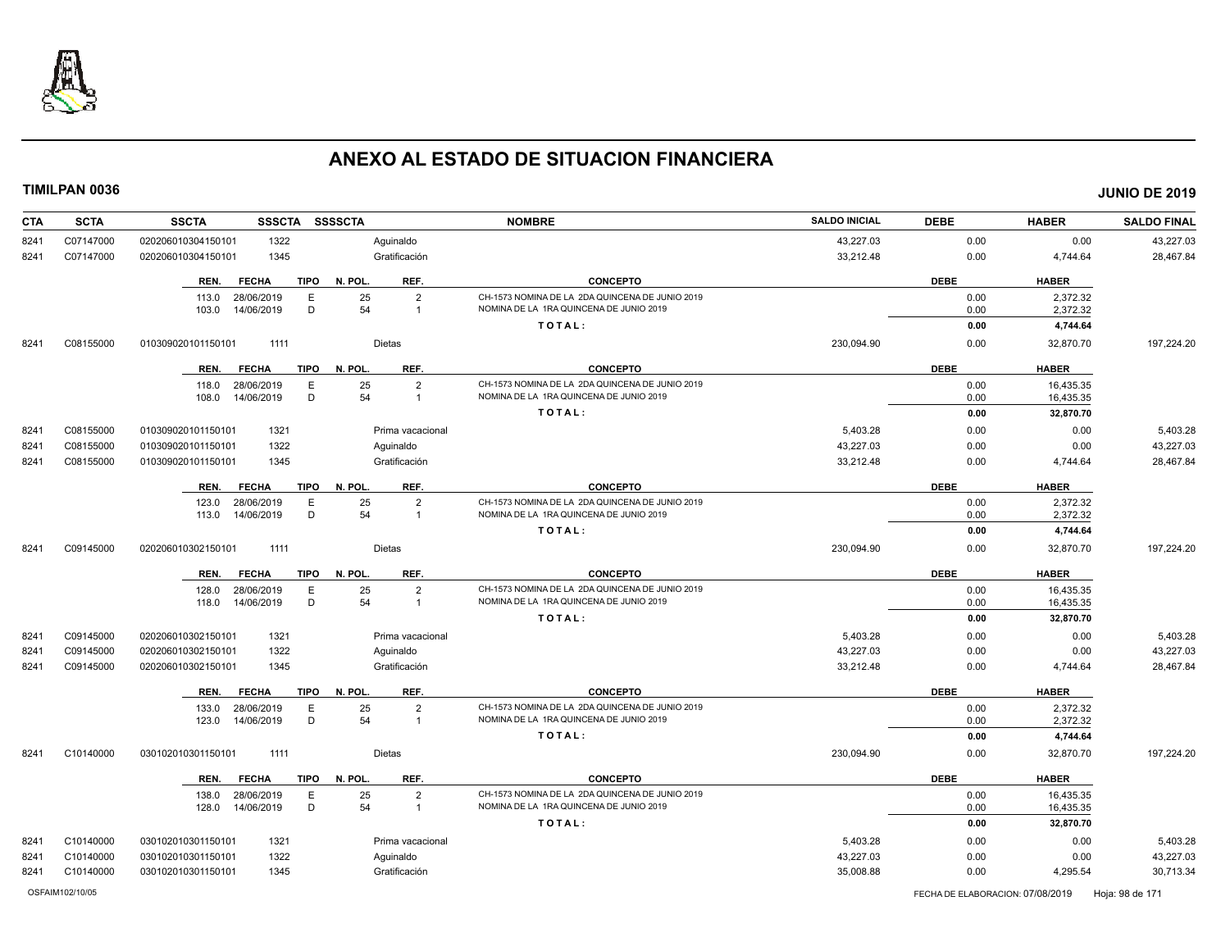

| 43,227.03<br>C07147000<br>020206010304150101<br>1322<br>Aquinaldo<br>0.00<br>0.00<br>8241<br>Gratificación<br>C07147000<br>1345<br>33,212.48<br>0.00<br>4,744.64<br>020206010304150101<br>8241<br><b>CONCEPTO</b><br><b>DEBE</b><br><b>TIPO</b><br>N. POL.<br>REF.<br><b>HABER</b><br>REN.<br><b>FECHA</b><br>CH-1573 NOMINA DE LA 2DA QUINCENA DE JUNIO 2019<br>25<br>$\overline{2}$<br>2,372.32<br>28/06/2019<br>E<br>0.00<br>113.0<br>54<br>NOMINA DE LA 1RA QUINCENA DE JUNIO 2019<br>D<br>2,372.32<br>103.0<br>14/06/2019<br>0.00<br>$\overline{1}$<br>TOTAL:<br>0.00<br>4,744.64<br>1111<br><b>Dietas</b><br>230,094.90<br>197,224.20<br>C08155000<br>010309020101150101<br>0.00<br>32,870.70<br>8241<br>REF.<br><b>CONCEPTO</b><br><b>DEBE</b><br><b>HABER</b><br><b>TIPO</b><br>N. POL<br>REN.<br><b>FECHA</b><br>E<br>25<br>$\overline{2}$<br>CH-1573 NOMINA DE LA 2DA QUINCENA DE JUNIO 2019<br>16,435.35<br>28/06/2019<br>0.00<br>118.0<br>NOMINA DE LA 1RA QUINCENA DE JUNIO 2019<br>14/06/2019<br>D<br>54<br>108.0<br>0.00<br>16,435.35<br>$\overline{1}$<br>TOTAL:<br>0.00<br>32,870.70<br>5,403.28<br>C08155000<br>1321<br>0.00<br>0.00<br>8241<br>010309020101150101<br>Prima vacacional<br>1322<br>43,227.03<br>43,227.03<br>C08155000<br>010309020101150101<br>Aguinaldo<br>0.00<br>0.00<br>8241<br>Gratificación<br>33,212.48<br>28,467.84<br>C08155000<br>010309020101150101<br>1345<br>0.00<br>4,744.64<br>8241<br><b>DEBE</b><br><b>TIPO</b><br>REF.<br><b>CONCEPTO</b><br><b>HABER</b><br>REN.<br><b>FECHA</b><br>N. POL.<br>25<br>123.0<br>28/06/2019<br>E<br>$\overline{2}$<br>CH-1573 NOMINA DE LA 2DA QUINCENA DE JUNIO 2019<br>0.00<br>2,372.32<br>14/06/2019<br>D<br>54<br>NOMINA DE LA 1RA QUINCENA DE JUNIO 2019<br>113.0<br>0.00<br>2,372.32<br>$\overline{1}$<br>TOTAL:<br>0.00<br>4,744.64<br>230,094.90<br>C09145000<br>020206010302150101<br>1111<br><b>Dietas</b><br>0.00<br>32,870.70<br>8241<br>REF.<br><b>TIPO</b><br>N. POL<br><b>CONCEPTO</b><br><b>DEBE</b><br><b>HABER</b><br>REN.<br><b>FECHA</b><br>CH-1573 NOMINA DE LA 2DA QUINCENA DE JUNIO 2019<br>25<br>128.0<br>28/06/2019<br>Е<br>$\overline{2}$<br>0.00<br>16,435.35<br>54<br>D<br>NOMINA DE LA 1RA QUINCENA DE JUNIO 2019<br>14/06/2019<br>$\overline{1}$<br>0.00<br>16,435.35<br>118.0<br>TOTAL:<br>0.00<br>32,870.70<br>C09145000<br>1321<br>5,403.28<br>0.00<br>0.00<br>5,403.28<br>8241<br>020206010302150101<br>Prima vacacional<br>C09145000<br>1322<br>Aquinaldo<br>43,227.03<br>0.00<br>0.00<br>43,227.03<br>8241<br>020206010302150101<br>Gratificación<br>33,212.48<br>28,467.84<br>8241<br>C09145000<br>020206010302150101<br>1345<br>0.00<br>4,744.64<br>N. POL.<br><b>DEBE</b><br><b>HABER</b><br>REN.<br><b>FECHA</b><br><b>TIPO</b><br>REF.<br><b>CONCEPTO</b><br>25<br>$\overline{2}$<br>CH-1573 NOMINA DE LA 2DA QUINCENA DE JUNIO 2019<br>0.00<br>2,372.32<br>133.0<br>28/06/2019<br>E<br>54<br>D<br>NOMINA DE LA 1RA QUINCENA DE JUNIO 2019<br>14/06/2019<br>123.0<br>$\overline{1}$<br>0.00<br>2,372.32<br>TOTAL:<br>0.00<br>4,744.64<br>C10140000<br>1111<br><b>Dietas</b><br>230.094.90<br>32,870.70<br>197,224.20<br>8241<br>030102010301150101<br>0.00<br><b>DEBE</b><br><b>TIPO</b><br>N. POL.<br>REF.<br><b>CONCEPTO</b><br><b>HABER</b><br>REN.<br><b>FECHA</b><br>25<br>28/06/2019<br>E<br>$\overline{2}$<br>CH-1573 NOMINA DE LA 2DA QUINCENA DE JUNIO 2019<br>0.00<br>16,435.35<br>138.0<br>D<br>54<br>14/06/2019<br>NOMINA DE LA 1RA QUINCENA DE JUNIO 2019<br>128.0<br>$\overline{1}$<br>0.00<br>16,435.35<br>TOTAL:<br>0.00<br>32,870.70<br>1321<br>5,403.28<br>C10140000<br>0.00<br>0.00<br>8241<br>030102010301150101<br>Prima vacacional<br>43,227.03<br>C10140000<br>1322<br>Aguinaldo<br>0.00<br>0.00<br>8241<br>030102010301150101<br>C10140000<br>030102010301150101<br>1345<br>Gratificación<br>35,008.88<br>0.00<br>4,295.54<br>8241 | <b>CTA</b> | <b>SCTA</b> | <b>SSCTA</b><br><b>SSSCTA</b> | <b>SSSSCTA</b> | <b>NOMBRE</b> | <b>SALDO INICIAL</b> | <b>DEBE</b> | <b>HABER</b> | <b>SALDO FINAL</b> |
|---------------------------------------------------------------------------------------------------------------------------------------------------------------------------------------------------------------------------------------------------------------------------------------------------------------------------------------------------------------------------------------------------------------------------------------------------------------------------------------------------------------------------------------------------------------------------------------------------------------------------------------------------------------------------------------------------------------------------------------------------------------------------------------------------------------------------------------------------------------------------------------------------------------------------------------------------------------------------------------------------------------------------------------------------------------------------------------------------------------------------------------------------------------------------------------------------------------------------------------------------------------------------------------------------------------------------------------------------------------------------------------------------------------------------------------------------------------------------------------------------------------------------------------------------------------------------------------------------------------------------------------------------------------------------------------------------------------------------------------------------------------------------------------------------------------------------------------------------------------------------------------------------------------------------------------------------------------------------------------------------------------------------------------------------------------------------------------------------------------------------------------------------------------------------------------------------------------------------------------------------------------------------------------------------------------------------------------------------------------------------------------------------------------------------------------------------------------------------------------------------------------------------------------------------------------------------------------------------------------------------------------------------------------------------------------------------------------------------------------------------------------------------------------------------------------------------------------------------------------------------------------------------------------------------------------------------------------------------------------------------------------------------------------------------------------------------------------------------------------------------------------------------------------------------------------------------------------------------------------------------------------------------------------------------------------------------------------------------------------------------------------------------------------------------------------------------------------------------------------------------------------------------------------------------------------------------------------------------------------------------------------------------------------------------------------------------------------------------------------------------------------------------------------------------------------------------------------------------------------------------------------|------------|-------------|-------------------------------|----------------|---------------|----------------------|-------------|--------------|--------------------|
|                                                                                                                                                                                                                                                                                                                                                                                                                                                                                                                                                                                                                                                                                                                                                                                                                                                                                                                                                                                                                                                                                                                                                                                                                                                                                                                                                                                                                                                                                                                                                                                                                                                                                                                                                                                                                                                                                                                                                                                                                                                                                                                                                                                                                                                                                                                                                                                                                                                                                                                                                                                                                                                                                                                                                                                                                                                                                                                                                                                                                                                                                                                                                                                                                                                                                                                                                                                                                                                                                                                                                                                                                                                                                                                                                                                                                                                                                       |            |             |                               |                |               |                      |             |              | 43,227.03          |
|                                                                                                                                                                                                                                                                                                                                                                                                                                                                                                                                                                                                                                                                                                                                                                                                                                                                                                                                                                                                                                                                                                                                                                                                                                                                                                                                                                                                                                                                                                                                                                                                                                                                                                                                                                                                                                                                                                                                                                                                                                                                                                                                                                                                                                                                                                                                                                                                                                                                                                                                                                                                                                                                                                                                                                                                                                                                                                                                                                                                                                                                                                                                                                                                                                                                                                                                                                                                                                                                                                                                                                                                                                                                                                                                                                                                                                                                                       |            |             |                               |                |               |                      |             |              | 28,467.84          |
|                                                                                                                                                                                                                                                                                                                                                                                                                                                                                                                                                                                                                                                                                                                                                                                                                                                                                                                                                                                                                                                                                                                                                                                                                                                                                                                                                                                                                                                                                                                                                                                                                                                                                                                                                                                                                                                                                                                                                                                                                                                                                                                                                                                                                                                                                                                                                                                                                                                                                                                                                                                                                                                                                                                                                                                                                                                                                                                                                                                                                                                                                                                                                                                                                                                                                                                                                                                                                                                                                                                                                                                                                                                                                                                                                                                                                                                                                       |            |             |                               |                |               |                      |             |              |                    |
|                                                                                                                                                                                                                                                                                                                                                                                                                                                                                                                                                                                                                                                                                                                                                                                                                                                                                                                                                                                                                                                                                                                                                                                                                                                                                                                                                                                                                                                                                                                                                                                                                                                                                                                                                                                                                                                                                                                                                                                                                                                                                                                                                                                                                                                                                                                                                                                                                                                                                                                                                                                                                                                                                                                                                                                                                                                                                                                                                                                                                                                                                                                                                                                                                                                                                                                                                                                                                                                                                                                                                                                                                                                                                                                                                                                                                                                                                       |            |             |                               |                |               |                      |             |              |                    |
|                                                                                                                                                                                                                                                                                                                                                                                                                                                                                                                                                                                                                                                                                                                                                                                                                                                                                                                                                                                                                                                                                                                                                                                                                                                                                                                                                                                                                                                                                                                                                                                                                                                                                                                                                                                                                                                                                                                                                                                                                                                                                                                                                                                                                                                                                                                                                                                                                                                                                                                                                                                                                                                                                                                                                                                                                                                                                                                                                                                                                                                                                                                                                                                                                                                                                                                                                                                                                                                                                                                                                                                                                                                                                                                                                                                                                                                                                       |            |             |                               |                |               |                      |             |              |                    |
|                                                                                                                                                                                                                                                                                                                                                                                                                                                                                                                                                                                                                                                                                                                                                                                                                                                                                                                                                                                                                                                                                                                                                                                                                                                                                                                                                                                                                                                                                                                                                                                                                                                                                                                                                                                                                                                                                                                                                                                                                                                                                                                                                                                                                                                                                                                                                                                                                                                                                                                                                                                                                                                                                                                                                                                                                                                                                                                                                                                                                                                                                                                                                                                                                                                                                                                                                                                                                                                                                                                                                                                                                                                                                                                                                                                                                                                                                       |            |             |                               |                |               |                      |             |              |                    |
|                                                                                                                                                                                                                                                                                                                                                                                                                                                                                                                                                                                                                                                                                                                                                                                                                                                                                                                                                                                                                                                                                                                                                                                                                                                                                                                                                                                                                                                                                                                                                                                                                                                                                                                                                                                                                                                                                                                                                                                                                                                                                                                                                                                                                                                                                                                                                                                                                                                                                                                                                                                                                                                                                                                                                                                                                                                                                                                                                                                                                                                                                                                                                                                                                                                                                                                                                                                                                                                                                                                                                                                                                                                                                                                                                                                                                                                                                       |            |             |                               |                |               |                      |             |              |                    |
|                                                                                                                                                                                                                                                                                                                                                                                                                                                                                                                                                                                                                                                                                                                                                                                                                                                                                                                                                                                                                                                                                                                                                                                                                                                                                                                                                                                                                                                                                                                                                                                                                                                                                                                                                                                                                                                                                                                                                                                                                                                                                                                                                                                                                                                                                                                                                                                                                                                                                                                                                                                                                                                                                                                                                                                                                                                                                                                                                                                                                                                                                                                                                                                                                                                                                                                                                                                                                                                                                                                                                                                                                                                                                                                                                                                                                                                                                       |            |             |                               |                |               |                      |             |              |                    |
|                                                                                                                                                                                                                                                                                                                                                                                                                                                                                                                                                                                                                                                                                                                                                                                                                                                                                                                                                                                                                                                                                                                                                                                                                                                                                                                                                                                                                                                                                                                                                                                                                                                                                                                                                                                                                                                                                                                                                                                                                                                                                                                                                                                                                                                                                                                                                                                                                                                                                                                                                                                                                                                                                                                                                                                                                                                                                                                                                                                                                                                                                                                                                                                                                                                                                                                                                                                                                                                                                                                                                                                                                                                                                                                                                                                                                                                                                       |            |             |                               |                |               |                      |             |              |                    |
|                                                                                                                                                                                                                                                                                                                                                                                                                                                                                                                                                                                                                                                                                                                                                                                                                                                                                                                                                                                                                                                                                                                                                                                                                                                                                                                                                                                                                                                                                                                                                                                                                                                                                                                                                                                                                                                                                                                                                                                                                                                                                                                                                                                                                                                                                                                                                                                                                                                                                                                                                                                                                                                                                                                                                                                                                                                                                                                                                                                                                                                                                                                                                                                                                                                                                                                                                                                                                                                                                                                                                                                                                                                                                                                                                                                                                                                                                       |            |             |                               |                |               |                      |             |              |                    |
|                                                                                                                                                                                                                                                                                                                                                                                                                                                                                                                                                                                                                                                                                                                                                                                                                                                                                                                                                                                                                                                                                                                                                                                                                                                                                                                                                                                                                                                                                                                                                                                                                                                                                                                                                                                                                                                                                                                                                                                                                                                                                                                                                                                                                                                                                                                                                                                                                                                                                                                                                                                                                                                                                                                                                                                                                                                                                                                                                                                                                                                                                                                                                                                                                                                                                                                                                                                                                                                                                                                                                                                                                                                                                                                                                                                                                                                                                       |            |             |                               |                |               |                      |             |              |                    |
|                                                                                                                                                                                                                                                                                                                                                                                                                                                                                                                                                                                                                                                                                                                                                                                                                                                                                                                                                                                                                                                                                                                                                                                                                                                                                                                                                                                                                                                                                                                                                                                                                                                                                                                                                                                                                                                                                                                                                                                                                                                                                                                                                                                                                                                                                                                                                                                                                                                                                                                                                                                                                                                                                                                                                                                                                                                                                                                                                                                                                                                                                                                                                                                                                                                                                                                                                                                                                                                                                                                                                                                                                                                                                                                                                                                                                                                                                       |            |             |                               |                |               |                      |             |              | 5,403.28           |
|                                                                                                                                                                                                                                                                                                                                                                                                                                                                                                                                                                                                                                                                                                                                                                                                                                                                                                                                                                                                                                                                                                                                                                                                                                                                                                                                                                                                                                                                                                                                                                                                                                                                                                                                                                                                                                                                                                                                                                                                                                                                                                                                                                                                                                                                                                                                                                                                                                                                                                                                                                                                                                                                                                                                                                                                                                                                                                                                                                                                                                                                                                                                                                                                                                                                                                                                                                                                                                                                                                                                                                                                                                                                                                                                                                                                                                                                                       |            |             |                               |                |               |                      |             |              |                    |
|                                                                                                                                                                                                                                                                                                                                                                                                                                                                                                                                                                                                                                                                                                                                                                                                                                                                                                                                                                                                                                                                                                                                                                                                                                                                                                                                                                                                                                                                                                                                                                                                                                                                                                                                                                                                                                                                                                                                                                                                                                                                                                                                                                                                                                                                                                                                                                                                                                                                                                                                                                                                                                                                                                                                                                                                                                                                                                                                                                                                                                                                                                                                                                                                                                                                                                                                                                                                                                                                                                                                                                                                                                                                                                                                                                                                                                                                                       |            |             |                               |                |               |                      |             |              |                    |
|                                                                                                                                                                                                                                                                                                                                                                                                                                                                                                                                                                                                                                                                                                                                                                                                                                                                                                                                                                                                                                                                                                                                                                                                                                                                                                                                                                                                                                                                                                                                                                                                                                                                                                                                                                                                                                                                                                                                                                                                                                                                                                                                                                                                                                                                                                                                                                                                                                                                                                                                                                                                                                                                                                                                                                                                                                                                                                                                                                                                                                                                                                                                                                                                                                                                                                                                                                                                                                                                                                                                                                                                                                                                                                                                                                                                                                                                                       |            |             |                               |                |               |                      |             |              |                    |
|                                                                                                                                                                                                                                                                                                                                                                                                                                                                                                                                                                                                                                                                                                                                                                                                                                                                                                                                                                                                                                                                                                                                                                                                                                                                                                                                                                                                                                                                                                                                                                                                                                                                                                                                                                                                                                                                                                                                                                                                                                                                                                                                                                                                                                                                                                                                                                                                                                                                                                                                                                                                                                                                                                                                                                                                                                                                                                                                                                                                                                                                                                                                                                                                                                                                                                                                                                                                                                                                                                                                                                                                                                                                                                                                                                                                                                                                                       |            |             |                               |                |               |                      |             |              |                    |
|                                                                                                                                                                                                                                                                                                                                                                                                                                                                                                                                                                                                                                                                                                                                                                                                                                                                                                                                                                                                                                                                                                                                                                                                                                                                                                                                                                                                                                                                                                                                                                                                                                                                                                                                                                                                                                                                                                                                                                                                                                                                                                                                                                                                                                                                                                                                                                                                                                                                                                                                                                                                                                                                                                                                                                                                                                                                                                                                                                                                                                                                                                                                                                                                                                                                                                                                                                                                                                                                                                                                                                                                                                                                                                                                                                                                                                                                                       |            |             |                               |                |               |                      |             |              |                    |
|                                                                                                                                                                                                                                                                                                                                                                                                                                                                                                                                                                                                                                                                                                                                                                                                                                                                                                                                                                                                                                                                                                                                                                                                                                                                                                                                                                                                                                                                                                                                                                                                                                                                                                                                                                                                                                                                                                                                                                                                                                                                                                                                                                                                                                                                                                                                                                                                                                                                                                                                                                                                                                                                                                                                                                                                                                                                                                                                                                                                                                                                                                                                                                                                                                                                                                                                                                                                                                                                                                                                                                                                                                                                                                                                                                                                                                                                                       |            |             |                               |                |               |                      |             |              |                    |
|                                                                                                                                                                                                                                                                                                                                                                                                                                                                                                                                                                                                                                                                                                                                                                                                                                                                                                                                                                                                                                                                                                                                                                                                                                                                                                                                                                                                                                                                                                                                                                                                                                                                                                                                                                                                                                                                                                                                                                                                                                                                                                                                                                                                                                                                                                                                                                                                                                                                                                                                                                                                                                                                                                                                                                                                                                                                                                                                                                                                                                                                                                                                                                                                                                                                                                                                                                                                                                                                                                                                                                                                                                                                                                                                                                                                                                                                                       |            |             |                               |                |               |                      |             |              | 197,224.20         |
|                                                                                                                                                                                                                                                                                                                                                                                                                                                                                                                                                                                                                                                                                                                                                                                                                                                                                                                                                                                                                                                                                                                                                                                                                                                                                                                                                                                                                                                                                                                                                                                                                                                                                                                                                                                                                                                                                                                                                                                                                                                                                                                                                                                                                                                                                                                                                                                                                                                                                                                                                                                                                                                                                                                                                                                                                                                                                                                                                                                                                                                                                                                                                                                                                                                                                                                                                                                                                                                                                                                                                                                                                                                                                                                                                                                                                                                                                       |            |             |                               |                |               |                      |             |              |                    |
|                                                                                                                                                                                                                                                                                                                                                                                                                                                                                                                                                                                                                                                                                                                                                                                                                                                                                                                                                                                                                                                                                                                                                                                                                                                                                                                                                                                                                                                                                                                                                                                                                                                                                                                                                                                                                                                                                                                                                                                                                                                                                                                                                                                                                                                                                                                                                                                                                                                                                                                                                                                                                                                                                                                                                                                                                                                                                                                                                                                                                                                                                                                                                                                                                                                                                                                                                                                                                                                                                                                                                                                                                                                                                                                                                                                                                                                                                       |            |             |                               |                |               |                      |             |              |                    |
|                                                                                                                                                                                                                                                                                                                                                                                                                                                                                                                                                                                                                                                                                                                                                                                                                                                                                                                                                                                                                                                                                                                                                                                                                                                                                                                                                                                                                                                                                                                                                                                                                                                                                                                                                                                                                                                                                                                                                                                                                                                                                                                                                                                                                                                                                                                                                                                                                                                                                                                                                                                                                                                                                                                                                                                                                                                                                                                                                                                                                                                                                                                                                                                                                                                                                                                                                                                                                                                                                                                                                                                                                                                                                                                                                                                                                                                                                       |            |             |                               |                |               |                      |             |              |                    |
|                                                                                                                                                                                                                                                                                                                                                                                                                                                                                                                                                                                                                                                                                                                                                                                                                                                                                                                                                                                                                                                                                                                                                                                                                                                                                                                                                                                                                                                                                                                                                                                                                                                                                                                                                                                                                                                                                                                                                                                                                                                                                                                                                                                                                                                                                                                                                                                                                                                                                                                                                                                                                                                                                                                                                                                                                                                                                                                                                                                                                                                                                                                                                                                                                                                                                                                                                                                                                                                                                                                                                                                                                                                                                                                                                                                                                                                                                       |            |             |                               |                |               |                      |             |              |                    |
|                                                                                                                                                                                                                                                                                                                                                                                                                                                                                                                                                                                                                                                                                                                                                                                                                                                                                                                                                                                                                                                                                                                                                                                                                                                                                                                                                                                                                                                                                                                                                                                                                                                                                                                                                                                                                                                                                                                                                                                                                                                                                                                                                                                                                                                                                                                                                                                                                                                                                                                                                                                                                                                                                                                                                                                                                                                                                                                                                                                                                                                                                                                                                                                                                                                                                                                                                                                                                                                                                                                                                                                                                                                                                                                                                                                                                                                                                       |            |             |                               |                |               |                      |             |              |                    |
|                                                                                                                                                                                                                                                                                                                                                                                                                                                                                                                                                                                                                                                                                                                                                                                                                                                                                                                                                                                                                                                                                                                                                                                                                                                                                                                                                                                                                                                                                                                                                                                                                                                                                                                                                                                                                                                                                                                                                                                                                                                                                                                                                                                                                                                                                                                                                                                                                                                                                                                                                                                                                                                                                                                                                                                                                                                                                                                                                                                                                                                                                                                                                                                                                                                                                                                                                                                                                                                                                                                                                                                                                                                                                                                                                                                                                                                                                       |            |             |                               |                |               |                      |             |              |                    |
|                                                                                                                                                                                                                                                                                                                                                                                                                                                                                                                                                                                                                                                                                                                                                                                                                                                                                                                                                                                                                                                                                                                                                                                                                                                                                                                                                                                                                                                                                                                                                                                                                                                                                                                                                                                                                                                                                                                                                                                                                                                                                                                                                                                                                                                                                                                                                                                                                                                                                                                                                                                                                                                                                                                                                                                                                                                                                                                                                                                                                                                                                                                                                                                                                                                                                                                                                                                                                                                                                                                                                                                                                                                                                                                                                                                                                                                                                       |            |             |                               |                |               |                      |             |              |                    |
|                                                                                                                                                                                                                                                                                                                                                                                                                                                                                                                                                                                                                                                                                                                                                                                                                                                                                                                                                                                                                                                                                                                                                                                                                                                                                                                                                                                                                                                                                                                                                                                                                                                                                                                                                                                                                                                                                                                                                                                                                                                                                                                                                                                                                                                                                                                                                                                                                                                                                                                                                                                                                                                                                                                                                                                                                                                                                                                                                                                                                                                                                                                                                                                                                                                                                                                                                                                                                                                                                                                                                                                                                                                                                                                                                                                                                                                                                       |            |             |                               |                |               |                      |             |              |                    |
|                                                                                                                                                                                                                                                                                                                                                                                                                                                                                                                                                                                                                                                                                                                                                                                                                                                                                                                                                                                                                                                                                                                                                                                                                                                                                                                                                                                                                                                                                                                                                                                                                                                                                                                                                                                                                                                                                                                                                                                                                                                                                                                                                                                                                                                                                                                                                                                                                                                                                                                                                                                                                                                                                                                                                                                                                                                                                                                                                                                                                                                                                                                                                                                                                                                                                                                                                                                                                                                                                                                                                                                                                                                                                                                                                                                                                                                                                       |            |             |                               |                |               |                      |             |              |                    |
|                                                                                                                                                                                                                                                                                                                                                                                                                                                                                                                                                                                                                                                                                                                                                                                                                                                                                                                                                                                                                                                                                                                                                                                                                                                                                                                                                                                                                                                                                                                                                                                                                                                                                                                                                                                                                                                                                                                                                                                                                                                                                                                                                                                                                                                                                                                                                                                                                                                                                                                                                                                                                                                                                                                                                                                                                                                                                                                                                                                                                                                                                                                                                                                                                                                                                                                                                                                                                                                                                                                                                                                                                                                                                                                                                                                                                                                                                       |            |             |                               |                |               |                      |             |              |                    |
|                                                                                                                                                                                                                                                                                                                                                                                                                                                                                                                                                                                                                                                                                                                                                                                                                                                                                                                                                                                                                                                                                                                                                                                                                                                                                                                                                                                                                                                                                                                                                                                                                                                                                                                                                                                                                                                                                                                                                                                                                                                                                                                                                                                                                                                                                                                                                                                                                                                                                                                                                                                                                                                                                                                                                                                                                                                                                                                                                                                                                                                                                                                                                                                                                                                                                                                                                                                                                                                                                                                                                                                                                                                                                                                                                                                                                                                                                       |            |             |                               |                |               |                      |             |              |                    |
|                                                                                                                                                                                                                                                                                                                                                                                                                                                                                                                                                                                                                                                                                                                                                                                                                                                                                                                                                                                                                                                                                                                                                                                                                                                                                                                                                                                                                                                                                                                                                                                                                                                                                                                                                                                                                                                                                                                                                                                                                                                                                                                                                                                                                                                                                                                                                                                                                                                                                                                                                                                                                                                                                                                                                                                                                                                                                                                                                                                                                                                                                                                                                                                                                                                                                                                                                                                                                                                                                                                                                                                                                                                                                                                                                                                                                                                                                       |            |             |                               |                |               |                      |             |              |                    |
|                                                                                                                                                                                                                                                                                                                                                                                                                                                                                                                                                                                                                                                                                                                                                                                                                                                                                                                                                                                                                                                                                                                                                                                                                                                                                                                                                                                                                                                                                                                                                                                                                                                                                                                                                                                                                                                                                                                                                                                                                                                                                                                                                                                                                                                                                                                                                                                                                                                                                                                                                                                                                                                                                                                                                                                                                                                                                                                                                                                                                                                                                                                                                                                                                                                                                                                                                                                                                                                                                                                                                                                                                                                                                                                                                                                                                                                                                       |            |             |                               |                |               |                      |             |              |                    |
|                                                                                                                                                                                                                                                                                                                                                                                                                                                                                                                                                                                                                                                                                                                                                                                                                                                                                                                                                                                                                                                                                                                                                                                                                                                                                                                                                                                                                                                                                                                                                                                                                                                                                                                                                                                                                                                                                                                                                                                                                                                                                                                                                                                                                                                                                                                                                                                                                                                                                                                                                                                                                                                                                                                                                                                                                                                                                                                                                                                                                                                                                                                                                                                                                                                                                                                                                                                                                                                                                                                                                                                                                                                                                                                                                                                                                                                                                       |            |             |                               |                |               |                      |             |              |                    |
|                                                                                                                                                                                                                                                                                                                                                                                                                                                                                                                                                                                                                                                                                                                                                                                                                                                                                                                                                                                                                                                                                                                                                                                                                                                                                                                                                                                                                                                                                                                                                                                                                                                                                                                                                                                                                                                                                                                                                                                                                                                                                                                                                                                                                                                                                                                                                                                                                                                                                                                                                                                                                                                                                                                                                                                                                                                                                                                                                                                                                                                                                                                                                                                                                                                                                                                                                                                                                                                                                                                                                                                                                                                                                                                                                                                                                                                                                       |            |             |                               |                |               |                      |             |              |                    |
|                                                                                                                                                                                                                                                                                                                                                                                                                                                                                                                                                                                                                                                                                                                                                                                                                                                                                                                                                                                                                                                                                                                                                                                                                                                                                                                                                                                                                                                                                                                                                                                                                                                                                                                                                                                                                                                                                                                                                                                                                                                                                                                                                                                                                                                                                                                                                                                                                                                                                                                                                                                                                                                                                                                                                                                                                                                                                                                                                                                                                                                                                                                                                                                                                                                                                                                                                                                                                                                                                                                                                                                                                                                                                                                                                                                                                                                                                       |            |             |                               |                |               |                      |             |              |                    |
|                                                                                                                                                                                                                                                                                                                                                                                                                                                                                                                                                                                                                                                                                                                                                                                                                                                                                                                                                                                                                                                                                                                                                                                                                                                                                                                                                                                                                                                                                                                                                                                                                                                                                                                                                                                                                                                                                                                                                                                                                                                                                                                                                                                                                                                                                                                                                                                                                                                                                                                                                                                                                                                                                                                                                                                                                                                                                                                                                                                                                                                                                                                                                                                                                                                                                                                                                                                                                                                                                                                                                                                                                                                                                                                                                                                                                                                                                       |            |             |                               |                |               |                      |             |              | 5,403.28           |
|                                                                                                                                                                                                                                                                                                                                                                                                                                                                                                                                                                                                                                                                                                                                                                                                                                                                                                                                                                                                                                                                                                                                                                                                                                                                                                                                                                                                                                                                                                                                                                                                                                                                                                                                                                                                                                                                                                                                                                                                                                                                                                                                                                                                                                                                                                                                                                                                                                                                                                                                                                                                                                                                                                                                                                                                                                                                                                                                                                                                                                                                                                                                                                                                                                                                                                                                                                                                                                                                                                                                                                                                                                                                                                                                                                                                                                                                                       |            |             |                               |                |               |                      |             |              | 43,227.03          |
|                                                                                                                                                                                                                                                                                                                                                                                                                                                                                                                                                                                                                                                                                                                                                                                                                                                                                                                                                                                                                                                                                                                                                                                                                                                                                                                                                                                                                                                                                                                                                                                                                                                                                                                                                                                                                                                                                                                                                                                                                                                                                                                                                                                                                                                                                                                                                                                                                                                                                                                                                                                                                                                                                                                                                                                                                                                                                                                                                                                                                                                                                                                                                                                                                                                                                                                                                                                                                                                                                                                                                                                                                                                                                                                                                                                                                                                                                       |            |             |                               |                |               |                      |             |              | 30,713.34          |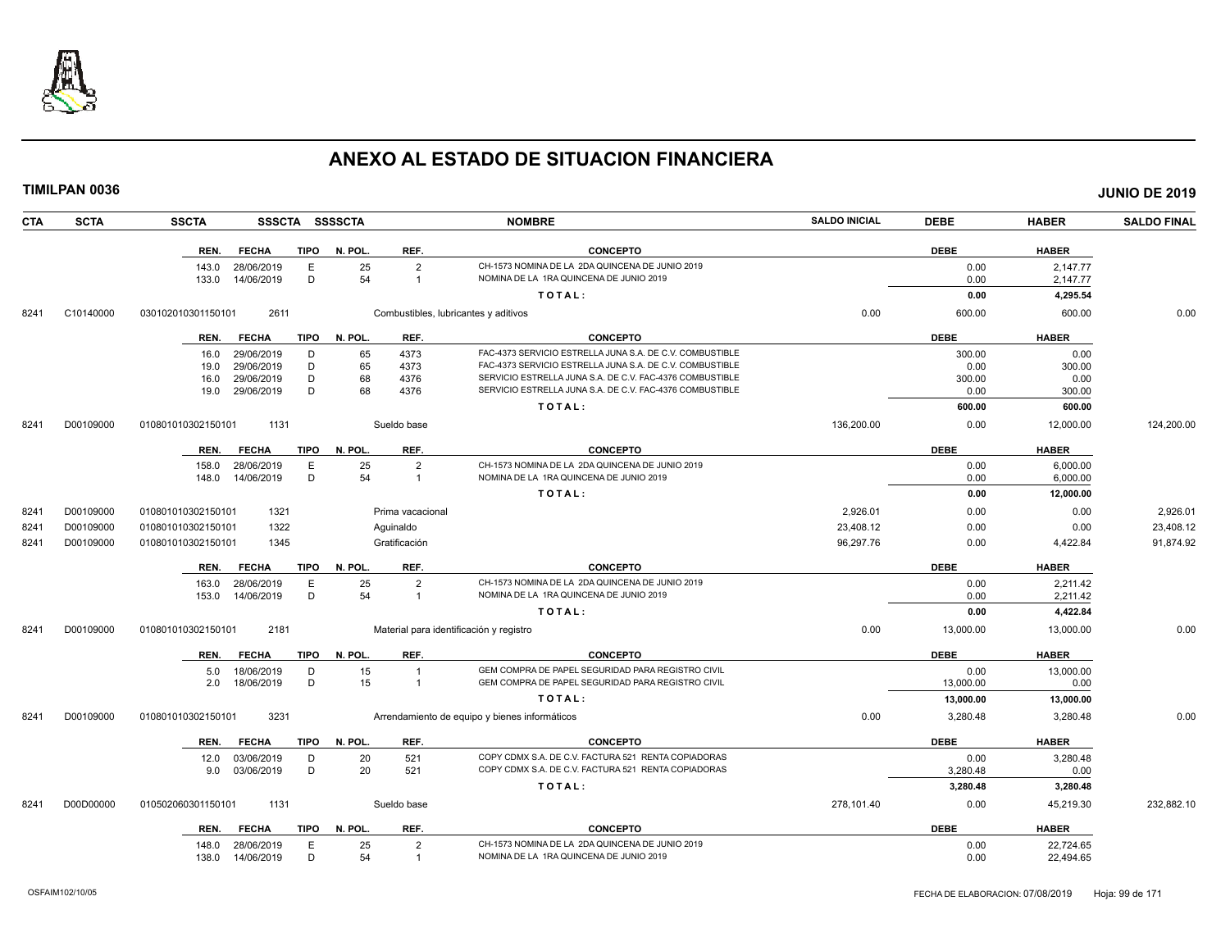

| <b>TIMILPAN 0036</b> |                    |              |             |                |                                         |                                                          |                      |             |              | <b>JUNIO DE 2019</b> |
|----------------------|--------------------|--------------|-------------|----------------|-----------------------------------------|----------------------------------------------------------|----------------------|-------------|--------------|----------------------|
| <b>SCTA</b><br>CTA   | <b>SSCTA</b>       |              |             | SSSCTA SSSSCTA |                                         | <b>NOMBRE</b>                                            | <b>SALDO INICIAL</b> | <b>DEBE</b> | <b>HABER</b> | <b>SALDO FINAL</b>   |
|                      | REN.               | <b>FECHA</b> | TIPO        | N. POL.        | REF.                                    | <b>CONCEPTO</b>                                          |                      | <b>DEBE</b> | <b>HABER</b> |                      |
|                      | 143.0              | 28/06/2019   | Е           | 25             | $\overline{2}$                          | CH-1573 NOMINA DE LA 2DA QUINCENA DE JUNIO 2019          |                      | 0.00        | 2,147.77     |                      |
|                      | 133.0              | 14/06/2019   | D           | 54             | $\overline{1}$                          | NOMINA DE LA 1RA QUINCENA DE JUNIO 2019                  |                      | 0.00        | 2,147.77     |                      |
|                      |                    |              |             |                |                                         | TOTAL:                                                   |                      | 0.00        | 4,295.54     |                      |
| 8241<br>C10140000    | 030102010301150101 | 2611         |             |                | Combustibles, lubricantes y aditivos    |                                                          | 0.00                 | 600.00      | 600.00       | 0.00                 |
|                      | REN.               | <b>FECHA</b> |             | TIPO N. POL.   | REF.                                    | <b>CONCEPTO</b>                                          |                      | <b>DEBE</b> | <b>HABER</b> |                      |
|                      | 16.0               | 29/06/2019   | D           | 65             | 4373                                    | FAC-4373 SERVICIO ESTRELLA JUNA S.A. DE C.V. COMBUSTIBLE |                      | 300.00      | 0.00         |                      |
|                      | 19.0               | 29/06/2019   | D           | 65             | 4373                                    | FAC-4373 SERVICIO ESTRELLA JUNA S.A. DE C.V. COMBUSTIBLE |                      | 0.00        | 300.00       |                      |
|                      | 16.0               | 29/06/2019   | D           | 68             | 4376                                    | SERVICIO ESTRELLA JUNA S.A. DE C.V. FAC-4376 COMBUSTIBLE |                      | 300.00      | 0.00         |                      |
|                      | 19.0               | 29/06/2019   | D           | 68             | 4376                                    | SERVICIO ESTRELLA JUNA S.A. DE C.V. FAC-4376 COMBUSTIBLE |                      | 0.00        | 300.00       |                      |
|                      |                    |              |             |                |                                         | TOTAL:                                                   |                      | 600.00      | 600.00       |                      |
| D00109000<br>8241    | 010801010302150101 | 1131         |             |                | Sueldo base                             |                                                          | 136,200.00           | 0.00        | 12,000.00    | 124,200.00           |
|                      | REN.               | <b>FECHA</b> | TIPO        | N. POL.        | REF.                                    | <b>CONCEPTO</b>                                          |                      | <b>DEBE</b> | <b>HABER</b> |                      |
|                      | 158.0              | 28/06/2019   | Ε           | 25             | $\overline{2}$                          | CH-1573 NOMINA DE LA 2DA QUINCENA DE JUNIO 2019          |                      | 0.00        | 6,000.00     |                      |
|                      | 148.0              | 14/06/2019   | D           | 54             | $\overline{1}$                          | NOMINA DE LA 1RA QUINCENA DE JUNIO 2019                  |                      | 0.00        | 6,000.00     |                      |
|                      |                    |              |             |                |                                         | TOTAL:                                                   |                      | 0.00        | 12,000.00    |                      |
| 8241<br>D00109000    | 010801010302150101 | 1321         |             |                | Prima vacacional                        |                                                          | 2,926.01             | 0.00        | 0.00         | 2,926.01             |
| 8241<br>D00109000    | 010801010302150101 | 1322         |             |                | Aguinaldo                               |                                                          | 23,408.12            | 0.00        | 0.00         | 23,408.12            |
| 8241<br>D00109000    | 010801010302150101 | 1345         |             |                | Gratificación                           |                                                          | 96,297.76            | 0.00        | 4,422.84     | 91,874.92            |
|                      | REN.               | <b>FECHA</b> | <b>TIPO</b> | N. POL.        | REF.                                    | <b>CONCEPTO</b>                                          |                      | <b>DEBE</b> | <b>HABER</b> |                      |
|                      | 163.0              | 28/06/2019   | E           | 25             | 2                                       | CH-1573 NOMINA DE LA 2DA QUINCENA DE JUNIO 2019          |                      | 0.00        | 2.211.42     |                      |
|                      | 153.0              | 14/06/2019   | D           | 54             | $\overline{1}$                          | NOMINA DE LA 1RA QUINCENA DE JUNIO 2019                  |                      | 0.00        | 2,211.42     |                      |
|                      |                    |              |             |                |                                         | TOTAL:                                                   |                      | 0.00        | 4,422.84     |                      |
| 8241<br>D00109000    | 010801010302150101 | 2181         |             |                | Material para identificación y registro |                                                          | 0.00                 | 13,000.00   | 13,000.00    | 0.00                 |
|                      | REN.               | <b>FECHA</b> | TIPO        | N. POL.        | REF.                                    | <b>CONCEPTO</b>                                          |                      | <b>DEBE</b> | <b>HABER</b> |                      |
|                      | 5.0                | 18/06/2019   | D           | 15             | $\overline{1}$                          | GEM COMPRA DE PAPEL SEGURIDAD PARA REGISTRO CIVIL        |                      | 0.00        | 13,000.00    |                      |
|                      | 2.0                | 18/06/2019   | D           | 15             | $\overline{1}$                          | GEM COMPRA DE PAPEL SEGURIDAD PARA REGISTRO CIVIL        |                      | 13,000.00   | 0.00         |                      |
|                      |                    |              |             |                |                                         | TOTAL:                                                   |                      | 13,000.00   | 13,000.00    |                      |
| 8241<br>D00109000    | 010801010302150101 | 3231         |             |                |                                         | Arrendamiento de equipo y bienes informáticos            | 0.00                 | 3,280.48    | 3,280.48     | 0.00                 |
|                      | REN.               | <b>FECHA</b> | <b>TIPO</b> | N. POL.        | REF.                                    | <b>CONCEPTO</b>                                          |                      | <b>DEBE</b> | <b>HABER</b> |                      |
|                      | 12.0               | 03/06/2019   | D           | 20             | 521                                     | COPY CDMX S.A. DE C.V. FACTURA 521 RENTA COPIADORAS      |                      | 0.00        | 3,280.48     |                      |
|                      | 9.0                | 03/06/2019   | D           | 20             | 521                                     | COPY CDMX S.A. DE C.V. FACTURA 521 RENTA COPIADORAS      |                      | 3,280.48    | 0.00         |                      |
|                      |                    |              |             |                |                                         | TOTAL:                                                   |                      | 3,280.48    | 3,280.48     |                      |
| D00D00000<br>8241    | 010502060301150101 | 1131         |             |                | Sueldo base                             |                                                          | 278,101.40           | 0.00        | 45,219.30    | 232,882.10           |
|                      | REN.               | <b>FECHA</b> | TIPO        | N. POL.        | REF.                                    | <b>CONCEPTO</b>                                          |                      | <b>DEBE</b> | <b>HABER</b> |                      |
|                      | 148.0              | 28/06/2019   | E           | 25             | $\overline{2}$                          | CH-1573 NOMINA DE LA 2DA QUINCENA DE JUNIO 2019          |                      | 0.00        | 22,724.65    |                      |
|                      | 138.0              | 14/06/2019   | D           | 54             | -1                                      | NOMINA DE LA 1RA QUINCENA DE JUNIO 2019                  |                      | 0.00        | 22,494.65    |                      |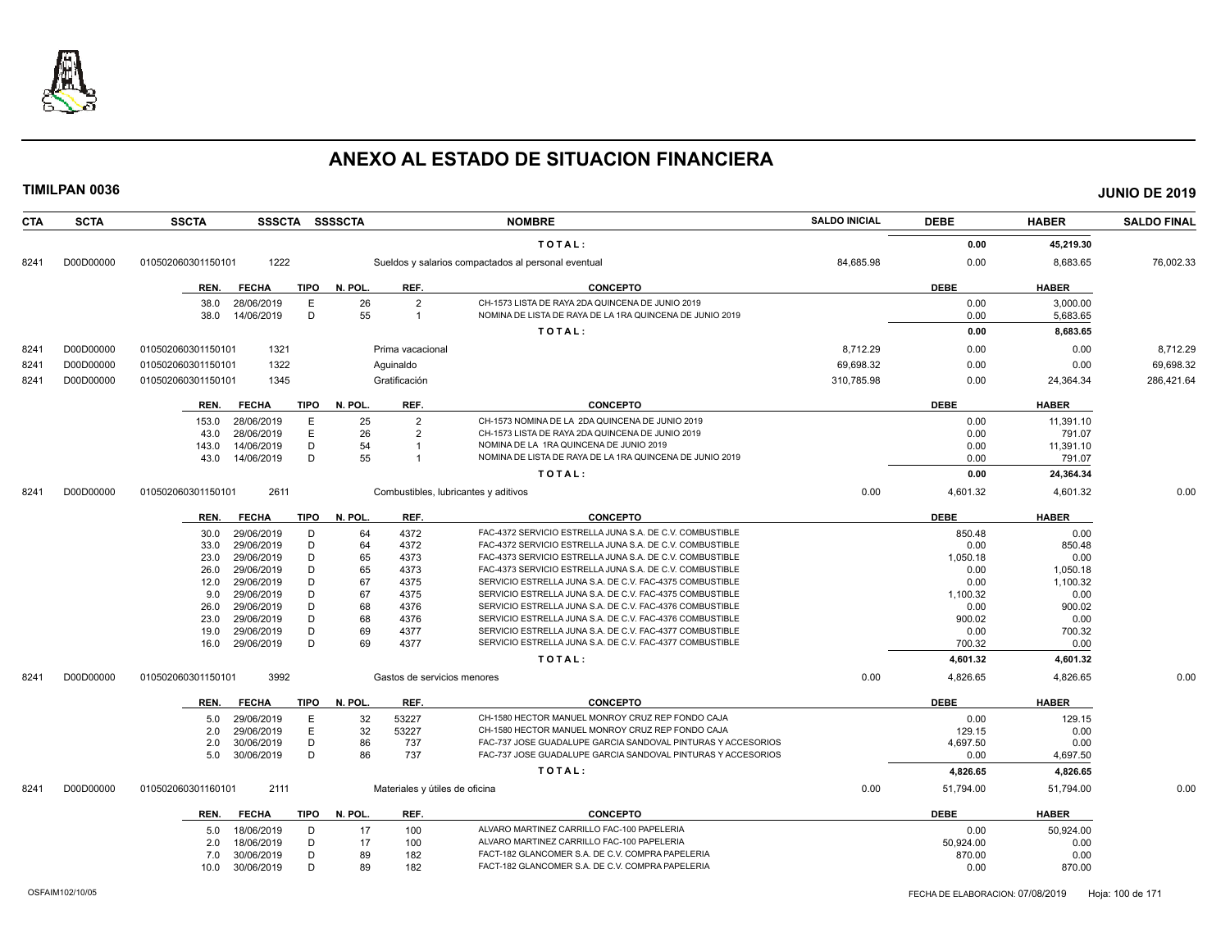

| <b>CTA</b> | <b>SCTA</b> | <b>SSCTA</b>       |                          | SSSCTA SSSSCTA         |                                | <b>NOMBRE</b>                                                                                        | <b>SALDO INICIAL</b> | <b>DEBE</b> | <b>HABER</b> | <b>SALDO FINAL</b> |
|------------|-------------|--------------------|--------------------------|------------------------|--------------------------------|------------------------------------------------------------------------------------------------------|----------------------|-------------|--------------|--------------------|
|            |             |                    |                          |                        |                                | TOTAL:                                                                                               |                      | 0.00        | 45,219.30    |                    |
| 8241       | D00D00000   | 010502060301150101 | 1222                     |                        |                                | Sueldos y salarios compactados al personal eventual                                                  | 84,685.98            | 0.00        | 8,683.65     | 76,002.33          |
|            |             | REN.               | <b>FECHA</b>             | TIPO<br>N. POL.        | REF.                           | <b>CONCEPTO</b>                                                                                      |                      | <b>DEBE</b> | <b>HABER</b> |                    |
|            |             | 38.0               | 28/06/2019               | 26<br>Ε                | $\overline{2}$                 | CH-1573 LISTA DE RAYA 2DA QUINCENA DE JUNIO 2019                                                     |                      | 0.00        | 3,000.00     |                    |
|            |             | 38.0               | 14/06/2019               | D<br>55                | $\overline{1}$                 | NOMINA DE LISTA DE RAYA DE LA 1RA QUINCENA DE JUNIO 2019                                             |                      | 0.00        | 5,683.65     |                    |
|            |             |                    |                          |                        |                                | TOTAL:                                                                                               |                      | 0.00        | 8,683.65     |                    |
| 8241       | D00D00000   | 010502060301150101 | 1321                     |                        | Prima vacacional               |                                                                                                      | 8,712.29             | 0.00        | 0.00         | 8,712.29           |
| 8241       | D00D00000   | 010502060301150101 | 1322                     |                        | Aguinaldo                      |                                                                                                      | 69,698.32            | 0.00        | 0.00         | 69,698.32          |
|            |             |                    | 1345                     |                        | Gratificación                  |                                                                                                      | 310.785.98           | 0.00        |              |                    |
| 8241       | D00D00000   | 010502060301150101 |                          |                        |                                |                                                                                                      |                      |             | 24,364.34    | 286,421.64         |
|            |             | REN.               | <b>FECHA</b>             | N. POL.<br>TIPO        | REF.                           | <b>CONCEPTO</b>                                                                                      |                      | <b>DEBE</b> | <b>HABER</b> |                    |
|            |             | 153.0              | 28/06/2019               | 25<br>Ε                | $\overline{2}$                 | CH-1573 NOMINA DE LA 2DA QUINCENA DE JUNIO 2019                                                      |                      | 0.00        | 11,391.10    |                    |
|            |             | 43.0               | 28/06/2019               | E<br>26                | $\overline{2}$                 | CH-1573 LISTA DE RAYA 2DA QUINCENA DE JUNIO 2019                                                     |                      | 0.00        | 791.07       |                    |
|            |             | 143.0              | 14/06/2019               | 54<br>D                | $\overline{1}$                 | NOMINA DE LA 1RA QUINCENA DE JUNIO 2019                                                              |                      | 0.00        | 11,391.10    |                    |
|            |             | 43.0               | 14/06/2019               | 55<br>D                |                                | NOMINA DE LISTA DE RAYA DE LA 1RA QUINCENA DE JUNIO 2019                                             |                      | 0.00        | 791.07       |                    |
|            |             |                    |                          |                        |                                | TOTAL:                                                                                               |                      | 0.00        | 24,364.34    |                    |
| 8241       | D00D00000   | 010502060301150101 | 2611                     |                        |                                | Combustibles, lubricantes y aditivos                                                                 | 0.00                 | 4,601.32    | 4,601.32     | 0.00               |
|            |             | REN.               | <b>FECHA</b>             | <b>TIPO</b><br>N. POL. | REF.                           | <b>CONCEPTO</b>                                                                                      |                      | <b>DEBE</b> | <b>HABER</b> |                    |
|            |             |                    |                          | 64<br>D                | 4372                           | FAC-4372 SERVICIO ESTRELLA JUNA S.A. DE C.V. COMBUSTIBLE                                             |                      | 850.48      | 0.00         |                    |
|            |             | 30.0<br>33.0       | 29/06/2019<br>29/06/2019 | 64<br>D                | 4372                           | FAC-4372 SERVICIO ESTRELLA JUNA S.A. DE C.V. COMBUSTIBLE                                             |                      | 0.00        | 850.48       |                    |
|            |             | 23.0               | 29/06/2019               | D<br>65                | 4373                           | FAC-4373 SERVICIO ESTRELLA JUNA S.A. DE C.V. COMBUSTIBLE                                             |                      | 1,050.18    | 0.00         |                    |
|            |             | 26.0               | 29/06/2019               | D<br>65                | 4373                           | FAC-4373 SERVICIO ESTRELLA JUNA S.A. DE C.V. COMBUSTIBLE                                             |                      | 0.00        | 1,050.18     |                    |
|            |             | 12.0               | 29/06/2019               | D<br>67                | 4375                           | SERVICIO ESTRELLA JUNA S.A. DE C.V. FAC-4375 COMBUSTIBLE                                             |                      | 0.00        | 1,100.32     |                    |
|            |             | 9.0                | 29/06/2019               | D<br>67                | 4375                           | SERVICIO ESTRELLA JUNA S.A. DE C.V. FAC-4375 COMBUSTIBLE                                             |                      | 1,100.32    | 0.00         |                    |
|            |             | 26.0               | 29/06/2019               | 68<br>D                | 4376                           | SERVICIO ESTRELLA JUNA S.A. DE C.V. FAC-4376 COMBUSTIBLE                                             |                      | 0.00        | 900.02       |                    |
|            |             | 23.0               | 29/06/2019               | 68<br>D                | 4376                           | SERVICIO ESTRELLA JUNA S.A. DE C.V. FAC-4376 COMBUSTIBLE                                             |                      | 900.02      | 0.00         |                    |
|            |             | 19.0               | 29/06/2019               | D<br>69                | 4377                           | SERVICIO ESTRELLA JUNA S.A. DE C.V. FAC-4377 COMBUSTIBLE                                             |                      | 0.00        | 700.32       |                    |
|            |             | 16.0               | 29/06/2019               | D<br>69                | 4377                           | SERVICIO ESTRELLA JUNA S.A. DE C.V. FAC-4377 COMBUSTIBLE                                             |                      | 700.32      | 0.00         |                    |
|            |             |                    |                          |                        |                                | TOTAL:                                                                                               |                      | 4,601.32    | 4,601.32     |                    |
| 8241       | D00D00000   | 010502060301150101 | 3992                     |                        | Gastos de servicios menores    |                                                                                                      | 0.00                 | 4,826.65    | 4,826.65     | 0.00               |
|            |             | REN.               | <b>FECHA</b>             | <b>TIPO</b><br>N. POL. | REF.                           | <b>CONCEPTO</b>                                                                                      |                      | <b>DEBE</b> | <b>HABER</b> |                    |
|            |             | 5.0                | 29/06/2019               | E<br>32                | 53227                          | CH-1580 HECTOR MANUEL MONROY CRUZ REP FONDO CAJA                                                     |                      | 0.00        | 129.15       |                    |
|            |             | 2.0                | 29/06/2019               | E<br>32                | 53227                          | CH-1580 HECTOR MANUEL MONROY CRUZ REP FONDO CAJA                                                     |                      | 129.15      | 0.00         |                    |
|            |             | 2.0                | 30/06/2019               | D<br>86                | 737                            | FAC-737 JOSE GUADALUPE GARCIA SANDOVAL PINTURAS Y ACCESORIOS                                         |                      | 4,697.50    | 0.00         |                    |
|            |             | 5.0                | 30/06/2019               | 86<br>D                | 737                            | FAC-737 JOSE GUADALUPE GARCIA SANDOVAL PINTURAS Y ACCESORIOS                                         |                      | 0.00        | 4,697.50     |                    |
|            |             |                    |                          |                        |                                | TOTAL:                                                                                               |                      | 4,826.65    | 4,826.65     |                    |
| 8241       | D00D00000   | 010502060301160101 | 2111                     |                        | Materiales y útiles de oficina |                                                                                                      | 0.00                 | 51,794.00   | 51,794.00    | 0.00               |
|            |             |                    |                          |                        |                                |                                                                                                      |                      |             |              |                    |
|            |             | REN.               | <b>FECHA</b>             | <b>TIPO</b><br>N. POL. | REF.                           | <b>CONCEPTO</b>                                                                                      |                      | <b>DEBE</b> | <b>HABER</b> |                    |
|            |             | 5.0                | 18/06/2019               | D<br>17                | 100                            | ALVARO MARTINEZ CARRILLO FAC-100 PAPELERIA                                                           |                      | 0.00        | 50,924.00    |                    |
|            |             | 2.0                | 18/06/2019               | D<br>17                | 100                            | ALVARO MARTINEZ CARRILLO FAC-100 PAPELERIA                                                           |                      | 50,924.00   | 0.00         |                    |
|            |             | 7.0                | 30/06/2019               | D<br>89                | 182                            | FACT-182 GLANCOMER S.A. DE C.V. COMPRA PAPELERIA<br>FACT-182 GLANCOMER S.A. DE C.V. COMPRA PAPELERIA |                      | 870.00      | 0.00         |                    |
|            |             | 10.0               | 30/06/2019               | D<br>89                | 182                            |                                                                                                      |                      | 0.00        | 870.00       |                    |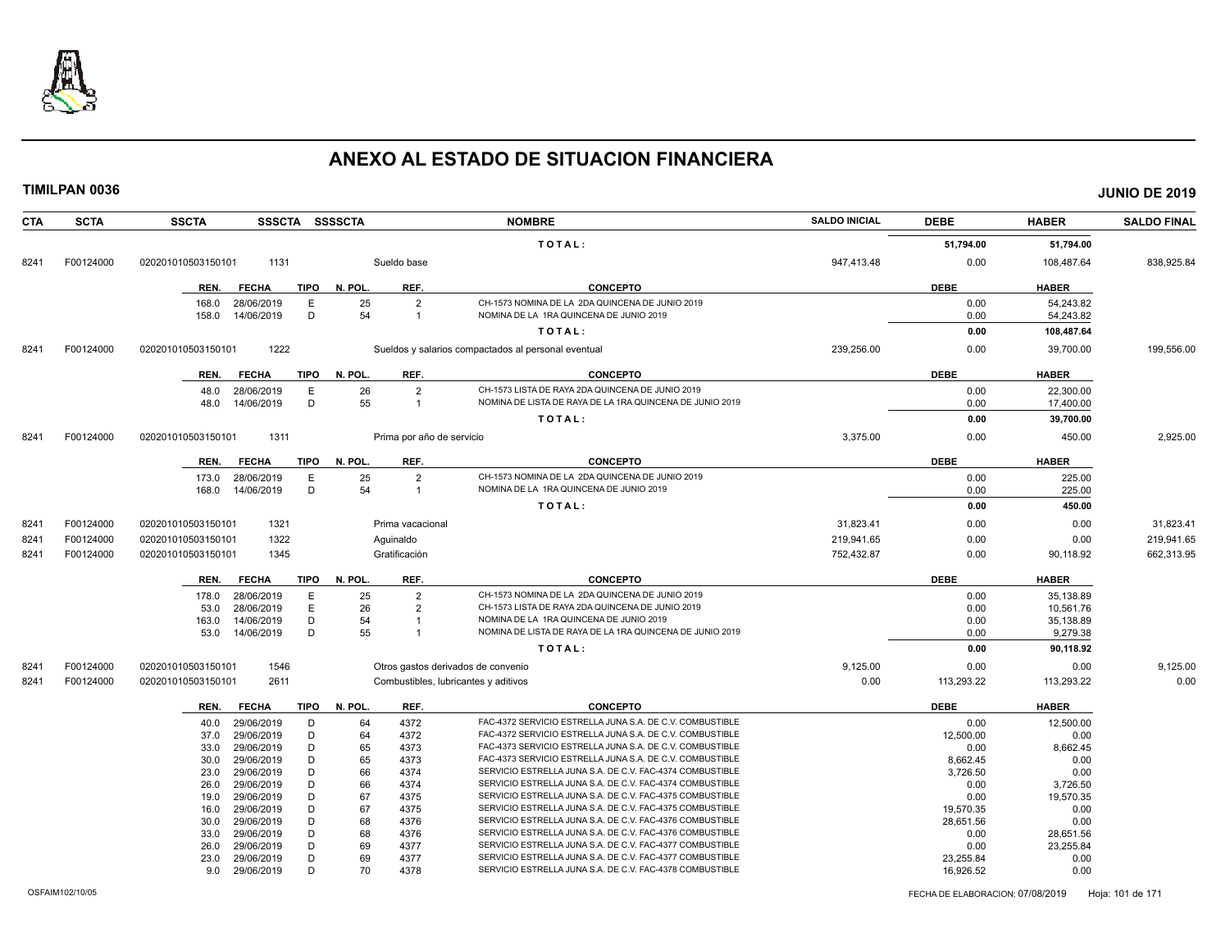

| <b>CTA</b> | <b>SCTA</b> | <b>SSCTA</b><br>SSSCTA SSSSCTA                       |              |                                  | <b>NOMBRE</b>                                                                              | <b>SALDO INICIAL</b> | <b>DEBE</b>  | <b>HABER</b>           | <b>SALDO FINAL</b> |
|------------|-------------|------------------------------------------------------|--------------|----------------------------------|--------------------------------------------------------------------------------------------|----------------------|--------------|------------------------|--------------------|
|            |             |                                                      |              |                                  | TOTAL:                                                                                     |                      | 51,794.00    | 51,794.00              |                    |
| 8241       | F00124000   | 020201010503150101<br>1131                           |              | Sueldo base                      |                                                                                            | 947,413.48           | 0.00         | 108,487.64             | 838,925.84         |
|            |             | <b>FECHA</b><br>TIPO<br>REN.                         | N. POL.      | REF.                             | <b>CONCEPTO</b>                                                                            |                      | <b>DEBE</b>  | <b>HABER</b>           |                    |
|            |             | E<br>28/06/2019<br>168.0                             | 25           | $\overline{2}$                   | CH-1573 NOMINA DE LA 2DA QUINCENA DE JUNIO 2019                                            |                      | 0.00         | 54.243.82              |                    |
|            |             | D<br>158.0<br>14/06/2019                             | 54           | $\overline{1}$                   | NOMINA DE LA 1RA QUINCENA DE JUNIO 2019                                                    |                      | 0.00         | 54,243.82              |                    |
|            |             |                                                      |              |                                  | TOTAL:                                                                                     |                      | 0.00         | 108,487.64             |                    |
| 8241       | F00124000   | 1222<br>020201010503150101                           |              |                                  | Sueldos y salarios compactados al personal eventual                                        | 239,256.00           | 0.00         | 39,700.00              | 199,556.00         |
|            |             | REN.<br><b>FECHA</b>                                 | TIPO N. POL. | REF.                             | <b>CONCEPTO</b>                                                                            |                      | <b>DEBE</b>  | <b>HABER</b>           |                    |
|            |             | Ε<br>48.0<br>28/06/2019                              | 26           | $\overline{2}$                   | CH-1573 LISTA DE RAYA 2DA QUINCENA DE JUNIO 2019                                           |                      | 0.00         | 22,300.00              |                    |
|            |             | D<br>14/06/2019<br>48.0                              | 55           | $\overline{1}$                   | NOMINA DE LISTA DE RAYA DE LA 1RA QUINCENA DE JUNIO 2019                                   |                      | 0.00         | 17,400.00              |                    |
|            |             |                                                      |              |                                  | TOTAL:                                                                                     |                      | 0.00         | 39,700.00              |                    |
| 8241       | F00124000   | 1311<br>020201010503150101                           |              | Prima por año de servicio        |                                                                                            | 3,375.00             | 0.00         | 450.00                 | 2,925.00           |
|            |             | REN.<br><b>FECHA</b><br>TIPO                         | N. POL.      | REF.                             | <b>CONCEPTO</b>                                                                            |                      | <b>DEBE</b>  | <b>HABER</b>           |                    |
|            |             | 28/06/2019<br>E<br>173.0<br>14/06/2019<br>D<br>168.0 | 25<br>54     | $\overline{2}$<br>$\overline{1}$ | CH-1573 NOMINA DE LA 2DA QUINCENA DE JUNIO 2019<br>NOMINA DE LA 1RA QUINCENA DE JUNIO 2019 |                      | 0.00<br>0.00 | 225.00<br>225.00       |                    |
|            |             |                                                      |              |                                  | TOTAL:                                                                                     |                      | 0.00         | 450.00                 |                    |
| 8241       | F00124000   | 1321<br>020201010503150101                           |              | Prima vacacional                 |                                                                                            | 31,823.41            | 0.00         | 0.00                   | 31,823.41          |
| 8241       | F00124000   | 1322<br>020201010503150101                           |              | Aguinaldo                        |                                                                                            | 219,941.65           | 0.00         | 0.00                   | 219,941.65         |
| 8241       | F00124000   | 1345<br>020201010503150101                           |              | Gratificación                    |                                                                                            | 752,432.87           | 0.00         | 90,118.92              | 662,313.95         |
|            |             |                                                      |              |                                  |                                                                                            |                      |              |                        |                    |
|            |             | TIPO<br>REN.<br><b>FECHA</b>                         | N. POL.      | REF.                             | <b>CONCEPTO</b><br>CH-1573 NOMINA DE LA 2DA QUINCENA DE JUNIO 2019                         |                      | <b>DEBE</b>  | <b>HABER</b>           |                    |
|            |             | 178.0<br>28/06/2019<br>E.<br>E<br>28/06/2019<br>53.0 | 25<br>26     | $\overline{2}$<br>$\overline{2}$ | CH-1573 LISTA DE RAYA 2DA QUINCENA DE JUNIO 2019                                           |                      | 0.00<br>0.00 | 35,138.89<br>10.561.76 |                    |
|            |             | D<br>14/06/2019<br>163.0                             | 54           |                                  | NOMINA DE LA 1RA QUINCENA DE JUNIO 2019                                                    |                      | 0.00         | 35,138.89              |                    |
|            |             | 14/06/2019<br>D<br>53.0                              | 55           | $\overline{1}$                   | NOMINA DE LISTA DE RAYA DE LA 1RA QUINCENA DE JUNIO 2019                                   |                      | 0.00         | 9,279.38               |                    |
|            |             |                                                      |              |                                  | TOTAL:                                                                                     |                      | 0.00         | 90,118.92              |                    |
| 8241       | F00124000   | 1546<br>020201010503150101                           |              |                                  | Otros gastos derivados de convenio                                                         | 9,125.00             | 0.00         | 0.00                   | 9,125.00           |
| 8241       | F00124000   | 020201010503150101<br>2611                           |              |                                  | Combustibles, lubricantes y aditivos                                                       | 0.00                 | 113,293.22   | 113,293.22             | 0.00               |
|            |             | <b>FECHA</b><br><b>TIPO</b><br>REN.                  | N. POL.      | REF.                             | <b>CONCEPTO</b>                                                                            |                      | <b>DEBE</b>  | <b>HABER</b>           |                    |
|            |             | 29/06/2019<br>D<br>40.0                              | 64           | 4372                             | FAC-4372 SERVICIO ESTRELLA JUNA S.A. DE C.V. COMBUSTIBLE                                   |                      | 0.00         | 12,500.00              |                    |
|            |             | 29/06/2019<br>D<br>37.0                              | 64           | 4372                             | FAC-4372 SERVICIO ESTRELLA JUNA S.A. DE C.V. COMBUSTIBLE                                   |                      | 12,500.00    | 0.00                   |                    |
|            |             | 29/06/2019<br>D<br>33.0                              | 65           | 4373                             | FAC-4373 SERVICIO ESTRELLA JUNA S.A. DE C.V. COMBUSTIBLE                                   |                      | 0.00         | 8,662.45               |                    |
|            |             | D<br>29/06/2019<br>30.0                              | 65           | 4373                             | FAC-4373 SERVICIO ESTRELLA JUNA S.A. DE C.V. COMBUSTIBLE                                   |                      | 8,662.45     | 0.00                   |                    |
|            |             | D<br>29/06/2019<br>23.0                              | 66           | 4374                             | SERVICIO ESTRELLA JUNA S.A. DE C.V. FAC-4374 COMBUSTIBLE                                   |                      | 3,726.50     | 0.00                   |                    |
|            |             | D<br>29/06/2019<br>26.0                              | 66           | 4374                             | SERVICIO ESTRELLA JUNA S.A. DE C.V. FAC-4374 COMBUSTIBLE                                   |                      | 0.00         | 3,726.50               |                    |
|            |             | 29/06/2019<br>D<br>19.0                              | 67           | 4375                             | SERVICIO ESTRELLA JUNA S.A. DE C.V. FAC-4375 COMBUSTIBLE                                   |                      | 0.00         | 19,570.35              |                    |
|            |             | D<br>29/06/2019<br>16.0                              | 67           | 4375                             | SERVICIO ESTRELLA JUNA S.A. DE C.V. FAC-4375 COMBUSTIBLE                                   |                      | 19,570.35    | 0.00                   |                    |
|            |             | 29/06/2019<br>D<br>30.0                              | 68           | 4376                             | SERVICIO ESTRELLA JUNA S.A. DE C.V. FAC-4376 COMBUSTIBLE                                   |                      | 28,651.56    | 0.00                   |                    |
|            |             | D<br>29/06/2019<br>33.0                              | 68           | 4376                             | SERVICIO ESTRELLA JUNA S.A. DE C.V. FAC-4376 COMBUSTIBLE                                   |                      | 0.00         | 28,651.56              |                    |
|            |             | 29/06/2019<br>D<br>26.0                              | 69           | 4377                             | SERVICIO ESTRELLA JUNA S.A. DE C.V. FAC-4377 COMBUSTIBLE                                   |                      | 0.00         | 23,255.84              |                    |
|            |             | D<br>29/06/2019<br>23.0                              | 69           | 4377                             | SERVICIO ESTRELLA JUNA S.A. DE C.V. FAC-4377 COMBUSTIBLE                                   |                      | 23,255.84    | 0.00                   |                    |
|            |             | D<br>29/06/2019<br>9.0                               | 70           | 4378                             | SERVICIO ESTRELLA JUNA S.A. DE C.V. FAC-4378 COMBUSTIBLE                                   |                      | 16,926.52    | 0.00                   |                    |
|            |             |                                                      |              |                                  |                                                                                            |                      |              |                        |                    |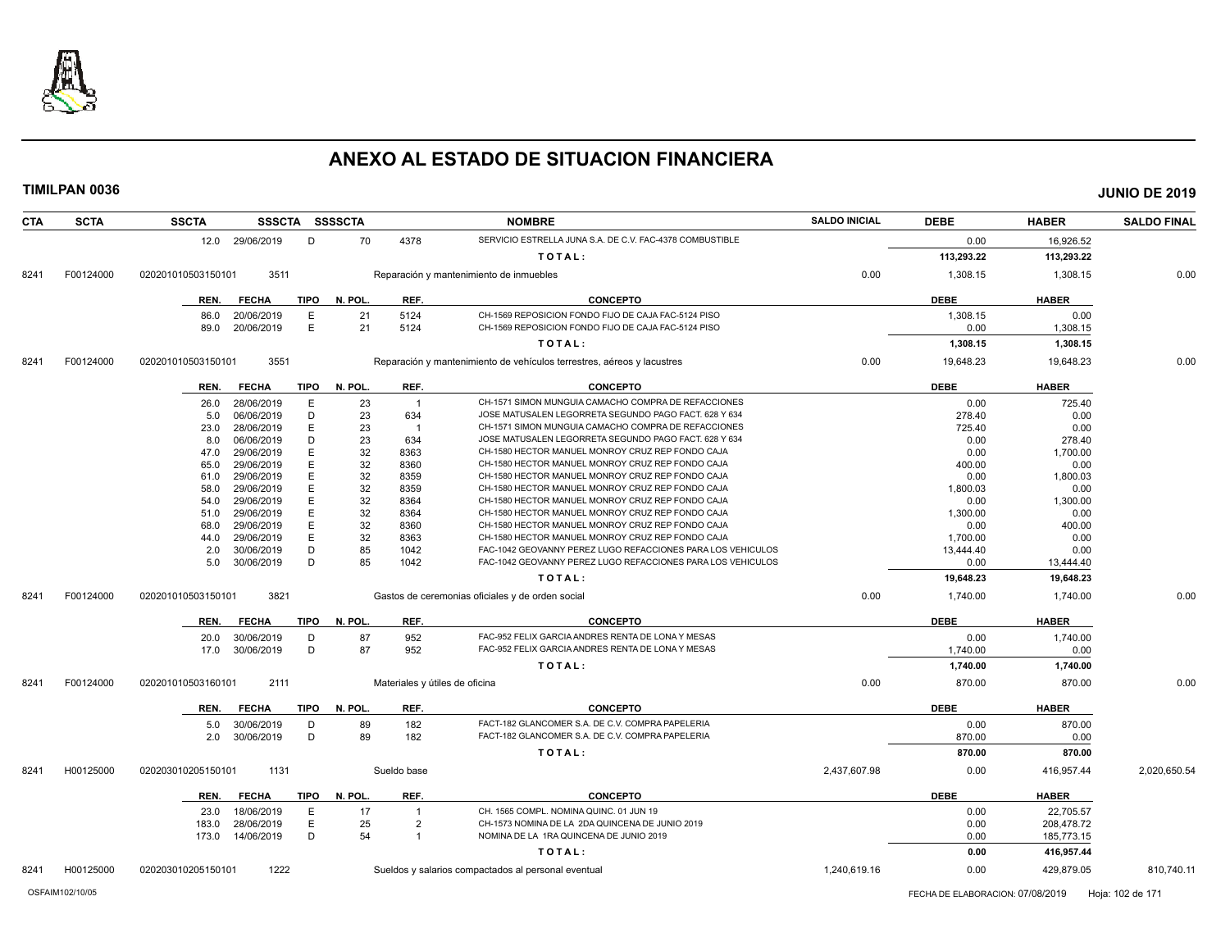

**TIMILPAN 0036 JUNIO DE 2019**

**CTA SCTA SSCTA SSSCTA SSSSCTA NOMBRE SALDO INICIAL DEBE HABER SALDO FINAL** 12.0 29/06/2019 D 70 4378 SERVICIO ESTRELLA JUNA S.A. DE C.V. FAC-4378 COMBUSTIBLE 0.00 16,926.52 **T O T A L : 113,293.22 113,293.22** 8241 F00124000 020201010503150101 3511 Reparación y mantenimiento de inmuebles 0.00 0.00 1,308.15 1,308.15 1,308.15 0.00 **REN. FECHA TIPO N. POL. REF. CONCEPTO DEBE HABER** 86.0 20/06/2019 E 21 5124 CH-1569 REPOSICION FONDO FIJO DE CAJA FAC-5124 PISO 1,300 1,300 1,300 1,300 1,300 1,300 1,300 1,300 1,300 1,300 1,300 1,300 1,300 1,300 1,300 1,300 1,300 1,300 1,300 1,300 1,300 1,300 1,300 1,300 89.0 20/06/2019 E 21 5124 CH-1569 REPOSICION FONDO FIJO DE CAJA FAC-5124 PISO **1,308.15** 0.00 1,308.15 **T O T A L : 1,308.15 1,308.15** 8241 F00124000 020201010503150101 3551 Reparación y mantenimiento de vehículos terrestres, aéreos y lacustres 0.00 19,648.23 19,648.23 19,648.23 19,648.23 19,648.23 19,648.23 19,648.23 19,648.23 19,648.23 19,648.23 19,648. **REN. FECHA TIPO N. POL. REF. CONCEPTO DEBE HABER** 26.0 28/06/2019 E 23 1 CH-1571 SIMON MUNGUIA CAMACHO COMPRA DE REFACCIONES 0.00 0 725.40 5.0 06/06/2019 D 23 634 JOSE MATUSALEN LEGORRETA SEGUNDO PAGO FACT. 628 Y 634 278.40 0.00 23.0 28/06/2019 E 23 1 CH-1571 SIMON MUNGUIA CAMACHO COMPRA DE REFACCIONES 725.40 725.40 0.00 8.0 06/06/2019 D 23 634 JOSE MATUSALEN LEGORRETA SEGUNDO PAGO FACT. 628 Y 634 0.00 278.40 47.0 29/06/2019 E 32 8363 CH-1580 HECTOR MANUEL MONROY CRUZ REP FONDO CAJA Q.00 1,700.00 1,700.00 65.0 29/06/2019 E 32 8360 CH-1580 HECTOR MANUEL MONROY CRUZ REP FONDO CAJA 400.00 0.00 61.0 29/06/2019 E 32 8359 CH-1580 HECTOR MANUEL MONROY CRUZ REP FONDO CAJA 0.00 1,800.03 58.0 29/06/2019 E 32 8359 CH-1580 HECTOR MANUEL MONROY CRUZ REP FONDO CAJA 1,800.03 0.00  $\begin{array}{l} 54.0 \quad 29/06/2019 \qquad E \qquad \qquad 32 \qquad \qquad 8364 \qquad \qquad \qquad CH\hbox{-}1580 \; H\hbox{ECTOR MANUEL MONROY CRUZ REP FONDO CAJA} \qquad \qquad \qquad 0.00 \qquad \qquad 1,300.00 \qquad \qquad 0.00 \qquad \qquad 0.00 \qquad \qquad 0.00 \qquad \qquad 0.00 \qquad \qquad 0.00 \qquad \qquad 0.00 \qquad \qquad 0.00 \qquad \qquad 0.00 \qquad \qquad 0.00$ 51.0 29/06/2019 E 32 8364 CH-1580 HECTOR MANUEL MONROY CRUZ REP FONDO CAJA 1,300.00 1,300.00 0.00 68.0 29/06/2019 E 32 8360 CH-1580 HECTOR MANUEL MONROY CRUZ REP FONDO CAJA 0.00 400.00 44.0 29/06/2019 E 32 8363 CH-1580 HECTOR MANUEL MONROY CRUZ REP FONDO CAJA 1,700.00 0.00 2.0 30/06/2019 D 85 1042 FAC-1042 GEOVANNY PEREZ LUGO REFACCIONES PARA LOS VEHICULOS 13,444.40 0.00 5.0 30/06/2019 D 85 1042 FAC-1042 GEOVANNY PEREZ LUGO REFACCIONES PARA LOS VEHICULOS 0.00 13,444.40 **T O T A L : 19,648.23 19,648.23** 8241 F00124000 020201010503150101 3821 Gastos de ceremonias oficiales y de orden social 0.00 1,740.00 1,740.00 1,740.00 1,740.00 1,740.00 0.00 **REN. FECHA TIPO N. POL. REF. CONCEPTO DEBE HABER** 20.0 30/06/2019 D 87 952 FAC-952 FELIX GARCIA ANDRES RENTA DE LONA Y MESAS 0.00 1,740.00 17.0 30/06/2019 D 87 952 FAC-952 FELIX GARCIA ANDRES RENTA DE LONA Y MESAS 1,740.00 1,740.00 0.00 **T O T A L : 1,740.00 1,740.00** 8241 F00124000 020201010503160101 2111 Materiales y útiles de oficina 0.00 870.00 870.00 0.00 **REN. FECHA TIPO N. POL. REF. CONCEPTO DEBE HABER** 5.0 30/06/2019 D 89 182 FACT-182 GLANCOMER S.A. DE C.V. COMPRA PAPELERIA 0.00 870.00 2.0 30/06/2019 D 89 182 FACT-182 GLANCOMER S.A. DE C.V. COMPRA PAPELERIA 870.00 0.00 **T O T A L : 870.00 870.00** 8241 H00125000 020203010205150101 1131 Sueldo base 2,437,607.98 0.00 416,957.44 2,020,650.54

|      |           | REN.               | <b>FECHA</b> | TIPO | N. POL. | <b>REF</b> | <b>CONCEPTO</b>                                     |              | <b>DEBE</b> | <b>HABER</b> |
|------|-----------|--------------------|--------------|------|---------|------------|-----------------------------------------------------|--------------|-------------|--------------|
|      |           | 23.0               | 18/06/2019   |      |         |            | CH. 1565 COMPL. NOMINA QUINC. 01 JUN 19             |              | 0.00        | 22,705.57    |
|      |           | 183.0              | 28/06/2019   |      |         |            | CH-1573 NOMINA DE LA 2DA QUINCENA DE JUNIO 2019     |              | 0.00        | 208.478.72   |
|      |           | 173.0              | 14/06/2019   |      |         |            | NOMINA DE LA 1RA QUINCENA DE JUNIO 2019             |              | 0.00        | 185,773.15   |
|      |           |                    |              |      |         |            | TOTAL:                                              |              | 0.00        | 416,957.44   |
| 8241 | 100125000 | 020203010205150101 | 1222         |      |         |            | Sueldos y salarios compactados al personal eventual | 1,240,619.16 | 0.00        | 429.879.05   |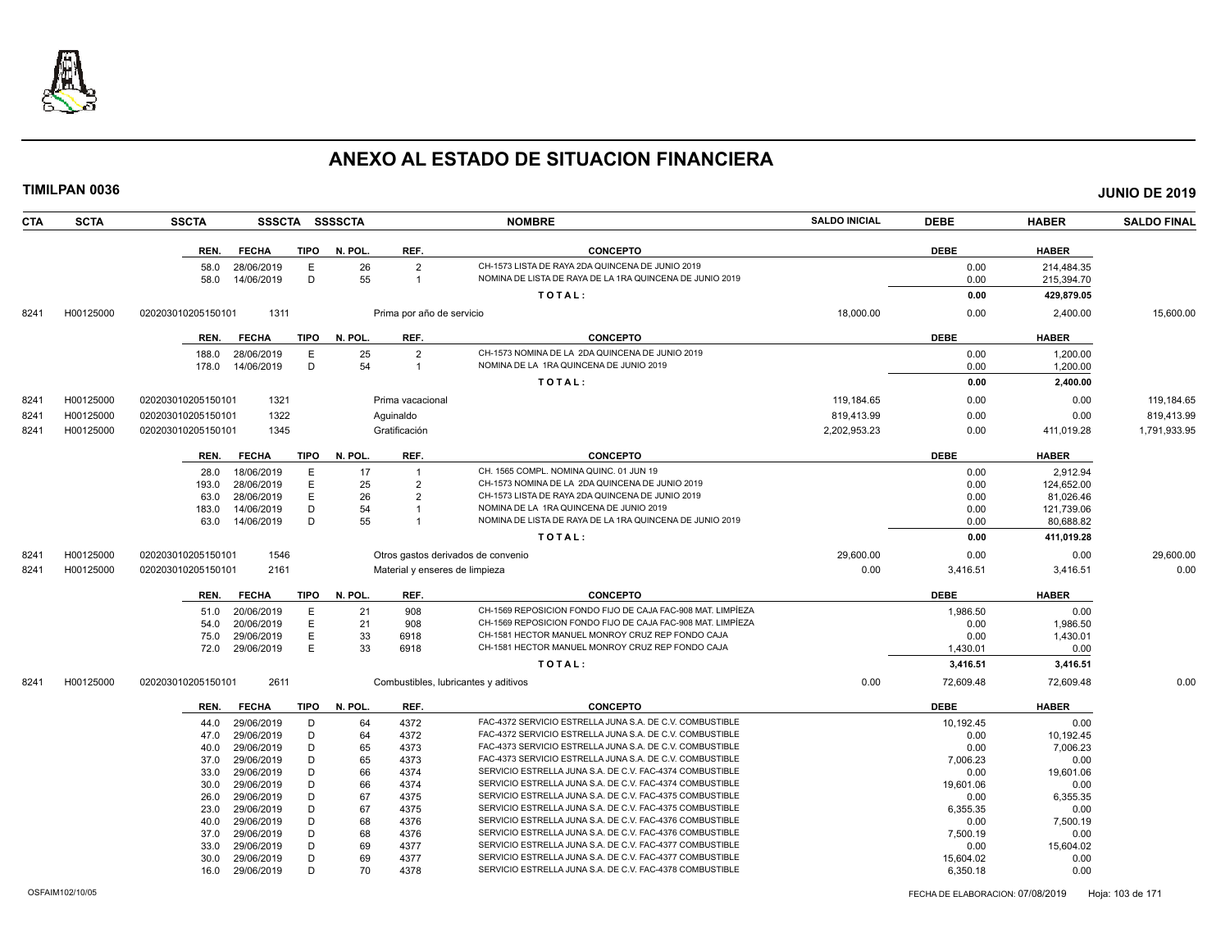

**TIMILPAN 0036 JUNIO DE 2019**

**CTA SCTA SSCTA SSSCTA SSSSCTA NOMBRE SALDO INICIAL DEBE HABER SALDO FINAL REN. FECHA TIPO N. POL. REF. CONCEPTO DEBE HABER** 58.0 28/06/2019 E 26 2 CH-1573 LISTA DE RAYA 2DA QUINCENA DE JUNIO 2019<br>58.0 14/06/2019 D 55 1 NOMINA DE LISTA DE RAYA DE LA 1RA QUINCENA DE JUNIO 2019 DO 2019 0.00 215.394.70 1 NOMINA DE LISTA DE RAYA DE LA 1RA QUINCENA DE JUNIO 2019 **T O T A L : 0.00 429,879.05** 8241 H00125000 020203010205150101 1311 Prima por año de servicio 18,000.00 0.00 2,400.00 15,600.00 **REN. FECHA TIPO N. POL. REF. CONCEPTO DEBE HABER** 188.0 28/06/2019 E 25 2 CH-1573 NOMINA DE LA 2DA QUINCENA DE JUNIO 2019 0.00 1,200.00 1,200.00 178.0 14/06/2019 D 54 1 NOMINA DE LA 1RA QUINCENA DE JUNIO 2019 0.00 1,200.00 1,200.00 **T O T A L : 0.00 2,400.00** 8241 H00125000 020203010205150101 1321 Prima vacacional 119,184.05 119,184.65 0.00 0.00 119,184.65 0.00 119,184.65 8241 H00125000 020203010205150101 1322 Aguinaldo 819,413.99 0.00 0.00 819,413.99 8241 H00125000 020203010205150101 1345 Gratificación 2,202,953.23 0.00 411,019.28 1,791,933.95 **REN. FECHA TIPO N. POL. REF. CONCEPTO DEBE HABER** 28.0 18/06/2019 E 17 1 CH. 1565 COMPL. NOMINA QUINC. 01 JUN 19 0.00 2,912.94 193.0 28/06/2019 E 25 2 CH-1573 NOMINA DE LA 2DA QUINCENA DE JUNIO 2019 0.00 124,652.00 63.0 28/06/2019 E 26 2 CH-1573 LISTA DE RAYA 2DA QUINCENA DE JUNIO 2019 0.00 81,026.46 183.0 14/06/2019 D 54 1 NOMINA DE LA 1RA QUINCENA DE JUNIO 2019 0.00 121,739.06 63.0 14/06/2019 D 55 1 NOMINA DE LISTA DE RAYA DE LA 1RA QUINCENA DE JUNIO 2019 0.00 80,688.82 **T O T A L : 0.00 411,019.28** 8241 H00125000 020203010205150101 1546 Otros gastos derivados de convenio 29,600.00 0.00 0.00 29,600.00 8241 H00125000 020203010205150101 2161 Material y enseres de limpieza 0.00 3,416.51 3,416.51 0.00 **REN. FECHA TIPO N. POL. REF. CONCEPTO DEBE HABER** 51.0 20/06/2019 E 21 908 CH-1569 REPOSICION FONDO FIJO DE CAJA FAC-908 MAT. LIMPÍEZA 1,986.50 1,986.50 0.00 54.0 20/06/2019 E 21 908 CH-1569 REPOSICION FONDO FIJO DE CAJA FAC-908 MAT. LIMPÍEZA 0.00 1,986.50 75.0 29/06/2019 E 33 6918 CH-1581 HECTOR MANUEL MONROY CRUZ REP FONDO CAJA 0.00 1,430.01 72.0 29/06/2019 E 33 6918 CH-1581 HECTOR MANUEL MONROY CRUZ REP FONDO CAJA 1,430.01 0.00 **T O T A L : 3,416.51 3,416.51** 8241 H00125000 020203010205150101 2611 Combustibles, lubricantes y aditivos 0.00 72,609.48 72,609.48 0.00 **REN. FECHA TIPO N. POL. REF. CONCEPTO DEBE HABER** 44.0 29/06/2019 D 64 4372 FAC-4372 SERVICIO ESTRELLA JUNA S.A. DE C.V. COMBUSTIBLE 10,192.45 10,192.45 0.00 47.0 29/06/2019 D 64 4372 FAC-4372 SERVICIO ESTRELLA JUNA S.A. DE C.V. COMBUSTIBLE<br>40.0 29/06/2019 D 65 4373 FAC-4373 SERVICIO ESTRELLA JUNA S.A. DE C.V. COMBUSTIBLE 10.00 0 7,006.23 FAC-4373 SERVICIO ESTRELLA JUNA S.A. DE C.V. COMBUSTIBLE 37.0 29/06/2019 D 65 4373 FAC-4373 SERVICIO ESTRELLA JUNA S.A. DE C.V. COMBUSTIBLE 7,006.23 7,006.23 0.00 33.0 29/06/2019 D 66 4374 SERVICIO ESTRELLA JUNA S.A. DE C.V. FAC-4374 COMBUSTIBLE 0.00 19,601.06 19,601.06 30.0 29/06/2019 D 66 4374 SERVICIO ESTRELLA JUNA S.A. DE C.V. FAC-4374 COMBUSTIBLE 19,601.06 0.00 26.0 29/06/2019 D 67 4375 SERVICIO ESTRELLA JUNA S.A. DE C.V. FAC-4375 COMBUSTIBLE 0.00 6,355.35 23.0 29/06/2019 D 67 4375 SERVICIO ESTRELLA JUNA S.A. DE C.V. FAC-4375 COMBUSTIBLE 6,355.35 6 6,355.35 0.00 40.0 29/06/2019 D 68 4376 SERVICIO ESTRELLA JUNA S.A. DE C.V. FAC-4376 COMBUSTIBLE 0.00 7,500.19

SERVICIO ESTRELLA JUNA S.A. DE C.V. FAC-4376 COMBUSTIBLE

33.0 29/06/2019 D 69 4377 SERVICIO ESTRELLA JUNA S.A. DE C.V. FAC-4377 COMBUSTIBLE 0.00 16,604.02 30.0 29/06/2019 D 69 4377 SERVICIO ESTRELLA JUNA S.A. DE C.V. FAC-4377 COMBUSTIBLE 15,604.02 15,604.02 0.00 16.0 29/06/2019 D 70 4378 SERVICIO ESTRELLA JUNA S.A. DE C.V. FAC-4378 COMBUSTIBLE 6,350.18 6,350.18 0.00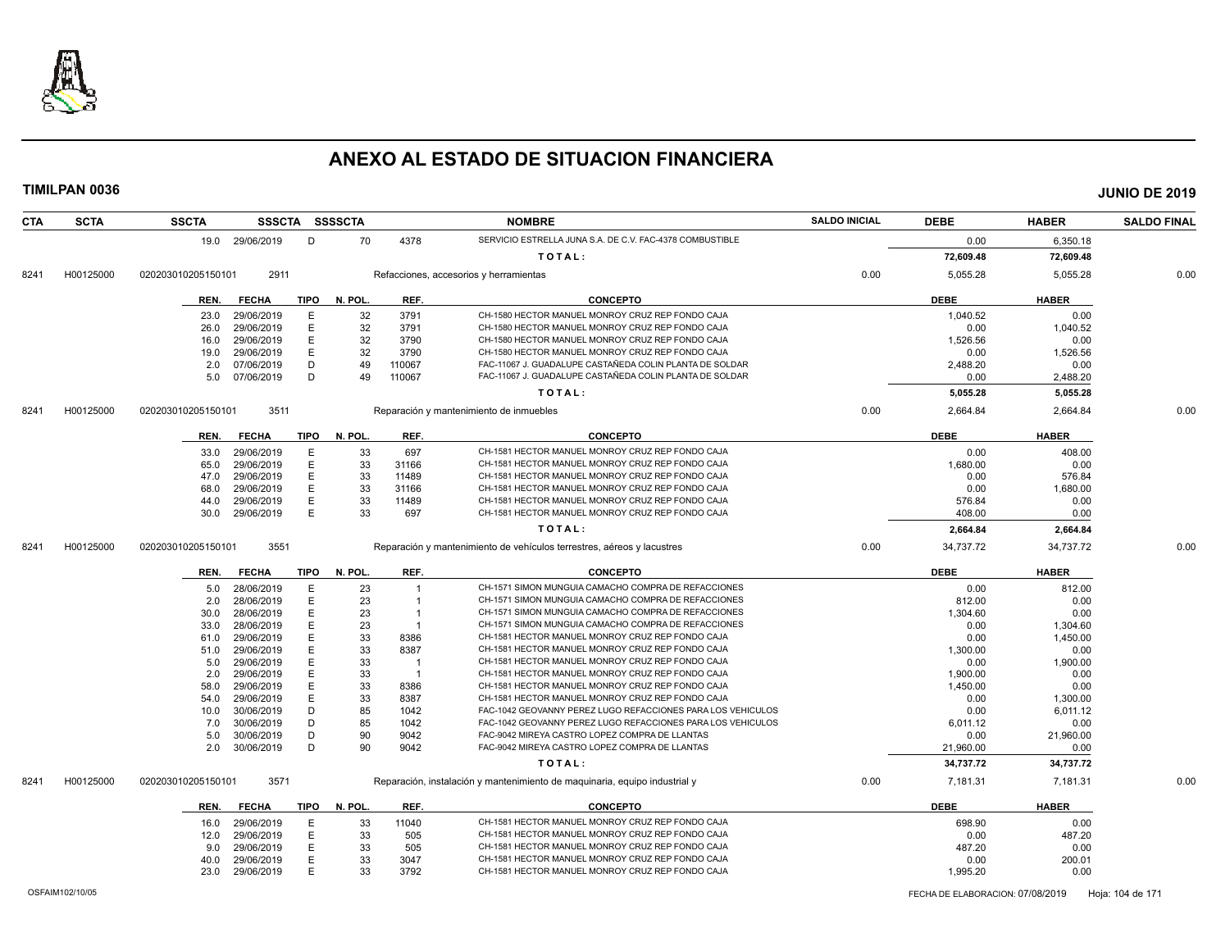

| <b>CTA</b> | <b>SCTA</b> | <b>SSCTA</b>       | <b>SSSCTA</b>            |             | SSSSCTA  |        | <b>NOMBRE</b>                                                              | <b>SALDO INICIAL</b> | <b>DEBE</b> | <b>HABER</b>     | <b>SALDO FINAL</b> |
|------------|-------------|--------------------|--------------------------|-------------|----------|--------|----------------------------------------------------------------------------|----------------------|-------------|------------------|--------------------|
|            |             |                    | 19.0 29/06/2019          | D           | 70       | 4378   | SERVICIO ESTRELLA JUNA S.A. DE C.V. FAC-4378 COMBUSTIBLE                   |                      | 0.00        | 6,350.18         |                    |
|            |             |                    |                          |             |          |        | TOTAL:                                                                     |                      | 72,609.48   | 72,609.48        |                    |
| 8241       | H00125000   | 020203010205150101 | 2911                     |             |          |        | Refacciones, accesorios y herramientas                                     | 0.00                 | 5,055.28    | 5,055.28         | 0.00               |
|            |             | REN.               | <b>FECHA</b>             | <b>TIPO</b> | N. POL.  | REF.   | <b>CONCEPTO</b>                                                            |                      | <b>DEBE</b> | <b>HABER</b>     |                    |
|            |             | 23.0               | 29/06/2019               | E           | 32       | 3791   | CH-1580 HECTOR MANUEL MONROY CRUZ REP FONDO CAJA                           |                      | 1,040.52    | 0.00             |                    |
|            |             | 26.0               | 29/06/2019               | E           | 32       | 3791   | CH-1580 HECTOR MANUEL MONROY CRUZ REP FONDO CAJA                           |                      | 0.00        | 1,040.52         |                    |
|            |             | 16.0               | 29/06/2019               | E           | 32       | 3790   | CH-1580 HECTOR MANUEL MONROY CRUZ REP FONDO CAJA                           |                      | 1,526.56    | 0.00             |                    |
|            |             | 19.0               | 29/06/2019               | E           | 32       | 3790   | CH-1580 HECTOR MANUEL MONROY CRUZ REP FONDO CAJA                           |                      | 0.00        | 1,526.56         |                    |
|            |             | 2.0                | 07/06/2019               | D           | 49       | 110067 | FAC-11067 J. GUADALUPE CASTAÑEDA COLIN PLANTA DE SOLDAR                    |                      | 2,488.20    | 0.00             |                    |
|            |             | 5.0                | 07/06/2019               | D           | 49       | 110067 | FAC-11067 J. GUADALUPE CASTAÑEDA COLIN PLANTA DE SOLDAR                    |                      | 0.00        | 2,488.20         |                    |
|            |             |                    |                          |             |          |        | TOTAL:                                                                     |                      | 5,055.28    | 5,055.28         |                    |
| 8241       | H00125000   | 020203010205150101 | 3511                     |             |          |        | Reparación y mantenimiento de inmuebles                                    | 0.00                 | 2,664.84    | 2,664.84         | 0.00               |
|            |             | REN.               | <b>FECHA</b>             | <b>TIPO</b> | N. POL.  | REF.   | <b>CONCEPTO</b>                                                            |                      | <b>DEBE</b> | <b>HABER</b>     |                    |
|            |             |                    | 29/06/2019               |             |          | 697    | CH-1581 HECTOR MANUEL MONROY CRUZ REP FONDO CAJA                           |                      | 0.00        | 408.00           |                    |
|            |             | 33.0               | 29/06/2019               | E<br>E      | 33<br>33 | 31166  | CH-1581 HECTOR MANUEL MONROY CRUZ REP FONDO CAJA                           |                      | 1,680.00    | 0.00             |                    |
|            |             | 65.0<br>47.0       | 29/06/2019               | E           | 33       | 11489  | CH-1581 HECTOR MANUEL MONROY CRUZ REP FONDO CAJA                           |                      | 0.00        | 576.84           |                    |
|            |             | 68.0               |                          | E           | 33       | 31166  | CH-1581 HECTOR MANUEL MONROY CRUZ REP FONDO CAJA                           |                      | 0.00        |                  |                    |
|            |             |                    | 29/06/2019               | E           | 33       | 11489  | CH-1581 HECTOR MANUEL MONROY CRUZ REP FONDO CAJA                           |                      | 576.84      | 1,680.00<br>0.00 |                    |
|            |             | 44.0<br>30.0       | 29/06/2019<br>29/06/2019 | E           | 33       | 697    | CH-1581 HECTOR MANUEL MONROY CRUZ REP FONDO CAJA                           |                      | 408.00      | 0.00             |                    |
|            |             |                    |                          |             |          |        | TOTAL:                                                                     |                      | 2,664.84    | 2,664.84         |                    |
|            |             |                    |                          |             |          |        |                                                                            |                      |             |                  |                    |
| 8241       | H00125000   | 020203010205150101 | 3551                     |             |          |        | Reparación y mantenimiento de vehículos terrestres, aéreos y lacustres     | 0.00                 | 34,737.72   | 34,737.72        | 0.00               |
|            |             | REN.               | <b>FECHA</b>             | TIPO        | N. POL.  | REF.   | <b>CONCEPTO</b>                                                            |                      | <b>DEBE</b> | <b>HABER</b>     |                    |
|            |             | 5.0                | 28/06/2019               | E           | 23       |        | CH-1571 SIMON MUNGUIA CAMACHO COMPRA DE REFACCIONES                        |                      | 0.00        | 812.00           |                    |
|            |             | 2.0                | 28/06/2019               | E           | 23       |        | CH-1571 SIMON MUNGUIA CAMACHO COMPRA DE REFACCIONES                        |                      | 812.00      | 0.00             |                    |
|            |             | 30.0               | 28/06/2019               | E.          | 23       |        | CH-1571 SIMON MUNGUIA CAMACHO COMPRA DE REFACCIONES                        |                      | 1,304.60    | 0.00             |                    |
|            |             | 33.0               | 28/06/2019               | E           | 23       |        | CH-1571 SIMON MUNGUIA CAMACHO COMPRA DE REFACCIONES                        |                      | 0.00        | 1,304.60         |                    |
|            |             | 61.0               | 29/06/2019               | E           | 33       | 8386   | CH-1581 HECTOR MANUEL MONROY CRUZ REP FONDO CAJA                           |                      | 0.00        | 1,450.00         |                    |
|            |             | 51.0               | 29/06/2019               | E           | 33       | 8387   | CH-1581 HECTOR MANUEL MONROY CRUZ REP FONDO CAJA                           |                      | 1,300.00    | 0.00             |                    |
|            |             | 5.0                | 29/06/2019               | Е           | 33       | - 1    | CH-1581 HECTOR MANUEL MONROY CRUZ REP FONDO CAJA                           |                      | 0.00        | 1,900.00         |                    |
|            |             | 2.0                | 29/06/2019               | E           | 33       | - 1    | CH-1581 HECTOR MANUEL MONROY CRUZ REP FONDO CAJA                           |                      | 1,900.00    | 0.00             |                    |
|            |             | 58.0               | 29/06/2019               | Ε           | 33       | 8386   | CH-1581 HECTOR MANUEL MONROY CRUZ REP FONDO CAJA                           |                      | 1,450.00    | 0.00             |                    |
|            |             | 54.0               | 29/06/2019               | E           | 33       | 8387   | CH-1581 HECTOR MANUEL MONROY CRUZ REP FONDO CAJA                           |                      | 0.00        | 1,300.00         |                    |
|            |             | 10.0               | 30/06/2019               | D           | 85       | 1042   | FAC-1042 GEOVANNY PEREZ LUGO REFACCIONES PARA LOS VEHICULOS                |                      | 0.00        | 6,011.12         |                    |
|            |             | 7.0                | 30/06/2019               | D           | 85       | 1042   | FAC-1042 GEOVANNY PEREZ LUGO REFACCIONES PARA LOS VEHICULOS                |                      | 6,011.12    | 0.00             |                    |
|            |             | 5.0                | 30/06/2019               | D           | 90       | 9042   | FAC-9042 MIREYA CASTRO LOPEZ COMPRA DE LLANTAS                             |                      | 0.00        | 21,960.00        |                    |
|            |             | 2.0                | 30/06/2019               | D           | 90       | 9042   | FAC-9042 MIREYA CASTRO LOPEZ COMPRA DE LLANTAS                             |                      | 21,960.00   | 0.00             |                    |
|            |             |                    |                          |             |          |        | TOTAL:                                                                     |                      | 34,737.72   | 34,737.72        |                    |
| 8241       | H00125000   | 020203010205150101 | 3571                     |             |          |        | Reparación, instalación y mantenimiento de maquinaria, equipo industrial y | 0.00                 | 7,181.31    | 7,181.31         | 0.00               |
|            |             | REN.               | <b>FECHA</b>             | <b>TIPO</b> | N. POL.  | REF.   | <b>CONCEPTO</b>                                                            |                      | <b>DEBE</b> | <b>HABER</b>     |                    |
|            |             | 16.0               | 29/06/2019               | E           | 33       | 11040  | CH-1581 HECTOR MANUEL MONROY CRUZ REP FONDO CAJA                           |                      | 698.90      | 0.00             |                    |
|            |             | 12.0               | 29/06/2019               | E           | 33       | 505    | CH-1581 HECTOR MANUEL MONROY CRUZ REP FONDO CAJA                           |                      | 0.00        | 487.20           |                    |
|            |             | 9.0                | 29/06/2019               | E           | 33       | 505    | CH-1581 HECTOR MANUEL MONROY CRUZ REP FONDO CAJA                           |                      | 487.20      | 0.00             |                    |
|            |             | 40.0               | 29/06/2019               | E           | 33       | 3047   | CH-1581 HECTOR MANUEL MONROY CRUZ REP FONDO CAJA                           |                      | 0.00        | 200.01           |                    |
|            |             | 23.0               | 29/06/2019               | E           | 33       | 3792   | CH-1581 HECTOR MANUEL MONROY CRUZ REP FONDO CAJA                           |                      | 1,995.20    | 0.00             |                    |
|            |             |                    |                          |             |          |        |                                                                            |                      |             |                  |                    |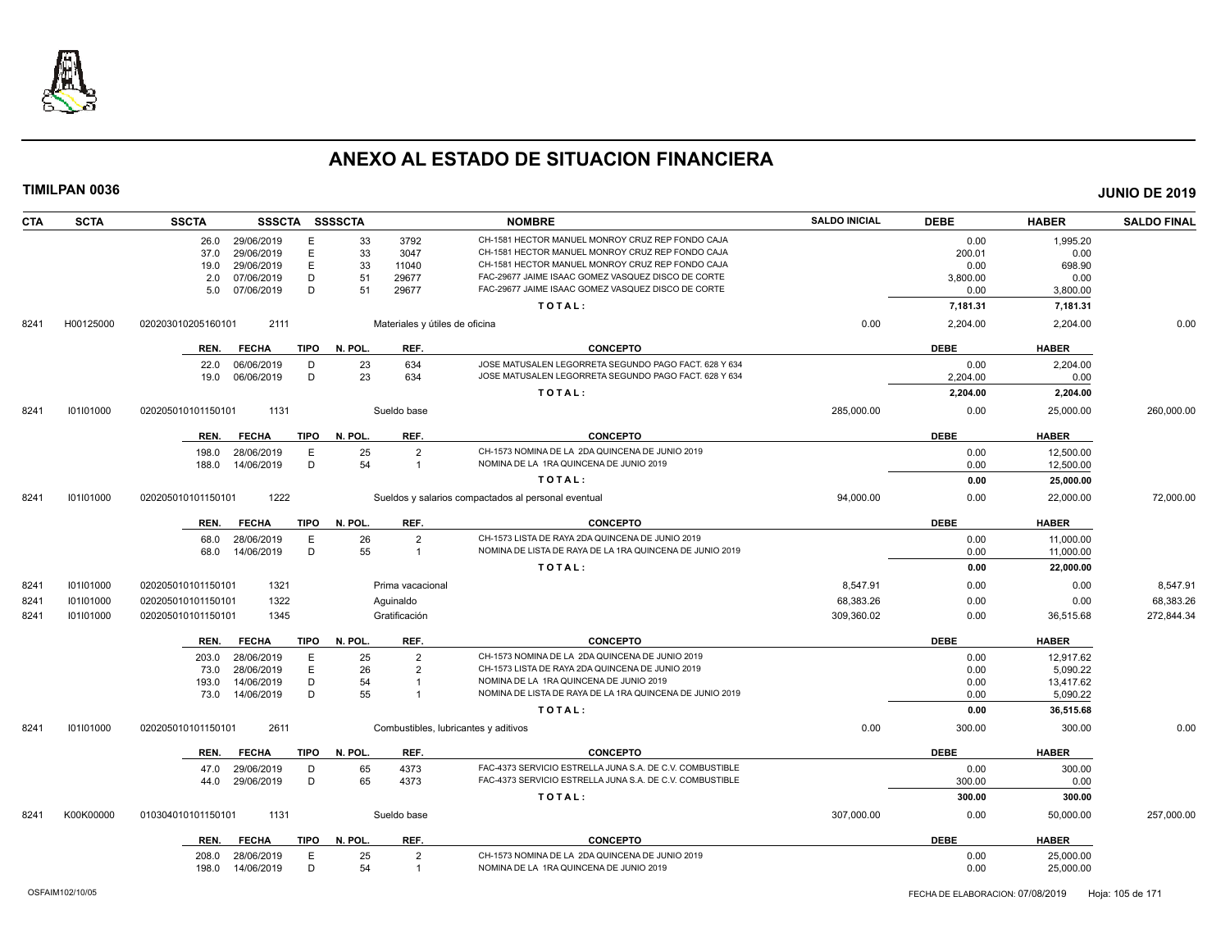

| <b>CTA</b> | <b>SCTA</b> | <b>SSCTA</b>       |                   |             | SSSCTA SSSSCTA |                                | <b>NOMBRE</b>                                            | <b>SALDO INICIAL</b> | <b>DEBE</b> | <b>HABER</b> | <b>SALDO FINAL</b> |
|------------|-------------|--------------------|-------------------|-------------|----------------|--------------------------------|----------------------------------------------------------|----------------------|-------------|--------------|--------------------|
|            |             | 26.0               | 29/06/2019        | Ε           | 33             | 3792                           | CH-1581 HECTOR MANUEL MONROY CRUZ REP FONDO CAJA         |                      | 0.00        | 1,995.20     |                    |
|            |             | 37.0               | 29/06/2019        | E           | 33             | 3047                           | CH-1581 HECTOR MANUEL MONROY CRUZ REP FONDO CAJA         |                      | 200.01      | 0.00         |                    |
|            |             | 19.0               | 29/06/2019        | $\mathsf E$ | 33             | 11040                          | CH-1581 HECTOR MANUEL MONROY CRUZ REP FONDO CAJA         |                      | 0.00        | 698.90       |                    |
|            |             | 2.0                | 07/06/2019        | D           | 51             | 29677                          | FAC-29677 JAIME ISAAC GOMEZ VASQUEZ DISCO DE CORTE       |                      | 3,800.00    | 0.00         |                    |
|            |             | 5.0                | 07/06/2019        | D           | 51             | 29677                          | FAC-29677 JAIME ISAAC GOMEZ VASQUEZ DISCO DE CORTE       |                      | 0.00        | 3,800.00     |                    |
|            |             |                    |                   |             |                |                                | TOTAL:                                                   |                      | 7,181.31    | 7,181.31     |                    |
| 8241       | H00125000   | 020203010205160101 | 2111              |             |                | Materiales y útiles de oficina |                                                          | 0.00                 | 2,204.00    | 2,204.00     | 0.00               |
|            |             | REN.               | <b>FECHA</b>      | <b>TIPO</b> | N. POL.        | REF.                           | <b>CONCEPTO</b>                                          |                      | <b>DEBE</b> | <b>HABER</b> |                    |
|            |             | 22.0               | 06/06/2019        | D           | 23             | 634                            | JOSE MATUSALEN LEGORRETA SEGUNDO PAGO FACT. 628 Y 634    |                      | 0.00        | 2,204.00     |                    |
|            |             | 19.0               | 06/06/2019        | D           | 23             | 634                            | JOSE MATUSALEN LEGORRETA SEGUNDO PAGO FACT. 628 Y 634    |                      | 2,204.00    | 0.00         |                    |
|            |             |                    |                   |             |                |                                | TOTAL:                                                   |                      | 2,204.00    | 2,204.00     |                    |
| 8241       | 101101000   | 020205010101150101 | 1131              |             |                | Sueldo base                    |                                                          | 285,000.00           | 0.00        | 25,000.00    | 260,000.00         |
|            |             | REN.               | <b>FECHA</b>      | TIPO        | N. POL.        | REF.                           | <b>CONCEPTO</b>                                          |                      | <b>DEBE</b> | <b>HABER</b> |                    |
|            |             | 198.0              | 28/06/2019        | E           | 25             | $\overline{2}$                 | CH-1573 NOMINA DE LA 2DA QUINCENA DE JUNIO 2019          |                      | 0.00        | 12,500.00    |                    |
|            |             | 188.0              | 14/06/2019        | D           | 54             | $\overline{1}$                 | NOMINA DE LA 1RA QUINCENA DE JUNIO 2019                  |                      | 0.00        | 12,500.00    |                    |
|            |             |                    |                   |             |                |                                | TOTAL:                                                   |                      | 0.00        | 25,000.00    |                    |
| 8241       | 101101000   | 020205010101150101 | 1222              |             |                |                                | Sueldos y salarios compactados al personal eventual      | 94,000.00            | 0.00        | 22,000.00    | 72,000.00          |
|            |             | REN.               | <b>FECHA</b>      | TIPO        | N. POL.        | REF.                           | <b>CONCEPTO</b>                                          |                      | <b>DEBE</b> | <b>HABER</b> |                    |
|            |             | 68.0               | 28/06/2019        | E           | 26             | $\overline{2}$                 | CH-1573 LISTA DE RAYA 2DA QUINCENA DE JUNIO 2019         |                      | 0.00        | 11,000.00    |                    |
|            |             | 68.0               | 14/06/2019        | D           | 55             | $\overline{1}$                 | NOMINA DE LISTA DE RAYA DE LA 1RA QUINCENA DE JUNIO 2019 |                      | 0.00        | 11,000.00    |                    |
|            |             |                    |                   |             |                |                                | TOTAL:                                                   |                      | 0.00        | 22,000.00    |                    |
| 8241       | 101101000   | 020205010101150101 | 1321              |             |                | Prima vacacional               |                                                          | 8.547.91             | 0.00        | 0.00         | 8,547.91           |
| 8241       | 101101000   | 020205010101150101 | 1322              |             |                | Aguinaldo                      |                                                          | 68,383.26            | 0.00        | 0.00         | 68,383.26          |
| 8241       | 101101000   | 020205010101150101 | 1345              |             |                | Gratificación                  |                                                          | 309,360.02           | 0.00        | 36,515.68    | 272,844.34         |
|            |             | REN.               | <b>FECHA</b>      | <b>TIPO</b> | N. POL.        | REF.                           | <b>CONCEPTO</b>                                          |                      | <b>DEBE</b> | <b>HABER</b> |                    |
|            |             | 203.0              | 28/06/2019        | E           | 25             | $\overline{2}$                 | CH-1573 NOMINA DE LA 2DA QUINCENA DE JUNIO 2019          |                      | 0.00        | 12.917.62    |                    |
|            |             | 73.0               | 28/06/2019        | E           | 26             | $\overline{2}$                 | CH-1573 LISTA DE RAYA 2DA QUINCENA DE JUNIO 2019         |                      | 0.00        | 5,090.22     |                    |
|            |             | 193.0              | 14/06/2019        | D           | 54             | -1                             | NOMINA DE LA 1RA QUINCENA DE JUNIO 2019                  |                      | 0.00        | 13,417.62    |                    |
|            |             |                    | 73.0 14/06/2019   | D           | 55             | -1                             | NOMINA DE LISTA DE RAYA DE LA 1RA QUINCENA DE JUNIO 2019 |                      | 0.00        | 5,090.22     |                    |
|            |             |                    |                   |             |                |                                | TOTAL:                                                   |                      | 0.00        | 36,515.68    |                    |
| 8241       | 101101000   | 020205010101150101 | 2611              |             |                |                                | Combustibles, lubricantes y aditivos                     | 0.00                 | 300.00      | 300.00       | 0.00               |
|            |             | REN.               | <b>FECHA</b>      | <b>TIPO</b> | N. POL.        | REF.                           | <b>CONCEPTO</b>                                          |                      | <b>DEBE</b> | <b>HABER</b> |                    |
|            |             | 47.0               | 29/06/2019        | D           | 65             | 4373                           | FAC-4373 SERVICIO ESTRELLA JUNA S.A. DE C.V. COMBUSTIBLE |                      | 0.00        | 300.00       |                    |
|            |             | 44.0               | 29/06/2019        | D           | 65             | 4373                           | FAC-4373 SERVICIO ESTRELLA JUNA S.A. DE C.V. COMBUSTIBLE |                      | 300.00      | 0.00         |                    |
|            |             |                    |                   |             |                |                                | TOTAL:                                                   |                      | 300.00      | 300.00       |                    |
| 8241       | K00K00000   | 010304010101150101 | 1131              |             |                | Sueldo base                    |                                                          | 307,000.00           | 0.00        | 50,000.00    | 257,000.00         |
|            |             | REN.               | <b>FECHA</b>      |             | TIPO N. POL.   | REF.                           | <b>CONCEPTO</b>                                          |                      | <b>DEBE</b> | <b>HABER</b> |                    |
|            |             | 208.0              | 28/06/2019        | Е           | 25             | $\overline{2}$                 | CH-1573 NOMINA DE LA 2DA QUINCENA DE JUNIO 2019          |                      | 0.00        | 25,000.00    |                    |
|            |             |                    | 198.0  14/06/2019 | D           | 54             | $\overline{1}$                 | NOMINA DE LA 1RA QUINCENA DE JUNIO 2019                  |                      | 0.00        | 25,000.00    |                    |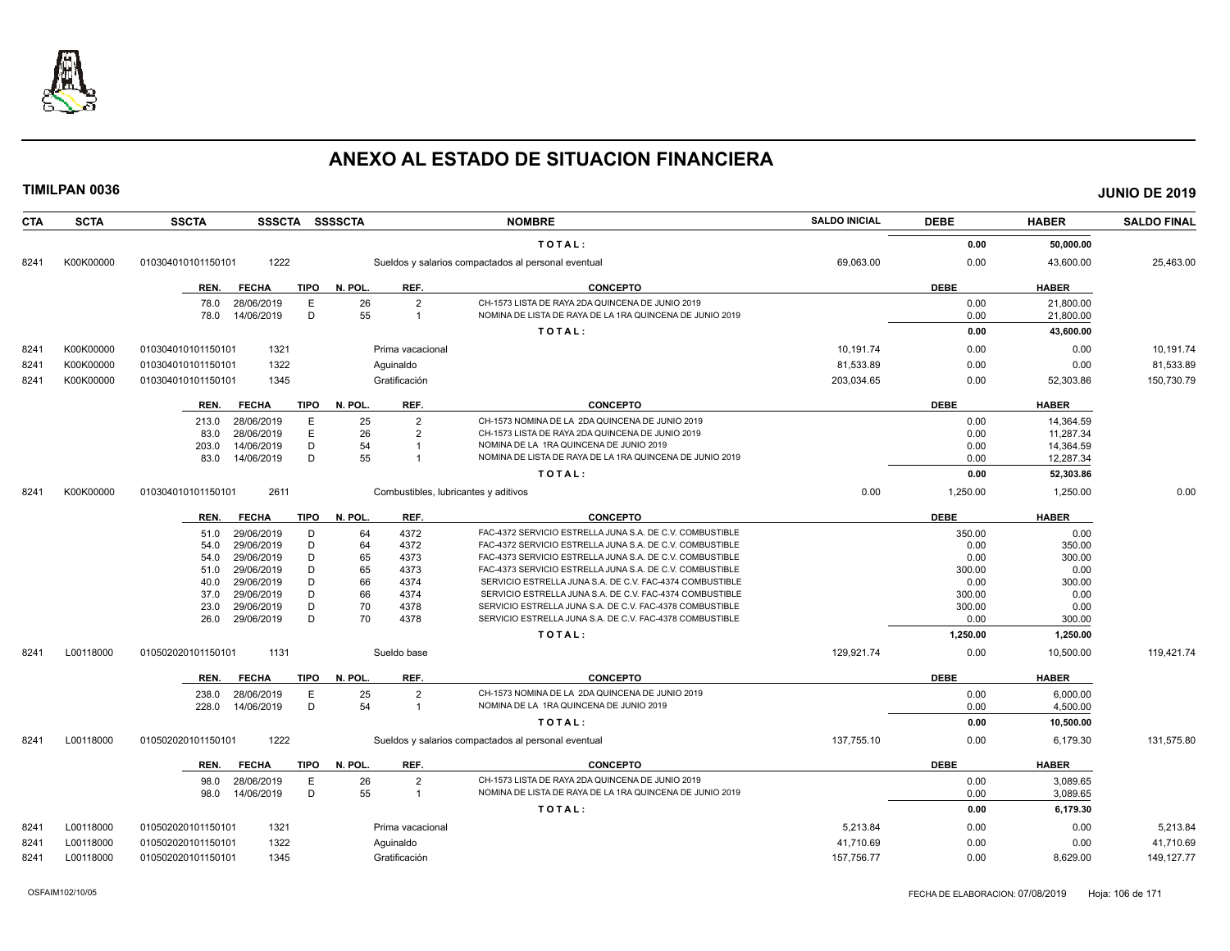

| <b>CTA</b> | <b>SCTA</b> | <b>SSCTA</b><br>SSSCTA SSSSCTA      |                                              | <b>NOMBRE</b>                                                                                                | <b>SALDO INICIAL</b> | <b>DEBE</b> | <b>HABER</b> | <b>SALDO FINAL</b> |
|------------|-------------|-------------------------------------|----------------------------------------------|--------------------------------------------------------------------------------------------------------------|----------------------|-------------|--------------|--------------------|
|            |             |                                     |                                              | TOTAL:                                                                                                       |                      | 0.00        | 50,000.00    |                    |
| 8241       | K00K00000   | 1222<br>010304010101150101          |                                              | Sueldos y salarios compactados al personal eventual                                                          | 69,063.00            | 0.00        | 43,600.00    | 25,463.00          |
|            |             | <b>TIPO</b><br>REN.<br><b>FECHA</b> | N. POL.<br>REF.                              | <b>CONCEPTO</b>                                                                                              |                      | <b>DEBE</b> | <b>HABER</b> |                    |
|            |             | 78.0<br>28/06/2019<br>Ε             | 26<br>$\overline{2}$                         | CH-1573 LISTA DE RAYA 2DA QUINCENA DE JUNIO 2019                                                             |                      | 0.00        | 21,800.00    |                    |
|            |             | D<br>14/06/2019<br>78.0             | 55<br>$\overline{1}$                         | NOMINA DE LISTA DE RAYA DE LA 1RA QUINCENA DE JUNIO 2019                                                     |                      | 0.00        | 21,800.00    |                    |
|            |             |                                     |                                              | TOTAL:                                                                                                       |                      | 0.00        | 43,600.00    |                    |
| 8241       | K00K00000   | 1321<br>010304010101150101          | Prima vacacional                             |                                                                                                              | 10,191.74            | 0.00        | 0.00         | 10,191.74          |
| 8241       | K00K00000   | 1322<br>010304010101150101          | Aguinaldo                                    |                                                                                                              | 81,533.89            | 0.00        | 0.00         | 81,533.89          |
| 8241       | K00K00000   | 1345<br>010304010101150101          | Gratificación                                |                                                                                                              | 203,034.65           | 0.00        | 52,303.86    | 150,730.79         |
|            |             |                                     |                                              |                                                                                                              |                      |             |              |                    |
|            |             | <b>FECHA</b><br><b>TIPO</b><br>REN. | N. POL.<br>REF.                              | <b>CONCEPTO</b>                                                                                              |                      | <b>DEBE</b> | <b>HABER</b> |                    |
|            |             | 28/06/2019<br>Е<br>213.0            | 25<br>$\overline{2}$                         | CH-1573 NOMINA DE LA 2DA QUINCENA DE JUNIO 2019                                                              |                      | 0.00        | 14,364.59    |                    |
|            |             | E<br>28/06/2019<br>83.0             | 26<br>$\overline{2}$                         | CH-1573 LISTA DE RAYA 2DA QUINCENA DE JUNIO 2019                                                             |                      | 0.00        | 11,287.34    |                    |
|            |             | D<br>14/06/2019<br>203.0            | 54                                           | NOMINA DE LA 1RA QUINCENA DE JUNIO 2019                                                                      |                      | 0.00        | 14,364.59    |                    |
|            |             | D<br>14/06/2019<br>83.0             | 55                                           | NOMINA DE LISTA DE RAYA DE LA 1RA QUINCENA DE JUNIO 2019                                                     |                      | 0.00        | 12,287.34    |                    |
|            |             |                                     |                                              | TOTAL:                                                                                                       |                      | 0.00        | 52,303.86    |                    |
| 8241       | K00K00000   | 2611<br>010304010101150101          | Combustibles, lubricantes y aditivos         |                                                                                                              | 0.00                 | 1.250.00    | 1.250.00     | 0.00               |
|            |             | <b>TIPO</b><br>REN.<br><b>FECHA</b> | N. POL.<br>REF.                              | <b>CONCEPTO</b>                                                                                              |                      | <b>DEBE</b> | <b>HABER</b> |                    |
|            |             | 29/06/2019<br>D<br>51.0             | 64<br>4372                                   | FAC-4372 SERVICIO ESTRELLA JUNA S.A. DE C.V. COMBUSTIBLE                                                     |                      | 350.00      | 0.00         |                    |
|            |             | 29/06/2019<br>D<br>54.0             | 64<br>4372                                   | FAC-4372 SERVICIO ESTRELLA JUNA S.A. DE C.V. COMBUSTIBLE                                                     |                      | 0.00        | 350.00       |                    |
|            |             | 29/06/2019<br>D<br>54.0             | 65<br>4373                                   | FAC-4373 SERVICIO ESTRELLA JUNA S.A. DE C.V. COMBUSTIBLE                                                     |                      | 0.00        | 300.00       |                    |
|            |             | D<br>29/06/2019<br>51.0             | 65<br>4373                                   | FAC-4373 SERVICIO ESTRELLA JUNA S.A. DE C.V. COMBUSTIBLE                                                     |                      | 300.00      | 0.00         |                    |
|            |             | D<br>29/06/2019<br>40.0             | 66<br>4374                                   | SERVICIO ESTRELLA JUNA S.A. DE C.V. FAC-4374 COMBUSTIBLE                                                     |                      | 0.00        | 300.00       |                    |
|            |             | 29/06/2019<br>D<br>37.0             | 66<br>4374                                   | SERVICIO ESTRELLA JUNA S.A. DE C.V. FAC-4374 COMBUSTIBLE                                                     |                      | 300.00      | 0.00         |                    |
|            |             | D<br>29/06/2019<br>23.0             | 70<br>4378                                   | SERVICIO ESTRELLA JUNA S.A. DE C.V. FAC-4378 COMBUSTIBLE                                                     |                      | 300.00      | 0.00         |                    |
|            |             | D<br>29/06/2019<br>26.0             | 70<br>4378                                   | SERVICIO ESTRELLA JUNA S.A. DE C.V. FAC-4378 COMBUSTIBLE                                                     |                      | 0.00        | 300.00       |                    |
|            |             |                                     |                                              | TOTAL:                                                                                                       |                      | 1,250.00    | 1,250.00     |                    |
| 8241       | L00118000   | 1131<br>010502020101150101          | Sueldo base                                  |                                                                                                              | 129,921.74           | 0.00        | 10,500.00    | 119,421.74         |
|            |             | <b>FECHA</b><br><b>TIPO</b><br>REN. | REF.<br>N. POL                               | <b>CONCEPTO</b>                                                                                              |                      | <b>DEBE</b> | <b>HABER</b> |                    |
|            |             | 28/06/2019<br>E<br>238.0            | 25<br>$\overline{2}$                         | CH-1573 NOMINA DE LA 2DA QUINCENA DE JUNIO 2019                                                              |                      | 0.00        | 6,000.00     |                    |
|            |             | D<br>14/06/2019<br>228.0            | 54<br>$\overline{1}$                         | NOMINA DE LA 1RA QUINCENA DE JUNIO 2019                                                                      |                      | 0.00        | 4,500.00     |                    |
|            |             |                                     |                                              | TOTAL:                                                                                                       |                      | 0.00        | 10,500.00    |                    |
| 8241       | L00118000   | 1222<br>010502020101150101          |                                              | Sueldos y salarios compactados al personal eventual                                                          | 137,755.10           | 0.00        | 6,179.30     | 131,575.80         |
|            |             |                                     |                                              |                                                                                                              |                      |             |              |                    |
|            |             | REN.<br><b>FECHA</b><br><b>TIPO</b> | N. POL.<br>REF.                              | <b>CONCEPTO</b>                                                                                              |                      | <b>DEBE</b> | <b>HABER</b> |                    |
|            |             | 28/06/2019<br>E<br>98.0<br>D        | 26<br>$\overline{2}$<br>55<br>$\overline{1}$ | CH-1573 LISTA DE RAYA 2DA QUINCENA DE JUNIO 2019<br>NOMINA DE LISTA DE RAYA DE LA 1RA QUINCENA DE JUNIO 2019 |                      | 0.00        | 3,089.65     |                    |
|            |             | 14/06/2019<br>98.0                  |                                              |                                                                                                              |                      | 0.00        | 3,089.65     |                    |
|            |             |                                     |                                              | TOTAL:                                                                                                       |                      | 0.00        | 6,179.30     |                    |
| 8241       | L00118000   | 010502020101150101<br>1321          | Prima vacacional                             |                                                                                                              | 5,213.84             | 0.00        | 0.00         | 5,213.84           |
| 8241       | L00118000   | 1322<br>010502020101150101          | Aquinaldo                                    |                                                                                                              | 41.710.69            | 0.00        | 0.00         | 41,710.69          |
| 8241       | L00118000   | 010502020101150101<br>1345          | Gratificación                                |                                                                                                              | 157,756.77           | 0.00        | 8.629.00     | 149, 127. 77       |
|            |             |                                     |                                              |                                                                                                              |                      |             |              |                    |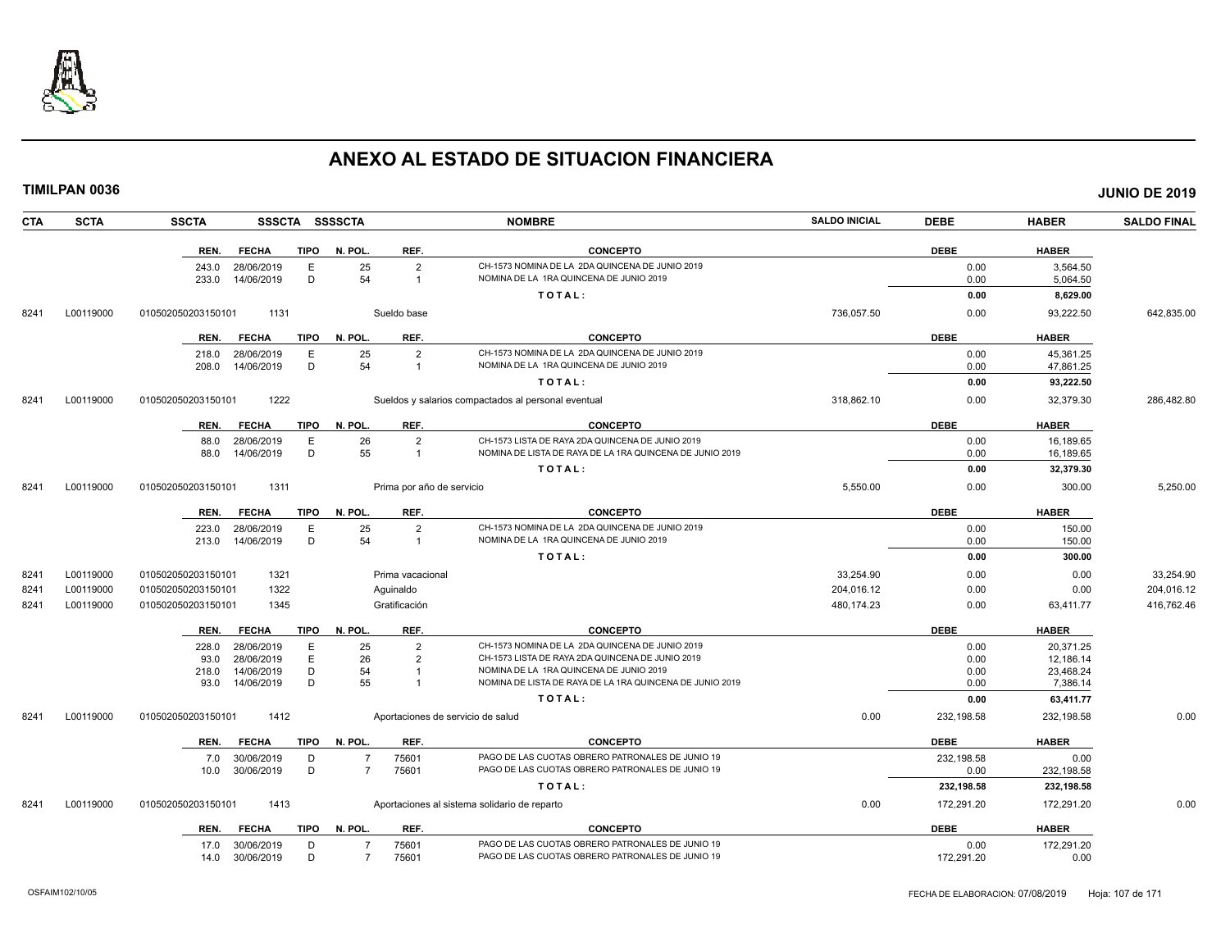

**TIMILPAN 0036 JUNIO DE 2019**

| <b>CTA</b>        | <b>SCTA</b> | <b>SSCTA</b>       | <b>SSSCTA</b>            | <b>SSSSCTA</b> |                |                           | <b>NOMBRE</b>                                                                                       | <b>SALDO INICIAL</b> | <b>DEBE</b>  | <b>HABER</b>          | <b>SALDO FINAL</b> |
|-------------------|-------------|--------------------|--------------------------|----------------|----------------|---------------------------|-----------------------------------------------------------------------------------------------------|----------------------|--------------|-----------------------|--------------------|
|                   |             | REN.               | <b>FECHA</b>             | <b>TIPO</b>    | N. POL.        | REF.                      | <b>CONCEPTO</b>                                                                                     |                      | <b>DEBE</b>  | <b>HABER</b>          |                    |
|                   |             | 243.0              | 28/06/2019               | E              | 25             | $\overline{2}$            | CH-1573 NOMINA DE LA 2DA QUINCENA DE JUNIO 2019                                                     |                      | 0.00         | 3,564.50              |                    |
|                   |             | 233.0              | 14/06/2019               | D              | 54             | $\mathbf{1}$              | NOMINA DE LA 1RA QUINCENA DE JUNIO 2019                                                             |                      | 0.00         | 5,064.50              |                    |
|                   |             |                    |                          |                |                |                           | TOTAL:                                                                                              |                      | 0.00         | 8,629.00              |                    |
| 8241              | L00119000   | 010502050203150101 | 1131                     |                |                | Sueldo base               |                                                                                                     | 736,057.50           | 0.00         | 93,222.50             | 642,835.00         |
|                   |             | REN.               | <b>FECHA</b>             | <b>TIPO</b>    | N. POL         | REF.                      | <b>CONCEPTO</b>                                                                                     |                      | <b>DEBE</b>  | <b>HABER</b>          |                    |
|                   |             | 218.0              | 28/06/2019               | E              | 25             | $\overline{2}$            | CH-1573 NOMINA DE LA 2DA QUINCENA DE JUNIO 2019                                                     |                      | 0.00         | 45,361.25             |                    |
|                   |             | 208.0              | 14/06/2019               | D              | 54             | 1                         | NOMINA DE LA 1RA QUINCENA DE JUNIO 2019                                                             |                      | 0.00         | 47,861.25             |                    |
|                   |             |                    |                          |                |                |                           | TOTAL:                                                                                              |                      | 0.00         | 93,222.50             |                    |
| 8241<br>L00119000 |             | 010502050203150101 | 1222                     |                |                |                           | Sueldos y salarios compactados al personal eventual                                                 | 318,862.10           | 0.00         | 32,379.30             | 286,482.80         |
|                   |             | REN.               | <b>FECHA</b>             | <b>TIPO</b>    | N. POL         | REF.                      | <b>CONCEPTO</b>                                                                                     |                      | <b>DEBE</b>  | <b>HABER</b>          |                    |
|                   |             | 88.0               | 28/06/2019               | E              | 26             | $\overline{2}$            | CH-1573 LISTA DE RAYA 2DA QUINCENA DE JUNIO 2019                                                    |                      | 0.00         | 16.189.65             |                    |
|                   |             | 88.0               | 14/06/2019               | D              | 55             |                           | NOMINA DE LISTA DE RAYA DE LA 1RA QUINCENA DE JUNIO 2019                                            |                      | 0.00         | 16,189.65             |                    |
|                   |             |                    |                          |                |                |                           | TOTAL:                                                                                              |                      | 0.00         | 32,379.30             |                    |
| 8241              | L00119000   | 01050205020315010  | 1311                     |                |                | Prima por año de servicio |                                                                                                     | 5,550.00             | 0.00         | 300.00                | 5,250.00           |
|                   |             | REN.               | <b>FECHA</b>             | <b>TIPO</b>    | N. POL         | REF.                      | <b>CONCEPTO</b>                                                                                     |                      | <b>DEBE</b>  | <b>HABER</b>          |                    |
|                   |             | 223.0              | 28/06/2019               | E              | 25             | $\overline{2}$            | CH-1573 NOMINA DE LA 2DA QUINCENA DE JUNIO 2019                                                     |                      | 0.00         | 150.00                |                    |
|                   |             | 213.0              | 14/06/2019               | D              | 54             | $\overline{1}$            | NOMINA DE LA 1RA QUINCENA DE JUNIO 2019                                                             |                      | 0.00         | 150.00                |                    |
|                   |             |                    |                          |                |                |                           | TOTAL:                                                                                              |                      | 0.00         | 300.00                |                    |
| 8241              | L00119000   | 010502050203150101 | 1321                     |                |                | Prima vacacional          |                                                                                                     | 33,254.90            | 0.00         | 0.00                  | 33,254.90          |
| 8241              | L00119000   | 010502050203150101 | 1322                     |                |                | Aquinaldo                 |                                                                                                     | 204,016.12           | 0.00         | 0.00                  | 204,016.12         |
| 8241              | L00119000   | 010502050203150101 | 1345                     |                |                | Gratificación             |                                                                                                     | 480.174.23           | 0.00         | 63,411.77             | 416.762.46         |
|                   |             | REN.               | <b>FECHA</b>             | <b>TIPO</b>    | N. POL         | REF.                      | <b>CONCEPTO</b>                                                                                     |                      | <b>DEBE</b>  | <b>HABER</b>          |                    |
|                   |             | 228.0              | 28/06/2019               | E              | 25             | $\overline{2}$            | CH-1573 NOMINA DE LA 2DA QUINCENA DE JUNIO 2019                                                     |                      | 0.00         | 20,371.25             |                    |
|                   |             | 93.0               | 28/06/2019               | E              | 26             | 2                         | CH-1573 LISTA DE RAYA 2DA QUINCENA DE JUNIO 2019                                                    |                      | 0.00         | 12,186.14             |                    |
|                   |             | 218.0<br>93.0      | 14/06/2019<br>14/06/2019 | D<br>D         | 54<br>55       | $\overline{1}$            | NOMINA DE LA 1RA QUINCENA DE JUNIO 2019<br>NOMINA DE LISTA DE RAYA DE LA 1RA QUINCENA DE JUNIO 2019 |                      | 0.00<br>0.00 | 23,468.24<br>7,386.14 |                    |
|                   |             |                    |                          |                |                |                           | TOTAL:                                                                                              |                      | 0.00         | 63,411.77             |                    |
| 8241              | L00119000   | 010502050203150101 | 1412                     |                |                |                           | Aportaciones de servicio de salud                                                                   | 0.00                 | 232,198.58   | 232,198.58            | 0.00               |
|                   |             | REN.               | <b>FECHA</b>             | <b>TIPO</b>    | N. POL         | REF.                      | <b>CONCEPTO</b>                                                                                     |                      | <b>DEBE</b>  | <b>HABER</b>          |                    |
|                   |             | 7.0                | 30/06/2019               | D              |                | 75601                     | PAGO DE LAS CUOTAS OBRERO PATRONALES DE JUNIO 19                                                    |                      | 232,198.58   | 0.00                  |                    |
|                   |             | 10.0               | 30/06/2019               | D              | $\overline{7}$ | 75601                     | PAGO DE LAS CUOTAS OBRERO PATRONALES DE JUNIO 19                                                    |                      | 0.00         | 232,198.58            |                    |
|                   |             |                    |                          |                |                |                           | TOTAL:                                                                                              |                      | 232,198.58   | 232,198.58            |                    |
| 8241              | L00119000   | 010502050203150101 | 1413                     |                |                |                           | Aportaciones al sistema solidario de reparto                                                        | 0.00                 | 172,291.20   | 172,291.20            | 0.00               |
|                   |             | REN.               | <b>FECHA</b>             | <b>TIPO</b>    | N. POL.        | REF.                      | <b>CONCEPTO</b>                                                                                     |                      | <b>DEBE</b>  | <b>HABER</b>          |                    |
|                   |             | 17.0 30/06/2019    |                          | D              | $\overline{7}$ | 75601                     | PAGO DE LAS CUOTAS OBRERO PATRONALES DE JUNIO 19                                                    |                      | 0.00         | 172,291.20            |                    |

14.0 30/06/2019 D 7 75601 PAGO DE LAS CUOTAS OBRERO PATRONALES DE JUNIO 19 172,291.20 172,291.20 0.00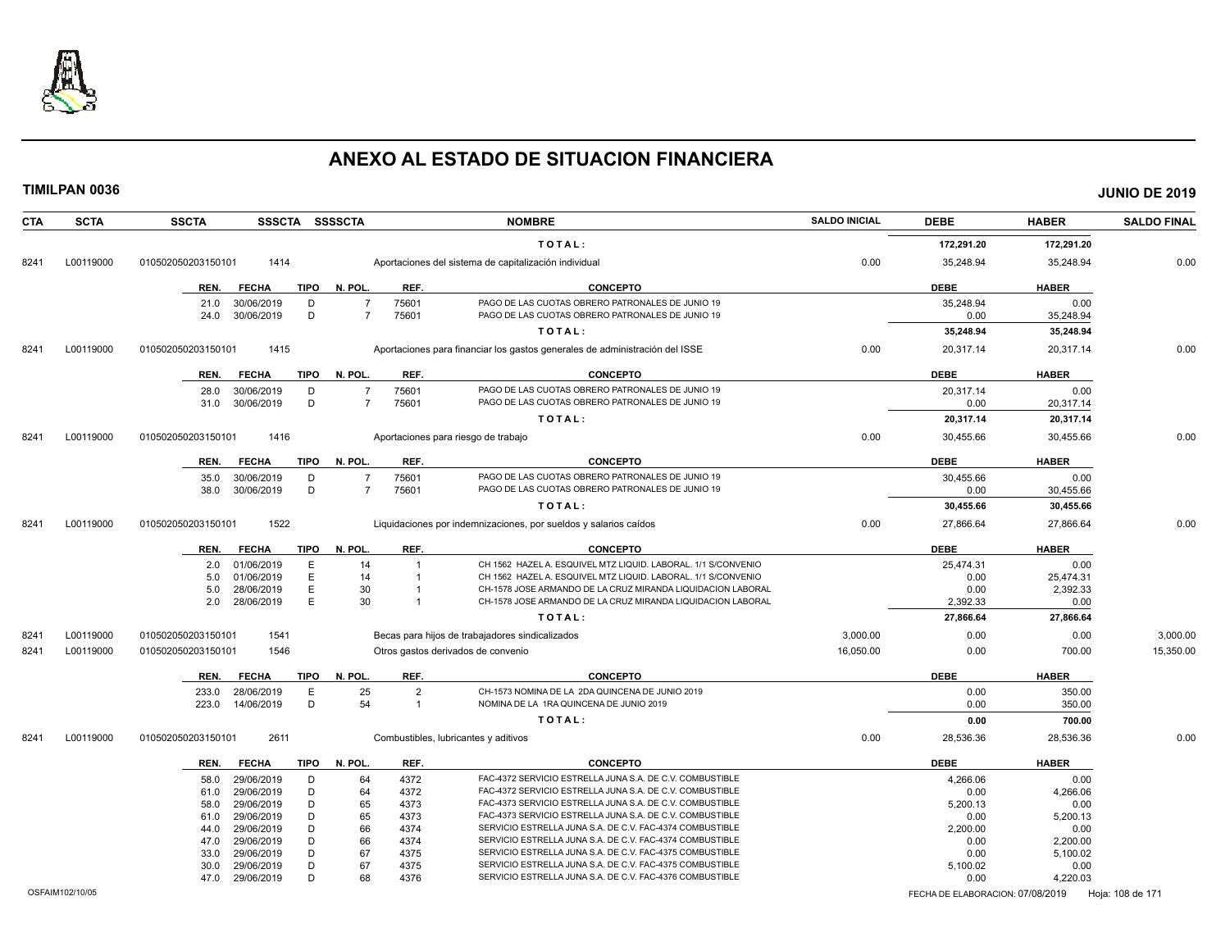

|      | <b>TIMILPAN 0036</b> |                    |                          |             |                |                                |                                                                                                                            |                      |                  |                  | <b>JUNIO DE 2019</b> |
|------|----------------------|--------------------|--------------------------|-------------|----------------|--------------------------------|----------------------------------------------------------------------------------------------------------------------------|----------------------|------------------|------------------|----------------------|
| CTA  | <b>SCTA</b>          | <b>SSCTA</b>       |                          |             | SSSCTA SSSSCTA |                                | <b>NOMBRE</b>                                                                                                              | <b>SALDO INICIAL</b> | <b>DEBE</b>      | <b>HABER</b>     | <b>SALDO FINAL</b>   |
|      |                      |                    |                          |             |                | TOTAL:                         |                                                                                                                            |                      | 172,291.20       | 172,291.20       |                      |
| 8241 | L00119000            | 010502050203150101 | 1414                     |             |                |                                | Aportaciones del sistema de capitalización individual                                                                      | 0.00                 | 35,248.94        | 35,248.94        | 0.00                 |
|      |                      | REN.               | <b>FECHA</b>             | TIPO        | N. POL.        | REF.                           | <b>CONCEPTO</b>                                                                                                            |                      | <b>DEBE</b>      | <b>HABER</b>     |                      |
|      |                      | 21.0               | 30/06/2019               | D           | $\overline{7}$ | 75601                          | PAGO DE LAS CUOTAS OBRERO PATRONALES DE JUNIO 19                                                                           |                      | 35,248.94        | 0.00             |                      |
|      |                      | 24.0               | 30/06/2019               | D           | $\overline{7}$ | 75601                          | PAGO DE LAS CUOTAS OBRERO PATRONALES DE JUNIO 19                                                                           |                      | 0.00             | 35,248.94        |                      |
|      |                      |                    |                          |             |                |                                | TOTAL:                                                                                                                     |                      | 35,248.94        | 35,248.94        |                      |
| 8241 | L00119000            | 010502050203150101 | 1415                     |             |                |                                | Aportaciones para financiar los gastos generales de administración del ISSE                                                | 0.00                 | 20,317.14        | 20,317.14        | 0.00                 |
|      |                      | REN.               | <b>FECHA</b>             | <b>TIPO</b> | N. POL.        | REF.                           | <b>CONCEPTO</b>                                                                                                            |                      | <b>DEBE</b>      | <b>HABER</b>     |                      |
|      |                      | 28.0               | 30/06/2019               | D           | $\overline{7}$ | 75601                          | PAGO DE LAS CUOTAS OBRERO PATRONALES DE JUNIO 19                                                                           |                      | 20,317.14        | 0.00             |                      |
|      |                      | 31.0               | 30/06/2019               | D           | $\overline{7}$ | 75601                          | PAGO DE LAS CUOTAS OBRERO PATRONALES DE JUNIO 19                                                                           |                      | 0.00             | 20,317.14        |                      |
|      |                      |                    |                          |             |                |                                | TOTAL:                                                                                                                     |                      | 20,317.14        | 20,317.14        |                      |
| 8241 | L00119000            | 010502050203150101 | 1416                     |             |                |                                | Aportaciones para riesgo de trabajo                                                                                        | 0.00                 | 30,455.66        | 30,455.66        | 0.00                 |
|      |                      | REN.               | <b>FECHA</b>             | <b>TIPO</b> | N. POL.        | REF.                           | <b>CONCEPTO</b>                                                                                                            |                      | <b>DEBE</b>      | <b>HABER</b>     |                      |
|      |                      | 35.0               | 30/06/2019               | D           | $\overline{7}$ | 75601                          | PAGO DE LAS CUOTAS OBRERO PATRONALES DE JUNIO 19                                                                           |                      | 30,455.66        | 0.00             |                      |
|      |                      | 38.0               | 30/06/2019               | D           | $\overline{7}$ | 75601                          | PAGO DE LAS CUOTAS OBRERO PATRONALES DE JUNIO 19                                                                           |                      | 0.00             | 30,455.66        |                      |
|      |                      |                    |                          |             |                |                                | TOTAL:                                                                                                                     |                      | 30,455.66        | 30,455.66        |                      |
| 8241 | L00119000            | 010502050203150101 | 1522                     |             |                |                                | Liquidaciones por indemnizaciones, por sueldos y salarios caídos                                                           | 0.00                 | 27,866.64        | 27,866.64        | 0.00                 |
|      |                      | REN.               | <b>FECHA</b>             | TIPO        | N. POL.        | REF.                           | <b>CONCEPTO</b>                                                                                                            |                      | <b>DEBE</b>      | <b>HABER</b>     |                      |
|      |                      | 2.0                | 01/06/2019               | E           | 14             | $\overline{1}$                 | CH 1562 HAZEL A. ESQUIVEL MTZ LIQUID. LABORAL. 1/1 S/CONVENIO                                                              |                      | 25,474.31        | 0.00             |                      |
|      |                      | 5.0                | 01/06/2019               | E           | 14             | $\overline{1}$                 | CH 1562 HAZEL A. ESQUIVEL MTZ LIQUID. LABORAL. 1/1 S/CONVENIO                                                              |                      | 0.00             | 25,474.31        |                      |
|      |                      | 5.0<br>2.0         | 28/06/2019<br>28/06/2019 | E<br>E      | 30<br>30       | $\overline{1}$<br>$\mathbf{1}$ | CH-1578 JOSE ARMANDO DE LA CRUZ MIRANDA LIQUIDACION LABORAL<br>CH-1578 JOSE ARMANDO DE LA CRUZ MIRANDA LIQUIDACION LABORAL |                      | 0.00<br>2,392.33 | 2,392.33<br>0.00 |                      |
|      |                      |                    |                          |             |                |                                | TOTAL:                                                                                                                     |                      | 27,866.64        | 27,866.64        |                      |
|      |                      |                    |                          |             |                |                                |                                                                                                                            |                      |                  |                  |                      |
| 8241 | L00119000            | 010502050203150101 | 1541                     |             |                |                                | Becas para hijos de trabajadores sindicalizados                                                                            | 3,000.00             | 0.00             | 0.00             | 3,000.00             |
| 8241 | L00119000            | 010502050203150101 | 1546                     |             |                |                                | Otros gastos derivados de convenio                                                                                         | 16,050.00            | 0.00             | 700.00           | 15,350.00            |
|      |                      | REN.               | FECHA                    | TIPO        | N. POL.        | REF.                           | <b>CONCEPTO</b>                                                                                                            |                      | <b>DEBE</b>      | <b>HABER</b>     |                      |
|      |                      | 233.0              | 28/06/2019               | $\mathsf E$ | 25             | $\overline{2}$                 | CH-1573 NOMINA DE LA 2DA QUINCENA DE JUNIO 2019                                                                            |                      | 0.00             | 350.00           |                      |
|      |                      | 223.0              | 14/06/2019               | D           | 54             | $\mathbf{1}$                   | NOMINA DE LA 1RA QUINCENA DE JUNIO 2019                                                                                    |                      | 0.00             | 350.00           |                      |
|      |                      |                    |                          |             |                |                                | TOTAL:                                                                                                                     |                      | 0.00             | 700.00           |                      |
| 8241 | L00119000            | 010502050203150101 | 2611                     |             |                |                                | Combustibles, lubricantes y aditivos                                                                                       | 0.00                 | 28,536.36        | 28,536.36        | 0.00                 |
|      |                      | REN.               | <b>FECHA</b>             | <b>TIPO</b> | N. POL.        | REF.                           | <b>CONCEPTO</b>                                                                                                            |                      | <b>DEBE</b>      | <b>HABER</b>     |                      |
|      |                      | 58.0               | 29/06/2019               | D           | 64             | 4372                           | FAC-4372 SERVICIO ESTRELLA JUNA S.A. DE C.V. COMBUSTIBLE                                                                   |                      | 4,266.06         | 0.00             |                      |
|      |                      | 61.0               | 29/06/2019               | D           | 64             | 4372                           | FAC-4372 SERVICIO ESTRELLA JUNA S.A. DE C.V. COMBUSTIBLE                                                                   |                      | 0.00             | 4,266.06         |                      |
|      |                      | 58.0               | 29/06/2019               | D           | 65             | 4373                           | FAC-4373 SERVICIO ESTRELLA JUNA S.A. DE C.V. COMBUSTIBLE                                                                   |                      | 5,200.13         | 0.00             |                      |
|      |                      | 61.0<br>44.0       | 29/06/2019<br>29/06/2019 | D<br>D      | 65<br>66       | 4373<br>4374                   | FAC-4373 SERVICIO ESTRELLA JUNA S.A. DE C.V. COMBUSTIBLE<br>SERVICIO ESTRELLA JUNA S.A. DE C.V. FAC-4374 COMBUSTIBLE       |                      | 0.00<br>2,200.00 | 5,200.13<br>0.00 |                      |
|      |                      | 47.0               | 29/06/2019               | D           | 66             | 4374                           | SERVICIO ESTRELLA JUNA S.A. DE C.V. FAC-4374 COMBUSTIBLE                                                                   |                      | 0.00             | 2,200.00         |                      |
|      |                      | 33.0               | 29/06/2019               | D           | 67             | 4375                           | SERVICIO ESTRELLA JUNA S.A. DE C.V. FAC-4375 COMBUSTIBLE                                                                   |                      | 0.00             | 5,100.02         |                      |
|      |                      | 30.0               | 29/06/2019               | D           | 67             | 4375                           | SERVICIO ESTRELLA JUNA S.A. DE C.V. FAC-4375 COMBUSTIBLE                                                                   |                      | 5,100.02         | 0.00             |                      |
|      |                      | 47.0               | 29/06/2019               | D.          | 68             | 4376                           | SERVICIO ESTRELLA JUNA S.A. DE C.V. FAC-4376 COMBUSTIBLE                                                                   |                      | 0.00             | 4.220.03         |                      |
|      |                      |                    |                          |             |                |                                |                                                                                                                            |                      |                  |                  |                      |

OSFAIM102/10/05 FECHA DE ELABORACION: 07/08/2019 Hoja: 108 de 171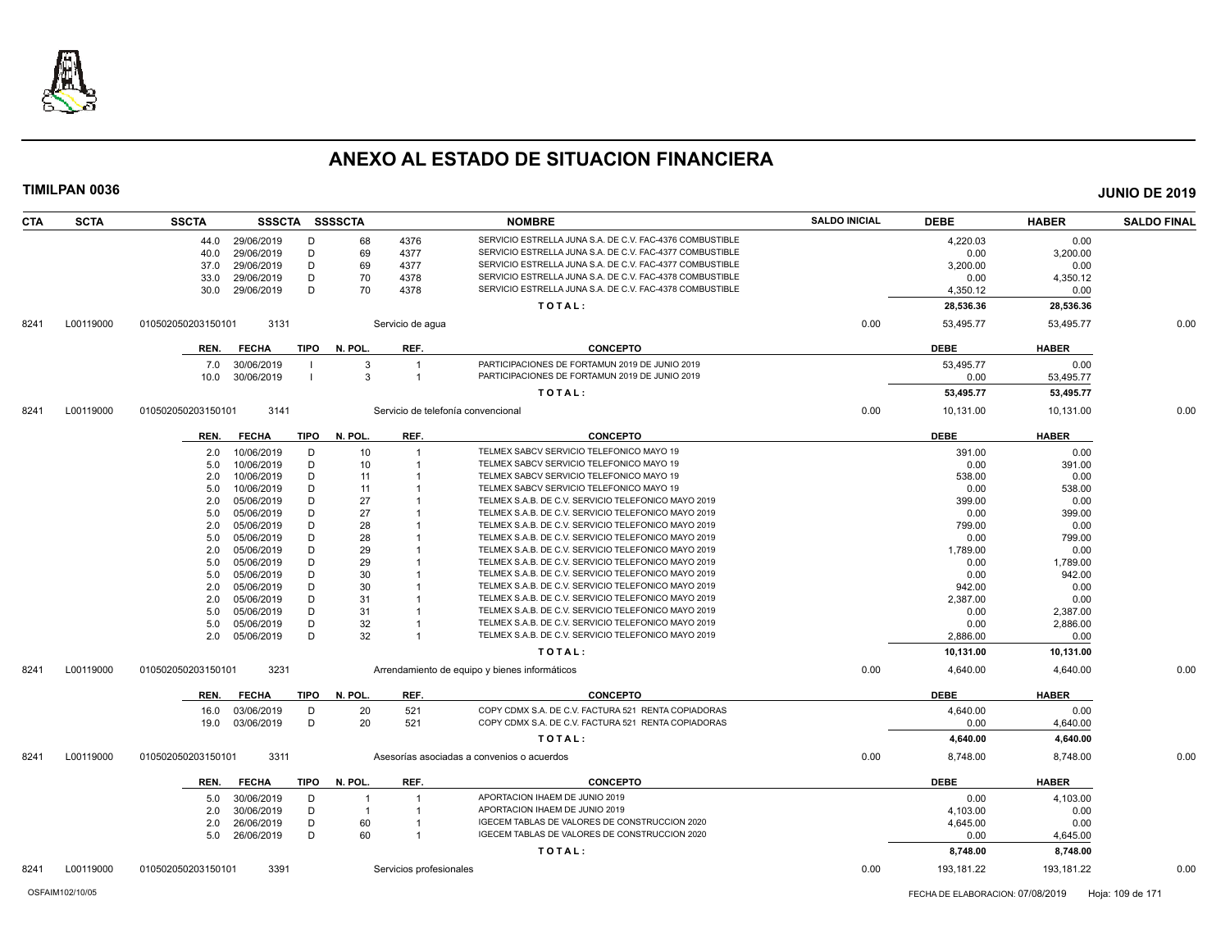

| <b>CTA</b> | <b>SCTA</b> | <b>SSCTA</b>       |              |             | SSSCTA SSSSCTA |                         | <b>NOMBRE</b>                                                                   | <b>SALDO INICIAL</b> | <b>DEBE</b>      | <b>HABER</b>         | <b>SALDO FINAL</b> |
|------------|-------------|--------------------|--------------|-------------|----------------|-------------------------|---------------------------------------------------------------------------------|----------------------|------------------|----------------------|--------------------|
|            |             | 44.0               | 29/06/2019   | D           | 68             | 4376                    | SERVICIO ESTRELLA JUNA S.A. DE C.V. FAC-4376 COMBUSTIBLE                        |                      | 4,220.03         | 0.00                 |                    |
|            |             | 40.0               | 29/06/2019   | D           | 69             | 4377                    | SERVICIO ESTRELLA JUNA S.A. DE C.V. FAC-4377 COMBUSTIBLE                        |                      | 0.00             | 3,200.00             |                    |
|            |             | 37.0               | 29/06/2019   | D           | 69             | 4377                    | SERVICIO ESTRELLA JUNA S.A. DE C.V. FAC-4377 COMBUSTIBLE                        |                      | 3,200.00         | 0.00                 |                    |
|            |             | 33.0               | 29/06/2019   | D           | 70             | 4378                    | SERVICIO ESTRELLA JUNA S.A. DE C.V. FAC-4378 COMBUSTIBLE                        |                      | 0.00             | 4,350.12             |                    |
|            |             | 30.0               | 29/06/2019   | D           | 70             | 4378                    | SERVICIO ESTRELLA JUNA S.A. DE C.V. FAC-4378 COMBUSTIBLE                        |                      | 4,350.12         | 0.00                 |                    |
|            |             |                    |              |             |                |                         | TOTAL:                                                                          |                      | 28,536.36        | 28,536.36            |                    |
| 8241       | L00119000   | 010502050203150101 | 3131         |             |                | Servicio de aqua        |                                                                                 | 0.00                 | 53,495.77        | 53,495.77            | 0.00               |
|            |             | REN.               | <b>FECHA</b> | TIPO        | N. POL.        | REF.                    | <b>CONCEPTO</b>                                                                 |                      | <b>DEBE</b>      | <b>HABER</b>         |                    |
|            |             | 7.0                | 30/06/2019   |             | -3             | $\overline{1}$          | PARTICIPACIONES DE FORTAMUN 2019 DE JUNIO 2019                                  |                      | 53,495.77        | 0.00                 |                    |
|            |             | 10.0               | 30/06/2019   |             | $\mathbf{3}$   | $\overline{1}$          | PARTICIPACIONES DE FORTAMUN 2019 DE JUNIO 2019                                  |                      | 0.00             | 53,495.77            |                    |
|            |             |                    |              |             |                |                         | TOTAL:                                                                          |                      | 53,495.77        | 53,495.77            |                    |
| 8241       | L00119000   | 010502050203150101 | 3141         |             |                |                         | Servicio de telefonía convencional                                              | 0.00                 | 10,131.00        | 10,131.00            | 0.00               |
|            |             | REN.               | <b>FECHA</b> | <b>TIPO</b> | N. POL.        | REF.                    | <b>CONCEPTO</b>                                                                 |                      | <b>DEBE</b>      | <b>HABER</b>         |                    |
|            |             | 2.0                | 10/06/2019   | D           | 10             | -1                      | TELMEX SABCV SERVICIO TELEFONICO MAYO 19                                        |                      | 391.00           | 0.00                 |                    |
|            |             | 5.0                | 10/06/2019   | D           | 10             | -1                      | TELMEX SABCV SERVICIO TELEFONICO MAYO 19                                        |                      | 0.00             | 391.00               |                    |
|            |             | 2.0                | 10/06/2019   | D           | 11             |                         | TELMEX SABCV SERVICIO TELEFONICO MAYO 19                                        |                      | 538.00           | 0.00                 |                    |
|            |             | 5.0                | 10/06/2019   | D           | 11             |                         | TELMEX SABCV SERVICIO TELEFONICO MAYO 19                                        |                      | 0.00             | 538.00               |                    |
|            |             | 2.0                | 05/06/2019   | D           | 27             |                         | TELMEX S.A.B. DE C.V. SERVICIO TELEFONICO MAYO 2019                             |                      | 399.00           | 0.00                 |                    |
|            |             | 5.0                | 05/06/2019   | D           | 27             |                         | TELMEX S.A.B. DE C.V. SERVICIO TELEFONICO MAYO 2019                             |                      | 0.00             | 399.00               |                    |
|            |             | 2.0                | 05/06/2019   | D           | 28             |                         | TELMEX S.A.B. DE C.V. SERVICIO TELEFONICO MAYO 2019                             |                      | 799.00           | 0.00                 |                    |
|            |             | 5.0                | 05/06/2019   | D           | 28             |                         | TELMEX S.A.B. DE C.V. SERVICIO TELEFONICO MAYO 2019                             |                      | 0.00             | 799.00               |                    |
|            |             | 2.0                | 05/06/2019   | D           | 29             |                         | TELMEX S.A.B. DE C.V. SERVICIO TELEFONICO MAYO 2019                             |                      | 1,789.00         | 0.00                 |                    |
|            |             | 5.0                | 05/06/2019   | D           | 29             |                         | TELMEX S.A.B. DE C.V. SERVICIO TELEFONICO MAYO 2019                             |                      | 0.00             | 1,789.00             |                    |
|            |             | 5.0                | 05/06/2019   | D           | 30             |                         | TELMEX S.A.B. DE C.V. SERVICIO TELEFONICO MAYO 2019                             |                      | 0.00             | 942.00               |                    |
|            |             | 2.0                | 05/06/2019   | D           | 30             |                         | TELMEX S.A.B. DE C.V. SERVICIO TELEFONICO MAYO 2019                             |                      | 942.00           | 0.00                 |                    |
|            |             | 2.0                | 05/06/2019   | D           | 31             |                         | TELMEX S.A.B. DE C.V. SERVICIO TELEFONICO MAYO 2019                             |                      | 2,387.00         | 0.00                 |                    |
|            |             | 5.0                | 05/06/2019   | D           | 31             |                         | TELMEX S.A.B. DE C.V. SERVICIO TELEFONICO MAYO 2019                             |                      | 0.00             | 2,387.00             |                    |
|            |             | 5.0                | 05/06/2019   | D           | 32             |                         | TELMEX S.A.B. DE C.V. SERVICIO TELEFONICO MAYO 2019                             |                      | 0.00             | 2,886.00             |                    |
|            |             | 2.0                | 05/06/2019   | D           | 32             | -1                      | TELMEX S.A.B. DE C.V. SERVICIO TELEFONICO MAYO 2019                             |                      | 2,886.00         | 0.00                 |                    |
|            |             |                    |              |             |                |                         | TOTAL:                                                                          |                      | 10,131.00        | 10,131.00            |                    |
| 8241       | L00119000   | 010502050203150101 | 3231         |             |                |                         | Arrendamiento de equipo y bienes informáticos                                   | 0.00                 | 4,640.00         | 4,640.00             | 0.00               |
|            |             | REN.               | <b>FECHA</b> | <b>TIPO</b> | N. POL.        | REF.                    | <b>CONCEPTO</b>                                                                 |                      | <b>DEBE</b>      | <b>HABER</b>         |                    |
|            |             | 16.0               | 03/06/2019   | D           | 20             | 521                     | COPY CDMX S.A. DE C.V. FACTURA 521 RENTA COPIADORAS                             |                      | 4.640.00         | 0.00                 |                    |
|            |             | 19.0               | 03/06/2019   | D           | 20             | 521                     | COPY CDMX S.A. DE C.V. FACTURA 521 RENTA COPIADORAS                             |                      | 0.00             | 4,640.00             |                    |
|            |             |                    |              |             |                |                         | TOTAL:                                                                          |                      | 4,640.00         | 4,640.00             |                    |
| 8241       | L00119000   | 010502050203150101 | 3311         |             |                |                         | Asesorías asociadas a convenios o acuerdos                                      | 0.00                 | 8,748.00         | 8,748.00             | 0.00               |
|            |             | REN.               | <b>FECHA</b> | <b>TIPO</b> | N. POL.        | REF.                    | <b>CONCEPTO</b>                                                                 |                      | <b>DEBE</b>      | <b>HABER</b>         |                    |
|            |             |                    |              |             |                | -1                      | APORTACION IHAEM DE JUNIO 2019                                                  |                      |                  |                      |                    |
|            |             | 5.0                | 30/06/2019   | D           | -1             |                         |                                                                                 |                      | 0.00             | 4,103.00             |                    |
|            |             | 2.0                | 30/06/2019   | D           | $\overline{1}$ | -1                      | APORTACION IHAEM DE JUNIO 2019<br>IGECEM TABLAS DE VALORES DE CONSTRUCCION 2020 |                      | 4,103.00         | 0.00                 |                    |
|            |             | 2.0                | 26/06/2019   | D           | 60             |                         | IGECEM TABLAS DE VALORES DE CONSTRUCCION 2020                                   |                      | 4,645.00         | 0.00                 |                    |
|            |             | 5.0                | 26/06/2019   | D           | 60             | -1                      | TOTAL:                                                                          |                      | 0.00<br>8,748.00 | 4,645.00<br>8,748.00 |                    |
| 8241       | L00119000   | 010502050203150101 | 3391         |             |                |                         |                                                                                 | 0.00                 | 193,181.22       | 193,181.22           | 0.00               |
|            |             |                    |              |             |                | Servicios profesionales |                                                                                 |                      |                  |                      |                    |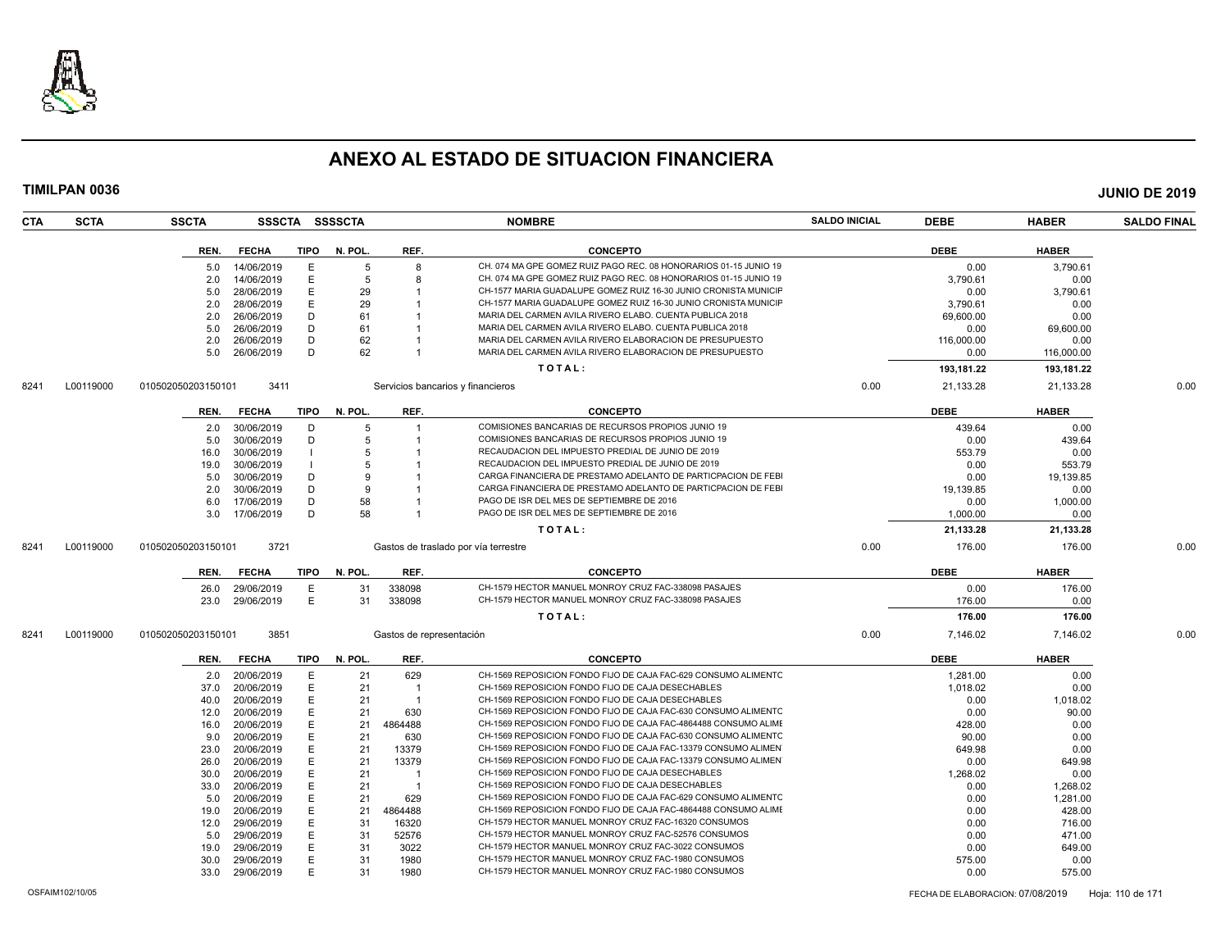

| <b>SCTA</b><br><b>CTA</b> | <b>SSCTA</b>                             | SSSCTA SSSSCTA |              |                          | <b>NOMBRE</b>                                                                                          | <b>SALDO INICIAL</b> | <b>DEBE</b>    | <b>HABER</b>   | <b>SALDO FINAL</b> |
|---------------------------|------------------------------------------|----------------|--------------|--------------------------|--------------------------------------------------------------------------------------------------------|----------------------|----------------|----------------|--------------------|
|                           | <b>FECHA</b><br>REN.                     | TIPO           | N. POL.      | REF.                     | <b>CONCEPTO</b>                                                                                        |                      | <b>DEBE</b>    | <b>HABER</b>   |                    |
|                           | 14/06/2019<br>5.0                        | Е              | 5            | 8                        | CH. 074 MA GPE GOMEZ RUIZ PAGO REC. 08 HONORARIOS 01-15 JUNIO 19                                       |                      | 0.00           | 3.790.61       |                    |
|                           | 14/06/2019<br>2.0                        | E              | 5            | 8                        | CH. 074 MA GPE GOMEZ RUIZ PAGO REC. 08 HONORARIOS 01-15 JUNIO 19                                       |                      | 3,790.61       | 0.00           |                    |
|                           | 28/06/2019<br>5.0                        | E              | 29           |                          | CH-1577 MARIA GUADALUPE GOMEZ RUIZ 16-30 JUNIO CRONISTA MUNICIF                                        |                      | 0.00           | 3,790.61       |                    |
|                           | 28/06/2019<br>2.0                        | E              | 29           |                          | CH-1577 MARIA GUADALUPE GOMEZ RUIZ 16-30 JUNIO CRONISTA MUNICIF                                        |                      | 3.790.61       | 0.00           |                    |
|                           | 26/06/2019<br>2.0                        | D              | 61           |                          | MARIA DEL CARMEN AVILA RIVERO ELABO. CUENTA PUBLICA 2018                                               |                      | 69,600.00      | 0.00           |                    |
|                           | 26/06/2019<br>5.0                        | D              | 61           |                          | MARIA DEL CARMEN AVILA RIVERO ELABO. CUENTA PUBLICA 2018                                               |                      | 0.00           | 69,600.00      |                    |
|                           | 2.0<br>26/06/2019                        | D              | 62           |                          | MARIA DEL CARMEN AVILA RIVERO ELABORACION DE PRESUPUESTO                                               |                      | 116,000.00     | 0.00           |                    |
|                           | 26/06/2019<br>5.0                        | D              | 62           |                          | MARIA DEL CARMEN AVILA RIVERO ELABORACION DE PRESUPUESTO                                               |                      | 0.00           | 116,000.00     |                    |
|                           |                                          |                |              |                          | TOTAL:                                                                                                 |                      | 193,181.22     | 193,181.22     |                    |
| L00119000<br>8241         | 010502050203150101                       | 3411           |              |                          | Servicios bancarios y financieros                                                                      | 0.00                 | 21,133.28      | 21,133.28      | 0.00               |
|                           |                                          |                |              |                          |                                                                                                        |                      |                |                |                    |
|                           | <b>FECHA</b><br>REN.                     | TIPO           | N. POL.      | REF.                     | <b>CONCEPTO</b>                                                                                        |                      | <b>DEBE</b>    | <b>HABER</b>   |                    |
|                           | 30/06/2019<br>2.0<br>30/06/2019          | D<br>D         | 5<br>5       | 1                        | COMISIONES BANCARIAS DE RECURSOS PROPIOS JUNIO 19<br>COMISIONES BANCARIAS DE RECURSOS PROPIOS JUNIO 19 |                      | 439.64         | 0.00<br>439.64 |                    |
|                           | 5.0                                      |                | 5            |                          | RECAUDACION DEL IMPUESTO PREDIAL DE JUNIO DE 2019                                                      |                      | 0.00           |                |                    |
|                           | 30/06/2019<br>16.0<br>30/06/2019<br>19.0 |                | 5            |                          | RECAUDACION DEL IMPUESTO PREDIAL DE JUNIO DE 2019                                                      |                      | 553.79<br>0.00 | 0.00<br>553.79 |                    |
|                           | 30/06/2019<br>5.0                        | D              | 9            |                          | CARGA FINANCIERA DE PRESTAMO ADELANTO DE PARTICPACION DE FEBI                                          |                      | 0.00           | 19,139.85      |                    |
|                           | 2.0<br>30/06/2019                        | D              | <sub>9</sub> |                          | CARGA FINANCIERA DE PRESTAMO ADELANTO DE PARTICPACION DE FEB                                           |                      | 19,139.85      | 0.00           |                    |
|                           | 17/06/2019<br>6.0                        | D              | 58           |                          | PAGO DE ISR DEL MES DE SEPTIEMBRE DE 2016                                                              |                      | 0.00           | 1,000.00       |                    |
|                           | 3.0 17/06/2019                           | D              | 58           |                          | PAGO DE ISR DEL MES DE SEPTIEMBRE DE 2016                                                              |                      | 1.000.00       | 0.00           |                    |
|                           |                                          |                |              |                          | TOTAL:                                                                                                 |                      | 21,133.28      | 21,133.28      |                    |
|                           |                                          |                |              |                          |                                                                                                        |                      |                |                |                    |
| L00119000<br>8241         | 010502050203150101                       | 3721           |              |                          | Gastos de traslado por vía terrestre                                                                   | 0.00                 | 176.00         | 176.00         | 0.00               |
|                           | <b>FECHA</b><br>REN.                     | TIPO           | N. POL.      | REF.                     | <b>CONCEPTO</b>                                                                                        |                      | <b>DEBE</b>    | <b>HABER</b>   |                    |
|                           | 29/06/2019<br>26.0                       | Е              | 31           | 338098                   | CH-1579 HECTOR MANUEL MONROY CRUZ FAC-338098 PASAJES                                                   |                      | 0.00           | 176.00         |                    |
|                           | 29/06/2019<br>23.0                       | E              | 31           | 338098                   | CH-1579 HECTOR MANUEL MONROY CRUZ FAC-338098 PASAJES                                                   |                      | 176.00         | 0.00           |                    |
|                           |                                          |                |              |                          | TOTAL:                                                                                                 |                      | 176.00         | 176.00         |                    |
| L00119000<br>8241         | 010502050203150101                       | 3851           |              | Gastos de representación |                                                                                                        | 0.00                 | 7,146.02       | 7,146.02       | 0.00               |
|                           | REN.<br><b>FECHA</b>                     | TIPO           | N. POL.      | REF.                     | <b>CONCEPTO</b>                                                                                        |                      | <b>DEBE</b>    | <b>HABER</b>   |                    |
|                           | 20/06/2019<br>2.0                        | E              | 21           | 629                      | CH-1569 REPOSICION FONDO FIJO DE CAJA FAC-629 CONSUMO ALIMENTO                                         |                      | 1,281.00       | 0.00           |                    |
|                           | 20/06/2019<br>37.0                       | E              | 21           | $\overline{\mathbf{1}}$  | CH-1569 REPOSICION FONDO FIJO DE CAJA DESECHABLES                                                      |                      | 1,018.02       | 0.00           |                    |
|                           | 20/06/2019<br>40.0                       | Е              | 21           |                          | CH-1569 REPOSICION FONDO FIJO DE CAJA DESECHABLES                                                      |                      | 0.00           | 1,018.02       |                    |
|                           | 20/06/2019<br>12.0                       | E              | 21           | 630                      | CH-1569 REPOSICION FONDO FIJO DE CAJA FAC-630 CONSUMO ALIMENTC                                         |                      | 0.00           | 90.00          |                    |
|                           | 20/06/2019<br>16.0                       | E              | 21           | 4864488                  | CH-1569 REPOSICION FONDO FIJO DE CAJA FAC-4864488 CONSUMO ALIME                                        |                      | 428.00         | 0.00           |                    |
|                           | 20/06/2019<br>9.0                        | E              | 21           | 630                      | CH-1569 REPOSICION FONDO FIJO DE CAJA FAC-630 CONSUMO ALIMENTC                                         |                      | 90.00          | 0.00           |                    |
|                           | 20/06/2019<br>23.0                       | E              | 21           | 13379                    | CH-1569 REPOSICION FONDO FIJO DE CAJA FAC-13379 CONSUMO ALIMEN                                         |                      | 649.98         | 0.00           |                    |
|                           | 20/06/2019<br>26.0                       | E              | 21           | 13379                    | CH-1569 REPOSICION FONDO FIJO DE CAJA FAC-13379 CONSUMO ALIMEN                                         |                      | 0.00           | 649.98         |                    |
|                           | 20/06/2019<br>30.0                       | E              | 21           | -1                       | CH-1569 REPOSICION FONDO FIJO DE CAJA DESECHABLES                                                      |                      | 1,268.02       | 0.00           |                    |
|                           | 20/06/2019<br>33.0                       | E              | 21           | $\overline{1}$           | CH-1569 REPOSICION FONDO FIJO DE CAJA DESECHABLES                                                      |                      | 0.00           | 1,268.02       |                    |
|                           | 20/06/2019<br>5.0                        | E              | 21           | 629                      | CH-1569 REPOSICION FONDO FIJO DE CAJA FAC-629 CONSUMO ALIMENTC                                         |                      | 0.00           | 1.281.00       |                    |
|                           | 20/06/2019<br>19.0                       | Е              | 21           | 864488                   | CH-1569 REPOSICION FONDO FIJO DE CAJA FAC-4864488 CONSUMO ALIMI                                        |                      | 0.00           | 428.00         |                    |
|                           | 29/06/2019<br>12.0                       | E              | 31           | 16320                    | CH-1579 HECTOR MANUEL MONROY CRUZ FAC-16320 CONSUMOS                                                   |                      | 0.00           | 716.00         |                    |
|                           | 29/06/2019<br>5.0                        | E              | 31           | 52576                    | CH-1579 HECTOR MANUEL MONROY CRUZ FAC-52576 CONSUMOS                                                   |                      | 0.00           | 471.00         |                    |
|                           | 29/06/2019<br>19.0                       | Е              | 31           | 3022                     | CH-1579 HECTOR MANUEL MONROY CRUZ FAC-3022 CONSUMOS                                                    |                      | 0.00           | 649.00         |                    |
|                           | 29/06/2019<br>30.0                       | E              | 31           | 1980                     | CH-1579 HECTOR MANUEL MONROY CRUZ FAC-1980 CONSUMOS                                                    |                      | 575.00         | 0.00           |                    |
|                           |                                          |                | 31           |                          | CH-1579 HECTOR MANUEL MONROY CRUZ FAC-1980 CONSUMOS                                                    |                      | 0.00           | 575.00         |                    |
|                           |                                          |                |              |                          |                                                                                                        |                      |                |                |                    |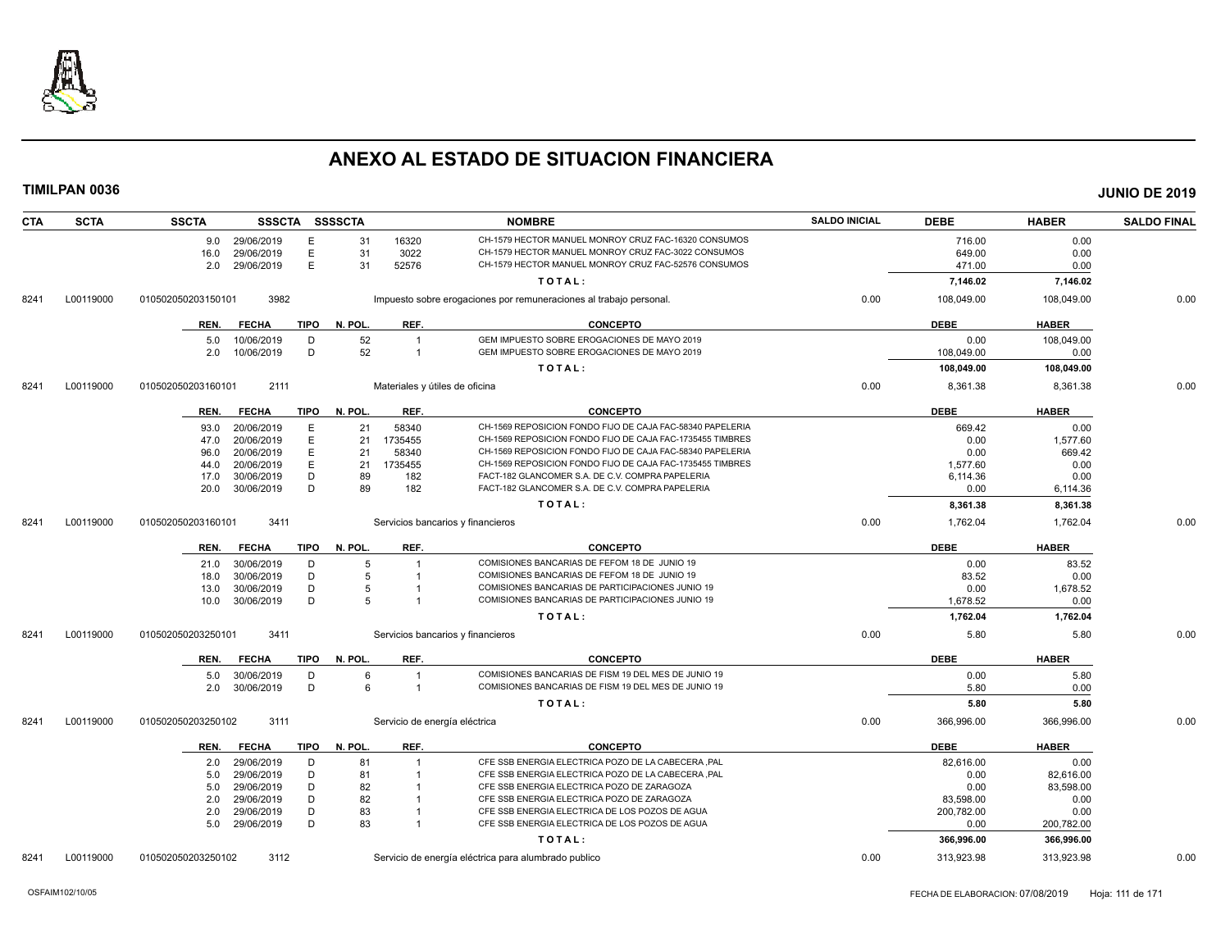

| <b>CTA</b> | <b>SCTA</b> | <b>SSCTA</b>                             |             | SSSCTA SSSSCTA |                  | <b>NOMBRE</b>                                                                                    | <b>SALDO INICIAL</b> | <b>DEBE</b>      | <b>HABER</b>     | <b>SALDO FINAL</b> |
|------------|-------------|------------------------------------------|-------------|----------------|------------------|--------------------------------------------------------------------------------------------------|----------------------|------------------|------------------|--------------------|
|            |             | 9.0 29/06/2019                           | E           | 31             | 16320            | CH-1579 HECTOR MANUEL MONROY CRUZ FAC-16320 CONSUMOS                                             |                      | 716.00           | 0.00             |                    |
|            |             | 29/06/2019<br>16.0                       | Е           | 31             | 3022             | CH-1579 HECTOR MANUEL MONROY CRUZ FAC-3022 CONSUMOS                                              |                      | 649.00           | 0.00             |                    |
|            |             | 29/06/2019<br>2.0                        | E           | 31             | 52576            | CH-1579 HECTOR MANUEL MONROY CRUZ FAC-52576 CONSUMOS                                             |                      | 471.00           | 0.00             |                    |
|            |             |                                          |             |                |                  | TOTAL:                                                                                           |                      | 7,146.02         | 7,146.02         |                    |
| 8241       | L00119000   | 010502050203150101                       | 3982        |                |                  | Impuesto sobre erogaciones por remuneraciones al trabajo personal.                               | 0.00                 | 108,049.00       | 108,049.00       | 0.00               |
|            |             | <b>FECHA</b><br>REN.                     | TIPO        | N. POL.        | REF.             | <b>CONCEPTO</b>                                                                                  |                      | <b>DEBE</b>      | <b>HABER</b>     |                    |
|            |             | 10/06/2019<br>5.0                        | D           | 52             | $\overline{1}$   | GEM IMPUESTO SOBRE EROGACIONES DE MAYO 2019                                                      |                      | 0.00             | 108,049.00       |                    |
|            |             | 10/06/2019<br>2.0                        | D           | 52             | $\overline{1}$   | GEM IMPUESTO SOBRE EROGACIONES DE MAYO 2019                                                      |                      | 108,049.00       | 0.00             |                    |
|            |             |                                          |             |                |                  | TOTAL:                                                                                           |                      | 108,049.00       | 108,049.00       |                    |
| 8241       | L00119000   | 010502050203160101                       | 2111        |                |                  | Materiales y útiles de oficina                                                                   | 0.00                 | 8,361.38         | 8,361.38         | 0.00               |
|            |             | <b>FECHA</b><br>REN.                     | TIPO        | N. POL.        | REF.             | <b>CONCEPTO</b>                                                                                  |                      | <b>DEBE</b>      | <b>HABER</b>     |                    |
|            |             |                                          |             |                |                  | CH-1569 REPOSICION FONDO FIJO DE CAJA FAC-58340 PAPELERIA                                        |                      |                  |                  |                    |
|            |             | 20/06/2019<br>93.0                       | Ε<br>E      | 21<br>21       | 58340<br>1735455 | CH-1569 REPOSICION FONDO FIJO DE CAJA FAC-1735455 TIMBRES                                        |                      | 669.42           | 0.00<br>1,577.60 |                    |
|            |             | 20/06/2019<br>47.0<br>20/06/2019<br>96.0 | E.          | 21             | 58340            | CH-1569 REPOSICION FONDO FIJO DE CAJA FAC-58340 PAPELERIA                                        |                      | 0.00<br>0.00     | 669.42           |                    |
|            |             | 20/06/2019<br>44.0                       | E           | 21             | 1735455          | CH-1569 REPOSICION FONDO FIJO DE CAJA FAC-1735455 TIMBRES                                        |                      | 1,577.60         | 0.00             |                    |
|            |             | 30/06/2019<br>17.0                       | D           | 89             | 182              | FACT-182 GLANCOMER S.A. DE C.V. COMPRA PAPELERIA                                                 |                      | 6,114.36         | 0.00             |                    |
|            |             | 30/06/2019<br>20.0                       | D           | 89             | 182              | FACT-182 GLANCOMER S.A. DE C.V. COMPRA PAPELERIA                                                 |                      | 0.00             | 6,114.36         |                    |
|            |             |                                          |             |                |                  | TOTAL:                                                                                           |                      | 8,361.38         | 8,361.38         |                    |
| 8241       | L00119000   | 010502050203160101                       | 3411        |                |                  | Servicios bancarios y financieros                                                                | 0.00                 | 1,762.04         | 1,762.04         | 0.00               |
|            |             |                                          |             |                |                  |                                                                                                  |                      |                  |                  |                    |
|            |             | <b>FECHA</b><br>REN.                     | TIPO        | N. POL.        | REF.             | <b>CONCEPTO</b>                                                                                  |                      | <b>DEBE</b>      | <b>HABER</b>     |                    |
|            |             | 30/06/2019<br>21.0                       | D           | 5              |                  | COMISIONES BANCARIAS DE FEFOM 18 DE JUNIO 19                                                     |                      | 0.00             | 83.52            |                    |
|            |             | 30/06/2019<br>18.0                       | D<br>D      | 5              |                  | COMISIONES BANCARIAS DE FEFOM 18 DE JUNIO 19<br>COMISIONES BANCARIAS DE PARTICIPACIONES JUNIO 19 |                      | 83.52            | 0.00             |                    |
|            |             | 30/06/2019<br>13.0<br>30/06/2019<br>10.0 | D           | 5              |                  | COMISIONES BANCARIAS DE PARTICIPACIONES JUNIO 19                                                 |                      | 0.00<br>1,678.52 | 1,678.52<br>0.00 |                    |
|            |             |                                          |             |                |                  |                                                                                                  |                      |                  |                  |                    |
| 8241       | L00119000   | 010502050203250101                       | 3411        |                |                  | TOTAL:<br>Servicios bancarios y financieros                                                      | 0.00                 | 1,762.04<br>5.80 | 1,762.04<br>5.80 | 0.00               |
|            |             |                                          |             |                |                  |                                                                                                  |                      |                  |                  |                    |
|            |             | <b>FECHA</b><br>REN.                     | TIPO        | N. POL.        | REF.             | <b>CONCEPTO</b>                                                                                  |                      | <b>DEBE</b>      | <b>HABER</b>     |                    |
|            |             | 30/06/2019<br>5.0                        | D           | 6              |                  | COMISIONES BANCARIAS DE FISM 19 DEL MES DE JUNIO 19                                              |                      | 0.00             | 5.80             |                    |
|            |             | 30/06/2019<br>2.0                        | D           | 6              |                  | COMISIONES BANCARIAS DE FISM 19 DEL MES DE JUNIO 19                                              |                      | 5.80             | 0.00             |                    |
|            |             |                                          |             |                |                  | TOTAL:                                                                                           |                      | 5.80             | 5.80             |                    |
| 8241       | L00119000   | 010502050203250102                       | 3111        |                |                  | Servicio de energía eléctrica                                                                    | 0.00                 | 366,996.00       | 366,996.00       | 0.00               |
|            |             | <b>FECHA</b><br>REN.                     | <b>TIPO</b> | N. POL.        | REF.             | <b>CONCEPTO</b>                                                                                  |                      | <b>DEBE</b>      | <b>HABER</b>     |                    |
|            |             | 29/06/2019<br>2.0                        | D           | 81             |                  | CFE SSB ENERGIA ELECTRICA POZO DE LA CABECERA , PAL                                              |                      | 82,616.00        | 0.00             |                    |
|            |             | 29/06/2019<br>5.0                        | D           | 81             |                  | CFE SSB ENERGIA ELECTRICA POZO DE LA CABECERA , PAL                                              |                      | 0.00             | 82,616.00        |                    |
|            |             | 29/06/2019<br>5.0                        | D           | 82             |                  | CFE SSB ENERGIA ELECTRICA POZO DE ZARAGOZA                                                       |                      | 0.00             | 83,598.00        |                    |
|            |             | 2.0<br>29/06/2019                        | D           | 82             |                  | CFE SSB ENERGIA ELECTRICA POZO DE ZARAGOZA                                                       |                      | 83,598.00        | 0.00             |                    |
|            |             | 29/06/2019<br>2.0                        | D           | 83             |                  | CFE SSB ENERGIA ELECTRICA DE LOS POZOS DE AGUA                                                   |                      | 200,782.00       | 0.00             |                    |
|            |             | 29/06/2019<br>5.0                        | D           | 83             | $\overline{1}$   | CFE SSB ENERGIA ELECTRICA DE LOS POZOS DE AGUA                                                   |                      | 0.00             | 200,782.00       |                    |
|            |             |                                          |             |                |                  | TOTAL:                                                                                           |                      | 366,996.00       | 366,996.00       |                    |
| 8241       | L00119000   | 010502050203250102                       | 3112        |                |                  | Servicio de energía eléctrica para alumbrado publico                                             | 0.00                 | 313,923.98       | 313,923.98       | 0.00               |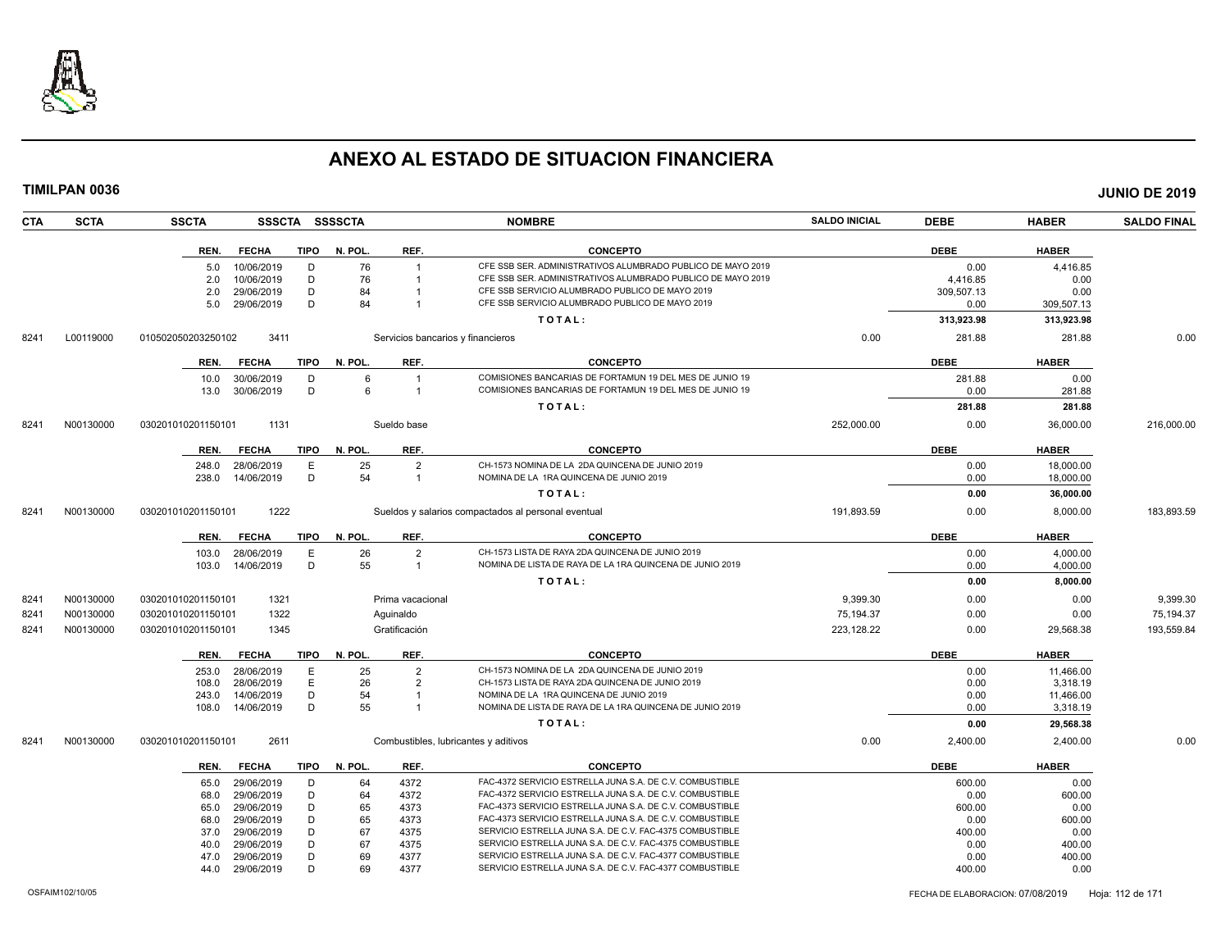

|      | TIMILPAN 0036 |                    |                          |                |          |                                   |                                                                                                                      |                      |                |                | <b>JUNIO DE 2019</b> |
|------|---------------|--------------------|--------------------------|----------------|----------|-----------------------------------|----------------------------------------------------------------------------------------------------------------------|----------------------|----------------|----------------|----------------------|
| CTA  | <b>SCTA</b>   | <b>SSCTA</b>       |                          | SSSCTA SSSSCTA |          |                                   | <b>NOMBRE</b>                                                                                                        | <b>SALDO INICIAL</b> | <b>DEBE</b>    | <b>HABER</b>   | <b>SALDO FINAL</b>   |
|      |               | REN.               | <b>FECHA</b>             | TIPO           | N. POL.  | REF.                              | <b>CONCEPTO</b>                                                                                                      |                      | <b>DEBE</b>    | <b>HABER</b>   |                      |
|      |               | 5.0                | 10/06/2019               | D              | 76       |                                   | CFE SSB SER. ADMINISTRATIVOS ALUMBRADO PUBLICO DE MAYO 2019                                                          |                      | 0.00           | 4,416.85       |                      |
|      |               | 2.0                | 10/06/2019               | D              | 76       | $\overline{1}$                    | CFE SSB SER. ADMINISTRATIVOS ALUMBRADO PUBLICO DE MAYO 2019                                                          |                      | 4,416.85       | 0.00           |                      |
|      |               | 2.0                | 29/06/2019               | D              | 84       |                                   | CFE SSB SERVICIO ALUMBRADO PUBLICO DE MAYO 2019                                                                      |                      | 309,507.13     | 0.00           |                      |
|      |               | 5.0                | 29/06/2019               | D              | 84       | $\overline{1}$                    | CFE SSB SERVICIO ALUMBRADO PUBLICO DE MAYO 2019                                                                      |                      | 0.00           | 309,507.13     |                      |
|      |               |                    |                          |                |          |                                   | TOTAL:                                                                                                               |                      | 313,923.98     | 313,923.98     |                      |
| 8241 | L00119000     | 010502050203250102 |                          | 3411           |          | Servicios bancarios y financieros |                                                                                                                      | 0.00                 | 281.88         | 281.88         | 0.00                 |
|      |               | REN.               | <b>FECHA</b>             | TIPO           | N. POL.  | REF.                              | <b>CONCEPTO</b>                                                                                                      |                      | <b>DEBE</b>    | <b>HABER</b>   |                      |
|      |               | 10.0               | 30/06/2019               | D              | 6        | $\overline{1}$                    | COMISIONES BANCARIAS DE FORTAMUN 19 DEL MES DE JUNIO 19                                                              |                      | 281.88         | 0.00           |                      |
|      |               |                    | 13.0 30/06/2019          | D              | 6        | $\overline{1}$                    | COMISIONES BANCARIAS DE FORTAMUN 19 DEL MES DE JUNIO 19                                                              |                      | 0.00           | 281.88         |                      |
|      |               |                    |                          |                |          |                                   | TOTAL:                                                                                                               |                      | 281.88         | 281.88         |                      |
| 8241 | N00130000     | 030201010201150101 |                          | 1131           |          | Sueldo base                       |                                                                                                                      | 252,000.00           | 0.00           | 36,000.00      | 216,000.00           |
|      |               |                    | REN. FECHA               | TIPO           | N. POL.  | REF.                              | <b>CONCEPTO</b>                                                                                                      |                      | <b>DEBE</b>    | <b>HABER</b>   |                      |
|      |               | 248.0              | 28/06/2019               | E              | 25       | $\overline{2}$                    | CH-1573 NOMINA DE LA 2DA QUINCENA DE JUNIO 2019                                                                      |                      | 0.00           | 18.000.00      |                      |
|      |               | 238.0              | 14/06/2019               | D              | 54       | $\overline{1}$                    | NOMINA DE LA 1RA QUINCENA DE JUNIO 2019                                                                              |                      | 0.00           | 18,000.00      |                      |
|      |               |                    |                          |                |          |                                   | TOTAL:                                                                                                               |                      | 0.00           | 36,000.00      |                      |
| 8241 | N00130000     | 030201010201150101 |                          | 1222           |          |                                   | Sueldos y salarios compactados al personal eventual                                                                  | 191.893.59           | 0.00           | 8.000.00       | 183,893.59           |
|      |               | REN.               | <b>FECHA</b>             | <b>TIPO</b>    | N. POL.  | REF.                              | <b>CONCEPTO</b>                                                                                                      |                      | <b>DEBE</b>    | <b>HABER</b>   |                      |
|      |               |                    | 103.0 28/06/2019         | E              | 26       | 2                                 | CH-1573 LISTA DE RAYA 2DA QUINCENA DE JUNIO 2019                                                                     |                      | 0.00           | 4.000.00       |                      |
|      |               |                    | 103.0 14/06/2019         | D              | 55       | $\overline{1}$                    | NOMINA DE LISTA DE RAYA DE LA 1RA QUINCENA DE JUNIO 2019                                                             |                      | 0.00           | 4,000.00       |                      |
|      |               |                    |                          |                |          |                                   | TOTAL:                                                                                                               |                      | 0.00           | 8,000.00       |                      |
| 8241 | N00130000     | 030201010201150101 |                          | 1321           |          | Prima vacacional                  |                                                                                                                      | 9.399.30             | 0.00           | 0.00           | 9,399.30             |
| 8241 | N00130000     | 030201010201150101 |                          | 1322           |          | Aguinaldo                         |                                                                                                                      | 75,194.37            | 0.00           | 0.00           | 75,194.37            |
| 8241 | N00130000     | 030201010201150101 |                          | 1345           |          | Gratificación                     |                                                                                                                      | 223,128.22           | 0.00           | 29,568.38      | 193,559.84           |
|      |               |                    |                          |                |          |                                   |                                                                                                                      |                      |                |                |                      |
|      |               |                    | REN. FECHA               | <b>TIPO</b>    | N. POL.  | REF.                              | <b>CONCEPTO</b>                                                                                                      |                      | <b>DEBE</b>    | <b>HABER</b>   |                      |
|      |               | 253.0              | 28/06/2019               | E              | 25       | $\overline{2}$                    | CH-1573 NOMINA DE LA 2DA QUINCENA DE JUNIO 2019                                                                      |                      | 0.00           | 11,466.00      |                      |
|      |               | 108.0              | 28/06/2019               | Е              | 26       | $\overline{2}$                    | CH-1573 LISTA DE RAYA 2DA QUINCENA DE JUNIO 2019                                                                     |                      | 0.00           | 3,318.19       |                      |
|      |               | 243.0              | 14/06/2019               | D              | 54       |                                   | NOMINA DE LA 1RA QUINCENA DE JUNIO 2019<br>NOMINA DE LISTA DE RAYA DE LA 1RA QUINCENA DE JUNIO 2019                  |                      | 0.00           | 11,466.00      |                      |
|      |               | 108.0              | 14/06/2019               | D              | 55       |                                   |                                                                                                                      |                      | 0.00           | 3,318.19       |                      |
|      |               |                    |                          |                |          |                                   | TOTAL:                                                                                                               |                      | 0.00           | 29,568.38      |                      |
| 8241 | N00130000     | 030201010201150101 |                          | 2611           |          |                                   | Combustibles, lubricantes y aditivos                                                                                 | 0.00                 | 2,400.00       | 2,400.00       | 0.00                 |
|      |               | REN.               | <b>FECHA</b>             | <b>TIPO</b>    | N. POL.  | REF.                              | <b>CONCEPTO</b>                                                                                                      |                      | <b>DEBE</b>    | <b>HABER</b>   |                      |
|      |               | 65.0               | 29/06/2019               | D              | 64       | 4372                              | FAC-4372 SERVICIO ESTRELLA JUNA S.A. DE C.V. COMBUSTIBLE                                                             |                      | 600.00         | 0.00           |                      |
|      |               | 68.0               | 29/06/2019               | D              | 64       | 4372                              | FAC-4372 SERVICIO ESTRELLA JUNA S.A. DE C.V. COMBUSTIBLE                                                             |                      | 0.00           | 600.00         |                      |
|      |               | 65.0               | 29/06/2019               | D              | 65       | 4373                              | FAC-4373 SERVICIO ESTRELLA JUNA S.A. DE C.V. COMBUSTIBLE                                                             |                      | 600.00         | 0.00           |                      |
|      |               | 68.0               | 29/06/2019               | D              | 65       | 4373                              | FAC-4373 SERVICIO ESTRELLA JUNA S.A. DE C.V. COMBUSTIBLE<br>SERVICIO ESTRELLA JUNA S.A. DE C.V. FAC-4375 COMBUSTIBLE |                      | 0.00           | 600.00         |                      |
|      |               | 37.0<br>40.0       | 29/06/2019<br>29/06/2019 | D<br>D         | 67<br>67 | 4375<br>4375                      | SERVICIO ESTRELLA JUNA S.A. DE C.V. FAC-4375 COMBUSTIBLE                                                             |                      | 400.00<br>0.00 | 0.00<br>400.00 |                      |
|      |               | 47.0               | 29/06/2019               | D              | 69       | 4377                              | SERVICIO ESTRELLA JUNA S.A. DE C.V. FAC-4377 COMBUSTIBLE                                                             |                      | 0.00           | 400.00         |                      |
|      |               | 44.0               | 29/06/2019               | D              | 69       | 4377                              | SERVICIO ESTRELLA JUNA S.A. DE C.V. FAC-4377 COMBUSTIBLE                                                             |                      | 400.00         | 0.00           |                      |
|      |               |                    |                          |                |          |                                   |                                                                                                                      |                      |                |                |                      |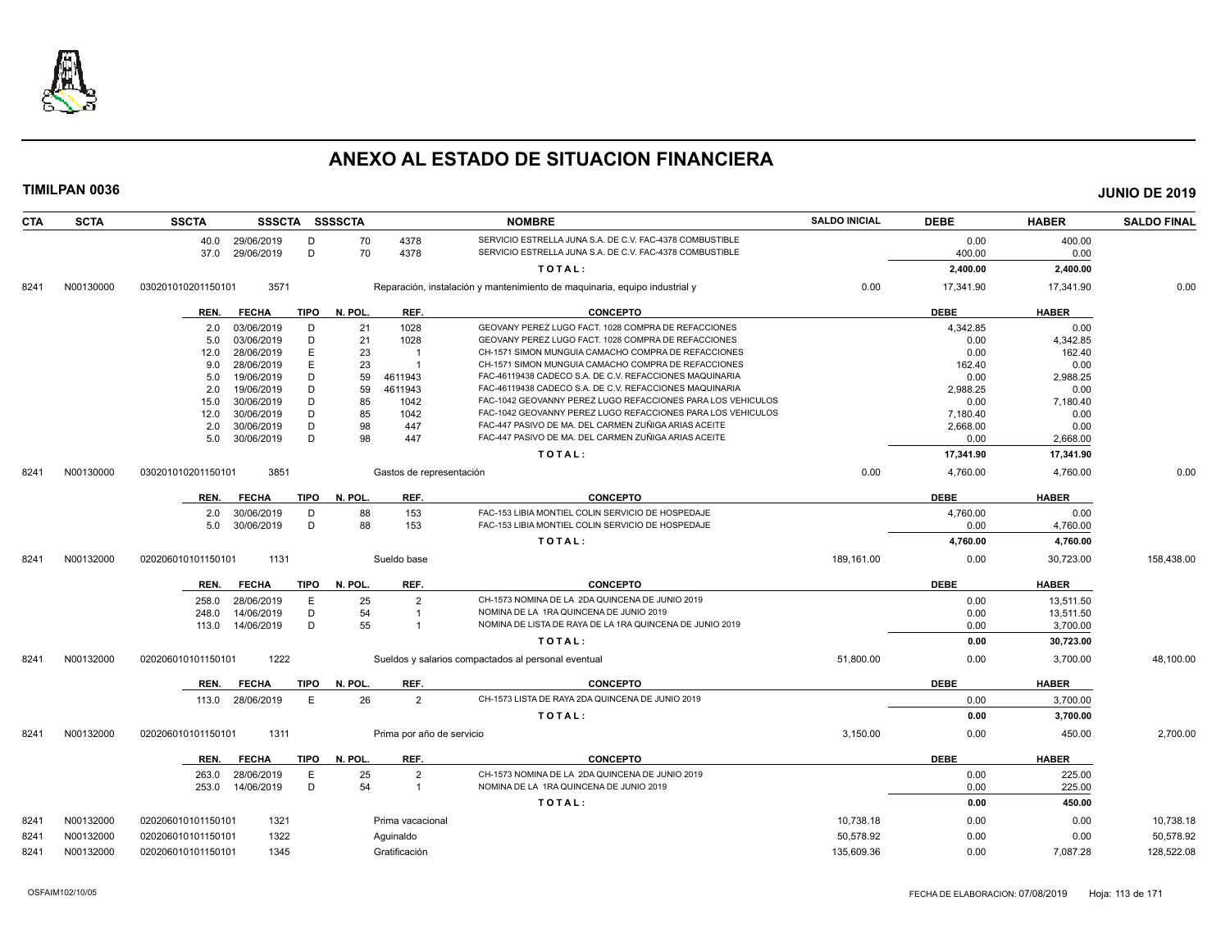

| CTA  | <b>SCTA</b> | <b>SSCTA</b><br>SSSCTA SSSSCTA      |         |                           | <b>NOMBRE</b>                                                              | <b>SALDO INICIAL</b> | <b>DEBE</b> | <b>HABER</b> | <b>SALDO FINAL</b> |
|------|-------------|-------------------------------------|---------|---------------------------|----------------------------------------------------------------------------|----------------------|-------------|--------------|--------------------|
|      |             | 40.0 29/06/2019<br>D                | 70      | 4378                      | SERVICIO ESTRELLA JUNA S.A. DE C.V. FAC-4378 COMBUSTIBLE                   |                      | 0.00        | 400.00       |                    |
|      |             | D<br>29/06/2019<br>37.0             | 70      | 4378                      | SERVICIO ESTRELLA JUNA S.A. DE C.V. FAC-4378 COMBUSTIBLE                   |                      | 400.00      | 0.00         |                    |
|      |             |                                     |         |                           | TOTAL:                                                                     |                      | 2,400.00    | 2,400.00     |                    |
| 8241 | N00130000   | 3571<br>030201010201150101          |         |                           | Reparación, instalación y mantenimiento de maquinaria, equipo industrial y | 0.00                 | 17,341.90   | 17,341.90    | 0.00               |
|      |             | <b>FECHA</b><br><b>TIPO</b><br>REN. | N. POL. | REF.                      | <b>CONCEPTO</b>                                                            |                      | <b>DEBE</b> | <b>HABER</b> |                    |
|      |             | 03/06/2019<br>D<br>2.0              | 21      | 1028                      | GEOVANY PEREZ LUGO FACT. 1028 COMPRA DE REFACCIONES                        |                      | 4,342.85    | 0.00         |                    |
|      |             | D<br>03/06/2019<br>5.0              | 21      | 1028                      | GEOVANY PEREZ LUGO FACT. 1028 COMPRA DE REFACCIONES                        |                      | 0.00        | 4,342.85     |                    |
|      |             | E<br>28/06/2019<br>12.0             | 23      |                           | CH-1571 SIMON MUNGUIA CAMACHO COMPRA DE REFACCIONES                        |                      | 0.00        | 162.40       |                    |
|      |             | 28/06/2019<br>E<br>9.0              | 23      | $\overline{1}$            | CH-1571 SIMON MUNGUIA CAMACHO COMPRA DE REFACCIONES                        |                      | 162.40      | 0.00         |                    |
|      |             | D<br>19/06/2019<br>5.0              | 59      | 4611943                   | FAC-46119438 CADECO S.A. DE C.V. REFACCIONES MAQUINARIA                    |                      | 0.00        | 2,988.25     |                    |
|      |             | 19/06/2019<br>D<br>2.0              | 59      | 4611943                   | FAC-46119438 CADECO S.A. DE C.V. REFACCIONES MAQUINARIA                    |                      | 2.988.25    | 0.00         |                    |
|      |             | 30/06/2019<br>D<br>15.0             | 85      | 1042                      | FAC-1042 GEOVANNY PEREZ LUGO REFACCIONES PARA LOS VEHICULOS                |                      | 0.00        | 7,180.40     |                    |
|      |             | D<br>30/06/2019<br>12.0             | 85      | 1042                      | FAC-1042 GEOVANNY PEREZ LUGO REFACCIONES PARA LOS VEHICULOS                |                      | 7,180.40    | 0.00         |                    |
|      |             | D<br>30/06/2019<br>2.0              | 98      | 447                       | FAC-447 PASIVO DE MA. DEL CARMEN ZUÑIGA ARIAS ACEITE                       |                      | 2,668.00    | 0.00         |                    |
|      |             | D<br>30/06/2019<br>5.0              | 98      | 447                       | FAC-447 PASIVO DE MA. DEL CARMEN ZUÑIGA ARIAS ACEITE                       |                      | 0.00        | 2,668.00     |                    |
|      |             |                                     |         |                           | TOTAL:                                                                     |                      | 17,341.90   | 17,341.90    |                    |
| 8241 | N00130000   | 3851<br>030201010201150101          |         | Gastos de representación  |                                                                            | 0.00                 | 4.760.00    | 4,760.00     | 0.00               |
|      |             | <b>FECHA</b><br><b>TIPO</b><br>REN. | N. POL. | REF.                      | <b>CONCEPTO</b>                                                            |                      | <b>DEBE</b> | <b>HABER</b> |                    |
|      |             | 30/06/2019<br>D<br>2.0              | 88      | 153                       | FAC-153 LIBIA MONTIEL COLIN SERVICIO DE HOSPEDAJE                          |                      | 4,760.00    | 0.00         |                    |
|      |             | 30/06/2019<br>D<br>5.0              | 88      | 153                       | FAC-153 LIBIA MONTIEL COLIN SERVICIO DE HOSPEDAJE                          |                      | 0.00        | 4,760.00     |                    |
|      |             |                                     |         |                           | TOTAL:                                                                     |                      | 4,760.00    | 4,760.00     |                    |
| 8241 | N00132000   | 1131<br>020206010101150101          |         | Sueldo base               |                                                                            | 189,161.00           | 0.00        | 30,723.00    | 158,438.00         |
|      |             | <b>FECHA</b><br><b>TIPO</b><br>REN. | N. POL. | REF.                      | <b>CONCEPTO</b>                                                            |                      | <b>DEBE</b> | <b>HABER</b> |                    |
|      |             | 28/06/2019<br>E<br>258.0            | 25      | $\overline{2}$            | CH-1573 NOMINA DE LA 2DA QUINCENA DE JUNIO 2019                            |                      | 0.00        | 13,511.50    |                    |
|      |             | D<br>14/06/2019<br>248.0            | 54      | $\overline{1}$            | NOMINA DE LA 1RA QUINCENA DE JUNIO 2019                                    |                      | 0.00        | 13,511.50    |                    |
|      |             | D<br>14/06/2019<br>113.0            | 55      | $\overline{1}$            | NOMINA DE LISTA DE RAYA DE LA 1RA QUINCENA DE JUNIO 2019                   |                      | 0.00        | 3,700.00     |                    |
|      |             |                                     |         |                           | TOTAL:                                                                     |                      | 0.00        | 30,723.00    |                    |
| 8241 | N00132000   | 1222<br>020206010101150101          |         |                           | Sueldos y salarios compactados al personal eventual                        | 51,800.00            | 0.00        | 3,700.00     | 48.100.00          |
|      |             | <b>TIPO</b><br>REN.<br><b>FECHA</b> | N. POL. | REF.                      | <b>CONCEPTO</b>                                                            |                      | <b>DEBE</b> | <b>HABER</b> |                    |
|      |             | 28/06/2019<br>E<br>113.0            | 26      | $\overline{2}$            | CH-1573 LISTA DE RAYA 2DA QUINCENA DE JUNIO 2019                           |                      | 0.00        | 3,700.00     |                    |
|      |             |                                     |         |                           | TOTAL:                                                                     |                      | 0.00        | 3,700.00     |                    |
| 8241 | N00132000   | 020206010101150101<br>1311          |         | Prima por año de servicio |                                                                            | 3,150.00             | 0.00        | 450.00       | 2,700.00           |
|      |             | <b>TIPO</b><br>REN.<br><b>FECHA</b> | N. POL. | REF.                      | <b>CONCEPTO</b>                                                            |                      | <b>DEBE</b> | <b>HABER</b> |                    |
|      |             | E<br>28/06/2019<br>263.0            | 25      | $\overline{2}$            | CH-1573 NOMINA DE LA 2DA QUINCENA DE JUNIO 2019                            |                      | 0.00        | 225.00       |                    |
|      |             | D<br>14/06/2019<br>253.0            | 54      | $\overline{1}$            | NOMINA DE LA 1RA QUINCENA DE JUNIO 2019                                    |                      | 0.00        | 225.00       |                    |
|      |             |                                     |         |                           | TOTAL:                                                                     |                      | 0.00        | 450.00       |                    |
| 8241 | N00132000   | 1321<br>020206010101150101          |         | Prima vacacional          |                                                                            | 10,738.18            | 0.00        | 0.00         | 10,738.18          |
| 8241 | N00132000   | 1322<br>020206010101150101          |         | Aquinaldo                 |                                                                            | 50,578.92            | 0.00        | 0.00         | 50,578.92          |
|      |             | 1345                                |         | Gratificación             |                                                                            |                      | 0.00        |              | 128,522.08         |
| 8241 | N00132000   | 020206010101150101                  |         |                           |                                                                            | 135,609.36           |             | 7,087.28     |                    |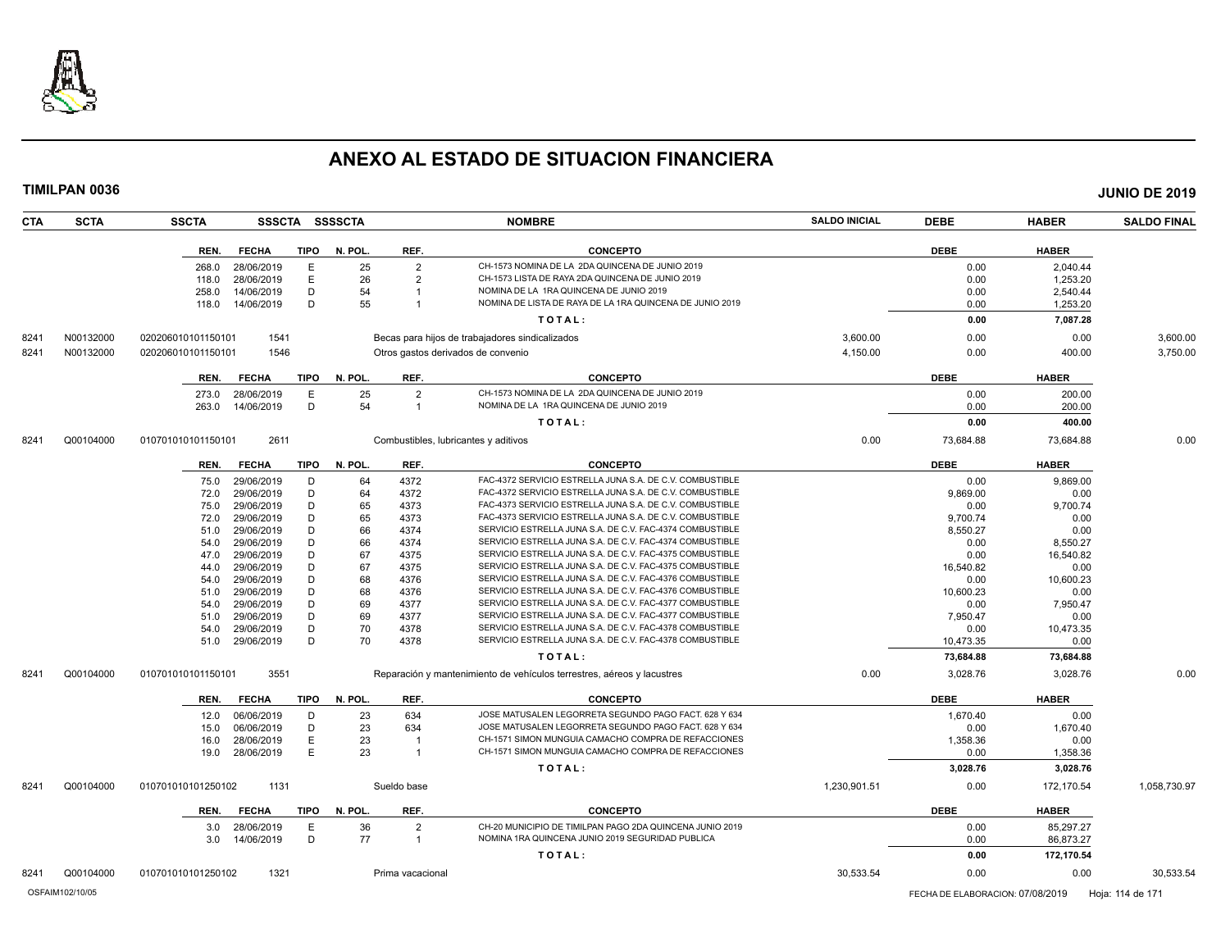

| TIMILPAN 0036      |                    |              |             |                |                |                                                                                                                      |                      |             |              | <b>JUNIO DE 2019</b> |
|--------------------|--------------------|--------------|-------------|----------------|----------------|----------------------------------------------------------------------------------------------------------------------|----------------------|-------------|--------------|----------------------|
| CTA<br><b>SCTA</b> | <b>SSCTA</b>       |              |             | SSSCTA SSSSCTA |                | <b>NOMBRE</b>                                                                                                        | <b>SALDO INICIAL</b> | <b>DEBE</b> | <b>HABER</b> | <b>SALDO FINAL</b>   |
|                    | REN.               | <b>FECHA</b> | <b>TIPO</b> | N. POL.        | REF.           | <b>CONCEPTO</b>                                                                                                      |                      | <b>DEBE</b> | <b>HABER</b> |                      |
|                    | 268.0              | 28/06/2019   | E           | 25             | $\overline{2}$ | CH-1573 NOMINA DE LA 2DA QUINCENA DE JUNIO 2019                                                                      |                      | 0.00        | 2.040.44     |                      |
|                    | 118.0              | 28/06/2019   | Ε           | 26             | $\overline{2}$ | CH-1573 LISTA DE RAYA 2DA QUINCENA DE JUNIO 2019                                                                     |                      | 0.00        | 1,253.20     |                      |
|                    | 258.0              | 14/06/2019   | D           | 54             | $\overline{1}$ | NOMINA DE LA 1RA QUINCENA DE JUNIO 2019                                                                              |                      | 0.00        | 2,540.44     |                      |
|                    | 118.0              | 14/06/2019   | D           | 55             | $\overline{1}$ | NOMINA DE LISTA DE RAYA DE LA 1RA QUINCENA DE JUNIO 2019                                                             |                      | 0.00        | 1,253.20     |                      |
|                    |                    |              |             |                |                | TOTAL:                                                                                                               |                      | 0.00        | 7,087.28     |                      |
| 8241<br>N00132000  | 020206010101150101 | 1541         |             |                |                | Becas para hijos de trabajadores sindicalizados                                                                      | 3,600.00             | 0.00        | 0.00         | 3,600.00             |
| 8241<br>N00132000  | 020206010101150101 | 1546         |             |                |                | Otros gastos derivados de convenio                                                                                   | 4,150.00             | 0.00        | 400.00       | 3,750.00             |
|                    |                    |              |             |                |                |                                                                                                                      |                      |             |              |                      |
|                    | REN.               | <b>FECHA</b> | TIPO        | N. POL.        | REF.           | <b>CONCEPTO</b>                                                                                                      |                      | <b>DEBE</b> | <b>HABER</b> |                      |
|                    | 273.0              | 28/06/2019   | E           | 25             | $\overline{2}$ | CH-1573 NOMINA DE LA 2DA QUINCENA DE JUNIO 2019                                                                      |                      | 0.00        | 200.00       |                      |
|                    | 263.0              | 14/06/2019   | D           | 54             | $\overline{1}$ | NOMINA DE LA 1RA QUINCENA DE JUNIO 2019                                                                              |                      | 0.00        | 200.00       |                      |
|                    |                    |              |             |                |                | TOTAL:                                                                                                               |                      | 0.00        | 400.00       |                      |
| Q00104000<br>8241  | 010701010101150101 | 2611         |             |                |                | Combustibles, lubricantes y aditivos                                                                                 | 0.00                 | 73,684.88   | 73,684.88    | 0.00                 |
|                    | REN.               | <b>FECHA</b> | <b>TIPO</b> | N. POL.        | REF.           | <b>CONCEPTO</b>                                                                                                      |                      | <b>DEBE</b> | <b>HABER</b> |                      |
|                    | 75.0               | 29/06/2019   | D           | 64             | 4372           | FAC-4372 SERVICIO ESTRELLA JUNA S.A. DE C.V. COMBUSTIBLE                                                             |                      | 0.00        | 9,869.00     |                      |
|                    | 72.0               | 29/06/2019   | D           | 64             | 4372           | FAC-4372 SERVICIO ESTRELLA JUNA S.A. DE C.V. COMBUSTIBLE                                                             |                      | 9,869.00    | 0.00         |                      |
|                    | 75.0               | 29/06/2019   | D           | 65             | 4373           | FAC-4373 SERVICIO ESTRELLA JUNA S.A. DE C.V. COMBUSTIBLE                                                             |                      | 0.00        | 9,700.74     |                      |
|                    | 72.0               | 29/06/2019   | D           | 65             | 4373           | FAC-4373 SERVICIO ESTRELLA JUNA S.A. DE C.V. COMBUSTIBLE                                                             |                      | 9,700.74    | 0.00         |                      |
|                    | 51.0               | 29/06/2019   | D           | 66             | 4374           | SERVICIO ESTRELLA JUNA S.A. DE C.V. FAC-4374 COMBUSTIBLE                                                             |                      | 8,550.27    | 0.00         |                      |
|                    | 54.0               | 29/06/2019   | D           | 66             | 4374           | SERVICIO ESTRELLA JUNA S.A. DE C.V. FAC-4374 COMBUSTIBLE                                                             |                      | 0.00        | 8,550.27     |                      |
|                    | 47.0               | 29/06/2019   | D           | 67             | 4375           | SERVICIO ESTRELLA JUNA S.A. DE C.V. FAC-4375 COMBUSTIBLE                                                             |                      | 0.00        | 16,540.82    |                      |
|                    | 44.0               | 29/06/2019   | D           | 67             | 4375           | SERVICIO ESTRELLA JUNA S.A. DE C.V. FAC-4375 COMBUSTIBLE                                                             |                      | 16,540.82   | 0.00         |                      |
|                    | 54.0               | 29/06/2019   | D           | 68             | 4376           | SERVICIO ESTRELLA JUNA S.A. DE C.V. FAC-4376 COMBUSTIBLE                                                             |                      | 0.00        | 10,600.23    |                      |
|                    | 51.0               | 29/06/2019   | D           | 68             | 4376           | SERVICIO ESTRELLA JUNA S.A. DE C.V. FAC-4376 COMBUSTIBLE                                                             |                      | 10,600.23   | 0.00         |                      |
|                    | 54.0               | 29/06/2019   | D           | 69             | 4377           | SERVICIO ESTRELLA JUNA S.A. DE C.V. FAC-4377 COMBUSTIBLE                                                             |                      | 0.00        | 7,950.47     |                      |
|                    | 51.0               | 29/06/2019   | D           | 69             | 4377           | SERVICIO ESTRELLA JUNA S.A. DE C.V. FAC-4377 COMBUSTIBLE                                                             |                      | 7,950.47    | 0.00         |                      |
|                    | 54.0               | 29/06/2019   | D<br>D      | 70<br>70       | 4378           | SERVICIO ESTRELLA JUNA S.A. DE C.V. FAC-4378 COMBUSTIBLE<br>SERVICIO ESTRELLA JUNA S.A. DE C.V. FAC-4378 COMBUSTIBLE |                      | 0.00        | 10,473.35    |                      |
|                    | 51.0               | 29/06/2019   |             |                | 4378           | TOTAL:                                                                                                               |                      | 10,473.35   | 0.00         |                      |
|                    |                    |              |             |                |                |                                                                                                                      |                      | 73,684.88   | 73,684.88    |                      |
| Q00104000<br>8241  | 010701010101150101 | 3551         |             |                |                | Reparación y mantenimiento de vehículos terrestres, aéreos y lacustres                                               | 0.00                 | 3,028.76    | 3,028.76     | 0.00                 |
|                    | REN.               | <b>FECHA</b> | <b>TIPO</b> | N. POL.        | REF.           | <b>CONCEPTO</b>                                                                                                      |                      | <b>DEBE</b> | <b>HABER</b> |                      |
|                    | 12.0               | 06/06/2019   | D           | 23             | 634            | JOSE MATUSALEN LEGORRETA SEGUNDO PAGO FACT. 628 Y 634                                                                |                      | 1,670.40    | 0.00         |                      |
|                    | 15.0               | 06/06/2019   | D           | 23             | 634            | JOSE MATUSALEN LEGORRETA SEGUNDO PAGO FACT. 628 Y 634                                                                |                      | 0.00        | 1,670.40     |                      |
|                    | 16.0               | 28/06/2019   | Ε           | 23             | $\overline{1}$ | CH-1571 SIMON MUNGUIA CAMACHO COMPRA DE REFACCIONES                                                                  |                      | 1,358.36    | 0.00         |                      |
|                    | 19.0               | 28/06/2019   | E           | 23             | $\overline{1}$ | CH-1571 SIMON MUNGUIA CAMACHO COMPRA DE REFACCIONES                                                                  |                      | 0.00        | 1,358.36     |                      |
|                    |                    |              |             |                |                | TOTAL:                                                                                                               |                      | 3,028.76    | 3,028.76     |                      |
| 8241<br>Q00104000  | 010701010101250102 | 1131         |             |                | Sueldo base    |                                                                                                                      | 1,230,901.51         | 0.00        | 172,170.54   | 1,058,730.97         |
|                    | REN.               | <b>FECHA</b> | TIPO        | N. POL.        | REF.           | <b>CONCEPTO</b>                                                                                                      |                      | <b>DEBE</b> | <b>HABER</b> |                      |
|                    | 3.0                | 28/06/2019   | E           | 36             | $\overline{2}$ | CH-20 MUNICIPIO DE TIMILPAN PAGO 2DA QUINCENA JUNIO 2019                                                             |                      | 0.00        | 85,297.27    |                      |
|                    | 3.0                | 14/06/2019   | D           | 77             | $\overline{1}$ | NOMINA 1RA QUINCENA JUNIO 2019 SEGURIDAD PUBLICA                                                                     |                      | 0.00        | 86,873.27    |                      |
|                    |                    |              |             |                |                | TOTAL:                                                                                                               |                      | 0.00        | 172,170.54   |                      |
|                    |                    |              |             |                |                |                                                                                                                      |                      |             |              |                      |

8241 Q00104000 010701010101250102 1321 Prima vacacional 30,533.54 0.00 0.00 30,533.54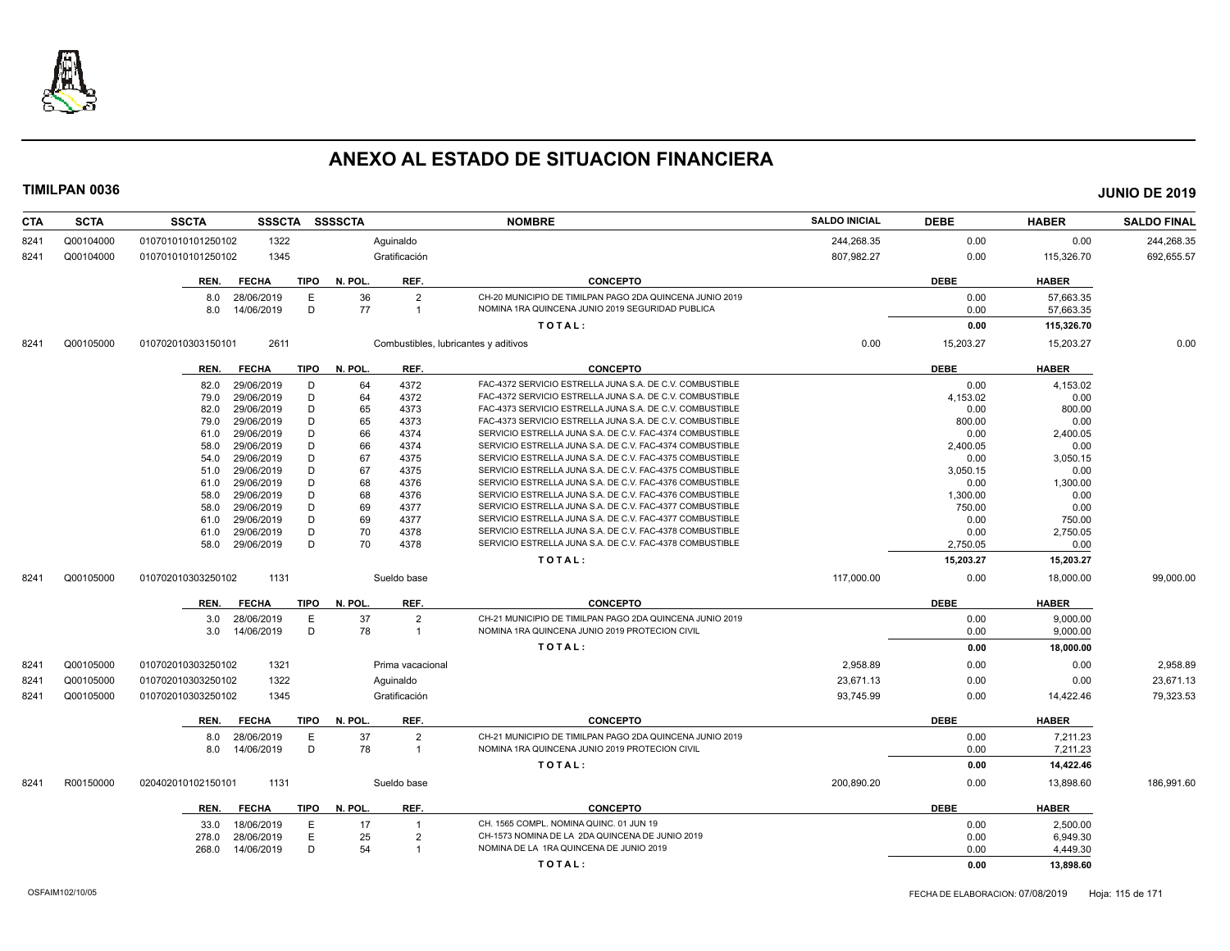

| 0.00<br>0.00<br>Q00104000<br>010701010101250102<br>1322<br>Aguinaldo<br>244,268.35<br>8241<br>Q00104000<br>1345<br>Gratificación<br>807.982.27<br>0.00<br>115,326.70<br>8241<br>010701010101250102<br>REF.<br><b>DEBE</b><br><b>FECHA</b><br>TIPO<br>N. POL.<br><b>CONCEPTO</b><br><b>HABER</b><br>REN.<br>36<br>$\overline{2}$<br>CH-20 MUNICIPIO DE TIMILPAN PAGO 2DA QUINCENA JUNIO 2019<br>0.00<br>28/06/2019<br>E<br>57.663.35<br>8.0<br>D<br>77<br>NOMINA 1RA QUINCENA JUNIO 2019 SEGURIDAD PUBLICA<br>14/06/2019<br>$\overline{1}$<br>0.00<br>57,663.35<br>8.0<br>TOTAL:<br>0.00<br>115,326.70<br>2611<br>0.00<br>15,203.27<br>Q00105000<br>010702010303150101<br>Combustibles, lubricantes y aditivos<br>15,203.27<br>8241<br><b>FECHA</b><br><b>TIPO</b><br>N. POL.<br>REF.<br><b>CONCEPTO</b><br><b>DEBE</b><br><b>HABER</b><br>REN.<br>4372<br>FAC-4372 SERVICIO ESTRELLA JUNA S.A. DE C.V. COMBUSTIBLE<br>29/06/2019<br>D<br>64<br>0.00<br>4,153.02<br>82.0<br>D<br>64<br>FAC-4372 SERVICIO ESTRELLA JUNA S.A. DE C.V. COMBUSTIBLE<br>79.0<br>29/06/2019<br>4372<br>4,153.02<br>0.00<br>D<br>FAC-4373 SERVICIO ESTRELLA JUNA S.A. DE C.V. COMBUSTIBLE<br>29/06/2019<br>65<br>82.0<br>4373<br>0.00<br>800.00<br>FAC-4373 SERVICIO ESTRELLA JUNA S.A. DE C.V. COMBUSTIBLE<br>29/06/2019<br>D<br>65<br>4373<br>79.0<br>800.00<br>0.00<br>D<br>66<br>SERVICIO ESTRELLA JUNA S.A. DE C.V. FAC-4374 COMBUSTIBLE<br>29/06/2019<br>4374<br>0.00<br>2,400.05<br>61.0<br>D<br>29/06/2019<br>66<br>4374<br>SERVICIO ESTRELLA JUNA S.A. DE C.V. FAC-4374 COMBUSTIBLE<br>2,400.05<br>0.00<br>58.0<br>67<br>D<br>SERVICIO ESTRELLA JUNA S.A. DE C.V. FAC-4375 COMBUSTIBLE<br>29/06/2019<br>4375<br>0.00<br>3,050.15<br>54.0<br>D<br>67<br>29/06/2019<br>4375<br>SERVICIO ESTRELLA JUNA S.A. DE C.V. FAC-4375 COMBUSTIBLE<br>3,050.15<br>0.00<br>51.0<br>29/06/2019<br>D<br>68<br>SERVICIO ESTRELLA JUNA S.A. DE C.V. FAC-4376 COMBUSTIBLE<br>0.00<br>4376<br>1,300.00<br>61.0<br>68<br>29/06/2019<br>D<br>4376<br>SERVICIO ESTRELLA JUNA S.A. DE C.V. FAC-4376 COMBUSTIBLE<br>1,300.00<br>58.0<br>0.00<br>D<br>69<br>29/06/2019<br>4377<br>SERVICIO ESTRELLA JUNA S.A. DE C.V. FAC-4377 COMBUSTIBLE<br>750.00<br>0.00<br>58.0<br>D<br>69<br>29/06/2019<br>4377<br>SERVICIO ESTRELLA JUNA S.A. DE C.V. FAC-4377 COMBUSTIBLE<br>61.0<br>0.00<br>750.00<br>D<br>29/06/2019<br>70<br>4378<br>SERVICIO ESTRELLA JUNA S.A. DE C.V. FAC-4378 COMBUSTIBLE<br>2,750.05<br>0.00<br>61.0<br>D<br>70<br>SERVICIO ESTRELLA JUNA S.A. DE C.V. FAC-4378 COMBUSTIBLE<br>29/06/2019<br>4378<br>2,750.05<br>0.00<br>58.0<br>TOTAL:<br>15,203.27<br>15,203.27<br>Q00105000<br>010702010303250102<br>1131<br>Sueldo base<br>117,000.00<br>0.00<br>18,000.00<br>99,000.00<br>8241<br><b>DEBE</b><br>N. POL.<br>REF.<br><b>CONCEPTO</b><br><b>HABER</b><br><b>FECHA</b><br>TIPO<br>REN.<br>37<br>$\overline{2}$<br>28/06/2019<br>Е<br>CH-21 MUNICIPIO DE TIMILPAN PAGO 2DA QUINCENA JUNIO 2019<br>3.0<br>0.00<br>9,000.00<br>D<br>14/06/2019<br>78<br>NOMINA 1RA QUINCENA JUNIO 2019 PROTECION CIVIL<br>0.00<br>9,000.00<br>$\overline{1}$<br>3.0<br>TOTAL:<br>0.00<br>18,000.00<br>2,958.89<br>Q00105000<br>010702010303250102<br>1321<br>Prima vacacional<br>0.00<br>0.00<br>8241<br>1322<br>23,671.13<br>Q00105000<br>010702010303250102<br>0.00<br>8241<br>Aguinaldo<br>0.00<br>Q00105000<br>010702010303250102<br>1345<br>Gratificación<br>93,745.99<br>8241<br>0.00<br>14,422.46<br>N. POL.<br><b>DEBE</b><br><b>FECHA</b><br>TIPO<br>REF.<br><b>CONCEPTO</b><br><b>HABER</b><br>REN.<br>37<br>$\overline{2}$<br>CH-21 MUNICIPIO DE TIMILPAN PAGO 2DA QUINCENA JUNIO 2019<br>28/06/2019<br>E<br>0.00<br>7,211.23<br>8.0<br>NOMINA 1RA QUINCENA JUNIO 2019 PROTECION CIVIL<br>D<br>78<br>14/06/2019<br>$\overline{1}$<br>0.00<br>8.0<br>7,211.23<br>TOTAL:<br>0.00<br>14,422.46<br>R00150000<br>1131<br>Sueldo base<br>200,890.20<br>0.00<br>13,898.60<br>186,991.60<br>020402010102150101<br>8241<br>REF.<br><b>DEBE</b><br><b>TIPO</b><br>N. POL.<br><b>CONCEPTO</b><br><b>HABER</b><br><b>FECHA</b><br>REN.<br>18/06/2019<br>Е<br>17<br>CH. 1565 COMPL. NOMINA QUINC. 01 JUN 19<br>0.00<br>2,500.00<br>33.0<br>$\overline{1}$<br>E<br>25<br>28/06/2019<br>$\overline{2}$<br>CH-1573 NOMINA DE LA 2DA QUINCENA DE JUNIO 2019<br>0.00<br>278.0<br>6,949.30<br>D<br>54<br>NOMINA DE LA 1RA QUINCENA DE JUNIO 2019<br>0.00<br>14/06/2019<br>$\overline{1}$<br>4,449.30<br>268.0 | <b>CTA</b> | <b>SCTA</b> | <b>SSCTA</b><br><b>SSSCTA</b> | <b>SSSSCTA</b> | <b>NOMBRE</b> | <b>SALDO INICIAL</b> | <b>DEBE</b> | <b>HABER</b> | <b>SALDO FINAL</b> |
|-------------------------------------------------------------------------------------------------------------------------------------------------------------------------------------------------------------------------------------------------------------------------------------------------------------------------------------------------------------------------------------------------------------------------------------------------------------------------------------------------------------------------------------------------------------------------------------------------------------------------------------------------------------------------------------------------------------------------------------------------------------------------------------------------------------------------------------------------------------------------------------------------------------------------------------------------------------------------------------------------------------------------------------------------------------------------------------------------------------------------------------------------------------------------------------------------------------------------------------------------------------------------------------------------------------------------------------------------------------------------------------------------------------------------------------------------------------------------------------------------------------------------------------------------------------------------------------------------------------------------------------------------------------------------------------------------------------------------------------------------------------------------------------------------------------------------------------------------------------------------------------------------------------------------------------------------------------------------------------------------------------------------------------------------------------------------------------------------------------------------------------------------------------------------------------------------------------------------------------------------------------------------------------------------------------------------------------------------------------------------------------------------------------------------------------------------------------------------------------------------------------------------------------------------------------------------------------------------------------------------------------------------------------------------------------------------------------------------------------------------------------------------------------------------------------------------------------------------------------------------------------------------------------------------------------------------------------------------------------------------------------------------------------------------------------------------------------------------------------------------------------------------------------------------------------------------------------------------------------------------------------------------------------------------------------------------------------------------------------------------------------------------------------------------------------------------------------------------------------------------------------------------------------------------------------------------------------------------------------------------------------------------------------------------------------------------------------------------------------------------------------------------------------------------------------------------------------------------------------------------------------------------------------------------------------------------------------------------------------------------------------------------------------------------------------------------------------------------------------------------------------------------------------------------------------------------------------------------------------------------------------------------------------------------------------------------------------------------------------------------------------------------------------------------------------------------------------|------------|-------------|-------------------------------|----------------|---------------|----------------------|-------------|--------------|--------------------|
|                                                                                                                                                                                                                                                                                                                                                                                                                                                                                                                                                                                                                                                                                                                                                                                                                                                                                                                                                                                                                                                                                                                                                                                                                                                                                                                                                                                                                                                                                                                                                                                                                                                                                                                                                                                                                                                                                                                                                                                                                                                                                                                                                                                                                                                                                                                                                                                                                                                                                                                                                                                                                                                                                                                                                                                                                                                                                                                                                                                                                                                                                                                                                                                                                                                                                                                                                                                                                                                                                                                                                                                                                                                                                                                                                                                                                                                                                                                                                                                                                                                                                                                                                                                                                                                                                                                                                                                                                                                             |            |             |                               |                |               |                      |             |              | 244,268.35         |
|                                                                                                                                                                                                                                                                                                                                                                                                                                                                                                                                                                                                                                                                                                                                                                                                                                                                                                                                                                                                                                                                                                                                                                                                                                                                                                                                                                                                                                                                                                                                                                                                                                                                                                                                                                                                                                                                                                                                                                                                                                                                                                                                                                                                                                                                                                                                                                                                                                                                                                                                                                                                                                                                                                                                                                                                                                                                                                                                                                                                                                                                                                                                                                                                                                                                                                                                                                                                                                                                                                                                                                                                                                                                                                                                                                                                                                                                                                                                                                                                                                                                                                                                                                                                                                                                                                                                                                                                                                                             |            |             |                               |                |               |                      |             |              | 692.655.57         |
|                                                                                                                                                                                                                                                                                                                                                                                                                                                                                                                                                                                                                                                                                                                                                                                                                                                                                                                                                                                                                                                                                                                                                                                                                                                                                                                                                                                                                                                                                                                                                                                                                                                                                                                                                                                                                                                                                                                                                                                                                                                                                                                                                                                                                                                                                                                                                                                                                                                                                                                                                                                                                                                                                                                                                                                                                                                                                                                                                                                                                                                                                                                                                                                                                                                                                                                                                                                                                                                                                                                                                                                                                                                                                                                                                                                                                                                                                                                                                                                                                                                                                                                                                                                                                                                                                                                                                                                                                                                             |            |             |                               |                |               |                      |             |              |                    |
|                                                                                                                                                                                                                                                                                                                                                                                                                                                                                                                                                                                                                                                                                                                                                                                                                                                                                                                                                                                                                                                                                                                                                                                                                                                                                                                                                                                                                                                                                                                                                                                                                                                                                                                                                                                                                                                                                                                                                                                                                                                                                                                                                                                                                                                                                                                                                                                                                                                                                                                                                                                                                                                                                                                                                                                                                                                                                                                                                                                                                                                                                                                                                                                                                                                                                                                                                                                                                                                                                                                                                                                                                                                                                                                                                                                                                                                                                                                                                                                                                                                                                                                                                                                                                                                                                                                                                                                                                                                             |            |             |                               |                |               |                      |             |              |                    |
|                                                                                                                                                                                                                                                                                                                                                                                                                                                                                                                                                                                                                                                                                                                                                                                                                                                                                                                                                                                                                                                                                                                                                                                                                                                                                                                                                                                                                                                                                                                                                                                                                                                                                                                                                                                                                                                                                                                                                                                                                                                                                                                                                                                                                                                                                                                                                                                                                                                                                                                                                                                                                                                                                                                                                                                                                                                                                                                                                                                                                                                                                                                                                                                                                                                                                                                                                                                                                                                                                                                                                                                                                                                                                                                                                                                                                                                                                                                                                                                                                                                                                                                                                                                                                                                                                                                                                                                                                                                             |            |             |                               |                |               |                      |             |              |                    |
|                                                                                                                                                                                                                                                                                                                                                                                                                                                                                                                                                                                                                                                                                                                                                                                                                                                                                                                                                                                                                                                                                                                                                                                                                                                                                                                                                                                                                                                                                                                                                                                                                                                                                                                                                                                                                                                                                                                                                                                                                                                                                                                                                                                                                                                                                                                                                                                                                                                                                                                                                                                                                                                                                                                                                                                                                                                                                                                                                                                                                                                                                                                                                                                                                                                                                                                                                                                                                                                                                                                                                                                                                                                                                                                                                                                                                                                                                                                                                                                                                                                                                                                                                                                                                                                                                                                                                                                                                                                             |            |             |                               |                |               |                      |             |              |                    |
|                                                                                                                                                                                                                                                                                                                                                                                                                                                                                                                                                                                                                                                                                                                                                                                                                                                                                                                                                                                                                                                                                                                                                                                                                                                                                                                                                                                                                                                                                                                                                                                                                                                                                                                                                                                                                                                                                                                                                                                                                                                                                                                                                                                                                                                                                                                                                                                                                                                                                                                                                                                                                                                                                                                                                                                                                                                                                                                                                                                                                                                                                                                                                                                                                                                                                                                                                                                                                                                                                                                                                                                                                                                                                                                                                                                                                                                                                                                                                                                                                                                                                                                                                                                                                                                                                                                                                                                                                                                             |            |             |                               |                |               |                      |             |              | 0.00               |
|                                                                                                                                                                                                                                                                                                                                                                                                                                                                                                                                                                                                                                                                                                                                                                                                                                                                                                                                                                                                                                                                                                                                                                                                                                                                                                                                                                                                                                                                                                                                                                                                                                                                                                                                                                                                                                                                                                                                                                                                                                                                                                                                                                                                                                                                                                                                                                                                                                                                                                                                                                                                                                                                                                                                                                                                                                                                                                                                                                                                                                                                                                                                                                                                                                                                                                                                                                                                                                                                                                                                                                                                                                                                                                                                                                                                                                                                                                                                                                                                                                                                                                                                                                                                                                                                                                                                                                                                                                                             |            |             |                               |                |               |                      |             |              |                    |
|                                                                                                                                                                                                                                                                                                                                                                                                                                                                                                                                                                                                                                                                                                                                                                                                                                                                                                                                                                                                                                                                                                                                                                                                                                                                                                                                                                                                                                                                                                                                                                                                                                                                                                                                                                                                                                                                                                                                                                                                                                                                                                                                                                                                                                                                                                                                                                                                                                                                                                                                                                                                                                                                                                                                                                                                                                                                                                                                                                                                                                                                                                                                                                                                                                                                                                                                                                                                                                                                                                                                                                                                                                                                                                                                                                                                                                                                                                                                                                                                                                                                                                                                                                                                                                                                                                                                                                                                                                                             |            |             |                               |                |               |                      |             |              |                    |
|                                                                                                                                                                                                                                                                                                                                                                                                                                                                                                                                                                                                                                                                                                                                                                                                                                                                                                                                                                                                                                                                                                                                                                                                                                                                                                                                                                                                                                                                                                                                                                                                                                                                                                                                                                                                                                                                                                                                                                                                                                                                                                                                                                                                                                                                                                                                                                                                                                                                                                                                                                                                                                                                                                                                                                                                                                                                                                                                                                                                                                                                                                                                                                                                                                                                                                                                                                                                                                                                                                                                                                                                                                                                                                                                                                                                                                                                                                                                                                                                                                                                                                                                                                                                                                                                                                                                                                                                                                                             |            |             |                               |                |               |                      |             |              |                    |
|                                                                                                                                                                                                                                                                                                                                                                                                                                                                                                                                                                                                                                                                                                                                                                                                                                                                                                                                                                                                                                                                                                                                                                                                                                                                                                                                                                                                                                                                                                                                                                                                                                                                                                                                                                                                                                                                                                                                                                                                                                                                                                                                                                                                                                                                                                                                                                                                                                                                                                                                                                                                                                                                                                                                                                                                                                                                                                                                                                                                                                                                                                                                                                                                                                                                                                                                                                                                                                                                                                                                                                                                                                                                                                                                                                                                                                                                                                                                                                                                                                                                                                                                                                                                                                                                                                                                                                                                                                                             |            |             |                               |                |               |                      |             |              |                    |
|                                                                                                                                                                                                                                                                                                                                                                                                                                                                                                                                                                                                                                                                                                                                                                                                                                                                                                                                                                                                                                                                                                                                                                                                                                                                                                                                                                                                                                                                                                                                                                                                                                                                                                                                                                                                                                                                                                                                                                                                                                                                                                                                                                                                                                                                                                                                                                                                                                                                                                                                                                                                                                                                                                                                                                                                                                                                                                                                                                                                                                                                                                                                                                                                                                                                                                                                                                                                                                                                                                                                                                                                                                                                                                                                                                                                                                                                                                                                                                                                                                                                                                                                                                                                                                                                                                                                                                                                                                                             |            |             |                               |                |               |                      |             |              |                    |
|                                                                                                                                                                                                                                                                                                                                                                                                                                                                                                                                                                                                                                                                                                                                                                                                                                                                                                                                                                                                                                                                                                                                                                                                                                                                                                                                                                                                                                                                                                                                                                                                                                                                                                                                                                                                                                                                                                                                                                                                                                                                                                                                                                                                                                                                                                                                                                                                                                                                                                                                                                                                                                                                                                                                                                                                                                                                                                                                                                                                                                                                                                                                                                                                                                                                                                                                                                                                                                                                                                                                                                                                                                                                                                                                                                                                                                                                                                                                                                                                                                                                                                                                                                                                                                                                                                                                                                                                                                                             |            |             |                               |                |               |                      |             |              |                    |
|                                                                                                                                                                                                                                                                                                                                                                                                                                                                                                                                                                                                                                                                                                                                                                                                                                                                                                                                                                                                                                                                                                                                                                                                                                                                                                                                                                                                                                                                                                                                                                                                                                                                                                                                                                                                                                                                                                                                                                                                                                                                                                                                                                                                                                                                                                                                                                                                                                                                                                                                                                                                                                                                                                                                                                                                                                                                                                                                                                                                                                                                                                                                                                                                                                                                                                                                                                                                                                                                                                                                                                                                                                                                                                                                                                                                                                                                                                                                                                                                                                                                                                                                                                                                                                                                                                                                                                                                                                                             |            |             |                               |                |               |                      |             |              |                    |
|                                                                                                                                                                                                                                                                                                                                                                                                                                                                                                                                                                                                                                                                                                                                                                                                                                                                                                                                                                                                                                                                                                                                                                                                                                                                                                                                                                                                                                                                                                                                                                                                                                                                                                                                                                                                                                                                                                                                                                                                                                                                                                                                                                                                                                                                                                                                                                                                                                                                                                                                                                                                                                                                                                                                                                                                                                                                                                                                                                                                                                                                                                                                                                                                                                                                                                                                                                                                                                                                                                                                                                                                                                                                                                                                                                                                                                                                                                                                                                                                                                                                                                                                                                                                                                                                                                                                                                                                                                                             |            |             |                               |                |               |                      |             |              |                    |
|                                                                                                                                                                                                                                                                                                                                                                                                                                                                                                                                                                                                                                                                                                                                                                                                                                                                                                                                                                                                                                                                                                                                                                                                                                                                                                                                                                                                                                                                                                                                                                                                                                                                                                                                                                                                                                                                                                                                                                                                                                                                                                                                                                                                                                                                                                                                                                                                                                                                                                                                                                                                                                                                                                                                                                                                                                                                                                                                                                                                                                                                                                                                                                                                                                                                                                                                                                                                                                                                                                                                                                                                                                                                                                                                                                                                                                                                                                                                                                                                                                                                                                                                                                                                                                                                                                                                                                                                                                                             |            |             |                               |                |               |                      |             |              |                    |
|                                                                                                                                                                                                                                                                                                                                                                                                                                                                                                                                                                                                                                                                                                                                                                                                                                                                                                                                                                                                                                                                                                                                                                                                                                                                                                                                                                                                                                                                                                                                                                                                                                                                                                                                                                                                                                                                                                                                                                                                                                                                                                                                                                                                                                                                                                                                                                                                                                                                                                                                                                                                                                                                                                                                                                                                                                                                                                                                                                                                                                                                                                                                                                                                                                                                                                                                                                                                                                                                                                                                                                                                                                                                                                                                                                                                                                                                                                                                                                                                                                                                                                                                                                                                                                                                                                                                                                                                                                                             |            |             |                               |                |               |                      |             |              |                    |
|                                                                                                                                                                                                                                                                                                                                                                                                                                                                                                                                                                                                                                                                                                                                                                                                                                                                                                                                                                                                                                                                                                                                                                                                                                                                                                                                                                                                                                                                                                                                                                                                                                                                                                                                                                                                                                                                                                                                                                                                                                                                                                                                                                                                                                                                                                                                                                                                                                                                                                                                                                                                                                                                                                                                                                                                                                                                                                                                                                                                                                                                                                                                                                                                                                                                                                                                                                                                                                                                                                                                                                                                                                                                                                                                                                                                                                                                                                                                                                                                                                                                                                                                                                                                                                                                                                                                                                                                                                                             |            |             |                               |                |               |                      |             |              |                    |
|                                                                                                                                                                                                                                                                                                                                                                                                                                                                                                                                                                                                                                                                                                                                                                                                                                                                                                                                                                                                                                                                                                                                                                                                                                                                                                                                                                                                                                                                                                                                                                                                                                                                                                                                                                                                                                                                                                                                                                                                                                                                                                                                                                                                                                                                                                                                                                                                                                                                                                                                                                                                                                                                                                                                                                                                                                                                                                                                                                                                                                                                                                                                                                                                                                                                                                                                                                                                                                                                                                                                                                                                                                                                                                                                                                                                                                                                                                                                                                                                                                                                                                                                                                                                                                                                                                                                                                                                                                                             |            |             |                               |                |               |                      |             |              |                    |
|                                                                                                                                                                                                                                                                                                                                                                                                                                                                                                                                                                                                                                                                                                                                                                                                                                                                                                                                                                                                                                                                                                                                                                                                                                                                                                                                                                                                                                                                                                                                                                                                                                                                                                                                                                                                                                                                                                                                                                                                                                                                                                                                                                                                                                                                                                                                                                                                                                                                                                                                                                                                                                                                                                                                                                                                                                                                                                                                                                                                                                                                                                                                                                                                                                                                                                                                                                                                                                                                                                                                                                                                                                                                                                                                                                                                                                                                                                                                                                                                                                                                                                                                                                                                                                                                                                                                                                                                                                                             |            |             |                               |                |               |                      |             |              |                    |
|                                                                                                                                                                                                                                                                                                                                                                                                                                                                                                                                                                                                                                                                                                                                                                                                                                                                                                                                                                                                                                                                                                                                                                                                                                                                                                                                                                                                                                                                                                                                                                                                                                                                                                                                                                                                                                                                                                                                                                                                                                                                                                                                                                                                                                                                                                                                                                                                                                                                                                                                                                                                                                                                                                                                                                                                                                                                                                                                                                                                                                                                                                                                                                                                                                                                                                                                                                                                                                                                                                                                                                                                                                                                                                                                                                                                                                                                                                                                                                                                                                                                                                                                                                                                                                                                                                                                                                                                                                                             |            |             |                               |                |               |                      |             |              |                    |
|                                                                                                                                                                                                                                                                                                                                                                                                                                                                                                                                                                                                                                                                                                                                                                                                                                                                                                                                                                                                                                                                                                                                                                                                                                                                                                                                                                                                                                                                                                                                                                                                                                                                                                                                                                                                                                                                                                                                                                                                                                                                                                                                                                                                                                                                                                                                                                                                                                                                                                                                                                                                                                                                                                                                                                                                                                                                                                                                                                                                                                                                                                                                                                                                                                                                                                                                                                                                                                                                                                                                                                                                                                                                                                                                                                                                                                                                                                                                                                                                                                                                                                                                                                                                                                                                                                                                                                                                                                                             |            |             |                               |                |               |                      |             |              |                    |
|                                                                                                                                                                                                                                                                                                                                                                                                                                                                                                                                                                                                                                                                                                                                                                                                                                                                                                                                                                                                                                                                                                                                                                                                                                                                                                                                                                                                                                                                                                                                                                                                                                                                                                                                                                                                                                                                                                                                                                                                                                                                                                                                                                                                                                                                                                                                                                                                                                                                                                                                                                                                                                                                                                                                                                                                                                                                                                                                                                                                                                                                                                                                                                                                                                                                                                                                                                                                                                                                                                                                                                                                                                                                                                                                                                                                                                                                                                                                                                                                                                                                                                                                                                                                                                                                                                                                                                                                                                                             |            |             |                               |                |               |                      |             |              |                    |
|                                                                                                                                                                                                                                                                                                                                                                                                                                                                                                                                                                                                                                                                                                                                                                                                                                                                                                                                                                                                                                                                                                                                                                                                                                                                                                                                                                                                                                                                                                                                                                                                                                                                                                                                                                                                                                                                                                                                                                                                                                                                                                                                                                                                                                                                                                                                                                                                                                                                                                                                                                                                                                                                                                                                                                                                                                                                                                                                                                                                                                                                                                                                                                                                                                                                                                                                                                                                                                                                                                                                                                                                                                                                                                                                                                                                                                                                                                                                                                                                                                                                                                                                                                                                                                                                                                                                                                                                                                                             |            |             |                               |                |               |                      |             |              |                    |
|                                                                                                                                                                                                                                                                                                                                                                                                                                                                                                                                                                                                                                                                                                                                                                                                                                                                                                                                                                                                                                                                                                                                                                                                                                                                                                                                                                                                                                                                                                                                                                                                                                                                                                                                                                                                                                                                                                                                                                                                                                                                                                                                                                                                                                                                                                                                                                                                                                                                                                                                                                                                                                                                                                                                                                                                                                                                                                                                                                                                                                                                                                                                                                                                                                                                                                                                                                                                                                                                                                                                                                                                                                                                                                                                                                                                                                                                                                                                                                                                                                                                                                                                                                                                                                                                                                                                                                                                                                                             |            |             |                               |                |               |                      |             |              |                    |
|                                                                                                                                                                                                                                                                                                                                                                                                                                                                                                                                                                                                                                                                                                                                                                                                                                                                                                                                                                                                                                                                                                                                                                                                                                                                                                                                                                                                                                                                                                                                                                                                                                                                                                                                                                                                                                                                                                                                                                                                                                                                                                                                                                                                                                                                                                                                                                                                                                                                                                                                                                                                                                                                                                                                                                                                                                                                                                                                                                                                                                                                                                                                                                                                                                                                                                                                                                                                                                                                                                                                                                                                                                                                                                                                                                                                                                                                                                                                                                                                                                                                                                                                                                                                                                                                                                                                                                                                                                                             |            |             |                               |                |               |                      |             |              |                    |
|                                                                                                                                                                                                                                                                                                                                                                                                                                                                                                                                                                                                                                                                                                                                                                                                                                                                                                                                                                                                                                                                                                                                                                                                                                                                                                                                                                                                                                                                                                                                                                                                                                                                                                                                                                                                                                                                                                                                                                                                                                                                                                                                                                                                                                                                                                                                                                                                                                                                                                                                                                                                                                                                                                                                                                                                                                                                                                                                                                                                                                                                                                                                                                                                                                                                                                                                                                                                                                                                                                                                                                                                                                                                                                                                                                                                                                                                                                                                                                                                                                                                                                                                                                                                                                                                                                                                                                                                                                                             |            |             |                               |                |               |                      |             |              |                    |
|                                                                                                                                                                                                                                                                                                                                                                                                                                                                                                                                                                                                                                                                                                                                                                                                                                                                                                                                                                                                                                                                                                                                                                                                                                                                                                                                                                                                                                                                                                                                                                                                                                                                                                                                                                                                                                                                                                                                                                                                                                                                                                                                                                                                                                                                                                                                                                                                                                                                                                                                                                                                                                                                                                                                                                                                                                                                                                                                                                                                                                                                                                                                                                                                                                                                                                                                                                                                                                                                                                                                                                                                                                                                                                                                                                                                                                                                                                                                                                                                                                                                                                                                                                                                                                                                                                                                                                                                                                                             |            |             |                               |                |               |                      |             |              |                    |
|                                                                                                                                                                                                                                                                                                                                                                                                                                                                                                                                                                                                                                                                                                                                                                                                                                                                                                                                                                                                                                                                                                                                                                                                                                                                                                                                                                                                                                                                                                                                                                                                                                                                                                                                                                                                                                                                                                                                                                                                                                                                                                                                                                                                                                                                                                                                                                                                                                                                                                                                                                                                                                                                                                                                                                                                                                                                                                                                                                                                                                                                                                                                                                                                                                                                                                                                                                                                                                                                                                                                                                                                                                                                                                                                                                                                                                                                                                                                                                                                                                                                                                                                                                                                                                                                                                                                                                                                                                                             |            |             |                               |                |               |                      |             |              |                    |
|                                                                                                                                                                                                                                                                                                                                                                                                                                                                                                                                                                                                                                                                                                                                                                                                                                                                                                                                                                                                                                                                                                                                                                                                                                                                                                                                                                                                                                                                                                                                                                                                                                                                                                                                                                                                                                                                                                                                                                                                                                                                                                                                                                                                                                                                                                                                                                                                                                                                                                                                                                                                                                                                                                                                                                                                                                                                                                                                                                                                                                                                                                                                                                                                                                                                                                                                                                                                                                                                                                                                                                                                                                                                                                                                                                                                                                                                                                                                                                                                                                                                                                                                                                                                                                                                                                                                                                                                                                                             |            |             |                               |                |               |                      |             |              | 2,958.89           |
|                                                                                                                                                                                                                                                                                                                                                                                                                                                                                                                                                                                                                                                                                                                                                                                                                                                                                                                                                                                                                                                                                                                                                                                                                                                                                                                                                                                                                                                                                                                                                                                                                                                                                                                                                                                                                                                                                                                                                                                                                                                                                                                                                                                                                                                                                                                                                                                                                                                                                                                                                                                                                                                                                                                                                                                                                                                                                                                                                                                                                                                                                                                                                                                                                                                                                                                                                                                                                                                                                                                                                                                                                                                                                                                                                                                                                                                                                                                                                                                                                                                                                                                                                                                                                                                                                                                                                                                                                                                             |            |             |                               |                |               |                      |             |              | 23,671.13          |
|                                                                                                                                                                                                                                                                                                                                                                                                                                                                                                                                                                                                                                                                                                                                                                                                                                                                                                                                                                                                                                                                                                                                                                                                                                                                                                                                                                                                                                                                                                                                                                                                                                                                                                                                                                                                                                                                                                                                                                                                                                                                                                                                                                                                                                                                                                                                                                                                                                                                                                                                                                                                                                                                                                                                                                                                                                                                                                                                                                                                                                                                                                                                                                                                                                                                                                                                                                                                                                                                                                                                                                                                                                                                                                                                                                                                                                                                                                                                                                                                                                                                                                                                                                                                                                                                                                                                                                                                                                                             |            |             |                               |                |               |                      |             |              | 79,323.53          |
|                                                                                                                                                                                                                                                                                                                                                                                                                                                                                                                                                                                                                                                                                                                                                                                                                                                                                                                                                                                                                                                                                                                                                                                                                                                                                                                                                                                                                                                                                                                                                                                                                                                                                                                                                                                                                                                                                                                                                                                                                                                                                                                                                                                                                                                                                                                                                                                                                                                                                                                                                                                                                                                                                                                                                                                                                                                                                                                                                                                                                                                                                                                                                                                                                                                                                                                                                                                                                                                                                                                                                                                                                                                                                                                                                                                                                                                                                                                                                                                                                                                                                                                                                                                                                                                                                                                                                                                                                                                             |            |             |                               |                |               |                      |             |              |                    |
|                                                                                                                                                                                                                                                                                                                                                                                                                                                                                                                                                                                                                                                                                                                                                                                                                                                                                                                                                                                                                                                                                                                                                                                                                                                                                                                                                                                                                                                                                                                                                                                                                                                                                                                                                                                                                                                                                                                                                                                                                                                                                                                                                                                                                                                                                                                                                                                                                                                                                                                                                                                                                                                                                                                                                                                                                                                                                                                                                                                                                                                                                                                                                                                                                                                                                                                                                                                                                                                                                                                                                                                                                                                                                                                                                                                                                                                                                                                                                                                                                                                                                                                                                                                                                                                                                                                                                                                                                                                             |            |             |                               |                |               |                      |             |              |                    |
|                                                                                                                                                                                                                                                                                                                                                                                                                                                                                                                                                                                                                                                                                                                                                                                                                                                                                                                                                                                                                                                                                                                                                                                                                                                                                                                                                                                                                                                                                                                                                                                                                                                                                                                                                                                                                                                                                                                                                                                                                                                                                                                                                                                                                                                                                                                                                                                                                                                                                                                                                                                                                                                                                                                                                                                                                                                                                                                                                                                                                                                                                                                                                                                                                                                                                                                                                                                                                                                                                                                                                                                                                                                                                                                                                                                                                                                                                                                                                                                                                                                                                                                                                                                                                                                                                                                                                                                                                                                             |            |             |                               |                |               |                      |             |              |                    |
|                                                                                                                                                                                                                                                                                                                                                                                                                                                                                                                                                                                                                                                                                                                                                                                                                                                                                                                                                                                                                                                                                                                                                                                                                                                                                                                                                                                                                                                                                                                                                                                                                                                                                                                                                                                                                                                                                                                                                                                                                                                                                                                                                                                                                                                                                                                                                                                                                                                                                                                                                                                                                                                                                                                                                                                                                                                                                                                                                                                                                                                                                                                                                                                                                                                                                                                                                                                                                                                                                                                                                                                                                                                                                                                                                                                                                                                                                                                                                                                                                                                                                                                                                                                                                                                                                                                                                                                                                                                             |            |             |                               |                |               |                      |             |              |                    |
|                                                                                                                                                                                                                                                                                                                                                                                                                                                                                                                                                                                                                                                                                                                                                                                                                                                                                                                                                                                                                                                                                                                                                                                                                                                                                                                                                                                                                                                                                                                                                                                                                                                                                                                                                                                                                                                                                                                                                                                                                                                                                                                                                                                                                                                                                                                                                                                                                                                                                                                                                                                                                                                                                                                                                                                                                                                                                                                                                                                                                                                                                                                                                                                                                                                                                                                                                                                                                                                                                                                                                                                                                                                                                                                                                                                                                                                                                                                                                                                                                                                                                                                                                                                                                                                                                                                                                                                                                                                             |            |             |                               |                |               |                      |             |              |                    |
|                                                                                                                                                                                                                                                                                                                                                                                                                                                                                                                                                                                                                                                                                                                                                                                                                                                                                                                                                                                                                                                                                                                                                                                                                                                                                                                                                                                                                                                                                                                                                                                                                                                                                                                                                                                                                                                                                                                                                                                                                                                                                                                                                                                                                                                                                                                                                                                                                                                                                                                                                                                                                                                                                                                                                                                                                                                                                                                                                                                                                                                                                                                                                                                                                                                                                                                                                                                                                                                                                                                                                                                                                                                                                                                                                                                                                                                                                                                                                                                                                                                                                                                                                                                                                                                                                                                                                                                                                                                             |            |             |                               |                |               |                      |             |              |                    |
|                                                                                                                                                                                                                                                                                                                                                                                                                                                                                                                                                                                                                                                                                                                                                                                                                                                                                                                                                                                                                                                                                                                                                                                                                                                                                                                                                                                                                                                                                                                                                                                                                                                                                                                                                                                                                                                                                                                                                                                                                                                                                                                                                                                                                                                                                                                                                                                                                                                                                                                                                                                                                                                                                                                                                                                                                                                                                                                                                                                                                                                                                                                                                                                                                                                                                                                                                                                                                                                                                                                                                                                                                                                                                                                                                                                                                                                                                                                                                                                                                                                                                                                                                                                                                                                                                                                                                                                                                                                             |            |             |                               |                |               |                      |             |              |                    |
|                                                                                                                                                                                                                                                                                                                                                                                                                                                                                                                                                                                                                                                                                                                                                                                                                                                                                                                                                                                                                                                                                                                                                                                                                                                                                                                                                                                                                                                                                                                                                                                                                                                                                                                                                                                                                                                                                                                                                                                                                                                                                                                                                                                                                                                                                                                                                                                                                                                                                                                                                                                                                                                                                                                                                                                                                                                                                                                                                                                                                                                                                                                                                                                                                                                                                                                                                                                                                                                                                                                                                                                                                                                                                                                                                                                                                                                                                                                                                                                                                                                                                                                                                                                                                                                                                                                                                                                                                                                             |            |             |                               |                |               |                      |             |              |                    |
|                                                                                                                                                                                                                                                                                                                                                                                                                                                                                                                                                                                                                                                                                                                                                                                                                                                                                                                                                                                                                                                                                                                                                                                                                                                                                                                                                                                                                                                                                                                                                                                                                                                                                                                                                                                                                                                                                                                                                                                                                                                                                                                                                                                                                                                                                                                                                                                                                                                                                                                                                                                                                                                                                                                                                                                                                                                                                                                                                                                                                                                                                                                                                                                                                                                                                                                                                                                                                                                                                                                                                                                                                                                                                                                                                                                                                                                                                                                                                                                                                                                                                                                                                                                                                                                                                                                                                                                                                                                             |            |             |                               |                |               |                      |             |              |                    |
|                                                                                                                                                                                                                                                                                                                                                                                                                                                                                                                                                                                                                                                                                                                                                                                                                                                                                                                                                                                                                                                                                                                                                                                                                                                                                                                                                                                                                                                                                                                                                                                                                                                                                                                                                                                                                                                                                                                                                                                                                                                                                                                                                                                                                                                                                                                                                                                                                                                                                                                                                                                                                                                                                                                                                                                                                                                                                                                                                                                                                                                                                                                                                                                                                                                                                                                                                                                                                                                                                                                                                                                                                                                                                                                                                                                                                                                                                                                                                                                                                                                                                                                                                                                                                                                                                                                                                                                                                                                             |            |             |                               |                |               |                      |             |              |                    |
|                                                                                                                                                                                                                                                                                                                                                                                                                                                                                                                                                                                                                                                                                                                                                                                                                                                                                                                                                                                                                                                                                                                                                                                                                                                                                                                                                                                                                                                                                                                                                                                                                                                                                                                                                                                                                                                                                                                                                                                                                                                                                                                                                                                                                                                                                                                                                                                                                                                                                                                                                                                                                                                                                                                                                                                                                                                                                                                                                                                                                                                                                                                                                                                                                                                                                                                                                                                                                                                                                                                                                                                                                                                                                                                                                                                                                                                                                                                                                                                                                                                                                                                                                                                                                                                                                                                                                                                                                                                             |            |             |                               |                | TOTAL:        |                      | 0.00        | 13,898.60    |                    |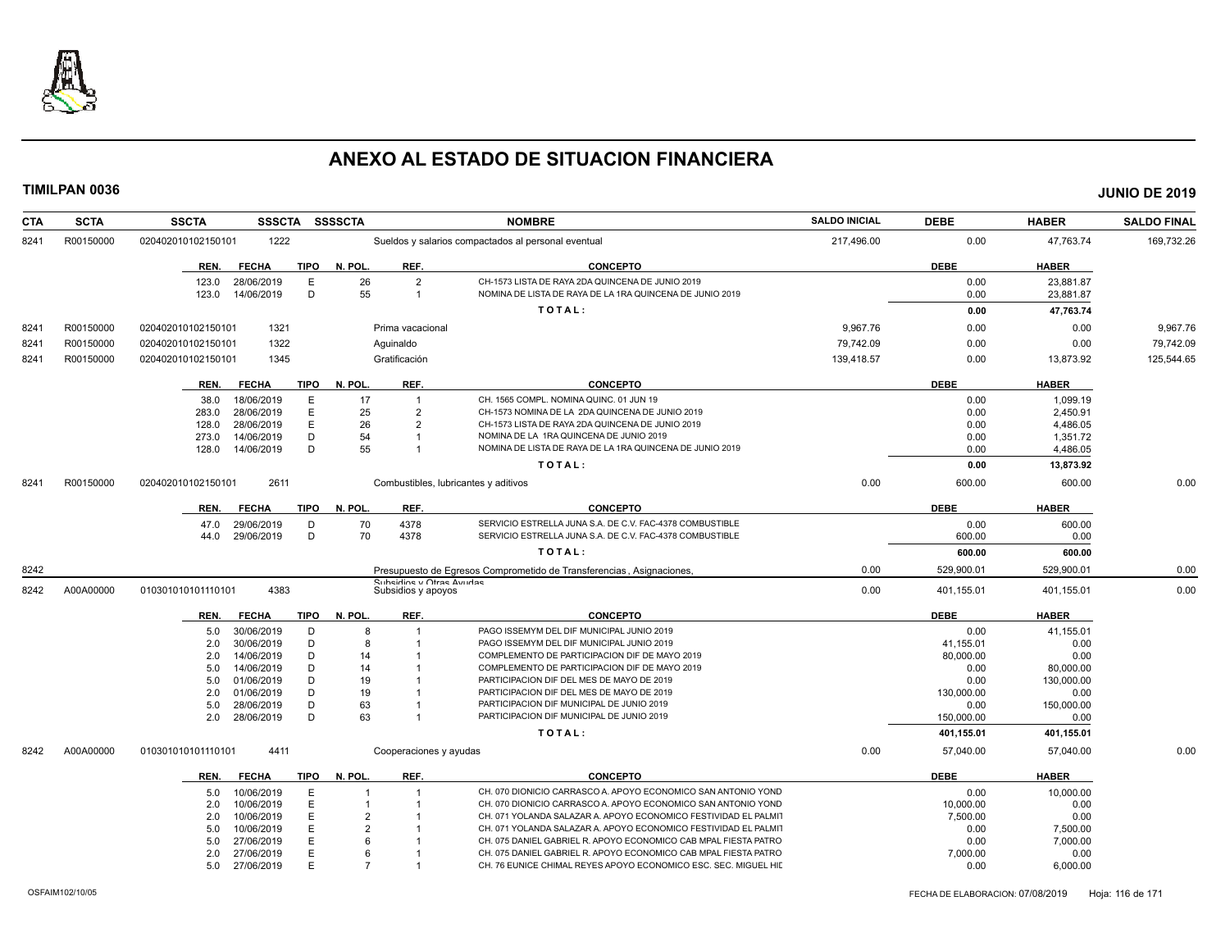

| <b>CTA</b> | <b>SCTA</b> | <b>SSCTA</b><br><b>SSSCTA</b>       | <b>SSSSCTA</b>                                 | <b>NOMBRE</b>                                                                          | <b>SALDO INICIAL</b> | <b>DEBE</b> | <b>HABER</b> | <b>SALDO FINAL</b> |
|------------|-------------|-------------------------------------|------------------------------------------------|----------------------------------------------------------------------------------------|----------------------|-------------|--------------|--------------------|
| 8241       | R00150000   | 020402010102150101<br>1222          |                                                | Sueldos y salarios compactados al personal eventual                                    | 217,496.00           | 0.00        | 47,763.74    | 169,732.26         |
|            |             | <b>TIPO</b><br>REN.<br><b>FECHA</b> | N. POL.<br>REF.                                | <b>CONCEPTO</b>                                                                        |                      | <b>DEBE</b> | <b>HABER</b> |                    |
|            |             | 28/06/2019<br>E<br>123.0            | $\overline{2}$<br>26                           | CH-1573 LISTA DE RAYA 2DA QUINCENA DE JUNIO 2019                                       |                      | 0.00        | 23.881.87    |                    |
|            |             | D<br>123.0<br>14/06/2019            | 55<br>$\overline{1}$                           | NOMINA DE LISTA DE RAYA DE LA 1RA QUINCENA DE JUNIO 2019                               |                      | 0.00        | 23,881.87    |                    |
|            |             |                                     |                                                | TOTAL:                                                                                 |                      | 0.00        | 47,763.74    |                    |
| 8241       | R00150000   | 1321<br>020402010102150101          | Prima vacacional                               |                                                                                        | 9.967.76             | 0.00        | 0.00         | 9,967.76           |
| 8241       | R00150000   | 1322<br>020402010102150101          | Aguinaldo                                      |                                                                                        | 79,742.09            | 0.00        | 0.00         | 79,742.09          |
| 8241       | R00150000   | 020402010102150101<br>1345          | Gratificación                                  |                                                                                        | 139,418.57           | 0.00        | 13,873.92    | 125,544.65         |
|            |             | <b>FECHA</b><br><b>TIPO</b><br>REN. | N. POL.<br>REF.                                | <b>CONCEPTO</b>                                                                        |                      | <b>DEBE</b> | <b>HABER</b> |                    |
|            |             | 18/06/2019<br>E<br>38.0             | 17<br>1                                        | CH. 1565 COMPL. NOMINA QUINC. 01 JUN 19                                                |                      | 0.00        | 1,099.19     |                    |
|            |             | E<br>28/06/2019<br>283.0            | 25<br>$\overline{2}$                           | CH-1573 NOMINA DE LA 2DA QUINCENA DE JUNIO 2019                                        |                      | 0.00        | 2,450.91     |                    |
|            |             | E<br>28/06/2019<br>128.0            | 26<br>$\overline{2}$                           | CH-1573 LISTA DE RAYA 2DA QUINCENA DE JUNIO 2019                                       |                      | 0.00        | 4,486.05     |                    |
|            |             | D<br>14/06/2019<br>273.0            | 54                                             | NOMINA DE LA 1RA QUINCENA DE JUNIO 2019                                                |                      | 0.00        | 1,351.72     |                    |
|            |             | D<br>14/06/2019<br>128.0            | 55                                             | NOMINA DE LISTA DE RAYA DE LA 1RA QUINCENA DE JUNIO 2019                               |                      | 0.00        | 4,486.05     |                    |
|            |             |                                     |                                                | TOTAL:                                                                                 |                      | 0.00        | 13,873.92    |                    |
| 8241       | R00150000   | 2611<br>020402010102150101          | Combustibles, lubricantes y aditivos           |                                                                                        | 0.00                 | 600.00      | 600.00       | 0.00               |
|            |             | <b>TIPO</b><br><b>FECHA</b><br>REN. | N. POL.<br>REF.                                | <b>CONCEPTO</b>                                                                        |                      | <b>DEBE</b> | <b>HABER</b> |                    |
|            |             | 29/06/2019<br>D<br>47.0             | 4378<br>70                                     | SERVICIO ESTRELLA JUNA S.A. DE C.V. FAC-4378 COMBUSTIBLE                               |                      | 0.00        | 600.00       |                    |
|            |             | D<br>29/06/2019<br>44.0             | 70<br>4378                                     | SERVICIO ESTRELLA JUNA S.A. DE C.V. FAC-4378 COMBUSTIBLE                               |                      | 600.00      | 0.00         |                    |
|            |             |                                     |                                                | TOTAL:                                                                                 |                      | 600.00      | 600.00       |                    |
| 8242       |             |                                     |                                                | Presupuesto de Egresos Comprometido de Transferencias, Asignaciones,                   | 0.00                 | 529,900.01  | 529,900.01   | 0.00               |
| 8242       | A00A00000   | 4383<br>010301010101110101          | Subsiding y Otras Avudas<br>Subsidios y apoyos |                                                                                        | 0.00                 | 401,155.01  | 401,155.01   | 0.00               |
|            |             | <b>TIPO</b><br><b>FECHA</b><br>REN. | N. POL.<br>REF.                                | <b>CONCEPTO</b>                                                                        |                      | <b>DEBE</b> | <b>HABER</b> |                    |
|            |             | 30/06/2019<br>D<br>5.0              | 8                                              | PAGO ISSEMYM DEL DIF MUNICIPAL JUNIO 2019                                              |                      | 0.00        | 41,155.01    |                    |
|            |             | D<br>30/06/2019<br>2.0              | 8                                              | PAGO ISSEMYM DEL DIF MUNICIPAL JUNIO 2019                                              |                      | 41,155.01   | 0.00         |                    |
|            |             | D<br>2.0<br>14/06/2019              | 14                                             | COMPLEMENTO DE PARTICIPACION DIF DE MAYO 2019                                          |                      | 80,000.00   | 0.00         |                    |
|            |             | D<br>14/06/2019<br>5.0              | 14                                             | COMPLEMENTO DE PARTICIPACION DIF DE MAYO 2019                                          |                      | 0.00        | 80,000.00    |                    |
|            |             | D<br>01/06/2019<br>5.0              | 19                                             | PARTICIPACION DIF DEL MES DE MAYO DE 2019                                              |                      | 0.00        | 130,000.00   |                    |
|            |             | 01/06/2019<br>D<br>2.0              | 19                                             | PARTICIPACION DIF DEL MES DE MAYO DE 2019                                              |                      | 130,000.00  | 0.00         |                    |
|            |             | D<br>5.0<br>28/06/2019              | 63<br>63                                       | PARTICIPACION DIF MUNICIPAL DE JUNIO 2019<br>PARTICIPACION DIF MUNICIPAL DE JUNIO 2019 |                      | 0.00        | 150,000.00   |                    |
|            |             | D<br>28/06/2019<br>2.0              |                                                |                                                                                        |                      | 150.000.00  | 0.00         |                    |
|            |             |                                     |                                                | TOTAL:                                                                                 |                      | 401,155.01  | 401,155.01   |                    |
| 8242       | A00A00000   | 4411<br>010301010101110101          | Cooperaciones y ayudas                         |                                                                                        | 0.00                 | 57,040.00   | 57,040.00    | 0.00               |
|            |             | <b>FECHA</b><br>TIPO<br>REN.        | N. POL.<br>REF.                                | <b>CONCEPTO</b>                                                                        |                      | DEBE        | <b>HABER</b> |                    |
|            |             | 10/06/2019<br>E<br>5.0              | $\overline{1}$                                 | CH. 070 DIONICIO CARRASCO A, APOYO ECONOMICO SAN ANTONIO YOND                          |                      | 0.00        | 10,000.00    |                    |
|            |             | E<br>10/06/2019<br>2.0              | -1                                             | CH. 070 DIONICIO CARRASCO A. APOYO ECONOMICO SAN ANTONIO YOND                          |                      | 10,000.00   | 0.00         |                    |
|            |             | E<br>2.0<br>10/06/2019              |                                                | CH. 071 YOLANDA SALAZAR A. APOYO ECONOMICO FESTIVIDAD EL PALMIT                        |                      | 7,500.00    | 0.00         |                    |
|            |             | E<br>10/06/2019<br>5.0              |                                                | CH. 071 YOLANDA SALAZAR A. APOYO ECONOMICO FESTIVIDAD EL PALMIT                        |                      | 0.00        | 7,500.00     |                    |
|            |             | E<br>27/06/2019<br>5.0              |                                                | CH. 075 DANIEL GABRIEL R. APOYO ECONOMICO CAB MPAL FIESTA PATRO                        |                      | 0.00        | 7,000.00     |                    |
|            |             | 27/06/2019<br>Е<br>2.0              | ĥ                                              | CH. 075 DANIEL GABRIEL R. APOYO ECONOMICO CAB MPAL FIESTA PATRO                        |                      | 7,000.00    | 0.00         |                    |
|            |             | E<br>27/06/2019<br>5.0              | $\overline{7}$                                 | CH. 76 EUNICE CHIMAL REYES APOYO ECONOMICO ESC. SEC. MIGUEL HII                        |                      | 0.00        | 6,000.00     |                    |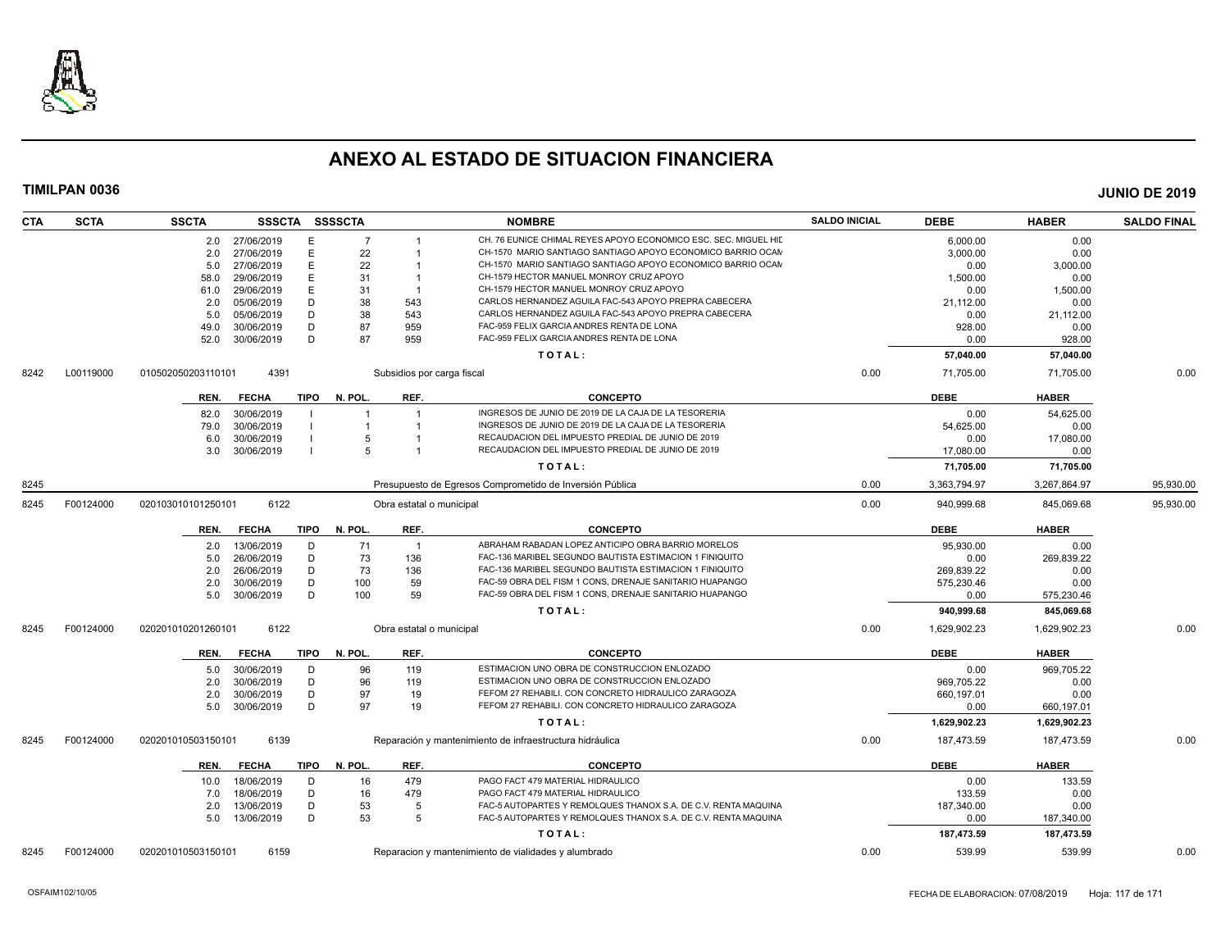

| <b>SCTA</b><br><b>CTA</b> | <b>SSCTA</b>       |                | SSSCTA SSSSCTA |                | <b>NOMBRE</b>                                                        | <b>SALDO INICIAL</b> | <b>DEBE</b>  | <b>HABER</b> | <b>SALDO FINAL</b> |
|---------------------------|--------------------|----------------|----------------|----------------|----------------------------------------------------------------------|----------------------|--------------|--------------|--------------------|
|                           |                    | 2.0 27/06/2019 | E              | $\overline{7}$ | CH. 76 EUNICE CHIMAL REYES APOYO ECONOMICO ESC. SEC. MIGUEL HII      |                      | 6.000.00     | 0.00         |                    |
|                           | 2.0                | 27/06/2019     | E              | 22             | CH-1570 MARIO SANTIAGO SANTIAGO APOYO ECONOMICO BARRIO OCAM          |                      | 3,000.00     | 0.00         |                    |
|                           | 5.0                | 27/06/2019     | E              | 22             | CH-1570 MARIO SANTIAGO SANTIAGO APOYO ECONOMICO BARRIO OCAN          |                      | 0.00         | 3,000.00     |                    |
|                           | 58.0               | 29/06/2019     | E              | 31             | CH-1579 HECTOR MANUEL MONROY CRUZ APOYO                              |                      | 1,500.00     | 0.00         |                    |
|                           | 61.0               | 29/06/2019     | E              | 31             | CH-1579 HECTOR MANUEL MONROY CRUZ APOYO<br>$\overline{1}$            |                      | 0.00         | 1,500.00     |                    |
|                           | 2.0                | 05/06/2019     | D              | 38             | CARLOS HERNANDEZ AGUILA FAC-543 APOYO PREPRA CABECERA<br>543         |                      | 21,112.00    | 0.00         |                    |
|                           | 5.0                | 05/06/2019     | D              | 38             | CARLOS HERNANDEZ AGUILA FAC-543 APOYO PREPRA CABECERA<br>543         |                      | 0.00         | 21,112.00    |                    |
|                           | 49.0               | 30/06/2019     | D              | 87             | FAC-959 FELIX GARCIA ANDRES RENTA DE LONA<br>959                     |                      | 928.00       | 0.00         |                    |
|                           | 52.0               | 30/06/2019     | D              | 87             | FAC-959 FELIX GARCIA ANDRES RENTA DE LONA<br>959                     |                      | 0.00         | 928.00       |                    |
|                           |                    |                |                |                | TOTAL:                                                               |                      | 57,040.00    | 57,040.00    |                    |
| L00119000<br>8242         | 010502050203110101 | 4391           |                |                | Subsidios por carga fiscal                                           | 0.00                 | 71,705.00    | 71,705.00    | 0.00               |
|                           | REN.               | <b>FECHA</b>   | TIPO           | N. POL.        | REF.<br><b>CONCEPTO</b>                                              |                      | <b>DEBE</b>  | <b>HABER</b> |                    |
|                           | 82.0               | 30/06/2019     |                | $\overline{1}$ | INGRESOS DE JUNIO DE 2019 DE LA CAJA DE LA TESORERIA                 |                      | 0.00         | 54,625.00    |                    |
|                           | 79.0               | 30/06/2019     |                |                | INGRESOS DE JUNIO DE 2019 DE LA CAJA DE LA TESORERIA                 |                      | 54,625.00    | 0.00         |                    |
|                           | 6.0                | 30/06/2019     |                | 5              | RECAUDACION DEL IMPUESTO PREDIAL DE JUNIO DE 2019                    |                      | 0.00         | 17,080.00    |                    |
|                           | 3.0                | 30/06/2019     |                | 5              | RECAUDACION DEL IMPUESTO PREDIAL DE JUNIO DE 2019                    |                      | 17,080.00    | 0.00         |                    |
|                           |                    |                |                |                | TOTAL:                                                               |                      | 71.705.00    | 71,705.00    |                    |
| 8245                      |                    |                |                |                | Presupuesto de Egresos Comprometido de Inversión Pública             | 0.00                 | 3,363,794.97 | 3,267,864.97 | 95,930.00          |
| F00124000<br>8245         | 020103010101250101 | 6122           |                |                | Obra estatal o municipal                                             | 0.00                 | 940,999.68   | 845,069.68   | 95,930.00          |
|                           | REN.               | <b>FECHA</b>   | TIPO           | N. POL.        | REF.<br><b>CONCEPTO</b>                                              |                      | <b>DEBE</b>  | <b>HABER</b> |                    |
|                           | 2.0                | 13/06/2019     | D              | 71             | ABRAHAM RABADAN LOPEZ ANTICIPO OBRA BARRIO MORELOS<br>$\overline{1}$ |                      | 95,930.00    | 0.00         |                    |
|                           | 5.0                | 26/06/2019     | D              | 73             | 136<br>FAC-136 MARIBEL SEGUNDO BAUTISTA ESTIMACION 1 FINIQUITO       |                      | 0.00         | 269,839.22   |                    |
|                           | 2.0                | 26/06/2019     | D              | 73             | 136<br>FAC-136 MARIBEL SEGUNDO BAUTISTA ESTIMACION 1 FINIQUITO       |                      | 269.839.22   | 0.00         |                    |
|                           | 2.0                | 30/06/2019     | D              | 100            | 59<br>FAC-59 OBRA DEL FISM 1 CONS, DRENAJE SANITARIO HUAPANGO        |                      | 575,230.46   | 0.00         |                    |
|                           | 5.0                | 30/06/2019     | D              | 100            | FAC-59 OBRA DEL FISM 1 CONS, DRENAJE SANITARIO HUAPANGO<br>59        |                      | 0.00         | 575,230.46   |                    |
|                           |                    |                |                |                | TOTAL:                                                               |                      | 940,999.68   | 845,069.68   |                    |
| F00124000<br>8245         | 020201010201260101 | 6122           |                |                | Obra estatal o municipal                                             | 0.00                 | 1,629,902.23 | 1,629,902.23 | 0.00               |
|                           | REN.               | FECHA          | TIPO N. POL.   |                | REF.<br><b>CONCEPTO</b>                                              |                      | <b>DEBE</b>  | <b>HABER</b> |                    |
|                           | 5.0                | 30/06/2019     | D              | 96             | ESTIMACION UNO OBRA DE CONSTRUCCION ENLOZADO<br>119                  |                      | 0.00         | 969,705.22   |                    |
|                           | 2.0                | 30/06/2019     | D              | 96             | ESTIMACION UNO OBRA DE CONSTRUCCION ENLOZADO<br>119                  |                      | 969,705.22   | 0.00         |                    |
|                           | 2.0                | 30/06/2019     | D              | 97             | FEFOM 27 REHABILI. CON CONCRETO HIDRAULICO ZARAGOZA<br>19            |                      | 660,197.01   | 0.00         |                    |
|                           | 5.0                | 30/06/2019     | D              | 97             | 19<br>FEFOM 27 REHABILI. CON CONCRETO HIDRAULICO ZARAGOZA            |                      | 0.00         | 660,197.01   |                    |
|                           |                    |                |                |                | TOTAL:                                                               |                      | 1,629,902.23 | 1,629,902.23 |                    |
| F00124000<br>8245         | 020201010503150101 | 6139           |                |                | Reparación y mantenimiento de infraestructura hidráulica             | 0.00                 | 187,473.59   | 187,473.59   | 0.00               |
|                           | REN.               | <b>FECHA</b>   | TIPO           | N. POL.        | REF.<br><b>CONCEPTO</b>                                              |                      | <b>DEBE</b>  | <b>HABER</b> |                    |
|                           | 10.0               | 18/06/2019     | D              | 16             | PAGO FACT 479 MATERIAL HIDRAULICO<br>479                             |                      | 0.00         | 133.59       |                    |
|                           | 7.0                | 18/06/2019     | D              | 16             | PAGO FACT 479 MATERIAL HIDRAULICO<br>479                             |                      | 133.59       | 0.00         |                    |
|                           | 2.0                | 13/06/2019     | D              | 53             | FAC-5 AUTOPARTES Y REMOLQUES THANOX S.A. DE C.V. RENTA MAQUINA<br>-5 |                      | 187,340.00   | 0.00         |                    |
|                           | 5.0                | 13/06/2019     | D              | 53             | FAC-5 AUTOPARTES Y REMOLQUES THANOX S.A. DE C.V. RENTA MAQUINA<br>-5 |                      | 0.00         | 187,340.00   |                    |
|                           |                    |                |                |                | TOTAL:                                                               |                      | 187,473.59   | 187,473.59   |                    |
| F00124000<br>8245         | 020201010503150101 | 6159           |                |                | Reparacion y mantenimiento de vialidades y alumbrado                 | 0.00                 | 539.99       | 539.99       | 0.00               |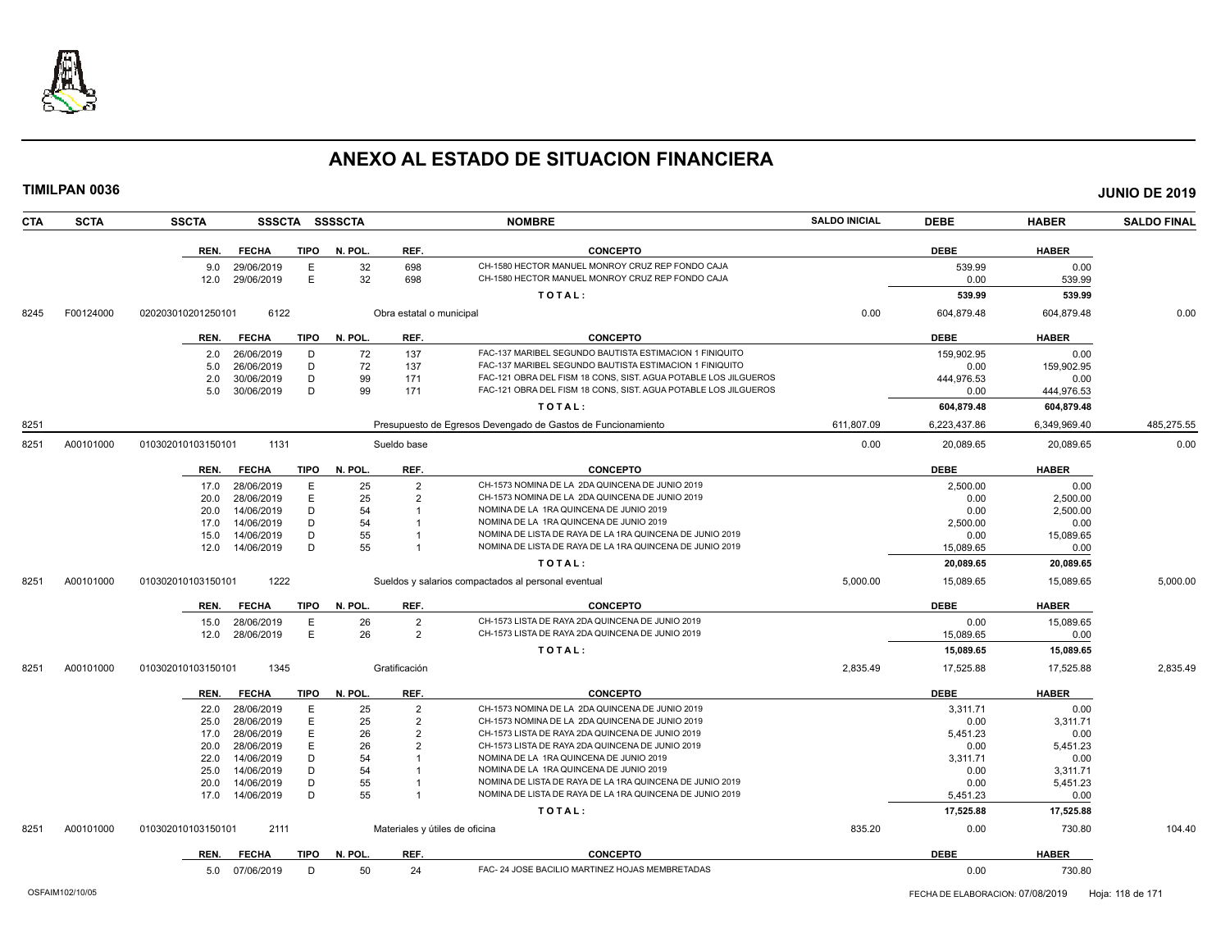

|      | TIMILPAN 0036 |                    |                 |             |                |                                |                                                                                                                      |                      |                       |                   | <b>JUNIO DE 2019</b> |
|------|---------------|--------------------|-----------------|-------------|----------------|--------------------------------|----------------------------------------------------------------------------------------------------------------------|----------------------|-----------------------|-------------------|----------------------|
| CTA  | <b>SCTA</b>   | <b>SSCTA</b>       |                 |             | SSSCTA SSSSCTA |                                | <b>NOMBRE</b>                                                                                                        | <b>SALDO INICIAL</b> | <b>DEBE</b>           | <b>HABER</b>      | <b>SALDO FINAL</b>   |
|      |               | REN.               | <b>FECHA</b>    | <b>TIPO</b> | N. POL.        | REF.                           | <b>CONCEPTO</b>                                                                                                      |                      | <b>DEBE</b>           | <b>HABER</b>      |                      |
|      |               | 9.0                | 29/06/2019      | E           | 32             | 698                            | CH-1580 HECTOR MANUEL MONROY CRUZ REP FONDO CAJA                                                                     |                      | 539.99                | 0.00              |                      |
|      |               | 12.0               | 29/06/2019      | Е           | 32             | 698                            | CH-1580 HECTOR MANUEL MONROY CRUZ REP FONDO CAJA                                                                     |                      | 0.00                  | 539.99            |                      |
|      |               |                    |                 |             |                |                                | TOTAL:                                                                                                               |                      | 539.99                | 539.99            |                      |
| 8245 | F00124000     | 020203010201250101 | 6122            |             |                | Obra estatal o municipal       |                                                                                                                      | 0.00                 | 604,879.48            | 604,879.48        | 0.00                 |
|      |               | REN.               | <b>FECHA</b>    | TIPO        | N. POL.        | REF.                           | <b>CONCEPTO</b>                                                                                                      |                      | <b>DEBE</b>           | <b>HABER</b>      |                      |
|      |               | 2.0                | 26/06/2019      | D           | 72             | 137                            | FAC-137 MARIBEL SEGUNDO BAUTISTA ESTIMACION 1 FINIQUITO                                                              |                      | 159.902.95            | 0.00              |                      |
|      |               | 5.0                | 26/06/2019      | D           | 72             | 137                            | FAC-137 MARIBEL SEGUNDO BAUTISTA ESTIMACION 1 FINIQUITO                                                              |                      | 0.00                  | 159.902.95        |                      |
|      |               | 2.0                | 30/06/2019      | D           | 99             | 171                            | FAC-121 OBRA DEL FISM 18 CONS, SIST. AGUA POTABLE LOS JILGUEROS                                                      |                      | 444,976.53            | 0.00              |                      |
|      |               | 5.0                | 30/06/2019      | D           | 99             | 171                            | FAC-121 OBRA DEL FISM 18 CONS, SIST. AGUA POTABLE LOS JILGUEROS                                                      |                      | 0.00                  | 444,976.53        |                      |
|      |               |                    |                 |             |                |                                | TOTAL:                                                                                                               |                      | 604,879.48            | 604,879.48        |                      |
| 8251 |               |                    |                 |             |                |                                | Presupuesto de Egresos Devengado de Gastos de Funcionamiento                                                         | 611,807.09           | 6,223,437.86          | 6,349,969.40      | 485,275.55           |
| 8251 | A00101000     | 010302010103150101 | 1131            |             |                | Sueldo base                    |                                                                                                                      | 0.00                 | 20,089.65             | 20,089.65         | 0.00                 |
|      |               |                    | REN. FECHA      | TIPO        | N. POL.        | REF.                           | <b>CONCEPTO</b>                                                                                                      |                      | <b>DEBE</b>           | <b>HABER</b>      |                      |
|      |               | 17.0               | 28/06/2019      | E           | 25             | $\overline{2}$                 | CH-1573 NOMINA DE LA 2DA QUINCENA DE JUNIO 2019                                                                      |                      | 2.500.00              | 0.00              |                      |
|      |               | 20.0               | 28/06/2019      | E           | 25             | $\overline{2}$                 | CH-1573 NOMINA DE LA 2DA QUINCENA DE JUNIO 2019                                                                      |                      | 0.00                  | 2,500.00          |                      |
|      |               | 20.0               | 14/06/2019      | D           | 54             |                                | NOMINA DE LA 1RA QUINCENA DE JUNIO 2019                                                                              |                      | 0.00                  | 2,500.00          |                      |
|      |               | 17.0               | 14/06/2019      | D           | 54             |                                | NOMINA DE LA 1RA QUINCENA DE JUNIO 2019                                                                              |                      | 2,500.00              | 0.00              |                      |
|      |               | 15.0               | 14/06/2019      | D           | 55             |                                | NOMINA DE LISTA DE RAYA DE LA 1RA QUINCENA DE JUNIO 2019                                                             |                      | 0.00                  | 15,089.65         |                      |
|      |               | 12.0               | 14/06/2019      | D           | 55             |                                | NOMINA DE LISTA DE RAYA DE LA 1RA QUINCENA DE JUNIO 2019                                                             |                      | 15,089.65             | 0.00              |                      |
|      |               |                    |                 |             |                |                                | TOTAL:                                                                                                               |                      | 20,089.65             | 20,089.65         |                      |
| 8251 | A00101000     | 010302010103150101 | 1222            |             |                |                                | Sueldos y salarios compactados al personal eventual                                                                  | 5,000.00             | 15,089.65             | 15,089.65         | 5,000.00             |
|      |               | REN.               | <b>FECHA</b>    | TIPO        | N. POL.        | REF.                           | <b>CONCEPTO</b>                                                                                                      |                      | <b>DEBE</b>           | <b>HABER</b>      |                      |
|      |               | 15.0               | 28/06/2019      | E           | 26             | $\overline{2}$                 | CH-1573 LISTA DE RAYA 2DA QUINCENA DE JUNIO 2019                                                                     |                      | 0.00                  | 15,089.65         |                      |
|      |               | 12.0               | 28/06/2019      | E           | 26             | $\overline{2}$                 | CH-1573 LISTA DE RAYA 2DA QUINCENA DE JUNIO 2019                                                                     |                      | 15,089.65             | 0.00              |                      |
|      |               |                    |                 |             |                |                                | TOTAL:                                                                                                               |                      | 15,089.65             | 15,089.65         |                      |
| 8251 | A00101000     | 010302010103150101 | 1345            |             |                | Gratificación                  |                                                                                                                      | 2,835.49             | 17,525.88             | 17,525.88         | 2,835.49             |
|      |               | REN.               | <b>FECHA</b>    | <b>TIPO</b> | N. POL.        | REF.                           | <b>CONCEPTO</b>                                                                                                      |                      | <b>DEBE</b>           | <b>HABER</b>      |                      |
|      |               |                    | 22.0 28/06/2019 | Е           | 25             | $\overline{2}$                 | CH-1573 NOMINA DE LA 2DA QUINCENA DE JUNIO 2019                                                                      |                      | 3,311.71              | 0.00              |                      |
|      |               | 25.0               | 28/06/2019      | Е           | 25             | 2                              | CH-1573 NOMINA DE LA 2DA QUINCENA DE JUNIO 2019                                                                      |                      | 0.00                  | 3,311.71          |                      |
|      |               | 17.0               | 28/06/2019      | E           | 26             | $\overline{2}$                 | CH-1573 LISTA DE RAYA 2DA QUINCENA DE JUNIO 2019                                                                     |                      | 5,451.23              | 0.00              |                      |
|      |               | 20.0               | 28/06/2019      | E           | 26             | $\overline{2}$                 | CH-1573 LISTA DE RAYA 2DA QUINCENA DE JUNIO 2019                                                                     |                      | 0.00                  | 5,451.23          |                      |
|      |               | 22.0               | 14/06/2019      | D           | 54             |                                | NOMINA DE LA 1RA QUINCENA DE JUNIO 2019                                                                              |                      | 3,311.71              | 0.00              |                      |
|      |               | 25.0               | 14/06/2019      | D           | 54             |                                | NOMINA DE LA 1RA QUINCENA DE JUNIO 2019                                                                              |                      | 0.00                  | 3,311.71          |                      |
|      |               | 20.0               | 14/06/2019      | D<br>D      | 55<br>55       |                                | NOMINA DE LISTA DE RAYA DE LA 1RA QUINCENA DE JUNIO 2019<br>NOMINA DE LISTA DE RAYA DE LA 1RA QUINCENA DE JUNIO 2019 |                      | 0.00                  | 5,451.23          |                      |
|      |               | 17.0               | 14/06/2019      |             |                |                                | TOTAL:                                                                                                               |                      | 5,451.23<br>17,525.88 | 0.00<br>17,525.88 |                      |
|      |               |                    |                 |             |                |                                |                                                                                                                      |                      |                       |                   |                      |
| 8251 | A00101000     | 010302010103150101 | 2111            |             |                | Materiales y útiles de oficina |                                                                                                                      | 835.20               | 0.00                  | 730.80            | 104.40               |
|      |               |                    |                 |             |                |                                |                                                                                                                      |                      |                       |                   |                      |

| <b>REN</b><br>- | <b>TIPO</b> | N. POL. | DE.<br>65. | <b>CONCEPTO</b>                      | <b>DEB</b> | <b>HABEI</b> |
|-----------------|-------------|---------|------------|--------------------------------------|------------|--------------|
| ולח<br>5.0      | 3/2019      |         | <b></b>    | <b><i><u>BAA</u></i></b><br>A 18. 15 | .          | 730.8⊾       |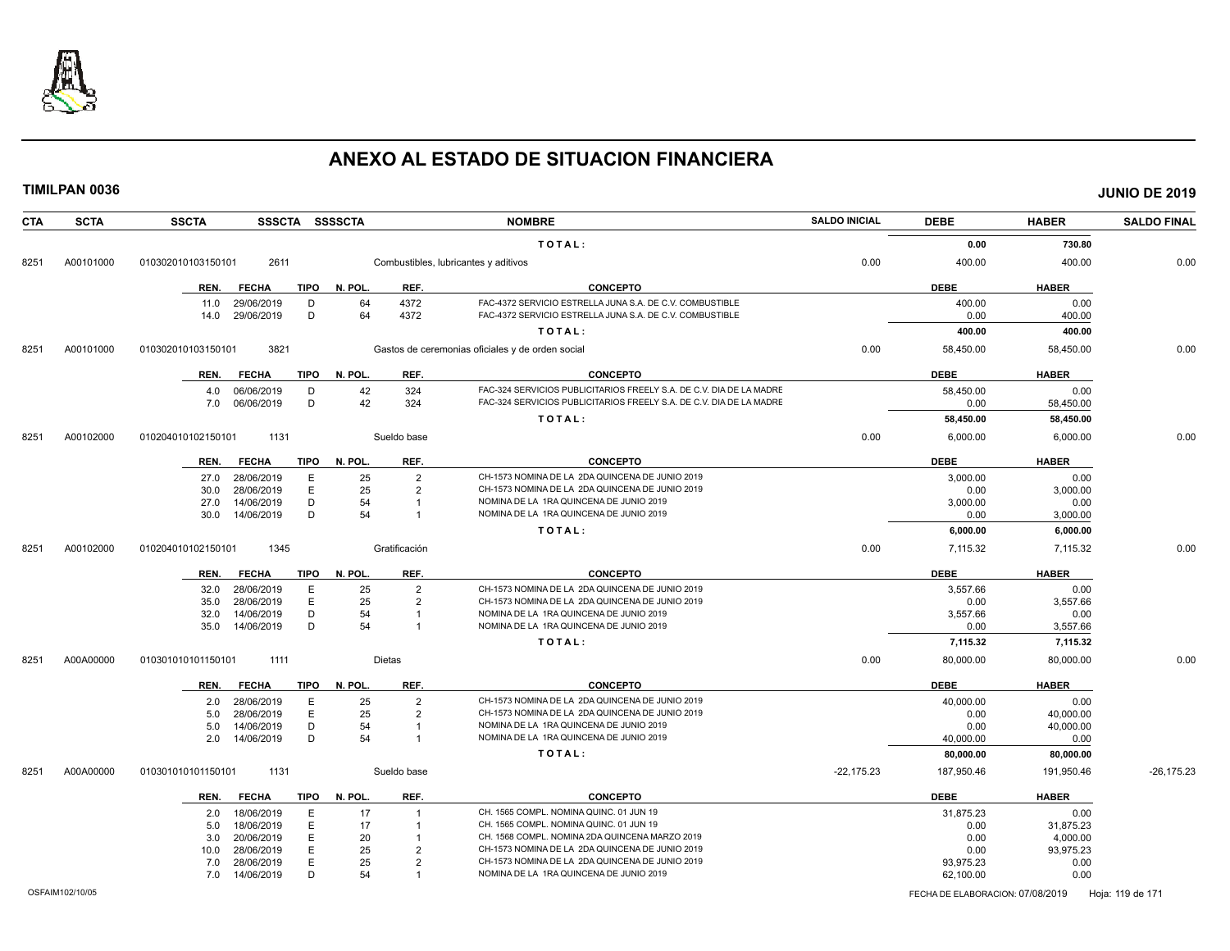

|            | <b>TIMILPAN 0036</b> |                    |                          |             |                |                                |                                                                                            |                      |                   |                   | <b>JUNIO DE 2019</b> |
|------------|----------------------|--------------------|--------------------------|-------------|----------------|--------------------------------|--------------------------------------------------------------------------------------------|----------------------|-------------------|-------------------|----------------------|
| <b>CTA</b> | <b>SCTA</b>          | <b>SSCTA</b>       |                          |             | SSSCTA SSSSCTA |                                | <b>NOMBRE</b>                                                                              | <b>SALDO INICIAL</b> | <b>DEBE</b>       | <b>HABER</b>      | <b>SALDO FINAL</b>   |
|            |                      |                    |                          |             |                |                                | TOTAL:                                                                                     |                      | 0.00              | 730.80            |                      |
| 8251       | A00101000            | 010302010103150101 | 2611                     |             |                |                                | Combustibles, lubricantes y aditivos                                                       | 0.00                 | 400.00            | 400.00            | 0.00                 |
|            |                      | REN.               | <b>FECHA</b>             | TIPO        | N. POL.        | REF.                           | <b>CONCEPTO</b>                                                                            |                      | <b>DEBE</b>       | <b>HABER</b>      |                      |
|            |                      | 11.0               | 29/06/2019               | D           | 64             | 4372                           | FAC-4372 SERVICIO ESTRELLA JUNA S.A. DE C.V. COMBUSTIBLE                                   |                      | 400.00            | 0.00              |                      |
|            |                      | 14.0               | 29/06/2019               | D           | 64             | 4372                           | FAC-4372 SERVICIO ESTRELLA JUNA S.A. DE C.V. COMBUSTIBLE                                   |                      | 0.00              | 400.00            |                      |
|            |                      |                    |                          |             |                |                                | TOTAL:                                                                                     |                      | 400.00            | 400.00            |                      |
| 8251       | A00101000            | 010302010103150101 | 3821                     |             |                |                                | Gastos de ceremonias oficiales y de orden social                                           | 0.00                 | 58,450.00         | 58,450.00         | 0.00                 |
|            |                      | REN.               | <b>FECHA</b>             | <b>TIPO</b> | N. POL.        | REF.                           | <b>CONCEPTO</b>                                                                            |                      | <b>DEBE</b>       | <b>HABER</b>      |                      |
|            |                      |                    | 4.0 06/06/2019           | D           | 42             | 324                            | FAC-324 SERVICIOS PUBLICITARIOS FREELY S.A. DE C.V. DIA DE LA MADRE                        |                      | 58,450.00         | 0.00              |                      |
|            |                      | 7.0                | 06/06/2019               | D           | 42             | 324                            | FAC-324 SERVICIOS PUBLICITARIOS FREELY S.A. DE C.V. DIA DE LA MADRE                        |                      | 0.00              | 58,450.00         |                      |
|            |                      |                    |                          |             |                |                                | TOTAL:                                                                                     |                      | 58,450.00         | 58,450.00         |                      |
| 8251       | A00102000            | 010204010102150101 | 1131                     |             |                | Sueldo base                    |                                                                                            | 0.00                 | 6,000.00          | 6,000.00          | 0.00                 |
|            |                      | REN.               | FECHA                    | TIPO        | N. POL.        | REF.                           | <b>CONCEPTO</b>                                                                            |                      | <b>DEBE</b>       | <b>HABER</b>      |                      |
|            |                      | 27.0               | 28/06/2019               | E           | 25             | $\overline{2}$                 | CH-1573 NOMINA DE LA 2DA QUINCENA DE JUNIO 2019                                            |                      | 3,000.00          | 0.00              |                      |
|            |                      | 30.0               | 28/06/2019               | E           | 25             | 2                              | CH-1573 NOMINA DE LA 2DA QUINCENA DE JUNIO 2019                                            |                      | 0.00              | 3,000.00          |                      |
|            |                      | 27.0<br>30.0       | 14/06/2019<br>14/06/2019 | D<br>D      | 54<br>54       | $\mathbf{1}$<br>$\overline{1}$ | NOMINA DE LA 1RA QUINCENA DE JUNIO 2019<br>NOMINA DE LA 1RA QUINCENA DE JUNIO 2019         |                      | 3,000.00<br>0.00  | 0.00<br>3,000.00  |                      |
|            |                      |                    |                          |             |                |                                | TOTAL:                                                                                     |                      | 6,000.00          | 6,000.00          |                      |
|            |                      |                    |                          |             |                |                                |                                                                                            |                      |                   |                   |                      |
| 8251       | A00102000            | 010204010102150101 | 1345                     |             |                | Gratificación                  |                                                                                            | 0.00                 | 7,115.32          | 7,115.32          | 0.00                 |
|            |                      | REN.               | FECHA                    | TIPO        | N. POL.        | REF.                           | <b>CONCEPTO</b>                                                                            |                      | <b>DEBE</b>       | <b>HABER</b>      |                      |
|            |                      | 32.0               | 28/06/2019               | E           | 25             | 2                              | CH-1573 NOMINA DE LA 2DA QUINCENA DE JUNIO 2019                                            |                      | 3,557.66          | 0.00              |                      |
|            |                      | 35.0<br>32.0       | 28/06/2019<br>14/06/2019 | E<br>D      | 25<br>54       | 2<br>$\overline{1}$            | CH-1573 NOMINA DE LA 2DA QUINCENA DE JUNIO 2019<br>NOMINA DE LA 1RA QUINCENA DE JUNIO 2019 |                      | 0.00<br>3,557.66  | 3,557.66          |                      |
|            |                      | 35.0               | 14/06/2019               | D           | 54             | $\overline{1}$                 | NOMINA DE LA 1RA QUINCENA DE JUNIO 2019                                                    |                      | 0.00              | 0.00<br>3,557.66  |                      |
|            |                      |                    |                          |             |                |                                | TOTAL:                                                                                     |                      | 7,115.32          | 7,115.32          |                      |
|            |                      |                    |                          |             |                |                                |                                                                                            |                      |                   |                   |                      |
| 8251       | A00A00000            | 010301010101150101 | 1111                     |             |                | Dietas                         |                                                                                            | 0.00                 | 80,000.00         | 80,000.00         | 0.00                 |
|            |                      | REN.               | <b>FECHA</b>             | TIPO        | N. POL.        | REF.                           | <b>CONCEPTO</b>                                                                            |                      | <b>DEBE</b>       | <b>HABER</b>      |                      |
|            |                      |                    | 2.0 28/06/2019           | E           | 25             | $\overline{2}$                 | CH-1573 NOMINA DE LA 2DA QUINCENA DE JUNIO 2019                                            |                      | 40,000.00         | 0.00              |                      |
|            |                      | 5.0                | 28/06/2019               | E<br>D      | 25             | 2<br>$\overline{1}$            | CH-1573 NOMINA DE LA 2DA QUINCENA DE JUNIO 2019<br>NOMINA DE LA 1RA QUINCENA DE JUNIO 2019 |                      | 0.00              | 40,000.00         |                      |
|            |                      | 5.0<br>2.0         | 14/06/2019<br>14/06/2019 | D           | 54<br>54       | $\overline{1}$                 | NOMINA DE LA 1RA QUINCENA DE JUNIO 2019                                                    |                      | 0.00<br>40,000.00 | 40,000.00<br>0.00 |                      |
|            |                      |                    |                          |             |                |                                | TOTAL:                                                                                     |                      | 80,000.00         | 80,000.00         |                      |
| 8251       | A00A00000            | 010301010101150101 | 1131                     |             |                | Sueldo base                    |                                                                                            | $-22,175.23$         | 187,950.46        | 191,950.46        | $-26,175.23$         |
|            |                      | REN.               | <b>FECHA</b>             | TIPO        | N. POL.        | REF.                           | <b>CONCEPTO</b>                                                                            |                      | <b>DEBE</b>       | <b>HABER</b>      |                      |
|            |                      | 2.0                | 18/06/2019               | E           | 17             | $\overline{1}$                 | CH. 1565 COMPL. NOMINA QUINC. 01 JUN 19                                                    |                      | 31,875.23         | 0.00              |                      |
|            |                      | 5.0                | 18/06/2019               | Ε           | 17             | $\overline{1}$                 | CH. 1565 COMPL. NOMINA QUINC. 01 JUN 19                                                    |                      | 0.00              | 31,875.23         |                      |
|            |                      | 3.0                | 20/06/2019               | Ε           | 20             | $\overline{1}$                 | CH. 1568 COMPL. NOMINA 2DA QUINCENA MARZO 2019                                             |                      | 0.00              | 4,000.00          |                      |
|            |                      | 10.0               | 28/06/2019               | E           | 25             | $\overline{2}$                 | CH-1573 NOMINA DE LA 2DA QUINCENA DE JUNIO 2019                                            |                      | 0.00              | 93,975.23         |                      |
|            |                      | 7.0                | 28/06/2019               | E           | 25             | $\overline{2}$                 | CH-1573 NOMINA DE LA 2DA QUINCENA DE JUNIO 2019                                            |                      | 93,975.23         | 0.00              |                      |
|            |                      | 7.0                | 14/06/2019               | D           | 54             |                                | NOMINA DE LA 1RA QUINCENA DE JUNIO 2019                                                    |                      | 62,100.00         | 0.00              |                      |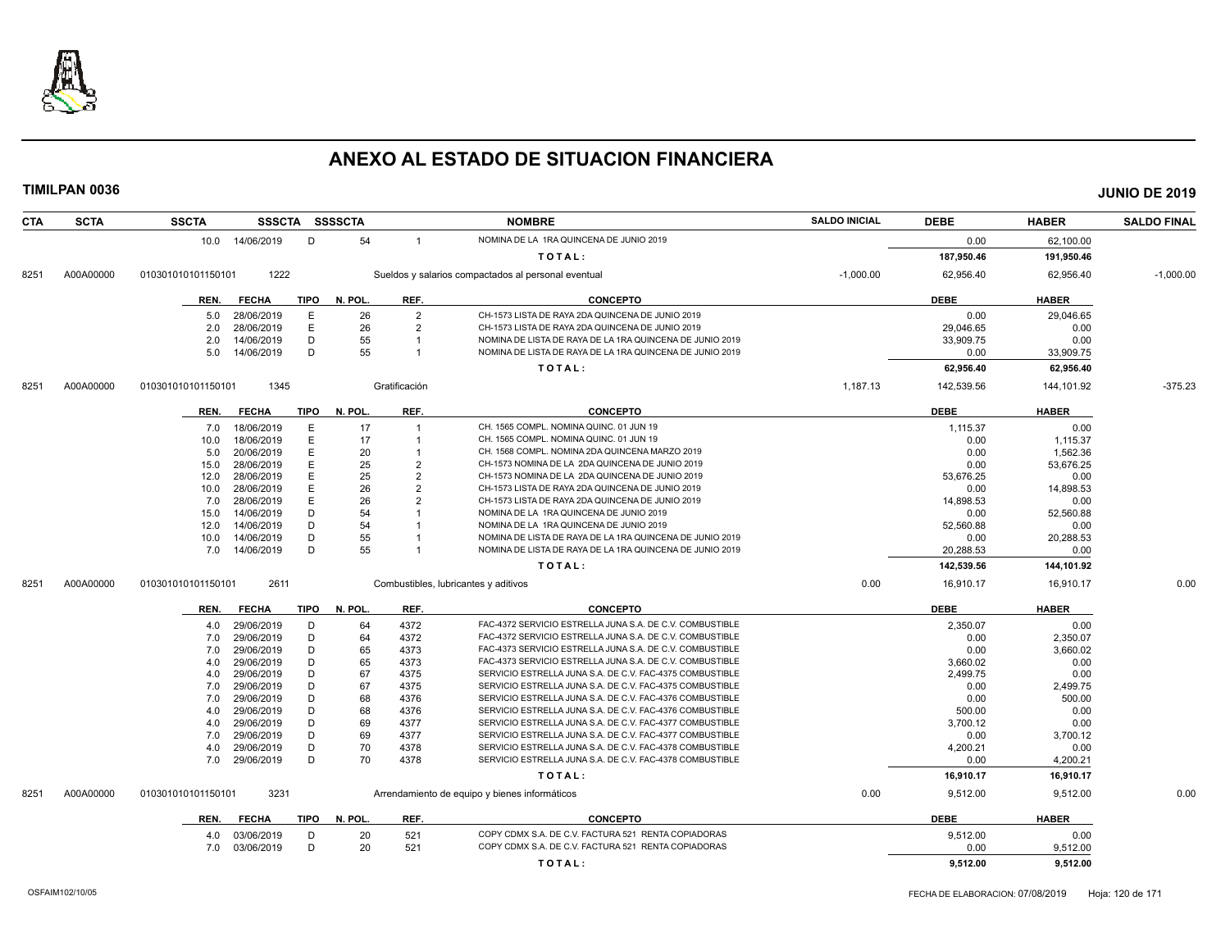

| <b>CTA</b> | <b>SCTA</b> | <b>SSCTA</b>       |              |             | SSSCTA SSSSCTA |                                  | <b>NOMBRE</b>                                            | <b>SALDO INICIAL</b> | <b>DEBE</b> | <b>HABER</b> | <b>SALDO FINAL</b> |
|------------|-------------|--------------------|--------------|-------------|----------------|----------------------------------|----------------------------------------------------------|----------------------|-------------|--------------|--------------------|
|            |             | 10.0               | 14/06/2019   | D           | 54             | $\overline{1}$                   | NOMINA DE LA 1RA QUINCENA DE JUNIO 2019                  |                      | 0.00        | 62,100.00    |                    |
|            |             |                    |              |             |                |                                  | TOTAL:                                                   |                      | 187,950.46  | 191,950.46   |                    |
| 8251       | A00A00000   | 010301010101150101 | 1222         |             |                |                                  | Sueldos y salarios compactados al personal eventual      | $-1,000.00$          | 62,956.40   | 62,956.40    | $-1,000.00$        |
|            |             | REN.               | <b>FECHA</b> | <b>TIPO</b> | N. POL.        | REF.                             | <b>CONCEPTO</b>                                          |                      | <b>DEBE</b> | <b>HABER</b> |                    |
|            |             |                    |              |             |                |                                  |                                                          |                      |             |              |                    |
|            |             | 5.0                | 28/06/2019   | Е           | 26             | $\overline{2}$                   | CH-1573 LISTA DE RAYA 2DA QUINCENA DE JUNIO 2019         |                      | 0.00        | 29,046.65    |                    |
|            |             | 2.0                | 28/06/2019   | E           | 26             | $\overline{2}$                   | CH-1573 LISTA DE RAYA 2DA QUINCENA DE JUNIO 2019         |                      | 29,046.65   | 0.00         |                    |
|            |             | 2.0                | 14/06/2019   | D           | 55             | $\overline{1}$<br>$\overline{1}$ | NOMINA DE LISTA DE RAYA DE LA 1RA QUINCENA DE JUNIO 2019 |                      | 33,909.75   | 0.00         |                    |
|            |             | 5.0                | 14/06/2019   | D           | 55             |                                  | NOMINA DE LISTA DE RAYA DE LA 1RA QUINCENA DE JUNIO 2019 |                      | 0.00        | 33,909.75    |                    |
|            |             |                    |              |             |                |                                  | TOTAL:                                                   |                      | 62,956.40   | 62,956.40    |                    |
| 8251       | A00A00000   | 010301010101150101 | 1345         |             |                | Gratificación                    |                                                          | 1,187.13             | 142,539.56  | 144,101.92   | $-375.23$          |
|            |             | REN.               | <b>FECHA</b> | TIPO        | N. POL.        | REF.                             | <b>CONCEPTO</b>                                          |                      | <b>DEBE</b> | <b>HABER</b> |                    |
|            |             | 7.0                | 18/06/2019   | Ε           | 17             | $\overline{1}$                   | CH. 1565 COMPL. NOMINA QUINC. 01 JUN 19                  |                      | 1,115.37    | 0.00         |                    |
|            |             | 10.0               | 18/06/2019   | E           | 17             | $\overline{1}$                   | CH. 1565 COMPL. NOMINA QUINC. 01 JUN 19                  |                      | 0.00        | 1,115.37     |                    |
|            |             | 5.0                | 20/06/2019   | E           | 20             |                                  | CH. 1568 COMPL. NOMINA 2DA QUINCENA MARZO 2019           |                      | 0.00        | 1,562.36     |                    |
|            |             | 15.0               | 28/06/2019   | E           | 25             | $\overline{2}$                   | CH-1573 NOMINA DE LA 2DA QUINCENA DE JUNIO 2019          |                      | 0.00        | 53,676.25    |                    |
|            |             | 12.0               | 28/06/2019   | Ε           | 25             | $\overline{2}$                   | CH-1573 NOMINA DE LA 2DA QUINCENA DE JUNIO 2019          |                      | 53.676.25   | 0.00         |                    |
|            |             | 10.0               | 28/06/2019   | E           | 26             | $\overline{2}$                   | CH-1573 LISTA DE RAYA 2DA QUINCENA DE JUNIO 2019         |                      | 0.00        | 14,898.53    |                    |
|            |             | 7.0                | 28/06/2019   | E           | 26             | $\overline{2}$                   | CH-1573 LISTA DE RAYA 2DA QUINCENA DE JUNIO 2019         |                      | 14,898.53   | 0.00         |                    |
|            |             | 15.0               | 14/06/2019   | D           | 54             |                                  | NOMINA DE LA 1RA QUINCENA DE JUNIO 2019                  |                      | 0.00        | 52,560.88    |                    |
|            |             | 12.0               | 14/06/2019   | D           | 54             |                                  | NOMINA DE LA 1RA QUINCENA DE JUNIO 2019                  |                      | 52,560.88   | 0.00         |                    |
|            |             | 10.0               | 14/06/2019   | D           | 55             |                                  | NOMINA DE LISTA DE RAYA DE LA 1RA QUINCENA DE JUNIO 2019 |                      | 0.00        | 20,288.53    |                    |
|            |             | 7.0                | 14/06/2019   | D           | 55             |                                  | NOMINA DE LISTA DE RAYA DE LA 1RA QUINCENA DE JUNIO 2019 |                      | 20,288.53   | 0.00         |                    |
|            |             |                    |              |             |                |                                  | TOTAL:                                                   |                      | 142,539.56  | 144,101.92   |                    |
| 8251       | A00A00000   | 010301010101150101 | 2611         |             |                |                                  | Combustibles, lubricantes y aditivos                     | 0.00                 | 16,910.17   | 16,910.17    | 0.00               |
|            |             | REN.               | <b>FECHA</b> | <b>TIPO</b> | N. POL.        | REF.                             | <b>CONCEPTO</b>                                          |                      | <b>DEBE</b> | <b>HABER</b> |                    |
|            |             | 4.0                | 29/06/2019   | D           | 64             | 4372                             | FAC-4372 SERVICIO ESTRELLA JUNA S.A. DE C.V. COMBUSTIBLE |                      | 2,350.07    | 0.00         |                    |
|            |             | 7.0                | 29/06/2019   | D           | 64             | 4372                             | FAC-4372 SERVICIO ESTRELLA JUNA S.A. DE C.V. COMBUSTIBLE |                      | 0.00        | 2,350.07     |                    |
|            |             | 7.0                | 29/06/2019   | D           | 65             | 4373                             | FAC-4373 SERVICIO ESTRELLA JUNA S.A. DE C.V. COMBUSTIBLE |                      | 0.00        | 3,660.02     |                    |
|            |             | 4.0                | 29/06/2019   | D           | 65             | 4373                             | FAC-4373 SERVICIO ESTRELLA JUNA S.A. DE C.V. COMBUSTIBLE |                      | 3,660.02    | 0.00         |                    |
|            |             | 4.0                | 29/06/2019   | D           | 67             | 4375                             | SERVICIO ESTRELLA JUNA S.A. DE C.V. FAC-4375 COMBUSTIBLE |                      | 2,499.75    | 0.00         |                    |
|            |             | 7.0                | 29/06/2019   | D           | 67             | 4375                             | SERVICIO ESTRELLA JUNA S.A. DE C.V. FAC-4375 COMBUSTIBLE |                      | 0.00        | 2,499.75     |                    |
|            |             | 7.0                | 29/06/2019   | D           | 68             | 4376                             | SERVICIO ESTRELLA JUNA S.A. DE C.V. FAC-4376 COMBUSTIBLE |                      | 0.00        | 500.00       |                    |
|            |             | 4.0                | 29/06/2019   | D           | 68             | 4376                             | SERVICIO ESTRELLA JUNA S.A. DE C.V. FAC-4376 COMBUSTIBLE |                      | 500.00      | 0.00         |                    |
|            |             | 4.0                | 29/06/2019   | D           | 69             | 4377                             | SERVICIO ESTRELLA JUNA S.A. DE C.V. FAC-4377 COMBUSTIBLE |                      | 3,700.12    | 0.00         |                    |
|            |             | 7.0                | 29/06/2019   | D           | 69             | 4377                             | SERVICIO ESTRELLA JUNA S.A. DE C.V. FAC-4377 COMBUSTIBLE |                      | 0.00        | 3,700.12     |                    |
|            |             | 4.0                | 29/06/2019   | D           | 70             | 4378                             | SERVICIO ESTRELLA JUNA S.A. DE C.V. FAC-4378 COMBUSTIBLE |                      | 4,200.21    | 0.00         |                    |
|            |             | 7.0                | 29/06/2019   | D           | 70             | 4378                             | SERVICIO ESTRELLA JUNA S.A. DE C.V. FAC-4378 COMBUSTIBLE |                      | 0.00        | 4,200.21     |                    |
|            |             |                    |              |             |                |                                  | TOTAL:                                                   |                      | 16,910.17   | 16,910.17    |                    |
| 8251       | A00A00000   | 010301010101150101 | 3231         |             |                |                                  | Arrendamiento de equipo y bienes informáticos            | 0.00                 | 9,512.00    | 9,512.00     | 0.00               |
|            |             | REN.               | <b>FECHA</b> | <b>TIPO</b> | N. POL.        | REF.                             | <b>CONCEPTO</b>                                          |                      | <b>DEBE</b> | <b>HABER</b> |                    |
|            |             | 4.0                | 03/06/2019   | D           | 20             | 521                              | COPY CDMX S.A. DE C.V. FACTURA 521 RENTA COPIADORAS      |                      | 9,512.00    | 0.00         |                    |
|            |             | 7.0                | 03/06/2019   | D           | 20             | 521                              | COPY CDMX S.A. DE C.V. FACTURA 521 RENTA COPIADORAS      |                      | 0.00        | 9,512.00     |                    |
|            |             |                    |              |             |                |                                  | TOTAL:                                                   |                      | 9,512.00    | 9,512.00     |                    |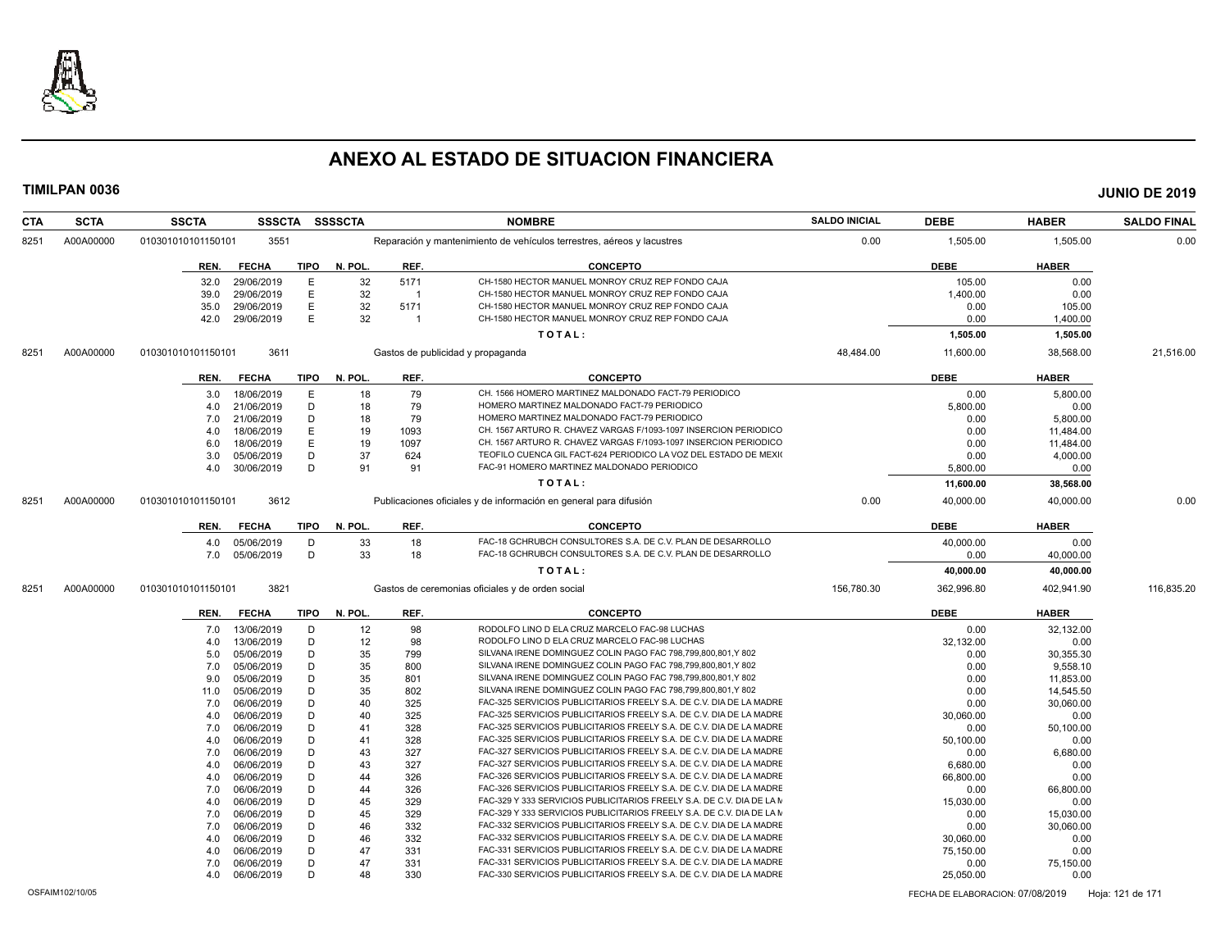

| <b>CTA</b> | <b>SCTA</b> | <b>SSCTA</b>       | <b>SSSCTA</b> |             | <b>SSSSCTA</b> |                | <b>NOMBRE</b>                                                          | <b>SALDO INICIAL</b> | <b>DEBE</b> | <b>HABER</b> | <b>SALDO FINAL</b> |
|------------|-------------|--------------------|---------------|-------------|----------------|----------------|------------------------------------------------------------------------|----------------------|-------------|--------------|--------------------|
| 8251       | A00A00000   | 010301010101150101 | 3551          |             |                |                | Reparación y mantenimiento de vehículos terrestres, aéreos y lacustres | 0.00                 | 1,505.00    | 1,505.00     | 0.00               |
|            |             | REN.               | <b>FECHA</b>  | TIPO        | N. POL.        | REF.           | <b>CONCEPTO</b>                                                        |                      | <b>DEBE</b> | <b>HABER</b> |                    |
|            |             | 32.0               | 29/06/2019    | E           | 32             | 5171           | CH-1580 HECTOR MANUEL MONROY CRUZ REP FONDO CAJA                       |                      | 105.00      | 0.00         |                    |
|            |             | 39.0               | 29/06/2019    | E           | 32             | $\overline{1}$ | CH-1580 HECTOR MANUEL MONROY CRUZ REP FONDO CAJA                       |                      | 1,400.00    | 0.00         |                    |
|            |             | 35.0               | 29/06/2019    | E           | 32             | 5171           | CH-1580 HECTOR MANUEL MONROY CRUZ REP FONDO CAJA                       |                      | 0.00        | 105.00       |                    |
|            |             | 42.0               | 29/06/2019    | E           | 32             | $\overline{1}$ | CH-1580 HECTOR MANUEL MONROY CRUZ REP FONDO CAJA                       |                      | 0.00        | 1,400.00     |                    |
|            |             |                    |               |             |                |                | TOTAL:                                                                 |                      | 1,505.00    | 1,505.00     |                    |
| 8251       | A00A00000   | 010301010101150101 | 3611          |             |                |                | Gastos de publicidad y propaganda                                      | 48,484.00            | 11,600.00   | 38,568.00    | 21,516.00          |
|            |             | REN.               | <b>FECHA</b>  | <b>TIPO</b> | N. POL.        | REF.           | <b>CONCEPTO</b>                                                        |                      | <b>DEBE</b> | <b>HABER</b> |                    |
|            |             | 3.0                | 18/06/2019    | E           | 18             | 79             | CH. 1566 HOMERO MARTINEZ MALDONADO FACT-79 PERIODICO                   |                      | 0.00        | 5.800.00     |                    |
|            |             | 4.0                | 21/06/2019    | D           | 18             | 79             | HOMERO MARTINEZ MALDONADO FACT-79 PERIODICO                            |                      | 5,800.00    | 0.00         |                    |
|            |             | 7.0                | 21/06/2019    | D           | 18             | 79             | HOMERO MARTINEZ MALDONADO FACT-79 PERIODICO                            |                      | 0.00        | 5,800.00     |                    |
|            |             | 4.0                | 18/06/2019    | Е           | 19             | 1093           | CH. 1567 ARTURO R. CHAVEZ VARGAS F/1093-1097 INSERCION PERIODICO       |                      | 0.00        | 11,484.00    |                    |
|            |             | 6.0                | 18/06/2019    | E           | 19             | 1097           | CH. 1567 ARTURO R. CHAVEZ VARGAS F/1093-1097 INSERCION PERIODICO       |                      | 0.00        | 11,484.00    |                    |
|            |             | 3.0                | 05/06/2019    | D           | 37             | 624            | TEOFILO CUENCA GIL FACT-624 PERIODICO LA VOZ DEL ESTADO DE MEXIO       |                      | 0.00        | 4,000.00     |                    |
|            |             | 4.0                | 30/06/2019    | D           | 91             | 91             | FAC-91 HOMERO MARTINEZ MALDONADO PERIODICO                             |                      | 5,800.00    | 0.00         |                    |
|            |             |                    |               |             |                |                | TOTAL:                                                                 |                      | 11,600.00   | 38,568.00    |                    |
|            |             |                    |               |             |                |                |                                                                        |                      |             |              |                    |
| 8251       | A00A00000   | 010301010101150101 | 3612          |             |                |                | Publicaciones oficiales y de información en general para difusión      | 0.00                 | 40,000.00   | 40,000.00    | 0.00               |
|            |             | REN.               | <b>FECHA</b>  | <b>TIPO</b> | N. POL.        | REF.           | <b>CONCEPTO</b>                                                        |                      | <b>DEBE</b> | <b>HABER</b> |                    |
|            |             | 4.0                | 05/06/2019    | D           | 33             | 18             | FAC-18 GCHRUBCH CONSULTORES S.A. DE C.V. PLAN DE DESARROLLO            |                      | 40,000.00   | 0.00         |                    |
|            |             | 7.0                | 05/06/2019    | D           | 33             | 18             | FAC-18 GCHRUBCH CONSULTORES S.A. DE C.V. PLAN DE DESARROLLO            |                      | 0.00        | 40,000.00    |                    |
|            |             |                    |               |             |                |                | TOTAL:                                                                 |                      | 40,000.00   | 40,000.00    |                    |
| 8251       | A00A00000   | 010301010101150101 | 3821          |             |                |                | Gastos de ceremonias oficiales y de orden social                       | 156,780.30           | 362,996.80  | 402,941.90   | 116,835.20         |
|            |             | REN.               | <b>FECHA</b>  | TIPO        | N. POL.        | REF.           | <b>CONCEPTO</b>                                                        |                      | <b>DEBE</b> | <b>HABER</b> |                    |
|            |             | 7.0                | 13/06/2019    | D           | 12             | 98             | RODOLFO LINO D ELA CRUZ MARCELO FAC-98 LUCHAS                          |                      | 0.00        | 32,132.00    |                    |
|            |             | 4.0                | 13/06/2019    | D           | 12             | 98             | RODOLFO LINO D ELA CRUZ MARCELO FAC-98 LUCHAS                          |                      | 32,132.00   | 0.00         |                    |
|            |             | 5.0                | 05/06/2019    | D           | 35             | 799            | SILVANA IRENE DOMINGUEZ COLIN PAGO FAC 798,799,800,801,Y 802           |                      | 0.00        | 30,355.30    |                    |
|            |             | 7.0                | 05/06/2019    | D           | 35             | 800            | SILVANA IRENE DOMINGUEZ COLIN PAGO FAC 798,799,800,801,Y 802           |                      | 0.00        | 9,558.10     |                    |
|            |             | 9.0                | 05/06/2019    | D           | 35             | 801            | SILVANA IRENE DOMINGUEZ COLIN PAGO FAC 798,799,800,801,Y 802           |                      | 0.00        | 11,853.00    |                    |
|            |             | 11.0               | 05/06/2019    | D           | 35             | 802            | SILVANA IRENE DOMINGUEZ COLIN PAGO FAC 798.799.800.801.Y 802           |                      | 0.00        | 14,545.50    |                    |
|            |             | 7.0                | 06/06/2019    | D           | 40             | 325            | FAC-325 SERVICIOS PUBLICITARIOS FREELY S.A. DE C.V. DIA DE LA MADRE    |                      | 0.00        | 30,060.00    |                    |
|            |             | 4.0                | 06/06/2019    | D           | 40             | 325            | FAC-325 SERVICIOS PUBLICITARIOS FREELY S.A. DE C.V. DIA DE LA MADRE    |                      | 30,060.00   | 0.00         |                    |
|            |             | 7.0                | 06/06/2019    | D           | 41             | 328            | FAC-325 SERVICIOS PUBLICITARIOS FREELY S.A. DE C.V. DIA DE LA MADRE    |                      | 0.00        | 50,100.00    |                    |
|            |             | 4.0                | 06/06/2019    | D           | 41             | 328            | FAC-325 SERVICIOS PUBLICITARIOS FREELY S.A. DE C.V. DIA DE LA MADRE    |                      | 50,100.00   | 0.00         |                    |
|            |             | 7.0                | 06/06/2019    | D           | 43             | 327            | FAC-327 SERVICIOS PUBLICITARIOS FREELY S.A. DE C.V. DIA DE LA MADRE    |                      | 0.00        | 6.680.00     |                    |
|            |             | 4.0                | 06/06/2019    | D           | 43             | 327            | FAC-327 SERVICIOS PUBLICITARIOS FREELY S.A. DE C.V. DIA DE LA MADRE    |                      | 6,680.00    | 0.00         |                    |
|            |             | 4.0                | 06/06/2019    | D           | 44             | 326            | FAC-326 SERVICIOS PUBLICITARIOS FREELY S.A. DE C.V. DIA DE LA MADRE    |                      | 66,800.00   | 0.00         |                    |
|            |             | 7.0                | 06/06/2019    | D           | 44             | 326            | FAC-326 SERVICIOS PUBLICITARIOS FREELY S.A. DE C.V. DIA DE LA MADRE    |                      | 0.00        | 66,800.00    |                    |
|            |             | 4.0                | 06/06/2019    | D           | 45             | 329            | FAC-329 Y 333 SERVICIOS PUBLICITARIOS FREELY S.A. DE C.V. DIA DE LA M  |                      | 15,030.00   | 0.00         |                    |
|            |             | 7.0                | 06/06/2019    | D           | 45             | 329            | FAC-329 Y 333 SERVICIOS PUBLICITARIOS FREELY S.A. DE C.V. DIA DE LA M  |                      | 0.00        | 15,030.00    |                    |
|            |             | 7.0                | 06/06/2019    | D           | 46             | 332            | FAC-332 SERVICIOS PUBLICITARIOS FREELY S.A. DE C.V. DIA DE LA MADRE    |                      | 0.00        | 30,060.00    |                    |
|            |             | 4.0                | 06/06/2019    | D           | 46             | 332            | FAC-332 SERVICIOS PUBLICITARIOS FREELY S.A. DE C.V. DIA DE LA MADRE    |                      | 30,060.00   | 0.00         |                    |
|            |             | 4.0                | 06/06/2019    | D           | 47             | 331            | FAC-331 SERVICIOS PUBLICITARIOS FREELY S.A. DE C.V. DIA DE LA MADRE    |                      | 75,150.00   | 0.00         |                    |
|            |             | 7.0                | 06/06/2019    | D           | 47             | 331            | FAC-331 SERVICIOS PUBLICITARIOS FREELY S.A. DE C.V. DIA DE LA MADRE    |                      | 0.00        | 75,150.00    |                    |
|            |             | 4.0                | 06/06/2019    | D           | 48             | 330            | FAC-330 SERVICIOS PUBLICITARIOS FREELY S.A. DE C.V. DIA DE LA MADRE    |                      | 25,050.00   | 0.00         |                    |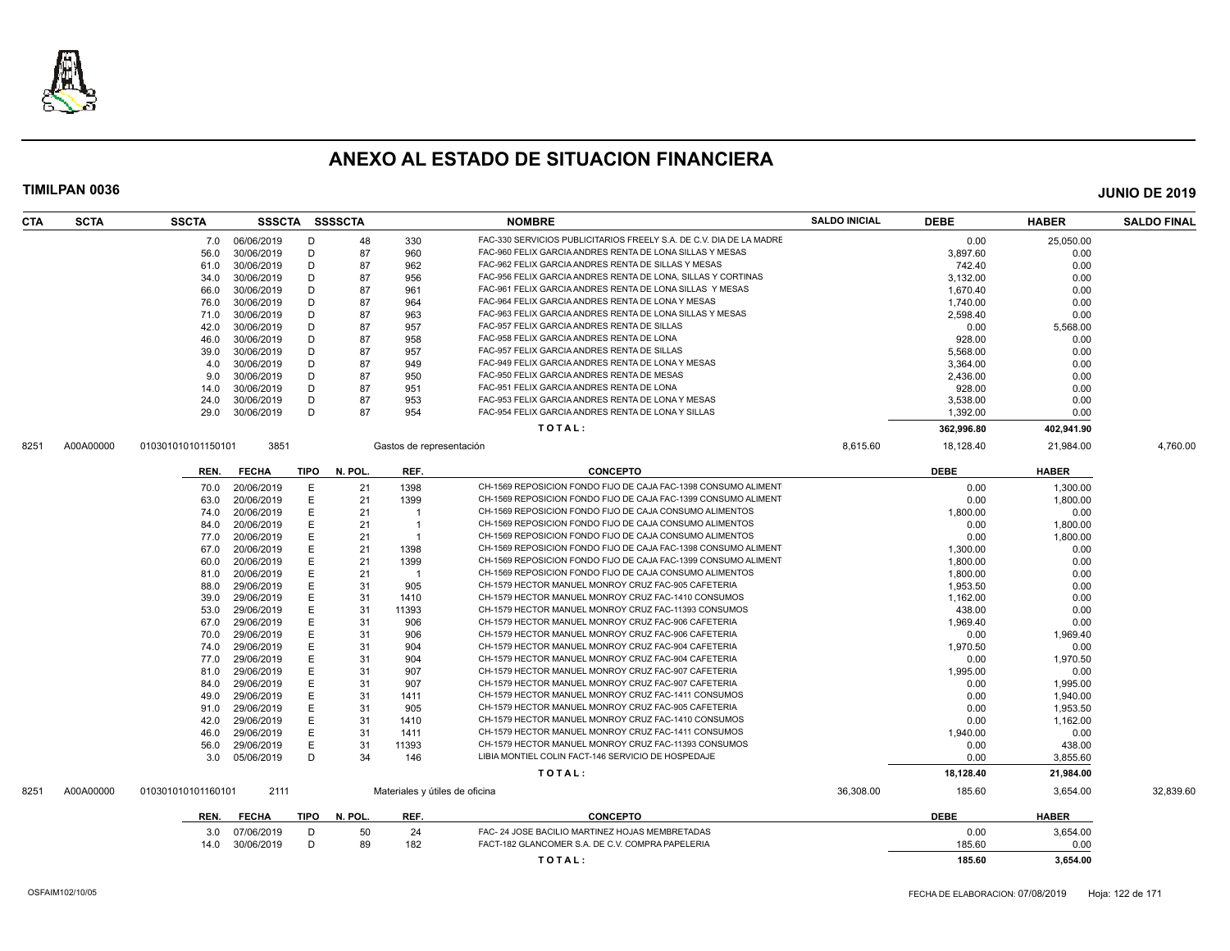

| CTA  | <b>SCTA</b> | <b>SSCTA</b>       |                          |             | SSSCTA SSSSCTA |                          | <b>NOMBRE</b>                                                       | <b>SALDO INICIAL</b> | <b>DEBE</b>    | <b>HABER</b> | <b>SALDO FINAL</b> |
|------|-------------|--------------------|--------------------------|-------------|----------------|--------------------------|---------------------------------------------------------------------|----------------------|----------------|--------------|--------------------|
|      |             | 7.0                | 06/06/2019               | D           | 48             | 330                      | FAC-330 SERVICIOS PUBLICITARIOS FREELY S.A. DE C.V. DIA DE LA MADRE |                      | 0.00           | 25,050.00    |                    |
|      |             | 56.0               | 30/06/2019               | D           | 87             | 960                      | FAC-960 FELIX GARCIA ANDRES RENTA DE LONA SILLAS Y MESAS            |                      | 3,897.60       | 0.00         |                    |
|      |             | 61.0               | 30/06/2019               | D           | 87             | 962                      | FAC-962 FELIX GARCIA ANDRES RENTA DE SILLAS Y MESAS                 |                      | 742.40         | 0.00         |                    |
|      |             | 34.0               | 30/06/2019               | D           | 87             | 956                      | FAC-956 FELIX GARCIA ANDRES RENTA DE LONA, SILLAS Y CORTINAS        |                      | 3,132.00       | 0.00         |                    |
|      |             | 66.0               | 30/06/2019               | D           | 87             | 961                      | FAC-961 FELIX GARCIA ANDRES RENTA DE LONA SILLAS Y MESAS            |                      | 1,670.40       | 0.00         |                    |
|      |             | 76.0               | 30/06/2019               | D           | 87             | 964                      | FAC-964 FELIX GARCIA ANDRES RENTA DE LONA Y MESAS                   |                      | 1.740.00       | 0.00         |                    |
|      |             | 71.0               | 30/06/2019               | D           | 87             | 963                      | FAC-963 FELIX GARCIA ANDRES RENTA DE LONA SILLAS Y MESAS            |                      | 2,598.40       | 0.00         |                    |
|      |             | 42.0               | 30/06/2019               | D           | 87             | 957                      | FAC-957 FELIX GARCIA ANDRES RENTA DE SILLAS                         |                      | 0.00           | 5,568.00     |                    |
|      |             | 46.0               | 30/06/2019               | D           | 87             | 958                      | FAC-958 FELIX GARCIA ANDRES RENTA DE LONA                           |                      | 928.00         | 0.00         |                    |
|      |             | 39.0               | 30/06/2019               | D           | 87             | 957                      | FAC-957 FELIX GARCIA ANDRES RENTA DE SILLAS                         |                      | 5,568.00       | 0.00         |                    |
|      |             | 4.0                | 30/06/2019               | D           | 87             | 949                      | FAC-949 FELIX GARCIA ANDRES RENTA DE LONA Y MESAS                   |                      | 3,364.00       | 0.00         |                    |
|      |             | 9.0                | 30/06/2019               | D           | 87             | 950                      | FAC-950 FELIX GARCIA ANDRES RENTA DE MESAS                          |                      | 2,436.00       | 0.00         |                    |
|      |             | 14.0               | 30/06/2019               | D           | 87             | 951                      | FAC-951 FELIX GARCIA ANDRES RENTA DE LONA                           |                      | 928.00         | 0.00         |                    |
|      |             | 24.0               | 30/06/2019               | D           | 87             | 953                      | FAC-953 FELIX GARCIA ANDRES RENTA DE LONA Y MESAS                   |                      | 3.538.00       | 0.00         |                    |
|      |             | 29.0               | 30/06/2019               | D           | 87             | 954                      | FAC-954 FELIX GARCIA ANDRES RENTA DE LONA Y SILLAS                  |                      | 1,392.00       | 0.00         |                    |
|      |             |                    |                          |             |                |                          | TOTAL:                                                              |                      | 362,996.80     | 402,941.90   |                    |
| 8251 | A00A00000   | 010301010101150101 | 3851                     |             |                | Gastos de representación |                                                                     | 8,615.60             | 18,128.40      | 21,984.00    | 4,760.00           |
|      |             |                    |                          |             |                |                          |                                                                     |                      |                |              |                    |
|      |             | REN.               | <b>FECHA</b>             | <b>TIPO</b> | N. POL         | REF.                     | <b>CONCEPTO</b>                                                     |                      | <b>DEBE</b>    | <b>HABER</b> |                    |
|      |             | 70.0               | 20/06/2019               | Ε           | 21             | 1398                     | CH-1569 REPOSICION FONDO FIJO DE CAJA FAC-1398 CONSUMO ALIMENT      |                      | 0.00           | 1.300.00     |                    |
|      |             | 63.0               | 20/06/2019               | E           | 21             | 1399                     | CH-1569 REPOSICION FONDO FIJO DE CAJA FAC-1399 CONSUMO ALIMENT      |                      | 0.00           | 1.800.00     |                    |
|      |             | 74.0               | 20/06/2019               | E           | 21             |                          | CH-1569 REPOSICION FONDO FIJO DE CAJA CONSUMO ALIMENTOS             |                      | 1,800.00       | 0.00         |                    |
|      |             | 84.0               | 20/06/2019               | E           | 21             | $\overline{1}$           | CH-1569 REPOSICION FONDO FIJO DE CAJA CONSUMO ALIMENTOS             |                      | 0.00           | 1,800.00     |                    |
|      |             | 77.0               | 20/06/2019               | E           | 21             | -1                       | CH-1569 REPOSICION FONDO FIJO DE CAJA CONSUMO ALIMENTOS             |                      | 0.00           | 1,800.00     |                    |
|      |             | 67.0               | 20/06/2019               | E           | 21             | 1398                     | CH-1569 REPOSICION FONDO FIJO DE CAJA FAC-1398 CONSUMO ALIMENT      |                      | 1,300.00       | 0.00         |                    |
|      |             | 60.0               | 20/06/2019               | E           | 21             | 1399                     | CH-1569 REPOSICION FONDO FIJO DE CAJA FAC-1399 CONSUMO ALIMENT      |                      | 1.800.00       | 0.00         |                    |
|      |             | 81.0               | 20/06/2019               | E           | 21             | $\overline{1}$           | CH-1569 REPOSICION FONDO FIJO DE CAJA CONSUMO ALIMENTOS             |                      | 1,800.00       | 0.00         |                    |
|      |             | 88.0               | 29/06/2019               | E           | 31             | 905                      | CH-1579 HECTOR MANUEL MONROY CRUZ FAC-905 CAFETERIA                 |                      | 1,953.50       | 0.00         |                    |
|      |             | 39.0               | 29/06/2019               | E           | 31             | 1410                     | CH-1579 HECTOR MANUEL MONROY CRUZ FAC-1410 CONSUMOS                 |                      | 1,162.00       | 0.00         |                    |
|      |             | 53.0               | 29/06/2019               | Е           | 31             | 11393                    | CH-1579 HECTOR MANUEL MONROY CRUZ FAC-11393 CONSUMOS                |                      | 438.00         | 0.00         |                    |
|      |             | 67.0               | 29/06/2019               | E           | 31             | 906                      | CH-1579 HECTOR MANUEL MONROY CRUZ FAC-906 CAFETERIA                 |                      | 1.969.40       | 0.00         |                    |
|      |             | 70.0               | 29/06/2019               | E           | 31             | 906                      | CH-1579 HECTOR MANUEL MONROY CRUZ FAC-906 CAFETERIA                 |                      | 0.00           | 1,969.40     |                    |
|      |             | 74.0               | 29/06/2019               | E           | 31             | 904                      | CH-1579 HECTOR MANUEL MONROY CRUZ FAC-904 CAFETERIA                 |                      | 1,970.50       | 0.00         |                    |
|      |             | 77.0               | 29/06/2019               | E           | 31             | 904                      | CH-1579 HECTOR MANUEL MONROY CRUZ FAC-904 CAFETERIA                 |                      | 0.00           | 1,970.50     |                    |
|      |             | 81.0               | 29/06/2019               | Е           | 31             | 907                      | CH-1579 HECTOR MANUEL MONROY CRUZ FAC-907 CAFETERIA                 |                      | 1,995.00       | 0.00         |                    |
|      |             | 84.0               | 29/06/2019               | E           | 31             | 907                      | CH-1579 HECTOR MANUEL MONROY CRUZ FAC-907 CAFETERIA                 |                      | 0.00           | 1.995.00     |                    |
|      |             | 49.0               | 29/06/2019               | E           | 31             | 1411                     | CH-1579 HECTOR MANUEL MONROY CRUZ FAC-1411 CONSUMOS                 |                      | 0.00           | 1,940.00     |                    |
|      |             | 91.0               | 29/06/2019               | E           | 31             | 905                      | CH-1579 HECTOR MANUEL MONROY CRUZ FAC-905 CAFETERIA                 |                      | 0.00           | 1,953.50     |                    |
|      |             | 42.0               | 29/06/2019               | E           | 31             | 1410                     | CH-1579 HECTOR MANUEL MONROY CRUZ FAC-1410 CONSUMOS                 |                      | 0.00           | 1,162.00     |                    |
|      |             | 46.0               | 29/06/2019               | E           | 31             | 1411                     | CH-1579 HECTOR MANUEL MONROY CRUZ FAC-1411 CONSUMOS                 |                      | 1,940.00       | 0.00         |                    |
|      |             | 56.0               | 29/06/2019               | E           | 31             | 11393                    | CH-1579 HECTOR MANUEL MONROY CRUZ FAC-11393 CONSUMOS                |                      | 0.00           | 438.00       |                    |
|      |             | 3.0                | 05/06/2019               | D           | 34             | 146                      | LIBIA MONTIEL COLIN FACT-146 SERVICIO DE HOSPEDAJE                  |                      | 0.00           | 3,855.60     |                    |
|      |             |                    |                          |             |                |                          | TOTAL:                                                              |                      | 18,128.40      | 21,984.00    |                    |
| 8251 | A00A00000   | 010301010101160101 | 2111                     |             |                |                          | Materiales y útiles de oficina                                      | 36,308.00            | 185.60         | 3,654.00     | 32,839.60          |
|      |             | REN.               | <b>FECHA</b>             | TIPO        | N. POL.        | REF.                     | <b>CONCEPTO</b>                                                     |                      | <b>DEBE</b>    | <b>HABER</b> |                    |
|      |             |                    |                          |             |                |                          | FAC- 24 JOSE BACILIO MARTINEZ HOJAS MEMBRETADAS                     |                      |                |              |                    |
|      |             | 3.0                | 07/06/2019<br>30/06/2019 | D<br>D      | 50<br>89       | 24<br>182                | FACT-182 GLANCOMER S.A. DE C.V. COMPRA PAPELERIA                    |                      | 0.00<br>185.60 | 3,654.00     |                    |
|      |             | 14.0               |                          |             |                |                          |                                                                     |                      |                | 0.00         |                    |
|      |             |                    |                          |             |                |                          | TOTAL:                                                              |                      | 185.60         | 3.654.00     |                    |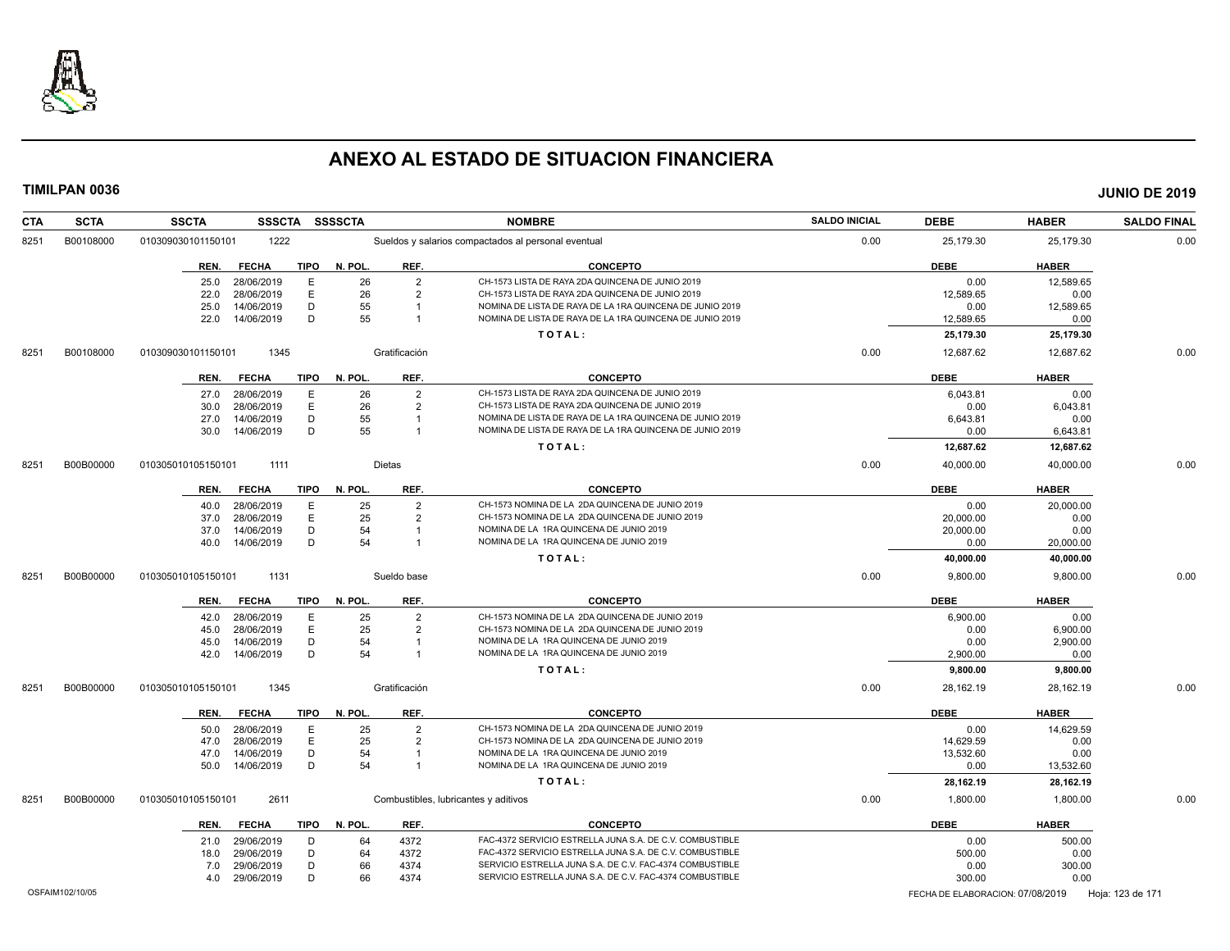

| <b>SCTA</b><br><b>CTA</b> | <b>SSCTA</b><br><b>SSSCTA</b> | <b>SSSSCTA</b>         |                | <b>NOMBRE</b>                                            | <b>SALDO INICIAL</b> | <b>DEBE</b>                      | <b>HABER</b> | <b>SALDO FINAL</b> |
|---------------------------|-------------------------------|------------------------|----------------|----------------------------------------------------------|----------------------|----------------------------------|--------------|--------------------|
| B00108000<br>8251         | 1222<br>010309030101150101    |                        |                | Sueldos y salarios compactados al personal eventual      | 0.00                 | 25,179.30                        | 25,179.30    | 0.00               |
|                           | <b>FECHA</b><br>REN.          | <b>TIPO</b><br>N. POL. | REF.           | <b>CONCEPTO</b>                                          |                      | <b>DEBE</b>                      | <b>HABER</b> |                    |
|                           | 28/06/2019<br>25.0            | E<br>26                | $\overline{2}$ | CH-1573 LISTA DE RAYA 2DA QUINCENA DE JUNIO 2019         |                      | 0.00                             | 12.589.65    |                    |
|                           | 28/06/2019<br>22.0            | E<br>26                | $\overline{2}$ | CH-1573 LISTA DE RAYA 2DA QUINCENA DE JUNIO 2019         |                      | 12,589.65                        | 0.00         |                    |
|                           | 14/06/2019<br>25.0            | D<br>55                | $\overline{1}$ | NOMINA DE LISTA DE RAYA DE LA 1RA QUINCENA DE JUNIO 2019 |                      | 0.00                             | 12,589.65    |                    |
|                           | 22.0<br>14/06/2019            | D<br>55                | $\overline{1}$ | NOMINA DE LISTA DE RAYA DE LA 1RA QUINCENA DE JUNIO 2019 |                      | 12,589.65                        | 0.00         |                    |
|                           |                               |                        |                | TOTAL:                                                   |                      | 25,179.30                        | 25,179.30    |                    |
| B00108000<br>8251         | 010309030101150101<br>1345    |                        | Gratificación  |                                                          | 0.00                 | 12,687.62                        | 12,687.62    | 0.00               |
|                           | <b>FECHA</b><br>REN.          | N. POL.<br>TIPO        | REF.           | <b>CONCEPTO</b>                                          |                      | <b>DEBE</b>                      | <b>HABER</b> |                    |
|                           | 28/06/2019<br>27.0            | E<br>26                | $\overline{2}$ | CH-1573 LISTA DE RAYA 2DA QUINCENA DE JUNIO 2019         |                      | 6,043.81                         | 0.00         |                    |
|                           | 28/06/2019<br>30.0            | Ε<br>26                | $\overline{2}$ | CH-1573 LISTA DE RAYA 2DA QUINCENA DE JUNIO 2019         |                      | 0.00                             | 6,043.81     |                    |
|                           | 14/06/2019<br>27.0            | D<br>55                | -1             | NOMINA DE LISTA DE RAYA DE LA 1RA QUINCENA DE JUNIO 2019 |                      | 6,643.81                         | 0.00         |                    |
|                           | 14/06/2019<br>30.0            | D<br>55                | $\overline{1}$ | NOMINA DE LISTA DE RAYA DE LA 1RA QUINCENA DE JUNIO 2019 |                      | 0.00                             | 6,643.81     |                    |
|                           |                               |                        |                | TOTAL:                                                   |                      | 12,687.62                        | 12,687.62    |                    |
| B00B00000<br>8251         | 1111<br>010305010105150101    |                        | Dietas         |                                                          | 0.00                 | 40,000.00                        | 40,000.00    | 0.00               |
|                           | <b>FECHA</b><br>REN.          | <b>TIPO</b><br>N. POL. | REF.           | <b>CONCEPTO</b>                                          |                      | <b>DEBE</b>                      | <b>HABER</b> |                    |
|                           | 28/06/2019<br>40.0            | Ε<br>25                | $\overline{2}$ | CH-1573 NOMINA DE LA 2DA QUINCENA DE JUNIO 2019          |                      | 0.00                             | 20,000.00    |                    |
|                           | 28/06/2019<br>37.0            | E<br>25                | $\overline{2}$ | CH-1573 NOMINA DE LA 2DA QUINCENA DE JUNIO 2019          |                      | 20,000.00                        | 0.00         |                    |
|                           | 37.0<br>14/06/2019            | D<br>54                | $\overline{1}$ | NOMINA DE LA 1RA QUINCENA DE JUNIO 2019                  |                      | 20,000.00                        | 0.00         |                    |
|                           | 14/06/2019<br>40.0            | 54<br>D                | $\overline{1}$ | NOMINA DE LA 1RA QUINCENA DE JUNIO 2019                  |                      | 0.00                             | 20,000.00    |                    |
|                           |                               |                        |                | TOTAL:                                                   |                      | 40,000.00                        | 40,000.00    |                    |
| B00B00000<br>8251         | 1131<br>010305010105150101    |                        | Sueldo base    |                                                          | 0.00                 | 9,800.00                         | 9,800.00     | 0.00               |
|                           | REN.<br><b>FECHA</b>          | <b>TIPO</b><br>N. POL. | REF.           | <b>CONCEPTO</b>                                          |                      | <b>DEBE</b>                      | <b>HABER</b> |                    |
|                           | 28/06/2019<br>42.0            | Е<br>25                | $\overline{2}$ | CH-1573 NOMINA DE LA 2DA QUINCENA DE JUNIO 2019          |                      | 6,900.00                         | 0.00         |                    |
|                           | 28/06/2019<br>45.0            | $\mathsf E$<br>25      | $\overline{2}$ | CH-1573 NOMINA DE LA 2DA QUINCENA DE JUNIO 2019          |                      | 0.00                             | 6,900.00     |                    |
|                           | 14/06/2019<br>45.0            | D<br>54                | $\overline{1}$ | NOMINA DE LA 1RA QUINCENA DE JUNIO 2019                  |                      | 0.00                             | 2,900.00     |                    |
|                           | 14/06/2019<br>42.0            | 54<br>D                | $\overline{1}$ | NOMINA DE LA 1RA QUINCENA DE JUNIO 2019                  |                      | 2,900.00                         | 0.00         |                    |
|                           |                               |                        |                | TOTAL:                                                   |                      | 9,800.00                         | 9,800.00     |                    |
| B00B00000<br>8251         | 1345<br>010305010105150101    |                        | Gratificación  |                                                          | 0.00                 | 28,162.19                        | 28,162.19    | 0.00               |
|                           | <b>FECHA</b><br>REN.          | N. POL.<br>TIPO        | REF.           | <b>CONCEPTO</b>                                          |                      | <b>DEBE</b>                      | <b>HABER</b> |                    |
|                           | 28/06/2019<br>50.0            | E<br>25                | $\overline{2}$ | CH-1573 NOMINA DE LA 2DA QUINCENA DE JUNIO 2019          |                      | 0.00                             | 14.629.59    |                    |
|                           | 28/06/2019<br>47.0            | Ε<br>25                | $\overline{2}$ | CH-1573 NOMINA DE LA 2DA QUINCENA DE JUNIO 2019          |                      | 14,629.59                        | 0.00         |                    |
|                           | 14/06/2019<br>47.0            | D<br>54                |                | NOMINA DE LA 1RA QUINCENA DE JUNIO 2019                  |                      | 13,532.60                        | 0.00         |                    |
|                           | 14/06/2019<br>50.0            | 54<br>D                | $\overline{1}$ | NOMINA DE LA 1RA QUINCENA DE JUNIO 2019                  |                      | 0.00                             | 13,532.60    |                    |
|                           |                               |                        |                | TOTAL:                                                   |                      | 28,162.19                        | 28,162.19    |                    |
| B00B00000<br>8251         | 2611<br>010305010105150101    |                        |                | Combustibles, lubricantes y aditivos                     | 0.00                 | 1,800.00                         | 1,800.00     | 0.00               |
|                           | <b>FECHA</b><br>REN.          | <b>TIPO</b><br>N. POL. | REF.           | <b>CONCEPTO</b>                                          |                      | <b>DEBE</b>                      | <b>HABER</b> |                    |
|                           | 29/06/2019<br>21.0            | 64<br>D                | 4372           | FAC-4372 SERVICIO ESTRELLA JUNA S.A. DE C.V. COMBUSTIBLE |                      | 0.00                             | 500.00       |                    |
|                           | 29/06/2019<br>18.0            | D<br>64                | 4372           | FAC-4372 SERVICIO ESTRELLA JUNA S.A. DE C.V. COMBUSTIBLE |                      | 500.00                           | 0.00         |                    |
|                           | 29/06/2019<br>7.0             | D<br>66                | 4374           | SERVICIO ESTRELLA JUNA S.A. DE C.V. FAC-4374 COMBUSTIBLE |                      | 0.00                             | 300.00       |                    |
|                           | 29/06/2019<br>4.0             | D<br>66                | 4374           | SERVICIO ESTRELLA JUNA S.A. DE C.V. FAC-4374 COMBUSTIBLE |                      | 300.00                           | 0.00         |                    |
| OSFAIM102/10/05           |                               |                        |                |                                                          |                      | FECHA DE ELABORACION: 07/08/2019 |              | Hoja: 123 de 171   |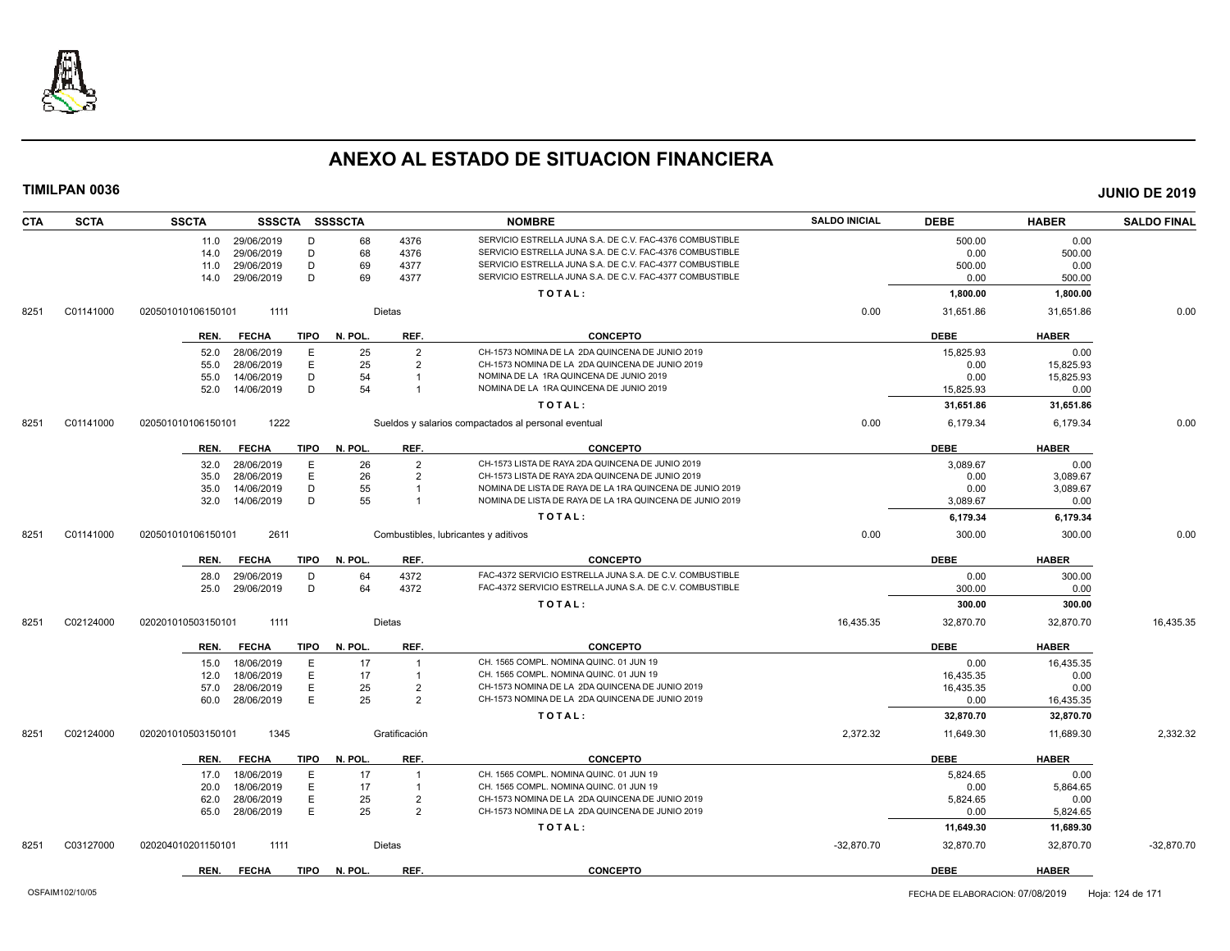

| <b>CTA</b> | <b>SCTA</b> | <b>SSCTA</b>       | SSSCTA SSSSCTA  |             |         |                | <b>NOMBRE</b>                                            | <b>SALDO INICIAL</b> | <b>DEBE</b> | <b>HABER</b> | <b>SALDO FINAL</b> |
|------------|-------------|--------------------|-----------------|-------------|---------|----------------|----------------------------------------------------------|----------------------|-------------|--------------|--------------------|
|            |             |                    | 11.0 29/06/2019 | D           | 68      | 4376           | SERVICIO ESTRELLA JUNA S.A. DE C.V. FAC-4376 COMBUSTIBLE |                      | 500.00      | 0.00         |                    |
|            |             | 14.0               | 29/06/2019      | D           | 68      | 4376           | SERVICIO ESTRELLA JUNA S.A. DE C.V. FAC-4376 COMBUSTIBLE |                      | 0.00        | 500.00       |                    |
|            |             | 11.0               | 29/06/2019      | D           | 69      | 4377           | SERVICIO ESTRELLA JUNA S.A. DE C.V. FAC-4377 COMBUSTIBLE |                      | 500.00      | 0.00         |                    |
|            |             | 14.0               | 29/06/2019      | D           | 69      | 4377           | SERVICIO ESTRELLA JUNA S.A. DE C.V. FAC-4377 COMBUSTIBLE |                      | 0.00        | 500.00       |                    |
|            |             |                    |                 |             |         |                | TOTAL:                                                   |                      | 1,800.00    | 1,800.00     |                    |
| 8251       | C01141000   | 020501010106150101 | 1111            |             |         | Dietas         |                                                          | 0.00                 | 31,651.86   | 31,651.86    | 0.00               |
|            |             | REN.               | <b>FECHA</b>    | TIPO        | N. POL. | REF.           | <b>CONCEPTO</b>                                          |                      | <b>DEBE</b> | <b>HABER</b> |                    |
|            |             | 52.0               | 28/06/2019      | E           | 25      | $\overline{2}$ | CH-1573 NOMINA DE LA 2DA QUINCENA DE JUNIO 2019          |                      | 15,825.93   | 0.00         |                    |
|            |             | 55.0               | 28/06/2019      | E           | 25      | $\overline{2}$ | CH-1573 NOMINA DE LA 2DA QUINCENA DE JUNIO 2019          |                      | 0.00        | 15,825.93    |                    |
|            |             | 55.0               | 14/06/2019      | D           | 54      | $\overline{1}$ | NOMINA DE LA 1RA QUINCENA DE JUNIO 2019                  |                      | 0.00        | 15,825.93    |                    |
|            |             | 52.0               | 14/06/2019      | D           | 54      | $\overline{1}$ | NOMINA DE LA 1RA QUINCENA DE JUNIO 2019                  |                      | 15,825.93   | 0.00         |                    |
|            |             |                    |                 |             |         |                | TOTAL:                                                   |                      | 31,651.86   | 31,651.86    |                    |
| 8251       | C01141000   | 020501010106150101 | 1222            |             |         |                | Sueldos y salarios compactados al personal eventual      | 0.00                 | 6,179.34    | 6,179.34     | 0.00               |
|            |             | REN.               | <b>FECHA</b>    | <b>TIPO</b> | N. POL. | REF.           | <b>CONCEPTO</b>                                          |                      | <b>DEBE</b> | <b>HABER</b> |                    |
|            |             | 32.0               | 28/06/2019      | E           | 26      | $\overline{2}$ | CH-1573 LISTA DE RAYA 2DA QUINCENA DE JUNIO 2019         |                      | 3,089.67    | 0.00         |                    |
|            |             | 35.0               | 28/06/2019      | E           | 26      | $\overline{2}$ | CH-1573 LISTA DE RAYA 2DA QUINCENA DE JUNIO 2019         |                      | 0.00        | 3,089.67     |                    |
|            |             | 35.0               | 14/06/2019      | D           | 55      |                | NOMINA DE LISTA DE RAYA DE LA 1RA QUINCENA DE JUNIO 2019 |                      | 0.00        | 3,089.67     |                    |
|            |             | 32.0               | 14/06/2019      | D           | 55      | $\overline{1}$ | NOMINA DE LISTA DE RAYA DE LA 1RA QUINCENA DE JUNIO 2019 |                      | 3,089.67    | 0.00         |                    |
|            |             |                    |                 |             |         |                | TOTAL:                                                   |                      | 6,179.34    | 6,179.34     |                    |
| 8251       | C01141000   | 020501010106150101 | 2611            |             |         |                | Combustibles, lubricantes y aditivos                     | 0.00                 | 300.00      | 300.00       | 0.00               |
|            |             | REN.               | <b>FECHA</b>    | <b>TIPO</b> | N. POL. | REF.           | CONCEPTO                                                 |                      | <b>DEBE</b> | <b>HABER</b> |                    |
|            |             | 28.0               | 29/06/2019      | D           | 64      | 4372           | FAC-4372 SERVICIO ESTRELLA JUNA S.A. DE C.V. COMBUSTIBLE |                      | 0.00        | 300.00       |                    |
|            |             | 25.0               | 29/06/2019      | D           | 64      | 4372           | FAC-4372 SERVICIO ESTRELLA JUNA S.A. DE C.V. COMBUSTIBLE |                      | 300.00      | 0.00         |                    |
|            |             |                    |                 |             |         |                | TOTAL:                                                   |                      | 300.00      | 300.00       |                    |
| 8251       | C02124000   | 020201010503150101 | 1111            |             |         | Dietas         |                                                          | 16,435.35            | 32,870.70   | 32,870.70    | 16,435.35          |
|            |             | REN.               | <b>FECHA</b>    | <b>TIPO</b> | N. POL. | REF.           | <b>CONCEPTO</b>                                          |                      | <b>DEBE</b> | <b>HABER</b> |                    |
|            |             | 15.0               | 18/06/2019      | E           | 17      |                | CH. 1565 COMPL. NOMINA QUINC. 01 JUN 19                  |                      | 0.00        | 16,435.35    |                    |
|            |             | 12.0               | 18/06/2019      | E           | 17      | $\overline{1}$ | CH. 1565 COMPL. NOMINA QUINC. 01 JUN 19                  |                      | 16,435.35   | 0.00         |                    |
|            |             | 57.0               | 28/06/2019      | E           | 25      | $\overline{2}$ | CH-1573 NOMINA DE LA 2DA QUINCENA DE JUNIO 2019          |                      | 16,435.35   | 0.00         |                    |
|            |             | 60.0               | 28/06/2019      | E           | 25      | $\overline{2}$ | CH-1573 NOMINA DE LA 2DA QUINCENA DE JUNIO 2019          |                      | 0.00        | 16,435.35    |                    |
|            |             |                    |                 |             |         |                | TOTAL:                                                   |                      | 32,870.70   | 32,870.70    |                    |
| 8251       | C02124000   | 020201010503150101 | 1345            |             |         | Gratificación  |                                                          | 2,372.32             | 11,649.30   | 11,689.30    | 2,332.32           |
|            |             | REN.               | <b>FECHA</b>    | <b>TIPO</b> | N. POL. | REF.           | <b>CONCEPTO</b>                                          |                      | <b>DEBE</b> | <b>HABER</b> |                    |
|            |             | 17.0               | 18/06/2019      | E           | 17      | $\overline{1}$ | CH. 1565 COMPL. NOMINA QUINC. 01 JUN 19                  |                      | 5,824.65    | 0.00         |                    |
|            |             | 20.0               | 18/06/2019      | E           | 17      | $\overline{1}$ | CH. 1565 COMPL. NOMINA QUINC. 01 JUN 19                  |                      | 0.00        | 5,864.65     |                    |
|            |             | 62.0               | 28/06/2019      | E           | 25      | $\overline{2}$ | CH-1573 NOMINA DE LA 2DA QUINCENA DE JUNIO 2019          |                      | 5,824.65    | 0.00         |                    |
|            |             | 65.0               | 28/06/2019      | E           | 25      | $\overline{2}$ | CH-1573 NOMINA DE LA 2DA QUINCENA DE JUNIO 2019          |                      | 0.00        | 5,824.65     |                    |
|            |             |                    |                 |             |         |                | TOTAL:                                                   |                      | 11,649.30   | 11,689.30    |                    |
| 8251       | C03127000   | 020204010201150101 | 1111            |             |         | Dietas         |                                                          | $-32,870.70$         | 32,870.70   | 32,870.70    | $-32,870.70$       |
|            |             | REN.               | <b>FECHA</b>    | <b>TIPO</b> | N. POL. | REF.           | <b>CONCEPTO</b>                                          |                      | <b>DEBE</b> | <b>HABER</b> |                    |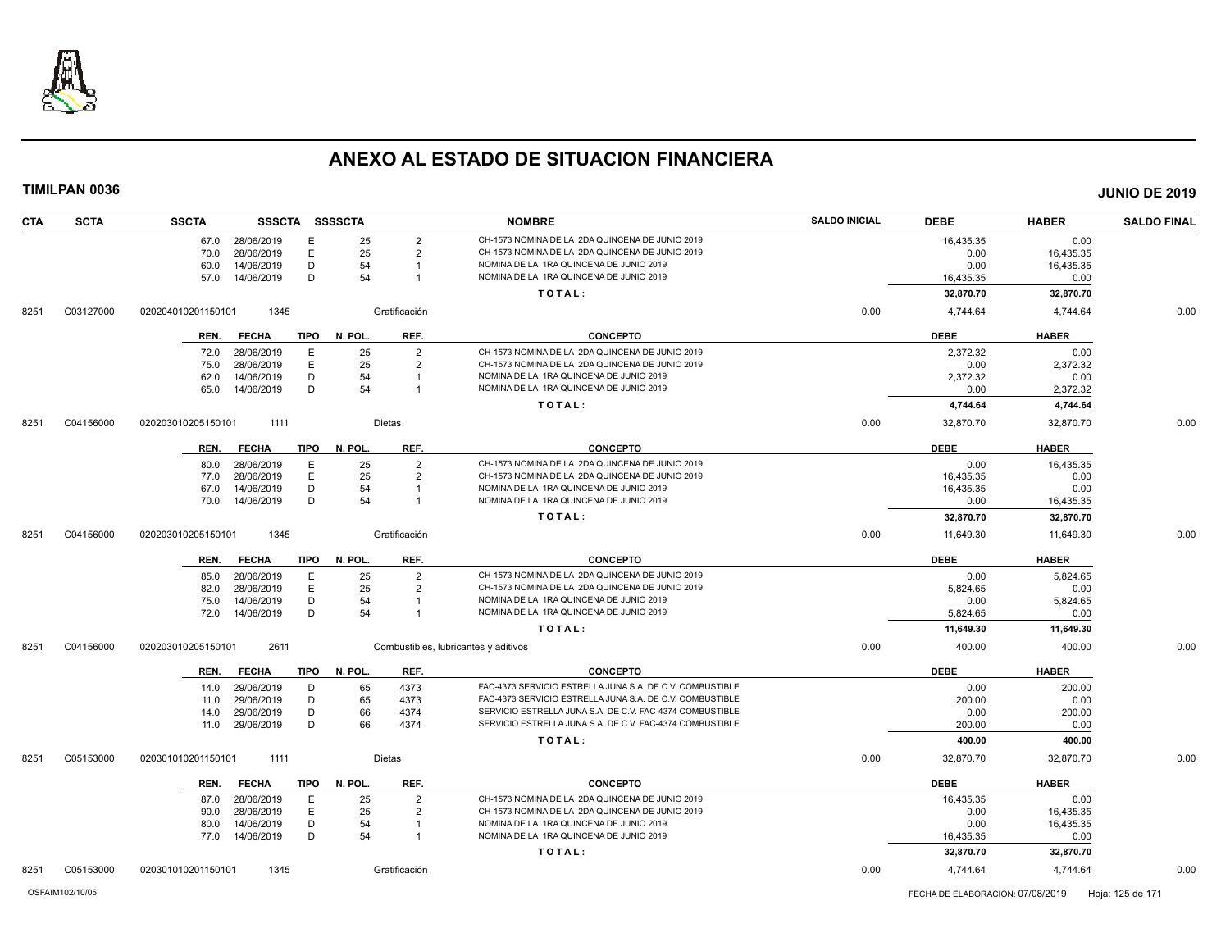

| <b>CTA</b> | <b>SCTA</b> | <b>SSCTA</b>       | SSSCTA SSSSCTA |             |         |                | <b>NOMBRE</b>                                            | <b>SALDO INICIAL</b> | <b>DEBE</b> | <b>HABER</b> | <b>SALDO FINAL</b> |
|------------|-------------|--------------------|----------------|-------------|---------|----------------|----------------------------------------------------------|----------------------|-------------|--------------|--------------------|
|            |             | 67.0               | 28/06/2019     | E           | 25      | $\overline{2}$ | CH-1573 NOMINA DE LA 2DA QUINCENA DE JUNIO 2019          |                      | 16,435.35   | 0.00         |                    |
|            |             | 70.0               | 28/06/2019     | E           | 25      | $\overline{2}$ | CH-1573 NOMINA DE LA 2DA QUINCENA DE JUNIO 2019          |                      | 0.00        | 16,435.35    |                    |
|            |             | 60.0               | 14/06/2019     | D           | 54      |                | NOMINA DE LA 1RA QUINCENA DE JUNIO 2019                  |                      | 0.00        | 16,435.35    |                    |
|            |             | 57.0               | 14/06/2019     | D           | 54      | -1             | NOMINA DE LA 1RA QUINCENA DE JUNIO 2019                  |                      | 16,435.35   | 0.00         |                    |
|            |             |                    |                |             |         |                | TOTAL:                                                   |                      | 32,870.70   | 32,870.70    |                    |
| 8251       | C03127000   | 020204010201150101 | 1345           |             |         | Gratificación  |                                                          | 0.00                 | 4.744.64    | 4.744.64     | 0.00               |
|            |             | REN.               | FECHA          | TIPO        | N. POL. | REF.           | <b>CONCEPTO</b>                                          |                      | <b>DEBE</b> | <b>HABER</b> |                    |
|            |             | 72.0               | 28/06/2019     | E           | 25      | $\overline{2}$ | CH-1573 NOMINA DE LA 2DA QUINCENA DE JUNIO 2019          |                      | 2,372.32    | 0.00         |                    |
|            |             | 75.0               | 28/06/2019     | E           | 25      | $\overline{2}$ | CH-1573 NOMINA DE LA 2DA QUINCENA DE JUNIO 2019          |                      | 0.00        | 2,372.32     |                    |
|            |             | 62.0               | 14/06/2019     | D           | 54      | $\overline{1}$ | NOMINA DE LA 1RA QUINCENA DE JUNIO 2019                  |                      | 2,372.32    | 0.00         |                    |
|            |             | 65.0               | 14/06/2019     | D           | 54      | $\overline{1}$ | NOMINA DE LA 1RA QUINCENA DE JUNIO 2019                  |                      | 0.00        | 2,372.32     |                    |
|            |             |                    |                |             |         |                | TOTAL:                                                   |                      | 4,744.64    | 4,744.64     |                    |
| 8251       | C04156000   | 020203010205150101 | 1111           |             |         | Dietas         |                                                          | 0.00                 | 32,870.70   | 32,870.70    | 0.00               |
|            |             | REN.               | <b>FECHA</b>   | <b>TIPO</b> | N. POL. | REF.           | <b>CONCEPTO</b>                                          |                      | <b>DEBE</b> | <b>HABER</b> |                    |
|            |             | 80.0               | 28/06/2019     | E           | 25      | $\overline{2}$ | CH-1573 NOMINA DE LA 2DA QUINCENA DE JUNIO 2019          |                      | 0.00        | 16.435.35    |                    |
|            |             | 77.0               | 28/06/2019     | E           | 25      | $\overline{2}$ | CH-1573 NOMINA DE LA 2DA QUINCENA DE JUNIO 2019          |                      | 16,435.35   | 0.00         |                    |
|            |             | 67.0               | 14/06/2019     | D           | 54      |                | NOMINA DE LA 1RA QUINCENA DE JUNIO 2019                  |                      | 16,435.35   | 0.00         |                    |
|            |             | 70.0               | 14/06/2019     | D           | 54      | -1             | NOMINA DE LA 1RA QUINCENA DE JUNIO 2019                  |                      | 0.00        | 16,435.35    |                    |
|            |             |                    |                |             |         |                | TOTAL:                                                   |                      | 32,870.70   | 32,870.70    |                    |
| 8251       | C04156000   | 020203010205150101 | 1345           |             |         | Gratificación  |                                                          | 0.00                 | 11,649.30   | 11,649.30    | 0.00               |
|            |             | REN.               | <b>FECHA</b>   | <b>TIPO</b> | N. POL. | REF.           | <b>CONCEPTO</b>                                          |                      | <b>DEBE</b> | <b>HABER</b> |                    |
|            |             | 85.0               | 28/06/2019     | Ε           | 25      | $\overline{2}$ | CH-1573 NOMINA DE LA 2DA QUINCENA DE JUNIO 2019          |                      | 0.00        | 5,824.65     |                    |
|            |             | 82.0               | 28/06/2019     | E           | 25      | $\overline{2}$ | CH-1573 NOMINA DE LA 2DA QUINCENA DE JUNIO 2019          |                      | 5,824.65    | 0.00         |                    |
|            |             | 75.0               | 14/06/2019     | D           | 54      |                | NOMINA DE LA 1RA QUINCENA DE JUNIO 2019                  |                      | 0.00        | 5,824.65     |                    |
|            |             | 72.0               | 14/06/2019     | D           | 54      | $\overline{1}$ | NOMINA DE LA 1RA QUINCENA DE JUNIO 2019                  |                      | 5,824.65    | 0.00         |                    |
|            |             |                    |                |             |         |                | TOTAL:                                                   |                      | 11,649.30   | 11,649.30    |                    |
| 8251       | C04156000   | 020203010205150101 | 2611           |             |         |                | Combustibles, lubricantes y aditivos                     | 0.00                 | 400.00      | 400.00       | 0.00               |
|            |             | REN.               | <b>FECHA</b>   | TIPO        | N. POL. | REF.           | <b>CONCEPTO</b>                                          |                      | <b>DEBE</b> | <b>HABER</b> |                    |
|            |             | 14.0               | 29/06/2019     | D           | 65      | 4373           | FAC-4373 SERVICIO ESTRELLA JUNA S.A. DE C.V. COMBUSTIBLE |                      | 0.00        | 200.00       |                    |
|            |             | 11.0               | 29/06/2019     | D           | 65      | 4373           | FAC-4373 SERVICIO ESTRELLA JUNA S.A. DE C.V. COMBUSTIBLE |                      | 200.00      | 0.00         |                    |
|            |             | 14.0               | 29/06/2019     | D           | 66      | 4374           | SERVICIO ESTRELLA JUNA S.A. DE C.V. FAC-4374 COMBUSTIBLE |                      | 0.00        | 200.00       |                    |
|            |             | 11.0               | 29/06/2019     | D           | 66      | 4374           | SERVICIO ESTRELLA JUNA S.A. DE C.V. FAC-4374 COMBUSTIBLE |                      | 200.00      | 0.00         |                    |
|            |             |                    |                |             |         |                | TOTAL:                                                   |                      | 400.00      | 400.00       |                    |
| 8251       | C05153000   | 020301010201150101 | 1111           |             |         | Dietas         |                                                          | 0.00                 | 32,870.70   | 32,870.70    | 0.00               |
|            |             | REN.               | <b>FECHA</b>   | TIPO        | N. POL. | REF.           | <b>CONCEPTO</b>                                          |                      | <b>DEBE</b> | <b>HABER</b> |                    |
|            |             | 87.0               | 28/06/2019     | Ε           | 25      | $\overline{2}$ | CH-1573 NOMINA DE LA 2DA QUINCENA DE JUNIO 2019          |                      | 16,435.35   | 0.00         |                    |
|            |             | 90.0               | 28/06/2019     | E           | 25      | $\overline{2}$ | CH-1573 NOMINA DE LA 2DA QUINCENA DE JUNIO 2019          |                      | 0.00        | 16,435.35    |                    |
|            |             | 80.0               | 14/06/2019     | D           | 54      | -1             | NOMINA DE LA 1RA QUINCENA DE JUNIO 2019                  |                      | 0.00        | 16,435.35    |                    |
|            |             | 77.0 14/06/2019    |                | D           | 54      | $\overline{1}$ | NOMINA DE LA 1RA QUINCENA DE JUNIO 2019                  |                      | 16,435.35   | 0.00         |                    |
|            |             |                    |                |             |         |                | TOTAL:                                                   |                      | 32,870.70   | 32,870.70    |                    |
| 8251       | C05153000   | 020301010201150101 | 1345           |             |         | Gratificación  |                                                          | 0.00                 | 4,744.64    | 4,744.64     | 0.00               |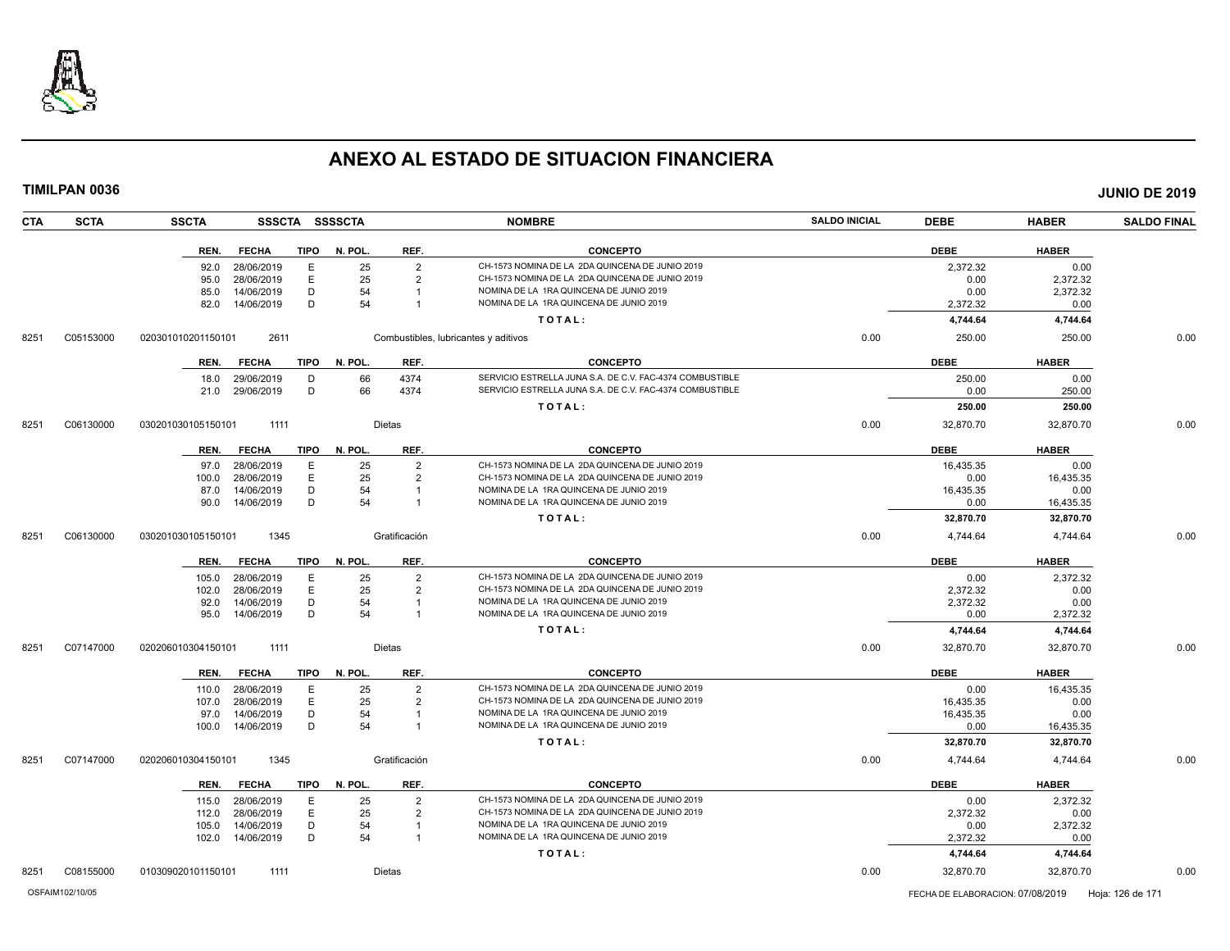

**TIMILPAN 0036 JUNIO DE 2019**

**CTA SCTA SSCTA SSSCTA SSSSCTA NOMBRE SALDO INICIAL DEBE HABER SALDO FINAL REN. FECHA TIPO N. POL. REF. CONCEPTO DEBE HABER** 92.0 28/06/2019 E 25 2 CH-1573 NOMINA DE LA 2DA QUINCENA DE JUNIO 2019 2,372.32 0.00 CH-1573 NOMINA DE LA 2DA QUINCENA DE JUNIO 2019 85.0 14/06/2019 D 54 1 NOMINA DE LA 1RA QUINCENA DE JUNIO 2019 0.00 2,372.32 82.0 14/06/2019 D 54 1 NOMINA DE LA 1RA QUINCENA DE JUNIO 2019 2,372.32 0.00 **T O T A L : 4,744.64 4,744.64** 8251 C05153000 020301010201150101 2611 Combustibles, lubricantes y aditivos 0.00 250.00 250.00 0.00 **REN. FECHA TIPO N. POL. REF. CONCEPTO DEBE HABER** 18.0 29/06/2019 D 66 4374 SERVICIO ESTRELLA JUNA S.A. DE C.V. FAC-4374 COMBUSTIBLE 250.00 29/06/2019 250.00 0.00 21.0 29/06/2019 D 66 4374 SERVICIO ESTRELLA JUNA S.A. DE C.V. FAC-4374 COMBUSTIBLE 0.00 290.00 250.00 **T O T A L : 250.00 250.00** 8251 C06130000 030201030105150101 1111 Dietas 0.00 32,870.70 0.00 **REN. FECHA TIPO N. POL. REF. CONCEPTO DEBE HABER** 97.0 28/06/2019 E 25 2 CH-1573 NOMINA DE LA 2DA QUINCENA DE JUNIO 2019 16,435.35 16,435.35 0.00 100.0 28/06/2019 E 25 2 CH-1573 NOMINA DE LA 2DA QUINCENA DE JUNIO 2019 0.00 16,435.35 87.0 14/06/2019 D 54 1 NOMINA DE LA 1RA QUINCENA DE JUNIO 2019 16,435.35 1 0.00 90.0 14/06/2019 D 54 1 NOMINA DE LA 1RA QUINCENA DE JUNIO 2019 0.00 16,435.35 **T O T A L : 32,870.70 32,870.70** 8251 C06130000 030201030105150101 1345 Gratificación 0.00 4,744.64 4,744.64 0.00 **REN. FECHA TIPO N. POL. REF. CONCEPTO DEBE HABER** 105.0 28/06/2019 E 25 2 CH-1573 NOMINA DE LA 2DA QUINCENA DE JUNIO 2019 0.00 2,372.32 102.0 28/06/2019 E 25 2 CH-1573 NOMINA DE LA 2DA QUINCENA DE JUNIO 2019<br>12.0 14/06/2019 D 54 1 NOMINA DE LA 1RA QUINCENA DE JUNIO 2019 2019 2019 2,372.32 2.372.32 92.0 14/06/2019 D 54 1 NOMINA DE LA 1RA QUINCENA DE JUNIO 2019 95.0 14/06/2019 D 54 1 NOMINA DE LA 1RA QUINCENA DE JUNIO 2019 0.00 2,372.32 **T O T A L : 4,744.64 4,744.64** 8251 C07147000 020206010304150101 1111 Dietas 0.00 32,870.70 32,870.70 0.00 **REN. FECHA TIPO N. POL. REF. CONCEPTO DEBE HABER** 110.0 28/06/2019 E 25 2 CH-1573 NOMINA DE LA 2DA QUINCENA DE JUNIO 2019 0.00 16,435.35 107.0 28/06/2019 E 25 2 CH-1573 NOMINA DE LA 2DA QUINCENA DE JUNIO 2019 16,435.35 0.00 97.0 14/06/2019 D 54 1 NOMINA DE LA 1RA QUINCENA DE JUNIO 2019 16,435.35 0.00 100.0 14/06/2019 D 54 1 NOMINA DE LA 1RA QUINCENA DE JUNIO 2019 0.00 16,435.35 **T O T A L : 32,870.70 32,870.70** 8251 C07147000 020206010304150101 1345 Gratificación 0.00 4,744.64 4,744.64 0.00 **REN. FECHA TIPO N. POL. REF. CONCEPTO DEBE HABER** 115.0 28/06/2019 E 25 2 CH-1573 NOMINA DE LA 2DA QUINCENA DE JUNIO 2019 0.00 2,372.32 112.0 28/06/2019 E 25 2 CH-1573 NOMINA DE LA 2DA QUINCENA DE JUNIO 2019 2,372.32 0.00 105.0 14/06/2019 D 54 1 NOMINA DE LA 1RA QUINCENA DE JUNIO 2019 0.00 2,372.32

102.0 14/06/2019 D 54 1 NOMINA DE LA 1RA QUINCENA DE JUNIO 2019 2,372.32 0.00

**T O T A L : 4,744.64 4,744.64**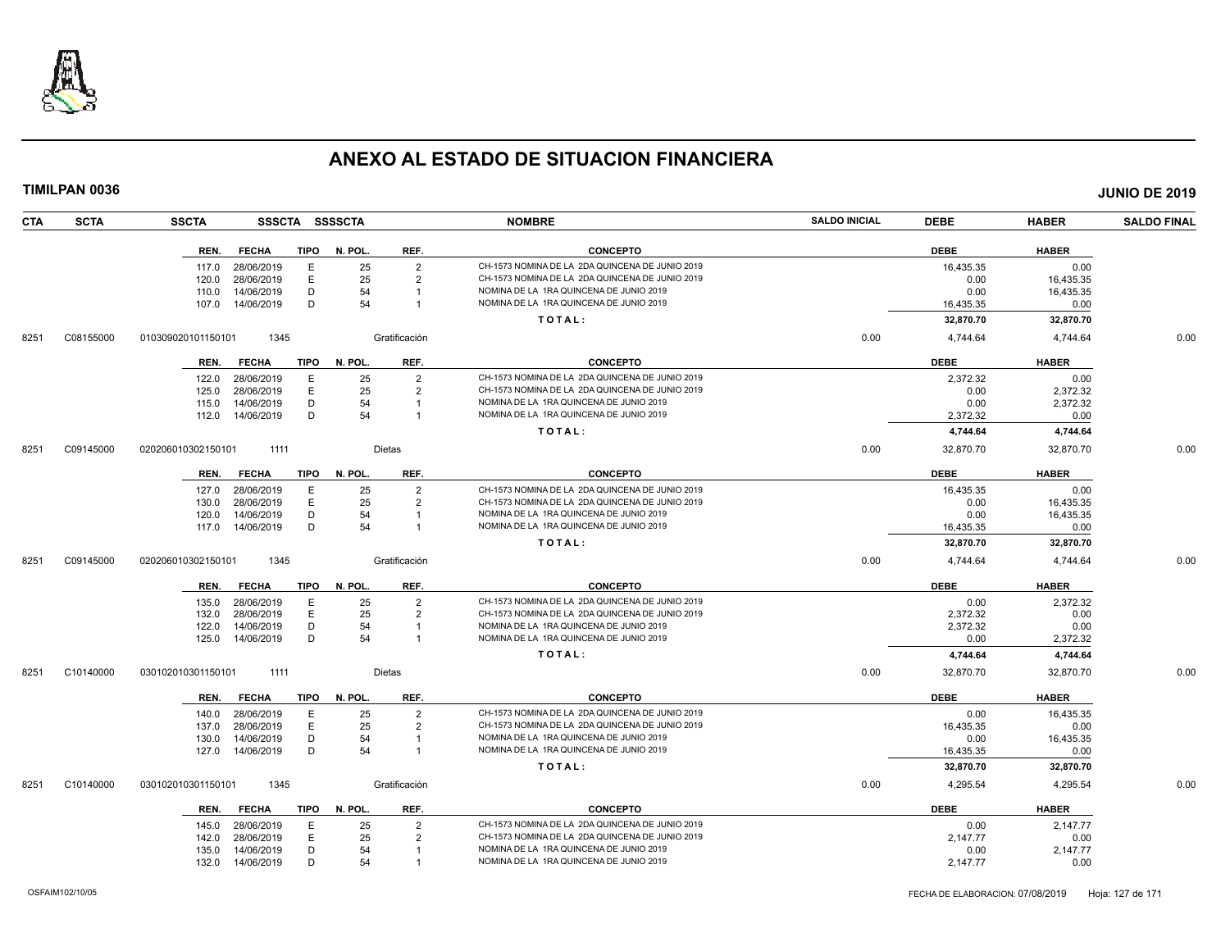

| CTA  | <b>SCTA</b> | <b>SSCTA</b><br><b>SSSCTA</b>       | <b>SSSSCTA</b>       | <b>NOMBRE</b>                                                                      | <b>SALDO INICIAL</b> | <b>DEBE</b> | <b>HABER</b> | <b>SALDO FINAL</b> |
|------|-------------|-------------------------------------|----------------------|------------------------------------------------------------------------------------|----------------------|-------------|--------------|--------------------|
|      |             | <b>FECHA</b><br><b>TIPO</b><br>REN. | N. POL.<br>REF.      | <b>CONCEPTO</b>                                                                    |                      | <b>DEBE</b> | <b>HABER</b> |                    |
|      |             | Ε<br>28/06/2019<br>117.0            | 25<br>$\overline{2}$ | CH-1573 NOMINA DE LA 2DA QUINCENA DE JUNIO 2019                                    |                      | 16,435.35   | 0.00         |                    |
|      |             | E<br>28/06/2019<br>120.0            | 25<br>$\overline{2}$ | CH-1573 NOMINA DE LA 2DA QUINCENA DE JUNIO 2019                                    |                      | 0.00        | 16,435.35    |                    |
|      |             | D<br>14/06/2019<br>110.0            | 54                   | NOMINA DE LA 1RA QUINCENA DE JUNIO 2019                                            |                      | 0.00        | 16,435.35    |                    |
|      |             | D<br>14/06/2019<br>107.0            | 54                   | NOMINA DE LA 1RA QUINCENA DE JUNIO 2019                                            |                      | 16,435.35   | 0.00         |                    |
|      |             |                                     |                      | TOTAL:                                                                             |                      | 32,870.70   | 32,870.70    |                    |
| 8251 | C08155000   | 1345<br>010309020101150101          | Gratificación        |                                                                                    | 0.00                 | 4,744.64    | 4,744.64     | 0.00               |
|      |             | <b>FECHA</b><br><b>TIPO</b><br>REN. | N. POL.<br>REF.      | <b>CONCEPTO</b>                                                                    |                      | <b>DEBE</b> | <b>HABER</b> |                    |
|      |             | 28/06/2019<br>Е<br>122.0            | 25<br>$\overline{2}$ | CH-1573 NOMINA DE LA 2DA QUINCENA DE JUNIO 2019                                    |                      | 2,372.32    | 0.00         |                    |
|      |             | E<br>28/06/2019<br>125.0            | 25<br>$\overline{2}$ | CH-1573 NOMINA DE LA 2DA QUINCENA DE JUNIO 2019                                    |                      | 0.00        | 2,372.32     |                    |
|      |             | 115.0<br>14/06/2019<br>D            | 54                   | NOMINA DE LA 1RA QUINCENA DE JUNIO 2019                                            |                      | 0.00        | 2,372.32     |                    |
|      |             | D<br>14/06/2019<br>112.0            | 54                   | NOMINA DE LA 1RA QUINCENA DE JUNIO 2019                                            |                      | 2,372.32    | 0.00         |                    |
|      |             |                                     |                      | TOTAL:                                                                             |                      | 4,744.64    | 4,744.64     |                    |
| 8251 | C09145000   | 020206010302150101<br>1111          | Dietas               |                                                                                    | 0.00                 | 32,870.70   | 32,870.70    | 0.00               |
|      |             | <b>FECHA</b><br><b>TIPO</b><br>REN. | N. POL.<br>REF.      | <b>CONCEPTO</b>                                                                    |                      | <b>DEBE</b> | <b>HABER</b> |                    |
|      |             | 28/06/2019<br>E<br>127.0            | 25<br>$\overline{2}$ | CH-1573 NOMINA DE LA 2DA QUINCENA DE JUNIO 2019                                    |                      | 16,435.35   | 0.00         |                    |
|      |             | 28/06/2019<br>E<br>130.0            | 25<br>$\overline{2}$ | CH-1573 NOMINA DE LA 2DA QUINCENA DE JUNIO 2019                                    |                      | 0.00        | 16,435.35    |                    |
|      |             | D<br>14/06/2019<br>120.0            | 54                   | NOMINA DE LA 1RA QUINCENA DE JUNIO 2019                                            |                      | 0.00        | 16,435.35    |                    |
|      |             | 14/06/2019<br>D<br>117.0            | 54<br>$\overline{1}$ | NOMINA DE LA 1RA QUINCENA DE JUNIO 2019                                            |                      | 16,435.35   | 0.00         |                    |
|      |             |                                     |                      | TOTAL:                                                                             |                      | 32,870.70   | 32,870.70    |                    |
| 8251 | C09145000   | 020206010302150101<br>1345          | Gratificación        |                                                                                    | 0.00                 | 4,744.64    | 4,744.64     | 0.00               |
|      |             | <b>FECHA</b><br>TIPO<br>REN.        | REF.<br>N. POL       | <b>CONCEPTO</b>                                                                    |                      | <b>DEBE</b> | <b>HABER</b> |                    |
|      |             | 28/06/2019<br>E<br>135.0            | 25<br>$\overline{2}$ | CH-1573 NOMINA DE LA 2DA QUINCENA DE JUNIO 2019                                    |                      | 0.00        | 2,372.32     |                    |
|      |             | E<br>28/06/2019<br>132.0            | 25<br>$\overline{2}$ | CH-1573 NOMINA DE LA 2DA QUINCENA DE JUNIO 2019                                    |                      | 2,372.32    | 0.00         |                    |
|      |             | 14/06/2019<br>D<br>122.0            | 54                   | NOMINA DE LA 1RA QUINCENA DE JUNIO 2019<br>NOMINA DE LA 1RA QUINCENA DE JUNIO 2019 |                      | 2,372.32    | 0.00         |                    |
|      |             | D<br>125.0<br>14/06/2019            | 54                   |                                                                                    |                      | 0.00        | 2,372.32     |                    |
|      |             |                                     |                      | TOTAL:                                                                             |                      | 4,744.64    | 4,744.64     |                    |
| 8251 | C10140000   | 1111<br>030102010301150101          | Dietas               |                                                                                    | 0.00                 | 32,870.70   | 32,870.70    | 0.00               |
|      |             | <b>FECHA</b><br><b>TIPO</b><br>REN. | N. POL<br>REF.       | <b>CONCEPTO</b>                                                                    |                      | <b>DEBE</b> | <b>HABER</b> |                    |
|      |             | 28/06/2019<br>E<br>140.0            | 25<br>$\overline{2}$ | CH-1573 NOMINA DE LA 2DA QUINCENA DE JUNIO 2019                                    |                      | 0.00        | 16.435.35    |                    |
|      |             | Ε<br>28/06/2019<br>137.0            | 25<br>2              | CH-1573 NOMINA DE LA 2DA QUINCENA DE JUNIO 2019                                    |                      | 16,435.35   | 0.00         |                    |
|      |             | 14/06/2019<br>D<br>130.0            | 54                   | NOMINA DE LA 1RA QUINCENA DE JUNIO 2019                                            |                      | 0.00        | 16,435.35    |                    |
|      |             | 14/06/2019<br>D<br>127.0            | 54<br>$\overline{1}$ | NOMINA DE LA 1RA QUINCENA DE JUNIO 2019                                            |                      | 16,435.35   | 0.00         |                    |
|      |             |                                     |                      | TOTAL:                                                                             |                      | 32,870.70   | 32,870.70    |                    |
| 8251 | C10140000   | 1345<br>030102010301150101          | Gratificación        |                                                                                    | 0.00                 | 4,295.54    | 4,295.54     | 0.00               |
|      |             | <b>TIPO</b><br>REN.<br><b>FECHA</b> | N. POL.<br>REF.      | <b>CONCEPTO</b>                                                                    |                      | <b>DEBE</b> | <b>HABER</b> |                    |
|      |             | E<br>28/06/2019<br>145.0            | 25<br>$\overline{2}$ | CH-1573 NOMINA DE LA 2DA QUINCENA DE JUNIO 2019                                    |                      | 0.00        | 2,147.77     |                    |
|      |             | E<br>28/06/2019<br>142.0            | 25<br>$\overline{2}$ | CH-1573 NOMINA DE LA 2DA QUINCENA DE JUNIO 2019                                    |                      | 2,147.77    | 0.00         |                    |
|      |             | D<br>14/06/2019<br>135.0            | 54                   | NOMINA DE LA 1RA QUINCENA DE JUNIO 2019                                            |                      | 0.00        | 2,147.77     |                    |
|      |             | 14/06/2019<br>D<br>132.0            | 54                   | NOMINA DE LA 1RA QUINCENA DE JUNIO 2019                                            |                      | 2,147.77    | 0.00         |                    |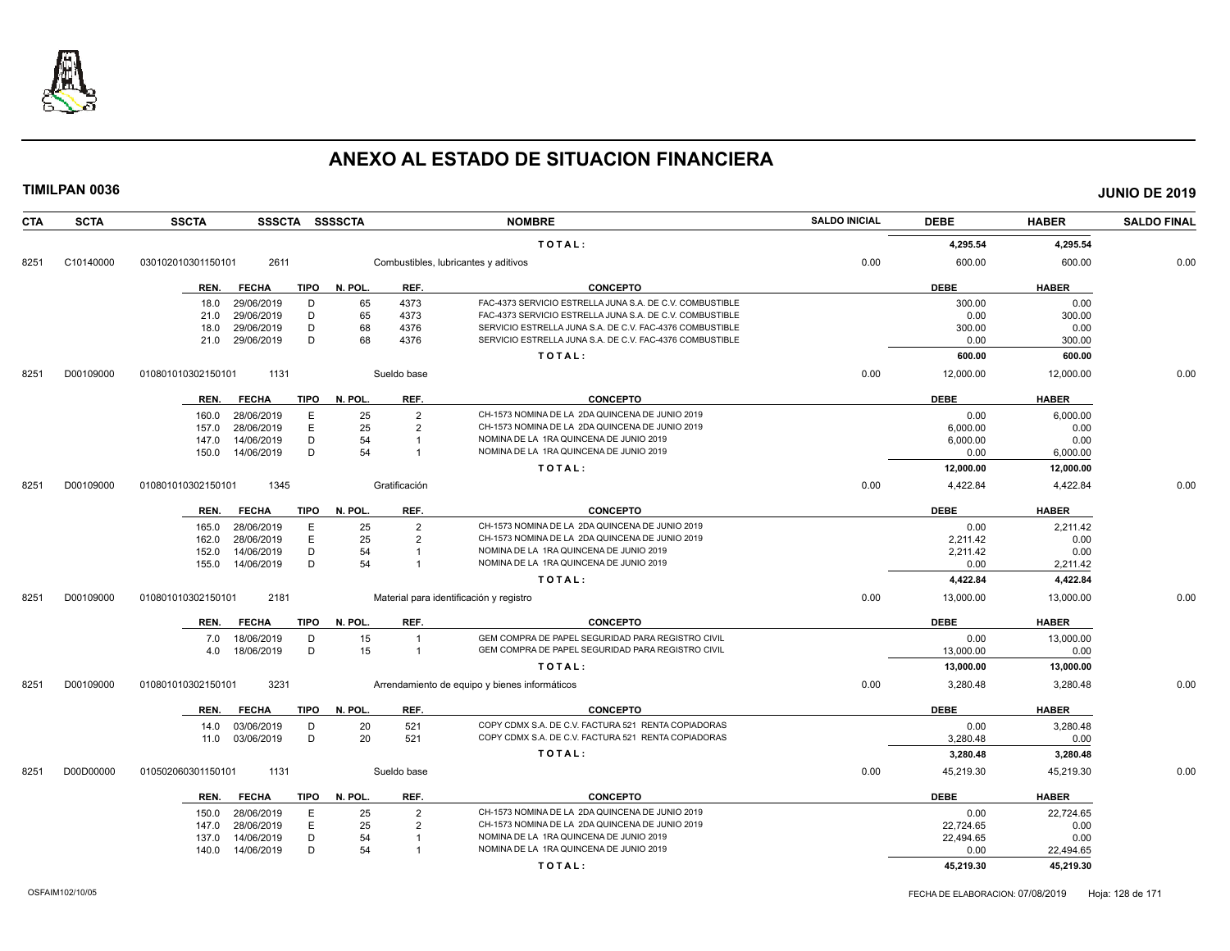

| CTA  | <b>SCTA</b> | <b>SSCTA</b>       | SSSCTA SSSSCTA              |         |                | <b>NOMBRE</b>                                            | <b>SALDO INICIAL</b> | <b>DEBE</b> | <b>HABER</b> | <b>SALDO FINAL</b> |
|------|-------------|--------------------|-----------------------------|---------|----------------|----------------------------------------------------------|----------------------|-------------|--------------|--------------------|
|      |             |                    |                             |         |                | TOTAL:                                                   |                      | 4,295.54    | 4,295.54     |                    |
| 8251 | C10140000   | 030102010301150101 | 2611                        |         |                | Combustibles, lubricantes y aditivos                     | 0.00                 | 600.00      | 600.00       | 0.00               |
|      |             | REN.               | <b>FECHA</b><br>TIPO        | N. POL. | REF.           | <b>CONCEPTO</b>                                          |                      | <b>DEBE</b> | <b>HABER</b> |                    |
|      |             | 18.0               | 29/06/2019<br>D             | 65      | 4373           | FAC-4373 SERVICIO ESTRELLA JUNA S.A. DE C.V. COMBUSTIBLE |                      | 300.00      | 0.00         |                    |
|      |             | 21.0               | 29/06/2019<br>D             | 65      | 4373           | FAC-4373 SERVICIO ESTRELLA JUNA S.A. DE C.V. COMBUSTIBLE |                      | 0.00        | 300.00       |                    |
|      |             | 18.0               | D<br>29/06/2019             | 68      | 4376           | SERVICIO ESTRELLA JUNA S.A. DE C.V. FAC-4376 COMBUSTIBLE |                      | 300.00      | 0.00         |                    |
|      |             | 21.0               | D<br>29/06/2019             | 68      | 4376           | SERVICIO ESTRELLA JUNA S.A. DE C.V. FAC-4376 COMBUSTIBLE |                      | 0.00        | 300.00       |                    |
|      |             |                    |                             |         |                | TOTAL:                                                   |                      | 600.00      | 600.00       |                    |
| 8251 | D00109000   | 010801010302150101 | 1131                        |         | Sueldo base    |                                                          | 0.00                 | 12,000.00   | 12,000.00    | 0.00               |
|      |             | REN.               | <b>TIPO</b><br><b>FECHA</b> | N. POL. | REF.           | <b>CONCEPTO</b>                                          |                      | <b>DEBE</b> | <b>HABER</b> |                    |
|      |             | 160.0              | $\mathsf E$<br>28/06/2019   | 25      | $\overline{2}$ | CH-1573 NOMINA DE LA 2DA QUINCENA DE JUNIO 2019          |                      | 0.00        | 6,000.00     |                    |
|      |             | 157.0              | $\mathsf E$<br>28/06/2019   | 25      | $\overline{2}$ | CH-1573 NOMINA DE LA 2DA QUINCENA DE JUNIO 2019          |                      | 6,000.00    | 0.00         |                    |
|      |             | 147.0              | D<br>14/06/2019             | 54      |                | NOMINA DE LA 1RA QUINCENA DE JUNIO 2019                  |                      | 6,000.00    | 0.00         |                    |
|      |             | 150.0              | D<br>14/06/2019             | 54      | $\mathbf{1}$   | NOMINA DE LA 1RA QUINCENA DE JUNIO 2019                  |                      | 0.00        | 6,000.00     |                    |
|      |             |                    |                             |         |                | TOTAL:                                                   |                      | 12,000.00   | 12,000.00    |                    |
| 8251 | D00109000   | 010801010302150101 | 1345                        |         | Gratificación  |                                                          | 0.00                 | 4,422.84    | 4,422.84     | 0.00               |
|      |             | REN.               | <b>TIPO</b><br><b>FECHA</b> | N. POL. | REF.           | <b>CONCEPTO</b>                                          |                      | <b>DEBE</b> | <b>HABER</b> |                    |
|      |             | 165.0              | E<br>28/06/2019             | 25      | $\overline{2}$ | CH-1573 NOMINA DE LA 2DA QUINCENA DE JUNIO 2019          |                      | 0.00        | 2,211.42     |                    |
|      |             | 162.0              | E<br>28/06/2019             | 25      | $\overline{2}$ | CH-1573 NOMINA DE LA 2DA QUINCENA DE JUNIO 2019          |                      | 2.211.42    | 0.00         |                    |
|      |             | 152.0              | D<br>14/06/2019             | 54      |                | NOMINA DE LA 1RA QUINCENA DE JUNIO 2019                  |                      | 2,211.42    | 0.00         |                    |
|      |             | 155.0              | 14/06/2019<br>D             | 54      |                | NOMINA DE LA 1RA QUINCENA DE JUNIO 2019                  |                      | 0.00        | 2,211.42     |                    |
|      |             |                    |                             |         |                | TOTAL:                                                   |                      | 4,422.84    | 4,422.84     |                    |
| 8251 | D00109000   | 010801010302150101 | 2181                        |         |                | Material para identificación y registro                  | 0.00                 | 13,000.00   | 13,000.00    | 0.00               |
|      |             | REN.               | <b>FECHA</b><br>TIPO        | N. POL. | REF.           | <b>CONCEPTO</b>                                          |                      | <b>DEBE</b> | <b>HABER</b> |                    |
|      |             | 7.0                | 18/06/2019<br>D             | 15      | $\overline{1}$ | GEM COMPRA DE PAPEL SEGURIDAD PARA REGISTRO CIVIL        |                      | 0.00        | 13,000.00    |                    |
|      |             | 4.0                | D<br>18/06/2019             | 15      | $\overline{1}$ | GEM COMPRA DE PAPEL SEGURIDAD PARA REGISTRO CIVIL        |                      | 13,000.00   | 0.00         |                    |
|      |             |                    |                             |         |                | TOTAL:                                                   |                      | 13,000.00   | 13,000.00    |                    |
| 8251 | D00109000   | 010801010302150101 | 3231                        |         |                | Arrendamiento de equipo y bienes informáticos            | 0.00                 | 3,280.48    | 3,280.48     | 0.00               |
|      |             | REN.               | <b>FECHA</b><br><b>TIPO</b> | N. POL. | REF.           | <b>CONCEPTO</b>                                          |                      | <b>DEBE</b> | <b>HABER</b> |                    |
|      |             | 14.0               | 03/06/2019<br>D             | 20      | 521            | COPY CDMX S.A. DE C.V. FACTURA 521 RENTA COPIADORAS      |                      | 0.00        | 3.280.48     |                    |
|      |             | 11.0               | D<br>03/06/2019             | 20      | 521            | COPY CDMX S.A. DE C.V. FACTURA 521 RENTA COPIADORAS      |                      | 3,280.48    | 0.00         |                    |
|      |             |                    |                             |         |                | TOTAL:                                                   |                      | 3,280.48    | 3,280.48     |                    |
| 8251 | D00D00000   | 010502060301150101 | 1131                        |         | Sueldo base    |                                                          | 0.00                 | 45,219.30   | 45,219.30    | 0.00               |
|      |             | REN.               | <b>FECHA</b><br><b>TIPO</b> | N. POL. | REF.           | <b>CONCEPTO</b>                                          |                      | <b>DEBE</b> | <b>HABER</b> |                    |
|      |             | 150.0              | E<br>28/06/2019             | 25      | $\overline{2}$ | CH-1573 NOMINA DE LA 2DA QUINCENA DE JUNIO 2019          |                      | 0.00        | 22,724.65    |                    |
|      |             | 147.0              | E<br>28/06/2019             | 25      | $\overline{2}$ | CH-1573 NOMINA DE LA 2DA QUINCENA DE JUNIO 2019          |                      | 22,724.65   | 0.00         |                    |
|      |             | 137.0              | D<br>14/06/2019             | 54      |                | NOMINA DE LA 1RA QUINCENA DE JUNIO 2019                  |                      | 22,494.65   | 0.00         |                    |
|      |             | 140.0              | D<br>14/06/2019             | 54      | $\mathbf{1}$   | NOMINA DE LA 1RA QUINCENA DE JUNIO 2019                  |                      | 0.00        | 22,494.65    |                    |
|      |             |                    |                             |         |                | TOTAL:                                                   |                      | 45,219.30   | 45,219.30    |                    |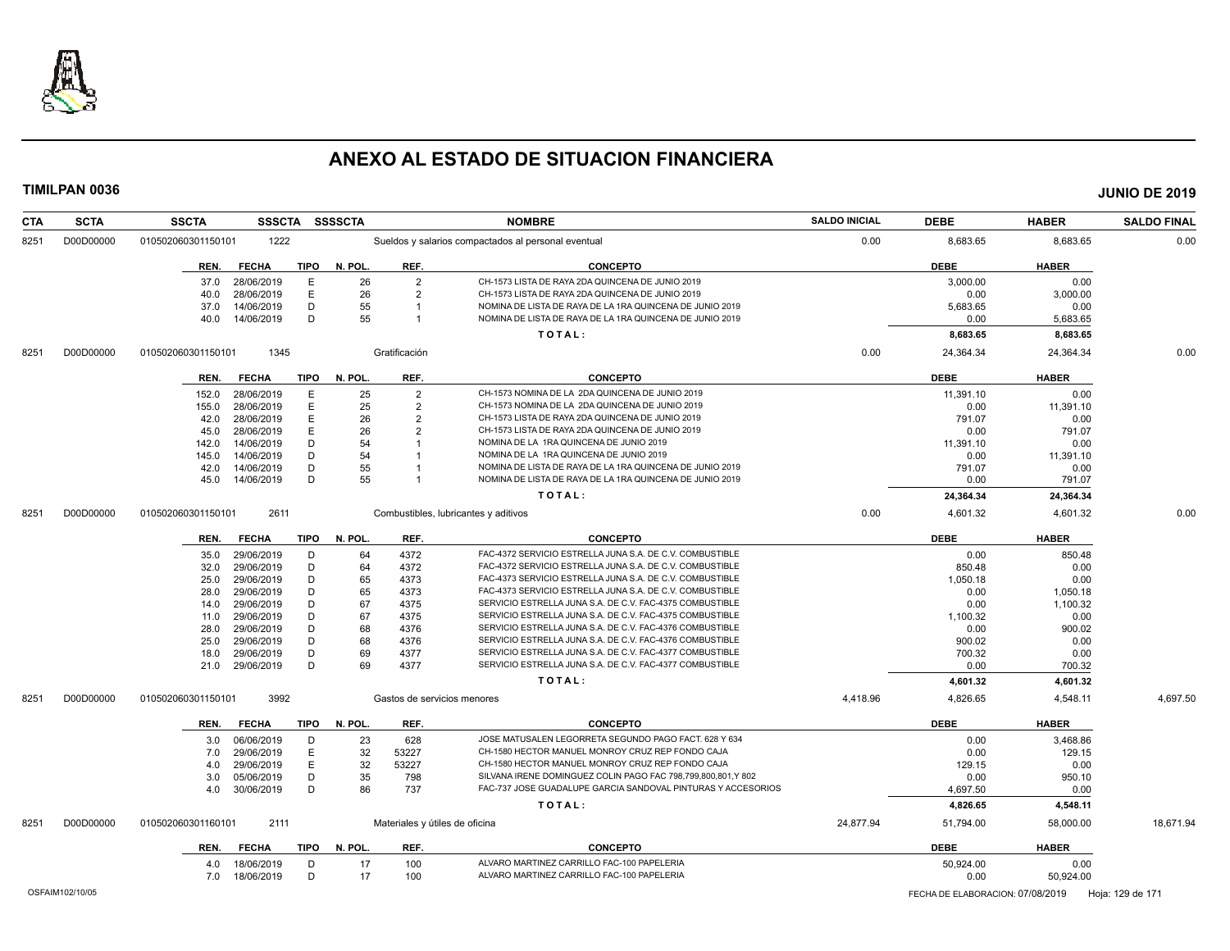

| <b>CTA</b> | <b>SCTA</b> | <b>SSCTA</b><br><b>SSSCTA</b>       | <b>SSSSCTA</b> |                | <b>NOMBRE</b>                                                | <b>SALDO INICIAL</b> | <b>DEBE</b> | <b>HABER</b> | <b>SALDO FINAL</b> |
|------------|-------------|-------------------------------------|----------------|----------------|--------------------------------------------------------------|----------------------|-------------|--------------|--------------------|
| 8251       | D00D00000   | 1222<br>010502060301150101          |                |                | Sueldos y salarios compactados al personal eventual          | 0.00                 | 8,683.65    | 8.683.65     | 0.00               |
|            |             | <b>FECHA</b><br><b>TIPO</b><br>REN. | N. POL.        | REF.           | <b>CONCEPTO</b>                                              |                      | <b>DEBE</b> | <b>HABER</b> |                    |
|            |             | 37.0<br>28/06/2019                  | E<br>26        | $\overline{2}$ | CH-1573 LISTA DE RAYA 2DA QUINCENA DE JUNIO 2019             |                      | 3,000.00    | 0.00         |                    |
|            |             | 28/06/2019<br>40.0                  | E<br>26        | $\overline{2}$ | CH-1573 LISTA DE RAYA 2DA QUINCENA DE JUNIO 2019             |                      | 0.00        | 3,000.00     |                    |
|            |             | 14/06/2019<br>37.0                  | D<br>55        | -1             | NOMINA DE LISTA DE RAYA DE LA 1RA QUINCENA DE JUNIO 2019     |                      | 5,683.65    | 0.00         |                    |
|            |             | 14/06/2019<br>40.0                  | 55<br>D        | $\overline{1}$ | NOMINA DE LISTA DE RAYA DE LA 1RA QUINCENA DE JUNIO 2019     |                      | 0.00        | 5,683.65     |                    |
|            |             |                                     |                |                | TOTAL:                                                       |                      | 8,683.65    | 8,683.65     |                    |
| 8251       | D00D00000   | 1345<br>010502060301150101          |                | Gratificación  |                                                              | 0.00                 | 24,364.34   | 24,364.34    | 0.00               |
|            |             | <b>FECHA</b><br><b>TIPO</b><br>REN. | N. POL.        | REF.           | <b>CONCEPTO</b>                                              |                      | <b>DEBE</b> | <b>HABER</b> |                    |
|            |             | 28/06/2019<br>152.0                 | Ε<br>25        | $\overline{2}$ | CH-1573 NOMINA DE LA 2DA QUINCENA DE JUNIO 2019              |                      | 11,391.10   | 0.00         |                    |
|            |             | 28/06/2019<br>155.0                 | E<br>25        | $\overline{2}$ | CH-1573 NOMINA DE LA 2DA QUINCENA DE JUNIO 2019              |                      | 0.00        | 11,391.10    |                    |
|            |             | 28/06/2019<br>42.0                  | Ε<br>26        | $\overline{2}$ | CH-1573 LISTA DE RAYA 2DA QUINCENA DE JUNIO 2019             |                      | 791.07      | 0.00         |                    |
|            |             | 28/06/2019<br>45.0                  | E<br>26        | $\overline{2}$ | CH-1573 LISTA DE RAYA 2DA QUINCENA DE JUNIO 2019             |                      | 0.00        | 791.07       |                    |
|            |             | 14/06/2019<br>142.0                 | D<br>54        |                | NOMINA DE LA 1RA QUINCENA DE JUNIO 2019                      |                      | 11,391.10   | 0.00         |                    |
|            |             | 14/06/2019<br>145.0                 | D<br>54        |                | NOMINA DE LA 1RA QUINCENA DE JUNIO 2019                      |                      | 0.00        | 11,391.10    |                    |
|            |             | 14/06/2019<br>42.0                  | D<br>55        |                | NOMINA DE LISTA DE RAYA DE LA 1RA QUINCENA DE JUNIO 2019     |                      | 791.07      | 0.00         |                    |
|            |             | 45.0<br>14/06/2019                  | 55<br>D        |                | NOMINA DE LISTA DE RAYA DE LA 1RA QUINCENA DE JUNIO 2019     |                      | 0.00        | 791.07       |                    |
|            |             |                                     |                |                | TOTAL:                                                       |                      | 24,364.34   | 24,364.34    |                    |
| 8251       | D00D00000   | 2611<br>010502060301150101          |                |                | Combustibles, lubricantes y aditivos                         | 0.00                 | 4,601.32    | 4,601.32     | 0.00               |
|            |             | <b>FECHA</b><br>TIPO<br>REN.        | N. POL.        | REF.           | <b>CONCEPTO</b>                                              |                      | <b>DEBE</b> | <b>HABER</b> |                    |
|            |             | 29/06/2019<br>35.0                  | D<br>64        | 4372           | FAC-4372 SERVICIO ESTRELLA JUNA S.A. DE C.V. COMBUSTIBLE     |                      | 0.00        | 850.48       |                    |
|            |             | 29/06/2019<br>32.0                  | D<br>64        | 4372           | FAC-4372 SERVICIO ESTRELLA JUNA S.A. DE C.V. COMBUSTIBLE     |                      | 850.48      | 0.00         |                    |
|            |             | 29/06/2019<br>25.0                  | D<br>65        | 4373           | FAC-4373 SERVICIO ESTRELLA JUNA S.A. DE C.V. COMBUSTIBLE     |                      | 1,050.18    | 0.00         |                    |
|            |             | 29/06/2019<br>28.0                  | D<br>65        | 4373           | FAC-4373 SERVICIO ESTRELLA JUNA S.A. DE C.V. COMBUSTIBLE     |                      | 0.00        | 1,050.18     |                    |
|            |             | 29/06/2019<br>14.0                  | D<br>67        | 4375           | SERVICIO ESTRELLA JUNA S.A. DE C.V. FAC-4375 COMBUSTIBLE     |                      | 0.00        | 1,100.32     |                    |
|            |             | 29/06/2019<br>11.0                  | D<br>67        | 4375           | SERVICIO ESTRELLA JUNA S.A. DE C.V. FAC-4375 COMBUSTIBLE     |                      | 1,100.32    | 0.00         |                    |
|            |             | 29/06/2019<br>28.0                  | D<br>68        | 4376           | SERVICIO ESTRELLA JUNA S.A. DE C.V. FAC-4376 COMBUSTIBLE     |                      | 0.00        | 900.02       |                    |
|            |             | 29/06/2019<br>25.0                  | D<br>68        | 4376           | SERVICIO ESTRELLA JUNA S.A. DE C.V. FAC-4376 COMBUSTIBLE     |                      | 900.02      | 0.00         |                    |
|            |             | 29/06/2019<br>18.0                  | D<br>69        | 4377           | SERVICIO ESTRELLA JUNA S.A. DE C.V. FAC-4377 COMBUSTIBLE     |                      | 700.32      | 0.00         |                    |
|            |             | 29/06/2019<br>21.0                  | D<br>69        | 4377           | SERVICIO ESTRELLA JUNA S.A. DE C.V. FAC-4377 COMBUSTIBLE     |                      | 0.00        | 700.32       |                    |
|            |             |                                     |                |                | TOTAL:                                                       |                      | 4,601.32    | 4,601.32     |                    |
| 8251       | D00D00000   | 3992<br>010502060301150101          |                |                | Gastos de servicios menores                                  | 4,418.96             | 4,826.65    | 4,548.11     | 4,697.50           |
|            |             | <b>FECHA</b><br>TIPO<br>REN.        | N. POL.        | REF.           | <b>CONCEPTO</b>                                              |                      | <b>DEBE</b> | <b>HABER</b> |                    |
|            |             | 06/06/2019<br>3.0                   | 23<br>D        | 628            | JOSE MATUSALEN LEGORRETA SEGUNDO PAGO FACT. 628 Y 634        |                      | 0.00        | 3,468.86     |                    |
|            |             | 29/06/2019<br>7.0                   | E<br>32        | 53227          | CH-1580 HECTOR MANUEL MONROY CRUZ REP FONDO CAJA             |                      | 0.00        | 129.15       |                    |
|            |             | 29/06/2019<br>4.0                   | E<br>32        | 53227          | CH-1580 HECTOR MANUEL MONROY CRUZ REP FONDO CAJA             |                      | 129.15      | 0.00         |                    |
|            |             | 3.0<br>05/06/2019                   | D<br>35        | 798            | SILVANA IRENE DOMINGUEZ COLIN PAGO FAC 798,799,800,801,Y 802 |                      | 0.00        | 950.10       |                    |
|            |             | 30/06/2019<br>4.0                   | D<br>86        | 737            | FAC-737 JOSE GUADALUPE GARCIA SANDOVAL PINTURAS Y ACCESORIOS |                      | 4,697.50    | 0.00         |                    |
|            |             |                                     |                |                | TOTAL:                                                       |                      | 4,826.65    | 4,548.11     |                    |
| 8251       | D00D00000   | 010502060301160101<br>2111          |                |                | Materiales y útiles de oficina                               | 24,877.94            | 51,794.00   | 58,000.00    | 18,671.94          |
|            |             | REN.<br><b>FECHA</b>                | TIPO N. POL.   | REF.           | <b>CONCEPTO</b>                                              |                      | <b>DEBE</b> | <b>HABER</b> |                    |
|            |             | 18/06/2019<br>4.0                   | 17<br>D        | 100            | ALVARO MARTINEZ CARRILLO FAC-100 PAPELERIA                   |                      | 50,924.00   | 0.00         |                    |
|            |             | 18/06/2019<br>7.0                   | D<br>17        | 100            | ALVARO MARTINEZ CARRILLO FAC-100 PAPELERIA                   |                      | 0.00        | 50,924.00    |                    |
|            |             |                                     |                |                |                                                              |                      |             |              |                    |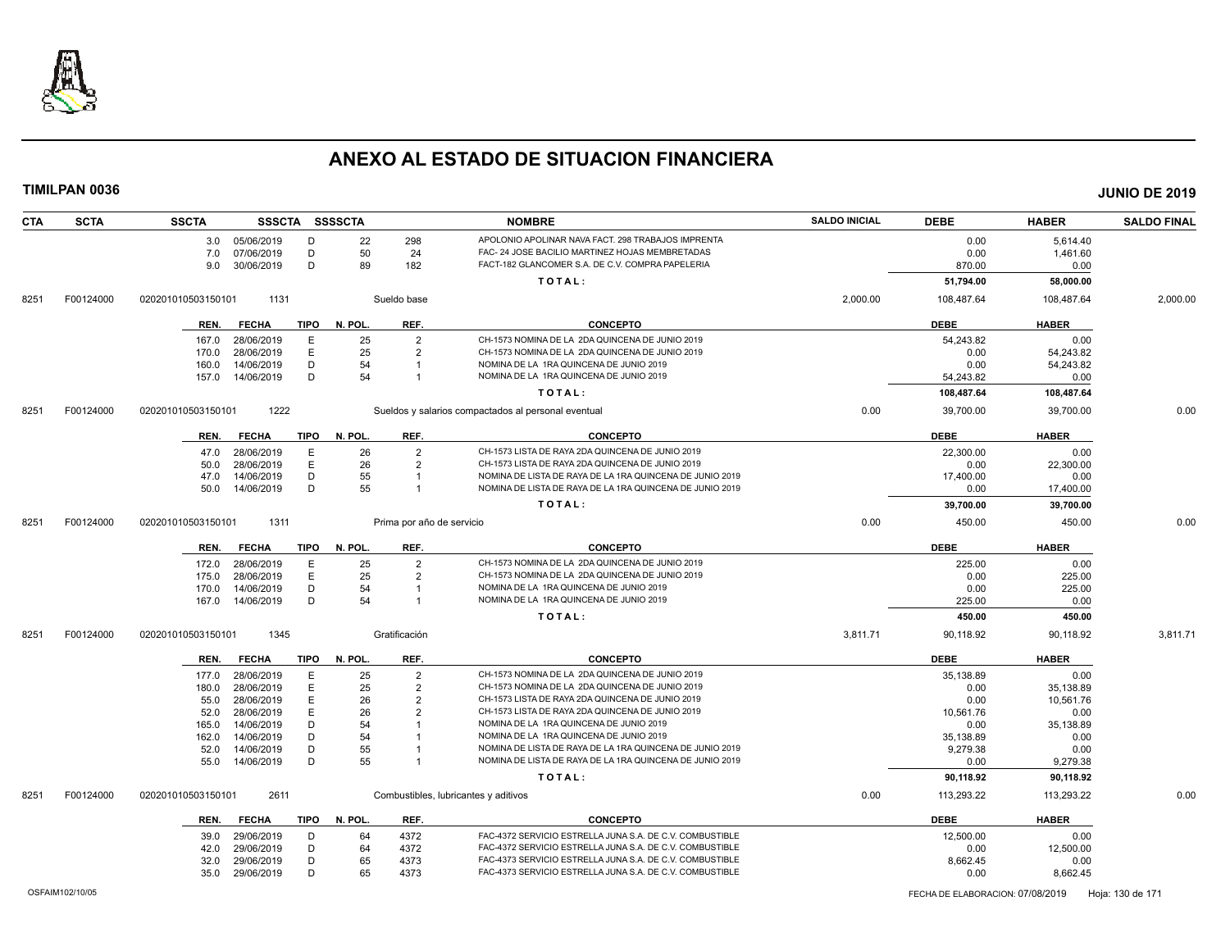

| <b>CTA</b> | <b>SCTA</b> | <b>SSCTA</b>       |                |             | SSSCTA SSSSCTA |                           | <b>NOMBRE</b>                                            | <b>SALDO INICIAL</b> | <b>DEBE</b> | <b>HABER</b> | <b>SALDO FINAL</b> |
|------------|-------------|--------------------|----------------|-------------|----------------|---------------------------|----------------------------------------------------------|----------------------|-------------|--------------|--------------------|
|            |             |                    | 3.0 05/06/2019 | D           | 22             | 298                       | APOLONIO APOLINAR NAVA FACT. 298 TRABAJOS IMPRENTA       |                      | 0.00        | 5,614.40     |                    |
|            |             | 7.0                | 07/06/2019     | D           | 50             | 24                        | FAC- 24 JOSE BACILIO MARTINEZ HOJAS MEMBRETADAS          |                      | 0.00        | 1,461.60     |                    |
|            |             | 9.0                | 30/06/2019     | D           | 89             | 182                       | FACT-182 GLANCOMER S.A. DE C.V. COMPRA PAPELERIA         |                      | 870.00      | 0.00         |                    |
|            |             |                    |                |             |                |                           | TOTAL:                                                   |                      | 51,794.00   | 58,000.00    |                    |
| 8251       | F00124000   | 020201010503150101 | 1131           |             |                | Sueldo base               |                                                          | 2,000.00             | 108,487.64  | 108,487.64   | 2,000.00           |
|            |             | REN.               | <b>FECHA</b>   | <b>TIPO</b> | N. POL.        | REF.                      | <b>CONCEPTO</b>                                          |                      | <b>DEBE</b> | <b>HABER</b> |                    |
|            |             | 167.0              | 28/06/2019     | E           | 25             | $\overline{2}$            | CH-1573 NOMINA DE LA 2DA QUINCENA DE JUNIO 2019          |                      | 54.243.82   | 0.00         |                    |
|            |             | 170.0              | 28/06/2019     | E           | 25             | $\overline{2}$            | CH-1573 NOMINA DE LA 2DA QUINCENA DE JUNIO 2019          |                      | 0.00        | 54,243.82    |                    |
|            |             | 160.0              | 14/06/2019     | D           | 54             | $\overline{\mathbf{1}}$   | NOMINA DE LA 1RA QUINCENA DE JUNIO 2019                  |                      | 0.00        | 54,243.82    |                    |
|            |             | 157.0              | 14/06/2019     | D           | 54             | $\overline{1}$            | NOMINA DE LA 1RA QUINCENA DE JUNIO 2019                  |                      | 54,243.82   | 0.00         |                    |
|            |             |                    |                |             |                |                           | TOTAL:                                                   |                      | 108,487.64  | 108,487.64   |                    |
| 8251       | F00124000   | 020201010503150101 | 1222           |             |                |                           | Sueldos y salarios compactados al personal eventual      | 0.00                 | 39,700.00   | 39,700.00    | 0.00               |
|            |             | REN.               | <b>FECHA</b>   | TIPO        | N. POL.        | REF.                      | <b>CONCEPTO</b>                                          |                      | <b>DEBE</b> | <b>HABER</b> |                    |
|            |             | 47.0               | 28/06/2019     | E           | 26             | $\overline{2}$            | CH-1573 LISTA DE RAYA 2DA QUINCENA DE JUNIO 2019         |                      | 22,300.00   | 0.00         |                    |
|            |             | 50.0               | 28/06/2019     | E           | 26             | $\overline{2}$            | CH-1573 LISTA DE RAYA 2DA QUINCENA DE JUNIO 2019         |                      | 0.00        | 22,300.00    |                    |
|            |             | 47.0               | 14/06/2019     | D           | 55             | $\overline{1}$            | NOMINA DE LISTA DE RAYA DE LA 1RA QUINCENA DE JUNIO 2019 |                      | 17,400.00   | 0.00         |                    |
|            |             | 50.0               | 14/06/2019     | D           | 55             | $\overline{1}$            | NOMINA DE LISTA DE RAYA DE LA 1RA QUINCENA DE JUNIO 2019 |                      | 0.00        | 17,400.00    |                    |
|            |             |                    |                |             |                |                           | TOTAL:                                                   |                      | 39,700.00   | 39,700.00    |                    |
| 8251       | F00124000   | 020201010503150101 | 1311           |             |                | Prima por año de servicio |                                                          | 0.00                 | 450.00      | 450.00       | 0.00               |
|            |             | REN.               | <b>FECHA</b>   | <b>TIPO</b> | N. POL.        | REF.                      | <b>CONCEPTO</b>                                          |                      | <b>DEBE</b> | <b>HABER</b> |                    |
|            |             | 172.0              | 28/06/2019     | Е           | 25             | $\overline{2}$            | CH-1573 NOMINA DE LA 2DA QUINCENA DE JUNIO 2019          |                      | 225.00      | 0.00         |                    |
|            |             | 175.0              | 28/06/2019     | Ε           | 25             | $\overline{2}$            | CH-1573 NOMINA DE LA 2DA QUINCENA DE JUNIO 2019          |                      | 0.00        | 225.00       |                    |
|            |             | 170.0              | 14/06/2019     | D           | 54             |                           | NOMINA DE LA 1RA QUINCENA DE JUNIO 2019                  |                      | 0.00        | 225.00       |                    |
|            |             | 167.0              | 14/06/2019     | D           | 54             | $\mathbf 1$               | NOMINA DE LA 1RA QUINCENA DE JUNIO 2019                  |                      | 225.00      | 0.00         |                    |
|            |             |                    |                |             |                |                           | TOTAL:                                                   |                      | 450.00      | 450.00       |                    |
| 8251       | F00124000   | 020201010503150101 | 1345           |             |                | Gratificación             |                                                          | 3,811.71             | 90,118.92   | 90,118.92    | 3,811.71           |
|            |             | REN.               | <b>FECHA</b>   | TIPO        | N. POL.        | REF.                      | <b>CONCEPTO</b>                                          |                      | <b>DEBE</b> | <b>HABER</b> |                    |
|            |             | 177.0              | 28/06/2019     | Е           | 25             | $\overline{2}$            | CH-1573 NOMINA DE LA 2DA QUINCENA DE JUNIO 2019          |                      | 35,138.89   | 0.00         |                    |
|            |             | 180.0              | 28/06/2019     | E           | 25             | $\overline{2}$            | CH-1573 NOMINA DE LA 2DA QUINCENA DE JUNIO 2019          |                      | 0.00        | 35,138.89    |                    |
|            |             | 55.0               | 28/06/2019     | E           | 26             | $\overline{2}$            | CH-1573 LISTA DE RAYA 2DA QUINCENA DE JUNIO 2019         |                      | 0.00        | 10,561.76    |                    |
|            |             | 52.0               | 28/06/2019     | E           | 26             | $\overline{2}$            | CH-1573 LISTA DE RAYA 2DA QUINCENA DE JUNIO 2019         |                      | 10.561.76   | 0.00         |                    |
|            |             | 165.0              | 14/06/2019     | D           | 54             |                           | NOMINA DE LA 1RA QUINCENA DE JUNIO 2019                  |                      | 0.00        | 35,138.89    |                    |
|            |             | 162.0              | 14/06/2019     | D           | 54             |                           | NOMINA DE LA 1RA QUINCENA DE JUNIO 2019                  |                      | 35,138.89   | 0.00         |                    |
|            |             | 52.0               | 14/06/2019     | D           | 55             |                           | NOMINA DE LISTA DE RAYA DE LA 1RA QUINCENA DE JUNIO 2019 |                      | 9,279.38    | 0.00         |                    |
|            |             | 55.0               | 14/06/2019     | D           | 55             |                           | NOMINA DE LISTA DE RAYA DE LA 1RA QUINCENA DE JUNIO 2019 |                      | 0.00        | 9,279.38     |                    |
|            |             |                    |                |             |                |                           | TOTAL:                                                   |                      | 90,118.92   | 90,118.92    |                    |
| 8251       | F00124000   | 020201010503150101 | 2611           |             |                |                           | Combustibles, lubricantes y aditivos                     | 0.00                 | 113,293.22  | 113,293.22   | 0.00               |
|            |             | REN.               | <b>FECHA</b>   | TIPO        | N. POL.        | REF.                      | <b>CONCEPTO</b>                                          |                      | <b>DEBE</b> | <b>HABER</b> |                    |
|            |             | 39.0               | 29/06/2019     | D           | 64             | 4372                      | FAC-4372 SERVICIO ESTRELLA JUNA S.A. DE C.V. COMBUSTIBLE |                      | 12.500.00   | 0.00         |                    |
|            |             | 42.0               | 29/06/2019     | D           | 64             | 4372                      | FAC-4372 SERVICIO ESTRELLA JUNA S.A. DE C.V. COMBUSTIBLE |                      | 0.00        | 12,500.00    |                    |
|            |             | 32.0               | 29/06/2019     | D           | 65             | 4373                      | FAC-4373 SERVICIO ESTRELLA JUNA S.A. DE C.V. COMBUSTIBLE |                      | 8,662.45    | 0.00         |                    |
|            |             | 35.0               | 29/06/2019     | D           | 65             | 4373                      | FAC-4373 SERVICIO ESTRELLA JUNA S.A. DE C.V. COMBUSTIBLE |                      | 0.00        | 8,662.45     |                    |
|            |             |                    |                |             |                |                           |                                                          |                      |             |              |                    |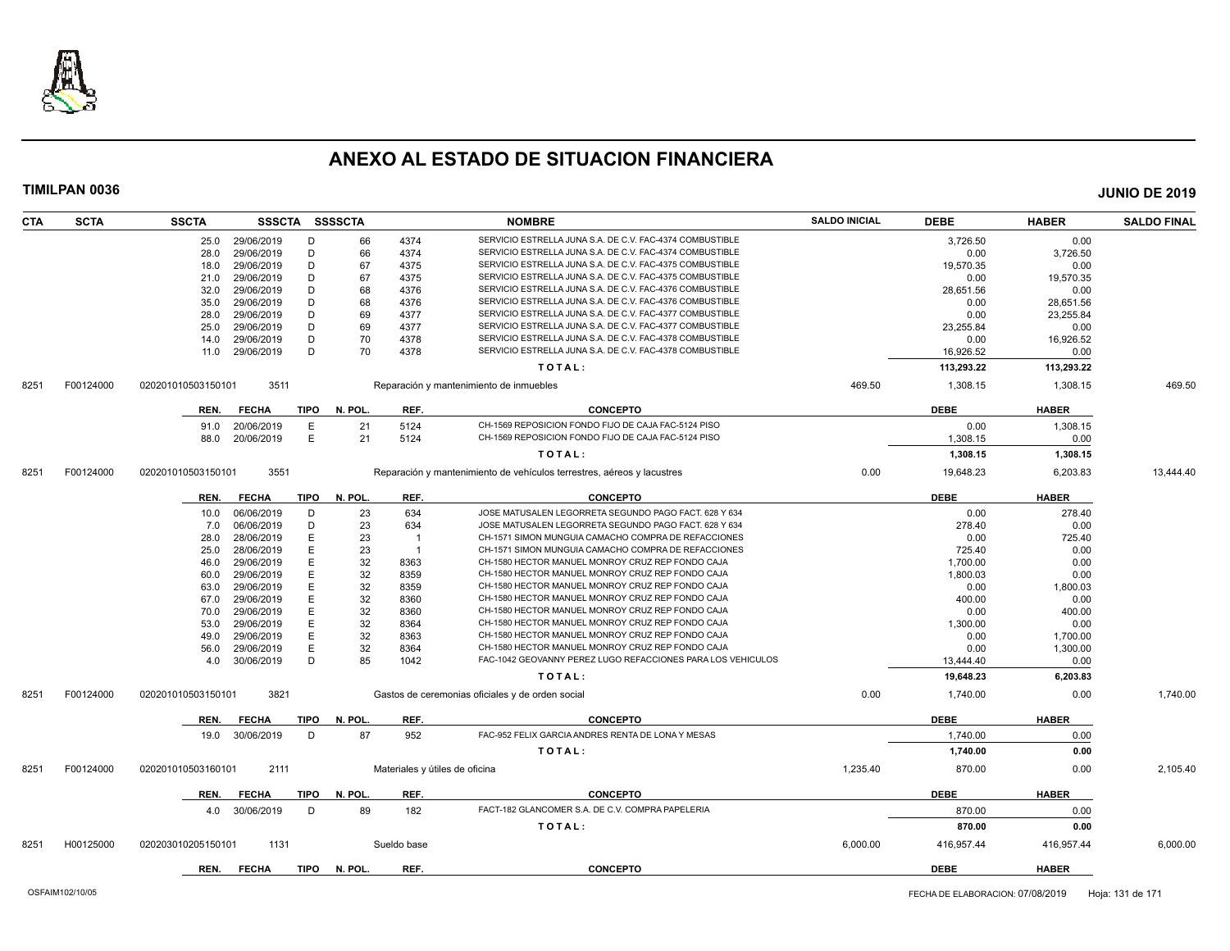

| <b>CTA</b> | <b>SCTA</b> | <b>SSCTA</b>       | SSSCTA SSSSCTA |             |         |             | <b>NOMBRE</b>                                                          | <b>SALDO INICIAL</b> | <b>DEBE</b> | <b>HABER</b> | <b>SALDO FINAL</b> |
|------------|-------------|--------------------|----------------|-------------|---------|-------------|------------------------------------------------------------------------|----------------------|-------------|--------------|--------------------|
|            |             | 25.0               | 29/06/2019     | D           | 66      | 4374        | SERVICIO ESTRELLA JUNA S.A. DE C.V. FAC-4374 COMBUSTIBLE               |                      | 3,726.50    | 0.00         |                    |
|            |             | 28.0               | 29/06/2019     | D           | 66      | 4374        | SERVICIO ESTRELLA JUNA S.A. DE C.V. FAC-4374 COMBUSTIBLE               |                      | 0.00        | 3,726.50     |                    |
|            |             | 18.0               | 29/06/2019     | D           | 67      | 4375        | SERVICIO ESTRELLA JUNA S.A. DE C.V. FAC-4375 COMBUSTIBLE               |                      | 19,570.35   | 0.00         |                    |
|            |             | 21.0               | 29/06/2019     | D           | 67      | 4375        | SERVICIO ESTRELLA JUNA S.A. DE C.V. FAC-4375 COMBUSTIBLE               |                      | 0.00        | 19,570.35    |                    |
|            |             | 32.0               | 29/06/2019     | D           | 68      | 4376        | SERVICIO ESTRELLA JUNA S.A. DE C.V. FAC-4376 COMBUSTIBLE               |                      | 28,651.56   | 0.00         |                    |
|            |             | 35.0               | 29/06/2019     | D           | 68      | 4376        | SERVICIO ESTRELLA JUNA S.A. DE C.V. FAC-4376 COMBUSTIBLE               |                      | 0.00        | 28,651.56    |                    |
|            |             | 28.0               | 29/06/2019     | D           | 69      | 4377        | SERVICIO ESTRELLA JUNA S.A. DE C.V. FAC-4377 COMBUSTIBLE               |                      | 0.00        | 23,255.84    |                    |
|            |             | 25.0               | 29/06/2019     | D           | 69      | 4377        | SERVICIO ESTRELLA JUNA S.A. DE C.V. FAC-4377 COMBUSTIBLE               |                      | 23.255.84   | 0.00         |                    |
|            |             | 14.0               | 29/06/2019     | D           | 70      | 4378        | SERVICIO ESTRELLA JUNA S.A. DE C.V. FAC-4378 COMBUSTIBLE               |                      | 0.00        | 16,926.52    |                    |
|            |             | 11.0               | 29/06/2019     | D           | 70      | 4378        | SERVICIO ESTRELLA JUNA S.A. DE C.V. FAC-4378 COMBUSTIBLE               |                      | 16,926.52   | 0.00         |                    |
|            |             |                    |                |             |         |             | TOTAL:                                                                 |                      | 113,293.22  | 113,293.22   |                    |
| 8251       | F00124000   | 020201010503150101 | 3511           |             |         |             | Reparación y mantenimiento de inmuebles                                | 469.50               | 1,308.15    | 1,308.15     | 469.50             |
|            |             |                    |                | <b>TIPO</b> | N. POL. | REF.        | <b>CONCEPTO</b>                                                        |                      | <b>DEBE</b> | <b>HABER</b> |                    |
|            |             | REN.               | <b>FECHA</b>   |             |         |             | CH-1569 REPOSICION FONDO FIJO DE CAJA FAC-5124 PISO                    |                      |             |              |                    |
|            |             | 91.0               | 20/06/2019     | Е           | 21      | 5124        | CH-1569 REPOSICION FONDO FIJO DE CAJA FAC-5124 PISO                    |                      | 0.00        | 1,308.15     |                    |
|            |             | 88.0               | 20/06/2019     | E           | 21      | 5124        |                                                                        |                      | 1,308.15    | 0.00         |                    |
|            |             |                    |                |             |         |             | TOTAL:                                                                 |                      | 1,308.15    | 1,308.15     |                    |
| 8251       | F00124000   | 020201010503150101 | 3551           |             |         |             | Reparación y mantenimiento de vehículos terrestres, aéreos y lacustres | 0.00                 | 19,648.23   | 6,203.83     | 13,444.40          |
|            |             | REN.               | <b>FECHA</b>   | TIPO        | N. POL. | REF.        | <b>CONCEPTO</b>                                                        |                      | <b>DEBE</b> | <b>HABER</b> |                    |
|            |             | 10.0               | 06/06/2019     | D           | 23      | 634         | JOSE MATUSALEN LEGORRETA SEGUNDO PAGO FACT. 628 Y 634                  |                      | 0.00        | 278.40       |                    |
|            |             | 7.0                | 06/06/2019     | D           | 23      | 634         | JOSE MATUSALEN LEGORRETA SEGUNDO PAGO FACT. 628 Y 634                  |                      | 278.40      | 0.00         |                    |
|            |             | 28.0               | 28/06/2019     | E           | 23      |             | CH-1571 SIMON MUNGUIA CAMACHO COMPRA DE REFACCIONES                    |                      | 0.00        | 725.40       |                    |
|            |             | 25.0               | 28/06/2019     | E           | 23      | - 1         | CH-1571 SIMON MUNGUIA CAMACHO COMPRA DE REFACCIONES                    |                      | 725.40      | 0.00         |                    |
|            |             | 46.0               | 29/06/2019     | E           | 32      | 8363        | CH-1580 HECTOR MANUEL MONROY CRUZ REP FONDO CAJA                       |                      | 1,700.00    | 0.00         |                    |
|            |             | 60.0               | 29/06/2019     | E           | 32      | 8359        | CH-1580 HECTOR MANUEL MONROY CRUZ REP FONDO CAJA                       |                      | 1,800.03    | 0.00         |                    |
|            |             | 63.0               | 29/06/2019     | E           | 32      | 8359        | CH-1580 HECTOR MANUEL MONROY CRUZ REP FONDO CAJA                       |                      | 0.00        | 1,800.03     |                    |
|            |             | 67.0               | 29/06/2019     | E           | 32      | 8360        | CH-1580 HECTOR MANUEL MONROY CRUZ REP FONDO CAJA                       |                      | 400.00      | 0.00         |                    |
|            |             | 70.0               | 29/06/2019     | E           | 32      | 8360        | CH-1580 HECTOR MANUEL MONROY CRUZ REP FONDO CAJA                       |                      | 0.00        | 400.00       |                    |
|            |             | 53.0               | 29/06/2019     | E           | 32      | 8364        | CH-1580 HECTOR MANUEL MONROY CRUZ REP FONDO CAJA                       |                      | 1.300.00    | 0.00         |                    |
|            |             | 49.0               | 29/06/2019     | E           | 32      | 8363        | CH-1580 HECTOR MANUEL MONROY CRUZ REP FONDO CAJA                       |                      | 0.00        | 1,700.00     |                    |
|            |             | 56.0               | 29/06/2019     | E           | 32      | 8364        | CH-1580 HECTOR MANUEL MONROY CRUZ REP FONDO CAJA                       |                      | 0.00        | 1,300.00     |                    |
|            |             | 4.0                | 30/06/2019     | D           | 85      | 1042        | FAC-1042 GEOVANNY PEREZ LUGO REFACCIONES PARA LOS VEHICULOS            |                      | 13,444.40   | 0.00         |                    |
|            |             |                    |                |             |         |             | TOTAL:                                                                 |                      | 19,648.23   | 6,203.83     |                    |
| 8251       | F00124000   | 020201010503150101 | 3821           |             |         |             | Gastos de ceremonias oficiales y de orden social                       | 0.00                 | 1,740.00    | 0.00         | 1,740.00           |
|            |             | REN.               | <b>FECHA</b>   | <b>TIPO</b> | N. POL. | REF.        | <b>CONCEPTO</b>                                                        |                      | <b>DEBE</b> | <b>HABER</b> |                    |
|            |             | 19.0               | 30/06/2019     | D           | 87      | 952         | FAC-952 FELIX GARCIA ANDRES RENTA DE LONA Y MESAS                      |                      | 1,740.00    | 0.00         |                    |
|            |             |                    |                |             |         |             | TOTAL:                                                                 |                      | 1,740.00    | 0.00         |                    |
| 8251       | F00124000   | 020201010503160101 | 2111           |             |         |             | Materiales y útiles de oficina                                         | 1,235.40             | 870.00      | 0.00         | 2,105.40           |
|            |             | REN.               | <b>FECHA</b>   | <b>TIPO</b> | N. POL. | REF.        | <b>CONCEPTO</b>                                                        |                      | <b>DEBE</b> | <b>HABER</b> |                    |
|            |             | 4.0                | 30/06/2019     | D           | 89      | 182         | FACT-182 GLANCOMER S.A. DE C.V. COMPRA PAPELERIA                       |                      | 870.00      | 0.00         |                    |
|            |             |                    |                |             |         |             |                                                                        |                      |             |              |                    |
|            |             |                    |                |             |         |             | TOTAL:                                                                 |                      | 870.00      | 0.00         |                    |
| 8251       | H00125000   | 020203010205150101 | 1131           |             |         | Sueldo base |                                                                        | 6,000.00             | 416,957.44  | 416,957.44   | 6,000.00           |
|            |             | REN.               | <b>FECHA</b>   | <b>TIPO</b> | N. POL. | REF.        | <b>CONCEPTO</b>                                                        |                      | <b>DEBE</b> | <b>HABER</b> |                    |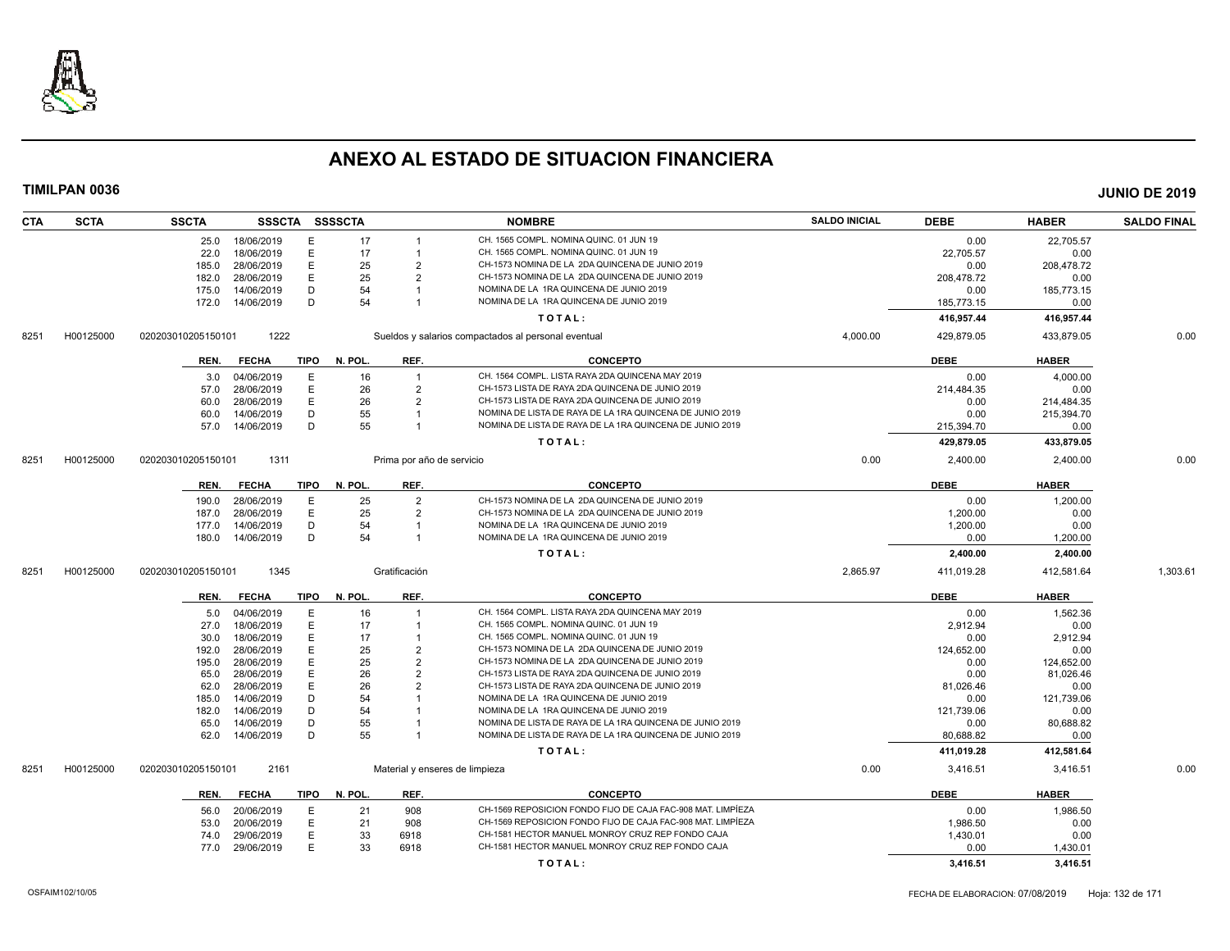

| <b>CTA</b> | <b>SCTA</b> | <b>SSCTA</b>       |                 |      | SSSCTA SSSSCTA |                           | <b>NOMBRE</b>                                               | <b>SALDO INICIAL</b> | <b>DEBE</b> | <b>HABER</b> | <b>SALDO FINAL</b> |
|------------|-------------|--------------------|-----------------|------|----------------|---------------------------|-------------------------------------------------------------|----------------------|-------------|--------------|--------------------|
|            |             |                    | 25.0 18/06/2019 | Е    | 17             |                           | CH. 1565 COMPL. NOMINA QUINC. 01 JUN 19                     |                      | 0.00        | 22,705.57    |                    |
|            |             | 22.0               | 18/06/2019      | Ε    | 17             | $\overline{1}$            | CH. 1565 COMPL. NOMINA QUINC. 01 JUN 19                     |                      | 22,705.57   | 0.00         |                    |
|            |             | 185.0              | 28/06/2019      | E    | 25             | $\overline{2}$            | CH-1573 NOMINA DE LA 2DA QUINCENA DE JUNIO 2019             |                      | 0.00        | 208,478.72   |                    |
|            |             | 182.0              | 28/06/2019      | E    | 25             | $\overline{2}$            | CH-1573 NOMINA DE LA 2DA QUINCENA DE JUNIO 2019             |                      | 208,478.72  | 0.00         |                    |
|            |             | 175.0              | 14/06/2019      | D    | 54             |                           | NOMINA DE LA 1RA QUINCENA DE JUNIO 2019                     |                      | 0.00        | 185,773.15   |                    |
|            |             | 172.0              | 14/06/2019      | D    | 54             |                           | NOMINA DE LA 1RA QUINCENA DE JUNIO 2019                     |                      | 185,773.15  | 0.00         |                    |
|            |             |                    |                 |      |                |                           | TOTAL:                                                      |                      | 416,957.44  | 416,957.44   |                    |
| 8251       | H00125000   | 020203010205150101 | 1222            |      |                |                           | Sueldos y salarios compactados al personal eventual         | 4,000.00             | 429,879.05  | 433,879.05   | 0.00               |
|            |             | REN.               | <b>FECHA</b>    | TIPO | N. POL.        | REF.                      | <b>CONCEPTO</b>                                             |                      | <b>DEBE</b> | <b>HABER</b> |                    |
|            |             | 3.0                | 04/06/2019      | E    | 16             | $\overline{1}$            | CH. 1564 COMPL. LISTA RAYA 2DA QUINCENA MAY 2019            |                      | 0.00        | 4,000.00     |                    |
|            |             | 57.0               | 28/06/2019      | E    | 26             | $\overline{2}$            | CH-1573 LISTA DE RAYA 2DA QUINCENA DE JUNIO 2019            |                      | 214,484.35  | 0.00         |                    |
|            |             | 60.0               | 28/06/2019      | E    | 26             | $\overline{2}$            | CH-1573 LISTA DE RAYA 2DA QUINCENA DE JUNIO 2019            |                      | 0.00        | 214,484.35   |                    |
|            |             | 60.0               | 14/06/2019      | D    | 55             | $\overline{\mathbf{1}}$   | NOMINA DE LISTA DE RAYA DE LA 1RA QUINCENA DE JUNIO 2019    |                      | 0.00        | 215,394.70   |                    |
|            |             | 57.0               | 14/06/2019      | D    | 55             | $\overline{1}$            | NOMINA DE LISTA DE RAYA DE LA 1RA QUINCENA DE JUNIO 2019    |                      | 215,394.70  | 0.00         |                    |
|            |             |                    |                 |      |                |                           | TOTAL:                                                      |                      | 429,879.05  | 433,879.05   |                    |
| 8251       | H00125000   | 020203010205150101 | 1311            |      |                | Prima por año de servicio |                                                             | 0.00                 | 2,400.00    | 2,400.00     | 0.00               |
|            |             | REN.               | <b>FECHA</b>    | TIPO | N. POL.        | REF.                      | <b>CONCEPTO</b>                                             |                      | <b>DEBE</b> | <b>HABER</b> |                    |
|            |             | 190.0              | 28/06/2019      | E    | 25             | $\overline{2}$            | CH-1573 NOMINA DE LA 2DA QUINCENA DE JUNIO 2019             |                      | 0.00        | 1,200.00     |                    |
|            |             | 187.0              | 28/06/2019      | E    | 25             | $\overline{2}$            | CH-1573 NOMINA DE LA 2DA QUINCENA DE JUNIO 2019             |                      | 1,200.00    | 0.00         |                    |
|            |             | 177.0              | 14/06/2019      | D    | 54             | $\overline{1}$            | NOMINA DE LA 1RA QUINCENA DE JUNIO 2019                     |                      | 1,200.00    | 0.00         |                    |
|            |             | 180.0              | 14/06/2019      | D    | 54             |                           | NOMINA DE LA 1RA QUINCENA DE JUNIO 2019                     |                      | 0.00        | 1,200.00     |                    |
|            |             |                    |                 |      |                |                           | TOTAL:                                                      |                      | 2,400.00    | 2,400.00     |                    |
| 8251       | H00125000   | 020203010205150101 | 1345            |      |                | Gratificación             |                                                             | 2,865.97             | 411,019.28  | 412,581.64   | 1,303.61           |
|            |             | REN.               | <b>FECHA</b>    | TIPO | N. POL.        | REF.                      | <b>CONCEPTO</b>                                             |                      | <b>DEBE</b> | <b>HABER</b> |                    |
|            |             | 5.0                | 04/06/2019      | E    | 16             | $\overline{1}$            | CH. 1564 COMPL. LISTA RAYA 2DA QUINCENA MAY 2019            |                      | 0.00        | 1,562.36     |                    |
|            |             | 27.0               | 18/06/2019      | E    | 17             |                           | CH. 1565 COMPL. NOMINA QUINC. 01 JUN 19                     |                      | 2,912.94    | 0.00         |                    |
|            |             | 30.0               | 18/06/2019      | E    | 17             |                           | CH. 1565 COMPL. NOMINA QUINC. 01 JUN 19                     |                      | 0.00        | 2,912.94     |                    |
|            |             | 192.0              | 28/06/2019      | E    | 25             | $\overline{2}$            | CH-1573 NOMINA DE LA 2DA QUINCENA DE JUNIO 2019             |                      | 124,652.00  | 0.00         |                    |
|            |             | 195.0              | 28/06/2019      | E    | 25             | $\overline{2}$            | CH-1573 NOMINA DE LA 2DA QUINCENA DE JUNIO 2019             |                      | 0.00        | 124,652.00   |                    |
|            |             | 65.0               | 28/06/2019      | E    | 26             | $\overline{2}$            | CH-1573 LISTA DE RAYA 2DA QUINCENA DE JUNIO 2019            |                      | 0.00        | 81,026.46    |                    |
|            |             | 62.0               | 28/06/2019      | E    | 26             | $\overline{2}$            | CH-1573 LISTA DE RAYA 2DA QUINCENA DE JUNIO 2019            |                      | 81,026.46   | 0.00         |                    |
|            |             | 185.0              | 14/06/2019      | D    | 54             |                           | NOMINA DE LA 1RA QUINCENA DE JUNIO 2019                     |                      | 0.00        | 121,739.06   |                    |
|            |             | 182.0              | 14/06/2019      | D    | 54             |                           | NOMINA DE LA 1RA QUINCENA DE JUNIO 2019                     |                      | 121,739.06  | 0.00         |                    |
|            |             | 65.0               | 14/06/2019      | D    | 55             |                           | NOMINA DE LISTA DE RAYA DE LA 1RA QUINCENA DE JUNIO 2019    |                      | 0.00        | 80,688.82    |                    |
|            |             | 62.0               | 14/06/2019      | D    | 55             |                           | NOMINA DE LISTA DE RAYA DE LA 1RA QUINCENA DE JUNIO 2019    |                      | 80,688.82   | 0.00         |                    |
|            |             |                    |                 |      |                |                           | TOTAL:                                                      |                      | 411,019.28  | 412,581.64   |                    |
| 8251       | H00125000   | 020203010205150101 | 2161            |      |                |                           | Material y enseres de limpieza                              | 0.00                 | 3,416.51    | 3,416.51     | 0.00               |
|            |             | REN.               | <b>FECHA</b>    | TIPO | N. POL.        | REF.                      | <b>CONCEPTO</b>                                             |                      | <b>DEBE</b> | <b>HABER</b> |                    |
|            |             | 56.0               | 20/06/2019      | Е    | 21             | 908                       | CH-1569 REPOSICION FONDO FIJO DE CAJA FAC-908 MAT. LIMPÍEZA |                      | 0.00        | 1.986.50     |                    |
|            |             | 53.0               | 20/06/2019      | E    | 21             | 908                       | CH-1569 REPOSICION FONDO FIJO DE CAJA FAC-908 MAT. LIMPÍEZA |                      | 1,986.50    | 0.00         |                    |
|            |             | 74.0               | 29/06/2019      | E    | 33             | 6918                      | CH-1581 HECTOR MANUEL MONROY CRUZ REP FONDO CAJA            |                      | 1,430.01    | 0.00         |                    |
|            |             | 77.0               | 29/06/2019      | E    | 33             | 6918                      | CH-1581 HECTOR MANUEL MONROY CRUZ REP FONDO CAJA            |                      | 0.00        | 1,430.01     |                    |
|            |             |                    |                 |      |                |                           | TOTAL:                                                      |                      | 3,416.51    | 3,416.51     |                    |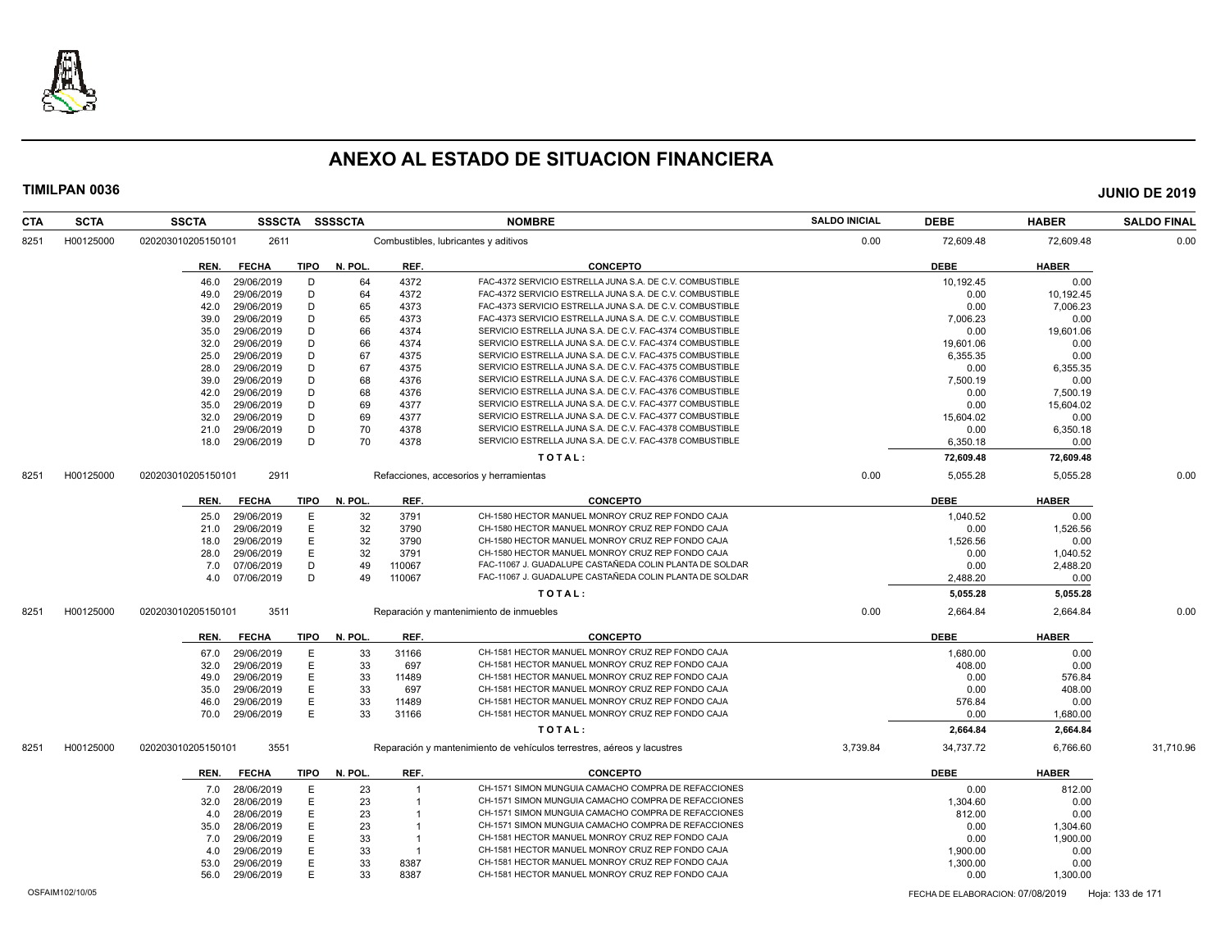

| <b>SCTA</b><br><b>CTA</b> | <b>SSCTA</b>       | <b>SSSCTA</b>            |             | <b>SSSSCTA</b> |                | <b>NOMBRE</b>                                                          | <b>SALDO INICIAL</b> | <b>DEBE</b>      | <b>HABER</b>     | <b>SALDO FINAL</b> |
|---------------------------|--------------------|--------------------------|-------------|----------------|----------------|------------------------------------------------------------------------|----------------------|------------------|------------------|--------------------|
| H00125000<br>8251         | 020203010205150101 | 2611                     |             |                |                | Combustibles, lubricantes y aditivos                                   | 0.00                 | 72,609.48        | 72,609.48        | 0.00               |
|                           | REN.               | <b>FECHA</b>             | TIPO        | N. POL.        | REF.           | <b>CONCEPTO</b>                                                        |                      | DEBE             | <b>HABER</b>     |                    |
|                           | 46.0               | 29/06/2019               | D           | 64             | 4372           | FAC-4372 SERVICIO ESTRELLA JUNA S.A. DE C.V. COMBUSTIBLE               |                      | 10,192.45        | 0.00             |                    |
|                           | 49.0               | 29/06/2019               | D           | 64             | 4372           | FAC-4372 SERVICIO ESTRELLA JUNA S.A. DE C.V. COMBUSTIBLE               |                      | 0.00             | 10,192.45        |                    |
|                           | 42.0               | 29/06/2019               | D           | 65             | 4373           | FAC-4373 SERVICIO ESTRELLA JUNA S.A. DE C.V. COMBUSTIBLE               |                      | 0.00             | 7,006.23         |                    |
|                           | 39.0               | 29/06/2019               | D           | 65             | 4373           | FAC-4373 SERVICIO ESTRELLA JUNA S.A. DE C.V. COMBUSTIBLE               |                      | 7,006.23         | 0.00             |                    |
|                           | 35.0               | 29/06/2019               | D           | 66             | 4374           | SERVICIO ESTRELLA JUNA S.A. DE C.V. FAC-4374 COMBUSTIBLE               |                      | 0.00             | 19,601.06        |                    |
|                           | 32.0               | 29/06/2019               | D           | 66             | 4374           | SERVICIO ESTRELLA JUNA S.A. DE C.V. FAC-4374 COMBUSTIBLE               |                      | 19.601.06        | 0.00             |                    |
|                           | 25.0               | 29/06/2019               | D           | 67             | 4375           | SERVICIO ESTRELLA JUNA S.A. DE C.V. FAC-4375 COMBUSTIBLE               |                      | 6,355.35         | 0.00             |                    |
|                           | 28.0               | 29/06/2019               | D           | 67             | 4375           | SERVICIO ESTRELLA JUNA S.A. DE C.V. FAC-4375 COMBUSTIBLE               |                      | 0.00             | 6,355.35         |                    |
|                           | 39.0               | 29/06/2019               | D           | 68             | 4376           | SERVICIO ESTRELLA JUNA S.A. DE C.V. FAC-4376 COMBUSTIBLE               |                      | 7,500.19         | 0.00             |                    |
|                           | 42.0               | 29/06/2019               | D           | 68             | 4376           | SERVICIO ESTRELLA JUNA S.A. DE C.V. FAC-4376 COMBUSTIBLE               |                      | 0.00             | 7,500.19         |                    |
|                           | 35.0               | 29/06/2019               | D           | 69             | 4377           | SERVICIO ESTRELLA JUNA S.A. DE C.V. FAC-4377 COMBUSTIBLE               |                      | 0.00             | 15,604.02        |                    |
|                           | 32.0               | 29/06/2019               | D           | 69             | 4377           | SERVICIO ESTRELLA JUNA S.A. DE C.V. FAC-4377 COMBUSTIBLE               |                      | 15,604.02        | 0.00             |                    |
|                           | 21.0               | 29/06/2019               | D           | 70             | 4378           | SERVICIO ESTRELLA JUNA S.A. DE C.V. FAC-4378 COMBUSTIBLE               |                      | 0.00             | 6,350.18         |                    |
|                           | 18.0               | 29/06/2019               | D           | 70             | 4378           | SERVICIO ESTRELLA JUNA S.A. DE C.V. FAC-4378 COMBUSTIBLE               |                      | 6,350.18         | 0.00             |                    |
|                           |                    |                          |             |                |                | TOTAL:                                                                 |                      | 72,609.48        | 72,609.48        |                    |
| H00125000<br>8251         | 020203010205150101 | 2911                     |             |                |                | Refacciones, accesorios y herramientas                                 | 0.00                 | 5,055.28         | 5,055.28         | 0.00               |
|                           | REN.               | <b>FECHA</b>             | <b>TIPO</b> | N. POL.        | REF.           | <b>CONCEPTO</b>                                                        |                      | <b>DEBE</b>      | <b>HABER</b>     |                    |
|                           |                    |                          | Ε           | 32             | 3791           | CH-1580 HECTOR MANUEL MONROY CRUZ REP FONDO CAJA                       |                      |                  |                  |                    |
|                           | 25.0               | 29/06/2019<br>29/06/2019 | E           | 32             | 3790           | CH-1580 HECTOR MANUEL MONROY CRUZ REP FONDO CAJA                       |                      | 1,040.52<br>0.00 | 0.00             |                    |
|                           | 21.0               | 29/06/2019               | E           | 32             | 3790           | CH-1580 HECTOR MANUEL MONROY CRUZ REP FONDO CAJA                       |                      | 1,526.56         | 1,526.56<br>0.00 |                    |
|                           | 18.0               |                          | E           | 32             |                | CH-1580 HECTOR MANUEL MONROY CRUZ REP FONDO CAJA                       |                      |                  |                  |                    |
|                           | 28.0               | 29/06/2019               | D           | 49             | 3791<br>110067 | FAC-11067 J. GUADALUPE CASTAÑEDA COLIN PLANTA DE SOLDAR                |                      | 0.00             | 1,040.52         |                    |
|                           | 7.0                | 07/06/2019               | D           | 49             |                | FAC-11067 J. GUADALUPE CASTAÑEDA COLIN PLANTA DE SOLDAR                |                      | 0.00<br>2,488.20 | 2,488.20         |                    |
|                           | 4.0                | 07/06/2019               |             |                | 110067         |                                                                        |                      |                  | 0.00             |                    |
|                           |                    |                          |             |                |                | TOTAL:                                                                 |                      | 5,055.28         | 5,055.28         |                    |
| H00125000<br>8251         | 020203010205150101 | 3511                     |             |                |                | Reparación y mantenimiento de inmuebles                                | 0.00                 | 2,664.84         | 2,664.84         | 0.00               |
|                           | REN.               | <b>FECHA</b>             | <b>TIPO</b> | N. POL         | REF.           | <b>CONCEPTO</b>                                                        |                      | <b>DEBE</b>      | <b>HABER</b>     |                    |
|                           | 67.0               | 29/06/2019               | E           | 33             | 31166          | CH-1581 HECTOR MANUEL MONROY CRUZ REP FONDO CAJA                       |                      | 1,680.00         | 0.00             |                    |
|                           | 32.0               | 29/06/2019               | E           | 33             | 697            | CH-1581 HECTOR MANUEL MONROY CRUZ REP FONDO CAJA                       |                      | 408.00           | 0.00             |                    |
|                           | 49.0               | 29/06/2019               | E           | 33             | 11489          | CH-1581 HECTOR MANUEL MONROY CRUZ REP FONDO CAJA                       |                      | 0.00             | 576.84           |                    |
|                           | 35.0               | 29/06/2019               | Ε           | 33             | 697            | CH-1581 HECTOR MANUEL MONROY CRUZ REP FONDO CAJA                       |                      | 0.00             | 408.00           |                    |
|                           | 46.0               | 29/06/2019               | Ε           | 33             | 11489          | CH-1581 HECTOR MANUEL MONROY CRUZ REP FONDO CAJA                       |                      | 576.84           | 0.00             |                    |
|                           | 70.0               | 29/06/2019               | E.          | 33             | 31166          | CH-1581 HECTOR MANUEL MONROY CRUZ REP FONDO CAJA                       |                      | 0.00             | 1,680.00         |                    |
|                           |                    |                          |             |                |                | TOTAL:                                                                 |                      | 2,664.84         | 2,664.84         |                    |
| H00125000<br>8251         | 020203010205150101 | 3551                     |             |                |                | Reparación y mantenimiento de vehículos terrestres, aéreos y lacustres | 3,739.84             | 34,737.72        | 6,766.60         | 31,710.96          |
|                           | REN.               | <b>FECHA</b>             | <b>TIPO</b> | N. POL         | REF.           | <b>CONCEPTO</b>                                                        |                      | <b>DEBE</b>      | <b>HABER</b>     |                    |
|                           | 7.0                | 28/06/2019               | Ε           | 23             | $\overline{1}$ | CH-1571 SIMON MUNGUIA CAMACHO COMPRA DE REFACCIONES                    |                      | 0.00             | 812.00           |                    |
|                           | 32.0               | 28/06/2019               | E           | 23             | $\overline{1}$ | CH-1571 SIMON MUNGUIA CAMACHO COMPRA DE REFACCIONES                    |                      | 1,304.60         | 0.00             |                    |
|                           | 4.0                | 28/06/2019               | E           | 23             | $\overline{1}$ | CH-1571 SIMON MUNGUIA CAMACHO COMPRA DE REFACCIONES                    |                      | 812.00           | 0.00             |                    |
|                           | 35.0               | 28/06/2019               | Ε           | 23             |                | CH-1571 SIMON MUNGUIA CAMACHO COMPRA DE REFACCIONES                    |                      | 0.00             | 1,304.60         |                    |
|                           | 7.0                | 29/06/2019               | E           | 33             | $\overline{1}$ | CH-1581 HECTOR MANUEL MONROY CRUZ REP FONDO CAJA                       |                      | 0.00             | 1,900.00         |                    |
|                           | 4.0                | 29/06/2019               | E           | 33             | $\overline{1}$ | CH-1581 HECTOR MANUEL MONROY CRUZ REP FONDO CAJA                       |                      | 1,900.00         | 0.00             |                    |
|                           |                    |                          | E           | 33             | 8387           | CH-1581 HECTOR MANUEL MONROY CRUZ REP FONDO CAJA                       |                      | 1,300.00         | 0.00             |                    |
|                           |                    |                          |             |                |                |                                                                        |                      |                  |                  |                    |
|                           | 53.0<br>56.0       | 29/06/2019<br>29/06/2019 | E           | 33             | 8387           | CH-1581 HECTOR MANUEL MONROY CRUZ REP FONDO CAJA                       |                      | 0.00             | 1,300.00         |                    |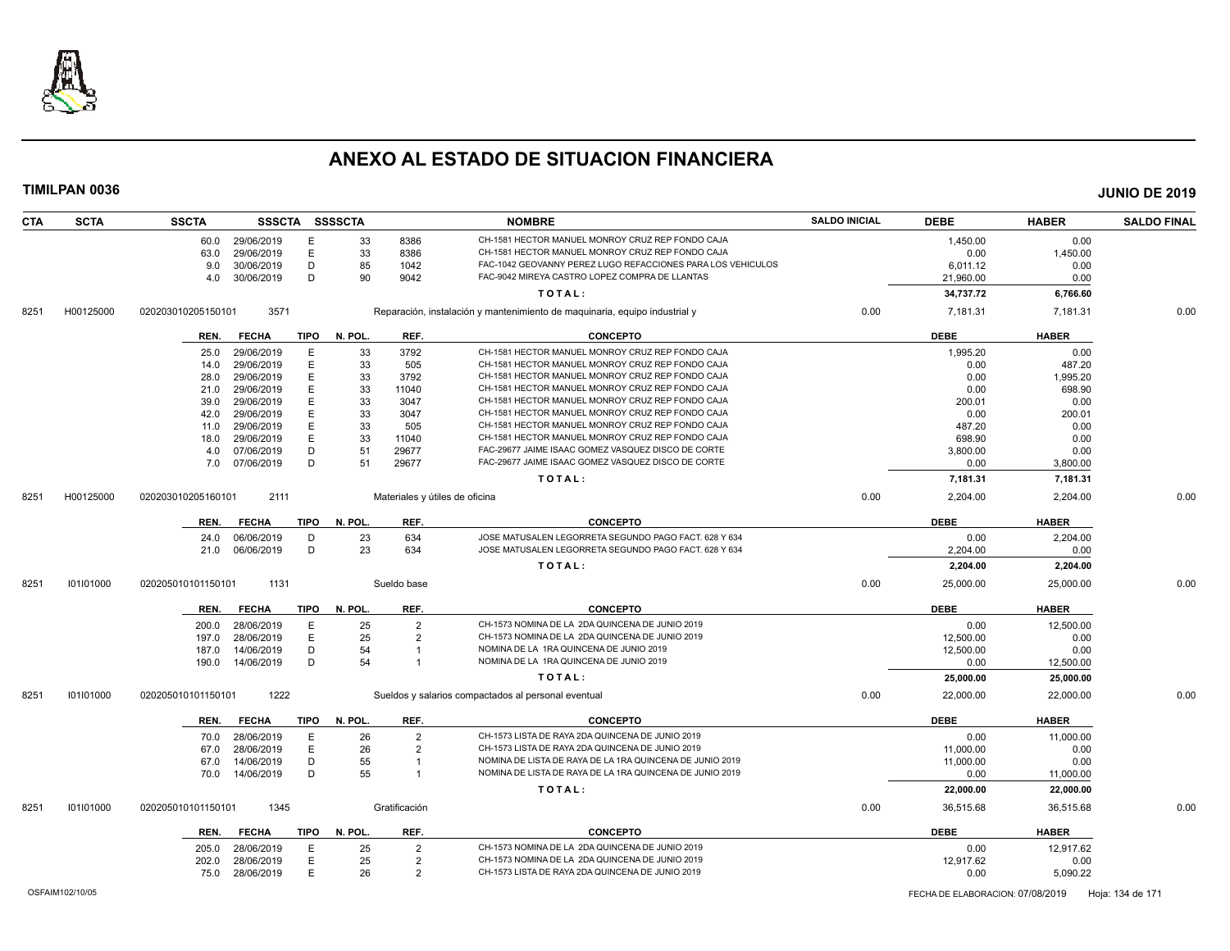

| <b>CTA</b> | <b>SCTA</b> | <b>SSCTA</b>       |              |             | SSSCTA SSSSCTA |                | <b>NOMBRE</b>                                                              | <b>SALDO INICIAL</b> | <b>DEBE</b> | <b>HABER</b> | <b>SALDO FINAL</b> |
|------------|-------------|--------------------|--------------|-------------|----------------|----------------|----------------------------------------------------------------------------|----------------------|-------------|--------------|--------------------|
|            |             | 60.0               | 29/06/2019   | E           | 33             | 8386           | CH-1581 HECTOR MANUEL MONROY CRUZ REP FONDO CAJA                           |                      | 1,450.00    | 0.00         |                    |
|            |             | 63.0               | 29/06/2019   | E           | 33             | 8386           | CH-1581 HECTOR MANUEL MONROY CRUZ REP FONDO CAJA                           |                      | 0.00        | 1,450.00     |                    |
|            |             | 9.0                | 30/06/2019   | D           | 85             | 1042           | FAC-1042 GEOVANNY PEREZ LUGO REFACCIONES PARA LOS VEHICULOS                |                      | 6,011.12    | 0.00         |                    |
|            |             | 4.0                | 30/06/2019   | D           | 90             | 9042           | FAC-9042 MIREYA CASTRO LOPEZ COMPRA DE LLANTAS                             |                      | 21,960.00   | 0.00         |                    |
|            |             |                    |              |             |                |                | TOTAL:                                                                     |                      | 34,737.72   | 6,766.60     |                    |
| 8251       | H00125000   | 020203010205150101 | 3571         |             |                |                | Reparación, instalación y mantenimiento de maquinaria, equipo industrial y | 0.00                 | 7,181.31    | 7,181.31     | 0.00               |
|            |             | REN.               | <b>FECHA</b> | <b>TIPO</b> | N. POL.        | REF.           | <b>CONCEPTO</b>                                                            |                      | <b>DEBE</b> | <b>HABER</b> |                    |
|            |             | 25.0               | 29/06/2019   | Е           | 33             | 3792           | CH-1581 HECTOR MANUEL MONROY CRUZ REP FONDO CAJA                           |                      | 1,995.20    | 0.00         |                    |
|            |             | 14.0               | 29/06/2019   | E           | 33             | 505            | CH-1581 HECTOR MANUEL MONROY CRUZ REP FONDO CAJA                           |                      | 0.00        | 487.20       |                    |
|            |             | 28.0               | 29/06/2019   | E           | 33             | 3792           | CH-1581 HECTOR MANUEL MONROY CRUZ REP FONDO CAJA                           |                      | 0.00        | 1,995.20     |                    |
|            |             | 21.0               | 29/06/2019   | Е           | 33             | 11040          | CH-1581 HECTOR MANUEL MONROY CRUZ REP FONDO CAJA                           |                      | 0.00        | 698.90       |                    |
|            |             | 39.0               | 29/06/2019   | E           | 33             | 3047           | CH-1581 HECTOR MANUEL MONROY CRUZ REP FONDO CAJA                           |                      | 200.01      | 0.00         |                    |
|            |             | 42.0               | 29/06/2019   | E           | 33             | 3047           | CH-1581 HECTOR MANUEL MONROY CRUZ REP FONDO CAJA                           |                      | 0.00        | 200.01       |                    |
|            |             | 11.0               | 29/06/2019   | E           | 33             | 505            | CH-1581 HECTOR MANUEL MONROY CRUZ REP FONDO CAJA                           |                      | 487.20      | 0.00         |                    |
|            |             | 18.0               | 29/06/2019   | E           | 33             | 11040          | CH-1581 HECTOR MANUEL MONROY CRUZ REP FONDO CAJA                           |                      | 698.90      | 0.00         |                    |
|            |             | 4.0                | 07/06/2019   | D           | 51             | 29677          | FAC-29677 JAIME ISAAC GOMEZ VASQUEZ DISCO DE CORTE                         |                      | 3,800.00    | 0.00         |                    |
|            |             | 7.0                | 07/06/2019   | D           | 51             | 29677          | FAC-29677 JAIME ISAAC GOMEZ VASQUEZ DISCO DE CORTE                         |                      | 0.00        | 3,800.00     |                    |
|            |             |                    |              |             |                |                | TOTAL:                                                                     |                      | 7,181.31    | 7,181.31     |                    |
| 8251       | H00125000   | 020203010205160101 | 2111         |             |                |                | Materiales y útiles de oficina                                             | 0.00                 | 2,204.00    | 2,204.00     | 0.00               |
|            |             |                    |              |             |                |                |                                                                            |                      |             |              |                    |
|            |             | REN.               | <b>FECHA</b> | <b>TIPO</b> | N. POL.        | REF.           | <b>CONCEPTO</b>                                                            |                      | <b>DEBE</b> | <b>HABER</b> |                    |
|            |             | 24.0               | 06/06/2019   | D           | 23             | 634            | JOSE MATUSALEN LEGORRETA SEGUNDO PAGO FACT. 628 Y 634                      |                      | 0.00        | 2,204.00     |                    |
|            |             | 21.0               | 06/06/2019   | D           | 23             | 634            | JOSE MATUSALEN LEGORRETA SEGUNDO PAGO FACT. 628 Y 634                      |                      | 2.204.00    | 0.00         |                    |
|            |             |                    |              |             |                |                | TOTAL:                                                                     |                      | 2,204.00    | 2,204.00     |                    |
| 8251       | 101101000   | 020205010101150101 | 1131         |             |                | Sueldo base    |                                                                            | 0.00                 | 25,000.00   | 25,000.00    | 0.00               |
|            |             | REN.               | <b>FECHA</b> | <b>TIPO</b> | N. POL.        | REF.           | <b>CONCEPTO</b>                                                            |                      | <b>DEBE</b> | <b>HABER</b> |                    |
|            |             | 200.0              | 28/06/2019   | E           | 25             | $\overline{2}$ | CH-1573 NOMINA DE LA 2DA QUINCENA DE JUNIO 2019                            |                      | 0.00        | 12,500.00    |                    |
|            |             | 197.0              | 28/06/2019   | E           | 25             | $\overline{2}$ | CH-1573 NOMINA DE LA 2DA QUINCENA DE JUNIO 2019                            |                      | 12,500.00   | 0.00         |                    |
|            |             | 187.0              | 14/06/2019   | D           | 54             |                | NOMINA DE LA 1RA QUINCENA DE JUNIO 2019                                    |                      | 12,500.00   | 0.00         |                    |
|            |             | 190.0              | 14/06/2019   | D           | 54             | $\overline{1}$ | NOMINA DE LA 1RA QUINCENA DE JUNIO 2019                                    |                      | 0.00        | 12,500.00    |                    |
|            |             |                    |              |             |                |                | TOTAL:                                                                     |                      | 25,000.00   | 25,000.00    |                    |
| 8251       | 101101000   | 020205010101150101 | 1222         |             |                |                | Sueldos y salarios compactados al personal eventual                        | 0.00                 | 22,000.00   | 22,000.00    | 0.00               |
|            |             | REN.               | <b>FECHA</b> | <b>TIPO</b> | N. POL         | REF.           | <b>CONCEPTO</b>                                                            |                      | <b>DEBE</b> | <b>HABER</b> |                    |
|            |             | 70.0               | 28/06/2019   | Ε           | 26             | $\overline{2}$ | CH-1573 LISTA DE RAYA 2DA QUINCENA DE JUNIO 2019                           |                      | 0.00        | 11,000.00    |                    |
|            |             | 67.0               | 28/06/2019   | E           | 26             | $\overline{2}$ | CH-1573 LISTA DE RAYA 2DA QUINCENA DE JUNIO 2019                           |                      | 11,000.00   | 0.00         |                    |
|            |             | 67.0               | 14/06/2019   | D           | 55             | $\overline{1}$ | NOMINA DE LISTA DE RAYA DE LA 1RA QUINCENA DE JUNIO 2019                   |                      | 11,000.00   | 0.00         |                    |
|            |             | 70.0               | 14/06/2019   | D           | 55             | $\overline{1}$ | NOMINA DE LISTA DE RAYA DE LA 1RA QUINCENA DE JUNIO 2019                   |                      | 0.00        | 11,000.00    |                    |
|            |             |                    |              |             |                |                | TOTAL:                                                                     |                      | 22,000.00   | 22,000.00    |                    |
|            |             |                    |              |             |                |                |                                                                            |                      |             |              |                    |
| 8251       | 101101000   | 020205010101150101 | 1345         |             |                | Gratificación  |                                                                            | 0.00                 | 36,515.68   | 36.515.68    | 0.00               |
|            |             | REN.               | <b>FECHA</b> | TIPO        | N. POL.        | REF.           | <b>CONCEPTO</b>                                                            |                      | <b>DEBE</b> | <b>HABER</b> |                    |
|            |             | 205.0              | 28/06/2019   | E           | 25             | $\overline{2}$ | CH-1573 NOMINA DE LA 2DA QUINCENA DE JUNIO 2019                            |                      | 0.00        | 12,917.62    |                    |
|            |             | 202.0              | 28/06/2019   | Ε           | 25             | $\overline{2}$ | CH-1573 NOMINA DE LA 2DA QUINCENA DE JUNIO 2019                            |                      | 12,917.62   | 0.00         |                    |
|            |             | 75.0               | 28/06/2019   | E           | 26             | 2              | CH-1573 LISTA DE RAYA 2DA QUINCENA DE JUNIO 2019                           |                      | 0.00        | 5,090.22     |                    |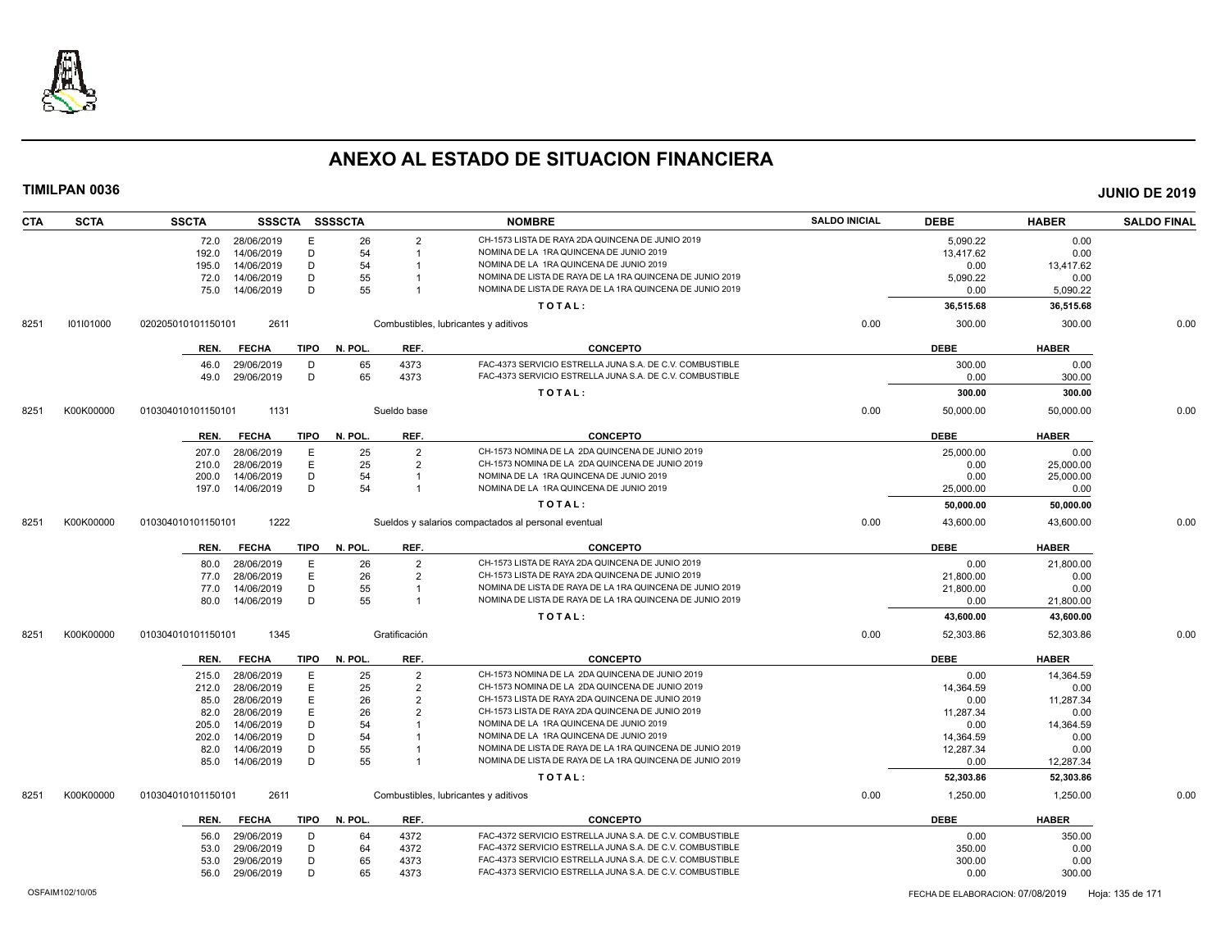

| <b>CTA</b> | <b>SCTA</b> | <b>SSCTA</b>       | <b>SSSCTA</b>   |             | SSSSCTA |                | <b>NOMBRE</b>                                            | <b>SALDO INICIAL</b> | <b>DEBE</b> | <b>HABER</b> | <b>SALDO FINAL</b> |
|------------|-------------|--------------------|-----------------|-------------|---------|----------------|----------------------------------------------------------|----------------------|-------------|--------------|--------------------|
|            |             |                    | 72.0 28/06/2019 | Е           | 26      | $\overline{2}$ | CH-1573 LISTA DE RAYA 2DA QUINCENA DE JUNIO 2019         |                      | 5,090.22    | 0.00         |                    |
|            |             | 192.0              | 14/06/2019      | D           | 54      | -1             | NOMINA DE LA 1RA QUINCENA DE JUNIO 2019                  |                      | 13,417.62   | 0.00         |                    |
|            |             | 195.0              | 14/06/2019      | D           | 54      |                | NOMINA DE LA 1RA QUINCENA DE JUNIO 2019                  |                      | 0.00        | 13.417.62    |                    |
|            |             | 72.0               | 14/06/2019      | D           | 55      |                | NOMINA DE LISTA DE RAYA DE LA 1RA QUINCENA DE JUNIO 2019 |                      | 5,090.22    | 0.00         |                    |
|            |             | 75.0               | 14/06/2019      | D           | 55      |                | NOMINA DE LISTA DE RAYA DE LA 1RA QUINCENA DE JUNIO 2019 |                      | 0.00        | 5,090.22     |                    |
|            |             |                    |                 |             |         |                | TOTAL:                                                   |                      | 36,515.68   | 36,515.68    |                    |
| 8251       | 101101000   | 020205010101150101 | 2611            |             |         |                | Combustibles, lubricantes y aditivos                     | 0.00                 | 300.00      | 300.00       | 0.00               |
|            |             | REN.               | <b>FECHA</b>    | <b>TIPO</b> | N. POL. | REF.           | <b>CONCEPTO</b>                                          |                      | <b>DEBE</b> | <b>HABER</b> |                    |
|            |             | 46.0               | 29/06/2019      | D           | 65      | 4373           | FAC-4373 SERVICIO ESTRELLA JUNA S.A. DE C.V. COMBUSTIBLE |                      | 300.00      | 0.00         |                    |
|            |             | 49.0               | 29/06/2019      | D           | 65      | 4373           | FAC-4373 SERVICIO ESTRELLA JUNA S.A. DE C.V. COMBUSTIBLE |                      | 0.00        | 300.00       |                    |
|            |             |                    |                 |             |         |                | TOTAL:                                                   |                      | 300.00      | 300.00       |                    |
| 8251       | K00K00000   | 010304010101150101 | 1131            |             |         | Sueldo base    |                                                          | 0.00                 | 50.000.00   | 50.000.00    | 0.00               |
|            |             | REN.               | <b>FECHA</b>    | <b>TIPO</b> | N. POL. | REF.           | <b>CONCEPTO</b>                                          |                      | <b>DEBE</b> | <b>HABER</b> |                    |
|            |             | 207.0              | 28/06/2019      | Ε           | 25      | $\overline{2}$ | CH-1573 NOMINA DE LA 2DA QUINCENA DE JUNIO 2019          |                      | 25,000.00   | 0.00         |                    |
|            |             | 210.0              | 28/06/2019      | Ε           | 25      | $\overline{2}$ | CH-1573 NOMINA DE LA 2DA QUINCENA DE JUNIO 2019          |                      | 0.00        | 25,000.00    |                    |
|            |             | 200.0              | 14/06/2019      | D           | 54      | $\overline{1}$ | NOMINA DE LA 1RA QUINCENA DE JUNIO 2019                  |                      | 0.00        | 25,000.00    |                    |
|            |             | 197.0              | 14/06/2019      | D           | 54      | $\overline{1}$ | NOMINA DE LA 1RA QUINCENA DE JUNIO 2019                  |                      | 25,000.00   | 0.00         |                    |
|            |             |                    |                 |             |         |                | TOTAL:                                                   |                      | 50,000.00   | 50,000.00    |                    |
| 8251       | K00K00000   | 010304010101150101 | 1222            |             |         |                | Sueldos y salarios compactados al personal eventual      | 0.00                 | 43,600.00   | 43,600.00    | 0.00               |
|            |             |                    |                 |             |         |                |                                                          |                      |             |              |                    |
|            |             | REN.               | <b>FECHA</b>    | <b>TIPO</b> | N. POL. | REF.           | <b>CONCEPTO</b>                                          |                      | <b>DEBE</b> | <b>HABER</b> |                    |
|            |             | 80.0               | 28/06/2019      | Ε           | 26      | $\overline{2}$ | CH-1573 LISTA DE RAYA 2DA QUINCENA DE JUNIO 2019         |                      | 0.00        | 21,800.00    |                    |
|            |             | 77.0               | 28/06/2019      | E           | 26      | $\overline{2}$ | CH-1573 LISTA DE RAYA 2DA QUINCENA DE JUNIO 2019         |                      | 21,800.00   | 0.00         |                    |
|            |             | 77.0               | 14/06/2019      | D           | 55      | -1             | NOMINA DE LISTA DE RAYA DE LA 1RA QUINCENA DE JUNIO 2019 |                      | 21,800.00   | 0.00         |                    |
|            |             | 80.0               | 14/06/2019      | D           | 55      | $\overline{1}$ | NOMINA DE LISTA DE RAYA DE LA 1RA QUINCENA DE JUNIO 2019 |                      | 0.00        | 21,800.00    |                    |
|            |             |                    |                 |             |         |                | TOTAL:                                                   |                      | 43,600.00   | 43,600.00    |                    |
| 8251       | K00K00000   | 010304010101150101 | 1345            |             |         | Gratificación  |                                                          | 0.00                 | 52,303.86   | 52,303.86    | 0.00               |
|            |             | REN.               | <b>FECHA</b>    | <b>TIPO</b> | N. POL. | REF.           | <b>CONCEPTO</b>                                          |                      | <b>DEBE</b> | <b>HABER</b> |                    |
|            |             | 215.0              | 28/06/2019      | E           | 25      | $\overline{2}$ | CH-1573 NOMINA DE LA 2DA QUINCENA DE JUNIO 2019          |                      | 0.00        | 14,364.59    |                    |
|            |             | 212.0              | 28/06/2019      | E           | 25      | $\overline{2}$ | CH-1573 NOMINA DE LA 2DA QUINCENA DE JUNIO 2019          |                      | 14.364.59   | 0.00         |                    |
|            |             | 85.0               | 28/06/2019      | Ε           | 26      | $\overline{2}$ | CH-1573 LISTA DE RAYA 2DA QUINCENA DE JUNIO 2019         |                      | 0.00        | 11,287.34    |                    |
|            |             | 82.0               | 28/06/2019      | E           | 26      |                | CH-1573 LISTA DE RAYA 2DA QUINCENA DE JUNIO 2019         |                      | 11,287.34   | 0.00         |                    |
|            |             | 205.0              | 14/06/2019      | D           | 54      |                | NOMINA DE LA 1RA QUINCENA DE JUNIO 2019                  |                      | 0.00        | 14,364.59    |                    |
|            |             | 202.0              | 14/06/2019      | D           | 54      |                | NOMINA DE LA 1RA QUINCENA DE JUNIO 2019                  |                      | 14,364.59   | 0.00         |                    |
|            |             | 82.0               | 14/06/2019      | D           | 55      |                | NOMINA DE LISTA DE RAYA DE LA 1RA QUINCENA DE JUNIO 2019 |                      | 12,287.34   | 0.00         |                    |
|            |             | 85.0               | 14/06/2019      | D           | 55      | -1             | NOMINA DE LISTA DE RAYA DE LA 1RA QUINCENA DE JUNIO 2019 |                      | 0.00        | 12,287.34    |                    |
|            |             |                    |                 |             |         |                | TOTAL:                                                   |                      | 52,303.86   | 52,303.86    |                    |
| 8251       | K00K00000   | 010304010101150101 | 2611            |             |         |                | Combustibles, lubricantes y aditivos                     | 0.00                 | 1,250.00    | 1,250.00     | 0.00               |
|            |             | REN.               | <b>FECHA</b>    | <b>TIPO</b> | N. POL. | REF.           | <b>CONCEPTO</b>                                          |                      | <b>DEBE</b> | <b>HABER</b> |                    |
|            |             | 56.0               | 29/06/2019      | D           | 64      | 4372           | FAC-4372 SERVICIO ESTRELLA JUNA S.A. DE C.V. COMBUSTIBLE |                      | 0.00        | 350.00       |                    |
|            |             | 53.0               | 29/06/2019      | D           | 64      | 4372           | FAC-4372 SERVICIO ESTRELLA JUNA S.A. DE C.V. COMBUSTIBLE |                      | 350.00      | 0.00         |                    |
|            |             | 53.0               | 29/06/2019      | D           | 65      | 4373           | FAC-4373 SERVICIO ESTRELLA JUNA S.A. DE C.V. COMBUSTIBLE |                      | 300.00      | 0.00         |                    |
|            |             | 56.0               | 29/06/2019      | D           | 65      | 4373           | FAC-4373 SERVICIO ESTRELLA JUNA S.A. DE C.V. COMBUSTIBLE |                      | 0.00        | 300.00       |                    |
|            |             |                    |                 |             |         |                |                                                          |                      |             |              |                    |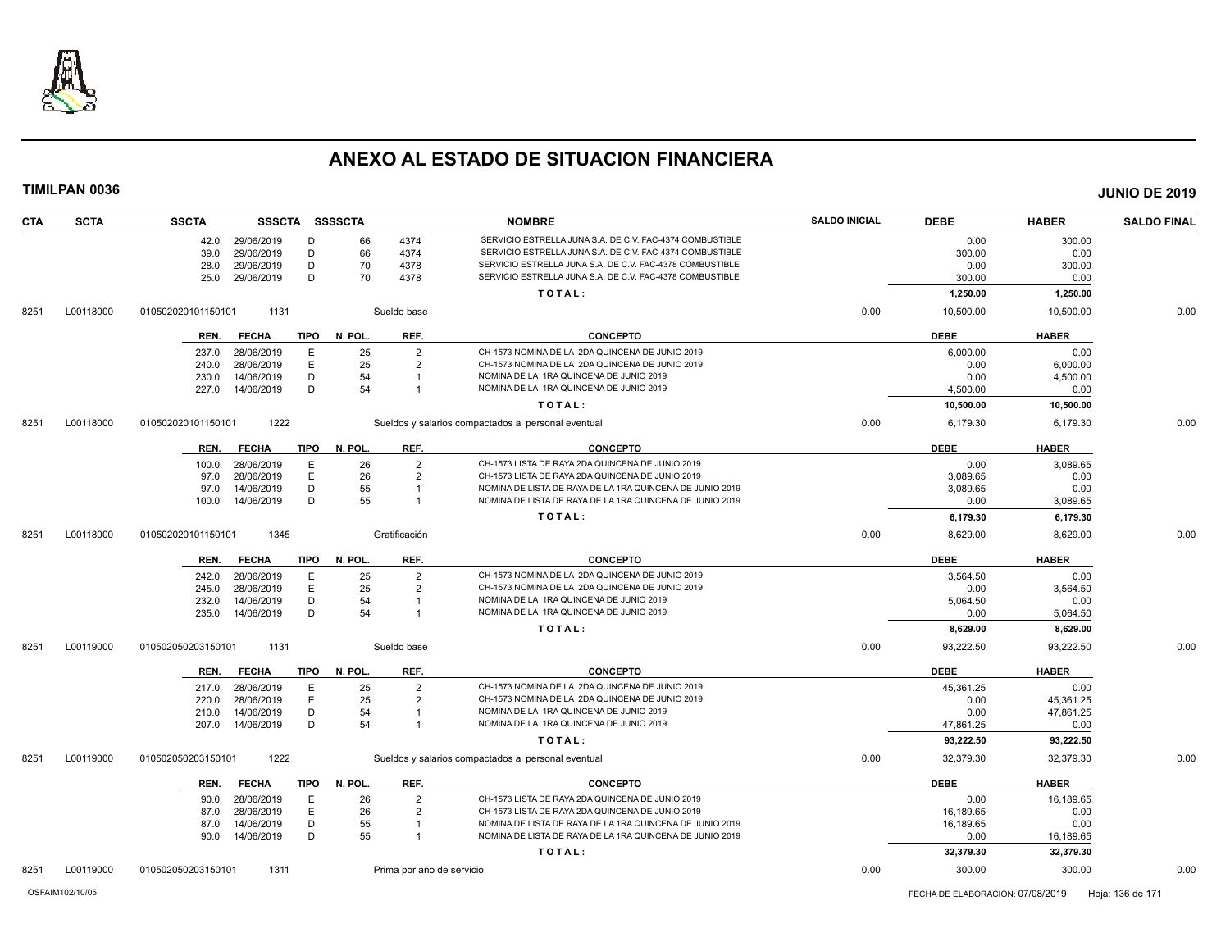

| <b>CTA</b><br><b>SCTA</b> | <b>SSCTA</b>               |             | SSSCTA SSSSCTA |                           | <b>NOMBRE</b>                                            | <b>SALDO INICIAL</b> | <b>DEBE</b> | <b>HABER</b> | <b>SALDO FINAL</b> |
|---------------------------|----------------------------|-------------|----------------|---------------------------|----------------------------------------------------------|----------------------|-------------|--------------|--------------------|
|                           | 29/06/2019<br>42.0         | D           | 66             | 4374                      | SERVICIO ESTRELLA JUNA S.A. DE C.V. FAC-4374 COMBUSTIBLE |                      | 0.00        | 300.00       |                    |
|                           | 29/06/2019<br>39.0         | D           | 66             | 4374                      | SERVICIO ESTRELLA JUNA S.A. DE C.V. FAC-4374 COMBUSTIBLE |                      | 300.00      | 0.00         |                    |
|                           | 29/06/2019<br>28.0         | D           | 70             | 4378                      | SERVICIO ESTRELLA JUNA S.A. DE C.V. FAC-4378 COMBUSTIBLE |                      | 0.00        | 300.00       |                    |
|                           | 29/06/2019<br>25.0         | D           | 70             | 4378                      | SERVICIO ESTRELLA JUNA S.A. DE C.V. FAC-4378 COMBUSTIBLE |                      | 300.00      | 0.00         |                    |
|                           |                            |             |                |                           | TOTAL:                                                   |                      | 1,250.00    | 1,250.00     |                    |
| L00118000<br>8251         | 010502020101150101<br>1131 |             |                | Sueldo base               |                                                          | 0.00                 | 10,500.00   | 10,500.00    | 0.00               |
|                           | <b>FECHA</b><br>REN.       | <b>TIPO</b> | N. POL.        | REF.                      | <b>CONCEPTO</b>                                          |                      | <b>DEBE</b> | <b>HABER</b> |                    |
|                           | 237.0<br>28/06/2019        | E           | 25             | $\overline{2}$            | CH-1573 NOMINA DE LA 2DA QUINCENA DE JUNIO 2019          |                      | 6,000.00    | 0.00         |                    |
|                           | 28/06/2019<br>240.0        | Ε           | 25             | $\overline{2}$            | CH-1573 NOMINA DE LA 2DA QUINCENA DE JUNIO 2019          |                      | 0.00        | 6,000.00     |                    |
|                           | 14/06/2019<br>230.0        | D           | 54             | $\overline{1}$            | NOMINA DE LA 1RA QUINCENA DE JUNIO 2019                  |                      | 0.00        | 4,500.00     |                    |
|                           | 227.0<br>14/06/2019        | D           | 54             |                           | NOMINA DE LA 1RA QUINCENA DE JUNIO 2019                  |                      | 4,500.00    | 0.00         |                    |
|                           |                            |             |                |                           | TOTAL:                                                   |                      | 10,500.00   | 10,500.00    |                    |
| L00118000<br>8251         | 1222<br>010502020101150101 |             |                |                           | Sueldos y salarios compactados al personal eventual      | 0.00                 | 6,179.30    | 6,179.30     | 0.00               |
|                           | <b>FECHA</b><br>REN.       | <b>TIPO</b> | N. POL.        | REF.                      | <b>CONCEPTO</b>                                          |                      | <b>DEBE</b> | <b>HABER</b> |                    |
|                           | 28/06/2019<br>100.0        | E           | 26             | $\overline{2}$            | CH-1573 LISTA DE RAYA 2DA QUINCENA DE JUNIO 2019         |                      | 0.00        | 3,089.65     |                    |
|                           | 28/06/2019<br>97.0         | E           | 26             | $\overline{2}$            | CH-1573 LISTA DE RAYA 2DA QUINCENA DE JUNIO 2019         |                      | 3,089.65    | 0.00         |                    |
|                           | 14/06/2019<br>97.0         | D           | 55             |                           | NOMINA DE LISTA DE RAYA DE LA 1RA QUINCENA DE JUNIO 2019 |                      | 3,089.65    | 0.00         |                    |
|                           | 14/06/2019<br>100.0        | D           | 55             | -1                        | NOMINA DE LISTA DE RAYA DE LA 1RA QUINCENA DE JUNIO 2019 |                      | 0.00        | 3,089.65     |                    |
|                           |                            |             |                |                           | TOTAL:                                                   |                      | 6,179.30    | 6,179.30     |                    |
| 8251<br>L00118000         | 1345<br>010502020101150101 |             |                | Gratificación             |                                                          | 0.00                 | 8,629.00    | 8,629.00     | 0.00               |
|                           | REN.<br><b>FECHA</b>       | <b>TIPO</b> | N. POL.        | REF.                      | <b>CONCEPTO</b>                                          |                      | <b>DEBE</b> | <b>HABER</b> |                    |
|                           | 28/06/2019<br>242.0        | E           | 25             | $\overline{2}$            | CH-1573 NOMINA DE LA 2DA QUINCENA DE JUNIO 2019          |                      | 3,564.50    | 0.00         |                    |
|                           | 245.0<br>28/06/2019        | E           | 25             | $\overline{2}$            | CH-1573 NOMINA DE LA 2DA QUINCENA DE JUNIO 2019          |                      | 0.00        | 3,564.50     |                    |
|                           | 14/06/2019<br>232.0        | D           | 54             |                           | NOMINA DE LA 1RA QUINCENA DE JUNIO 2019                  |                      | 5,064.50    | 0.00         |                    |
|                           | 14/06/2019<br>235.0        | D           | 54             | $\overline{1}$            | NOMINA DE LA 1RA QUINCENA DE JUNIO 2019                  |                      | 0.00        | 5,064.50     |                    |
|                           |                            |             |                |                           | TOTAL:                                                   |                      | 8,629.00    | 8,629.00     |                    |
| L00119000<br>8251         | 1131<br>010502050203150101 |             |                | Sueldo base               |                                                          | 0.00                 | 93.222.50   | 93.222.50    | 0.00               |
|                           | REN.<br><b>FECHA</b>       | <b>TIPO</b> | N. POL.        | REF.                      | <b>CONCEPTO</b>                                          |                      | <b>DEBE</b> | <b>HABER</b> |                    |
|                           | 28/06/2019<br>217.0        | E           | 25             | $\overline{2}$            | CH-1573 NOMINA DE LA 2DA QUINCENA DE JUNIO 2019          |                      | 45,361.25   | 0.00         |                    |
|                           | 28/06/2019<br>220.0        | Ε           | 25             | $\overline{2}$            | CH-1573 NOMINA DE LA 2DA QUINCENA DE JUNIO 2019          |                      | 0.00        | 45,361.25    |                    |
|                           | 14/06/2019<br>210.0        | D           | 54             |                           | NOMINA DE LA 1RA QUINCENA DE JUNIO 2019                  |                      | 0.00        | 47,861.25    |                    |
|                           | 14/06/2019<br>207.0        | D           | 54             |                           | NOMINA DE LA 1RA QUINCENA DE JUNIO 2019                  |                      | 47,861.25   | 0.00         |                    |
|                           |                            |             |                |                           | TOTAL:                                                   |                      | 93,222.50   | 93,222.50    |                    |
| L00119000<br>8251         | 1222<br>010502050203150101 |             |                |                           | Sueldos y salarios compactados al personal eventual      | 0.00                 | 32,379.30   | 32,379.30    | 0.00               |
|                           | <b>FECHA</b><br>REN.       | <b>TIPO</b> | N. POL.        | REF.                      | <b>CONCEPTO</b>                                          |                      | <b>DEBE</b> | <b>HABER</b> |                    |
|                           | 28/06/2019<br>90.0         | E           | 26             | 2                         | CH-1573 LISTA DE RAYA 2DA QUINCENA DE JUNIO 2019         |                      | 0.00        | 16,189.65    |                    |
|                           | 28/06/2019<br>87.0         | E           | 26             | 2                         | CH-1573 LISTA DE RAYA 2DA QUINCENA DE JUNIO 2019         |                      | 16.189.65   | 0.00         |                    |
|                           | 14/06/2019<br>87.0         | D           | 55             | -1                        | NOMINA DE LISTA DE RAYA DE LA 1RA QUINCENA DE JUNIO 2019 |                      | 16,189.65   | 0.00         |                    |
|                           | 14/06/2019<br>90.0         | D           | 55             | $\mathbf{1}$              | NOMINA DE LISTA DE RAYA DE LA 1RA QUINCENA DE JUNIO 2019 |                      | 0.00        | 16,189.65    |                    |
|                           |                            |             |                |                           | TOTAL:                                                   |                      | 32,379.30   | 32,379.30    |                    |
| 8251<br>L00119000         | 1311<br>010502050203150101 |             |                | Prima por año de servicio |                                                          | 0.00                 | 300.00      | 300.00       | 0.00               |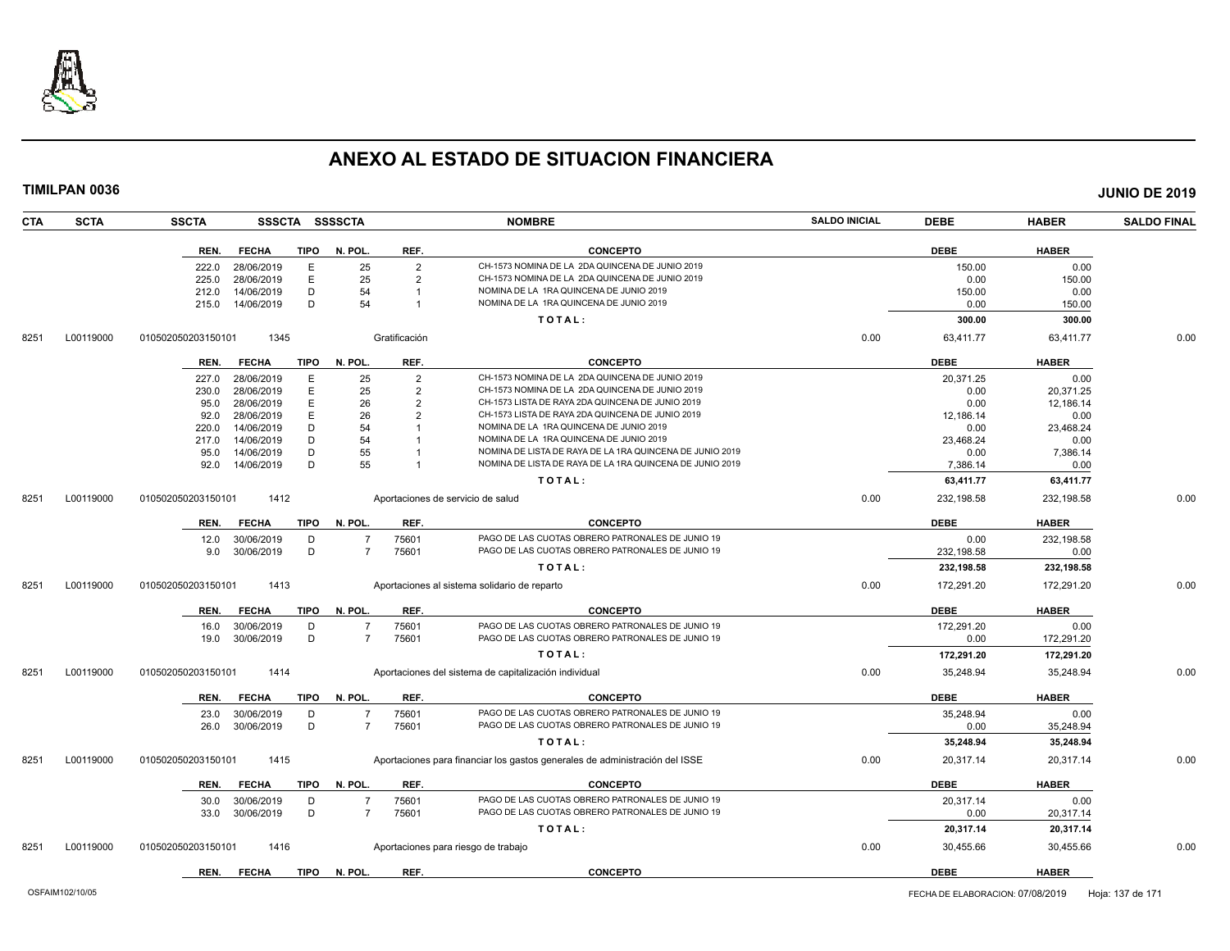

| <b>CTA</b> | <b>SCTA</b> | <b>SSCTA</b><br><b>SSSCTA</b>       | <b>SSSSCTA</b> |                | <b>NOMBRE</b>                                                               | <b>SALDO INICIAL</b> | <b>DEBE</b> | <b>HABER</b> | <b>SALDO FINAL</b> |
|------------|-------------|-------------------------------------|----------------|----------------|-----------------------------------------------------------------------------|----------------------|-------------|--------------|--------------------|
|            |             | REN.<br><b>FECHA</b><br><b>TIPO</b> | N. POL.        | REF.           | <b>CONCEPTO</b>                                                             |                      | <b>DEBE</b> | <b>HABER</b> |                    |
|            |             | 28/06/2019<br>E<br>222.0            | 25             | $\overline{2}$ | CH-1573 NOMINA DE LA 2DA QUINCENA DE JUNIO 2019                             |                      | 150.00      | 0.00         |                    |
|            |             | Ε<br>28/06/2019<br>225.0            | 25             | $\overline{2}$ | CH-1573 NOMINA DE LA 2DA QUINCENA DE JUNIO 2019                             |                      | 0.00        | 150.00       |                    |
|            |             | 14/06/2019<br>D<br>212.0            | 54             |                | NOMINA DE LA 1RA QUINCENA DE JUNIO 2019                                     |                      | 150.00      | 0.00         |                    |
|            |             | D<br>215.0<br>14/06/2019            | 54             |                | NOMINA DE LA 1RA QUINCENA DE JUNIO 2019                                     |                      | 0.00        | 150.00       |                    |
|            |             |                                     |                |                | TOTAL:                                                                      |                      | 300.00      | 300.00       |                    |
| 8251       | L00119000   | 1345<br>010502050203150101          |                | Gratificación  |                                                                             | 0.00                 | 63,411.77   | 63,411.77    | 0.00               |
|            |             | <b>TIPO</b><br>REN.<br><b>FECHA</b> | N. POL.        | REF.           | <b>CONCEPTO</b>                                                             |                      | <b>DEBE</b> | <b>HABER</b> |                    |
|            |             | 28/06/2019<br>Е<br>227.0            | 25             | $\overline{2}$ | CH-1573 NOMINA DE LA 2DA QUINCENA DE JUNIO 2019                             |                      | 20,371.25   | 0.00         |                    |
|            |             | 28/06/2019<br>E<br>230.0            | 25             | $\overline{2}$ | CH-1573 NOMINA DE LA 2DA QUINCENA DE JUNIO 2019                             |                      | 0.00        | 20,371.25    |                    |
|            |             | E<br>28/06/2019<br>95.0             | 26             | $\overline{2}$ | CH-1573 LISTA DE RAYA 2DA QUINCENA DE JUNIO 2019                            |                      | 0.00        | 12,186.14    |                    |
|            |             | E<br>28/06/2019<br>92.0             | 26             | $\overline{2}$ | CH-1573 LISTA DE RAYA 2DA QUINCENA DE JUNIO 2019                            |                      | 12,186.14   | 0.00         |                    |
|            |             | 14/06/2019<br>D<br>220.0            | 54             |                | NOMINA DE LA 1RA QUINCENA DE JUNIO 2019                                     |                      | 0.00        | 23,468.24    |                    |
|            |             | 14/06/2019<br>D<br>217.0            | 54             |                | NOMINA DE LA 1RA QUINCENA DE JUNIO 2019                                     |                      | 23,468.24   | 0.00         |                    |
|            |             | 14/06/2019<br>D<br>95.0             | 55             |                | NOMINA DE LISTA DE RAYA DE LA 1RA QUINCENA DE JUNIO 2019                    |                      | 0.00        | 7,386.14     |                    |
|            |             | D<br>14/06/2019<br>92.0             | 55             |                | NOMINA DE LISTA DE RAYA DE LA 1RA QUINCENA DE JUNIO 2019                    |                      | 7.386.14    | 0.00         |                    |
|            |             |                                     |                |                | TOTAL:                                                                      |                      | 63,411.77   | 63,411.77    |                    |
| 8251       | L00119000   | 1412<br>010502050203150101          |                |                | Aportaciones de servicio de salud                                           | 0.00                 | 232,198.58  | 232,198.58   | 0.00               |
|            |             | <b>TIPO</b><br>REN.<br><b>FECHA</b> | N. POL.        | REF.           | <b>CONCEPTO</b>                                                             |                      | <b>DEBE</b> | <b>HABER</b> |                    |
|            |             | 12.0<br>30/06/2019<br>D             | $\overline{7}$ | 75601          | PAGO DE LAS CUOTAS OBRERO PATRONALES DE JUNIO 19                            |                      | 0.00        | 232,198.58   |                    |
|            |             | D<br>30/06/2019<br>9.0              | $\overline{7}$ | 75601          | PAGO DE LAS CUOTAS OBRERO PATRONALES DE JUNIO 19                            |                      | 232,198.58  | 0.00         |                    |
|            |             |                                     |                |                | TOTAL:                                                                      |                      | 232,198.58  | 232,198.58   |                    |
| 8251       | L00119000   | 1413<br>010502050203150101          |                |                | Aportaciones al sistema solidario de reparto                                | 0.00                 | 172,291.20  | 172.291.20   | 0.00               |
|            |             | REN.<br><b>FECHA</b><br><b>TIPO</b> | N. POL.        | REF.           | <b>CONCEPTO</b>                                                             |                      | <b>DEBE</b> | <b>HABER</b> |                    |
|            |             | 16.0<br>30/06/2019<br>D             | $\overline{7}$ | 75601          | PAGO DE LAS CUOTAS OBRERO PATRONALES DE JUNIO 19                            |                      | 172,291.20  | 0.00         |                    |
|            |             | D<br>30/06/2019<br>19.0             | $\overline{7}$ | 75601          | PAGO DE LAS CUOTAS OBRERO PATRONALES DE JUNIO 19                            |                      | 0.00        | 172,291.20   |                    |
|            |             |                                     |                |                | TOTAL:                                                                      |                      | 172,291.20  | 172,291.20   |                    |
| 8251       | L00119000   | 010502050203150101<br>1414          |                |                | Aportaciones del sistema de capitalización individual                       | 0.00                 | 35,248.94   | 35,248.94    | 0.00               |
|            |             |                                     |                |                |                                                                             |                      |             |              |                    |
|            |             | <b>TIPO</b><br>REN.<br><b>FECHA</b> | N. POL.        | REF.           | <b>CONCEPTO</b>                                                             |                      | <b>DEBE</b> | <b>HABER</b> |                    |
|            |             | 30/06/2019<br>23.0<br>D             | $\overline{7}$ | 75601          | PAGO DE LAS CUOTAS OBRERO PATRONALES DE JUNIO 19                            |                      | 35.248.94   | 0.00         |                    |
|            |             | D<br>26.0<br>30/06/2019             | $\overline{7}$ | 75601          | PAGO DE LAS CUOTAS OBRERO PATRONALES DE JUNIO 19                            |                      | 0.00        | 35,248.94    |                    |
|            |             |                                     |                |                | TOTAL:                                                                      |                      | 35,248.94   | 35,248.94    |                    |
| 8251       | L00119000   | 010502050203150101<br>1415          |                |                | Aportaciones para financiar los gastos generales de administración del ISSE | 0.00                 | 20,317.14   | 20,317.14    | 0.00               |
|            |             | <b>TIPO</b><br>REN.<br><b>FECHA</b> | N. POL.        | REF.           | <b>CONCEPTO</b>                                                             |                      | <b>DEBE</b> | <b>HABER</b> |                    |
|            |             | 30/06/2019<br>30.0<br>D             | -7             | 75601          | PAGO DE LAS CUOTAS OBRERO PATRONALES DE JUNIO 19                            |                      | 20.317.14   | 0.00         |                    |
|            |             | D<br>30/06/2019<br>33.0             | $\overline{7}$ | 75601          | PAGO DE LAS CUOTAS OBRERO PATRONALES DE JUNIO 19                            |                      | 0.00        | 20,317.14    |                    |
|            |             |                                     |                |                | TOTAL:                                                                      |                      | 20,317.14   | 20,317.14    |                    |
| 8251       | L00119000   | 010502050203150101<br>1416          |                |                | Aportaciones para riesgo de trabajo                                         | 0.00                 | 30,455.66   | 30,455.66    | 0.00               |
|            |             | <b>TIPO</b><br>REN.<br><b>FECHA</b> | N. POL         | REF.           | <b>CONCEPTO</b>                                                             |                      | <b>DEBE</b> | <b>HABER</b> |                    |
|            |             |                                     |                |                |                                                                             |                      |             |              |                    |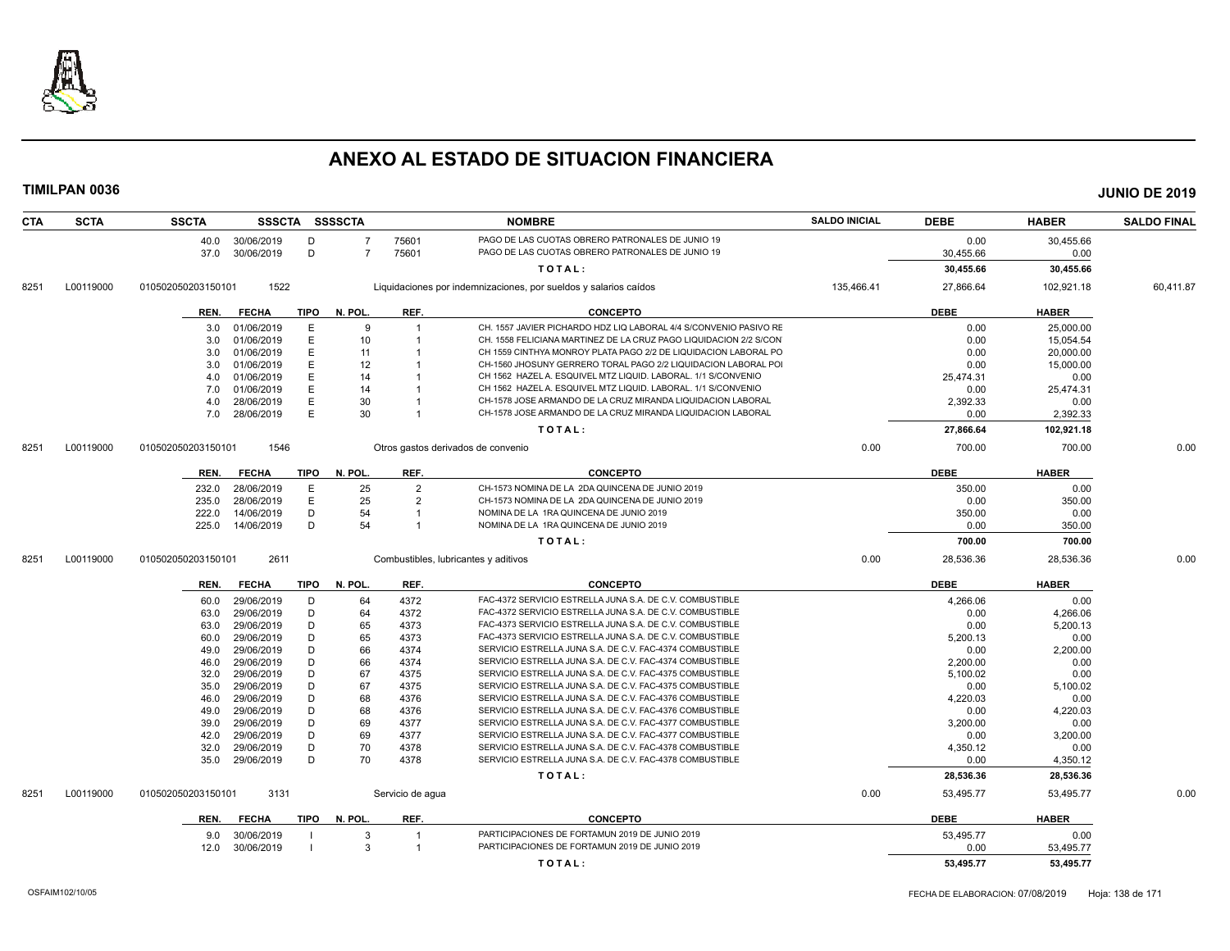

| <b>CTA</b> | <b>SCTA</b> | <b>SSCTA</b>                             |             | SSSCTA SSSSCTA |                  | <b>NOMBRE</b>                                                                                                        | <b>SALDO INICIAL</b> | <b>DEBE</b>      | <b>HABER</b>     | <b>SALDO FINAL</b> |
|------------|-------------|------------------------------------------|-------------|----------------|------------------|----------------------------------------------------------------------------------------------------------------------|----------------------|------------------|------------------|--------------------|
|            |             | 30/06/2019<br>40.0                       | D           | $\overline{7}$ | 75601            | PAGO DE LAS CUOTAS OBRERO PATRONALES DE JUNIO 19                                                                     |                      | 0.00             | 30,455.66        |                    |
|            |             | 30/06/2019<br>37.0                       | D           | $\overline{7}$ | 75601            | PAGO DE LAS CUOTAS OBRERO PATRONALES DE JUNIO 19                                                                     |                      | 30,455.66        | 0.00             |                    |
|            |             |                                          |             |                |                  | TOTAL:                                                                                                               |                      | 30,455.66        | 30,455.66        |                    |
| 8251       | L00119000   | 1522<br>010502050203150101               |             |                |                  | Liquidaciones por indemnizaciones, por sueldos y salarios caídos                                                     | 135,466.41           | 27,866.64        | 102,921.18       | 60,411.87          |
|            |             | <b>FECHA</b><br>REN.                     | <b>TIPO</b> | N. POL.        | REF.             | <b>CONCEPTO</b>                                                                                                      |                      | <b>DEBE</b>      | <b>HABER</b>     |                    |
|            |             | 01/06/2019<br>3.0                        | Е           | 9              | $\overline{1}$   | CH. 1557 JAVIER PICHARDO HDZ LIQ LABORAL 4/4 S/CONVENIO PASIVO RE                                                    |                      | 0.00             | 25,000.00        |                    |
|            |             | 01/06/2019<br>3.0                        | Ε           | 10             |                  | CH. 1558 FELICIANA MARTINEZ DE LA CRUZ PAGO LIQUIDACION 2/2 S/CON                                                    |                      | 0.00             | 15,054.54        |                    |
|            |             | 01/06/2019<br>3.0                        | E           | 11             |                  | CH 1559 CINTHYA MONROY PLATA PAGO 2/2 DE LIQUIDACION LABORAL PO                                                      |                      | 0.00             | 20,000.00        |                    |
|            |             | 01/06/2019<br>3.0                        | E           | 12             |                  | CH-1560 JHOSUNY GERRERO TORAL PAGO 2/2 LIQUIDACION LABORAL POI                                                       |                      | 0.00             | 15,000.00        |                    |
|            |             | 01/06/2019<br>4.0                        | E           | 14             |                  | CH 1562 HAZEL A. ESQUIVEL MTZ LIQUID. LABORAL. 1/1 S/CONVENIO                                                        |                      | 25,474.31        | 0.00             |                    |
|            |             | 01/06/2019<br>7.0                        | E           | 14             |                  | CH 1562 HAZEL A. ESQUIVEL MTZ LIQUID. LABORAL. 1/1 S/CONVENIO                                                        |                      | 0.00             | 25,474.31        |                    |
|            |             | 28/06/2019<br>4.0                        | E           | 30             |                  | CH-1578 JOSE ARMANDO DE LA CRUZ MIRANDA LIQUIDACION LABORAL                                                          |                      | 2,392.33         | 0.00             |                    |
|            |             | 28/06/2019<br>7.0                        | E           | 30             |                  | CH-1578 JOSE ARMANDO DE LA CRUZ MIRANDA LIQUIDACION LABORAL                                                          |                      | 0.00             | 2,392.33         |                    |
|            |             |                                          |             |                |                  | TOTAL:                                                                                                               |                      | 27,866.64        | 102,921.18       |                    |
| 8251       | L00119000   | 1546<br>010502050203150101               |             |                |                  | Otros gastos derivados de convenio                                                                                   | 0.00                 | 700.00           | 700.00           | 0.00               |
|            |             | <b>FECHA</b><br>REN.                     | <b>TIPO</b> | N. POL.        | REF.             | <b>CONCEPTO</b>                                                                                                      |                      | <b>DEBE</b>      | <b>HABER</b>     |                    |
|            |             | 28/06/2019<br>232.0                      | Е           | 25             | $\overline{2}$   | CH-1573 NOMINA DE LA 2DA QUINCENA DE JUNIO 2019                                                                      |                      | 350.00           | 0.00             |                    |
|            |             | 235.0<br>28/06/2019                      | E           | 25             | $\overline{2}$   | CH-1573 NOMINA DE LA 2DA QUINCENA DE JUNIO 2019                                                                      |                      | 0.00             | 350.00           |                    |
|            |             | 222.0<br>14/06/2019                      | D           | 54             |                  | NOMINA DE LA 1RA QUINCENA DE JUNIO 2019                                                                              |                      | 350.00           | 0.00             |                    |
|            |             | 225.0<br>14/06/2019                      | D           | 54             | $\overline{1}$   | NOMINA DE LA 1RA QUINCENA DE JUNIO 2019                                                                              |                      | 0.00             | 350.00           |                    |
|            |             |                                          |             |                |                  | TOTAL:                                                                                                               |                      | 700.00           | 700.00           |                    |
| 8251       | L00119000   | 2611<br>010502050203150101               |             |                |                  | Combustibles, lubricantes y aditivos                                                                                 | 0.00                 | 28,536.36        | 28,536.36        | 0.00               |
|            |             |                                          |             |                |                  |                                                                                                                      |                      |                  |                  |                    |
|            |             | <b>FECHA</b><br>REN.                     | <b>TIPO</b> | N. POL.        | REF.             | <b>CONCEPTO</b>                                                                                                      |                      | <b>DEBE</b>      | <b>HABER</b>     |                    |
|            |             | 29/06/2019<br>60.0                       | D           | 64             | 4372             | FAC-4372 SERVICIO ESTRELLA JUNA S.A. DE C.V. COMBUSTIBLE                                                             |                      | 4.266.06         | 0.00             |                    |
|            |             | 29/06/2019<br>63.0                       | D           | 64             | 4372             | FAC-4372 SERVICIO ESTRELLA JUNA S.A. DE C.V. COMBUSTIBLE                                                             |                      | 0.00             | 4,266.06         |                    |
|            |             | 29/06/2019<br>63.0                       | D           | 65             | 4373             | FAC-4373 SERVICIO ESTRELLA JUNA S.A. DE C.V. COMBUSTIBLE                                                             |                      | 0.00             | 5,200.13         |                    |
|            |             | 29/06/2019<br>60.0                       | D           | 65             | 4373             | FAC-4373 SERVICIO ESTRELLA JUNA S.A. DE C.V. COMBUSTIBLE                                                             |                      | 5,200.13         | 0.00             |                    |
|            |             | 29/06/2019<br>49.0<br>29/06/2019<br>46.0 | D<br>D      | 66<br>66       | 4374<br>4374     | SERVICIO ESTRELLA JUNA S.A. DE C.V. FAC-4374 COMBUSTIBLE<br>SERVICIO ESTRELLA JUNA S.A. DE C.V. FAC-4374 COMBUSTIBLE |                      | 0.00<br>2,200.00 | 2,200.00<br>0.00 |                    |
|            |             | 29/06/2019                               | D           | 67             | 4375             | SERVICIO ESTRELLA JUNA S.A. DE C.V. FAC-4375 COMBUSTIBLE                                                             |                      |                  |                  |                    |
|            |             | 32.0<br>29/06/2019<br>35.0               | D           | 67             | 4375             | SERVICIO ESTRELLA JUNA S.A. DE C.V. FAC-4375 COMBUSTIBLE                                                             |                      | 5,100.02<br>0.00 | 0.00<br>5,100.02 |                    |
|            |             | 29/06/2019<br>46.0                       | D           | 68             | 4376             | SERVICIO ESTRELLA JUNA S.A. DE C.V. FAC-4376 COMBUSTIBLE                                                             |                      | 4,220.03         | 0.00             |                    |
|            |             | 29/06/2019<br>49.0                       | D           | 68             | 4376             | SERVICIO ESTRELLA JUNA S.A. DE C.V. FAC-4376 COMBUSTIBLE                                                             |                      | 0.00             | 4,220.03         |                    |
|            |             | 29/06/2019<br>39.0                       | D           | 69             | 4377             | SERVICIO ESTRELLA JUNA S.A. DE C.V. FAC-4377 COMBUSTIBLE                                                             |                      | 3,200.00         | 0.00             |                    |
|            |             | 29/06/2019<br>42.0                       | D           | 69             | 4377             | SERVICIO ESTRELLA JUNA S.A. DE C.V. FAC-4377 COMBUSTIBLE                                                             |                      | 0.00             | 3,200.00         |                    |
|            |             | 29/06/2019<br>32.0                       | D           | 70             | 4378             | SERVICIO ESTRELLA JUNA S.A. DE C.V. FAC-4378 COMBUSTIBLE                                                             |                      | 4,350.12         | 0.00             |                    |
|            |             | 29/06/2019<br>35.0                       | D           | 70             | 4378             | SERVICIO ESTRELLA JUNA S.A. DE C.V. FAC-4378 COMBUSTIBLE                                                             |                      | 0.00             | 4,350.12         |                    |
|            |             |                                          |             |                |                  | TOTAL:                                                                                                               |                      | 28,536.36        | 28,536.36        |                    |
|            |             |                                          |             |                |                  |                                                                                                                      |                      |                  |                  |                    |
| 8251       | L00119000   | 3131<br>010502050203150101               |             |                | Servicio de agua |                                                                                                                      | 0.00                 | 53,495.77        | 53,495.77        | 0.00               |
|            |             | <b>FECHA</b><br>REN.                     | TIPO        | N. POL.        | REF.             | <b>CONCEPTO</b>                                                                                                      |                      | <b>DEBE</b>      | <b>HABER</b>     |                    |
|            |             | 30/06/2019<br>9.0                        |             | 3              |                  | PARTICIPACIONES DE FORTAMUN 2019 DE JUNIO 2019                                                                       |                      | 53,495.77        | 0.00             |                    |
|            |             | 30/06/2019<br>12.0                       |             | $\mathcal{R}$  | $\mathbf{1}$     | PARTICIPACIONES DE FORTAMUN 2019 DE JUNIO 2019                                                                       |                      | 0.00             | 53,495.77        |                    |
|            |             |                                          |             |                |                  | TOTAL:                                                                                                               |                      | 53,495.77        | 53,495.77        |                    |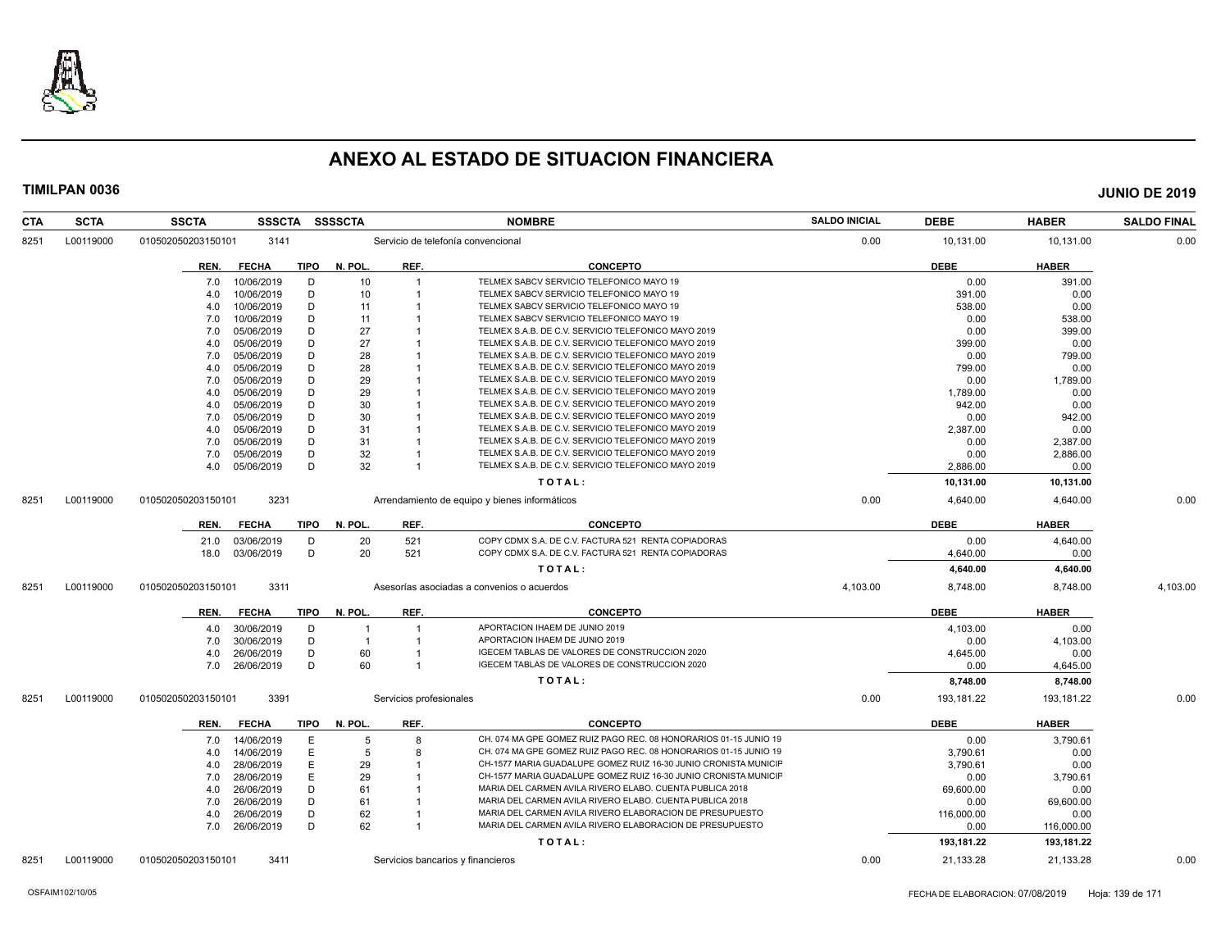

| <b>CTA</b> | <b>SCTA</b> | <b>SSCTA</b>       | <b>SSSCTA</b>   |             | <b>SSSSCTA</b> |                         | <b>NOMBRE</b>                                                    | <b>SALDO INICIAL</b> | <b>DEBE</b> | <b>HABER</b> | <b>SALDO FINAL</b> |
|------------|-------------|--------------------|-----------------|-------------|----------------|-------------------------|------------------------------------------------------------------|----------------------|-------------|--------------|--------------------|
| 8251       | L00119000   | 010502050203150101 | 3141            |             |                |                         | Servicio de telefonía convencional                               | 0.00                 | 10,131.00   | 10,131.00    | 0.00               |
|            |             | REN.               | <b>FECHA</b>    | TIPO        | N. POL.        | REF.                    | <b>CONCEPTO</b>                                                  |                      | <b>DEBE</b> | <b>HABER</b> |                    |
|            |             | 7.0                | 10/06/2019      | D           | 10             |                         | TELMEX SABCV SERVICIO TELEFONICO MAYO 19                         |                      | 0.00        | 391.00       |                    |
|            |             | 4.0                | 10/06/2019      | D           | 10             |                         | TELMEX SABCV SERVICIO TELEFONICO MAYO 19                         |                      | 391.00      | 0.00         |                    |
|            |             | 4.0                | 10/06/2019      | D           | 11             |                         | TELMEX SABCV SERVICIO TELEFONICO MAYO 19                         |                      | 538.00      | 0.00         |                    |
|            |             | 7.0                | 10/06/2019      | D           | 11             |                         | TELMEX SABCV SERVICIO TELEFONICO MAYO 19                         |                      | 0.00        | 538.00       |                    |
|            |             | 7.0                | 05/06/2019      | D           | 27             |                         | TELMEX S.A.B. DE C.V. SERVICIO TELEFONICO MAYO 2019              |                      | 0.00        | 399.00       |                    |
|            |             | 4.0                | 05/06/2019      | D           | 27             |                         | TELMEX S.A.B. DE C.V. SERVICIO TELEFONICO MAYO 2019              |                      | 399.00      | 0.00         |                    |
|            |             | 7.0                | 05/06/2019      | D           | 28             |                         | TELMEX S.A.B. DE C.V. SERVICIO TELEFONICO MAYO 2019              |                      | 0.00        | 799.00       |                    |
|            |             | 4.0                | 05/06/2019      | D           | 28             |                         | TELMEX S.A.B. DE C.V. SERVICIO TELEFONICO MAYO 2019              |                      | 799.00      | 0.00         |                    |
|            |             | 7.0                | 05/06/2019      | D           | 29             |                         | TELMEX S.A.B. DE C.V. SERVICIO TELEFONICO MAYO 2019              |                      | 0.00        | 1,789.00     |                    |
|            |             | 4.0                | 05/06/2019      | D           | 29             |                         | TELMEX S.A.B. DE C.V. SERVICIO TELEFONICO MAYO 2019              |                      | 1,789.00    | 0.00         |                    |
|            |             | 4.0                | 05/06/2019      | D           | 30             |                         | TELMEX S.A.B. DE C.V. SERVICIO TELEFONICO MAYO 2019              |                      | 942.00      | 0.00         |                    |
|            |             | 7.0                | 05/06/2019      | D           | 30             |                         | TELMEX S.A.B. DE C.V. SERVICIO TELEFONICO MAYO 2019              |                      | 0.00        | 942.00       |                    |
|            |             | 4.0                | 05/06/2019      | D           | 31             |                         | TELMEX S.A.B. DE C.V. SERVICIO TELEFONICO MAYO 2019              |                      | 2,387.00    | 0.00         |                    |
|            |             | 7.0                | 05/06/2019      | D           | 31             |                         | TELMEX S.A.B. DE C.V. SERVICIO TELEFONICO MAYO 2019              |                      | 0.00        | 2,387.00     |                    |
|            |             | 7.0                | 05/06/2019      | D           | 32             |                         | TELMEX S.A.B. DE C.V. SERVICIO TELEFONICO MAYO 2019              |                      | 0.00        | 2,886.00     |                    |
|            |             |                    | 4.0 05/06/2019  | D           | 32             | $\overline{1}$          | TELMEX S.A.B. DE C.V. SERVICIO TELEFONICO MAYO 2019              |                      | 2,886.00    | 0.00         |                    |
|            |             |                    |                 |             |                |                         | TOTAL:                                                           |                      | 10,131.00   | 10,131.00    |                    |
| 8251       | L00119000   | 010502050203150101 | 3231            |             |                |                         | Arrendamiento de equipo y bienes informáticos                    | 0.00                 | 4,640.00    | 4.640.00     | 0.00               |
|            |             | REN.               | <b>FECHA</b>    | TIPO        | N. POL.        | REF.                    | <b>CONCEPTO</b>                                                  |                      | <b>DEBE</b> | <b>HABER</b> |                    |
|            |             | 21.0               | 03/06/2019      | D           | 20             | 521                     | COPY CDMX S.A. DE C.V. FACTURA 521 RENTA COPIADORAS              |                      | 0.00        | 4,640.00     |                    |
|            |             |                    | 18.0 03/06/2019 | D           | 20             | 521                     | COPY CDMX S.A. DE C.V. FACTURA 521 RENTA COPIADORAS              |                      | 4,640.00    | 0.00         |                    |
|            |             |                    |                 |             |                |                         |                                                                  |                      |             |              |                    |
|            |             |                    |                 |             |                |                         | TOTAL:                                                           |                      | 4,640.00    | 4,640.00     |                    |
| 8251       | L00119000   | 010502050203150101 | 3311            |             |                |                         | Asesorías asociadas a convenios o acuerdos                       | 4,103.00             | 8,748.00    | 8,748.00     | 4,103.00           |
|            |             | REN.               | <b>FECHA</b>    | <b>TIPO</b> | N. POL.        | REF.                    | <b>CONCEPTO</b>                                                  |                      | <b>DEBE</b> | <b>HABER</b> |                    |
|            |             | 4.0                | 30/06/2019      | D           |                |                         | APORTACION IHAEM DE JUNIO 2019                                   |                      | 4,103.00    | 0.00         |                    |
|            |             | 7.0                | 30/06/2019      | D           | $\overline{1}$ | $\overline{1}$          | APORTACION IHAEM DE JUNIO 2019                                   |                      | 0.00        | 4,103.00     |                    |
|            |             | 4.0                | 26/06/2019      | D           | 60             |                         | IGECEM TABLAS DE VALORES DE CONSTRUCCION 2020                    |                      | 4,645.00    | 0.00         |                    |
|            |             | 7.0                | 26/06/2019      | D           | 60             |                         | IGECEM TABLAS DE VALORES DE CONSTRUCCION 2020                    |                      | 0.00        | 4,645.00     |                    |
|            |             |                    |                 |             |                |                         | TOTAL:                                                           |                      | 8,748.00    | 8,748.00     |                    |
| 8251       | L00119000   | 010502050203150101 | 3391            |             |                | Servicios profesionales |                                                                  | 0.00                 | 193,181.22  | 193,181.22   | 0.00               |
|            |             | REN.               | <b>FECHA</b>    | <b>TIPO</b> | N. POL.        | REF.                    | <b>CONCEPTO</b>                                                  |                      | <b>DEBE</b> | <b>HABER</b> |                    |
|            |             | 7.0                | 14/06/2019      | E           | 5              | 8                       | CH. 074 MA GPE GOMEZ RUIZ PAGO REC. 08 HONORARIOS 01-15 JUNIO 19 |                      | 0.00        | 3,790.61     |                    |
|            |             | 4.0                | 14/06/2019      | E.          | 5              | $\mathsf{R}$            | CH. 074 MA GPE GOMEZ RUIZ PAGO REC. 08 HONORARIOS 01-15 JUNIO 19 |                      | 3.790.61    | 0.00         |                    |
|            |             | 4.0                | 28/06/2019      | E           | 29             |                         | CH-1577 MARIA GUADALUPE GOMEZ RUIZ 16-30 JUNIO CRONISTA MUNICIF  |                      | 3,790.61    | 0.00         |                    |
|            |             | 7.0                | 28/06/2019      | E           | 29             |                         | CH-1577 MARIA GUADALUPE GOMEZ RUIZ 16-30 JUNIO CRONISTA MUNICIF  |                      | 0.00        | 3,790.61     |                    |
|            |             | 4.0                | 26/06/2019      | D           | 61             |                         | MARIA DEL CARMEN AVILA RIVERO ELABO. CUENTA PUBLICA 2018         |                      | 69,600.00   | 0.00         |                    |
|            |             | 7.0                | 26/06/2019      | D           | 61             |                         | MARIA DEL CARMEN AVILA RIVERO ELABO. CUENTA PUBLICA 2018         |                      | 0.00        | 69,600.00    |                    |
|            |             | 4.0                | 26/06/2019      | D           | 62             |                         | MARIA DEL CARMEN AVILA RIVERO ELABORACION DE PRESUPUESTO         |                      | 116,000.00  | 0.00         |                    |
|            |             |                    | 7.0 26/06/2019  | D           | 62             | $\overline{1}$          | MARIA DEL CARMEN AVILA RIVERO ELABORACION DE PRESUPUESTO         |                      | 0.00        | 116,000.00   |                    |
|            |             |                    |                 |             |                |                         | TOTAL:                                                           |                      | 193,181.22  | 193,181.22   |                    |
| 8251       | L00119000   | 010502050203150101 | 3411            |             |                |                         | Servicios bancarios y financieros                                | 0.00                 | 21,133.28   | 21,133.28    | 0.00               |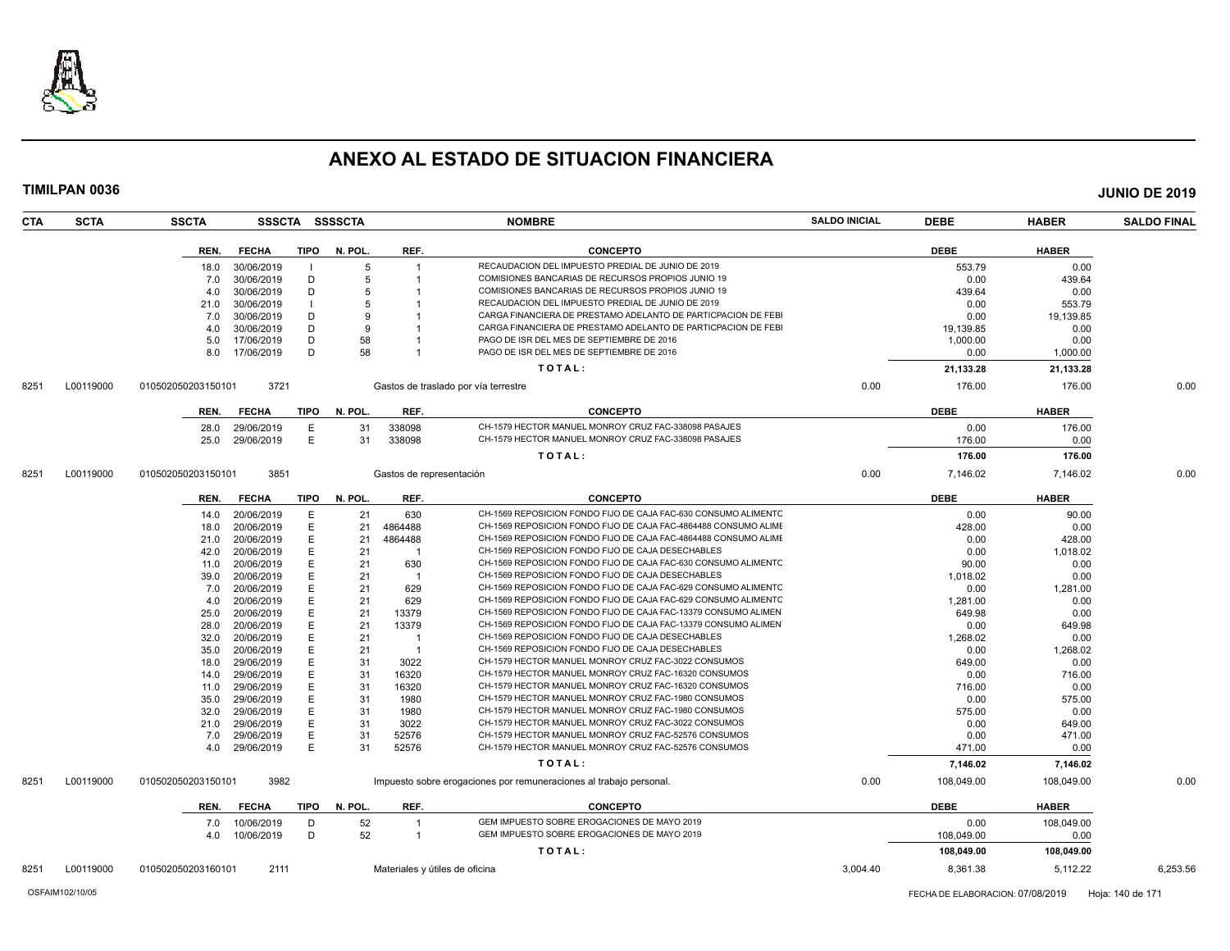

| TIMILPAN 0036      |                    |              |                |                |                          |                                                                    |                      |             |              | <b>JUNIO DE 2019</b> |
|--------------------|--------------------|--------------|----------------|----------------|--------------------------|--------------------------------------------------------------------|----------------------|-------------|--------------|----------------------|
| CTA<br><b>SCTA</b> | <b>SSCTA</b>       |              |                | SSSCTA SSSSCTA |                          | <b>NOMBRE</b>                                                      | <b>SALDO INICIAL</b> | <b>DEBE</b> | <b>HABER</b> | <b>SALDO FINAL</b>   |
|                    | REN.               | <b>FECHA</b> | <b>TIPO</b>    | N. POL.        | REF.                     | <b>CONCEPTO</b>                                                    |                      | <b>DEBE</b> | <b>HABER</b> |                      |
|                    | 18.0               | 30/06/2019   | - 1            | 5              |                          | RECAUDACION DEL IMPUESTO PREDIAL DE JUNIO DE 2019                  |                      | 553.79      | 0.00         |                      |
|                    | 7.0                | 30/06/2019   | D              | 5              |                          | COMISIONES BANCARIAS DE RECURSOS PROPIOS JUNIO 19                  |                      | 0.00        | 439.64       |                      |
|                    | 4.0                | 30/06/2019   | D              | 5              |                          | COMISIONES BANCARIAS DE RECURSOS PROPIOS JUNIO 19                  |                      | 439.64      | 0.00         |                      |
|                    | 21.0               | 30/06/2019   | $\blacksquare$ | 5              |                          | RECAUDACION DEL IMPUESTO PREDIAL DE JUNIO DE 2019                  |                      | 0.00        | 553.79       |                      |
|                    | 7.0                | 30/06/2019   | D              | 9              |                          | CARGA FINANCIERA DE PRESTAMO ADELANTO DE PARTICPACION DE FEBI      |                      | 0.00        | 19,139.85    |                      |
|                    | 4.0                | 30/06/2019   | D              | 9              |                          | CARGA FINANCIERA DE PRESTAMO ADELANTO DE PARTICPACION DE FEBI      |                      | 19,139.85   | 0.00         |                      |
|                    | 5.0                | 17/06/2019   | D              | 58             |                          | PAGO DE ISR DEL MES DE SEPTIEMBRE DE 2016                          |                      | 1,000.00    | 0.00         |                      |
|                    | 8.0                | 17/06/2019   | D              | 58             |                          | PAGO DE ISR DEL MES DE SEPTIEMBRE DE 2016                          |                      | 0.00        | 1,000.00     |                      |
|                    |                    |              |                |                |                          | TOTAL:                                                             |                      | 21,133.28   | 21,133.28    |                      |
| L00119000<br>8251  | 010502050203150101 | 3721         |                |                |                          | Gastos de traslado por vía terrestre                               | 0.00                 | 176.00      | 176.00       | 0.00                 |
|                    | REN.               | <b>FECHA</b> | <b>TIPO</b>    | N. POL.        | REF.                     | <b>CONCEPTO</b>                                                    |                      | <b>DEBE</b> | <b>HABER</b> |                      |
|                    | 28.0               | 29/06/2019   | E              | 31             | 338098                   | CH-1579 HECTOR MANUEL MONROY CRUZ FAC-338098 PASAJES               |                      | 0.00        | 176.00       |                      |
|                    | 25.0               | 29/06/2019   | E              | 31             | 338098                   | CH-1579 HECTOR MANUEL MONROY CRUZ FAC-338098 PASAJES               |                      | 176.00      | 0.00         |                      |
|                    |                    |              |                |                |                          | TOTAL:                                                             |                      | 176.00      | 176.00       |                      |
| L00119000<br>8251  | 010502050203150101 | 3851         |                |                | Gastos de representación |                                                                    | 0.00                 | 7,146.02    | 7,146.02     | 0.00                 |
|                    |                    |              |                |                |                          |                                                                    |                      |             |              |                      |
|                    | REN.               | <b>FECHA</b> | TIPO           | N. POL.        | REF.                     | <b>CONCEPTO</b>                                                    |                      | <b>DEBE</b> | <b>HABER</b> |                      |
|                    | 14.0               | 20/06/2019   | E              | 21             | 630                      | CH-1569 REPOSICION FONDO FIJO DE CAJA FAC-630 CONSUMO ALIMENTO     |                      | 0.00        | 90.00        |                      |
|                    | 18.0               | 20/06/2019   | E              | 21             | 4864488                  | CH-1569 REPOSICION FONDO FIJO DE CAJA FAC-4864488 CONSUMO ALIME    |                      | 428.00      | 0.00         |                      |
|                    | 21.0               | 20/06/2019   | E              | 21             | 4864488                  | CH-1569 REPOSICION FONDO FIJO DE CAJA FAC-4864488 CONSUMO ALIMI    |                      | 0.00        | 428.00       |                      |
|                    | 42.0               | 20/06/2019   | E              | 21             |                          | CH-1569 REPOSICION FONDO FIJO DE CAJA DESECHABLES                  |                      | 0.00        | 1,018.02     |                      |
|                    | 11.0               | 20/06/2019   | E              | 21             | 630                      | CH-1569 REPOSICION FONDO FIJO DE CAJA FAC-630 CONSUMO ALIMENTC     |                      | 90.00       | 0.00         |                      |
|                    | 39.0               | 20/06/2019   | E              | 21             | -1                       | CH-1569 REPOSICION FONDO FIJO DE CAJA DESECHABLES                  |                      | 1,018.02    | 0.00         |                      |
|                    | 7.0                | 20/06/2019   | E              | 21             | 629                      | CH-1569 REPOSICION FONDO FIJO DE CAJA FAC-629 CONSUMO ALIMENTC     |                      | 0.00        | 1,281.00     |                      |
|                    | 4.0                | 20/06/2019   | E              | 21             | 629                      | CH-1569 REPOSICION FONDO FIJO DE CAJA FAC-629 CONSUMO ALIMENTC     |                      | 1,281.00    | 0.00         |                      |
|                    | 25.0               | 20/06/2019   | Е              | 21             | 13379                    | CH-1569 REPOSICION FONDO FIJO DE CAJA FAC-13379 CONSUMO ALIMEN     |                      | 649.98      | 0.00         |                      |
|                    | 28.0               | 20/06/2019   | E              | 21             | 13379                    | CH-1569 REPOSICION FONDO FIJO DE CAJA FAC-13379 CONSUMO ALIMEN     |                      | 0.00        | 649.98       |                      |
|                    | 32.0               | 20/06/2019   | E              | 21             | - 1                      | CH-1569 REPOSICION FONDO FIJO DE CAJA DESECHABLES                  |                      | 1,268.02    | 0.00         |                      |
|                    | 35.0               | 20/06/2019   | E              | 21             |                          | CH-1569 REPOSICION FONDO FIJO DE CAJA DESECHABLES                  |                      | 0.00        | 1,268.02     |                      |
|                    | 18.0               | 29/06/2019   | E              | 31             | 3022                     | CH-1579 HECTOR MANUEL MONROY CRUZ FAC-3022 CONSUMOS                |                      | 649.00      | 0.00         |                      |
|                    | 14.0               | 29/06/2019   | E              | 31             | 16320                    | CH-1579 HECTOR MANUEL MONROY CRUZ FAC-16320 CONSUMOS               |                      | 0.00        | 716.00       |                      |
|                    | 11.0               | 29/06/2019   | E              | 31             | 16320                    | CH-1579 HECTOR MANUEL MONROY CRUZ FAC-16320 CONSUMOS               |                      | 716.00      | 0.00         |                      |
|                    | 35.0               | 29/06/2019   | E              | 31             | 1980                     | CH-1579 HECTOR MANUEL MONROY CRUZ FAC-1980 CONSUMOS                |                      | 0.00        | 575.00       |                      |
|                    | 32.0               | 29/06/2019   | E              | 31             | 1980                     | CH-1579 HECTOR MANUEL MONROY CRUZ FAC-1980 CONSUMOS                |                      | 575.00      | 0.00         |                      |
|                    | 21.0               | 29/06/2019   | E              | 31             | 3022                     | CH-1579 HECTOR MANUEL MONROY CRUZ FAC-3022 CONSUMOS                |                      | 0.00        | 649.00       |                      |
|                    | 7.0                | 29/06/2019   | Е              | 31             | 52576                    | CH-1579 HECTOR MANUEL MONROY CRUZ FAC-52576 CONSUMOS               |                      | 0.00        | 471.00       |                      |
|                    | 4.0                | 29/06/2019   | E              | 31             | 52576                    | CH-1579 HECTOR MANUEL MONROY CRUZ FAC-52576 CONSUMOS               |                      | 471.00      | 0.00         |                      |
|                    |                    |              |                |                |                          | TOTAL:                                                             |                      | 7,146.02    | 7,146.02     |                      |
| L00119000<br>8251  | 010502050203150101 | 3982         |                |                |                          | Impuesto sobre erogaciones por remuneraciones al trabajo personal. | 0.00                 | 108,049.00  | 108,049.00   | 0.00                 |
|                    | REN.               | <b>FECHA</b> | TIPO           | N. POL.        | REF.                     | <b>CONCEPTO</b>                                                    |                      | <b>DEBE</b> | <b>HABER</b> |                      |
|                    | 7.0                | 10/06/2019   | D              | 52             | $\overline{1}$           | GEM IMPUESTO SOBRE EROGACIONES DE MAYO 2019                        |                      | 0.00        | 108,049.00   |                      |
|                    | 4.0                | 10/06/2019   | D              | 52             | $\overline{1}$           | GEM IMPUESTO SOBRE EROGACIONES DE MAYO 2019                        |                      | 108,049.00  | 0.00         |                      |
|                    |                    |              |                |                |                          | TOTAL:                                                             |                      | 108,049.00  | 108,049.00   |                      |
|                    |                    |              |                |                |                          |                                                                    |                      |             |              |                      |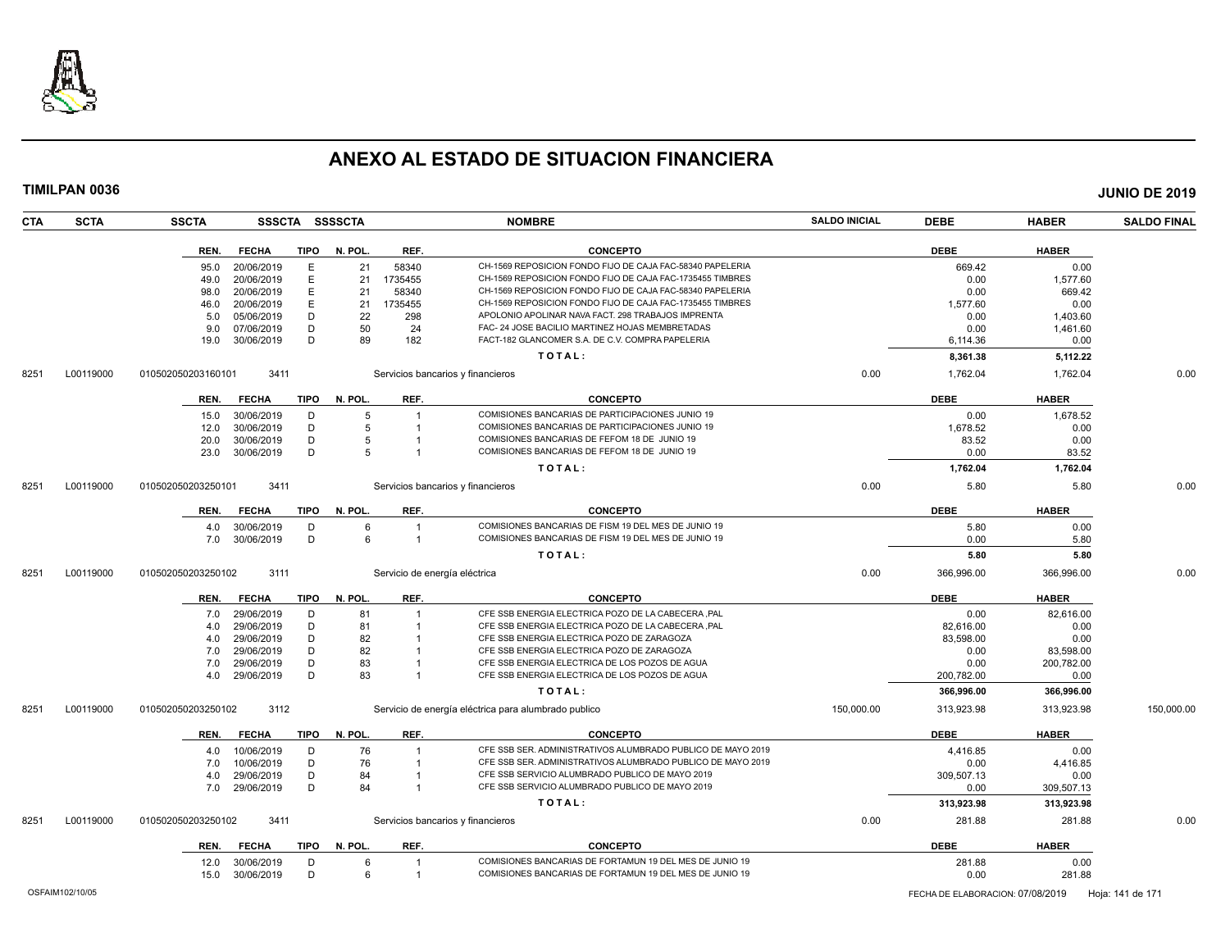

| <b>CTA</b> | <b>SCTA</b> | <b>SSCTA</b>       | SSSCTA SSSSCTA |        |         |                         | <b>NOMBRE</b>                                                                                        | <b>SALDO INICIAL</b> | <b>DEBE</b> | <b>HABER</b> | <b>SALDO FINAL</b> |
|------------|-------------|--------------------|----------------|--------|---------|-------------------------|------------------------------------------------------------------------------------------------------|----------------------|-------------|--------------|--------------------|
|            |             | REN.               | <b>FECHA</b>   | TIPO   | N. POL. | REF.                    | <b>CONCEPTO</b>                                                                                      |                      | <b>DEBE</b> | <b>HABER</b> |                    |
|            |             | 95.0               | 20/06/2019     | Е      | 21      | 58340                   | CH-1569 REPOSICION FONDO FIJO DE CAJA FAC-58340 PAPELERIA                                            |                      | 669.42      | 0.00         |                    |
|            |             | 49.0               | 20/06/2019     | E      | 21      | 1735455                 | CH-1569 REPOSICION FONDO FIJO DE CAJA FAC-1735455 TIMBRES                                            |                      | 0.00        | 1,577.60     |                    |
|            |             | 98.0               | 20/06/2019     | E      | 21      | 58340                   | CH-1569 REPOSICION FONDO FIJO DE CAJA FAC-58340 PAPELERIA                                            |                      | 0.00        | 669.42       |                    |
|            |             | 46.0               | 20/06/2019     | E      | 21      | 1735455                 | CH-1569 REPOSICION FONDO FIJO DE CAJA FAC-1735455 TIMBRES                                            |                      | 1.577.60    | 0.00         |                    |
|            |             | 5.0                | 05/06/2019     | D      | 22      | 298                     | APOLONIO APOLINAR NAVA FACT. 298 TRABAJOS IMPRENTA                                                   |                      | 0.00        | 1,403.60     |                    |
|            |             | 9.0                | 07/06/2019     | D      | 50      | 24                      | FAC- 24 JOSE BACILIO MARTINEZ HOJAS MEMBRETADAS                                                      |                      | 0.00        | 1,461.60     |                    |
|            |             | 19.0               | 30/06/2019     | D      | 89      | 182                     | FACT-182 GLANCOMER S.A. DE C.V. COMPRA PAPELERIA                                                     |                      | 6,114.36    | 0.00         |                    |
|            |             |                    |                |        |         |                         | TOTAL:                                                                                               |                      | 8,361.38    | 5,112.22     |                    |
| 8251       | L00119000   | 010502050203160101 | 3411           |        |         |                         | Servicios bancarios y financieros                                                                    | 0.00                 | 1,762.04    | 1,762.04     | 0.00               |
|            |             | REN.               | <b>FECHA</b>   | TIPO   | N. POL. | REF.                    | <b>CONCEPTO</b>                                                                                      |                      | <b>DEBE</b> | <b>HABER</b> |                    |
|            |             |                    |                |        |         |                         |                                                                                                      |                      |             |              |                    |
|            |             | 15.0               | 30/06/2019     | D      | 5<br>5  | $\overline{1}$          | COMISIONES BANCARIAS DE PARTICIPACIONES JUNIO 19<br>COMISIONES BANCARIAS DE PARTICIPACIONES JUNIO 19 |                      | 0.00        | 1.678.52     |                    |
|            |             | 12.0               | 30/06/2019     | D<br>D |         |                         |                                                                                                      |                      | 1,678.52    | 0.00         |                    |
|            |             | 20.0               | 30/06/2019     | D      | 5<br>5  |                         | COMISIONES BANCARIAS DE FEFOM 18 DE JUNIO 19<br>COMISIONES BANCARIAS DE FEFOM 18 DE JUNIO 19         |                      | 83.52       | 0.00         |                    |
|            |             | 23.0               | 30/06/2019     |        |         |                         |                                                                                                      |                      | 0.00        | 83.52        |                    |
|            |             |                    |                |        |         |                         | TOTAL:                                                                                               |                      | 1,762.04    | 1,762.04     |                    |
| 8251       | L00119000   | 010502050203250101 | 3411           |        |         |                         | Servicios bancarios y financieros                                                                    | 0.00                 | 5.80        | 5.80         | 0.00               |
|            |             | REN.               | <b>FECHA</b>   | TIPO   | N. POL. | REF.                    | <b>CONCEPTO</b>                                                                                      |                      | <b>DEBE</b> | <b>HABER</b> |                    |
|            |             | 4.0                | 30/06/2019     | D      | 6       | $\overline{1}$          | COMISIONES BANCARIAS DE FISM 19 DEL MES DE JUNIO 19                                                  |                      | 5.80        | 0.00         |                    |
|            |             | 7.0                | 30/06/2019     | D      | 6       | $\overline{1}$          | COMISIONES BANCARIAS DE FISM 19 DEL MES DE JUNIO 19                                                  |                      | 0.00        | 5.80         |                    |
|            |             |                    |                |        |         |                         | TOTAL:                                                                                               |                      | 5.80        | 5.80         |                    |
| 8251       | L00119000   | 010502050203250102 | 3111           |        |         |                         | Servicio de energía eléctrica                                                                        | 0.00                 | 366,996.00  | 366,996.00   | 0.00               |
|            |             | REN.               | <b>FECHA</b>   | TIPO   | N. POL. | REF.                    | <b>CONCEPTO</b>                                                                                      |                      | <b>DEBE</b> | <b>HABER</b> |                    |
|            |             | 7.0                | 29/06/2019     | D      | 81      | $\overline{1}$          | CFE SSB ENERGIA ELECTRICA POZO DE LA CABECERA ,PAL                                                   |                      | 0.00        | 82,616.00    |                    |
|            |             | 4.0                | 29/06/2019     | D      | 81      | $\overline{1}$          | CFE SSB ENERGIA ELECTRICA POZO DE LA CABECERA ,PAL                                                   |                      | 82.616.00   | 0.00         |                    |
|            |             | 4.0                | 29/06/2019     | D      | 82      |                         | CFE SSB ENERGIA ELECTRICA POZO DE ZARAGOZA                                                           |                      | 83,598.00   | 0.00         |                    |
|            |             | 7.0                | 29/06/2019     | D      | 82      |                         | CFE SSB ENERGIA ELECTRICA POZO DE ZARAGOZA                                                           |                      | 0.00        | 83,598.00    |                    |
|            |             | 7.0                | 29/06/2019     | D      | 83      |                         | CFE SSB ENERGIA ELECTRICA DE LOS POZOS DE AGUA                                                       |                      | 0.00        | 200,782.00   |                    |
|            |             | 4.0                | 29/06/2019     | D      | 83      |                         | CFE SSB ENERGIA ELECTRICA DE LOS POZOS DE AGUA                                                       |                      | 200,782.00  | 0.00         |                    |
|            |             |                    |                |        |         |                         | TOTAL:                                                                                               |                      | 366,996.00  | 366,996.00   |                    |
| 8251       | L00119000   | 010502050203250102 | 3112           |        |         |                         | Servicio de energía eléctrica para alumbrado publico                                                 | 150,000.00           | 313,923.98  | 313,923.98   | 150,000.00         |
|            |             | REN.               | <b>FECHA</b>   | TIPO   | N. POL. | REF.                    | <b>CONCEPTO</b>                                                                                      |                      | <b>DEBE</b> | <b>HABER</b> |                    |
|            |             | 4.0                | 10/06/2019     | D      | 76      |                         | CFE SSB SER. ADMINISTRATIVOS ALUMBRADO PUBLICO DE MAYO 2019                                          |                      | 4,416.85    | 0.00         |                    |
|            |             | 7.0                | 10/06/2019     | D      | 76      | $\overline{\mathbf{1}}$ | CFE SSB SER. ADMINISTRATIVOS ALUMBRADO PUBLICO DE MAYO 2019                                          |                      | 0.00        | 4,416.85     |                    |
|            |             | 4.0                | 29/06/2019     | D      | 84      |                         | CFE SSB SERVICIO ALUMBRADO PUBLICO DE MAYO 2019                                                      |                      | 309,507.13  | 0.00         |                    |
|            |             | 7.0 29/06/2019     |                | D      | 84      | $\overline{1}$          | CFE SSB SERVICIO ALUMBRADO PUBLICO DE MAYO 2019                                                      |                      | 0.00        | 309,507.13   |                    |
|            |             |                    |                |        |         |                         | TOTAL:                                                                                               |                      | 313,923.98  | 313,923.98   |                    |
| 8251       | L00119000   | 010502050203250102 | 3411           |        |         |                         | Servicios bancarios y financieros                                                                    | 0.00                 | 281.88      | 281.88       | 0.00               |
|            |             |                    |                |        |         |                         |                                                                                                      |                      |             |              |                    |
|            |             | REN.               | <b>FECHA</b>   | TIPO   | N. POL. | REF.                    | <b>CONCEPTO</b>                                                                                      |                      | <b>DEBE</b> | <b>HABER</b> |                    |
|            |             | 12.0               | 30/06/2019     | D      | 6       | $\overline{1}$          | COMISIONES BANCARIAS DE FORTAMUN 19 DEL MES DE JUNIO 19                                              |                      | 281.88      | 0.00         |                    |
|            |             | 15.0 30/06/2019    |                | D      | 6       | $\overline{1}$          | COMISIONES BANCARIAS DE FORTAMUN 19 DEL MES DE JUNIO 19                                              |                      | 0.00        | 281.88       |                    |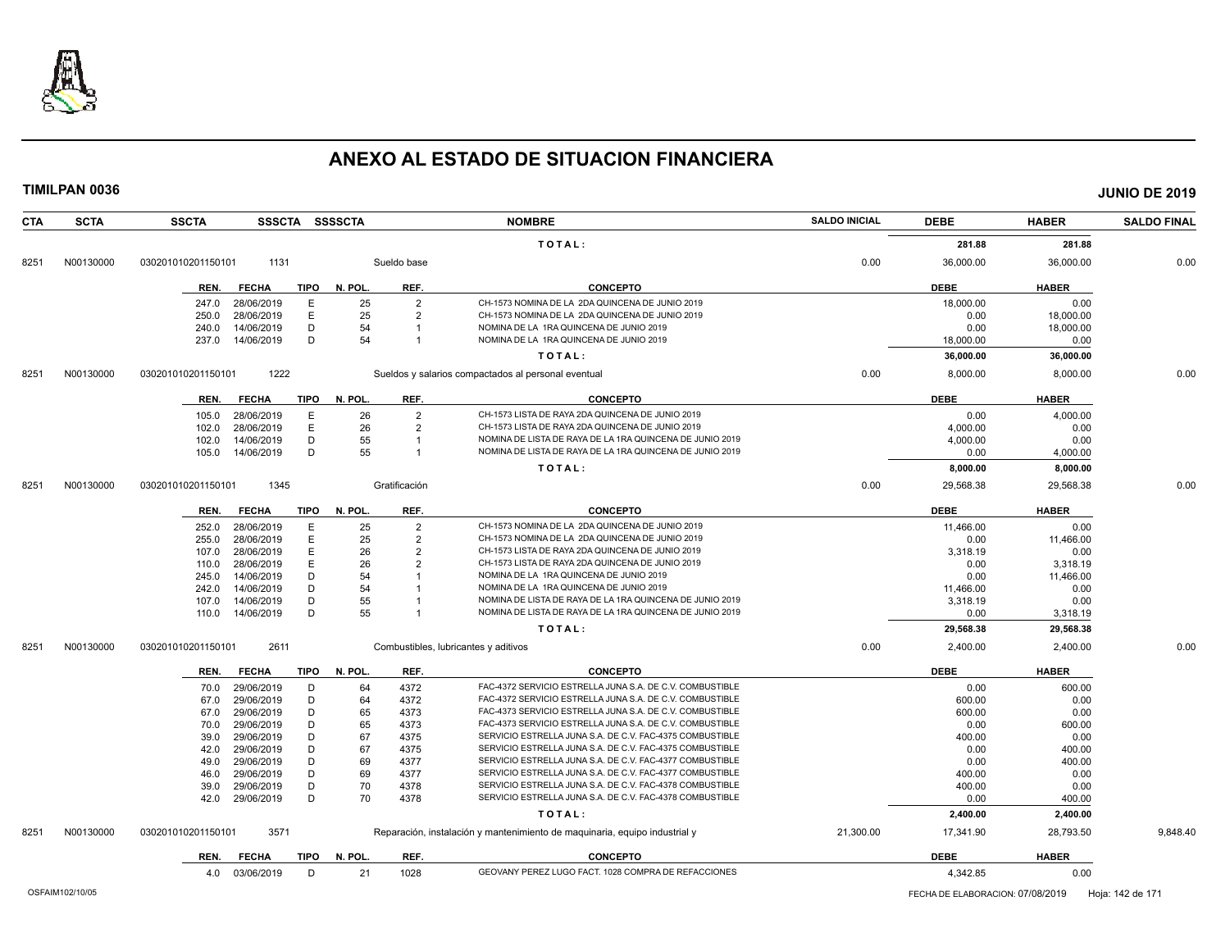

| <b>CTA</b> | <b>SCTA</b> | <b>SSCTA</b>         | SSSCTA SSSSCTA |         |                | <b>NOMBRE</b>                                                              | <b>SALDO INICIAL</b> | <b>DEBE</b> | <b>HABER</b> | <b>SALDO FINAL</b> |
|------------|-------------|----------------------|----------------|---------|----------------|----------------------------------------------------------------------------|----------------------|-------------|--------------|--------------------|
|            |             |                      |                |         |                | TOTAL:                                                                     |                      | 281.88      | 281.88       |                    |
| 8251       | N00130000   | 030201010201150101   | 1131           |         | Sueldo base    |                                                                            | 0.00                 | 36,000.00   | 36,000.00    | 0.00               |
|            |             |                      |                |         |                |                                                                            |                      |             |              |                    |
|            |             | <b>FECHA</b><br>REN. | <b>TIPO</b>    | N. POL. | REF.           | <b>CONCEPTO</b>                                                            |                      | <b>DEBE</b> | <b>HABER</b> |                    |
|            |             | 28/06/2019<br>247.0  | E              | 25      | $\overline{2}$ | CH-1573 NOMINA DE LA 2DA QUINCENA DE JUNIO 2019                            |                      | 18,000.00   | 0.00         |                    |
|            |             | 250.0<br>28/06/2019  | E              | 25      | $\overline{2}$ | CH-1573 NOMINA DE LA 2DA QUINCENA DE JUNIO 2019                            |                      | 0.00        | 18,000.00    |                    |
|            |             | 14/06/2019<br>240.0  | D              | 54      |                | NOMINA DE LA 1RA QUINCENA DE JUNIO 2019                                    |                      | 0.00        | 18,000.00    |                    |
|            |             | 14/06/2019<br>237.0  | D              | 54      | $\overline{1}$ | NOMINA DE LA 1RA QUINCENA DE JUNIO 2019                                    |                      | 18,000.00   | 0.00         |                    |
|            |             |                      |                |         |                | TOTAL:                                                                     |                      | 36,000.00   | 36,000.00    |                    |
| 8251       | N00130000   | 030201010201150101   | 1222           |         |                | Sueldos y salarios compactados al personal eventual                        | 0.00                 | 8,000.00    | 8,000.00     | 0.00               |
|            |             | <b>FECHA</b><br>REN. | <b>TIPO</b>    | N. POL. | REF.           | <b>CONCEPTO</b>                                                            |                      | <b>DEBE</b> | <b>HABER</b> |                    |
|            |             | 28/06/2019<br>105.0  | E              | 26      | $\overline{2}$ | CH-1573 LISTA DE RAYA 2DA QUINCENA DE JUNIO 2019                           |                      | 0.00        | 4,000.00     |                    |
|            |             | 102.0<br>28/06/2019  | E              | 26      | $\overline{2}$ | CH-1573 LISTA DE RAYA 2DA QUINCENA DE JUNIO 2019                           |                      | 4,000.00    | 0.00         |                    |
|            |             | 14/06/2019<br>102.0  | D              | 55      | $\mathbf{1}$   | NOMINA DE LISTA DE RAYA DE LA 1RA QUINCENA DE JUNIO 2019                   |                      | 4,000.00    | 0.00         |                    |
|            |             | 105.0<br>14/06/2019  | D              | 55      | $\mathbf{1}$   | NOMINA DE LISTA DE RAYA DE LA 1RA QUINCENA DE JUNIO 2019                   |                      | 0.00        | 4,000.00     |                    |
|            |             |                      |                |         |                | TOTAL:                                                                     |                      | 8,000.00    | 8,000.00     |                    |
| 8251       | N00130000   | 030201010201150101   | 1345           |         | Gratificación  |                                                                            | 0.00                 | 29,568.38   | 29,568.38    | 0.00               |
|            |             |                      |                |         |                |                                                                            |                      |             |              |                    |
|            |             | <b>FECHA</b><br>REN. | <b>TIPO</b>    | N. POL. | REF.           | <b>CONCEPTO</b>                                                            |                      | <b>DEBE</b> | <b>HABER</b> |                    |
|            |             | 28/06/2019<br>252.0  | E              | 25      | $\overline{2}$ | CH-1573 NOMINA DE LA 2DA QUINCENA DE JUNIO 2019                            |                      | 11,466.00   | 0.00         |                    |
|            |             | 28/06/2019<br>255.0  | E              | 25      | $\overline{2}$ | CH-1573 NOMINA DE LA 2DA QUINCENA DE JUNIO 2019                            |                      | 0.00        | 11,466.00    |                    |
|            |             | 28/06/2019<br>107.0  | E              | 26      | $\overline{2}$ | CH-1573 LISTA DE RAYA 2DA QUINCENA DE JUNIO 2019                           |                      | 3,318.19    | 0.00         |                    |
|            |             | 28/06/2019<br>110.0  | E              | 26      | $\overline{2}$ | CH-1573 LISTA DE RAYA 2DA QUINCENA DE JUNIO 2019                           |                      | 0.00        | 3,318.19     |                    |
|            |             | 14/06/2019<br>245.0  | D              | 54      |                | NOMINA DE LA 1RA QUINCENA DE JUNIO 2019                                    |                      | 0.00        | 11,466.00    |                    |
|            |             | 14/06/2019<br>242.0  | D              | 54      |                | NOMINA DE LA 1RA QUINCENA DE JUNIO 2019                                    |                      | 11,466.00   | 0.00         |                    |
|            |             | 14/06/2019<br>107.0  | D              | 55      |                | NOMINA DE LISTA DE RAYA DE LA 1RA QUINCENA DE JUNIO 2019                   |                      | 3,318.19    | 0.00         |                    |
|            |             | 14/06/2019<br>110.0  | D              | 55      |                | NOMINA DE LISTA DE RAYA DE LA 1RA QUINCENA DE JUNIO 2019                   |                      | 0.00        | 3,318.19     |                    |
|            |             |                      |                |         |                | TOTAL:                                                                     |                      | 29,568.38   | 29,568.38    |                    |
| 8251       | N00130000   | 030201010201150101   | 2611           |         |                | Combustibles, lubricantes y aditivos                                       | 0.00                 | 2,400.00    | 2,400.00     | 0.00               |
|            |             | <b>FECHA</b><br>REN. | <b>TIPO</b>    | N. POL. | REF.           | <b>CONCEPTO</b>                                                            |                      | <b>DEBE</b> | <b>HABER</b> |                    |
|            |             | 29/06/2019<br>70.0   | D              | 64      | 4372           | FAC-4372 SERVICIO ESTRELLA JUNA S.A. DE C.V. COMBUSTIBLE                   |                      | 0.00        | 600.00       |                    |
|            |             | 29/06/2019<br>67.0   | D              | 64      | 4372           | FAC-4372 SERVICIO ESTRELLA JUNA S.A. DE C.V. COMBUSTIBLE                   |                      | 600.00      | 0.00         |                    |
|            |             | 29/06/2019<br>67.0   | D              | 65      | 4373           | FAC-4373 SERVICIO ESTRELLA JUNA S.A. DE C.V. COMBUSTIBLE                   |                      | 600.00      | 0.00         |                    |
|            |             | 29/06/2019<br>70.0   | D              | 65      | 4373           | FAC-4373 SERVICIO ESTRELLA JUNA S.A. DE C.V. COMBUSTIBLE                   |                      | 0.00        | 600.00       |                    |
|            |             | 29/06/2019<br>39.0   | D              | 67      | 4375           | SERVICIO ESTRELLA JUNA S.A. DE C.V. FAC-4375 COMBUSTIBLE                   |                      | 400.00      | 0.00         |                    |
|            |             | 29/06/2019<br>42.0   | D              | 67      | 4375           | SERVICIO ESTRELLA JUNA S.A. DE C.V. FAC-4375 COMBUSTIBLE                   |                      | 0.00        | 400.00       |                    |
|            |             | 29/06/2019<br>49.0   | D              | 69      | 4377           | SERVICIO ESTRELLA JUNA S.A. DE C.V. FAC-4377 COMBUSTIBLE                   |                      | 0.00        | 400.00       |                    |
|            |             | 29/06/2019<br>46.0   | D              | 69      | 4377           | SERVICIO ESTRELLA JUNA S.A. DE C.V. FAC-4377 COMBUSTIBLE                   |                      | 400.00      | 0.00         |                    |
|            |             | 29/06/2019<br>39.0   | D              | 70      | 4378           | SERVICIO ESTRELLA JUNA S.A. DE C.V. FAC-4378 COMBUSTIBLE                   |                      | 400.00      | 0.00         |                    |
|            |             | 29/06/2019<br>42.0   | D              | 70      | 4378           | SERVICIO ESTRELLA JUNA S.A. DE C.V. FAC-4378 COMBUSTIBLE                   |                      | 0.00        | 400.00       |                    |
|            |             |                      |                |         |                | TOTAL:                                                                     |                      | 2,400.00    | 2,400.00     |                    |
| 8251       | N00130000   | 030201010201150101   | 3571           |         |                | Reparación, instalación y mantenimiento de maquinaria, equipo industrial y | 21,300.00            | 17,341.90   | 28,793.50    | 9,848.40           |
|            |             | <b>FECHA</b><br>REN. | TIPO           | N. POL. | REF.           | <b>CONCEPTO</b>                                                            |                      | <b>DEBE</b> | <b>HABER</b> |                    |
|            |             | 03/06/2019<br>4.0    | D              | 21      | 1028           | GEOVANY PEREZ LUGO FACT. 1028 COMPRA DE REFACCIONES                        |                      | 4.342.85    | 0.00         |                    |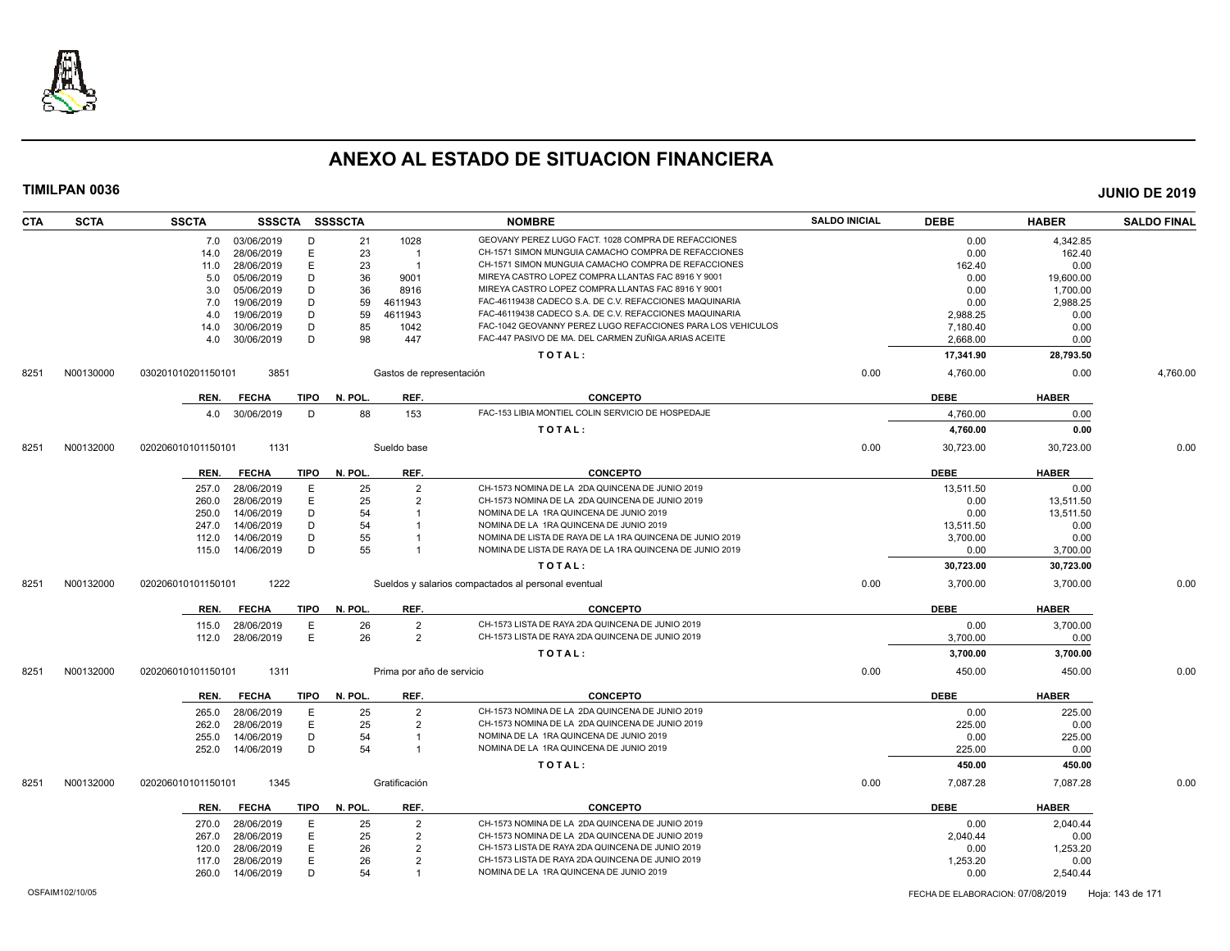

| <b>CTA</b> | <b>SCTA</b> | <b>SSCTA</b>       |              | SSSCTA SSSSCTA  |                           | <b>NOMBRE</b>                                               | <b>SALDO INICIAL</b> | <b>DEBE</b> | <b>HABER</b> | <b>SALDO FINAL</b> |
|------------|-------------|--------------------|--------------|-----------------|---------------------------|-------------------------------------------------------------|----------------------|-------------|--------------|--------------------|
|            |             | 7.0 03/06/2019     |              | D               | 21<br>1028                | GEOVANY PEREZ LUGO FACT. 1028 COMPRA DE REFACCIONES         |                      | 0.00        | 4,342.85     |                    |
|            |             | 14.0               | 28/06/2019   | E               | 23<br>$\overline{1}$      | CH-1571 SIMON MUNGUIA CAMACHO COMPRA DE REFACCIONES         |                      | 0.00        | 162.40       |                    |
|            |             | 11.0               | 28/06/2019   | E.              | 23<br>$\overline{1}$      | CH-1571 SIMON MUNGUIA CAMACHO COMPRA DE REFACCIONES         |                      | 162.40      | 0.00         |                    |
|            |             | 5.0                | 05/06/2019   | D               | 36<br>9001                | MIREYA CASTRO LOPEZ COMPRA LLANTAS FAC 8916 Y 9001          |                      | 0.00        | 19,600.00    |                    |
|            |             | 3.0                | 05/06/2019   | D               | 36<br>8916                | MIREYA CASTRO LOPEZ COMPRA LLANTAS FAC 8916 Y 9001          |                      | 0.00        | 1,700.00     |                    |
|            |             | 7.0                | 19/06/2019   | D               | 59<br>4611943             | FAC-46119438 CADECO S.A. DE C.V. REFACCIONES MAQUINARIA     |                      | 0.00        | 2,988.25     |                    |
|            |             | 4.0                | 19/06/2019   | D               | 59<br>4611943             | FAC-46119438 CADECO S.A. DE C.V. REFACCIONES MAQUINARIA     |                      | 2.988.25    | 0.00         |                    |
|            |             | 14.0               | 30/06/2019   | D               | 85<br>1042                | FAC-1042 GEOVANNY PEREZ LUGO REFACCIONES PARA LOS VEHICULOS |                      | 7,180.40    | 0.00         |                    |
|            |             | 4.0                | 30/06/2019   | D               | 98<br>447                 | FAC-447 PASIVO DE MA. DEL CARMEN ZUÑIGA ARIAS ACEITE        |                      | 2,668.00    | 0.00         |                    |
|            |             |                    |              |                 |                           | TOTAL:                                                      |                      | 17,341.90   | 28,793.50    |                    |
| 8251       | N00130000   | 030201010201150101 | 3851         |                 | Gastos de representación  |                                                             | 0.00                 | 4,760.00    | 0.00         | 4,760.00           |
|            |             | REN.               | <b>FECHA</b> | TIPO N. POL.    | REF.                      | <b>CONCEPTO</b>                                             |                      | <b>DEBE</b> | <b>HABER</b> |                    |
|            |             | 4.0                | 30/06/2019   | D               | 88<br>153                 | FAC-153 LIBIA MONTIEL COLIN SERVICIO DE HOSPEDAJE           |                      | 4,760.00    | 0.00         |                    |
|            |             |                    |              |                 |                           | TOTAL:                                                      |                      | 4,760.00    | 0.00         |                    |
| 8251       | N00132000   | 020206010101150101 | 1131         |                 | Sueldo base               |                                                             | 0.00                 | 30,723.00   | 30,723.00    | 0.00               |
|            |             |                    |              |                 |                           |                                                             |                      |             |              |                    |
|            |             | REN.               | <b>FECHA</b> | TIPO<br>N. POL. | REF.                      | <b>CONCEPTO</b>                                             |                      | <b>DEBE</b> | <b>HABER</b> |                    |
|            |             | 257.0              | 28/06/2019   | Ε               | 25<br>$\overline{2}$      | CH-1573 NOMINA DE LA 2DA QUINCENA DE JUNIO 2019             |                      | 13,511.50   | 0.00         |                    |
|            |             | 260.0              | 28/06/2019   | E               | 25<br>$\overline{2}$      | CH-1573 NOMINA DE LA 2DA QUINCENA DE JUNIO 2019             |                      | 0.00        | 13,511.50    |                    |
|            |             | 250.0              | 14/06/2019   | D               | 54                        | NOMINA DE LA 1RA QUINCENA DE JUNIO 2019                     |                      | 0.00        | 13,511.50    |                    |
|            |             | 247.0              | 14/06/2019   | D               | 54                        | NOMINA DE LA 1RA QUINCENA DE JUNIO 2019                     |                      | 13,511.50   | 0.00         |                    |
|            |             | 112.0              | 14/06/2019   | D               | 55                        | NOMINA DE LISTA DE RAYA DE LA 1RA QUINCENA DE JUNIO 2019    |                      | 3,700.00    | 0.00         |                    |
|            |             | 115.0              | 14/06/2019   | D               | 55                        | NOMINA DE LISTA DE RAYA DE LA 1RA QUINCENA DE JUNIO 2019    |                      | 0.00        | 3,700.00     |                    |
|            |             |                    |              |                 |                           | TOTAL:                                                      |                      | 30,723.00   | 30,723.00    |                    |
| 8251       | N00132000   | 020206010101150101 | 1222         |                 |                           | Sueldos y salarios compactados al personal eventual         | 0.00                 | 3,700.00    | 3,700.00     | 0.00               |
|            |             | REN.               | <b>FECHA</b> | N. POL.<br>TIPO | REF.                      | <b>CONCEPTO</b>                                             |                      | <b>DEBE</b> | <b>HABER</b> |                    |
|            |             | 115.0              | 28/06/2019   | Ε               | 26<br>$\overline{2}$      | CH-1573 LISTA DE RAYA 2DA QUINCENA DE JUNIO 2019            |                      | 0.00        | 3,700.00     |                    |
|            |             | 112.0              | 28/06/2019   | E               | 26<br>$\overline{2}$      | CH-1573 LISTA DE RAYA 2DA QUINCENA DE JUNIO 2019            |                      | 3,700.00    | 0.00         |                    |
|            |             |                    |              |                 |                           | TOTAL:                                                      |                      | 3,700.00    | 3,700.00     |                    |
| 8251       | N00132000   | 020206010101150101 | 1311         |                 | Prima por año de servicio |                                                             | 0.00                 | 450.00      | 450.00       | 0.00               |
|            |             |                    |              |                 |                           |                                                             |                      |             |              |                    |
|            |             | REN.               | <b>FECHA</b> | TIPO<br>N. POL. | REF.                      | <b>CONCEPTO</b>                                             |                      | <b>DEBE</b> | <b>HABER</b> |                    |
|            |             | 265.0              | 28/06/2019   | Ε               | 25<br>$\overline{2}$      | CH-1573 NOMINA DE LA 2DA QUINCENA DE JUNIO 2019             |                      | 0.00        | 225.00       |                    |
|            |             | 262.0              | 28/06/2019   | E               | 25<br>$\overline{2}$      | CH-1573 NOMINA DE LA 2DA QUINCENA DE JUNIO 2019             |                      | 225.00      | 0.00         |                    |
|            |             | 255.0              | 14/06/2019   | D               | 54                        | NOMINA DE LA 1RA QUINCENA DE JUNIO 2019                     |                      | 0.00        | 225.00       |                    |
|            |             | 252.0              | 14/06/2019   | D               | 54<br>$\overline{1}$      | NOMINA DE LA 1RA QUINCENA DE JUNIO 2019                     |                      | 225.00      | 0.00         |                    |
|            |             |                    |              |                 |                           | TOTAL:                                                      |                      | 450.00      | 450.00       |                    |
| 8251       | N00132000   | 020206010101150101 | 1345         |                 | Gratificación             |                                                             | 0.00                 | 7,087.28    | 7,087.28     | 0.00               |
|            |             | REN.               | <b>FECHA</b> | TIPO<br>N. POL. | REF.                      | <b>CONCEPTO</b>                                             |                      | <b>DEBE</b> | <b>HABER</b> |                    |
|            |             | 270.0              | 28/06/2019   | E               | 25<br>$\overline{2}$      | CH-1573 NOMINA DE LA 2DA QUINCENA DE JUNIO 2019             |                      | 0.00        | 2.040.44     |                    |
|            |             | 267.0              | 28/06/2019   | E               | 25<br>$\overline{2}$      | CH-1573 NOMINA DE LA 2DA QUINCENA DE JUNIO 2019             |                      | 2,040.44    | 0.00         |                    |
|            |             | 120.0              | 28/06/2019   | E               | 26<br>$\overline{2}$      | CH-1573 LISTA DE RAYA 2DA QUINCENA DE JUNIO 2019            |                      | 0.00        | 1,253.20     |                    |
|            |             | 117.0              | 28/06/2019   | E               | 26<br>$\overline{2}$      | CH-1573 LISTA DE RAYA 2DA QUINCENA DE JUNIO 2019            |                      | 1,253.20    | 0.00         |                    |
|            |             | 260.0              | 14/06/2019   | D               | 54<br>$\overline{1}$      | NOMINA DE LA 1RA QUINCENA DE JUNIO 2019                     |                      | 0.00        | 2,540.44     |                    |
|            |             |                    |              |                 |                           |                                                             |                      |             |              |                    |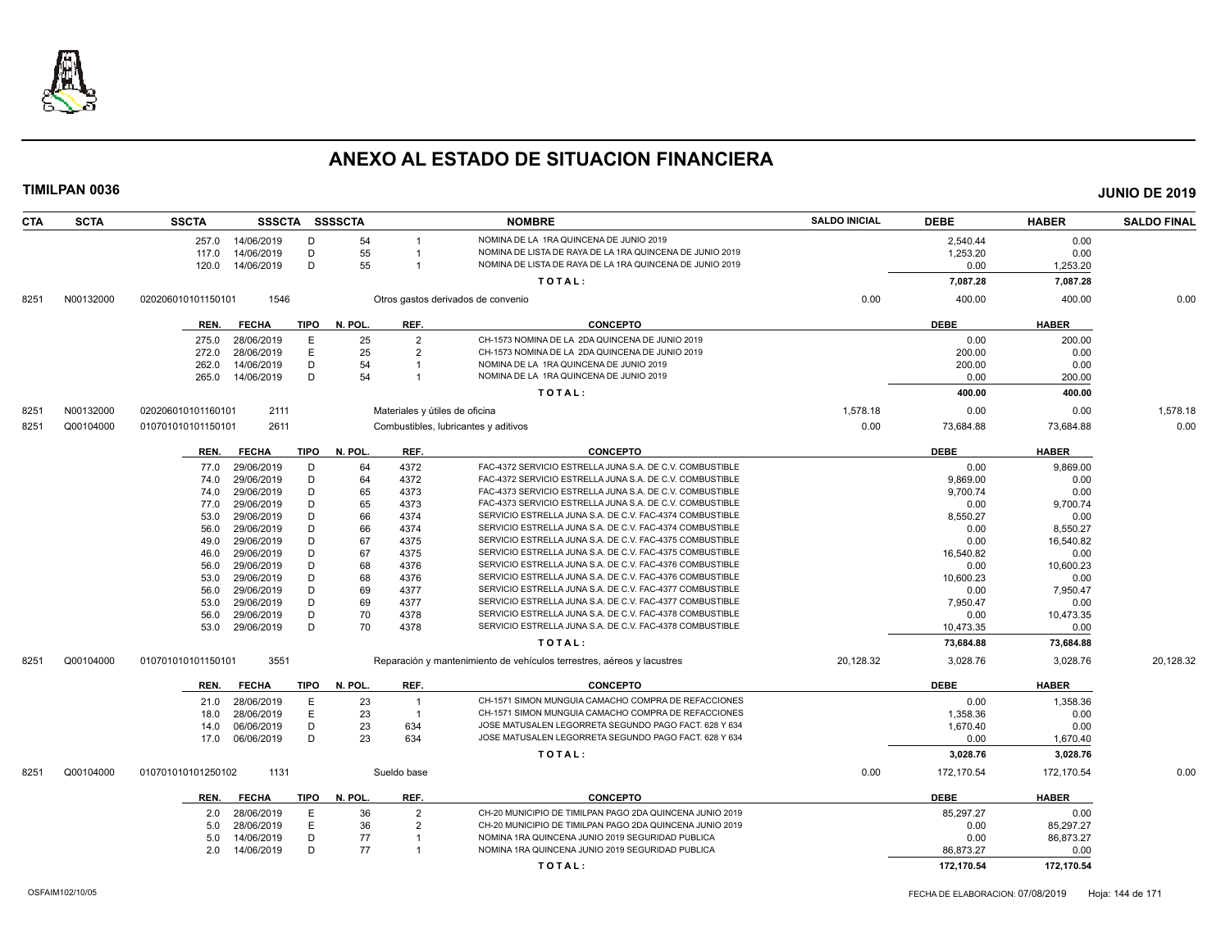

| <b>CTA</b> | <b>SCTA</b> | <b>SSCTA</b>       | <b>SSSCTA</b> |             | <b>SSSSCTA</b> |                                | <b>NOMBRE</b>                                                          | <b>SALDO INICIAL</b> | <b>DEBE</b> | <b>HABER</b> | <b>SALDO FINAL</b> |
|------------|-------------|--------------------|---------------|-------------|----------------|--------------------------------|------------------------------------------------------------------------|----------------------|-------------|--------------|--------------------|
|            |             | 257.0              | 14/06/2019    | D           | 54             | $\overline{1}$                 | NOMINA DE LA 1RA QUINCENA DE JUNIO 2019                                |                      | 2,540.44    | 0.00         |                    |
|            |             | 117.0              | 14/06/2019    | D           | 55             |                                | NOMINA DE LISTA DE RAYA DE LA 1RA QUINCENA DE JUNIO 2019               |                      | 1,253.20    | 0.00         |                    |
|            |             | 120.0              | 14/06/2019    | D           | 55             | $\overline{1}$                 | NOMINA DE LISTA DE RAYA DE LA 1RA QUINCENA DE JUNIO 2019               |                      | 0.00        | 1,253.20     |                    |
|            |             |                    |               |             |                |                                | TOTAL:                                                                 |                      | 7,087.28    | 7,087.28     |                    |
| 8251       | N00132000   | 020206010101150101 | 1546          |             |                |                                | Otros gastos derivados de convenio                                     | 0.00                 | 400.00      | 400.00       | 0.00               |
|            |             | REN.               | <b>FECHA</b>  | <b>TIPO</b> | N. POL.        | REF.                           | <b>CONCEPTO</b>                                                        |                      | <b>DEBE</b> | <b>HABER</b> |                    |
|            |             | 275.0              | 28/06/2019    | Е           | 25             | $\overline{2}$                 | CH-1573 NOMINA DE LA 2DA QUINCENA DE JUNIO 2019                        |                      | 0.00        | 200.00       |                    |
|            |             | 272.0              | 28/06/2019    | E           | 25             | $\overline{2}$                 | CH-1573 NOMINA DE LA 2DA QUINCENA DE JUNIO 2019                        |                      | 200.00      | 0.00         |                    |
|            |             | 262.0              | 14/06/2019    | D           | 54             | $\overline{1}$                 | NOMINA DE LA 1RA QUINCENA DE JUNIO 2019                                |                      | 200.00      | 0.00         |                    |
|            |             | 265.0              | 14/06/2019    | D           | 54             | -1                             | NOMINA DE LA 1RA QUINCENA DE JUNIO 2019                                |                      | 0.00        | 200.00       |                    |
|            |             |                    |               |             |                |                                | TOTAL:                                                                 |                      | 400.00      | 400.00       |                    |
| 8251       | N00132000   | 020206010101160101 | 2111          |             |                | Materiales y útiles de oficina |                                                                        | 1,578.18             | 0.00        | 0.00         | 1,578.18           |
| 8251       | Q00104000   | 010701010101150101 | 2611          |             |                |                                | Combustibles, lubricantes y aditivos                                   | 0.00                 | 73,684.88   | 73,684.88    | 0.00               |
|            |             | REN.               | <b>FECHA</b>  | <b>TIPO</b> | N. POL.        | REF.                           | <b>CONCEPTO</b>                                                        |                      | <b>DEBE</b> | <b>HABER</b> |                    |
|            |             | 77.0               | 29/06/2019    | D           | 64             | 4372                           | FAC-4372 SERVICIO ESTRELLA JUNA S.A. DE C.V. COMBUSTIBLE               |                      | 0.00        | 9,869.00     |                    |
|            |             | 74.0               | 29/06/2019    | D           | 64             | 4372                           | FAC-4372 SERVICIO ESTRELLA JUNA S.A. DE C.V. COMBUSTIBLE               |                      | 9,869.00    | 0.00         |                    |
|            |             | 74.0               | 29/06/2019    | D           | 65             | 4373                           | FAC-4373 SERVICIO ESTRELLA JUNA S.A. DE C.V. COMBUSTIBLE               |                      | 9,700.74    | 0.00         |                    |
|            |             | 77.0               | 29/06/2019    | D           | 65             | 4373                           | FAC-4373 SERVICIO ESTRELLA JUNA S.A. DE C.V. COMBUSTIBLE               |                      | 0.00        | 9,700.74     |                    |
|            |             | 53.0               | 29/06/2019    | D           | 66             | 4374                           | SERVICIO ESTRELLA JUNA S.A. DE C.V. FAC-4374 COMBUSTIBLE               |                      | 8,550.27    | 0.00         |                    |
|            |             | 56.0               | 29/06/2019    | D           | 66             | 4374                           | SERVICIO ESTRELLA JUNA S.A. DE C.V. FAC-4374 COMBUSTIBLE               |                      | 0.00        | 8,550.27     |                    |
|            |             | 49.0               | 29/06/2019    | D           | 67             | 4375                           | SERVICIO ESTRELLA JUNA S.A. DE C.V. FAC-4375 COMBUSTIBLE               |                      | 0.00        | 16,540.82    |                    |
|            |             | 46.0               | 29/06/2019    | D           | 67             | 4375                           | SERVICIO ESTRELLA JUNA S.A. DE C.V. FAC-4375 COMBUSTIBLE               |                      | 16.540.82   | 0.00         |                    |
|            |             | 56.0               | 29/06/2019    | D           | 68             | 4376                           | SERVICIO ESTRELLA JUNA S.A. DE C.V. FAC-4376 COMBUSTIBLE               |                      | 0.00        | 10,600.23    |                    |
|            |             | 53.0               | 29/06/2019    | D           | 68             | 4376                           | SERVICIO ESTRELLA JUNA S.A. DE C.V. FAC-4376 COMBUSTIBLE               |                      | 10,600.23   | 0.00         |                    |
|            |             | 56.0               | 29/06/2019    | D           | 69             | 4377                           | SERVICIO ESTRELLA JUNA S.A. DE C.V. FAC-4377 COMBUSTIBLE               |                      | 0.00        | 7,950.47     |                    |
|            |             | 53.0               | 29/06/2019    | D           | 69             | 4377                           | SERVICIO ESTRELLA JUNA S.A. DE C.V. FAC-4377 COMBUSTIBLE               |                      | 7,950.47    | 0.00         |                    |
|            |             | 56.0               | 29/06/2019    | D           | 70             | 4378                           | SERVICIO ESTRELLA JUNA S.A. DE C.V. FAC-4378 COMBUSTIBLE               |                      | 0.00        | 10,473.35    |                    |
|            |             | 53.0               | 29/06/2019    | D           | 70             | 4378                           | SERVICIO ESTRELLA JUNA S.A. DE C.V. FAC-4378 COMBUSTIBLE               |                      | 10,473.35   | 0.00         |                    |
|            |             |                    |               |             |                |                                | TOTAL:                                                                 |                      | 73,684.88   | 73,684.88    |                    |
| 8251       | Q00104000   | 010701010101150101 | 3551          |             |                |                                | Reparación y mantenimiento de vehículos terrestres, aéreos y lacustres | 20,128.32            | 3,028.76    | 3,028.76     | 20,128.32          |
|            |             | REN.               | <b>FECHA</b>  | <b>TIPO</b> | N. POL.        | REF.                           | <b>CONCEPTO</b>                                                        |                      | <b>DEBE</b> | <b>HABER</b> |                    |
|            |             | 21.0               | 28/06/2019    | E           | 23             | $\overline{1}$                 | CH-1571 SIMON MUNGUIA CAMACHO COMPRA DE REFACCIONES                    |                      | 0.00        | 1,358.36     |                    |
|            |             | 18.0               | 28/06/2019    | E           | 23             | $\overline{1}$                 | CH-1571 SIMON MUNGUIA CAMACHO COMPRA DE REFACCIONES                    |                      | 1,358.36    | 0.00         |                    |
|            |             | 14.0               | 06/06/2019    | D           | 23             | 634                            | JOSE MATUSALEN LEGORRETA SEGUNDO PAGO FACT. 628 Y 634                  |                      | 1,670.40    | 0.00         |                    |
|            |             | 17.0               | 06/06/2019    | D           | 23             | 634                            | JOSE MATUSALEN LEGORRETA SEGUNDO PAGO FACT. 628 Y 634                  |                      | 0.00        | 1,670.40     |                    |
|            |             |                    |               |             |                |                                | TOTAL:                                                                 |                      | 3,028.76    | 3,028.76     |                    |
| 8251       | Q00104000   | 010701010101250102 | 1131          |             |                | Sueldo base                    |                                                                        | 0.00                 | 172,170.54  | 172,170.54   | 0.00               |
|            |             | REN.               | <b>FECHA</b>  | <b>TIPO</b> | N. POL.        | REF.                           | <b>CONCEPTO</b>                                                        |                      | <b>DEBE</b> | <b>HABER</b> |                    |
|            |             | 2.0                | 28/06/2019    | Е           | 36             | $\overline{2}$                 | CH-20 MUNICIPIO DE TIMILPAN PAGO 2DA QUINCENA JUNIO 2019               |                      | 85,297.27   | 0.00         |                    |
|            |             | 5.0                | 28/06/2019    | E           | 36             | $\overline{2}$                 | CH-20 MUNICIPIO DE TIMILPAN PAGO 2DA QUINCENA JUNIO 2019               |                      | 0.00        | 85,297.27    |                    |
|            |             | 5.0                | 14/06/2019    | D           | 77             |                                | NOMINA 1RA QUINCENA JUNIO 2019 SEGURIDAD PUBLICA                       |                      | 0.00        | 86,873.27    |                    |
|            |             | 2.0                | 14/06/2019    | D           | 77             | $\overline{1}$                 | NOMINA 1RA QUINCENA JUNIO 2019 SEGURIDAD PUBLICA                       |                      | 86,873.27   | 0.00         |                    |
|            |             |                    |               |             |                |                                | TOTAL:                                                                 |                      | 172,170.54  | 172,170.54   |                    |
|            |             |                    |               |             |                |                                |                                                                        |                      |             |              |                    |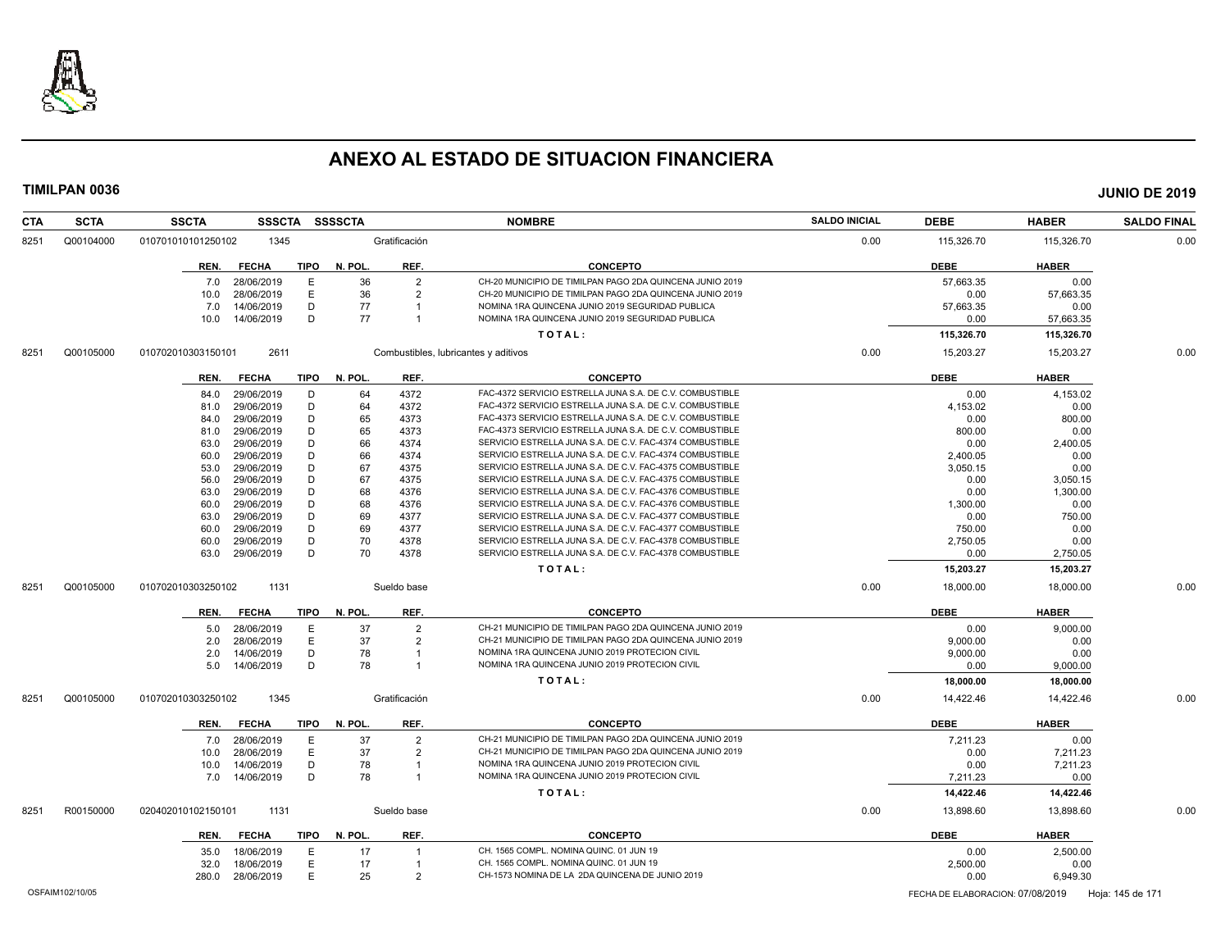

| <b>SCTA</b><br><b>CTA</b> | <b>SSCTA</b><br><b>SSSCTA</b> | <b>SSSSCTA</b>                     | <b>NOMBRE</b>                                            | <b>SALDO INICIAL</b> | <b>DEBE</b> | <b>HABER</b> | <b>SALDO FINAL</b> |
|---------------------------|-------------------------------|------------------------------------|----------------------------------------------------------|----------------------|-------------|--------------|--------------------|
| Q00104000<br>8251         | 010701010101250102<br>1345    | Gratificación                      |                                                          | 0.00                 | 115,326.70  | 115,326.70   | 0.00               |
|                           | <b>FECHA</b><br>TIPO<br>REN.  | N. POL.<br>REF.                    | <b>CONCEPTO</b>                                          |                      | <b>DEBE</b> | <b>HABER</b> |                    |
|                           | 28/06/2019<br>7.0             | 36<br>$\overline{2}$<br>E          | CH-20 MUNICIPIO DE TIMILPAN PAGO 2DA QUINCENA JUNIO 2019 |                      | 57,663.35   | 0.00         |                    |
|                           | 28/06/2019<br>10.0            | E<br>36<br>$\overline{2}$          | CH-20 MUNICIPIO DE TIMILPAN PAGO 2DA QUINCENA JUNIO 2019 |                      | 0.00        | 57,663.35    |                    |
|                           | 14/06/2019<br>7.0             | D<br>77<br>$\overline{\mathbf{1}}$ | NOMINA 1RA QUINCENA JUNIO 2019 SEGURIDAD PUBLICA         |                      | 57,663.35   | 0.00         |                    |
|                           | 14/06/2019<br>10.0            | D<br>77<br>$\overline{1}$          | NOMINA 1RA QUINCENA JUNIO 2019 SEGURIDAD PUBLICA         |                      | 0.00        | 57,663.35    |                    |
|                           |                               |                                    | TOTAL:                                                   |                      | 115,326.70  | 115,326.70   |                    |
| Q00105000<br>8251         | 2611<br>010702010303150101    |                                    | Combustibles, lubricantes y aditivos                     | 0.00                 | 15,203.27   | 15,203.27    | 0.00               |
|                           | <b>FECHA</b><br>TIPO<br>REN.  | N. POL.<br>REF.                    | <b>CONCEPTO</b>                                          |                      | <b>DEBE</b> | <b>HABER</b> |                    |
|                           | 29/06/2019<br>84.0            | 4372<br>D<br>64                    | FAC-4372 SERVICIO ESTRELLA JUNA S.A. DE C.V. COMBUSTIBLE |                      | 0.00        | 4,153.02     |                    |
|                           | 29/06/2019<br>81.0            | D<br>64<br>4372                    | FAC-4372 SERVICIO ESTRELLA JUNA S.A. DE C.V. COMBUSTIBLE |                      | 4,153.02    | 0.00         |                    |
|                           | 29/06/2019<br>84.0            | D<br>65<br>4373                    | FAC-4373 SERVICIO ESTRELLA JUNA S.A. DE C.V. COMBUSTIBLE |                      | 0.00        | 800.00       |                    |
|                           | 29/06/2019<br>81.0            | D<br>65<br>4373                    | FAC-4373 SERVICIO ESTRELLA JUNA S.A. DE C.V. COMBUSTIBLE |                      | 800.00      | 0.00         |                    |
|                           | 29/06/2019<br>63.0            | D<br>66<br>4374                    | SERVICIO ESTRELLA JUNA S.A. DE C.V. FAC-4374 COMBUSTIBLE |                      | 0.00        | 2,400.05     |                    |
|                           | 29/06/2019<br>60.0            | 66<br>D<br>4374                    | SERVICIO ESTRELLA JUNA S.A. DE C.V. FAC-4374 COMBUSTIBLE |                      | 2,400.05    | 0.00         |                    |
|                           | 29/06/2019<br>53.0            | D<br>67<br>4375                    | SERVICIO ESTRELLA JUNA S.A. DE C.V. FAC-4375 COMBUSTIBLE |                      | 3,050.15    | 0.00         |                    |
|                           | 29/06/2019<br>56.0            | D<br>67<br>4375                    | SERVICIO ESTRELLA JUNA S.A. DE C.V. FAC-4375 COMBUSTIBLE |                      | 0.00        | 3,050.15     |                    |
|                           | 29/06/2019<br>63.0            | D<br>68<br>4376                    | SERVICIO ESTRELLA JUNA S.A. DE C.V. FAC-4376 COMBUSTIBLE |                      | 0.00        | 1,300.00     |                    |
|                           | 29/06/2019<br>60.0            | D<br>68<br>4376                    | SERVICIO ESTRELLA JUNA S.A. DE C.V. FAC-4376 COMBUSTIBLE |                      | 1,300.00    | 0.00         |                    |
|                           | 29/06/2019<br>63.0            | D<br>69<br>4377                    | SERVICIO ESTRELLA JUNA S.A. DE C.V. FAC-4377 COMBUSTIBLE |                      | 0.00        | 750.00       |                    |
|                           | 29/06/2019<br>60.0            | D<br>69<br>4377                    | SERVICIO ESTRELLA JUNA S.A. DE C.V. FAC-4377 COMBUSTIBLE |                      | 750.00      | 0.00         |                    |
|                           | 29/06/2019<br>60.0            | D<br>70<br>4378                    | SERVICIO ESTRELLA JUNA S.A. DE C.V. FAC-4378 COMBUSTIBLE |                      | 2,750.05    | 0.00         |                    |
|                           | 29/06/2019<br>63.0            | D<br>70<br>4378                    | SERVICIO ESTRELLA JUNA S.A. DE C.V. FAC-4378 COMBUSTIBLE |                      | 0.00        | 2,750.05     |                    |
|                           |                               |                                    | TOTAL:                                                   |                      | 15,203.27   | 15,203.27    |                    |
| 8251<br>Q00105000         | 1131<br>010702010303250102    | Sueldo base                        |                                                          | 0.00                 | 18,000.00   | 18,000.00    | 0.00               |
|                           | REN.<br><b>FECHA</b><br>TIPO  | N. POL.<br>REF.                    | <b>CONCEPTO</b>                                          |                      | <b>DEBE</b> | <b>HABER</b> |                    |
|                           | 28/06/2019<br>5.0             | E<br>37<br>$\overline{2}$          | CH-21 MUNICIPIO DE TIMILPAN PAGO 2DA QUINCENA JUNIO 2019 |                      | 0.00        | 9.000.00     |                    |
|                           | 28/06/2019<br>2.0             | E<br>37<br>$\overline{2}$          | CH-21 MUNICIPIO DE TIMILPAN PAGO 2DA QUINCENA JUNIO 2019 |                      | 9,000.00    | 0.00         |                    |
|                           | 14/06/2019<br>2.0             | D<br>78<br>$\overline{1}$          | NOMINA 1RA QUINCENA JUNIO 2019 PROTECION CIVIL           |                      | 9,000.00    | 0.00         |                    |
|                           | 5.0<br>14/06/2019             | D<br>78<br>$\overline{1}$          | NOMINA 1RA QUINCENA JUNIO 2019 PROTECION CIVIL           |                      | 0.00        | 9,000.00     |                    |
|                           |                               |                                    | TOTAL:                                                   |                      | 18,000.00   | 18,000.00    |                    |
| Q00105000<br>8251         | 1345<br>010702010303250102    | Gratificación                      |                                                          | 0.00                 | 14,422.46   | 14,422.46    | 0.00               |
|                           | <b>FECHA</b><br>TIPO<br>REN.  | N. POL.<br>REF.                    | <b>CONCEPTO</b>                                          |                      | <b>DEBE</b> | <b>HABER</b> |                    |
|                           | 28/06/2019<br>7.0             | 37<br>$\overline{2}$<br>Е          | CH-21 MUNICIPIO DE TIMILPAN PAGO 2DA QUINCENA JUNIO 2019 |                      | 7,211.23    | 0.00         |                    |
|                           | 28/06/2019<br>10.0            | E<br>37<br>$\overline{2}$          | CH-21 MUNICIPIO DE TIMILPAN PAGO 2DA QUINCENA JUNIO 2019 |                      | 0.00        | 7,211.23     |                    |
|                           | 14/06/2019<br>10.0            | D<br>78<br>$\overline{1}$          | NOMINA 1RA QUINCENA JUNIO 2019 PROTECION CIVIL           |                      | 0.00        | 7,211.23     |                    |
|                           | 14/06/2019<br>7.0             | D<br>78<br>$\overline{1}$          | NOMINA 1RA QUINCENA JUNIO 2019 PROTECION CIVIL           |                      | 7,211.23    | 0.00         |                    |
|                           |                               |                                    | TOTAL:                                                   |                      | 14,422.46   | 14,422.46    |                    |
| R00150000<br>8251         | 1131<br>020402010102150101    | Sueldo base                        |                                                          | 0.00                 | 13,898.60   | 13,898.60    | 0.00               |
|                           | TIPO<br>REN.<br><b>FECHA</b>  | N. POL.<br>REF.                    | <b>CONCEPTO</b>                                          |                      | <b>DEBE</b> | <b>HABER</b> |                    |
|                           | 18/06/2019<br>35.0            | 17<br>Е                            | CH. 1565 COMPL. NOMINA QUINC. 01 JUN 19                  |                      | 0.00        | 2,500.00     |                    |
|                           | 18/06/2019<br>32.0            | E<br>17<br>$\overline{1}$          | CH. 1565 COMPL. NOMINA QUINC. 01 JUN 19                  |                      | 2,500.00    | 0.00         |                    |
|                           | 280.0 28/06/2019              | E<br>25<br>$\overline{2}$          | CH-1573 NOMINA DE LA 2DA QUINCENA DE JUNIO 2019          |                      | 0.00        | 6,949.30     |                    |
|                           |                               |                                    |                                                          |                      |             |              |                    |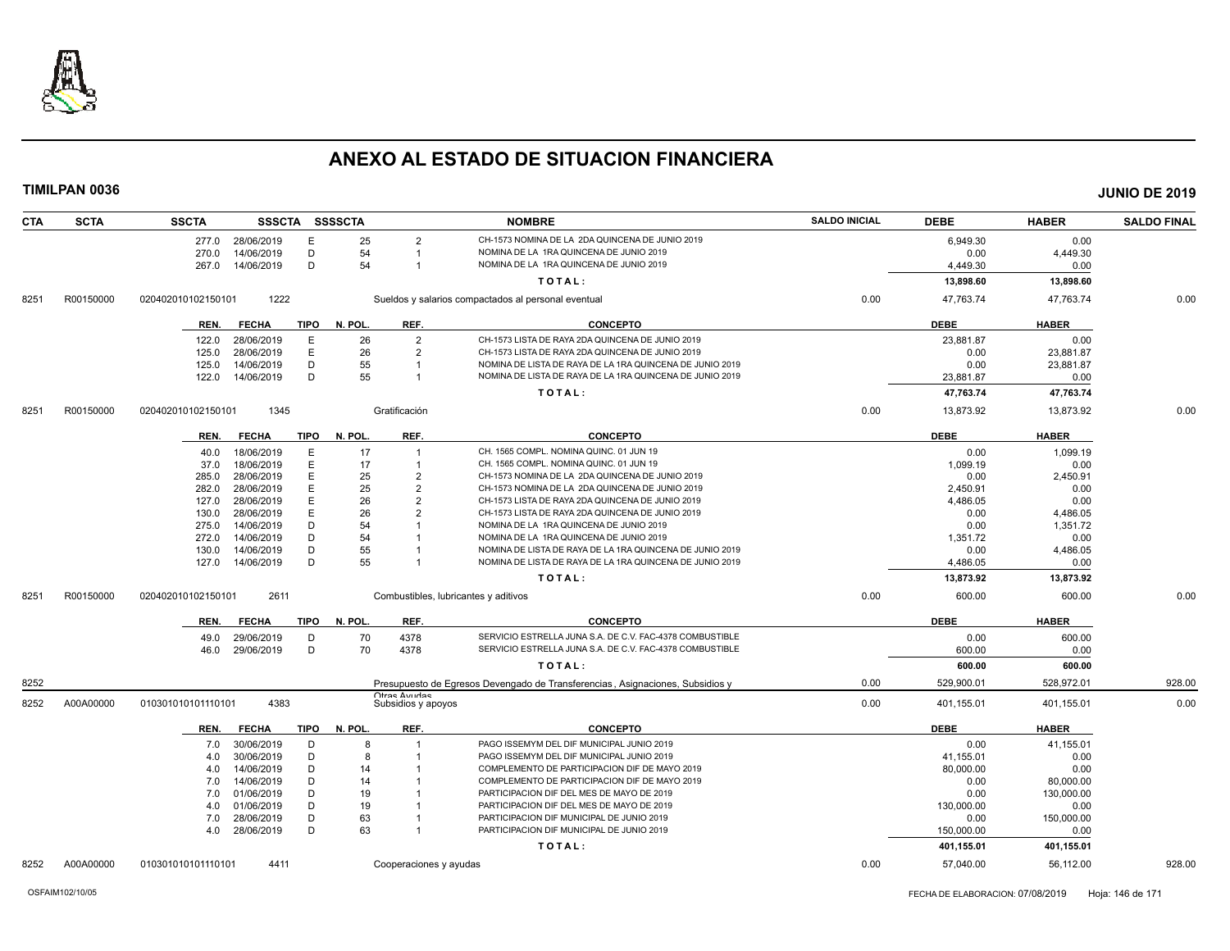

| <b>CTA</b> | <b>SCTA</b> | <b>SSCTA</b>       |                          |             | SSSCTA SSSSCTA |                                     | <b>NOMBRE</b>                                                                      | <b>SALDO INICIAL</b> | <b>DEBE</b>      | <b>HABER</b>     | <b>SALDO FINAL</b> |
|------------|-------------|--------------------|--------------------------|-------------|----------------|-------------------------------------|------------------------------------------------------------------------------------|----------------------|------------------|------------------|--------------------|
|            |             | 277.0              | 28/06/2019               | Е           | 25             | 2                                   | CH-1573 NOMINA DE LA 2DA QUINCENA DE JUNIO 2019                                    |                      | 6,949.30         | 0.00             |                    |
|            |             | 270.0              | 14/06/2019               | D           | 54             | -1                                  | NOMINA DE LA 1RA QUINCENA DE JUNIO 2019                                            |                      | 0.00             | 4,449.30         |                    |
|            |             | 267.0              | 14/06/2019               | D           | 54             | -1                                  | NOMINA DE LA 1RA QUINCENA DE JUNIO 2019                                            |                      | 4,449.30         | 0.00             |                    |
|            |             |                    |                          |             |                |                                     | TOTAL:                                                                             |                      | 13,898.60        | 13,898.60        |                    |
| 8251       | R00150000   | 020402010102150101 | 1222                     |             |                |                                     | Sueldos y salarios compactados al personal eventual                                | 0.00                 | 47,763.74        | 47,763.74        | 0.00               |
|            |             | REN.               | <b>FECHA</b>             | TIPO        | N. POL.        | REF.                                | <b>CONCEPTO</b>                                                                    |                      | <b>DEBE</b>      | <b>HABER</b>     |                    |
|            |             | 122.0              | 28/06/2019               | Е           | 26             | 2                                   | CH-1573 LISTA DE RAYA 2DA QUINCENA DE JUNIO 2019                                   |                      | 23,881.87        | 0.00             |                    |
|            |             | 125.0              | 28/06/2019               | E           | 26             | $\overline{2}$                      | CH-1573 LISTA DE RAYA 2DA QUINCENA DE JUNIO 2019                                   |                      | 0.00             | 23,881.87        |                    |
|            |             | 125.0              | 14/06/2019               | D           | 55             |                                     | NOMINA DE LISTA DE RAYA DE LA 1RA QUINCENA DE JUNIO 2019                           |                      | 0.00             | 23,881.87        |                    |
|            |             | 122.0              | 14/06/2019               | D           | 55             | -1                                  | NOMINA DE LISTA DE RAYA DE LA 1RA QUINCENA DE JUNIO 2019                           |                      | 23,881.87        | 0.00             |                    |
|            |             |                    |                          |             |                |                                     | TOTAL:                                                                             |                      | 47,763.74        | 47,763.74        |                    |
| 8251       | R00150000   | 020402010102150101 | 1345                     |             |                | Gratificación                       |                                                                                    | 0.00                 | 13,873.92        | 13,873.92        | 0.00               |
|            |             | REN.               | <b>FECHA</b>             | <b>TIPO</b> | N. POL.        | REF.                                | <b>CONCEPTO</b>                                                                    |                      | <b>DEBE</b>      | <b>HABER</b>     |                    |
|            |             |                    |                          |             |                |                                     |                                                                                    |                      |                  |                  |                    |
|            |             | 40.0               | 18/06/2019<br>18/06/2019 | E<br>E      | 17<br>17       | $\mathbf 1$                         | CH. 1565 COMPL. NOMINA QUINC. 01 JUN 19<br>CH. 1565 COMPL. NOMINA QUINC. 01 JUN 19 |                      | 0.00<br>1,099.19 | 1,099.19<br>0.00 |                    |
|            |             | 37.0<br>285.0      |                          | E           | 25             | $\overline{2}$                      | CH-1573 NOMINA DE LA 2DA QUINCENA DE JUNIO 2019                                    |                      | 0.00             |                  |                    |
|            |             | 282.0              | 28/06/2019<br>28/06/2019 | E           | 25             | $\mathcal{P}$                       | CH-1573 NOMINA DE LA 2DA QUINCENA DE JUNIO 2019                                    |                      | 2.450.91         | 2,450.91<br>0.00 |                    |
|            |             | 127.0              | 28/06/2019               | E           | 26             | 2                                   | CH-1573 LISTA DE RAYA 2DA QUINCENA DE JUNIO 2019                                   |                      | 4,486.05         | 0.00             |                    |
|            |             | 130.0              | 28/06/2019               | E           | 26             | $\mathcal{P}$                       | CH-1573 LISTA DE RAYA 2DA QUINCENA DE JUNIO 2019                                   |                      | 0.00             | 4,486.05         |                    |
|            |             | 275.0              | 14/06/2019               | D           | 54             |                                     | NOMINA DE LA 1RA QUINCENA DE JUNIO 2019                                            |                      | 0.00             | 1,351.72         |                    |
|            |             | 272.0              | 14/06/2019               | D           | 54             |                                     | NOMINA DE LA 1RA QUINCENA DE JUNIO 2019                                            |                      | 1,351.72         | 0.00             |                    |
|            |             | 130.0              | 14/06/2019               | D           | 55             |                                     | NOMINA DE LISTA DE RAYA DE LA 1RA QUINCENA DE JUNIO 2019                           |                      | 0.00             | 4,486.05         |                    |
|            |             | 127.0              | 14/06/2019               | D           | 55             |                                     | NOMINA DE LISTA DE RAYA DE LA 1RA QUINCENA DE JUNIO 2019                           |                      | 4,486.05         | 0.00             |                    |
|            |             |                    |                          |             |                |                                     | TOTAL:                                                                             |                      | 13,873.92        | 13,873.92        |                    |
| 8251       | R00150000   | 020402010102150101 | 2611                     |             |                |                                     | Combustibles, lubricantes y aditivos                                               | 0.00                 | 600.00           | 600.00           | 0.00               |
|            |             | REN.               | <b>FECHA</b>             | TIPO        | N. POL.        | REF.                                | <b>CONCEPTO</b>                                                                    |                      | <b>DEBE</b>      | <b>HABER</b>     |                    |
|            |             | 49.0               | 29/06/2019               | D           | 70             | 4378                                | SERVICIO ESTRELLA JUNA S.A. DE C.V. FAC-4378 COMBUSTIBLE                           |                      | 0.00             | 600.00           |                    |
|            |             | 46.0               | 29/06/2019               | D           | 70             | 4378                                | SERVICIO ESTRELLA JUNA S.A. DE C.V. FAC-4378 COMBUSTIBLE                           |                      | 600.00           | 0.00             |                    |
|            |             |                    |                          |             |                |                                     | TOTAL:                                                                             |                      | 600.00           | 600.00           |                    |
| 8252       |             |                    |                          |             |                |                                     | Presupuesto de Egresos Devengado de Transferencias, Asignaciones, Subsidios y      | 0.00                 | 529,900.01       | 528,972.01       | 928.00             |
| 8252       | A00A00000   | 010301010101110101 | 4383                     |             |                | Ofrae Avurdae<br>Subsidios y apoyos |                                                                                    | 0.00                 | 401,155.01       | 401,155.01       | 0.00               |
|            |             | REN.               | <b>FECHA</b>             | <b>TIPO</b> | N. POL.        | REF.                                | <b>CONCEPTO</b>                                                                    |                      | <b>DEBE</b>      | <b>HABER</b>     |                    |
|            |             | 7.0                | 30/06/2019               | D           | 8              | -1                                  | PAGO ISSEMYM DEL DIF MUNICIPAL JUNIO 2019                                          |                      | 0.00             | 41,155.01        |                    |
|            |             | 4.0                | 30/06/2019               | D           | 8              |                                     | PAGO ISSEMYM DEL DIF MUNICIPAL JUNIO 2019                                          |                      | 41.155.01        | 0.00             |                    |
|            |             | 4.0                | 14/06/2019               | D           | 14             |                                     | COMPLEMENTO DE PARTICIPACION DIF DE MAYO 2019                                      |                      | 80,000.00        | 0.00             |                    |
|            |             | 7.0                | 14/06/2019               | D           | 14             |                                     | COMPLEMENTO DE PARTICIPACION DIF DE MAYO 2019                                      |                      | 0.00             | 80,000.00        |                    |
|            |             | 7.0                | 01/06/2019               | D           | 19             |                                     | PARTICIPACION DIF DEL MES DE MAYO DE 2019                                          |                      | 0.00             | 130,000.00       |                    |
|            |             | 4.0                | 01/06/2019               | D           | 19             |                                     | PARTICIPACION DIF DEL MES DE MAYO DE 2019                                          |                      | 130,000.00       | 0.00             |                    |
|            |             | 7.0                | 28/06/2019               | D           | 63             | -1                                  | PARTICIPACION DIF MUNICIPAL DE JUNIO 2019                                          |                      | 0.00             | 150,000.00       |                    |
|            |             | 4.0                | 28/06/2019               | D           | 63             | -1                                  | PARTICIPACION DIF MUNICIPAL DE JUNIO 2019                                          |                      | 150,000.00       | 0.00             |                    |
|            |             |                    |                          |             |                |                                     | TOTAL:                                                                             |                      | 401,155.01       | 401,155.01       |                    |
| 8252       | A00A00000   | 010301010101110101 | 4411                     |             |                | Cooperaciones y ayudas              |                                                                                    | 0.00                 | 57.040.00        | 56,112.00        | 928.00             |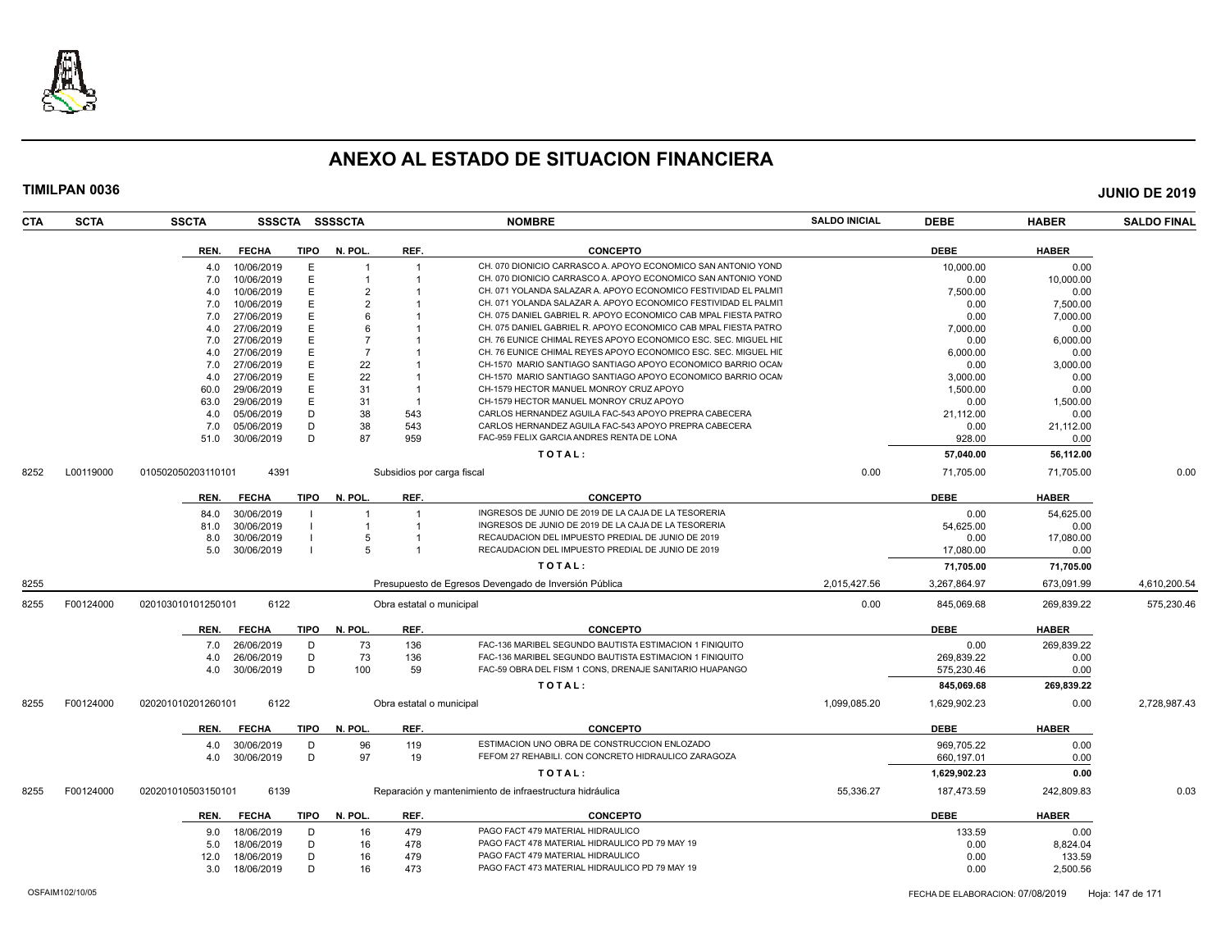

| <b>CTA</b> | <b>SCTA</b> | <b>SSCTA</b>       | SSSCTA       |             | SSSSCTA        |                            | <b>NOMBRE</b>                                                   | <b>SALDO INICIAL</b> | <b>DEBE</b>  | <b>HABER</b> | <b>SALDO FINAL</b> |
|------------|-------------|--------------------|--------------|-------------|----------------|----------------------------|-----------------------------------------------------------------|----------------------|--------------|--------------|--------------------|
|            |             | REN.               | <b>FECHA</b> | <b>TIPO</b> | N. POL.        | REF.                       | <b>CONCEPTO</b>                                                 |                      | <b>DEBE</b>  | <b>HABER</b> |                    |
|            |             | 4.0                | 10/06/2019   | Ε           |                | $\overline{1}$             | CH. 070 DIONICIO CARRASCO A. APOYO ECONOMICO SAN ANTONIO YOND   |                      | 10,000.00    | 0.00         |                    |
|            |             | 7.0                | 10/06/2019   | E           |                |                            | CH. 070 DIONICIO CARRASCO A. APOYO ECONOMICO SAN ANTONIO YOND   |                      | 0.00         | 10.000.00    |                    |
|            |             | 4.0                | 10/06/2019   | E           | 2              |                            | CH. 071 YOLANDA SALAZAR A. APOYO ECONOMICO FESTIVIDAD EL PALMIT |                      | 7,500.00     | 0.00         |                    |
|            |             | 7.0                | 10/06/2019   | E           |                |                            | CH. 071 YOLANDA SALAZAR A. APOYO ECONOMICO FESTIVIDAD EL PALMIT |                      | 0.00         | 7.500.00     |                    |
|            |             | 7.0                | 27/06/2019   | Е           |                |                            | CH. 075 DANIEL GABRIEL R. APOYO ECONOMICO CAB MPAL FIESTA PATRO |                      | 0.00         | 7,000.00     |                    |
|            |             | 4.0                | 27/06/2019   | E           |                |                            | CH. 075 DANIEL GABRIEL R. APOYO ECONOMICO CAB MPAL FIESTA PATRO |                      | 7,000.00     | 0.00         |                    |
|            |             | 7.0                | 27/06/2019   | E           |                |                            | CH. 76 EUNICE CHIMAL REYES APOYO ECONOMICO ESC. SEC. MIGUEL HIL |                      | 0.00         | 6,000.00     |                    |
|            |             | 4.0                | 27/06/2019   | E           | $\overline{7}$ |                            | CH. 76 EUNICE CHIMAL REYES APOYO ECONOMICO ESC. SEC. MIGUEL HII |                      | 6,000.00     | 0.00         |                    |
|            |             | 7.0                | 27/06/2019   | E           | 22             |                            | CH-1570 MARIO SANTIAGO SANTIAGO APOYO ECONOMICO BARRIO OCAN     |                      | 0.00         | 3,000.00     |                    |
|            |             | 4.0                | 27/06/2019   | E           | 22             |                            | CH-1570 MARIO SANTIAGO SANTIAGO APOYO ECONOMICO BARRIO OCAN     |                      | 3,000.00     | 0.00         |                    |
|            |             | 60.0               | 29/06/2019   | E           | 31             | -1                         | CH-1579 HECTOR MANUEL MONROY CRUZ APOYO                         |                      | 1,500.00     | 0.00         |                    |
|            |             | 63.0               | 29/06/2019   | E           | 31             | $\overline{1}$             | CH-1579 HECTOR MANUEL MONROY CRUZ APOYO                         |                      | 0.00         |              |                    |
|            |             |                    |              | D           | 38             | 543                        | CARLOS HERNANDEZ AGUILA FAC-543 APOYO PREPRA CABECERA           |                      |              | 1,500.00     |                    |
|            |             | 4.0                | 05/06/2019   | D           |                |                            | CARLOS HERNANDEZ AGUILA FAC-543 APOYO PREPRA CABECERA           |                      | 21,112.00    | 0.00         |                    |
|            |             | 7.0                | 05/06/2019   | D           | 38             | 543                        | FAC-959 FELIX GARCIA ANDRES RENTA DE LONA                       |                      | 0.00         | 21,112.00    |                    |
|            |             | 51.0               | 30/06/2019   |             | 87             | 959                        |                                                                 |                      | 928.00       | 0.00         |                    |
|            |             |                    |              |             |                |                            | TOTAL:                                                          |                      | 57,040.00    | 56,112.00    |                    |
| 8252       | L00119000   | 010502050203110101 | 4391         |             |                | Subsidios por carga fiscal |                                                                 | 0.00                 | 71,705.00    | 71,705.00    | 0.00               |
|            |             | REN.               | <b>FECHA</b> | TIPO        | N. POL.        | REF.                       | <b>CONCEPTO</b>                                                 |                      | <b>DEBE</b>  | <b>HABER</b> |                    |
|            |             | 84.0               | 30/06/2019   |             |                |                            | INGRESOS DE JUNIO DE 2019 DE LA CAJA DE LA TESORERIA            |                      | 0.00         | 54,625.00    |                    |
|            |             | 81.0               | 30/06/2019   |             |                |                            | INGRESOS DE JUNIO DE 2019 DE LA CAJA DE LA TESORERIA            |                      | 54,625.00    | 0.00         |                    |
|            |             | 8.0                | 30/06/2019   |             |                |                            | RECAUDACION DEL IMPUESTO PREDIAL DE JUNIO DE 2019               |                      | 0.00         | 17,080.00    |                    |
|            |             | 5.0                | 30/06/2019   |             |                | $\overline{1}$             | RECAUDACION DEL IMPUESTO PREDIAL DE JUNIO DE 2019               |                      | 17,080.00    | 0.00         |                    |
|            |             |                    |              |             |                |                            | TOTAL:                                                          |                      | 71,705.00    | 71,705.00    |                    |
| 8255       |             |                    |              |             |                |                            | Presupuesto de Egresos Devengado de Inversión Pública           | 2,015,427.56         | 3,267,864.97 | 673,091.99   | 4,610,200.54       |
|            |             |                    |              |             |                |                            |                                                                 |                      |              |              |                    |
| 8255       | F00124000   | 020103010101250101 | 6122         |             |                | Obra estatal o municipal   |                                                                 | 0.00                 | 845,069.68   | 269,839.22   | 575,230.46         |
|            |             | REN.               | <b>FECHA</b> | <b>TIPO</b> | N. POL.        | REF.                       | <b>CONCEPTO</b>                                                 |                      | <b>DEBE</b>  | <b>HABER</b> |                    |
|            |             | 7.0                | 26/06/2019   | D           | 73             | 136                        | FAC-136 MARIBEL SEGUNDO BAUTISTA ESTIMACION 1 FINIQUITO         |                      | 0.00         | 269,839.22   |                    |
|            |             | 4.0                | 26/06/2019   | D           | 73             | 136                        | FAC-136 MARIBEL SEGUNDO BAUTISTA ESTIMACION 1 FINIQUITO         |                      | 269.839.22   | 0.00         |                    |
|            |             | 4.0                | 30/06/2019   | D           | 100            | 59                         | FAC-59 OBRA DEL FISM 1 CONS, DRENAJE SANITARIO HUAPANGO         |                      | 575,230.46   | 0.00         |                    |
|            |             |                    |              |             |                |                            | TOTAL:                                                          |                      | 845,069.68   | 269,839.22   |                    |
| 8255       | F00124000   | 020201010201260101 | 6122         |             |                | Obra estatal o municipal   |                                                                 | 1,099,085.20         | 1,629,902.23 | 0.00         | 2,728,987.43       |
|            |             | REN.               | <b>FECHA</b> | <b>TIPO</b> | N. POL.        | REF.                       | <b>CONCEPTO</b>                                                 |                      | <b>DEBE</b>  | <b>HABER</b> |                    |
|            |             | 4.0                | 30/06/2019   | D           | 96             | 119                        | ESTIMACION UNO OBRA DE CONSTRUCCION ENLOZADO                    |                      | 969.705.22   | 0.00         |                    |
|            |             | 4.0                | 30/06/2019   | D           | 97             | 19                         | FEFOM 27 REHABILI. CON CONCRETO HIDRAULICO ZARAGOZA             |                      | 660,197.01   | 0.00         |                    |
|            |             |                    |              |             |                |                            |                                                                 |                      |              |              |                    |
|            |             |                    |              |             |                |                            | TOTAL:                                                          |                      | 1,629,902.23 | 0.00         |                    |
| 8255       | F00124000   | 020201010503150101 | 6139         |             |                |                            | Reparación y mantenimiento de infraestructura hidráulica        | 55,336.27            | 187,473.59   | 242,809.83   | 0.03               |
|            |             | REN.               | <b>FECHA</b> | <b>TIPO</b> | N. POL.        | REF.                       | <b>CONCEPTO</b>                                                 |                      | <b>DEBE</b>  | <b>HABER</b> |                    |
|            |             | 9.0                | 18/06/2019   | D           | 16             | 479                        | PAGO FACT 479 MATERIAL HIDRAULICO                               |                      | 133.59       | 0.00         |                    |
|            |             | 5.0                | 18/06/2019   | D           | 16             | 478                        | PAGO FACT 478 MATERIAL HIDRAULICO PD 79 MAY 19                  |                      | 0.00         | 8,824.04     |                    |
|            |             | 12.0               | 18/06/2019   | D           | 16             | 479                        | PAGO FACT 479 MATERIAL HIDRAULICO                               |                      | 0.00         | 133.59       |                    |
|            |             | 3.0                | 18/06/2019   | D           | 16             | 473                        | PAGO FACT 473 MATERIAL HIDRAULICO PD 79 MAY 19                  |                      | 0.00         | 2,500.56     |                    |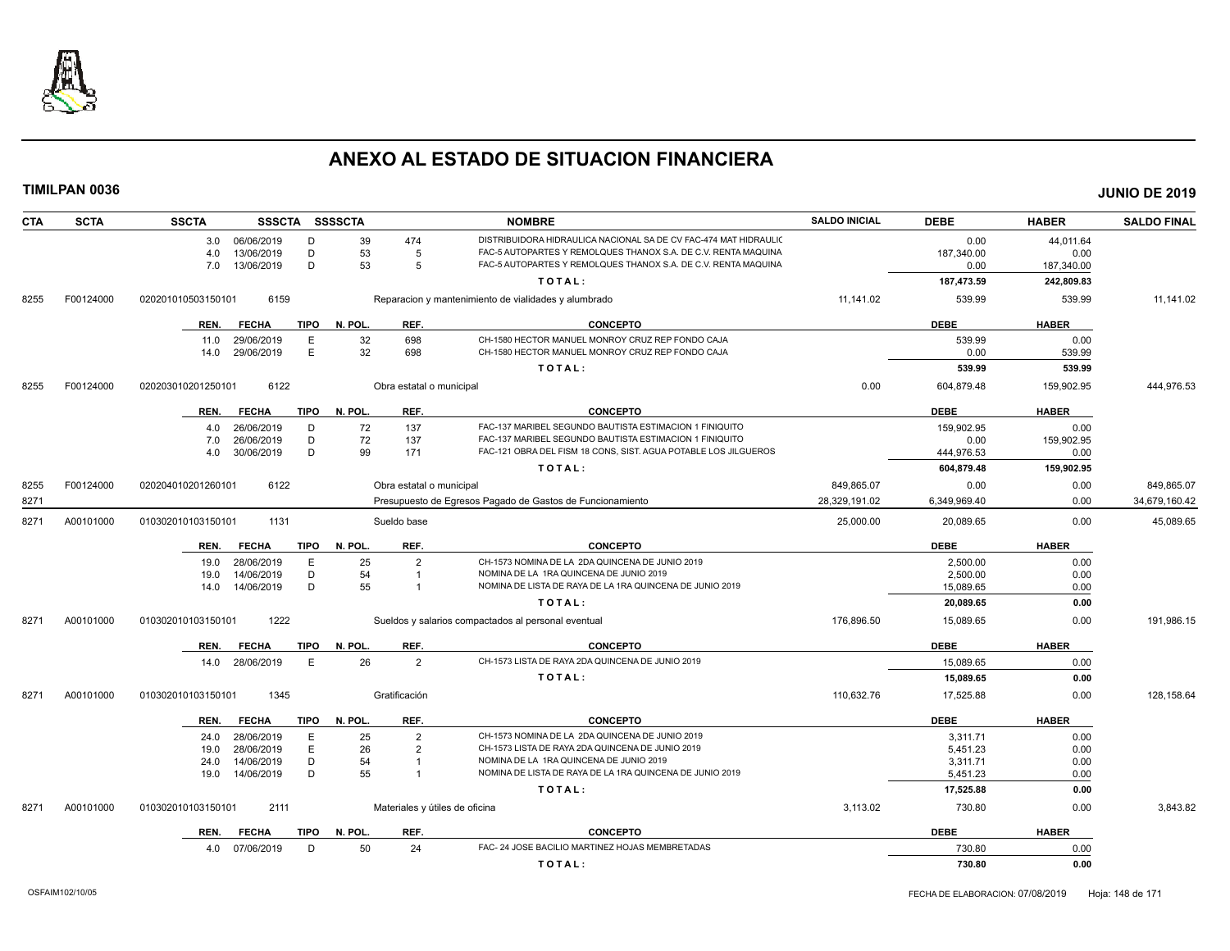

| <b>CTA</b> | <b>SCTA</b> | <b>SSCTA</b>               | SSSCTA SSSSCTA         |                          | <b>NOMBRE</b>                                                    | <b>SALDO INICIAL</b> | <b>DEBE</b>  | <b>HABER</b> | <b>SALDO FINAL</b> |
|------------|-------------|----------------------------|------------------------|--------------------------|------------------------------------------------------------------|----------------------|--------------|--------------|--------------------|
|            |             | 06/06/2019<br>3.0          | D<br>39                | 474                      | DISTRIBUIDORA HIDRAULICA NACIONAL SA DE CV FAC-474 MAT HIDRAULIC |                      | 0.00         | 44,011.64    |                    |
|            |             | 13/06/2019<br>4.0          | D<br>53                | -5                       | FAC-5 AUTOPARTES Y REMOLQUES THANOX S.A. DE C.V. RENTA MAQUINA   |                      | 187,340.00   | 0.00         |                    |
|            |             | 7.0<br>13/06/2019          | 53<br>D                | 5                        | FAC-5 AUTOPARTES Y REMOLQUES THANOX S.A. DE C.V. RENTA MAQUINA   |                      | 0.00         | 187,340.00   |                    |
|            |             |                            |                        |                          | TOTAL:                                                           |                      | 187,473.59   | 242,809.83   |                    |
| 8255       | F00124000   | 6159<br>020201010503150101 |                        |                          | Reparacion y mantenimiento de vialidades y alumbrado             | 11,141.02            | 539.99       | 539.99       | 11,141.02          |
|            |             | REN.<br><b>FECHA</b>       | <b>TIPO</b><br>N. POL. | REF.                     | <b>CONCEPTO</b>                                                  |                      | <b>DEBE</b>  | <b>HABER</b> |                    |
|            |             | 29/06/2019<br>11.0         | E<br>32                | 698                      | CH-1580 HECTOR MANUEL MONROY CRUZ REP FONDO CAJA                 |                      | 539.99       | 0.00         |                    |
|            |             | 29/06/2019<br>14.0         | E<br>32                | 698                      | CH-1580 HECTOR MANUEL MONROY CRUZ REP FONDO CAJA                 |                      | 0.00         | 539.99       |                    |
|            |             |                            |                        |                          | TOTAL:                                                           |                      | 539.99       | 539.99       |                    |
| 8255       | F00124000   | 6122<br>020203010201250101 |                        | Obra estatal o municipal |                                                                  | 0.00                 | 604,879.48   | 159,902.95   | 444,976.53         |
|            |             | <b>FECHA</b><br>REN.       | TIPO<br>N. POL.        | REF.                     | <b>CONCEPTO</b>                                                  |                      | <b>DEBE</b>  | <b>HABER</b> |                    |
|            |             | 26/06/2019<br>4.0          | 72<br>D                | 137                      | FAC-137 MARIBEL SEGUNDO BAUTISTA ESTIMACION 1 FINIQUITO          |                      | 159.902.95   | 0.00         |                    |
|            |             | 7.0<br>26/06/2019          | 72<br>D                | 137                      | FAC-137 MARIBEL SEGUNDO BAUTISTA ESTIMACION 1 FINIQUITO          |                      | 0.00         | 159,902.95   |                    |
|            |             | 30/06/2019<br>4.0          | D<br>99                | 171                      | FAC-121 OBRA DEL FISM 18 CONS, SIST. AGUA POTABLE LOS JILGUEROS  |                      | 444,976.53   | 0.00         |                    |
|            |             |                            |                        |                          | TOTAL:                                                           |                      | 604,879.48   | 159,902.95   |                    |
| 8255       | F00124000   | 6122<br>020204010201260101 |                        | Obra estatal o municipal |                                                                  | 849,865.07           | 0.00         | 0.00         | 849,865.07         |
| 8271       |             |                            |                        |                          | Presupuesto de Egresos Pagado de Gastos de Funcionamiento        | 28,329,191.02        | 6,349,969.40 | 0.00         | 34,679,160.42      |
| 8271       | A00101000   | 1131<br>010302010103150101 |                        | Sueldo base              |                                                                  | 25,000.00            | 20,089.65    | 0.00         | 45,089.65          |
|            |             | <b>FECHA</b><br>REN.       | TIPO<br>N. POL         | REF.                     | <b>CONCEPTO</b>                                                  |                      | <b>DEBE</b>  | <b>HABER</b> |                    |
|            |             | 28/06/2019<br>19.0         | E<br>25                | $\overline{2}$           | CH-1573 NOMINA DE LA 2DA QUINCENA DE JUNIO 2019                  |                      | 2.500.00     | 0.00         |                    |
|            |             | 14/06/2019<br>19.0         | 54<br>D                | $\overline{1}$           | NOMINA DE LA 1RA QUINCENA DE JUNIO 2019                          |                      | 2,500.00     | 0.00         |                    |
|            |             | 14/06/2019<br>14.0         | 55<br>D                |                          | NOMINA DE LISTA DE RAYA DE LA 1RA QUINCENA DE JUNIO 2019         |                      | 15,089.65    | 0.00         |                    |
|            |             |                            |                        |                          | TOTAL:                                                           |                      | 20,089.65    | 0.00         |                    |
| 8271       | A00101000   | 1222<br>010302010103150101 |                        |                          | Sueldos y salarios compactados al personal eventual              | 176,896.50           | 15,089.65    | 0.00         | 191,986.15         |
|            |             | <b>FECHA</b><br>REN.       | <b>TIPO</b><br>N. POL. | REF.                     | <b>CONCEPTO</b>                                                  |                      | <b>DEBE</b>  | <b>HABER</b> |                    |
|            |             | 28/06/2019<br>14.0         | 26<br>E                | $\overline{2}$           | CH-1573 LISTA DE RAYA 2DA QUINCENA DE JUNIO 2019                 |                      | 15,089.65    | 0.00         |                    |
|            |             |                            |                        |                          | TOTAL:                                                           |                      | 15,089.65    | 0.00         |                    |
| 8271       | A00101000   | 1345<br>010302010103150101 |                        | Gratificación            |                                                                  | 110,632.76           | 17,525.88    | 0.00         | 128,158.64         |
|            |             | REN.<br><b>FECHA</b>       | <b>TIPO</b><br>N. POL. | REF.                     | <b>CONCEPTO</b>                                                  |                      | <b>DEBE</b>  | <b>HABER</b> |                    |
|            |             | 28/06/2019<br>24.0         | Ε<br>25                | $\overline{2}$           | CH-1573 NOMINA DE LA 2DA QUINCENA DE JUNIO 2019                  |                      | 3,311.71     | 0.00         |                    |
|            |             | 28/06/2019<br>19.0         | E<br>26                | $\overline{2}$           | CH-1573 LISTA DE RAYA 2DA QUINCENA DE JUNIO 2019                 |                      | 5,451.23     | 0.00         |                    |
|            |             | 14/06/2019<br>24.0         | D<br>54                | $\overline{1}$           | NOMINA DE LA 1RA QUINCENA DE JUNIO 2019                          |                      | 3.311.71     | 0.00         |                    |
|            |             | 14/06/2019<br>19.0         | 55<br>D                | $\overline{1}$           | NOMINA DE LISTA DE RAYA DE LA 1RA QUINCENA DE JUNIO 2019         |                      | 5,451.23     | 0.00         |                    |
|            |             |                            |                        |                          | TOTAL:                                                           |                      | 17,525.88    | 0.00         |                    |
| 8271       | A00101000   | 2111<br>010302010103150101 |                        |                          | Materiales y útiles de oficina                                   | 3,113.02             | 730.80       | 0.00         | 3,843.82           |
|            |             | REN.<br><b>FECHA</b>       | TIPO<br>N. POL.        | REF.                     | <b>CONCEPTO</b>                                                  |                      | <b>DEBE</b>  | <b>HABER</b> |                    |
|            |             | 07/06/2019<br>4.0          | 50<br>D                | 24                       | FAC- 24 JOSE BACILIO MARTINEZ HOJAS MEMBRETADAS                  |                      | 730.80       | 0.00         |                    |
|            |             |                            |                        |                          | TOTAL:                                                           |                      | 730.80       | 0.00         |                    |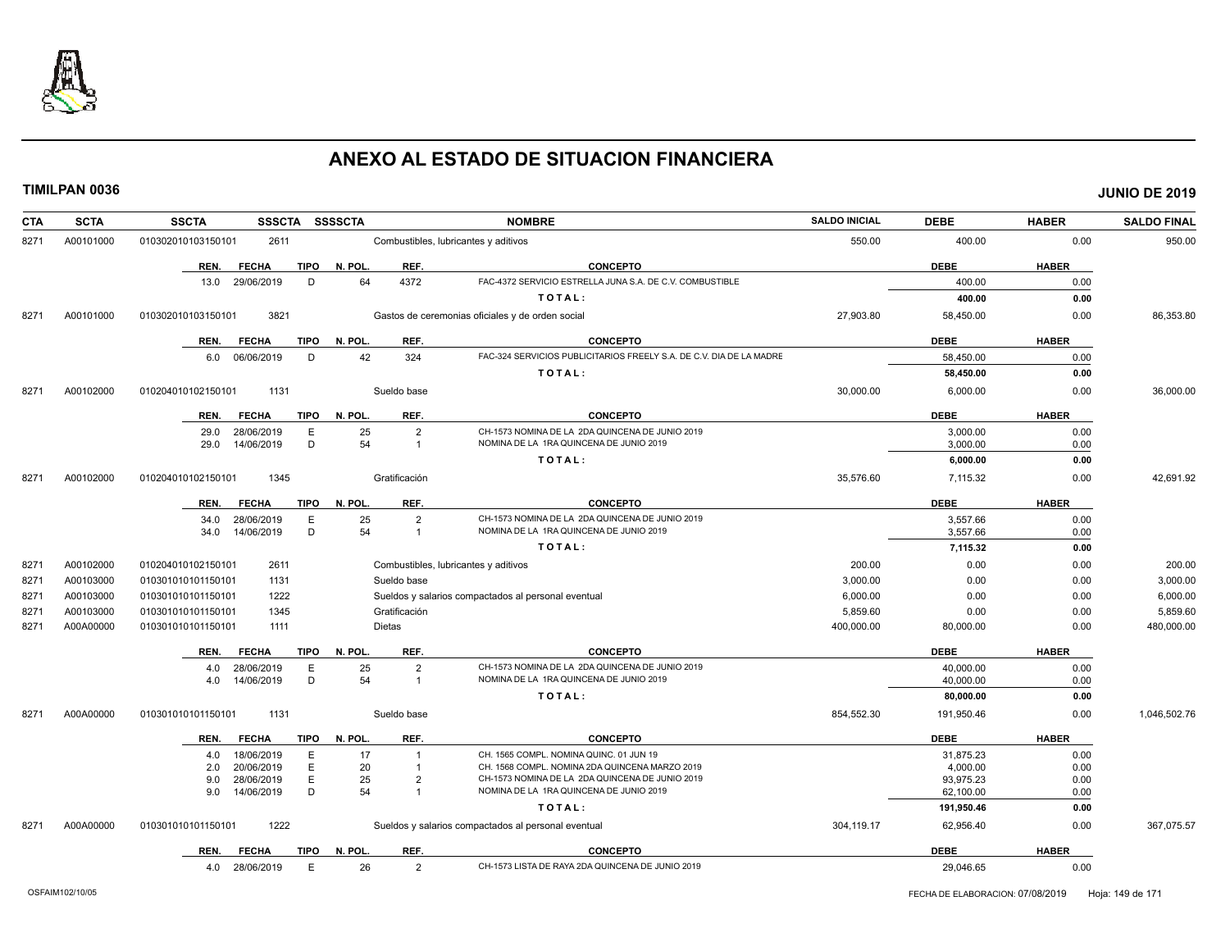

| <b>CTA</b> | <b>SCTA</b> | <b>SSCTA</b><br>SSSCTA SSSSCTA      |                                              | <b>NOMBRE</b>                                                                              | <b>SALDO INICIAL</b> | <b>DEBE</b>             | <b>HABER</b> | <b>SALDO FINAL</b> |
|------------|-------------|-------------------------------------|----------------------------------------------|--------------------------------------------------------------------------------------------|----------------------|-------------------------|--------------|--------------------|
| 8271       | A00101000   | 010302010103150101<br>2611          | Combustibles, lubricantes y aditivos         |                                                                                            | 550.00               | 400.00                  | 0.00         | 950.00             |
|            |             | <b>TIPO</b><br>REN.<br><b>FECHA</b> | REF.<br>N. POL.                              | <b>CONCEPTO</b>                                                                            |                      | <b>DEBE</b>             | <b>HABER</b> |                    |
|            |             | 29/06/2019<br>D<br>13.0             | 4372<br>64                                   | FAC-4372 SERVICIO ESTRELLA JUNA S.A. DE C.V. COMBUSTIBLE                                   |                      | 400.00                  | 0.00         |                    |
|            |             |                                     |                                              | TOTAL:                                                                                     |                      | 400.00                  | 0.00         |                    |
| 8271       | A00101000   | 010302010103150101<br>3821          |                                              | Gastos de ceremonias oficiales y de orden social                                           | 27,903.80            | 58,450.00               | 0.00         | 86,353.80          |
|            |             | REN.<br><b>FECHA</b><br><b>TIPO</b> | REF.<br>N. POL.                              | <b>CONCEPTO</b>                                                                            |                      | <b>DEBE</b>             | <b>HABER</b> |                    |
|            |             | 6.0 06/06/2019<br>D                 | 42<br>324                                    | FAC-324 SERVICIOS PUBLICITARIOS FREELY S.A. DE C.V. DIA DE LA MADRE                        |                      | 58,450.00               | 0.00         |                    |
|            |             |                                     |                                              | TOTAL:                                                                                     |                      | 58,450.00               | 0.00         |                    |
| 8271       | A00102000   | 1131<br>010204010102150101          | Sueldo base                                  |                                                                                            | 30,000.00            | 6,000.00                | 0.00         | 36,000.00          |
|            |             | <b>FECHA</b><br>TIPO<br>REN.        | N. POL.<br>REF.                              | <b>CONCEPTO</b>                                                                            |                      | <b>DEBE</b>             | <b>HABER</b> |                    |
|            |             | 29.0<br>28/06/2019<br>E             | 25<br>$\overline{2}$                         | CH-1573 NOMINA DE LA 2DA QUINCENA DE JUNIO 2019                                            |                      | 3,000.00                | 0.00         |                    |
|            |             | D<br>29.0<br>14/06/2019             | 54<br>$\overline{1}$                         | NOMINA DE LA 1RA QUINCENA DE JUNIO 2019                                                    |                      | 3,000.00                | 0.00         |                    |
|            |             |                                     |                                              | TOTAL:                                                                                     |                      | 6,000.00                | 0.00         |                    |
| 8271       | A00102000   | 1345<br>010204010102150101          | Gratificación                                |                                                                                            | 35,576.60            | 7,115.32                | 0.00         | 42,691.92          |
|            |             | REN.<br><b>FECHA</b><br><b>TIPO</b> | N. POL.<br>REF.                              | <b>CONCEPTO</b>                                                                            |                      | <b>DEBE</b>             | <b>HABER</b> |                    |
|            |             | 28/06/2019<br>E<br>34.0             | 25<br>$\overline{2}$                         | CH-1573 NOMINA DE LA 2DA QUINCENA DE JUNIO 2019                                            |                      | 3,557.66                | 0.00         |                    |
|            |             | D<br>14/06/2019<br>34.0             | 54<br>$\overline{1}$                         | NOMINA DE LA 1RA QUINCENA DE JUNIO 2019                                                    |                      | 3,557.66                | 0.00         |                    |
|            |             |                                     |                                              | TOTAL:                                                                                     |                      | 7,115.32                | 0.00         |                    |
| 8271       | A00102000   | 010204010102150101<br>2611          | Combustibles, lubricantes y aditivos         |                                                                                            | 200.00               | 0.00                    | 0.00         | 200.00             |
| 8271       | A00103000   | 1131<br>010301010101150101          | Sueldo base                                  |                                                                                            | 3,000.00             | 0.00                    | 0.00         | 3,000.00           |
| 8271       | A00103000   | 1222<br>010301010101150101          |                                              | Sueldos y salarios compactados al personal eventual                                        | 6,000.00             | 0.00                    | 0.00         | 6,000.00           |
| 8271       | A00103000   | 1345<br>010301010101150101          | Gratificación                                |                                                                                            | 5,859.60             | 0.00                    | 0.00         | 5,859.60           |
| 8271       | A00A00000   | 1111<br>010301010101150101          | <b>Dietas</b>                                |                                                                                            | 400,000.00           | 80,000.00               | 0.00         | 480,000.00         |
|            |             | <b>FECHA</b><br><b>TIPO</b><br>REN. | N. POL.<br>REF.                              | <b>CONCEPTO</b>                                                                            |                      | <b>DEBE</b>             | <b>HABER</b> |                    |
|            |             | 28/06/2019<br>Е<br>4.0              | 25<br>$\overline{2}$                         | CH-1573 NOMINA DE LA 2DA QUINCENA DE JUNIO 2019                                            |                      | 40,000.00               | 0.00         |                    |
|            |             | D<br>14/06/2019<br>4.0              | 54<br>$\overline{1}$                         | NOMINA DE LA 1RA QUINCENA DE JUNIO 2019                                                    |                      | 40,000.00               | 0.00         |                    |
|            |             |                                     |                                              | TOTAL:                                                                                     |                      | 80,000.00               | 0.00         |                    |
| 8271       | A00A00000   | 010301010101150101<br>1131          | Sueldo base                                  |                                                                                            | 854,552.30           | 191,950.46              | 0.00         | 1,046,502.76       |
|            |             | <b>TIPO</b><br>REN.<br><b>FECHA</b> | N. POL<br>REF.                               | <b>CONCEPTO</b>                                                                            |                      | <b>DEBE</b>             | <b>HABER</b> |                    |
|            |             | 18/06/2019<br>4.0<br>Е              | 17<br>$\overline{\mathbf{1}}$                | CH. 1565 COMPL. NOMINA QUINC. 01 JUN 19                                                    |                      | 31,875.23               | 0.00         |                    |
|            |             | Ε<br>20/06/2019<br>2.0              | 20<br>$\overline{1}$                         | CH. 1568 COMPL. NOMINA 2DA QUINCENA MARZO 2019                                             |                      | 4,000.00                | 0.00         |                    |
|            |             | Ε<br>28/06/2019<br>9.0<br>D         | 25<br>$\overline{2}$<br>54<br>$\overline{1}$ | CH-1573 NOMINA DE LA 2DA QUINCENA DE JUNIO 2019<br>NOMINA DE LA 1RA QUINCENA DE JUNIO 2019 |                      | 93,975.23               | 0.00         |                    |
|            |             | 14/06/2019<br>9.0                   |                                              | TOTAL:                                                                                     |                      | 62,100.00<br>191,950.46 | 0.00<br>0.00 |                    |
|            |             |                                     |                                              |                                                                                            |                      |                         |              |                    |
| 8271       | A00A00000   | 1222<br>010301010101150101          |                                              | Sueldos y salarios compactados al personal eventual                                        | 304,119.17           | 62,956.40               | 0.00         | 367,075.57         |
|            |             | <b>TIPO</b><br>REN.<br><b>FECHA</b> | N. POL.<br>REF.                              | <b>CONCEPTO</b>                                                                            |                      | <b>DEBE</b>             | <b>HABER</b> |                    |
|            |             | 4.0 28/06/2019<br>E                 | 26<br>$\overline{2}$                         | CH-1573 LISTA DE RAYA 2DA QUINCENA DE JUNIO 2019                                           |                      | 29,046.65               | 0.00         |                    |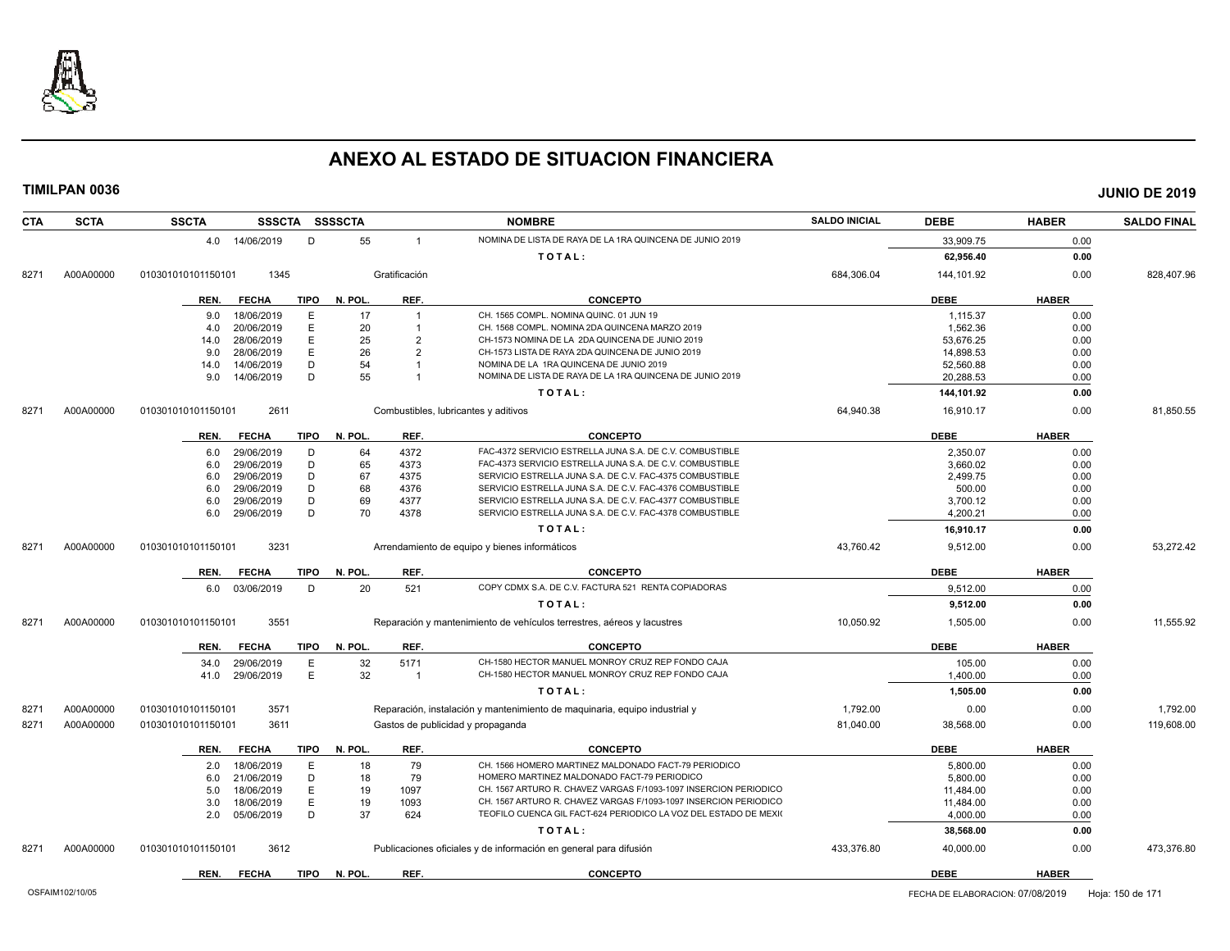

| <b>CTA</b> | <b>SCTA</b> | <b>SSCTA</b>                           |             | SSSCTA SSSSCTA |                | <b>NOMBRE</b>                                                              | <b>SALDO INICIAL</b> | <b>DEBE</b>          | <b>HABER</b> | <b>SALDO FINAL</b> |
|------------|-------------|----------------------------------------|-------------|----------------|----------------|----------------------------------------------------------------------------|----------------------|----------------------|--------------|--------------------|
|            |             | 4.0 14/06/2019                         | D           | 55             | $\overline{1}$ | NOMINA DE LISTA DE RAYA DE LA 1RA QUINCENA DE JUNIO 2019                   |                      | 33,909.75            | 0.00         |                    |
|            |             |                                        |             |                |                | TOTAL:                                                                     |                      | 62,956.40            | 0.00         |                    |
| 8271       | A00A00000   | 1345<br>010301010101150101             |             |                | Gratificación  |                                                                            | 684.306.04           | 144,101.92           | 0.00         | 828.407.96         |
|            |             | <b>FECHA</b><br>REN.                   | <b>TIPO</b> | N. POL.        | REF.           | <b>CONCEPTO</b>                                                            |                      | <b>DEBE</b>          | <b>HABER</b> |                    |
|            |             |                                        |             |                |                | CH. 1565 COMPL. NOMINA QUINC, 01 JUN 19                                    |                      |                      |              |                    |
|            |             | 18/06/2019<br>9.0<br>20/06/2019<br>4.0 | Ε<br>Ε      | 17<br>20       | $\overline{1}$ | CH. 1568 COMPL. NOMINA 2DA QUINCENA MARZO 2019                             |                      | 1,115.37<br>1.562.36 | 0.00<br>0.00 |                    |
|            |             | 28/06/2019<br>14.0                     | Ε           | 25             | $\overline{2}$ | CH-1573 NOMINA DE LA 2DA QUINCENA DE JUNIO 2019                            |                      | 53,676.25            | 0.00         |                    |
|            |             | 28/06/2019<br>9.0                      | E           | 26             | $\overline{2}$ | CH-1573 LISTA DE RAYA 2DA QUINCENA DE JUNIO 2019                           |                      | 14,898.53            | 0.00         |                    |
|            |             | 14/06/2019<br>14.0                     | D           | 54             | -1             | NOMINA DE LA 1RA QUINCENA DE JUNIO 2019                                    |                      | 52,560.88            | 0.00         |                    |
|            |             | 14/06/2019<br>9.0                      | D           | 55             | -1             | NOMINA DE LISTA DE RAYA DE LA 1RA QUINCENA DE JUNIO 2019                   |                      | 20,288.53            | 0.00         |                    |
|            |             |                                        |             |                |                | TOTAL:                                                                     |                      | 144,101.92           | 0.00         |                    |
| 8271       | A00A00000   | 2611<br>010301010101150101             |             |                |                | Combustibles, lubricantes y aditivos                                       | 64,940.38            | 16,910.17            | 0.00         | 81,850.55          |
|            |             |                                        |             |                |                |                                                                            |                      |                      |              |                    |
|            |             | <b>FECHA</b><br>REN.                   | TIPO        | N. POL.        | REF.           | <b>CONCEPTO</b>                                                            |                      | <b>DEBE</b>          | <b>HABER</b> |                    |
|            |             | 29/06/2019<br>6.0                      | D           | 64             | 4372           | FAC-4372 SERVICIO ESTRELLA JUNA S.A. DE C.V. COMBUSTIBLE                   |                      | 2,350.07             | 0.00         |                    |
|            |             | 29/06/2019<br>6.0                      | D           | 65             | 4373           | FAC-4373 SERVICIO ESTRELLA JUNA S.A. DE C.V. COMBUSTIBLE                   |                      | 3,660.02             | 0.00         |                    |
|            |             | 29/06/2019<br>6.0                      | D           | 67             | 4375           | SERVICIO ESTRELLA JUNA S.A. DE C.V. FAC-4375 COMBUSTIBLE                   |                      | 2,499.75             | 0.00         |                    |
|            |             | 29/06/2019<br>6.0                      | D           | 68             | 4376           | SERVICIO ESTRELLA JUNA S.A. DE C.V. FAC-4376 COMBUSTIBLE                   |                      | 500.00               | 0.00         |                    |
|            |             | 29/06/2019<br>6.0                      | D           | 69             | 4377           | SERVICIO ESTRELLA JUNA S.A. DE C.V. FAC-4377 COMBUSTIBLE                   |                      | 3,700.12             | 0.00         |                    |
|            |             | 29/06/2019<br>6.0                      | D           | 70             | 4378           | SERVICIO ESTRELLA JUNA S.A. DE C.V. FAC-4378 COMBUSTIBLE                   |                      | 4,200.21             | 0.00         |                    |
|            |             |                                        |             |                |                | TOTAL:                                                                     |                      | 16,910.17            | 0.00         |                    |
| 8271       | A00A00000   | 010301010101150101<br>3231             |             |                |                | Arrendamiento de equipo y bienes informáticos                              | 43,760.42            | 9,512.00             | 0.00         | 53,272.42          |
|            |             | <b>FECHA</b><br>REN.                   | <b>TIPO</b> | N. POL.        | REF.           | <b>CONCEPTO</b>                                                            |                      | <b>DEBE</b>          | <b>HABER</b> |                    |
|            |             | 6.0 03/06/2019                         | D           | 20             | 521            | COPY CDMX S.A. DE C.V. FACTURA 521 RENTA COPIADORAS                        |                      | 9,512.00             | 0.00         |                    |
|            |             |                                        |             |                |                | TOTAL:                                                                     |                      | 9,512.00             | 0.00         |                    |
| 8271       | A00A00000   | 3551<br>010301010101150101             |             |                |                | Reparación y mantenimiento de vehículos terrestres, aéreos y lacustres     | 10,050.92            | 1,505.00             | 0.00         | 11,555.92          |
|            |             | <b>FECHA</b><br>REN.                   | TIPO        | N. POL.        | REF.           | <b>CONCEPTO</b>                                                            |                      | <b>DEBE</b>          | <b>HABER</b> |                    |
|            |             | 29/06/2019<br>34.0                     | Ε           | 32             | 5171           | CH-1580 HECTOR MANUEL MONROY CRUZ REP FONDO CAJA                           |                      | 105.00               | 0.00         |                    |
|            |             | 29/06/2019<br>41.0                     | Ε           | 32             | $\overline{1}$ | CH-1580 HECTOR MANUEL MONROY CRUZ REP FONDO CAJA                           |                      | 1,400.00             | 0.00         |                    |
|            |             |                                        |             |                |                | TOTAL:                                                                     |                      | 1,505.00             | 0.00         |                    |
| 8271       | A00A00000   | 3571<br>010301010101150101             |             |                |                | Reparación, instalación y mantenimiento de maquinaria, equipo industrial y | 1,792.00             | 0.00                 | 0.00         | 1.792.00           |
| 8271       | A00A00000   | 3611<br>010301010101150101             |             |                |                | Gastos de publicidad y propaganda                                          | 81,040.00            | 38,568.00            | 0.00         | 119,608.00         |
|            |             | REN.<br><b>FECHA</b>                   | <b>TIPO</b> | N. POL.        | REF.           | <b>CONCEPTO</b>                                                            |                      | <b>DEBE</b>          | <b>HABER</b> |                    |
|            |             | 18/06/2019<br>2.0                      | Ε           | 18             | 79             | CH. 1566 HOMERO MARTINEZ MALDONADO FACT-79 PERIODICO                       |                      | 5,800.00             | 0.00         |                    |
|            |             | 21/06/2019<br>6.0                      | D           | 18             | 79             | HOMERO MARTINEZ MALDONADO FACT-79 PERIODICO                                |                      | 5,800.00             | 0.00         |                    |
|            |             | 18/06/2019<br>5.0                      | Ε           | 19             | 1097           | CH. 1567 ARTURO R. CHAVEZ VARGAS F/1093-1097 INSERCION PERIODICO           |                      | 11,484.00            | 0.00         |                    |
|            |             | 18/06/2019<br>3.0                      | Ε           | 19             | 1093           | CH. 1567 ARTURO R. CHAVEZ VARGAS F/1093-1097 INSERCION PERIODICO           |                      | 11,484.00            | 0.00         |                    |
|            |             | 05/06/2019<br>2.0                      | D           | 37             | 624            | TEOFILO CUENCA GIL FACT-624 PERIODICO LA VOZ DEL ESTADO DE MEXIO           |                      | 4,000.00             | 0.00         |                    |
|            |             |                                        |             |                |                | TOTAL:                                                                     |                      | 38,568.00            | 0.00         |                    |
| 8271       | A00A00000   | 010301010101150101<br>3612             |             |                |                | Publicaciones oficiales y de información en general para difusión          | 433,376.80           | 40,000.00            | 0.00         | 473,376.80         |
|            |             | REN.<br><b>FECHA</b>                   | <b>TIPO</b> | N. POL.        | REF.           | <b>CONCEPTO</b>                                                            |                      | <b>DEBE</b>          | <b>HABER</b> |                    |
|            |             |                                        |             |                |                |                                                                            |                      |                      |              |                    |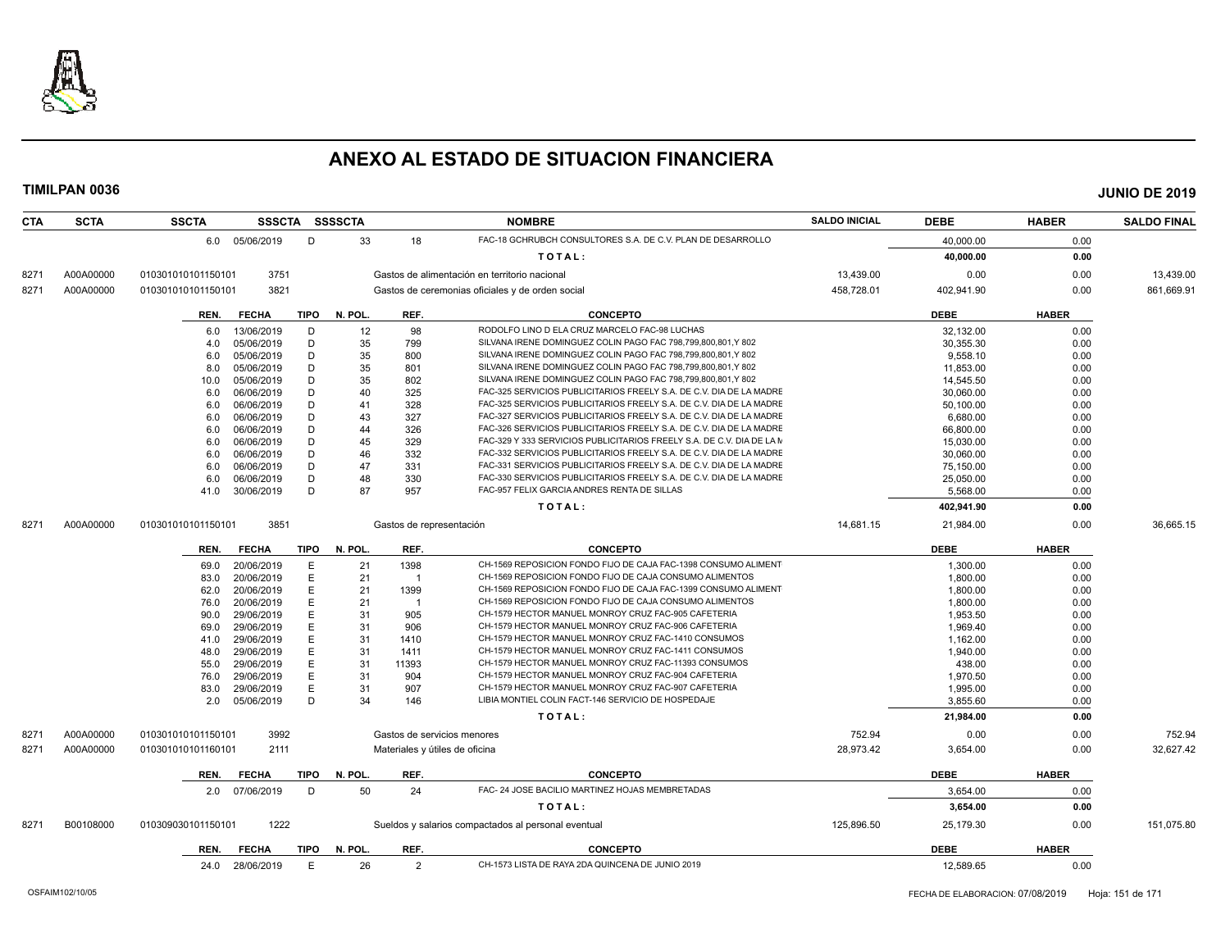

| <b>CTA</b> | <b>SCTA</b> | <b>SSCTA</b><br>SSSCTA SSSSCTA |             |         |                          | <b>NOMBRE</b>                                                         | <b>SALDO INICIAL</b> | <b>DEBE</b> | <b>HABER</b> | <b>SALDO FINAL</b> |
|------------|-------------|--------------------------------|-------------|---------|--------------------------|-----------------------------------------------------------------------|----------------------|-------------|--------------|--------------------|
|            |             | 6.0 05/06/2019                 | D           | 33      | 18                       | FAC-18 GCHRUBCH CONSULTORES S.A. DE C.V. PLAN DE DESARROLLO           |                      | 40,000.00   | 0.00         |                    |
|            |             |                                |             |         |                          | TOTAL:                                                                |                      | 40,000.00   | 0.00         |                    |
| 8271       | A00A00000   | 3751<br>010301010101150101     |             |         |                          | Gastos de alimentación en territorio nacional                         | 13,439.00            | 0.00        | 0.00         | 13,439.00          |
| 8271       | A00A00000   | 3821<br>010301010101150101     |             |         |                          | Gastos de ceremonias oficiales y de orden social                      | 458,728.01           | 402,941.90  | 0.00         | 861,669.91         |
|            |             | <b>FECHA</b><br>REN.           | <b>TIPO</b> | N. POL. | REF.                     | <b>CONCEPTO</b>                                                       |                      | <b>DEBE</b> | <b>HABER</b> |                    |
|            |             | 13/06/2019<br>6.0              | D           | 12      | 98                       | RODOLFO LINO D ELA CRUZ MARCELO FAC-98 LUCHAS                         |                      | 32,132.00   | 0.00         |                    |
|            |             | 05/06/2019<br>4.0              | D           | 35      | 799                      | SILVANA IRENE DOMINGUEZ COLIN PAGO FAC 798,799,800,801,Y 802          |                      | 30.355.30   | 0.00         |                    |
|            |             | 05/06/2019<br>6.0              | D           | 35      | 800                      | SILVANA IRENE DOMINGUEZ COLIN PAGO FAC 798,799,800,801,Y 802          |                      | 9,558.10    | 0.00         |                    |
|            |             | 05/06/2019<br>8.0              | D           | 35      | 801                      | SILVANA IRENE DOMINGUEZ COLIN PAGO FAC 798,799,800,801,Y 802          |                      | 11,853.00   | 0.00         |                    |
|            |             | 05/06/2019<br>10.0             | D           | 35      | 802                      | SILVANA IRENE DOMINGUEZ COLIN PAGO FAC 798.799.800.801.Y 802          |                      | 14,545.50   | 0.00         |                    |
|            |             | 6.0<br>06/06/2019              | D           | 40      | 325                      | FAC-325 SERVICIOS PUBLICITARIOS FREELY S.A. DE C.V. DIA DE LA MADRE   |                      | 30,060.00   | 0.00         |                    |
|            |             | 06/06/2019<br>6.0              | D           | 41      | 328                      | FAC-325 SERVICIOS PUBLICITARIOS FREELY S.A. DE C.V. DIA DE LA MADRE   |                      | 50,100.00   | 0.00         |                    |
|            |             | 06/06/2019<br>6.0              | D           | 43      | 327                      | FAC-327 SERVICIOS PUBLICITARIOS FREELY S.A. DE C.V. DIA DE LA MADRE   |                      | 6,680.00    | 0.00         |                    |
|            |             | 06/06/2019<br>6.0              | D           | 44      | 326                      | FAC-326 SERVICIOS PUBLICITARIOS FREELY S.A. DE C.V. DIA DE LA MADRE   |                      | 66,800.00   | 0.00         |                    |
|            |             | 06/06/2019<br>6.0              | D           | 45      | 329                      | FAC-329 Y 333 SERVICIOS PUBLICITARIOS FREELY S.A. DE C.V. DIA DE LA M |                      | 15,030.00   | 0.00         |                    |
|            |             | 06/06/2019<br>6.0              | D           | 46      | 332                      | FAC-332 SERVICIOS PUBLICITARIOS FREELY S.A. DE C.V. DIA DE LA MADRE   |                      | 30.060.00   | 0.00         |                    |
|            |             | 06/06/2019<br>6.0              | D           | 47      | 331                      | FAC-331 SERVICIOS PUBLICITARIOS FREELY S.A. DE C.V. DIA DE LA MADRE   |                      | 75,150.00   | 0.00         |                    |
|            |             | 6.0<br>06/06/2019              | D           | 48      | 330                      | FAC-330 SERVICIOS PUBLICITARIOS FREELY S.A. DE C.V. DIA DE LA MADRE   |                      | 25,050.00   | 0.00         |                    |
|            |             | 41.0<br>30/06/2019             | D           | 87      | 957                      | FAC-957 FELIX GARCIA ANDRES RENTA DE SILLAS                           |                      | 5,568.00    | 0.00         |                    |
|            |             |                                |             |         |                          | TOTAL:                                                                |                      | 402,941.90  | 0.00         |                    |
| 8271       | A00A00000   | 010301010101150101<br>3851     |             |         | Gastos de representación |                                                                       | 14,681.15            | 21,984.00   | 0.00         | 36,665.15          |
|            |             |                                |             |         |                          |                                                                       |                      |             |              |                    |
|            |             | <b>FECHA</b><br>REN.           | TIPO        | N. POL. | REF.                     | <b>CONCEPTO</b>                                                       |                      | <b>DEBE</b> | <b>HABER</b> |                    |
|            |             | 20/06/2019<br>69.0             | E           | 21      | 1398                     | CH-1569 REPOSICION FONDO FIJO DE CAJA FAC-1398 CONSUMO ALIMENT        |                      | 1,300.00    | 0.00         |                    |
|            |             | 20/06/2019<br>83.0             | E           | 21      | $\overline{1}$           | CH-1569 REPOSICION FONDO FIJO DE CAJA CONSUMO ALIMENTOS               |                      | 1.800.00    | 0.00         |                    |
|            |             | 20/06/2019<br>62.0             | E           | 21      | 1399                     | CH-1569 REPOSICION FONDO FIJO DE CAJA FAC-1399 CONSUMO ALIMENT        |                      | 1,800.00    | 0.00         |                    |
|            |             | 20/06/2019<br>76.0             | E           | 21      | $\overline{1}$           | CH-1569 REPOSICION FONDO FIJO DE CAJA CONSUMO ALIMENTOS               |                      | 1.800.00    | 0.00         |                    |
|            |             | 29/06/2019<br>90.0             | E           | 31      | 905                      | CH-1579 HECTOR MANUEL MONROY CRUZ FAC-905 CAFETERIA                   |                      | 1,953.50    | 0.00         |                    |
|            |             | 29/06/2019<br>69.0             | E           | 31      | 906                      | CH-1579 HECTOR MANUEL MONROY CRUZ FAC-906 CAFETERIA                   |                      | 1.969.40    | 0.00         |                    |
|            |             | 29/06/2019<br>41.0             | E           | 31      | 1410                     | CH-1579 HECTOR MANUEL MONROY CRUZ FAC-1410 CONSUMOS                   |                      | 1,162.00    | 0.00         |                    |
|            |             | 29/06/2019<br>48.0             | E           | 31      | 1411                     | CH-1579 HECTOR MANUEL MONROY CRUZ FAC-1411 CONSUMOS                   |                      | 1,940.00    | 0.00         |                    |
|            |             | 29/06/2019<br>55.0             | E           | 31      | 11393                    | CH-1579 HECTOR MANUEL MONROY CRUZ FAC-11393 CONSUMOS                  |                      | 438.00      | 0.00         |                    |
|            |             | 76.0<br>29/06/2019             | E           | 31      | 904                      | CH-1579 HECTOR MANUEL MONROY CRUZ FAC-904 CAFETERIA                   |                      | 1,970.50    | 0.00         |                    |
|            |             | 29/06/2019<br>83.0             | E           | 31      | 907                      | CH-1579 HECTOR MANUEL MONROY CRUZ FAC-907 CAFETERIA                   |                      | 1,995.00    | 0.00         |                    |
|            |             | 05/06/2019<br>2.0              | D           | 34      | 146                      | LIBIA MONTIEL COLIN FACT-146 SERVICIO DE HOSPEDAJE                    |                      | 3.855.60    | 0.00         |                    |
|            |             |                                |             |         |                          | TOTAL:                                                                |                      | 21,984.00   | 0.00         |                    |
| 8271       | A00A00000   | 3992<br>010301010101150101     |             |         |                          | Gastos de servicios menores                                           | 752.94               | 0.00        | 0.00         | 752.94             |
| 8271       | A00A00000   | 2111<br>010301010101160101     |             |         |                          | Materiales y útiles de oficina                                        | 28,973.42            | 3,654.00    | 0.00         | 32,627.42          |
|            |             | <b>FECHA</b><br>REN.           | <b>TIPO</b> | N. POL. | REF.                     | <b>CONCEPTO</b>                                                       |                      | <b>DEBE</b> | <b>HABER</b> |                    |
|            |             | 07/06/2019<br>2.0              | D           | 50      | 24                       | FAC- 24 JOSE BACILIO MARTINEZ HOJAS MEMBRETADAS                       |                      | 3.654.00    | 0.00         |                    |
|            |             |                                |             |         |                          | TOTAL:                                                                |                      | 3,654.00    | 0.00         |                    |
| 8271       | B00108000   | 1222<br>010309030101150101     |             |         |                          | Sueldos y salarios compactados al personal eventual                   | 125,896.50           | 25,179.30   | 0.00         | 151,075.80         |
|            |             | REN.<br><b>FECHA</b>           | TIPO        | N. POL. | REF.                     | <b>CONCEPTO</b>                                                       |                      | <b>DEBE</b> | <b>HABER</b> |                    |
|            |             | 24.0 28/06/2019                | E           | 26      | 2                        | CH-1573 LISTA DE RAYA 2DA QUINCENA DE JUNIO 2019                      |                      | 12,589.65   | 0.00         |                    |
|            |             |                                |             |         |                          |                                                                       |                      |             |              |                    |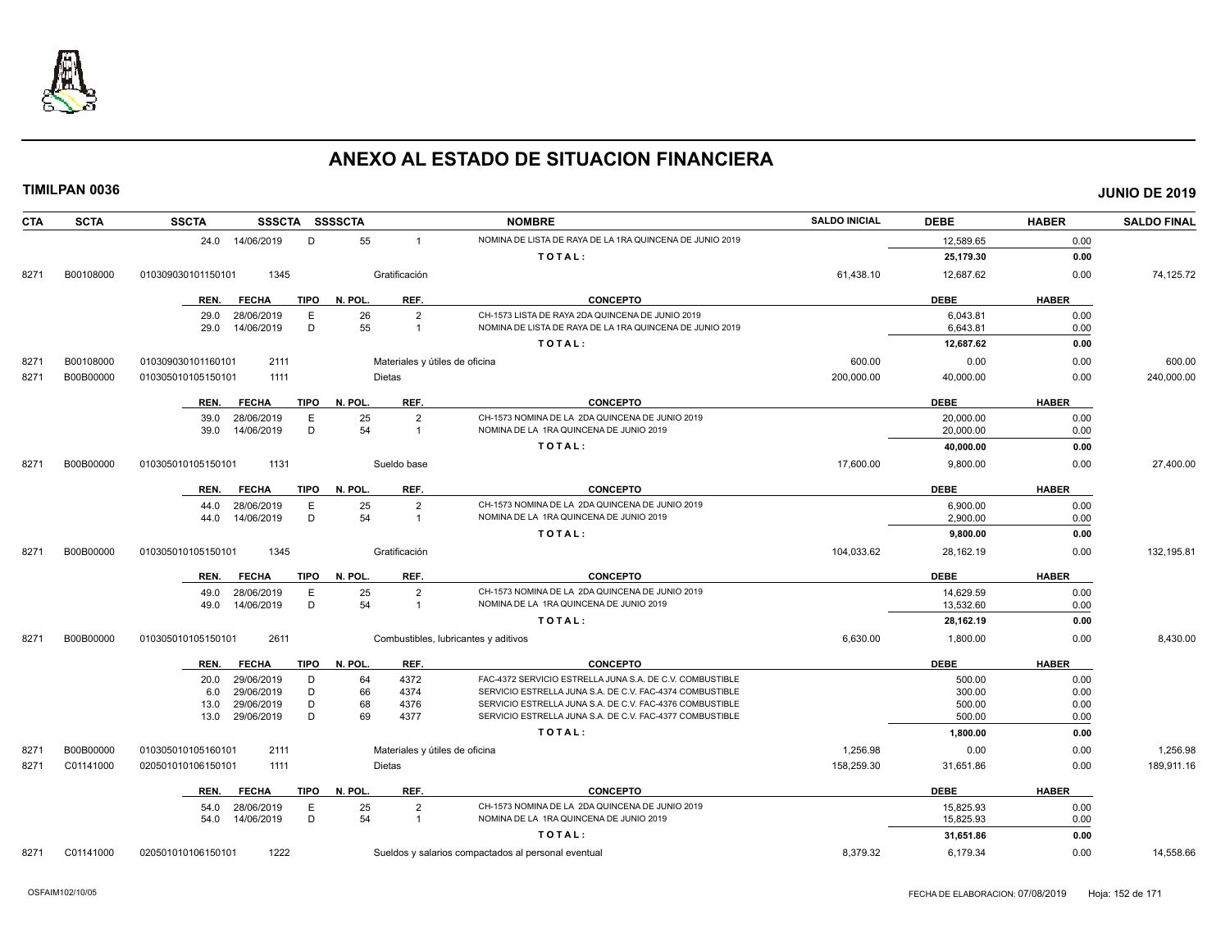

| CTA  | <b>SCTA</b> | <b>SSCTA</b>       |                          |             | SSSCTA SSSSCTA |                                | <b>NOMBRE</b>                                                                                                        | <b>SALDO INICIAL</b> | <b>DEBE</b>            | <b>HABER</b> | <b>SALDO FINAL</b> |
|------|-------------|--------------------|--------------------------|-------------|----------------|--------------------------------|----------------------------------------------------------------------------------------------------------------------|----------------------|------------------------|--------------|--------------------|
|      |             | 24.0               | 14/06/2019               | D           | 55             | $\overline{1}$                 | NOMINA DE LISTA DE RAYA DE LA 1RA QUINCENA DE JUNIO 2019                                                             |                      | 12,589.65              | 0.00         |                    |
|      |             |                    |                          |             |                |                                | TOTAL:                                                                                                               |                      | 25,179.30              | 0.00         |                    |
| 8271 | B00108000   | 010309030101150101 | 1345                     |             |                | Gratificación                  |                                                                                                                      | 61,438.10            | 12,687.62              | 0.00         | 74,125.72          |
|      |             | REN.               | <b>FECHA</b>             | <b>TIPO</b> | N. POL.        | REF.                           | <b>CONCEPTO</b>                                                                                                      |                      | <b>DEBE</b>            | <b>HABER</b> |                    |
|      |             | 29.0               | 28/06/2019               | E           | 26             | $\overline{2}$                 | CH-1573 LISTA DE RAYA 2DA QUINCENA DE JUNIO 2019                                                                     |                      | 6,043.81               | 0.00         |                    |
|      |             | 29.0               | 14/06/2019               | D           | 55             | $\mathbf{1}$                   | NOMINA DE LISTA DE RAYA DE LA 1RA QUINCENA DE JUNIO 2019                                                             |                      | 6,643.81               | 0.00         |                    |
|      |             |                    |                          |             |                |                                | TOTAL:                                                                                                               |                      | 12,687.62              | 0.00         |                    |
| 8271 | B00108000   | 010309030101160101 | 2111                     |             |                | Materiales y útiles de oficina |                                                                                                                      | 600.00               | 0.00                   | 0.00         | 600.00             |
| 8271 | B00B00000   | 010305010105150101 | 1111                     |             |                | Dietas                         |                                                                                                                      | 200.000.00           | 40,000.00              | 0.00         | 240,000.00         |
|      |             | REN.               | <b>FECHA</b>             | <b>TIPO</b> | N. POL.        | REF.                           | <b>CONCEPTO</b>                                                                                                      |                      | <b>DEBE</b>            | <b>HABER</b> |                    |
|      |             | 39.0               | 28/06/2019               | E           | 25             | $\overline{2}$                 | CH-1573 NOMINA DE LA 2DA QUINCENA DE JUNIO 2019                                                                      |                      | 20,000.00              | 0.00         |                    |
|      |             | 39.0               | 14/06/2019               | D           | 54             | $\mathbf{1}$                   | NOMINA DE LA 1RA QUINCENA DE JUNIO 2019                                                                              |                      | 20,000.00              | 0.00         |                    |
|      |             |                    |                          |             |                |                                | TOTAL:                                                                                                               |                      | 40,000.00              | 0.00         |                    |
| 8271 | B00B00000   | 010305010105150101 | 1131                     |             |                | Sueldo base                    |                                                                                                                      | 17,600.00            | 9,800.00               | 0.00         | 27,400.00          |
|      |             | REN.               | <b>FECHA</b>             | TIPO        | N. POL.        | REF.                           | <b>CONCEPTO</b>                                                                                                      |                      | <b>DEBE</b>            | <b>HABER</b> |                    |
|      |             | 44.0               | 28/06/2019               | E           | 25             | $\overline{2}$                 | CH-1573 NOMINA DE LA 2DA QUINCENA DE JUNIO 2019                                                                      |                      | 6,900.00               | 0.00         |                    |
|      |             | 44.0               | 14/06/2019               | D           | 54             | $\overline{1}$                 | NOMINA DE LA 1RA QUINCENA DE JUNIO 2019                                                                              |                      | 2,900.00               | 0.00         |                    |
|      |             |                    |                          |             |                |                                | TOTAL:                                                                                                               |                      | 9,800.00               | 0.00         |                    |
| 8271 | B00B00000   | 010305010105150101 | 1345                     |             |                | Gratificación                  |                                                                                                                      | 104,033.62           | 28,162.19              | 0.00         | 132,195.81         |
|      |             | REN.               | <b>FECHA</b>             | <b>TIPO</b> | N. POL.        | REF.                           | <b>CONCEPTO</b>                                                                                                      |                      | <b>DEBE</b>            | <b>HABER</b> |                    |
|      |             | 49.0               | 28/06/2019               | E           | 25             | $\overline{2}$                 | CH-1573 NOMINA DE LA 2DA QUINCENA DE JUNIO 2019                                                                      |                      | 14,629.59              | 0.00         |                    |
|      |             | 49.0               | 14/06/2019               | D           | 54             | $\mathbf{1}$                   | NOMINA DE LA 1RA QUINCENA DE JUNIO 2019                                                                              |                      | 13,532.60              | 0.00         |                    |
|      |             |                    |                          |             |                |                                | TOTAL:                                                                                                               |                      | 28,162.19              | 0.00         |                    |
| 8271 | B00B00000   | 010305010105150101 | 2611                     |             |                |                                | Combustibles, lubricantes y aditivos                                                                                 | 6,630.00             | 1,800.00               | 0.00         | 8,430.00           |
|      |             | REN.               | <b>FECHA</b>             | TIPO        | N. POL.        | REF.                           | <b>CONCEPTO</b>                                                                                                      |                      | <b>DEBE</b>            | <b>HABER</b> |                    |
|      |             | 20.0               | 29/06/2019               | D           | 64             | 4372                           | FAC-4372 SERVICIO ESTRELLA JUNA S.A. DE C.V. COMBUSTIBLE                                                             |                      | 500.00                 | 0.00         |                    |
|      |             | 6.0                | 29/06/2019               | D           | 66             | 4374                           | SERVICIO ESTRELLA JUNA S.A. DE C.V. FAC-4374 COMBUSTIBLE                                                             |                      | 300.00                 | 0.00         |                    |
|      |             | 13.0<br>13.0       | 29/06/2019<br>29/06/2019 | D<br>D      | 68<br>69       | 4376<br>4377                   | SERVICIO ESTRELLA JUNA S.A. DE C.V. FAC-4376 COMBUSTIBLE<br>SERVICIO ESTRELLA JUNA S.A. DE C.V. FAC-4377 COMBUSTIBLE |                      | 500.00<br>500.00       | 0.00<br>0.00 |                    |
|      |             |                    |                          |             |                |                                | TOTAL:                                                                                                               |                      | 1,800.00               | 0.00         |                    |
|      |             |                    |                          |             |                |                                |                                                                                                                      |                      |                        |              |                    |
| 8271 | B00B00000   | 010305010105160101 | 2111                     |             |                | Materiales y útiles de oficina |                                                                                                                      | 1,256.98             | 0.00                   | 0.00         | 1,256.98           |
| 8271 | C01141000   | 020501010106150101 | 1111                     |             |                | Dietas                         |                                                                                                                      | 158,259.30           | 31,651.86              | 0.00         | 189,911.16         |
|      |             | REN.               | <b>FECHA</b>             | TIPO        | N. POL.        | REF.                           | <b>CONCEPTO</b>                                                                                                      |                      | <b>DEBE</b>            | <b>HABER</b> |                    |
|      |             | 54.0               | 28/06/2019               | Ε<br>D      | 25<br>54       | 2<br>$\mathbf{1}$              | CH-1573 NOMINA DE LA 2DA QUINCENA DE JUNIO 2019<br>NOMINA DE LA 1RA QUINCENA DE JUNIO 2019                           |                      | 15.825.93              | 0.00         |                    |
|      |             | 54.0               | 14/06/2019               |             |                |                                | TOTAL:                                                                                                               |                      | 15,825.93<br>31,651.86 | 0.00<br>0.00 |                    |
| 8271 | C01141000   | 020501010106150101 | 1222                     |             |                |                                | Sueldos y salarios compactados al personal eventual                                                                  | 8,379.32             | 6,179.34               | 0.00         | 14,558.66          |
|      |             |                    |                          |             |                |                                |                                                                                                                      |                      |                        |              |                    |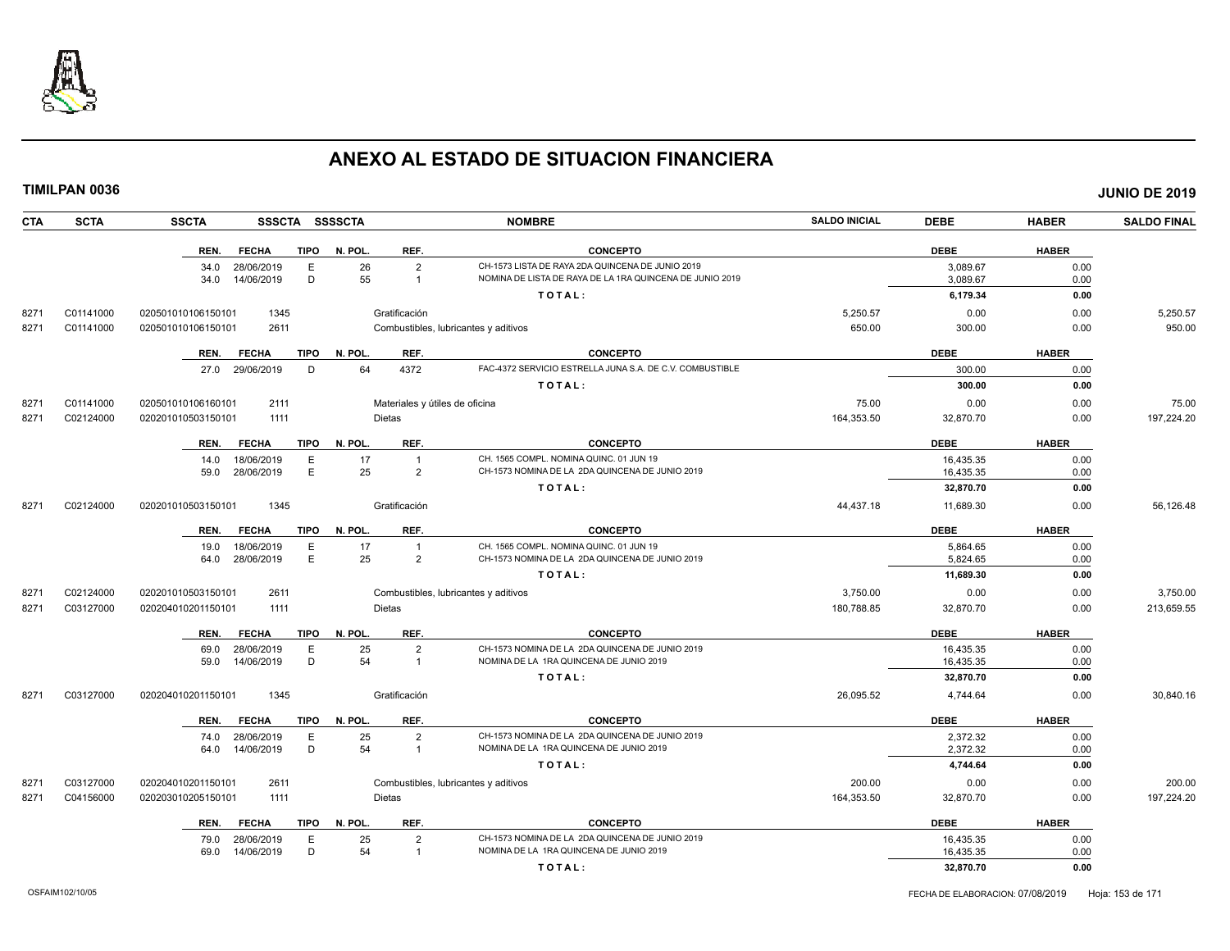

| TIMILPAN 0036 |             |                    |                 |             |                |                                |                                                          |                      |             |              | <b>JUNIO DE 2019</b> |
|---------------|-------------|--------------------|-----------------|-------------|----------------|--------------------------------|----------------------------------------------------------|----------------------|-------------|--------------|----------------------|
| CTA           | <b>SCTA</b> | <b>SSCTA</b>       |                 |             | SSSCTA SSSSCTA |                                | <b>NOMBRE</b>                                            | <b>SALDO INICIAL</b> | <b>DEBE</b> | <b>HABER</b> | <b>SALDO FINAL</b>   |
|               |             | REN.               | <b>FECHA</b>    | <b>TIPO</b> | N. POL.        | REF.                           | <b>CONCEPTO</b>                                          |                      | <b>DEBE</b> | <b>HABER</b> |                      |
|               |             |                    | 34.0 28/06/2019 | E           | 26             | $\overline{2}$                 | CH-1573 LISTA DE RAYA 2DA QUINCENA DE JUNIO 2019         |                      | 3,089.67    | 0.00         |                      |
|               |             | 34.0               | 14/06/2019      | D           | 55             | $\overline{1}$                 | NOMINA DE LISTA DE RAYA DE LA 1RA QUINCENA DE JUNIO 2019 |                      | 3,089.67    | 0.00         |                      |
|               |             |                    |                 |             |                |                                | TOTAL:                                                   |                      | 6,179.34    | 0.00         |                      |
| 8271          | C01141000   | 020501010106150101 | 1345            |             |                | Gratificación                  |                                                          | 5,250.57             | 0.00        | 0.00         | 5,250.57             |
| 8271          | C01141000   | 020501010106150101 | 2611            |             |                |                                | Combustibles, lubricantes y aditivos                     | 650.00               | 300.00      | 0.00         | 950.00               |
|               |             | REN.               | <b>FECHA</b>    | <b>TIPO</b> | N. POL.        | REF.                           | <b>CONCEPTO</b>                                          |                      | <b>DEBE</b> | <b>HABER</b> |                      |
|               |             |                    | 27.0 29/06/2019 | D           | 64             | 4372                           | FAC-4372 SERVICIO ESTRELLA JUNA S.A. DE C.V. COMBUSTIBLE |                      | 300.00      | 0.00         |                      |
|               |             |                    |                 |             |                |                                | TOTAL:                                                   |                      | 300.00      | 0.00         |                      |
| 8271          | C01141000   | 020501010106160101 | 2111            |             |                | Materiales y útiles de oficina |                                                          | 75.00                | 0.00        | 0.00         | 75.00                |
| 8271          | C02124000   | 020201010503150101 | 1111            |             |                | <b>Dietas</b>                  |                                                          | 164,353.50           | 32,870.70   | 0.00         | 197,224.20           |
|               |             | REN.               | <b>FECHA</b>    | <b>TIPO</b> | N. POL.        | REF.                           | <b>CONCEPTO</b>                                          |                      | <b>DEBE</b> | <b>HABER</b> |                      |
|               |             | 14.0               | 18/06/2019      | Е           | 17             | $\overline{1}$                 | CH. 1565 COMPL. NOMINA QUINC. 01 JUN 19                  |                      | 16,435.35   | 0.00         |                      |
|               |             |                    | 59.0 28/06/2019 | E           | 25             | $\overline{2}$                 | CH-1573 NOMINA DE LA 2DA QUINCENA DE JUNIO 2019          |                      | 16,435.35   | 0.00         |                      |
|               |             |                    |                 |             |                |                                | TOTAL:                                                   |                      | 32,870.70   | 0.00         |                      |
| 8271          | C02124000   | 020201010503150101 | 1345            |             |                | Gratificación                  |                                                          | 44,437.18            | 11,689.30   | 0.00         | 56,126.48            |
|               |             | REN.               | <b>FECHA</b>    | <b>TIPO</b> | N. POL.        | REF.                           | <b>CONCEPTO</b>                                          |                      | <b>DEBE</b> | <b>HABER</b> |                      |
|               |             | 19.0               | 18/06/2019      | E           | 17             | $\overline{1}$                 | CH. 1565 COMPL. NOMINA QUINC. 01 JUN 19                  |                      | 5,864.65    | 0.00         |                      |
|               |             | 64.0               | 28/06/2019      | E           | 25             | $\overline{2}$                 | CH-1573 NOMINA DE LA 2DA QUINCENA DE JUNIO 2019          |                      | 5,824.65    | 0.00         |                      |
|               |             |                    |                 |             |                |                                | TOTAL:                                                   |                      | 11,689.30   | 0.00         |                      |
| 8271          | C02124000   | 020201010503150101 | 2611            |             |                |                                | Combustibles, lubricantes y aditivos                     | 3,750.00             | 0.00        | 0.00         | 3,750.00             |
| 8271          | C03127000   | 020204010201150101 | 1111            |             |                | <b>Dietas</b>                  |                                                          | 180,788.85           | 32,870.70   | 0.00         | 213,659.55           |
|               |             | REN.               | <b>FECHA</b>    | <b>TIPO</b> | N. POL.        | REF.                           | <b>CONCEPTO</b>                                          |                      | <b>DEBE</b> | <b>HABER</b> |                      |
|               |             | 69.0               | 28/06/2019      | E           | 25             | $\overline{2}$                 | CH-1573 NOMINA DE LA 2DA QUINCENA DE JUNIO 2019          |                      | 16,435.35   | 0.00         |                      |
|               |             | 59.0               | 14/06/2019      | D           | 54             | $\overline{1}$                 | NOMINA DE LA 1RA QUINCENA DE JUNIO 2019                  |                      | 16,435.35   | 0.00         |                      |
|               |             |                    |                 |             |                |                                | TOTAL:                                                   |                      | 32,870.70   | 0.00         |                      |
| 8271          | C03127000   | 020204010201150101 | 1345            |             |                | Gratificación                  |                                                          | 26,095.52            | 4,744.64    | 0.00         | 30,840.16            |
|               |             | REN.               | <b>FECHA</b>    | <b>TIPO</b> | N. POL.        | REF.                           | <b>CONCEPTO</b>                                          |                      | <b>DEBE</b> | <b>HABER</b> |                      |
|               |             |                    | 74.0 28/06/2019 | E           | 25             | $\overline{2}$                 | CH-1573 NOMINA DE LA 2DA QUINCENA DE JUNIO 2019          |                      | 2,372.32    | 0.00         |                      |
|               |             | 64.0               | 14/06/2019      | D           | 54             | $\overline{1}$                 | NOMINA DE LA 1RA QUINCENA DE JUNIO 2019                  |                      | 2,372.32    | 0.00         |                      |
|               |             |                    |                 |             |                |                                | TOTAL:                                                   |                      | 4,744.64    | 0.00         |                      |
| 8271          | C03127000   | 020204010201150101 | 2611            |             |                |                                | Combustibles, lubricantes y aditivos                     | 200.00               | 0.00        | 0.00         | 200.00               |
| 8271          | C04156000   | 020203010205150101 | 1111            |             |                | <b>Dietas</b>                  |                                                          | 164,353.50           | 32,870.70   | 0.00         | 197,224.20           |
|               |             | REN.               | <b>FECHA</b>    | <b>TIPO</b> | N. POL.        | REF.                           | <b>CONCEPTO</b>                                          |                      | <b>DEBE</b> | <b>HABER</b> |                      |
|               |             |                    | 79.0 28/06/2019 | E           | 25             | $\overline{2}$                 | CH-1573 NOMINA DE LA 2DA QUINCENA DE JUNIO 2019          |                      | 16,435.35   | 0.00         |                      |
|               |             | 69.0               | 14/06/2019      | D           | 54             |                                | NOMINA DE LA 1RA QUINCENA DE JUNIO 2019                  |                      | 16,435.35   | 0.00         |                      |

**T O T A L : 32,870.70 0.00**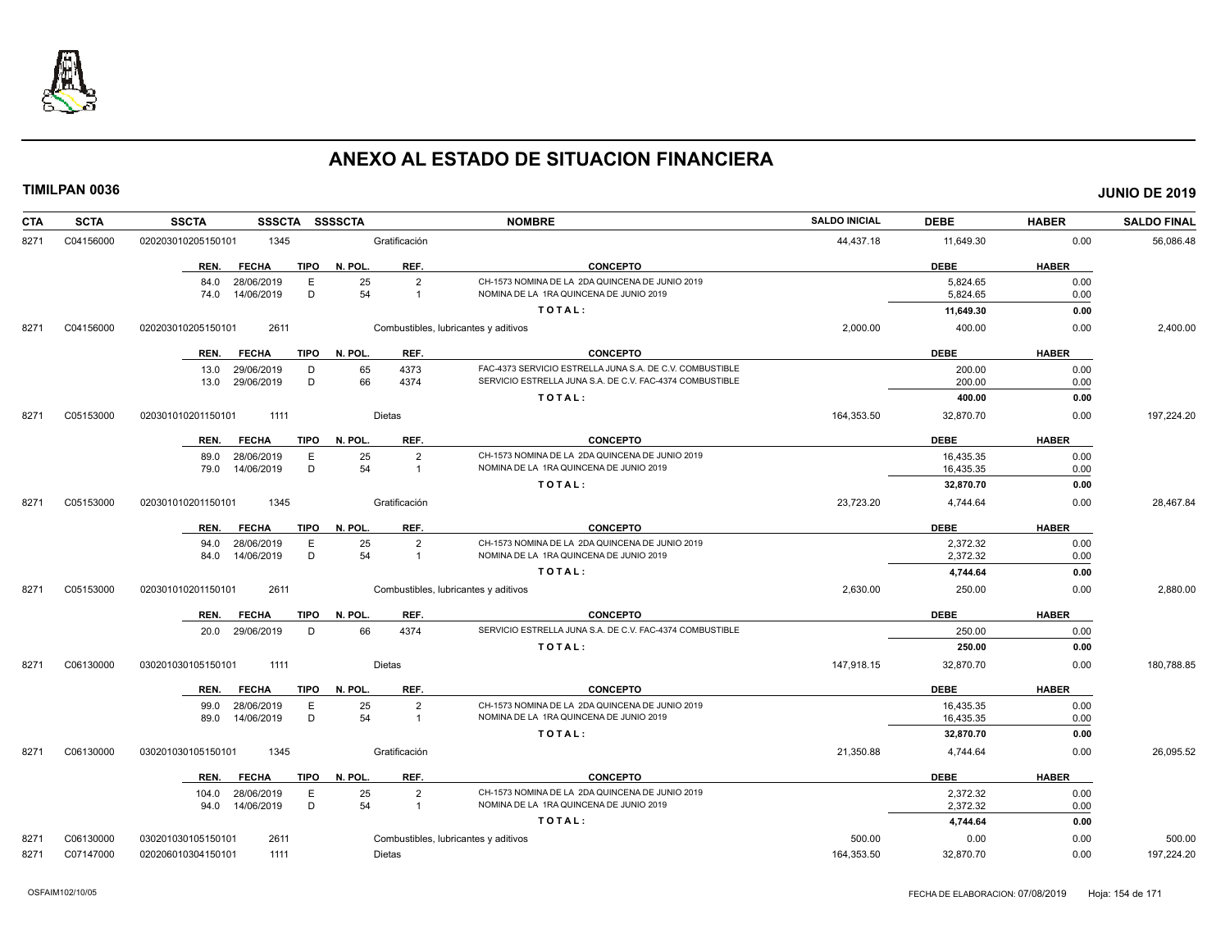

| <b>CTA</b> | <b>SCTA</b> | <b>SSCTA</b><br><b>SSSCTA</b>       | <b>SSSSCTA</b>                | <b>NOMBRE</b>                                            | <b>SALDO INICIAL</b> | <b>DEBE</b> | <b>HABER</b> | <b>SALDO FINAL</b> |
|------------|-------------|-------------------------------------|-------------------------------|----------------------------------------------------------|----------------------|-------------|--------------|--------------------|
| 8271       | C04156000   | 020203010205150101<br>1345          | Gratificación                 |                                                          | 44,437.18            | 11,649.30   | 0.00         | 56,086.48          |
|            |             | <b>FECHA</b><br><b>TIPO</b><br>REN. | N. POL.<br>REF.               | <b>CONCEPTO</b>                                          |                      | <b>DEBE</b> | <b>HABER</b> |                    |
|            |             | 28/06/2019<br>E<br>84.0             | 25<br>$\overline{2}$          | CH-1573 NOMINA DE LA 2DA QUINCENA DE JUNIO 2019          |                      | 5.824.65    | 0.00         |                    |
|            |             | D<br>14/06/2019<br>74.0             | 54<br>$\overline{\mathbf{1}}$ | NOMINA DE LA 1RA QUINCENA DE JUNIO 2019                  |                      | 5,824.65    | 0.00         |                    |
|            |             |                                     |                               | TOTAL:                                                   |                      | 11,649.30   | 0.00         |                    |
| 8271       | C04156000   | 020203010205150101<br>2611          |                               | Combustibles, lubricantes y aditivos                     | 2,000.00             | 400.00      | 0.00         | 2,400.00           |
|            |             | <b>FECHA</b><br><b>TIPO</b><br>REN. | REF.<br>N. POL.               | <b>CONCEPTO</b>                                          |                      | <b>DEBE</b> | <b>HABER</b> |                    |
|            |             | 13.0 29/06/2019<br>D                | 65<br>4373                    | FAC-4373 SERVICIO ESTRELLA JUNA S.A. DE C.V. COMBUSTIBLE |                      | 200.00      | 0.00         |                    |
|            |             | 29/06/2019<br>D<br>13.0             | 66<br>4374                    | SERVICIO ESTRELLA JUNA S.A. DE C.V. FAC-4374 COMBUSTIBLE |                      | 200.00      | 0.00         |                    |
|            |             |                                     |                               | TOTAL:                                                   |                      | 400.00      | 0.00         |                    |
| 8271       | C05153000   | 020301010201150101<br>1111          | <b>Dietas</b>                 |                                                          | 164,353.50           | 32,870.70   | 0.00         | 197,224.20         |
|            |             | <b>FECHA</b><br><b>TIPO</b><br>REN. | N. POL.<br>REF.               | <b>CONCEPTO</b>                                          |                      | <b>DEBE</b> | <b>HABER</b> |                    |
|            |             | 28/06/2019<br>E<br>89.0             | 25<br>$\overline{2}$          | CH-1573 NOMINA DE LA 2DA QUINCENA DE JUNIO 2019          |                      | 16,435.35   | 0.00         |                    |
|            |             | D<br>14/06/2019<br>79.0             | 54<br>$\overline{\mathbf{1}}$ | NOMINA DE LA 1RA QUINCENA DE JUNIO 2019                  |                      | 16,435.35   | 0.00         |                    |
|            |             |                                     |                               | TOTAL:                                                   |                      | 32,870.70   | 0.00         |                    |
| 8271       | C05153000   | 1345<br>020301010201150101          | Gratificación                 |                                                          | 23,723.20            | 4,744.64    | 0.00         | 28,467.84          |
|            |             | REN.<br><b>FECHA</b><br><b>TIPO</b> | N. POL.<br>REF.               | <b>CONCEPTO</b>                                          |                      | <b>DEBE</b> | <b>HABER</b> |                    |
|            |             | 28/06/2019<br>94.0<br>E             | 25<br>$\overline{2}$          | CH-1573 NOMINA DE LA 2DA QUINCENA DE JUNIO 2019          |                      | 2,372.32    | 0.00         |                    |
|            |             | 14/06/2019<br>D<br>84.0             | 54<br>$\overline{1}$          | NOMINA DE LA 1RA QUINCENA DE JUNIO 2019                  |                      | 2,372.32    | 0.00         |                    |
|            |             |                                     |                               | TOTAL:                                                   |                      | 4,744.64    | 0.00         |                    |
| 8271       | C05153000   | 020301010201150101<br>2611          |                               | Combustibles, lubricantes y aditivos                     | 2,630.00             | 250.00      | 0.00         | 2,880.00           |
|            |             | <b>FECHA</b><br><b>TIPO</b><br>REN. | REF.<br>N. POL.               | <b>CONCEPTO</b>                                          |                      | <b>DEBE</b> | <b>HABER</b> |                    |
|            |             | 20.0 29/06/2019<br>D                | 66<br>4374                    | SERVICIO ESTRELLA JUNA S.A. DE C.V. FAC-4374 COMBUSTIBLE |                      | 250.00      | 0.00         |                    |
|            |             |                                     |                               | TOTAL:                                                   |                      | 250.00      | 0.00         |                    |
| 8271       | C06130000   | 030201030105150101<br>1111          | Dietas                        |                                                          | 147,918.15           | 32,870.70   | 0.00         | 180,788.85         |
|            |             | REN.<br><b>FECHA</b><br>TIPO        | REF.<br>N. POL.               | <b>CONCEPTO</b>                                          |                      | <b>DEBE</b> | <b>HABER</b> |                    |
|            |             | 28/06/2019<br>99.0<br>Ε             | 25<br>$\overline{2}$          | CH-1573 NOMINA DE LA 2DA QUINCENA DE JUNIO 2019          |                      | 16,435.35   | 0.00         |                    |
|            |             | 14/06/2019<br>D<br>89.0             | 54<br>$\overline{1}$          | NOMINA DE LA 1RA QUINCENA DE JUNIO 2019                  |                      | 16,435.35   | 0.00         |                    |
|            |             |                                     |                               | TOTAL:                                                   |                      | 32,870.70   | 0.00         |                    |
| 8271       | C06130000   | 030201030105150101<br>1345          | Gratificación                 |                                                          | 21,350.88            | 4,744.64    | 0.00         | 26,095.52          |
|            |             | REN.<br><b>FECHA</b><br>TIPO        | N. POL.<br>REF.               | <b>CONCEPTO</b>                                          |                      | <b>DEBE</b> | <b>HABER</b> |                    |
|            |             | 28/06/2019<br>104.0<br>Ε            | 25<br>$\overline{2}$          | CH-1573 NOMINA DE LA 2DA QUINCENA DE JUNIO 2019          |                      | 2,372.32    | 0.00         |                    |
|            |             | D<br>94.0 14/06/2019                | 54<br>$\overline{1}$          | NOMINA DE LA 1RA QUINCENA DE JUNIO 2019                  |                      | 2,372.32    | 0.00         |                    |
|            |             |                                     |                               | TOTAL:                                                   |                      | 4,744.64    | 0.00         |                    |
| 8271       | C06130000   | 030201030105150101<br>2611          |                               | Combustibles, lubricantes y aditivos                     | 500.00               | 0.00        | 0.00         | 500.00             |
| 8271       | C07147000   | 020206010304150101<br>1111          | Dietas                        |                                                          | 164,353.50           | 32,870.70   | 0.00         | 197,224.20         |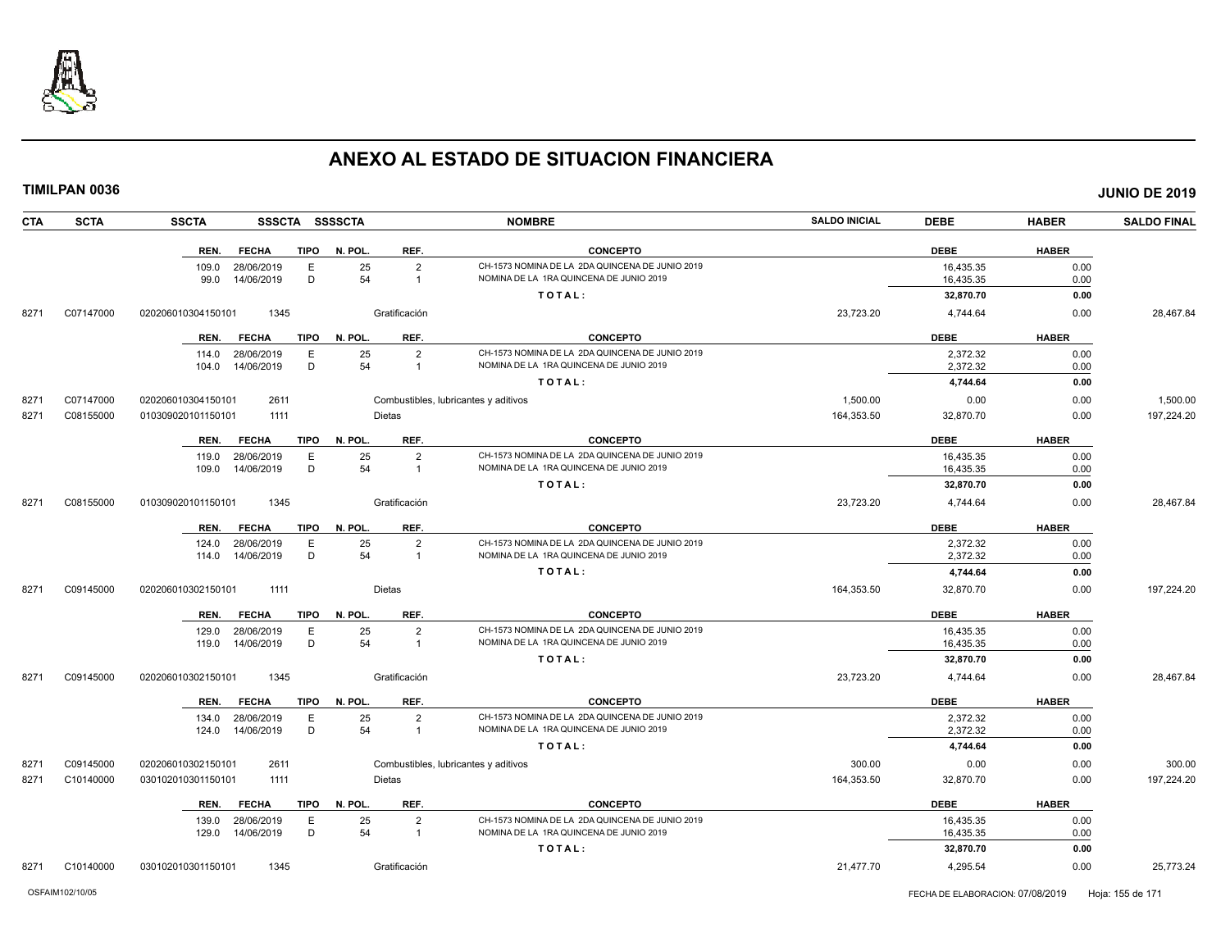

| <b>SCTA</b><br><b>CTA</b>              | <b>SSCTA</b>       |                          |             | SSSCTA SSSSCTA |                                  | <b>NOMBRE</b>                                                                              | <b>SALDO INICIAL</b> | <b>DEBE</b>            | <b>HABER</b> | <b>SALDO FINAL</b>   |
|----------------------------------------|--------------------|--------------------------|-------------|----------------|----------------------------------|--------------------------------------------------------------------------------------------|----------------------|------------------------|--------------|----------------------|
|                                        | REN.               | <b>FECHA</b>             | <b>TIPO</b> | N. POL.        | REF.                             | <b>CONCEPTO</b>                                                                            |                      | <b>DEBE</b>            | <b>HABER</b> |                      |
|                                        | 109.0              | 28/06/2019               | E           | 25             | $\overline{2}$                   | CH-1573 NOMINA DE LA 2DA QUINCENA DE JUNIO 2019                                            |                      | 16,435.35              | 0.00         |                      |
|                                        | 99.0               | 14/06/2019               | D           | 54             | $\overline{1}$                   | NOMINA DE LA 1RA QUINCENA DE JUNIO 2019                                                    |                      | 16,435.35              | 0.00         |                      |
|                                        |                    |                          |             |                |                                  | TOTAL:                                                                                     |                      | 32,870.70              | 0.00         |                      |
| 8271<br>C07147000                      | 020206010304150101 | 1345                     |             |                | Gratificación                    |                                                                                            | 23,723.20            | 4,744.64               | 0.00         | 28,467.84            |
|                                        | REN.               | <b>FECHA</b>             | <b>TIPO</b> | N. POL.        | REF.                             | <b>CONCEPTO</b>                                                                            |                      | <b>DEBE</b>            | <b>HABER</b> |                      |
|                                        | 114.0              | 28/06/2019               | E           | 25             | $\overline{2}$                   | CH-1573 NOMINA DE LA 2DA QUINCENA DE JUNIO 2019                                            |                      | 2,372.32               | 0.00         |                      |
|                                        | 104.0              | 14/06/2019               | D           | 54             | $\overline{1}$                   | NOMINA DE LA 1RA QUINCENA DE JUNIO 2019                                                    |                      | 2,372.32               | 0.00         |                      |
|                                        |                    |                          |             |                |                                  | TOTAL:                                                                                     |                      | 4,744.64               | 0.00         |                      |
| C07147000<br>8271                      | 020206010304150101 | 2611                     |             |                |                                  | Combustibles, lubricantes y aditivos                                                       | 1,500.00             | 0.00                   | 0.00         | 1,500.00             |
| C08155000<br>8271                      | 010309020101150101 | 1111                     |             |                | <b>Dietas</b>                    |                                                                                            | 164,353.50           | 32,870.70              | 0.00         | 197,224.20           |
|                                        | REN.               | <b>FECHA</b>             | <b>TIPO</b> | N. POL.        | REF.                             | <b>CONCEPTO</b>                                                                            |                      | <b>DEBE</b>            | <b>HABER</b> |                      |
|                                        |                    | 119.0 28/06/2019         | E           | 25             | $\overline{2}$                   | CH-1573 NOMINA DE LA 2DA QUINCENA DE JUNIO 2019                                            |                      | 16,435.35              | 0.00         |                      |
|                                        | 109.0              | 14/06/2019               | D           | 54             | $\overline{1}$                   | NOMINA DE LA 1RA QUINCENA DE JUNIO 2019                                                    |                      | 16,435.35              | 0.00         |                      |
|                                        |                    |                          |             |                |                                  | TOTAL:                                                                                     |                      | 32,870.70              | 0.00         |                      |
| C08155000<br>8271                      | 010309020101150101 | 1345                     |             |                | Gratificación                    |                                                                                            | 23,723.20            | 4,744.64               | 0.00         | 28,467.84            |
|                                        | REN.               | <b>FECHA</b>             | <b>TIPO</b> | N. POL.        | REF.                             | <b>CONCEPTO</b>                                                                            |                      | <b>DEBE</b>            | <b>HABER</b> |                      |
|                                        | 124.0              | 28/06/2019               | E           | 25             | $\overline{2}$                   | CH-1573 NOMINA DE LA 2DA QUINCENA DE JUNIO 2019                                            |                      | 2,372.32               | 0.00         |                      |
|                                        | 114.0              | 14/06/2019               | D           | 54             | $\overline{1}$                   | NOMINA DE LA 1RA QUINCENA DE JUNIO 2019                                                    |                      | 2,372.32               | 0.00         |                      |
|                                        |                    |                          |             |                |                                  | TOTAL:                                                                                     |                      | 4,744.64               | 0.00         |                      |
| C09145000<br>8271                      | 020206010302150101 | 1111                     |             |                | <b>Dietas</b>                    |                                                                                            | 164,353.50           | 32,870.70              | 0.00         | 197,224.20           |
|                                        | REN.               | <b>FECHA</b>             | <b>TIPO</b> | N. POL.        | REF.                             | <b>CONCEPTO</b>                                                                            |                      | <b>DEBE</b>            | <b>HABER</b> |                      |
|                                        | 129.0              | 28/06/2019               | Ε           | 25             | $\overline{2}$                   | CH-1573 NOMINA DE LA 2DA QUINCENA DE JUNIO 2019                                            |                      | 16,435.35              | 0.00         |                      |
|                                        | 119.0              | 14/06/2019               | D           | 54             | $\overline{1}$                   | NOMINA DE LA 1RA QUINCENA DE JUNIO 2019                                                    |                      | 16,435.35              | 0.00         |                      |
|                                        |                    |                          |             |                |                                  | TOTAL:                                                                                     |                      | 32,870.70              | 0.00         |                      |
| C09145000<br>8271                      | 020206010302150101 | 1345                     |             |                | Gratificación                    |                                                                                            | 23,723.20            | 4,744.64               | 0.00         | 28,467.84            |
|                                        | REN.               | <b>FECHA</b>             | <b>TIPO</b> | N. POL.        | REF.                             | <b>CONCEPTO</b>                                                                            |                      | <b>DEBE</b>            | <b>HABER</b> |                      |
|                                        | 134.0              | 28/06/2019               | E           | 25<br>54       | $\overline{2}$                   | CH-1573 NOMINA DE LA 2DA QUINCENA DE JUNIO 2019<br>NOMINA DE LA 1RA QUINCENA DE JUNIO 2019 |                      | 2,372.32               | 0.00         |                      |
|                                        | 124.0              | 14/06/2019               | D           |                | $\overline{1}$                   | TOTAL:                                                                                     |                      | 2,372.32               | 0.00         |                      |
|                                        |                    |                          |             |                |                                  |                                                                                            |                      | 4,744.64               | 0.00         |                      |
| C09145000<br>8271<br>C10140000<br>8271 | 020206010302150101 | 2611<br>1111             |             |                | <b>Dietas</b>                    | Combustibles, lubricantes y aditivos                                                       | 300.00<br>164,353.50 | 0.00<br>32,870.70      | 0.00<br>0.00 | 300.00<br>197,224.20 |
|                                        | 030102010301150101 |                          |             |                |                                  |                                                                                            |                      |                        |              |                      |
|                                        | REN.               | <b>FECHA</b>             | TIPO        | N. POL.        | REF.                             | <b>CONCEPTO</b>                                                                            |                      | <b>DEBE</b>            | <b>HABER</b> |                      |
|                                        | 139.0<br>129.0     | 28/06/2019<br>14/06/2019 | E<br>D      | 25<br>54       | $\overline{2}$<br>$\overline{1}$ | CH-1573 NOMINA DE LA 2DA QUINCENA DE JUNIO 2019<br>NOMINA DE LA 1RA QUINCENA DE JUNIO 2019 |                      | 16,435.35<br>16,435.35 | 0.00<br>0.00 |                      |
|                                        |                    |                          |             |                |                                  |                                                                                            |                      |                        |              |                      |
|                                        |                    |                          |             |                |                                  | TOTAL:                                                                                     |                      | 32,870.70              | 0.00         |                      |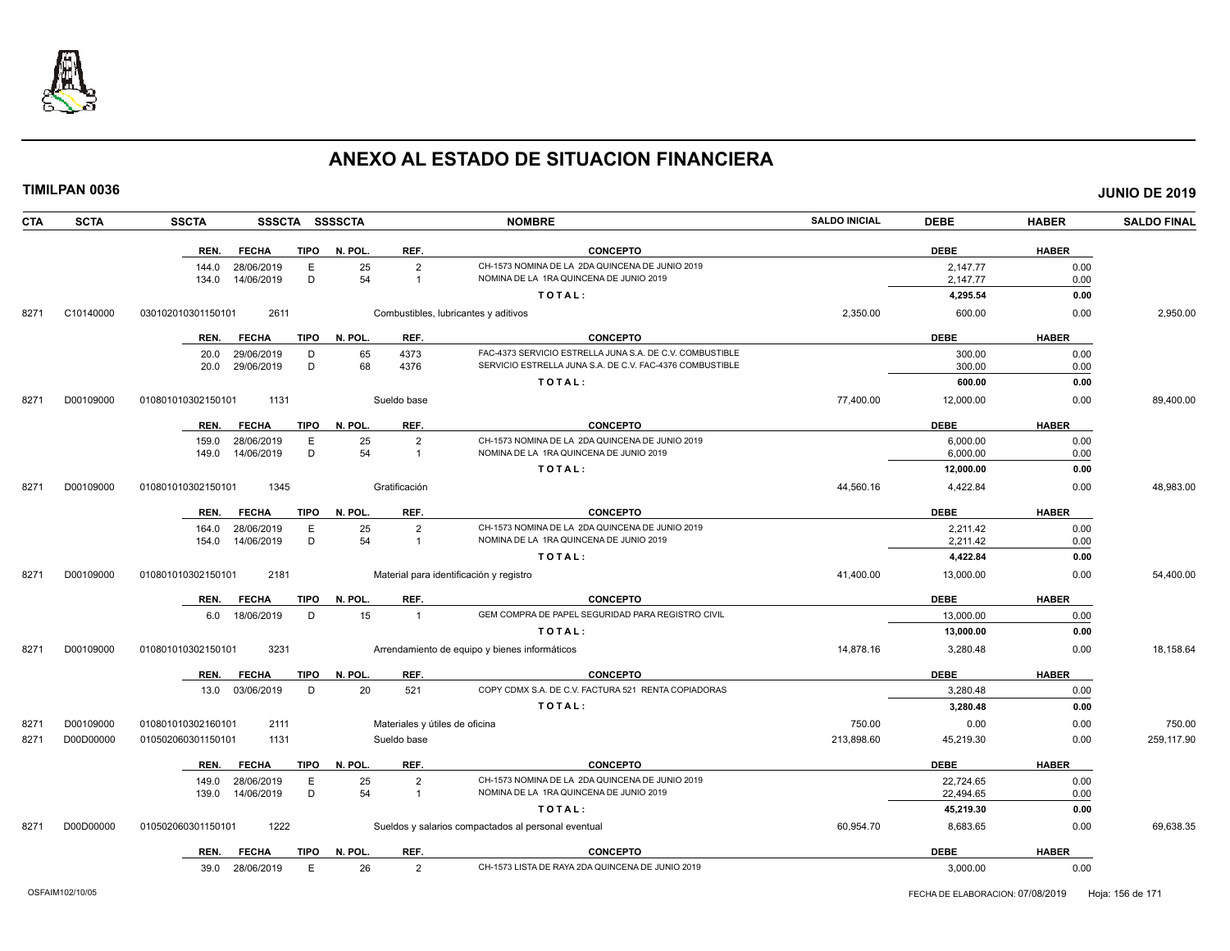

| <b>CTA</b> | <b>SCTA</b> | <b>SSCTA</b>       |                 |             | SSSCTA SSSSCTA |                                  | <b>NOMBRE</b>                                                                              | <b>SALDO INICIAL</b> | <b>DEBE</b>           | <b>HABER</b> | <b>SALDO FINAL</b> |
|------------|-------------|--------------------|-----------------|-------------|----------------|----------------------------------|--------------------------------------------------------------------------------------------|----------------------|-----------------------|--------------|--------------------|
|            |             | REN.               | <b>FECHA</b>    | <b>TIPO</b> | N. POL.        | REF.                             | <b>CONCEPTO</b>                                                                            |                      | <b>DEBE</b>           | <b>HABER</b> |                    |
|            |             | 144.0              | 28/06/2019      | E           | 25             | $\overline{2}$                   | CH-1573 NOMINA DE LA 2DA QUINCENA DE JUNIO 2019                                            |                      | 2,147.77              | 0.00         |                    |
|            |             | 134.0              | 14/06/2019      | D           | 54             | $\mathbf{1}$                     | NOMINA DE LA 1RA QUINCENA DE JUNIO 2019                                                    |                      | 2,147.77              | 0.00         |                    |
|            |             |                    |                 |             |                |                                  | TOTAL:                                                                                     |                      | 4,295.54              | 0.00         |                    |
| 8271       | C10140000   | 030102010301150101 | 2611            |             |                |                                  | Combustibles, lubricantes y aditivos                                                       | 2,350.00             | 600.00                | 0.00         | 2,950.00           |
|            |             | REN.               | <b>FECHA</b>    | TIPO        | N. POL.        | REF.                             | <b>CONCEPTO</b>                                                                            |                      | <b>DEBE</b>           | <b>HABER</b> |                    |
|            |             | 20.0               | 29/06/2019      | D           | 65             | 4373                             | FAC-4373 SERVICIO ESTRELLA JUNA S.A. DE C.V. COMBUSTIBLE                                   |                      | 300.00                | 0.00         |                    |
|            |             | 20.0               | 29/06/2019      | D           | 68             | 4376                             | SERVICIO ESTRELLA JUNA S.A. DE C.V. FAC-4376 COMBUSTIBLE                                   |                      | 300.00                | 0.00         |                    |
|            |             |                    |                 |             |                |                                  | TOTAL:                                                                                     |                      | 600.00                | 0.00         |                    |
| 8271       | D00109000   | 010801010302150101 | 1131            |             |                | Sueldo base                      |                                                                                            | 77,400.00            | 12,000.00             | 0.00         | 89,400.00          |
|            |             | REN.               | <b>FECHA</b>    | TIPO        | N. POL.        | REF.                             | <b>CONCEPTO</b>                                                                            |                      | <b>DEBE</b>           | <b>HABER</b> |                    |
|            |             | 159.0              | 28/06/2019      | Е           | 25<br>54       | $\overline{2}$<br>$\overline{1}$ | CH-1573 NOMINA DE LA 2DA QUINCENA DE JUNIO 2019<br>NOMINA DE LA 1RA QUINCENA DE JUNIO 2019 |                      | 6,000.00              | 0.00         |                    |
|            |             | 149.0              | 14/06/2019      | D           |                |                                  | TOTAL:                                                                                     |                      | 6,000.00<br>12,000.00 | 0.00<br>0.00 |                    |
|            |             |                    |                 |             |                |                                  |                                                                                            |                      |                       |              |                    |
| 8271       | D00109000   | 010801010302150101 | 1345            |             |                | Gratificación                    |                                                                                            | 44,560.16            | 4,422.84              | 0.00         | 48,983.00          |
|            |             | REN.               | <b>FECHA</b>    | <b>TIPO</b> | N. POL.        | REF.                             | <b>CONCEPTO</b>                                                                            |                      | <b>DEBE</b>           | <b>HABER</b> |                    |
|            |             | 164.0              | 28/06/2019      | E           | 25             | $\overline{2}$                   | CH-1573 NOMINA DE LA 2DA QUINCENA DE JUNIO 2019                                            |                      | 2,211.42              | 0.00         |                    |
|            |             | 154.0              | 14/06/2019      | D           | 54             | $\overline{1}$                   | NOMINA DE LA 1RA QUINCENA DE JUNIO 2019                                                    |                      | 2,211.42              | 0.00         |                    |
|            |             |                    |                 |             |                |                                  | TOTAL:                                                                                     |                      | 4,422.84              | 0.00         |                    |
| 8271       | D00109000   | 010801010302150101 | 2181            |             |                |                                  | Material para identificación y registro                                                    | 41,400.00            | 13,000.00             | 0.00         | 54,400.00          |
|            |             | REN.               | <b>FECHA</b>    | TIPO        | N. POL.        | REF.                             | <b>CONCEPTO</b>                                                                            |                      | <b>DEBE</b>           | <b>HABER</b> |                    |
|            |             | 6.0                | 18/06/2019      | D           | 15             | $\overline{1}$                   | GEM COMPRA DE PAPEL SEGURIDAD PARA REGISTRO CIVIL                                          |                      | 13,000.00             | 0.00         |                    |
|            |             |                    |                 |             |                |                                  | TOTAL:                                                                                     |                      | 13,000.00             | 0.00         |                    |
| 8271       | D00109000   | 010801010302150101 | 3231            |             |                |                                  | Arrendamiento de equipo y bienes informáticos                                              | 14,878.16            | 3,280.48              | 0.00         | 18,158.64          |
|            |             | REN.               | <b>FECHA</b>    | <b>TIPO</b> | N. POL.        | REF.                             | <b>CONCEPTO</b>                                                                            |                      | <b>DEBE</b>           | <b>HABER</b> |                    |
|            |             |                    | 13.0 03/06/2019 | D           | 20             | 521                              | COPY CDMX S.A. DE C.V. FACTURA 521 RENTA COPIADORAS                                        |                      | 3.280.48              | 0.00         |                    |
|            |             |                    |                 |             |                |                                  | TOTAL:                                                                                     |                      | 3,280.48              | 0.00         |                    |
| 8271       | D00109000   | 010801010302160101 | 2111            |             |                | Materiales y útiles de oficina   |                                                                                            | 750.00               | 0.00                  | 0.00         | 750.00             |
| 8271       | D00D00000   | 010502060301150101 | 1131            |             |                | Sueldo base                      |                                                                                            | 213,898.60           | 45,219.30             | 0.00         | 259,117.90         |
|            |             | REN.               | <b>FECHA</b>    | <b>TIPO</b> | N. POL.        | REF.                             | <b>CONCEPTO</b>                                                                            |                      | <b>DEBE</b>           | <b>HABER</b> |                    |
|            |             | 149.0              | 28/06/2019      | E           | 25             | $\overline{2}$                   | CH-1573 NOMINA DE LA 2DA QUINCENA DE JUNIO 2019                                            |                      | 22.724.65             | 0.00         |                    |
|            |             | 139.0              | 14/06/2019      | D           | 54             | $\overline{1}$                   | NOMINA DE LA 1RA QUINCENA DE JUNIO 2019                                                    |                      | 22,494.65             | 0.00         |                    |
|            |             |                    |                 |             |                |                                  | TOTAL:                                                                                     |                      | 45,219.30             | 0.00         |                    |
| 8271       | D00D00000   | 010502060301150101 | 1222            |             |                |                                  | Sueldos y salarios compactados al personal eventual                                        | 60,954.70            | 8,683.65              | 0.00         | 69,638.35          |
|            |             | REN.               | <b>FECHA</b>    | TIPO        | N. POL.        | REF.                             | <b>CONCEPTO</b>                                                                            |                      | <b>DEBE</b>           | <b>HABER</b> |                    |
|            |             | 39.0               | 28/06/2019      | E           | 26             | $\overline{2}$                   | CH-1573 LISTA DE RAYA 2DA QUINCENA DE JUNIO 2019                                           |                      | 3,000.00              | 0.00         |                    |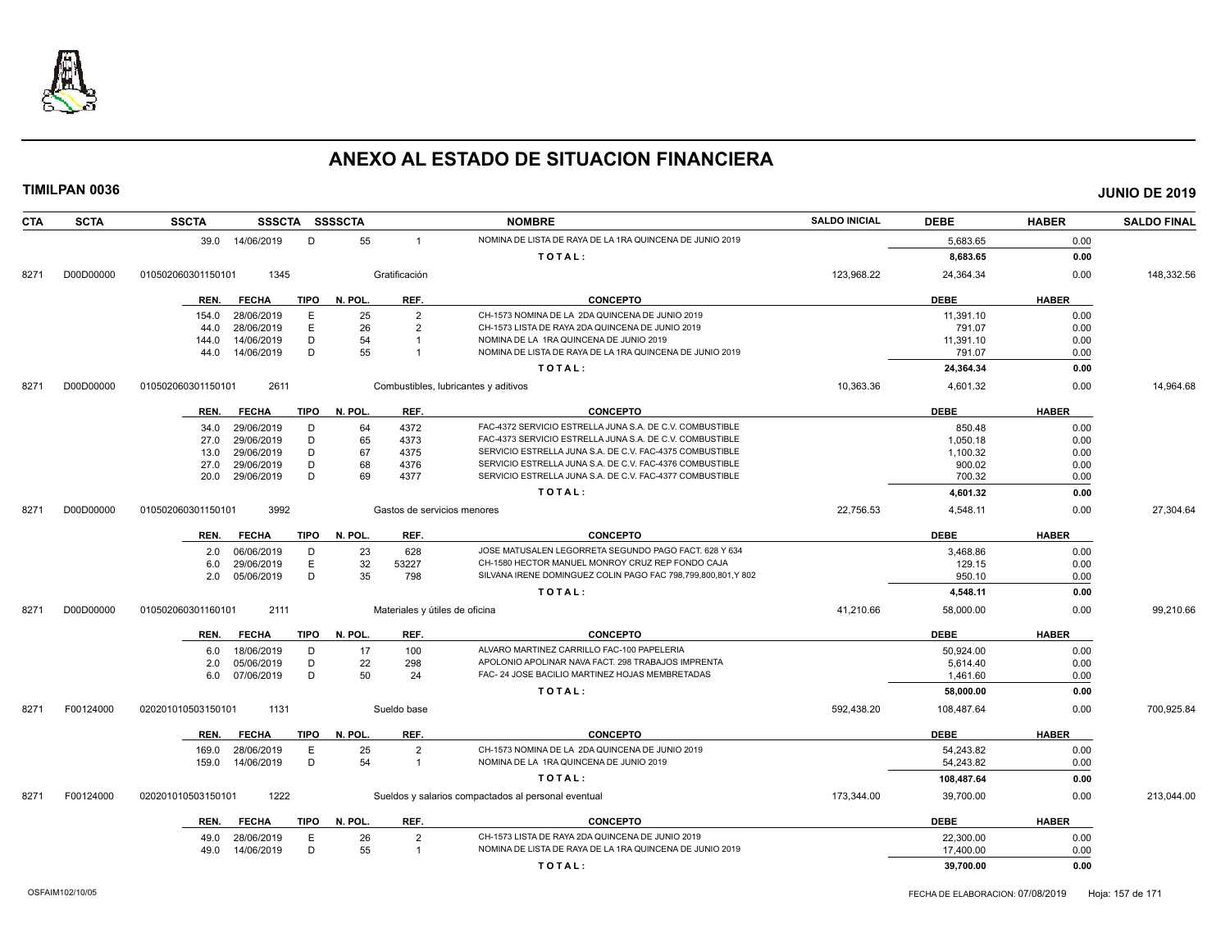

| <b>CTA</b> | <b>SCTA</b> | <b>SSCTA</b><br><b>SSSCTA</b>       | <b>SSSSCTA</b>                 | <b>NOMBRE</b>                                                                                                        | <b>SALDO INICIAL</b> | <b>DEBE</b> | <b>HABER</b> | <b>SALDO FINAL</b> |
|------------|-------------|-------------------------------------|--------------------------------|----------------------------------------------------------------------------------------------------------------------|----------------------|-------------|--------------|--------------------|
|            |             | 39.0 14/06/2019<br>D                | 55<br>$\overline{1}$           | NOMINA DE LISTA DE RAYA DE LA 1RA QUINCENA DE JUNIO 2019                                                             |                      | 5,683.65    | 0.00         |                    |
|            |             |                                     |                                | TOTAL:                                                                                                               |                      | 8,683.65    | 0.00         |                    |
| 8271       | D00D00000   | 1345<br>010502060301150101          | Gratificación                  |                                                                                                                      | 123,968.22           | 24,364.34   | 0.00         | 148,332.56         |
|            |             | <b>TIPO</b><br><b>FECHA</b><br>REN. | REF.<br>N. POL.                | <b>CONCEPTO</b>                                                                                                      |                      | <b>DEBE</b> | <b>HABER</b> |                    |
|            |             | E.<br>154.0<br>28/06/2019           | 25<br>$\overline{2}$           | CH-1573 NOMINA DE LA 2DA QUINCENA DE JUNIO 2019                                                                      |                      | 11,391.10   | 0.00         |                    |
|            |             | E<br>28/06/2019<br>44.0             | 26<br>$\overline{2}$           | CH-1573 LISTA DE RAYA 2DA QUINCENA DE JUNIO 2019                                                                     |                      | 791.07      | 0.00         |                    |
|            |             | D<br>14/06/2019<br>144.0            | 54<br>$\mathbf{1}$             | NOMINA DE LA 1RA QUINCENA DE JUNIO 2019                                                                              |                      | 11,391.10   | 0.00         |                    |
|            |             | 14/06/2019<br>D<br>44.0             | 55<br>$\overline{1}$           | NOMINA DE LISTA DE RAYA DE LA 1RA QUINCENA DE JUNIO 2019                                                             |                      | 791.07      | 0.00         |                    |
|            |             |                                     |                                | TOTAL:                                                                                                               |                      | 24,364.34   | 0.00         |                    |
| 8271       | D00D00000   | 2611<br>010502060301150101          |                                | Combustibles, lubricantes y aditivos                                                                                 | 10,363.36            | 4,601.32    | 0.00         | 14,964.68          |
|            |             |                                     |                                |                                                                                                                      |                      |             |              |                    |
|            |             | <b>FECHA</b><br>TIPO<br>REN.        | N. POL.<br>REF.                | <b>CONCEPTO</b>                                                                                                      |                      | <b>DEBE</b> | <b>HABER</b> |                    |
|            |             | 29/06/2019<br>D<br>34.0             | 4372<br>64                     | FAC-4372 SERVICIO ESTRELLA JUNA S.A. DE C.V. COMBUSTIBLE                                                             |                      | 850.48      | 0.00         |                    |
|            |             | 29/06/2019<br>D<br>27.0             | 65<br>4373                     | FAC-4373 SERVICIO ESTRELLA JUNA S.A. DE C.V. COMBUSTIBLE                                                             |                      | 1,050.18    | 0.00         |                    |
|            |             | 29/06/2019<br>D<br>13.0             | 67<br>4375                     | SERVICIO ESTRELLA JUNA S.A. DE C.V. FAC-4375 COMBUSTIBLE                                                             |                      | 1,100.32    | 0.00         |                    |
|            |             | D<br>29/06/2019<br>27.0<br>D        | 68<br>4376<br>69               | SERVICIO ESTRELLA JUNA S.A. DE C.V. FAC-4376 COMBUSTIBLE<br>SERVICIO ESTRELLA JUNA S.A. DE C.V. FAC-4377 COMBUSTIBLE |                      | 900.02      | 0.00         |                    |
|            |             | 29/06/2019<br>20.0                  | 4377                           |                                                                                                                      |                      | 700.32      | 0.00         |                    |
|            |             |                                     |                                | TOTAL:                                                                                                               |                      | 4,601.32    | 0.00         |                    |
| 8271       | D00D00000   | 3992<br>010502060301150101          | Gastos de servicios menores    |                                                                                                                      | 22,756.53            | 4,548.11    | 0.00         | 27,304.64          |
|            |             | <b>FECHA</b><br><b>TIPO</b><br>REN. | REF.<br>N. POL.                | <b>CONCEPTO</b>                                                                                                      |                      | <b>DEBE</b> | <b>HABER</b> |                    |
|            |             | 06/06/2019<br>D<br>2.0              | 23<br>628                      | JOSE MATUSALEN LEGORRETA SEGUNDO PAGO FACT. 628 Y 634                                                                |                      | 3,468.86    | 0.00         |                    |
|            |             | E<br>29/06/2019<br>6.0              | 32<br>53227                    | CH-1580 HECTOR MANUEL MONROY CRUZ REP FONDO CAJA                                                                     |                      | 129.15      | 0.00         |                    |
|            |             | D<br>05/06/2019<br>2.0              | 35<br>798                      | SILVANA IRENE DOMINGUEZ COLIN PAGO FAC 798,799,800,801,Y 802                                                         |                      | 950.10      | 0.00         |                    |
|            |             |                                     |                                | TOTAL:                                                                                                               |                      | 4,548.11    | 0.00         |                    |
| 8271       | D00D00000   | 2111<br>010502060301160101          | Materiales y útiles de oficina |                                                                                                                      | 41,210.66            | 58,000.00   | 0.00         | 99,210.66          |
|            |             | <b>TIPO</b><br>REN.<br><b>FECHA</b> | N. POL.<br>REF.                | <b>CONCEPTO</b>                                                                                                      |                      | <b>DEBE</b> | <b>HABER</b> |                    |
|            |             | 18/06/2019<br>D<br>6.0              | 17<br>100                      | ALVARO MARTINEZ CARRILLO FAC-100 PAPELERIA                                                                           |                      | 50,924.00   | 0.00         |                    |
|            |             | D<br>05/06/2019<br>2.0              | 22<br>298                      | APOLONIO APOLINAR NAVA FACT. 298 TRABAJOS IMPRENTA                                                                   |                      | 5,614.40    | 0.00         |                    |
|            |             | 07/06/2019<br>D<br>6.0              | 50<br>24                       | FAC- 24 JOSE BACILIO MARTINEZ HOJAS MEMBRETADAS                                                                      |                      | 1,461.60    | 0.00         |                    |
|            |             |                                     |                                | TOTAL:                                                                                                               |                      | 58.000.00   | 0.00         |                    |
| 8271       | F00124000   | 1131<br>020201010503150101          | Sueldo base                    |                                                                                                                      | 592,438.20           | 108,487.64  | 0.00         | 700,925.84         |
|            |             | <b>TIPO</b><br>REN.<br><b>FECHA</b> | N. POL.<br>REF.                | <b>CONCEPTO</b>                                                                                                      |                      | <b>DEBE</b> | <b>HABER</b> |                    |
|            |             | 28/06/2019<br>E<br>169.0            | 25<br>$\overline{2}$           | CH-1573 NOMINA DE LA 2DA QUINCENA DE JUNIO 2019                                                                      |                      | 54,243.82   | 0.00         |                    |
|            |             | D<br>14/06/2019<br>159.0            | 54<br>$\overline{1}$           | NOMINA DE LA 1RA QUINCENA DE JUNIO 2019                                                                              |                      | 54,243.82   | 0.00         |                    |
|            |             |                                     |                                | TOTAL:                                                                                                               |                      | 108,487.64  | 0.00         |                    |
| 8271       | F00124000   | 020201010503150101<br>1222          |                                | Sueldos y salarios compactados al personal eventual                                                                  | 173,344.00           | 39,700.00   | 0.00         | 213,044.00         |
|            |             |                                     |                                |                                                                                                                      |                      |             |              |                    |
|            |             | <b>FECHA</b><br><b>TIPO</b><br>REN. | N. POL.<br>REF.                | <b>CONCEPTO</b>                                                                                                      |                      | <b>DEBE</b> | <b>HABER</b> |                    |
|            |             | E<br>28/06/2019<br>49.0             | 26<br>$\overline{2}$           | CH-1573 LISTA DE RAYA 2DA QUINCENA DE JUNIO 2019                                                                     |                      | 22,300.00   | 0.00         |                    |
|            |             | D<br>14/06/2019<br>49.0             | 55<br>$\overline{1}$           | NOMINA DE LISTA DE RAYA DE LA 1RA QUINCENA DE JUNIO 2019                                                             |                      | 17,400.00   | 0.00         |                    |
|            |             |                                     |                                | TOTAL:                                                                                                               |                      | 39,700.00   | 0.00         |                    |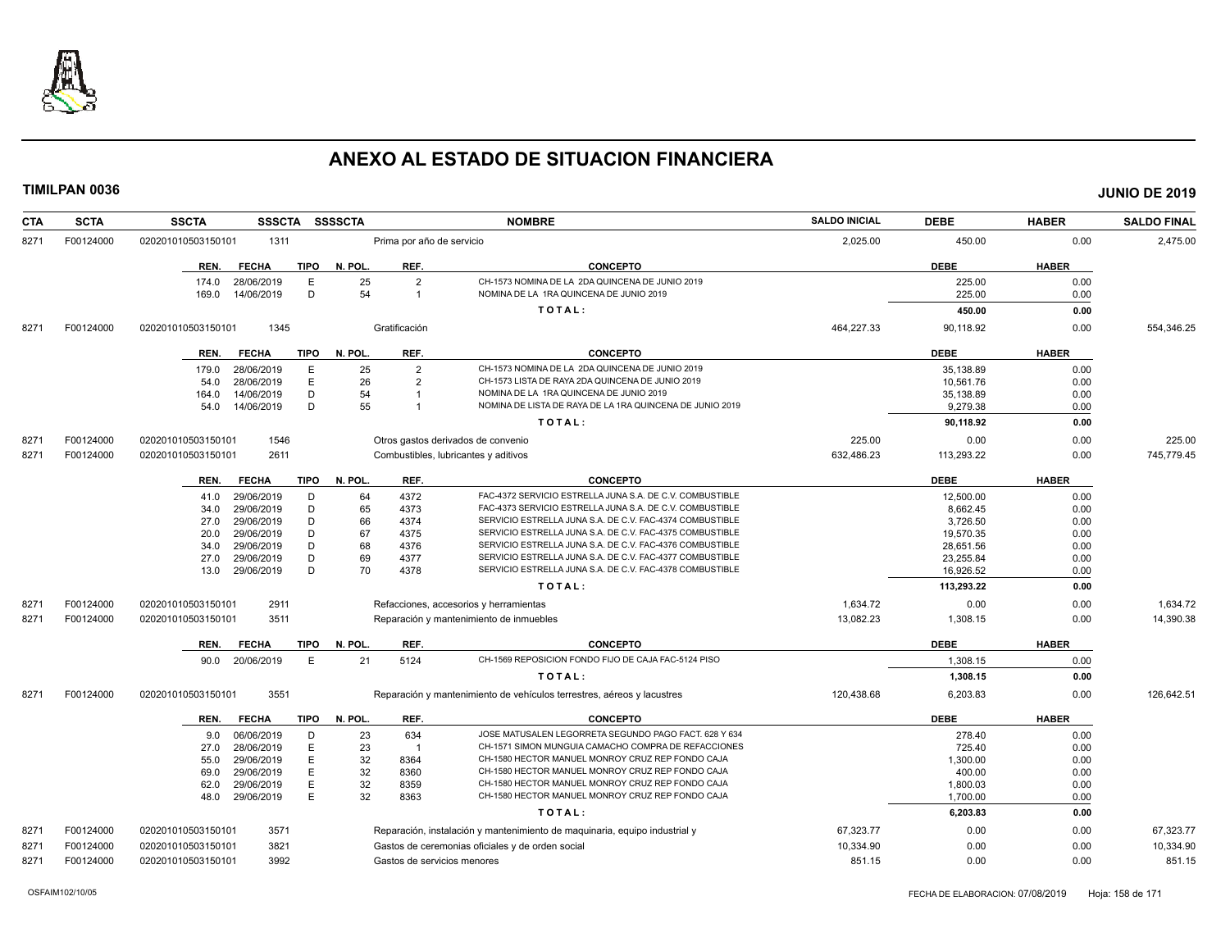

| <b>CTA</b> | <b>SCTA</b> | <b>SSCTA</b><br><b>SSSCTA</b>                        | <b>SSSSCTA</b> |                                  | <b>NOMBRE</b>                                                                              | <b>SALDO INICIAL</b> | <b>DEBE</b>      | <b>HABER</b> | <b>SALDO FINAL</b> |
|------------|-------------|------------------------------------------------------|----------------|----------------------------------|--------------------------------------------------------------------------------------------|----------------------|------------------|--------------|--------------------|
| 8271       | F00124000   | 020201010503150101<br>1311                           |                | Prima por año de servicio        |                                                                                            | 2,025.00             | 450.00           | 0.00         | 2,475.00           |
|            |             | <b>FECHA</b><br><b>TIPO</b><br>REN.                  | N. POL.        | REF.                             | <b>CONCEPTO</b>                                                                            |                      | <b>DEBE</b>      | <b>HABER</b> |                    |
|            |             | 174.0<br>28/06/2019<br>Е<br>D<br>169.0<br>14/06/2019 | 25<br>54       | $\overline{2}$<br>$\overline{1}$ | CH-1573 NOMINA DE LA 2DA QUINCENA DE JUNIO 2019<br>NOMINA DE LA 1RA QUINCENA DE JUNIO 2019 |                      | 225.00<br>225.00 | 0.00<br>0.00 |                    |
|            |             |                                                      |                |                                  | TOTAL:                                                                                     |                      | 450.00           | 0.00         |                    |
| 8271       | F00124000   | 020201010503150101<br>1345                           |                | Gratificación                    |                                                                                            | 464,227.33           | 90.118.92        | 0.00         | 554,346.25         |
|            |             | <b>FECHA</b><br>TIPO<br>REN.                         | N. POL.        | REF.                             | <b>CONCEPTO</b>                                                                            |                      | <b>DEBE</b>      | <b>HABER</b> |                    |
|            |             | 179.0<br>28/06/2019<br>E                             | 25             | $\overline{2}$                   | CH-1573 NOMINA DE LA 2DA QUINCENA DE JUNIO 2019                                            |                      | 35.138.89        | 0.00         |                    |
|            |             | E<br>28/06/2019<br>54.0                              | 26             | $\overline{2}$                   | CH-1573 LISTA DE RAYA 2DA QUINCENA DE JUNIO 2019                                           |                      | 10,561.76        | 0.00         |                    |
|            |             | D<br>14/06/2019<br>164.0                             | 54             | $\overline{\mathbf{1}}$          | NOMINA DE LA 1RA QUINCENA DE JUNIO 2019                                                    |                      | 35,138.89        | 0.00         |                    |
|            |             | D<br>14/06/2019<br>54.0                              | 55             | $\overline{1}$                   | NOMINA DE LISTA DE RAYA DE LA 1RA QUINCENA DE JUNIO 2019                                   |                      | 9,279.38         | 0.00         |                    |
|            |             |                                                      |                |                                  | TOTAL:                                                                                     |                      | 90,118.92        | 0.00         |                    |
| 8271       | F00124000   | 1546<br>020201010503150101                           |                |                                  | Otros gastos derivados de convenio                                                         | 225.00               | 0.00             | 0.00         | 225.00             |
| 8271       | F00124000   | 2611<br>020201010503150101                           |                |                                  | Combustibles, lubricantes y aditivos                                                       | 632,486.23           | 113,293.22       | 0.00         | 745,779.45         |
|            |             | <b>TIPO</b><br>REN.<br><b>FECHA</b>                  | N. POL.        | REF.                             | <b>CONCEPTO</b>                                                                            |                      | <b>DEBE</b>      | <b>HABER</b> |                    |
|            |             | 29/06/2019<br>D<br>41.0                              | 64             | 4372                             | FAC-4372 SERVICIO ESTRELLA JUNA S.A. DE C.V. COMBUSTIBLE                                   |                      | 12,500.00        | 0.00         |                    |
|            |             | 29/06/2019<br>D<br>34.0                              | 65             | 4373                             | FAC-4373 SERVICIO ESTRELLA JUNA S.A. DE C.V. COMBUSTIBLE                                   |                      | 8,662.45         | 0.00         |                    |
|            |             | D<br>29/06/2019<br>27.0                              | 66             | 4374                             | SERVICIO ESTRELLA JUNA S.A. DE C.V. FAC-4374 COMBUSTIBLE                                   |                      | 3,726.50         | 0.00         |                    |
|            |             | D<br>29/06/2019<br>20.0                              | 67             | 4375                             | SERVICIO ESTRELLA JUNA S.A. DE C.V. FAC-4375 COMBUSTIBLE                                   |                      | 19,570.35        | 0.00         |                    |
|            |             | 29/06/2019<br>D<br>34.0                              | 68             | 4376                             | SERVICIO ESTRELLA JUNA S.A. DE C.V. FAC-4376 COMBUSTIBLE                                   |                      | 28,651.56        | 0.00         |                    |
|            |             | D<br>29/06/2019<br>27.0                              | 69             | 4377                             | SERVICIO ESTRELLA JUNA S.A. DE C.V. FAC-4377 COMBUSTIBLE                                   |                      | 23,255.84        | 0.00         |                    |
|            |             | 29/06/2019<br>D<br>13.0                              | 70             | 4378                             | SERVICIO ESTRELLA JUNA S.A. DE C.V. FAC-4378 COMBUSTIBLE                                   |                      | 16,926.52        | 0.00         |                    |
|            |             |                                                      |                |                                  | TOTAL:                                                                                     |                      | 113,293.22       | 0.00         |                    |
| 8271       | F00124000   | 2911<br>020201010503150101                           |                |                                  | Refacciones, accesorios y herramientas                                                     | 1,634.72             | 0.00             | 0.00         | 1,634.72           |
| 8271       | F00124000   | 3511<br>020201010503150101                           |                |                                  | Reparación y mantenimiento de inmuebles                                                    | 13,082.23            | 1,308.15         | 0.00         | 14,390.38          |
|            |             | REN.<br><b>FECHA</b><br><b>TIPO</b>                  | N. POL.        | REF.                             | <b>CONCEPTO</b>                                                                            |                      | <b>DEBE</b>      | <b>HABER</b> |                    |
|            |             | 20/06/2019<br>E<br>90.0                              | 21             | 5124                             | CH-1569 REPOSICION FONDO FIJO DE CAJA FAC-5124 PISO                                        |                      | 1,308.15         | 0.00         |                    |
|            |             |                                                      |                |                                  | TOTAL:                                                                                     |                      | 1,308.15         | 0.00         |                    |
| 8271       | F00124000   | 3551<br>020201010503150101                           |                |                                  | Reparación y mantenimiento de vehículos terrestres, aéreos y lacustres                     | 120,438.68           | 6.203.83         | 0.00         | 126.642.51         |
|            |             | <b>FECHA</b><br><b>TIPO</b><br>REN.                  | N. POL.        | REF.                             | <b>CONCEPTO</b>                                                                            |                      | <b>DEBE</b>      | <b>HABER</b> |                    |
|            |             | 06/06/2019<br>D<br>9.0                               | 23             | 634                              | JOSE MATUSALEN LEGORRETA SEGUNDO PAGO FACT. 628 Y 634                                      |                      | 278.40           | 0.00         |                    |
|            |             | 28/06/2019<br>E<br>27.0                              | 23             | $\overline{1}$                   | CH-1571 SIMON MUNGUIA CAMACHO COMPRA DE REFACCIONES                                        |                      | 725.40           | 0.00         |                    |
|            |             | 29/06/2019<br>E<br>55.0                              | 32             | 8364                             | CH-1580 HECTOR MANUEL MONROY CRUZ REP FONDO CAJA                                           |                      | 1,300.00         | 0.00         |                    |
|            |             | E<br>29/06/2019<br>69.0                              | 32             | 8360                             | CH-1580 HECTOR MANUEL MONROY CRUZ REP FONDO CAJA                                           |                      | 400.00           | 0.00         |                    |
|            |             | E<br>29/06/2019<br>62.0                              | 32             | 8359                             | CH-1580 HECTOR MANUEL MONROY CRUZ REP FONDO CAJA                                           |                      | 1,800.03         | 0.00         |                    |
|            |             | E<br>29/06/2019<br>48.0                              | 32             | 8363                             | CH-1580 HECTOR MANUEL MONROY CRUZ REP FONDO CAJA                                           |                      | 1.700.00         | 0.00         |                    |
|            |             |                                                      |                |                                  | TOTAL:                                                                                     |                      | 6,203.83         | 0.00         |                    |
| 8271       | F00124000   | 3571<br>020201010503150101                           |                |                                  | Reparación, instalación y mantenimiento de maquinaria, equipo industrial y                 | 67,323.77            | 0.00             | 0.00         | 67,323.77          |
| 8271       | F00124000   | 3821<br>020201010503150101                           |                |                                  | Gastos de ceremonias oficiales y de orden social                                           | 10,334.90            | 0.00             | 0.00         | 10,334.90          |
| 8271       | F00124000   | 3992<br>020201010503150101                           |                |                                  | Gastos de servicios menores                                                                | 851.15               | 0.00             | 0.00         | 851.15             |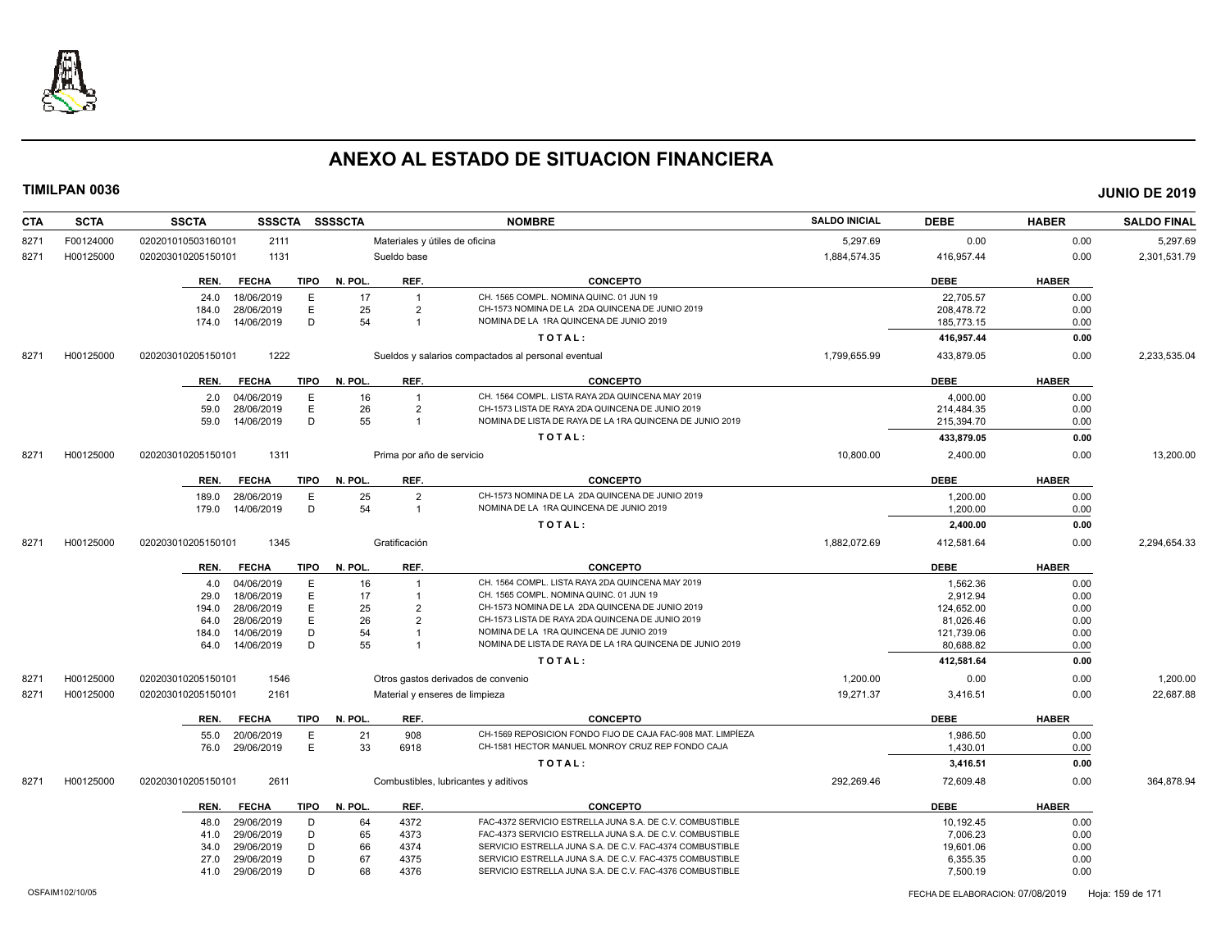

| <b>CTA</b> | <b>SCTA</b> | <b>SSCTA</b>               | SSSCTA SSSSCTA         |                           | <b>NOMBRE</b>                                               | <b>SALDO INICIAL</b> | <b>DEBE</b> | <b>HABER</b> | <b>SALDO FINAL</b> |
|------------|-------------|----------------------------|------------------------|---------------------------|-------------------------------------------------------------|----------------------|-------------|--------------|--------------------|
| 8271       | F00124000   | 020201010503160101<br>2111 |                        |                           | Materiales y útiles de oficina                              | 5,297.69             | 0.00        | 0.00         | 5,297.69           |
| 8271       | H00125000   | 1131<br>020203010205150101 |                        | Sueldo base               |                                                             | 1,884,574.35         | 416,957.44  | 0.00         | 2,301,531.79       |
|            |             | <b>FECHA</b><br>REN.       | <b>TIPO</b><br>N. POL. | REF.                      | <b>CONCEPTO</b>                                             |                      | <b>DEBE</b> | <b>HABER</b> |                    |
|            |             | 18/06/2019<br>24.0         | Ε                      | 17<br>$\overline{1}$      | CH. 1565 COMPL. NOMINA QUINC. 01 JUN 19                     |                      | 22,705.57   | 0.00         |                    |
|            |             | 28/06/2019<br>184.0        | E                      | 25<br>$\overline{2}$      | CH-1573 NOMINA DE LA 2DA QUINCENA DE JUNIO 2019             |                      | 208,478.72  | 0.00         |                    |
|            |             | 14/06/2019<br>174.0        | D                      | 54<br>$\overline{1}$      | NOMINA DE LA 1RA QUINCENA DE JUNIO 2019                     |                      | 185,773.15  | 0.00         |                    |
|            |             |                            |                        |                           | TOTAL:                                                      |                      | 416,957.44  | 0.00         |                    |
| 8271       | H00125000   | 1222<br>020203010205150101 |                        |                           | Sueldos y salarios compactados al personal eventual         | 1,799,655.99         | 433,879.05  | 0.00         | 2,233,535.04       |
|            |             | <b>FECHA</b><br>REN.       | TIPO<br>N. POL.        | REF.                      | <b>CONCEPTO</b>                                             |                      | <b>DEBE</b> | <b>HABER</b> |                    |
|            |             | 04/06/2019<br>2.0          | E                      | 16<br>$\overline{1}$      | CH. 1564 COMPL. LISTA RAYA 2DA QUINCENA MAY 2019            |                      | 4,000.00    | 0.00         |                    |
|            |             | 28/06/2019<br>59.0         | Ε                      | 26<br>$\overline{2}$      | CH-1573 LISTA DE RAYA 2DA QUINCENA DE JUNIO 2019            |                      | 214,484.35  | 0.00         |                    |
|            |             | 59.0<br>14/06/2019         | D                      | 55<br>$\overline{1}$      | NOMINA DE LISTA DE RAYA DE LA 1RA QUINCENA DE JUNIO 2019    |                      | 215,394.70  | 0.00         |                    |
|            |             |                            |                        |                           | TOTAL:                                                      |                      | 433,879.05  | 0.00         |                    |
| 8271       | H00125000   | 020203010205150101<br>1311 |                        | Prima por año de servicio |                                                             | 10,800.00            | 2,400.00    | 0.00         | 13,200.00          |
|            |             | <b>FECHA</b><br>REN.       | <b>TIPO</b><br>N. POL. | REF.                      | <b>CONCEPTO</b>                                             |                      | <b>DEBE</b> | <b>HABER</b> |                    |
|            |             | 28/06/2019<br>189.0        | E                      | 25<br>$\overline{2}$      | CH-1573 NOMINA DE LA 2DA QUINCENA DE JUNIO 2019             |                      | 1,200.00    | 0.00         |                    |
|            |             | 14/06/2019<br>179.0        | D                      | 54<br>$\overline{1}$      | NOMINA DE LA 1RA QUINCENA DE JUNIO 2019                     |                      | 1,200.00    | 0.00         |                    |
|            |             |                            |                        |                           |                                                             |                      |             |              |                    |
|            |             |                            |                        |                           | TOTAL:                                                      |                      | 2,400.00    | 0.00         |                    |
| 8271       | H00125000   | 1345<br>020203010205150101 |                        | Gratificación             |                                                             | 1,882,072.69         | 412,581.64  | 0.00         | 2,294,654.33       |
|            |             | <b>FECHA</b><br>REN.       | <b>TIPO</b><br>N. POL. | REF.                      | <b>CONCEPTO</b>                                             |                      | <b>DEBE</b> | <b>HABER</b> |                    |
|            |             | 04/06/2019<br>4.0          | Ε                      | 16                        | CH. 1564 COMPL. LISTA RAYA 2DA QUINCENA MAY 2019            |                      | 1,562.36    | 0.00         |                    |
|            |             | 29.0<br>18/06/2019         | E                      | 17                        | CH. 1565 COMPL. NOMINA QUINC. 01 JUN 19                     |                      | 2,912.94    | 0.00         |                    |
|            |             | 28/06/2019<br>194.0        | E                      | 25<br>$\overline{2}$      | CH-1573 NOMINA DE LA 2DA QUINCENA DE JUNIO 2019             |                      | 124,652.00  | 0.00         |                    |
|            |             | 28/06/2019<br>64.0         | E                      | 26<br>$\overline{2}$      | CH-1573 LISTA DE RAYA 2DA QUINCENA DE JUNIO 2019            |                      | 81,026.46   | 0.00         |                    |
|            |             | 184.0<br>14/06/2019        | D                      | 54                        | NOMINA DE LA 1RA QUINCENA DE JUNIO 2019                     |                      | 121,739.06  | 0.00         |                    |
|            |             | 14/06/2019<br>64.0         | D                      | 55                        | NOMINA DE LISTA DE RAYA DE LA 1RA QUINCENA DE JUNIO 2019    |                      | 80,688.82   | 0.00         |                    |
|            |             |                            |                        |                           | TOTAL:                                                      |                      | 412,581.64  | 0.00         |                    |
| 8271       | H00125000   | 1546<br>020203010205150101 |                        |                           | Otros gastos derivados de convenio                          | 1,200.00             | 0.00        | 0.00         | 1,200.00           |
| 8271       | H00125000   | 020203010205150101<br>2161 |                        |                           | Material y enseres de limpieza                              | 19,271.37            | 3,416.51    | 0.00         | 22,687.88          |
|            |             | REN.<br><b>FECHA</b>       | <b>TIPO</b><br>N. POL. | REF.                      | <b>CONCEPTO</b>                                             |                      | <b>DEBE</b> | <b>HABER</b> |                    |
|            |             | 20/06/2019<br>55.0         | Е                      | 21<br>908                 | CH-1569 REPOSICION FONDO FIJO DE CAJA FAC-908 MAT. LIMPÍEZA |                      | 1,986.50    | 0.00         |                    |
|            |             | 29/06/2019<br>76.0         | E                      | 33<br>6918                | CH-1581 HECTOR MANUEL MONROY CRUZ REP FONDO CAJA            |                      | 1,430.01    | 0.00         |                    |
|            |             |                            |                        |                           | TOTAL:                                                      |                      | 3,416.51    | 0.00         |                    |
| 8271       | H00125000   | 020203010205150101<br>2611 |                        |                           | Combustibles, lubricantes y aditivos                        | 292,269.46           | 72,609.48   | 0.00         | 364,878.94         |
|            |             | <b>FECHA</b><br>REN.       | N. POL.<br><b>TIPO</b> | REF.                      | <b>CONCEPTO</b>                                             |                      | <b>DEBE</b> | <b>HABER</b> |                    |
|            |             | 29/06/2019<br>48.0         | D                      | 64<br>4372                | FAC-4372 SERVICIO ESTRELLA JUNA S.A. DE C.V. COMBUSTIBLE    |                      | 10,192.45   | 0.00         |                    |
|            |             | 29/06/2019<br>41.0         | D                      | 65<br>4373                | FAC-4373 SERVICIO ESTRELLA JUNA S.A. DE C.V. COMBUSTIBLE    |                      | 7,006.23    | 0.00         |                    |
|            |             | 29/06/2019<br>34.0         | D                      | 66<br>4374                | SERVICIO ESTRELLA JUNA S.A. DE C.V. FAC-4374 COMBUSTIBLE    |                      | 19,601.06   | 0.00         |                    |
|            |             | 29/06/2019<br>27.0         | D                      | 67<br>4375                | SERVICIO ESTRELLA JUNA S.A. DE C.V. FAC-4375 COMBUSTIBLE    |                      | 6,355.35    | 0.00         |                    |
|            |             | 29/06/2019<br>41.0         | D                      | 68<br>4376                | SERVICIO ESTRELLA JUNA S.A. DE C.V. FAC-4376 COMBUSTIBLE    |                      | 7,500.19    | 0.00         |                    |
|            |             |                            |                        |                           |                                                             |                      |             |              |                    |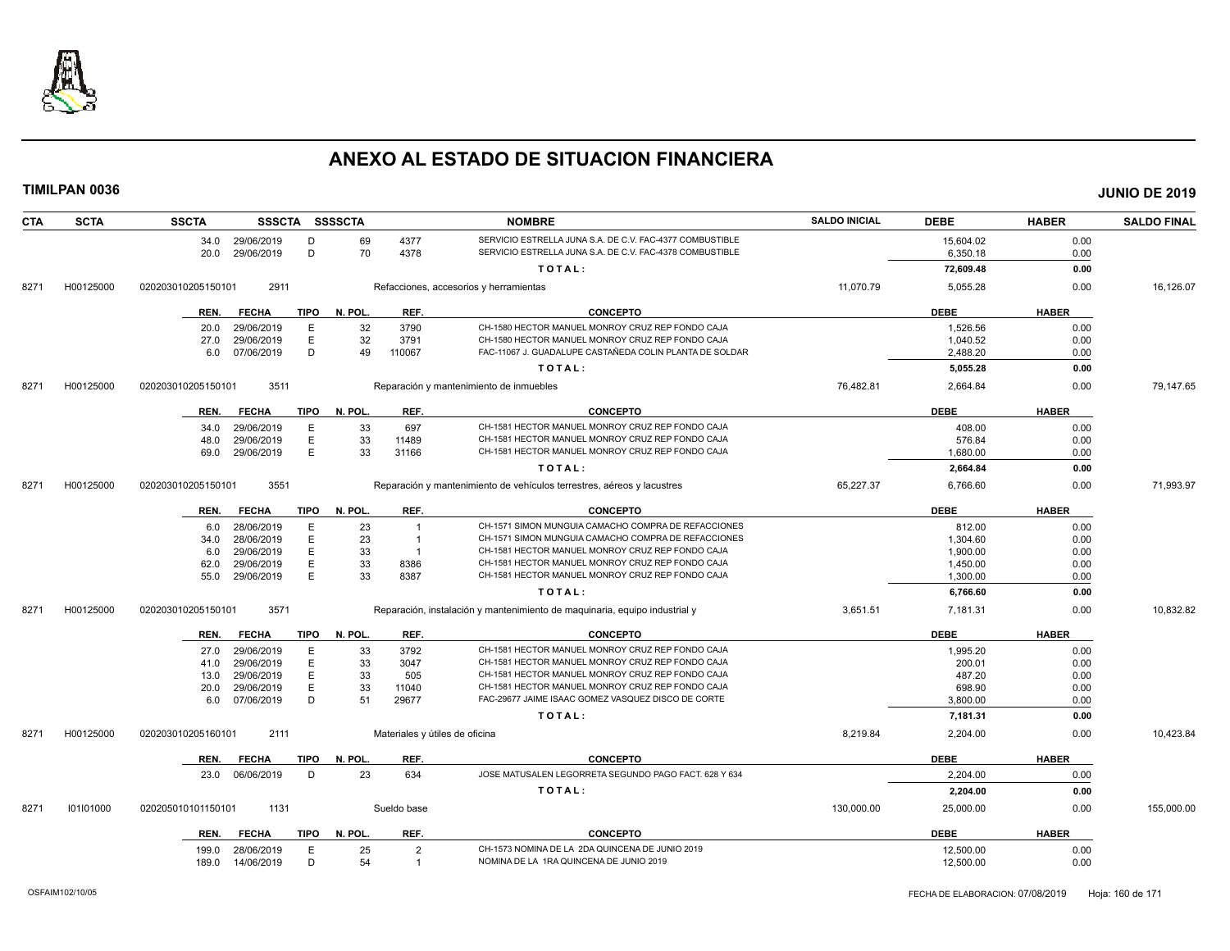

| <b>CTA</b> | <b>SCTA</b> | <b>SSCTA</b>         |             | SSSCTA SSSSCTA |                | <b>NOMBRE</b>                                                              | <b>SALDO INICIAL</b> | <b>DEBE</b> | <b>HABER</b> | <b>SALDO FINAL</b> |
|------------|-------------|----------------------|-------------|----------------|----------------|----------------------------------------------------------------------------|----------------------|-------------|--------------|--------------------|
|            |             | 34.0 29/06/2019      | D           | 69             | 4377           | SERVICIO ESTRELLA JUNA S.A. DE C.V. FAC-4377 COMBUSTIBLE                   |                      | 15,604.02   | 0.00         |                    |
|            |             | 29/06/2019<br>20.0   | D           | 70             | 4378           | SERVICIO ESTRELLA JUNA S.A. DE C.V. FAC-4378 COMBUSTIBLE                   |                      | 6,350.18    | 0.00         |                    |
|            |             |                      |             |                |                | TOTAL:                                                                     |                      | 72,609.48   | 0.00         |                    |
| 8271       | H00125000   | 020203010205150101   | 2911        |                |                | Refacciones, accesorios y herramientas                                     | 11,070.79            | 5,055.28    | 0.00         | 16,126.07          |
|            |             | <b>FECHA</b><br>REN. | <b>TIPO</b> | N. POL.        | REF.           | <b>CONCEPTO</b>                                                            |                      | <b>DEBE</b> | <b>HABER</b> |                    |
|            |             | 29/06/2019<br>20.0   | E           | 32             | 3790           | CH-1580 HECTOR MANUEL MONROY CRUZ REP FONDO CAJA                           |                      | 1,526.56    | 0.00         |                    |
|            |             | 29/06/2019<br>27.0   | Ε           | 32             | 3791           | CH-1580 HECTOR MANUEL MONROY CRUZ REP FONDO CAJA                           |                      | 1,040.52    | 0.00         |                    |
|            |             | 07/06/2019<br>6.0    | D           | 49             | 110067         | FAC-11067 J. GUADALUPE CASTAÑEDA COLIN PLANTA DE SOLDAR                    |                      | 2,488.20    | 0.00         |                    |
|            |             |                      |             |                |                | TOTAL:                                                                     |                      | 5,055.28    | 0.00         |                    |
| 8271       | H00125000   | 020203010205150101   | 3511        |                |                | Reparación y mantenimiento de inmuebles                                    | 76,482.81            | 2,664.84    | 0.00         | 79,147.65          |
|            |             | REN.<br><b>FECHA</b> | <b>TIPO</b> | N. POL.        | REF.           | <b>CONCEPTO</b>                                                            |                      | <b>DEBE</b> | <b>HABER</b> |                    |
|            |             | 29/06/2019<br>34.0   | E           | 33             | 697            | CH-1581 HECTOR MANUEL MONROY CRUZ REP FONDO CAJA                           |                      | 408.00      | 0.00         |                    |
|            |             | 48.0<br>29/06/2019   | Ε           | 33             | 11489          | CH-1581 HECTOR MANUEL MONROY CRUZ REP FONDO CAJA                           |                      | 576.84      | 0.00         |                    |
|            |             | 29/06/2019<br>69.0   | E           | 33             | 31166          | CH-1581 HECTOR MANUEL MONROY CRUZ REP FONDO CAJA                           |                      | 1.680.00    | 0.00         |                    |
|            |             |                      |             |                |                | TOTAL:                                                                     |                      | 2,664.84    | 0.00         |                    |
| 8271       | H00125000   | 020203010205150101   | 3551        |                |                | Reparación y mantenimiento de vehículos terrestres, aéreos y lacustres     | 65,227.37            | 6,766.60    | 0.00         | 71,993.97          |
|            |             | <b>FECHA</b><br>REN. | <b>TIPO</b> | N. POL.        | REF.           | <b>CONCEPTO</b>                                                            |                      | <b>DEBE</b> | <b>HABER</b> |                    |
|            |             | 28/06/2019<br>6.0    | E           | 23             | $\overline{1}$ | CH-1571 SIMON MUNGUIA CAMACHO COMPRA DE REFACCIONES                        |                      | 812.00      | 0.00         |                    |
|            |             | 28/06/2019<br>34.0   | E           | 23             | $\overline{1}$ | CH-1571 SIMON MUNGUIA CAMACHO COMPRA DE REFACCIONES                        |                      | 1.304.60    | 0.00         |                    |
|            |             | 29/06/2019<br>6.0    | E           | 33             | $\overline{1}$ | CH-1581 HECTOR MANUEL MONROY CRUZ REP FONDO CAJA                           |                      | 1,900.00    | 0.00         |                    |
|            |             | 29/06/2019<br>62.0   | E           | 33             | 8386           | CH-1581 HECTOR MANUEL MONROY CRUZ REP FONDO CAJA                           |                      | 1,450.00    | 0.00         |                    |
|            |             | 55.0<br>29/06/2019   | E           | 33             | 8387           | CH-1581 HECTOR MANUEL MONROY CRUZ REP FONDO CAJA                           |                      | 1,300.00    | 0.00         |                    |
|            |             |                      |             |                |                | TOTAL:                                                                     |                      | 6,766.60    | 0.00         |                    |
| 8271       | H00125000   | 020203010205150101   | 3571        |                |                | Reparación, instalación y mantenimiento de maquinaria, equipo industrial y | 3,651.51             | 7,181.31    | 0.00         | 10,832.82          |
|            |             | <b>FECHA</b><br>REN. | TIPO        | N. POL.        | REF.           | <b>CONCEPTO</b>                                                            |                      | <b>DEBE</b> | <b>HABER</b> |                    |
|            |             | 29/06/2019<br>27.0   | E           | 33             | 3792           | CH-1581 HECTOR MANUEL MONROY CRUZ REP FONDO CAJA                           |                      | 1,995.20    | 0.00         |                    |
|            |             | 29/06/2019<br>41.0   | Ε           | 33             | 3047           | CH-1581 HECTOR MANUEL MONROY CRUZ REP FONDO CAJA                           |                      | 200.01      | 0.00         |                    |
|            |             | 29/06/2019<br>13.0   | Е           | 33             | 505            | CH-1581 HECTOR MANUEL MONROY CRUZ REP FONDO CAJA                           |                      | 487.20      | 0.00         |                    |
|            |             | 29/06/2019<br>20.0   | E           | 33             | 11040          | CH-1581 HECTOR MANUEL MONROY CRUZ REP FONDO CAJA                           |                      | 698.90      | 0.00         |                    |
|            |             | 07/06/2019<br>6.0    | D           | 51             | 29677          | FAC-29677 JAIME ISAAC GOMEZ VASQUEZ DISCO DE CORTE                         |                      | 3,800.00    | 0.00         |                    |
|            |             |                      |             |                |                | TOTAL:                                                                     |                      | 7,181.31    | 0.00         |                    |
| 8271       | H00125000   | 020203010205160101   | 2111        |                |                | Materiales y útiles de oficina                                             | 8,219.84             | 2,204.00    | 0.00         | 10,423.84          |
|            |             | <b>FECHA</b><br>REN. | TIPO        | N. POL.        | REF.           | <b>CONCEPTO</b>                                                            |                      | <b>DEBE</b> | <b>HABER</b> |                    |
|            |             | 23.0<br>06/06/2019   | D           | 23             | 634            | JOSE MATUSALEN LEGORRETA SEGUNDO PAGO FACT. 628 Y 634                      |                      | 2,204.00    | 0.00         |                    |
|            |             |                      |             |                |                | TOTAL:                                                                     |                      | 2,204.00    | 0.00         |                    |
| 8271       | 101101000   | 020205010101150101   | 1131        |                | Sueldo base    |                                                                            | 130,000.00           | 25,000.00   | 0.00         | 155,000.00         |
|            |             | <b>FECHA</b><br>REN. | TIPO        | N. POL.        | REF.           | <b>CONCEPTO</b>                                                            |                      | <b>DEBE</b> | <b>HABER</b> |                    |
|            |             | 28/06/2019<br>199.0  | E           | 25             | $\overline{2}$ | CH-1573 NOMINA DE LA 2DA QUINCENA DE JUNIO 2019                            |                      | 12,500.00   | 0.00         |                    |
|            |             | 189.0<br>14/06/2019  | D           | 54             | $\overline{1}$ | NOMINA DE LA 1RA QUINCENA DE JUNIO 2019                                    |                      | 12,500.00   | 0.00         |                    |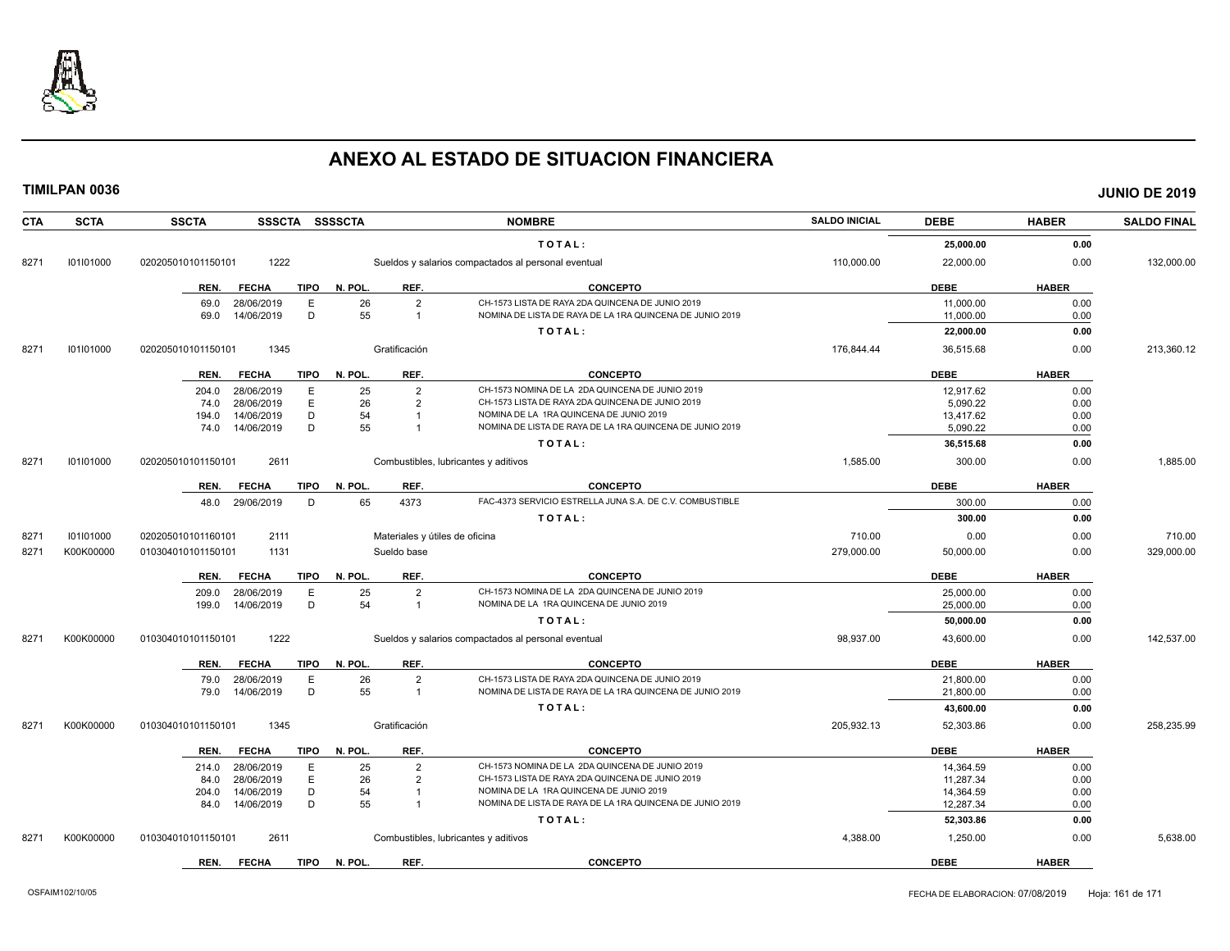

| <b>CTA</b> | <b>SCTA</b> | <b>SSCTA</b><br>SSSCTA SSSSCTA      |                                | <b>NOMBRE</b>                                                                                       | <b>SALDO INICIAL</b> | <b>DEBE</b> | <b>HABER</b> | <b>SALDO FINAL</b> |
|------------|-------------|-------------------------------------|--------------------------------|-----------------------------------------------------------------------------------------------------|----------------------|-------------|--------------|--------------------|
|            |             |                                     |                                | TOTAL:                                                                                              |                      | 25,000.00   | 0.00         |                    |
| 8271       | 101101000   | 1222<br>020205010101150101          |                                | Sueldos y salarios compactados al personal eventual                                                 | 110,000.00           | 22,000.00   | 0.00         | 132,000.00         |
|            |             | <b>FECHA</b><br><b>TIPO</b><br>REN. | REF.<br>N. POL.                | <b>CONCEPTO</b>                                                                                     |                      | <b>DEBE</b> | <b>HABER</b> |                    |
|            |             | Ε<br>69.0<br>28/06/2019             | 26<br>$\overline{2}$           | CH-1573 LISTA DE RAYA 2DA QUINCENA DE JUNIO 2019                                                    |                      | 11,000.00   | 0.00         |                    |
|            |             | 14/06/2019<br>D<br>69.0             | 55<br>$\mathbf{1}$             | NOMINA DE LISTA DE RAYA DE LA 1RA QUINCENA DE JUNIO 2019                                            |                      | 11,000.00   | 0.00         |                    |
|            |             |                                     |                                | TOTAL:                                                                                              |                      | 22,000.00   | 0.00         |                    |
| 8271       | 101101000   | 1345<br>020205010101150101          | Gratificación                  |                                                                                                     | 176,844.44           | 36,515.68   | 0.00         | 213,360.12         |
|            |             | <b>TIPO</b><br>REN.<br><b>FECHA</b> | REF.<br>N. POL.                | <b>CONCEPTO</b>                                                                                     |                      | <b>DEBE</b> | <b>HABER</b> |                    |
|            |             | 28/06/2019<br>Е<br>204.0            | 25<br>$\overline{2}$           | CH-1573 NOMINA DE LA 2DA QUINCENA DE JUNIO 2019                                                     |                      | 12.917.62   | 0.00         |                    |
|            |             | E<br>28/06/2019<br>74.0             | 26<br>$\overline{2}$           | CH-1573 LISTA DE RAYA 2DA QUINCENA DE JUNIO 2019                                                    |                      | 5.090.22    | 0.00         |                    |
|            |             | 14/06/2019<br>D<br>194.0            | 54<br>$\overline{1}$           | NOMINA DE LA 1RA QUINCENA DE JUNIO 2019                                                             |                      | 13,417.62   | 0.00         |                    |
|            |             | D<br>14/06/2019<br>74.0             | 55<br>$\overline{1}$           | NOMINA DE LISTA DE RAYA DE LA 1RA QUINCENA DE JUNIO 2019                                            |                      | 5,090.22    | 0.00         |                    |
|            |             |                                     |                                | TOTAL:                                                                                              |                      | 36,515.68   | 0.00         |                    |
| 8271       | 101101000   | 2611<br>020205010101150101          |                                | Combustibles, lubricantes y aditivos                                                                | 1,585.00             | 300.00      | 0.00         | 1,885.00           |
|            |             | <b>FECHA</b><br><b>TIPO</b><br>REN. | REF.<br>N. POL                 | <b>CONCEPTO</b>                                                                                     |                      | <b>DEBE</b> | <b>HABER</b> |                    |
|            |             | 29/06/2019<br>D<br>48.0             | 65<br>4373                     | FAC-4373 SERVICIO ESTRELLA JUNA S.A. DE C.V. COMBUSTIBLE                                            |                      | 300.00      | 0.00         |                    |
|            |             |                                     |                                | TOTAL:                                                                                              |                      | 300.00      | 0.00         |                    |
| 8271       | 101101000   | 020205010101160101<br>2111          | Materiales y útiles de oficina |                                                                                                     | 710.00               | 0.00        | 0.00         | 710.00             |
| 8271       | K00K00000   | 1131<br>010304010101150101          | Sueldo base                    |                                                                                                     | 279,000.00           | 50,000.00   | 0.00         | 329,000.00         |
|            |             | <b>TIPO</b><br>REN.<br><b>FECHA</b> | N. POL<br>REF.                 | <b>CONCEPTO</b>                                                                                     |                      | <b>DEBE</b> | <b>HABER</b> |                    |
|            |             | 28/06/2019<br>E<br>209.0            | 25<br>$\overline{2}$           | CH-1573 NOMINA DE LA 2DA QUINCENA DE JUNIO 2019                                                     |                      | 25,000.00   | 0.00         |                    |
|            |             | D<br>14/06/2019<br>199.0            | 54<br>$\mathbf{1}$             | NOMINA DE LA 1RA QUINCENA DE JUNIO 2019                                                             |                      | 25,000.00   | 0.00         |                    |
|            |             |                                     |                                | TOTAL:                                                                                              |                      | 50,000.00   | 0.00         |                    |
| 8271       | K00K00000   | 1222<br>010304010101150101          |                                | Sueldos y salarios compactados al personal eventual                                                 | 98,937.00            | 43,600.00   | 0.00         | 142,537.00         |
|            |             | <b>FECHA</b><br><b>TIPO</b><br>REN. | REF.<br>N. POL.                | <b>CONCEPTO</b>                                                                                     |                      | <b>DEBE</b> | <b>HABER</b> |                    |
|            |             | 28/06/2019<br>Ε<br>79.0             | 26<br>$\overline{2}$           | CH-1573 LISTA DE RAYA 2DA QUINCENA DE JUNIO 2019                                                    |                      | 21,800.00   | 0.00         |                    |
|            |             | 14/06/2019<br>D<br>79.0             | 55<br>$\overline{1}$           | NOMINA DE LISTA DE RAYA DE LA 1RA QUINCENA DE JUNIO 2019                                            |                      | 21,800.00   | 0.00         |                    |
|            |             |                                     |                                | TOTAL:                                                                                              |                      | 43,600.00   | 0.00         |                    |
| 8271       | K00K00000   | 1345<br>010304010101150101          | Gratificación                  |                                                                                                     | 205.932.13           | 52,303.86   | 0.00         | 258.235.99         |
|            |             |                                     |                                | <b>CONCEPTO</b>                                                                                     |                      | <b>DEBE</b> |              |                    |
|            |             | <b>TIPO</b><br>REN.<br><b>FECHA</b> | REF.<br>N. POL.                |                                                                                                     |                      |             | <b>HABER</b> |                    |
|            |             | E<br>28/06/2019<br>214.0            | 25<br>$\overline{2}$           | CH-1573 NOMINA DE LA 2DA QUINCENA DE JUNIO 2019                                                     |                      | 14,364.59   | 0.00         |                    |
|            |             | E<br>28/06/2019<br>84.0             | 26<br>$\overline{2}$           | CH-1573 LISTA DE RAYA 2DA QUINCENA DE JUNIO 2019                                                    |                      | 11,287.34   | 0.00         |                    |
|            |             | D<br>14/06/2019<br>204.0            | 54<br>$\overline{1}$           | NOMINA DE LA 1RA QUINCENA DE JUNIO 2019<br>NOMINA DE LISTA DE RAYA DE LA 1RA QUINCENA DE JUNIO 2019 |                      | 14,364.59   | 0.00         |                    |
|            |             | D<br>84.0<br>14/06/2019             | 55                             |                                                                                                     |                      | 12,287.34   | 0.00         |                    |
|            |             |                                     |                                | TOTAL:                                                                                              |                      | 52,303.86   | 0.00         |                    |
| 8271       | K00K00000   | 2611<br>010304010101150101          |                                | Combustibles, lubricantes y aditivos                                                                | 4,388.00             | 1,250.00    | 0.00         | 5,638.00           |
|            |             | <b>FECHA</b><br><b>TIPO</b><br>REN. | N. POL.<br>REF.                | <b>CONCEPTO</b>                                                                                     |                      | <b>DEBE</b> | <b>HABER</b> |                    |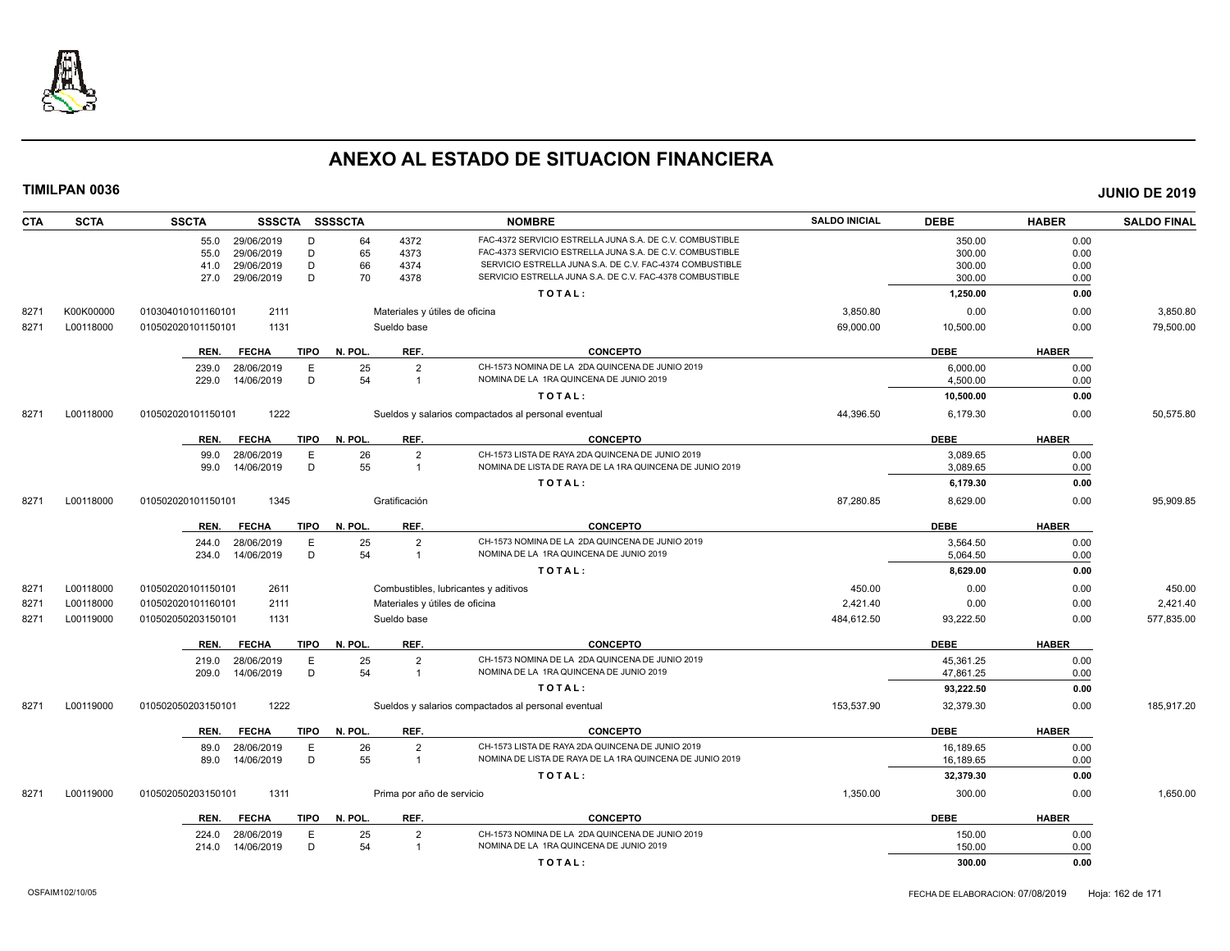

| <b>CTA</b> | <b>SCTA</b> | <b>SSCTA</b><br>SSSCTA SSSSCTA      |                           | <b>NOMBRE</b>                                            | <b>SALDO INICIAL</b> | <b>DEBE</b> | <b>HABER</b> | <b>SALDO FINAL</b> |
|------------|-------------|-------------------------------------|---------------------------|----------------------------------------------------------|----------------------|-------------|--------------|--------------------|
|            |             | 29/06/2019<br>55.0<br>D             | 64<br>4372                | FAC-4372 SERVICIO ESTRELLA JUNA S.A. DE C.V. COMBUSTIBLE |                      | 350.00      | 0.00         |                    |
|            |             | D<br>55.0<br>29/06/2019             | 65<br>4373                | FAC-4373 SERVICIO ESTRELLA JUNA S.A. DE C.V. COMBUSTIBLE |                      | 300.00      | 0.00         |                    |
|            |             | D<br>41.0<br>29/06/2019             | 66<br>4374                | SERVICIO ESTRELLA JUNA S.A. DE C.V. FAC-4374 COMBUSTIBLE |                      | 300.00      | 0.00         |                    |
|            |             | D<br>27.0<br>29/06/2019             | 70<br>4378                | SERVICIO ESTRELLA JUNA S.A. DE C.V. FAC-4378 COMBUSTIBLE |                      | 300.00      | 0.00         |                    |
|            |             |                                     |                           | TOTAL:                                                   |                      | 1,250.00    | 0.00         |                    |
| 8271       | K00K00000   | 010304010101160101<br>2111          |                           | Materiales y útiles de oficina                           | 3,850.80             | 0.00        | 0.00         | 3,850.80           |
| 8271       | L00118000   | 1131<br>010502020101150101          | Sueldo base               |                                                          | 69,000.00            | 10,500.00   | 0.00         | 79,500.00          |
|            |             | <b>TIPO</b><br>REN.<br><b>FECHA</b> | N. POL<br>REF.            | <b>CONCEPTO</b>                                          |                      | <b>DEBE</b> | <b>HABER</b> |                    |
|            |             | E<br>28/06/2019<br>239.0            | 25<br>$\overline{2}$      | CH-1573 NOMINA DE LA 2DA QUINCENA DE JUNIO 2019          |                      | 6,000.00    | 0.00         |                    |
|            |             | 14/06/2019<br>D<br>229.0            | 54<br>$\overline{1}$      | NOMINA DE LA 1RA QUINCENA DE JUNIO 2019                  |                      | 4,500.00    | 0.00         |                    |
|            |             |                                     |                           | TOTAL:                                                   |                      | 10,500.00   | 0.00         |                    |
| 8271       | L00118000   | 1222<br>010502020101150101          |                           | Sueldos y salarios compactados al personal eventual      | 44,396.50            | 6,179.30    | 0.00         | 50.575.80          |
|            |             | <b>TIPO</b><br>REN.<br><b>FECHA</b> | REF.<br>N. POL.           | <b>CONCEPTO</b>                                          |                      | <b>DEBE</b> | <b>HABER</b> |                    |
|            |             | E<br>99.0<br>28/06/2019             | 26<br>$\overline{2}$      | CH-1573 LISTA DE RAYA 2DA QUINCENA DE JUNIO 2019         |                      | 3,089.65    | 0.00         |                    |
|            |             | D<br>14/06/2019<br>99.0             | 55<br>$\overline{1}$      | NOMINA DE LISTA DE RAYA DE LA 1RA QUINCENA DE JUNIO 2019 |                      | 3,089.65    | 0.00         |                    |
|            |             |                                     |                           | TOTAL:                                                   |                      | 6,179.30    | 0.00         |                    |
| 8271       | L00118000   | 1345<br>010502020101150101          | Gratificación             |                                                          | 87,280.85            | 8,629.00    | 0.00         | 95,909.85          |
|            |             | <b>TIPO</b><br>REN.<br><b>FECHA</b> | REF.<br>N. POL.           | <b>CONCEPTO</b>                                          |                      | <b>DEBE</b> | <b>HABER</b> |                    |
|            |             | 28/06/2019<br>E<br>244.0            | 25<br>$\overline{2}$      | CH-1573 NOMINA DE LA 2DA QUINCENA DE JUNIO 2019          |                      | 3,564.50    | 0.00         |                    |
|            |             | D<br>234.0<br>14/06/2019            | 54<br>$\overline{1}$      | NOMINA DE LA 1RA QUINCENA DE JUNIO 2019                  |                      | 5,064.50    | 0.00         |                    |
|            |             |                                     |                           | TOTAL:                                                   |                      | 8,629.00    | 0.00         |                    |
| 8271       | L00118000   | 2611<br>010502020101150101          |                           | Combustibles, lubricantes y aditivos                     | 450.00               | 0.00        | 0.00         | 450.00             |
| 8271       | L00118000   | 2111<br>010502020101160101          |                           | Materiales y útiles de oficina                           | 2,421.40             | 0.00        | 0.00         | 2,421.40           |
| 8271       | L00119000   | 010502050203150101<br>1131          | Sueldo base               |                                                          | 484,612.50           | 93,222.50   | 0.00         | 577,835.00         |
|            |             | <b>FECHA</b><br><b>TIPO</b><br>REN. | N. POL.<br>REF.           | <b>CONCEPTO</b>                                          |                      | <b>DEBE</b> | <b>HABER</b> |                    |
|            |             | 28/06/2019<br>E<br>219.0            | 25<br>$\overline{2}$      | CH-1573 NOMINA DE LA 2DA QUINCENA DE JUNIO 2019          |                      | 45,361.25   | 0.00         |                    |
|            |             | D<br>14/06/2019<br>209.0            | 54<br>$\overline{1}$      | NOMINA DE LA 1RA QUINCENA DE JUNIO 2019                  |                      | 47,861.25   | 0.00         |                    |
|            |             |                                     |                           | TOTAL:                                                   |                      | 93,222.50   | 0.00         |                    |
| 8271       | L00119000   | 1222<br>010502050203150101          |                           | Sueldos y salarios compactados al personal eventual      | 153,537.90           | 32,379.30   | 0.00         | 185,917.20         |
|            |             | REN.<br><b>FECHA</b><br><b>TIPO</b> | N. POL.<br>REF.           | <b>CONCEPTO</b>                                          |                      | <b>DEBE</b> | <b>HABER</b> |                    |
|            |             | E<br>28/06/2019<br>89.0             | 26<br>$\overline{2}$      | CH-1573 LISTA DE RAYA 2DA QUINCENA DE JUNIO 2019         |                      | 16,189.65   | 0.00         |                    |
|            |             | 14/06/2019<br>D<br>89.0             | 55<br>$\overline{1}$      | NOMINA DE LISTA DE RAYA DE LA 1RA QUINCENA DE JUNIO 2019 |                      | 16,189.65   | 0.00         |                    |
|            |             |                                     |                           | TOTAL:                                                   |                      | 32,379.30   | 0.00         |                    |
| 8271       | L00119000   | 1311<br>010502050203150101          | Prima por año de servicio |                                                          | 1,350.00             | 300.00      | 0.00         | 1,650.00           |
|            |             | <b>TIPO</b><br>REN.<br><b>FECHA</b> | N. POL.<br>REF.           | <b>CONCEPTO</b>                                          |                      | <b>DEBE</b> | <b>HABER</b> |                    |
|            |             | 28/06/2019<br>E<br>224.0            | 25<br>$\overline{2}$      | CH-1573 NOMINA DE LA 2DA QUINCENA DE JUNIO 2019          |                      | 150.00      | 0.00         |                    |
|            |             | D<br>14/06/2019<br>214.0            | 54<br>$\overline{1}$      | NOMINA DE LA 1RA QUINCENA DE JUNIO 2019                  |                      | 150.00      | 0.00         |                    |
|            |             |                                     |                           | TOTAL:                                                   |                      | 300.00      | 0.00         |                    |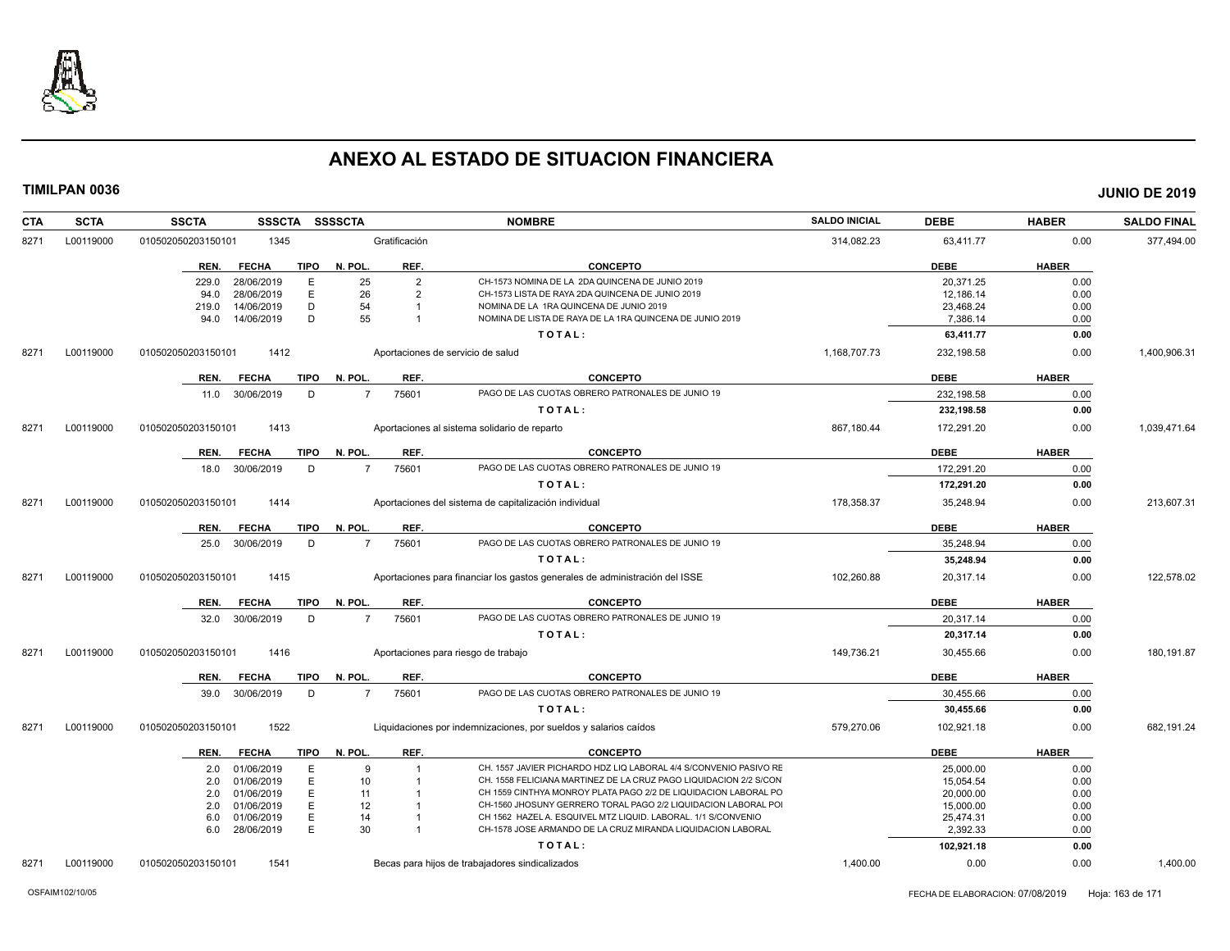

| <b>SCTA</b><br>CTA | <b>SSCTA</b><br><b>SSSCTA</b> |             | SSSSCTA        |                | <b>NOMBRE</b>                                                               | <b>SALDO INICIAL</b> | <b>DEBE</b> | <b>HABER</b> | <b>SALDO FINAL</b> |
|--------------------|-------------------------------|-------------|----------------|----------------|-----------------------------------------------------------------------------|----------------------|-------------|--------------|--------------------|
| L00119000<br>8271  | 1345<br>010502050203150101    |             |                | Gratificación  |                                                                             | 314,082.23           | 63,411.77   | 0.00         | 377,494.00         |
|                    | <b>FECHA</b><br>REN.          | <b>TIPO</b> | N. POL.        | REF.           | <b>CONCEPTO</b>                                                             |                      | <b>DEBE</b> | <b>HABER</b> |                    |
|                    | 229.0<br>28/06/2019           | E           | 25             | $\overline{2}$ | CH-1573 NOMINA DE LA 2DA QUINCENA DE JUNIO 2019                             |                      | 20.371.25   | 0.00         |                    |
|                    | 28/06/2019<br>94.0            | Ε           | 26             | $\overline{2}$ | CH-1573 LISTA DE RAYA 2DA QUINCENA DE JUNIO 2019                            |                      | 12,186.14   | 0.00         |                    |
|                    | 14/06/2019<br>219.0           | D           | 54             |                | NOMINA DE LA 1RA QUINCENA DE JUNIO 2019                                     |                      | 23,468.24   | 0.00         |                    |
|                    | 14/06/2019<br>94.0            | D           | 55             |                | NOMINA DE LISTA DE RAYA DE LA 1RA QUINCENA DE JUNIO 2019                    |                      | 7.386.14    | 0.00         |                    |
|                    |                               |             |                |                | TOTAL:                                                                      |                      | 63,411.77   | 0.00         |                    |
| L00119000<br>8271  | 1412<br>010502050203150101    |             |                |                | Aportaciones de servicio de salud                                           | 1,168,707.73         | 232,198.58  | 0.00         | 1,400,906.31       |
|                    | REN.<br><b>FECHA</b>          | <b>TIPO</b> | N. POL.        | REF.           | <b>CONCEPTO</b>                                                             |                      | <b>DEBE</b> | <b>HABER</b> |                    |
|                    | 11.0 30/06/2019               | D           | $\overline{7}$ | 75601          | PAGO DE LAS CUOTAS OBRERO PATRONALES DE JUNIO 19                            |                      | 232.198.58  | 0.00         |                    |
|                    |                               |             |                |                | TOTAL:                                                                      |                      | 232,198.58  | 0.00         |                    |
| L00119000<br>8271  | 010502050203150101<br>1413    |             |                |                | Aportaciones al sistema solidario de reparto                                | 867,180.44           | 172,291.20  | 0.00         | 1,039,471.64       |
|                    | REN.<br><b>FECHA</b>          | <b>TIPO</b> | N. POL.        | REF.           | <b>CONCEPTO</b>                                                             |                      | <b>DEBE</b> | <b>HABER</b> |                    |
|                    | 30/06/2019<br>18.0            | D           | $\overline{7}$ | 75601          | PAGO DE LAS CUOTAS OBRERO PATRONALES DE JUNIO 19                            |                      | 172,291.20  | 0.00         |                    |
|                    |                               |             |                |                | TOTAL:                                                                      |                      | 172,291.20  | 0.00         |                    |
| L00119000<br>8271  | 1414<br>010502050203150101    |             |                |                | Aportaciones del sistema de capitalización individual                       | 178,358.37           | 35,248.94   | 0.00         | 213,607.31         |
|                    | REN.<br><b>FECHA</b>          | <b>TIPO</b> | N. POL.        | REF.           | <b>CONCEPTO</b>                                                             |                      | <b>DEBE</b> | <b>HABER</b> |                    |
|                    | 30/06/2019<br>25.0            | D           | $\overline{7}$ | 75601          | PAGO DE LAS CUOTAS OBRERO PATRONALES DE JUNIO 19                            |                      | 35,248.94   | 0.00         |                    |
|                    |                               |             |                |                | TOTAL:                                                                      |                      | 35,248.94   | 0.00         |                    |
| L00119000<br>8271  | 1415<br>010502050203150101    |             |                |                | Aportaciones para financiar los gastos generales de administración del ISSE | 102,260.88           | 20,317.14   | 0.00         | 122,578.02         |
|                    | <b>FECHA</b><br>REN.          | <b>TIPO</b> | N. POL.        | REF.           | <b>CONCEPTO</b>                                                             |                      | <b>DEBE</b> | <b>HABER</b> |                    |
|                    | 32.0 30/06/2019               | D           |                | 75601          | PAGO DE LAS CUOTAS OBRERO PATRONALES DE JUNIO 19                            |                      | 20,317.14   | 0.00         |                    |
|                    |                               |             |                |                | TOTAL:                                                                      |                      | 20,317.14   | 0.00         |                    |
| L00119000<br>8271  | 1416<br>010502050203150101    |             |                |                | Aportaciones para riesgo de trabajo                                         | 149,736.21           | 30,455.66   | 0.00         | 180,191.87         |
|                    | REN.<br><b>FECHA</b>          | <b>TIPO</b> | N. POL.        | REF.           | <b>CONCEPTO</b>                                                             |                      | <b>DEBE</b> | <b>HABER</b> |                    |
|                    | 30/06/2019<br>39.0            | D           | $\overline{7}$ | 75601          | PAGO DE LAS CUOTAS OBRERO PATRONALES DE JUNIO 19                            |                      | 30,455.66   | 0.00         |                    |
|                    |                               |             |                |                | TOTAL:                                                                      |                      | 30,455.66   | 0.00         |                    |
| 8271<br>L00119000  | 1522<br>010502050203150101    |             |                |                | Liquidaciones por indemnizaciones, por sueldos y salarios caídos            | 579,270.06           | 102,921.18  | 0.00         | 682,191.24         |
|                    | REN.<br><b>FECHA</b>          | TIPO        | N. POL.        | REF.           | <b>CONCEPTO</b>                                                             |                      | <b>DEBE</b> | <b>HABER</b> |                    |
|                    | 01/06/2019<br>2.0             | E           | $\mathbf{q}$   | 1              | CH. 1557 JAVIER PICHARDO HDZ LIQ LABORAL 4/4 S/CONVENIO PASIVO RE           |                      | 25,000.00   | 0.00         |                    |
|                    | 01/06/2019<br>2.0             | Ε           | 10             | $\overline{1}$ | CH. 1558 FELICIANA MARTINEZ DE LA CRUZ PAGO LIQUIDACION 2/2 S/CON           |                      | 15,054.54   | 0.00         |                    |
|                    | 2.0<br>01/06/2019             | E           | 11             |                | CH 1559 CINTHYA MONROY PLATA PAGO 2/2 DE LIQUIDACION LABORAL PO             |                      | 20,000.00   | 0.00         |                    |
|                    | 01/06/2019<br>2.0             | E           | 12             |                | CH-1560 JHOSUNY GERRERO TORAL PAGO 2/2 LIQUIDACION LABORAL POI              |                      | 15,000.00   | 0.00         |                    |
|                    | 01/06/2019<br>6.0             | Ε           | 14             |                | CH 1562 HAZEL A. ESQUIVEL MTZ LIQUID. LABORAL. 1/1 S/CONVENIO               |                      | 25,474.31   | 0.00         |                    |
|                    | 6.0 28/06/2019                | E           | 30             | $\overline{1}$ | CH-1578 JOSE ARMANDO DE LA CRUZ MIRANDA LIQUIDACION LABORAL                 |                      | 2.392.33    | 0.00         |                    |
|                    |                               |             |                |                | TOTAL:                                                                      |                      | 102,921.18  | 0.00         |                    |
| 8271<br>L00119000  | 1541<br>010502050203150101    |             |                |                | Becas para hijos de trabajadores sindicalizados                             | 1.400.00             | 0.00        | 0.00         | 1,400.00           |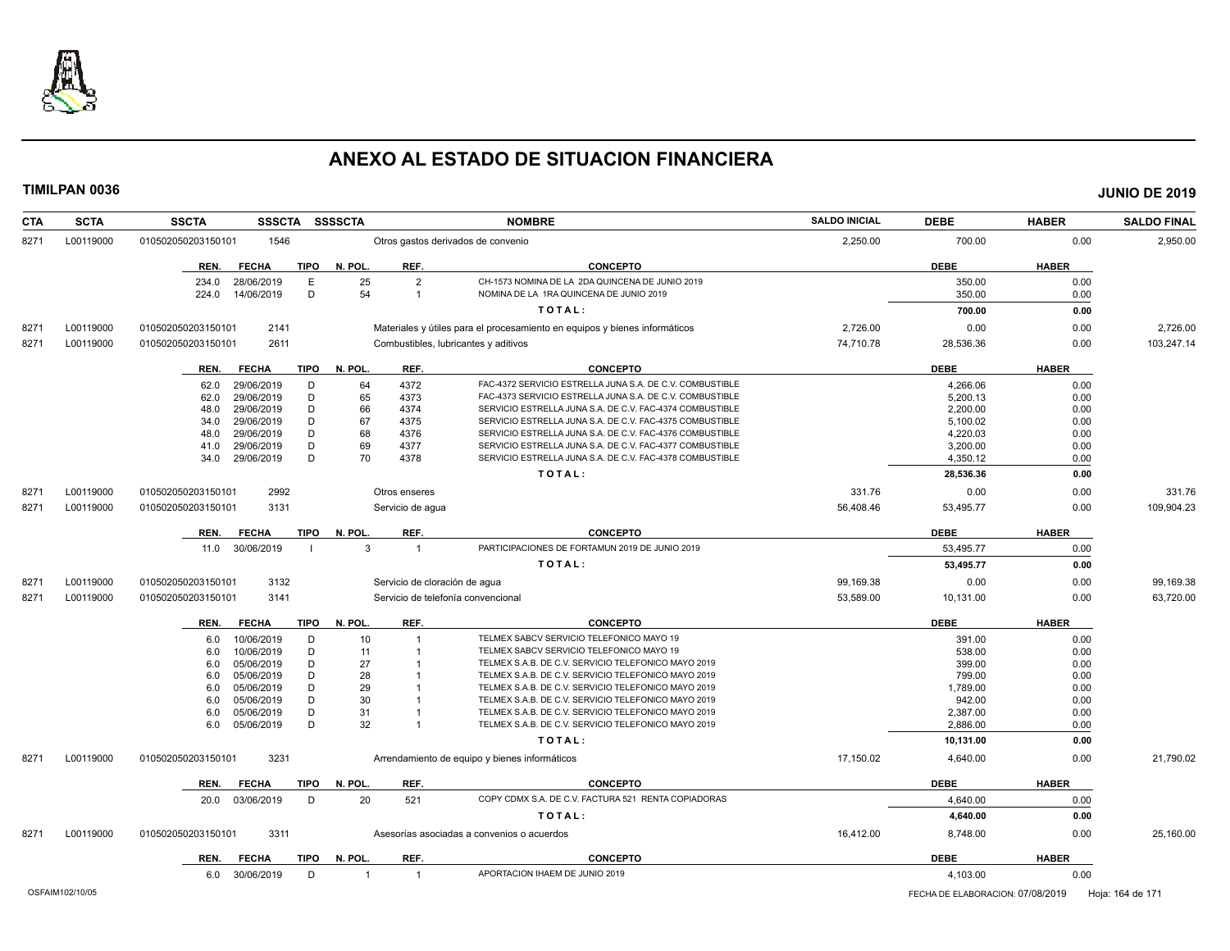

| <b>CTA</b> | <b>SCTA</b> | <b>SSCTA</b><br><b>SSSCTA</b>       | <b>SSSSCTA</b>                   | <b>NOMBRE</b>                                                              | <b>SALDO INICIAL</b> | <b>DEBE</b> | <b>HABER</b> | <b>SALDO FINAL</b> |
|------------|-------------|-------------------------------------|----------------------------------|----------------------------------------------------------------------------|----------------------|-------------|--------------|--------------------|
| 8271       | L00119000   | 1546<br>010502050203150101          |                                  | Otros gastos derivados de convenio                                         | 2,250.00             | 700.00      | 0.00         | 2,950.00           |
|            |             | <b>TIPO</b><br>REN.<br><b>FECHA</b> | N. POL<br>REF.                   | <b>CONCEPTO</b>                                                            |                      | <b>DEBE</b> | <b>HABER</b> |                    |
|            |             | 234.0<br>28/06/2019<br>Е            | 25<br>$\overline{2}$             | CH-1573 NOMINA DE LA 2DA QUINCENA DE JUNIO 2019                            |                      | 350.00      | 0.00         |                    |
|            |             | D<br>14/06/2019<br>224.0            | 54<br>$\overline{1}$             | NOMINA DE LA 1RA QUINCENA DE JUNIO 2019                                    |                      | 350.00      | 0.00         |                    |
|            |             |                                     |                                  | TOTAL:                                                                     |                      | 700.00      | 0.00         |                    |
| 8271       | L00119000   | 2141<br>010502050203150101          |                                  | Materiales y útiles para el procesamiento en equipos y bienes informáticos | 2,726.00             | 0.00        | 0.00         | 2,726.00           |
| 8271       | L00119000   | 2611<br>010502050203150101          |                                  | Combustibles, lubricantes y aditivos                                       | 74,710.78            | 28,536.36   | 0.00         | 103,247.14         |
|            |             |                                     |                                  |                                                                            |                      |             |              |                    |
|            |             | <b>FECHA</b><br><b>TIPO</b><br>REN. | N. POL<br>REF.                   | <b>CONCEPTO</b>                                                            |                      | <b>DEBE</b> | <b>HABER</b> |                    |
|            |             | 29/06/2019<br>D<br>62.0             | 4372<br>64                       | FAC-4372 SERVICIO ESTRELLA JUNA S.A. DE C.V. COMBUSTIBLE                   |                      | 4.266.06    | 0.00         |                    |
|            |             | 29/06/2019<br>D<br>62.0             | 65<br>4373                       | FAC-4373 SERVICIO ESTRELLA JUNA S.A. DE C.V. COMBUSTIBLE                   |                      | 5,200.13    | 0.00         |                    |
|            |             | D<br>29/06/2019<br>48.0             | 66<br>4374                       | SERVICIO ESTRELLA JUNA S.A. DE C.V. FAC-4374 COMBUSTIBLE                   |                      | 2,200.00    | 0.00         |                    |
|            |             | D<br>29/06/2019<br>34.0             | 67<br>4375                       | SERVICIO ESTRELLA JUNA S.A. DE C.V. FAC-4375 COMBUSTIBLE                   |                      | 5,100.02    | 0.00         |                    |
|            |             | 29/06/2019<br>D<br>48.0             | 68<br>4376                       | SERVICIO ESTRELLA JUNA S.A. DE C.V. FAC-4376 COMBUSTIBLE                   |                      | 4,220.03    | 0.00         |                    |
|            |             | D<br>41.0<br>29/06/2019             | 69<br>4377                       | SERVICIO ESTRELLA JUNA S.A. DE C.V. FAC-4377 COMBUSTIBLE                   |                      | 3,200.00    | 0.00         |                    |
|            |             | D<br>29/06/2019<br>34.0             | 70<br>4378                       | SERVICIO ESTRELLA JUNA S.A. DE C.V. FAC-4378 COMBUSTIBLE                   |                      | 4,350.12    | 0.00         |                    |
|            |             |                                     |                                  | TOTAL:                                                                     |                      | 28,536.36   | 0.00         |                    |
| 8271       | L00119000   | 010502050203150101<br>2992          | Otros enseres                    |                                                                            | 331.76               | 0.00        | 0.00         | 331.76             |
| 8271       | L00119000   | 3131<br>010502050203150101          | Servicio de aqua                 |                                                                            | 56,408.46            | 53,495.77   | 0.00         | 109,904.23         |
|            |             | <b>TIPO</b><br>REN.<br><b>FECHA</b> | N. POL<br>REF.                   | <b>CONCEPTO</b>                                                            |                      | <b>DEBE</b> | <b>HABER</b> |                    |
|            |             | 30/06/2019<br>11.0                  | 3<br>$\overline{1}$              | PARTICIPACIONES DE FORTAMUN 2019 DE JUNIO 2019                             |                      | 53.495.77   | 0.00         |                    |
|            |             |                                     |                                  | TOTAL:                                                                     |                      | 53,495.77   | 0.00         |                    |
| 8271       | L00119000   | 010502050203150101<br>3132          | Servicio de cloración de agua    |                                                                            | 99,169.38            | 0.00        | 0.00         | 99,169.38          |
| 8271       | L00119000   | 010502050203150101<br>3141          |                                  | Servicio de telefonía convencional                                         | 53,589.00            | 10,131.00   | 0.00         | 63,720.00          |
|            |             | <b>TIPO</b><br>REN.<br><b>FECHA</b> | REF.<br>N. POL.                  | <b>CONCEPTO</b>                                                            |                      | <b>DEBE</b> | <b>HABER</b> |                    |
|            |             | 10/06/2019                          | 10<br>$\overline{1}$             | TELMEX SABCV SERVICIO TELEFONICO MAYO 19                                   |                      | 391.00      | 0.00         |                    |
|            |             | D<br>6.0<br>10/06/2019<br>D         | 11                               | TELMEX SABCV SERVICIO TELEFONICO MAYO 19                                   |                      | 538.00      | 0.00         |                    |
|            |             | 6.0<br>05/06/2019<br>D<br>6.0       | 27                               | TELMEX S.A.B. DE C.V. SERVICIO TELEFONICO MAYO 2019                        |                      | 399.00      | 0.00         |                    |
|            |             | D<br>05/06/2019<br>6.0              | 28                               | TELMEX S.A.B. DE C.V. SERVICIO TELEFONICO MAYO 2019                        |                      | 799.00      | 0.00         |                    |
|            |             | 05/06/2019<br>D<br>6.0              | 29                               | TELMEX S.A.B. DE C.V. SERVICIO TELEFONICO MAYO 2019                        |                      | 1,789.00    | 0.00         |                    |
|            |             | D<br>05/06/2019<br>6.0              | 30                               | TELMEX S.A.B. DE C.V. SERVICIO TELEFONICO MAYO 2019                        |                      | 942.00      | 0.00         |                    |
|            |             | D<br>05/06/2019<br>6.0              | 31                               | TELMEX S.A.B. DE C.V. SERVICIO TELEFONICO MAYO 2019                        |                      | 2,387.00    | 0.00         |                    |
|            |             | D<br>05/06/2019<br>6.0              | 32                               | TELMEX S.A.B. DE C.V. SERVICIO TELEFONICO MAYO 2019                        |                      | 2,886.00    | 0.00         |                    |
|            |             |                                     |                                  | TOTAL:                                                                     |                      | 10,131.00   | 0.00         |                    |
|            |             |                                     |                                  |                                                                            |                      |             |              |                    |
| 8271       | L00119000   | 3231<br>010502050203150101          |                                  | Arrendamiento de equipo y bienes informáticos                              | 17,150.02            | 4,640.00    | 0.00         | 21,790.02          |
|            |             | <b>FECHA</b><br><b>TIPO</b><br>REN. | REF.<br>N. POL                   | <b>CONCEPTO</b>                                                            |                      | <b>DEBE</b> | <b>HABER</b> |                    |
|            |             | 20.0 03/06/2019<br>D                | 20<br>521                        | COPY CDMX S.A. DE C.V. FACTURA 521 RENTA COPIADORAS                        |                      | 4,640.00    | 0.00         |                    |
|            |             |                                     |                                  | TOTAL:                                                                     |                      | 4,640.00    | 0.00         |                    |
| 8271       | L00119000   | 3311<br>010502050203150101          |                                  | Asesorías asociadas a convenios o acuerdos                                 | 16,412.00            | 8,748.00    | 0.00         | 25,160.00          |
|            |             | <b>TIPO</b><br><b>FECHA</b><br>REN. | N. POL.<br>REF.                  | <b>CONCEPTO</b>                                                            |                      | <b>DEBE</b> | <b>HABER</b> |                    |
|            |             | 30/06/2019<br>D<br>6.0              | $\overline{1}$<br>$\overline{1}$ | APORTACION IHAEM DE JUNIO 2019                                             |                      | 4,103.00    | 0.00         |                    |
|            |             |                                     |                                  |                                                                            |                      |             |              |                    |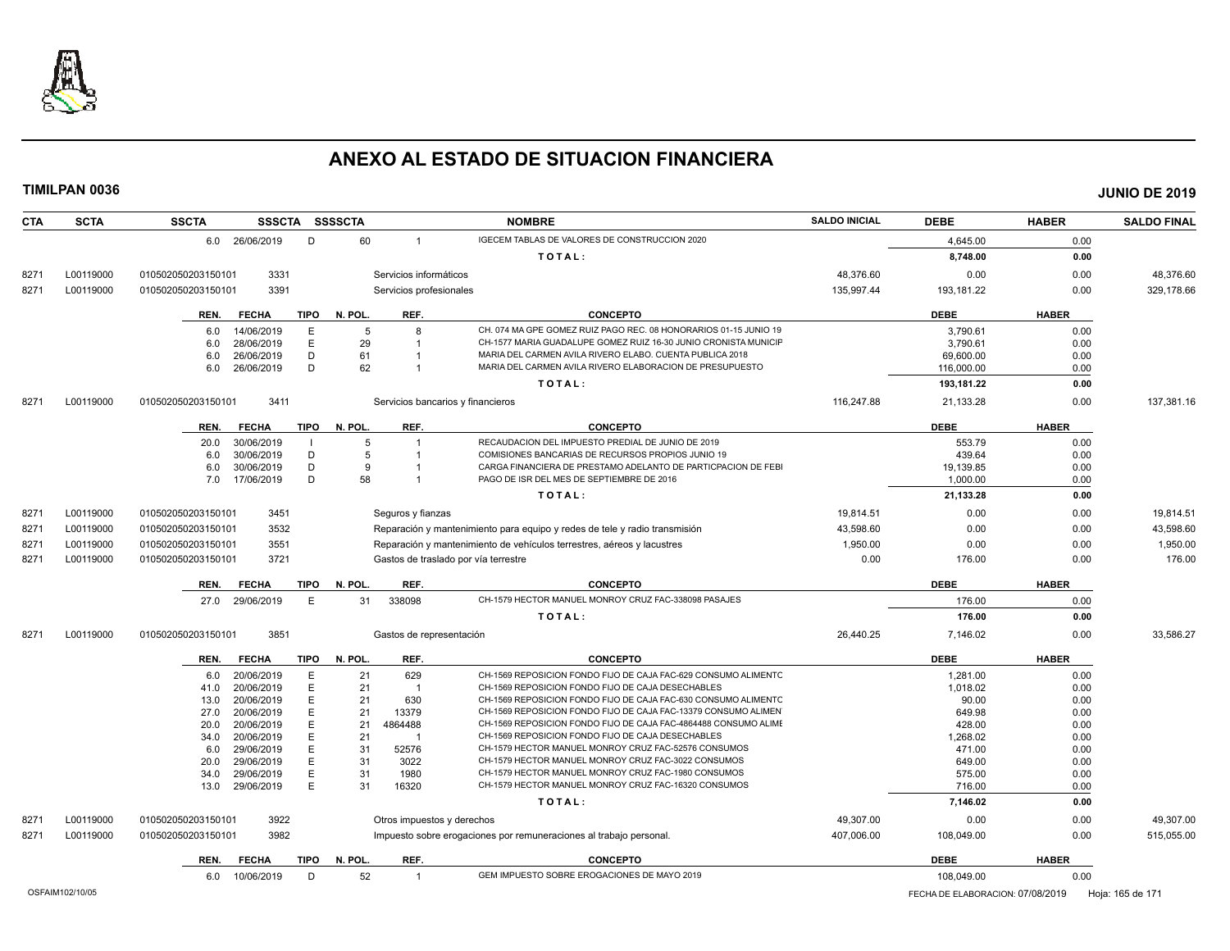

| <b>CTA</b>      | <b>SCTA</b> | <b>SSCTA</b>       | SSSCTA SSSSCTA           |             |          |                            | <b>NOMBRE</b>                                                                                                                     | <b>SALDO INICIAL</b> | <b>DEBE</b>                      | <b>HABER</b> | <b>SALDO FINAL</b> |
|-----------------|-------------|--------------------|--------------------------|-------------|----------|----------------------------|-----------------------------------------------------------------------------------------------------------------------------------|----------------------|----------------------------------|--------------|--------------------|
|                 |             | 6.0 26/06/2019     |                          | D           | 60       | $\mathbf{1}$               | IGECEM TABLAS DE VALORES DE CONSTRUCCION 2020                                                                                     |                      | 4,645.00                         | 0.00         |                    |
|                 |             |                    |                          |             |          |                            | TOTAL:                                                                                                                            |                      | 8,748.00                         | 0.00         |                    |
| 8271            | L00119000   | 010502050203150101 | 3331                     |             |          | Servicios informáticos     |                                                                                                                                   | 48,376.60            | 0.00                             | 0.00         | 48,376.60          |
| 8271            | L00119000   | 010502050203150101 | 3391                     |             |          | Servicios profesionales    |                                                                                                                                   | 135,997.44           | 193,181.22                       | 0.00         | 329,178.66         |
|                 |             |                    |                          |             |          |                            |                                                                                                                                   |                      |                                  |              |                    |
|                 |             | REN.               | <b>FECHA</b>             | <b>TIPO</b> | N. POL.  | REF.                       | <b>CONCEPTO</b>                                                                                                                   |                      | <b>DEBE</b>                      | <b>HABER</b> |                    |
|                 |             | 6.0                | 14/06/2019               | Ε           | -5       | 8                          | CH. 074 MA GPE GOMEZ RUIZ PAGO REC. 08 HONORARIOS 01-15 JUNIO 19                                                                  |                      | 3,790.61                         | 0.00         |                    |
|                 |             | 6.0                | 28/06/2019               | E           | 29       |                            | CH-1577 MARIA GUADALUPE GOMEZ RUIZ 16-30 JUNIO CRONISTA MUNICIF                                                                   |                      | 3,790.61                         | 0.00         |                    |
|                 |             | 6.0                | 26/06/2019               | D           | 61       |                            | MARIA DEL CARMEN AVILA RIVERO ELABO. CUENTA PUBLICA 2018                                                                          |                      | 69,600.00                        | 0.00         |                    |
|                 |             | 6.0                | 26/06/2019               | D           | 62       | $\overline{1}$             | MARIA DEL CARMEN AVILA RIVERO ELABORACION DE PRESUPUESTO                                                                          |                      | 116,000.00                       | 0.00         |                    |
|                 |             |                    |                          |             |          |                            | TOTAL:                                                                                                                            |                      | 193,181.22                       | 0.00         |                    |
| 8271            | L00119000   | 010502050203150101 | 3411                     |             |          |                            | Servicios bancarios y financieros                                                                                                 | 116.247.88           | 21,133.28                        | 0.00         | 137.381.16         |
|                 |             | REN.               | <b>FECHA</b>             | <b>TIPO</b> | N. POL.  | REF.                       | <b>CONCEPTO</b>                                                                                                                   |                      | <b>DEBE</b>                      | <b>HABER</b> |                    |
|                 |             | 20.0               | 30/06/2019               |             | 5        | $\overline{1}$             | RECAUDACION DEL IMPUESTO PREDIAL DE JUNIO DE 2019                                                                                 |                      | 553.79                           | 0.00         |                    |
|                 |             | 6.0                | 30/06/2019               | D           | 5        |                            | COMISIONES BANCARIAS DE RECURSOS PROPIOS JUNIO 19                                                                                 |                      | 439.64                           | 0.00         |                    |
|                 |             | 6.0                | 30/06/2019               | D           | 9        |                            | CARGA FINANCIERA DE PRESTAMO ADELANTO DE PARTICPACION DE FEBI                                                                     |                      | 19,139.85                        | 0.00         |                    |
|                 |             | 7.0                | 17/06/2019               | D           | 58       | $\overline{1}$             | PAGO DE ISR DEL MES DE SEPTIEMBRE DE 2016                                                                                         |                      | 1,000.00                         | 0.00         |                    |
|                 |             |                    |                          |             |          |                            | TOTAL:                                                                                                                            |                      | 21,133.28                        | 0.00         |                    |
| 8271            | L00119000   | 010502050203150101 | 3451                     |             |          | Seguros y fianzas          |                                                                                                                                   | 19.814.51            | 0.00                             | 0.00         | 19.814.51          |
| 8271            | L00119000   | 010502050203150101 | 3532                     |             |          |                            | Reparación y mantenimiento para equipo y redes de tele y radio transmisión                                                        | 43,598.60            | 0.00                             | 0.00         | 43,598.60          |
| 8271            | L00119000   | 010502050203150101 | 3551                     |             |          |                            | Reparación y mantenimiento de vehículos terrestres, aéreos y lacustres                                                            | 1,950.00             | 0.00                             | 0.00         | 1,950.00           |
| 8271            | L00119000   | 010502050203150101 | 3721                     |             |          |                            | Gastos de traslado por vía terrestre                                                                                              | 0.00                 | 176.00                           | 0.00         | 176.00             |
|                 |             | REN.               | <b>FECHA</b>             | TIPO        | N. POL.  | REF.                       | <b>CONCEPTO</b>                                                                                                                   |                      | <b>DEBE</b>                      | <b>HABER</b> |                    |
|                 |             | 27.0               | 29/06/2019               | E           | 31       | 338098                     | CH-1579 HECTOR MANUEL MONROY CRUZ FAC-338098 PASAJES                                                                              |                      | 176.00                           | 0.00         |                    |
|                 |             |                    |                          |             |          |                            | TOTAL:                                                                                                                            |                      | 176.00                           | 0.00         |                    |
| 8271            | L00119000   | 010502050203150101 | 3851                     |             |          | Gastos de representación   |                                                                                                                                   | 26,440.25            | 7,146.02                         | 0.00         | 33,586.27          |
|                 |             |                    |                          |             |          |                            |                                                                                                                                   |                      |                                  |              |                    |
|                 |             | REN.               | <b>FECHA</b>             | TIPO        | N. POL.  | REF.                       | <b>CONCEPTO</b>                                                                                                                   |                      | <b>DEBE</b>                      | <b>HABER</b> |                    |
|                 |             | 6.0                | 20/06/2019               | E           | 21       | 629                        | CH-1569 REPOSICION FONDO FIJO DE CAJA FAC-629 CONSUMO ALIMENTC                                                                    |                      | 1,281.00                         | 0.00         |                    |
|                 |             | 41.0               | 20/06/2019               | E           | 21       | -1                         | CH-1569 REPOSICION FONDO FIJO DE CAJA DESECHABLES                                                                                 |                      | 1,018.02                         | 0.00         |                    |
|                 |             | 13.0               | 20/06/2019               | E           | 21       | 630                        | CH-1569 REPOSICION FONDO FIJO DE CAJA FAC-630 CONSUMO ALIMENTO                                                                    |                      | 90.00                            | 0.00         |                    |
|                 |             | 27.0<br>20.0       | 20/06/2019<br>20/06/2019 | E<br>E      | 21<br>21 | 13379<br>4864488           | CH-1569 REPOSICION FONDO FIJO DE CAJA FAC-13379 CONSUMO ALIMEN<br>CH-1569 REPOSICION FONDO FIJO DE CAJA FAC-4864488 CONSUMO ALIMI |                      | 649.98<br>428.00                 | 0.00         |                    |
|                 |             | 34.0               | 20/06/2019               | Е           | 21       | $\overline{1}$             | CH-1569 REPOSICION FONDO FIJO DE CAJA DESECHABLES                                                                                 |                      | 1,268.02                         | 0.00<br>0.00 |                    |
|                 |             | 6.0                | 29/06/2019               | E           | 31       | 52576                      | CH-1579 HECTOR MANUEL MONROY CRUZ FAC-52576 CONSUMOS                                                                              |                      | 471.00                           | 0.00         |                    |
|                 |             | 20.0               | 29/06/2019               | E           | 31       | 3022                       | CH-1579 HECTOR MANUEL MONROY CRUZ FAC-3022 CONSUMOS                                                                               |                      | 649.00                           | 0.00         |                    |
|                 |             | 34.0               | 29/06/2019               | E           | 31       | 1980                       | CH-1579 HECTOR MANUEL MONROY CRUZ FAC-1980 CONSUMOS                                                                               |                      | 575.00                           | 0.00         |                    |
|                 |             | 13.0               | 29/06/2019               | E           | 31       | 16320                      | CH-1579 HECTOR MANUEL MONROY CRUZ FAC-16320 CONSUMOS                                                                              |                      | 716.00                           | 0.00         |                    |
|                 |             |                    |                          |             |          |                            | TOTAL:                                                                                                                            |                      | 7,146.02                         | 0.00         |                    |
| 8271            | L00119000   | 010502050203150101 | 3922                     |             |          | Otros impuestos y derechos |                                                                                                                                   | 49,307.00            | 0.00                             | 0.00         | 49,307.00          |
| 8271            | L00119000   | 010502050203150101 | 3982                     |             |          |                            | Impuesto sobre erogaciones por remuneraciones al trabajo personal.                                                                | 407,006.00           | 108,049.00                       | 0.00         | 515,055.00         |
|                 |             | REN.               | <b>FECHA</b>             | TIPO        | N. POL.  | REF.                       | <b>CONCEPTO</b>                                                                                                                   |                      | <b>DEBE</b>                      | <b>HABER</b> |                    |
|                 |             | 6.0                | 10/06/2019               | D           | 52       | $\mathbf{1}$               | GEM IMPUESTO SOBRE EROGACIONES DE MAYO 2019                                                                                       |                      | 108,049.00                       | 0.00         |                    |
|                 |             |                    |                          |             |          |                            |                                                                                                                                   |                      |                                  |              |                    |
| OSFAIM102/10/05 |             |                    |                          |             |          |                            |                                                                                                                                   |                      | FECHA DE ELABORACION: 07/08/2019 |              | Hoja: 165 de 171   |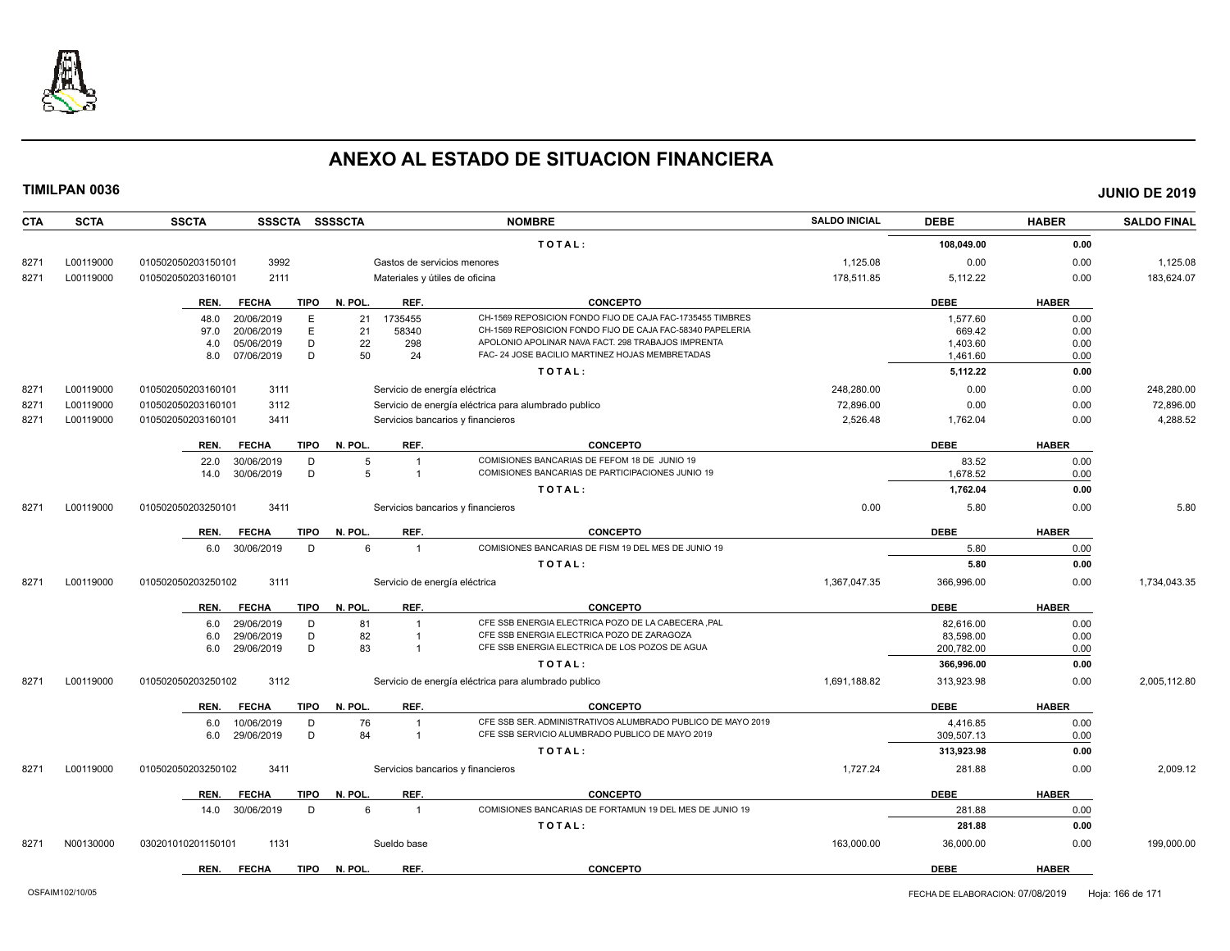

| <b>CTA</b> | <b>SCTA</b> | <b>SSSCTA</b><br><b>SSCTA</b>       | <b>SSSSCTA</b>                    | <b>NOMBRE</b>                                               | <b>SALDO INICIAL</b> | <b>DEBE</b> | <b>HABER</b> | <b>SALDO FINAL</b> |
|------------|-------------|-------------------------------------|-----------------------------------|-------------------------------------------------------------|----------------------|-------------|--------------|--------------------|
|            |             |                                     |                                   | TOTAL:                                                      |                      | 108,049.00  | 0.00         |                    |
| 8271       | L00119000   | 3992<br>010502050203150101          | Gastos de servicios menores       |                                                             | 1,125.08             | 0.00        | 0.00         | 1,125.08           |
| 8271       | L00119000   | 010502050203160101<br>2111          | Materiales y útiles de oficina    |                                                             | 178,511.85           | 5,112.22    | 0.00         | 183,624.07         |
|            |             | <b>FECHA</b><br><b>TIPO</b><br>REN. | N. POL.<br>REF.                   | <b>CONCEPTO</b>                                             |                      | <b>DEBE</b> | <b>HABER</b> |                    |
|            |             | 20/06/2019<br>E<br>48.0             | 1735455<br>21                     | CH-1569 REPOSICION FONDO FIJO DE CAJA FAC-1735455 TIMBRES   |                      | 1.577.60    | 0.00         |                    |
|            |             | E<br>20/06/2019<br>97.0             | 21<br>58340                       | CH-1569 REPOSICION FONDO FIJO DE CAJA FAC-58340 PAPELERIA   |                      | 669.42      | 0.00         |                    |
|            |             | 05/06/2019<br>D<br>4.0              | 22<br>298                         | APOLONIO APOLINAR NAVA FACT. 298 TRABAJOS IMPRENTA          |                      | 1.403.60    | 0.00         |                    |
|            |             | D<br>8.0<br>07/06/2019              | 50<br>24                          | FAC- 24 JOSE BACILIO MARTINEZ HOJAS MEMBRETADAS             |                      | 1,461.60    | 0.00         |                    |
|            |             |                                     |                                   | TOTAL:                                                      |                      | 5,112.22    | 0.00         |                    |
| 8271       | L00119000   | 010502050203160101<br>3111          | Servicio de energía eléctrica     |                                                             | 248,280.00           | 0.00        | 0.00         | 248,280.00         |
| 8271       | L00119000   | 010502050203160101<br>3112          |                                   | Servicio de energía eléctrica para alumbrado publico        | 72,896.00            | 0.00        | 0.00         | 72,896.00          |
| 8271       | L00119000   | 010502050203160101<br>3411          | Servicios bancarios y financieros |                                                             | 2,526.48             | 1,762.04    | 0.00         | 4,288.52           |
|            |             | <b>FECHA</b><br><b>TIPO</b><br>REN. | N. POL.<br>REF.                   | <b>CONCEPTO</b>                                             |                      | <b>DEBE</b> | <b>HABER</b> |                    |
|            |             | 30/06/2019<br>D<br>22.0             | 5                                 | COMISIONES BANCARIAS DE FEFOM 18 DE JUNIO 19                |                      | 83.52       | 0.00         |                    |
|            |             | D<br>30/06/2019<br>14.0             | 5<br>$\overline{1}$               | COMISIONES BANCARIAS DE PARTICIPACIONES JUNIO 19            |                      | 1,678.52    | 0.00         |                    |
|            |             |                                     |                                   | TOTAL:                                                      |                      | 1,762.04    | 0.00         |                    |
| 8271       | L00119000   | 3411<br>010502050203250101          | Servicios bancarios y financieros |                                                             | 0.00                 | 5.80        | 0.00         | 5.80               |
|            |             | <b>FECHA</b><br>TIPO<br>REN.        | REF.<br>N. POL.                   | <b>CONCEPTO</b>                                             |                      | <b>DEBE</b> | <b>HABER</b> |                    |
|            |             | 6.0 30/06/2019<br>D                 | 6<br>$\overline{1}$               | COMISIONES BANCARIAS DE FISM 19 DEL MES DE JUNIO 19         |                      | 5.80        | 0.00         |                    |
|            |             |                                     |                                   | TOTAL:                                                      |                      | 5.80        | 0.00         |                    |
| 8271       | L00119000   | 3111<br>010502050203250102          | Servicio de energía eléctrica     |                                                             | 1,367,047.35         | 366,996.00  | 0.00         | 1,734,043.35       |
|            |             | REN.<br><b>FECHA</b><br><b>TIPO</b> | N. POL.<br>REF.                   | <b>CONCEPTO</b>                                             |                      | <b>DEBE</b> | <b>HABER</b> |                    |
|            |             | 29/06/2019<br>D<br>6.0              | 81<br>$\overline{1}$              | CFE SSB ENERGIA ELECTRICA POZO DE LA CABECERA ,PAL          |                      | 82.616.00   | 0.00         |                    |
|            |             | 29/06/2019<br>D<br>6.0              | 82                                | CFE SSB ENERGIA ELECTRICA POZO DE ZARAGOZA                  |                      | 83,598.00   | 0.00         |                    |
|            |             | 29/06/2019<br>D<br>6.0              | 83<br>$\overline{1}$              | CFE SSB ENERGIA ELECTRICA DE LOS POZOS DE AGUA              |                      | 200,782.00  | 0.00         |                    |
|            |             |                                     |                                   | TOTAL:                                                      |                      | 366,996.00  | 0.00         |                    |
| 8271       | L00119000   | 010502050203250102<br>3112          |                                   | Servicio de energía eléctrica para alumbrado publico        | 1,691,188.82         | 313,923.98  | 0.00         | 2,005,112.80       |
|            |             | <b>FECHA</b><br><b>TIPO</b><br>REN. | REF.<br>N. POL.                   | <b>CONCEPTO</b>                                             |                      | <b>DEBE</b> | <b>HABER</b> |                    |
|            |             | 10/06/2019<br>D<br>6.0              | 76<br>$\overline{1}$              | CFE SSB SER. ADMINISTRATIVOS ALUMBRADO PUBLICO DE MAYO 2019 |                      | 4,416.85    | 0.00         |                    |
|            |             | D<br>6.0<br>29/06/2019              | 84<br>$\overline{1}$              | CFE SSB SERVICIO ALUMBRADO PUBLICO DE MAYO 2019             |                      | 309,507.13  | 0.00         |                    |
|            |             |                                     |                                   | TOTAL:                                                      |                      | 313,923.98  | 0.00         |                    |
| 8271       | L00119000   | 3411<br>010502050203250102          | Servicios bancarios y financieros |                                                             | 1,727.24             | 281.88      | 0.00         | 2,009.12           |
|            |             | <b>FECHA</b><br>REN.<br>TIPO        | N. POL.<br>REF.                   | <b>CONCEPTO</b>                                             |                      | <b>DEBE</b> | <b>HABER</b> |                    |
|            |             | 30/06/2019<br>D<br>14.0             | 6<br>$\overline{1}$               | COMISIONES BANCARIAS DE FORTAMUN 19 DEL MES DE JUNIO 19     |                      | 281.88      | 0.00         |                    |
|            |             |                                     |                                   | TOTAL:                                                      |                      | 281.88      | 0.00         |                    |
| 8271       | N00130000   | 030201010201150101<br>1131          | Sueldo base                       |                                                             | 163,000.00           | 36,000.00   | 0.00         | 199,000.00         |
|            |             | <b>FECHA</b><br><b>TIPO</b><br>REN. | N. POL.<br>REF.                   | <b>CONCEPTO</b>                                             |                      | <b>DEBE</b> | <b>HABER</b> |                    |
|            |             |                                     |                                   |                                                             |                      |             |              |                    |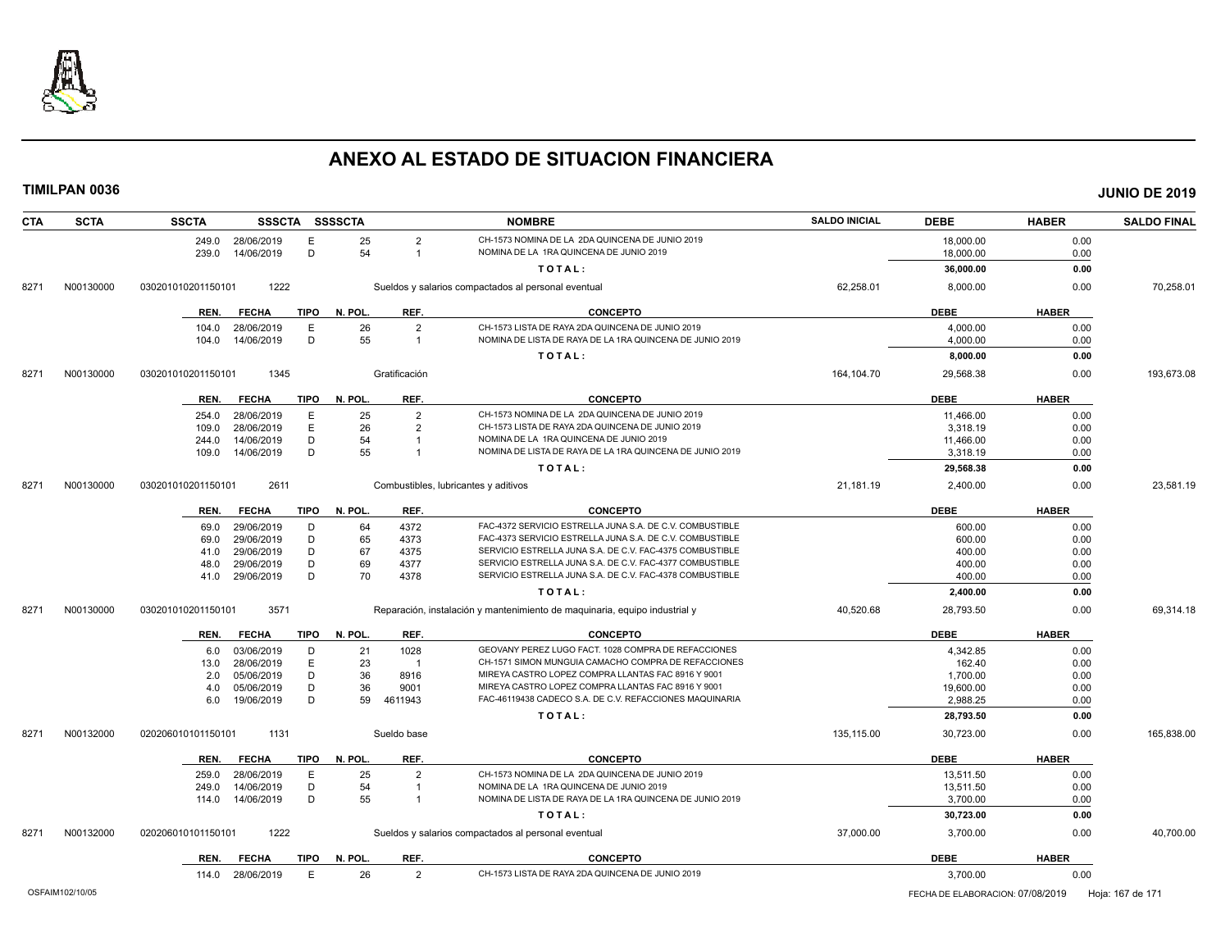

| <b>SCTA</b><br><b>CTA</b> | <b>SSCTA</b>       | <b>SSSCTA</b>               | <b>SSSSCTA</b> |                | <b>NOMBRE</b>                                                              | <b>SALDO INICIAL</b> | <b>DEBE</b>                      | <b>HABER</b> | <b>SALDO FINAL</b> |
|---------------------------|--------------------|-----------------------------|----------------|----------------|----------------------------------------------------------------------------|----------------------|----------------------------------|--------------|--------------------|
|                           | 249.0              | 28/06/2019<br>E             | 25             | $\overline{2}$ | CH-1573 NOMINA DE LA 2DA QUINCENA DE JUNIO 2019                            |                      | 18,000.00                        | 0.00         |                    |
|                           | 239.0              | D<br>14/06/2019             | 54             | $\overline{1}$ | NOMINA DE LA 1RA QUINCENA DE JUNIO 2019                                    |                      | 18,000.00                        | 0.00         |                    |
|                           |                    |                             |                |                | TOTAL:                                                                     |                      | 36,000.00                        | 0.00         |                    |
| N00130000<br>8271         | 030201010201150101 | 1222                        |                |                | Sueldos y salarios compactados al personal eventual                        | 62,258.01            | 8,000.00                         | 0.00         | 70,258.01          |
|                           | REN.               | <b>FECHA</b><br>TIPO        | N. POL.        | REF.           | <b>CONCEPTO</b>                                                            |                      | <b>DEBE</b>                      | <b>HABER</b> |                    |
|                           | 104.0              | E<br>28/06/2019             | 26             | $\overline{2}$ | CH-1573 LISTA DE RAYA 2DA QUINCENA DE JUNIO 2019                           |                      | 4,000.00                         | 0.00         |                    |
|                           | 104.0              | 14/06/2019<br>D             | 55             | $\overline{1}$ | NOMINA DE LISTA DE RAYA DE LA 1RA QUINCENA DE JUNIO 2019                   |                      | 4,000.00                         | 0.00         |                    |
|                           |                    |                             |                |                | TOTAL:                                                                     |                      | 8,000.00                         | 0.00         |                    |
| N00130000<br>8271         | 030201010201150101 | 1345                        |                | Gratificación  |                                                                            | 164,104.70           | 29,568.38                        | 0.00         | 193,673.08         |
|                           | REN.               | <b>FECHA</b><br>TIPO        | N. POL.        | REF.           | <b>CONCEPTO</b>                                                            |                      | <b>DEBE</b>                      | <b>HABER</b> |                    |
|                           | 254.0              | E<br>28/06/2019             | 25             | $\overline{2}$ | CH-1573 NOMINA DE LA 2DA QUINCENA DE JUNIO 2019                            |                      | 11,466.00                        | 0.00         |                    |
|                           | 109.0              | E<br>28/06/2019             | 26             | $\overline{2}$ | CH-1573 LISTA DE RAYA 2DA QUINCENA DE JUNIO 2019                           |                      | 3,318.19                         | 0.00         |                    |
|                           | 244.0              | D<br>14/06/2019             | 54             |                | NOMINA DE LA 1RA QUINCENA DE JUNIO 2019                                    |                      | 11,466.00                        | 0.00         |                    |
|                           | 109.0              | D<br>14/06/2019             | 55             | $\overline{1}$ | NOMINA DE LISTA DE RAYA DE LA 1RA QUINCENA DE JUNIO 2019                   |                      | 3,318.19                         | 0.00         |                    |
|                           |                    |                             |                |                | TOTAL:                                                                     |                      | 29,568.38                        | 0.00         |                    |
| N00130000<br>8271         | 030201010201150101 | 2611                        |                |                | Combustibles, lubricantes y aditivos                                       | 21,181.19            | 2.400.00                         | 0.00         | 23.581.19          |
|                           | REN.               | <b>FECHA</b><br><b>TIPO</b> | N. POL.        | REF.           | <b>CONCEPTO</b>                                                            |                      | <b>DEBE</b>                      | <b>HABER</b> |                    |
|                           | 69.0               | 29/06/2019<br>D             | 64             | 4372           | FAC-4372 SERVICIO ESTRELLA JUNA S.A. DE C.V. COMBUSTIBLE                   |                      | 600.00                           | 0.00         |                    |
|                           | 69.0               | 29/06/2019<br>D             | 65             | 4373           | FAC-4373 SERVICIO ESTRELLA JUNA S.A. DE C.V. COMBUSTIBLE                   |                      | 600.00                           | 0.00         |                    |
|                           | 41.0               | D<br>29/06/2019             | 67             | 4375           | SERVICIO ESTRELLA JUNA S.A. DE C.V. FAC-4375 COMBUSTIBLE                   |                      | 400.00                           | 0.00         |                    |
|                           | 48.0               | D<br>29/06/2019             | 69             | 4377           | SERVICIO ESTRELLA JUNA S.A. DE C.V. FAC-4377 COMBUSTIBLE                   |                      | 400.00                           | 0.00         |                    |
|                           | 41.0               | D<br>29/06/2019             | 70             | 4378           | SERVICIO ESTRELLA JUNA S.A. DE C.V. FAC-4378 COMBUSTIBLE                   |                      | 400.00                           | 0.00         |                    |
|                           |                    |                             |                |                | TOTAL:                                                                     |                      | 2,400.00                         | 0.00         |                    |
| N00130000<br>8271         | 030201010201150101 | 3571                        |                |                | Reparación, instalación y mantenimiento de maquinaria, equipo industrial y | 40,520.68            | 28,793.50                        | 0.00         | 69,314.18          |
|                           | REN.               | <b>TIPO</b><br><b>FECHA</b> | N. POL.        | REF.           | <b>CONCEPTO</b>                                                            |                      | <b>DEBE</b>                      | <b>HABER</b> |                    |
|                           | 6.0                | 03/06/2019<br>D             | 21             | 1028           | GEOVANY PEREZ LUGO FACT. 1028 COMPRA DE REFACCIONES                        |                      | 4,342.85                         | 0.00         |                    |
|                           | 13.0               | 28/06/2019<br>E             | 23             | $\overline{1}$ | CH-1571 SIMON MUNGUIA CAMACHO COMPRA DE REFACCIONES                        |                      | 162.40                           | 0.00         |                    |
|                           | 2.0                | D<br>05/06/2019             | 36             | 8916           | MIREYA CASTRO LOPEZ COMPRA LLANTAS FAC 8916 Y 9001                         |                      | 1,700.00                         | 0.00         |                    |
|                           | 4.0                | D<br>05/06/2019             | 36             | 9001           | MIREYA CASTRO LOPEZ COMPRA LLANTAS FAC 8916 Y 9001                         |                      | 19,600.00                        | 0.00         |                    |
|                           | 6.0                | D<br>19/06/2019             | 59             | 4611943        | FAC-46119438 CADECO S.A. DE C.V. REFACCIONES MAQUINARIA                    |                      | 2,988.25                         | 0.00         |                    |
|                           |                    |                             |                |                | TOTAL:                                                                     |                      | 28,793.50                        | 0.00         |                    |
| N00132000<br>8271         | 020206010101150101 | 1131                        |                | Sueldo base    |                                                                            | 135,115.00           | 30,723.00                        | 0.00         | 165,838.00         |
|                           | REN.               | TIPO<br><b>FECHA</b>        | N. POL.        | REF.           | <b>CONCEPTO</b>                                                            |                      | <b>DEBE</b>                      | <b>HABER</b> |                    |
|                           | 259.0              | 28/06/2019<br>E             | 25             | $\overline{2}$ | CH-1573 NOMINA DE LA 2DA QUINCENA DE JUNIO 2019                            |                      | 13,511.50                        | 0.00         |                    |
|                           | 249.0              | 14/06/2019<br>D             | 54             | $\overline{1}$ | NOMINA DE LA 1RA QUINCENA DE JUNIO 2019                                    |                      | 13,511.50                        | 0.00         |                    |
|                           | 114.0              | 14/06/2019<br>D             | 55             | $\overline{1}$ | NOMINA DE LISTA DE RAYA DE LA 1RA QUINCENA DE JUNIO 2019                   |                      | 3,700.00                         | 0.00         |                    |
|                           |                    |                             |                |                | TOTAL:                                                                     |                      | 30,723.00                        | 0.00         |                    |
| N00132000<br>8271         | 020206010101150101 | 1222                        |                |                | Sueldos y salarios compactados al personal eventual                        | 37,000.00            | 3,700.00                         | 0.00         | 40.700.00          |
|                           | REN.               | <b>FECHA</b><br>TIPO        | N. POL.        | REF.           | <b>CONCEPTO</b>                                                            |                      | <b>DEBE</b>                      | <b>HABER</b> |                    |
|                           | 114.0              | 28/06/2019<br>E             | 26             | 2              | CH-1573 LISTA DE RAYA 2DA QUINCENA DE JUNIO 2019                           |                      | 3,700.00                         | 0.00         |                    |
| OSFAIM102/10/05           |                    |                             |                |                |                                                                            |                      | FECHA DE ELABORACION: 07/08/2019 |              | Hoja: 167 de 171   |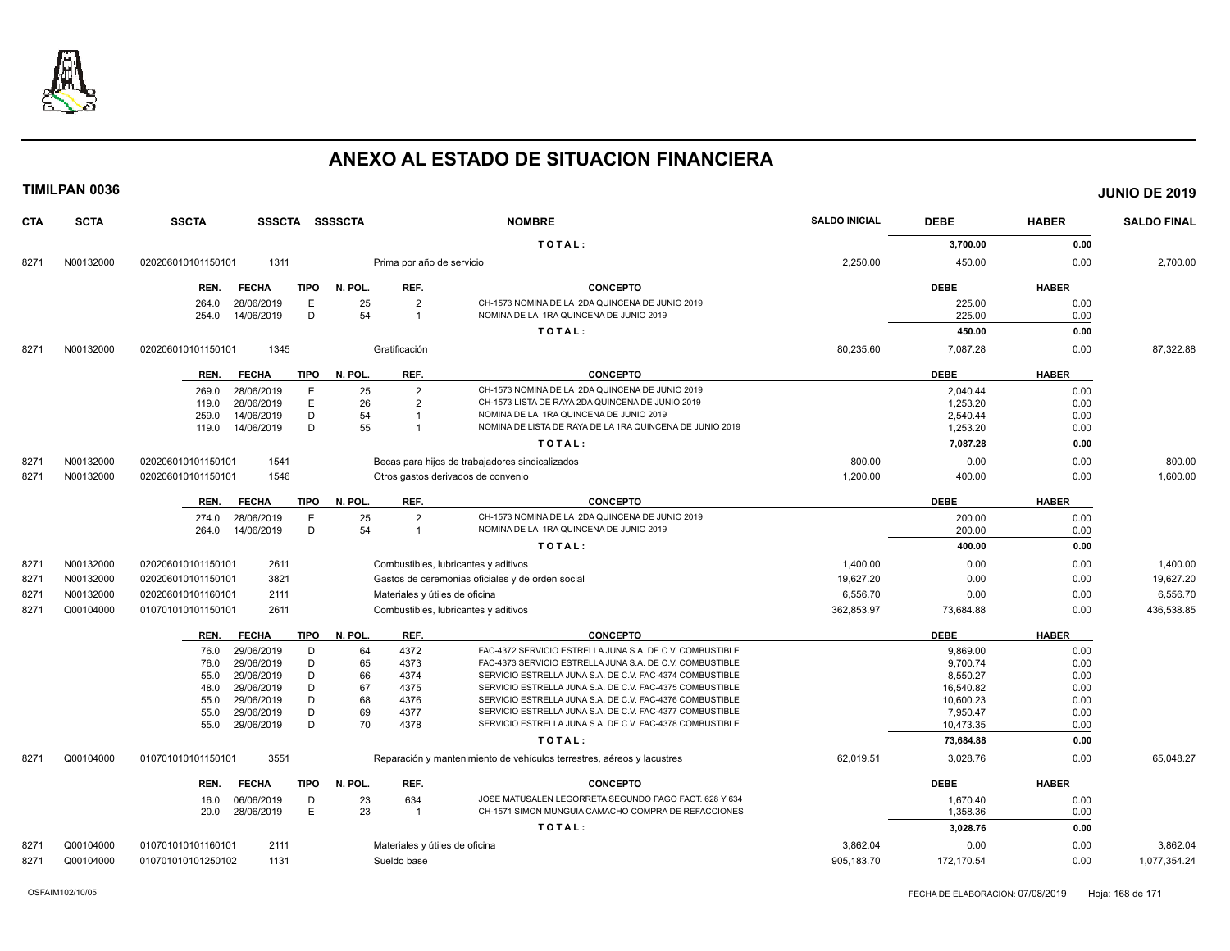

| <b>CTA</b> | <b>SCTA</b> | <b>SSCTA</b><br>SSSCTA SSSSCTA      |         |                           | <b>NOMBRE</b>                                                          | <b>SALDO INICIAL</b> | <b>DEBE</b> | <b>HABER</b> | <b>SALDO FINAL</b> |
|------------|-------------|-------------------------------------|---------|---------------------------|------------------------------------------------------------------------|----------------------|-------------|--------------|--------------------|
|            |             |                                     |         |                           | TOTAL:                                                                 |                      | 3,700.00    | 0.00         |                    |
| 8271       | N00132000   | 1311<br>020206010101150101          |         | Prima por año de servicio |                                                                        | 2,250.00             | 450.00      | 0.00         | 2,700.00           |
|            |             | <b>FECHA</b><br><b>TIPO</b><br>REN. | N. POL. | REF.                      | <b>CONCEPTO</b>                                                        |                      | <b>DEBE</b> | <b>HABER</b> |                    |
|            |             | 28/06/2019<br>Ε<br>264.0            | 25      | $\overline{2}$            | CH-1573 NOMINA DE LA 2DA QUINCENA DE JUNIO 2019                        |                      | 225.00      | 0.00         |                    |
|            |             | D<br>254.0<br>14/06/2019            | 54      | $\overline{1}$            | NOMINA DE LA 1RA QUINCENA DE JUNIO 2019                                |                      | 225.00      | 0.00         |                    |
|            |             |                                     |         |                           | TOTAL:                                                                 |                      | 450.00      | 0.00         |                    |
| 8271       | N00132000   | 020206010101150101<br>1345          |         | Gratificación             |                                                                        | 80,235.60            | 7,087.28    | 0.00         | 87,322.88          |
|            |             | REN.<br><b>FECHA</b><br>TIPO        | N. POL. | REF.                      | <b>CONCEPTO</b>                                                        |                      | <b>DEBE</b> | <b>HABER</b> |                    |
|            |             | 28/06/2019<br>Ε<br>269.0            | 25      | $\overline{2}$            | CH-1573 NOMINA DE LA 2DA QUINCENA DE JUNIO 2019                        |                      | 2.040.44    | 0.00         |                    |
|            |             | E<br>28/06/2019<br>119.0            | 26      | $\overline{2}$            | CH-1573 LISTA DE RAYA 2DA QUINCENA DE JUNIO 2019                       |                      | 1,253.20    | 0.00         |                    |
|            |             | D<br>14/06/2019<br>259.0            | 54      | $\mathbf{1}$              | NOMINA DE LA 1RA QUINCENA DE JUNIO 2019                                |                      | 2,540.44    | 0.00         |                    |
|            |             | D<br>14/06/2019<br>119.0            | 55      | $\overline{1}$            | NOMINA DE LISTA DE RAYA DE LA 1RA QUINCENA DE JUNIO 2019               |                      | 1,253.20    | 0.00         |                    |
|            |             |                                     |         |                           | TOTAL:                                                                 |                      | 7,087.28    | 0.00         |                    |
| 8271       | N00132000   | 1541<br>020206010101150101          |         |                           | Becas para hijos de trabajadores sindicalizados                        | 800.00               | 0.00        | 0.00         | 800.00             |
| 8271       | N00132000   | 1546<br>020206010101150101          |         |                           | Otros gastos derivados de convenio                                     | 1,200.00             | 400.00      | 0.00         | 1,600.00           |
|            |             | <b>TIPO</b><br>REN.<br><b>FECHA</b> | N. POL. | REF.                      | <b>CONCEPTO</b>                                                        |                      | <b>DEBE</b> | <b>HABER</b> |                    |
|            |             | E<br>28/06/2019<br>274.0            | 25      | $\overline{2}$            | CH-1573 NOMINA DE LA 2DA QUINCENA DE JUNIO 2019                        |                      | 200.00      | 0.00         |                    |
|            |             | D<br>14/06/2019<br>264.0            | 54      | $\overline{1}$            | NOMINA DE LA 1RA QUINCENA DE JUNIO 2019                                |                      | 200.00      | 0.00         |                    |
|            |             |                                     |         |                           | TOTAL:                                                                 |                      | 400.00      | 0.00         |                    |
| 8271       | N00132000   | 2611<br>020206010101150101          |         |                           | Combustibles, lubricantes y aditivos                                   | 1,400.00             | 0.00        | 0.00         | 1,400.00           |
| 8271       | N00132000   | 3821<br>020206010101150101          |         |                           | Gastos de ceremonias oficiales y de orden social                       | 19.627.20            | 0.00        | 0.00         | 19,627.20          |
| 8271       | N00132000   | 020206010101160101<br>2111          |         |                           | Materiales y útiles de oficina                                         | 6,556.70             | 0.00        | 0.00         | 6,556.70           |
| 8271       | Q00104000   | 2611<br>010701010101150101          |         |                           | Combustibles, lubricantes y aditivos                                   | 362,853.97           | 73,684.88   | 0.00         | 436,538.85         |
|            |             | <b>FECHA</b><br>TIPO<br>REN.        | N. POL. | REF.                      | <b>CONCEPTO</b>                                                        |                      | <b>DEBE</b> | <b>HABER</b> |                    |
|            |             | 29/06/2019<br>D<br>76.0             | 64      | 4372                      | FAC-4372 SERVICIO ESTRELLA JUNA S.A. DE C.V. COMBUSTIBLE               |                      | 9,869.00    | 0.00         |                    |
|            |             | D<br>29/06/2019<br>76.0             | 65      | 4373                      | FAC-4373 SERVICIO ESTRELLA JUNA S.A. DE C.V. COMBUSTIBLE               |                      | 9,700.74    | 0.00         |                    |
|            |             | 29/06/2019<br>D<br>55.0             | 66      | 4374                      | SERVICIO ESTRELLA JUNA S.A. DE C.V. FAC-4374 COMBUSTIBLE               |                      | 8,550.27    | 0.00         |                    |
|            |             | D<br>29/06/2019<br>48.0             | 67      | 4375                      | SERVICIO ESTRELLA JUNA S.A. DE C.V. FAC-4375 COMBUSTIBLE               |                      | 16,540.82   | 0.00         |                    |
|            |             | 29/06/2019<br>D<br>55.0             | 68      | 4376                      | SERVICIO ESTRELLA JUNA S.A. DE C.V. FAC-4376 COMBUSTIBLE               |                      | 10,600.23   | 0.00         |                    |
|            |             | D<br>29/06/2019<br>55.0             | 69      | 4377                      | SERVICIO ESTRELLA JUNA S.A. DE C.V. FAC-4377 COMBUSTIBLE               |                      | 7,950.47    | 0.00         |                    |
|            |             | D<br>55.0<br>29/06/2019             | 70      | 4378                      | SERVICIO ESTRELLA JUNA S.A. DE C.V. FAC-4378 COMBUSTIBLE               |                      | 10,473.35   | 0.00         |                    |
|            |             |                                     |         |                           | TOTAL:                                                                 |                      | 73,684.88   | 0.00         |                    |
| 8271       | Q00104000   | 3551<br>010701010101150101          |         |                           | Reparación y mantenimiento de vehículos terrestres, aéreos y lacustres | 62,019.51            | 3,028.76    | 0.00         | 65,048.27          |
|            |             | <b>FECHA</b><br><b>TIPO</b><br>REN. | N. POL. | REF.                      | <b>CONCEPTO</b>                                                        |                      | <b>DEBE</b> | <b>HABER</b> |                    |
|            |             | 16.0<br>06/06/2019<br>D             | 23      | 634                       | JOSE MATUSALEN LEGORRETA SEGUNDO PAGO FACT. 628 Y 634                  |                      | 1,670.40    | 0.00         |                    |
|            |             | E<br>28/06/2019<br>20.0             | 23      | $\overline{1}$            | CH-1571 SIMON MUNGUIA CAMACHO COMPRA DE REFACCIONES                    |                      | 1,358.36    | 0.00         |                    |
|            |             |                                     |         |                           | TOTAL:                                                                 |                      | 3,028.76    | 0.00         |                    |
| 827'       | Q00104000   | 2111<br>010701010101160101          |         |                           | Materiales y útiles de oficina                                         | 3.862.04             | 0.00        | 0.00         | 3,862.04           |
| 8271       | Q00104000   | 010701010101250102<br>1131          |         | Sueldo base               |                                                                        | 905,183.70           | 172,170.54  | 0.00         | 1,077,354.24       |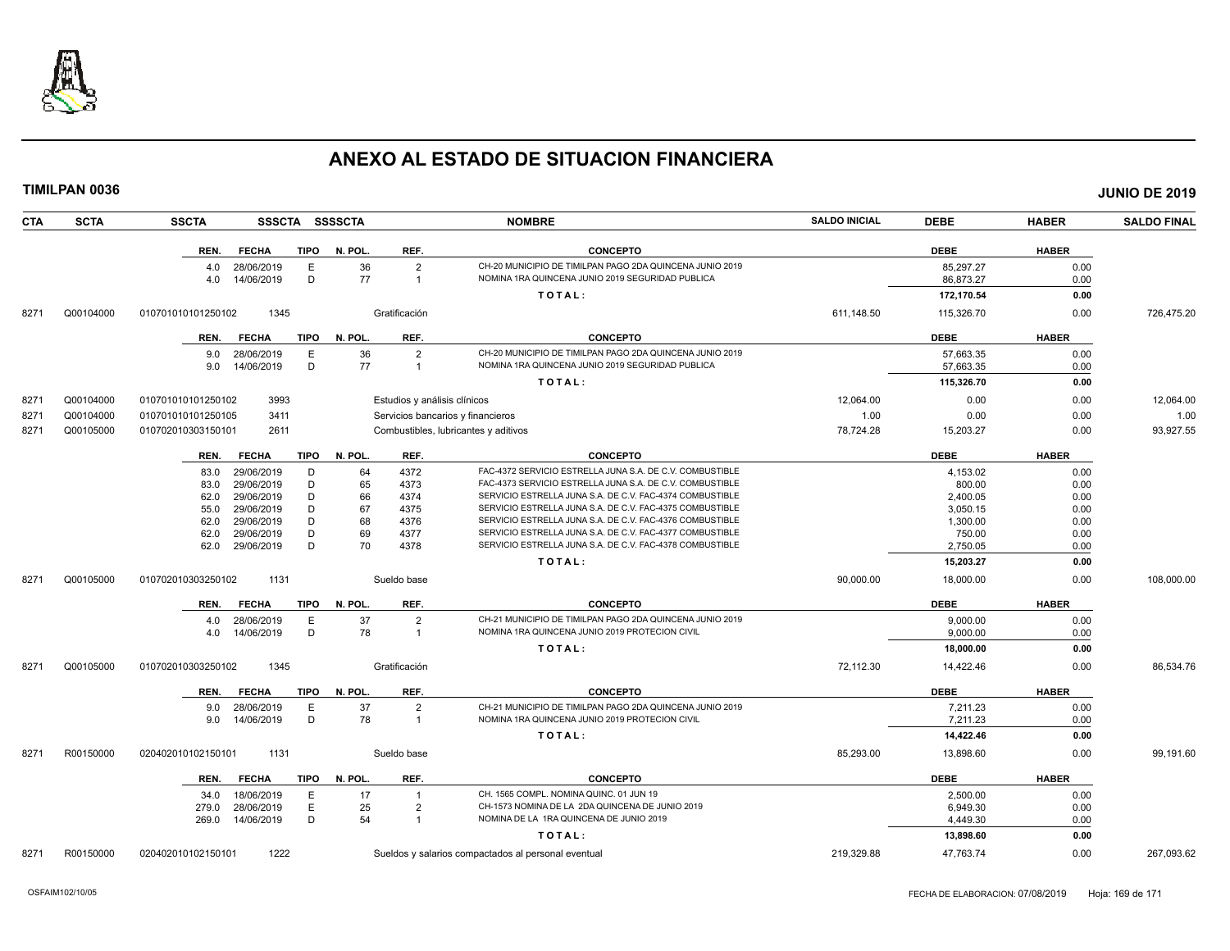

| <b>CTA</b> | <b>SCTA</b> | <b>SSCTA</b><br><b>SSSCTA</b>       | <b>SSSSCTA</b> |                              | <b>NOMBRE</b>                                            | <b>SALDO INICIAL</b> | <b>DEBE</b> | <b>HABER</b> | <b>SALDO FINAL</b> |
|------------|-------------|-------------------------------------|----------------|------------------------------|----------------------------------------------------------|----------------------|-------------|--------------|--------------------|
|            |             | <b>FECHA</b><br><b>TIPO</b><br>REN. | N. POL.        | REF.                         | <b>CONCEPTO</b>                                          |                      | <b>DEBE</b> | <b>HABER</b> |                    |
|            |             | 28/06/2019<br>E<br>4.0              | 36             | $\overline{2}$               | CH-20 MUNICIPIO DE TIMILPAN PAGO 2DA QUINCENA JUNIO 2019 |                      | 85,297.27   | 0.00         |                    |
|            |             | D<br>4.0<br>14/06/2019              | 77             | $\overline{1}$               | NOMINA 1RA QUINCENA JUNIO 2019 SEGURIDAD PUBLICA         |                      | 86,873.27   | 0.00         |                    |
|            |             |                                     |                |                              | TOTAL:                                                   |                      | 172,170.54  | 0.00         |                    |
| 8271       | Q00104000   | 1345<br>010701010101250102          |                | Gratificación                |                                                          | 611,148.50           | 115,326.70  | 0.00         | 726,475.20         |
|            |             | <b>FECHA</b><br>TIPO<br>REN.        | N. POL.        | REF.                         | <b>CONCEPTO</b>                                          |                      | <b>DEBE</b> | <b>HABER</b> |                    |
|            |             | E<br>28/06/2019<br>9.0              | 36             | $\overline{2}$               | CH-20 MUNICIPIO DE TIMILPAN PAGO 2DA QUINCENA JUNIO 2019 |                      | 57,663.35   | 0.00         |                    |
|            |             | D<br>14/06/2019<br>9.0              | 77             | $\overline{1}$               | NOMINA 1RA QUINCENA JUNIO 2019 SEGURIDAD PUBLICA         |                      | 57.663.35   | 0.00         |                    |
|            |             |                                     |                |                              | TOTAL:                                                   |                      | 115,326.70  | 0.00         |                    |
| 8271       | Q00104000   | 3993<br>010701010101250102          |                | Estudios y análisis clínicos |                                                          | 12,064.00            | 0.00        | 0.00         | 12,064.00          |
| 8271       | Q00104000   | 3411<br>010701010101250105          |                |                              | Servicios bancarios y financieros                        | 1.00                 | 0.00        | 0.00         | 1.00               |
| 8271       | Q00105000   | 010702010303150101<br>2611          |                |                              | Combustibles, lubricantes y aditivos                     | 78,724.28            | 15,203.27   | 0.00         | 93,927.55          |
|            |             | <b>TIPO</b><br><b>FECHA</b><br>REN. | N. POL.        | REF.                         | <b>CONCEPTO</b>                                          |                      | <b>DEBE</b> | <b>HABER</b> |                    |
|            |             | 29/06/2019<br>D<br>83.0             | 64             | 4372                         | FAC-4372 SERVICIO ESTRELLA JUNA S.A. DE C.V. COMBUSTIBLE |                      | 4,153.02    | 0.00         |                    |
|            |             | 29/06/2019<br>D<br>83.0             | 65             | 4373                         | FAC-4373 SERVICIO ESTRELLA JUNA S.A. DE C.V. COMBUSTIBLE |                      | 800.00      | 0.00         |                    |
|            |             | 29/06/2019<br>D<br>62.0             | 66             | 4374                         | SERVICIO ESTRELLA JUNA S.A. DE C.V. FAC-4374 COMBUSTIBLE |                      | 2,400.05    | 0.00         |                    |
|            |             | D<br>29/06/2019<br>55.0             | 67             | 4375                         | SERVICIO ESTRELLA JUNA S.A. DE C.V. FAC-4375 COMBUSTIBLE |                      | 3,050.15    | 0.00         |                    |
|            |             | D<br>29/06/2019<br>62.0             | 68             | 4376                         | SERVICIO ESTRELLA JUNA S.A. DE C.V. FAC-4376 COMBUSTIBLE |                      | 1,300.00    | 0.00         |                    |
|            |             | D<br>29/06/2019<br>62.0             | 69             | 4377                         | SERVICIO ESTRELLA JUNA S.A. DE C.V. FAC-4377 COMBUSTIBLE |                      | 750.00      | 0.00         |                    |
|            |             | D<br>29/06/2019<br>62.0             | 70             | 4378                         | SERVICIO ESTRELLA JUNA S.A. DE C.V. FAC-4378 COMBUSTIBLE |                      | 2,750.05    | 0.00         |                    |
|            |             |                                     |                |                              | TOTAL:                                                   |                      | 15,203.27   | 0.00         |                    |
| 8271       | Q00105000   | 1131<br>010702010303250102          |                | Sueldo base                  |                                                          | 90,000.00            | 18,000.00   | 0.00         | 108,000.00         |
|            |             | REN.<br><b>FECHA</b><br>TIPO        | N. POL.        | REF.                         | <b>CONCEPTO</b>                                          |                      | <b>DEBE</b> | <b>HABER</b> |                    |
|            |             | 28/06/2019<br>E<br>4.0              | 37             | $\overline{2}$               | CH-21 MUNICIPIO DE TIMILPAN PAGO 2DA QUINCENA JUNIO 2019 |                      | 9,000.00    | 0.00         |                    |
|            |             | D<br>14/06/2019<br>4.0              | 78             | $\overline{\mathbf{1}}$      | NOMINA 1RA QUINCENA JUNIO 2019 PROTECION CIVIL           |                      | 9,000.00    | 0.00         |                    |
|            |             |                                     |                |                              | TOTAL:                                                   |                      | 18,000.00   | 0.00         |                    |
| 8271       | Q00105000   | 010702010303250102<br>1345          |                | Gratificación                |                                                          | 72,112.30            | 14,422.46   | 0.00         | 86,534.76          |
|            |             | <b>FECHA</b><br><b>TIPO</b><br>REN. | N. POL.        | REF.                         | <b>CONCEPTO</b>                                          |                      | <b>DEBE</b> | <b>HABER</b> |                    |
|            |             | 28/06/2019<br>Ε<br>9.0              | 37             | $\overline{2}$               | CH-21 MUNICIPIO DE TIMILPAN PAGO 2DA QUINCENA JUNIO 2019 |                      | 7,211.23    | 0.00         |                    |
|            |             | D<br>14/06/2019<br>9.0              | 78             | $\overline{1}$               | NOMINA 1RA QUINCENA JUNIO 2019 PROTECION CIVIL           |                      | 7,211.23    | 0.00         |                    |
|            |             |                                     |                |                              | TOTAL:                                                   |                      | 14,422.46   | 0.00         |                    |
| 8271       | R00150000   | 1131<br>020402010102150101          |                | Sueldo base                  |                                                          | 85,293.00            | 13,898.60   | 0.00         | 99,191.60          |
|            |             | <b>FECHA</b><br><b>TIPO</b><br>REN. | N. POL.        | REF.                         | <b>CONCEPTO</b>                                          |                      | <b>DEBE</b> | <b>HABER</b> |                    |
|            |             | 18/06/2019<br>E<br>34.0             | 17             |                              | CH. 1565 COMPL. NOMINA QUINC. 01 JUN 19                  |                      | 2,500.00    | 0.00         |                    |
|            |             | E<br>28/06/2019<br>279.0            | 25             | $\overline{2}$               | CH-1573 NOMINA DE LA 2DA QUINCENA DE JUNIO 2019          |                      | 6,949.30    | 0.00         |                    |
|            |             | D<br>14/06/2019<br>269.0            | 54             | $\overline{1}$               | NOMINA DE LA 1RA QUINCENA DE JUNIO 2019                  |                      | 4,449.30    | 0.00         |                    |
|            |             |                                     |                |                              | TOTAL:                                                   |                      | 13,898.60   | 0.00         |                    |
| 8271       | R00150000   | 1222<br>020402010102150101          |                |                              | Sueldos y salarios compactados al personal eventual      | 219.329.88           | 47.763.74   | 0.00         | 267.093.62         |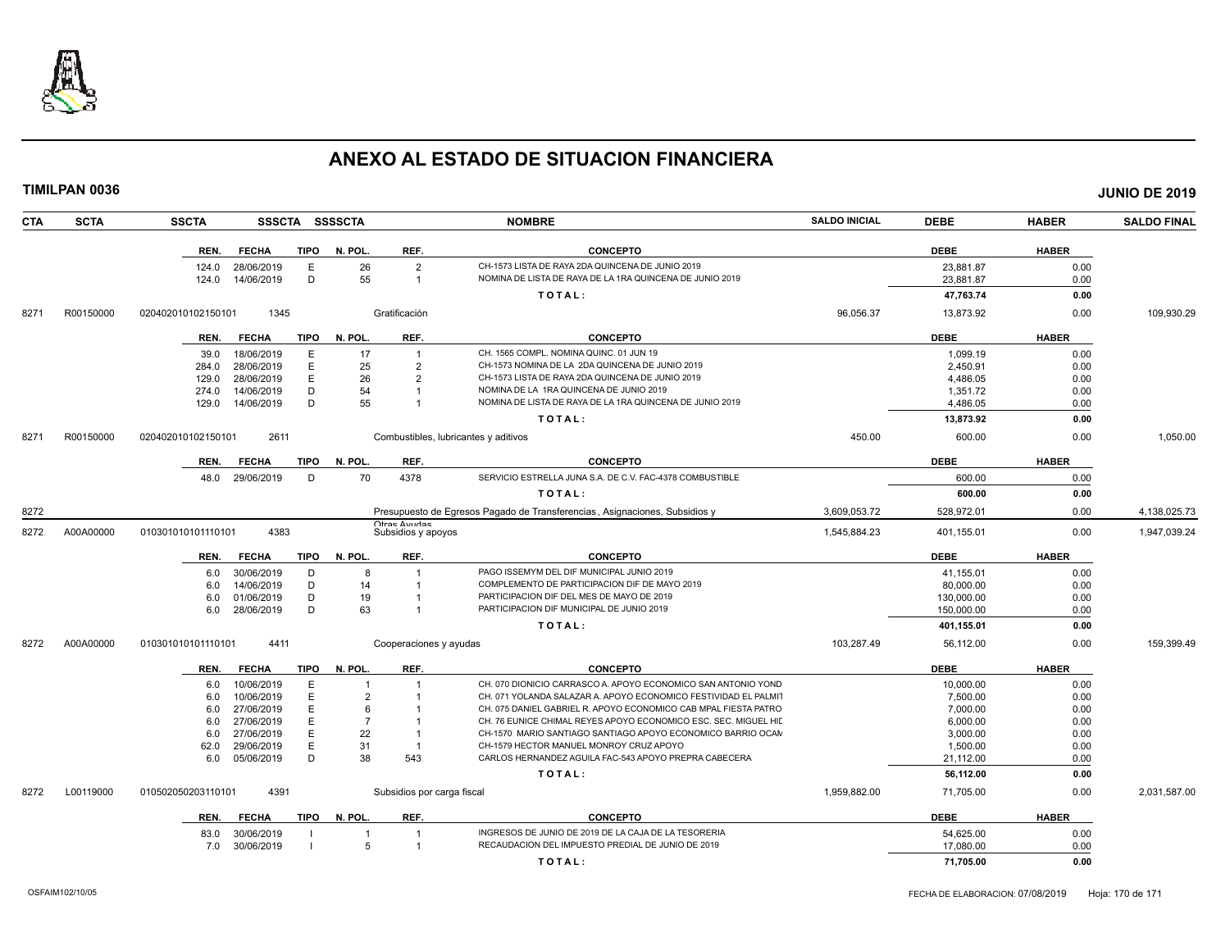

|      | <b>TIMILPAN 0036</b> |                    |                 |             |                |                                      |                                                                            |                      |             |              | <b>JUNIO DE 2019</b> |
|------|----------------------|--------------------|-----------------|-------------|----------------|--------------------------------------|----------------------------------------------------------------------------|----------------------|-------------|--------------|----------------------|
| CTA  | <b>SCTA</b>          | <b>SSCTA</b>       |                 |             | SSSCTA SSSSCTA |                                      | <b>NOMBRE</b>                                                              | <b>SALDO INICIAL</b> | <b>DEBE</b> | <b>HABER</b> | <b>SALDO FINAL</b>   |
|      |                      | REN.               | <b>FECHA</b>    | <b>TIPO</b> | N. POL.        | REF.                                 | <b>CONCEPTO</b>                                                            |                      | <b>DEBE</b> | <b>HABER</b> |                      |
|      |                      | 124.0              | 28/06/2019      | E           | 26             | $\overline{2}$                       | CH-1573 LISTA DE RAYA 2DA QUINCENA DE JUNIO 2019                           |                      | 23,881.87   | 0.00         |                      |
|      |                      | 124.0              | 14/06/2019      | D           | 55             | $\mathbf{1}$                         | NOMINA DE LISTA DE RAYA DE LA 1RA QUINCENA DE JUNIO 2019                   |                      | 23,881.87   | 0.00         |                      |
|      |                      |                    |                 |             |                |                                      | TOTAL:                                                                     |                      | 47,763.74   | 0.00         |                      |
| 8271 | R00150000            | 020402010102150101 | 1345            |             |                | Gratificación                        |                                                                            | 96,056.37            | 13,873.92   | 0.00         | 109,930.29           |
|      |                      | REN.               | <b>FECHA</b>    | TIPO        | N. POL.        | REF.                                 | <b>CONCEPTO</b>                                                            |                      | <b>DEBE</b> | <b>HABER</b> |                      |
|      |                      | 39.0               | 18/06/2019      | $\mathsf E$ | 17             | $\overline{1}$                       | CH. 1565 COMPL. NOMINA QUINC. 01 JUN 19                                    |                      | 1,099.19    | 0.00         |                      |
|      |                      | 284.0              | 28/06/2019      | E           | 25             | $\overline{2}$                       | CH-1573 NOMINA DE LA 2DA QUINCENA DE JUNIO 2019                            |                      | 2,450.91    | 0.00         |                      |
|      |                      | 129.0              | 28/06/2019      | E           | 26             | $\overline{2}$                       | CH-1573 LISTA DE RAYA 2DA QUINCENA DE JUNIO 2019                           |                      | 4,486.05    | 0.00         |                      |
|      |                      | 274.0              | 14/06/2019      | D           | 54             | $\mathbf{1}$                         | NOMINA DE LA 1RA QUINCENA DE JUNIO 2019                                    |                      | 1,351.72    | 0.00         |                      |
|      |                      | 129.0              | 14/06/2019      | D           | 55             | $\mathbf{1}$                         | NOMINA DE LISTA DE RAYA DE LA 1RA QUINCENA DE JUNIO 2019                   |                      | 4,486.05    | 0.00         |                      |
|      |                      |                    |                 |             |                |                                      | TOTAL:                                                                     |                      | 13,873.92   | 0.00         |                      |
| 8271 | R00150000            | 020402010102150101 | 2611            |             |                | Combustibles, lubricantes y aditivos |                                                                            | 450.00               | 600.00      | 0.00         | 1,050.00             |
|      |                      | REN.               | <b>FECHA</b>    | TIPO        | N. POL.        | REF.                                 | <b>CONCEPTO</b>                                                            |                      | <b>DEBE</b> | <b>HABER</b> |                      |
|      |                      |                    | 48.0 29/06/2019 | D           | 70             | 4378                                 | SERVICIO ESTRELLA JUNA S.A. DE C.V. FAC-4378 COMBUSTIBLE                   |                      | 600.00      | 0.00         |                      |
|      |                      |                    |                 |             |                |                                      | TOTAL:                                                                     |                      | 600.00      | 0.00         |                      |
| 8272 |                      |                    |                 |             |                |                                      | Presupuesto de Egresos Pagado de Transferencias, Asignaciones, Subsidios y | 3,609,053.72         | 528,972.01  | 0.00         | 4,138,025.73         |
| 8272 | A00A00000            | 010301010101110101 | 4383            |             |                | Ofras Avudas<br>Subsidios y apoyos   |                                                                            | 1.545.884.23         | 401,155.01  | 0.00         | 1,947,039.24         |
|      |                      | REN.               | <b>FECHA</b>    | TIPO        | N. POL.        | REF.                                 | <b>CONCEPTO</b>                                                            |                      | <b>DEBE</b> | <b>HABER</b> |                      |
|      |                      | 6.0                | 30/06/2019      | D           | 8              | $\overline{1}$                       | PAGO ISSEMYM DEL DIF MUNICIPAL JUNIO 2019                                  |                      | 41,155.01   | 0.00         |                      |
|      |                      | 6.0                | 14/06/2019      | D           | 14             | $\overline{1}$                       | COMPLEMENTO DE PARTICIPACION DIF DE MAYO 2019                              |                      | 80.000.00   | 0.00         |                      |
|      |                      | 6.0                | 01/06/2019      | D           | 19             | $\mathbf{1}$                         | PARTICIPACION DIF DEL MES DE MAYO DE 2019                                  |                      | 130,000.00  | 0.00         |                      |
|      |                      | 6.0                | 28/06/2019      | D           | 63             | $\mathbf{1}$                         | PARTICIPACION DIF MUNICIPAL DE JUNIO 2019                                  |                      | 150,000.00  | 0.00         |                      |
|      |                      |                    |                 |             |                |                                      | TOTAL:                                                                     |                      | 401,155.01  | 0.00         |                      |
| 8272 | A00A00000            | 010301010101110101 | 4411            |             |                | Cooperaciones y ayudas               |                                                                            | 103,287.49           | 56,112.00   | 0.00         | 159,399.49           |
|      |                      | REN.               | <b>FECHA</b>    | <b>TIPO</b> | N. POL.        | REF.                                 | <b>CONCEPTO</b>                                                            |                      | <b>DEBE</b> | <b>HABER</b> |                      |
|      |                      | 6.0                | 10/06/2019      | E           |                |                                      | CH. 070 DIONICIO CARRASCO A, APOYO ECONOMICO SAN ANTONIO YOND              |                      | 10,000.00   | 0.00         |                      |
|      |                      | 6.0                | 10/06/2019      | E           | $\overline{2}$ |                                      | CH. 071 YOLANDA SALAZAR A. APOYO ECONOMICO FESTIVIDAD EL PALMIT            |                      | 7,500.00    | 0.00         |                      |
|      |                      | 6.0                | 27/06/2019      | E           | 6              |                                      | CH. 075 DANIEL GABRIEL R. APOYO ECONOMICO CAB MPAL FIESTA PATRO            |                      | 7,000.00    | 0.00         |                      |
|      |                      | 6.0                | 27/06/2019      | E           | $\overline{7}$ | $\mathbf{1}$                         | CH. 76 EUNICE CHIMAL REYES APOYO ECONOMICO ESC. SEC. MIGUEL HID            |                      | 6,000.00    | 0.00         |                      |
|      |                      | 6.0                | 27/06/2019      | $\mathsf E$ | 22             | $\overline{1}$                       | CH-1570 MARIO SANTIAGO SANTIAGO APOYO ECONOMICO BARRIO OCAN                |                      | 3,000.00    | 0.00         |                      |
|      |                      | 62.0               | 29/06/2019      | E           | 31             | $\overline{1}$                       | CH-1579 HECTOR MANUEL MONROY CRUZ APOYO                                    |                      | 1,500.00    | 0.00         |                      |
|      |                      | 6.0                | 05/06/2019      | D           | 38             | 543                                  | CARLOS HERNANDEZ AGUILA FAC-543 APOYO PREPRA CABECERA                      |                      | 21,112.00   | 0.00         |                      |
|      |                      |                    |                 |             |                |                                      | TOTAL:                                                                     |                      | 56,112.00   | 0.00         |                      |
| 8272 | L00119000            | 010502050203110101 | 4391            |             |                | Subsidios por carga fiscal           |                                                                            | 1,959,882.00         | 71,705.00   | 0.00         | 2,031,587.00         |
|      |                      | REN.               | <b>FECHA</b>    | TIPO        | N. POL.        | REF.                                 | <b>CONCEPTO</b>                                                            |                      | <b>DEBE</b> | <b>HABER</b> |                      |
|      |                      | 83.0               | 30/06/2019      |             | $\overline{1}$ | $\overline{1}$                       | INGRESOS DE JUNIO DE 2019 DE LA CAJA DE LA TESORERIA                       |                      | 54,625.00   | 0.00         |                      |
|      |                      | 7.0                | 30/06/2019      |             | 5              |                                      | RECAUDACION DEL IMPUESTO PREDIAL DE JUNIO DE 2019                          |                      | 17,080.00   | 0.00         |                      |